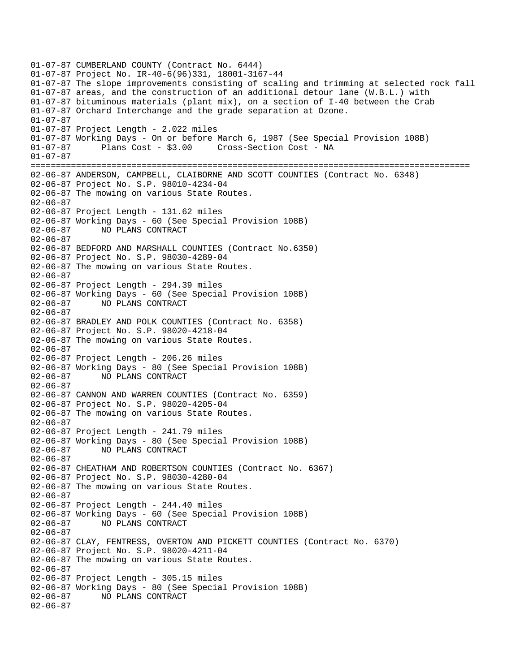01-07-87 CUMBERLAND COUNTY (Contract No. 6444) 01-07-87 Project No. IR-40-6(96)331, 18001-3167-44 01-07-87 The slope improvements consisting of scaling and trimming at selected rock fall 01-07-87 areas, and the construction of an additional detour lane (W.B.L.) with 01-07-87 bituminous materials (plant mix), on a section of I-40 between the Crab 01-07-87 Orchard Interchange and the grade separation at Ozone. 01-07-87 01-07-87 Project Length - 2.022 miles 01-07-87 Working Days - On or before March 6, 1987 (See Special Provision 108B) 01-07-87 Plans Cost - \$3.00 Cross-Section Cost - NA 01-07-87 ======================================================================================= 02-06-87 ANDERSON, CAMPBELL, CLAIBORNE AND SCOTT COUNTIES (Contract No. 6348) 02-06-87 Project No. S.P. 98010-4234-04 02-06-87 The mowing on various State Routes. 02-06-87 02-06-87 Project Length - 131.62 miles 02-06-87 Working Days - 60 (See Special Provision 108B) 02-06-87 NO PLANS CONTRACT 02-06-87 02-06-87 BEDFORD AND MARSHALL COUNTIES (Contract No.6350) 02-06-87 Project No. S.P. 98030-4289-04 02-06-87 The mowing on various State Routes. 02-06-87 02-06-87 Project Length - 294.39 miles 02-06-87 Working Days - 60 (See Special Provision 108B) 02-06-87 NO PLANS CONTRACT 02-06-87 02-06-87 BRADLEY AND POLK COUNTIES (Contract No. 6358) 02-06-87 Project No. S.P. 98020-4218-04 02-06-87 The mowing on various State Routes. 02-06-87 02-06-87 Project Length - 206.26 miles 02-06-87 Working Days - 80 (See Special Provision 108B)<br>02-06-87 NO PLANS CONTRACT 02-06-87 NO PLANS CONTRACT 02-06-87 02-06-87 CANNON AND WARREN COUNTIES (Contract No. 6359) 02-06-87 Project No. S.P. 98020-4205-04 02-06-87 The mowing on various State Routes. 02-06-87 02-06-87 Project Length - 241.79 miles 02-06-87 Working Days - 80 (See Special Provision 108B) 02-06-87 NO PLANS CONTRACT  $02 - 06 - 87$ 02-06-87 CHEATHAM AND ROBERTSON COUNTIES (Contract No. 6367) 02-06-87 Project No. S.P. 98030-4280-04 02-06-87 The mowing on various State Routes. 02-06-87 02-06-87 Project Length - 244.40 miles 02-06-87 Working Days - 60 (See Special Provision 108B) 02-06-87 NO PLANS CONTRACT 02-06-87 02-06-87 CLAY, FENTRESS, OVERTON AND PICKETT COUNTIES (Contract No. 6370) 02-06-87 Project No. S.P. 98020-4211-04 02-06-87 The mowing on various State Routes. 02-06-87 02-06-87 Project Length - 305.15 miles 02-06-87 Working Days - 80 (See Special Provision 108B) 02-06-87 NO PLANS CONTRACT 02-06-87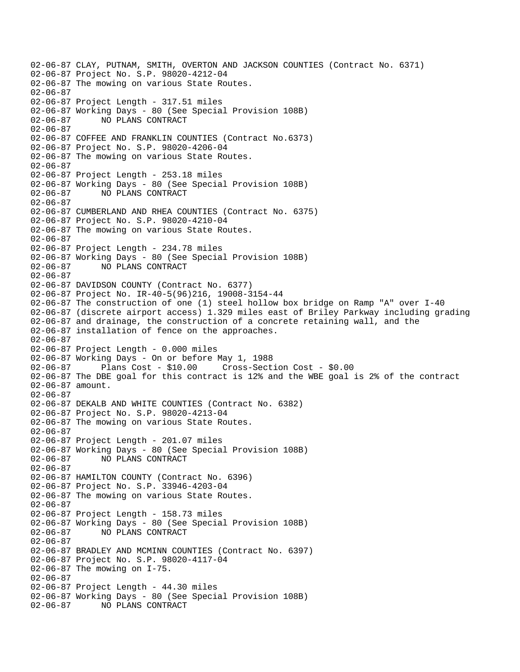02-06-87 CLAY, PUTNAM, SMITH, OVERTON AND JACKSON COUNTIES (Contract No. 6371) 02-06-87 Project No. S.P. 98020-4212-04 02-06-87 The mowing on various State Routes. 02-06-87 02-06-87 Project Length - 317.51 miles 02-06-87 Working Days - 80 (See Special Provision 108B) 02-06-87 NO PLANS CONTRACT 02-06-87 02-06-87 COFFEE AND FRANKLIN COUNTIES (Contract No.6373) 02-06-87 Project No. S.P. 98020-4206-04 02-06-87 The mowing on various State Routes. 02-06-87 02-06-87 Project Length - 253.18 miles 02-06-87 Working Days - 80 (See Special Provision 108B) 02-06-87 NO PLANS CONTRACT 02-06-87 02-06-87 CUMBERLAND AND RHEA COUNTIES (Contract No. 6375) 02-06-87 Project No. S.P. 98020-4210-04 02-06-87 The mowing on various State Routes. 02-06-87 02-06-87 Project Length - 234.78 miles 02-06-87 Working Days - 80 (See Special Provision 108B) 02-06-87 NO PLANS CONTRACT 02-06-87 02-06-87 DAVIDSON COUNTY (Contract No. 6377) 02-06-87 Project No. IR-40-5(96)216, 19008-3154-44 02-06-87 The construction of one (1) steel hollow box bridge on Ramp "A" over I-40 02-06-87 (discrete airport access) 1.329 miles east of Briley Parkway including grading 02-06-87 and drainage, the construction of a concrete retaining wall, and the 02-06-87 installation of fence on the approaches. 02-06-87 02-06-87 Project Length - 0.000 miles 02-06-87 Working Days - On or before May 1, 1988 02-06-87 Plans Cost - \$10.00 Cross-Section Cost - \$0.00 02-06-87 The DBE goal for this contract is 12% and the WBE goal is 2% of the contract 02-06-87 amount. 02-06-87 02-06-87 DEKALB AND WHITE COUNTIES (Contract No. 6382) 02-06-87 Project No. S.P. 98020-4213-04 02-06-87 The mowing on various State Routes. 02-06-87 02-06-87 Project Length - 201.07 miles 02-06-87 Working Days - 80 (See Special Provision 108B) 02-06-87 NO PLANS CONTRACT 02-06-87 02-06-87 HAMILTON COUNTY (Contract No. 6396) 02-06-87 Project No. S.P. 33946-4203-04 02-06-87 The mowing on various State Routes. 02-06-87 02-06-87 Project Length - 158.73 miles 02-06-87 Working Days - 80 (See Special Provision 108B) 02-06-87 NO PLANS CONTRACT 02-06-87 02-06-87 BRADLEY AND MCMINN COUNTIES (Contract No. 6397) 02-06-87 Project No. S.P. 98020-4117-04 02-06-87 The mowing on I-75. 02-06-87 02-06-87 Project Length - 44.30 miles 02-06-87 Working Days - 80 (See Special Provision 108B) 02-06-87 NO PLANS CONTRACT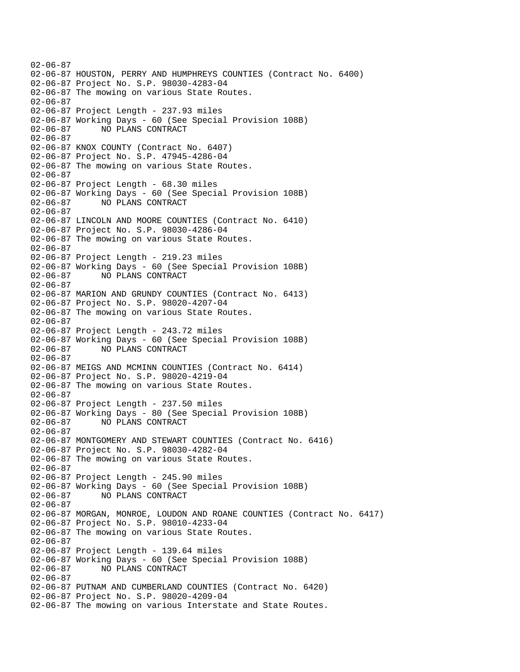02-06-87 02-06-87 HOUSTON, PERRY AND HUMPHREYS COUNTIES (Contract No. 6400) 02-06-87 Project No. S.P. 98030-4283-04 02-06-87 The mowing on various State Routes. 02-06-87 02-06-87 Project Length - 237.93 miles 02-06-87 Working Days - 60 (See Special Provision 108B) 02-06-87 NO PLANS CONTRACT 02-06-87 02-06-87 KNOX COUNTY (Contract No. 6407) 02-06-87 Project No. S.P. 47945-4286-04 02-06-87 The mowing on various State Routes. 02-06-87 02-06-87 Project Length - 68.30 miles 02-06-87 Working Days - 60 (See Special Provision 108B) 02-06-87 NO PLANS CONTRACT 02-06-87 02-06-87 LINCOLN AND MOORE COUNTIES (Contract No. 6410) 02-06-87 Project No. S.P. 98030-4286-04 02-06-87 The mowing on various State Routes. 02-06-87 02-06-87 Project Length - 219.23 miles 02-06-87 Working Days - 60 (See Special Provision 108B) 02-06-87 NO PLANS CONTRACT 02-06-87 02-06-87 MARION AND GRUNDY COUNTIES (Contract No. 6413) 02-06-87 Project No. S.P. 98020-4207-04 02-06-87 The mowing on various State Routes. 02-06-87 02-06-87 Project Length - 243.72 miles 02-06-87 Working Days - 60 (See Special Provision 108B) 02-06-87 NO PLANS CONTRACT 02-06-87 02-06-87 MEIGS AND MCMINN COUNTIES (Contract No. 6414) 02-06-87 Project No. S.P. 98020-4219-04 02-06-87 The mowing on various State Routes. 02-06-87 02-06-87 Project Length - 237.50 miles 02-06-87 Working Days - 80 (See Special Provision 108B) 02-06-87 NO PLANS CONTRACT 02-06-87 02-06-87 MONTGOMERY AND STEWART COUNTIES (Contract No. 6416) 02-06-87 Project No. S.P. 98030-4282-04 02-06-87 The mowing on various State Routes. 02-06-87 02-06-87 Project Length - 245.90 miles 02-06-87 Working Days - 60 (See Special Provision 108B) 02-06-87 NO PLANS CONTRACT 02-06-87 02-06-87 MORGAN, MONROE, LOUDON AND ROANE COUNTIES (Contract No. 6417) 02-06-87 Project No. S.P. 98010-4233-04 02-06-87 The mowing on various State Routes. 02-06-87 02-06-87 Project Length - 139.64 miles 02-06-87 Working Days - 60 (See Special Provision 108B) 02-06-87 NO PLANS CONTRACT 02-06-87 02-06-87 PUTNAM AND CUMBERLAND COUNTIES (Contract No. 6420) 02-06-87 Project No. S.P. 98020-4209-04 02-06-87 The mowing on various Interstate and State Routes.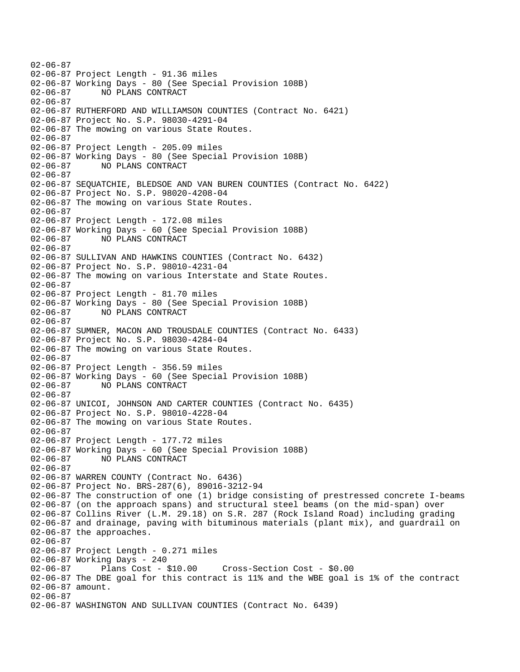02-06-87 02-06-87 Project Length - 91.36 miles 02-06-87 Working Days - 80 (See Special Provision 108B) 02-06-87 NO PLANS CONTRACT 02-06-87 02-06-87 RUTHERFORD AND WILLIAMSON COUNTIES (Contract No. 6421) 02-06-87 Project No. S.P. 98030-4291-04 02-06-87 The mowing on various State Routes. 02-06-87 02-06-87 Project Length - 205.09 miles 02-06-87 Working Days - 80 (See Special Provision 108B) 02-06-87 NO PLANS CONTRACT 02-06-87 02-06-87 SEQUATCHIE, BLEDSOE AND VAN BUREN COUNTIES (Contract No. 6422) 02-06-87 Project No. S.P. 98020-4208-04 02-06-87 The mowing on various State Routes. 02-06-87 02-06-87 Project Length - 172.08 miles 02-06-87 Working Days - 60 (See Special Provision 108B) 02-06-87 NO PLANS CONTRACT 02-06-87 02-06-87 SULLIVAN AND HAWKINS COUNTIES (Contract No. 6432) 02-06-87 Project No. S.P. 98010-4231-04 02-06-87 The mowing on various Interstate and State Routes. 02-06-87 02-06-87 Project Length - 81.70 miles 02-06-87 Working Days - 80 (See Special Provision 108B) 02-06-87 NO PLANS CONTRACT 02-06-87 02-06-87 SUMNER, MACON AND TROUSDALE COUNTIES (Contract No. 6433) 02-06-87 Project No. S.P. 98030-4284-04 02-06-87 The mowing on various State Routes. 02-06-87 02-06-87 Project Length - 356.59 miles 02-06-87 Working Days - 60 (See Special Provision 108B) 02-06-87 NO PLANS CONTRACT 02-06-87 02-06-87 UNICOI, JOHNSON AND CARTER COUNTIES (Contract No. 6435) 02-06-87 Project No. S.P. 98010-4228-04 02-06-87 The mowing on various State Routes. 02-06-87 02-06-87 Project Length - 177.72 miles 02-06-87 Working Days - 60 (See Special Provision 108B) 02-06-87 NO PLANS CONTRACT 02-06-87 02-06-87 WARREN COUNTY (Contract No. 6436) 02-06-87 Project No. BRS-287(6), 89016-3212-94 02-06-87 The construction of one (1) bridge consisting of prestressed concrete I-beams 02-06-87 (on the approach spans) and structural steel beams (on the mid-span) over 02-06-87 Collins River (L.M. 29.18) on S.R. 287 (Rock Island Road) including grading 02-06-87 and drainage, paving with bituminous materials (plant mix), and guardrail on 02-06-87 the approaches. 02-06-87 02-06-87 Project Length - 0.271 miles 02-06-87 Working Days - 240 02-06-87 Plans Cost - \$10.00 Cross-Section Cost - \$0.00 02-06-87 The DBE goal for this contract is 11% and the WBE goal is 1% of the contract 02-06-87 amount. 02-06-87 02-06-87 WASHINGTON AND SULLIVAN COUNTIES (Contract No. 6439)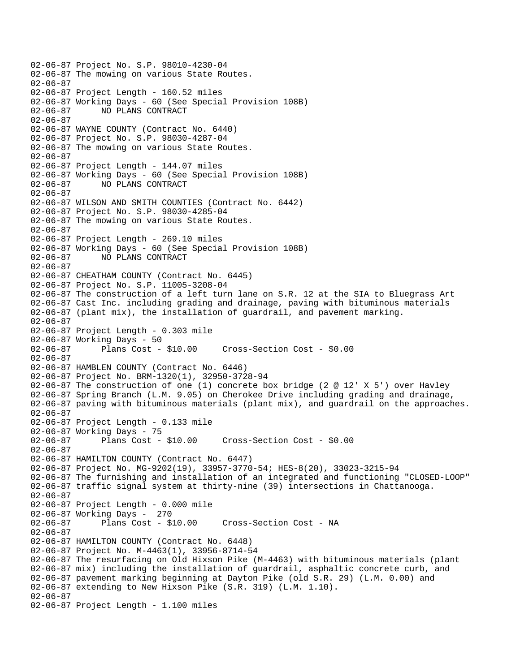02-06-87 Project No. S.P. 98010-4230-04 02-06-87 The mowing on various State Routes. 02-06-87 02-06-87 Project Length - 160.52 miles 02-06-87 Working Days - 60 (See Special Provision 108B) 02-06-87 NO PLANS CONTRACT 02-06-87 02-06-87 WAYNE COUNTY (Contract No. 6440) 02-06-87 Project No. S.P. 98030-4287-04 02-06-87 The mowing on various State Routes. 02-06-87 02-06-87 Project Length - 144.07 miles 02-06-87 Working Days - 60 (See Special Provision 108B) 02-06-87 NO PLANS CONTRACT 02-06-87 02-06-87 WILSON AND SMITH COUNTIES (Contract No. 6442) 02-06-87 Project No. S.P. 98030-4285-04 02-06-87 The mowing on various State Routes. 02-06-87 02-06-87 Project Length - 269.10 miles 02-06-87 Working Days - 60 (See Special Provision 108B) 02-06-87 NO PLANS CONTRACT  $02 - 06 - 87$ 02-06-87 CHEATHAM COUNTY (Contract No. 6445) 02-06-87 Project No. S.P. 11005-3208-04 02-06-87 The construction of a left turn lane on S.R. 12 at the SIA to Bluegrass Art 02-06-87 Cast Inc. including grading and drainage, paving with bituminous materials 02-06-87 (plant mix), the installation of guardrail, and pavement marking. 02-06-87 02-06-87 Project Length - 0.303 mile 02-06-87 Working Days - 50 02-06-87 Plans Cost - \$10.00 Cross-Section Cost - \$0.00 02-06-87 02-06-87 HAMBLEN COUNTY (Contract No. 6446) 02-06-87 Project No. BRM-1320(1), 32950-3728-94 02-06-87 The construction of one (1) concrete box bridge (2 @ 12' X 5') over Havley 02-06-87 Spring Branch (L.M. 9.05) on Cherokee Drive including grading and drainage, 02-06-87 paving with bituminous materials (plant mix), and guardrail on the approaches. 02-06-87 02-06-87 Project Length - 0.133 mile 02-06-87 Working Days - 75 02-06-87 Plans Cost - \$10.00 Cross-Section Cost - \$0.00 02-06-87 02-06-87 HAMILTON COUNTY (Contract No. 6447) 02-06-87 Project No. MG-9202(19), 33957-3770-54; HES-8(20), 33023-3215-94 02-06-87 The furnishing and installation of an integrated and functioning "CLOSED-LOOP" 02-06-87 traffic signal system at thirty-nine (39) intersections in Chattanooga. 02-06-87 02-06-87 Project Length - 0.000 mile 02-06-87 Working Days - 270<br>02-06-87 Plans Cost - \$ Plans Cost - \$10.00 Cross-Section Cost - NA 02-06-87 02-06-87 HAMILTON COUNTY (Contract No. 6448) 02-06-87 Project No. M-4463(1), 33956-8714-54 02-06-87 The resurfacing on Old Hixson Pike (M-4463) with bituminous materials (plant 02-06-87 mix) including the installation of guardrail, asphaltic concrete curb, and 02-06-87 pavement marking beginning at Dayton Pike (old S.R. 29) (L.M. 0.00) and 02-06-87 extending to New Hixson Pike (S.R. 319) (L.M. 1.10). 02-06-87 02-06-87 Project Length - 1.100 miles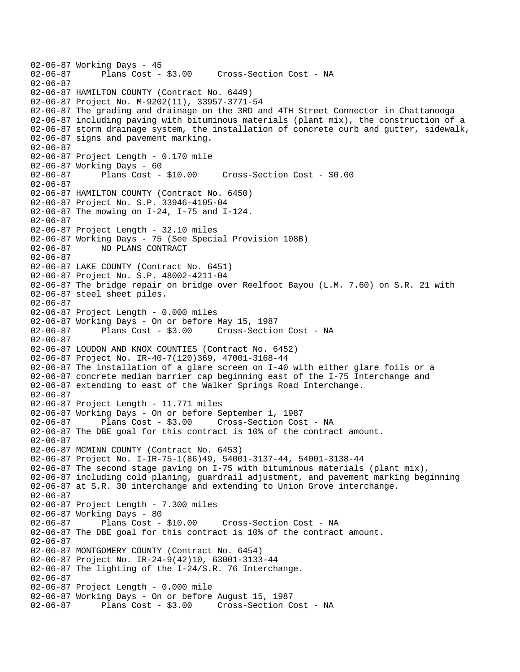```
02-06-87 Working Days - 45<br>02-06-87 Plans Cost -
              Plans Cost - $3.00 Cross-Section Cost - NA
02-06-87 
02-06-87 HAMILTON COUNTY (Contract No. 6449) 
02-06-87 Project No. M-9202(11), 33957-3771-54 
02-06-87 The grading and drainage on the 3RD and 4TH Street Connector in Chattanooga 
02-06-87 including paving with bituminous materials (plant mix), the construction of a 
02-06-87 storm drainage system, the installation of concrete curb and gutter, sidewalk, 
02-06-87 signs and pavement marking. 
02-06-87 
02-06-87 Project Length - 0.170 mile
02-06-87 Working Days - 60 
02-06-87 Plans Cost - $10.00 Cross-Section Cost - $0.00 
02-06-87 
02-06-87 HAMILTON COUNTY (Contract No. 6450) 
02-06-87 Project No. S.P. 33946-4105-04 
02-06-87 The mowing on I-24, I-75 and I-124. 
02-06-87 
02-06-87 Project Length - 32.10 miles 
02-06-87 Working Days - 75 (See Special Provision 108B) 
02-06-87 NO PLANS CONTRACT 
02-06-87 
02-06-87 LAKE COUNTY (Contract No. 6451) 
02-06-87 Project No. S.P. 48002-4211-04 
02-06-87 The bridge repair on bridge over Reelfoot Bayou (L.M. 7.60) on S.R. 21 with 
02-06-87 steel sheet piles. 
02-06-87 
02-06-87 Project Length - 0.000 miles 
02-06-87 Working Days - On or before May 15, 1987 
02-06-87 Plans Cost - $3.00 Cross-Section Cost - NA 
02-06-87 
02-06-87 LOUDON AND KNOX COUNTIES (Contract No. 6452) 
02-06-87 Project No. IR-40-7(120)369, 47001-3168-44 
02-06-87 The installation of a glare screen on I-40 with either glare foils or a 
02-06-87 concrete median barrier cap beginning east of the I-75 Interchange and 
02-06-87 extending to east of the Walker Springs Road Interchange. 
02-06-87 
02-06-87 Project Length - 11.771 miles 
02-06-87 Working Days - On or before September 1, 1987 
02-06-87 Plans Cost - $3.00 Cross-Section Cost - NA 
02-06-87 The DBE goal for this contract is 10% of the contract amount. 
02-06-87 
02-06-87 MCMINN COUNTY (Contract No. 6453) 
02-06-87 Project No. I-IR-75-1(86)49, 54001-3137-44, 54001-3138-44 
02-06-87 The second stage paving on I-75 with bituminous materials (plant mix), 
02-06-87 including cold planing, guardrail adjustment, and pavement marking beginning 
02-06-87 at S.R. 30 interchange and extending to Union Grove interchange. 
02-06-87 
02-06-87 Project Length - 7.300 miles
02-06-87 Working Days - 80 
02-06-87 Plans Cost - $10.00 Cross-Section Cost - NA 
02-06-87 The DBE goal for this contract is 10% of the contract amount. 
02-06-87 
02-06-87 MONTGOMERY COUNTY (Contract No. 6454) 
02-06-87 Project No. IR-24-9(42)10, 63001-3133-44 
02-06-87 The lighting of the I-24/S.R. 76 Interchange. 
02-06-87 
02-06-87 Project Length - 0.000 mile 
02-06-87 Working Days - On or before August 15, 1987 
02-06-87 Plans Cost - $3.00 Cross-Section Cost - NA
```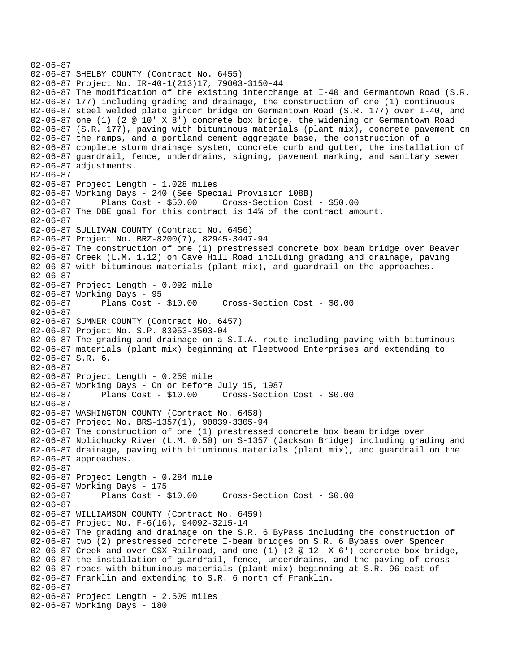02-06-87 02-06-87 SHELBY COUNTY (Contract No. 6455) 02-06-87 Project No. IR-40-1(213)17, 79003-3150-44 02-06-87 The modification of the existing interchange at I-40 and Germantown Road (S.R. 02-06-87 177) including grading and drainage, the construction of one (1) continuous 02-06-87 steel welded plate girder bridge on Germantown Road (S.R. 177) over I-40, and 02-06-87 one (1) (2 @ 10' X 8') concrete box bridge, the widening on Germantown Road 02-06-87 (S.R. 177), paving with bituminous materials (plant mix), concrete pavement on 02-06-87 the ramps, and a portland cement aggregate base, the construction of a 02-06-87 complete storm drainage system, concrete curb and gutter, the installation of 02-06-87 guardrail, fence, underdrains, signing, pavement marking, and sanitary sewer 02-06-87 adjustments. 02-06-87 02-06-87 Project Length - 1.028 miles 02-06-87 Working Days - 240 (See Special Provision 108B) 02-06-87 Plans Cost - \$50.00 Cross-Section Cost - \$50.00 02-06-87 The DBE goal for this contract is 14% of the contract amount. 02-06-87 02-06-87 SULLIVAN COUNTY (Contract No. 6456) 02-06-87 Project No. BRZ-8200(7), 82945-3447-94 02-06-87 The construction of one (1) prestressed concrete box beam bridge over Beaver 02-06-87 Creek (L.M. 1.12) on Cave Hill Road including grading and drainage, paving 02-06-87 with bituminous materials (plant mix), and guardrail on the approaches. 02-06-87 02-06-87 Project Length - 0.092 mile 02-06-87 Working Days - 95 02-06-87 Plans Cost - \$10.00 Cross-Section Cost - \$0.00 02-06-87 02-06-87 SUMNER COUNTY (Contract No. 6457) 02-06-87 Project No. S.P. 83953-3503-04 02-06-87 The grading and drainage on a S.I.A. route including paving with bituminous 02-06-87 materials (plant mix) beginning at Fleetwood Enterprises and extending to 02-06-87 S.R. 6. 02-06-87 02-06-87 Project Length - 0.259 mile 02-06-87 Working Days - On or before July 15, 1987 02-06-87 Plans Cost - \$10.00 Cross-Section Cost - \$0.00 02-06-87 02-06-87 WASHINGTON COUNTY (Contract No. 6458) 02-06-87 Project No. BRS-1357(1), 90039-3305-94 02-06-87 The construction of one (1) prestressed concrete box beam bridge over 02-06-87 Nolichucky River (L.M. 0.50) on S-1357 (Jackson Bridge) including grading and 02-06-87 drainage, paving with bituminous materials (plant mix), and guardrail on the 02-06-87 approaches. 02-06-87 02-06-87 Project Length - 0.284 mile 02-06-87 Working Days - 175 02-06-87 Plans Cost - \$10.00 Cross-Section Cost - \$0.00 02-06-87 02-06-87 WILLIAMSON COUNTY (Contract No. 6459) 02-06-87 Project No. F-6(16), 94092-3215-14 02-06-87 The grading and drainage on the S.R. 6 ByPass including the construction of 02-06-87 two (2) prestressed concrete I-beam bridges on S.R. 6 Bypass over Spencer 02-06-87 Creek and over CSX Railroad, and one (1) (2 @ 12' X 6') concrete box bridge, 02-06-87 the installation of guardrail, fence, underdrains, and the paving of cross 02-06-87 roads with bituminous materials (plant mix) beginning at S.R. 96 east of 02-06-87 Franklin and extending to S.R. 6 north of Franklin. 02-06-87 02-06-87 Project Length - 2.509 miles 02-06-87 Working Days - 180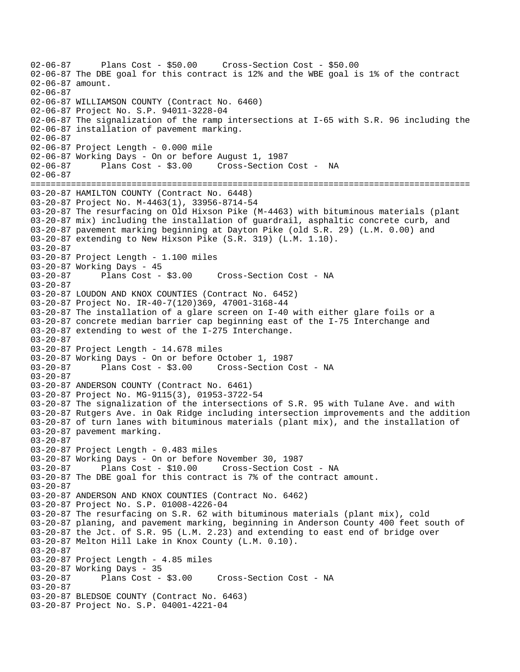02-06-87 Plans Cost - \$50.00 Cross-Section Cost - \$50.00 02-06-87 The DBE goal for this contract is 12% and the WBE goal is 1% of the contract 02-06-87 amount. 02-06-87 02-06-87 WILLIAMSON COUNTY (Contract No. 6460) 02-06-87 Project No. S.P. 94011-3228-04 02-06-87 The signalization of the ramp intersections at I-65 with S.R. 96 including the 02-06-87 installation of pavement marking. 02-06-87 02-06-87 Project Length - 0.000 mile 02-06-87 Working Days - On or before August 1, 1987 02-06-87 Plans Cost - \$3.00 Cross-Section Cost - NA 02-06-87 ======================================================================================= 03-20-87 HAMILTON COUNTY (Contract No. 6448) 03-20-87 Project No. M-4463(1), 33956-8714-54 03-20-87 The resurfacing on Old Hixson Pike (M-4463) with bituminous materials (plant 03-20-87 mix) including the installation of guardrail, asphaltic concrete curb, and 03-20-87 pavement marking beginning at Dayton Pike (old S.R. 29) (L.M. 0.00) and 03-20-87 extending to New Hixson Pike (S.R. 319) (L.M. 1.10). 03-20-87 03-20-87 Project Length - 1.100 miles 03-20-87 Working Days - 45 03-20-87 Plans Cost - \$3.00 Cross-Section Cost - NA 03-20-87 03-20-87 LOUDON AND KNOX COUNTIES (Contract No. 6452) 03-20-87 Project No. IR-40-7(120)369, 47001-3168-44 03-20-87 The installation of a glare screen on I-40 with either glare foils or a 03-20-87 concrete median barrier cap beginning east of the I-75 Interchange and 03-20-87 extending to west of the I-275 Interchange. 03-20-87 03-20-87 Project Length - 14.678 miles 03-20-87 Working Days - On or before October 1, 1987 03-20-87 Plans Cost - \$3.00 Cross-Section Cost - NA 03-20-87 03-20-87 ANDERSON COUNTY (Contract No. 6461) 03-20-87 Project No. MG-9115(3), 01953-3722-54 03-20-87 The signalization of the intersections of S.R. 95 with Tulane Ave. and with 03-20-87 Rutgers Ave. in Oak Ridge including intersection improvements and the addition 03-20-87 of turn lanes with bituminous materials (plant mix), and the installation of 03-20-87 pavement marking. 03-20-87 03-20-87 Project Length - 0.483 miles 03-20-87 Working Days - On or before November 30, 1987 03-20-87 Plans Cost - \$10.00 Cross-Section Cost - NA 03-20-87 The DBE goal for this contract is 7% of the contract amount. 03-20-87 03-20-87 ANDERSON AND KNOX COUNTIES (Contract No. 6462) 03-20-87 Project No. S.P. 01008-4226-04 03-20-87 The resurfacing on S.R. 62 with bituminous materials (plant mix), cold 03-20-87 planing, and pavement marking, beginning in Anderson County 400 feet south of 03-20-87 the Jct. of S.R. 95 (L.M. 2.23) and extending to east end of bridge over 03-20-87 Melton Hill Lake in Knox County (L.M. 0.10). 03-20-87 03-20-87 Project Length - 4.85 miles 03-20-87 Working Days - 35 03-20-87 Plans Cost - \$3.00 Cross-Section Cost - NA 03-20-87 03-20-87 BLEDSOE COUNTY (Contract No. 6463) 03-20-87 Project No. S.P. 04001-4221-04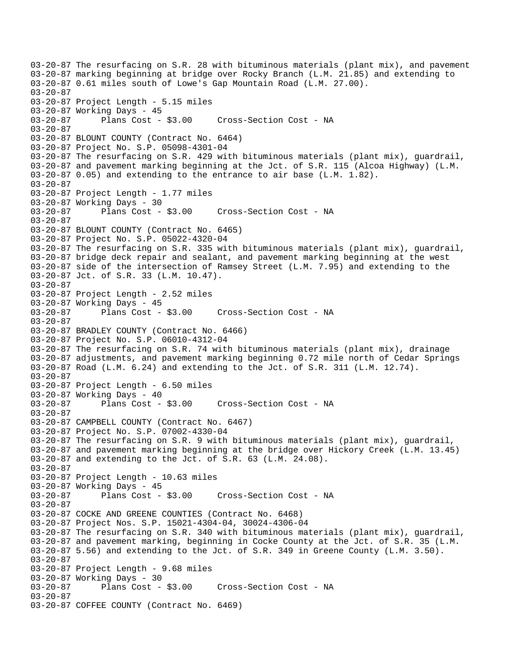03-20-87 The resurfacing on S.R. 28 with bituminous materials (plant mix), and pavement 03-20-87 marking beginning at bridge over Rocky Branch (L.M. 21.85) and extending to 03-20-87 0.61 miles south of Lowe's Gap Mountain Road (L.M. 27.00). 03-20-87 03-20-87 Project Length - 5.15 miles 03-20-87 Working Days - 45 03-20-87 Plans Cost - \$3.00 Cross-Section Cost - NA 03-20-87 03-20-87 BLOUNT COUNTY (Contract No. 6464) 03-20-87 Project No. S.P. 05098-4301-04 03-20-87 The resurfacing on S.R. 429 with bituminous materials (plant mix), guardrail, 03-20-87 and pavement marking beginning at the Jct. of S.R. 115 (Alcoa Highway) (L.M. 03-20-87 0.05) and extending to the entrance to air base (L.M. 1.82). 03-20-87 03-20-87 Project Length - 1.77 miles 03-20-87 Working Days - 30 03-20-87 Plans Cost - \$3.00 Cross-Section Cost - NA 03-20-87 03-20-87 BLOUNT COUNTY (Contract No. 6465) 03-20-87 Project No. S.P. 05022-4320-04 03-20-87 The resurfacing on S.R. 335 with bituminous materials (plant mix), guardrail, 03-20-87 bridge deck repair and sealant, and pavement marking beginning at the west 03-20-87 side of the intersection of Ramsey Street (L.M. 7.95) and extending to the 03-20-87 Jct. of S.R. 33 (L.M. 10.47). 03-20-87 03-20-87 Project Length - 2.52 miles 03-20-87 Working Days - 45<br>03-20-87 Plans Cost - \$3.00 Cross-Section Cost - NA 03-20-87 03-20-87 BRADLEY COUNTY (Contract No. 6466) 03-20-87 Project No. S.P. 06010-4312-04 03-20-87 The resurfacing on S.R. 74 with bituminous materials (plant mix), drainage 03-20-87 adjustments, and pavement marking beginning 0.72 mile north of Cedar Springs 03-20-87 Road (L.M. 6.24) and extending to the Jct. of S.R. 311 (L.M. 12.74). 03-20-87 03-20-87 Project Length - 6.50 miles 03-20-87 Working Days - 40<br>03-20-87 Plans Cost - \$3.00 03-20-87 Plans Cost - \$3.00 Cross-Section Cost - NA 03-20-87 03-20-87 CAMPBELL COUNTY (Contract No. 6467) 03-20-87 Project No. S.P. 07002-4330-04 03-20-87 The resurfacing on S.R. 9 with bituminous materials (plant mix), guardrail, 03-20-87 and pavement marking beginning at the bridge over Hickory Creek (L.M. 13.45) 03-20-87 and extending to the Jct. of S.R. 63 (L.M. 24.08). 03-20-87 03-20-87 Project Length - 10.63 miles 03-20-87 Working Days - 45<br>03-20-87 Plans Cost - \$3.00 Cross-Section Cost - NA 03-20-87 03-20-87 COCKE AND GREENE COUNTIES (Contract No. 6468) 03-20-87 Project Nos. S.P. 15021-4304-04, 30024-4306-04 03-20-87 The resurfacing on S.R. 340 with bituminous materials (plant mix), guardrail, 03-20-87 and pavement marking, beginning in Cocke County at the Jct. of S.R. 35 (L.M. 03-20-87 5.56) and extending to the Jct. of S.R. 349 in Greene County (L.M. 3.50). 03-20-87 03-20-87 Project Length - 9.68 miles 03-20-87 Working Days - 30 Cross-Section Cost - NA 03-20-87 03-20-87 COFFEE COUNTY (Contract No. 6469)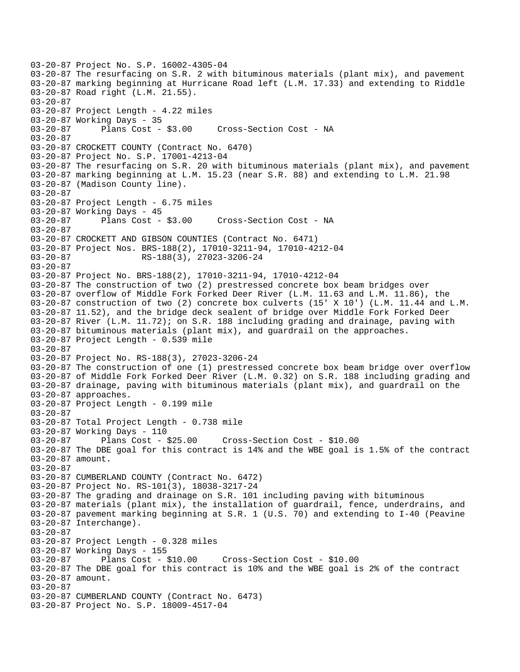03-20-87 Project No. S.P. 16002-4305-04 03-20-87 The resurfacing on S.R. 2 with bituminous materials (plant mix), and pavement 03-20-87 marking beginning at Hurricane Road left (L.M. 17.33) and extending to Riddle 03-20-87 Road right (L.M. 21.55). 03-20-87 03-20-87 Project Length - 4.22 miles 03-20-87 Working Days - 35 03-20-87 Plans Cost - \$3.00 Cross-Section Cost - NA 03-20-87 03-20-87 CROCKETT COUNTY (Contract No. 6470) 03-20-87 Project No. S.P. 17001-4213-04 03-20-87 The resurfacing on S.R. 20 with bituminous materials (plant mix), and pavement 03-20-87 marking beginning at L.M. 15.23 (near S.R. 88) and extending to L.M. 21.98 03-20-87 (Madison County line). 03-20-87 03-20-87 Project Length - 6.75 miles 03-20-87 Working Days - 45 03-20-87 Plans Cost - \$3.00 Cross-Section Cost - NA 03-20-87 03-20-87 CROCKETT AND GIBSON COUNTIES (Contract No. 6471) 03-20-87 Project Nos. BRS-188(2), 17010-3211-94, 17010-4212-04<br>03-20-87 RS-188(3), 27023-3206-24 RS-188(3), 27023-3206-24 03-20-87 03-20-87 Project No. BRS-188(2), 17010-3211-94, 17010-4212-04 03-20-87 The construction of two (2) prestressed concrete box beam bridges over 03-20-87 overflow of Middle Fork Forked Deer River (L.M. 11.63 and L.M. 11.86), the 03-20-87 construction of two (2) concrete box culverts (15' X 10') (L.M. 11.44 and L.M. 03-20-87 11.52), and the bridge deck sealent of bridge over Middle Fork Forked Deer 03-20-87 River (L.M. 11.72); on S.R. 188 including grading and drainage, paving with 03-20-87 bituminous materials (plant mix), and guardrail on the approaches. 03-20-87 Project Length - 0.539 mile 03-20-87 03-20-87 Project No. RS-188(3), 27023-3206-24 03-20-87 The construction of one (1) prestressed concrete box beam bridge over overflow 03-20-87 of Middle Fork Forked Deer River (L.M. 0.32) on S.R. 188 including grading and 03-20-87 drainage, paving with bituminous materials (plant mix), and guardrail on the 03-20-87 approaches. 03-20-87 Project Length - 0.199 mile 03-20-87 03-20-87 Total Project Length - 0.738 mile 03-20-87 Working Days - 110 03-20-87 Plans Cost - \$25.00 Cross-Section Cost - \$10.00 03-20-87 The DBE goal for this contract is 14% and the WBE goal is 1.5% of the contract 03-20-87 amount. 03-20-87 03-20-87 CUMBERLAND COUNTY (Contract No. 6472) 03-20-87 Project No. RS-101(3), 18038-3217-24 03-20-87 The grading and drainage on S.R. 101 including paving with bituminous 03-20-87 materials (plant mix), the installation of guardrail, fence, underdrains, and 03-20-87 pavement marking beginning at S.R. 1 (U.S. 70) and extending to I-40 (Peavine 03-20-87 Interchange). 03-20-87 03-20-87 Project Length - 0.328 miles 03-20-87 Working Days - 155 03-20-87 Plans Cost - \$10.00 Cross-Section Cost - \$10.00 03-20-87 The DBE goal for this contract is 10% and the WBE goal is 2% of the contract 03-20-87 amount. 03-20-87 03-20-87 CUMBERLAND COUNTY (Contract No. 6473) 03-20-87 Project No. S.P. 18009-4517-04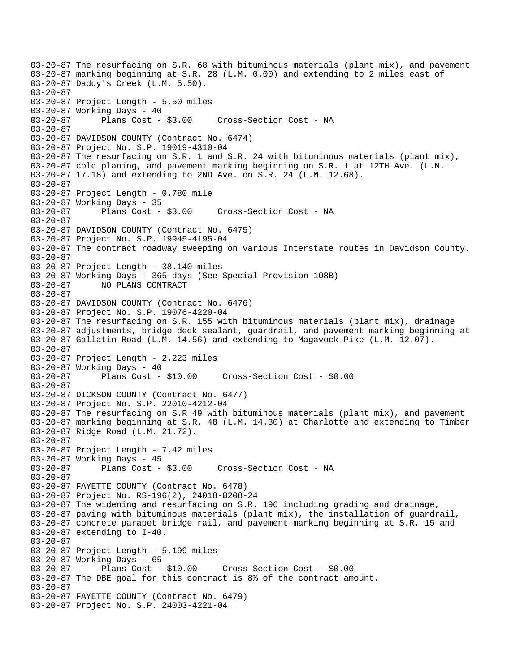03-20-87 The resurfacing on S.R. 68 with bituminous materials (plant mix), and pavement 03-20-87 marking beginning at S.R. 28 (L.M. 0.00) and extending to 2 miles east of 03-20-87 Daddy's Creek (L.M. 5.50). 03-20-87 03-20-87 Project Length - 5.50 miles 03-20-87 Working Days - 40<br>03-20-87 Plans Cost - \$3.00 03-20-87 Plans Cost - \$3.00 Cross-Section Cost - NA 03-20-87 03-20-87 DAVIDSON COUNTY (Contract No. 6474) 03-20-87 Project No. S.P. 19019-4310-04 03-20-87 The resurfacing on S.R. 1 and S.R. 24 with bituminous materials (plant mix), 03-20-87 cold planing, and pavement marking beginning on S.R. 1 at 12TH Ave. (L.M. 03-20-87 17.18) and extending to 2ND Ave. on S.R. 24 (L.M. 12.68). 03-20-87 03-20-87 Project Length - 0.780 mile 03-20-87 Working Days - 35 03-20-87 Plans Cost - \$3.00 Cross-Section Cost - NA 03-20-87 03-20-87 DAVIDSON COUNTY (Contract No. 6475) 03-20-87 Project No. S.P. 19945-4195-04 03-20-87 The contract roadway sweeping on various Interstate routes in Davidson County. 03-20-87 03-20-87 Project Length - 38.140 miles 03-20-87 Working Days - 365 days (See Special Provision 108B)<br>03-20-87 NO PLANS CONTRACT NO PLANS CONTRACT  $03 - 20 - 87$ 03-20-87 DAVIDSON COUNTY (Contract No. 6476) 03-20-87 Project No. S.P. 19076-4220-04 03-20-87 The resurfacing on S.R. 155 with bituminous materials (plant mix), drainage 03-20-87 adjustments, bridge deck sealant, guardrail, and pavement marking beginning at 03-20-87 Gallatin Road (L.M. 14.56) and extending to Magavock Pike (L.M. 12.07). 03-20-87 03-20-87 Project Length - 2.223 miles 03-20-87 Working Days - 40 03-20-87 Plans Cost - \$10.00 Cross-Section Cost - \$0.00 03-20-87 03-20-87 DICKSON COUNTY (Contract No. 6477) 03-20-87 Project No. S.P. 22010-4212-04 03-20-87 The resurfacing on S.R 49 with bituminous materials (plant mix), and pavement 03-20-87 marking beginning at S.R. 48 (L.M. 14.30) at Charlotte and extending to Timber 03-20-87 Ridge Road (L.M. 21.72). 03-20-87 03-20-87 Project Length - 7.42 miles 03-20-87 Working Days - 45 03-20-87 Plans Cost - \$3.00 Cross-Section Cost - NA 03-20-87 03-20-87 FAYETTE COUNTY (Contract No. 6478) 03-20-87 Project No. RS-196(2), 24018-8208-24 03-20-87 The widening and resurfacing on S.R. 196 including grading and drainage, 03-20-87 paving with bituminous materials (plant mix), the installation of guardrail, 03-20-87 concrete parapet bridge rail, and pavement marking beginning at S.R. 15 and 03-20-87 extending to I-40. 03-20-87 03-20-87 Project Length - 5.199 miles 03-20-87 Working Days - 65<br>03-20-87 Plans Cost - \$10.00 03-20-87 Plans Cost - \$10.00 Cross-Section Cost - \$0.00 03-20-87 The DBE goal for this contract is 8% of the contract amount. 03-20-87 03-20-87 FAYETTE COUNTY (Contract No. 6479) 03-20-87 Project No. S.P. 24003-4221-04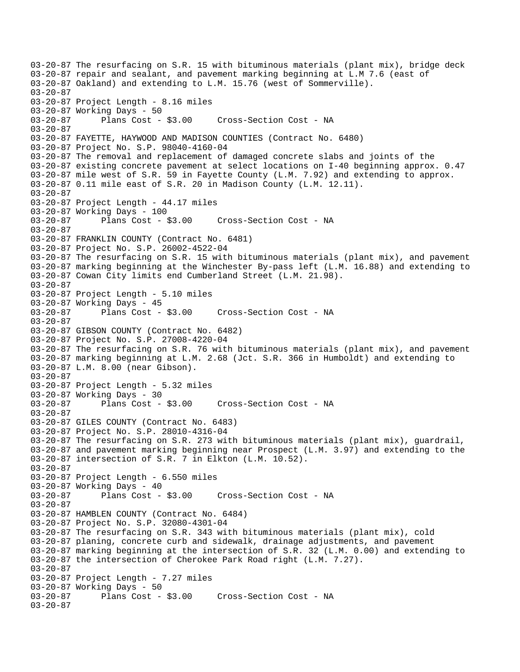03-20-87 The resurfacing on S.R. 15 with bituminous materials (plant mix), bridge deck 03-20-87 repair and sealant, and pavement marking beginning at L.M 7.6 (east of 03-20-87 Oakland) and extending to L.M. 15.76 (west of Sommerville). 03-20-87 03-20-87 Project Length - 8.16 miles 03-20-87 Working Days - 50 03-20-87 Plans Cost - \$3.00 Cross-Section Cost - NA 03-20-87 03-20-87 FAYETTE, HAYWOOD AND MADISON COUNTIES (Contract No. 6480) 03-20-87 Project No. S.P. 98040-4160-04 03-20-87 The removal and replacement of damaged concrete slabs and joints of the 03-20-87 existing concrete pavement at select locations on I-40 beginning approx. 0.47 03-20-87 mile west of S.R. 59 in Fayette County (L.M. 7.92) and extending to approx. 03-20-87 0.11 mile east of S.R. 20 in Madison County (L.M. 12.11). 03-20-87 03-20-87 Project Length - 44.17 miles 03-20-87 Working Days - 100 03-20-87 Plans Cost - \$3.00 Cross-Section Cost - NA 03-20-87 03-20-87 FRANKLIN COUNTY (Contract No. 6481) 03-20-87 Project No. S.P. 26002-4522-04 03-20-87 The resurfacing on S.R. 15 with bituminous materials (plant mix), and pavement 03-20-87 marking beginning at the Winchester By-pass left (L.M. 16.88) and extending to 03-20-87 Cowan City limits end Cumberland Street (L.M. 21.98). 03-20-87 03-20-87 Project Length - 5.10 miles 03-20-87 Working Days - 45<br>03-20-87 Plans Cost - \$3.00 Cross-Section Cost - NA 03-20-87 03-20-87 GIBSON COUNTY (Contract No. 6482) 03-20-87 Project No. S.P. 27008-4220-04 03-20-87 The resurfacing on S.R. 76 with bituminous materials (plant mix), and pavement 03-20-87 marking beginning at L.M. 2.68 (Jct. S.R. 366 in Humboldt) and extending to 03-20-87 L.M. 8.00 (near Gibson). 03-20-87 03-20-87 Project Length - 5.32 miles 03-20-87 Working Days - 30 03-20-87 Plans Cost - \$3.00 Cross-Section Cost - NA 03-20-87 03-20-87 GILES COUNTY (Contract No. 6483) 03-20-87 Project No. S.P. 28010-4316-04 03-20-87 The resurfacing on S.R. 273 with bituminous materials (plant mix), guardrail, 03-20-87 and pavement marking beginning near Prospect (L.M. 3.97) and extending to the 03-20-87 intersection of S.R. 7 in Elkton (L.M. 10.52). 03-20-87 03-20-87 Project Length - 6.550 miles 03-20-87 Working Days - 40<br>03-20-87 Plans Cost - \$3.00 Cross-Section Cost - NA 03-20-87 03-20-87 HAMBLEN COUNTY (Contract No. 6484) 03-20-87 Project No. S.P. 32080-4301-04 03-20-87 The resurfacing on S.R. 343 with bituminous materials (plant mix), cold 03-20-87 planing, concrete curb and sidewalk, drainage adjustments, and pavement 03-20-87 marking beginning at the intersection of S.R. 32 (L.M. 0.00) and extending to 03-20-87 the intersection of Cherokee Park Road right (L.M. 7.27). 03-20-87 03-20-87 Project Length - 7.27 miles 03-20-87 Working Days - 50 Cross-Section Cost - NA 03-20-87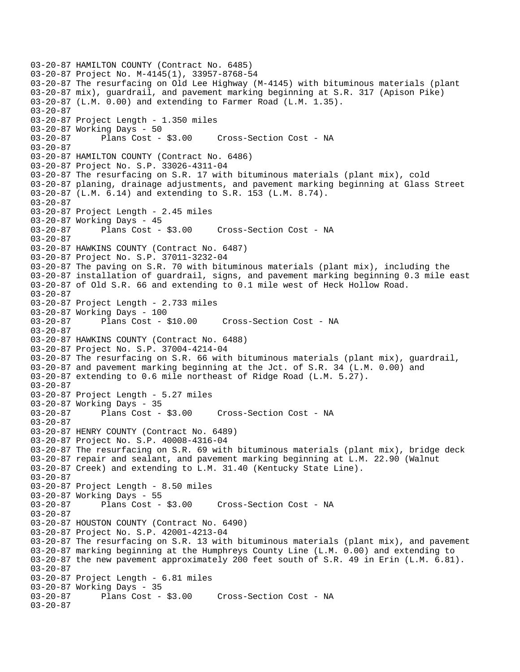03-20-87 HAMILTON COUNTY (Contract No. 6485) 03-20-87 Project No. M-4145(1), 33957-8768-54 03-20-87 The resurfacing on Old Lee Highway (M-4145) with bituminous materials (plant 03-20-87 mix), guardrail, and pavement marking beginning at S.R. 317 (Apison Pike) 03-20-87 (L.M. 0.00) and extending to Farmer Road (L.M. 1.35). 03-20-87 03-20-87 Project Length - 1.350 miles 03-20-87 Working Days - 50 03-20-87 Plans Cost - \$3.00 Cross-Section Cost - NA 03-20-87 03-20-87 HAMILTON COUNTY (Contract No. 6486) 03-20-87 Project No. S.P. 33026-4311-04 03-20-87 The resurfacing on S.R. 17 with bituminous materials (plant mix), cold 03-20-87 planing, drainage adjustments, and pavement marking beginning at Glass Street 03-20-87 (L.M. 6.14) and extending to S.R. 153 (L.M. 8.74). 03-20-87 03-20-87 Project Length - 2.45 miles 03-20-87 Working Days - 45 03-20-87 Plans Cost - \$3.00 Cross-Section Cost - NA 03-20-87 03-20-87 HAWKINS COUNTY (Contract No. 6487) 03-20-87 Project No. S.P. 37011-3232-04 03-20-87 The paving on S.R. 70 with bituminous materials (plant mix), including the 03-20-87 installation of guardrail, signs, and pavement marking beginning 0.3 mile east 03-20-87 of Old S.R. 66 and extending to 0.1 mile west of Heck Hollow Road. 03-20-87 03-20-87 Project Length - 2.733 miles 03-20-87 Working Days - 100 03-20-87 Plans Cost - \$10.00 Cross-Section Cost - NA 03-20-87 03-20-87 HAWKINS COUNTY (Contract No. 6488) 03-20-87 Project No. S.P. 37004-4214-04 03-20-87 The resurfacing on S.R. 66 with bituminous materials (plant mix), guardrail, 03-20-87 and pavement marking beginning at the Jct. of S.R. 34 (L.M. 0.00) and 03-20-87 extending to 0.6 mile northeast of Ridge Road (L.M. 5.27). 03-20-87 03-20-87 Project Length - 5.27 miles 03-20-87 Working Days - 35 03-20-87 Plans Cost - \$3.00 Cross-Section Cost - NA 03-20-87 03-20-87 HENRY COUNTY (Contract No. 6489) 03-20-87 Project No. S.P. 40008-4316-04 03-20-87 The resurfacing on S.R. 69 with bituminous materials (plant mix), bridge deck 03-20-87 repair and sealant, and pavement marking beginning at L.M. 22.90 (Walnut 03-20-87 Creek) and extending to L.M. 31.40 (Kentucky State Line). 03-20-87 03-20-87 Project Length - 8.50 miles 03-20-87 Working Days - 55<br>03-20-87 Plans Cost -Plans Cost - \$3.00 Cross-Section Cost - NA 03-20-87 03-20-87 HOUSTON COUNTY (Contract No. 6490) 03-20-87 Project No. S.P. 42001-4213-04 03-20-87 The resurfacing on S.R. 13 with bituminous materials (plant mix), and pavement 03-20-87 marking beginning at the Humphreys County Line (L.M. 0.00) and extending to 03-20-87 the new pavement approximately 200 feet south of S.R. 49 in Erin (L.M. 6.81). 03-20-87 03-20-87 Project Length - 6.81 miles 03-20-87 Working Days - 35<br>03-20-87 Plans Cost - \$3.00 Cross-Section Cost - NA 03-20-87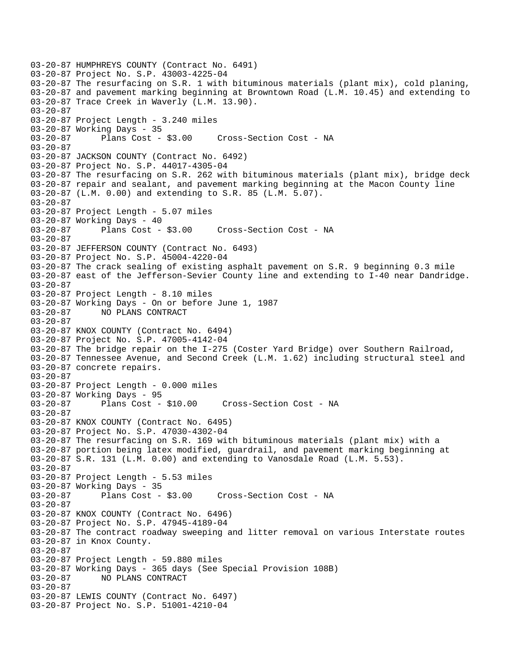```
03-20-87 HUMPHREYS COUNTY (Contract No. 6491) 
03-20-87 Project No. S.P. 43003-4225-04 
03-20-87 The resurfacing on S.R. 1 with bituminous materials (plant mix), cold planing, 
03-20-87 and pavement marking beginning at Browntown Road (L.M. 10.45) and extending to 
03-20-87 Trace Creek in Waverly (L.M. 13.90). 
03-20-87 
03-20-87 Project Length - 3.240 miles 
03-20-87 Working Days - 35 
03-20-87 Plans Cost - $3.00 Cross-Section Cost - NA 
03-20-87 
03-20-87 JACKSON COUNTY (Contract No. 6492) 
03-20-87 Project No. S.P. 44017-4305-04 
03-20-87 The resurfacing on S.R. 262 with bituminous materials (plant mix), bridge deck 
03-20-87 repair and sealant, and pavement marking beginning at the Macon County line 
03-20-87 (L.M. 0.00) and extending to S.R. 85 (L.M. 5.07). 
03-20-87 
03-20-87 Project Length - 5.07 miles 
03-20-87 Working Days - 40 
03-20-87 Plans Cost - $3.00 Cross-Section Cost - NA 
03-20-87 
03-20-87 JEFFERSON COUNTY (Contract No. 6493) 
03-20-87 Project No. S.P. 45004-4220-04 
03-20-87 The crack sealing of existing asphalt pavement on S.R. 9 beginning 0.3 mile 
03-20-87 east of the Jefferson-Sevier County line and extending to I-40 near Dandridge. 
03-20-87 
03-20-87 Project Length - 8.10 miles 
03-20-87 Working Days - On or before June 1, 1987<br>03-20-87     NO PLANS CONTRACT
              03-20-87 NO PLANS CONTRACT 
03-20-87 
03-20-87 KNOX COUNTY (Contract No. 6494) 
03-20-87 Project No. S.P. 47005-4142-04 
03-20-87 The bridge repair on the I-275 (Coster Yard Bridge) over Southern Railroad, 
03-20-87 Tennessee Avenue, and Second Creek (L.M. 1.62) including structural steel and 
03-20-87 concrete repairs. 
03-20-87 
03-20-87 Project Length - 0.000 miles 
03-20-87 Working Days - 95 
03-20-87 Plans Cost - $10.00 Cross-Section Cost - NA 
03-20-87 
03-20-87 KNOX COUNTY (Contract No. 6495) 
03-20-87 Project No. S.P. 47030-4302-04 
03-20-87 The resurfacing on S.R. 169 with bituminous materials (plant mix) with a 
03-20-87 portion being latex modified, guardrail, and pavement marking beginning at 
03-20-87 S.R. 131 (L.M. 0.00) and extending to Vanosdale Road (L.M. 5.53). 
03-20-87 
03-20-87 Project Length - 5.53 miles 
03-20-87 Working Days - 35<br>03-20-87 Plans Cost - $3.00
                                     Cross-Section Cost - NA
03-20-87 
03-20-87 KNOX COUNTY (Contract No. 6496) 
03-20-87 Project No. S.P. 47945-4189-04 
03-20-87 The contract roadway sweeping and litter removal on various Interstate routes 
03-20-87 in Knox County. 
03-20-87 
03-20-87 Project Length - 59.880 miles 
03-20-87 Working Days - 365 days (See Special Provision 108B) 
03-20-87 NO PLANS CONTRACT 
03-20-87 
03-20-87 LEWIS COUNTY (Contract No. 6497) 
03-20-87 Project No. S.P. 51001-4210-04
```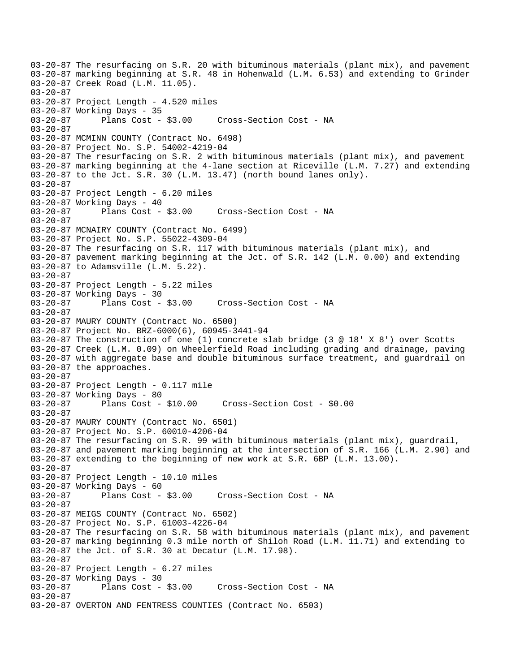03-20-87 The resurfacing on S.R. 20 with bituminous materials (plant mix), and pavement 03-20-87 marking beginning at S.R. 48 in Hohenwald (L.M. 6.53) and extending to Grinder 03-20-87 Creek Road (L.M. 11.05). 03-20-87 03-20-87 Project Length - 4.520 miles 03-20-87 Working Days - 35<br>03-20-87 Plans Cost - \$3.00 03-20-87 Plans Cost - \$3.00 Cross-Section Cost - NA 03-20-87 03-20-87 MCMINN COUNTY (Contract No. 6498) 03-20-87 Project No. S.P. 54002-4219-04 03-20-87 The resurfacing on S.R. 2 with bituminous materials (plant mix), and pavement 03-20-87 marking beginning at the 4-lane section at Riceville (L.M. 7.27) and extending  $03-20-87$  to the Jct. S.R. 30 (L.M. 13.47) (north bound lanes only). 03-20-87 03-20-87 Project Length - 6.20 miles 03-20-87 Working Days - 40 03-20-87 Plans Cost - \$3.00 Cross-Section Cost - NA 03-20-87 03-20-87 MCNAIRY COUNTY (Contract No. 6499) 03-20-87 Project No. S.P. 55022-4309-04 03-20-87 The resurfacing on S.R. 117 with bituminous materials (plant mix), and 03-20-87 pavement marking beginning at the Jct. of S.R. 142 (L.M. 0.00) and extending 03-20-87 to Adamsville (L.M. 5.22). 03-20-87 03-20-87 Project Length - 5.22 miles 03-20-87 Working Days - 30 03-20-87 Plans Cost - \$3.00 Cross-Section Cost - NA 03-20-87 03-20-87 MAURY COUNTY (Contract No. 6500) 03-20-87 Project No. BRZ-6000(6), 60945-3441-94 03-20-87 The construction of one (1) concrete slab bridge (3 @ 18' X 8') over Scotts 03-20-87 Creek (L.M. 0.09) on Wheelerfield Road including grading and drainage, paving 03-20-87 with aggregate base and double bituminous surface treatment, and guardrail on 03-20-87 the approaches. 03-20-87 03-20-87 Project Length - 0.117 mile 03-20-87 Working Days - 80 03-20-87 Plans Cost - \$10.00 Cross-Section Cost - \$0.00 03-20-87 03-20-87 MAURY COUNTY (Contract No. 6501) 03-20-87 Project No. S.P. 60010-4206-04 03-20-87 The resurfacing on S.R. 99 with bituminous materials (plant mix), guardrail, 03-20-87 and pavement marking beginning at the intersection of S.R. 166 (L.M. 2.90) and 03-20-87 extending to the beginning of new work at S.R. 6BP (L.M. 13.00). 03-20-87 03-20-87 Project Length - 10.10 miles 03-20-87 Working Days - 60<br>03-20-87 Plans Cost - \$3.00 Cross-Section Cost - NA 03-20-87 03-20-87 MEIGS COUNTY (Contract No. 6502) 03-20-87 Project No. S.P. 61003-4226-04 03-20-87 The resurfacing on S.R. 58 with bituminous materials (plant mix), and pavement 03-20-87 marking beginning 0.3 mile north of Shiloh Road (L.M. 11.71) and extending to 03-20-87 the Jct. of S.R. 30 at Decatur (L.M. 17.98). 03-20-87 03-20-87 Project Length - 6.27 miles 03-20-87 Working Days - 30 Cross-Section Cost - NA 03-20-87 03-20-87 OVERTON AND FENTRESS COUNTIES (Contract No. 6503)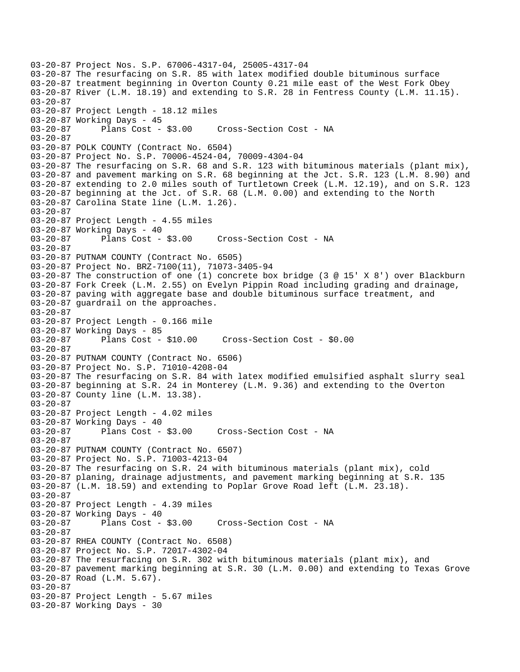```
03-20-87 Project Nos. S.P. 67006-4317-04, 25005-4317-04 
03-20-87 The resurfacing on S.R. 85 with latex modified double bituminous surface 
03-20-87 treatment beginning in Overton County 0.21 mile east of the West Fork Obey 
03-20-87 River (L.M. 18.19) and extending to S.R. 28 in Fentress County (L.M. 11.15). 
03-20-87 
03-20-87 Project Length - 18.12 miles 
03-20-87 Working Days - 45 
03-20-87 Plans Cost - $3.00 Cross-Section Cost - NA 
03-20-87 
03-20-87 POLK COUNTY (Contract No. 6504) 
03-20-87 Project No. S.P. 70006-4524-04, 70009-4304-04 
03-20-87 The resurfacing on S.R. 68 and S.R. 123 with bituminous materials (plant mix), 
03-20-87 and pavement marking on S.R. 68 beginning at the Jct. S.R. 123 (L.M. 8.90) and 
03-20-87 extending to 2.0 miles south of Turtletown Creek (L.M. 12.19), and on S.R. 123 
03-20-87 beginning at the Jct. of S.R. 68 (L.M. 0.00) and extending to the North 
03-20-87 Carolina State line (L.M. 1.26). 
03-20-87 
03-20-87 Project Length - 4.55 miles 
03-20-87 Working Days - 40 
03-20-87 Plans Cost - $3.00 Cross-Section Cost - NA 
03-20-87 
03-20-87 PUTNAM COUNTY (Contract No. 6505) 
03-20-87 Project No. BRZ-7100(11), 71073-3405-94 
03-20-87 The construction of one (1) concrete box bridge (3 @ 15' X 8') over Blackburn 
03-20-87 Fork Creek (L.M. 2.55) on Evelyn Pippin Road including grading and drainage, 
03-20-87 paving with aggregate base and double bituminous surface treatment, and 
03-20-87 guardrail on the approaches. 
03-20-87 
03-20-87 Project Length - 0.166 mile 
03-20-87 Working Days - 85 
03-20-87 Plans Cost - $10.00 Cross-Section Cost - $0.00 
03-20-87 
03-20-87 PUTNAM COUNTY (Contract No. 6506) 
03-20-87 Project No. S.P. 71010-4208-04 
03-20-87 The resurfacing on S.R. 84 with latex modified emulsified asphalt slurry seal 
03-20-87 beginning at S.R. 24 in Monterey (L.M. 9.36) and extending to the Overton 
03-20-87 County line (L.M. 13.38). 
03-20-87 
03-20-87 Project Length - 4.02 miles 
03-20-87 Working Days - 40 
03-20-87 Plans Cost - $3.00 Cross-Section Cost - NA 
03-20-87 
03-20-87 PUTNAM COUNTY (Contract No. 6507) 
03-20-87 Project No. S.P. 71003-4213-04 
03-20-87 The resurfacing on S.R. 24 with bituminous materials (plant mix), cold 
03-20-87 planing, drainage adjustments, and pavement marking beginning at S.R. 135 
03-20-87 (L.M. 18.59) and extending to Poplar Grove Road left (L.M. 23.18). 
03-20-87 
03-20-87 Project Length - 4.39 miles 
03-20-87 Working Days - 40<br>03-20-87 Plans Cost -
              Plans Cost - $3.00 Cross-Section Cost - NA
03-20-87 
03-20-87 RHEA COUNTY (Contract No. 6508) 
03-20-87 Project No. S.P. 72017-4302-04 
03-20-87 The resurfacing on S.R. 302 with bituminous materials (plant mix), and 
03-20-87 pavement marking beginning at S.R. 30 (L.M. 0.00) and extending to Texas Grove 
03-20-87 Road (L.M. 5.67). 
03-20-87 
03-20-87 Project Length - 5.67 miles 
03-20-87 Working Days - 30
```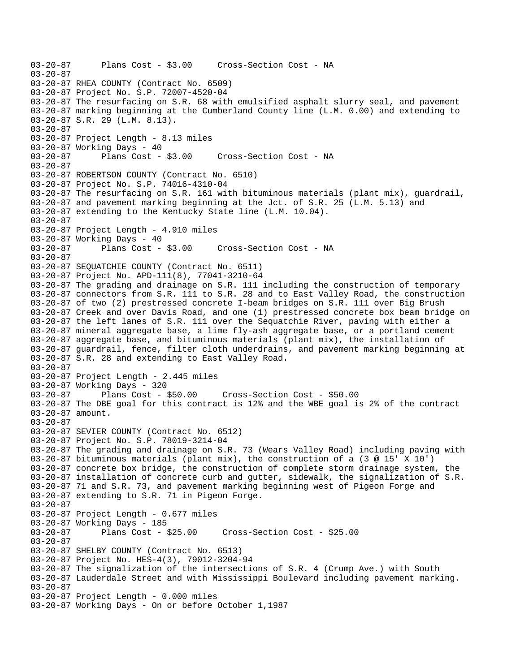```
03-20-87 Plans Cost - $3.00 Cross-Section Cost - NA 
03-20-87 
03-20-87 RHEA COUNTY (Contract No. 6509) 
03-20-87 Project No. S.P. 72007-4520-04 
03-20-87 The resurfacing on S.R. 68 with emulsified asphalt slurry seal, and pavement 
03-20-87 marking beginning at the Cumberland County line (L.M. 0.00) and extending to 
03-20-87 S.R. 29 (L.M. 8.13). 
03-20-87 
03-20-87 Project Length - 8.13 miles 
03-20-87 Working Days - 40 
03-20-87 Plans Cost - $3.00 Cross-Section Cost - NA 
03-20-87 
03-20-87 ROBERTSON COUNTY (Contract No. 6510) 
03-20-87 Project No. S.P. 74016-4310-04 
03-20-87 The resurfacing on S.R. 161 with bituminous materials (plant mix), guardrail, 
03-20-87 and pavement marking beginning at the Jct. of S.R. 25 (L.M. 5.13) and 
03-20-87 extending to the Kentucky State line (L.M. 10.04). 
03-20-87 
03-20-87 Project Length - 4.910 miles 
03-20-87 Working Days - 40 
03-20-87 Plans Cost - $3.00 Cross-Section Cost - NA 
03-20-87 
03-20-87 SEQUATCHIE COUNTY (Contract No. 6511) 
03-20-87 Project No. APD-111(8), 77041-3210-64 
03-20-87 The grading and drainage on S.R. 111 including the construction of temporary 
03-20-87 connectors from S.R. 111 to S.R. 28 and to East Valley Road, the construction 
03-20-87 of two (2) prestressed concrete I-beam bridges on S.R. 111 over Big Brush 
03-20-87 Creek and over Davis Road, and one (1) prestressed concrete box beam bridge on 
03-20-87 the left lanes of S.R. 111 over the Sequatchie River, paving with either a 
03-20-87 mineral aggregate base, a lime fly-ash aggregate base, or a portland cement 
03-20-87 aggregate base, and bituminous materials (plant mix), the installation of 
03-20-87 guardrail, fence, filter cloth underdrains, and pavement marking beginning at 
03-20-87 S.R. 28 and extending to East Valley Road. 
03-20-87 
03-20-87 Project Length - 2.445 miles 
03-20-87 Working Days - 320 
03-20-87 Plans Cost - $50.00 Cross-Section Cost - $50.00 
03-20-87 The DBE goal for this contract is 12% and the WBE goal is 2% of the contract 
03-20-87 amount. 
03-20-87 
03-20-87 SEVIER COUNTY (Contract No. 6512) 
03-20-87 Project No. S.P. 78019-3214-04 
03-20-87 The grading and drainage on S.R. 73 (Wears Valley Road) including paving with 
03-20-87 bituminous materials (plant mix), the construction of a (3 @ 15' X 10') 
03-20-87 concrete box bridge, the construction of complete storm drainage system, the 
03-20-87 installation of concrete curb and gutter, sidewalk, the signalization of S.R. 
03-20-87 71 and S.R. 73, and pavement marking beginning west of Pigeon Forge and 
03-20-87 extending to S.R. 71 in Pigeon Forge. 
03-20-87 
03-20-87 Project Length - 0.677 miles 
03-20-87 Working Days - 185 
03-20-87 Plans Cost - $25.00 Cross-Section Cost - $25.00 
03-20-87 
03-20-87 SHELBY COUNTY (Contract No. 6513) 
03-20-87 Project No. HES-4(3), 79012-3204-94 
03-20-87 The signalization of the intersections of S.R. 4 (Crump Ave.) with South 
03-20-87 Lauderdale Street and with Mississippi Boulevard including pavement marking. 
03-20-87 
03-20-87 Project Length - 0.000 miles 
03-20-87 Working Days - On or before October 1,1987
```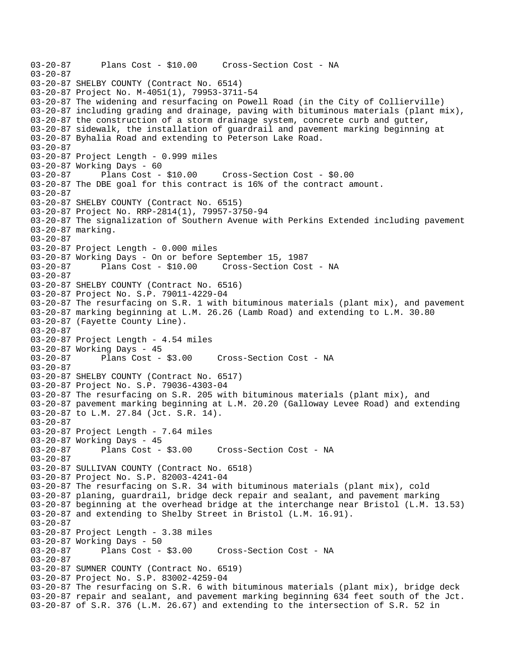03-20-87 Plans Cost - \$10.00 Cross-Section Cost - NA 03-20-87 03-20-87 SHELBY COUNTY (Contract No. 6514) 03-20-87 Project No. M-4051(1), 79953-3711-54 03-20-87 The widening and resurfacing on Powell Road (in the City of Collierville) 03-20-87 including grading and drainage, paving with bituminous materials (plant mix), 03-20-87 the construction of a storm drainage system, concrete curb and gutter, 03-20-87 sidewalk, the installation of guardrail and pavement marking beginning at 03-20-87 Byhalia Road and extending to Peterson Lake Road. 03-20-87 03-20-87 Project Length - 0.999 miles 03-20-87 Working Days - 60 03-20-87 Plans Cost - \$10.00 Cross-Section Cost - \$0.00 03-20-87 The DBE goal for this contract is 16% of the contract amount. 03-20-87 03-20-87 SHELBY COUNTY (Contract No. 6515) 03-20-87 Project No. RRP-2814(1), 79957-3750-94 03-20-87 The signalization of Southern Avenue with Perkins Extended including pavement 03-20-87 marking. 03-20-87 03-20-87 Project Length - 0.000 miles 03-20-87 Working Days - On or before September 15, 1987 03-20-87 Plans Cost - \$10.00 Cross-Section Cost - NA 03-20-87 03-20-87 SHELBY COUNTY (Contract No. 6516) 03-20-87 Project No. S.P. 79011-4229-04 03-20-87 The resurfacing on S.R. 1 with bituminous materials (plant mix), and pavement 03-20-87 marking beginning at L.M. 26.26 (Lamb Road) and extending to L.M. 30.80 03-20-87 (Fayette County Line). 03-20-87 03-20-87 Project Length - 4.54 miles 03-20-87 Working Days - 45<br>03-20-87 Plans Cost - \$3.00 Cross-Section Cost - NA 03-20-87 03-20-87 SHELBY COUNTY (Contract No. 6517) 03-20-87 Project No. S.P. 79036-4303-04 03-20-87 The resurfacing on S.R. 205 with bituminous materials (plant mix), and 03-20-87 pavement marking beginning at L.M. 20.20 (Galloway Levee Road) and extending 03-20-87 to L.M. 27.84 (Jct. S.R. 14). 03-20-87 03-20-87 Project Length - 7.64 miles 03-20-87 Working Days - 45 03-20-87 Plans Cost - \$3.00 Cross-Section Cost - NA 03-20-87 03-20-87 SULLIVAN COUNTY (Contract No. 6518) 03-20-87 Project No. S.P. 82003-4241-04 03-20-87 The resurfacing on S.R. 34 with bituminous materials (plant mix), cold 03-20-87 planing, guardrail, bridge deck repair and sealant, and pavement marking 03-20-87 beginning at the overhead bridge at the interchange near Bristol (L.M. 13.53) 03-20-87 and extending to Shelby Street in Bristol (L.M. 16.91). 03-20-87 03-20-87 Project Length - 3.38 miles 03-20-87 Working Days - 50 03-20-87 Plans Cost - \$3.00 Cross-Section Cost - NA 03-20-87 03-20-87 SUMNER COUNTY (Contract No. 6519) 03-20-87 Project No. S.P. 83002-4259-04 03-20-87 The resurfacing on S.R. 6 with bituminous materials (plant mix), bridge deck 03-20-87 repair and sealant, and pavement marking beginning 634 feet south of the Jct. 03-20-87 of S.R. 376 (L.M. 26.67) and extending to the intersection of S.R. 52 in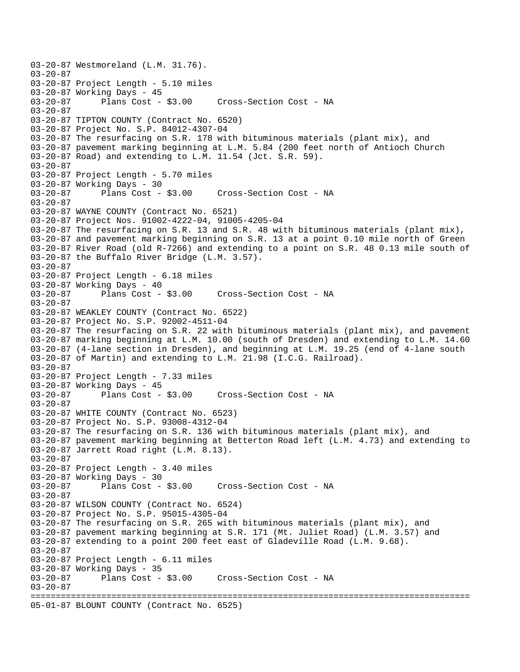03-20-87 Westmoreland (L.M. 31.76). 03-20-87 03-20-87 Project Length - 5.10 miles 03-20-87 Working Days - 45<br>03-20-87 Plans Cost - \$3.00 Cross-Section Cost - NA 03-20-87 03-20-87 TIPTON COUNTY (Contract No. 6520) 03-20-87 Project No. S.P. 84012-4307-04 03-20-87 The resurfacing on S.R. 178 with bituminous materials (plant mix), and 03-20-87 pavement marking beginning at L.M. 5.84 (200 feet north of Antioch Church 03-20-87 Road) and extending to L.M. 11.54 (Jct. S.R. 59). 03-20-87 03-20-87 Project Length - 5.70 miles 03-20-87 Working Days - 30<br>03-20-87 Plans Cost - \$3.00 03-20-87 Plans Cost - \$3.00 Cross-Section Cost - NA 03-20-87 03-20-87 WAYNE COUNTY (Contract No. 6521) 03-20-87 Project Nos. 91002-4222-04, 91005-4205-04 03-20-87 The resurfacing on S.R. 13 and S.R. 48 with bituminous materials (plant mix), 03-20-87 and pavement marking beginning on S.R. 13 at a point 0.10 mile north of Green 03-20-87 River Road (old R-7266) and extending to a point on S.R. 48 0.13 mile south of 03-20-87 the Buffalo River Bridge (L.M. 3.57). 03-20-87 03-20-87 Project Length - 6.18 miles 03-20-87 Working Days - 40<br>03-20-87 Plans Cost - \$3.00 03-20-87 Plans Cost - \$3.00 Cross-Section Cost - NA 03-20-87 03-20-87 WEAKLEY COUNTY (Contract No. 6522) 03-20-87 Project No. S.P. 92002-4511-04 03-20-87 The resurfacing on S.R. 22 with bituminous materials (plant mix), and pavement 03-20-87 marking beginning at L.M. 10.00 (south of Dresden) and extending to L.M. 14.60 03-20-87 (4-lane section in Dresden), and beginning at L.M. 19.25 (end of 4-lane south 03-20-87 of Martin) and extending to L.M. 21.98 (I.C.G. Railroad). 03-20-87 03-20-87 Project Length - 7.33 miles 03-20-87 Working Days - 45 03-20-87 Plans Cost - \$3.00 Cross-Section Cost - NA 03-20-87 03-20-87 WHITE COUNTY (Contract No. 6523) 03-20-87 Project No. S.P. 93008-4312-04 03-20-87 The resurfacing on S.R. 136 with bituminous materials (plant mix), and 03-20-87 pavement marking beginning at Betterton Road left (L.M. 4.73) and extending to 03-20-87 Jarrett Road right (L.M. 8.13). 03-20-87 03-20-87 Project Length - 3.40 miles 03-20-87 Working Days - 30 03-20-87 Plans Cost - \$3.00 Cross-Section Cost - NA 03-20-87 03-20-87 WILSON COUNTY (Contract No. 6524) 03-20-87 Project No. S.P. 95015-4305-04 03-20-87 The resurfacing on S.R. 265 with bituminous materials (plant mix), and 03-20-87 pavement marking beginning at S.R. 171 (Mt. Juliet Road) (L.M. 3.57) and 03-20-87 extending to a point 200 feet east of Gladeville Road (L.M. 9.68). 03-20-87 03-20-87 Project Length - 6.11 miles 03-20-87 Working Days - 35 03-20-87 Plans Cost - \$3.00 Cross-Section Cost - NA 03-20-87 ======================================================================================= 05-01-87 BLOUNT COUNTY (Contract No. 6525)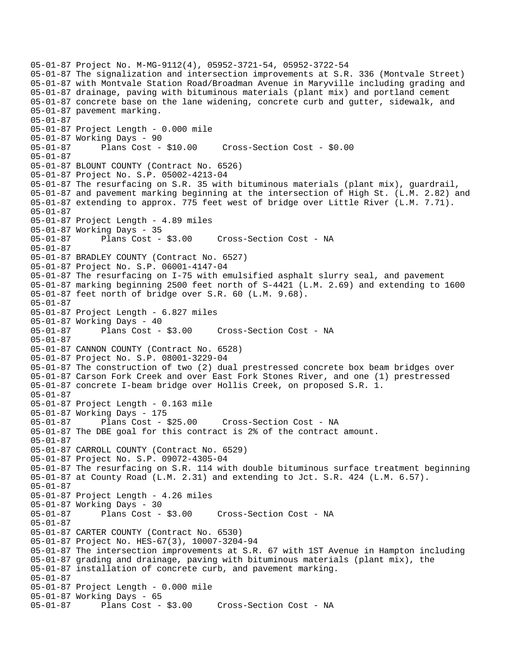05-01-87 Project No. M-MG-9112(4), 05952-3721-54, 05952-3722-54 05-01-87 The signalization and intersection improvements at S.R. 336 (Montvale Street) 05-01-87 with Montvale Station Road/Broadman Avenue in Maryville including grading and 05-01-87 drainage, paving with bituminous materials (plant mix) and portland cement 05-01-87 concrete base on the lane widening, concrete curb and gutter, sidewalk, and 05-01-87 pavement marking. 05-01-87 05-01-87 Project Length - 0.000 mile 05-01-87 Working Days - 90 05-01-87 Plans Cost - \$10.00 Cross-Section Cost - \$0.00 05-01-87 05-01-87 BLOUNT COUNTY (Contract No. 6526) 05-01-87 Project No. S.P. 05002-4213-04 05-01-87 The resurfacing on S.R. 35 with bituminous materials (plant mix), guardrail, 05-01-87 and pavement marking beginning at the intersection of High St. (L.M. 2.82) and 05-01-87 extending to approx. 775 feet west of bridge over Little River (L.M. 7.71). 05-01-87 05-01-87 Project Length - 4.89 miles 05-01-87 Working Days - 35 05-01-87 Plans Cost - \$3.00 Cross-Section Cost - NA 05-01-87 05-01-87 BRADLEY COUNTY (Contract No. 6527) 05-01-87 Project No. S.P. 06001-4147-04 05-01-87 The resurfacing on I-75 with emulsified asphalt slurry seal, and pavement 05-01-87 marking beginning 2500 feet north of S-4421 (L.M. 2.69) and extending to 1600 05-01-87 feet north of bridge over S.R. 60 (L.M. 9.68). 05-01-87 05-01-87 Project Length - 6.827 miles 05-01-87 Working Days - 40<br>05-01-87 Plans Cost - \$3.00 05-01-87 Plans Cost - \$3.00 Cross-Section Cost - NA 05-01-87 05-01-87 CANNON COUNTY (Contract No. 6528) 05-01-87 Project No. S.P. 08001-3229-04 05-01-87 The construction of two (2) dual prestressed concrete box beam bridges over 05-01-87 Carson Fork Creek and over East Fork Stones River, and one (1) prestressed 05-01-87 concrete I-beam bridge over Hollis Creek, on proposed S.R. 1. 05-01-87 05-01-87 Project Length - 0.163 mile 05-01-87 Working Days - 175 05-01-87 Plans Cost - \$25.00 Cross-Section Cost - NA 05-01-87 The DBE goal for this contract is 2% of the contract amount. 05-01-87 05-01-87 CARROLL COUNTY (Contract No. 6529) 05-01-87 Project No. S.P. 09072-4305-04 05-01-87 The resurfacing on S.R. 114 with double bituminous surface treatment beginning 05-01-87 at County Road (L.M. 2.31) and extending to Jct. S.R. 424 (L.M. 6.57). 05-01-87 05-01-87 Project Length - 4.26 miles 05-01-87 Working Days - 30 05-01-87 Plans Cost - \$3.00 Cross-Section Cost - NA 05-01-87 05-01-87 CARTER COUNTY (Contract No. 6530) 05-01-87 Project No. HES-67(3), 10007-3204-94 05-01-87 The intersection improvements at S.R. 67 with 1ST Avenue in Hampton including 05-01-87 grading and drainage, paving with bituminous materials (plant mix), the 05-01-87 installation of concrete curb, and pavement marking. 05-01-87 05-01-87 Project Length - 0.000 mile 05-01-87 Working Days - 65 05-01-87 Plans Cost - \$3.00 Cross-Section Cost - NA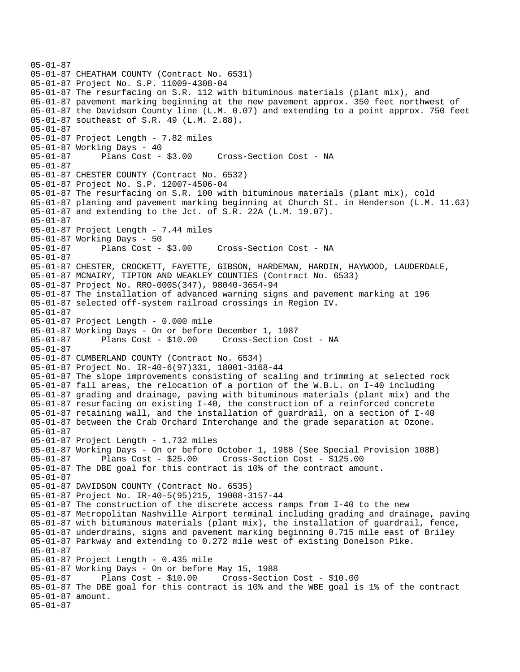```
05-01-87 
05-01-87 CHEATHAM COUNTY (Contract No. 6531) 
05-01-87 Project No. S.P. 11009-4308-04 
05-01-87 The resurfacing on S.R. 112 with bituminous materials (plant mix), and 
05-01-87 pavement marking beginning at the new pavement approx. 350 feet northwest of 
05-01-87 the Davidson County line (L.M. 0.07) and extending to a point approx. 750 feet 
05-01-87 southeast of S.R. 49 (L.M. 2.88). 
05-01-87 
05-01-87 Project Length - 7.82 miles 
05-01-87 Working Days - 40 
05-01-87 Plans Cost - $3.00 Cross-Section Cost - NA 
05-01-87 
05-01-87 CHESTER COUNTY (Contract No. 6532) 
05-01-87 Project No. S.P. 12007-4506-04 
05-01-87 The resurfacing on S.R. 100 with bituminous materials (plant mix), cold 
05-01-87 planing and pavement marking beginning at Church St. in Henderson (L.M. 11.63) 
05-01-87 and extending to the Jct. of S.R. 22A (L.M. 19.07). 
05-01-87 
05-01-87 Project Length - 7.44 miles 
05-01-87 Working Days - 50 
05-01-87 Plans Cost - $3.00 Cross-Section Cost - NA 
05-01-87 
05-01-87 CHESTER, CROCKETT, FAYETTE, GIBSON, HARDEMAN, HARDIN, HAYWOOD, LAUDERDALE, 
05-01-87 MCNAIRY, TIPTON AND WEAKLEY COUNTIES (Contract No. 6533) 
05-01-87 Project No. RRO-000S(347), 98040-3654-94 
05-01-87 The installation of advanced warning signs and pavement marking at 196 
05-01-87 selected off-system railroad crossings in Region IV. 
05-01-87 
05-01-87 Project Length - 0.000 mile 
05-01-87 Working Days - On or before December 1, 1987 
05-01-87 Plans Cost - $10.00 Cross-Section Cost - NA 
05-01-87 
05-01-87 CUMBERLAND COUNTY (Contract No. 6534) 
05-01-87 Project No. IR-40-6(97)331, 18001-3168-44 
05-01-87 The slope improvements consisting of scaling and trimming at selected rock 
05-01-87 fall areas, the relocation of a portion of the W.B.L. on I-40 including 
05-01-87 grading and drainage, paving with bituminous materials (plant mix) and the 
05-01-87 resurfacing on existing I-40, the construction of a reinforced concrete 
05-01-87 retaining wall, and the installation of guardrail, on a section of I-40 
05-01-87 between the Crab Orchard Interchange and the grade separation at Ozone. 
05-01-87 
05-01-87 Project Length - 1.732 miles 
05-01-87 Working Days - On or before October 1, 1988 (See Special Provision 108B) 
05-01-87 Plans Cost - $25.00 Cross-Section Cost - $125.00 
05-01-87 The DBE goal for this contract is 10% of the contract amount. 
05-01-87 
05-01-87 DAVIDSON COUNTY (Contract No. 6535) 
05-01-87 Project No. IR-40-5(95)215, 19008-3157-44 
05-01-87 The construction of the discrete access ramps from I-40 to the new 
05-01-87 Metropolitan Nashville Airport terminal including grading and drainage, paving 
05-01-87 with bituminous materials (plant mix), the installation of guardrail, fence, 
05-01-87 underdrains, signs and pavement marking beginning 0.715 mile east of Briley 
05-01-87 Parkway and extending to 0.272 mile west of existing Donelson Pike. 
05-01-87 
05-01-87 Project Length - 0.435 mile 
05-01-87 Working Days - On or before May 15, 1988 
05-01-87 Plans Cost - $10.00 Cross-Section Cost - $10.00 
05-01-87 The DBE goal for this contract is 10% and the WBE goal is 1% of the contract 
05-01-87 amount. 
05-01-87
```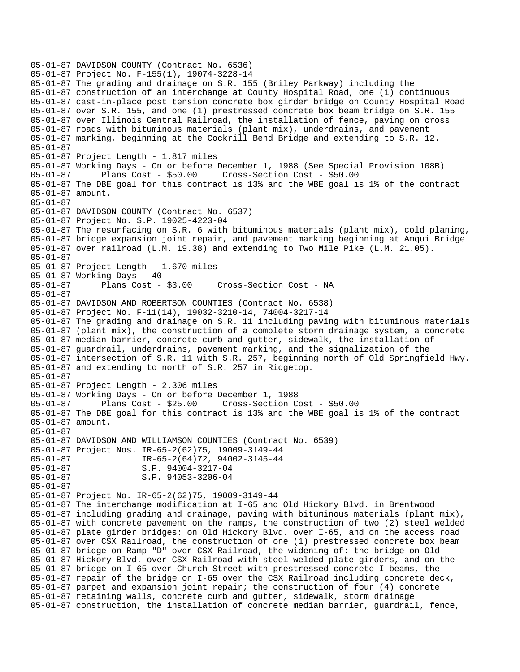```
05-01-87 DAVIDSON COUNTY (Contract No. 6536) 
05-01-87 Project No. F-155(1), 19074-3228-14 
05-01-87 The grading and drainage on S.R. 155 (Briley Parkway) including the 
05-01-87 construction of an interchange at County Hospital Road, one (1) continuous 
05-01-87 cast-in-place post tension concrete box girder bridge on County Hospital Road 
05-01-87 over S.R. 155, and one (1) prestressed concrete box beam bridge on S.R. 155 
05-01-87 over Illinois Central Railroad, the installation of fence, paving on cross 
05-01-87 roads with bituminous materials (plant mix), underdrains, and pavement 
05-01-87 marking, beginning at the Cockrill Bend Bridge and extending to S.R. 12. 
05-01-87 
05-01-87 Project Length - 1.817 miles 
05-01-87 Working Days - On or before December 1, 1988 (See Special Provision 108B) 
05-01-87 Plans Cost - $50.00 Cross-Section Cost - $50.00 
05-01-87 The DBE goal for this contract is 13% and the WBE goal is 1% of the contract 
05-01-87 amount. 
05-01-87 
05-01-87 DAVIDSON COUNTY (Contract No. 6537) 
05-01-87 Project No. S.P. 19025-4223-04 
05-01-87 The resurfacing on S.R. 6 with bituminous materials (plant mix), cold planing, 
05-01-87 bridge expansion joint repair, and pavement marking beginning at Amqui Bridge 
05-01-87 over railroad (L.M. 19.38) and extending to Two Mile Pike (L.M. 21.05). 
05-01-87 
05-01-87 Project Length - 1.670 miles 
05-01-87 Working Days - 40 
                                      Cross-Section Cost - NA
05-01-87 
05-01-87 DAVIDSON AND ROBERTSON COUNTIES (Contract No. 6538) 
05-01-87 Project No. F-11(14), 19032-3210-14, 74004-3217-14 
05-01-87 The grading and drainage on S.R. 11 including paving with bituminous materials 
05-01-87 (plant mix), the construction of a complete storm drainage system, a concrete 
05-01-87 median barrier, concrete curb and gutter, sidewalk, the installation of 
05-01-87 guardrail, underdrains, pavement marking, and the signalization of the 
05-01-87 intersection of S.R. 11 with S.R. 257, beginning north of Old Springfield Hwy. 
05-01-87 and extending to north of S.R. 257 in Ridgetop. 
05-01-87 
05-01-87 Project Length - 2.306 miles 
05-01-87 Working Days - On or before December 1, 1988 
05-01-87 Plans Cost - $25.00 Cross-Section Cost - $50.00 
05-01-87 The DBE goal for this contract is 13% and the WBE goal is 1% of the contract 
05-01-87 amount. 
05-01-87 
05-01-87 DAVIDSON AND WILLIAMSON COUNTIES (Contract No. 6539) 
05-01-87 Project Nos. IR-65-2(62)75, 19009-3149-44 
05-01-87 <br>05-01-87 <br>05-01-87 <br>05-01-87 <br>05-01-87 <br>05-01-87 <br>05-01-87 <br>05-01-87 <br>05-01-87 <br>05-01-87 <br>05-01-87 <br>05-01-87 <br>05-01-87 <br>05-01-87 <br>05-01-04 <br>05-01-04 <br>05-01-04 <br>05-01-05-01-05-01-05-01-05-01-04 <br>05-01-05-01-05-01-
05-01-87 <br>05-01-87 <br>05-01-87 <br>0.P. 94053-3206-04
                       S.P. 94053-3206-04
05-01-87 
05-01-87 Project No. IR-65-2(62)75, 19009-3149-44 
05-01-87 The interchange modification at I-65 and Old Hickory Blvd. in Brentwood 
05-01-87 including grading and drainage, paving with bituminous materials (plant mix), 
05-01-87 with concrete pavement on the ramps, the construction of two (2) steel welded 
05-01-87 plate girder bridges: on Old Hickory Blvd. over I-65, and on the access road 
05-01-87 over CSX Railroad, the construction of one (1) prestressed concrete box beam 
05-01-87 bridge on Ramp "D" over CSX Railroad, the widening of: the bridge on Old 
05-01-87 Hickory Blvd. over CSX Railroad with steel welded plate girders, and on the 
05-01-87 bridge on I-65 over Church Street with prestressed concrete I-beams, the 
05-01-87 repair of the bridge on I-65 over the CSX Railroad including concrete deck, 
05-01-87 parpet and expansion joint repair; the construction of four (4) concrete 
05-01-87 retaining walls, concrete curb and gutter, sidewalk, storm drainage 
05-01-87 construction, the installation of concrete median barrier, guardrail, fence,
```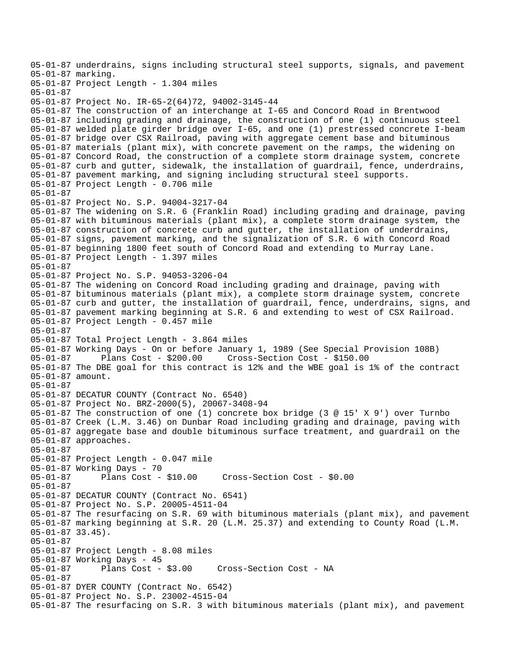05-01-87 underdrains, signs including structural steel supports, signals, and pavement 05-01-87 marking. 05-01-87 Project Length - 1.304 miles 05-01-87 05-01-87 Project No. IR-65-2(64)72, 94002-3145-44 05-01-87 The construction of an interchange at I-65 and Concord Road in Brentwood 05-01-87 including grading and drainage, the construction of one (1) continuous steel 05-01-87 welded plate girder bridge over I-65, and one (1) prestressed concrete I-beam 05-01-87 bridge over CSX Railroad, paving with aggregate cement base and bituminous 05-01-87 materials (plant mix), with concrete pavement on the ramps, the widening on 05-01-87 Concord Road, the construction of a complete storm drainage system, concrete 05-01-87 curb and gutter, sidewalk, the installation of guardrail, fence, underdrains, 05-01-87 pavement marking, and signing including structural steel supports. 05-01-87 Project Length - 0.706 mile 05-01-87 05-01-87 Project No. S.P. 94004-3217-04 05-01-87 The widening on S.R. 6 (Franklin Road) including grading and drainage, paving 05-01-87 with bituminous materials (plant mix), a complete storm drainage system, the 05-01-87 construction of concrete curb and gutter, the installation of underdrains, 05-01-87 signs, pavement marking, and the signalization of S.R. 6 with Concord Road 05-01-87 beginning 1800 feet south of Concord Road and extending to Murray Lane. 05-01-87 Project Length - 1.397 miles 05-01-87 05-01-87 Project No. S.P. 94053-3206-04 05-01-87 The widening on Concord Road including grading and drainage, paving with 05-01-87 bituminous materials (plant mix), a complete storm drainage system, concrete 05-01-87 curb and gutter, the installation of guardrail, fence, underdrains, signs, and 05-01-87 pavement marking beginning at S.R. 6 and extending to west of CSX Railroad. 05-01-87 Project Length - 0.457 mile 05-01-87 05-01-87 Total Project Length - 3.864 miles 05-01-87 Working Days - On or before January 1, 1989 (See Special Provision 108B)<br>05-01-87 Plans Cost - \$200.00 Cross-Section Cost - \$150.00 05-01-87 Plans Cost - \$200.00 Cross-Section Cost - \$150.00 05-01-87 The DBE goal for this contract is 12% and the WBE goal is 1% of the contract 05-01-87 amount. 05-01-87 05-01-87 DECATUR COUNTY (Contract No. 6540) 05-01-87 Project No. BRZ-2000(5), 20067-3408-94 05-01-87 The construction of one (1) concrete box bridge (3 @ 15' X 9') over Turnbo 05-01-87 Creek (L.M. 3.46) on Dunbar Road including grading and drainage, paving with 05-01-87 aggregate base and double bituminous surface treatment, and guardrail on the 05-01-87 approaches. 05-01-87 05-01-87 Project Length - 0.047 mile 05-01-87 Working Days - 70 05-01-87 Plans Cost - \$10.00 Cross-Section Cost - \$0.00 05-01-87 05-01-87 DECATUR COUNTY (Contract No. 6541) 05-01-87 Project No. S.P. 20005-4511-04 05-01-87 The resurfacing on S.R. 69 with bituminous materials (plant mix), and pavement 05-01-87 marking beginning at S.R. 20 (L.M. 25.37) and extending to County Road (L.M. 05-01-87 33.45). 05-01-87 05-01-87 Project Length - 8.08 miles 05-01-87 Working Days - 45<br>05-01-87 Plans Cost - \$3.00 05-01-87 Plans Cost - \$3.00 Cross-Section Cost - NA 05-01-87 05-01-87 DYER COUNTY (Contract No. 6542) 05-01-87 Project No. S.P. 23002-4515-04 05-01-87 The resurfacing on S.R. 3 with bituminous materials (plant mix), and pavement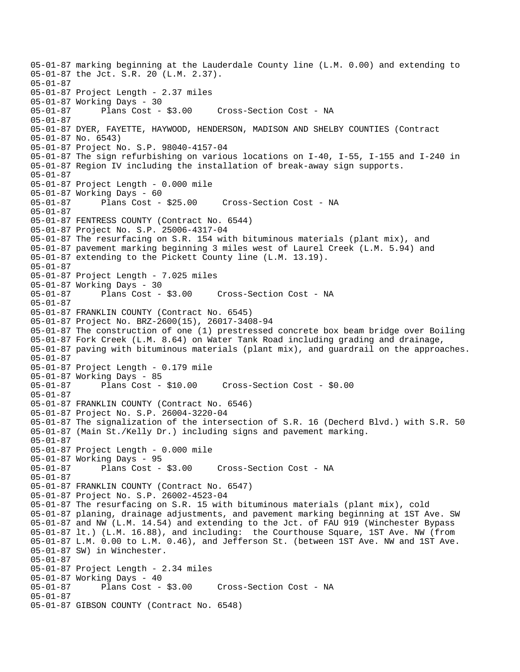05-01-87 marking beginning at the Lauderdale County line (L.M. 0.00) and extending to 05-01-87 the Jct. S.R. 20 (L.M. 2.37). 05-01-87 05-01-87 Project Length - 2.37 miles 05-01-87 Working Days - 30 05-01-87 Plans Cost - \$3.00 Cross-Section Cost - NA 05-01-87 05-01-87 DYER, FAYETTE, HAYWOOD, HENDERSON, MADISON AND SHELBY COUNTIES (Contract 05-01-87 No. 6543) 05-01-87 Project No. S.P. 98040-4157-04 05-01-87 The sign refurbishing on various locations on I-40, I-55, I-155 and I-240 in 05-01-87 Region IV including the installation of break-away sign supports. 05-01-87 05-01-87 Project Length - 0.000 mile 05-01-87 Working Days - 60 Cross-Section Cost - NA 05-01-87 05-01-87 FENTRESS COUNTY (Contract No. 6544) 05-01-87 Project No. S.P. 25006-4317-04 05-01-87 The resurfacing on S.R. 154 with bituminous materials (plant mix), and 05-01-87 pavement marking beginning 3 miles west of Laurel Creek (L.M. 5.94) and 05-01-87 extending to the Pickett County line (L.M. 13.19). 05-01-87 05-01-87 Project Length - 7.025 miles 05-01-87 Working Days - 30 05-01-87 Plans Cost - \$3.00 Cross-Section Cost - NA 05-01-87 05-01-87 FRANKLIN COUNTY (Contract No. 6545) 05-01-87 Project No. BRZ-2600(15), 26017-3408-94 05-01-87 The construction of one (1) prestressed concrete box beam bridge over Boiling 05-01-87 Fork Creek (L.M. 8.64) on Water Tank Road including grading and drainage, 05-01-87 paving with bituminous materials (plant mix), and guardrail on the approaches. 05-01-87 05-01-87 Project Length - 0.179 mile 05-01-87 Working Days - 85 05-01-87 Plans Cost - \$10.00 Cross-Section Cost - \$0.00 05-01-87 05-01-87 FRANKLIN COUNTY (Contract No. 6546) 05-01-87 Project No. S.P. 26004-3220-04 05-01-87 The signalization of the intersection of S.R. 16 (Decherd Blvd.) with S.R. 50 05-01-87 (Main St./Kelly Dr.) including signs and pavement marking. 05-01-87 05-01-87 Project Length - 0.000 mile 05-01-87 Working Days - 95 05-01-87 Plans Cost - \$3.00 Cross-Section Cost - NA 05-01-87 05-01-87 FRANKLIN COUNTY (Contract No. 6547) 05-01-87 Project No. S.P. 26002-4523-04 05-01-87 The resurfacing on S.R. 15 with bituminous materials (plant mix), cold 05-01-87 planing, drainage adjustments, and pavement marking beginning at 1ST Ave. SW 05-01-87 and NW (L.M. 14.54) and extending to the Jct. of FAU 919 (Winchester Bypass 05-01-87 lt.) (L.M. 16.88), and including: the Courthouse Square, 1ST Ave. NW (from 05-01-87 L.M. 0.00 to L.M. 0.46), and Jefferson St. (between 1ST Ave. NW and 1ST Ave. 05-01-87 SW) in Winchester. 05-01-87 05-01-87 Project Length - 2.34 miles 05-01-87 Working Days - 40 Cross-Section Cost - NA 05-01-87 05-01-87 GIBSON COUNTY (Contract No. 6548)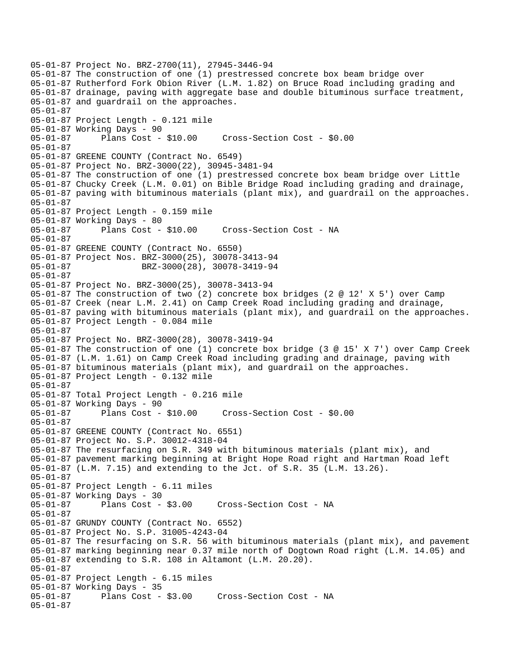05-01-87 Project No. BRZ-2700(11), 27945-3446-94 05-01-87 The construction of one (1) prestressed concrete box beam bridge over 05-01-87 Rutherford Fork Obion River (L.M. 1.82) on Bruce Road including grading and 05-01-87 drainage, paving with aggregate base and double bituminous surface treatment, 05-01-87 and guardrail on the approaches. 05-01-87 05-01-87 Project Length - 0.121 mile 05-01-87 Working Days - 90 05-01-87 Plans Cost - \$10.00 Cross-Section Cost - \$0.00 05-01-87 05-01-87 GREENE COUNTY (Contract No. 6549) 05-01-87 Project No. BRZ-3000(22), 30945-3481-94 05-01-87 The construction of one (1) prestressed concrete box beam bridge over Little 05-01-87 Chucky Creek (L.M. 0.01) on Bible Bridge Road including grading and drainage, 05-01-87 paving with bituminous materials (plant mix), and guardrail on the approaches. 05-01-87 05-01-87 Project Length - 0.159 mile 05-01-87 Working Days - 80 05-01-87 Plans Cost - \$10.00 Cross-Section Cost - NA 05-01-87 05-01-87 GREENE COUNTY (Contract No. 6550) 05-01-87 Project Nos. BRZ-3000(25), 30078-3413-94 05-01-87 BRZ-3000(28), 30078-3419-94 05-01-87 05-01-87 Project No. BRZ-3000(25), 30078-3413-94 05-01-87 The construction of two (2) concrete box bridges (2 @ 12' X 5') over Camp 05-01-87 Creek (near L.M. 2.41) on Camp Creek Road including grading and drainage, 05-01-87 paving with bituminous materials (plant mix), and guardrail on the approaches. 05-01-87 Project Length - 0.084 mile 05-01-87 05-01-87 Project No. BRZ-3000(28), 30078-3419-94 05-01-87 The construction of one (1) concrete box bridge (3 @ 15' X 7') over Camp Creek 05-01-87 (L.M. 1.61) on Camp Creek Road including grading and drainage, paving with 05-01-87 bituminous materials (plant mix), and guardrail on the approaches. 05-01-87 Project Length - 0.132 mile 05-01-87 05-01-87 Total Project Length - 0.216 mile 05-01-87 Working Days - 90 05-01-87 Plans Cost - \$10.00 Cross-Section Cost - \$0.00 05-01-87 05-01-87 GREENE COUNTY (Contract No. 6551) 05-01-87 Project No. S.P. 30012-4318-04 05-01-87 The resurfacing on S.R. 349 with bituminous materials (plant mix), and 05-01-87 pavement marking beginning at Bright Hope Road right and Hartman Road left 05-01-87 (L.M. 7.15) and extending to the Jct. of S.R. 35 (L.M. 13.26). 05-01-87 05-01-87 Project Length - 6.11 miles 05-01-87 Working Days - 30 Cross-Section Cost - NA 05-01-87 05-01-87 GRUNDY COUNTY (Contract No. 6552) 05-01-87 Project No. S.P. 31005-4243-04 05-01-87 The resurfacing on S.R. 56 with bituminous materials (plant mix), and pavement 05-01-87 marking beginning near 0.37 mile north of Dogtown Road right (L.M. 14.05) and 05-01-87 extending to S.R. 108 in Altamont (L.M. 20.20). 05-01-87 05-01-87 Project Length - 6.15 miles 05-01-87 Working Days - 35<br>05-01-87 Plans Cost - \$3.00 Cross-Section Cost - NA 05-01-87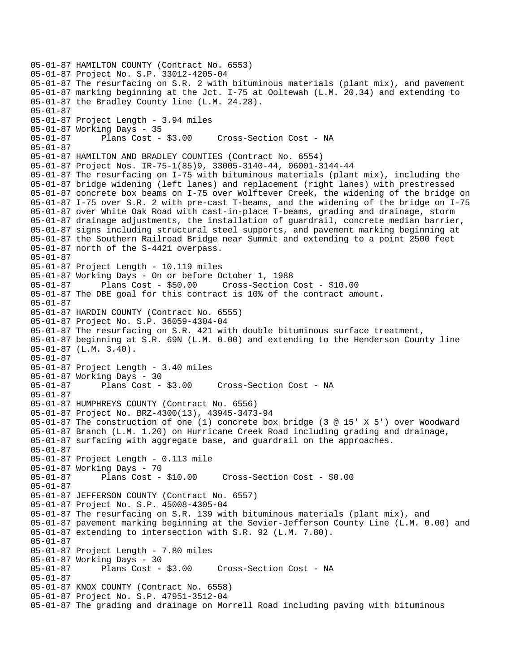05-01-87 HAMILTON COUNTY (Contract No. 6553) 05-01-87 Project No. S.P. 33012-4205-04 05-01-87 The resurfacing on S.R. 2 with bituminous materials (plant mix), and pavement 05-01-87 marking beginning at the Jct. I-75 at Ooltewah (L.M. 20.34) and extending to 05-01-87 the Bradley County line (L.M. 24.28). 05-01-87 05-01-87 Project Length - 3.94 miles 05-01-87 Working Days - 35 05-01-87 Plans Cost - \$3.00 Cross-Section Cost - NA 05-01-87 05-01-87 HAMILTON AND BRADLEY COUNTIES (Contract No. 6554) 05-01-87 Project Nos. IR-75-1(85)9, 33005-3140-44, 06001-3144-44 05-01-87 The resurfacing on I-75 with bituminous materials (plant mix), including the 05-01-87 bridge widening (left lanes) and replacement (right lanes) with prestressed 05-01-87 concrete box beams on I-75 over Wolftever Creek, the widening of the bridge on 05-01-87 I-75 over S.R. 2 with pre-cast T-beams, and the widening of the bridge on I-75 05-01-87 over White Oak Road with cast-in-place T-beams, grading and drainage, storm 05-01-87 drainage adjustments, the installation of guardrail, concrete median barrier, 05-01-87 signs including structural steel supports, and pavement marking beginning at 05-01-87 the Southern Railroad Bridge near Summit and extending to a point 2500 feet 05-01-87 north of the S-4421 overpass. 05-01-87 05-01-87 Project Length - 10.119 miles 05-01-87 Working Days - On or before October 1, 1988 05-01-87 Plans Cost - \$50.00 Cross-Section Cost - \$10.00 05-01-87 The DBE goal for this contract is 10% of the contract amount. 05-01-87 05-01-87 HARDIN COUNTY (Contract No. 6555) 05-01-87 Project No. S.P. 36059-4304-04 05-01-87 The resurfacing on S.R. 421 with double bituminous surface treatment, 05-01-87 beginning at S.R. 69N (L.M. 0.00) and extending to the Henderson County line 05-01-87 (L.M. 3.40). 05-01-87 05-01-87 Project Length - 3.40 miles 05-01-87 Working Days - 30 05-01-87 Plans Cost - \$3.00 Cross-Section Cost - NA 05-01-87 05-01-87 HUMPHREYS COUNTY (Contract No. 6556) 05-01-87 Project No. BRZ-4300(13), 43945-3473-94 05-01-87 The construction of one (1) concrete box bridge (3 @ 15' X 5') over Woodward 05-01-87 Branch (L.M. 1.20) on Hurricane Creek Road including grading and drainage, 05-01-87 surfacing with aggregate base, and guardrail on the approaches. 05-01-87 05-01-87 Project Length - 0.113 mile 05-01-87 Working Days - 70 05-01-87 Plans Cost - \$10.00 Cross-Section Cost - \$0.00 05-01-87 05-01-87 JEFFERSON COUNTY (Contract No. 6557) 05-01-87 Project No. S.P. 45008-4305-04 05-01-87 The resurfacing on S.R. 139 with bituminous materials (plant mix), and 05-01-87 pavement marking beginning at the Sevier-Jefferson County Line (L.M. 0.00) and 05-01-87 extending to intersection with S.R. 92 (L.M. 7.80). 05-01-87 05-01-87 Project Length - 7.80 miles 05-01-87 Working Days - 30 05-01-87 Plans Cost - \$3.00 Cross-Section Cost - NA 05-01-87 05-01-87 KNOX COUNTY (Contract No. 6558) 05-01-87 Project No. S.P. 47951-3512-04 05-01-87 The grading and drainage on Morrell Road including paving with bituminous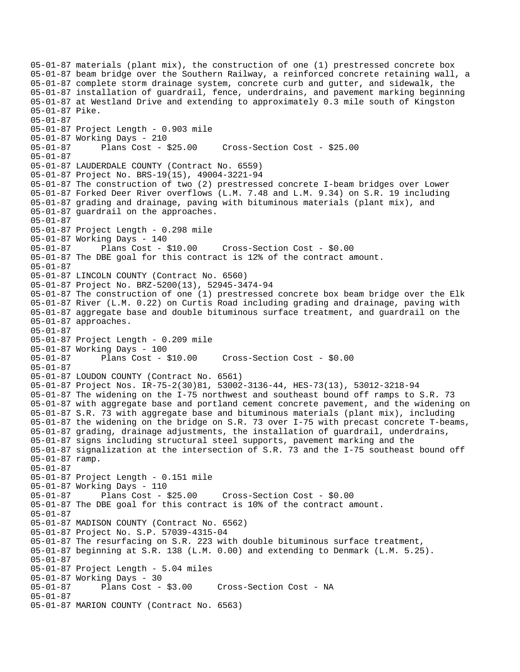05-01-87 materials (plant mix), the construction of one (1) prestressed concrete box 05-01-87 beam bridge over the Southern Railway, a reinforced concrete retaining wall, a 05-01-87 complete storm drainage system, concrete curb and gutter, and sidewalk, the 05-01-87 installation of guardrail, fence, underdrains, and pavement marking beginning 05-01-87 at Westland Drive and extending to approximately 0.3 mile south of Kingston 05-01-87 Pike. 05-01-87 05-01-87 Project Length - 0.903 mile 05-01-87 Working Days - 210 05-01-87 Plans Cost - \$25.00 Cross-Section Cost - \$25.00 05-01-87 05-01-87 LAUDERDALE COUNTY (Contract No. 6559) 05-01-87 Project No. BRS-19(15), 49004-3221-94 05-01-87 The construction of two (2) prestressed concrete I-beam bridges over Lower 05-01-87 Forked Deer River overflows (L.M. 7.48 and L.M. 9.34) on S.R. 19 including 05-01-87 grading and drainage, paving with bituminous materials (plant mix), and 05-01-87 guardrail on the approaches. 05-01-87 05-01-87 Project Length - 0.298 mile 05-01-87 Working Days - 140 05-01-87 Plans Cost - \$10.00 Cross-Section Cost - \$0.00 05-01-87 The DBE goal for this contract is 12% of the contract amount. 05-01-87 05-01-87 LINCOLN COUNTY (Contract No. 6560) 05-01-87 Project No. BRZ-5200(13), 52945-3474-94 05-01-87 The construction of one (1) prestressed concrete box beam bridge over the Elk 05-01-87 River (L.M. 0.22) on Curtis Road including grading and drainage, paving with 05-01-87 aggregate base and double bituminous surface treatment, and guardrail on the 05-01-87 approaches. 05-01-87 05-01-87 Project Length - 0.209 mile 05-01-87 Working Days - 100 05-01-87 Plans Cost - \$10.00 Cross-Section Cost - \$0.00 05-01-87 05-01-87 LOUDON COUNTY (Contract No. 6561) 05-01-87 Project Nos. IR-75-2(30)81, 53002-3136-44, HES-73(13), 53012-3218-94 05-01-87 The widening on the I-75 northwest and southeast bound off ramps to S.R. 73 05-01-87 with aggregate base and portland cement concrete pavement, and the widening on 05-01-87 S.R. 73 with aggregate base and bituminous materials (plant mix), including 05-01-87 the widening on the bridge on S.R. 73 over I-75 with precast concrete T-beams, 05-01-87 grading, drainage adjustments, the installation of guardrail, underdrains, 05-01-87 signs including structural steel supports, pavement marking and the 05-01-87 signalization at the intersection of S.R. 73 and the I-75 southeast bound off 05-01-87 ramp. 05-01-87 05-01-87 Project Length - 0.151 mile 05-01-87 Working Days - 110 05-01-87 Plans Cost - \$25.00 Cross-Section Cost - \$0.00 05-01-87 The DBE goal for this contract is 10% of the contract amount. 05-01-87 05-01-87 MADISON COUNTY (Contract No. 6562) 05-01-87 Project No. S.P. 57039-4315-04 05-01-87 The resurfacing on S.R. 223 with double bituminous surface treatment, 05-01-87 beginning at S.R. 138 (L.M. 0.00) and extending to Denmark (L.M. 5.25). 05-01-87 05-01-87 Project Length - 5.04 miles 05-01-87 Working Days - 30 Cross-Section Cost - NA 05-01-87 05-01-87 MARION COUNTY (Contract No. 6563)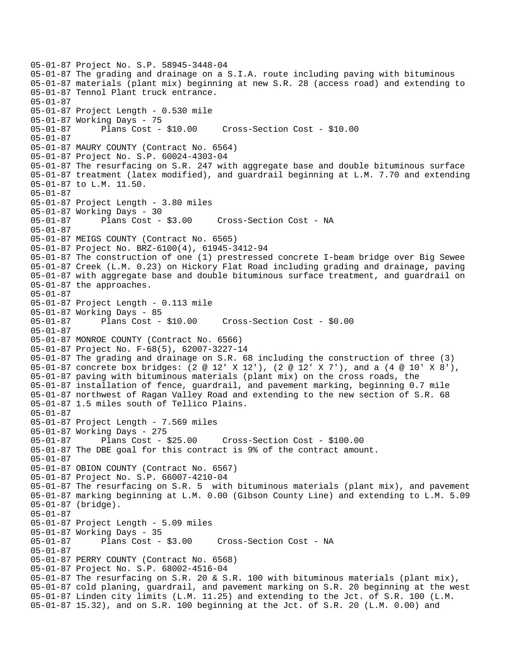05-01-87 Project No. S.P. 58945-3448-04 05-01-87 The grading and drainage on a S.I.A. route including paving with bituminous 05-01-87 materials (plant mix) beginning at new S.R. 28 (access road) and extending to 05-01-87 Tennol Plant truck entrance. 05-01-87 05-01-87 Project Length - 0.530 mile 05-01-87 Working Days - 75 05-01-87 Plans Cost - \$10.00 Cross-Section Cost - \$10.00 05-01-87 05-01-87 MAURY COUNTY (Contract No. 6564) 05-01-87 Project No. S.P. 60024-4303-04 05-01-87 The resurfacing on S.R. 247 with aggregate base and double bituminous surface 05-01-87 treatment (latex modified), and guardrail beginning at L.M. 7.70 and extending 05-01-87 to L.M. 11.50. 05-01-87 05-01-87 Project Length - 3.80 miles 05-01-87 Working Days - 30 05-01-87 Plans Cost - \$3.00 Cross-Section Cost - NA 05-01-87 05-01-87 MEIGS COUNTY (Contract No. 6565) 05-01-87 Project No. BRZ-6100(4), 61945-3412-94 05-01-87 The construction of one (1) prestressed concrete I-beam bridge over Big Sewee 05-01-87 Creek (L.M. 0.23) on Hickory Flat Road including grading and drainage, paving 05-01-87 with aggregate base and double bituminous surface treatment, and guardrail on 05-01-87 the approaches. 05-01-87 05-01-87 Project Length - 0.113 mile 05-01-87 Working Days - 85 05-01-87 Plans Cost - \$10.00 Cross-Section Cost - \$0.00 05-01-87 05-01-87 MONROE COUNTY (Contract No. 6566) 05-01-87 Project No. F-68(5), 62007-3227-14 05-01-87 The grading and drainage on S.R. 68 including the construction of three (3) 05-01-87 concrete box bridges: (2 @ 12' X 12'), (2 @ 12' X 7'), and a (4 @ 10' X 8'), 05-01-87 paving with bituminous materials (plant mix) on the cross roads, the 05-01-87 installation of fence, guardrail, and pavement marking, beginning 0.7 mile 05-01-87 northwest of Ragan Valley Road and extending to the new section of S.R. 68 05-01-87 1.5 miles south of Tellico Plains. 05-01-87 05-01-87 Project Length - 7.569 miles 05-01-87 Working Days - 275 05-01-87 Plans Cost - \$25.00 Cross-Section Cost - \$100.00 05-01-87 The DBE goal for this contract is 9% of the contract amount. 05-01-87 05-01-87 OBION COUNTY (Contract No. 6567) 05-01-87 Project No. S.P. 66007-4210-04 05-01-87 The resurfacing on S.R. 5 with bituminous materials (plant mix), and pavement 05-01-87 marking beginning at L.M. 0.00 (Gibson County Line) and extending to L.M. 5.09 05-01-87 (bridge). 05-01-87 05-01-87 Project Length - 5.09 miles 05-01-87 Working Days - 35 05-01-87 Plans Cost - \$3.00 Cross-Section Cost - NA 05-01-87 05-01-87 PERRY COUNTY (Contract No. 6568) 05-01-87 Project No. S.P. 68002-4516-04 05-01-87 The resurfacing on S.R. 20 & S.R. 100 with bituminous materials (plant mix), 05-01-87 cold planing, guardrail, and pavement marking on S.R. 20 beginning at the west 05-01-87 Linden city limits (L.M. 11.25) and extending to the Jct. of S.R. 100 (L.M. 05-01-87 15.32), and on S.R. 100 beginning at the Jct. of S.R. 20 (L.M. 0.00) and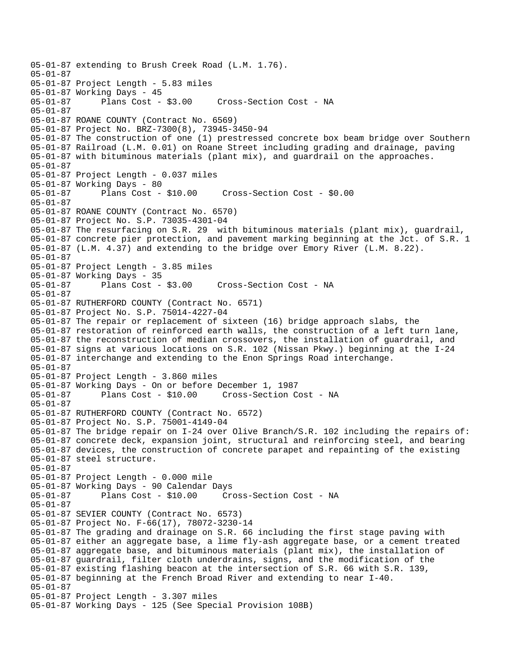```
05-01-87 extending to Brush Creek Road (L.M. 1.76). 
05-01-87 
05-01-87 Project Length - 5.83 miles 
05-01-87 Working Days - 45 
                                     Cross-Section Cost - NA
05-01-87 
05-01-87 ROANE COUNTY (Contract No. 6569) 
05-01-87 Project No. BRZ-7300(8), 73945-3450-94 
05-01-87 The construction of one (1) prestressed concrete box beam bridge over Southern 
05-01-87 Railroad (L.M. 0.01) on Roane Street including grading and drainage, paving 
05-01-87 with bituminous materials (plant mix), and guardrail on the approaches. 
05-01-87 
05-01-87 Project Length - 0.037 miles 
05-01-87 Working Days - 80<br>05-01-87 Plans Cost - $10.00
05-01-87 Plans Cost - $10.00 Cross-Section Cost - $0.00 
05-01-87 
05-01-87 ROANE COUNTY (Contract No. 6570) 
05-01-87 Project No. S.P. 73035-4301-04 
05-01-87 The resurfacing on S.R. 29 with bituminous materials (plant mix), guardrail, 
05-01-87 concrete pier protection, and pavement marking beginning at the Jct. of S.R. 1 
05-01-87 (L.M. 4.37) and extending to the bridge over Emory River (L.M. 8.22). 
05-01-87 
05-01-87 Project Length - 3.85 miles 
05-01-87 Working Days - 35 
                                     Cross-Section Cost - NA
05-01-87 
05-01-87 RUTHERFORD COUNTY (Contract No. 6571) 
05-01-87 Project No. S.P. 75014-4227-04 
05-01-87 The repair or replacement of sixteen (16) bridge approach slabs, the 
05-01-87 restoration of reinforced earth walls, the construction of a left turn lane, 
05-01-87 the reconstruction of median crossovers, the installation of guardrail, and 
05-01-87 signs at various locations on S.R. 102 (Nissan Pkwy.) beginning at the I-24 
05-01-87 interchange and extending to the Enon Springs Road interchange. 
05-01-87 
05-01-87 Project Length - 3.860 miles 
05-01-87 Working Days - On or before December 1, 1987 
05-01-87 Plans Cost - $10.00 Cross-Section Cost - NA 
05-01-87 
05-01-87 RUTHERFORD COUNTY (Contract No. 6572) 
05-01-87 Project No. S.P. 75001-4149-04 
05-01-87 The bridge repair on I-24 over Olive Branch/S.R. 102 including the repairs of: 
05-01-87 concrete deck, expansion joint, structural and reinforcing steel, and bearing 
05-01-87 devices, the construction of concrete parapet and repainting of the existing 
05-01-87 steel structure. 
05-01-87 
05-01-87 Project Length - 0.000 mile 
05-01-87 Working Days - 90 Calendar Days 
                                       Cross-Section Cost - NA
05-01-87 
05-01-87 SEVIER COUNTY (Contract No. 6573) 
05-01-87 Project No. F-66(17), 78072-3230-14 
05-01-87 The grading and drainage on S.R. 66 including the first stage paving with 
05-01-87 either an aggregate base, a lime fly-ash aggregate base, or a cement treated 
05-01-87 aggregate base, and bituminous materials (plant mix), the installation of 
05-01-87 guardrail, filter cloth underdrains, signs, and the modification of the 
05-01-87 existing flashing beacon at the intersection of S.R. 66 with S.R. 139, 
05-01-87 beginning at the French Broad River and extending to near I-40. 
05-01-87 
05-01-87 Project Length - 3.307 miles 
05-01-87 Working Days - 125 (See Special Provision 108B)
```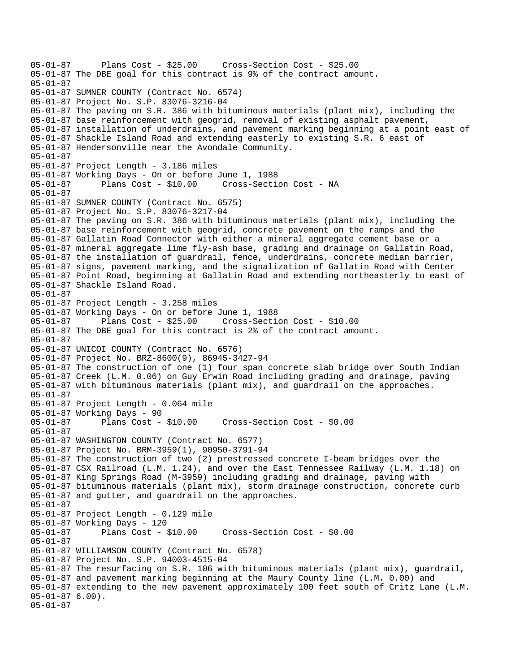05-01-87 Plans Cost - \$25.00 Cross-Section Cost - \$25.00 05-01-87 The DBE goal for this contract is 9% of the contract amount. 05-01-87 05-01-87 SUMNER COUNTY (Contract No. 6574) 05-01-87 Project No. S.P. 83076-3216-04 05-01-87 The paving on S.R. 386 with bituminous materials (plant mix), including the 05-01-87 base reinforcement with geogrid, removal of existing asphalt pavement, 05-01-87 installation of underdrains, and pavement marking beginning at a point east of 05-01-87 Shackle Island Road and extending easterly to existing S.R. 6 east of 05-01-87 Hendersonville near the Avondale Community. 05-01-87 05-01-87 Project Length - 3.186 miles 05-01-87 Working Days - On or before June 1, 1988 05-01-87 Plans Cost - \$10.00 Cross-Section Cost - NA 05-01-87 05-01-87 SUMNER COUNTY (Contract No. 6575) 05-01-87 Project No. S.P. 83076-3217-04 05-01-87 The paving on S.R. 386 with bituminous materials (plant mix), including the 05-01-87 base reinforcement with geogrid, concrete pavement on the ramps and the 05-01-87 Gallatin Road Connector with either a mineral aggregate cement base or a 05-01-87 mineral aggregate lime fly-ash base, grading and drainage on Gallatin Road, 05-01-87 the installation of guardrail, fence, underdrains, concrete median barrier, 05-01-87 signs, pavement marking, and the signalization of Gallatin Road with Center 05-01-87 Point Road, beginning at Gallatin Road and extending northeasterly to east of 05-01-87 Shackle Island Road. 05-01-87 05-01-87 Project Length - 3.258 miles 05-01-87 Working Days - On or before June 1, 1988 05-01-87 Plans Cost - \$25.00 Cross-Section Cost - \$10.00 05-01-87 The DBE goal for this contract is 2% of the contract amount. 05-01-87 05-01-87 UNICOI COUNTY (Contract No. 6576) 05-01-87 Project No. BRZ-8600(9), 86945-3427-94 05-01-87 The construction of one (1) four span concrete slab bridge over South Indian 05-01-87 Creek (L.M. 0.06) on Guy Erwin Road including grading and drainage, paving 05-01-87 with bituminous materials (plant mix), and guardrail on the approaches. 05-01-87 05-01-87 Project Length - 0.064 mile 05-01-87 Working Days - 90 05-01-87 Plans Cost - \$10.00 Cross-Section Cost - \$0.00 05-01-87 05-01-87 WASHINGTON COUNTY (Contract No. 6577) 05-01-87 Project No. BRM-3959(1), 90950-3791-94 05-01-87 The construction of two (2) prestressed concrete I-beam bridges over the 05-01-87 CSX Railroad (L.M. 1.24), and over the East Tennessee Railway (L.M. 1.18) on 05-01-87 King Springs Road (M-3959) including grading and drainage, paving with 05-01-87 bituminous materials (plant mix), storm drainage construction, concrete curb 05-01-87 and gutter, and guardrail on the approaches. 05-01-87 05-01-87 Project Length - 0.129 mile 05-01-87 Working Days - 120 05-01-87 Plans Cost - \$10.00 Cross-Section Cost - \$0.00 05-01-87 05-01-87 WILLIAMSON COUNTY (Contract No. 6578) 05-01-87 Project No. S.P. 94003-4515-04 05-01-87 The resurfacing on S.R. 106 with bituminous materials (plant mix), guardrail, 05-01-87 and pavement marking beginning at the Maury County line (L.M. 0.00) and 05-01-87 extending to the new pavement approximately 100 feet south of Critz Lane (L.M. 05-01-87 6.00). 05-01-87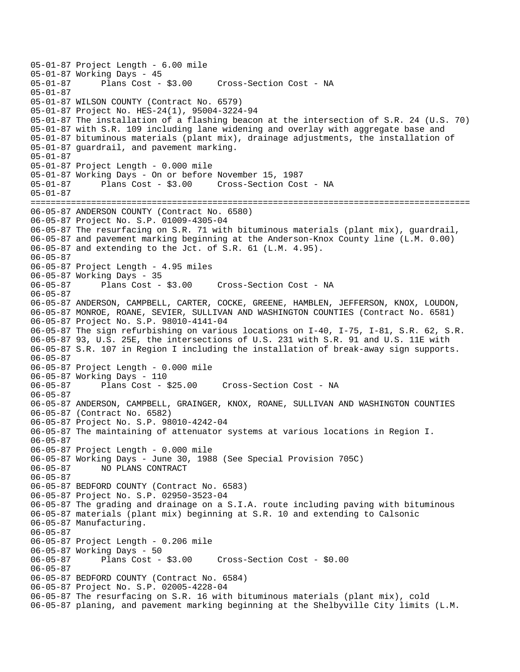05-01-87 Project Length - 6.00 mile 05-01-87 Working Days - 45 Cross-Section Cost - NA 05-01-87 05-01-87 WILSON COUNTY (Contract No. 6579) 05-01-87 Project No. HES-24(1), 95004-3224-94 05-01-87 The installation of a flashing beacon at the intersection of S.R. 24 (U.S. 70) 05-01-87 with S.R. 109 including lane widening and overlay with aggregate base and 05-01-87 bituminous materials (plant mix), drainage adjustments, the installation of 05-01-87 guardrail, and pavement marking. 05-01-87 05-01-87 Project Length - 0.000 mile 05-01-87 Working Days - On or before November 15, 1987 05-01-87 Plans Cost - \$3.00 Cross-Section Cost - NA 05-01-87 ======================================================================================= 06-05-87 ANDERSON COUNTY (Contract No. 6580) 06-05-87 Project No. S.P. 01009-4305-04 06-05-87 The resurfacing on S.R. 71 with bituminous materials (plant mix), guardrail, 06-05-87 and pavement marking beginning at the Anderson-Knox County line (L.M. 0.00) 06-05-87 and extending to the Jct. of S.R. 61 (L.M. 4.95). 06-05-87 06-05-87 Project Length - 4.95 miles 06-05-87 Working Days - 35<br>06-05-87 Plans Cost - \$3.00 Cross-Section Cost - NA 06-05-87 06-05-87 ANDERSON, CAMPBELL, CARTER, COCKE, GREENE, HAMBLEN, JEFFERSON, KNOX, LOUDON, 06-05-87 MONROE, ROANE, SEVIER, SULLIVAN AND WASHINGTON COUNTIES (Contract No. 6581) 06-05-87 Project No. S.P. 98010-4141-04 06-05-87 The sign refurbishing on various locations on I-40, I-75, I-81, S.R. 62, S.R. 06-05-87 93, U.S. 25E, the intersections of U.S. 231 with S.R. 91 and U.S. 11E with 06-05-87 S.R. 107 in Region I including the installation of break-away sign supports. 06-05-87 06-05-87 Project Length - 0.000 mile 06-05-87 Working Days - 110 06-05-87 Plans Cost - \$25.00 Cross-Section Cost - NA 06-05-87 06-05-87 ANDERSON, CAMPBELL, GRAINGER, KNOX, ROANE, SULLIVAN AND WASHINGTON COUNTIES 06-05-87 (Contract No. 6582) 06-05-87 Project No. S.P. 98010-4242-04 06-05-87 The maintaining of attenuator systems at various locations in Region I. 06-05-87 06-05-87 Project Length - 0.000 mile 06-05-87 Working Days - June 30, 1988 (See Special Provision 705C) 06-05-87 NO PLANS CONTRACT 06-05-87 06-05-87 BEDFORD COUNTY (Contract No. 6583) 06-05-87 Project No. S.P. 02950-3523-04 06-05-87 The grading and drainage on a S.I.A. route including paving with bituminous 06-05-87 materials (plant mix) beginning at S.R. 10 and extending to Calsonic 06-05-87 Manufacturing. 06-05-87 06-05-87 Project Length - 0.206 mile 06-05-87 Working Days - 50<br>06-05-87 Plans Cost - \$3.00 06-05-87 Plans Cost - \$3.00 Cross-Section Cost - \$0.00 06-05-87 06-05-87 BEDFORD COUNTY (Contract No. 6584) 06-05-87 Project No. S.P. 02005-4228-04 06-05-87 The resurfacing on S.R. 16 with bituminous materials (plant mix), cold 06-05-87 planing, and pavement marking beginning at the Shelbyville City limits (L.M.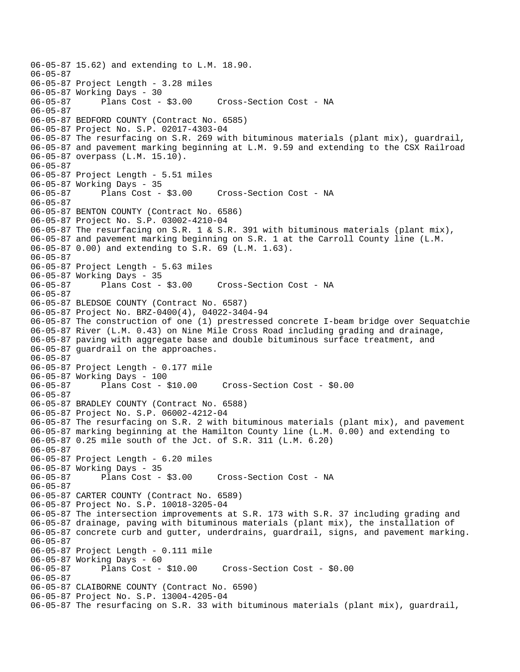```
06-05-87 15.62) and extending to L.M. 18.90. 
06-05-87 
06-05-87 Project Length - 3.28 miles 
06-05-87 Working Days - 30 
06-05-87 Plans Cost - $3.00 Cross-Section Cost - NA 
06-05-87 
06-05-87 BEDFORD COUNTY (Contract No. 6585) 
06-05-87 Project No. S.P. 02017-4303-04 
06-05-87 The resurfacing on S.R. 269 with bituminous materials (plant mix), guardrail, 
06-05-87 and pavement marking beginning at L.M. 9.59 and extending to the CSX Railroad 
06-05-87 overpass (L.M. 15.10). 
06-05-87 
06-05-87 Project Length - 5.51 miles 
06-05-87 Working Days - 35 
06-05-87 Plans Cost - $3.00 Cross-Section Cost - NA 
06-05-87 
06-05-87 BENTON COUNTY (Contract No. 6586) 
06-05-87 Project No. S.P. 03002-4210-04 
06-05-87 The resurfacing on S.R. 1 & S.R. 391 with bituminous materials (plant mix), 
06-05-87 and pavement marking beginning on S.R. 1 at the Carroll County line (L.M. 
06-05-87 0.00) and extending to S.R. 69 (L.M. 1.63). 
06-05-87 
06-05-87 Project Length - 5.63 miles 
06-05-87 Working Days - 35 
                                     Cross-Section Cost - NA
06-05-87 
06-05-87 BLEDSOE COUNTY (Contract No. 6587) 
06-05-87 Project No. BRZ-0400(4), 04022-3404-94 
06-05-87 The construction of one (1) prestressed concrete I-beam bridge over Sequatchie 
06-05-87 River (L.M. 0.43) on Nine Mile Cross Road including grading and drainage, 
06-05-87 paving with aggregate base and double bituminous surface treatment, and 
06-05-87 guardrail on the approaches. 
06-05-87 
06-05-87 Project Length - 0.177 mile 
06-05-87 Working Days - 100 
06-05-87 Plans Cost - $10.00 Cross-Section Cost - $0.00 
06-05-87 
06-05-87 BRADLEY COUNTY (Contract No. 6588) 
06-05-87 Project No. S.P. 06002-4212-04 
06-05-87 The resurfacing on S.R. 2 with bituminous materials (plant mix), and pavement 
06-05-87 marking beginning at the Hamilton County line (L.M. 0.00) and extending to 
06-05-87 0.25 mile south of the Jct. of S.R. 311 (L.M. 6.20) 
06-05-87 
06-05-87 Project Length - 6.20 miles 
06-05-87 Working Days - 35 
06-05-87 Plans Cost - $3.00 Cross-Section Cost - NA 
06-05-87 
06-05-87 CARTER COUNTY (Contract No. 6589) 
06-05-87 Project No. S.P. 10018-3205-04 
06-05-87 The intersection improvements at S.R. 173 with S.R. 37 including grading and 
06-05-87 drainage, paving with bituminous materials (plant mix), the installation of 
06-05-87 concrete curb and gutter, underdrains, guardrail, signs, and pavement marking. 
06-05-87 
06-05-87 Project Length - 0.111 mile 
06-05-87 Working Days - 60 
06-05-87 Plans Cost - $10.00 Cross-Section Cost - $0.00 
06-05-87 
06-05-87 CLAIBORNE COUNTY (Contract No. 6590) 
06-05-87 Project No. S.P. 13004-4205-04 
06-05-87 The resurfacing on S.R. 33 with bituminous materials (plant mix), guardrail,
```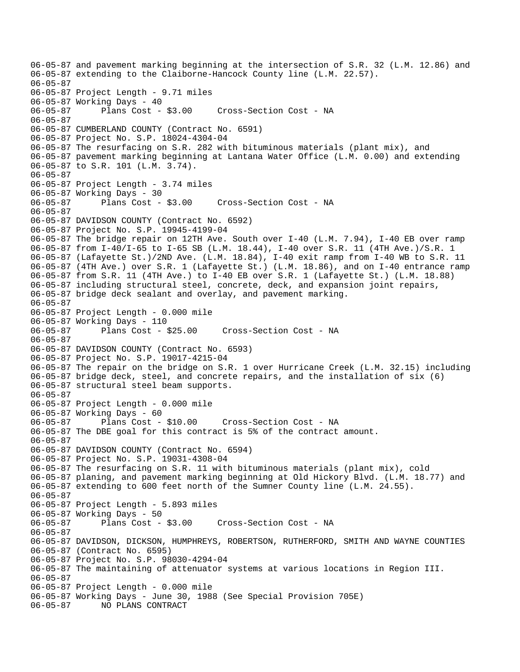06-05-87 and pavement marking beginning at the intersection of S.R. 32 (L.M. 12.86) and 06-05-87 extending to the Claiborne-Hancock County line (L.M. 22.57). 06-05-87 06-05-87 Project Length - 9.71 miles 06-05-87 Working Days - 40 06-05-87 Plans Cost - \$3.00 Cross-Section Cost - NA 06-05-87 06-05-87 CUMBERLAND COUNTY (Contract No. 6591) 06-05-87 Project No. S.P. 18024-4304-04 06-05-87 The resurfacing on S.R. 282 with bituminous materials (plant mix), and 06-05-87 pavement marking beginning at Lantana Water Office (L.M. 0.00) and extending 06-05-87 to S.R. 101 (L.M. 3.74). 06-05-87 06-05-87 Project Length - 3.74 miles 06-05-87 Working Days - 30<br>06-05-87 Plans Cost - \$3.00 Cross-Section Cost - NA 06-05-87 06-05-87 DAVIDSON COUNTY (Contract No. 6592) 06-05-87 Project No. S.P. 19945-4199-04 06-05-87 The bridge repair on 12TH Ave. South over I-40 (L.M. 7.94), I-40 EB over ramp 06-05-87 from I-40/I-65 to I-65 SB (L.M. 18.44), I-40 over S.R. 11 (4TH Ave.)/S.R. 1 06-05-87 (Lafayette St.)/2ND Ave. (L.M. 18.84), I-40 exit ramp from I-40 WB to S.R. 11 06-05-87 (4TH Ave.) over S.R. 1 (Lafayette St.) (L.M. 18.86), and on I-40 entrance ramp 06-05-87 from S.R. 11 (4TH Ave.) to I-40 EB over S.R. 1 (Lafayette St.) (L.M. 18.88) 06-05-87 including structural steel, concrete, deck, and expansion joint repairs, 06-05-87 bridge deck sealant and overlay, and pavement marking. 06-05-87 06-05-87 Project Length - 0.000 mile 06-05-87 Working Days - 110 06-05-87 Plans Cost - \$25.00 Cross-Section Cost - NA 06-05-87 06-05-87 DAVIDSON COUNTY (Contract No. 6593) 06-05-87 Project No. S.P. 19017-4215-04 06-05-87 The repair on the bridge on S.R. 1 over Hurricane Creek (L.M. 32.15) including 06-05-87 bridge deck, steel, and concrete repairs, and the installation of six (6) 06-05-87 structural steel beam supports. 06-05-87 06-05-87 Project Length - 0.000 mile 06-05-87 Working Days - 60 06-05-87 Plans Cost - \$10.00 Cross-Section Cost - NA 06-05-87 The DBE goal for this contract is 5% of the contract amount. 06-05-87 06-05-87 DAVIDSON COUNTY (Contract No. 6594) 06-05-87 Project No. S.P. 19031-4308-04 06-05-87 The resurfacing on S.R. 11 with bituminous materials (plant mix), cold 06-05-87 planing, and pavement marking beginning at Old Hickory Blvd. (L.M. 18.77) and 06-05-87 extending to 600 feet north of the Sumner County line (L.M. 24.55). 06-05-87 06-05-87 Project Length - 5.893 miles 06-05-87 Working Days - 50 06-05-87 Plans Cost - \$3.00 Cross-Section Cost - NA 06-05-87 06-05-87 DAVIDSON, DICKSON, HUMPHREYS, ROBERTSON, RUTHERFORD, SMITH AND WAYNE COUNTIES 06-05-87 (Contract No. 6595) 06-05-87 Project No. S.P. 98030-4294-04 06-05-87 The maintaining of attenuator systems at various locations in Region III. 06-05-87 06-05-87 Project Length - 0.000 mile 06-05-87 Working Days - June 30, 1988 (See Special Provision 705E) 06-05-87 NO PLANS CONTRACT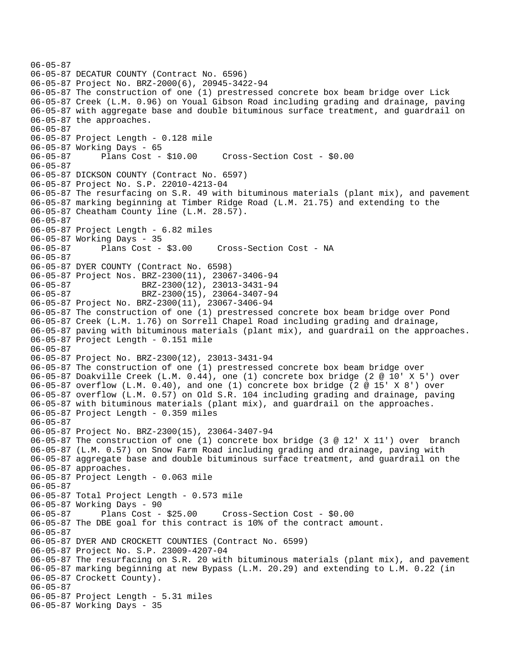```
06-05-87 
06-05-87 DECATUR COUNTY (Contract No. 6596) 
06-05-87 Project No. BRZ-2000(6), 20945-3422-94 
06-05-87 The construction of one (1) prestressed concrete box beam bridge over Lick 
06-05-87 Creek (L.M. 0.96) on Youal Gibson Road including grading and drainage, paving 
06-05-87 with aggregate base and double bituminous surface treatment, and guardrail on 
06-05-87 the approaches. 
06-05-87 
06-05-87 Project Length - 0.128 mile 
06-05-87 Working Days - 65 
06-05-87 Plans Cost - $10.00 Cross-Section Cost - $0.00 
06-05-87 
06-05-87 DICKSON COUNTY (Contract No. 6597) 
06-05-87 Project No. S.P. 22010-4213-04 
06-05-87 The resurfacing on S.R. 49 with bituminous materials (plant mix), and pavement 
06-05-87 marking beginning at Timber Ridge Road (L.M. 21.75) and extending to the 
06-05-87 Cheatham County line (L.M. 28.57). 
06-05-87 
06-05-87 Project Length - 6.82 miles 
06-05-87 Working Days - 35 
06-05-87 Plans Cost - $3.00 Cross-Section Cost - NA 
06-05-87 
06-05-87 DYER COUNTY (Contract No. 6598) 
06-05-87 Project Nos. BRZ-2300(11), 23067-3406-94<br>06-05-87 BRZ-2300(12), 23013-3431-94
06-05-87 BRZ-2300(12), 23013-3431-94<br>06-05-87 BRZ-2300(15), 23064-3407-94
                      06-05-87 BRZ-2300(15), 23064-3407-94 
06-05-87 Project No. BRZ-2300(11), 23067-3406-94 
06-05-87 The construction of one (1) prestressed concrete box beam bridge over Pond 
06-05-87 Creek (L.M. 1.76) on Sorrell Chapel Road including grading and drainage, 
06-05-87 paving with bituminous materials (plant mix), and guardrail on the approaches. 
06-05-87 Project Length - 0.151 mile 
06-05-87 
06-05-87 Project No. BRZ-2300(12), 23013-3431-94 
06-05-87 The construction of one (1) prestressed concrete box beam bridge over 
06-05-87 Doakville Creek (L.M. 0.44), one (1) concrete box bridge (2 @ 10' X 5') over 
06-05-87 overflow (L.M. 0.40), and one (1) concrete box bridge (2 @ 15' X 8') over 
06-05-87 overflow (L.M. 0.57) on Old S.R. 104 including grading and drainage, paving 
06-05-87 with bituminous materials (plant mix), and guardrail on the approaches. 
06-05-87 Project Length - 0.359 miles 
06-05-87 
06-05-87 Project No. BRZ-2300(15), 23064-3407-94 
06-05-87 The construction of one (1) concrete box bridge (3 @ 12' X 11') over branch 
06-05-87 (L.M. 0.57) on Snow Farm Road including grading and drainage, paving with 
06-05-87 aggregate base and double bituminous surface treatment, and guardrail on the 
06-05-87 approaches. 
06-05-87 Project Length - 0.063 mile 
06-05-87 
06-05-87 Total Project Length - 0.573 mile 
06-05-87 Working Days - 90 
06-05-87 Plans Cost - $25.00 Cross-Section Cost - $0.00 
06-05-87 The DBE goal for this contract is 10% of the contract amount. 
06-05-87 
06-05-87 DYER AND CROCKETT COUNTIES (Contract No. 6599) 
06-05-87 Project No. S.P. 23009-4207-04 
06-05-87 The resurfacing on S.R. 20 with bituminous materials (plant mix), and pavement 
06-05-87 marking beginning at new Bypass (L.M. 20.29) and extending to L.M. 0.22 (in 
06-05-87 Crockett County). 
06-05-87 
06-05-87 Project Length - 5.31 miles 
06-05-87 Working Days - 35
```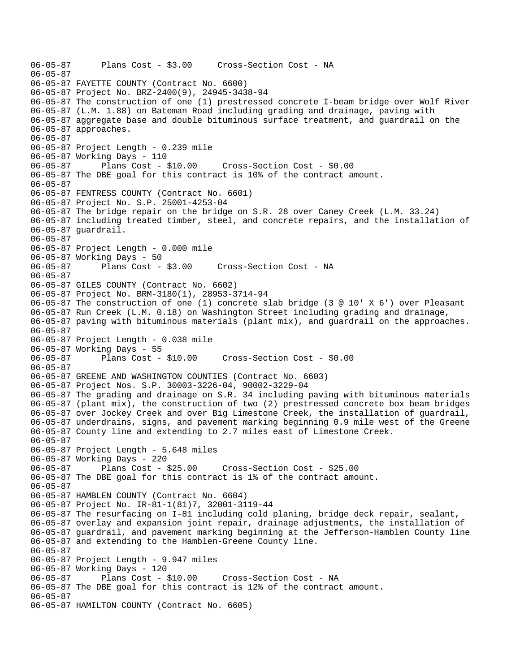06-05-87 Plans Cost - \$3.00 Cross-Section Cost - NA 06-05-87 06-05-87 FAYETTE COUNTY (Contract No. 6600) 06-05-87 Project No. BRZ-2400(9), 24945-3438-94 06-05-87 The construction of one (1) prestressed concrete I-beam bridge over Wolf River 06-05-87 (L.M. 1.88) on Bateman Road including grading and drainage, paving with 06-05-87 aggregate base and double bituminous surface treatment, and guardrail on the 06-05-87 approaches. 06-05-87 06-05-87 Project Length - 0.239 mile 06-05-87 Working Days - 110 06-05-87 Plans Cost - \$10.00 Cross-Section Cost - \$0.00 06-05-87 The DBE goal for this contract is 10% of the contract amount. 06-05-87 06-05-87 FENTRESS COUNTY (Contract No. 6601) 06-05-87 Project No. S.P. 25001-4253-04 06-05-87 The bridge repair on the bridge on S.R. 28 over Caney Creek (L.M. 33.24) 06-05-87 including treated timber, steel, and concrete repairs, and the installation of 06-05-87 guardrail. 06-05-87 06-05-87 Project Length - 0.000 mile 06-05-87 Working Days - 50 06-05-87 Plans Cost - \$3.00 Cross-Section Cost - NA 06-05-87 06-05-87 GILES COUNTY (Contract No. 6602) 06-05-87 Project No. BRM-3180(1), 28953-3714-94 06-05-87 The construction of one (1) concrete slab bridge (3 @ 10' X 6') over Pleasant 06-05-87 Run Creek (L.M. 0.18) on Washington Street including grading and drainage, 06-05-87 paving with bituminous materials (plant mix), and guardrail on the approaches. 06-05-87 06-05-87 Project Length - 0.038 mile 06-05-87 Working Days - 55 06-05-87 Plans Cost - \$10.00 Cross-Section Cost - \$0.00 06-05-87 06-05-87 GREENE AND WASHINGTON COUNTIES (Contract No. 6603) 06-05-87 Project Nos. S.P. 30003-3226-04, 90002-3229-04 06-05-87 The grading and drainage on S.R. 34 including paving with bituminous materials 06-05-87 (plant mix), the construction of two (2) prestressed concrete box beam bridges 06-05-87 over Jockey Creek and over Big Limestone Creek, the installation of guardrail, 06-05-87 underdrains, signs, and pavement marking beginning 0.9 mile west of the Greene 06-05-87 County line and extending to 2.7 miles east of Limestone Creek. 06-05-87 06-05-87 Project Length - 5.648 miles 06-05-87 Working Days - 220 06-05-87 Plans Cost - \$25.00 Cross-Section Cost - \$25.00 06-05-87 The DBE goal for this contract is 1% of the contract amount. 06-05-87 06-05-87 HAMBLEN COUNTY (Contract No. 6604) 06-05-87 Project No. IR-81-1(81)7, 32001-3119-44 06-05-87 The resurfacing on I-81 including cold planing, bridge deck repair, sealant, 06-05-87 overlay and expansion joint repair, drainage adjustments, the installation of 06-05-87 guardrail, and pavement marking beginning at the Jefferson-Hamblen County line 06-05-87 and extending to the Hamblen-Greene County line. 06-05-87 06-05-87 Project Length - 9.947 miles 06-05-87 Working Days - 120 06-05-87 Plans Cost - \$10.00 Cross-Section Cost - NA 06-05-87 The DBE goal for this contract is 12% of the contract amount. 06-05-87 06-05-87 HAMILTON COUNTY (Contract No. 6605)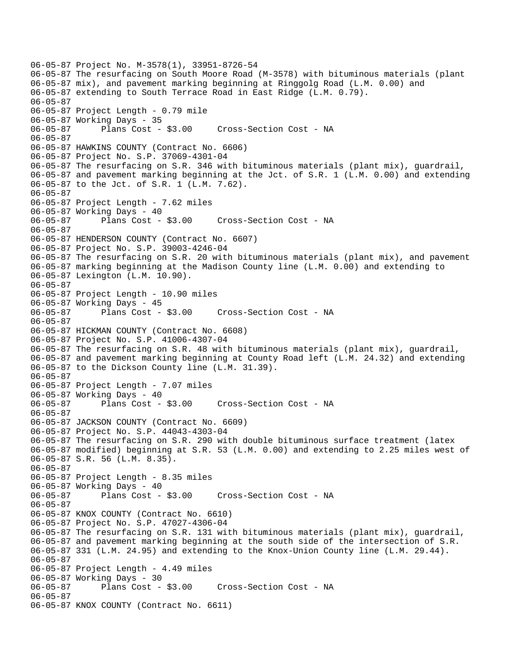```
06-05-87 Project No. M-3578(1), 33951-8726-54 
06-05-87 The resurfacing on South Moore Road (M-3578) with bituminous materials (plant 
06-05-87 mix), and pavement marking beginning at Ringgolg Road (L.M. 0.00) and 
06-05-87 extending to South Terrace Road in East Ridge (L.M. 0.79). 
06-05-87 
06-05-87 Project Length - 0.79 mile 
06-05-87 Working Days - 35 
06-05-87 Plans Cost - $3.00 Cross-Section Cost - NA 
06-05-87 
06-05-87 HAWKINS COUNTY (Contract No. 6606) 
06-05-87 Project No. S.P. 37069-4301-04 
06-05-87 The resurfacing on S.R. 346 with bituminous materials (plant mix), guardrail, 
06-05-87 and pavement marking beginning at the Jct. of S.R. 1 (L.M. 0.00) and extending 
06-05-87 to the Jct. of S.R. 1 (L.M. 7.62). 
06-05-87 
06-05-87 Project Length - 7.62 miles
06-05-87 Working Days - 40<br>06-05-87     Plans Cost - $3.00
06-05-87 Plans Cost - $3.00 Cross-Section Cost - NA 
06-05-87 
06-05-87 HENDERSON COUNTY (Contract No. 6607) 
06-05-87 Project No. S.P. 39003-4246-04 
06-05-87 The resurfacing on S.R. 20 with bituminous materials (plant mix), and pavement 
06-05-87 marking beginning at the Madison County line (L.M. 0.00) and extending to 
06-05-87 Lexington (L.M. 10.90). 
06-05-87 
06-05-87 Project Length - 10.90 miles 
06-05-87 Working Days - 45 
06-05-87 Plans Cost - $3.00 Cross-Section Cost - NA 
06-05-87 
06-05-87 HICKMAN COUNTY (Contract No. 6608) 
06-05-87 Project No. S.P. 41006-4307-04 
06-05-87 The resurfacing on S.R. 48 with bituminous materials (plant mix), guardrail, 
06-05-87 and pavement marking beginning at County Road left (L.M. 24.32) and extending 
06-05-87 to the Dickson County line (L.M. 31.39). 
06-05-87 
06-05-87 Project Length - 7.07 miles 
06-05-87 Working Days - 40 
06-05-87 Plans Cost - $3.00 Cross-Section Cost - NA 
06-05-87 
06-05-87 JACKSON COUNTY (Contract No. 6609) 
06-05-87 Project No. S.P. 44043-4303-04 
06-05-87 The resurfacing on S.R. 290 with double bituminous surface treatment (latex 
06-05-87 modified) beginning at S.R. 53 (L.M. 0.00) and extending to 2.25 miles west of 
06-05-87 S.R. 56 (L.M. 8.35). 
06-05-87 
06-05-87 Project Length - 8.35 miles 
06-05-87 Working Days - 40<br>06-05-87 Plans Cost - $3.00
06-05-87 Plans Cost - $3.00 Cross-Section Cost - NA 
06-05-87 
06-05-87 KNOX COUNTY (Contract No. 6610) 
06-05-87 Project No. S.P. 47027-4306-04 
06-05-87 The resurfacing on S.R. 131 with bituminous materials (plant mix), guardrail, 
06-05-87 and pavement marking beginning at the south side of the intersection of S.R. 
06-05-87 331 (L.M. 24.95) and extending to the Knox-Union County line (L.M. 29.44). 
06-05-87 
06-05-87 Project Length - 4.49 miles 
06-05-87 Working Days - 30 
                                      Cross-Section Cost - NA
06-05-87 
06-05-87 KNOX COUNTY (Contract No. 6611)
```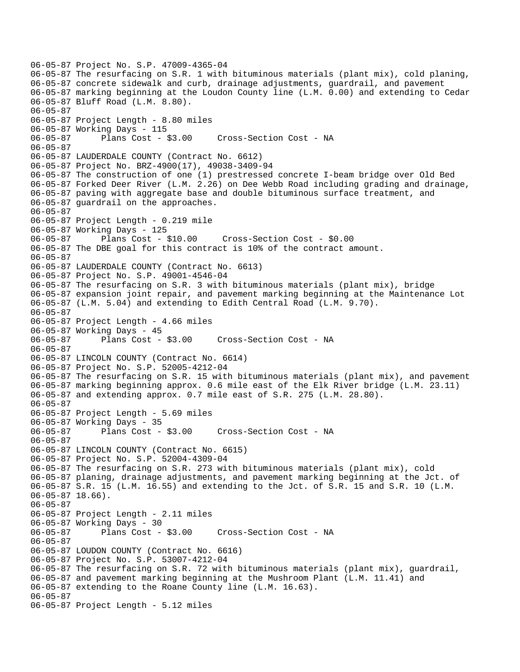06-05-87 Project No. S.P. 47009-4365-04 06-05-87 The resurfacing on S.R. 1 with bituminous materials (plant mix), cold planing, 06-05-87 concrete sidewalk and curb, drainage adjustments, guardrail, and pavement 06-05-87 marking beginning at the Loudon County line (L.M. 0.00) and extending to Cedar 06-05-87 Bluff Road (L.M. 8.80). 06-05-87 06-05-87 Project Length - 8.80 miles 06-05-87 Working Days - 115 06-05-87 Plans Cost - \$3.00 Cross-Section Cost - NA 06-05-87 06-05-87 LAUDERDALE COUNTY (Contract No. 6612) 06-05-87 Project No. BRZ-4900(17), 49038-3409-94 06-05-87 The construction of one (1) prestressed concrete I-beam bridge over Old Bed 06-05-87 Forked Deer River (L.M. 2.26) on Dee Webb Road including grading and drainage, 06-05-87 paving with aggregate base and double bituminous surface treatment, and 06-05-87 guardrail on the approaches. 06-05-87 06-05-87 Project Length - 0.219 mile 06-05-87 Working Days - 125 06-05-87 Plans Cost - \$10.00 Cross-Section Cost - \$0.00 06-05-87 The DBE goal for this contract is 10% of the contract amount. 06-05-87 06-05-87 LAUDERDALE COUNTY (Contract No. 6613) 06-05-87 Project No. S.P. 49001-4546-04 06-05-87 The resurfacing on S.R. 3 with bituminous materials (plant mix), bridge 06-05-87 expansion joint repair, and pavement marking beginning at the Maintenance Lot 06-05-87 (L.M. 5.04) and extending to Edith Central Road (L.M. 9.70). 06-05-87 06-05-87 Project Length - 4.66 miles 06-05-87 Working Days - 45 06-05-87 Plans Cost - \$3.00 Cross-Section Cost - NA 06-05-87 06-05-87 LINCOLN COUNTY (Contract No. 6614) 06-05-87 Project No. S.P. 52005-4212-04 06-05-87 The resurfacing on S.R. 15 with bituminous materials (plant mix), and pavement 06-05-87 marking beginning approx. 0.6 mile east of the Elk River bridge (L.M. 23.11) 06-05-87 and extending approx. 0.7 mile east of S.R. 275 (L.M. 28.80). 06-05-87 06-05-87 Project Length - 5.69 miles 06-05-87 Working Days - 35 06-05-87 Plans Cost - \$3.00 Cross-Section Cost - NA 06-05-87 06-05-87 LINCOLN COUNTY (Contract No. 6615) 06-05-87 Project No. S.P. 52004-4309-04 06-05-87 The resurfacing on S.R. 273 with bituminous materials (plant mix), cold 06-05-87 planing, drainage adjustments, and pavement marking beginning at the Jct. of 06-05-87 S.R. 15 (L.M. 16.55) and extending to the Jct. of S.R. 15 and S.R. 10 (L.M. 06-05-87 18.66). 06-05-87 06-05-87 Project Length - 2.11 miles 06-05-87 Working Days - 30 06-05-87 Plans Cost - \$3.00 Cross-Section Cost - NA 06-05-87 06-05-87 LOUDON COUNTY (Contract No. 6616) 06-05-87 Project No. S.P. 53007-4212-04 06-05-87 The resurfacing on S.R. 72 with bituminous materials (plant mix), guardrail, 06-05-87 and pavement marking beginning at the Mushroom Plant (L.M. 11.41) and 06-05-87 extending to the Roane County line (L.M. 16.63). 06-05-87 06-05-87 Project Length - 5.12 miles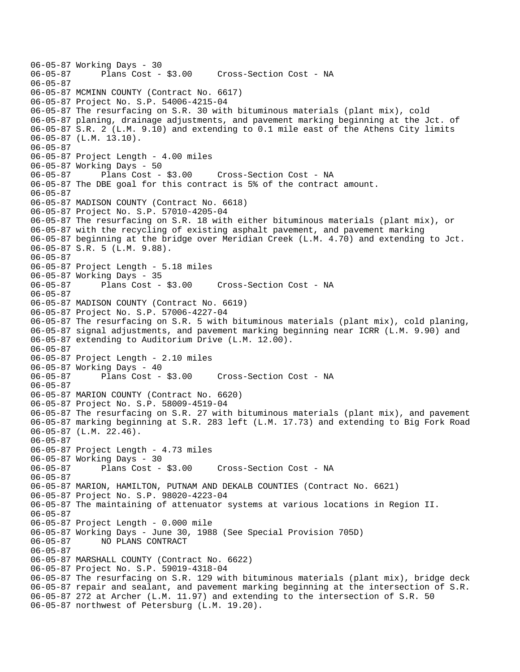```
06-05-87 Working Days - 30 
              Plans Cost - $3.00 Cross-Section Cost - NA
06-05-87 
06-05-87 MCMINN COUNTY (Contract No. 6617) 
06-05-87 Project No. S.P. 54006-4215-04 
06-05-87 The resurfacing on S.R. 30 with bituminous materials (plant mix), cold 
06-05-87 planing, drainage adjustments, and pavement marking beginning at the Jct. of 
06-05-87 S.R. 2 (L.M. 9.10) and extending to 0.1 mile east of the Athens City limits 
06-05-87 (L.M. 13.10). 
06-05-87 
06-05-87 Project Length - 4.00 miles
06-05-87 Working Days - 50 
06-05-87 Plans Cost - $3.00 Cross-Section Cost - NA 
06-05-87 The DBE goal for this contract is 5% of the contract amount. 
06-05-87 
06-05-87 MADISON COUNTY (Contract No. 6618) 
06-05-87 Project No. S.P. 57010-4205-04 
06-05-87 The resurfacing on S.R. 18 with either bituminous materials (plant mix), or 
06-05-87 with the recycling of existing asphalt pavement, and pavement marking 
06-05-87 beginning at the bridge over Meridian Creek (L.M. 4.70) and extending to Jct. 
06-05-87 S.R. 5 (L.M. 9.88). 
06-05-87 
06-05-87 Project Length - 5.18 miles 
06-05-87 Working Days - 35<br>06-05-87 Plans Cost - $3.00
                                    Cross-Section Cost - NA
06-05-87 
06-05-87 MADISON COUNTY (Contract No. 6619) 
06-05-87 Project No. S.P. 57006-4227-04 
06-05-87 The resurfacing on S.R. 5 with bituminous materials (plant mix), cold planing, 
06-05-87 signal adjustments, and pavement marking beginning near ICRR (L.M. 9.90) and 
06-05-87 extending to Auditorium Drive (L.M. 12.00). 
06-05-87 
06-05-87 Project Length - 2.10 miles 
06-05-87 Working Days - 40 
                                    Cross-Section Cost - NA
06-05-87 
06-05-87 MARION COUNTY (Contract No. 6620) 
06-05-87 Project No. S.P. 58009-4519-04 
06-05-87 The resurfacing on S.R. 27 with bituminous materials (plant mix), and pavement 
06-05-87 marking beginning at S.R. 283 left (L.M. 17.73) and extending to Big Fork Road 
06-05-87 (L.M. 22.46). 
06-05-87 
06-05-87 Project Length - 4.73 miles
06-05-87 Working Days - 30 
              Plans Cost - $3.00 Cross-Section Cost - NA
06-05-87 
06-05-87 MARION, HAMILTON, PUTNAM AND DEKALB COUNTIES (Contract No. 6621) 
06-05-87 Project No. S.P. 98020-4223-04 
06-05-87 The maintaining of attenuator systems at various locations in Region II. 
06-05-87 
06-05-87 Project Length - 0.000 mile 
06-05-87 Working Days - June 30, 1988 (See Special Provision 705D) 
06-05-87 NO PLANS CONTRACT 
06-05-87 
06-05-87 MARSHALL COUNTY (Contract No. 6622) 
06-05-87 Project No. S.P. 59019-4318-04 
06-05-87 The resurfacing on S.R. 129 with bituminous materials (plant mix), bridge deck 
06-05-87 repair and sealant, and pavement marking beginning at the intersection of S.R. 
06-05-87 272 at Archer (L.M. 11.97) and extending to the intersection of S.R. 50 
06-05-87 northwest of Petersburg (L.M. 19.20).
```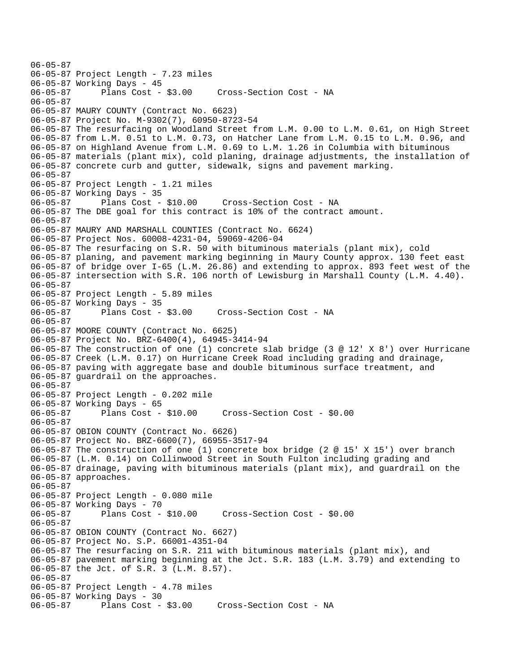06-05-87 06-05-87 Project Length - 7.23 miles 06-05-87 Working Days - 45 06-05-87 Plans Cost - \$3.00 Cross-Section Cost - NA 06-05-87 06-05-87 MAURY COUNTY (Contract No. 6623) 06-05-87 Project No. M-9302(7), 60950-8723-54 06-05-87 The resurfacing on Woodland Street from L.M. 0.00 to L.M. 0.61, on High Street 06-05-87 from L.M. 0.51 to L.M. 0.73, on Hatcher Lane from L.M. 0.15 to L.M. 0.96, and 06-05-87 on Highland Avenue from L.M. 0.69 to L.M. 1.26 in Columbia with bituminous 06-05-87 materials (plant mix), cold planing, drainage adjustments, the installation of 06-05-87 concrete curb and gutter, sidewalk, signs and pavement marking. 06-05-87 06-05-87 Project Length - 1.21 miles 06-05-87 Working Days - 35 06-05-87 Plans Cost - \$10.00 Cross-Section Cost - NA 06-05-87 The DBE goal for this contract is 10% of the contract amount. 06-05-87 06-05-87 MAURY AND MARSHALL COUNTIES (Contract No. 6624) 06-05-87 Project Nos. 60008-4231-04, 59069-4206-04 06-05-87 The resurfacing on S.R. 50 with bituminous materials (plant mix), cold 06-05-87 planing, and pavement marking beginning in Maury County approx. 130 feet east 06-05-87 of bridge over I-65 (L.M. 26.86) and extending to approx. 893 feet west of the 06-05-87 intersection with S.R. 106 north of Lewisburg in Marshall County (L.M. 4.40). 06-05-87 06-05-87 Project Length - 5.89 miles 06-05-87 Working Days - 35 06-05-87 Plans Cost - \$3.00 Cross-Section Cost - NA 06-05-87 06-05-87 MOORE COUNTY (Contract No. 6625) 06-05-87 Project No. BRZ-6400(4), 64945-3414-94 06-05-87 The construction of one (1) concrete slab bridge (3 @ 12' X 8') over Hurricane 06-05-87 Creek (L.M. 0.17) on Hurricane Creek Road including grading and drainage, 06-05-87 paving with aggregate base and double bituminous surface treatment, and 06-05-87 guardrail on the approaches. 06-05-87 06-05-87 Project Length - 0.202 mile 06-05-87 Working Days - 65 06-05-87 Plans Cost - \$10.00 Cross-Section Cost - \$0.00 06-05-87 06-05-87 OBION COUNTY (Contract No. 6626) 06-05-87 Project No. BRZ-6600(7), 66955-3517-94 06-05-87 The construction of one (1) concrete box bridge (2 @ 15' X 15') over branch 06-05-87 (L.M. 0.14) on Collinwood Street in South Fulton including grading and 06-05-87 drainage, paving with bituminous materials (plant mix), and guardrail on the 06-05-87 approaches. 06-05-87 06-05-87 Project Length - 0.080 mile 06-05-87 Working Days - 70 06-05-87 Plans Cost - \$10.00 Cross-Section Cost - \$0.00 06-05-87 06-05-87 OBION COUNTY (Contract No. 6627) 06-05-87 Project No. S.P. 66001-4351-04 06-05-87 The resurfacing on S.R. 211 with bituminous materials (plant mix), and 06-05-87 pavement marking beginning at the Jct. S.R. 183 (L.M. 3.79) and extending to 06-05-87 the Jct. of S.R. 3 (L.M. 8.57). 06-05-87 06-05-87 Project Length - 4.78 miles 06-05-87 Working Days - 30 06-05-87 Plans Cost - \$3.00 Cross-Section Cost - NA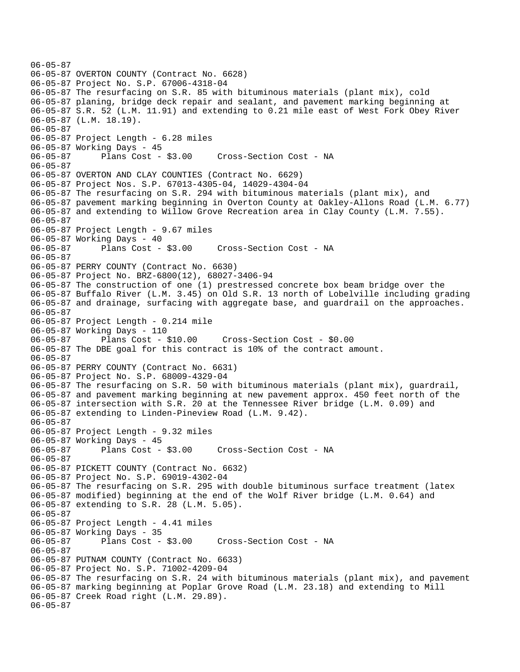```
06-05-87 
06-05-87 OVERTON COUNTY (Contract No. 6628) 
06-05-87 Project No. S.P. 67006-4318-04 
06-05-87 The resurfacing on S.R. 85 with bituminous materials (plant mix), cold 
06-05-87 planing, bridge deck repair and sealant, and pavement marking beginning at 
06-05-87 S.R. 52 (L.M. 11.91) and extending to 0.21 mile east of West Fork Obey River 
06-05-87 (L.M. 18.19). 
06-05-87 
06-05-87 Project Length - 6.28 miles 
06-05-87 Working Days - 45 
06-05-87 Plans Cost - $3.00 Cross-Section Cost - NA 
06-05-87 
06-05-87 OVERTON AND CLAY COUNTIES (Contract No. 6629) 
06-05-87 Project Nos. S.P. 67013-4305-04, 14029-4304-04 
06-05-87 The resurfacing on S.R. 294 with bituminous materials (plant mix), and 
06-05-87 pavement marking beginning in Overton County at Oakley-Allons Road (L.M. 6.77) 
06-05-87 and extending to Willow Grove Recreation area in Clay County (L.M. 7.55). 
06-05-87 
06-05-87 Project Length - 9.67 miles 
06-05-87 Working Days - 40 
06-05-87 Plans Cost - $3.00 Cross-Section Cost - NA 
06-05-87 
06-05-87 PERRY COUNTY (Contract No. 6630) 
06-05-87 Project No. BRZ-6800(12), 68027-3406-94 
06-05-87 The construction of one (1) prestressed concrete box beam bridge over the 
06-05-87 Buffalo River (L.M. 3.45) on Old S.R. 13 north of Lobelville including grading 
06-05-87 and drainage, surfacing with aggregate base, and guardrail on the approaches. 
06-05-87 
06-05-87 Project Length - 0.214 mile 
06-05-87 Working Days - 110 
06-05-87 Plans Cost - $10.00 Cross-Section Cost - $0.00 
06-05-87 The DBE goal for this contract is 10% of the contract amount. 
06-05-87 
06-05-87 PERRY COUNTY (Contract No. 6631) 
06-05-87 Project No. S.P. 68009-4329-04 
06-05-87 The resurfacing on S.R. 50 with bituminous materials (plant mix), guardrail, 
06-05-87 and pavement marking beginning at new pavement approx. 450 feet north of the 
06-05-87 intersection with S.R. 20 at the Tennessee River bridge (L.M. 0.09) and 
06-05-87 extending to Linden-Pineview Road (L.M. 9.42). 
06-05-87 
06-05-87 Project Length - 9.32 miles 
06-05-87 Working Days - 45 
06-05-87 Plans Cost - $3.00 Cross-Section Cost - NA 
06-05-87 
06-05-87 PICKETT COUNTY (Contract No. 6632) 
06-05-87 Project No. S.P. 69019-4302-04 
06-05-87 The resurfacing on S.R. 295 with double bituminous surface treatment (latex 
06-05-87 modified) beginning at the end of the Wolf River bridge (L.M. 0.64) and 
06-05-87 extending to S.R. 28 (L.M. 5.05). 
06-05-87 
06-05-87 Project Length - 4.41 miles 
06-05-87 Working Days - 35 
06-05-87 Plans Cost - $3.00 Cross-Section Cost - NA 
06-05-87 
06-05-87 PUTNAM COUNTY (Contract No. 6633) 
06-05-87 Project No. S.P. 71002-4209-04 
06-05-87 The resurfacing on S.R. 24 with bituminous materials (plant mix), and pavement 
06-05-87 marking beginning at Poplar Grove Road (L.M. 23.18) and extending to Mill 
06-05-87 Creek Road right (L.M. 29.89). 
06-05-87
```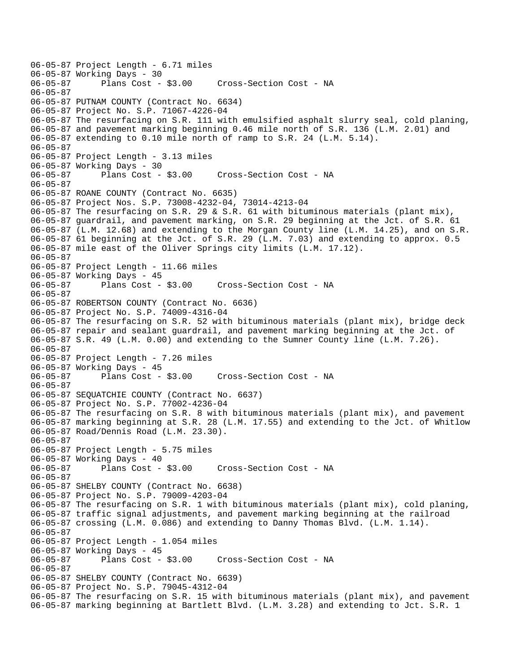06-05-87 Project Length - 6.71 miles 06-05-87 Working Days - 30 Cross-Section Cost - NA 06-05-87 06-05-87 PUTNAM COUNTY (Contract No. 6634) 06-05-87 Project No. S.P. 71067-4226-04 06-05-87 The resurfacing on S.R. 111 with emulsified asphalt slurry seal, cold planing, 06-05-87 and pavement marking beginning 0.46 mile north of S.R. 136 (L.M. 2.01) and 06-05-87 extending to 0.10 mile north of ramp to S.R. 24 (L.M. 5.14). 06-05-87 06-05-87 Project Length - 3.13 miles 06-05-87 Working Days - 30 06-05-87 Plans Cost - \$3.00 Cross-Section Cost - NA 06-05-87 06-05-87 ROANE COUNTY (Contract No. 6635) 06-05-87 Project Nos. S.P. 73008-4232-04, 73014-4213-04 06-05-87 The resurfacing on S.R. 29 & S.R. 61 with bituminous materials (plant mix), 06-05-87 guardrail, and pavement marking, on S.R. 29 beginning at the Jct. of S.R. 61 06-05-87 (L.M. 12.68) and extending to the Morgan County line (L.M. 14.25), and on S.R. 06-05-87 61 beginning at the Jct. of S.R. 29 (L.M. 7.03) and extending to approx. 0.5 06-05-87 mile east of the Oliver Springs city limits (L.M. 17.12). 06-05-87 06-05-87 Project Length - 11.66 miles 06-05-87 Working Days - 45 Cross-Section Cost - NA 06-05-87 06-05-87 ROBERTSON COUNTY (Contract No. 6636) 06-05-87 Project No. S.P. 74009-4316-04 06-05-87 The resurfacing on S.R. 52 with bituminous materials (plant mix), bridge deck 06-05-87 repair and sealant guardrail, and pavement marking beginning at the Jct. of 06-05-87 S.R. 49 (L.M. 0.00) and extending to the Sumner County line (L.M. 7.26). 06-05-87 06-05-87 Project Length - 7.26 miles 06-05-87 Working Days - 45<br>06-05-87 Plans Cost - \$3.00 Cross-Section Cost - NA 06-05-87 06-05-87 SEQUATCHIE COUNTY (Contract No. 6637) 06-05-87 Project No. S.P. 77002-4236-04 06-05-87 The resurfacing on S.R. 8 with bituminous materials (plant mix), and pavement 06-05-87 marking beginning at S.R. 28 (L.M. 17.55) and extending to the Jct. of Whitlow 06-05-87 Road/Dennis Road (L.M. 23.30). 06-05-87 06-05-87 Project Length - 5.75 miles 06-05-87 Working Days - 40 06-05-87 Plans Cost - \$3.00 Cross-Section Cost - NA 06-05-87 06-05-87 SHELBY COUNTY (Contract No. 6638) 06-05-87 Project No. S.P. 79009-4203-04 06-05-87 The resurfacing on S.R. 1 with bituminous materials (plant mix), cold planing, 06-05-87 traffic signal adjustments, and pavement marking beginning at the railroad 06-05-87 crossing (L.M. 0.086) and extending to Danny Thomas Blvd. (L.M. 1.14). 06-05-87 06-05-87 Project Length - 1.054 miles 06-05-87 Working Days - 45<br>06-05-87 Plans Cost - \$3.00 Cross-Section Cost - NA 06-05-87 06-05-87 SHELBY COUNTY (Contract No. 6639) 06-05-87 Project No. S.P. 79045-4312-04 06-05-87 The resurfacing on S.R. 15 with bituminous materials (plant mix), and pavement 06-05-87 marking beginning at Bartlett Blvd. (L.M. 3.28) and extending to Jct. S.R. 1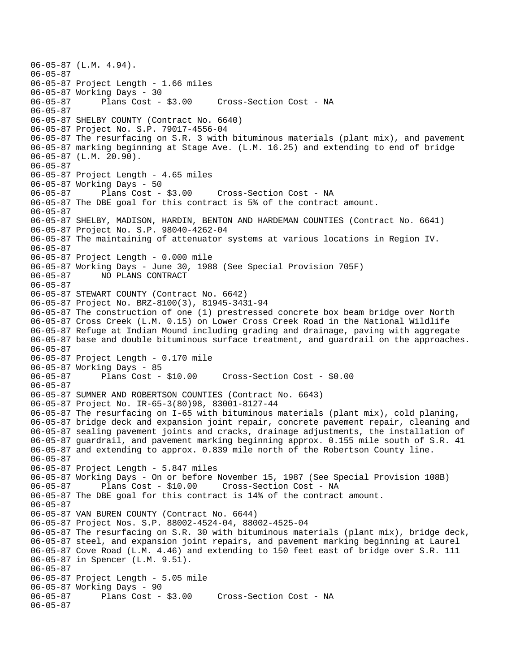```
06-05-87 (L.M. 4.94). 
06-05-87 
06-05-87 Project Length - 1.66 miles 
06-05-87 Working Days - 30 
06-05-87 Plans Cost - $3.00 Cross-Section Cost - NA 
06-05-87 
06-05-87 SHELBY COUNTY (Contract No. 6640) 
06-05-87 Project No. S.P. 79017-4556-04 
06-05-87 The resurfacing on S.R. 3 with bituminous materials (plant mix), and pavement 
06-05-87 marking beginning at Stage Ave. (L.M. 16.25) and extending to end of bridge 
06-05-87 (L.M. 20.90). 
06-05-87 
06-05-87 Project Length - 4.65 miles 
06-05-87 Working Days - 50 
06-05-87 Plans Cost - $3.00 Cross-Section Cost - NA 
06-05-87 The DBE goal for this contract is 5% of the contract amount. 
06-05-87 
06-05-87 SHELBY, MADISON, HARDIN, BENTON AND HARDEMAN COUNTIES (Contract No. 6641) 
06-05-87 Project No. S.P. 98040-4262-04 
06-05-87 The maintaining of attenuator systems at various locations in Region IV. 
06-05-87 
06-05-87 Project Length - 0.000 mile 
06-05-87 Working Days - June 30, 1988 (See Special Provision 705F) 
06-05-87 NO PLANS CONTRACT 
06-05-87 
06-05-87 STEWART COUNTY (Contract No. 6642) 
06-05-87 Project No. BRZ-8100(3), 81945-3431-94 
06-05-87 The construction of one (1) prestressed concrete box beam bridge over North 
06-05-87 Cross Creek (L.M. 0.15) on Lower Cross Creek Road in the National Wildlife 
06-05-87 Refuge at Indian Mound including grading and drainage, paving with aggregate 
06-05-87 base and double bituminous surface treatment, and guardrail on the approaches. 
06-05-87 
06-05-87 Project Length - 0.170 mile 
06-05-87 Working Days - 85 
                                      06-05-87 Plans Cost - $10.00 Cross-Section Cost - $0.00 
06-05-87 
06-05-87 SUMNER AND ROBERTSON COUNTIES (Contract No. 6643) 
06-05-87 Project No. IR-65-3(80)98, 83001-8127-44 
06-05-87 The resurfacing on I-65 with bituminous materials (plant mix), cold planing, 
06-05-87 bridge deck and expansion joint repair, concrete pavement repair, cleaning and 
06-05-87 sealing pavement joints and cracks, drainage adjustments, the installation of 
06-05-87 guardrail, and pavement marking beginning approx. 0.155 mile south of S.R. 41 
06-05-87 and extending to approx. 0.839 mile north of the Robertson County line. 
06-05-87 
06-05-87 Project Length - 5.847 miles 
06-05-87 Working Days - On or before November 15, 1987 (See Special Provision 108B) 
06-05-87 Plans Cost - $10.00 Cross-Section Cost - NA 
06-05-87 The DBE goal for this contract is 14% of the contract amount. 
06-05-87 
06-05-87 VAN BUREN COUNTY (Contract No. 6644) 
06-05-87 Project Nos. S.P. 88002-4524-04, 88002-4525-04 
06-05-87 The resurfacing on S.R. 30 with bituminous materials (plant mix), bridge deck, 
06-05-87 steel, and expansion joint repairs, and pavement marking beginning at Laurel 
06-05-87 Cove Road (L.M. 4.46) and extending to 150 feet east of bridge over S.R. 111 
06-05-87 in Spencer (L.M. 9.51). 
06-05-87 
06-05-87 Project Length - 5.05 mile 
06-05-87 Working Days - 90 
                                    Cross-Section Cost - NA
06-05-87
```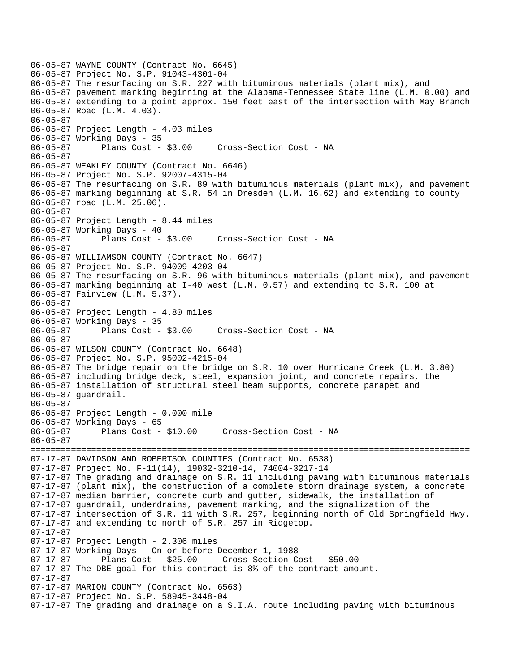06-05-87 WAYNE COUNTY (Contract No. 6645) 06-05-87 Project No. S.P. 91043-4301-04 06-05-87 The resurfacing on S.R. 227 with bituminous materials (plant mix), and 06-05-87 pavement marking beginning at the Alabama-Tennessee State line (L.M. 0.00) and 06-05-87 extending to a point approx. 150 feet east of the intersection with May Branch 06-05-87 Road (L.M. 4.03). 06-05-87 06-05-87 Project Length - 4.03 miles 06-05-87 Working Days - 35 06-05-87 Plans Cost - \$3.00 Cross-Section Cost - NA 06-05-87 06-05-87 WEAKLEY COUNTY (Contract No. 6646) 06-05-87 Project No. S.P. 92007-4315-04 06-05-87 The resurfacing on S.R. 89 with bituminous materials (plant mix), and pavement 06-05-87 marking beginning at S.R. 54 in Dresden (L.M. 16.62) and extending to county 06-05-87 road (L.M. 25.06). 06-05-87 06-05-87 Project Length - 8.44 miles 06-05-87 Working Days - 40 06-05-87 Plans Cost - \$3.00 Cross-Section Cost - NA 06-05-87 06-05-87 WILLIAMSON COUNTY (Contract No. 6647) 06-05-87 Project No. S.P. 94009-4203-04 06-05-87 The resurfacing on S.R. 96 with bituminous materials (plant mix), and pavement 06-05-87 marking beginning at I-40 west (L.M. 0.57) and extending to S.R. 100 at 06-05-87 Fairview (L.M. 5.37). 06-05-87 06-05-87 Project Length - 4.80 miles 06-05-87 Working Days - 35<br>06-05-87 Plans Cost - \$3.00 06-05-87 Plans Cost - \$3.00 Cross-Section Cost - NA 06-05-87 06-05-87 WILSON COUNTY (Contract No. 6648) 06-05-87 Project No. S.P. 95002-4215-04 06-05-87 The bridge repair on the bridge on S.R. 10 over Hurricane Creek (L.M. 3.80) 06-05-87 including bridge deck, steel, expansion joint, and concrete repairs, the 06-05-87 installation of structural steel beam supports, concrete parapet and 06-05-87 guardrail. 06-05-87 06-05-87 Project Length - 0.000 mile 06-05-87 Working Days - 65 06-05-87 Plans Cost - \$10.00 Cross-Section Cost - NA 06-05-87 ======================================================================================= 07-17-87 DAVIDSON AND ROBERTSON COUNTIES (Contract No. 6538) 07-17-87 Project No. F-11(14), 19032-3210-14, 74004-3217-14 07-17-87 The grading and drainage on S.R. 11 including paving with bituminous materials  $07-17-87$  (plant mix), the construction of a complete storm drainage system, a concrete 07-17-87 median barrier, concrete curb and gutter, sidewalk, the installation of 07-17-87 guardrail, underdrains, pavement marking, and the signalization of the 07-17-87 intersection of S.R. 11 with S.R. 257, beginning north of Old Springfield Hwy. 07-17-87 and extending to north of S.R. 257 in Ridgetop. 07-17-87 07-17-87 Project Length - 2.306 miles 07-17-87 Working Days - On or before December 1, 1988 07-17-87 Plans Cost - \$25.00 Cross-Section Cost - \$50.00 07-17-87 The DBE goal for this contract is 8% of the contract amount. 07-17-87 07-17-87 MARION COUNTY (Contract No. 6563) 07-17-87 Project No. S.P. 58945-3448-04 07-17-87 The grading and drainage on a S.I.A. route including paving with bituminous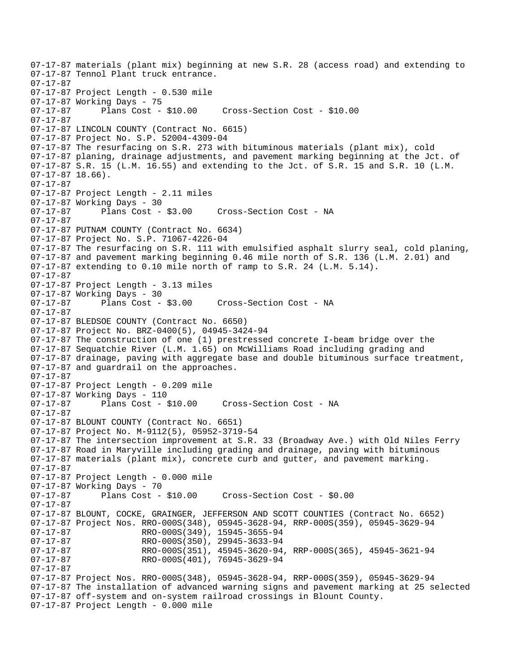07-17-87 materials (plant mix) beginning at new S.R. 28 (access road) and extending to 07-17-87 Tennol Plant truck entrance. 07-17-87 07-17-87 Project Length - 0.530 mile 07-17-87 Working Days - 75 07-17-87 Plans Cost - \$10.00 Cross-Section Cost - \$10.00 07-17-87 07-17-87 LINCOLN COUNTY (Contract No. 6615) 07-17-87 Project No. S.P. 52004-4309-04 07-17-87 The resurfacing on S.R. 273 with bituminous materials (plant mix), cold 07-17-87 planing, drainage adjustments, and pavement marking beginning at the Jct. of 07-17-87 S.R. 15 (L.M. 16.55) and extending to the Jct. of S.R. 15 and S.R. 10 (L.M. 07-17-87 18.66). 07-17-87 07-17-87 Project Length - 2.11 miles 07-17-87 Working Days - 30 07-17-87 Plans Cost - \$3.00 Cross-Section Cost - NA 07-17-87 07-17-87 PUTNAM COUNTY (Contract No. 6634) 07-17-87 Project No. S.P. 71067-4226-04 07-17-87 The resurfacing on S.R. 111 with emulsified asphalt slurry seal, cold planing, 07-17-87 and pavement marking beginning 0.46 mile north of S.R. 136 (L.M. 2.01) and 07-17-87 extending to 0.10 mile north of ramp to S.R. 24 (L.M. 5.14). 07-17-87 07-17-87 Project Length - 3.13 miles 07-17-87 Working Days - 30 07-17-87 Plans Cost - \$3.00 Cross-Section Cost - NA 07-17-87 07-17-87 BLEDSOE COUNTY (Contract No. 6650) 07-17-87 Project No. BRZ-0400(5), 04945-3424-94 07-17-87 The construction of one (1) prestressed concrete I-beam bridge over the 07-17-87 Sequatchie River (L.M. 1.65) on McWilliams Road including grading and 07-17-87 drainage, paving with aggregate base and double bituminous surface treatment, 07-17-87 and guardrail on the approaches. 07-17-87 07-17-87 Project Length - 0.209 mile 07-17-87 Working Days - 110<br>07-17-87 Plans Cost - \$10.00 07-17-87 Plans Cost - \$10.00 Cross-Section Cost - NA 07-17-87 07-17-87 BLOUNT COUNTY (Contract No. 6651) 07-17-87 Project No. M-9112(5), 05952-3719-54 07-17-87 The intersection improvement at S.R. 33 (Broadway Ave.) with Old Niles Ferry 07-17-87 Road in Maryville including grading and drainage, paving with bituminous 07-17-87 materials (plant mix), concrete curb and gutter, and pavement marking. 07-17-87 07-17-87 Project Length - 0.000 mile 07-17-87 Working Days - 70 Cross-Section Cost - \$0.00 07-17-87 07-17-87 BLOUNT, COCKE, GRAINGER, JEFFERSON AND SCOTT COUNTIES (Contract No. 6652) 07-17-87 Project Nos. RRO-000S(348), 05945-3628-94, RRP-000S(359), 05945-3629-94 07-17-87 RRO-000S(349), 15945-3655-94 07-17-87 RRO-000S(350), 29945-3633-94<br>07-17-87 RRO-000S(351), 45945-3620-94 07-17-87 RRO-000S(351), 45945-3620-94, RRP-000S(365), 45945-3621-94<br>07-17-87 RRO-000S(401), 76945-3629-94 07-17-87 RRO-000S(401), 76945-3629-94 07-17-87 07-17-87 Project Nos. RRO-000S(348), 05945-3628-94, RRP-000S(359), 05945-3629-94 07-17-87 The installation of advanced warning signs and pavement marking at 25 selected 07-17-87 off-system and on-system railroad crossings in Blount County. 07-17-87 Project Length - 0.000 mile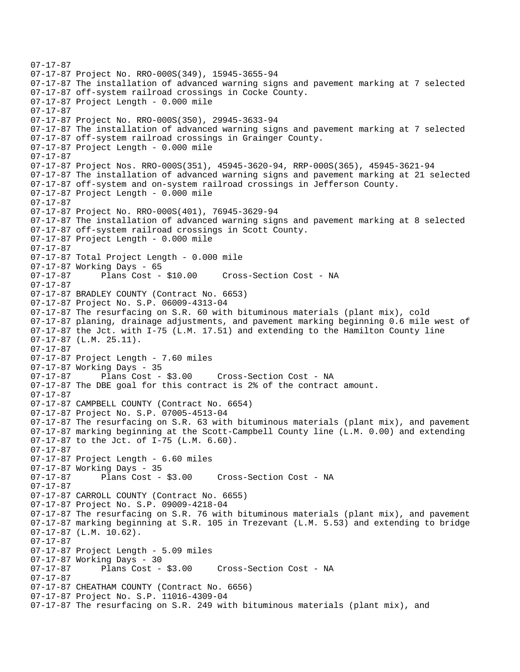```
07-17-87 
07-17-87 Project No. RRO-000S(349), 15945-3655-94 
07-17-87 The installation of advanced warning signs and pavement marking at 7 selected 
07-17-87 off-system railroad crossings in Cocke County. 
07-17-87 Project Length - 0.000 mile 
07-17-87 
07-17-87 Project No. RRO-000S(350), 29945-3633-94 
07-17-87 The installation of advanced warning signs and pavement marking at 7 selected 
07-17-87 off-system railroad crossings in Grainger County. 
07-17-87 Project Length - 0.000 mile 
07-17-87 
07-17-87 Project Nos. RRO-000S(351), 45945-3620-94, RRP-000S(365), 45945-3621-94 
07-17-87 The installation of advanced warning signs and pavement marking at 21 selected 
07-17-87 off-system and on-system railroad crossings in Jefferson County. 
07-17-87 Project Length - 0.000 mile 
07-17-87 
07-17-87 Project No. RRO-000S(401), 76945-3629-94 
07-17-87 The installation of advanced warning signs and pavement marking at 8 selected 
07-17-87 off-system railroad crossings in Scott County. 
07-17-87 Project Length - 0.000 mile 
07-17-87 
07-17-87 Total Project Length - 0.000 mile 
07-17-87 Working Days - 65 
07-17-87 Plans Cost - $10.00 Cross-Section Cost - NA 
07-17-87 
07-17-87 BRADLEY COUNTY (Contract No. 6653) 
07-17-87 Project No. S.P. 06009-4313-04 
07-17-87 The resurfacing on S.R. 60 with bituminous materials (plant mix), cold 
07-17-87 planing, drainage adjustments, and pavement marking beginning 0.6 mile west of 
07-17-87 the Jct. with I-75 (L.M. 17.51) and extending to the Hamilton County line 
07-17-87 (L.M. 25.11). 
07-17-87 
07-17-87 Project Length - 7.60 miles
07-17-87 Working Days - 35<br>07-17-87 Plans Cost -
              Plans Cost - $3.00 Cross-Section Cost - NA
07-17-87 The DBE goal for this contract is 2% of the contract amount. 
07-17-87 
07-17-87 CAMPBELL COUNTY (Contract No. 6654) 
07-17-87 Project No. S.P. 07005-4513-04 
07-17-87 The resurfacing on S.R. 63 with bituminous materials (plant mix), and pavement 
07-17-87 marking beginning at the Scott-Campbell County line (L.M. 0.00) and extending 
07-17-87 to the Jct. of I-75 (L.M. 6.60). 
07-17-87 
07-17-87 Project Length - 6.60 miles 
07-17-87 Working Days - 35 
07-17-87 Plans Cost - $3.00 Cross-Section Cost - NA 
07-17-87 
07-17-87 CARROLL COUNTY (Contract No. 6655) 
07-17-87 Project No. S.P. 09009-4218-04 
07-17-87 The resurfacing on S.R. 76 with bituminous materials (plant mix), and pavement 
07-17-87 marking beginning at S.R. 105 in Trezevant (L.M. 5.53) and extending to bridge 
07-17-87 (L.M. 10.62). 
07-17-87 
07-17-87 Project Length - 5.09 miles 
07-17-87 Working Days - 30<br>07-17-87 Plans Cost - $3.00
07-17-87 Plans Cost - $3.00 Cross-Section Cost - NA 
07-17-87 
07-17-87 CHEATHAM COUNTY (Contract No. 6656) 
07-17-87 Project No. S.P. 11016-4309-04 
07-17-87 The resurfacing on S.R. 249 with bituminous materials (plant mix), and
```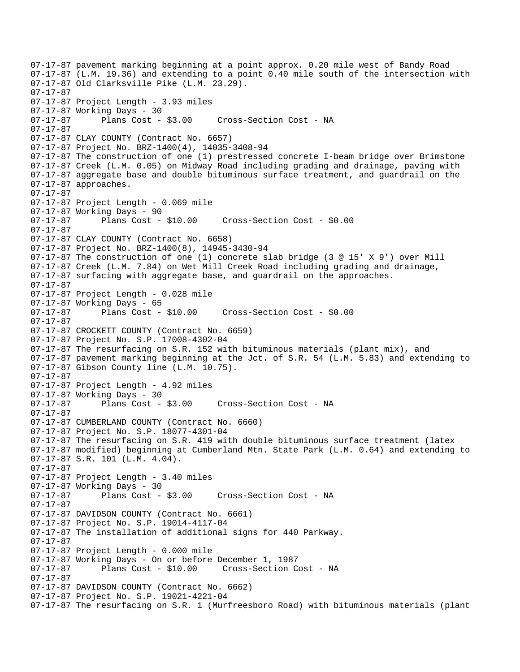07-17-87 pavement marking beginning at a point approx. 0.20 mile west of Bandy Road 07-17-87 (L.M. 19.36) and extending to a point 0.40 mile south of the intersection with 07-17-87 Old Clarksville Pike (L.M. 23.29). 07-17-87 07-17-87 Project Length - 3.93 miles 07-17-87 Working Days - 30 07-17-87 Plans Cost - \$3.00 Cross-Section Cost - NA 07-17-87 07-17-87 CLAY COUNTY (Contract No. 6657) 07-17-87 Project No. BRZ-1400(4), 14035-3408-94 07-17-87 The construction of one (1) prestressed concrete I-beam bridge over Brimstone 07-17-87 Creek (L.M. 0.05) on Midway Road including grading and drainage, paving with 07-17-87 aggregate base and double bituminous surface treatment, and guardrail on the 07-17-87 approaches. 07-17-87 07-17-87 Project Length - 0.069 mile 07-17-87 Working Days - 90 07-17-87 Plans Cost - \$10.00 Cross-Section Cost - \$0.00 07-17-87 07-17-87 CLAY COUNTY (Contract No. 6658) 07-17-87 Project No. BRZ-1400(8), 14945-3430-94 07-17-87 The construction of one (1) concrete slab bridge (3 @ 15' X 9') over Mill 07-17-87 Creek (L.M. 7.84) on Wet Mill Creek Road including grading and drainage, 07-17-87 surfacing with aggregate base, and guardrail on the approaches. 07-17-87 07-17-87 Project Length - 0.028 mile 07-17-87 Working Days - 65<br>07-17-87 Plans Cost - \$10.00 07-17-87 Plans Cost - \$10.00 Cross-Section Cost - \$0.00 07-17-87 07-17-87 CROCKETT COUNTY (Contract No. 6659) 07-17-87 Project No. S.P. 17008-4302-04 07-17-87 The resurfacing on S.R. 152 with bituminous materials (plant mix), and 07-17-87 pavement marking beginning at the Jct. of S.R. 54 (L.M. 5.83) and extending to 07-17-87 Gibson County line (L.M. 10.75). 07-17-87 07-17-87 Project Length - 4.92 miles 07-17-87 Working Days - 30<br>07-17-87 Plans Cost - \$3.00 07-17-87 Plans Cost - \$3.00 Cross-Section Cost - NA 07-17-87 07-17-87 CUMBERLAND COUNTY (Contract No. 6660) 07-17-87 Project No. S.P. 18077-4301-04 07-17-87 The resurfacing on S.R. 419 with double bituminous surface treatment (latex 07-17-87 modified) beginning at Cumberland Mtn. State Park (L.M. 0.64) and extending to 07-17-87 S.R. 101 (L.M. 4.04). 07-17-87 07-17-87 Project Length - 3.40 miles 07-17-87 Working Days - 30<br>07-17-87 Plans Cost - \$3.00 Cross-Section Cost - NA 07-17-87 07-17-87 DAVIDSON COUNTY (Contract No. 6661) 07-17-87 Project No. S.P. 19014-4117-04 07-17-87 The installation of additional signs for 440 Parkway. 07-17-87 07-17-87 Project Length - 0.000 mile 07-17-87 Working Days - On or before December 1, 1987 07-17-87 Plans Cost - \$10.00 Cross-Section Cost - NA 07-17-87 07-17-87 DAVIDSON COUNTY (Contract No. 6662) 07-17-87 Project No. S.P. 19021-4221-04 07-17-87 The resurfacing on S.R. 1 (Murfreesboro Road) with bituminous materials (plant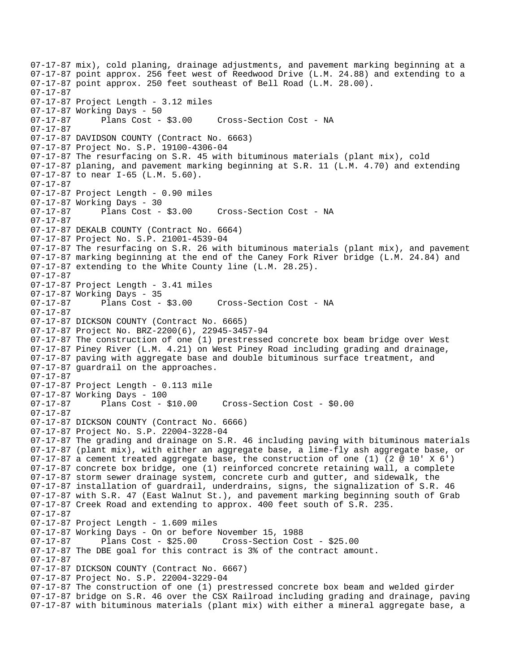07-17-87 mix), cold planing, drainage adjustments, and pavement marking beginning at a 07-17-87 point approx. 256 feet west of Reedwood Drive (L.M. 24.88) and extending to a 07-17-87 point approx. 250 feet southeast of Bell Road (L.M. 28.00). 07-17-87 07-17-87 Project Length - 3.12 miles 07-17-87 Working Days - 50 07-17-87 Plans Cost - \$3.00 Cross-Section Cost - NA 07-17-87 07-17-87 DAVIDSON COUNTY (Contract No. 6663) 07-17-87 Project No. S.P. 19100-4306-04 07-17-87 The resurfacing on S.R. 45 with bituminous materials (plant mix), cold 07-17-87 planing, and pavement marking beginning at S.R. 11 (L.M. 4.70) and extending 07-17-87 to near I-65 (L.M. 5.60). 07-17-87 07-17-87 Project Length - 0.90 miles 07-17-87 Working Days - 30 07-17-87 Plans Cost - \$3.00 Cross-Section Cost - NA 07-17-87 07-17-87 DEKALB COUNTY (Contract No. 6664) 07-17-87 Project No. S.P. 21001-4539-04 07-17-87 The resurfacing on S.R. 26 with bituminous materials (plant mix), and pavement 07-17-87 marking beginning at the end of the Caney Fork River bridge (L.M. 24.84) and 07-17-87 extending to the White County line (L.M. 28.25). 07-17-87 07-17-87 Project Length - 3.41 miles 07-17-87 Working Days - 35 07-17-87 Plans Cost - \$3.00 Cross-Section Cost - NA 07-17-87 07-17-87 DICKSON COUNTY (Contract No. 6665) 07-17-87 Project No. BRZ-2200(6), 22945-3457-94 07-17-87 The construction of one (1) prestressed concrete box beam bridge over West 07-17-87 Piney River (L.M. 4.21) on West Piney Road including grading and drainage, 07-17-87 paving with aggregate base and double bituminous surface treatment, and 07-17-87 guardrail on the approaches. 07-17-87 07-17-87 Project Length - 0.113 mile 07-17-87 Working Days - 100 07-17-87 Plans Cost - \$10.00 Cross-Section Cost - \$0.00 07-17-87 07-17-87 DICKSON COUNTY (Contract No. 6666) 07-17-87 Project No. S.P. 22004-3228-04 07-17-87 The grading and drainage on S.R. 46 including paving with bituminous materials 07-17-87 (plant mix), with either an aggregate base, a lime-fly ash aggregate base, or  $07-17-87$  a cement treated aggregate base, the construction of one (1) (2 @ 10' X 6') 07-17-87 concrete box bridge, one (1) reinforced concrete retaining wall, a complete 07-17-87 storm sewer drainage system, concrete curb and gutter, and sidewalk, the 07-17-87 installation of guardrail, underdrains, signs, the signalization of S.R. 46 07-17-87 with S.R. 47 (East Walnut St.), and pavement marking beginning south of Grab 07-17-87 Creek Road and extending to approx. 400 feet south of S.R. 235. 07-17-87 07-17-87 Project Length - 1.609 miles 07-17-87 Working Days - On or before November 15, 1988 07-17-87 Plans Cost - \$25.00 Cross-Section Cost - \$25.00 07-17-87 The DBE goal for this contract is 3% of the contract amount. 07-17-87 07-17-87 DICKSON COUNTY (Contract No. 6667) 07-17-87 Project No. S.P. 22004-3229-04 07-17-87 The construction of one (1) prestressed concrete box beam and welded girder 07-17-87 bridge on S.R. 46 over the CSX Railroad including grading and drainage, paving 07-17-87 with bituminous materials (plant mix) with either a mineral aggregate base, a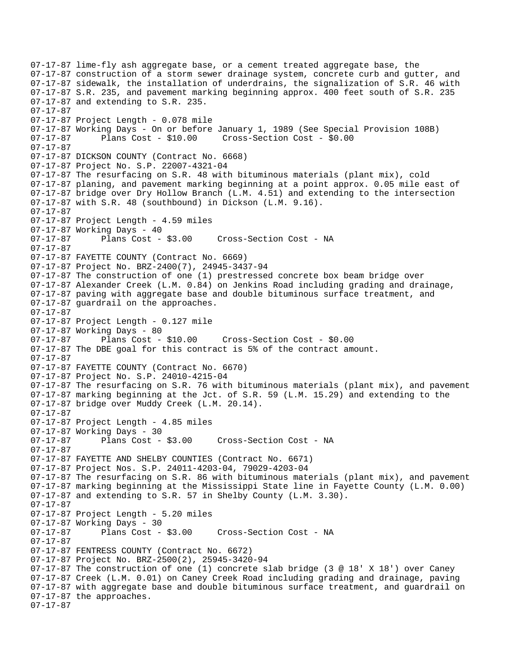07-17-87 lime-fly ash aggregate base, or a cement treated aggregate base, the 07-17-87 construction of a storm sewer drainage system, concrete curb and gutter, and 07-17-87 sidewalk, the installation of underdrains, the signalization of S.R. 46 with 07-17-87 S.R. 235, and pavement marking beginning approx. 400 feet south of S.R. 235 07-17-87 and extending to S.R. 235. 07-17-87 07-17-87 Project Length - 0.078 mile 07-17-87 Working Days - On or before January 1, 1989 (See Special Provision 108B) 07-17-87 Plans Cost - \$10.00 Cross-Section Cost - \$0.00 07-17-87 07-17-87 DICKSON COUNTY (Contract No. 6668) 07-17-87 Project No. S.P. 22007-4321-04 07-17-87 The resurfacing on S.R. 48 with bituminous materials (plant mix), cold 07-17-87 planing, and pavement marking beginning at a point approx. 0.05 mile east of 07-17-87 bridge over Dry Hollow Branch (L.M. 4.51) and extending to the intersection 07-17-87 with S.R. 48 (southbound) in Dickson (L.M. 9.16). 07-17-87 07-17-87 Project Length - 4.59 miles 07-17-87 Working Days - 40 07-17-87 Plans Cost - \$3.00 Cross-Section Cost - NA 07-17-87 07-17-87 FAYETTE COUNTY (Contract No. 6669) 07-17-87 Project No. BRZ-2400(7), 24945-3437-94 07-17-87 The construction of one (1) prestressed concrete box beam bridge over 07-17-87 Alexander Creek (L.M. 0.84) on Jenkins Road including grading and drainage, 07-17-87 paving with aggregate base and double bituminous surface treatment, and 07-17-87 guardrail on the approaches. 07-17-87 07-17-87 Project Length - 0.127 mile 07-17-87 Working Days - 80 07-17-87 Plans Cost - \$10.00 Cross-Section Cost - \$0.00 07-17-87 The DBE goal for this contract is 5% of the contract amount. 07-17-87 07-17-87 FAYETTE COUNTY (Contract No. 6670) 07-17-87 Project No. S.P. 24010-4215-04 07-17-87 The resurfacing on S.R. 76 with bituminous materials (plant mix), and pavement 07-17-87 marking beginning at the Jct. of S.R. 59 (L.M. 15.29) and extending to the 07-17-87 bridge over Muddy Creek (L.M. 20.14). 07-17-87 07-17-87 Project Length - 4.85 miles 07-17-87 Working Days - 30 07-17-87 Plans Cost - \$3.00 Cross-Section Cost - NA 07-17-87 07-17-87 FAYETTE AND SHELBY COUNTIES (Contract No. 6671) 07-17-87 Project Nos. S.P. 24011-4203-04, 79029-4203-04  $07-17-87$  The resurfacing on S.R. 86 with bituminous materials (plant mix), and pavement 07-17-87 marking beginning at the Mississippi State line in Fayette County (L.M. 0.00) 07-17-87 and extending to S.R. 57 in Shelby County (L.M. 3.30). 07-17-87 07-17-87 Project Length - 5.20 miles 07-17-87 Working Days - 30 07-17-87 Plans Cost - \$3.00 Cross-Section Cost - NA 07-17-87 07-17-87 FENTRESS COUNTY (Contract No. 6672) 07-17-87 Project No. BRZ-2500(2), 25945-3420-94 07-17-87 The construction of one (1) concrete slab bridge (3 @ 18' X 18') over Caney 07-17-87 Creek (L.M. 0.01) on Caney Creek Road including grading and drainage, paving 07-17-87 with aggregate base and double bituminous surface treatment, and guardrail on 07-17-87 the approaches. 07-17-87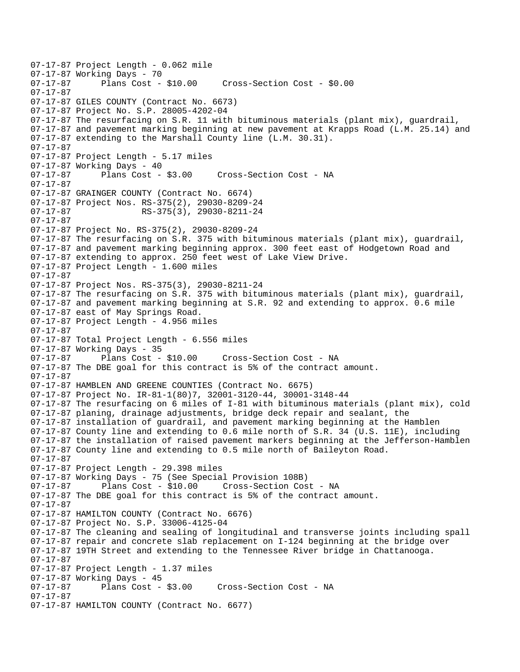07-17-87 Project Length - 0.062 mile 07-17-87 Working Days - 70<br>07-17-87 Plans Cost - \$10.00 Cross-Section Cost - \$0.00 07-17-87 07-17-87 GILES COUNTY (Contract No. 6673) 07-17-87 Project No. S.P. 28005-4202-04 07-17-87 The resurfacing on S.R. 11 with bituminous materials (plant mix), guardrail, 07-17-87 and pavement marking beginning at new pavement at Krapps Road (L.M. 25.14) and 07-17-87 extending to the Marshall County line (L.M. 30.31). 07-17-87 07-17-87 Project Length - 5.17 miles 07-17-87 Working Days - 40 07-17-87 Plans Cost - \$3.00 Cross-Section Cost - NA 07-17-87 07-17-87 GRAINGER COUNTY (Contract No. 6674) 07-17-87 Project Nos. RS-375(2), 29030-8209-24 07-17-87 RS-375(3), 29030-8211-24 07-17-87 07-17-87 Project No. RS-375(2), 29030-8209-24 07-17-87 The resurfacing on S.R. 375 with bituminous materials (plant mix), guardrail, 07-17-87 and pavement marking beginning approx. 300 feet east of Hodgetown Road and 07-17-87 extending to approx. 250 feet west of Lake View Drive. 07-17-87 Project Length - 1.600 miles 07-17-87 07-17-87 Project Nos. RS-375(3), 29030-8211-24 07-17-87 The resurfacing on S.R. 375 with bituminous materials (plant mix), guardrail, 07-17-87 and pavement marking beginning at S.R. 92 and extending to approx. 0.6 mile 07-17-87 east of May Springs Road. 07-17-87 Project Length - 4.956 miles 07-17-87 07-17-87 Total Project Length - 6.556 miles 07-17-87 Working Days - 35 Cross-Section Cost - NA 07-17-87 The DBE goal for this contract is 5% of the contract amount. 07-17-87 07-17-87 HAMBLEN AND GREENE COUNTIES (Contract No. 6675) 07-17-87 Project No. IR-81-1(80)7, 32001-3120-44, 30001-3148-44 07-17-87 The resurfacing on 6 miles of I-81 with bituminous materials (plant mix), cold 07-17-87 planing, drainage adjustments, bridge deck repair and sealant, the 07-17-87 installation of guardrail, and pavement marking beginning at the Hamblen 07-17-87 County line and extending to 0.6 mile north of S.R. 34 (U.S. 11E), including 07-17-87 the installation of raised pavement markers beginning at the Jefferson-Hamblen 07-17-87 County line and extending to 0.5 mile north of Baileyton Road. 07-17-87 07-17-87 Project Length - 29.398 miles 07-17-87 Working Days - 75 (See Special Provision 108B) 07-17-87 Plans Cost - \$10.00 Cross-Section Cost - NA 07-17-87 The DBE goal for this contract is 5% of the contract amount. 07-17-87 07-17-87 HAMILTON COUNTY (Contract No. 6676) 07-17-87 Project No. S.P. 33006-4125-04 07-17-87 The cleaning and sealing of longitudinal and transverse joints including spall 07-17-87 repair and concrete slab replacement on I-124 beginning at the bridge over 07-17-87 19TH Street and extending to the Tennessee River bridge in Chattanooga. 07-17-87 07-17-87 Project Length - 1.37 miles 07-17-87 Working Days - 45 Cross-Section Cost - NA 07-17-87 07-17-87 HAMILTON COUNTY (Contract No. 6677)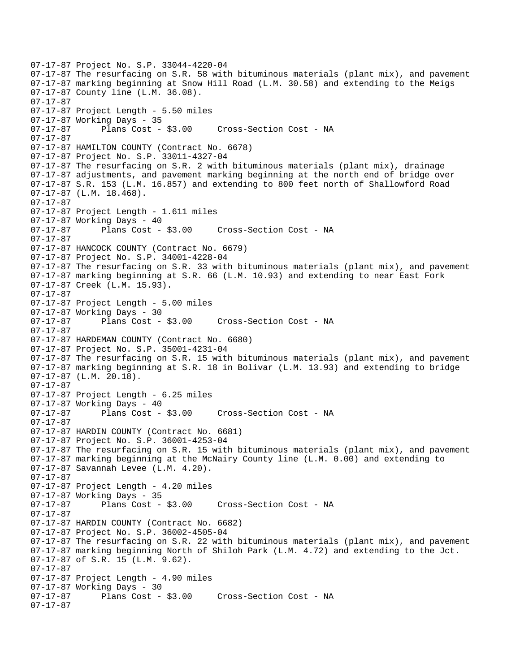07-17-87 Project No. S.P. 33044-4220-04 07-17-87 The resurfacing on S.R. 58 with bituminous materials (plant mix), and pavement 07-17-87 marking beginning at Snow Hill Road (L.M. 30.58) and extending to the Meigs 07-17-87 County line (L.M. 36.08). 07-17-87 07-17-87 Project Length - 5.50 miles 07-17-87 Working Days - 35 07-17-87 Plans Cost - \$3.00 Cross-Section Cost - NA 07-17-87 07-17-87 HAMILTON COUNTY (Contract No. 6678) 07-17-87 Project No. S.P. 33011-4327-04 07-17-87 The resurfacing on S.R. 2 with bituminous materials (plant mix), drainage 07-17-87 adjustments, and pavement marking beginning at the north end of bridge over 07-17-87 S.R. 153 (L.M. 16.857) and extending to 800 feet north of Shallowford Road 07-17-87 (L.M. 18.468). 07-17-87 07-17-87 Project Length - 1.611 miles 07-17-87 Working Days - 40 07-17-87 Plans Cost - \$3.00 Cross-Section Cost - NA 07-17-87 07-17-87 HANCOCK COUNTY (Contract No. 6679) 07-17-87 Project No. S.P. 34001-4228-04 07-17-87 The resurfacing on S.R. 33 with bituminous materials (plant mix), and pavement 07-17-87 marking beginning at S.R. 66 (L.M. 10.93) and extending to near East Fork 07-17-87 Creek (L.M. 15.93). 07-17-87 07-17-87 Project Length - 5.00 miles 07-17-87 Working Days - 30 07-17-87 Plans Cost - \$3.00 Cross-Section Cost - NA 07-17-87 07-17-87 HARDEMAN COUNTY (Contract No. 6680) 07-17-87 Project No. S.P. 35001-4231-04 07-17-87 The resurfacing on S.R. 15 with bituminous materials (plant mix), and pavement 07-17-87 marking beginning at S.R. 18 in Bolivar (L.M. 13.93) and extending to bridge 07-17-87 (L.M. 20.18). 07-17-87 07-17-87 Project Length - 6.25 miles 07-17-87 Working Days - 40 07-17-87 Plans Cost - \$3.00 Cross-Section Cost - NA 07-17-87 07-17-87 HARDIN COUNTY (Contract No. 6681) 07-17-87 Project No. S.P. 36001-4253-04 07-17-87 The resurfacing on S.R. 15 with bituminous materials (plant mix), and pavement 07-17-87 marking beginning at the McNairy County line (L.M. 0.00) and extending to 07-17-87 Savannah Levee (L.M. 4.20). 07-17-87 07-17-87 Project Length - 4.20 miles 07-17-87 Working Days - 35 Cross-Section Cost - NA 07-17-87 07-17-87 HARDIN COUNTY (Contract No. 6682) 07-17-87 Project No. S.P. 36002-4505-04 07-17-87 The resurfacing on S.R. 22 with bituminous materials (plant mix), and pavement 07-17-87 marking beginning North of Shiloh Park (L.M. 4.72) and extending to the Jct. 07-17-87 of S.R. 15 (L.M. 9.62). 07-17-87 07-17-87 Project Length - 4.90 miles 07-17-87 Working Days - 30 Cross-Section Cost - NA 07-17-87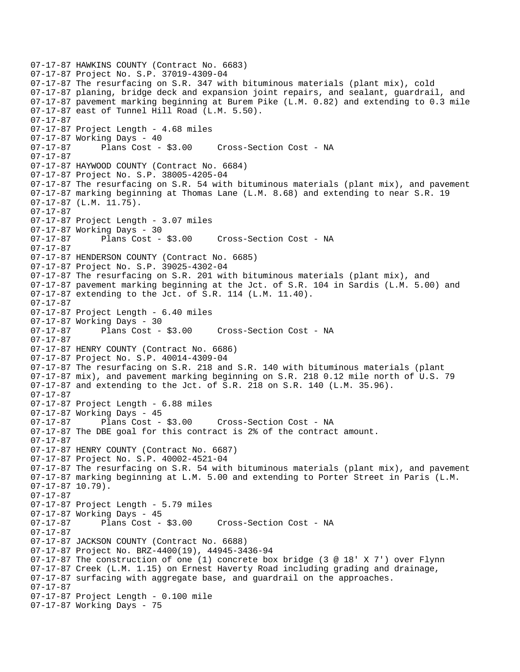07-17-87 HAWKINS COUNTY (Contract No. 6683) 07-17-87 Project No. S.P. 37019-4309-04 07-17-87 The resurfacing on S.R. 347 with bituminous materials (plant mix), cold 07-17-87 planing, bridge deck and expansion joint repairs, and sealant, guardrail, and 07-17-87 pavement marking beginning at Burem Pike (L.M. 0.82) and extending to 0.3 mile 07-17-87 east of Tunnel Hill Road (L.M. 5.50). 07-17-87 07-17-87 Project Length - 4.68 miles 07-17-87 Working Days - 40 07-17-87 Plans Cost - \$3.00 Cross-Section Cost - NA 07-17-87 07-17-87 HAYWOOD COUNTY (Contract No. 6684) 07-17-87 Project No. S.P. 38005-4205-04 07-17-87 The resurfacing on S.R. 54 with bituminous materials (plant mix), and pavement 07-17-87 marking beginning at Thomas Lane (L.M. 8.68) and extending to near S.R. 19 07-17-87 (L.M. 11.75). 07-17-87 07-17-87 Project Length - 3.07 miles 07-17-87 Working Days - 30 07-17-87 Plans Cost - \$3.00 Cross-Section Cost - NA 07-17-87 07-17-87 HENDERSON COUNTY (Contract No. 6685) 07-17-87 Project No. S.P. 39025-4302-04 07-17-87 The resurfacing on S.R. 201 with bituminous materials (plant mix), and 07-17-87 pavement marking beginning at the Jct. of S.R. 104 in Sardis (L.M. 5.00) and 07-17-87 extending to the Jct. of S.R. 114 (L.M. 11.40). 07-17-87 07-17-87 Project Length - 6.40 miles 07-17-87 Working Days - 30<br>07-17-87 Plans Cost - \$3.00 07-17-87 Plans Cost - \$3.00 Cross-Section Cost - NA 07-17-87 07-17-87 HENRY COUNTY (Contract No. 6686) 07-17-87 Project No. S.P. 40014-4309-04 07-17-87 The resurfacing on S.R. 218 and S.R. 140 with bituminous materials (plant 07-17-87 mix), and pavement marking beginning on S.R. 218 0.12 mile north of U.S. 79 07-17-87 and extending to the Jct. of S.R. 218 on S.R. 140 (L.M. 35.96). 07-17-87 07-17-87 Project Length - 6.88 miles 07-17-87 Working Days - 45 07-17-87 Plans Cost - \$3.00 Cross-Section Cost - NA 07-17-87 The DBE goal for this contract is 2% of the contract amount. 07-17-87 07-17-87 HENRY COUNTY (Contract No. 6687) 07-17-87 Project No. S.P. 40002-4521-04 07-17-87 The resurfacing on S.R. 54 with bituminous materials (plant mix), and pavement 07-17-87 marking beginning at L.M. 5.00 and extending to Porter Street in Paris (L.M. 07-17-87 10.79). 07-17-87 07-17-87 Project Length - 5.79 miles 07-17-87 Working Days - 45<br>07-17-87 Plans Cost - \$3.00 Cross-Section Cost - NA 07-17-87 07-17-87 JACKSON COUNTY (Contract No. 6688) 07-17-87 Project No. BRZ-4400(19), 44945-3436-94 07-17-87 The construction of one (1) concrete box bridge (3 @ 18' X 7') over Flynn 07-17-87 Creek (L.M. 1.15) on Ernest Haverty Road including grading and drainage, 07-17-87 surfacing with aggregate base, and guardrail on the approaches. 07-17-87 07-17-87 Project Length - 0.100 mile 07-17-87 Working Days - 75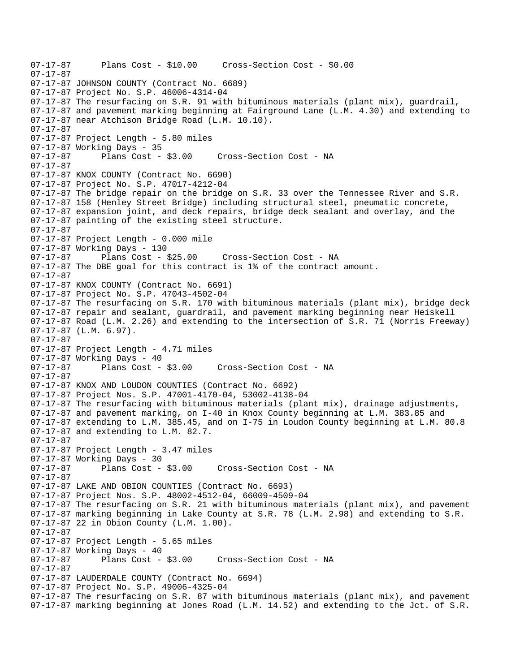07-17-87 Plans Cost - \$10.00 Cross-Section Cost - \$0.00 07-17-87 07-17-87 JOHNSON COUNTY (Contract No. 6689) 07-17-87 Project No. S.P. 46006-4314-04 07-17-87 The resurfacing on S.R. 91 with bituminous materials (plant mix), guardrail, 07-17-87 and pavement marking beginning at Fairground Lane (L.M. 4.30) and extending to 07-17-87 near Atchison Bridge Road (L.M. 10.10). 07-17-87 07-17-87 Project Length - 5.80 miles 07-17-87 Working Days - 35 07-17-87 Plans Cost - \$3.00 Cross-Section Cost - NA 07-17-87 07-17-87 KNOX COUNTY (Contract No. 6690) 07-17-87 Project No. S.P. 47017-4212-04 07-17-87 The bridge repair on the bridge on S.R. 33 over the Tennessee River and S.R. 07-17-87 158 (Henley Street Bridge) including structural steel, pneumatic concrete, 07-17-87 expansion joint, and deck repairs, bridge deck sealant and overlay, and the 07-17-87 painting of the existing steel structure. 07-17-87 07-17-87 Project Length - 0.000 mile 07-17-87 Working Days - 130 07-17-87 Plans Cost - \$25.00 Cross-Section Cost - NA 07-17-87 The DBE goal for this contract is 1% of the contract amount. 07-17-87 07-17-87 KNOX COUNTY (Contract No. 6691) 07-17-87 Project No. S.P. 47043-4502-04 07-17-87 The resurfacing on S.R. 170 with bituminous materials (plant mix), bridge deck 07-17-87 repair and sealant, guardrail, and pavement marking beginning near Heiskell 07-17-87 Road (L.M. 2.26) and extending to the intersection of S.R. 71 (Norris Freeway) 07-17-87 (L.M. 6.97). 07-17-87 07-17-87 Project Length - 4.71 miles 07-17-87 Working Days - 40 07-17-87 Plans Cost - \$3.00 Cross-Section Cost - NA 07-17-87 07-17-87 KNOX AND LOUDON COUNTIES (Contract No. 6692) 07-17-87 Project Nos. S.P. 47001-4170-04, 53002-4138-04 07-17-87 The resurfacing with bituminous materials (plant mix), drainage adjustments, 07-17-87 and pavement marking, on I-40 in Knox County beginning at L.M. 383.85 and 07-17-87 extending to L.M. 385.45, and on I-75 in Loudon County beginning at L.M. 80.8 07-17-87 and extending to L.M. 82.7. 07-17-87 07-17-87 Project Length - 3.47 miles 07-17-87 Working Days - 30 07-17-87 Plans Cost - \$3.00 Cross-Section Cost - NA 07-17-87 07-17-87 LAKE AND OBION COUNTIES (Contract No. 6693) 07-17-87 Project Nos. S.P. 48002-4512-04, 66009-4509-04 07-17-87 The resurfacing on S.R. 21 with bituminous materials (plant mix), and pavement 07-17-87 marking beginning in Lake County at S.R. 78 (L.M. 2.98) and extending to S.R. 07-17-87 22 in Obion County (L.M. 1.00). 07-17-87 07-17-87 Project Length - 5.65 miles 07-17-87 Working Days - 40<br>07-17-87 Plans Cost - \$3.00 Cross-Section Cost - NA 07-17-87 07-17-87 LAUDERDALE COUNTY (Contract No. 6694) 07-17-87 Project No. S.P. 49006-4325-04 07-17-87 The resurfacing on S.R. 87 with bituminous materials (plant mix), and pavement 07-17-87 marking beginning at Jones Road (L.M. 14.52) and extending to the Jct. of S.R.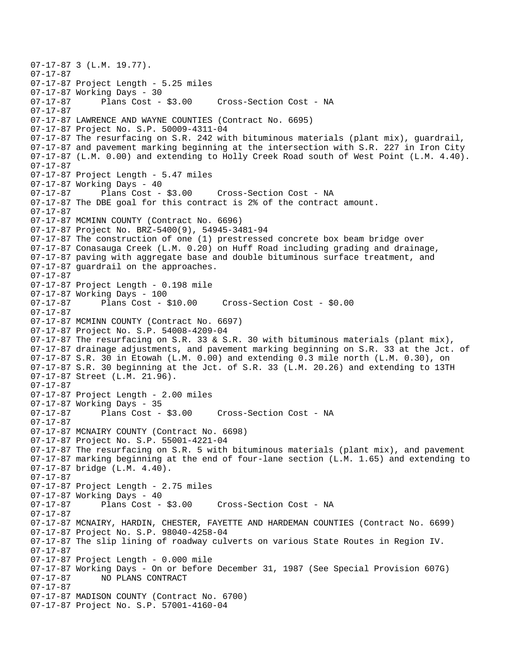07-17-87 3 (L.M. 19.77). 07-17-87 07-17-87 Project Length - 5.25 miles 07-17-87 Working Days - 30<br>07-17-87 Plans Cost - \$3.00 Cross-Section Cost - NA 07-17-87 07-17-87 LAWRENCE AND WAYNE COUNTIES (Contract No. 6695) 07-17-87 Project No. S.P. 50009-4311-04 07-17-87 The resurfacing on S.R. 242 with bituminous materials (plant mix), guardrail, 07-17-87 and pavement marking beginning at the intersection with S.R. 227 in Iron City 07-17-87 (L.M. 0.00) and extending to Holly Creek Road south of West Point (L.M. 4.40). 07-17-87 07-17-87 Project Length - 5.47 miles 07-17-87 Working Days - 40 07-17-87 Plans Cost - \$3.00 Cross-Section Cost - NA 07-17-87 The DBE goal for this contract is 2% of the contract amount. 07-17-87 07-17-87 MCMINN COUNTY (Contract No. 6696) 07-17-87 Project No. BRZ-5400(9), 54945-3481-94 07-17-87 The construction of one (1) prestressed concrete box beam bridge over 07-17-87 Conasauga Creek (L.M. 0.20) on Huff Road including grading and drainage, 07-17-87 paving with aggregate base and double bituminous surface treatment, and 07-17-87 guardrail on the approaches. 07-17-87 07-17-87 Project Length - 0.198 mile 07-17-87 Working Days - 100 07-17-87 Plans Cost - \$10.00 Cross-Section Cost - \$0.00 07-17-87 07-17-87 MCMINN COUNTY (Contract No. 6697) 07-17-87 Project No. S.P. 54008-4209-04  $07-17-87$  The resurfacing on S.R. 33 & S.R. 30 with bituminous materials (plant mix), 07-17-87 drainage adjustments, and pavement marking beginning on S.R. 33 at the Jct. of 07-17-87 S.R. 30 in Etowah (L.M. 0.00) and extending 0.3 mile north (L.M. 0.30), on 07-17-87 S.R. 30 beginning at the Jct. of S.R. 33 (L.M. 20.26) and extending to 13TH 07-17-87 Street (L.M. 21.96). 07-17-87 07-17-87 Project Length - 2.00 miles 07-17-87 Working Days - 35 07-17-87 Plans Cost - \$3.00 Cross-Section Cost - NA 07-17-87 07-17-87 MCNAIRY COUNTY (Contract No. 6698) 07-17-87 Project No. S.P. 55001-4221-04 07-17-87 The resurfacing on S.R. 5 with bituminous materials (plant mix), and pavement 07-17-87 marking beginning at the end of four-lane section (L.M. 1.65) and extending to 07-17-87 bridge (L.M. 4.40). 07-17-87 07-17-87 Project Length - 2.75 miles 07-17-87 Working Days - 40<br>07-17-87 Plans Cost - \$3.00 Cross-Section Cost - NA 07-17-87 07-17-87 MCNAIRY, HARDIN, CHESTER, FAYETTE AND HARDEMAN COUNTIES (Contract No. 6699) 07-17-87 Project No. S.P. 98040-4258-04 07-17-87 The slip lining of roadway culverts on various State Routes in Region IV. 07-17-87 07-17-87 Project Length - 0.000 mile 07-17-87 Working Days - On or before December 31, 1987 (See Special Provision 607G) 07-17-87 NO PLANS CONTRACT 07-17-87 07-17-87 MADISON COUNTY (Contract No. 6700) 07-17-87 Project No. S.P. 57001-4160-04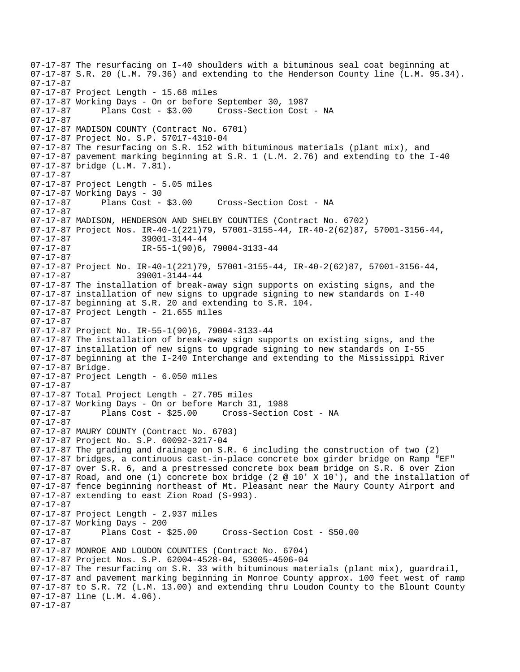```
07-17-87 The resurfacing on I-40 shoulders with a bituminous seal coat beginning at 
07-17-87 S.R. 20 (L.M. 79.36) and extending to the Henderson County line (L.M. 95.34). 
07-17-87 
07-17-87 Project Length - 15.68 miles 
07-17-87 Working Days - On or before September 30, 1987 
07-17-87 Plans Cost - $3.00 Cross-Section Cost - NA 
07-17-87 
07-17-87 MADISON COUNTY (Contract No. 6701) 
07-17-87 Project No. S.P. 57017-4310-04 
07-17-87 The resurfacing on S.R. 152 with bituminous materials (plant mix), and 
07-17-87 pavement marking beginning at S.R. 1 (L.M. 2.76) and extending to the I-40 
07-17-87 bridge (L.M. 7.81). 
07-17-87 
07-17-87 Project Length - 5.05 miles 
07-17-87 Working Days - 30 
07-17-87 Plans Cost - $3.00 Cross-Section Cost - NA 
07-17-87 
07-17-87 MADISON, HENDERSON AND SHELBY COUNTIES (Contract No. 6702) 
07-17-87 Project Nos. IR-40-1(221)79, 57001-3155-44, IR-40-2(62)87, 57001-3156-44, 
07-17-87 39001-3144-44 
07-17-87 IR-55-1(90)6, 79004-3133-44
07-17-87 
07-17-87 Project No. IR-40-1(221)79, 57001-3155-44, IR-40-2(62)87, 57001-3156-44, 
07-17-87 39001-3144-44 
07-17-87 The installation of break-away sign supports on existing signs, and the 
07-17-87 installation of new signs to upgrade signing to new standards on I-40 
07-17-87 beginning at S.R. 20 and extending to S.R. 104. 
07-17-87 Project Length - 21.655 miles 
07-17-87 
07-17-87 Project No. IR-55-1(90)6, 79004-3133-44 
07-17-87 The installation of break-away sign supports on existing signs, and the 
07-17-87 installation of new signs to upgrade signing to new standards on I-55 
07-17-87 beginning at the I-240 Interchange and extending to the Mississippi River 
07-17-87 Bridge. 
07-17-87 Project Length - 6.050 miles 
07-17-87 
07-17-87 Total Project Length - 27.705 miles
07-17-87 Working Days - On or before March 31, 1988 
07-17-87 Plans Cost - $25.00 Cross-Section Cost - NA 
07-17-87 
07-17-87 MAURY COUNTY (Contract No. 6703) 
07-17-87 Project No. S.P. 60092-3217-04 
07-17-87 The grading and drainage on S.R. 6 including the construction of two (2) 
07-17-87 bridges, a continuous cast-in-place concrete box girder bridge on Ramp "EF" 
07-17-87 over S.R. 6, and a prestressed concrete box beam bridge on S.R. 6 over Zion 
07-17-87 Road, and one (1) concrete box bridge (2 @ 10' X 10'), and the installation of 
07-17-87 fence beginning northeast of Mt. Pleasant near the Maury County Airport and 
07-17-87 extending to east Zion Road (S-993). 
07-17-87 
07-17-87 Project Length - 2.937 miles
07-17-87 Working Days - 200 
07-17-87 Plans Cost - $25.00 Cross-Section Cost - $50.00 
07-17-87 
07-17-87 MONROE AND LOUDON COUNTIES (Contract No. 6704) 
07-17-87 Project Nos. S.P. 62004-4528-04, 53005-4506-04 
07-17-87 The resurfacing on S.R. 33 with bituminous materials (plant mix), guardrail, 
07-17-87 and pavement marking beginning in Monroe County approx. 100 feet west of ramp 
07-17-87 to S.R. 72 (L.M. 13.00) and extending thru Loudon County to the Blount County 
07-17-87 line (L.M. 4.06). 
07-17-87
```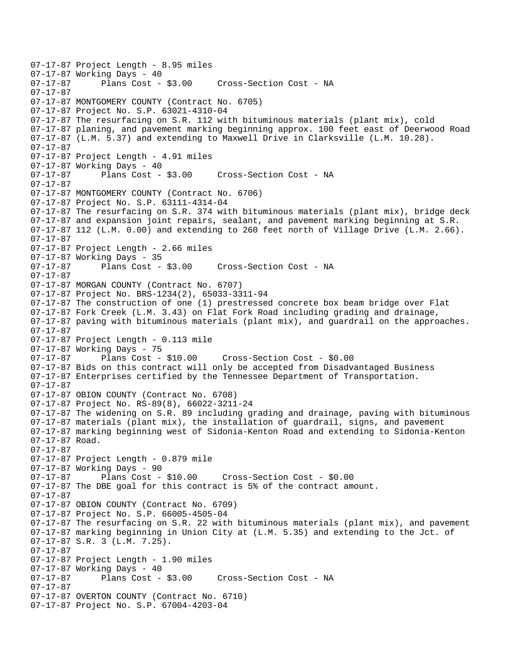07-17-87 Project Length - 8.95 miles 07-17-87 Working Days - 40<br>07-17-87 Plans Cost - \$3.00 Cross-Section Cost - NA 07-17-87 07-17-87 MONTGOMERY COUNTY (Contract No. 6705) 07-17-87 Project No. S.P. 63021-4310-04 07-17-87 The resurfacing on S.R. 112 with bituminous materials (plant mix), cold 07-17-87 planing, and pavement marking beginning approx. 100 feet east of Deerwood Road 07-17-87 (L.M. 5.37) and extending to Maxwell Drive in Clarksville (L.M. 10.28). 07-17-87 07-17-87 Project Length - 4.91 miles 07-17-87 Working Days - 40 07-17-87 Plans Cost - \$3.00 Cross-Section Cost - NA 07-17-87 07-17-87 MONTGOMERY COUNTY (Contract No. 6706) 07-17-87 Project No. S.P. 63111-4314-04 07-17-87 The resurfacing on S.R. 374 with bituminous materials (plant mix), bridge deck 07-17-87 and expansion joint repairs, sealant, and pavement marking beginning at S.R. 07-17-87 112 (L.M. 0.00) and extending to 260 feet north of Village Drive (L.M. 2.66). 07-17-87 07-17-87 Project Length - 2.66 miles 07-17-87 Working Days - 35<br>07-17-87 Plans Cost - \$3.00 07-17-87 Plans Cost - \$3.00 Cross-Section Cost - NA 07-17-87 07-17-87 MORGAN COUNTY (Contract No. 6707) 07-17-87 Project No. BRS-1234(2), 65033-3311-94 07-17-87 The construction of one (1) prestressed concrete box beam bridge over Flat 07-17-87 Fork Creek (L.M. 3.43) on Flat Fork Road including grading and drainage, 07-17-87 paving with bituminous materials (plant mix), and guardrail on the approaches. 07-17-87 07-17-87 Project Length - 0.113 mile 07-17-87 Working Days - 75<br>07-17-87 Plans Cost - \$10.00 07-17-87 Plans Cost - \$10.00 Cross-Section Cost - \$0.00 07-17-87 Bids on this contract will only be accepted from Disadvantaged Business 07-17-87 Enterprises certified by the Tennessee Department of Transportation. 07-17-87 07-17-87 OBION COUNTY (Contract No. 6708) 07-17-87 Project No. RS-89(8), 66022-3211-24 07-17-87 The widening on S.R. 89 including grading and drainage, paving with bituminous 07-17-87 materials (plant mix), the installation of guardrail, signs, and pavement 07-17-87 marking beginning west of Sidonia-Kenton Road and extending to Sidonia-Kenton 07-17-87 Road. 07-17-87 07-17-87 Project Length - 0.879 mile 07-17-87 Working Days - 90 07-17-87 Plans Cost - \$10.00 Cross-Section Cost - \$0.00 07-17-87 The DBE goal for this contract is 5% of the contract amount. 07-17-87 07-17-87 OBION COUNTY (Contract No. 6709) 07-17-87 Project No. S.P. 66005-4505-04 07-17-87 The resurfacing on S.R. 22 with bituminous materials (plant mix), and pavement 07-17-87 marking beginning in Union City at (L.M. 5.35) and extending to the Jct. of 07-17-87 S.R. 3 (L.M. 7.25). 07-17-87 07-17-87 Project Length - 1.90 miles 07-17-87 Working Days - 40 07-17-87 Plans Cost - \$3.00 Cross-Section Cost - NA 07-17-87 07-17-87 OVERTON COUNTY (Contract No. 6710) 07-17-87 Project No. S.P. 67004-4203-04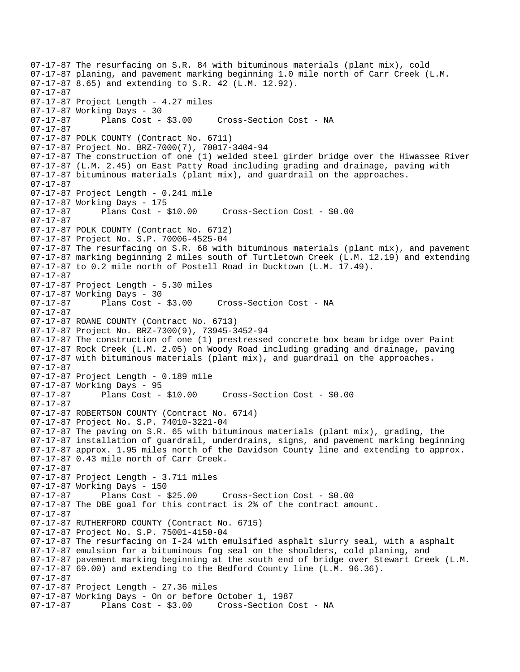07-17-87 The resurfacing on S.R. 84 with bituminous materials (plant mix), cold 07-17-87 planing, and pavement marking beginning 1.0 mile north of Carr Creek (L.M. 07-17-87 8.65) and extending to S.R. 42 (L.M. 12.92). 07-17-87 07-17-87 Project Length - 4.27 miles 07-17-87 Working Days - 30 07-17-87 Plans Cost - \$3.00 Cross-Section Cost - NA 07-17-87 07-17-87 POLK COUNTY (Contract No. 6711) 07-17-87 Project No. BRZ-7000(7), 70017-3404-94 07-17-87 The construction of one (1) welded steel girder bridge over the Hiwassee River 07-17-87 (L.M. 2.45) on East Patty Road including grading and drainage, paving with 07-17-87 bituminous materials (plant mix), and guardrail on the approaches. 07-17-87 07-17-87 Project Length - 0.241 mile 07-17-87 Working Days - 175 07-17-87 Plans Cost - \$10.00 Cross-Section Cost - \$0.00 07-17-87 07-17-87 POLK COUNTY (Contract No. 6712) 07-17-87 Project No. S.P. 70006-4525-04 07-17-87 The resurfacing on S.R. 68 with bituminous materials (plant mix), and pavement 07-17-87 marking beginning 2 miles south of Turtletown Creek (L.M. 12.19) and extending 07-17-87 to 0.2 mile north of Postell Road in Ducktown (L.M. 17.49). 07-17-87 07-17-87 Project Length - 5.30 miles 07-17-87 Working Days - 30 07-17-87 Plans Cost - \$3.00 Cross-Section Cost - NA 07-17-87 07-17-87 ROANE COUNTY (Contract No. 6713) 07-17-87 Project No. BRZ-7300(9), 73945-3452-94 07-17-87 The construction of one (1) prestressed concrete box beam bridge over Paint 07-17-87 Rock Creek (L.M. 2.05) on Woody Road including grading and drainage, paving 07-17-87 with bituminous materials (plant mix), and guardrail on the approaches. 07-17-87 07-17-87 Project Length - 0.189 mile 07-17-87 Working Days - 95 07-17-87 Plans Cost - \$10.00 Cross-Section Cost - \$0.00 07-17-87 07-17-87 ROBERTSON COUNTY (Contract No. 6714) 07-17-87 Project No. S.P. 74010-3221-04 07-17-87 The paving on S.R. 65 with bituminous materials (plant mix), grading, the 07-17-87 installation of guardrail, underdrains, signs, and pavement marking beginning 07-17-87 approx. 1.95 miles north of the Davidson County line and extending to approx. 07-17-87 0.43 mile north of Carr Creek. 07-17-87 07-17-87 Project Length - 3.711 miles 07-17-87 Working Days - 150 07-17-87 Plans Cost - \$25.00 Cross-Section Cost - \$0.00 07-17-87 The DBE goal for this contract is 2% of the contract amount. 07-17-87 07-17-87 RUTHERFORD COUNTY (Contract No. 6715) 07-17-87 Project No. S.P. 75001-4150-04 07-17-87 The resurfacing on I-24 with emulsified asphalt slurry seal, with a asphalt 07-17-87 emulsion for a bituminous fog seal on the shoulders, cold planing, and 07-17-87 pavement marking beginning at the south end of bridge over Stewart Creek (L.M. 07-17-87 69.00) and extending to the Bedford County line (L.M. 96.36). 07-17-87 07-17-87 Project Length - 27.36 miles 07-17-87 Working Days - On or before October 1, 1987 07-17-87 Plans Cost - \$3.00 Cross-Section Cost - NA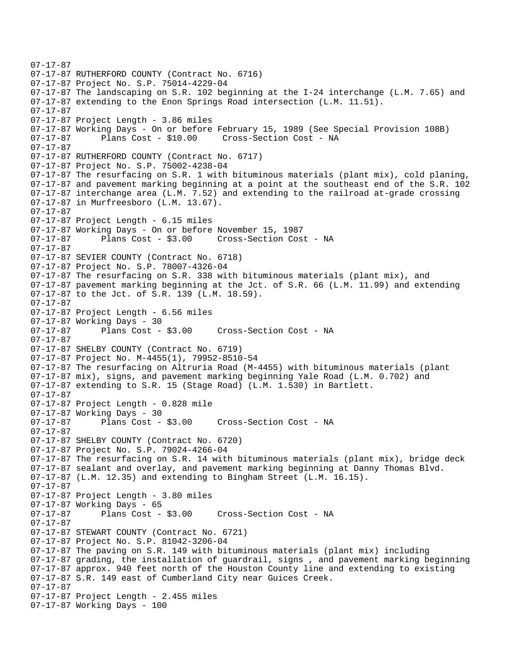```
07-17-87 
07-17-87 RUTHERFORD COUNTY (Contract No. 6716) 
07-17-87 Project No. S.P. 75014-4229-04 
07-17-87 The landscaping on S.R. 102 beginning at the I-24 interchange (L.M. 7.65) and 
07-17-87 extending to the Enon Springs Road intersection (L.M. 11.51). 
07-17-87 
07-17-87 Project Length - 3.86 miles 
07-17-87 Working Days - On or before February 15, 1989 (See Special Provision 108B) 
07-17-87 Plans Cost - $10.00 Cross-Section Cost - NA 
07-17-87 
07-17-87 RUTHERFORD COUNTY (Contract No. 6717) 
07-17-87 Project No. S.P. 75002-4238-04 
07-17-87 The resurfacing on S.R. 1 with bituminous materials (plant mix), cold planing, 
07-17-87 and pavement marking beginning at a point at the southeast end of the S.R. 102 
07-17-87 interchange area (L.M. 7.52) and extending to the railroad at-grade crossing 
07-17-87 in Murfreesboro (L.M. 13.67). 
07-17-87 
07-17-87 Project Length - 6.15 miles 
07-17-87 Working Days - On or before November 15, 1987 
07-17-87 Plans Cost - $3.00 Cross-Section Cost - NA 
07-17-87 
07-17-87 SEVIER COUNTY (Contract No. 6718) 
07-17-87 Project No. S.P. 78007-4326-04 
07-17-87 The resurfacing on S.R. 338 with bituminous materials (plant mix), and 
07-17-87 pavement marking beginning at the Jct. of S.R. 66 (L.M. 11.99) and extending 
07-17-87 to the Jct. of S.R. 139 (L.M. 18.59). 
07-17-87 
07-17-87 Project Length - 6.56 miles 
07-17-87 Working Days - 30<br>07-17-87         Plans Cost - $3.00
07-17-87 Plans Cost - $3.00 Cross-Section Cost - NA 
07-17-87 
07-17-87 SHELBY COUNTY (Contract No. 6719) 
07-17-87 Project No. M-4455(1), 79952-8510-54 
07-17-87 The resurfacing on Altruria Road (M-4455) with bituminous materials (plant 
07-17-87 mix), signs, and pavement marking beginning Yale Road (L.M. 0.702) and 
07-17-87 extending to S.R. 15 (Stage Road) (L.M. 1.530) in Bartlett. 
07-17-87 
07-17-87 Project Length - 0.828 mile 
07-17-87 Working Days - 30 
07-17-87 Plans Cost - $3.00 Cross-Section Cost - NA 
07-17-87 
07-17-87 SHELBY COUNTY (Contract No. 6720) 
07-17-87 Project No. S.P. 79024-4266-04 
07-17-87 The resurfacing on S.R. 14 with bituminous materials (plant mix), bridge deck 
07-17-87 sealant and overlay, and pavement marking beginning at Danny Thomas Blvd. 
07-17-87 (L.M. 12.35) and extending to Bingham Street (L.M. 16.15). 
07-17-87 
07-17-87 Project Length - 3.80 miles 
07-17-87 Working Days - 65<br>07-17-87 Plans Cost - $3.00
                                    Cross-Section Cost - NA
07-17-87 
07-17-87 STEWART COUNTY (Contract No. 6721) 
07-17-87 Project No. S.P. 81042-3206-04 
07-17-87 The paving on S.R. 149 with bituminous materials (plant mix) including 
07-17-87 grading, the installation of guardrail, signs , and pavement marking beginning 
07-17-87 approx. 940 feet north of the Houston County line and extending to existing 
07-17-87 S.R. 149 east of Cumberland City near Guices Creek. 
07-17-87 
07-17-87 Project Length - 2.455 miles 
07-17-87 Working Days - 100
```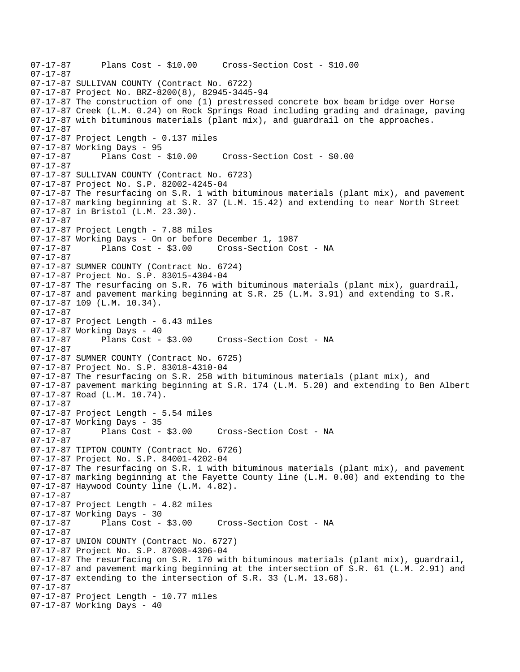```
07-17-87 Plans Cost - $10.00 Cross-Section Cost - $10.00 
07-17-87 
07-17-87 SULLIVAN COUNTY (Contract No. 6722) 
07-17-87 Project No. BRZ-8200(8), 82945-3445-94 
07-17-87 The construction of one (1) prestressed concrete box beam bridge over Horse 
07-17-87 Creek (L.M. 0.24) on Rock Springs Road including grading and drainage, paving 
07-17-87 with bituminous materials (plant mix), and guardrail on the approaches. 
07-17-87 
07-17-87 Project Length - 0.137 miles 
07-17-87 Working Days - 95 
07-17-87 Plans Cost - $10.00 Cross-Section Cost - $0.00 
07-17-87 
07-17-87 SULLIVAN COUNTY (Contract No. 6723) 
07-17-87 Project No. S.P. 82002-4245-04 
07-17-87 The resurfacing on S.R. 1 with bituminous materials (plant mix), and pavement 
07-17-87 marking beginning at S.R. 37 (L.M. 15.42) and extending to near North Street 
07-17-87 in Bristol (L.M. 23.30). 
07-17-87 
07-17-87 Project Length - 7.88 miles 
07-17-87 Working Days - On or before December 1, 1987 
07-17-87 Plans Cost - $3.00 Cross-Section Cost - NA 
07-17-87 
07-17-87 SUMNER COUNTY (Contract No. 6724) 
07-17-87 Project No. S.P. 83015-4304-04 
07-17-87 The resurfacing on S.R. 76 with bituminous materials (plant mix), guardrail, 
07-17-87 and pavement marking beginning at S.R. 25 (L.M. 3.91) and extending to S.R. 
07-17-87 109 (L.M. 10.34). 
07-17-87 
07-17-87 Project Length - 6.43 miles 
07-17-87 Working Days - 40 
07-17-87 Plans Cost - $3.00 Cross-Section Cost - NA 
07-17-87 
07-17-87 SUMNER COUNTY (Contract No. 6725) 
07-17-87 Project No. S.P. 83018-4310-04 
07-17-87 The resurfacing on S.R. 258 with bituminous materials (plant mix), and 
07-17-87 pavement marking beginning at S.R. 174 (L.M. 5.20) and extending to Ben Albert 
07-17-87 Road (L.M. 10.74). 
07-17-87 
07-17-87 Project Length - 5.54 miles 
07-17-87 Working Days - 35<br>07-17-87 Plans Cost -
              Plans Cost - $3.00 Cross-Section Cost - NA
07-17-87 
07-17-87 TIPTON COUNTY (Contract No. 6726) 
07-17-87 Project No. S.P. 84001-4202-04 
07-17-87 The resurfacing on S.R. 1 with bituminous materials (plant mix), and pavement 
07-17-87 marking beginning at the Fayette County line (L.M. 0.00) and extending to the 
07-17-87 Haywood County line (L.M. 4.82). 
07-17-87 
07-17-87 Project Length - 4.82 miles 
07-17-87 Working Days - 30 
                                     Cross-Section Cost - NA
07-17-87 
07-17-87 UNION COUNTY (Contract No. 6727) 
07-17-87 Project No. S.P. 87008-4306-04 
07-17-87 The resurfacing on S.R. 170 with bituminous materials (plant mix), guardrail, 
07-17-87 and pavement marking beginning at the intersection of S.R. 61 (L.M. 2.91) and 
07-17-87 extending to the intersection of S.R. 33 (L.M. 13.68). 
07-17-87 
07-17-87 Project Length - 10.77 miles
07-17-87 Working Days - 40
```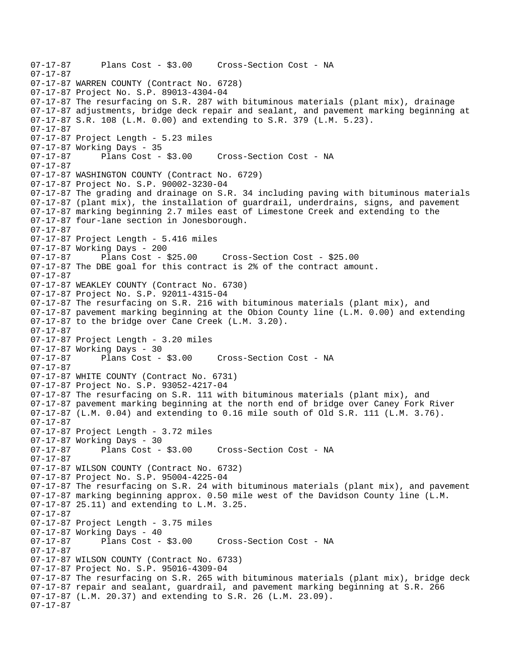```
07-17-87 Plans Cost - $3.00 Cross-Section Cost - NA 
07-17-87 
07-17-87 WARREN COUNTY (Contract No. 6728) 
07-17-87 Project No. S.P. 89013-4304-04 
07-17-87 The resurfacing on S.R. 287 with bituminous materials (plant mix), drainage 
07-17-87 adjustments, bridge deck repair and sealant, and pavement marking beginning at 
07-17-87 S.R. 108 (L.M. 0.00) and extending to S.R. 379 (L.M. 5.23). 
07-17-87 
07-17-87 Project Length - 5.23 miles 
07-17-87 Working Days - 35 
07-17-87 Plans Cost - $3.00 Cross-Section Cost - NA 
07-17-87 
07-17-87 WASHINGTON COUNTY (Contract No. 6729) 
07-17-87 Project No. S.P. 90002-3230-04 
07-17-87 The grading and drainage on S.R. 34 including paving with bituminous materials 
07-17-87 (plant mix), the installation of guardrail, underdrains, signs, and pavement 
07-17-87 marking beginning 2.7 miles east of Limestone Creek and extending to the 
07-17-87 four-lane section in Jonesborough. 
07-17-87 
07-17-87 Project Length - 5.416 miles 
07-17-87 Working Days - 200 
07-17-87 Plans Cost - $25.00 Cross-Section Cost - $25.00 
07-17-87 The DBE goal for this contract is 2% of the contract amount. 
07-17-87 
07-17-87 WEAKLEY COUNTY (Contract No. 6730) 
07-17-87 Project No. S.P. 92011-4315-04 
07-17-87 The resurfacing on S.R. 216 with bituminous materials (plant mix), and 
07-17-87 pavement marking beginning at the Obion County line (L.M. 0.00) and extending 
07-17-87 to the bridge over Cane Creek (L.M. 3.20). 
07-17-87 
07-17-87 Project Length - 3.20 miles
07-17-87 Working Days - 30<br>07-17-87 Plans Cost - $3.00
                                    Cross-Section Cost - NA
07-17-87 
07-17-87 WHITE COUNTY (Contract No. 6731) 
07-17-87 Project No. S.P. 93052-4217-04 
07-17-87 The resurfacing on S.R. 111 with bituminous materials (plant mix), and 
07-17-87 pavement marking beginning at the north end of bridge over Caney Fork River 
07-17-87 (L.M. 0.04) and extending to 0.16 mile south of Old S.R. 111 (L.M. 3.76). 
07-17-87 
07-17-87 Project Length - 3.72 miles 
07-17-87 Working Days - 30 
07-17-87 Plans Cost - $3.00 Cross-Section Cost - NA 
07-17-87 
07-17-87 WILSON COUNTY (Contract No. 6732) 
07-17-87 Project No. S.P. 95004-4225-04 
07-17-87 The resurfacing on S.R. 24 with bituminous materials (plant mix), and pavement 
07-17-87 marking beginning approx. 0.50 mile west of the Davidson County line (L.M. 
07-17-87 25.11) and extending to L.M. 3.25. 
07-17-87 
07-17-87 Project Length - 3.75 miles 
07-17-87 Working Days - 40 
07-17-87 Plans Cost - $3.00 Cross-Section Cost - NA 
07-17-87 
07-17-87 WILSON COUNTY (Contract No. 6733) 
07-17-87 Project No. S.P. 95016-4309-04 
07-17-87 The resurfacing on S.R. 265 with bituminous materials (plant mix), bridge deck 
07-17-87 repair and sealant, guardrail, and pavement marking beginning at S.R. 266 
07-17-87 (L.M. 20.37) and extending to S.R. 26 (L.M. 23.09). 
07-17-87
```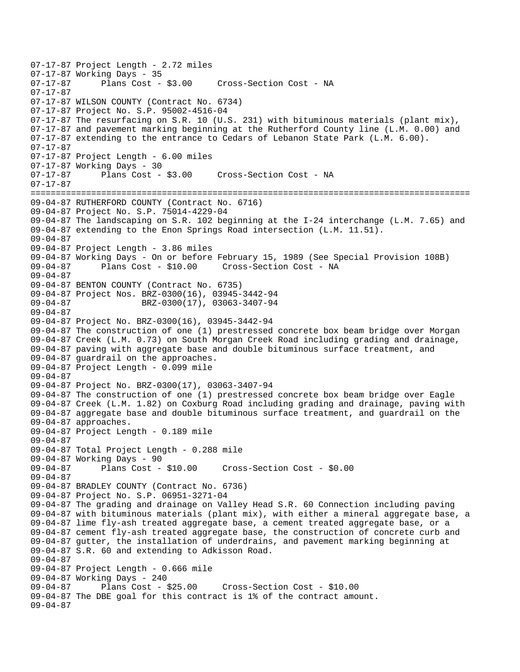```
07-17-87 Project Length - 2.72 miles
07-17-87 Working Days - 35<br>07-17-87 Plans Cost - $3.00
                                   Cross-Section Cost - NA
07-17-87 
07-17-87 WILSON COUNTY (Contract No. 6734) 
07-17-87 Project No. S.P. 95002-4516-04 
07-17-87 The resurfacing on S.R. 10 (U.S. 231) with bituminous materials (plant mix), 
07-17-87 and pavement marking beginning at the Rutherford County line (L.M. 0.00) and 
07-17-87 extending to the entrance to Cedars of Lebanon State Park (L.M. 6.00). 
07-17-87 
07-17-87 Project Length - 6.00 miles 
07-17-87 Working Days - 30 
07-17-87 Plans Cost - $3.00 Cross-Section Cost - NA 
07-17-87 
======================================================================================= 
09-04-87 RUTHERFORD COUNTY (Contract No. 6716) 
09-04-87 Project No. S.P. 75014-4229-04 
09-04-87 The landscaping on S.R. 102 beginning at the I-24 interchange (L.M. 7.65) and 
09-04-87 extending to the Enon Springs Road intersection (L.M. 11.51). 
09-04-87 
09-04-87 Project Length - 3.86 miles 
09-04-87 Working Days - On or before February 15, 1989 (See Special Provision 108B) 
09-04-87 Plans Cost - $10.00 Cross-Section Cost - NA 
09-04-87 
09-04-87 BENTON COUNTY (Contract No. 6735) 
09-04-87 Project Nos. BRZ-0300(16), 03945-3442-94 
09-04-87 BRZ-0300(17), 03063-3407-94 
09-04-87 
09-04-87 Project No. BRZ-0300(16), 03945-3442-94 
09-04-87 The construction of one (1) prestressed concrete box beam bridge over Morgan 
09-04-87 Creek (L.M. 0.73) on South Morgan Creek Road including grading and drainage, 
09-04-87 paving with aggregate base and double bituminous surface treatment, and 
09-04-87 guardrail on the approaches. 
09-04-87 Project Length - 0.099 mile 
09-04-87 
09-04-87 Project No. BRZ-0300(17), 03063-3407-94 
09-04-87 The construction of one (1) prestressed concrete box beam bridge over Eagle 
09-04-87 Creek (L.M. 1.82) on Coxburg Road including grading and drainage, paving with 
09-04-87 aggregate base and double bituminous surface treatment, and guardrail on the 
09-04-87 approaches. 
09-04-87 Project Length - 0.189 mile 
09-04-87 
09-04-87 Total Project Length - 0.288 mile 
09-04-87 Working Days - 90 
09-04-87 Plans Cost - $10.00 Cross-Section Cost - $0.00 
09-04-87 
09-04-87 BRADLEY COUNTY (Contract No. 6736) 
09-04-87 Project No. S.P. 06951-3271-04 
09-04-87 The grading and drainage on Valley Head S.R. 60 Connection including paving 
09-04-87 with bituminous materials (plant mix), with either a mineral aggregate base, a 
09-04-87 lime fly-ash treated aggregate base, a cement treated aggregate base, or a 
09-04-87 cement fly-ash treated aggregate base, the construction of concrete curb and 
09-04-87 gutter, the installation of underdrains, and pavement marking beginning at 
09-04-87 S.R. 60 and extending to Adkisson Road. 
09-04-87 
09-04-87 Project Length - 0.666 mile 
09-04-87 Working Days - 240 
                                      Cross-Section Cost - $10.00
09-04-87 The DBE goal for this contract is 1% of the contract amount. 
09-04-87
```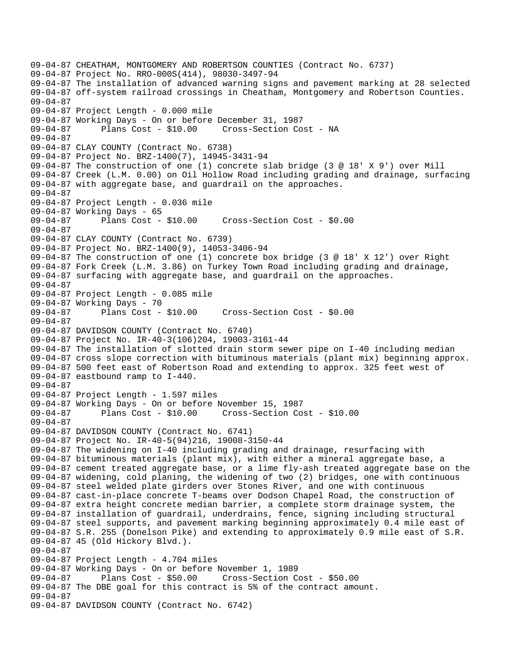09-04-87 CHEATHAM, MONTGOMERY AND ROBERTSON COUNTIES (Contract No. 6737) 09-04-87 Project No. RRO-000S(414), 98030-3497-94 09-04-87 The installation of advanced warning signs and pavement marking at 28 selected 09-04-87 off-system railroad crossings in Cheatham, Montgomery and Robertson Counties. 09-04-87 09-04-87 Project Length - 0.000 mile 09-04-87 Working Days - On or before December 31, 1987 09-04-87 Plans Cost - \$10.00 Cross-Section Cost - NA 09-04-87 09-04-87 CLAY COUNTY (Contract No. 6738) 09-04-87 Project No. BRZ-1400(7), 14945-3431-94 09-04-87 The construction of one (1) concrete slab bridge (3 @ 18' X 9') over Mill 09-04-87 Creek (L.M. 0.00) on Oil Hollow Road including grading and drainage, surfacing 09-04-87 with aggregate base, and guardrail on the approaches. 09-04-87 09-04-87 Project Length - 0.036 mile 09-04-87 Working Days - 65 09-04-87 Plans Cost - \$10.00 Cross-Section Cost - \$0.00 09-04-87 09-04-87 CLAY COUNTY (Contract No. 6739) 09-04-87 Project No. BRZ-1400(9), 14053-3406-94 09-04-87 The construction of one (1) concrete box bridge (3 @ 18' X 12') over Right 09-04-87 Fork Creek (L.M. 3.86) on Turkey Town Road including grading and drainage, 09-04-87 surfacing with aggregate base, and guardrail on the approaches. 09-04-87 09-04-87 Project Length - 0.085 mile 09-04-87 Working Days - 70 09-04-87 Plans Cost - \$10.00 Cross-Section Cost - \$0.00 09-04-87 09-04-87 DAVIDSON COUNTY (Contract No. 6740) 09-04-87 Project No. IR-40-3(106)204, 19003-3161-44 09-04-87 The installation of slotted drain storm sewer pipe on I-40 including median 09-04-87 cross slope correction with bituminous materials (plant mix) beginning approx. 09-04-87 500 feet east of Robertson Road and extending to approx. 325 feet west of 09-04-87 eastbound ramp to I-440. 09-04-87 09-04-87 Project Length - 1.597 miles 09-04-87 Working Days - On or before November 15, 1987 09-04-87 Plans Cost - \$10.00 Cross-Section Cost - \$10.00 09-04-87 09-04-87 DAVIDSON COUNTY (Contract No. 6741) 09-04-87 Project No. IR-40-5(94)216, 19008-3150-44 09-04-87 The widening on I-40 including grading and drainage, resurfacing with 09-04-87 bituminous materials (plant mix), with either a mineral aggregate base, a 09-04-87 cement treated aggregate base, or a lime fly-ash treated aggregate base on the 09-04-87 widening, cold planing, the widening of two (2) bridges, one with continuous 09-04-87 steel welded plate girders over Stones River, and one with continuous 09-04-87 cast-in-place concrete T-beams over Dodson Chapel Road, the construction of 09-04-87 extra height concrete median barrier, a complete storm drainage system, the 09-04-87 installation of guardrail, underdrains, fence, signing including structural 09-04-87 steel supports, and pavement marking beginning approximately 0.4 mile east of 09-04-87 S.R. 255 (Donelson Pike) and extending to approximately 0.9 mile east of S.R. 09-04-87 45 (Old Hickory Blvd.). 09-04-87 09-04-87 Project Length - 4.704 miles 09-04-87 Working Days - On or before November 1, 1989 09-04-87 Plans Cost - \$50.00 Cross-Section Cost - \$50.00 09-04-87 The DBE goal for this contract is 5% of the contract amount. 09-04-87 09-04-87 DAVIDSON COUNTY (Contract No. 6742)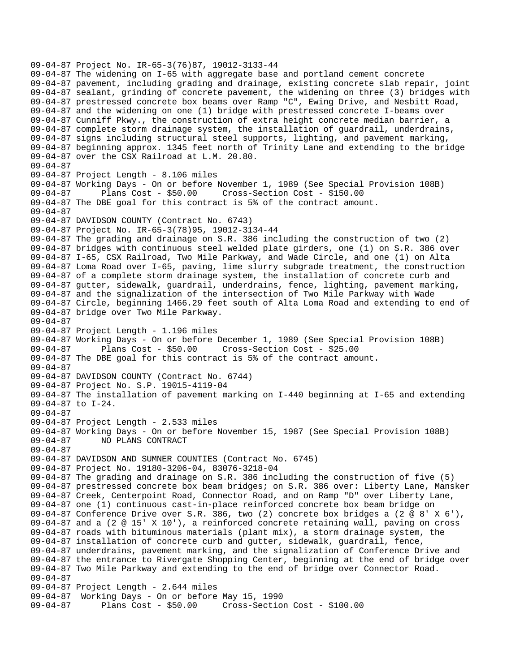09-04-87 Project No. IR-65-3(76)87, 19012-3133-44 09-04-87 The widening on I-65 with aggregate base and portland cement concrete 09-04-87 pavement, including grading and drainage, existing concrete slab repair, joint 09-04-87 sealant, grinding of concrete pavement, the widening on three (3) bridges with 09-04-87 prestressed concrete box beams over Ramp "C", Ewing Drive, and Nesbitt Road, 09-04-87 and the widening on one (1) bridge with prestressed concrete I-beams over 09-04-87 Cunniff Pkwy., the construction of extra height concrete median barrier, a 09-04-87 complete storm drainage system, the installation of guardrail, underdrains, 09-04-87 signs including structural steel supports, lighting, and pavement marking, 09-04-87 beginning approx. 1345 feet north of Trinity Lane and extending to the bridge 09-04-87 over the CSX Railroad at L.M. 20.80. 09-04-87 09-04-87 Project Length - 8.106 miles 09-04-87 Working Days - On or before November 1, 1989 (See Special Provision 108B) 09-04-87 Plans Cost - \$50.00 Cross-Section Cost - \$150.00 09-04-87 The DBE goal for this contract is 5% of the contract amount. 09-04-87 09-04-87 DAVIDSON COUNTY (Contract No. 6743) 09-04-87 Project No. IR-65-3(78)95, 19012-3134-44 09-04-87 The grading and drainage on S.R. 386 including the construction of two (2) 09-04-87 bridges with continuous steel welded plate girders, one (1) on S.R. 386 over 09-04-87 I-65, CSX Railroad, Two Mile Parkway, and Wade Circle, and one (1) on Alta 09-04-87 Loma Road over I-65, paving, lime slurry subgrade treatment, the construction 09-04-87 of a complete storm drainage system, the installation of concrete curb and 09-04-87 gutter, sidewalk, guardrail, underdrains, fence, lighting, pavement marking, 09-04-87 and the signalization of the intersection of Two Mile Parkway with Wade 09-04-87 Circle, beginning 1466.29 feet south of Alta Loma Road and extending to end of 09-04-87 bridge over Two Mile Parkway. 09-04-87 09-04-87 Project Length - 1.196 miles 09-04-87 Working Days - On or before December 1, 1989 (See Special Provision 108B) 09-04-87 Plans Cost - \$50.00 Cross-Section Cost - \$25.00 09-04-87 The DBE goal for this contract is 5% of the contract amount. 09-04-87 09-04-87 DAVIDSON COUNTY (Contract No. 6744) 09-04-87 Project No. S.P. 19015-4119-04 09-04-87 The installation of pavement marking on I-440 beginning at I-65 and extending 09-04-87 to I-24. 09-04-87 09-04-87 Project Length - 2.533 miles 09-04-87 Working Days - On or before November 15, 1987 (See Special Provision 108B) 09-04-87 NO PLANS CONTRACT 09-04-87 09-04-87 DAVIDSON AND SUMNER COUNTIES (Contract No. 6745) 09-04-87 Project No. 19180-3206-04, 83076-3218-04 09-04-87 The grading and drainage on S.R. 386 including the construction of five (5) 09-04-87 prestressed concrete box beam bridges; on S.R. 386 over: Liberty Lane, Mansker 09-04-87 Creek, Centerpoint Road, Connector Road, and on Ramp "D" over Liberty Lane, 09-04-87 one (1) continuous cast-in-place reinforced concrete box beam bridge on 09-04-87 Conference Drive over S.R. 386, two (2) concrete box bridges a (2 @ 8' X 6'), 09-04-87 and a (2 @ 15' X 10'), a reinforced concrete retaining wall, paving on cross 09-04-87 roads with bituminous materials (plant mix), a storm drainage system, the 09-04-87 installation of concrete curb and gutter, sidewalk, guardrail, fence, 09-04-87 underdrains, pavement marking, and the signalization of Conference Drive and 09-04-87 the entrance to Rivergate Shopping Center, beginning at the end of bridge over 09-04-87 Two Mile Parkway and extending to the end of bridge over Connector Road. 09-04-87 09-04-87 Project Length - 2.644 miles 09-04-87 Working Days - On or before May 15, 1990 09-04-87 Plans Cost - \$50.00 Cross-Section Cost - \$100.00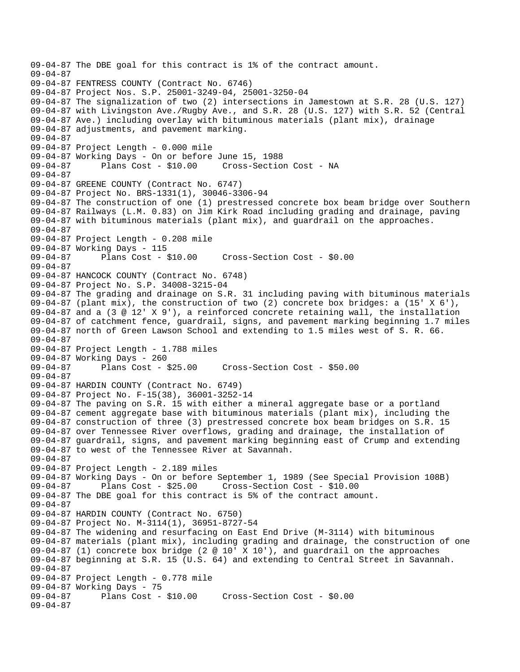```
09-04-87 The DBE goal for this contract is 1% of the contract amount. 
09-04-87 
09-04-87 FENTRESS COUNTY (Contract No. 6746) 
09-04-87 Project Nos. S.P. 25001-3249-04, 25001-3250-04 
09-04-87 The signalization of two (2) intersections in Jamestown at S.R. 28 (U.S. 127) 
09-04-87 with Livingston Ave./Rugby Ave., and S.R. 28 (U.S. 127) with S.R. 52 (Central 
09-04-87 Ave.) including overlay with bituminous materials (plant mix), drainage 
09-04-87 adjustments, and pavement marking. 
09-04-87 
09-04-87 Project Length - 0.000 mile 
09-04-87 Working Days - On or before June 15, 1988 
09-04-87 Plans Cost - $10.00 Cross-Section Cost - NA 
09-04-87 
09-04-87 GREENE COUNTY (Contract No. 6747) 
09-04-87 Project No. BRS-1331(1), 30046-3306-94 
09-04-87 The construction of one (1) prestressed concrete box beam bridge over Southern 
09-04-87 Railways (L.M. 0.83) on Jim Kirk Road including grading and drainage, paving 
09-04-87 with bituminous materials (plant mix), and guardrail on the approaches. 
09-04-87 
09-04-87 Project Length - 0.208 mile 
09-04-87 Working Days - 115 
09-04-87 Plans Cost - $10.00 Cross-Section Cost - $0.00 
09-04-87 
09-04-87 HANCOCK COUNTY (Contract No. 6748) 
09-04-87 Project No. S.P. 34008-3215-04 
09-04-87 The grading and drainage on S.R. 31 including paving with bituminous materials 
09-04-87 (plant mix), the construction of two (2) concrete box bridges: a (15' X 6'), 
09-04-87 and a (3 @ 12' X 9'), a reinforced concrete retaining wall, the installation 
09-04-87 of catchment fence, guardrail, signs, and pavement marking beginning 1.7 miles 
09-04-87 north of Green Lawson School and extending to 1.5 miles west of S. R. 66. 
09-04-87 
09-04-87 Project Length - 1.788 miles 
09-04-87 Working Days - 260 
09-04-87 Plans Cost - $25.00 Cross-Section Cost - $50.00 
09-04-87 
09-04-87 HARDIN COUNTY (Contract No. 6749) 
09-04-87 Project No. F-15(38), 36001-3252-14 
09-04-87 The paving on S.R. 15 with either a mineral aggregate base or a portland 
09-04-87 cement aggregate base with bituminous materials (plant mix), including the 
09-04-87 construction of three (3) prestressed concrete box beam bridges on S.R. 15 
09-04-87 over Tennessee River overflows, grading and drainage, the installation of 
09-04-87 guardrail, signs, and pavement marking beginning east of Crump and extending 
09-04-87 to west of the Tennessee River at Savannah. 
09-04-87 
09-04-87 Project Length - 2.189 miles 
09-04-87 Working Days - On or before September 1, 1989 (See Special Provision 108B) 
09-04-87 Plans Cost - $25.00 Cross-Section Cost - $10.00 
09-04-87 The DBE goal for this contract is 5% of the contract amount. 
09-04-87 
09-04-87 HARDIN COUNTY (Contract No. 6750) 
09-04-87 Project No. M-3114(1), 36951-8727-54 
09-04-87 The widening and resurfacing on East End Drive (M-3114) with bituminous 
09-04-87 materials (plant mix), including grading and drainage, the construction of one 
09-04-87 (1) concrete box bridge (2 \omega 10' X 10'), and guardrail on the approaches
09-04-87 beginning at S.R. 15 (U.S. 64) and extending to Central Street in Savannah. 
09-04-87 
09-04-87 Project Length - 0.778 mile 
09-04-87 Working Days - 75 
             Plans Cost - $10.00 Cross-Section Cost - $0.00
09-04-87
```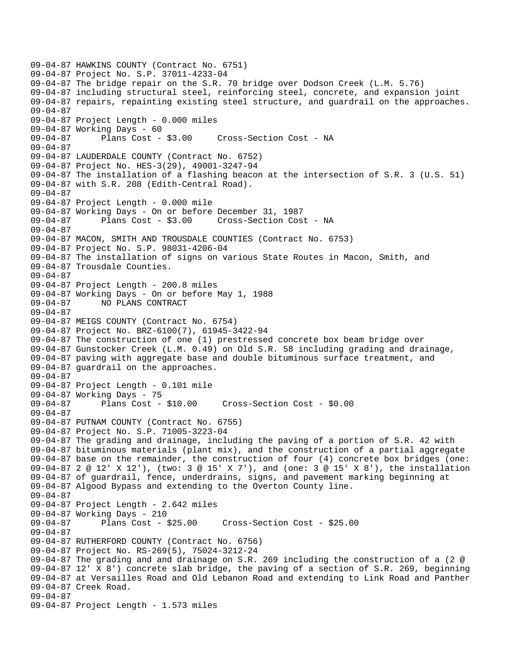09-04-87 HAWKINS COUNTY (Contract No. 6751) 09-04-87 Project No. S.P. 37011-4233-04 09-04-87 The bridge repair on the S.R. 70 bridge over Dodson Creek (L.M. 5.76) 09-04-87 including structural steel, reinforcing steel, concrete, and expansion joint 09-04-87 repairs, repainting existing steel structure, and guardrail on the approaches. 09-04-87 09-04-87 Project Length - 0.000 miles 09-04-87 Working Days - 60 09-04-87 Plans Cost - \$3.00 Cross-Section Cost - NA 09-04-87 09-04-87 LAUDERDALE COUNTY (Contract No. 6752) 09-04-87 Project No. HES-3(29), 49001-3247-94 09-04-87 The installation of a flashing beacon at the intersection of S.R. 3 (U.S. 51) 09-04-87 with S.R. 208 (Edith-Central Road). 09-04-87 09-04-87 Project Length - 0.000 mile 09-04-87 Working Days - On or before December 31, 1987 09-04-87 Plans Cost - \$3.00 Cross-Section Cost - NA 09-04-87 09-04-87 MACON, SMITH AND TROUSDALE COUNTIES (Contract No. 6753) 09-04-87 Project No. S.P. 98031-4206-04 09-04-87 The installation of signs on various State Routes in Macon, Smith, and 09-04-87 Trousdale Counties. 09-04-87 09-04-87 Project Length - 200.8 miles 09-04-87 Working Days - On or before May 1, 1988 09-04-87 NO PLANS CONTRACT 09-04-87 09-04-87 MEIGS COUNTY (Contract No. 6754) 09-04-87 Project No. BRZ-6100(7), 61945-3422-94 09-04-87 The construction of one (1) prestressed concrete box beam bridge over 09-04-87 Gunstocker Creek (L.M. 0.49) on Old S.R. 58 including grading and drainage, 09-04-87 paving with aggregate base and double bituminous surface treatment, and 09-04-87 guardrail on the approaches. 09-04-87 09-04-87 Project Length - 0.101 mile 09-04-87 Working Days - 75 09-04-87 Plans Cost - \$10.00 Cross-Section Cost - \$0.00 09-04-87 09-04-87 PUTNAM COUNTY (Contract No. 6755) 09-04-87 Project No. S.P. 71005-3223-04 09-04-87 The grading and drainage, including the paving of a portion of S.R. 42 with 09-04-87 bituminous materials (plant mix), and the construction of a partial aggregate 09-04-87 base on the remainder, the construction of four (4) concrete box bridges (one: 09-04-87 2 @ 12' X 12'), (two: 3 @ 15' X 7'), and (one: 3 @ 15' X 8'), the installation 09-04-87 of guardrail, fence, underdrains, signs, and pavement marking beginning at 09-04-87 Algood Bypass and extending to the Overton County line. 09-04-87 09-04-87 Project Length - 2.642 miles 09-04-87 Working Days - 210<br>09-04-87 Plans Cost -Plans Cost - \$25.00 Cross-Section Cost - \$25.00 09-04-87 09-04-87 RUTHERFORD COUNTY (Contract No. 6756) 09-04-87 Project No. RS-269(5), 75024-3212-24 09-04-87 The grading and and drainage on S.R. 269 including the construction of a (2 @ 09-04-87 12' X 8') concrete slab bridge, the paving of a section of S.R. 269, beginning 09-04-87 at Versailles Road and Old Lebanon Road and extending to Link Road and Panther 09-04-87 Creek Road. 09-04-87 09-04-87 Project Length - 1.573 miles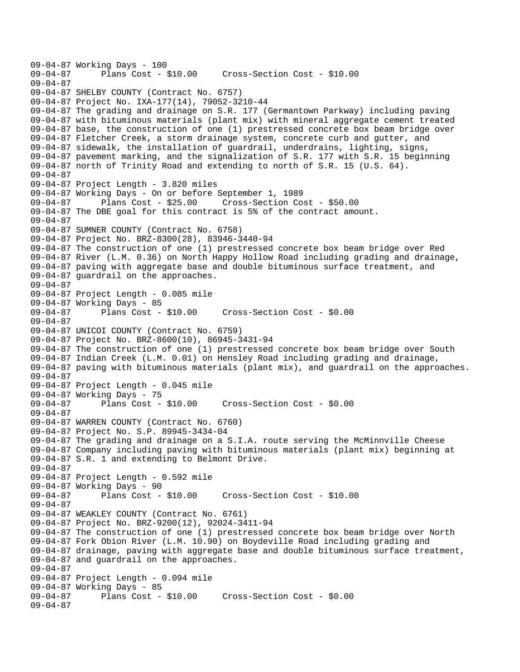```
09-04-87 Working Days - 100<br>09-04-87 Plans Cost -
              Plans Cost - $10.00 Cross-Section Cost - $10.00
09-04-87 
09-04-87 SHELBY COUNTY (Contract No. 6757) 
09-04-87 Project No. IXA-177(14), 79052-3210-44 
09-04-87 The grading and drainage on S.R. 177 (Germantown Parkway) including paving 
09-04-87 with bituminous materials (plant mix) with mineral aggregate cement treated 
09-04-87 base, the construction of one (1) prestressed concrete box beam bridge over 
09-04-87 Fletcher Creek, a storm drainage system, concrete curb and gutter, and 
09-04-87 sidewalk, the installation of guardrail, underdrains, lighting, signs, 
09-04-87 pavement marking, and the signalization of S.R. 177 with S.R. 15 beginning 
09-04-87 north of Trinity Road and extending to north of S.R. 15 (U.S. 64). 
09-04-87 
09-04-87 Project Length - 3.820 miles 
09-04-87 Working Days - On or before September 1, 1989 
09-04-87 Plans Cost - $25.00 Cross-Section Cost - $50.00 
09-04-87 The DBE goal for this contract is 5% of the contract amount. 
09-04-87 
09-04-87 SUMNER COUNTY (Contract No. 6758) 
09-04-87 Project No. BRZ-8300(28), 83946-3440-94 
09-04-87 The construction of one (1) prestressed concrete box beam bridge over Red 
09-04-87 River (L.M. 0.36) on North Happy Hollow Road including grading and drainage, 
09-04-87 paving with aggregate base and double bituminous surface treatment, and 
09-04-87 guardrail on the approaches. 
09-04-87 
09-04-87 Project Length - 0.085 mile 
09-04-87 Working Days - 85 
09-04-87 Plans Cost - $10.00 Cross-Section Cost - $0.00 
09-04-87 
09-04-87 UNICOI COUNTY (Contract No. 6759) 
09-04-87 Project No. BRZ-8600(10), 86945-3431-94 
09-04-87 The construction of one (1) prestressed concrete box beam bridge over South 
09-04-87 Indian Creek (L.M. 0.01) on Hensley Road including grading and drainage, 
09-04-87 paving with bituminous materials (plant mix), and guardrail on the approaches. 
09-04-87 
09-04-87 Project Length - 0.045 mile 
09-04-87 Working Days - 75 
09-04-87 Plans Cost - $10.00 Cross-Section Cost - $0.00 
09-04-87 
09-04-87 WARREN COUNTY (Contract No. 6760) 
09-04-87 Project No. S.P. 89945-3434-04 
09-04-87 The grading and drainage on a S.I.A. route serving the McMinnville Cheese 
09-04-87 Company including paving with bituminous materials (plant mix) beginning at 
09-04-87 S.R. 1 and extending to Belmont Drive. 
09-04-87 
09-04-87 Project Length - 0.592 mile 
09-04-87 Working Days - 90 
                                       09-04-87 Plans Cost - $10.00 Cross-Section Cost - $10.00 
09-04-87 
09-04-87 WEAKLEY COUNTY (Contract No. 6761) 
09-04-87 Project No. BRZ-9200(12), 92024-3411-94 
09-04-87 The construction of one (1) prestressed concrete box beam bridge over North 
09-04-87 Fork Obion River (L.M. 10.90) on Boydeville Road including grading and 
09-04-87 drainage, paving with aggregate base and double bituminous surface treatment, 
09-04-87 and guardrail on the approaches. 
09-04-87 
09-04-87 Project Length - 0.094 mile 
09-04-87 Working Days - 85 
             Plans Cost - $10.00 Cross-Section Cost - $0.00
09-04-87
```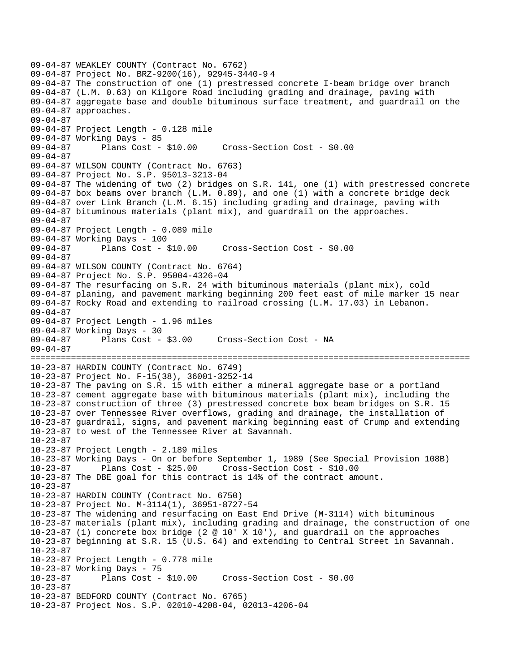```
09-04-87 WEAKLEY COUNTY (Contract No. 6762) 
09-04-87 Project No. BRZ-9200(16), 92945-3440-9 4 
09-04-87 The construction of one (1) prestressed concrete I-beam bridge over branch 
09-04-87 (L.M. 0.63) on Kilgore Road including grading and drainage, paving with 
09-04-87 aggregate base and double bituminous surface treatment, and guardrail on the 
09-04-87 approaches. 
09-04-87 
09-04-87 Project Length - 0.128 mile 
09-04-87 Working Days - 85 
09-04-87 Plans Cost - $10.00 Cross-Section Cost - $0.00 
09-04-87 
09-04-87 WILSON COUNTY (Contract No. 6763) 
09-04-87 Project No. S.P. 95013-3213-04 
09-04-87 The widening of two (2) bridges on S.R. 141, one (1) with prestressed concrete 
09-04-87 box beams over branch (L.M. 0.89), and one (1) with a concrete bridge deck 
09-04-87 over Link Branch (L.M. 6.15) including grading and drainage, paving with 
09-04-87 bituminous materials (plant mix), and guardrail on the approaches. 
09-04-87 
09-04-87 Project Length - 0.089 mile 
09-04-87 Working Days - 100 
09-04-87 Plans Cost - $10.00 Cross-Section Cost - $0.00 
09-04-87 
09-04-87 WILSON COUNTY (Contract No. 6764) 
09-04-87 Project No. S.P. 95004-4326-04 
09-04-87 The resurfacing on S.R. 24 with bituminous materials (plant mix), cold 
09-04-87 planing, and pavement marking beginning 200 feet east of mile marker 15 near 
09-04-87 Rocky Road and extending to railroad crossing (L.M. 17.03) in Lebanon. 
09-04-87 
09-04-87 Project Length - 1.96 miles 
09-04-87 Working Days - 30 
09-04-87 Plans Cost - $3.00 Cross-Section Cost - NA 
09-04-87 
======================================================================================= 
10-23-87 HARDIN COUNTY (Contract No. 6749) 
10-23-87 Project No. F-15(38), 36001-3252-14 
10-23-87 The paving on S.R. 15 with either a mineral aggregate base or a portland 
10-23-87 cement aggregate base with bituminous materials (plant mix), including the 
10-23-87 construction of three (3) prestressed concrete box beam bridges on S.R. 15 
10-23-87 over Tennessee River overflows, grading and drainage, the installation of 
10-23-87 guardrail, signs, and pavement marking beginning east of Crump and extending 
10-23-87 to west of the Tennessee River at Savannah. 
10-23-87 
10-23-87 Project Length - 2.189 miles 
10-23-87 Working Days - On or before September 1, 1989 (See Special Provision 108B) 
10-23-87 Plans Cost - $25.00 Cross-Section Cost - $10.00 
10-23-87 The DBE goal for this contract is 14% of the contract amount. 
10-23-87 
10-23-87 HARDIN COUNTY (Contract No. 6750) 
10-23-87 Project No. M-3114(1), 36951-8727-54 
10-23-87 The widening and resurfacing on East End Drive (M-3114) with bituminous 
10-23-87 materials (plant mix), including grading and drainage, the construction of one 
10-23-87 (1) concrete box bridge (2 @ 10' X 10'), and guardrail on the approaches 
10-23-87 beginning at S.R. 15 (U.S. 64) and extending to Central Street in Savannah. 
10-23-87 
10-23-87 Project Length - 0.778 mile 
10-23-87 Working Days - 75 
10-23-87 Plans Cost - $10.00 Cross-Section Cost - $0.00 
10-23-87 
10-23-87 BEDFORD COUNTY (Contract No. 6765) 
10-23-87 Project Nos. S.P. 02010-4208-04, 02013-4206-04
```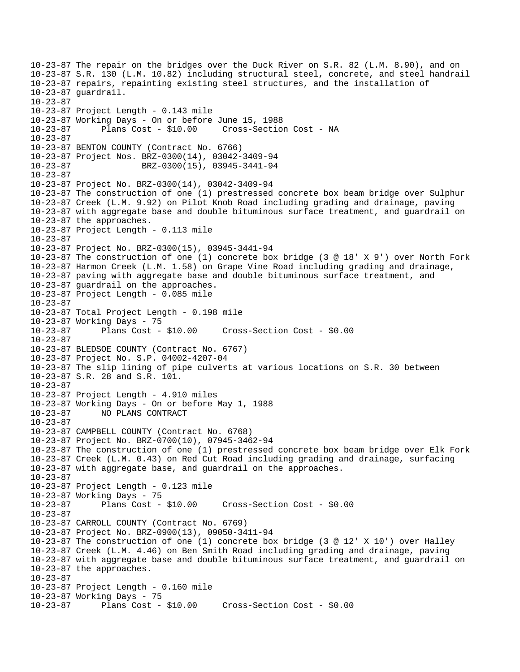10-23-87 The repair on the bridges over the Duck River on S.R. 82 (L.M. 8.90), and on 10-23-87 S.R. 130 (L.M. 10.82) including structural steel, concrete, and steel handrail 10-23-87 repairs, repainting existing steel structures, and the installation of 10-23-87 guardrail. 10-23-87 10-23-87 Project Length - 0.143 mile 10-23-87 Working Days - On or before June 15, 1988 10-23-87 Plans Cost - \$10.00 Cross-Section Cost - NA 10-23-87 10-23-87 BENTON COUNTY (Contract No. 6766) 10-23-87 Project Nos. BRZ-0300(14), 03042-3409-94 10-23-87 BRZ-0300(15), 03945-3441-94  $10 - 23 - 87$ 10-23-87 Project No. BRZ-0300(14), 03042-3409-94 10-23-87 The construction of one (1) prestressed concrete box beam bridge over Sulphur 10-23-87 Creek (L.M. 9.92) on Pilot Knob Road including grading and drainage, paving 10-23-87 with aggregate base and double bituminous surface treatment, and guardrail on 10-23-87 the approaches. 10-23-87 Project Length - 0.113 mile 10-23-87 10-23-87 Project No. BRZ-0300(15), 03945-3441-94 10-23-87 The construction of one (1) concrete box bridge (3 @ 18' X 9') over North Fork 10-23-87 Harmon Creek (L.M. 1.58) on Grape Vine Road including grading and drainage, 10-23-87 paving with aggregate base and double bituminous surface treatment, and 10-23-87 guardrail on the approaches. 10-23-87 Project Length - 0.085 mile 10-23-87 10-23-87 Total Project Length - 0.198 mile 10-23-87 Working Days - 75 10-23-87 Plans Cost - \$10.00 Cross-Section Cost - \$0.00 10-23-87 10-23-87 BLEDSOE COUNTY (Contract No. 6767) 10-23-87 Project No. S.P. 04002-4207-04 10-23-87 The slip lining of pipe culverts at various locations on S.R. 30 between 10-23-87 S.R. 28 and S.R. 101.  $10 - 23 - 87$ 10-23-87 Project Length - 4.910 miles 10-23-87 Working Days - On or before May 1, 1988 10-23-87 NO PLANS CONTRACT 10-23-87 10-23-87 CAMPBELL COUNTY (Contract No. 6768) 10-23-87 Project No. BRZ-0700(10), 07945-3462-94 10-23-87 The construction of one (1) prestressed concrete box beam bridge over Elk Fork 10-23-87 Creek (L.M. 0.43) on Red Cut Road including grading and drainage, surfacing 10-23-87 with aggregate base, and guardrail on the approaches. 10-23-87 10-23-87 Project Length - 0.123 mile 10-23-87 Working Days - 75 10-23-87 Plans Cost - \$10.00 Cross-Section Cost - \$0.00 10-23-87 10-23-87 CARROLL COUNTY (Contract No. 6769) 10-23-87 Project No. BRZ-0900(13), 09050-3411-94 10-23-87 The construction of one (1) concrete box bridge (3 @ 12' X 10') over Halley 10-23-87 Creek (L.M. 4.46) on Ben Smith Road including grading and drainage, paving 10-23-87 with aggregate base and double bituminous surface treatment, and guardrail on 10-23-87 the approaches. 10-23-87 10-23-87 Project Length - 0.160 mile 10-23-87 Working Days - 75 10-23-87 Plans Cost - \$10.00 Cross-Section Cost - \$0.00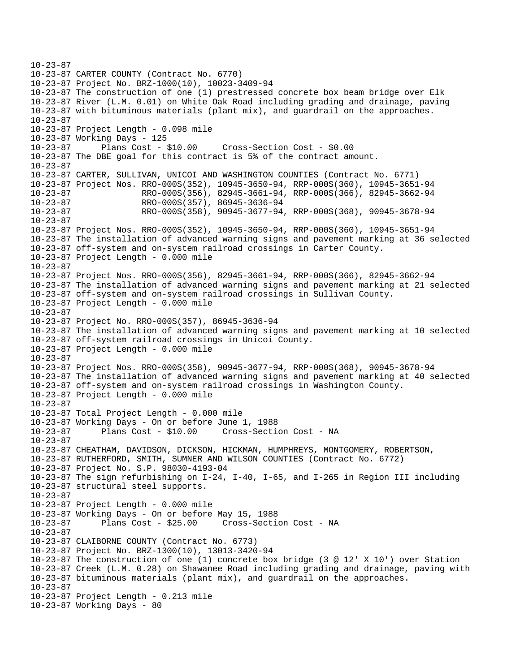```
10-23-87 
10-23-87 CARTER COUNTY (Contract No. 6770) 
10-23-87 Project No. BRZ-1000(10), 10023-3409-94 
10-23-87 The construction of one (1) prestressed concrete box beam bridge over Elk 
10-23-87 River (L.M. 0.01) on White Oak Road including grading and drainage, paving 
10-23-87 with bituminous materials (plant mix), and guardrail on the approaches. 
10-23-87 
10-23-87 Project Length - 0.098 mile 
10-23-87 Working Days - 125 
10-23-87 Plans Cost - $10.00 Cross-Section Cost - $0.00 
10-23-87 The DBE goal for this contract is 5% of the contract amount. 
10-23-87 
10-23-87 CARTER, SULLIVAN, UNICOI AND WASHINGTON COUNTIES (Contract No. 6771) 
10-23-87 Project Nos. RRO-000S(352), 10945-3650-94, RRP-000S(360), 10945-3651-94 
10-23-87 RRO-000S(356), 82945-3661-94, RRP-000S(366), 82945-3662-94 
10-23-87 RRO-000S(357), 86945-3636-94<br>10-23-87 RRO-000S(358), 90945-3677-94
                      10-23-87 RRO-000S(358), 90945-3677-94, RRP-000S(368), 90945-3678-94 
10-23-87 
10-23-87 Project Nos. RRO-000S(352), 10945-3650-94, RRP-000S(360), 10945-3651-94 
10-23-87 The installation of advanced warning signs and pavement marking at 36 selected 
10-23-87 off-system and on-system railroad crossings in Carter County. 
10-23-87 Project Length - 0.000 mile 
10-23-87 
10-23-87 Project Nos. RRO-000S(356), 82945-3661-94, RRP-000S(366), 82945-3662-94 
10-23-87 The installation of advanced warning signs and pavement marking at 21 selected 
10-23-87 off-system and on-system railroad crossings in Sullivan County. 
10-23-87 Project Length - 0.000 mile 
10-23-87 
10-23-87 Project No. RRO-000S(357), 86945-3636-94 
10-23-87 The installation of advanced warning signs and pavement marking at 10 selected 
10-23-87 off-system railroad crossings in Unicoi County. 
10-23-87 Project Length - 0.000 mile 
10-23-87 
10-23-87 Project Nos. RRO-000S(358), 90945-3677-94, RRP-000S(368), 90945-3678-94 
10-23-87 The installation of advanced warning signs and pavement marking at 40 selected 
10-23-87 off-system and on-system railroad crossings in Washington County. 
10-23-87 Project Length - 0.000 mile 
10-23-87 
10-23-87 Total Project Length - 0.000 mile 
10-23-87 Working Days - On or before June 1, 1988 
10-23-87 Plans Cost - $10.00 Cross-Section Cost - NA 
10-23-87 
10-23-87 CHEATHAM, DAVIDSON, DICKSON, HICKMAN, HUMPHREYS, MONTGOMERY, ROBERTSON, 
10-23-87 RUTHERFORD, SMITH, SUMNER AND WILSON COUNTIES (Contract No. 6772) 
10-23-87 Project No. S.P. 98030-4193-04 
10-23-87 The sign refurbishing on I-24, I-40, I-65, and I-265 in Region III including 
10-23-87 structural steel supports. 
10-23-87 
10-23-87 Project Length - 0.000 mile 
10-23-87 Working Days - On or before May 15, 1988 
              Plans Cost - $25.00 Cross-Section Cost - NA
10-23-87 
10-23-87 CLAIBORNE COUNTY (Contract No. 6773) 
10-23-87 Project No. BRZ-1300(10), 13013-3420-94 
10-23-87 The construction of one (1) concrete box bridge (3 @ 12' X 10') over Station 
10-23-87 Creek (L.M. 0.28) on Shawanee Road including grading and drainage, paving with 
10-23-87 bituminous materials (plant mix), and guardrail on the approaches. 
10-23-87 
10-23-87 Project Length - 0.213 mile 
10-23-87 Working Days - 80
```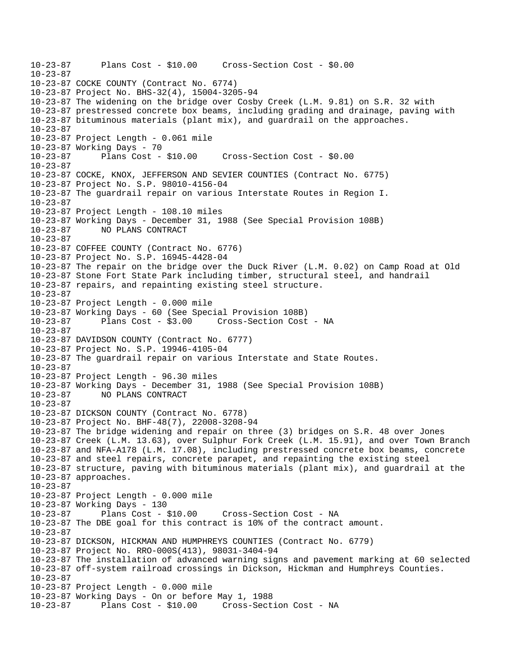10-23-87 Plans Cost - \$10.00 Cross-Section Cost - \$0.00 10-23-87 10-23-87 COCKE COUNTY (Contract No. 6774) 10-23-87 Project No. BHS-32(4), 15004-3205-94 10-23-87 The widening on the bridge over Cosby Creek (L.M. 9.81) on S.R. 32 with 10-23-87 prestressed concrete box beams, including grading and drainage, paving with 10-23-87 bituminous materials (plant mix), and guardrail on the approaches. 10-23-87 10-23-87 Project Length - 0.061 mile 10-23-87 Working Days - 70 10-23-87 Plans Cost - \$10.00 Cross-Section Cost - \$0.00 10-23-87 10-23-87 COCKE, KNOX, JEFFERSON AND SEVIER COUNTIES (Contract No. 6775) 10-23-87 Project No. S.P. 98010-4156-04 10-23-87 The guardrail repair on various Interstate Routes in Region I.  $10 - 23 - 87$ 10-23-87 Project Length - 108.10 miles 10-23-87 Working Days - December 31, 1988 (See Special Provision 108B) 10-23-87 NO PLANS CONTRACT 10-23-87 10-23-87 COFFEE COUNTY (Contract No. 6776) 10-23-87 Project No. S.P. 16945-4428-04 10-23-87 The repair on the bridge over the Duck River (L.M. 0.02) on Camp Road at Old 10-23-87 Stone Fort State Park including timber, structural steel, and handrail 10-23-87 repairs, and repainting existing steel structure. 10-23-87 10-23-87 Project Length - 0.000 mile 10-23-87 Working Days - 60 (See Special Provision 108B) 10-23-87 Plans Cost - \$3.00 Cross-Section Cost - NA 10-23-87 10-23-87 DAVIDSON COUNTY (Contract No. 6777) 10-23-87 Project No. S.P. 19946-4105-04 10-23-87 The guardrail repair on various Interstate and State Routes. 10-23-87 10-23-87 Project Length - 96.30 miles 10-23-87 Working Days - December 31, 1988 (See Special Provision 108B) 10-23-87 NO PLANS CONTRACT 10-23-87 10-23-87 DICKSON COUNTY (Contract No. 6778) 10-23-87 Project No. BHF-48(7), 22008-3208-94 10-23-87 The bridge widening and repair on three (3) bridges on S.R. 48 over Jones 10-23-87 Creek (L.M. 13.63), over Sulphur Fork Creek (L.M. 15.91), and over Town Branch 10-23-87 and NFA-A178 (L.M. 17.08), including prestressed concrete box beams, concrete 10-23-87 and steel repairs, concrete parapet, and repainting the existing steel 10-23-87 structure, paving with bituminous materials (plant mix), and guardrail at the 10-23-87 approaches. 10-23-87 10-23-87 Project Length - 0.000 mile 10-23-87 Working Days - 130 10-23-87 Plans Cost - \$10.00 Cross-Section Cost - NA 10-23-87 The DBE goal for this contract is 10% of the contract amount. 10-23-87 10-23-87 DICKSON, HICKMAN AND HUMPHREYS COUNTIES (Contract No. 6779) 10-23-87 Project No. RRO-000S(413), 98031-3404-94 10-23-87 The installation of advanced warning signs and pavement marking at 60 selected 10-23-87 off-system railroad crossings in Dickson, Hickman and Humphreys Counties. 10-23-87 10-23-87 Project Length - 0.000 mile 10-23-87 Working Days - On or before May 1, 1988 10-23-87 Plans Cost - \$10.00 Cross-Section Cost - NA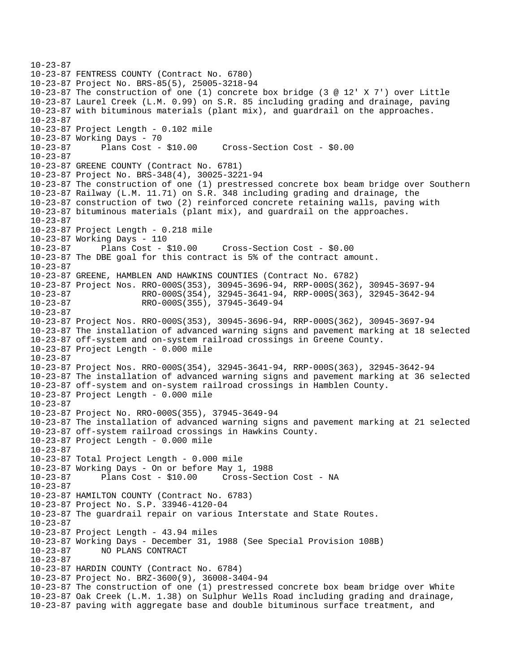```
10-23-87 
10-23-87 FENTRESS COUNTY (Contract No. 6780) 
10-23-87 Project No. BRS-85(5), 25005-3218-94 
10-23-87 The construction of one (1) concrete box bridge (3 @ 12' X 7') over Little 
10-23-87 Laurel Creek (L.M. 0.99) on S.R. 85 including grading and drainage, paving 
10-23-87 with bituminous materials (plant mix), and guardrail on the approaches. 
10-23-87 
10-23-87 Project Length - 0.102 mile 
10-23-87 Working Days - 70 
10-23-87 Plans Cost - $10.00 Cross-Section Cost - $0.00 
10-23-87 
10-23-87 GREENE COUNTY (Contract No. 6781) 
10-23-87 Project No. BRS-348(4), 30025-3221-94 
10-23-87 The construction of one (1) prestressed concrete box beam bridge over Southern 
10-23-87 Railway (L.M. 11.71) on S.R. 348 including grading and drainage, the 
10-23-87 construction of two (2) reinforced concrete retaining walls, paving with 
10-23-87 bituminous materials (plant mix), and guardrail on the approaches. 
10-23-87 
10-23-87 Project Length - 0.218 mile 
10-23-87 Working Days - 110 
10-23-87 Plans Cost - $10.00 Cross-Section Cost - $0.00 
10-23-87 The DBE goal for this contract is 5% of the contract amount. 
10-23-87 
10-23-87 GREENE, HAMBLEN AND HAWKINS COUNTIES (Contract No. 6782) 
10-23-87 Project Nos. RRO-000S(353), 30945-3696-94, RRP-000S(362), 30945-3697-94 
10-23-87 RRO-000S(354), 32945-3641-94, RRP-000S(363), 32945-3642-94 
10-23-87 RRO-000S(355), 37945-3649-94 
10-23-87 
10-23-87 Project Nos. RRO-000S(353), 30945-3696-94, RRP-000S(362), 30945-3697-94 
10-23-87 The installation of advanced warning signs and pavement marking at 18 selected 
10-23-87 off-system and on-system railroad crossings in Greene County. 
10-23-87 Project Length - 0.000 mile 
10-23-87 
10-23-87 Project Nos. RRO-000S(354), 32945-3641-94, RRP-000S(363), 32945-3642-94 
10-23-87 The installation of advanced warning signs and pavement marking at 36 selected 
10-23-87 off-system and on-system railroad crossings in Hamblen County. 
10-23-87 Project Length - 0.000 mile 
10-23-87 
10-23-87 Project No. RRO-000S(355), 37945-3649-94 
10-23-87 The installation of advanced warning signs and pavement marking at 21 selected 
10-23-87 off-system railroad crossings in Hawkins County. 
10-23-87 Project Length - 0.000 mile 
10-23-87 
10-23-87 Total Project Length - 0.000 mile 
10-23-87 Working Days - On or before May 1, 1988 
10-23-87 Plans Cost - $10.00 Cross-Section Cost - NA 
10-23-87 
10-23-87 HAMILTON COUNTY (Contract No. 6783) 
10-23-87 Project No. S.P. 33946-4120-04 
10-23-87 The guardrail repair on various Interstate and State Routes. 
10-23-87 
10-23-87 Project Length - 43.94 miles 
10-23-87 Working Days - December 31, 1988 (See Special Provision 108B) 
10-23-87 NO PLANS CONTRACT 
10-23-87 
10-23-87 HARDIN COUNTY (Contract No. 6784) 
10-23-87 Project No. BRZ-3600(9), 36008-3404-94 
10-23-87 The construction of one (1) prestressed concrete box beam bridge over White 
10-23-87 Oak Creek (L.M. 1.38) on Sulphur Wells Road including grading and drainage, 
10-23-87 paving with aggregate base and double bituminous surface treatment, and
```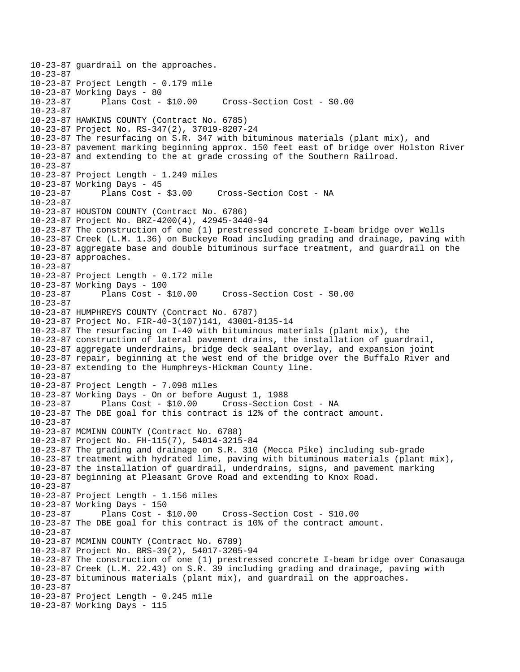10-23-87 guardrail on the approaches. 10-23-87 10-23-87 Project Length - 0.179 mile 10-23-87 Working Days - 80 Cross-Section Cost - \$0.00 10-23-87 10-23-87 HAWKINS COUNTY (Contract No. 6785) 10-23-87 Project No. RS-347(2), 37019-8207-24 10-23-87 The resurfacing on S.R. 347 with bituminous materials (plant mix), and 10-23-87 pavement marking beginning approx. 150 feet east of bridge over Holston River 10-23-87 and extending to the at grade crossing of the Southern Railroad. 10-23-87 10-23-87 Project Length - 1.249 miles 10-23-87 Working Days - 45 10-23-87 Plans Cost - \$3.00 Cross-Section Cost - NA  $10 - 23 - 87$ 10-23-87 HOUSTON COUNTY (Contract No. 6786) 10-23-87 Project No. BRZ-4200(4), 42945-3440-94 10-23-87 The construction of one (1) prestressed concrete I-beam bridge over Wells 10-23-87 Creek (L.M. 1.36) on Buckeye Road including grading and drainage, paving with 10-23-87 aggregate base and double bituminous surface treatment, and guardrail on the 10-23-87 approaches. 10-23-87 10-23-87 Project Length - 0.172 mile 10-23-87 Working Days - 100 10-23-87 Plans Cost - \$10.00 Cross-Section Cost - \$0.00 10-23-87 10-23-87 HUMPHREYS COUNTY (Contract No. 6787) 10-23-87 Project No. FIR-40-3(107)141, 43001-8135-14 10-23-87 The resurfacing on I-40 with bituminous materials (plant mix), the 10-23-87 construction of lateral pavement drains, the installation of guardrail, 10-23-87 aggregate underdrains, bridge deck sealant overlay, and expansion joint 10-23-87 repair, beginning at the west end of the bridge over the Buffalo River and 10-23-87 extending to the Humphreys-Hickman County line. 10-23-87 10-23-87 Project Length - 7.098 miles 10-23-87 Working Days - On or before August 1, 1988 10-23-87 Plans Cost - \$10.00 Cross-Section Cost - NA 10-23-87 The DBE goal for this contract is 12% of the contract amount. 10-23-87 10-23-87 MCMINN COUNTY (Contract No. 6788) 10-23-87 Project No. FH-115(7), 54014-3215-84 10-23-87 The grading and drainage on S.R. 310 (Mecca Pike) including sub-grade 10-23-87 treatment with hydrated lime, paving with bituminous materials (plant mix), 10-23-87 the installation of guardrail, underdrains, signs, and pavement marking 10-23-87 beginning at Pleasant Grove Road and extending to Knox Road. 10-23-87 10-23-87 Project Length - 1.156 miles 10-23-87 Working Days - 150 10-23-87 Plans Cost - \$10.00 Cross-Section Cost - \$10.00 10-23-87 The DBE goal for this contract is 10% of the contract amount. 10-23-87 10-23-87 MCMINN COUNTY (Contract No. 6789) 10-23-87 Project No. BRS-39(2), 54017-3205-94 10-23-87 The construction of one (1) prestressed concrete I-beam bridge over Conasauga 10-23-87 Creek (L.M. 22.43) on S.R. 39 including grading and drainage, paving with 10-23-87 bituminous materials (plant mix), and guardrail on the approaches. 10-23-87 10-23-87 Project Length - 0.245 mile 10-23-87 Working Days - 115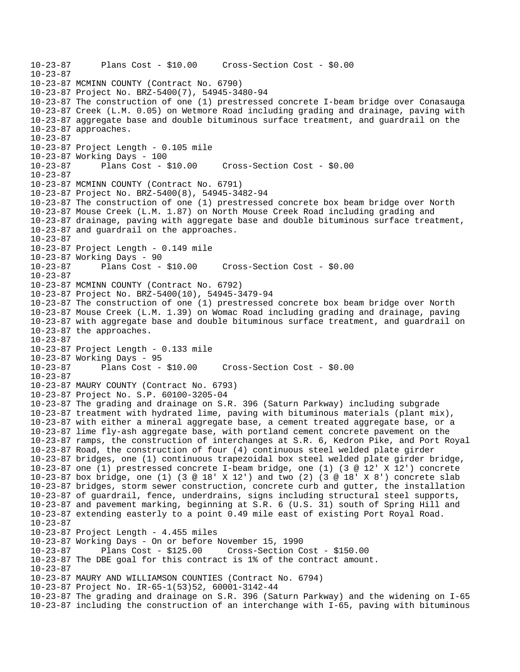10-23-87 Plans Cost - \$10.00 Cross-Section Cost - \$0.00 10-23-87 10-23-87 MCMINN COUNTY (Contract No. 6790) 10-23-87 Project No. BRZ-5400(7), 54945-3480-94 10-23-87 The construction of one (1) prestressed concrete I-beam bridge over Conasauga 10-23-87 Creek (L.M. 0.05) on Wetmore Road including grading and drainage, paving with 10-23-87 aggregate base and double bituminous surface treatment, and guardrail on the 10-23-87 approaches. 10-23-87 10-23-87 Project Length - 0.105 mile 10-23-87 Working Days - 100 10-23-87 Plans Cost - \$10.00 Cross-Section Cost - \$0.00 10-23-87 10-23-87 MCMINN COUNTY (Contract No. 6791) 10-23-87 Project No. BRZ-5400(8), 54945-3482-94 10-23-87 The construction of one (1) prestressed concrete box beam bridge over North 10-23-87 Mouse Creek (L.M. 1.87) on North Mouse Creek Road including grading and 10-23-87 drainage, paving with aggregate base and double bituminous surface treatment, 10-23-87 and guardrail on the approaches. 10-23-87 10-23-87 Project Length - 0.149 mile 10-23-87 Working Days - 90 10-23-87 Plans Cost - \$10.00 Cross-Section Cost - \$0.00 10-23-87 10-23-87 MCMINN COUNTY (Contract No. 6792) 10-23-87 Project No. BRZ-5400(10), 54945-3479-94 10-23-87 The construction of one (1) prestressed concrete box beam bridge over North 10-23-87 Mouse Creek (L.M. 1.39) on Womac Road including grading and drainage, paving 10-23-87 with aggregate base and double bituminous surface treatment, and guardrail on 10-23-87 the approaches. 10-23-87 10-23-87 Project Length - 0.133 mile 10-23-87 Working Days - 95 10-23-87 Plans Cost - \$10.00 Cross-Section Cost - \$0.00 10-23-87 10-23-87 MAURY COUNTY (Contract No. 6793) 10-23-87 Project No. S.P. 60100-3205-04 10-23-87 The grading and drainage on S.R. 396 (Saturn Parkway) including subgrade 10-23-87 treatment with hydrated lime, paving with bituminous materials (plant mix), 10-23-87 with either a mineral aggregate base, a cement treated aggregate base, or a 10-23-87 lime fly-ash aggregate base, with portland cement concrete pavement on the 10-23-87 ramps, the construction of interchanges at S.R. 6, Kedron Pike, and Port Royal 10-23-87 Road, the construction of four (4) continuous steel welded plate girder 10-23-87 bridges, one (1) continuous trapezoidal box steel welded plate girder bridge, 10-23-87 one (1) prestressed concrete I-beam bridge, one (1) (3 @ 12' X 12') concrete 10-23-87 box bridge, one (1) (3 @ 18' X 12') and two (2) (3 @ 18' X 8') concrete slab 10-23-87 bridges, storm sewer construction, concrete curb and gutter, the installation 10-23-87 of guardrail, fence, underdrains, signs including structural steel supports, 10-23-87 and pavement marking, beginning at S.R. 6 (U.S. 31) south of Spring Hill and 10-23-87 extending easterly to a point 0.49 mile east of existing Port Royal Road. 10-23-87 10-23-87 Project Length - 4.455 miles 10-23-87 Working Days - On or before November 15, 1990 10-23-87 Plans Cost - \$125.00 Cross-Section Cost - \$150.00 10-23-87 The DBE goal for this contract is 1% of the contract amount. 10-23-87 10-23-87 MAURY AND WILLIAMSON COUNTIES (Contract No. 6794) 10-23-87 Project No. IR-65-1(53)52, 60001-3142-44 10-23-87 The grading and drainage on S.R. 396 (Saturn Parkway) and the widening on I-65 10-23-87 including the construction of an interchange with I-65, paving with bituminous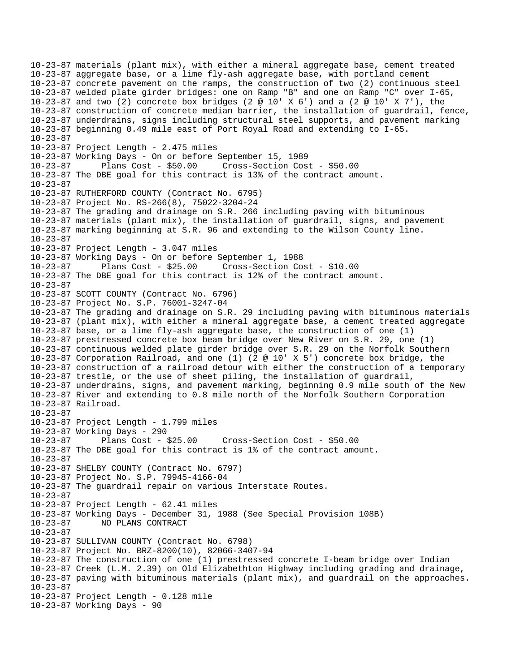10-23-87 materials (plant mix), with either a mineral aggregate base, cement treated 10-23-87 aggregate base, or a lime fly-ash aggregate base, with portland cement 10-23-87 concrete pavement on the ramps, the construction of two (2) continuous steel 10-23-87 welded plate girder bridges: one on Ramp "B" and one on Ramp "C" over I-65, 10-23-87 and two (2) concrete box bridges (2 @ 10' X 6') and a (2 @ 10' X 7'), the 10-23-87 construction of concrete median barrier, the installation of guardrail, fence, 10-23-87 underdrains, signs including structural steel supports, and pavement marking 10-23-87 beginning 0.49 mile east of Port Royal Road and extending to I-65. 10-23-87 10-23-87 Project Length - 2.475 miles 10-23-87 Working Days - On or before September 15, 1989 10-23-87 Plans Cost - \$50.00 Cross-Section Cost - \$50.00 10-23-87 The DBE goal for this contract is 13% of the contract amount. 10-23-87 10-23-87 RUTHERFORD COUNTY (Contract No. 6795) 10-23-87 Project No. RS-266(8), 75022-3204-24 10-23-87 The grading and drainage on S.R. 266 including paving with bituminous 10-23-87 materials (plant mix), the installation of guardrail, signs, and pavement 10-23-87 marking beginning at S.R. 96 and extending to the Wilson County line. 10-23-87 10-23-87 Project Length - 3.047 miles 10-23-87 Working Days - On or before September 1, 1988 10-23-87 Plans Cost - \$25.00 Cross-Section Cost - \$10.00 10-23-87 The DBE goal for this contract is 12% of the contract amount. 10-23-87 10-23-87 SCOTT COUNTY (Contract No. 6796) 10-23-87 Project No. S.P. 76001-3247-04 10-23-87 The grading and drainage on S.R. 29 including paving with bituminous materials 10-23-87 (plant mix), with either a mineral aggregate base, a cement treated aggregate 10-23-87 base, or a lime fly-ash aggregate base, the construction of one (1) 10-23-87 prestressed concrete box beam bridge over New River on S.R. 29, one (1) 10-23-87 continuous welded plate girder bridge over S.R. 29 on the Norfolk Southern 10-23-87 Corporation Railroad, and one (1) (2 @ 10' X 5') concrete box bridge, the 10-23-87 construction of a railroad detour with either the construction of a temporary 10-23-87 trestle, or the use of sheet piling, the installation of guardrail, 10-23-87 underdrains, signs, and pavement marking, beginning 0.9 mile south of the New 10-23-87 River and extending to 0.8 mile north of the Norfolk Southern Corporation 10-23-87 Railroad. 10-23-87 10-23-87 Project Length - 1.799 miles 10-23-87 Working Days - 290 10-23-87 Plans Cost - \$25.00 Cross-Section Cost - \$50.00 10-23-87 The DBE goal for this contract is 1% of the contract amount. 10-23-87 10-23-87 SHELBY COUNTY (Contract No. 6797) 10-23-87 Project No. S.P. 79945-4166-04 10-23-87 The guardrail repair on various Interstate Routes. 10-23-87 10-23-87 Project Length - 62.41 miles 10-23-87 Working Days - December 31, 1988 (See Special Provision 108B) 10-23-87 NO PLANS CONTRACT 10-23-87 10-23-87 SULLIVAN COUNTY (Contract No. 6798) 10-23-87 Project No. BRZ-8200(10), 82066-3407-94 10-23-87 The construction of one (1) prestressed concrete I-beam bridge over Indian 10-23-87 Creek (L.M. 2.39) on Old Elizabethton Highway including grading and drainage, 10-23-87 paving with bituminous materials (plant mix), and guardrail on the approaches. 10-23-87 10-23-87 Project Length - 0.128 mile 10-23-87 Working Days - 90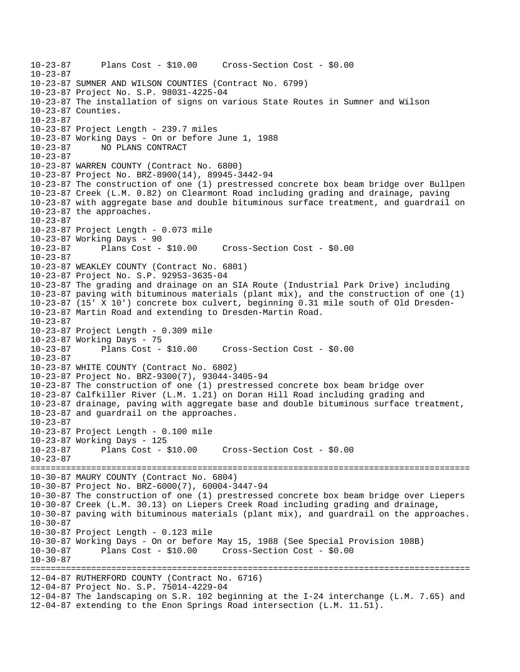```
10-23-87 Plans Cost - $10.00 Cross-Section Cost - $0.00 
10-23-87 
10-23-87 SUMNER AND WILSON COUNTIES (Contract No. 6799) 
10-23-87 Project No. S.P. 98031-4225-04 
10-23-87 The installation of signs on various State Routes in Sumner and Wilson 
10-23-87 Counties. 
10-23-87 
10-23-87 Project Length - 239.7 miles 
10-23-87 Working Days - On or before June 1, 1988 
10-23-87 NO PLANS CONTRACT 
10-23-87 
10-23-87 WARREN COUNTY (Contract No. 6800) 
10-23-87 Project No. BRZ-8900(14), 89945-3442-94 
10-23-87 The construction of one (1) prestressed concrete box beam bridge over Bullpen 
10-23-87 Creek (L.M. 0.82) on Clearmont Road including grading and drainage, paving 
10-23-87 with aggregate base and double bituminous surface treatment, and guardrail on 
10-23-87 the approaches. 
10-23-87 
10-23-87 Project Length - 0.073 mile 
10-23-87 Working Days - 90 
10-23-87 Plans Cost - $10.00 Cross-Section Cost - $0.00 
10-23-87 
10-23-87 WEAKLEY COUNTY (Contract No. 6801) 
10-23-87 Project No. S.P. 92953-3635-04 
10-23-87 The grading and drainage on an SIA Route (Industrial Park Drive) including 
10-23-87 paving with bituminous materials (plant mix), and the construction of one (1) 
10-23-87 (15' X 10') concrete box culvert, beginning 0.31 mile south of Old Dresden-
10-23-87 Martin Road and extending to Dresden-Martin Road. 
10-23-87 
10-23-87 Project Length - 0.309 mile 
10-23-87 Working Days - 75 
10-23-87 Plans Cost - $10.00 Cross-Section Cost - $0.00 
10-23-87 
10-23-87 WHITE COUNTY (Contract No. 6802) 
10-23-87 Project No. BRZ-9300(7), 93044-3405-94 
10-23-87 The construction of one (1) prestressed concrete box beam bridge over 
10-23-87 Calfkiller River (L.M. 1.21) on Doran Hill Road including grading and 
10-23-87 drainage, paving with aggregate base and double bituminous surface treatment, 
10-23-87 and guardrail on the approaches. 
10-23-87 
10-23-87 Project Length - 0.100 mile 
10-23-87 Working Days - 125 
10-23-87 Plans Cost - $10.00 Cross-Section Cost - $0.00 
10-23-87 
======================================================================================= 
10-30-87 MAURY COUNTY (Contract No. 6804) 
10-30-87 Project No. BRZ-6000(7), 60004-3447-94 
10-30-87 The construction of one (1) prestressed concrete box beam bridge over Liepers 
10-30-87 Creek (L.M. 30.13) on Liepers Creek Road including grading and drainage, 
10-30-87 paving with bituminous materials (plant mix), and guardrail on the approaches. 
10-30-8710-30-87 Project Length - 0.123 mile 
10-30-87 Working Days - On or before May 15, 1988 (See Special Provision 108B) 
10-30-87 Plans Cost - $10.00 Cross-Section Cost - $0.00 
10-30-87 
======================================================================================= 
12-04-87 RUTHERFORD COUNTY (Contract No. 6716) 
12-04-87 Project No. S.P. 75014-4229-04 
12-04-87 The landscaping on S.R. 102 beginning at the I-24 interchange (L.M. 7.65) and 
12-04-87 extending to the Enon Springs Road intersection (L.M. 11.51).
```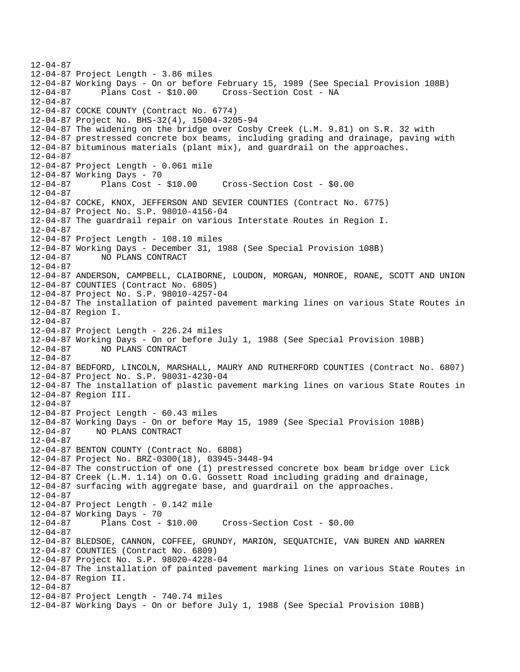12-04-87 12-04-87 Project Length - 3.86 miles 12-04-87 Working Days - On or before February 15, 1989 (See Special Provision 108B) 12-04-87 Plans Cost - \$10.00 Cross-Section Cost - NA 12-04-87 12-04-87 COCKE COUNTY (Contract No. 6774) 12-04-87 Project No. BHS-32(4), 15004-3205-94 12-04-87 The widening on the bridge over Cosby Creek (L.M. 9.81) on S.R. 32 with 12-04-87 prestressed concrete box beams, including grading and drainage, paving with 12-04-87 bituminous materials (plant mix), and guardrail on the approaches. 12-04-87 12-04-87 Project Length - 0.061 mile 12-04-87 Working Days - 70 12-04-87 Plans Cost - \$10.00 Cross-Section Cost - \$0.00 12-04-87 12-04-87 COCKE, KNOX, JEFFERSON AND SEVIER COUNTIES (Contract No. 6775) 12-04-87 Project No. S.P. 98010-4156-04 12-04-87 The guardrail repair on various Interstate Routes in Region I. 12-04-87 12-04-87 Project Length - 108.10 miles 12-04-87 Working Days - December 31, 1988 (See Special Provision 108B) 12-04-87 NO PLANS CONTRACT 12-04-87 12-04-87 ANDERSON, CAMPBELL, CLAIBORNE, LOUDON, MORGAN, MONROE, ROANE, SCOTT AND UNION 12-04-87 COUNTIES (Contract No. 6805) 12-04-87 Project No. S.P. 98010-4257-04 12-04-87 The installation of painted pavement marking lines on various State Routes in 12-04-87 Region I. 12-04-87 12-04-87 Project Length - 226.24 miles 12-04-87 Working Days - On or before July 1, 1988 (See Special Provision 108B) 12-04-87 NO PLANS CONTRACT 12-04-87 12-04-87 BEDFORD, LINCOLN, MARSHALL, MAURY AND RUTHERFORD COUNTIES (Contract No. 6807) 12-04-87 Project No. S.P. 98031-4230-04 12-04-87 The installation of plastic pavement marking lines on various State Routes in 12-04-87 Region III. 12-04-87 12-04-87 Project Length - 60.43 miles 12-04-87 Working Days - On or before May 15, 1989 (See Special Provision 108B) 12-04-87 NO PLANS CONTRACT 12-04-87 12-04-87 BENTON COUNTY (Contract No. 6808) 12-04-87 Project No. BRZ-0300(18), 03945-3448-94 12-04-87 The construction of one (1) prestressed concrete box beam bridge over Lick 12-04-87 Creek (L.M. 1.14) on O.G. Gossett Road including grading and drainage, 12-04-87 surfacing with aggregate base, and guardrail on the approaches. 12-04-87 12-04-87 Project Length - 0.142 mile 12-04-87 Working Days - 70 12-04-87 Plans Cost - \$10.00 Cross-Section Cost - \$0.00 12-04-87 12-04-87 BLEDSOE, CANNON, COFFEE, GRUNDY, MARION, SEQUATCHIE, VAN BUREN AND WARREN 12-04-87 COUNTIES (Contract No. 6809) 12-04-87 Project No. S.P. 98020-4228-04 12-04-87 The installation of painted pavement marking lines on various State Routes in 12-04-87 Region II. 12-04-87 12-04-87 Project Length - 740.74 miles 12-04-87 Working Days - On or before July 1, 1988 (See Special Provision 108B)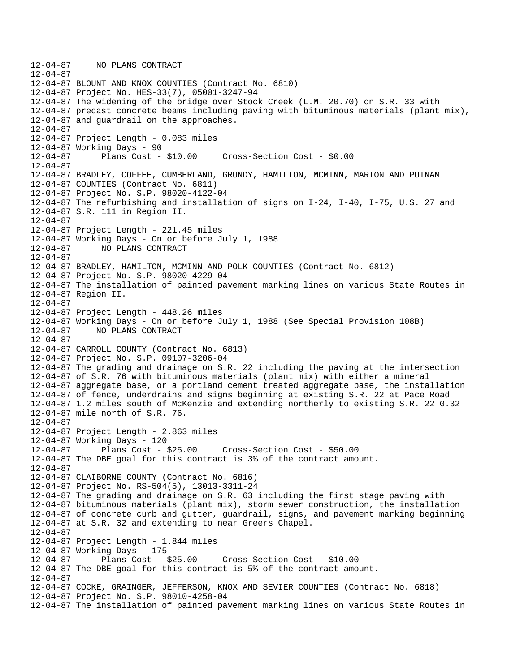12-04-87 NO PLANS CONTRACT 12-04-87 12-04-87 BLOUNT AND KNOX COUNTIES (Contract No. 6810) 12-04-87 Project No. HES-33(7), 05001-3247-94 12-04-87 The widening of the bridge over Stock Creek (L.M. 20.70) on S.R. 33 with 12-04-87 precast concrete beams including paving with bituminous materials (plant mix), 12-04-87 and guardrail on the approaches. 12-04-87 12-04-87 Project Length - 0.083 miles 12-04-87 Working Days - 90 12-04-87 Plans Cost - \$10.00 Cross-Section Cost - \$0.00 12-04-87 12-04-87 BRADLEY, COFFEE, CUMBERLAND, GRUNDY, HAMILTON, MCMINN, MARION AND PUTNAM 12-04-87 COUNTIES (Contract No. 6811) 12-04-87 Project No. S.P. 98020-4122-04 12-04-87 The refurbishing and installation of signs on I-24, I-40, I-75, U.S. 27 and 12-04-87 S.R. 111 in Region II. 12-04-87 12-04-87 Project Length - 221.45 miles 12-04-87 Working Days - On or before July 1, 1988 12-04-87 NO PLANS CONTRACT 12-04-87 12-04-87 BRADLEY, HAMILTON, MCMINN AND POLK COUNTIES (Contract No. 6812) 12-04-87 Project No. S.P. 98020-4229-04 12-04-87 The installation of painted pavement marking lines on various State Routes in 12-04-87 Region II. 12-04-87 12-04-87 Project Length - 448.26 miles 12-04-87 Working Days - On or before July 1, 1988 (See Special Provision 108B) 12-04-87 NO PLANS CONTRACT 12-04-87 12-04-87 CARROLL COUNTY (Contract No. 6813) 12-04-87 Project No. S.P. 09107-3206-04 12-04-87 The grading and drainage on S.R. 22 including the paving at the intersection 12-04-87 of S.R. 76 with bituminous materials (plant mix) with either a mineral 12-04-87 aggregate base, or a portland cement treated aggregate base, the installation 12-04-87 of fence, underdrains and signs beginning at existing S.R. 22 at Pace Road 12-04-87 1.2 miles south of McKenzie and extending northerly to existing S.R. 22 0.32 12-04-87 mile north of S.R. 76. 12-04-87 12-04-87 Project Length - 2.863 miles 12-04-87 Working Days - 120 12-04-87 Plans Cost - \$25.00 Cross-Section Cost - \$50.00 12-04-87 The DBE goal for this contract is 3% of the contract amount. 12-04-87 12-04-87 CLAIBORNE COUNTY (Contract No. 6816) 12-04-87 Project No. RS-504(5), 13013-3311-24 12-04-87 The grading and drainage on S.R. 63 including the first stage paving with 12-04-87 bituminous materials (plant mix), storm sewer construction, the installation 12-04-87 of concrete curb and gutter, guardrail, signs, and pavement marking beginning 12-04-87 at S.R. 32 and extending to near Greers Chapel. 12-04-87 12-04-87 Project Length - 1.844 miles 12-04-87 Working Days - 175 12-04-87 Plans Cost - \$25.00 Cross-Section Cost - \$10.00 12-04-87 The DBE goal for this contract is 5% of the contract amount. 12-04-87 12-04-87 COCKE, GRAINGER, JEFFERSON, KNOX AND SEVIER COUNTIES (Contract No. 6818) 12-04-87 Project No. S.P. 98010-4258-04 12-04-87 The installation of painted pavement marking lines on various State Routes in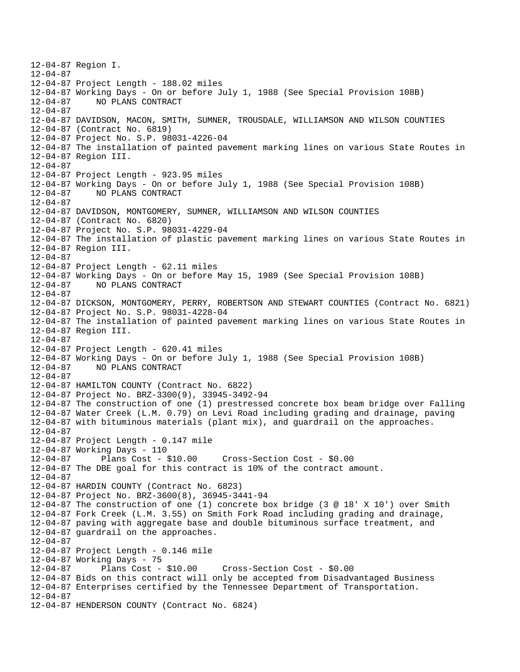12-04-87 Region I. 12-04-87 12-04-87 Project Length - 188.02 miles 12-04-87 Working Days - On or before July 1, 1988 (See Special Provision 108B) 12-04-87 NO PLANS CONTRACT 12-04-87 12-04-87 DAVIDSON, MACON, SMITH, SUMNER, TROUSDALE, WILLIAMSON AND WILSON COUNTIES 12-04-87 (Contract No. 6819) 12-04-87 Project No. S.P. 98031-4226-04 12-04-87 The installation of painted pavement marking lines on various State Routes in 12-04-87 Region III. 12-04-87 12-04-87 Project Length - 923.95 miles 12-04-87 Working Days - On or before July 1, 1988 (See Special Provision 108B) 12-04-87 NO PLANS CONTRACT  $12 - 04 - 87$ 12-04-87 DAVIDSON, MONTGOMERY, SUMNER, WILLIAMSON AND WILSON COUNTIES 12-04-87 (Contract No. 6820) 12-04-87 Project No. S.P. 98031-4229-04 12-04-87 The installation of plastic pavement marking lines on various State Routes in 12-04-87 Region III. 12-04-87 12-04-87 Project Length - 62.11 miles 12-04-87 Working Days - On or before May 15, 1989 (See Special Provision 108B) 12-04-87 NO PLANS CONTRACT  $12 - 04 - 87$ 12-04-87 DICKSON, MONTGOMERY, PERRY, ROBERTSON AND STEWART COUNTIES (Contract No. 6821) 12-04-87 Project No. S.P. 98031-4228-04 12-04-87 The installation of painted pavement marking lines on various State Routes in 12-04-87 Region III. 12-04-87 12-04-87 Project Length - 620.41 miles 12-04-87 Working Days - On or before July 1, 1988 (See Special Provision 108B) 12-04-87 NO PLANS CONTRACT 12-04-87 12-04-87 HAMILTON COUNTY (Contract No. 6822) 12-04-87 Project No. BRZ-3300(9), 33945-3492-94 12-04-87 The construction of one (1) prestressed concrete box beam bridge over Falling 12-04-87 Water Creek (L.M. 0.79) on Levi Road including grading and drainage, paving 12-04-87 with bituminous materials (plant mix), and guardrail on the approaches. 12-04-87 12-04-87 Project Length - 0.147 mile 12-04-87 Working Days - 110 12-04-87 Plans Cost - \$10.00 Cross-Section Cost - \$0.00 12-04-87 The DBE goal for this contract is 10% of the contract amount. 12-04-87 12-04-87 HARDIN COUNTY (Contract No. 6823) 12-04-87 Project No. BRZ-3600(8), 36945-3441-94 12-04-87 The construction of one (1) concrete box bridge (3 @ 18' X 10') over Smith 12-04-87 Fork Creek (L.M. 3.55) on Smith Fork Road including grading and drainage, 12-04-87 paving with aggregate base and double bituminous surface treatment, and 12-04-87 guardrail on the approaches. 12-04-87 12-04-87 Project Length - 0.146 mile 12-04-87 Working Days - 75 12-04-87 Plans Cost - \$10.00 Cross-Section Cost - \$0.00 12-04-87 Bids on this contract will only be accepted from Disadvantaged Business 12-04-87 Enterprises certified by the Tennessee Department of Transportation.  $12 - 04 - 87$ 12-04-87 HENDERSON COUNTY (Contract No. 6824)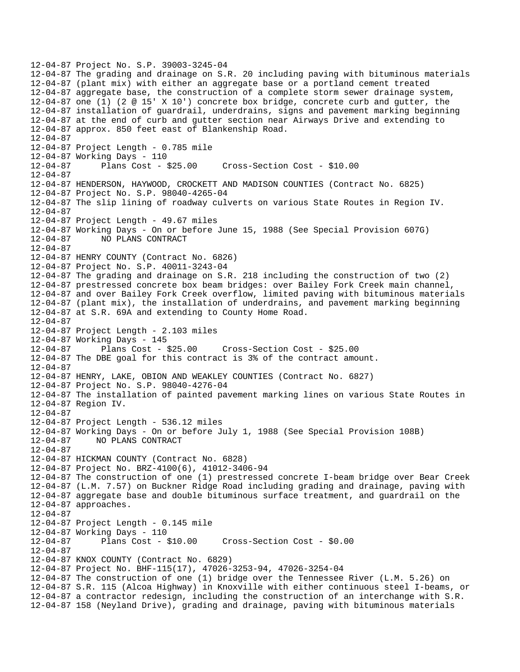12-04-87 Project No. S.P. 39003-3245-04 12-04-87 The grading and drainage on S.R. 20 including paving with bituminous materials 12-04-87 (plant mix) with either an aggregate base or a portland cement treated 12-04-87 aggregate base, the construction of a complete storm sewer drainage system, 12-04-87 one (1) (2 @ 15' X 10') concrete box bridge, concrete curb and gutter, the 12-04-87 installation of guardrail, underdrains, signs and pavement marking beginning 12-04-87 at the end of curb and gutter section near Airways Drive and extending to 12-04-87 approx. 850 feet east of Blankenship Road. 12-04-87 12-04-87 Project Length - 0.785 mile 12-04-87 Working Days - 110 12-04-87 Plans Cost - \$25.00 Cross-Section Cost - \$10.00 12-04-87 12-04-87 HENDERSON, HAYWOOD, CROCKETT AND MADISON COUNTIES (Contract No. 6825) 12-04-87 Project No. S.P. 98040-4265-04 12-04-87 The slip lining of roadway culverts on various State Routes in Region IV. 12-04-87 12-04-87 Project Length - 49.67 miles 12-04-87 Working Days - On or before June 15, 1988 (See Special Provision 607G) 12-04-87 NO PLANS CONTRACT 12-04-87 12-04-87 HENRY COUNTY (Contract No. 6826) 12-04-87 Project No. S.P. 40011-3243-04 12-04-87 The grading and drainage on S.R. 218 including the construction of two (2) 12-04-87 prestressed concrete box beam bridges: over Bailey Fork Creek main channel, 12-04-87 and over Bailey Fork Creek overflow, limited paving with bituminous materials 12-04-87 (plant mix), the installation of underdrains, and pavement marking beginning 12-04-87 at S.R. 69A and extending to County Home Road. 12-04-87 12-04-87 Project Length - 2.103 miles 12-04-87 Working Days - 145 12-04-87 Plans Cost - \$25.00 Cross-Section Cost - \$25.00 12-04-87 The DBE goal for this contract is 3% of the contract amount. 12-04-87 12-04-87 HENRY, LAKE, OBION AND WEAKLEY COUNTIES (Contract No. 6827) 12-04-87 Project No. S.P. 98040-4276-04 12-04-87 The installation of painted pavement marking lines on various State Routes in 12-04-87 Region IV. 12-04-87 12-04-87 Project Length - 536.12 miles 12-04-87 Working Days - On or before July 1, 1988 (See Special Provision 108B) 12-04-87 NO PLANS CONTRACT 12-04-87 12-04-87 HICKMAN COUNTY (Contract No. 6828) 12-04-87 Project No. BRZ-4100(6), 41012-3406-94 12-04-87 The construction of one (1) prestressed concrete I-beam bridge over Bear Creek 12-04-87 (L.M. 7.57) on Buckner Ridge Road including grading and drainage, paving with 12-04-87 aggregate base and double bituminous surface treatment, and guardrail on the 12-04-87 approaches. 12-04-87 12-04-87 Project Length - 0.145 mile 12-04-87 Working Days - 110 12-04-87 Plans Cost - \$10.00 Cross-Section Cost - \$0.00 12-04-87 12-04-87 KNOX COUNTY (Contract No. 6829) 12-04-87 Project No. BHF-115(17), 47026-3253-94, 47026-3254-04 12-04-87 The construction of one (1) bridge over the Tennessee River (L.M. 5.26) on 12-04-87 S.R. 115 (Alcoa Highway) in Knoxville with either continuous steel I-beams, or 12-04-87 a contractor redesign, including the construction of an interchange with S.R. 12-04-87 158 (Neyland Drive), grading and drainage, paving with bituminous materials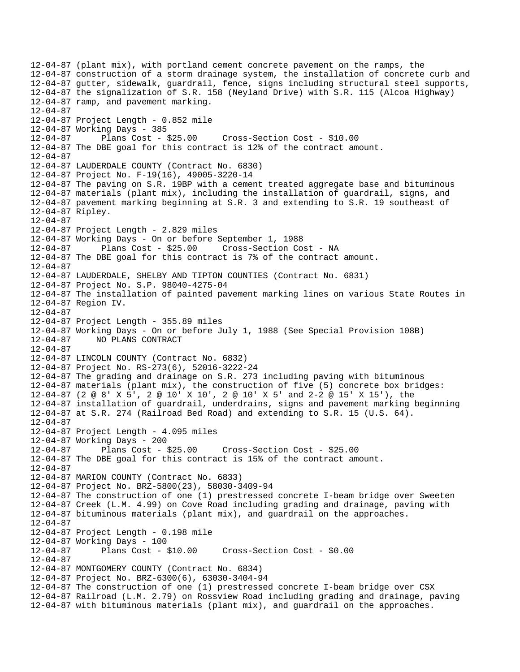12-04-87 (plant mix), with portland cement concrete pavement on the ramps, the 12-04-87 construction of a storm drainage system, the installation of concrete curb and 12-04-87 gutter, sidewalk, guardrail, fence, signs including structural steel supports, 12-04-87 the signalization of S.R. 158 (Neyland Drive) with S.R. 115 (Alcoa Highway) 12-04-87 ramp, and pavement marking. 12-04-87 12-04-87 Project Length - 0.852 mile 12-04-87 Working Days - 385 12-04-87 Plans Cost - \$25.00 Cross-Section Cost - \$10.00 12-04-87 The DBE goal for this contract is 12% of the contract amount. 12-04-87 12-04-87 LAUDERDALE COUNTY (Contract No. 6830) 12-04-87 Project No. F-19(16), 49005-3220-14 12-04-87 The paving on S.R. 19BP with a cement treated aggregate base and bituminous 12-04-87 materials (plant mix), including the installation of guardrail, signs, and 12-04-87 pavement marking beginning at S.R. 3 and extending to S.R. 19 southeast of 12-04-87 Ripley. 12-04-87 12-04-87 Project Length - 2.829 miles 12-04-87 Working Days - On or before September 1, 1988 12-04-87 Plans Cost - \$25.00 Cross-Section Cost - NA 12-04-87 The DBE goal for this contract is 7% of the contract amount. 12-04-87 12-04-87 LAUDERDALE, SHELBY AND TIPTON COUNTIES (Contract No. 6831) 12-04-87 Project No. S.P. 98040-4275-04 12-04-87 The installation of painted pavement marking lines on various State Routes in 12-04-87 Region IV. 12-04-87 12-04-87 Project Length - 355.89 miles 12-04-87 Working Days - On or before July 1, 1988 (See Special Provision 108B) 12-04-87 NO PLANS CONTRACT 12-04-87 12-04-87 LINCOLN COUNTY (Contract No. 6832) 12-04-87 Project No. RS-273(6), 52016-3222-24 12-04-87 The grading and drainage on S.R. 273 including paving with bituminous 12-04-87 materials (plant mix), the construction of five (5) concrete box bridges: 12-04-87 (2 @ 8' X 5', 2 @ 10' X 10', 2 @ 10' X 5' and 2-2 @ 15' X 15'), the 12-04-87 installation of guardrail, underdrains, signs and pavement marking beginning 12-04-87 at S.R. 274 (Railroad Bed Road) and extending to S.R. 15 (U.S. 64). 12-04-87 12-04-87 Project Length - 4.095 miles 12-04-87 Working Days - 200 12-04-87 Plans Cost - \$25.00 Cross-Section Cost - \$25.00 12-04-87 The DBE goal for this contract is 15% of the contract amount. 12-04-87 12-04-87 MARION COUNTY (Contract No. 6833) 12-04-87 Project No. BRZ-5800(23), 58030-3409-94 12-04-87 The construction of one (1) prestressed concrete I-beam bridge over Sweeten 12-04-87 Creek (L.M. 4.99) on Cove Road including grading and drainage, paving with 12-04-87 bituminous materials (plant mix), and guardrail on the approaches.  $12-04-87$ 12-04-87 Project Length - 0.198 mile 12-04-87 Working Days - 100 12-04-87 Plans Cost - \$10.00 Cross-Section Cost - \$0.00 12-04-87 12-04-87 MONTGOMERY COUNTY (Contract No. 6834) 12-04-87 Project No. BRZ-6300(6), 63030-3404-94 12-04-87 The construction of one (1) prestressed concrete I-beam bridge over CSX 12-04-87 Railroad (L.M. 2.79) on Rossview Road including grading and drainage, paving 12-04-87 with bituminous materials (plant mix), and guardrail on the approaches.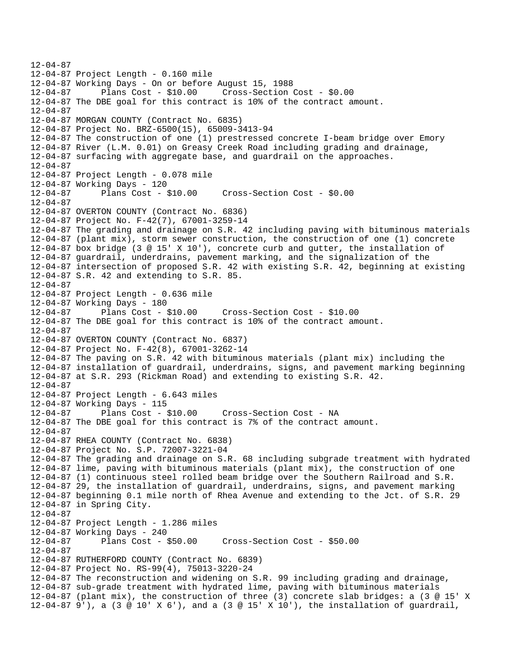12-04-87 12-04-87 Project Length - 0.160 mile 12-04-87 Working Days - On or before August 15, 1988 12-04-87 Plans Cost - \$10.00 Cross-Section Cost - \$0.00 12-04-87 The DBE goal for this contract is 10% of the contract amount. 12-04-87 12-04-87 MORGAN COUNTY (Contract No. 6835) 12-04-87 Project No. BRZ-6500(15), 65009-3413-94 12-04-87 The construction of one (1) prestressed concrete I-beam bridge over Emory 12-04-87 River (L.M. 0.01) on Greasy Creek Road including grading and drainage, 12-04-87 surfacing with aggregate base, and guardrail on the approaches. 12-04-87 12-04-87 Project Length - 0.078 mile 12-04-87 Working Days - 120 12-04-87 Plans Cost - \$10.00 Cross-Section Cost - \$0.00  $12 - 04 - 87$ 12-04-87 OVERTON COUNTY (Contract No. 6836) 12-04-87 Project No. F-42(7), 67001-3259-14 12-04-87 The grading and drainage on S.R. 42 including paving with bituminous materials 12-04-87 (plant mix), storm sewer construction, the construction of one (1) concrete 12-04-87 box bridge (3 @ 15' X 10'), concrete curb and gutter, the installation of 12-04-87 guardrail, underdrains, pavement marking, and the signalization of the 12-04-87 intersection of proposed S.R. 42 with existing S.R. 42, beginning at existing 12-04-87 S.R. 42 and extending to S.R. 85. 12-04-87 12-04-87 Project Length - 0.636 mile 12-04-87 Working Days - 180 12-04-87 Plans Cost - \$10.00 Cross-Section Cost - \$10.00 12-04-87 The DBE goal for this contract is 10% of the contract amount. 12-04-87 12-04-87 OVERTON COUNTY (Contract No. 6837) 12-04-87 Project No. F-42(8), 67001-3262-14 12-04-87 The paving on S.R. 42 with bituminous materials (plant mix) including the 12-04-87 installation of guardrail, underdrains, signs, and pavement marking beginning 12-04-87 at S.R. 293 (Rickman Road) and extending to existing S.R. 42. 12-04-87 12-04-87 Project Length - 6.643 miles 12-04-87 Working Days - 115 12-04-87 Plans Cost - \$10.00 Cross-Section Cost - NA 12-04-87 The DBE goal for this contract is 7% of the contract amount. 12-04-87 12-04-87 RHEA COUNTY (Contract No. 6838) 12-04-87 Project No. S.P. 72007-3221-04 12-04-87 The grading and drainage on S.R. 68 including subgrade treatment with hydrated 12-04-87 lime, paving with bituminous materials (plant mix), the construction of one 12-04-87 (1) continuous steel rolled beam bridge over the Southern Railroad and S.R. 12-04-87 29, the installation of guardrail, underdrains, signs, and pavement marking 12-04-87 beginning 0.1 mile north of Rhea Avenue and extending to the Jct. of S.R. 29 12-04-87 in Spring City. 12-04-87 12-04-87 Project Length - 1.286 miles 12-04-87 Working Days - 240 12-04-87 Plans Cost - \$50.00 Cross-Section Cost - \$50.00 12-04-87 12-04-87 RUTHERFORD COUNTY (Contract No. 6839) 12-04-87 Project No. RS-99(4), 75013-3220-24 12-04-87 The reconstruction and widening on S.R. 99 including grading and drainage, 12-04-87 sub-grade treatment with hydrated lime, paving with bituminous materials 12-04-87 (plant mix), the construction of three (3) concrete slab bridges: a (3 @ 15' X 12-04-87 9'), a (3 @ 10' X 6'), and a (3 @ 15' X 10'), the installation of guardrail,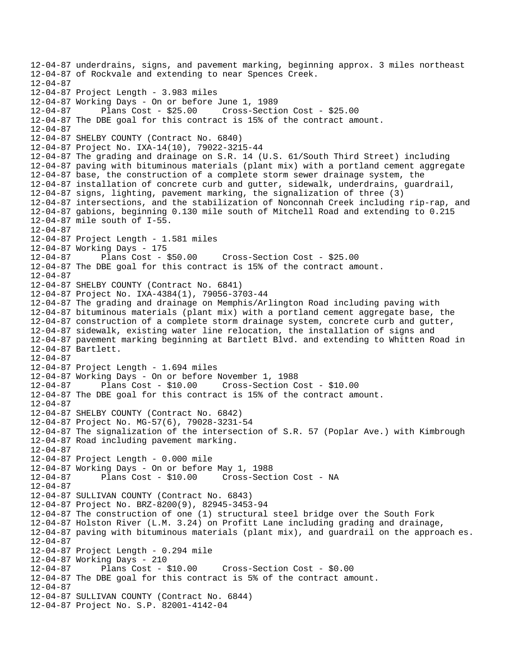```
12-04-87 underdrains, signs, and pavement marking, beginning approx. 3 miles northeast 
12-04-87 of Rockvale and extending to near Spences Creek. 
12-04-87 
12-04-87 Project Length - 3.983 miles 
12-04-87 Working Days - On or before June 1, 1989 
12-04-87 Plans Cost - $25.00 Cross-Section Cost - $25.00 
12-04-87 The DBE goal for this contract is 15% of the contract amount. 
12-04-87 
12-04-87 SHELBY COUNTY (Contract No. 6840) 
12-04-87 Project No. IXA-14(10), 79022-3215-44 
12-04-87 The grading and drainage on S.R. 14 (U.S. 61/South Third Street) including 
12-04-87 paving with bituminous materials (plant mix) with a portland cement aggregate 
12-04-87 base, the construction of a complete storm sewer drainage system, the 
12-04-87 installation of concrete curb and gutter, sidewalk, underdrains, guardrail, 
12-04-87 signs, lighting, pavement marking, the signalization of three (3) 
12-04-87 intersections, and the stabilization of Nonconnah Creek including rip-rap, and 
12-04-87 gabions, beginning 0.130 mile south of Mitchell Road and extending to 0.215 
12-04-87 mile south of I-55. 
12-04-87 
12-04-87 Project Length - 1.581 miles 
12-04-87 Working Days - 175 
12-04-87 Plans Cost - $50.00 Cross-Section Cost - $25.00 
12-04-87 The DBE goal for this contract is 15% of the contract amount. 
12-04-87 
12-04-87 SHELBY COUNTY (Contract No. 6841) 
12-04-87 Project No. IXA-4384(1), 79056-3703-44 
12-04-87 The grading and drainage on Memphis/Arlington Road including paving with 
12-04-87 bituminous materials (plant mix) with a portland cement aggregate base, the 
12-04-87 construction of a complete storm drainage system, concrete curb and gutter, 
12-04-87 sidewalk, existing water line relocation, the installation of signs and 
12-04-87 pavement marking beginning at Bartlett Blvd. and extending to Whitten Road in 
12-04-87 Bartlett. 
12-04-87 
12-04-87 Project Length - 1.694 miles 
12-04-87 Working Days - On or before November 1, 1988 
12-04-87 Plans Cost - $10.00 Cross-Section Cost - $10.00 
12-04-87 The DBE goal for this contract is 15% of the contract amount. 
12-04-87 
12-04-87 SHELBY COUNTY (Contract No. 6842) 
12-04-87 Project No. MG-57(6), 79028-3231-54 
12-04-87 The signalization of the intersection of S.R. 57 (Poplar Ave.) with Kimbrough 
12-04-87 Road including pavement marking. 
12-04-87 
12-04-87 Project Length - 0.000 mile 
12-04-87 Working Days - On or before May 1, 1988 
12-04-87 Plans Cost - $10.00 Cross-Section Cost - NA 
12-04-87 
12-04-87 SULLIVAN COUNTY (Contract No. 6843) 
12-04-87 Project No. BRZ-8200(9), 82945-3453-94 
12-04-87 The construction of one (1) structural steel bridge over the South Fork 
12-04-87 Holston River (L.M. 3.24) on Profitt Lane including grading and drainage, 
12-04-87 paving with bituminous materials (plant mix), and guardrail on the approach es. 
12-04-87 
12-04-87 Project Length - 0.294 mile 
12-04-87 Working Days - 210 
12-04-87 Plans Cost - $10.00 Cross-Section Cost - $0.00 
12-04-87 The DBE goal for this contract is 5% of the contract amount. 
12-04-87 
12-04-87 SULLIVAN COUNTY (Contract No. 6844) 
12-04-87 Project No. S.P. 82001-4142-04
```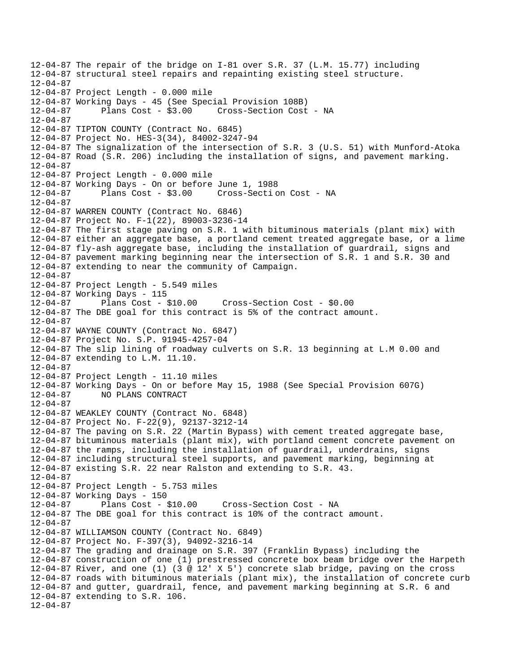```
12-04-87 The repair of the bridge on I-81 over S.R. 37 (L.M. 15.77) including 
12-04-87 structural steel repairs and repainting existing steel structure. 
12-04-87 
12-04-87 Project Length - 0.000 mile 
12-04-87 Working Days - 45 (See Special Provision 108B) 
12-04-87 Plans Cost - $3.00 Cross-Section Cost - NA 
12-04-87 
12-04-87 TIPTON COUNTY (Contract No. 6845) 
12-04-87 Project No. HES-3(34), 84002-3247-94 
12-04-87 The signalization of the intersection of S.R. 3 (U.S. 51) with Munford-Atoka 
12-04-87 Road (S.R. 206) including the installation of signs, and pavement marking. 
12-04-87 
12-04-87 Project Length - 0.000 mile 
12-04-87 Working Days - On or before June 1, 1988 
12-04-87 Plans Cost - $3.00 Cross-Secti on Cost - NA 
12-04-87 
12-04-87 WARREN COUNTY (Contract No. 6846) 
12-04-87 Project No. F-1(22), 89003-3236-14 
12-04-87 The first stage paving on S.R. 1 with bituminous materials (plant mix) with 
12-04-87 either an aggregate base, a portland cement treated aggregate base, or a lime 
12-04-87 fly-ash aggregate base, including the installation of guardrail, signs and 
12-04-87 pavement marking beginning near the intersection of S.R. 1 and S.R. 30 and 
12-04-87 extending to near the community of Campaign. 
12-04-87 
12-04-87 Project Length - 5.549 miles 
12-04-87 Working Days - 115 
12-04-87 Plans Cost - $10.00 Cross-Section Cost - $0.00 
12-04-87 The DBE goal for this contract is 5% of the contract amount. 
12-04-87 
12-04-87 WAYNE COUNTY (Contract No. 6847) 
12-04-87 Project No. S.P. 91945-4257-04 
12-04-87 The slip lining of roadway culverts on S.R. 13 beginning at L.M 0.00 and 
12-04-87 extending to L.M. 11.10. 
12-04-87 
12-04-87 Project Length - 11.10 miles 
12-04-87 Working Days - On or before May 15, 1988 (See Special Provision 607G) 
12-04-87 NO PLANS CONTRACT 
12-04-87 
12-04-87 WEAKLEY COUNTY (Contract No. 6848) 
12-04-87 Project No. F-22(9), 92137-3212-14 
12-04-87 The paving on S.R. 22 (Martin Bypass) with cement treated aggregate base, 
12-04-87 bituminous materials (plant mix), with portland cement concrete pavement on 
12-04-87 the ramps, including the installation of guardrail, underdrains, signs 
12-04-87 including structural steel supports, and pavement marking, beginning at 
12-04-87 existing S.R. 22 near Ralston and extending to S.R. 43. 
12-04-87 
12-04-87 Project Length - 5.753 miles 
12-04-87 Working Days - 150 
12-04-87 Plans Cost - $10.00 Cross-Section Cost - NA 
12-04-87 The DBE goal for this contract is 10% of the contract amount. 
12-04-87 
12-04-87 WILLIAMSON COUNTY (Contract No. 6849) 
12-04-87 Project No. F-397(3), 94092-3216-14 
12-04-87 The grading and drainage on S.R. 397 (Franklin Bypass) including the 
12-04-87 construction of one (1) prestressed concrete box beam bridge over the Harpeth 
12-04-87 River, and one (1) (3 @ 12' X 5') concrete slab bridge, paving on the cross 
12-04-87 roads with bituminous materials (plant mix), the installation of concrete curb 
12-04-87 and gutter, guardrail, fence, and pavement marking beginning at S.R. 6 and 
12-04-87 extending to S.R. 106. 
12-04-87
```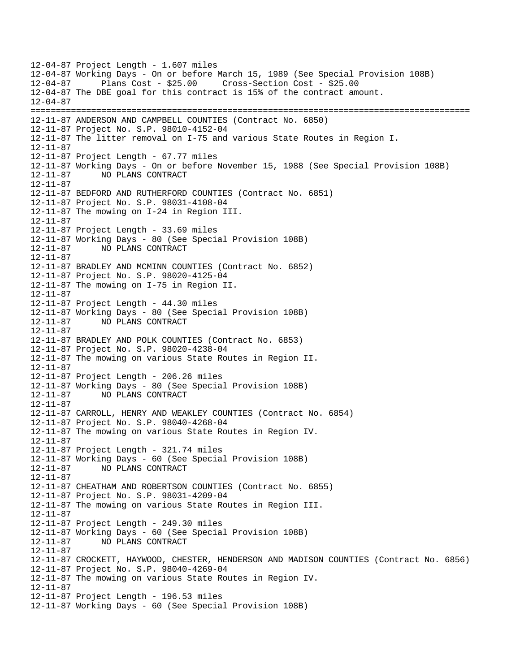12-04-87 Project Length - 1.607 miles 12-04-87 Working Days - On or before March 15, 1989 (See Special Provision 108B) 12-04-87 Plans Cost - \$25.00 Cross-Section Cost - \$25.00 12-04-87 The DBE goal for this contract is 15% of the contract amount. 12-04-87 ======================================================================================= 12-11-87 ANDERSON AND CAMPBELL COUNTIES (Contract No. 6850) 12-11-87 Project No. S.P. 98010-4152-04 12-11-87 The litter removal on I-75 and various State Routes in Region I. 12-11-87 12-11-87 Project Length - 67.77 miles 12-11-87 Working Days - On or before November 15, 1988 (See Special Provision 108B) 12-11-87 NO PLANS CONTRACT 12-11-87 12-11-87 BEDFORD AND RUTHERFORD COUNTIES (Contract No. 6851) 12-11-87 Project No. S.P. 98031-4108-04 12-11-87 The mowing on I-24 in Region III. 12-11-87 12-11-87 Project Length - 33.69 miles 12-11-87 Working Days - 80 (See Special Provision 108B) 12-11-87 NO PLANS CONTRACT 12-11-87 12-11-87 BRADLEY AND MCMINN COUNTIES (Contract No. 6852) 12-11-87 Project No. S.P. 98020-4125-04 12-11-87 The mowing on I-75 in Region II. 12-11-87 12-11-87 Project Length - 44.30 miles 12-11-87 Working Days - 80 (See Special Provision 108B) 12-11-87 NO PLANS CONTRACT 12-11-87 12-11-87 BRADLEY AND POLK COUNTIES (Contract No. 6853) 12-11-87 Project No. S.P. 98020-4238-04 12-11-87 The mowing on various State Routes in Region II. 12-11-87 12-11-87 Project Length - 206.26 miles 12-11-87 Working Days - 80 (See Special Provision 108B) 12-11-87 NO PLANS CONTRACT 12-11-87 12-11-87 CARROLL, HENRY AND WEAKLEY COUNTIES (Contract No. 6854) 12-11-87 Project No. S.P. 98040-4268-04 12-11-87 The mowing on various State Routes in Region IV. 12-11-87 12-11-87 Project Length - 321.74 miles 12-11-87 Working Days - 60 (See Special Provision 108B) 12-11-87 NO PLANS CONTRACT 12-11-87 12-11-87 CHEATHAM AND ROBERTSON COUNTIES (Contract No. 6855) 12-11-87 Project No. S.P. 98031-4209-04 12-11-87 The mowing on various State Routes in Region III. 12-11-87 12-11-87 Project Length - 249.30 miles 12-11-87 Working Days - 60 (See Special Provision 108B) 12-11-87 NO PLANS CONTRACT 12-11-87 12-11-87 CROCKETT, HAYWOOD, CHESTER, HENDERSON AND MADISON COUNTIES (Contract No. 6856) 12-11-87 Project No. S.P. 98040-4269-04 12-11-87 The mowing on various State Routes in Region IV. 12-11-87 12-11-87 Project Length - 196.53 miles 12-11-87 Working Days - 60 (See Special Provision 108B)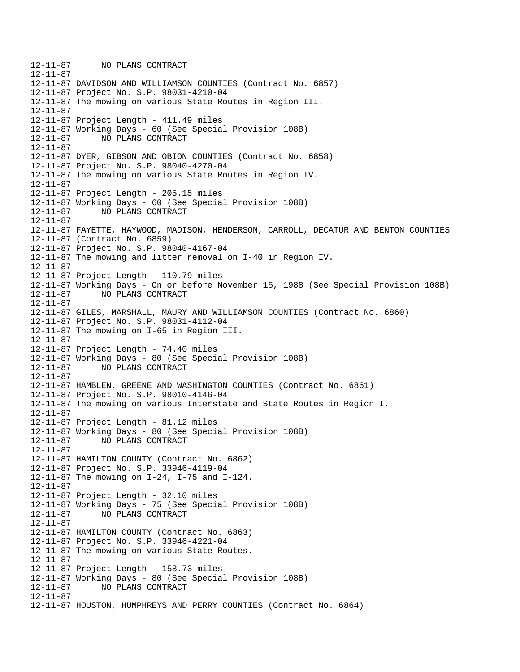12-11-87 NO PLANS CONTRACT 12-11-87 12-11-87 DAVIDSON AND WILLIAMSON COUNTIES (Contract No. 6857) 12-11-87 Project No. S.P. 98031-4210-04 12-11-87 The mowing on various State Routes in Region III. 12-11-87 12-11-87 Project Length - 411.49 miles 12-11-87 Working Days - 60 (See Special Provision 108B) 12-11-87 NO PLANS CONTRACT 12-11-87 12-11-87 DYER, GIBSON AND OBION COUNTIES (Contract No. 6858) 12-11-87 Project No. S.P. 98040-4270-04 12-11-87 The mowing on various State Routes in Region IV. 12-11-87 12-11-87 Project Length - 205.15 miles 12-11-87 Working Days - 60 (See Special Provision 108B) 12-11-87 NO PLANS CONTRACT 12-11-87 12-11-87 FAYETTE, HAYWOOD, MADISON, HENDERSON, CARROLL, DECATUR AND BENTON COUNTIES 12-11-87 (Contract No. 6859) 12-11-87 Project No. S.P. 98040-4167-04 12-11-87 The mowing and litter removal on I-40 in Region IV. 12-11-87 12-11-87 Project Length - 110.79 miles 12-11-87 Working Days - On or before November 15, 1988 (See Special Provision 108B) 12-11-87 NO PLANS CONTRACT 12-11-87 12-11-87 GILES, MARSHALL, MAURY AND WILLIAMSON COUNTIES (Contract No. 6860) 12-11-87 Project No. S.P. 98031-4112-04 12-11-87 The mowing on I-65 in Region III. 12-11-87 12-11-87 Project Length - 74.40 miles 12-11-87 Working Days - 80 (See Special Provision 108B) 12-11-87 NO PLANS CONTRACT 12-11-87 12-11-87 HAMBLEN, GREENE AND WASHINGTON COUNTIES (Contract No. 6861) 12-11-87 Project No. S.P. 98010-4146-04 12-11-87 The mowing on various Interstate and State Routes in Region I. 12-11-87 12-11-87 Project Length - 81.12 miles 12-11-87 Working Days - 80 (See Special Provision 108B) 12-11-87 NO PLANS CONTRACT 12-11-87 12-11-87 HAMILTON COUNTY (Contract No. 6862) 12-11-87 Project No. S.P. 33946-4119-04 12-11-87 The mowing on I-24, I-75 and I-124. 12-11-87 12-11-87 Project Length - 32.10 miles 12-11-87 Working Days - 75 (See Special Provision 108B) 12-11-87 NO PLANS CONTRACT 12-11-87 12-11-87 HAMILTON COUNTY (Contract No. 6863) 12-11-87 Project No. S.P. 33946-4221-04 12-11-87 The mowing on various State Routes. 12-11-87 12-11-87 Project Length - 158.73 miles 12-11-87 Working Days - 80 (See Special Provision 108B) NO PLANS CONTRACT 12-11-87 12-11-87 HOUSTON, HUMPHREYS AND PERRY COUNTIES (Contract No. 6864)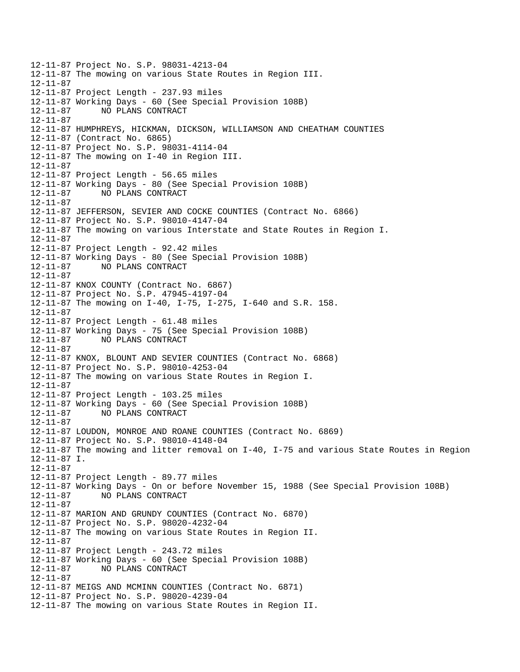12-11-87 Project No. S.P. 98031-4213-04 12-11-87 The mowing on various State Routes in Region III. 12-11-87 12-11-87 Project Length - 237.93 miles 12-11-87 Working Days - 60 (See Special Provision 108B) 12-11-87 NO PLANS CONTRACT 12-11-87 12-11-87 HUMPHREYS, HICKMAN, DICKSON, WILLIAMSON AND CHEATHAM COUNTIES 12-11-87 (Contract No. 6865) 12-11-87 Project No. S.P. 98031-4114-04 12-11-87 The mowing on I-40 in Region III. 12-11-87 12-11-87 Project Length - 56.65 miles 12-11-87 Working Days - 80 (See Special Provision 108B) 12-11-87 NO PLANS CONTRACT 12-11-87 12-11-87 JEFFERSON, SEVIER AND COCKE COUNTIES (Contract No. 6866) 12-11-87 Project No. S.P. 98010-4147-04 12-11-87 The mowing on various Interstate and State Routes in Region I. 12-11-87 12-11-87 Project Length - 92.42 miles 12-11-87 Working Days - 80 (See Special Provision 108B) 12-11-87 NO PLANS CONTRACT 12-11-87 12-11-87 KNOX COUNTY (Contract No. 6867) 12-11-87 Project No. S.P. 47945-4197-04 12-11-87 The mowing on I-40, I-75, I-275, I-640 and S.R. 158. 12-11-87 12-11-87 Project Length - 61.48 miles 12-11-87 Working Days - 75 (See Special Provision 108B) 12-11-87 NO PLANS CONTRACT 12-11-87 12-11-87 KNOX, BLOUNT AND SEVIER COUNTIES (Contract No. 6868) 12-11-87 Project No. S.P. 98010-4253-04 12-11-87 The mowing on various State Routes in Region I. 12-11-87 12-11-87 Project Length - 103.25 miles 12-11-87 Working Days - 60 (See Special Provision 108B) 12-11-87 NO PLANS CONTRACT 12-11-87 12-11-87 LOUDON, MONROE AND ROANE COUNTIES (Contract No. 6869) 12-11-87 Project No. S.P. 98010-4148-04 12-11-87 The mowing and litter removal on I-40, I-75 and various State Routes in Region 12-11-87 I. 12-11-87 12-11-87 Project Length - 89.77 miles 12-11-87 Working Days - On or before November 15, 1988 (See Special Provision 108B) 12-11-87 NO PLANS CONTRACT 12-11-87 12-11-87 MARION AND GRUNDY COUNTIES (Contract No. 6870) 12-11-87 Project No. S.P. 98020-4232-04 12-11-87 The mowing on various State Routes in Region II. 12-11-87 12-11-87 Project Length - 243.72 miles 12-11-87 Working Days - 60 (See Special Provision 108B) 12-11-87 NO PLANS CONTRACT 12-11-87 12-11-87 MEIGS AND MCMINN COUNTIES (Contract No. 6871) 12-11-87 Project No. S.P. 98020-4239-04 12-11-87 The mowing on various State Routes in Region II.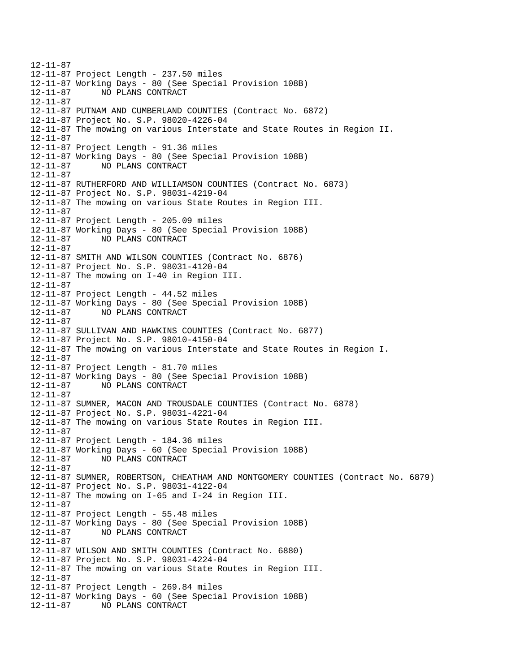12-11-87 12-11-87 Project Length - 237.50 miles 12-11-87 Working Days - 80 (See Special Provision 108B) 12-11-87 NO PLANS CONTRACT 12-11-87 12-11-87 PUTNAM AND CUMBERLAND COUNTIES (Contract No. 6872) 12-11-87 Project No. S.P. 98020-4226-04 12-11-87 The mowing on various Interstate and State Routes in Region II. 12-11-87 12-11-87 Project Length - 91.36 miles 12-11-87 Working Days - 80 (See Special Provision 108B) 12-11-87 NO PLANS CONTRACT 12-11-87 12-11-87 RUTHERFORD AND WILLIAMSON COUNTIES (Contract No. 6873) 12-11-87 Project No. S.P. 98031-4219-04 12-11-87 The mowing on various State Routes in Region III. 12-11-87 12-11-87 Project Length - 205.09 miles 12-11-87 Working Days - 80 (See Special Provision 108B) 12-11-87 NO PLANS CONTRACT 12-11-87 12-11-87 SMITH AND WILSON COUNTIES (Contract No. 6876) 12-11-87 Project No. S.P. 98031-4120-04 12-11-87 The mowing on I-40 in Region III. 12-11-87 12-11-87 Project Length - 44.52 miles 12-11-87 Working Days - 80 (See Special Provision 108B) 12-11-87 NO PLANS CONTRACT 12-11-87 12-11-87 SULLIVAN AND HAWKINS COUNTIES (Contract No. 6877) 12-11-87 Project No. S.P. 98010-4150-04 12-11-87 The mowing on various Interstate and State Routes in Region I. 12-11-87 12-11-87 Project Length - 81.70 miles 12-11-87 Working Days - 80 (See Special Provision 108B) 12-11-87 NO PLANS CONTRACT 12-11-87 12-11-87 SUMNER, MACON AND TROUSDALE COUNTIES (Contract No. 6878) 12-11-87 Project No. S.P. 98031-4221-04 12-11-87 The mowing on various State Routes in Region III. 12-11-87 12-11-87 Project Length - 184.36 miles 12-11-87 Working Days - 60 (See Special Provision 108B) 12-11-87 NO PLANS CONTRACT 12-11-87 12-11-87 SUMNER, ROBERTSON, CHEATHAM AND MONTGOMERY COUNTIES (Contract No. 6879) 12-11-87 Project No. S.P. 98031-4122-04 12-11-87 The mowing on I-65 and I-24 in Region III. 12-11-87 12-11-87 Project Length - 55.48 miles 12-11-87 Working Days - 80 (See Special Provision 108B) 12-11-87 NO PLANS CONTRACT 12-11-87 12-11-87 WILSON AND SMITH COUNTIES (Contract No. 6880) 12-11-87 Project No. S.P. 98031-4224-04 12-11-87 The mowing on various State Routes in Region III. 12-11-87 12-11-87 Project Length - 269.84 miles 12-11-87 Working Days - 60 (See Special Provision 108B) 12-11-87 NO PLANS CONTRACT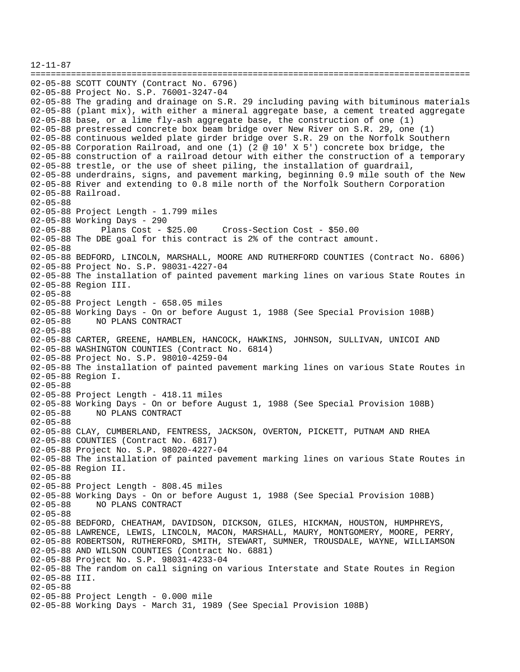12-11-87 ======================================================================================= 02-05-88 SCOTT COUNTY (Contract No. 6796) 02-05-88 Project No. S.P. 76001-3247-04 02-05-88 The grading and drainage on S.R. 29 including paving with bituminous materials 02-05-88 (plant mix), with either a mineral aggregate base, a cement treated aggregate 02-05-88 base, or a lime fly-ash aggregate base, the construction of one (1) 02-05-88 prestressed concrete box beam bridge over New River on S.R. 29, one (1) 02-05-88 continuous welded plate girder bridge over S.R. 29 on the Norfolk Southern 02-05-88 Corporation Railroad, and one (1) (2 @ 10' X 5') concrete box bridge, the 02-05-88 construction of a railroad detour with either the construction of a temporary 02-05-88 trestle, or the use of sheet piling, the installation of guardrail, 02-05-88 underdrains, signs, and pavement marking, beginning 0.9 mile south of the New 02-05-88 River and extending to 0.8 mile north of the Norfolk Southern Corporation 02-05-88 Railroad. 02-05-88 02-05-88 Project Length - 1.799 miles 02-05-88 Working Days - 290 02-05-88 Plans Cost - \$25.00 Cross-Section Cost - \$50.00 02-05-88 The DBE goal for this contract is 2% of the contract amount. 02-05-88 02-05-88 BEDFORD, LINCOLN, MARSHALL, MOORE AND RUTHERFORD COUNTIES (Contract No. 6806) 02-05-88 Project No. S.P. 98031-4227-04 02-05-88 The installation of painted pavement marking lines on various State Routes in 02-05-88 Region III. 02-05-88 02-05-88 Project Length - 658.05 miles 02-05-88 Working Days - On or before August 1, 1988 (See Special Provision 108B) 02-05-88 NO PLANS CONTRACT 02-05-88 02-05-88 CARTER, GREENE, HAMBLEN, HANCOCK, HAWKINS, JOHNSON, SULLIVAN, UNICOI AND 02-05-88 WASHINGTON COUNTIES (Contract No. 6814) 02-05-88 Project No. S.P. 98010-4259-04 02-05-88 The installation of painted pavement marking lines on various State Routes in 02-05-88 Region I. 02-05-88 02-05-88 Project Length - 418.11 miles 02-05-88 Working Days - On or before August 1, 1988 (See Special Provision 108B) 02-05-88 NO PLANS CONTRACT 02-05-88 02-05-88 CLAY, CUMBERLAND, FENTRESS, JACKSON, OVERTON, PICKETT, PUTNAM AND RHEA 02-05-88 COUNTIES (Contract No. 6817) 02-05-88 Project No. S.P. 98020-4227-04 02-05-88 The installation of painted pavement marking lines on various State Routes in 02-05-88 Region II. 02-05-88 02-05-88 Project Length - 808.45 miles 02-05-88 Working Days - On or before August 1, 1988 (See Special Provision 108B)<br>02-05-88 NO PLANS CONTRACT 02-05-88 NO PLANS CONTRACT 02-05-88 02-05-88 BEDFORD, CHEATHAM, DAVIDSON, DICKSON, GILES, HICKMAN, HOUSTON, HUMPHREYS, 02-05-88 LAWRENCE, LEWIS, LINCOLN, MACON, MARSHALL, MAURY, MONTGOMERY, MOORE, PERRY, 02-05-88 ROBERTSON, RUTHERFORD, SMITH, STEWART, SUMNER, TROUSDALE, WAYNE, WILLIAMSON 02-05-88 AND WILSON COUNTIES (Contract No. 6881) 02-05-88 Project No. S.P. 98031-4233-04 02-05-88 The random on call signing on various Interstate and State Routes in Region 02-05-88 III. 02-05-88 02-05-88 Project Length - 0.000 mile 02-05-88 Working Days - March 31, 1989 (See Special Provision 108B)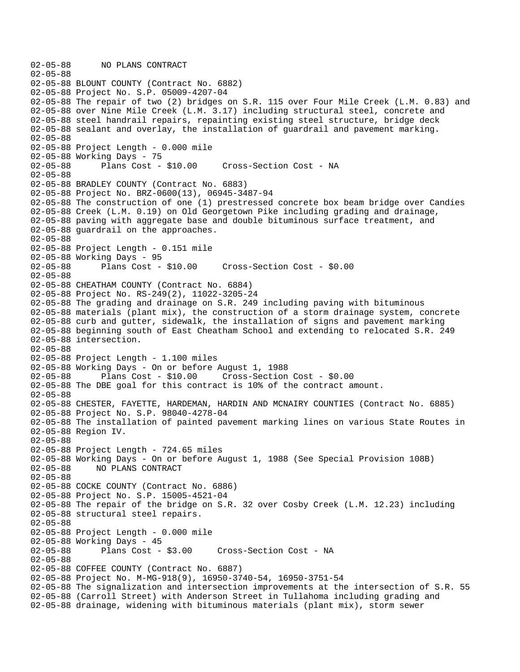02-05-88 NO PLANS CONTRACT 02-05-88 02-05-88 BLOUNT COUNTY (Contract No. 6882) 02-05-88 Project No. S.P. 05009-4207-04 02-05-88 The repair of two (2) bridges on S.R. 115 over Four Mile Creek (L.M. 0.83) and 02-05-88 over Nine Mile Creek (L.M. 3.17) including structural steel, concrete and 02-05-88 steel handrail repairs, repainting existing steel structure, bridge deck 02-05-88 sealant and overlay, the installation of guardrail and pavement marking. 02-05-88 02-05-88 Project Length - 0.000 mile 02-05-88 Working Days - 75 02-05-88 Plans Cost - \$10.00 Cross-Section Cost - NA 02-05-88 02-05-88 BRADLEY COUNTY (Contract No. 6883) 02-05-88 Project No. BRZ-0600(13), 06945-3487-94 02-05-88 The construction of one (1) prestressed concrete box beam bridge over Candies 02-05-88 Creek (L.M. 0.19) on Old Georgetown Pike including grading and drainage, 02-05-88 paving with aggregate base and double bituminous surface treatment, and 02-05-88 guardrail on the approaches. 02-05-88 02-05-88 Project Length - 0.151 mile 02-05-88 Working Days - 95<br>02-05-88 Plans Cost - \$10.00 02-05-88 Plans Cost - \$10.00 Cross-Section Cost - \$0.00 02-05-88 02-05-88 CHEATHAM COUNTY (Contract No. 6884) 02-05-88 Project No. RS-249(2), 11022-3205-24 02-05-88 The grading and drainage on S.R. 249 including paving with bituminous 02-05-88 materials (plant mix), the construction of a storm drainage system, concrete 02-05-88 curb and gutter, sidewalk, the installation of signs and pavement marking 02-05-88 beginning south of East Cheatham School and extending to relocated S.R. 249 02-05-88 intersection. 02-05-88 02-05-88 Project Length - 1.100 miles 02-05-88 Working Days - On or before August 1, 1988 02-05-88 Plans Cost - \$10.00 Cross-Section Cost - \$0.00 02-05-88 The DBE goal for this contract is 10% of the contract amount. 02-05-88 02-05-88 CHESTER, FAYETTE, HARDEMAN, HARDIN AND MCNAIRY COUNTIES (Contract No. 6885) 02-05-88 Project No. S.P. 98040-4278-04 02-05-88 The installation of painted pavement marking lines on various State Routes in 02-05-88 Region IV. 02-05-88 02-05-88 Project Length - 724.65 miles 02-05-88 Working Days - On or before August 1, 1988 (See Special Provision 108B) 02-05-88 NO PLANS CONTRACT 02-05-88 02-05-88 COCKE COUNTY (Contract No. 6886) 02-05-88 Project No. S.P. 15005-4521-04 02-05-88 The repair of the bridge on S.R. 32 over Cosby Creek (L.M. 12.23) including 02-05-88 structural steel repairs. 02-05-88 02-05-88 Project Length - 0.000 mile 02-05-88 Working Days - 45 02-05-88 Plans Cost - \$3.00 Cross-Section Cost - NA 02-05-88 02-05-88 COFFEE COUNTY (Contract No. 6887) 02-05-88 Project No. M-MG-918(9), 16950-3740-54, 16950-3751-54 02-05-88 The signalization and intersection improvements at the intersection of S.R. 55 02-05-88 (Carroll Street) with Anderson Street in Tullahoma including grading and 02-05-88 drainage, widening with bituminous materials (plant mix), storm sewer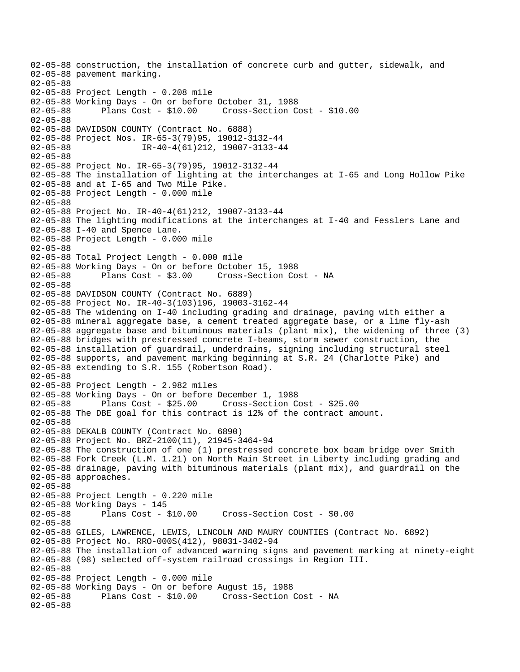```
02-05-88 construction, the installation of concrete curb and gutter, sidewalk, and 
02-05-88 pavement marking. 
02-05-88 
02-05-88 Project Length - 0.208 mile 
02-05-88 Working Days - On or before October 31, 1988 
02-05-88 Plans Cost - $10.00 Cross-Section Cost - $10.00 
02-05-88 
02-05-88 DAVIDSON COUNTY (Contract No. 6888) 
02-05-88 Project Nos. IR-65-3(79)95, 19012-3132-44 
02-05-88 IR-40-4(61)212, 19007-3133-44 
02-05-88 
02-05-88 Project No. IR-65-3(79)95, 19012-3132-44 
02-05-88 The installation of lighting at the interchanges at I-65 and Long Hollow Pike 
02-05-88 and at I-65 and Two Mile Pike. 
02-05-88 Project Length - 0.000 mile 
02-05-88 
02-05-88 Project No. IR-40-4(61)212, 19007-3133-44 
02-05-88 The lighting modifications at the interchanges at I-40 and Fesslers Lane and 
02-05-88 I-40 and Spence Lane. 
02-05-88 Project Length - 0.000 mile 
02-05-88 
02-05-88 Total Project Length - 0.000 mile 
02-05-88 Working Days - On or before October 15, 1988 
02-05-88 Plans Cost - $3.00 Cross-Section Cost - NA 
02-05-88 
02-05-88 DAVIDSON COUNTY (Contract No. 6889) 
02-05-88 Project No. IR-40-3(103)196, 19003-3162-44 
02-05-88 The widening on I-40 including grading and drainage, paving with either a 
02-05-88 mineral aggregate base, a cement treated aggregate base, or a lime fly-ash 
02-05-88 aggregate base and bituminous materials (plant mix), the widening of three (3) 
02-05-88 bridges with prestressed concrete I-beams, storm sewer construction, the 
02-05-88 installation of guardrail, underdrains, signing including structural steel 
02-05-88 supports, and pavement marking beginning at S.R. 24 (Charlotte Pike) and 
02-05-88 extending to S.R. 155 (Robertson Road). 
02-05-88 
02-05-88 Project Length - 2.982 miles 
02-05-88 Working Days - On or before December 1, 1988 
02-05-88 Plans Cost - $25.00 Cross-Section Cost - $25.00 
02-05-88 The DBE goal for this contract is 12% of the contract amount. 
02-05-88 
02-05-88 DEKALB COUNTY (Contract No. 6890) 
02-05-88 Project No. BRZ-2100(11), 21945-3464-94 
02-05-88 The construction of one (1) prestressed concrete box beam bridge over Smith 
02-05-88 Fork Creek (L.M. 1.21) on North Main Street in Liberty including grading and 
02-05-88 drainage, paving with bituminous materials (plant mix), and guardrail on the 
02-05-88 approaches. 
02-05-88 
02-05-88 Project Length - 0.220 mile
02-05-88 Working Days - 145 
02-05-88 Plans Cost - $10.00 Cross-Section Cost - $0.00 
02-05-88 
02-05-88 GILES, LAWRENCE, LEWIS, LINCOLN AND MAURY COUNTIES (Contract No. 6892) 
02-05-88 Project No. RRO-000S(412), 98031-3402-94 
02-05-88 The installation of advanced warning signs and pavement marking at ninety-eight 
02-05-88 (98) selected off-system railroad crossings in Region III. 
02-05-88 
02-05-88 Project Length - 0.000 mile 
02-05-88 Working Days - On or before August 15, 1988 
                                   Cross-Section Cost - NA
02-05-88
```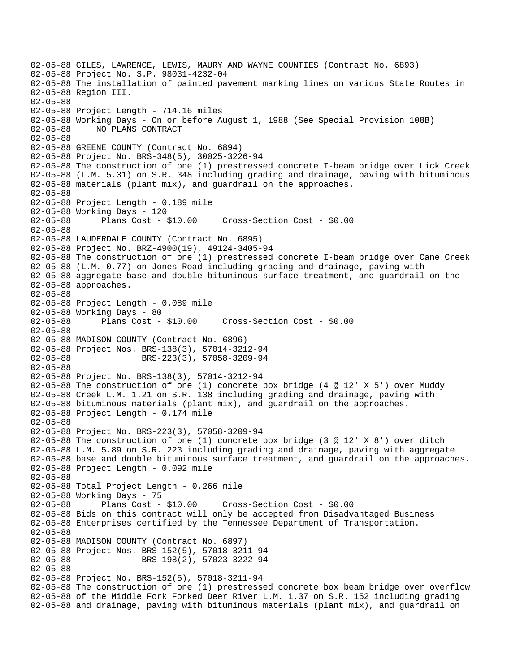02-05-88 GILES, LAWRENCE, LEWIS, MAURY AND WAYNE COUNTIES (Contract No. 6893) 02-05-88 Project No. S.P. 98031-4232-04 02-05-88 The installation of painted pavement marking lines on various State Routes in 02-05-88 Region III. 02-05-88 02-05-88 Project Length - 714.16 miles 02-05-88 Working Days - On or before August 1, 1988 (See Special Provision 108B) 02-05-88 NO PLANS CONTRACT 02-05-88 02-05-88 GREENE COUNTY (Contract No. 6894) 02-05-88 Project No. BRS-348(5), 30025-3226-94 02-05-88 The construction of one (1) prestressed concrete I-beam bridge over Lick Creek 02-05-88 (L.M. 5.31) on S.R. 348 including grading and drainage, paving with bituminous 02-05-88 materials (plant mix), and guardrail on the approaches. 02-05-88 02-05-88 Project Length - 0.189 mile 02-05-88 Working Days - 120 02-05-88 Plans Cost - \$10.00 Cross-Section Cost - \$0.00 02-05-88 02-05-88 LAUDERDALE COUNTY (Contract No. 6895) 02-05-88 Project No. BRZ-4900(19), 49124-3405-94 02-05-88 The construction of one (1) prestressed concrete I-beam bridge over Cane Creek 02-05-88 (L.M. 0.77) on Jones Road including grading and drainage, paving with 02-05-88 aggregate base and double bituminous surface treatment, and guardrail on the 02-05-88 approaches. 02-05-88 02-05-88 Project Length - 0.089 mile 02-05-88 Working Days - 80 02-05-88 Plans Cost - \$10.00 Cross-Section Cost - \$0.00 02-05-88 02-05-88 MADISON COUNTY (Contract No. 6896) 02-05-88 Project Nos. BRS-138(3), 57014-3212-94<br>02-05-88 BRS-223(3), 57058-3209-94 02-05-88 BRS-223(3), 57058-3209-94 02-05-88 02-05-88 Project No. BRS-138(3), 57014-3212-94 02-05-88 The construction of one (1) concrete box bridge (4 @ 12' X 5') over Muddy 02-05-88 Creek L.M. 1.21 on S.R. 138 including grading and drainage, paving with 02-05-88 bituminous materials (plant mix), and guardrail on the approaches. 02-05-88 Project Length - 0.174 mile 02-05-88 02-05-88 Project No. BRS-223(3), 57058-3209-94 02-05-88 The construction of one (1) concrete box bridge (3 @ 12' X 8') over ditch 02-05-88 L.M. 5.89 on S.R. 223 including grading and drainage, paving with aggregate 02-05-88 base and double bituminous surface treatment, and guardrail on the approaches. 02-05-88 Project Length - 0.092 mile 02-05-88 02-05-88 Total Project Length - 0.266 mile 02-05-88 Working Days - 75<br>02-05-88 Plans Cost - \$10.00 02-05-88 Plans Cost - \$10.00 Cross-Section Cost - \$0.00 02-05-88 Bids on this contract will only be accepted from Disadvantaged Business 02-05-88 Enterprises certified by the Tennessee Department of Transportation. 02-05-88 02-05-88 MADISON COUNTY (Contract No. 6897) 02-05-88 Project Nos. BRS-152(5), 57018-3211-94<br>02-05-88 BRS-198(2), 57023-3222-94 02-05-88 BRS-198(2), 57023-3222-94 02-05-88 02-05-88 Project No. BRS-152(5), 57018-3211-94 02-05-88 The construction of one (1) prestressed concrete box beam bridge over overflow 02-05-88 of the Middle Fork Forked Deer River L.M. 1.37 on S.R. 152 including grading 02-05-88 and drainage, paving with bituminous materials (plant mix), and guardrail on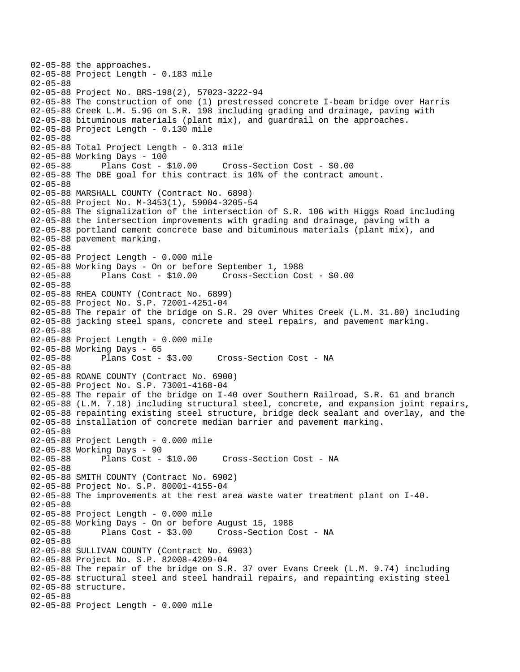```
02-05-88 the approaches. 
02-05-88 Project Length - 0.183 mile 
02-05-88 
02-05-88 Project No. BRS-198(2), 57023-3222-94 
02-05-88 The construction of one (1) prestressed concrete I-beam bridge over Harris 
02-05-88 Creek L.M. 5.96 on S.R. 198 including grading and drainage, paving with 
02-05-88 bituminous materials (plant mix), and guardrail on the approaches. 
02-05-88 Project Length - 0.130 mile 
02-05-88 
02-05-88 Total Project Length - 0.313 mile 
02-05-88 Working Days - 100 
02-05-88 Plans Cost - $10.00 Cross-Section Cost - $0.00 
02-05-88 The DBE goal for this contract is 10% of the contract amount. 
02-05-88 
02-05-88 MARSHALL COUNTY (Contract No. 6898) 
02-05-88 Project No. M-3453(1), 59004-3205-54 
02-05-88 The signalization of the intersection of S.R. 106 with Higgs Road including 
02-05-88 the intersection improvements with grading and drainage, paving with a 
02-05-88 portland cement concrete base and bituminous materials (plant mix), and 
02-05-88 pavement marking. 
02-05-88 
02-05-88 Project Length - 0.000 mile 
02-05-88 Working Days - On or before September 1, 1988 
02-05-88 Plans Cost - $10.00 Cross-Section Cost - $0.00 
02-05-88 
02-05-88 RHEA COUNTY (Contract No. 6899) 
02-05-88 Project No. S.P. 72001-4251-04 
02-05-88 The repair of the bridge on S.R. 29 over Whites Creek (L.M. 31.80) including 
02-05-88 jacking steel spans, concrete and steel repairs, and pavement marking. 
02-05-88 
02-05-88 Project Length - 0.000 mile 
02-05-88 Working Days - 65<br>02-05-88 Plans Cost - $3.00
                                     Cross-Section Cost - NA
02-05-88 
02-05-88 ROANE COUNTY (Contract No. 6900) 
02-05-88 Project No. S.P. 73001-4168-04 
02-05-88 The repair of the bridge on I-40 over Southern Railroad, S.R. 61 and branch 
02-05-88 (L.M. 7.18) including structural steel, concrete, and expansion joint repairs, 
02-05-88 repainting existing steel structure, bridge deck sealant and overlay, and the 
02-05-88 installation of concrete median barrier and pavement marking. 
02-05-88 
02-05-88 Project Length - 0.000 mile 
02-05-88 Working Days - 90 
02-05-88 Plans Cost - $10.00 Cross-Section Cost - NA 
02-05-88 
02-05-88 SMITH COUNTY (Contract No. 6902) 
02-05-88 Project No. S.P. 80001-4155-04 
02-05-88 The improvements at the rest area waste water treatment plant on I-40. 
02-05-88 
02-05-88 Project Length - 0.000 mile 
02-05-88 Working Days - On or before August 15, 1988 
02-05-88 Plans Cost - $3.00 Cross-Section Cost - NA 
02-05-88 
02-05-88 SULLIVAN COUNTY (Contract No. 6903) 
02-05-88 Project No. S.P. 82008-4209-04 
02-05-88 The repair of the bridge on S.R. 37 over Evans Creek (L.M. 9.74) including 
02-05-88 structural steel and steel handrail repairs, and repainting existing steel 
02-05-88 structure. 
02-05-88 
02-05-88 Project Length - 0.000 mile
```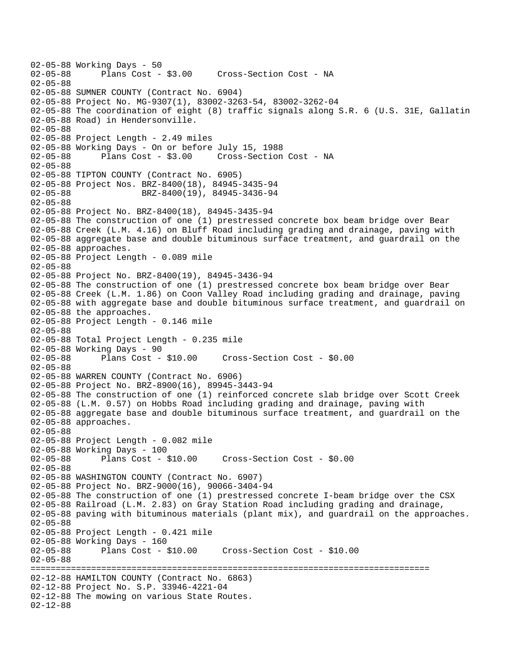```
02-05-88 Working Days - 50 
              Plans Cost - $3.00 Cross-Section Cost - NA
02-05-88 
02-05-88 SUMNER COUNTY (Contract No. 6904) 
02-05-88 Project No. MG-9307(1), 83002-3263-54, 83002-3262-04 
02-05-88 The coordination of eight (8) traffic signals along S.R. 6 (U.S. 31E, Gallatin 
02-05-88 Road) in Hendersonville. 
02-05-88 
02-05-88 Project Length - 2.49 miles
02-05-88 Working Days - On or before July 15, 1988 
02-05-88 Plans Cost - $3.00 Cross-Section Cost - NA 
02-05-88 
02-05-88 TIPTON COUNTY (Contract No. 6905) 
02-05-88 Project Nos. BRZ-8400(18), 84945-3435-94 
02-05-88 BRZ-8400(19), 84945-3436-94 
02-05-88 
02-05-88 Project No. BRZ-8400(18), 84945-3435-94 
02-05-88 The construction of one (1) prestressed concrete box beam bridge over Bear 
02-05-88 Creek (L.M. 4.16) on Bluff Road including grading and drainage, paving with 
02-05-88 aggregate base and double bituminous surface treatment, and guardrail on the 
02-05-88 approaches. 
02-05-88 Project Length - 0.089 mile 
02-05-88 
02-05-88 Project No. BRZ-8400(19), 84945-3436-94 
02-05-88 The construction of one (1) prestressed concrete box beam bridge over Bear 
02-05-88 Creek (L.M. 1.86) on Coon Valley Road including grading and drainage, paving 
02-05-88 with aggregate base and double bituminous surface treatment, and guardrail on 
02-05-88 the approaches. 
02-05-88 Project Length - 0.146 mile 
02-05-88 
02-05-88 Total Project Length - 0.235 mile 
02-05-88 Working Days - 90 
                                     02-05-88 Plans Cost - $10.00 Cross-Section Cost - $0.00 
02-05-88 
02-05-88 WARREN COUNTY (Contract No. 6906) 
02-05-88 Project No. BRZ-8900(16), 89945-3443-94 
02-05-88 The construction of one (1) reinforced concrete slab bridge over Scott Creek 
02-05-88 (L.M. 0.57) on Hobbs Road including grading and drainage, paving with 
02-05-88 aggregate base and double bituminous surface treatment, and guardrail on the 
02-05-88 approaches. 
02-05-88 
02-05-88 Project Length - 0.082 mile 
02-05-88 Working Days - 100 
02-05-88 Plans Cost - $10.00 Cross-Section Cost - $0.00 
02-05-88 
02-05-88 WASHINGTON COUNTY (Contract No. 6907) 
02-05-88 Project No. BRZ-9000(16), 90066-3404-94 
02-05-88 The construction of one (1) prestressed concrete I-beam bridge over the CSX 
02-05-88 Railroad (L.M. 2.83) on Gray Station Road including grading and drainage, 
02-05-88 paving with bituminous materials (plant mix), and guardrail on the approaches. 
02-05-88 
02-05-88 Project Length - 0.421 mile 
02-05-88 Working Days - 160 
02-05-88 Plans Cost - $10.00 Cross-Section Cost - $10.00 
02-05-88 
=============================================================================== 
02-12-88 HAMILTON COUNTY (Contract No. 6863) 
02-12-88 Project No. S.P. 33946-4221-04 
02-12-88 The mowing on various State Routes. 
02-12-88
```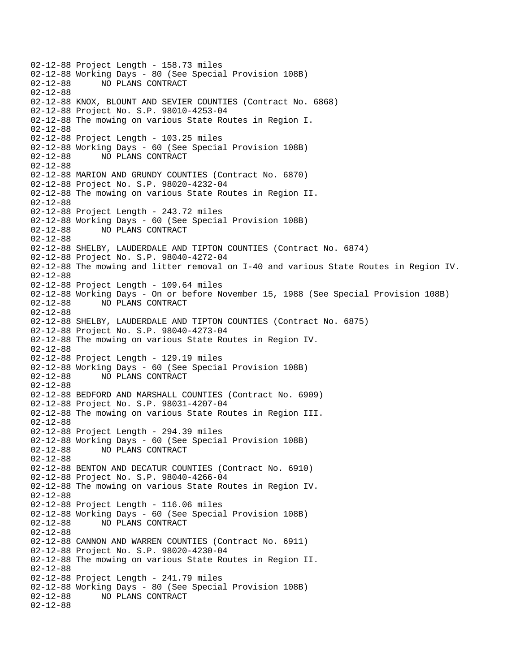02-12-88 Project Length - 158.73 miles 02-12-88 Working Days - 80 (See Special Provision 108B)<br>02-12-88 NO PLANS CONTRACT NO PLANS CONTRACT 02-12-88 02-12-88 KNOX, BLOUNT AND SEVIER COUNTIES (Contract No. 6868) 02-12-88 Project No. S.P. 98010-4253-04 02-12-88 The mowing on various State Routes in Region I. 02-12-88 02-12-88 Project Length - 103.25 miles 02-12-88 Working Days - 60 (See Special Provision 108B) 02-12-88 NO PLANS CONTRACT 02-12-88 02-12-88 MARION AND GRUNDY COUNTIES (Contract No. 6870) 02-12-88 Project No. S.P. 98020-4232-04 02-12-88 The mowing on various State Routes in Region II. 02-12-88 02-12-88 Project Length - 243.72 miles 02-12-88 Working Days - 60 (See Special Provision 108B) 02-12-88 NO PLANS CONTRACT 02-12-88 02-12-88 SHELBY, LAUDERDALE AND TIPTON COUNTIES (Contract No. 6874) 02-12-88 Project No. S.P. 98040-4272-04 02-12-88 The mowing and litter removal on I-40 and various State Routes in Region IV. 02-12-88 02-12-88 Project Length - 109.64 miles 02-12-88 Working Days - On or before November 15, 1988 (See Special Provision 108B) 02-12-88 NO PLANS CONTRACT 02-12-88 02-12-88 SHELBY, LAUDERDALE AND TIPTON COUNTIES (Contract No. 6875) 02-12-88 Project No. S.P. 98040-4273-04 02-12-88 The mowing on various State Routes in Region IV. 02-12-88 02-12-88 Project Length - 129.19 miles 02-12-88 Working Days - 60 (See Special Provision 108B)<br>02-12-88 NO PLANS CONTRACT NO PLANS CONTRACT 02-12-88 02-12-88 BEDFORD AND MARSHALL COUNTIES (Contract No. 6909) 02-12-88 Project No. S.P. 98031-4207-04 02-12-88 The mowing on various State Routes in Region III. 02-12-88 02-12-88 Project Length - 294.39 miles 02-12-88 Working Days - 60 (See Special Provision 108B) 02-12-88 NO PLANS CONTRACT 02-12-88 02-12-88 BENTON AND DECATUR COUNTIES (Contract No. 6910) 02-12-88 Project No. S.P. 98040-4266-04 02-12-88 The mowing on various State Routes in Region IV. 02-12-88 02-12-88 Project Length - 116.06 miles 02-12-88 Working Days - 60 (See Special Provision 108B)<br>02-12-88 NO PLANS CONTRACT 02-12-88 NO PLANS CONTRACT 02-12-88 02-12-88 CANNON AND WARREN COUNTIES (Contract No. 6911) 02-12-88 Project No. S.P. 98020-4230-04 02-12-88 The mowing on various State Routes in Region II. 02-12-88 02-12-88 Project Length - 241.79 miles 02-12-88 Working Days - 80 (See Special Provision 108B)<br>02-12-88 NO PLANS CONTRACT 02-12-88 NO PLANS CONTRACT 02-12-88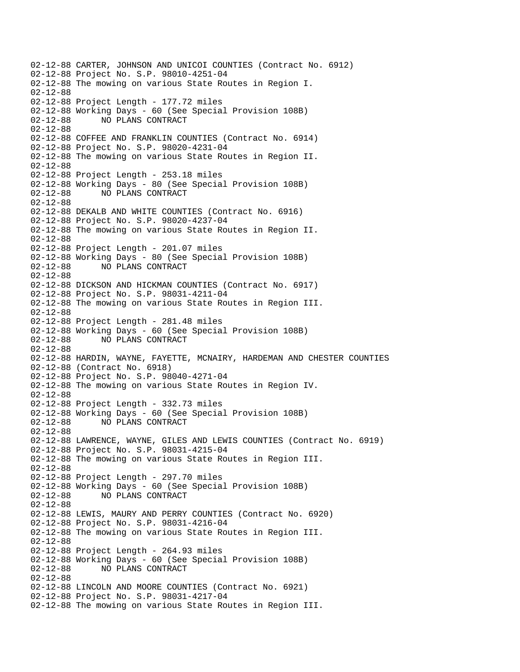02-12-88 CARTER, JOHNSON AND UNICOI COUNTIES (Contract No. 6912) 02-12-88 Project No. S.P. 98010-4251-04 02-12-88 The mowing on various State Routes in Region I. 02-12-88 02-12-88 Project Length - 177.72 miles 02-12-88 Working Days - 60 (See Special Provision 108B) 02-12-88 NO PLANS CONTRACT 02-12-88 02-12-88 COFFEE AND FRANKLIN COUNTIES (Contract No. 6914) 02-12-88 Project No. S.P. 98020-4231-04 02-12-88 The mowing on various State Routes in Region II. 02-12-88 02-12-88 Project Length - 253.18 miles 02-12-88 Working Days - 80 (See Special Provision 108B) 02-12-88 NO PLANS CONTRACT 02-12-88 02-12-88 DEKALB AND WHITE COUNTIES (Contract No. 6916) 02-12-88 Project No. S.P. 98020-4237-04 02-12-88 The mowing on various State Routes in Region II. 02-12-88 02-12-88 Project Length - 201.07 miles 02-12-88 Working Days - 80 (See Special Provision 108B) 02-12-88 NO PLANS CONTRACT 02-12-88 02-12-88 DICKSON AND HICKMAN COUNTIES (Contract No. 6917) 02-12-88 Project No. S.P. 98031-4211-04 02-12-88 The mowing on various State Routes in Region III. 02-12-88 02-12-88 Project Length - 281.48 miles 02-12-88 Working Days - 60 (See Special Provision 108B) 02-12-88 NO PLANS CONTRACT 02-12-88 02-12-88 HARDIN, WAYNE, FAYETTE, MCNAIRY, HARDEMAN AND CHESTER COUNTIES 02-12-88 (Contract No. 6918) 02-12-88 Project No. S.P. 98040-4271-04 02-12-88 The mowing on various State Routes in Region IV. 02-12-88 02-12-88 Project Length - 332.73 miles 02-12-88 Working Days - 60 (See Special Provision 108B) 02-12-88 NO PLANS CONTRACT 02-12-88 02-12-88 LAWRENCE, WAYNE, GILES AND LEWIS COUNTIES (Contract No. 6919) 02-12-88 Project No. S.P. 98031-4215-04 02-12-88 The mowing on various State Routes in Region III. 02-12-88 02-12-88 Project Length - 297.70 miles 02-12-88 Working Days - 60 (See Special Provision 108B) 02-12-88 NO PLANS CONTRACT 02-12-88 02-12-88 LEWIS, MAURY AND PERRY COUNTIES (Contract No. 6920) 02-12-88 Project No. S.P. 98031-4216-04 02-12-88 The mowing on various State Routes in Region III. 02-12-88 02-12-88 Project Length - 264.93 miles 02-12-88 Working Days - 60 (See Special Provision 108B) 02-12-88 NO PLANS CONTRACT 02-12-88 02-12-88 LINCOLN AND MOORE COUNTIES (Contract No. 6921) 02-12-88 Project No. S.P. 98031-4217-04 02-12-88 The mowing on various State Routes in Region III.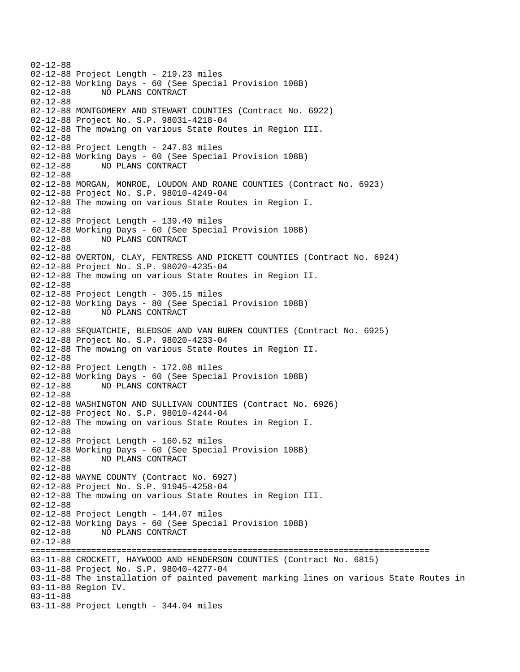02-12-88 02-12-88 Project Length - 219.23 miles 02-12-88 Working Days - 60 (See Special Provision 108B) 02-12-88 NO PLANS CONTRACT 02-12-88 02-12-88 MONTGOMERY AND STEWART COUNTIES (Contract No. 6922) 02-12-88 Project No. S.P. 98031-4218-04 02-12-88 The mowing on various State Routes in Region III. 02-12-88 02-12-88 Project Length - 247.83 miles 02-12-88 Working Days - 60 (See Special Provision 108B) 02-12-88 NO PLANS CONTRACT 02-12-88 02-12-88 MORGAN, MONROE, LOUDON AND ROANE COUNTIES (Contract No. 6923) 02-12-88 Project No. S.P. 98010-4249-04 02-12-88 The mowing on various State Routes in Region I. 02-12-88 02-12-88 Project Length - 139.40 miles 02-12-88 Working Days - 60 (See Special Provision 108B) 02-12-88 NO PLANS CONTRACT 02-12-88 02-12-88 OVERTON, CLAY, FENTRESS AND PICKETT COUNTIES (Contract No. 6924) 02-12-88 Project No. S.P. 98020-4235-04 02-12-88 The mowing on various State Routes in Region II. 02-12-88 02-12-88 Project Length - 305.15 miles 02-12-88 Working Days - 80 (See Special Provision 108B) 02-12-88 NO PLANS CONTRACT 02-12-88 02-12-88 SEQUATCHIE, BLEDSOE AND VAN BUREN COUNTIES (Contract No. 6925) 02-12-88 Project No. S.P. 98020-4233-04 02-12-88 The mowing on various State Routes in Region II. 02-12-88 02-12-88 Project Length - 172.08 miles 02-12-88 Working Days - 60 (See Special Provision 108B) 02-12-88 NO PLANS CONTRACT 02-12-88 02-12-88 WASHINGTON AND SULLIVAN COUNTIES (Contract No. 6926) 02-12-88 Project No. S.P. 98010-4244-04 02-12-88 The mowing on various State Routes in Region I. 02-12-88 02-12-88 Project Length - 160.52 miles 02-12-88 Working Days - 60 (See Special Provision 108B) 02-12-88 NO PLANS CONTRACT 02-12-88 02-12-88 WAYNE COUNTY (Contract No. 6927) 02-12-88 Project No. S.P. 91945-4258-04 02-12-88 The mowing on various State Routes in Region III. 02-12-88 02-12-88 Project Length - 144.07 miles 02-12-88 Working Days - 60 (See Special Provision 108B) 02-12-88 NO PLANS CONTRACT 02-12-88 =============================================================================== 03-11-88 CROCKETT, HAYWOOD AND HENDERSON COUNTIES (Contract No. 6815) 03-11-88 Project No. S.P. 98040-4277-04 03-11-88 The installation of painted pavement marking lines on various State Routes in 03-11-88 Region IV. 03-11-88 03-11-88 Project Length - 344.04 miles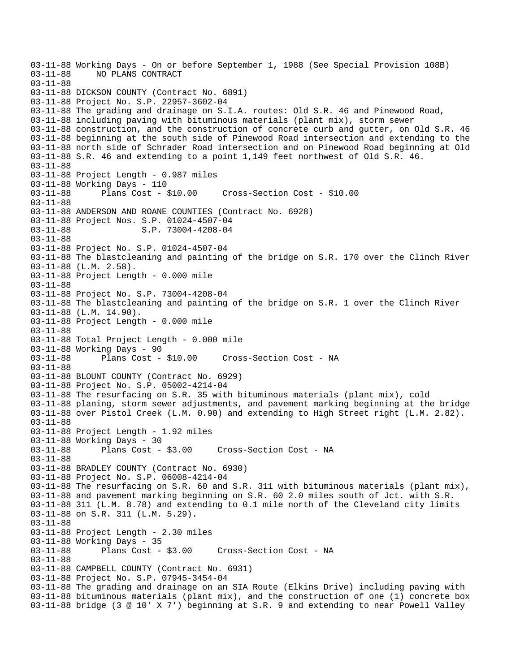```
03-11-88 Working Days - On or before September 1, 1988 (See Special Provision 108B) 
             NO PLANS CONTRACT
03-11-88 
03-11-88 DICKSON COUNTY (Contract No. 6891) 
03-11-88 Project No. S.P. 22957-3602-04 
03-11-88 The grading and drainage on S.I.A. routes: Old S.R. 46 and Pinewood Road, 
03-11-88 including paving with bituminous materials (plant mix), storm sewer 
03-11-88 construction, and the construction of concrete curb and gutter, on Old S.R. 46 
03-11-88 beginning at the south side of Pinewood Road intersection and extending to the 
03-11-88 north side of Schrader Road intersection and on Pinewood Road beginning at Old 
03-11-88 S.R. 46 and extending to a point 1,149 feet northwest of Old S.R. 46. 
03-11-88 
03-11-88 Project Length - 0.987 miles 
03-11-88 Working Days - 110<br>03-11-88 Plans Cost - $10.00
03-11-88 Plans Cost - $10.00 Cross-Section Cost - $10.00 
03-11-88 
03-11-88 ANDERSON AND ROANE COUNTIES (Contract No. 6928) 
03-11-88 Project Nos. S.P. 01024-4507-04 
03-11-88 S.P. 73004-4208-04
03-11-88 
03-11-88 Project No. S.P. 01024-4507-04 
03-11-88 The blastcleaning and painting of the bridge on S.R. 170 over the Clinch River 
03-11-88 (L.M. 2.58). 
03-11-88 Project Length - 0.000 mile 
03-11-88 
03-11-88 Project No. S.P. 73004-4208-04 
03-11-88 The blastcleaning and painting of the bridge on S.R. 1 over the Clinch River 
03-11-88 (L.M. 14.90). 
03-11-88 Project Length - 0.000 mile 
03-11-88 
03-11-88 Total Project Length - 0.000 mile 
03-11-88 Working Days - 90<br>03-11-88 Plans Cost - $10.00
                                      Cross-Section Cost - NA
03-11-88 
03-11-88 BLOUNT COUNTY (Contract No. 6929) 
03-11-88 Project No. S.P. 05002-4214-04 
03-11-88 The resurfacing on S.R. 35 with bituminous materials (plant mix), cold 
03-11-88 planing, storm sewer adjustments, and pavement marking beginning at the bridge 
03-11-88 over Pistol Creek (L.M. 0.90) and extending to High Street right (L.M. 2.82). 
03-11-88 
03-11-88 Project Length - 1.92 miles 
03-11-88 Working Days - 30 
03-11-88 Plans Cost - $3.00 Cross-Section Cost - NA 
03-11-88 
03-11-88 BRADLEY COUNTY (Contract No. 6930) 
03-11-88 Project No. S.P. 06008-4214-04 
03-11-88 The resurfacing on S.R. 60 and S.R. 311 with bituminous materials (plant mix), 
03-11-88 and pavement marking beginning on S.R. 60 2.0 miles south of Jct. with S.R. 
03-11-88 311 (L.M. 8.78) and extending to 0.1 mile north of the Cleveland city limits 
03-11-88 on S.R. 311 (L.M. 5.29). 
03-11-88 
03-11-88 Project Length - 2.30 miles 
03-11-88 Working Days - 35 
03-11-88 Plans Cost - $3.00 Cross-Section Cost - NA 
03-11-88 
03-11-88 CAMPBELL COUNTY (Contract No. 6931) 
03-11-88 Project No. S.P. 07945-3454-04 
03-11-88 The grading and drainage on an SIA Route (Elkins Drive) including paving with 
03-11-88 bituminous materials (plant mix), and the construction of one (1) concrete box 
03-11-88 bridge (3 @ 10' X 7') beginning at S.R. 9 and extending to near Powell Valley
```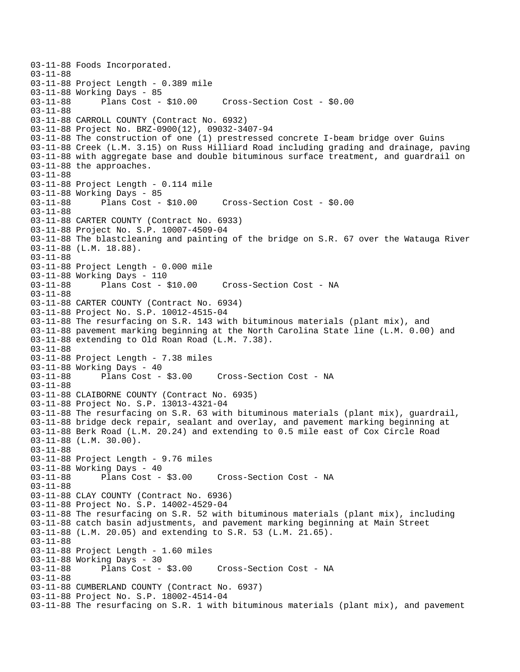03-11-88 Foods Incorporated. 03-11-88 03-11-88 Project Length - 0.389 mile 03-11-88 Working Days - 85<br>03-11-88 Plans Cost - \$10.00 03-11-88 Plans Cost - \$10.00 Cross-Section Cost - \$0.00 03-11-88 03-11-88 CARROLL COUNTY (Contract No. 6932) 03-11-88 Project No. BRZ-0900(12), 09032-3407-94 03-11-88 The construction of one (1) prestressed concrete I-beam bridge over Guins 03-11-88 Creek (L.M. 3.15) on Russ Hilliard Road including grading and drainage, paving 03-11-88 with aggregate base and double bituminous surface treatment, and guardrail on 03-11-88 the approaches. 03-11-88 03-11-88 Project Length - 0.114 mile 03-11-88 Working Days - 85 03-11-88 Plans Cost - \$10.00 Cross-Section Cost - \$0.00 03-11-88 03-11-88 CARTER COUNTY (Contract No. 6933) 03-11-88 Project No. S.P. 10007-4509-04 03-11-88 The blastcleaning and painting of the bridge on S.R. 67 over the Watauga River 03-11-88 (L.M. 18.88). 03-11-88 03-11-88 Project Length - 0.000 mile 03-11-88 Working Days - 110 Cross-Section Cost - NA 03-11-88 03-11-88 CARTER COUNTY (Contract No. 6934) 03-11-88 Project No. S.P. 10012-4515-04 03-11-88 The resurfacing on S.R. 143 with bituminous materials (plant mix), and 03-11-88 pavement marking beginning at the North Carolina State line (L.M. 0.00) and 03-11-88 extending to Old Roan Road (L.M. 7.38). 03-11-88 03-11-88 Project Length - 7.38 miles 03-11-88 Working Days - 40<br>03-11-88 Plans Cost - \$3.00 Cross-Section Cost - NA 03-11-88 03-11-88 CLAIBORNE COUNTY (Contract No. 6935) 03-11-88 Project No. S.P. 13013-4321-04 03-11-88 The resurfacing on S.R. 63 with bituminous materials (plant mix), guardrail, 03-11-88 bridge deck repair, sealant and overlay, and pavement marking beginning at 03-11-88 Berk Road (L.M. 20.24) and extending to 0.5 mile east of Cox Circle Road 03-11-88 (L.M. 30.00). 03-11-88 03-11-88 Project Length - 9.76 miles 03-11-88 Working Days - 40<br>03-11-88 Plans Cost - \$3.00 03-11-88 Plans Cost - \$3.00 Cross-Section Cost - NA 03-11-88 03-11-88 CLAY COUNTY (Contract No. 6936) 03-11-88 Project No. S.P. 14002-4529-04 03-11-88 The resurfacing on S.R. 52 with bituminous materials (plant mix), including 03-11-88 catch basin adjustments, and pavement marking beginning at Main Street 03-11-88 (L.M. 20.05) and extending to S.R. 53 (L.M. 21.65). 03-11-88 03-11-88 Project Length - 1.60 miles 03-11-88 Working Days - 30<br>03-11-88 Plans Cost - \$3.00 03-11-88 Plans Cost - \$3.00 Cross-Section Cost - NA 03-11-88 03-11-88 CUMBERLAND COUNTY (Contract No. 6937) 03-11-88 Project No. S.P. 18002-4514-04 03-11-88 The resurfacing on S.R. 1 with bituminous materials (plant mix), and pavement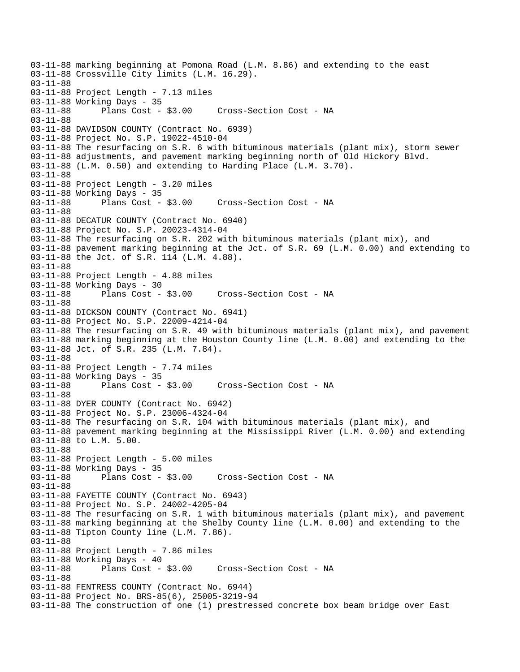03-11-88 marking beginning at Pomona Road (L.M. 8.86) and extending to the east 03-11-88 Crossville City limits (L.M. 16.29). 03-11-88 03-11-88 Project Length - 7.13 miles 03-11-88 Working Days - 35 03-11-88 Plans Cost - \$3.00 Cross-Section Cost - NA 03-11-88 03-11-88 DAVIDSON COUNTY (Contract No. 6939) 03-11-88 Project No. S.P. 19022-4510-04 03-11-88 The resurfacing on S.R. 6 with bituminous materials (plant mix), storm sewer 03-11-88 adjustments, and pavement marking beginning north of Old Hickory Blvd. 03-11-88 (L.M. 0.50) and extending to Harding Place (L.M. 3.70). 03-11-88 03-11-88 Project Length - 3.20 miles 03-11-88 Working Days - 35 03-11-88 Plans Cost - \$3.00 Cross-Section Cost - NA 03-11-88 03-11-88 DECATUR COUNTY (Contract No. 6940) 03-11-88 Project No. S.P. 20023-4314-04 03-11-88 The resurfacing on S.R. 202 with bituminous materials (plant mix), and 03-11-88 pavement marking beginning at the Jct. of S.R. 69 (L.M. 0.00) and extending to 03-11-88 the Jct. of S.R. 114 (L.M. 4.88). 03-11-88 03-11-88 Project Length - 4.88 miles 03-11-88 Working Days - 30<br>03-11-88 Plans Cost - \$3.00 03-11-88 Plans Cost - \$3.00 Cross-Section Cost - NA 03-11-88 03-11-88 DICKSON COUNTY (Contract No. 6941) 03-11-88 Project No. S.P. 22009-4214-04 03-11-88 The resurfacing on S.R. 49 with bituminous materials (plant mix), and pavement 03-11-88 marking beginning at the Houston County line (L.M. 0.00) and extending to the 03-11-88 Jct. of S.R. 235 (L.M. 7.84). 03-11-88 03-11-88 Project Length - 7.74 miles 03-11-88 Working Days - 35 03-11-88 Plans Cost - \$3.00 Cross-Section Cost - NA 03-11-88 03-11-88 DYER COUNTY (Contract No. 6942) 03-11-88 Project No. S.P. 23006-4324-04 03-11-88 The resurfacing on S.R. 104 with bituminous materials (plant mix), and 03-11-88 pavement marking beginning at the Mississippi River (L.M. 0.00) and extending 03-11-88 to L.M. 5.00. 03-11-88 03-11-88 Project Length - 5.00 miles 03-11-88 Working Days - 35<br>03-11-88 Plans Cost - \$3.00 03-11-88 Plans Cost - \$3.00 Cross-Section Cost - NA 03-11-88 03-11-88 FAYETTE COUNTY (Contract No. 6943) 03-11-88 Project No. S.P. 24002-4205-04 03-11-88 The resurfacing on S.R. 1 with bituminous materials (plant mix), and pavement 03-11-88 marking beginning at the Shelby County line (L.M. 0.00) and extending to the 03-11-88 Tipton County line (L.M. 7.86). 03-11-88 03-11-88 Project Length - 7.86 miles 03-11-88 Working Days - 40<br>03-11-88 Plans Cost - \$3.00 03-11-88 Plans Cost - \$3.00 Cross-Section Cost - NA 03-11-88 03-11-88 FENTRESS COUNTY (Contract No. 6944) 03-11-88 Project No. BRS-85(6), 25005-3219-94 03-11-88 The construction of one (1) prestressed concrete box beam bridge over East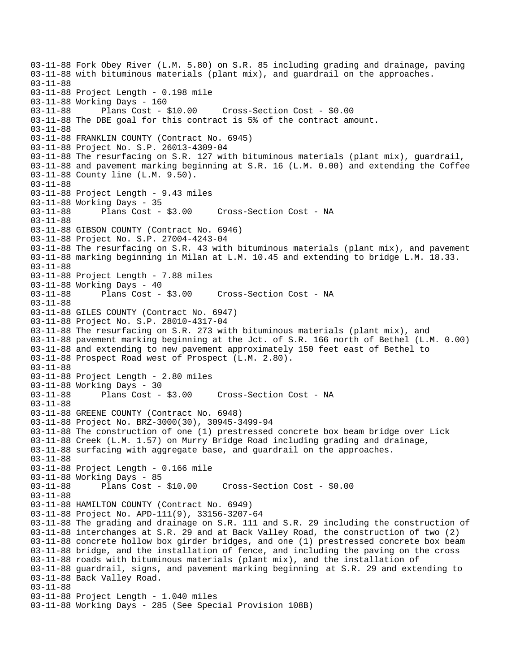03-11-88 Fork Obey River (L.M. 5.80) on S.R. 85 including grading and drainage, paving 03-11-88 with bituminous materials (plant mix), and guardrail on the approaches. 03-11-88 03-11-88 Project Length - 0.198 mile 03-11-88 Working Days - 160 03-11-88 Plans Cost - \$10.00 Cross-Section Cost - \$0.00 03-11-88 The DBE goal for this contract is 5% of the contract amount. 03-11-88 03-11-88 FRANKLIN COUNTY (Contract No. 6945) 03-11-88 Project No. S.P. 26013-4309-04 03-11-88 The resurfacing on S.R. 127 with bituminous materials (plant mix), guardrail, 03-11-88 and pavement marking beginning at S.R. 16 (L.M. 0.00) and extending the Coffee 03-11-88 County line (L.M. 9.50). 03-11-88 03-11-88 Project Length - 9.43 miles 03-11-88 Working Days - 35<br>03-11-88 Plans Cost - \$3.00 03-11-88 Plans Cost - \$3.00 Cross-Section Cost - NA 03-11-88 03-11-88 GIBSON COUNTY (Contract No. 6946) 03-11-88 Project No. S.P. 27004-4243-04 03-11-88 The resurfacing on S.R. 43 with bituminous materials (plant mix), and pavement 03-11-88 marking beginning in Milan at L.M. 10.45 and extending to bridge L.M. 18.33. 03-11-88 03-11-88 Project Length - 7.88 miles 03-11-88 Working Days - 40<br>03-11-88 Plans Cost - \$3.00 03-11-88 Plans Cost - \$3.00 Cross-Section Cost - NA 03-11-88 03-11-88 GILES COUNTY (Contract No. 6947) 03-11-88 Project No. S.P. 28010-4317-04 03-11-88 The resurfacing on S.R. 273 with bituminous materials (plant mix), and 03-11-88 pavement marking beginning at the Jct. of S.R. 166 north of Bethel (L.M. 0.00) 03-11-88 and extending to new pavement approximately 150 feet east of Bethel to 03-11-88 Prospect Road west of Prospect (L.M. 2.80). 03-11-88 03-11-88 Project Length - 2.80 miles 03-11-88 Working Days - 30 03-11-88 Plans Cost - \$3.00 Cross-Section Cost - NA 03-11-88 03-11-88 GREENE COUNTY (Contract No. 6948) 03-11-88 Project No. BRZ-3000(30), 30945-3499-94 03-11-88 The construction of one (1) prestressed concrete box beam bridge over Lick 03-11-88 Creek (L.M. 1.57) on Murry Bridge Road including grading and drainage, 03-11-88 surfacing with aggregate base, and guardrail on the approaches. 03-11-88 03-11-88 Project Length - 0.166 mile 03-11-88 Working Days - 85 03-11-88 Plans Cost - \$10.00 Cross-Section Cost - \$0.00 03-11-88 03-11-88 HAMILTON COUNTY (Contract No. 6949) 03-11-88 Project No. APD-111(9), 33156-3207-64 03-11-88 The grading and drainage on S.R. 111 and S.R. 29 including the construction of 03-11-88 interchanges at S.R. 29 and at Back Valley Road, the construction of two (2) 03-11-88 concrete hollow box girder bridges, and one (1) prestressed concrete box beam 03-11-88 bridge, and the installation of fence, and including the paving on the cross 03-11-88 roads with bituminous materials (plant mix), and the installation of 03-11-88 guardrail, signs, and pavement marking beginning at S.R. 29 and extending to 03-11-88 Back Valley Road. 03-11-88 03-11-88 Project Length - 1.040 miles 03-11-88 Working Days - 285 (See Special Provision 108B)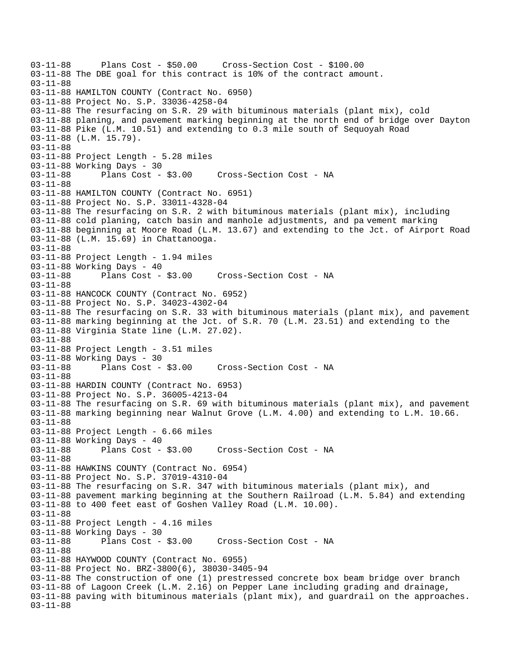```
03-11-88 Plans Cost - $50.00 Cross-Section Cost - $100.00 
03-11-88 The DBE goal for this contract is 10% of the contract amount. 
03-11-88 
03-11-88 HAMILTON COUNTY (Contract No. 6950) 
03-11-88 Project No. S.P. 33036-4258-04 
03-11-88 The resurfacing on S.R. 29 with bituminous materials (plant mix), cold 
03-11-88 planing, and pavement marking beginning at the north end of bridge over Dayton 
03-11-88 Pike (L.M. 10.51) and extending to 0.3 mile south of Sequoyah Road 
03-11-88 (L.M. 15.79). 
03-11-88 
03-11-88 Project Length - 5.28 miles 
03-11-88 Working Days - 30<br>03-11-88 Plans Cost - $3.00
03-11-88 Plans Cost - $3.00 Cross-Section Cost - NA 
03-11-88 
03-11-88 HAMILTON COUNTY (Contract No. 6951) 
03-11-88 Project No. S.P. 33011-4328-04 
03-11-88 The resurfacing on S.R. 2 with bituminous materials (plant mix), including 
03-11-88 cold planing, catch basin and manhole adjustments, and pa vement marking 
03-11-88 beginning at Moore Road (L.M. 13.67) and extending to the Jct. of Airport Road 
03-11-88 (L.M. 15.69) in Chattanooga. 
03-11-88 
03-11-88 Project Length - 1.94 miles 
03-11-88 Working Days - 40 
03-11-88 Plans Cost - $3.00 Cross-Section Cost - NA 
03-11-88 
03-11-88 HANCOCK COUNTY (Contract No. 6952) 
03-11-88 Project No. S.P. 34023-4302-04 
03-11-88 The resurfacing on S.R. 33 with bituminous materials (plant mix), and pavement 
03-11-88 marking beginning at the Jct. of S.R. 70 (L.M. 23.51) and extending to the 
03-11-88 Virginia State line (L.M. 27.02). 
03-11-88 
03-11-88 Project Length - 3.51 miles 
03-11-88 Working Days - 30 
03-11-88 Plans Cost - $3.00 Cross-Section Cost - NA 
03-11-88 
03-11-88 HARDIN COUNTY (Contract No. 6953) 
03-11-88 Project No. S.P. 36005-4213-04 
03-11-88 The resurfacing on S.R. 69 with bituminous materials (plant mix), and pavement 
03-11-88 marking beginning near Walnut Grove (L.M. 4.00) and extending to L.M. 10.66. 
03-11-88 
03-11-88 Project Length - 6.66 miles 
03-11-88 Working Days - 40 
03-11-88 Plans Cost - $3.00 Cross-Section Cost - NA 
03-11-88 
03-11-88 HAWKINS COUNTY (Contract No. 6954) 
03-11-88 Project No. S.P. 37019-4310-04 
03-11-88 The resurfacing on S.R. 347 with bituminous materials (plant mix), and 
03-11-88 pavement marking beginning at the Southern Railroad (L.M. 5.84) and extending 
03-11-88 to 400 feet east of Goshen Valley Road (L.M. 10.00). 
03-11-88 
03-11-88 Project Length - 4.16 miles 
03-11-88 Working Days - 30 
03-11-88 Plans Cost - $3.00 Cross-Section Cost - NA 
03-11-88 
03-11-88 HAYWOOD COUNTY (Contract No. 6955) 
03-11-88 Project No. BRZ-3800(6), 38030-3405-94 
03-11-88 The construction of one (1) prestressed concrete box beam bridge over branch 
03-11-88 of Lagoon Creek (L.M. 2.16) on Pepper Lane including grading and drainage, 
03-11-88 paving with bituminous materials (plant mix), and guardrail on the approaches. 
03-11-88
```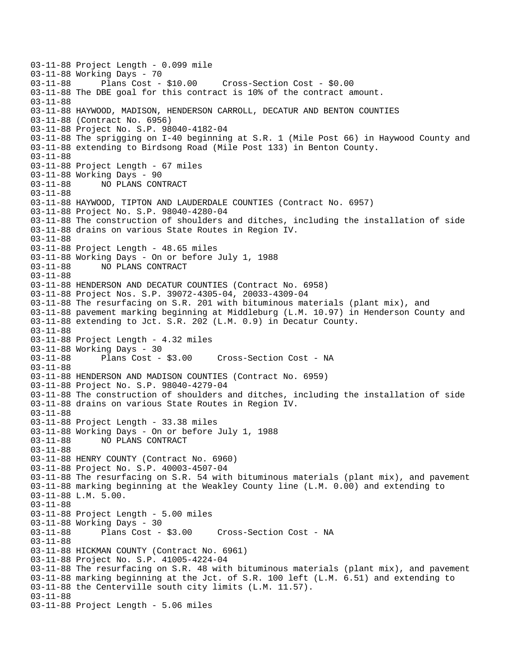```
03-11-88 Project Length - 0.099 mile 
03-11-88 Working Days - 70<br>03-11-88 Plans Cost - $10.00
03-11-88 Plans Cost - $10.00 Cross-Section Cost - $0.00 
03-11-88 The DBE goal for this contract is 10% of the contract amount. 
03-11-88 
03-11-88 HAYWOOD, MADISON, HENDERSON CARROLL, DECATUR AND BENTON COUNTIES 
03-11-88 (Contract No. 6956) 
03-11-88 Project No. S.P. 98040-4182-04 
03-11-88 The sprigging on I-40 beginning at S.R. 1 (Mile Post 66) in Haywood County and 
03-11-88 extending to Birdsong Road (Mile Post 133) in Benton County. 
03-11-88 
03-11-88 Project Length - 67 miles 
03-11-88 Working Days - 90 
03-11-88 NO PLANS CONTRACT 
03-11-88 
03-11-88 HAYWOOD, TIPTON AND LAUDERDALE COUNTIES (Contract No. 6957) 
03-11-88 Project No. S.P. 98040-4280-04 
03-11-88 The construction of shoulders and ditches, including the installation of side 
03-11-88 drains on various State Routes in Region IV. 
03-11-88 
03-11-88 Project Length - 48.65 miles 
03-11-88 Working Days - On or before July 1, 1988 
03-11-88 NO PLANS CONTRACT 
03-11-88 
03-11-88 HENDERSON AND DECATUR COUNTIES (Contract No. 6958) 
03-11-88 Project Nos. S.P. 39072-4305-04, 20033-4309-04 
03-11-88 The resurfacing on S.R. 201 with bituminous materials (plant mix), and 
03-11-88 pavement marking beginning at Middleburg (L.M. 10.97) in Henderson County and 
03-11-88 extending to Jct. S.R. 202 (L.M. 0.9) in Decatur County. 
03-11-88 
03-11-88 Project Length - 4.32 miles 
03-11-88 Working Days - 30<br>03-11-88 Plans Cost - $3.00
                                     Cross-Section Cost - NA
03-11-88 
03-11-88 HENDERSON AND MADISON COUNTIES (Contract No. 6959) 
03-11-88 Project No. S.P. 98040-4279-04 
03-11-88 The construction of shoulders and ditches, including the installation of side 
03-11-88 drains on various State Routes in Region IV. 
03-11-88 
03-11-88 Project Length - 33.38 miles 
03-11-88 Working Days - On or before July 1, 1988 
03-11-88 NO PLANS CONTRACT 
03-11-88 
03-11-88 HENRY COUNTY (Contract No. 6960) 
03-11-88 Project No. S.P. 40003-4507-04 
03-11-88 The resurfacing on S.R. 54 with bituminous materials (plant mix), and pavement 
03-11-88 marking beginning at the Weakley County line (L.M. 0.00) and extending to 
03-11-88 L.M. 5.00. 
03-11-88 
03-11-88 Project Length - 5.00 miles 
03-11-88 Working Days - 30 
03-11-88 Plans Cost - $3.00 Cross-Section Cost - NA 
03-11-88 
03-11-88 HICKMAN COUNTY (Contract No. 6961) 
03-11-88 Project No. S.P. 41005-4224-04 
03-11-88 The resurfacing on S.R. 48 with bituminous materials (plant mix), and pavement 
03-11-88 marking beginning at the Jct. of S.R. 100 left (L.M. 6.51) and extending to 
03-11-88 the Centerville south city limits (L.M. 11.57). 
03-11-88 
03-11-88 Project Length - 5.06 miles
```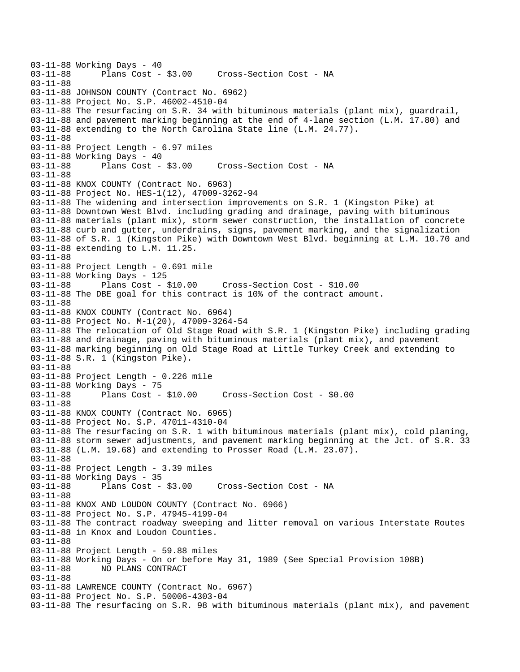03-11-88 Working Days - 40<br>03-11-88 Plans Cost -Plans Cost - \$3.00 Cross-Section Cost - NA 03-11-88 03-11-88 JOHNSON COUNTY (Contract No. 6962) 03-11-88 Project No. S.P. 46002-4510-04 03-11-88 The resurfacing on S.R. 34 with bituminous materials (plant mix), guardrail, 03-11-88 and pavement marking beginning at the end of 4-lane section (L.M. 17.80) and 03-11-88 extending to the North Carolina State line (L.M. 24.77). 03-11-88 03-11-88 Project Length - 6.97 miles 03-11-88 Working Days - 40 03-11-88 Plans Cost - \$3.00 Cross-Section Cost - NA 03-11-88 03-11-88 KNOX COUNTY (Contract No. 6963) 03-11-88 Project No. HES-1(12), 47009-3262-94 03-11-88 The widening and intersection improvements on S.R. 1 (Kingston Pike) at 03-11-88 Downtown West Blvd. including grading and drainage, paving with bituminous 03-11-88 materials (plant mix), storm sewer construction, the installation of concrete 03-11-88 curb and gutter, underdrains, signs, pavement marking, and the signalization 03-11-88 of S.R. 1 (Kingston Pike) with Downtown West Blvd. beginning at L.M. 10.70 and 03-11-88 extending to L.M. 11.25. 03-11-88 03-11-88 Project Length - 0.691 mile 03-11-88 Working Days - 125 03-11-88 Plans Cost - \$10.00 Cross-Section Cost - \$10.00 03-11-88 The DBE goal for this contract is 10% of the contract amount. 03-11-88 03-11-88 KNOX COUNTY (Contract No. 6964) 03-11-88 Project No. M-1(20), 47009-3264-54 03-11-88 The relocation of Old Stage Road with S.R. 1 (Kingston Pike) including grading 03-11-88 and drainage, paving with bituminous materials (plant mix), and pavement 03-11-88 marking beginning on Old Stage Road at Little Turkey Creek and extending to 03-11-88 S.R. 1 (Kingston Pike). 03-11-88 03-11-88 Project Length - 0.226 mile 03-11-88 Working Days - 75 03-11-88 Plans Cost - \$10.00 Cross-Section Cost - \$0.00 03-11-88 03-11-88 KNOX COUNTY (Contract No. 6965) 03-11-88 Project No. S.P. 47011-4310-04 03-11-88 The resurfacing on S.R. 1 with bituminous materials (plant mix), cold planing, 03-11-88 storm sewer adjustments, and pavement marking beginning at the Jct. of S.R. 33 03-11-88 (L.M. 19.68) and extending to Prosser Road (L.M. 23.07). 03-11-88 03-11-88 Project Length - 3.39 miles 03-11-88 Working Days - 35 03-11-88 Plans Cost - \$3.00 Cross-Section Cost - NA 03-11-88 03-11-88 KNOX AND LOUDON COUNTY (Contract No. 6966) 03-11-88 Project No. S.P. 47945-4199-04 03-11-88 The contract roadway sweeping and litter removal on various Interstate Routes 03-11-88 in Knox and Loudon Counties. 03-11-88 03-11-88 Project Length - 59.88 miles 03-11-88 Working Days - On or before May 31, 1989 (See Special Provision 108B) 03-11-88 NO PLANS CONTRACT 03-11-88 03-11-88 LAWRENCE COUNTY (Contract No. 6967) 03-11-88 Project No. S.P. 50006-4303-04 03-11-88 The resurfacing on S.R. 98 with bituminous materials (plant mix), and pavement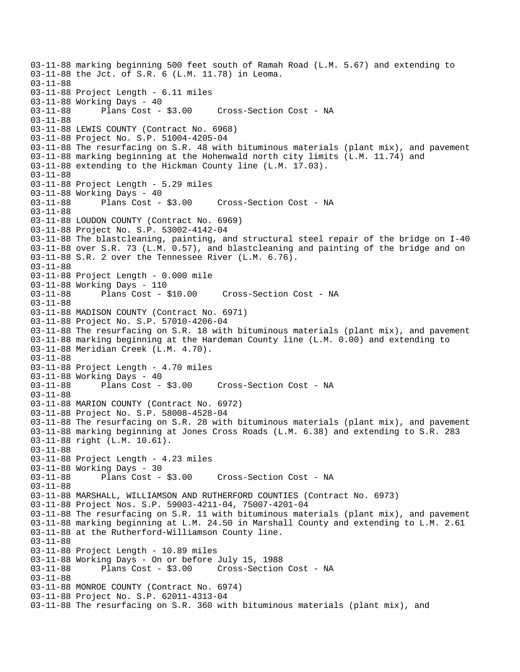03-11-88 marking beginning 500 feet south of Ramah Road (L.M. 5.67) and extending to 03-11-88 the Jct. of S.R. 6 (L.M. 11.78) in Leoma. 03-11-88 03-11-88 Project Length - 6.11 miles 03-11-88 Working Days - 40 03-11-88 Plans Cost - \$3.00 Cross-Section Cost - NA 03-11-88 03-11-88 LEWIS COUNTY (Contract No. 6968) 03-11-88 Project No. S.P. 51004-4205-04 03-11-88 The resurfacing on S.R. 48 with bituminous materials (plant mix), and pavement 03-11-88 marking beginning at the Hohenwald north city limits (L.M. 11.74) and 03-11-88 extending to the Hickman County line (L.M. 17.03). 03-11-88 03-11-88 Project Length - 5.29 miles 03-11-88 Working Days - 40 03-11-88 Plans Cost - \$3.00 Cross-Section Cost - NA 03-11-88 03-11-88 LOUDON COUNTY (Contract No. 6969) 03-11-88 Project No. S.P. 53002-4142-04 03-11-88 The blastcleaning, painting, and structural steel repair of the bridge on I-40 03-11-88 over S.R. 73 (L.M. 0.57), and blastcleaning and painting of the bridge and on 03-11-88 S.R. 2 over the Tennessee River (L.M. 6.76). 03-11-88 03-11-88 Project Length - 0.000 mile 03-11-88 Working Days - 110<br>03-11-88 Plans Cost - \$10.00 03-11-88 Plans Cost - \$10.00 Cross-Section Cost - NA 03-11-88 03-11-88 MADISON COUNTY (Contract No. 6971) 03-11-88 Project No. S.P. 57010-4206-04 03-11-88 The resurfacing on S.R. 18 with bituminous materials (plant mix), and pavement 03-11-88 marking beginning at the Hardeman County line (L.M. 0.00) and extending to 03-11-88 Meridian Creek (L.M. 4.70). 03-11-88 03-11-88 Project Length - 4.70 miles 03-11-88 Working Days - 40 03-11-88 Plans Cost - \$3.00 Cross-Section Cost - NA 03-11-88 03-11-88 MARION COUNTY (Contract No. 6972) 03-11-88 Project No. S.P. 58008-4528-04 03-11-88 The resurfacing on S.R. 28 with bituminous materials (plant mix), and pavement 03-11-88 marking beginning at Jones Cross Roads (L.M. 6.38) and extending to S.R. 283 03-11-88 right (L.M. 10.61). 03-11-88 03-11-88 Project Length - 4.23 miles 03-11-88 Working Days - 30 03-11-88 Plans Cost - \$3.00 Cross-Section Cost - NA 03-11-88 03-11-88 MARSHALL, WILLIAMSON AND RUTHERFORD COUNTIES (Contract No. 6973) 03-11-88 Project Nos. S.P. 59003-4211-04, 75007-4201-04 03-11-88 The resurfacing on S.R. 11 with bituminous materials (plant mix), and pavement 03-11-88 marking beginning at L.M. 24.50 in Marshall County and extending to L.M. 2.61 03-11-88 at the Rutherford-Williamson County line. 03-11-88 03-11-88 Project Length - 10.89 miles 03-11-88 Working Days - On or before July 15, 1988 03-11-88 Plans Cost - \$3.00 Cross-Section Cost - NA 03-11-88 03-11-88 MONROE COUNTY (Contract No. 6974) 03-11-88 Project No. S.P. 62011-4313-04 03-11-88 The resurfacing on S.R. 360 with bituminous materials (plant mix), and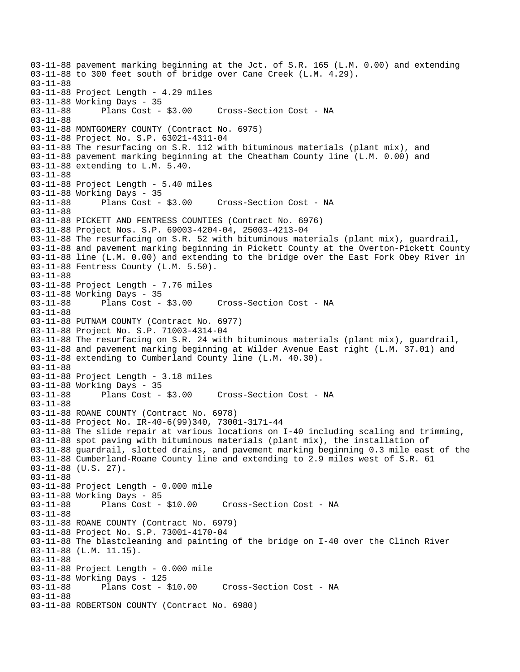03-11-88 pavement marking beginning at the Jct. of S.R. 165 (L.M. 0.00) and extending 03-11-88 to 300 feet south of bridge over Cane Creek (L.M. 4.29). 03-11-88 03-11-88 Project Length - 4.29 miles 03-11-88 Working Days - 35 03-11-88 Plans Cost - \$3.00 Cross-Section Cost - NA 03-11-88 03-11-88 MONTGOMERY COUNTY (Contract No. 6975) 03-11-88 Project No. S.P. 63021-4311-04 03-11-88 The resurfacing on S.R. 112 with bituminous materials (plant mix), and 03-11-88 pavement marking beginning at the Cheatham County line (L.M. 0.00) and 03-11-88 extending to L.M. 5.40. 03-11-88 03-11-88 Project Length - 5.40 miles 03-11-88 Working Days - 35<br>03-11-88 Plans Cost - \$3.00 03-11-88 Plans Cost - \$3.00 Cross-Section Cost - NA 03-11-88 03-11-88 PICKETT AND FENTRESS COUNTIES (Contract No. 6976) 03-11-88 Project Nos. S.P. 69003-4204-04, 25003-4213-04 03-11-88 The resurfacing on S.R. 52 with bituminous materials (plant mix), guardrail, 03-11-88 and pavement marking beginning in Pickett County at the Overton-Pickett County 03-11-88 line (L.M. 0.00) and extending to the bridge over the East Fork Obey River in 03-11-88 Fentress County (L.M. 5.50). 03-11-88 03-11-88 Project Length - 7.76 miles 03-11-88 Working Days - 35 03-11-88 Plans Cost - \$3.00 Cross-Section Cost - NA 03-11-88 03-11-88 PUTNAM COUNTY (Contract No. 6977) 03-11-88 Project No. S.P. 71003-4314-04 03-11-88 The resurfacing on S.R. 24 with bituminous materials (plant mix), guardrail, 03-11-88 and pavement marking beginning at Wilder Avenue East right (L.M. 37.01) and 03-11-88 extending to Cumberland County line (L.M. 40.30). 03-11-88 03-11-88 Project Length - 3.18 miles 03-11-88 Working Days - 35 03-11-88 Plans Cost - \$3.00 Cross-Section Cost - NA 03-11-88 03-11-88 ROANE COUNTY (Contract No. 6978) 03-11-88 Project No. IR-40-6(99)340, 73001-3171-44 03-11-88 The slide repair at various locations on I-40 including scaling and trimming, 03-11-88 spot paving with bituminous materials (plant mix), the installation of 03-11-88 guardrail, slotted drains, and pavement marking beginning 0.3 mile east of the 03-11-88 Cumberland-Roane County line and extending to 2.9 miles west of S.R. 61 03-11-88 (U.S. 27). 03-11-88 03-11-88 Project Length - 0.000 mile 03-11-88 Working Days - 85<br>03-11-88 Plans Cost - \$10.00 Cross-Section Cost - NA 03-11-88 03-11-88 ROANE COUNTY (Contract No. 6979) 03-11-88 Project No. S.P. 73001-4170-04 03-11-88 The blastcleaning and painting of the bridge on I-40 over the Clinch River 03-11-88 (L.M. 11.15). 03-11-88 03-11-88 Project Length - 0.000 mile 03-11-88 Working Days - 125<br>03-11-88 Plans Cost - \$10.00 Cross-Section Cost - NA 03-11-88 03-11-88 ROBERTSON COUNTY (Contract No. 6980)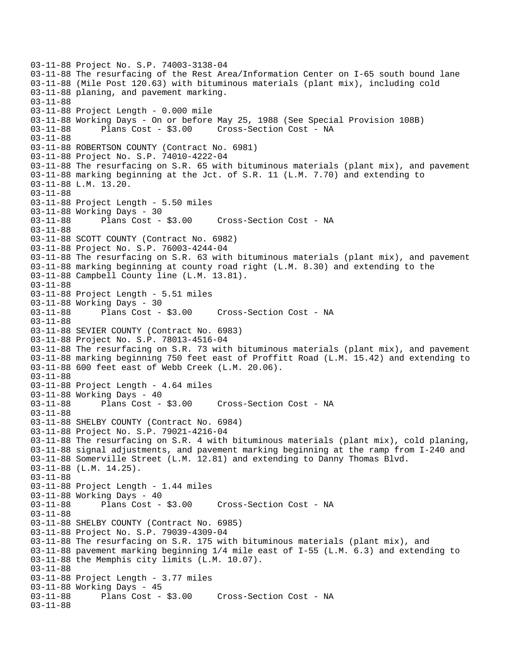```
03-11-88 Project No. S.P. 74003-3138-04 
03-11-88 The resurfacing of the Rest Area/Information Center on I-65 south bound lane 
03-11-88 (Mile Post 120.63) with bituminous materials (plant mix), including cold 
03-11-88 planing, and pavement marking. 
03-11-88 
03-11-88 Project Length - 0.000 mile 
03-11-88 Working Days - On or before May 25, 1988 (See Special Provision 108B) 
03-11-88 Plans Cost - $3.00 Cross-Section Cost - NA 
03-11-88 
03-11-88 ROBERTSON COUNTY (Contract No. 6981) 
03-11-88 Project No. S.P. 74010-4222-04 
03-11-88 The resurfacing on S.R. 65 with bituminous materials (plant mix), and pavement 
03-11-88 marking beginning at the Jct. of S.R. 11 (L.M. 7.70) and extending to 
03-11-88 L.M. 13.20. 
03-11-88 
03-11-88 Project Length - 5.50 miles 
03-11-88 Working Days - 30 
03-11-88 Plans Cost - $3.00 Cross-Section Cost - NA 
03-11-88 
03-11-88 SCOTT COUNTY (Contract No. 6982) 
03-11-88 Project No. S.P. 76003-4244-04 
03-11-88 The resurfacing on S.R. 63 with bituminous materials (plant mix), and pavement 
03-11-88 marking beginning at county road right (L.M. 8.30) and extending to the 
03-11-88 Campbell County line (L.M. 13.81). 
03-11-88 
03-11-88 Project Length - 5.51 miles 
03-11-88 Working Days - 30<br>03-11-88 Plans Cost - $3.00
                                      Cross-Section Cost - NA
03-11-88 
03-11-88 SEVIER COUNTY (Contract No. 6983) 
03-11-88 Project No. S.P. 78013-4516-04 
03-11-88 The resurfacing on S.R. 73 with bituminous materials (plant mix), and pavement 
03-11-88 marking beginning 750 feet east of Proffitt Road (L.M. 15.42) and extending to 
03-11-88 600 feet east of Webb Creek (L.M. 20.06). 
03-11-88 
03-11-88 Project Length - 4.64 miles 
03-11-88 Working Days - 40<br>03-11-88 Plans Cost - $3.00
03-11-88 Plans Cost - $3.00 Cross-Section Cost - NA 
03-11-88 
03-11-88 SHELBY COUNTY (Contract No. 6984) 
03-11-88 Project No. S.P. 79021-4216-04 
03-11-88 The resurfacing on S.R. 4 with bituminous materials (plant mix), cold planing, 
03-11-88 signal adjustments, and pavement marking beginning at the ramp from I-240 and 
03-11-88 Somerville Street (L.M. 12.81) and extending to Danny Thomas Blvd. 
03-11-88 (L.M. 14.25). 
03-11-88 
03-11-88 Project Length - 1.44 miles
03-11-88 Working Days - 40<br>03-11-88 Plans Cost - $3.00
                                     Cross-Section Cost - NA
03-11-88 
03-11-88 SHELBY COUNTY (Contract No. 6985) 
03-11-88 Project No. S.P. 79039-4309-04 
03-11-88 The resurfacing on S.R. 175 with bituminous materials (plant mix), and 
03-11-88 pavement marking beginning 1/4 mile east of I-55 (L.M. 6.3) and extending to 
03-11-88 the Memphis city limits (L.M. 10.07). 
03-11-88 
03-11-88 Project Length - 3.77 miles
03-11-88 Working Days - 45<br>03-11-88 Plans Cost - $3.00
                                    Cross-Section Cost - NA
03-11-88
```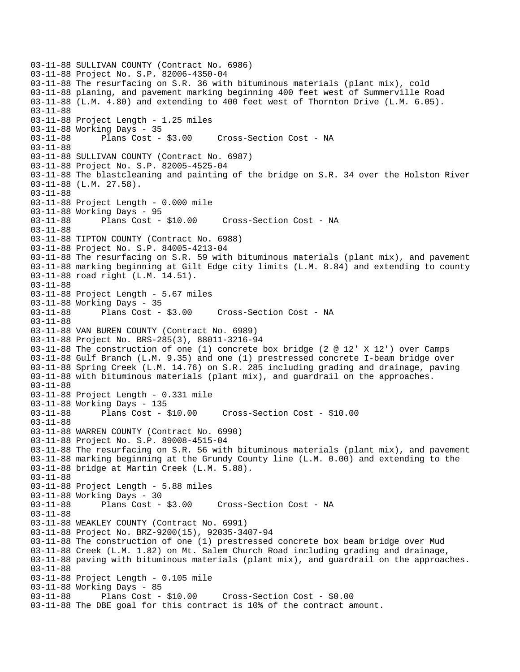03-11-88 SULLIVAN COUNTY (Contract No. 6986) 03-11-88 Project No. S.P. 82006-4350-04 03-11-88 The resurfacing on S.R. 36 with bituminous materials (plant mix), cold 03-11-88 planing, and pavement marking beginning 400 feet west of Summerville Road 03-11-88 (L.M. 4.80) and extending to 400 feet west of Thornton Drive (L.M. 6.05). 03-11-88 03-11-88 Project Length - 1.25 miles 03-11-88 Working Days - 35 03-11-88 Plans Cost - \$3.00 Cross-Section Cost - NA 03-11-88 03-11-88 SULLIVAN COUNTY (Contract No. 6987) 03-11-88 Project No. S.P. 82005-4525-04 03-11-88 The blastcleaning and painting of the bridge on S.R. 34 over the Holston River 03-11-88 (L.M. 27.58). 03-11-88 03-11-88 Project Length - 0.000 mile 03-11-88 Working Days - 95 03-11-88 Plans Cost - \$10.00 Cross-Section Cost - NA 03-11-88 03-11-88 TIPTON COUNTY (Contract No. 6988) 03-11-88 Project No. S.P. 84005-4213-04 03-11-88 The resurfacing on S.R. 59 with bituminous materials (plant mix), and pavement 03-11-88 marking beginning at Gilt Edge city limits (L.M. 8.84) and extending to county 03-11-88 road right (L.M. 14.51). 03-11-88 03-11-88 Project Length - 5.67 miles 03-11-88 Working Days - 35<br>03-11-88 Plans Cost - \$3.00 Cross-Section Cost - NA 03-11-88 03-11-88 VAN BUREN COUNTY (Contract No. 6989) 03-11-88 Project No. BRS-285(3), 88011-3216-94 03-11-88 The construction of one (1) concrete box bridge (2 @ 12' X 12') over Camps 03-11-88 Gulf Branch (L.M. 9.35) and one (1) prestressed concrete I-beam bridge over 03-11-88 Spring Creek (L.M. 14.76) on S.R. 285 including grading and drainage, paving 03-11-88 with bituminous materials (plant mix), and guardrail on the approaches. 03-11-88 03-11-88 Project Length - 0.331 mile 03-11-88 Working Days - 135 03-11-88 Plans Cost - \$10.00 Cross-Section Cost - \$10.00 03-11-88 03-11-88 WARREN COUNTY (Contract No. 6990) 03-11-88 Project No. S.P. 89008-4515-04 03-11-88 The resurfacing on S.R. 56 with bituminous materials (plant mix), and pavement 03-11-88 marking beginning at the Grundy County line (L.M. 0.00) and extending to the 03-11-88 bridge at Martin Creek (L.M. 5.88). 03-11-88 03-11-88 Project Length - 5.88 miles 03-11-88 Working Days - 30<br>03-11-88 Plans Cost - \$3.00 Cross-Section Cost - NA 03-11-88 03-11-88 WEAKLEY COUNTY (Contract No. 6991) 03-11-88 Project No. BRZ-9200(15), 92035-3407-94 03-11-88 The construction of one (1) prestressed concrete box beam bridge over Mud 03-11-88 Creek (L.M. 1.82) on Mt. Salem Church Road including grading and drainage, 03-11-88 paving with bituminous materials (plant mix), and guardrail on the approaches. 03-11-88 03-11-88 Project Length - 0.105 mile 03-11-88 Working Days - 85 03-11-88 Plans Cost - \$10.00 Cross-Section Cost - \$0.00 03-11-88 The DBE goal for this contract is 10% of the contract amount.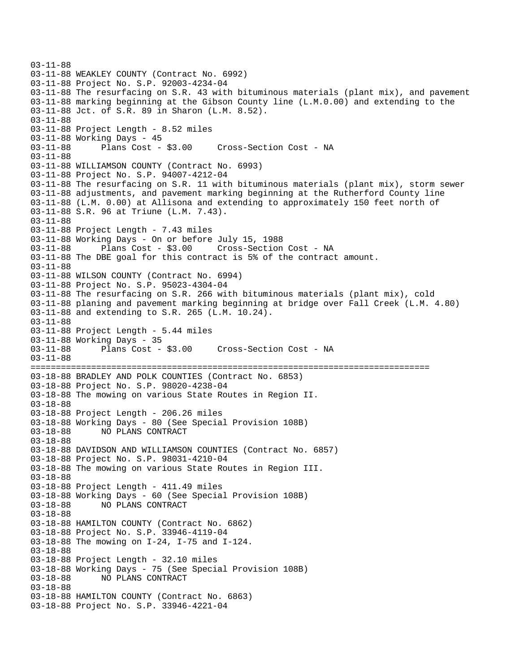```
03-11-88 
03-11-88 WEAKLEY COUNTY (Contract No. 6992) 
03-11-88 Project No. S.P. 92003-4234-04 
03-11-88 The resurfacing on S.R. 43 with bituminous materials (plant mix), and pavement 
03-11-88 marking beginning at the Gibson County line (L.M.0.00) and extending to the 
03-11-88 Jct. of S.R. 89 in Sharon (L.M. 8.52). 
03-11-88 
03-11-88 Project Length - 8.52 miles 
03-11-88 Working Days - 45 
03-11-88 Plans Cost - $3.00 Cross-Section Cost - NA 
03-11-88 
03-11-88 WILLIAMSON COUNTY (Contract No. 6993) 
03-11-88 Project No. S.P. 94007-4212-04 
03-11-88 The resurfacing on S.R. 11 with bituminous materials (plant mix), storm sewer 
03-11-88 adjustments, and pavement marking beginning at the Rutherford County line 
03-11-88 (L.M. 0.00) at Allisona and extending to approximately 150 feet north of 
03-11-88 S.R. 96 at Triune (L.M. 7.43). 
03-11-88 
03-11-88 Project Length - 7.43 miles
03-11-88 Working Days - On or before July 15, 1988 
03-11-88 Plans Cost - $3.00 Cross-Section Cost - NA 
03-11-88 The DBE goal for this contract is 5% of the contract amount. 
03-11-88 
03-11-88 WILSON COUNTY (Contract No. 6994) 
03-11-88 Project No. S.P. 95023-4304-04 
03-11-88 The resurfacing on S.R. 266 with bituminous materials (plant mix), cold 
03-11-88 planing and pavement marking beginning at bridge over Fall Creek (L.M. 4.80) 
03-11-88 and extending to S.R. 265 (L.M. 10.24). 
03-11-88 
03-11-88 Project Length - 5.44 miles 
03-11-88 Working Days - 35<br>03-11-88 Plans Cost - $3.00
                                     Cross-Section Cost - NA
03-11-88 
=============================================================================== 
03-18-88 BRADLEY AND POLK COUNTIES (Contract No. 6853) 
03-18-88 Project No. S.P. 98020-4238-04 
03-18-88 The mowing on various State Routes in Region II. 
03-18-88 
03-18-88 Project Length - 206.26 miles 
03-18-88 Working Days - 80 (See Special Provision 108B) 
03-18-88 NO PLANS CONTRACT 
03-18-88 
03-18-88 DAVIDSON AND WILLIAMSON COUNTIES (Contract No. 6857) 
03-18-88 Project No. S.P. 98031-4210-04 
03-18-88 The mowing on various State Routes in Region III. 
03-18-88 
03-18-88 Project Length - 411.49 miles 
03-18-88 Working Days - 60 (See Special Provision 108B) 
03-18-88 NO PLANS CONTRACT 
03-18-88 
03-18-88 HAMILTON COUNTY (Contract No. 6862) 
03-18-88 Project No. S.P. 33946-4119-04 
03-18-88 The mowing on I-24, I-75 and I-124. 
03-18-88 
03-18-88 Project Length - 32.10 miles 
03-18-88 Working Days - 75 (See Special Provision 108B) 
              03-18-88 NO PLANS CONTRACT 
03-18-88 
03-18-88 HAMILTON COUNTY (Contract No. 6863) 
03-18-88 Project No. S.P. 33946-4221-04
```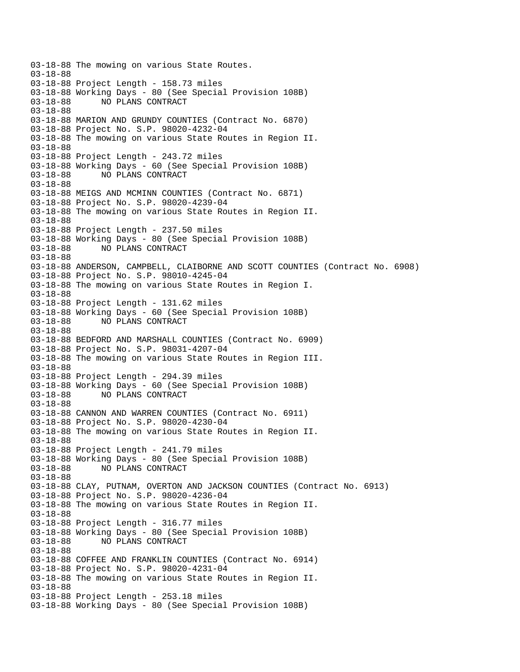03-18-88 The mowing on various State Routes. 03-18-88 03-18-88 Project Length - 158.73 miles 03-18-88 Working Days - 80 (See Special Provision 108B) NO PLANS CONTRACT 03-18-88 03-18-88 MARION AND GRUNDY COUNTIES (Contract No. 6870) 03-18-88 Project No. S.P. 98020-4232-04 03-18-88 The mowing on various State Routes in Region II. 03-18-88 03-18-88 Project Length - 243.72 miles 03-18-88 Working Days - 60 (See Special Provision 108B) 03-18-88 NO PLANS CONTRACT 03-18-88 03-18-88 MEIGS AND MCMINN COUNTIES (Contract No. 6871) 03-18-88 Project No. S.P. 98020-4239-04 03-18-88 The mowing on various State Routes in Region II. 03-18-88 03-18-88 Project Length - 237.50 miles 03-18-88 Working Days - 80 (See Special Provision 108B) 03-18-88 NO PLANS CONTRACT 03-18-88 03-18-88 ANDERSON, CAMPBELL, CLAIBORNE AND SCOTT COUNTIES (Contract No. 6908) 03-18-88 Project No. S.P. 98010-4245-04 03-18-88 The mowing on various State Routes in Region I. 03-18-88 03-18-88 Project Length - 131.62 miles 03-18-88 Working Days - 60 (See Special Provision 108B) 03-18-88 NO PLANS CONTRACT 03-18-88 03-18-88 BEDFORD AND MARSHALL COUNTIES (Contract No. 6909) 03-18-88 Project No. S.P. 98031-4207-04 03-18-88 The mowing on various State Routes in Region III. 03-18-88 03-18-88 Project Length - 294.39 miles 03-18-88 Working Days - 60 (See Special Provision 108B) 03-18-88 NO PLANS CONTRACT 03-18-88 03-18-88 CANNON AND WARREN COUNTIES (Contract No. 6911) 03-18-88 Project No. S.P. 98020-4230-04 03-18-88 The mowing on various State Routes in Region II. 03-18-88 03-18-88 Project Length - 241.79 miles 03-18-88 Working Days - 80 (See Special Provision 108B) 03-18-88 NO PLANS CONTRACT 03-18-88 03-18-88 CLAY, PUTNAM, OVERTON AND JACKSON COUNTIES (Contract No. 6913) 03-18-88 Project No. S.P. 98020-4236-04 03-18-88 The mowing on various State Routes in Region II. 03-18-88 03-18-88 Project Length - 316.77 miles 03-18-88 Working Days - 80 (See Special Provision 108B) 03-18-88 NO PLANS CONTRACT 03-18-88 03-18-88 COFFEE AND FRANKLIN COUNTIES (Contract No. 6914) 03-18-88 Project No. S.P. 98020-4231-04 03-18-88 The mowing on various State Routes in Region II. 03-18-88 03-18-88 Project Length - 253.18 miles 03-18-88 Working Days - 80 (See Special Provision 108B)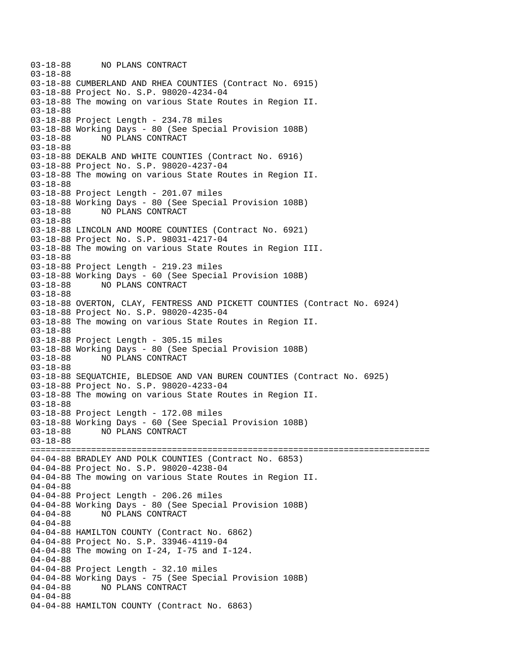03-18-88 NO PLANS CONTRACT 03-18-88 03-18-88 CUMBERLAND AND RHEA COUNTIES (Contract No. 6915) 03-18-88 Project No. S.P. 98020-4234-04 03-18-88 The mowing on various State Routes in Region II. 03-18-88 03-18-88 Project Length - 234.78 miles 03-18-88 Working Days - 80 (See Special Provision 108B) 03-18-88 NO PLANS CONTRACT 03-18-88 03-18-88 DEKALB AND WHITE COUNTIES (Contract No. 6916) 03-18-88 Project No. S.P. 98020-4237-04 03-18-88 The mowing on various State Routes in Region II. 03-18-88 03-18-88 Project Length - 201.07 miles 03-18-88 Working Days - 80 (See Special Provision 108B) 03-18-88 NO PLANS CONTRACT 03-18-88 03-18-88 LINCOLN AND MOORE COUNTIES (Contract No. 6921) 03-18-88 Project No. S.P. 98031-4217-04 03-18-88 The mowing on various State Routes in Region III. 03-18-88 03-18-88 Project Length - 219.23 miles 03-18-88 Working Days - 60 (See Special Provision 108B) 03-18-88 NO PLANS CONTRACT 03-18-88 03-18-88 OVERTON, CLAY, FENTRESS AND PICKETT COUNTIES (Contract No. 6924) 03-18-88 Project No. S.P. 98020-4235-04 03-18-88 The mowing on various State Routes in Region II. 03-18-88 03-18-88 Project Length - 305.15 miles 03-18-88 Working Days - 80 (See Special Provision 108B) NO PLANS CONTRACT 03-18-88 03-18-88 SEQUATCHIE, BLEDSOE AND VAN BUREN COUNTIES (Contract No. 6925) 03-18-88 Project No. S.P. 98020-4233-04 03-18-88 The mowing on various State Routes in Region II. 03-18-88 03-18-88 Project Length - 172.08 miles 03-18-88 Working Days - 60 (See Special Provision 108B) 03-18-88 NO PLANS CONTRACT 03-18-88 =============================================================================== 04-04-88 BRADLEY AND POLK COUNTIES (Contract No. 6853) 04-04-88 Project No. S.P. 98020-4238-04 04-04-88 The mowing on various State Routes in Region II. 04-04-88 04-04-88 Project Length - 206.26 miles 04-04-88 Working Days - 80 (See Special Provision 108B) 04-04-88 NO PLANS CONTRACT 04-04-88 04-04-88 HAMILTON COUNTY (Contract No. 6862) 04-04-88 Project No. S.P. 33946-4119-04 04-04-88 The mowing on I-24, I-75 and I-124. 04-04-88 04-04-88 Project Length - 32.10 miles 04-04-88 Working Days - 75 (See Special Provision 108B)<br>04-04-88 NO PLANS CONTRACT 04-04-88 NO PLANS CONTRACT 04-04-88 04-04-88 HAMILTON COUNTY (Contract No. 6863)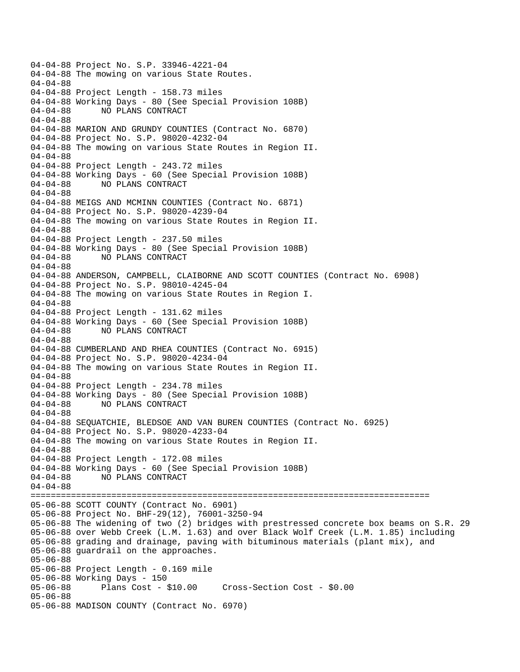04-04-88 Project No. S.P. 33946-4221-04 04-04-88 The mowing on various State Routes. 04-04-88 04-04-88 Project Length - 158.73 miles 04-04-88 Working Days - 80 (See Special Provision 108B) 04-04-88 NO PLANS CONTRACT 04-04-88 04-04-88 MARION AND GRUNDY COUNTIES (Contract No. 6870) 04-04-88 Project No. S.P. 98020-4232-04 04-04-88 The mowing on various State Routes in Region II. 04-04-88 04-04-88 Project Length - 243.72 miles 04-04-88 Working Days - 60 (See Special Provision 108B) 04-04-88 NO PLANS CONTRACT 04-04-88 04-04-88 MEIGS AND MCMINN COUNTIES (Contract No. 6871) 04-04-88 Project No. S.P. 98020-4239-04 04-04-88 The mowing on various State Routes in Region II. 04-04-88 04-04-88 Project Length - 237.50 miles 04-04-88 Working Days - 80 (See Special Provision 108B) 04-04-88 NO PLANS CONTRACT 04-04-88 04-04-88 ANDERSON, CAMPBELL, CLAIBORNE AND SCOTT COUNTIES (Contract No. 6908) 04-04-88 Project No. S.P. 98010-4245-04 04-04-88 The mowing on various State Routes in Region I. 04-04-88 04-04-88 Project Length - 131.62 miles 04-04-88 Working Days - 60 (See Special Provision 108B) 04-04-88 NO PLANS CONTRACT 04-04-88 04-04-88 CUMBERLAND AND RHEA COUNTIES (Contract No. 6915) 04-04-88 Project No. S.P. 98020-4234-04 04-04-88 The mowing on various State Routes in Region II. 04-04-88 04-04-88 Project Length - 234.78 miles 04-04-88 Working Days - 80 (See Special Provision 108B) 04-04-88 NO PLANS CONTRACT 04-04-88 04-04-88 SEQUATCHIE, BLEDSOE AND VAN BUREN COUNTIES (Contract No. 6925) 04-04-88 Project No. S.P. 98020-4233-04 04-04-88 The mowing on various State Routes in Region II. 04-04-88 04-04-88 Project Length - 172.08 miles 04-04-88 Working Days - 60 (See Special Provision 108B) 04-04-88 NO PLANS CONTRACT 04-04-88 =============================================================================== 05-06-88 SCOTT COUNTY (Contract No. 6901) 05-06-88 Project No. BHF-29(12), 76001-3250-94 05-06-88 The widening of two (2) bridges with prestressed concrete box beams on S.R. 29 05-06-88 over Webb Creek (L.M. 1.63) and over Black Wolf Creek (L.M. 1.85) including 05-06-88 grading and drainage, paving with bituminous materials (plant mix), and 05-06-88 guardrail on the approaches. 05-06-88 05-06-88 Project Length - 0.169 mile 05-06-88 Working Days - 150 05-06-88 Plans Cost - \$10.00 Cross-Section Cost - \$0.00 05-06-88 05-06-88 MADISON COUNTY (Contract No. 6970)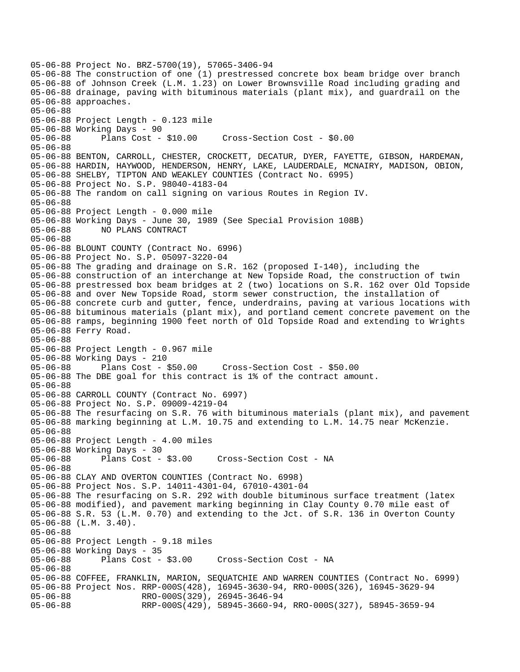05-06-88 Project No. BRZ-5700(19), 57065-3406-94 05-06-88 The construction of one (1) prestressed concrete box beam bridge over branch 05-06-88 of Johnson Creek (L.M. 1.23) on Lower Brownsville Road including grading and 05-06-88 drainage, paving with bituminous materials (plant mix), and guardrail on the 05-06-88 approaches. 05-06-88 05-06-88 Project Length - 0.123 mile 05-06-88 Working Days - 90 05-06-88 Plans Cost - \$10.00 Cross-Section Cost - \$0.00 05-06-88 05-06-88 BENTON, CARROLL, CHESTER, CROCKETT, DECATUR, DYER, FAYETTE, GIBSON, HARDEMAN, 05-06-88 HARDIN, HAYWOOD, HENDERSON, HENRY, LAKE, LAUDERDALE, MCNAIRY, MADISON, OBION, 05-06-88 SHELBY, TIPTON AND WEAKLEY COUNTIES (Contract No. 6995) 05-06-88 Project No. S.P. 98040-4183-04 05-06-88 The random on call signing on various Routes in Region IV. 05-06-88 05-06-88 Project Length - 0.000 mile 05-06-88 Working Days - June 30, 1989 (See Special Provision 108B) 05-06-88 NO PLANS CONTRACT 05-06-88 05-06-88 BLOUNT COUNTY (Contract No. 6996) 05-06-88 Project No. S.P. 05097-3220-04 05-06-88 The grading and drainage on S.R. 162 (proposed I-140), including the 05-06-88 construction of an interchange at New Topside Road, the construction of twin 05-06-88 prestressed box beam bridges at 2 (two) locations on S.R. 162 over Old Topside 05-06-88 and over New Topside Road, storm sewer construction, the installation of 05-06-88 concrete curb and gutter, fence, underdrains, paving at various locations with 05-06-88 bituminous materials (plant mix), and portland cement concrete pavement on the 05-06-88 ramps, beginning 1900 feet north of Old Topside Road and extending to Wrights 05-06-88 Ferry Road. 05-06-88 05-06-88 Project Length - 0.967 mile 05-06-88 Working Days - 210 05-06-88 Plans Cost - \$50.00 Cross-Section Cost - \$50.00 05-06-88 The DBE goal for this contract is 1% of the contract amount. 05-06-88 05-06-88 CARROLL COUNTY (Contract No. 6997) 05-06-88 Project No. S.P. 09009-4219-04 05-06-88 The resurfacing on S.R. 76 with bituminous materials (plant mix), and pavement 05-06-88 marking beginning at L.M. 10.75 and extending to L.M. 14.75 near McKenzie. 05-06-88 05-06-88 Project Length - 4.00 miles 05-06-88 Working Days - 30 05-06-88 Plans Cost - \$3.00 Cross-Section Cost - NA 05-06-88 05-06-88 CLAY AND OVERTON COUNTIES (Contract No. 6998) 05-06-88 Project Nos. S.P. 14011-4301-04, 67010-4301-04 05-06-88 The resurfacing on S.R. 292 with double bituminous surface treatment (latex 05-06-88 modified), and pavement marking beginning in Clay County 0.70 mile east of 05-06-88 S.R. 53 (L.M. 0.70) and extending to the Jct. of S.R. 136 in Overton County 05-06-88 (L.M. 3.40). 05-06-88 05-06-88 Project Length - 9.18 miles 05-06-88 Working Days - 35 Cross-Section Cost - NA 05-06-88 05-06-88 COFFEE, FRANKLIN, MARION, SEQUATCHIE AND WARREN COUNTIES (Contract No. 6999) 05-06-88 Project Nos. RRP-000S(428), 16945-3630-94, RRO-000S(326), 16945-3629-94 05-06-88 RRO-000S(329), 26945-3646-94 05-06-88 RRP-000S(429), 58945-3660-94, RRO-000S(327), 58945-3659-94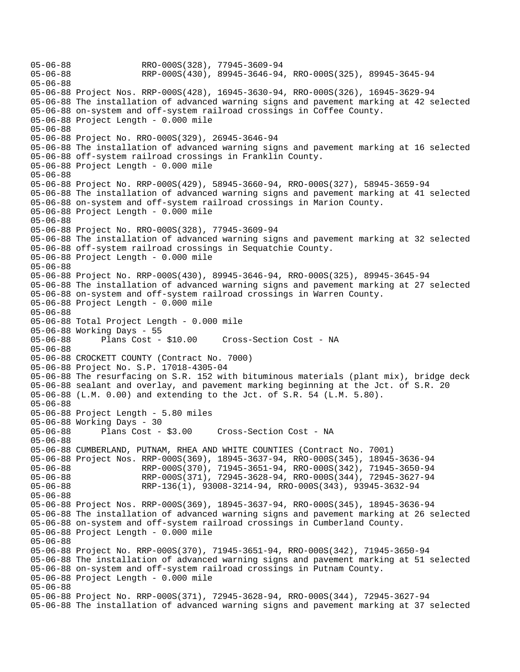05-06-88 RRO-000S(328), 77945-3609-94<br>05-06-88 RRP-000S(430), 89945-3646-94 05-06-88 RRP-000S(430), 89945-3646-94, RRO-000S(325), 89945-3645-94 05-06-88 05-06-88 Project Nos. RRP-000S(428), 16945-3630-94, RRO-000S(326), 16945-3629-94 05-06-88 The installation of advanced warning signs and pavement marking at 42 selected 05-06-88 on-system and off-system railroad crossings in Coffee County. 05-06-88 Project Length - 0.000 mile 05-06-88 05-06-88 Project No. RRO-000S(329), 26945-3646-94 05-06-88 The installation of advanced warning signs and pavement marking at 16 selected 05-06-88 off-system railroad crossings in Franklin County. 05-06-88 Project Length - 0.000 mile 05-06-88 05-06-88 Project No. RRP-000S(429), 58945-3660-94, RRO-000S(327), 58945-3659-94 05-06-88 The installation of advanced warning signs and pavement marking at 41 selected 05-06-88 on-system and off-system railroad crossings in Marion County. 05-06-88 Project Length - 0.000 mile 05-06-88 05-06-88 Project No. RRO-000S(328), 77945-3609-94 05-06-88 The installation of advanced warning signs and pavement marking at 32 selected 05-06-88 off-system railroad crossings in Sequatchie County. 05-06-88 Project Length - 0.000 mile 05-06-88 05-06-88 Project No. RRP-000S(430), 89945-3646-94, RRO-000S(325), 89945-3645-94 05-06-88 The installation of advanced warning signs and pavement marking at 27 selected 05-06-88 on-system and off-system railroad crossings in Warren County. 05-06-88 Project Length - 0.000 mile 05-06-88 05-06-88 Total Project Length - 0.000 mile 05-06-88 Working Days - 55 05-06-88 Plans Cost - \$10.00 Cross-Section Cost - NA 05-06-88 05-06-88 CROCKETT COUNTY (Contract No. 7000) 05-06-88 Project No. S.P. 17018-4305-04 05-06-88 The resurfacing on S.R. 152 with bituminous materials (plant mix), bridge deck 05-06-88 sealant and overlay, and pavement marking beginning at the Jct. of S.R. 20 05-06-88 (L.M. 0.00) and extending to the Jct. of S.R. 54 (L.M. 5.80). 05-06-88 05-06-88 Project Length - 5.80 miles 05-06-88 Working Days - 30 05-06-88 Plans Cost - \$3.00 Cross-Section Cost - NA 05-06-88 05-06-88 CUMBERLAND, PUTNAM, RHEA AND WHITE COUNTIES (Contract No. 7001) 05-06-88 Project Nos. RRP-000S(369), 18945-3637-94, RRO-000S(345), 18945-3636-94 05-06-88 RRP-000S(370), 71945-3651-94, RRO-000S(342), 71945-3650-94 05-06-88 RRP-000S(371), 72945-3628-94, RRO-000S(344), 72945-3627-94 05-06-88 RRP-136(1), 93008-3214-94, RRO-000S(343), 93945-3632-94 05-06-88 05-06-88 Project Nos. RRP-000S(369), 18945-3637-94, RRO-000S(345), 18945-3636-94 05-06-88 The installation of advanced warning signs and pavement marking at 26 selected 05-06-88 on-system and off-system railroad crossings in Cumberland County. 05-06-88 Project Length - 0.000 mile 05-06-88 05-06-88 Project No. RRP-000S(370), 71945-3651-94, RRO-000S(342), 71945-3650-94 05-06-88 The installation of advanced warning signs and pavement marking at 51 selected 05-06-88 on-system and off-system railroad crossings in Putnam County. 05-06-88 Project Length - 0.000 mile 05-06-88 05-06-88 Project No. RRP-000S(371), 72945-3628-94, RRO-000S(344), 72945-3627-94 05-06-88 The installation of advanced warning signs and pavement marking at 37 selected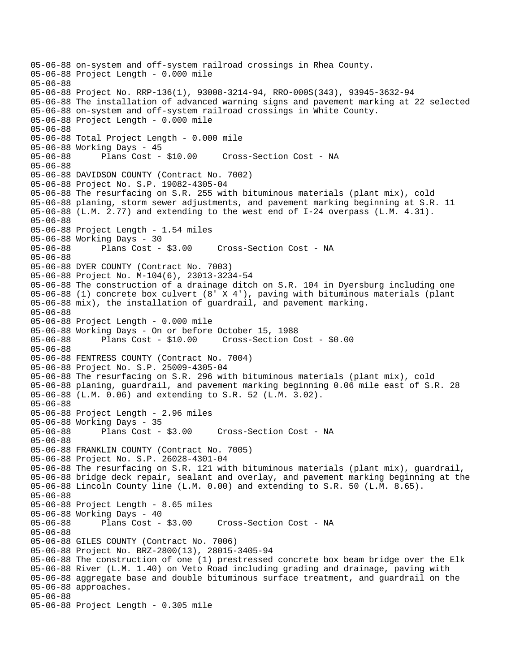```
05-06-88 on-system and off-system railroad crossings in Rhea County. 
05-06-88 Project Length - 0.000 mile 
05-06-88 
05-06-88 Project No. RRP-136(1), 93008-3214-94, RRO-000S(343), 93945-3632-94 
05-06-88 The installation of advanced warning signs and pavement marking at 22 selected 
05-06-88 on-system and off-system railroad crossings in White County. 
05-06-88 Project Length - 0.000 mile 
05-06-88 
05-06-88 Total Project Length - 0.000 mile 
05-06-88 Working Days - 45 
05-06-88 Plans Cost - $10.00 Cross-Section Cost - NA 
05-06-88 
05-06-88 DAVIDSON COUNTY (Contract No. 7002) 
05-06-88 Project No. S.P. 19082-4305-04 
05-06-88 The resurfacing on S.R. 255 with bituminous materials (plant mix), cold 
05-06-88 planing, storm sewer adjustments, and pavement marking beginning at S.R. 11 
05-06-88 (L.M. 2.77) and extending to the west end of I-24 overpass (L.M. 4.31). 
05-06-88 
05-06-88 Project Length - 1.54 miles 
05-06-88 Working Days - 30 
05-06-88 Plans Cost - $3.00 Cross-Section Cost - NA 
05-06-88 
05-06-88 DYER COUNTY (Contract No. 7003) 
05-06-88 Project No. M-104(6), 23013-3234-54 
05-06-88 The construction of a drainage ditch on S.R. 104 in Dyersburg including one 
05-06-88 (1) concrete box culvert (8' X 4'), paving with bituminous materials (plant 
05-06-88 mix), the installation of guardrail, and pavement marking. 
05-06-88 
05-06-88 Project Length - 0.000 mile 
05-06-88 Working Days - On or before October 15, 1988 
05-06-88 Plans Cost - $10.00 Cross-Section Cost - $0.00 
05-06-88 
05-06-88 FENTRESS COUNTY (Contract No. 7004) 
05-06-88 Project No. S.P. 25009-4305-04 
05-06-88 The resurfacing on S.R. 296 with bituminous materials (plant mix), cold 
05-06-88 planing, guardrail, and pavement marking beginning 0.06 mile east of S.R. 28 
05-06-88 (L.M. 0.06) and extending to S.R. 52 (L.M. 3.02). 
05-06-88 
05-06-88 Project Length - 2.96 miles 
05-06-88 Working Days - 35 
05-06-88 Plans Cost - $3.00 Cross-Section Cost - NA 
05-06-88 
05-06-88 FRANKLIN COUNTY (Contract No. 7005) 
05-06-88 Project No. S.P. 26028-4301-04 
05-06-88 The resurfacing on S.R. 121 with bituminous materials (plant mix), guardrail, 
05-06-88 bridge deck repair, sealant and overlay, and pavement marking beginning at the 
05-06-88 Lincoln County line (L.M. 0.00) and extending to S.R. 50 (L.M. 8.65). 
05-06-88 
05-06-88 Project Length - 8.65 miles 
05-06-88 Working Days - 40 
05-06-88 Plans Cost - $3.00 Cross-Section Cost - NA 
05-06-88 
05-06-88 GILES COUNTY (Contract No. 7006) 
05-06-88 Project No. BRZ-2800(13), 28015-3405-94 
05-06-88 The construction of one (1) prestressed concrete box beam bridge over the Elk 
05-06-88 River (L.M. 1.40) on Veto Road including grading and drainage, paving with 
05-06-88 aggregate base and double bituminous surface treatment, and guardrail on the 
05-06-88 approaches. 
05-06-88 
05-06-88 Project Length - 0.305 mile
```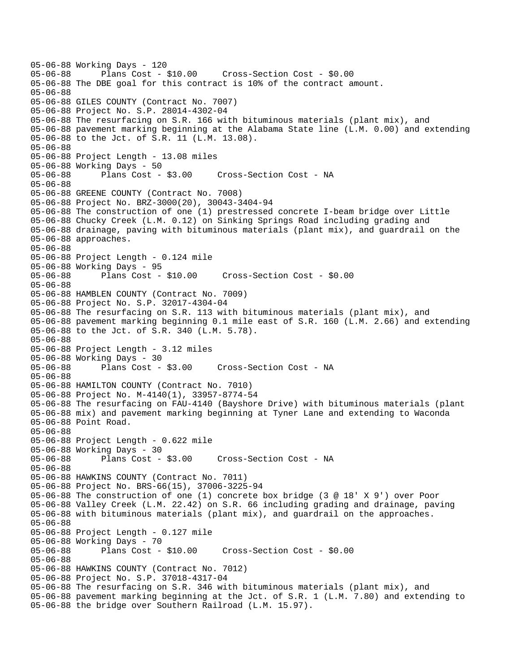05-06-88 Working Days - 120 05-06-88 Plans Cost - \$10.00 Cross-Section Cost - \$0.00 05-06-88 The DBE goal for this contract is 10% of the contract amount. 05-06-88 05-06-88 GILES COUNTY (Contract No. 7007) 05-06-88 Project No. S.P. 28014-4302-04 05-06-88 The resurfacing on S.R. 166 with bituminous materials (plant mix), and 05-06-88 pavement marking beginning at the Alabama State line (L.M. 0.00) and extending 05-06-88 to the Jct. of S.R. 11 (L.M. 13.08). 05-06-88 05-06-88 Project Length - 13.08 miles 05-06-88 Working Days - 50 05-06-88 Plans Cost - \$3.00 Cross-Section Cost - NA 05-06-88 05-06-88 GREENE COUNTY (Contract No. 7008) 05-06-88 Project No. BRZ-3000(20), 30043-3404-94 05-06-88 The construction of one (1) prestressed concrete I-beam bridge over Little 05-06-88 Chucky Creek (L.M. 0.12) on Sinking Springs Road including grading and 05-06-88 drainage, paving with bituminous materials (plant mix), and guardrail on the 05-06-88 approaches. 05-06-88 05-06-88 Project Length - 0.124 mile 05-06-88 Working Days - 95 05-06-88 Plans Cost - \$10.00 Cross-Section Cost - \$0.00 05-06-88 05-06-88 HAMBLEN COUNTY (Contract No. 7009) 05-06-88 Project No. S.P. 32017-4304-04 05-06-88 The resurfacing on S.R. 113 with bituminous materials (plant mix), and 05-06-88 pavement marking beginning 0.1 mile east of S.R. 160 (L.M. 2.66) and extending 05-06-88 to the Jct. of S.R. 340 (L.M. 5.78). 05-06-88 05-06-88 Project Length - 3.12 miles 05-06-88 Working Days - 30 05-06-88 Plans Cost - \$3.00 Cross-Section Cost - NA 05-06-88 05-06-88 HAMILTON COUNTY (Contract No. 7010) 05-06-88 Project No. M-4140(1), 33957-8774-54 05-06-88 The resurfacing on FAU-4140 (Bayshore Drive) with bituminous materials (plant 05-06-88 mix) and pavement marking beginning at Tyner Lane and extending to Waconda 05-06-88 Point Road. 05-06-88 05-06-88 Project Length - 0.622 mile 05-06-88 Working Days - 30 05-06-88 Plans Cost - \$3.00 Cross-Section Cost - NA 05-06-88 05-06-88 HAWKINS COUNTY (Contract No. 7011) 05-06-88 Project No. BRS-66(15), 37006-3225-94 05-06-88 The construction of one (1) concrete box bridge (3 @ 18' X 9') over Poor 05-06-88 Valley Creek (L.M. 22.42) on S.R. 66 including grading and drainage, paving 05-06-88 with bituminous materials (plant mix), and guardrail on the approaches. 05-06-88 05-06-88 Project Length - 0.127 mile 05-06-88 Working Days - 70 05-06-88 Plans Cost - \$10.00 Cross-Section Cost - \$0.00 05-06-88 05-06-88 HAWKINS COUNTY (Contract No. 7012) 05-06-88 Project No. S.P. 37018-4317-04 05-06-88 The resurfacing on S.R. 346 with bituminous materials (plant mix), and 05-06-88 pavement marking beginning at the Jct. of S.R. 1 (L.M. 7.80) and extending to 05-06-88 the bridge over Southern Railroad (L.M. 15.97).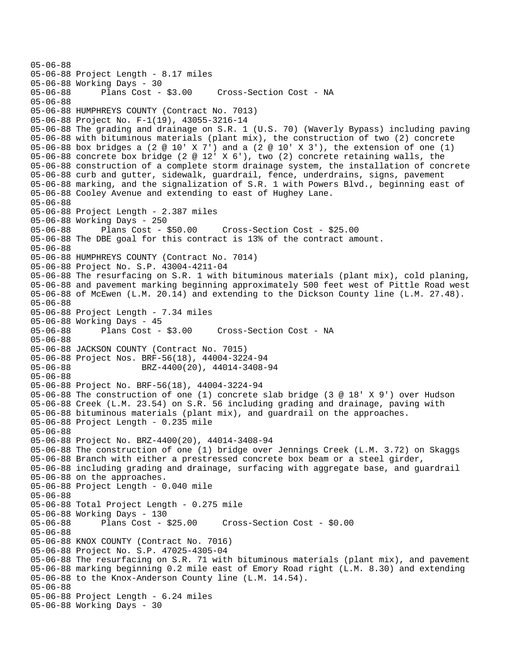05-06-88 Project Length - 8.17 miles 05-06-88 Working Days - 30 05-06-88 Plans Cost - \$3.00 Cross-Section Cost - NA 05-06-88 05-06-88 HUMPHREYS COUNTY (Contract No. 7013) 05-06-88 Project No. F-1(19), 43055-3216-14 05-06-88 The grading and drainage on S.R. 1 (U.S. 70) (Waverly Bypass) including paving 05-06-88 with bituminous materials (plant mix), the construction of two (2) concrete 05-06-88 box bridges a (2 @ 10' X 7') and a (2 @ 10' X 3'), the extension of one (1) 05-06-88 concrete box bridge (2 @ 12' X 6'), two (2) concrete retaining walls, the 05-06-88 construction of a complete storm drainage system, the installation of concrete 05-06-88 curb and gutter, sidewalk, guardrail, fence, underdrains, signs, pavement 05-06-88 marking, and the signalization of S.R. 1 with Powers Blvd., beginning east of 05-06-88 Cooley Avenue and extending to east of Hughey Lane. 05-06-88 05-06-88 Project Length - 2.387 miles 05-06-88 Working Days - 250 05-06-88 Plans Cost - \$50.00 Cross-Section Cost - \$25.00 05-06-88 The DBE goal for this contract is 13% of the contract amount. 05-06-88 05-06-88 HUMPHREYS COUNTY (Contract No. 7014) 05-06-88 Project No. S.P. 43004-4211-04 05-06-88 The resurfacing on S.R. 1 with bituminous materials (plant mix), cold planing, 05-06-88 and pavement marking beginning approximately 500 feet west of Pittle Road west 05-06-88 of McEwen (L.M. 20.14) and extending to the Dickson County line (L.M. 27.48). 05-06-88 05-06-88 Project Length - 7.34 miles 05-06-88 Working Days - 45<br>05-06-88 Plans Cost - \$3.00 05-06-88 Plans Cost - \$3.00 Cross-Section Cost - NA 05-06-88 05-06-88 JACKSON COUNTY (Contract No. 7015) 05-06-88 Project Nos. BRF-56(18), 44004-3224-94 05-06-88 BRZ-4400(20), 44014-3408-94 05-06-88 05-06-88 Project No. BRF-56(18), 44004-3224-94 05-06-88 The construction of one (1) concrete slab bridge (3 @ 18' X 9') over Hudson 05-06-88 Creek (L.M. 23.54) on S.R. 56 including grading and drainage, paving with 05-06-88 bituminous materials (plant mix), and guardrail on the approaches. 05-06-88 Project Length - 0.235 mile 05-06-88 05-06-88 Project No. BRZ-4400(20), 44014-3408-94 05-06-88 The construction of one (1) bridge over Jennings Creek (L.M. 3.72) on Skaggs 05-06-88 Branch with either a prestressed concrete box beam or a steel girder, 05-06-88 including grading and drainage, surfacing with aggregate base, and guardrail 05-06-88 on the approaches. 05-06-88 Project Length - 0.040 mile 05-06-88 05-06-88 Total Project Length - 0.275 mile 05-06-88 Working Days - 130 05-06-88 Plans Cost - \$25.00 Cross-Section Cost - \$0.00 05-06-88 05-06-88 KNOX COUNTY (Contract No. 7016) 05-06-88 Project No. S.P. 47025-4305-04 05-06-88 The resurfacing on S.R. 71 with bituminous materials (plant mix), and pavement 05-06-88 marking beginning 0.2 mile east of Emory Road right (L.M. 8.30) and extending 05-06-88 to the Knox-Anderson County line (L.M. 14.54). 05-06-88 05-06-88 Project Length - 6.24 miles 05-06-88 Working Days - 30

05-06-88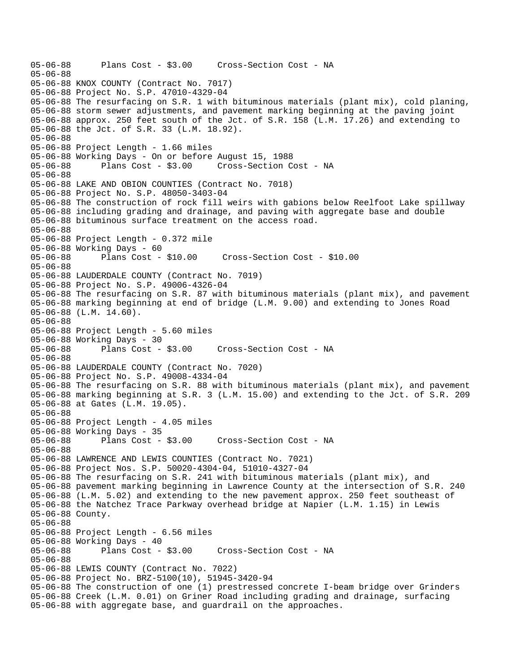05-06-88 Plans Cost - \$3.00 Cross-Section Cost - NA 05-06-88 05-06-88 KNOX COUNTY (Contract No. 7017) 05-06-88 Project No. S.P. 47010-4329-04 05-06-88 The resurfacing on S.R. 1 with bituminous materials (plant mix), cold planing, 05-06-88 storm sewer adjustments, and pavement marking beginning at the paving joint 05-06-88 approx. 250 feet south of the Jct. of S.R. 158 (L.M. 17.26) and extending to 05-06-88 the Jct. of S.R. 33 (L.M. 18.92). 05-06-88 05-06-88 Project Length - 1.66 miles 05-06-88 Working Days - On or before August 15, 1988 05-06-88 Plans Cost - \$3.00 Cross-Section Cost - NA 05-06-88 05-06-88 LAKE AND OBION COUNTIES (Contract No. 7018) 05-06-88 Project No. S.P. 48050-3403-04 05-06-88 The construction of rock fill weirs with gabions below Reelfoot Lake spillway 05-06-88 including grading and drainage, and paving with aggregate base and double 05-06-88 bituminous surface treatment on the access road. 05-06-88 05-06-88 Project Length - 0.372 mile 05-06-88 Working Days - 60 05-06-88 Plans Cost - \$10.00 Cross-Section Cost - \$10.00 05-06-88 05-06-88 LAUDERDALE COUNTY (Contract No. 7019) 05-06-88 Project No. S.P. 49006-4326-04 05-06-88 The resurfacing on S.R. 87 with bituminous materials (plant mix), and pavement 05-06-88 marking beginning at end of bridge (L.M. 9.00) and extending to Jones Road 05-06-88 (L.M. 14.60). 05-06-88 05-06-88 Project Length - 5.60 miles 05-06-88 Working Days - 30 05-06-88 Plans Cost - \$3.00 Cross-Section Cost - NA 05-06-88 05-06-88 LAUDERDALE COUNTY (Contract No. 7020) 05-06-88 Project No. S.P. 49008-4334-04 05-06-88 The resurfacing on S.R. 88 with bituminous materials (plant mix), and pavement 05-06-88 marking beginning at S.R. 3 (L.M. 15.00) and extending to the Jct. of S.R. 209 05-06-88 at Gates (L.M. 19.05). 05-06-88 05-06-88 Project Length - 4.05 miles 05-06-88 Working Days - 35 05-06-88 Plans Cost - \$3.00 Cross-Section Cost - NA 05-06-88 05-06-88 LAWRENCE AND LEWIS COUNTIES (Contract No. 7021) 05-06-88 Project Nos. S.P. 50020-4304-04, 51010-4327-04 05-06-88 The resurfacing on S.R. 241 with bituminous materials (plant mix), and 05-06-88 pavement marking beginning in Lawrence County at the intersection of S.R. 240 05-06-88 (L.M. 5.02) and extending to the new pavement approx. 250 feet southeast of 05-06-88 the Natchez Trace Parkway overhead bridge at Napier (L.M. 1.15) in Lewis 05-06-88 County. 05-06-88 05-06-88 Project Length - 6.56 miles 05-06-88 Working Days - 40 05-06-88 Plans Cost - \$3.00 Cross-Section Cost - NA 05-06-88 05-06-88 LEWIS COUNTY (Contract No. 7022) 05-06-88 Project No. BRZ-5100(10), 51945-3420-94 05-06-88 The construction of one (1) prestressed concrete I-beam bridge over Grinders 05-06-88 Creek (L.M. 0.01) on Griner Road including grading and drainage, surfacing 05-06-88 with aggregate base, and guardrail on the approaches.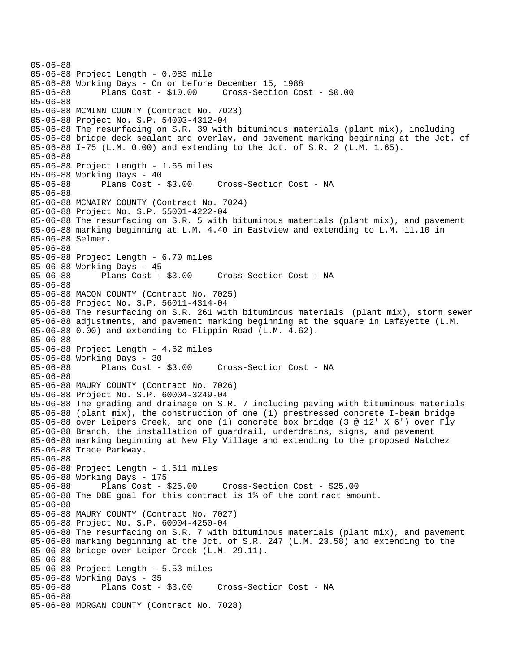```
05-06-88 
05-06-88 Project Length - 0.083 mile 
05-06-88 Working Days - On or before December 15, 1988 
05-06-88 Plans Cost - $10.00 Cross-Section Cost - $0.00 
05-06-88 
05-06-88 MCMINN COUNTY (Contract No. 7023) 
05-06-88 Project No. S.P. 54003-4312-04 
05-06-88 The resurfacing on S.R. 39 with bituminous materials (plant mix), including 
05-06-88 bridge deck sealant and overlay, and pavement marking beginning at the Jct. of 
05-06-88 I-75 (L.M. 0.00) and extending to the Jct. of S.R. 2 (L.M. 1.65). 
05-06-88 
05-06-88 Project Length - 1.65 miles 
05-06-88 Working Days - 40 
05-06-88 Plans Cost - $3.00 Cross-Section Cost - NA 
05-06-88 
05-06-88 MCNAIRY COUNTY (Contract No. 7024) 
05-06-88 Project No. S.P. 55001-4222-04 
05-06-88 The resurfacing on S.R. 5 with bituminous materials (plant mix), and pavement 
05-06-88 marking beginning at L.M. 4.40 in Eastview and extending to L.M. 11.10 in 
05-06-88 Selmer. 
05-06-88 
05-06-88 Project Length - 6.70 miles 
05-06-88 Working Days - 45 
05-06-88 Plans Cost - $3.00 Cross-Section Cost - NA 
05-06-88 
05-06-88 MACON COUNTY (Contract No. 7025) 
05-06-88 Project No. S.P. 56011-4314-04 
05-06-88 The resurfacing on S.R. 261 with bituminous materials (plant mix), storm sewer 
05-06-88 adjustments, and pavement marking beginning at the square in Lafayette (L.M. 
05-06-88 0.00) and extending to Flippin Road (L.M. 4.62). 
05-06-88 
05-06-88 Project Length - 4.62 miles 
05-06-88 Working Days - 30 
05-06-88 Plans Cost - $3.00 Cross-Section Cost - NA 
05-06-88 
05-06-88 MAURY COUNTY (Contract No. 7026) 
05-06-88 Project No. S.P. 60004-3249-04 
05-06-88 The grading and drainage on S.R. 7 including paving with bituminous materials 
05-06-88 (plant mix), the construction of one (1) prestressed concrete I-beam bridge 
05-06-88 over Leipers Creek, and one (1) concrete box bridge (3 @ 12' X 6') over Fly 
05-06-88 Branch, the installation of guardrail, underdrains, signs, and pavement 
05-06-88 marking beginning at New Fly Village and extending to the proposed Natchez 
05-06-88 Trace Parkway. 
05-06-88 
05-06-88 Project Length - 1.511 miles 
05-06-88 Working Days - 175 
05-06-88 Plans Cost - $25.00 Cross-Section Cost - $25.00 
05-06-88 The DBE goal for this contract is 1% of the cont ract amount. 
05-06-88 
05-06-88 MAURY COUNTY (Contract No. 7027) 
05-06-88 Project No. S.P. 60004-4250-04 
05-06-88 The resurfacing on S.R. 7 with bituminous materials (plant mix), and pavement 
05-06-88 marking beginning at the Jct. of S.R. 247 (L.M. 23.58) and extending to the 
05-06-88 bridge over Leiper Creek (L.M. 29.11). 
05-06-88 
05-06-88 Project Length - 5.53 miles 
05-06-88 Working Days - 35 
                                     Cross-Section Cost - NA
05-06-88 
05-06-88 MORGAN COUNTY (Contract No. 7028)
```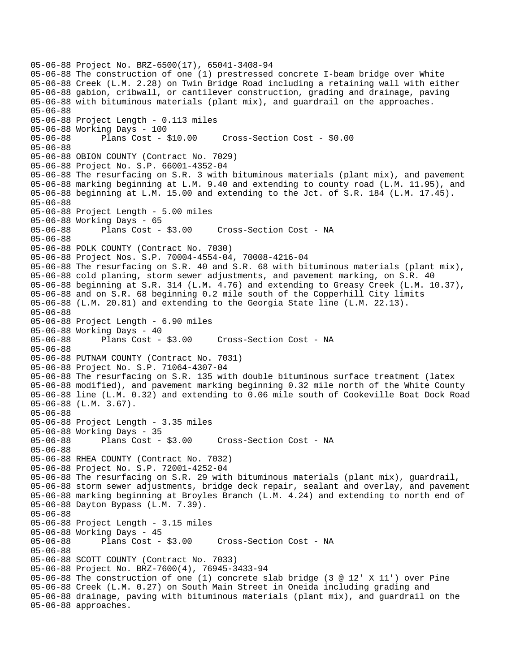05-06-88 Project No. BRZ-6500(17), 65041-3408-94 05-06-88 The construction of one (1) prestressed concrete I-beam bridge over White 05-06-88 Creek (L.M. 2.28) on Twin Bridge Road including a retaining wall with either 05-06-88 gabion, cribwall, or cantilever construction, grading and drainage, paving 05-06-88 with bituminous materials (plant mix), and guardrail on the approaches. 05-06-88 05-06-88 Project Length - 0.113 miles 05-06-88 Working Days - 100 05-06-88 Plans Cost - \$10.00 Cross-Section Cost - \$0.00 05-06-88 05-06-88 OBION COUNTY (Contract No. 7029) 05-06-88 Project No. S.P. 66001-4352-04 05-06-88 The resurfacing on S.R. 3 with bituminous materials (plant mix), and pavement 05-06-88 marking beginning at L.M. 9.40 and extending to county road (L.M. 11.95), and 05-06-88 beginning at L.M. 15.00 and extending to the Jct. of S.R. 184 (L.M. 17.45). 05-06-88 05-06-88 Project Length - 5.00 miles 05-06-88 Working Days - 65 05-06-88 Plans Cost - \$3.00 Cross-Section Cost - NA 05-06-88 05-06-88 POLK COUNTY (Contract No. 7030) 05-06-88 Project Nos. S.P. 70004-4554-04, 70008-4216-04 05-06-88 The resurfacing on S.R. 40 and S.R. 68 with bituminous materials (plant mix), 05-06-88 cold planing, storm sewer adjustments, and pavement marking, on S.R. 40 05-06-88 beginning at S.R. 314 (L.M. 4.76) and extending to Greasy Creek (L.M. 10.37), 05-06-88 and on S.R. 68 beginning 0.2 mile south of the Copperhill City limits 05-06-88 (L.M. 20.81) and extending to the Georgia State line (L.M. 22.13). 05-06-88 05-06-88 Project Length - 6.90 miles 05-06-88 Working Days - 40 05-06-88 Plans Cost - \$3.00 Cross-Section Cost - NA 05-06-88 05-06-88 PUTNAM COUNTY (Contract No. 7031) 05-06-88 Project No. S.P. 71064-4307-04 05-06-88 The resurfacing on S.R. 135 with double bituminous surface treatment (latex 05-06-88 modified), and pavement marking beginning 0.32 mile north of the White County 05-06-88 line (L.M. 0.32) and extending to 0.06 mile south of Cookeville Boat Dock Road 05-06-88 (L.M. 3.67). 05-06-88 05-06-88 Project Length - 3.35 miles 05-06-88 Working Days - 35 05-06-88 Plans Cost - \$3.00 Cross-Section Cost - NA 05-06-88 05-06-88 RHEA COUNTY (Contract No. 7032) 05-06-88 Project No. S.P. 72001-4252-04 05-06-88 The resurfacing on S.R. 29 with bituminous materials (plant mix), guardrail, 05-06-88 storm sewer adjustments, bridge deck repair, sealant and overlay, and pavement 05-06-88 marking beginning at Broyles Branch (L.M. 4.24) and extending to north end of 05-06-88 Dayton Bypass (L.M. 7.39). 05-06-88 05-06-88 Project Length - 3.15 miles 05-06-88 Working Days - 45 05-06-88 Plans Cost - \$3.00 Cross-Section Cost - NA 05-06-88 05-06-88 SCOTT COUNTY (Contract No. 7033) 05-06-88 Project No. BRZ-7600(4), 76945-3433-94 05-06-88 The construction of one (1) concrete slab bridge (3 @ 12' X 11') over Pine 05-06-88 Creek (L.M. 0.27) on South Main Street in Oneida including grading and 05-06-88 drainage, paving with bituminous materials (plant mix), and guardrail on the 05-06-88 approaches.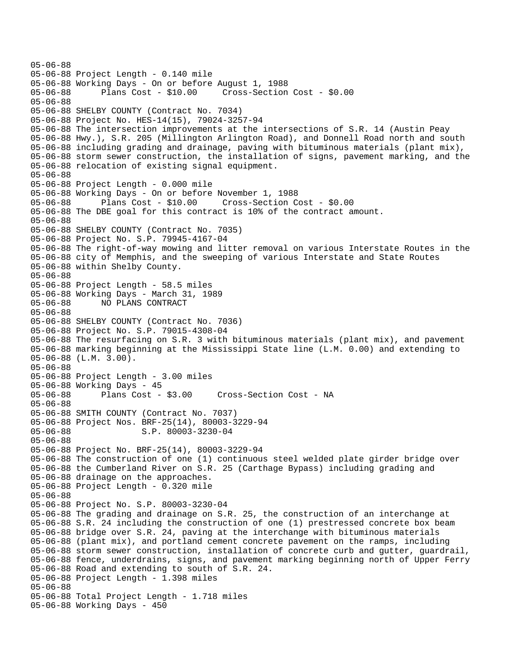05-06-88 05-06-88 Project Length - 0.140 mile 05-06-88 Working Days - On or before August 1, 1988 05-06-88 Plans Cost - \$10.00 Cross-Section Cost - \$0.00 05-06-88 05-06-88 SHELBY COUNTY (Contract No. 7034) 05-06-88 Project No. HES-14(15), 79024-3257-94 05-06-88 The intersection improvements at the intersections of S.R. 14 (Austin Peay 05-06-88 Hwy.), S.R. 205 (Millington Arlington Road), and Donnell Road north and south 05-06-88 including grading and drainage, paving with bituminous materials (plant mix), 05-06-88 storm sewer construction, the installation of signs, pavement marking, and the 05-06-88 relocation of existing signal equipment. 05-06-88 05-06-88 Project Length - 0.000 mile 05-06-88 Working Days - On or before November 1, 1988 05-06-88 Plans Cost - \$10.00 Cross-Section Cost - \$0.00 05-06-88 The DBE goal for this contract is 10% of the contract amount. 05-06-88 05-06-88 SHELBY COUNTY (Contract No. 7035) 05-06-88 Project No. S.P. 79945-4167-04 05-06-88 The right-of-way mowing and litter removal on various Interstate Routes in the 05-06-88 city of Memphis, and the sweeping of various Interstate and State Routes 05-06-88 within Shelby County. 05-06-88 05-06-88 Project Length - 58.5 miles 05-06-88 Working Days - March 31, 1989 05-06-88 NO PLANS CONTRACT 05-06-88 05-06-88 SHELBY COUNTY (Contract No. 7036) 05-06-88 Project No. S.P. 79015-4308-04 05-06-88 The resurfacing on S.R. 3 with bituminous materials (plant mix), and pavement 05-06-88 marking beginning at the Mississippi State line (L.M. 0.00) and extending to 05-06-88 (L.M. 3.00). 05-06-88 05-06-88 Project Length - 3.00 miles 05-06-88 Working Days - 45 05-06-88 Plans Cost - \$3.00 Cross-Section Cost - NA 05-06-88 05-06-88 SMITH COUNTY (Contract No. 7037) 05-06-88 Project Nos. BRF-25(14), 80003-3229-94 05-06-88 S.P. 80003-3230-04 05-06-88 05-06-88 Project No. BRF-25(14), 80003-3229-94 05-06-88 The construction of one (1) continuous steel welded plate girder bridge over 05-06-88 the Cumberland River on S.R. 25 (Carthage Bypass) including grading and 05-06-88 drainage on the approaches. 05-06-88 Project Length - 0.320 mile 05-06-88 05-06-88 Project No. S.P. 80003-3230-04 05-06-88 The grading and drainage on S.R. 25, the construction of an interchange at 05-06-88 S.R. 24 including the construction of one (1) prestressed concrete box beam 05-06-88 bridge over S.R. 24, paving at the interchange with bituminous materials 05-06-88 (plant mix), and portland cement concrete pavement on the ramps, including 05-06-88 storm sewer construction, installation of concrete curb and gutter, guardrail, 05-06-88 fence, underdrains, signs, and pavement marking beginning north of Upper Ferry 05-06-88 Road and extending to south of S.R. 24. 05-06-88 Project Length - 1.398 miles 05-06-88 05-06-88 Total Project Length - 1.718 miles 05-06-88 Working Days - 450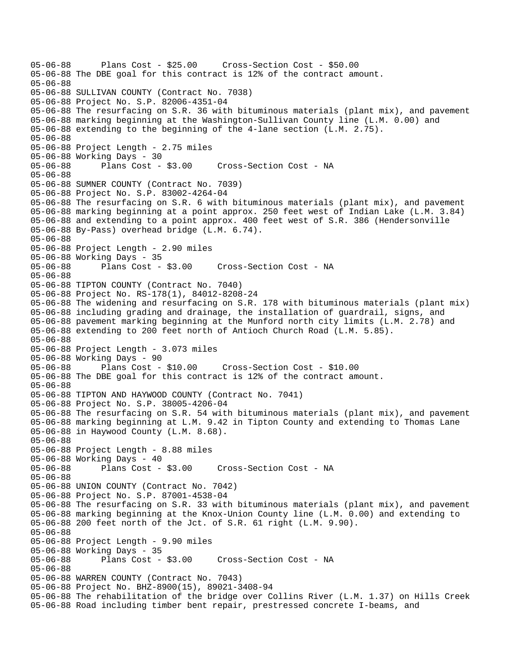05-06-88 Plans Cost - \$25.00 Cross-Section Cost - \$50.00 05-06-88 The DBE goal for this contract is 12% of the contract amount. 05-06-88 05-06-88 SULLIVAN COUNTY (Contract No. 7038) 05-06-88 Project No. S.P. 82006-4351-04 05-06-88 The resurfacing on S.R. 36 with bituminous materials (plant mix), and pavement 05-06-88 marking beginning at the Washington-Sullivan County line (L.M. 0.00) and 05-06-88 extending to the beginning of the 4-lane section (L.M. 2.75). 05-06-88 05-06-88 Project Length - 2.75 miles 05-06-88 Working Days - 30 05-06-88 Plans Cost - \$3.00 Cross-Section Cost - NA 05-06-88 05-06-88 SUMNER COUNTY (Contract No. 7039) 05-06-88 Project No. S.P. 83002-4264-04 05-06-88 The resurfacing on S.R. 6 with bituminous materials (plant mix), and pavement 05-06-88 marking beginning at a point approx. 250 feet west of Indian Lake (L.M. 3.84) 05-06-88 and extending to a point approx. 400 feet west of S.R. 386 (Hendersonville 05-06-88 By-Pass) overhead bridge (L.M. 6.74). 05-06-88 05-06-88 Project Length - 2.90 miles 05-06-88 Working Days - 35 Cross-Section Cost - NA 05-06-88 05-06-88 TIPTON COUNTY (Contract No. 7040) 05-06-88 Project No. RS-178(1), 84012-8208-24 05-06-88 The widening and resurfacing on S.R. 178 with bituminous materials (plant mix) 05-06-88 including grading and drainage, the installation of guardrail, signs, and 05-06-88 pavement marking beginning at the Munford north city limits (L.M. 2.78) and 05-06-88 extending to 200 feet north of Antioch Church Road (L.M. 5.85). 05-06-88 05-06-88 Project Length - 3.073 miles 05-06-88 Working Days - 90 05-06-88 Plans Cost - \$10.00 Cross-Section Cost - \$10.00 05-06-88 The DBE goal for this contract is 12% of the contract amount. 05-06-88 05-06-88 TIPTON AND HAYWOOD COUNTY (Contract No. 7041) 05-06-88 Project No. S.P. 38005-4206-04 05-06-88 The resurfacing on S.R. 54 with bituminous materials (plant mix), and pavement 05-06-88 marking beginning at L.M. 9.42 in Tipton County and extending to Thomas Lane 05-06-88 in Haywood County (L.M. 8.68). 05-06-88 05-06-88 Project Length - 8.88 miles 05-06-88 Working Days - 40 05-06-88 Plans Cost - \$3.00 Cross-Section Cost - NA 05-06-88 05-06-88 UNION COUNTY (Contract No. 7042) 05-06-88 Project No. S.P. 87001-4538-04 05-06-88 The resurfacing on S.R. 33 with bituminous materials (plant mix), and pavement 05-06-88 marking beginning at the Knox-Union County line (L.M. 0.00) and extending to 05-06-88 200 feet north of the Jct. of S.R. 61 right (L.M. 9.90). 05-06-88 05-06-88 Project Length - 9.90 miles 05-06-88 Working Days - 35 Cross-Section Cost - NA 05-06-88 05-06-88 WARREN COUNTY (Contract No. 7043) 05-06-88 Project No. BHZ-8900(15), 89021-3408-94 05-06-88 The rehabilitation of the bridge over Collins River (L.M. 1.37) on Hills Creek 05-06-88 Road including timber bent repair, prestressed concrete I-beams, and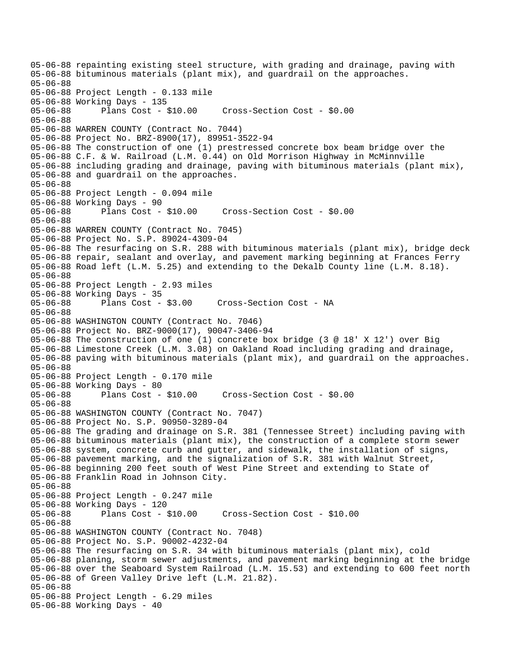05-06-88 repainting existing steel structure, with grading and drainage, paving with 05-06-88 bituminous materials (plant mix), and guardrail on the approaches. 05-06-88 05-06-88 Project Length - 0.133 mile 05-06-88 Working Days - 135 05-06-88 Plans Cost - \$10.00 Cross-Section Cost - \$0.00 05-06-88 05-06-88 WARREN COUNTY (Contract No. 7044) 05-06-88 Project No. BRZ-8900(17), 89951-3522-94 05-06-88 The construction of one (1) prestressed concrete box beam bridge over the 05-06-88 C.F. & W. Railroad (L.M. 0.44) on Old Morrison Highway in McMinnville 05-06-88 including grading and drainage, paving with bituminous materials (plant mix), 05-06-88 and guardrail on the approaches. 05-06-88 05-06-88 Project Length - 0.094 mile 05-06-88 Working Days - 90 05-06-88 Plans Cost - \$10.00 Cross-Section Cost - \$0.00 05-06-88 05-06-88 WARREN COUNTY (Contract No. 7045) 05-06-88 Project No. S.P. 89024-4309-04 05-06-88 The resurfacing on S.R. 288 with bituminous materials (plant mix), bridge deck 05-06-88 repair, sealant and overlay, and pavement marking beginning at Frances Ferry 05-06-88 Road left (L.M. 5.25) and extending to the Dekalb County line (L.M. 8.18). 05-06-88 05-06-88 Project Length - 2.93 miles 05-06-88 Working Days - 35 05-06-88 Plans Cost - \$3.00 Cross-Section Cost - NA 05-06-88 05-06-88 WASHINGTON COUNTY (Contract No. 7046) 05-06-88 Project No. BRZ-9000(17), 90047-3406-94 05-06-88 The construction of one (1) concrete box bridge (3 @ 18' X 12') over Big 05-06-88 Limestone Creek (L.M. 3.08) on Oakland Road including grading and drainage, 05-06-88 paving with bituminous materials (plant mix), and guardrail on the approaches. 05-06-88 05-06-88 Project Length - 0.170 mile 05-06-88 Working Days - 80 05-06-88 Plans Cost - \$10.00 Cross-Section Cost - \$0.00 05-06-88 05-06-88 WASHINGTON COUNTY (Contract No. 7047) 05-06-88 Project No. S.P. 90950-3289-04 05-06-88 The grading and drainage on S.R. 381 (Tennessee Street) including paving with 05-06-88 bituminous materials (plant mix), the construction of a complete storm sewer 05-06-88 system, concrete curb and gutter, and sidewalk, the installation of signs, 05-06-88 pavement marking, and the signalization of S.R. 381 with Walnut Street, 05-06-88 beginning 200 feet south of West Pine Street and extending to State of 05-06-88 Franklin Road in Johnson City. 05-06-88 05-06-88 Project Length - 0.247 mile 05-06-88 Working Days - 120 05-06-88 Plans Cost - \$10.00 Cross-Section Cost - \$10.00 05-06-88 05-06-88 WASHINGTON COUNTY (Contract No. 7048) 05-06-88 Project No. S.P. 90002-4232-04 05-06-88 The resurfacing on S.R. 34 with bituminous materials (plant mix), cold 05-06-88 planing, storm sewer adjustments, and pavement marking beginning at the bridge 05-06-88 over the Seaboard System Railroad (L.M. 15.53) and extending to 600 feet north 05-06-88 of Green Valley Drive left (L.M. 21.82). 05-06-88 05-06-88 Project Length - 6.29 miles 05-06-88 Working Days - 40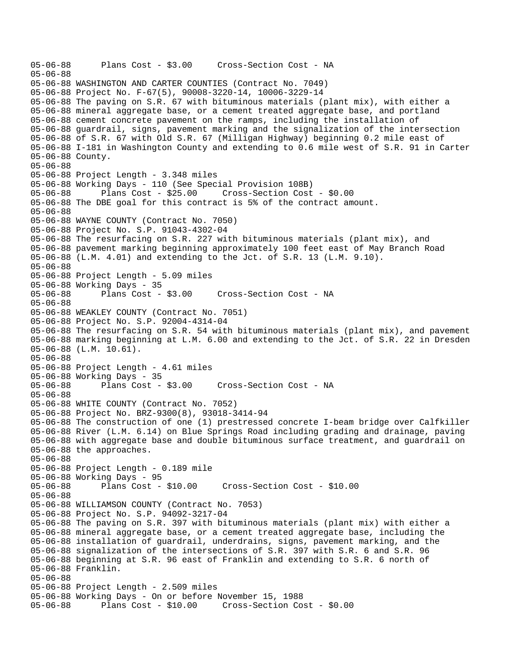```
05-06-88 Plans Cost - $3.00 Cross-Section Cost - NA 
05-06-88 
05-06-88 WASHINGTON AND CARTER COUNTIES (Contract No. 7049) 
05-06-88 Project No. F-67(5), 90008-3220-14, 10006-3229-14 
05-06-88 The paving on S.R. 67 with bituminous materials (plant mix), with either a 
05-06-88 mineral aggregate base, or a cement treated aggregate base, and portland 
05-06-88 cement concrete pavement on the ramps, including the installation of 
05-06-88 guardrail, signs, pavement marking and the signalization of the intersection 
05-06-88 of S.R. 67 with Old S.R. 67 (Milligan Highway) beginning 0.2 mile east of 
05-06-88 I-181 in Washington County and extending to 0.6 mile west of S.R. 91 in Carter 
05-06-88 County. 
05-06-88 
05-06-88 Project Length - 3.348 miles 
05-06-88 Working Days - 110 (See Special Provision 108B) 
                                     05-06-88 Plans Cost - $25.00 Cross-Section Cost - $0.00 
05-06-88 The DBE goal for this contract is 5% of the contract amount. 
05-06-88 
05-06-88 WAYNE COUNTY (Contract No. 7050) 
05-06-88 Project No. S.P. 91043-4302-04 
05-06-88 The resurfacing on S.R. 227 with bituminous materials (plant mix), and 
05-06-88 pavement marking beginning approximately 100 feet east of May Branch Road 
05-06-88 (L.M. 4.01) and extending to the Jct. of S.R. 13 (L.M. 9.10). 
05-06-88 
05-06-88 Project Length - 5.09 miles 
05-06-88 Working Days - 35 
05-06-88 Plans Cost - $3.00 Cross-Section Cost - NA 
05-06-88 
05-06-88 WEAKLEY COUNTY (Contract No. 7051) 
05-06-88 Project No. S.P. 92004-4314-04 
05-06-88 The resurfacing on S.R. 54 with bituminous materials (plant mix), and pavement 
05-06-88 marking beginning at L.M. 6.00 and extending to the Jct. of S.R. 22 in Dresden 
05-06-88 (L.M. 10.61). 
05-06-88 
05-06-88 Project Length - 4.61 miles 
05-06-88 Working Days - 35 
05-06-88 Plans Cost - $3.00 Cross-Section Cost - NA 
05-06-88 
05-06-88 WHITE COUNTY (Contract No. 7052) 
05-06-88 Project No. BRZ-9300(8), 93018-3414-94 
05-06-88 The construction of one (1) prestressed concrete I-beam bridge over Calfkiller 
05-06-88 River (L.M. 6.14) on Blue Springs Road including grading and drainage, paving 
05-06-88 with aggregate base and double bituminous surface treatment, and guardrail on 
05-06-88 the approaches. 
05-06-88 
05-06-88 Project Length - 0.189 mile 
05-06-88 Working Days - 95 
05-06-88 Plans Cost - $10.00 Cross-Section Cost - $10.00 
05-06-88 
05-06-88 WILLIAMSON COUNTY (Contract No. 7053) 
05-06-88 Project No. S.P. 94092-3217-04 
05-06-88 The paving on S.R. 397 with bituminous materials (plant mix) with either a 
05-06-88 mineral aggregate base, or a cement treated aggregate base, including the 
05-06-88 installation of guardrail, underdrains, signs, pavement marking, and the 
05-06-88 signalization of the intersections of S.R. 397 with S.R. 6 and S.R. 96 
05-06-88 beginning at S.R. 96 east of Franklin and extending to S.R. 6 north of 
05-06-88 Franklin. 
05-06-88 
05-06-88 Project Length - 2.509 miles 
05-06-88 Working Days - On or before November 15, 1988 
05-06-88 Plans Cost - $10.00 Cross-Section Cost - $0.00
```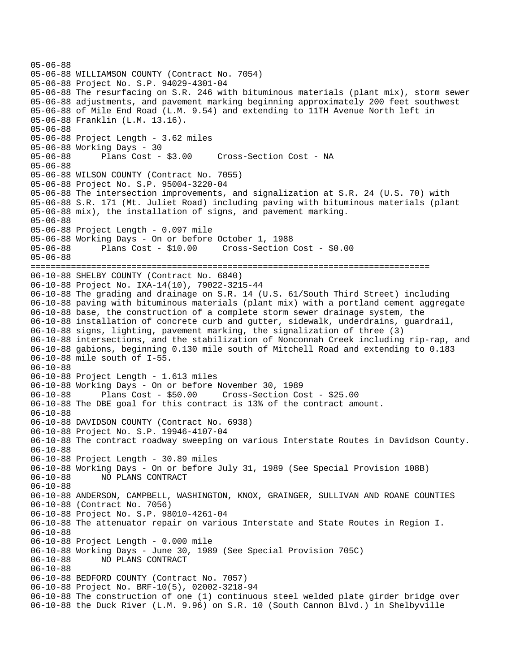```
05-06-88 
05-06-88 WILLIAMSON COUNTY (Contract No. 7054) 
05-06-88 Project No. S.P. 94029-4301-04 
05-06-88 The resurfacing on S.R. 246 with bituminous materials (plant mix), storm sewer 
05-06-88 adjustments, and pavement marking beginning approximately 200 feet southwest 
05-06-88 of Mile End Road (L.M. 9.54) and extending to 11TH Avenue North left in 
05-06-88 Franklin (L.M. 13.16). 
05-06-88 
05-06-88 Project Length - 3.62 miles 
05-06-88 Working Days - 30 
05-06-88 Plans Cost - $3.00 Cross-Section Cost - NA 
05-06-88 
05-06-88 WILSON COUNTY (Contract No. 7055) 
05-06-88 Project No. S.P. 95004-3220-04 
05-06-88 The intersection improvements, and signalization at S.R. 24 (U.S. 70) with 
05-06-88 S.R. 171 (Mt. Juliet Road) including paving with bituminous materials (plant 
05-06-88 mix), the installation of signs, and pavement marking. 
05-06-88 
05-06-88 Project Length - 0.097 mile 
05-06-88 Working Days - On or before October 1, 1988 
05-06-88 Plans Cost - $10.00 Cross-Section Cost - $0.00 
05-06-88 
=============================================================================== 
06-10-88 SHELBY COUNTY (Contract No. 6840) 
06-10-88 Project No. IXA-14(10), 79022-3215-44 
06-10-88 The grading and drainage on S.R. 14 (U.S. 61/South Third Street) including 
06-10-88 paving with bituminous materials (plant mix) with a portland cement aggregate 
06-10-88 base, the construction of a complete storm sewer drainage system, the 
06-10-88 installation of concrete curb and gutter, sidewalk, underdrains, guardrail, 
06-10-88 signs, lighting, pavement marking, the signalization of three (3) 
06-10-88 intersections, and the stabilization of Nonconnah Creek including rip-rap, and 
06-10-88 gabions, beginning 0.130 mile south of Mitchell Road and extending to 0.183 
06-10-88 mile south of I-55. 
06-10-88 
06-10-88 Project Length - 1.613 miles 
06-10-88 Working Days - On or before November 30, 1989 
06-10-88 Plans Cost - $50.00 Cross-Section Cost - $25.00 
06-10-88 The DBE goal for this contract is 13% of the contract amount. 
06-10-88 
06-10-88 DAVIDSON COUNTY (Contract No. 6938) 
06-10-88 Project No. S.P. 19946-4107-04 
06-10-88 The contract roadway sweeping on various Interstate Routes in Davidson County. 
06-10-88 
06-10-88 Project Length - 30.89 miles 
06-10-88 Working Days - On or before July 31, 1989 (See Special Provision 108B) 
06-10-88 NO PLANS CONTRACT 
06-10-88 
06-10-88 ANDERSON, CAMPBELL, WASHINGTON, KNOX, GRAINGER, SULLIVAN AND ROANE COUNTIES 
06-10-88 (Contract No. 7056) 
06-10-88 Project No. S.P. 98010-4261-04 
06-10-88 The attenuator repair on various Interstate and State Routes in Region I. 
06-10-88 
06-10-88 Project Length - 0.000 mile 
06-10-88 Working Days - June 30, 1989 (See Special Provision 705C) 
              06-10-88 NO PLANS CONTRACT 
06-10-88 
06-10-88 BEDFORD COUNTY (Contract No. 7057) 
06-10-88 Project No. BRF-10(5), 02002-3218-94 
06-10-88 The construction of one (1) continuous steel welded plate girder bridge over 
06-10-88 the Duck River (L.M. 9.96) on S.R. 10 (South Cannon Blvd.) in Shelbyville
```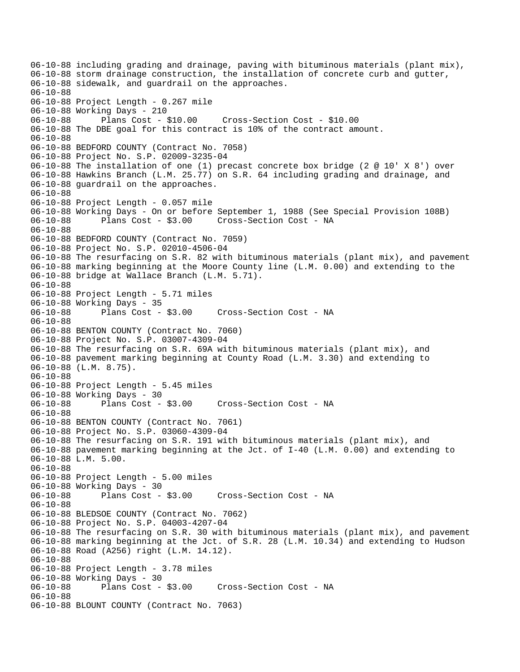06-10-88 including grading and drainage, paving with bituminous materials (plant mix), 06-10-88 storm drainage construction, the installation of concrete curb and gutter, 06-10-88 sidewalk, and guardrail on the approaches. 06-10-88 06-10-88 Project Length - 0.267 mile 06-10-88 Working Days - 210 06-10-88 Plans Cost - \$10.00 Cross-Section Cost - \$10.00 06-10-88 The DBE goal for this contract is 10% of the contract amount. 06-10-88 06-10-88 BEDFORD COUNTY (Contract No. 7058) 06-10-88 Project No. S.P. 02009-3235-04 06-10-88 The installation of one (1) precast concrete box bridge (2 @ 10' X 8') over 06-10-88 Hawkins Branch (L.M. 25.77) on S.R. 64 including grading and drainage, and 06-10-88 guardrail on the approaches. 06-10-88 06-10-88 Project Length - 0.057 mile 06-10-88 Working Days - On or before September 1, 1988 (See Special Provision 108B) 06-10-88 Plans Cost - \$3.00 Cross-Section Cost - NA 06-10-88 06-10-88 BEDFORD COUNTY (Contract No. 7059) 06-10-88 Project No. S.P. 02010-4506-04 06-10-88 The resurfacing on S.R. 82 with bituminous materials (plant mix), and pavement 06-10-88 marking beginning at the Moore County line (L.M. 0.00) and extending to the 06-10-88 bridge at Wallace Branch (L.M. 5.71). 06-10-88 06-10-88 Project Length - 5.71 miles 06-10-88 Working Days - 35 06-10-88 Plans Cost - \$3.00 Cross-Section Cost - NA 06-10-88 06-10-88 BENTON COUNTY (Contract No. 7060) 06-10-88 Project No. S.P. 03007-4309-04 06-10-88 The resurfacing on S.R. 69A with bituminous materials (plant mix), and 06-10-88 pavement marking beginning at County Road (L.M. 3.30) and extending to 06-10-88 (L.M. 8.75). 06-10-88 06-10-88 Project Length - 5.45 miles 06-10-88 Working Days - 30<br>06-10-88 Plans Cost - \$3.00 06-10-88 Plans Cost - \$3.00 Cross-Section Cost - NA 06-10-88 06-10-88 BENTON COUNTY (Contract No. 7061) 06-10-88 Project No. S.P. 03060-4309-04 06-10-88 The resurfacing on S.R. 191 with bituminous materials (plant mix), and 06-10-88 pavement marking beginning at the Jct. of I-40 (L.M. 0.00) and extending to 06-10-88 L.M. 5.00. 06-10-88 06-10-88 Project Length - 5.00 miles 06-10-88 Working Days - 30<br>06-10-88 Plans Cost - \$3.00 06-10-88 Plans Cost - \$3.00 Cross-Section Cost - NA 06-10-88 06-10-88 BLEDSOE COUNTY (Contract No. 7062) 06-10-88 Project No. S.P. 04003-4207-04 06-10-88 The resurfacing on S.R. 30 with bituminous materials (plant mix), and pavement 06-10-88 marking beginning at the Jct. of S.R. 28 (L.M. 10.34) and extending to Hudson 06-10-88 Road (A256) right (L.M. 14.12). 06-10-88 06-10-88 Project Length - 3.78 miles 06-10-88 Working Days - 30 Cross-Section Cost - NA 06-10-88 06-10-88 BLOUNT COUNTY (Contract No. 7063)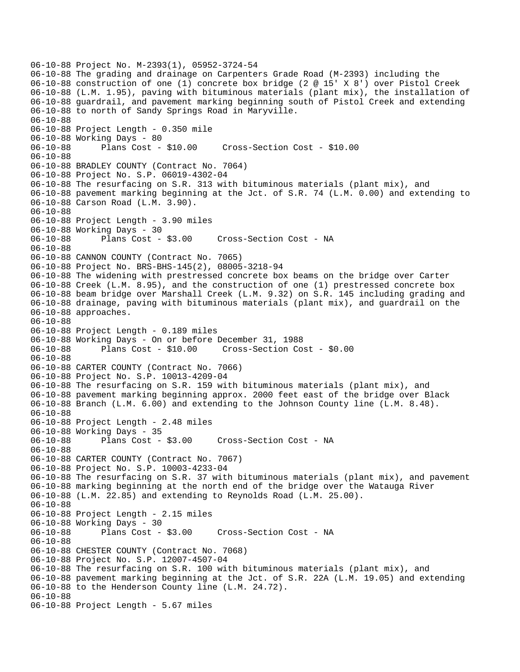06-10-88 Project No. M-2393(1), 05952-3724-54 06-10-88 The grading and drainage on Carpenters Grade Road (M-2393) including the 06-10-88 construction of one (1) concrete box bridge (2 @ 15' X 8') over Pistol Creek 06-10-88 (L.M. 1.95), paving with bituminous materials (plant mix), the installation of 06-10-88 guardrail, and pavement marking beginning south of Pistol Creek and extending 06-10-88 to north of Sandy Springs Road in Maryville. 06-10-88 06-10-88 Project Length - 0.350 mile 06-10-88 Working Days - 80 06-10-88 Plans Cost - \$10.00 Cross-Section Cost - \$10.00 06-10-88 06-10-88 BRADLEY COUNTY (Contract No. 7064) 06-10-88 Project No. S.P. 06019-4302-04 06-10-88 The resurfacing on S.R. 313 with bituminous materials (plant mix), and 06-10-88 pavement marking beginning at the Jct. of S.R. 74 (L.M. 0.00) and extending to 06-10-88 Carson Road (L.M. 3.90). 06-10-88 06-10-88 Project Length - 3.90 miles 06-10-88 Working Days - 30 06-10-88 Plans Cost - \$3.00 Cross-Section Cost - NA 06-10-88 06-10-88 CANNON COUNTY (Contract No. 7065) 06-10-88 Project No. BRS-BHS-145(2), 08005-3218-94 06-10-88 The widening with prestressed concrete box beams on the bridge over Carter 06-10-88 Creek (L.M. 8.95), and the construction of one (1) prestressed concrete box 06-10-88 beam bridge over Marshall Creek (L.M. 9.32) on S.R. 145 including grading and 06-10-88 drainage, paving with bituminous materials (plant mix), and guardrail on the 06-10-88 approaches. 06-10-88 06-10-88 Project Length - 0.189 miles 06-10-88 Working Days - On or before December 31, 1988 06-10-88 Plans Cost - \$10.00 Cross-Section Cost - \$0.00 06-10-88 06-10-88 CARTER COUNTY (Contract No. 7066) 06-10-88 Project No. S.P. 10013-4209-04 06-10-88 The resurfacing on S.R. 159 with bituminous materials (plant mix), and 06-10-88 pavement marking beginning approx. 2000 feet east of the bridge over Black 06-10-88 Branch (L.M. 6.00) and extending to the Johnson County line (L.M. 8.48). 06-10-88 06-10-88 Project Length - 2.48 miles 06-10-88 Working Days - 35 06-10-88 Plans Cost - \$3.00 Cross-Section Cost - NA 06-10-88 06-10-88 CARTER COUNTY (Contract No. 7067) 06-10-88 Project No. S.P. 10003-4233-04 06-10-88 The resurfacing on S.R. 37 with bituminous materials (plant mix), and pavement 06-10-88 marking beginning at the north end of the bridge over the Watauga River 06-10-88 (L.M. 22.85) and extending to Reynolds Road (L.M. 25.00). 06-10-88 06-10-88 Project Length - 2.15 miles 06-10-88 Working Days - 30 06-10-88 Plans Cost - \$3.00 Cross-Section Cost - NA 06-10-88 06-10-88 CHESTER COUNTY (Contract No. 7068) 06-10-88 Project No. S.P. 12007-4507-04 06-10-88 The resurfacing on S.R. 100 with bituminous materials (plant mix), and 06-10-88 pavement marking beginning at the Jct. of S.R. 22A (L.M. 19.05) and extending 06-10-88 to the Henderson County line (L.M. 24.72). 06-10-88 06-10-88 Project Length - 5.67 miles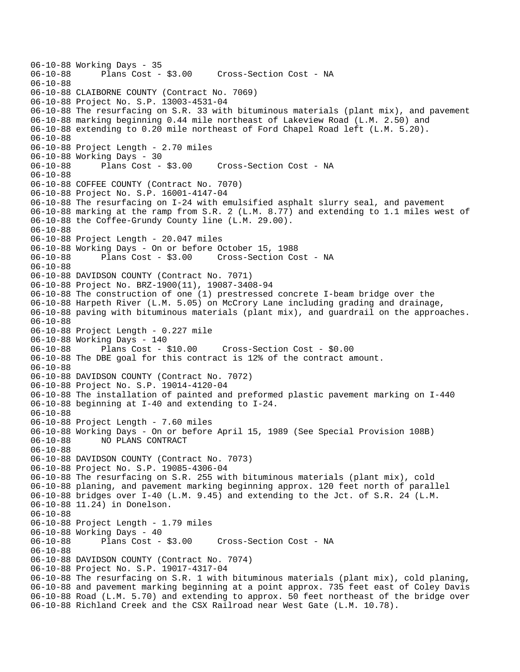06-10-88 Working Days - 35<br>06-10-88 Plans Cost -Plans Cost - \$3.00 Cross-Section Cost - NA 06-10-88 06-10-88 CLAIBORNE COUNTY (Contract No. 7069) 06-10-88 Project No. S.P. 13003-4531-04 06-10-88 The resurfacing on S.R. 33 with bituminous materials (plant mix), and pavement 06-10-88 marking beginning 0.44 mile northeast of Lakeview Road (L.M. 2.50) and 06-10-88 extending to 0.20 mile northeast of Ford Chapel Road left (L.M. 5.20). 06-10-88 06-10-88 Project Length - 2.70 miles 06-10-88 Working Days - 30 06-10-88 Plans Cost - \$3.00 Cross-Section Cost - NA 06-10-88 06-10-88 COFFEE COUNTY (Contract No. 7070) 06-10-88 Project No. S.P. 16001-4147-04 06-10-88 The resurfacing on I-24 with emulsified asphalt slurry seal, and pavement 06-10-88 marking at the ramp from S.R. 2 (L.M. 8.77) and extending to 1.1 miles west of 06-10-88 the Coffee-Grundy County line (L.M. 29.00). 06-10-88 06-10-88 Project Length - 20.047 miles 06-10-88 Working Days - On or before October 15, 1988 06-10-88 Plans Cost - \$3.00 Cross-Section Cost - NA 06-10-88 06-10-88 DAVIDSON COUNTY (Contract No. 7071) 06-10-88 Project No. BRZ-1900(11), 19087-3408-94 06-10-88 The construction of one (1) prestressed concrete I-beam bridge over the 06-10-88 Harpeth River (L.M. 5.05) on McCrory Lane including grading and drainage, 06-10-88 paving with bituminous materials (plant mix), and guardrail on the approaches. 06-10-88 06-10-88 Project Length - 0.227 mile 06-10-88 Working Days - 140 06-10-88 Plans Cost - \$10.00 Cross-Section Cost - \$0.00 06-10-88 The DBE goal for this contract is 12% of the contract amount. 06-10-88 06-10-88 DAVIDSON COUNTY (Contract No. 7072) 06-10-88 Project No. S.P. 19014-4120-04 06-10-88 The installation of painted and preformed plastic pavement marking on I-440 06-10-88 beginning at I-40 and extending to I-24. 06-10-88 06-10-88 Project Length - 7.60 miles 06-10-88 Working Days - On or before April 15, 1989 (See Special Provision 108B) 06-10-88 NO PLANS CONTRACT 06-10-88 06-10-88 DAVIDSON COUNTY (Contract No. 7073) 06-10-88 Project No. S.P. 19085-4306-04 06-10-88 The resurfacing on S.R. 255 with bituminous materials (plant mix), cold 06-10-88 planing, and pavement marking beginning approx. 120 feet north of parallel 06-10-88 bridges over I-40 (L.M. 9.45) and extending to the Jct. of S.R. 24 (L.M. 06-10-88 11.24) in Donelson. 06-10-88 06-10-88 Project Length - 1.79 miles 06-10-88 Working Days - 40 06-10-88 Plans Cost - \$3.00 Cross-Section Cost - NA 06-10-88 06-10-88 DAVIDSON COUNTY (Contract No. 7074) 06-10-88 Project No. S.P. 19017-4317-04 06-10-88 The resurfacing on S.R. 1 with bituminous materials (plant mix), cold planing, 06-10-88 and pavement marking beginning at a point approx. 735 feet east of Coley Davis 06-10-88 Road (L.M. 5.70) and extending to approx. 50 feet northeast of the bridge over 06-10-88 Richland Creek and the CSX Railroad near West Gate (L.M. 10.78).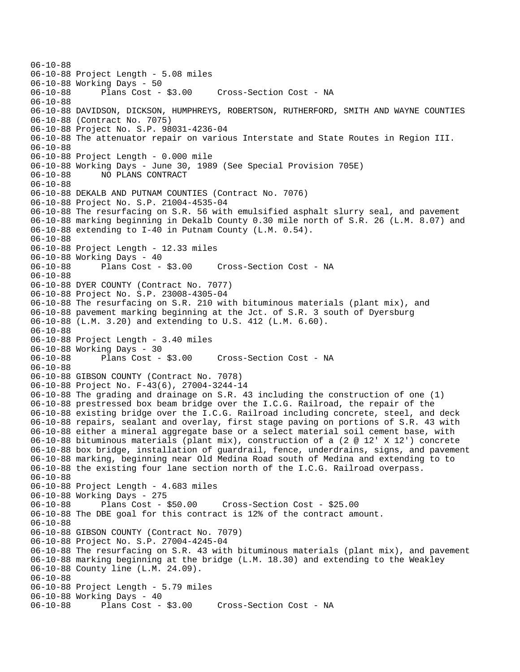06-10-88 06-10-88 Project Length - 5.08 miles 06-10-88 Working Days - 50 06-10-88 Plans Cost - \$3.00 Cross-Section Cost - NA 06-10-88 06-10-88 DAVIDSON, DICKSON, HUMPHREYS, ROBERTSON, RUTHERFORD, SMITH AND WAYNE COUNTIES 06-10-88 (Contract No. 7075) 06-10-88 Project No. S.P. 98031-4236-04 06-10-88 The attenuator repair on various Interstate and State Routes in Region III. 06-10-88 06-10-88 Project Length - 0.000 mile 06-10-88 Working Days - June 30, 1989 (See Special Provision 705E) 06-10-88 NO PLANS CONTRACT 06-10-88 06-10-88 DEKALB AND PUTNAM COUNTIES (Contract No. 7076) 06-10-88 Project No. S.P. 21004-4535-04 06-10-88 The resurfacing on S.R. 56 with emulsified asphalt slurry seal, and pavement 06-10-88 marking beginning in Dekalb County 0.30 mile north of S.R. 26 (L.M. 8.07) and 06-10-88 extending to I-40 in Putnam County (L.M. 0.54). 06-10-88 06-10-88 Project Length - 12.33 miles 06-10-88 Working Days - 40<br>06-10-88 Plans Cost - \$3.00 06-10-88 Plans Cost - \$3.00 Cross-Section Cost - NA 06-10-88 06-10-88 DYER COUNTY (Contract No. 7077) 06-10-88 Project No. S.P. 23008-4305-04 06-10-88 The resurfacing on S.R. 210 with bituminous materials (plant mix), and 06-10-88 pavement marking beginning at the Jct. of S.R. 3 south of Dyersburg 06-10-88 (L.M. 3.20) and extending to U.S. 412 (L.M. 6.60). 06-10-88 06-10-88 Project Length - 3.40 miles 06-10-88 Working Days - 30<br>06-10-88 Plans Cost - \$3.00 Cross-Section Cost - NA 06-10-88 06-10-88 GIBSON COUNTY (Contract No. 7078) 06-10-88 Project No. F-43(6), 27004-3244-14 06-10-88 The grading and drainage on S.R. 43 including the construction of one (1) 06-10-88 prestressed box beam bridge over the I.C.G. Railroad, the repair of the 06-10-88 existing bridge over the I.C.G. Railroad including concrete, steel, and deck 06-10-88 repairs, sealant and overlay, first stage paving on portions of S.R. 43 with 06-10-88 either a mineral aggregate base or a select material soil cement base, with 06-10-88 bituminous materials (plant mix), construction of a (2 @ 12' X 12') concrete 06-10-88 box bridge, installation of guardrail, fence, underdrains, signs, and pavement 06-10-88 marking, beginning near Old Medina Road south of Medina and extending to to 06-10-88 the existing four lane section north of the I.C.G. Railroad overpass. 06-10-88 06-10-88 Project Length - 4.683 miles 06-10-88 Working Days - 275 06-10-88 Plans Cost - \$50.00 Cross-Section Cost - \$25.00 06-10-88 The DBE goal for this contract is 12% of the contract amount. 06-10-88 06-10-88 GIBSON COUNTY (Contract No. 7079) 06-10-88 Project No. S.P. 27004-4245-04 06-10-88 The resurfacing on S.R. 43 with bituminous materials (plant mix), and pavement 06-10-88 marking beginning at the bridge (L.M. 18.30) and extending to the Weakley 06-10-88 County line (L.M. 24.09). 06-10-88 06-10-88 Project Length - 5.79 miles 06-10-88 Working Days - 40 06-10-88 Plans Cost - \$3.00 Cross-Section Cost - NA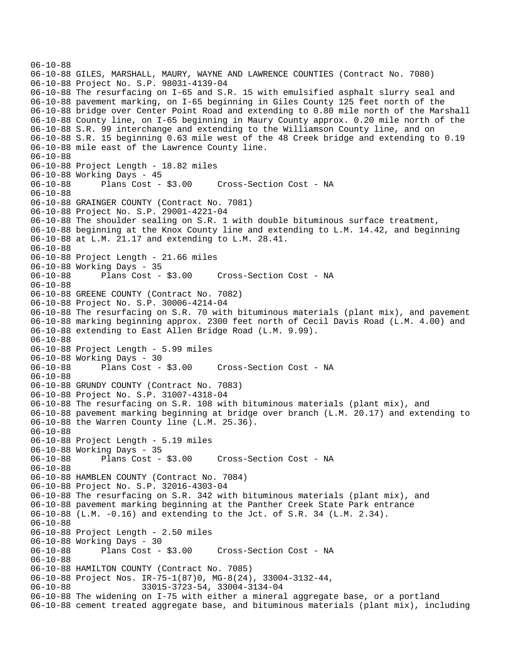```
06-10-88 
06-10-88 GILES, MARSHALL, MAURY, WAYNE AND LAWRENCE COUNTIES (Contract No. 7080) 
06-10-88 Project No. S.P. 98031-4139-04 
06-10-88 The resurfacing on I-65 and S.R. 15 with emulsified asphalt slurry seal and 
06-10-88 pavement marking, on I-65 beginning in Giles County 125 feet north of the 
06-10-88 bridge over Center Point Road and extending to 0.80 mile north of the Marshall 
06-10-88 County line, on I-65 beginning in Maury County approx. 0.20 mile north of the 
06-10-88 S.R. 99 interchange and extending to the Williamson County line, and on 
06-10-88 S.R. 15 beginning 0.63 mile west of the 48 Creek bridge and extending to 0.19 
06-10-88 mile east of the Lawrence County line. 
06-10-88 
06-10-88 Project Length - 18.82 miles 
06-10-88 Working Days - 45 
06-10-88 Plans Cost - $3.00 Cross-Section Cost - NA 
06-10-88 
06-10-88 GRAINGER COUNTY (Contract No. 7081) 
06-10-88 Project No. S.P. 29001-4221-04 
06-10-88 The shoulder sealing on S.R. 1 with double bituminous surface treatment, 
06-10-88 beginning at the Knox County line and extending to L.M. 14.42, and beginning 
06-10-88 at L.M. 21.17 and extending to L.M. 28.41. 
06-10-88 
06-10-88 Project Length - 21.66 miles 
06-10-88 Working Days - 35 
06-10-88 Plans Cost - $3.00 Cross-Section Cost - NA 
06-10-88 
06-10-88 GREENE COUNTY (Contract No. 7082) 
06-10-88 Project No. S.P. 30006-4214-04 
06-10-88 The resurfacing on S.R. 70 with bituminous materials (plant mix), and pavement 
06-10-88 marking beginning approx. 2300 feet north of Cecil Davis Road (L.M. 4.00) and 
06-10-88 extending to East Allen Bridge Road (L.M. 9.99). 
06-10-88 
06-10-88 Project Length - 5.99 miles 
06-10-88 Working Days - 30 
06-10-88 Plans Cost - $3.00 Cross-Section Cost - NA 
06-10-88 
06-10-88 GRUNDY COUNTY (Contract No. 7083) 
06-10-88 Project No. S.P. 31007-4318-04 
06-10-88 The resurfacing on S.R. 108 with bituminous materials (plant mix), and 
06-10-88 pavement marking beginning at bridge over branch (L.M. 20.17) and extending to 
06-10-88 the Warren County line (L.M. 25.36). 
06-10-88 
06-10-88 Project Length - 5.19 miles 
06-10-88 Working Days - 35 
06-10-88 Plans Cost - $3.00 Cross-Section Cost - NA 
06-10-88 
06-10-88 HAMBLEN COUNTY (Contract No. 7084) 
06-10-88 Project No. S.P. 32016-4303-04 
06-10-88 The resurfacing on S.R. 342 with bituminous materials (plant mix), and 
06-10-88 pavement marking beginning at the Panther Creek State Park entrance 
06-10-88 (L.M. -0.16) and extending to the Jct. of S.R. 34 (L.M. 2.34). 
06-10-88 
06-10-88 Project Length - 2.50 miles 
06-10-88 Working Days - 30 
06-10-88 Plans Cost - $3.00 Cross-Section Cost - NA 
06-10-88 
06-10-88 HAMILTON COUNTY (Contract No. 7085) 
06-10-88 Project Nos. IR-75-1(87)0, MG-8(24), 33004-3132-44,<br>06-10-88 33015-3723-54, 33004-3134-04
                      06-10-88 33015-3723-54, 33004-3134-04 
06-10-88 The widening on I-75 with either a mineral aggregate base, or a portland 
06-10-88 cement treated aggregate base, and bituminous materials (plant mix), including
```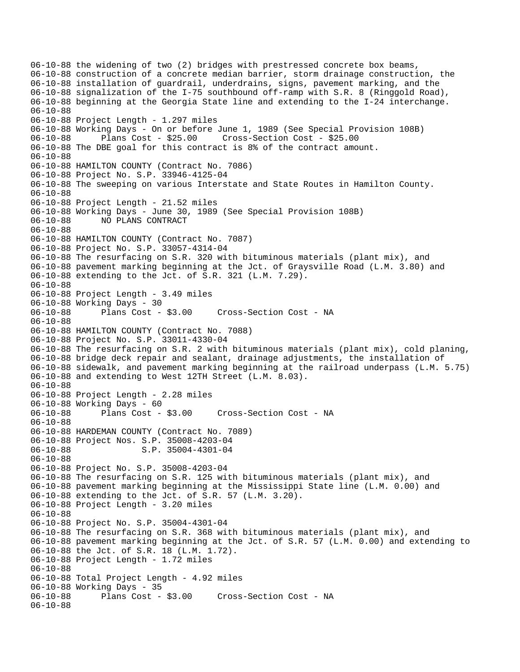06-10-88 the widening of two (2) bridges with prestressed concrete box beams, 06-10-88 construction of a concrete median barrier, storm drainage construction, the 06-10-88 installation of guardrail, underdrains, signs, pavement marking, and the 06-10-88 signalization of the I-75 southbound off-ramp with S.R. 8 (Ringgold Road), 06-10-88 beginning at the Georgia State line and extending to the I-24 interchange. 06-10-88 06-10-88 Project Length - 1.297 miles 06-10-88 Working Days - On or before June 1, 1989 (See Special Provision 108B) 06-10-88 Plans Cost - \$25.00 Cross-Section Cost - \$25.00 06-10-88 The DBE goal for this contract is 8% of the contract amount. 06-10-88 06-10-88 HAMILTON COUNTY (Contract No. 7086) 06-10-88 Project No. S.P. 33946-4125-04 06-10-88 The sweeping on various Interstate and State Routes in Hamilton County. 06-10-88 06-10-88 Project Length - 21.52 miles 06-10-88 Working Days - June 30, 1989 (See Special Provision 108B) 06-10-88 NO PLANS CONTRACT 06-10-88 06-10-88 HAMILTON COUNTY (Contract No. 7087) 06-10-88 Project No. S.P. 33057-4314-04 06-10-88 The resurfacing on S.R. 320 with bituminous materials (plant mix), and 06-10-88 pavement marking beginning at the Jct. of Graysville Road (L.M. 3.80) and 06-10-88 extending to the Jct. of S.R. 321 (L.M. 7.29). 06-10-88 06-10-88 Project Length - 3.49 miles 06-10-88 Working Days - 30 Cross-Section Cost - NA 06-10-88 06-10-88 HAMILTON COUNTY (Contract No. 7088) 06-10-88 Project No. S.P. 33011-4330-04 06-10-88 The resurfacing on S.R. 2 with bituminous materials (plant mix), cold planing, 06-10-88 bridge deck repair and sealant, drainage adjustments, the installation of 06-10-88 sidewalk, and pavement marking beginning at the railroad underpass (L.M. 5.75) 06-10-88 and extending to West 12TH Street (L.M. 8.03). 06-10-88 06-10-88 Project Length - 2.28 miles 06-10-88 Working Days - 60 06-10-88 Plans Cost - \$3.00 Cross-Section Cost - NA 06-10-88 06-10-88 HARDEMAN COUNTY (Contract No. 7089) 06-10-88 Project Nos. S.P. 35008-4203-04 06-10-88 S.P. 35004-4301-04 06-10-88 06-10-88 Project No. S.P. 35008-4203-04 06-10-88 The resurfacing on S.R. 125 with bituminous materials (plant mix), and 06-10-88 pavement marking beginning at the Mississippi State line (L.M. 0.00) and 06-10-88 extending to the Jct. of S.R. 57 (L.M. 3.20). 06-10-88 Project Length - 3.20 miles 06-10-88 06-10-88 Project No. S.P. 35004-4301-04 06-10-88 The resurfacing on S.R. 368 with bituminous materials (plant mix), and 06-10-88 pavement marking beginning at the Jct. of S.R. 57 (L.M. 0.00) and extending to 06-10-88 the Jct. of S.R. 18 (L.M. 1.72). 06-10-88 Project Length - 1.72 miles 06-10-88 06-10-88 Total Project Length - 4.92 miles 06-10-88 Working Days - 35<br>06-10-88 Plans Cost -Plans Cost - \$3.00 Cross-Section Cost - NA 06-10-88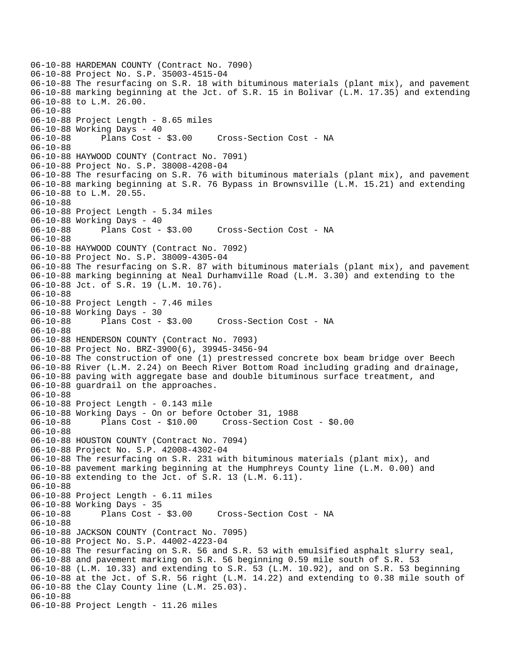06-10-88 HARDEMAN COUNTY (Contract No. 7090) 06-10-88 Project No. S.P. 35003-4515-04 06-10-88 The resurfacing on S.R. 18 with bituminous materials (plant mix), and pavement 06-10-88 marking beginning at the Jct. of S.R. 15 in Bolivar (L.M. 17.35) and extending 06-10-88 to L.M. 26.00. 06-10-88 06-10-88 Project Length - 8.65 miles 06-10-88 Working Days - 40 06-10-88 Plans Cost - \$3.00 Cross-Section Cost - NA 06-10-88 06-10-88 HAYWOOD COUNTY (Contract No. 7091) 06-10-88 Project No. S.P. 38008-4208-04 06-10-88 The resurfacing on S.R. 76 with bituminous materials (plant mix), and pavement 06-10-88 marking beginning at S.R. 76 Bypass in Brownsville (L.M. 15.21) and extending 06-10-88 to L.M. 20.55. 06-10-88 06-10-88 Project Length - 5.34 miles 06-10-88 Working Days - 40 06-10-88 Plans Cost - \$3.00 Cross-Section Cost - NA 06-10-88 06-10-88 HAYWOOD COUNTY (Contract No. 7092) 06-10-88 Project No. S.P. 38009-4305-04 06-10-88 The resurfacing on S.R. 87 with bituminous materials (plant mix), and pavement 06-10-88 marking beginning at Neal Durhamville Road (L.M. 3.30) and extending to the 06-10-88 Jct. of S.R. 19 (L.M. 10.76). 06-10-88 06-10-88 Project Length - 7.46 miles 06-10-88 Working Days - 30 06-10-88 Plans Cost - \$3.00 Cross-Section Cost - NA 06-10-88 06-10-88 HENDERSON COUNTY (Contract No. 7093) 06-10-88 Project No. BRZ-3900(6), 39945-3456-94 06-10-88 The construction of one (1) prestressed concrete box beam bridge over Beech 06-10-88 River (L.M. 2.24) on Beech River Bottom Road including grading and drainage, 06-10-88 paving with aggregate base and double bituminous surface treatment, and 06-10-88 guardrail on the approaches. 06-10-88 06-10-88 Project Length - 0.143 mile 06-10-88 Working Days - On or before October 31, 1988 06-10-88 Plans Cost - \$10.00 Cross-Section Cost - \$0.00 06-10-88 06-10-88 HOUSTON COUNTY (Contract No. 7094) 06-10-88 Project No. S.P. 42008-4302-04 06-10-88 The resurfacing on S.R. 231 with bituminous materials (plant mix), and 06-10-88 pavement marking beginning at the Humphreys County line (L.M. 0.00) and 06-10-88 extending to the Jct. of S.R. 13 (L.M. 6.11). 06-10-88 06-10-88 Project Length - 6.11 miles 06-10-88 Working Days - 35 06-10-88 Plans Cost - \$3.00 Cross-Section Cost - NA 06-10-88 06-10-88 JACKSON COUNTY (Contract No. 7095) 06-10-88 Project No. S.P. 44002-4223-04 06-10-88 The resurfacing on S.R. 56 and S.R. 53 with emulsified asphalt slurry seal, 06-10-88 and pavement marking on S.R. 56 beginning 0.59 mile south of S.R. 53 06-10-88 (L.M. 10.33) and extending to S.R. 53 (L.M. 10.92), and on S.R. 53 beginning 06-10-88 at the Jct. of S.R. 56 right (L.M. 14.22) and extending to 0.38 mile south of 06-10-88 the Clay County line (L.M. 25.03). 06-10-88 06-10-88 Project Length - 11.26 miles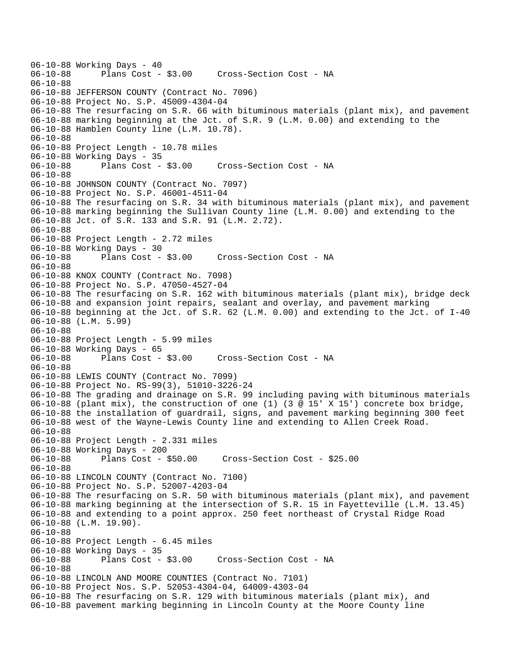06-10-88 Working Days - 40<br>06-10-88 Plans Cost -Plans Cost - \$3.00 Cross-Section Cost - NA 06-10-88 06-10-88 JEFFERSON COUNTY (Contract No. 7096) 06-10-88 Project No. S.P. 45009-4304-04 06-10-88 The resurfacing on S.R. 66 with bituminous materials (plant mix), and pavement 06-10-88 marking beginning at the Jct. of S.R. 9 (L.M. 0.00) and extending to the 06-10-88 Hamblen County line (L.M. 10.78). 06-10-88 06-10-88 Project Length - 10.78 miles 06-10-88 Working Days - 35 06-10-88 Plans Cost - \$3.00 Cross-Section Cost - NA 06-10-88 06-10-88 JOHNSON COUNTY (Contract No. 7097) 06-10-88 Project No. S.P. 46001-4511-04 06-10-88 The resurfacing on S.R. 34 with bituminous materials (plant mix), and pavement 06-10-88 marking beginning the Sullivan County line (L.M. 0.00) and extending to the 06-10-88 Jct. of S.R. 133 and S.R. 91 (L.M. 2.72). 06-10-88 06-10-88 Project Length - 2.72 miles 06-10-88 Working Days - 30<br>06-10-88 Plans Cost - \$3.00 06-10-88 Plans Cost - \$3.00 Cross-Section Cost - NA 06-10-88 06-10-88 KNOX COUNTY (Contract No. 7098) 06-10-88 Project No. S.P. 47050-4527-04 06-10-88 The resurfacing on S.R. 162 with bituminous materials (plant mix), bridge deck 06-10-88 and expansion joint repairs, sealant and overlay, and pavement marking 06-10-88 beginning at the Jct. of S.R. 62 (L.M. 0.00) and extending to the Jct. of I-40 06-10-88 (L.M. 5.99) 06-10-88 06-10-88 Project Length - 5.99 miles 06-10-88 Working Days - 65<br>06-10-88 Plans Cost - \$3.00 Cross-Section Cost - NA 06-10-88 06-10-88 LEWIS COUNTY (Contract No. 7099) 06-10-88 Project No. RS-99(3), 51010-3226-24 06-10-88 The grading and drainage on S.R. 99 including paving with bituminous materials 06-10-88 (plant mix), the construction of one (1) (3 @ 15' X 15') concrete box bridge, 06-10-88 the installation of guardrail, signs, and pavement marking beginning 300 feet 06-10-88 west of the Wayne-Lewis County line and extending to Allen Creek Road. 06-10-88 06-10-88 Project Length - 2.331 miles 06-10-88 Working Days - 200 06-10-88 Plans Cost - \$50.00 Cross-Section Cost - \$25.00 06-10-88 06-10-88 LINCOLN COUNTY (Contract No. 7100) 06-10-88 Project No. S.P. 52007-4203-04 06-10-88 The resurfacing on S.R. 50 with bituminous materials (plant mix), and pavement 06-10-88 marking beginning at the intersection of S.R. 15 in Fayetteville (L.M. 13.45) 06-10-88 and extending to a point approx. 250 feet northeast of Crystal Ridge Road 06-10-88 (L.M. 19.90). 06-10-88 06-10-88 Project Length - 6.45 miles 06-10-88 Working Days - 35<br>06-10-88 Plans Cost - \$3.00 Cross-Section Cost - NA 06-10-88 06-10-88 LINCOLN AND MOORE COUNTIES (Contract No. 7101) 06-10-88 Project Nos. S.P. 52053-4304-04, 64009-4303-04 06-10-88 The resurfacing on S.R. 129 with bituminous materials (plant mix), and 06-10-88 pavement marking beginning in Lincoln County at the Moore County line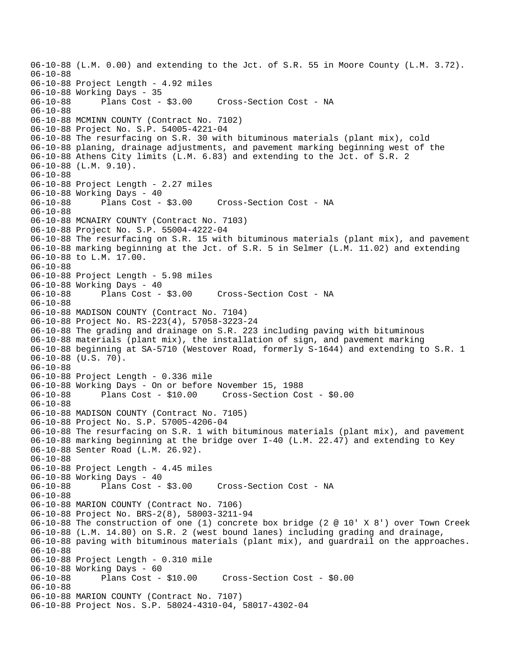06-10-88 (L.M. 0.00) and extending to the Jct. of S.R. 55 in Moore County (L.M. 3.72). 06-10-88 06-10-88 Project Length - 4.92 miles 06-10-88 Working Days - 35 Cross-Section Cost - NA 06-10-88 06-10-88 MCMINN COUNTY (Contract No. 7102) 06-10-88 Project No. S.P. 54005-4221-04 06-10-88 The resurfacing on S.R. 30 with bituminous materials (plant mix), cold 06-10-88 planing, drainage adjustments, and pavement marking beginning west of the 06-10-88 Athens City limits (L.M. 6.83) and extending to the Jct. of S.R. 2 06-10-88 (L.M. 9.10). 06-10-88 06-10-88 Project Length - 2.27 miles 06-10-88 Working Days - 40<br>06-10-88 Plans Cost - \$3.00 06-10-88 Plans Cost - \$3.00 Cross-Section Cost - NA 06-10-88 06-10-88 MCNAIRY COUNTY (Contract No. 7103) 06-10-88 Project No. S.P. 55004-4222-04 06-10-88 The resurfacing on S.R. 15 with bituminous materials (plant mix), and pavement 06-10-88 marking beginning at the Jct. of S.R. 5 in Selmer (L.M. 11.02) and extending 06-10-88 to L.M. 17.00. 06-10-88 06-10-88 Project Length - 5.98 miles 06-10-88 Working Days - 40 06-10-88 Plans Cost - \$3.00 Cross-Section Cost - NA 06-10-88 06-10-88 MADISON COUNTY (Contract No. 7104) 06-10-88 Project No. RS-223(4), 57058-3223-24 06-10-88 The grading and drainage on S.R. 223 including paving with bituminous 06-10-88 materials (plant mix), the installation of sign, and pavement marking 06-10-88 beginning at SA-5710 (Westover Road, formerly S-1644) and extending to S.R. 1 06-10-88 (U.S. 70). 06-10-88 06-10-88 Project Length - 0.336 mile 06-10-88 Working Days - On or before November 15, 1988 06-10-88 Plans Cost - \$10.00 Cross-Section Cost - \$0.00 06-10-88 06-10-88 MADISON COUNTY (Contract No. 7105) 06-10-88 Project No. S.P. 57005-4206-04 06-10-88 The resurfacing on S.R. 1 with bituminous materials (plant mix), and pavement 06-10-88 marking beginning at the bridge over I-40 (L.M. 22.47) and extending to Key 06-10-88 Senter Road (L.M. 26.92). 06-10-88 06-10-88 Project Length - 4.45 miles 06-10-88 Working Days - 40 06-10-88 Plans Cost - \$3.00 Cross-Section Cost - NA 06-10-88 06-10-88 MARION COUNTY (Contract No. 7106) 06-10-88 Project No. BRS-2(8), 58003-3211-94 06-10-88 The construction of one (1) concrete box bridge (2 @ 10' X 8') over Town Creek 06-10-88 (L.M. 14.80) on S.R. 2 (west bound lanes) including grading and drainage, 06-10-88 paving with bituminous materials (plant mix), and guardrail on the approaches. 06-10-88 06-10-88 Project Length - 0.310 mile 06-10-88 Working Days - 60 06-10-88 Plans Cost - \$10.00 Cross-Section Cost - \$0.00 06-10-88 06-10-88 MARION COUNTY (Contract No. 7107) 06-10-88 Project Nos. S.P. 58024-4310-04, 58017-4302-04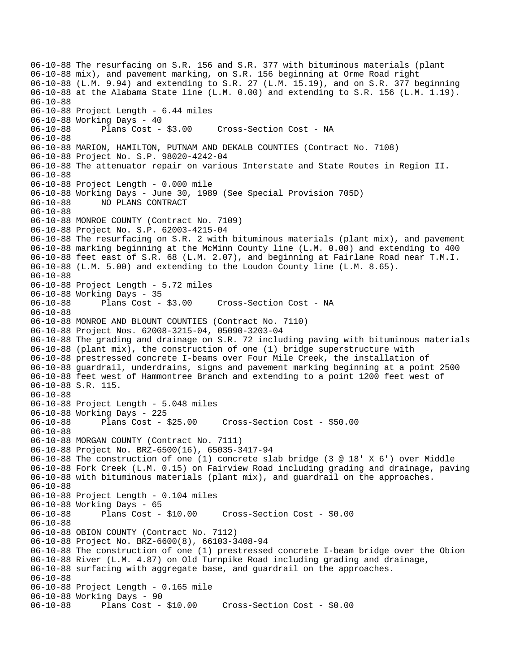06-10-88 The resurfacing on S.R. 156 and S.R. 377 with bituminous materials (plant 06-10-88 mix), and pavement marking, on S.R. 156 beginning at Orme Road right 06-10-88 (L.M. 9.94) and extending to S.R. 27 (L.M. 15.19), and on S.R. 377 beginning 06-10-88 at the Alabama State line (L.M. 0.00) and extending to S.R. 156 (L.M. 1.19). 06-10-88 06-10-88 Project Length - 6.44 miles 06-10-88 Working Days - 40 06-10-88 Plans Cost - \$3.00 Cross-Section Cost - NA 06-10-88 06-10-88 MARION, HAMILTON, PUTNAM AND DEKALB COUNTIES (Contract No. 7108) 06-10-88 Project No. S.P. 98020-4242-04 06-10-88 The attenuator repair on various Interstate and State Routes in Region II. 06-10-88 06-10-88 Project Length - 0.000 mile 06-10-88 Working Days - June 30, 1989 (See Special Provision 705D) 06-10-88 NO PLANS CONTRACT 06-10-88 06-10-88 MONROE COUNTY (Contract No. 7109) 06-10-88 Project No. S.P. 62003-4215-04 06-10-88 The resurfacing on S.R. 2 with bituminous materials (plant mix), and pavement 06-10-88 marking beginning at the McMinn County line (L.M. 0.00) and extending to 400 06-10-88 feet east of S.R. 68 (L.M. 2.07), and beginning at Fairlane Road near T.M.I. 06-10-88 (L.M. 5.00) and extending to the Loudon County line (L.M. 8.65). 06-10-88 06-10-88 Project Length - 5.72 miles 06-10-88 Working Days - 35 06-10-88 Plans Cost - \$3.00 Cross-Section Cost - NA 06-10-88 06-10-88 MONROE AND BLOUNT COUNTIES (Contract No. 7110) 06-10-88 Project Nos. 62008-3215-04, 05090-3203-04 06-10-88 The grading and drainage on S.R. 72 including paving with bituminous materials 06-10-88 (plant mix), the construction of one (1) bridge superstructure with 06-10-88 prestressed concrete I-beams over Four Mile Creek, the installation of 06-10-88 guardrail, underdrains, signs and pavement marking beginning at a point 2500 06-10-88 feet west of Hammontree Branch and extending to a point 1200 feet west of 06-10-88 S.R. 115. 06-10-88 06-10-88 Project Length - 5.048 miles 06-10-88 Working Days - 225 06-10-88 Plans Cost - \$25.00 Cross-Section Cost - \$50.00 06-10-88 06-10-88 MORGAN COUNTY (Contract No. 7111) 06-10-88 Project No. BRZ-6500(16), 65035-3417-94 06-10-88 The construction of one (1) concrete slab bridge (3 @ 18' X 6') over Middle 06-10-88 Fork Creek (L.M. 0.15) on Fairview Road including grading and drainage, paving 06-10-88 with bituminous materials (plant mix), and guardrail on the approaches. 06-10-88 06-10-88 Project Length - 0.104 miles 06-10-88 Working Days - 65 06-10-88 Plans Cost - \$10.00 Cross-Section Cost - \$0.00 06-10-88 06-10-88 OBION COUNTY (Contract No. 7112) 06-10-88 Project No. BRZ-6600(8), 66103-3408-94 06-10-88 The construction of one (1) prestressed concrete I-beam bridge over the Obion 06-10-88 River (L.M. 4.87) on Old Turnpike Road including grading and drainage, 06-10-88 surfacing with aggregate base, and guardrail on the approaches. 06-10-88 06-10-88 Project Length - 0.165 mile 06-10-88 Working Days - 90 06-10-88 Plans Cost - \$10.00 Cross-Section Cost - \$0.00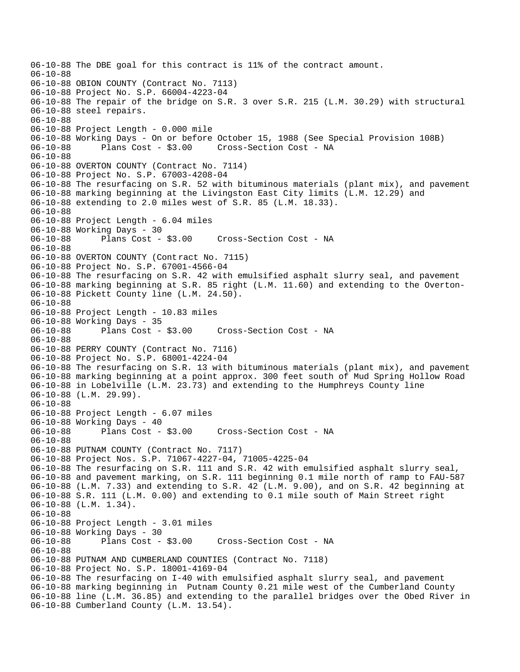```
06-10-88 The DBE goal for this contract is 11% of the contract amount. 
06-10-88 
06-10-88 OBION COUNTY (Contract No. 7113) 
06-10-88 Project No. S.P. 66004-4223-04 
06-10-88 The repair of the bridge on S.R. 3 over S.R. 215 (L.M. 30.29) with structural 
06-10-88 steel repairs. 
06-10-88 
06-10-88 Project Length - 0.000 mile 
06-10-88 Working Days - On or before October 15, 1988 (See Special Provision 108B) 
06-10-88 Plans Cost - $3.00 Cross-Section Cost - NA 
06-10-88 
06-10-88 OVERTON COUNTY (Contract No. 7114) 
06-10-88 Project No. S.P. 67003-4208-04 
06-10-88 The resurfacing on S.R. 52 with bituminous materials (plant mix), and pavement 
06-10-88 marking beginning at the Livingston East City limits (L.M. 12.29) and 
06-10-88 extending to 2.0 miles west of S.R. 85 (L.M. 18.33). 
06-10-88 
06-10-88 Project Length - 6.04 miles 
06-10-88 Working Days - 30 
06-10-88 Plans Cost - $3.00 Cross-Section Cost - NA 
06-10-88 
06-10-88 OVERTON COUNTY (Contract No. 7115) 
06-10-88 Project No. S.P. 67001-4566-04 
06-10-88 The resurfacing on S.R. 42 with emulsified asphalt slurry seal, and pavement 
06-10-88 marking beginning at S.R. 85 right (L.M. 11.60) and extending to the Overton-
06-10-88 Pickett County line (L.M. 24.50). 
06-10-88 
06-10-88 Project Length - 10.83 miles 
06-10-88 Working Days - 35<br>06-10-88 Plans Cost - $3.00
06-10-88 Plans Cost - $3.00 Cross-Section Cost - NA 
06-10-88 
06-10-88 PERRY COUNTY (Contract No. 7116) 
06-10-88 Project No. S.P. 68001-4224-04 
06-10-88 The resurfacing on S.R. 13 with bituminous materials (plant mix), and pavement 
06-10-88 marking beginning at a point approx. 300 feet south of Mud Spring Hollow Road 
06-10-88 in Lobelville (L.M. 23.73) and extending to the Humphreys County line 
06-10-88 (L.M. 29.99). 
06-10-88 
06-10-88 Project Length - 6.07 miles 
06-10-88 Working Days - 40 
06-10-88 Plans Cost - $3.00 Cross-Section Cost - NA 
06-10-88 
06-10-88 PUTNAM COUNTY (Contract No. 7117) 
06-10-88 Project Nos. S.P. 71067-4227-04, 71005-4225-04 
06-10-88 The resurfacing on S.R. 111 and S.R. 42 with emulsified asphalt slurry seal, 
06-10-88 and pavement marking, on S.R. 111 beginning 0.1 mile north of ramp to FAU-587 
06-10-88 (L.M. 7.33) and extending to S.R. 42 (L.M. 9.00), and on S.R. 42 beginning at 
06-10-88 S.R. 111 (L.M. 0.00) and extending to 0.1 mile south of Main Street right 
06-10-88 (L.M. 1.34). 
06-10-88 
06-10-88 Project Length - 3.01 miles 
06-10-88 Working Days - 30 
06-10-88 Plans Cost - $3.00 Cross-Section Cost - NA 
06-10-88 
06-10-88 PUTNAM AND CUMBERLAND COUNTIES (Contract No. 7118) 
06-10-88 Project No. S.P. 18001-4169-04 
06-10-88 The resurfacing on I-40 with emulsified asphalt slurry seal, and pavement 
06-10-88 marking beginning in Putnam County 0.21 mile west of the Cumberland County 
06-10-88 line (L.M. 36.85) and extending to the parallel bridges over the Obed River in 
06-10-88 Cumberland County (L.M. 13.54).
```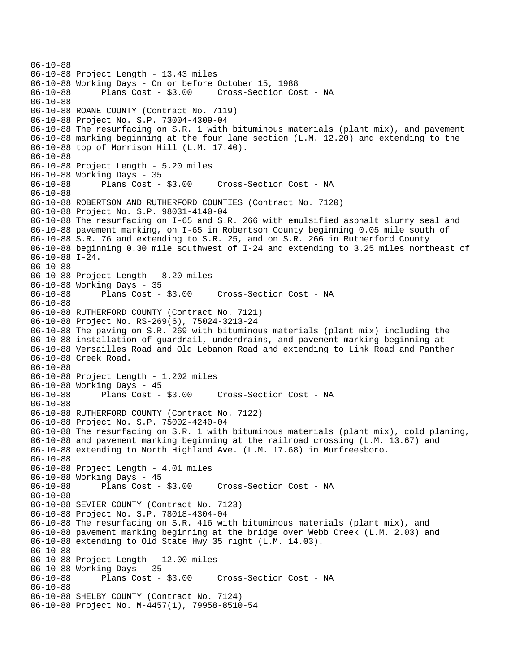```
06-10-88 
06-10-88 Project Length - 13.43 miles 
06-10-88 Working Days - On or before October 15, 1988 
06-10-88 Plans Cost - $3.00 Cross-Section Cost - NA 
06-10-88 
06-10-88 ROANE COUNTY (Contract No. 7119) 
06-10-88 Project No. S.P. 73004-4309-04 
06-10-88 The resurfacing on S.R. 1 with bituminous materials (plant mix), and pavement 
06-10-88 marking beginning at the four lane section (L.M. 12.20) and extending to the 
06-10-88 top of Morrison Hill (L.M. 17.40). 
06-10-88 
06-10-88 Project Length - 5.20 miles 
06-10-88 Working Days - 35 
06-10-88 Plans Cost - $3.00 Cross-Section Cost - NA 
06-10-88 
06-10-88 ROBERTSON AND RUTHERFORD COUNTIES (Contract No. 7120) 
06-10-88 Project No. S.P. 98031-4140-04 
06-10-88 The resurfacing on I-65 and S.R. 266 with emulsified asphalt slurry seal and 
06-10-88 pavement marking, on I-65 in Robertson County beginning 0.05 mile south of 
06-10-88 S.R. 76 and extending to S.R. 25, and on S.R. 266 in Rutherford County 
06-10-88 beginning 0.30 mile southwest of I-24 and extending to 3.25 miles northeast of 
06-10-88 I-24. 
06-10-88 
06-10-88 Project Length - 8.20 miles 
06-10-88 Working Days - 35 
06-10-88 Plans Cost - $3.00 Cross-Section Cost - NA 
06-10-88 
06-10-88 RUTHERFORD COUNTY (Contract No. 7121) 
06-10-88 Project No. RS-269(6), 75024-3213-24 
06-10-88 The paving on S.R. 269 with bituminous materials (plant mix) including the 
06-10-88 installation of guardrail, underdrains, and pavement marking beginning at 
06-10-88 Versailles Road and Old Lebanon Road and extending to Link Road and Panther 
06-10-88 Creek Road. 
06-10-88 
06-10-88 Project Length - 1.202 miles 
06-10-88 Working Days - 45<br>06-10-88 Plans Cost -
             Plans Cost - $3.00 Cross-Section Cost - NA
06-10-88 
06-10-88 RUTHERFORD COUNTY (Contract No. 7122) 
06-10-88 Project No. S.P. 75002-4240-04 
06-10-88 The resurfacing on S.R. 1 with bituminous materials (plant mix), cold planing, 
06-10-88 and pavement marking beginning at the railroad crossing (L.M. 13.67) and 
06-10-88 extending to North Highland Ave. (L.M. 17.68) in Murfreesboro. 
06-10-88 
06-10-88 Project Length - 4.01 miles 
06-10-88 Working Days - 45 
06-10-88 Plans Cost - $3.00 Cross-Section Cost - NA 
06-10-88 
06-10-88 SEVIER COUNTY (Contract No. 7123) 
06-10-88 Project No. S.P. 78018-4304-04 
06-10-88 The resurfacing on S.R. 416 with bituminous materials (plant mix), and 
06-10-88 pavement marking beginning at the bridge over Webb Creek (L.M. 2.03) and 
06-10-88 extending to Old State Hwy 35 right (L.M. 14.03). 
06-10-88 
06-10-88 Project Length - 12.00 miles 
06-10-88 Working Days - 35 
06-10-88 Plans Cost - $3.00 Cross-Section Cost - NA 
06-10-88 
06-10-88 SHELBY COUNTY (Contract No. 7124) 
06-10-88 Project No. M-4457(1), 79958-8510-54
```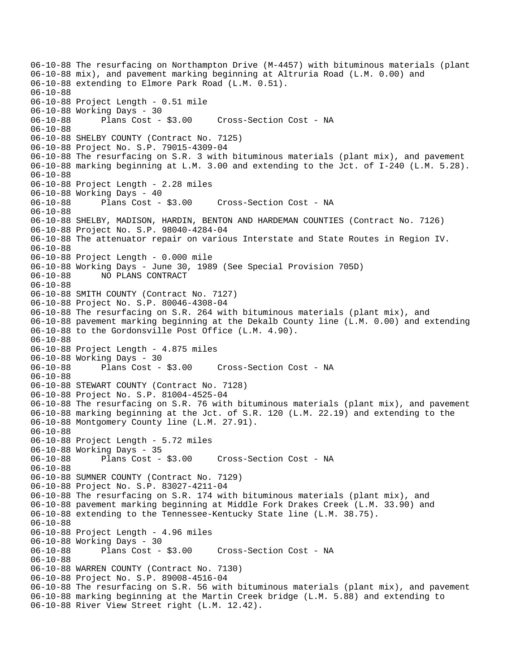06-10-88 The resurfacing on Northampton Drive (M-4457) with bituminous materials (plant 06-10-88 mix), and pavement marking beginning at Altruria Road (L.M. 0.00) and 06-10-88 extending to Elmore Park Road (L.M. 0.51). 06-10-88 06-10-88 Project Length - 0.51 mile 06-10-88 Working Days - 30 06-10-88 Plans Cost - \$3.00 Cross-Section Cost - NA 06-10-88 06-10-88 SHELBY COUNTY (Contract No. 7125) 06-10-88 Project No. S.P. 79015-4309-04 06-10-88 The resurfacing on S.R. 3 with bituminous materials (plant mix), and pavement 06-10-88 marking beginning at L.M. 3.00 and extending to the Jct. of I-240 (L.M. 5.28). 06-10-88 06-10-88 Project Length - 2.28 miles 06-10-88 Working Days - 40<br>06-10-88 Plans Cost - \$3.00 06-10-88 Plans Cost - \$3.00 Cross-Section Cost - NA 06-10-88 06-10-88 SHELBY, MADISON, HARDIN, BENTON AND HARDEMAN COUNTIES (Contract No. 7126) 06-10-88 Project No. S.P. 98040-4284-04 06-10-88 The attenuator repair on various Interstate and State Routes in Region IV. 06-10-88 06-10-88 Project Length - 0.000 mile 06-10-88 Working Days - June 30, 1989 (See Special Provision 705D) 06-10-88 NO PLANS CONTRACT 06-10-88 06-10-88 SMITH COUNTY (Contract No. 7127) 06-10-88 Project No. S.P. 80046-4308-04 06-10-88 The resurfacing on S.R. 264 with bituminous materials (plant mix), and 06-10-88 pavement marking beginning at the Dekalb County line (L.M. 0.00) and extending 06-10-88 to the Gordonsville Post Office (L.M. 4.90). 06-10-88 06-10-88 Project Length - 4.875 miles 06-10-88 Working Days - 30 06-10-88 Plans Cost - \$3.00 Cross-Section Cost - NA 06-10-88 06-10-88 STEWART COUNTY (Contract No. 7128) 06-10-88 Project No. S.P. 81004-4525-04 06-10-88 The resurfacing on S.R. 76 with bituminous materials (plant mix), and pavement 06-10-88 marking beginning at the Jct. of S.R. 120 (L.M. 22.19) and extending to the 06-10-88 Montgomery County line (L.M. 27.91). 06-10-88 06-10-88 Project Length - 5.72 miles 06-10-88 Working Days - 35 06-10-88 Plans Cost - \$3.00 Cross-Section Cost - NA 06-10-88 06-10-88 SUMNER COUNTY (Contract No. 7129) 06-10-88 Project No. S.P. 83027-4211-04 06-10-88 The resurfacing on S.R. 174 with bituminous materials (plant mix), and 06-10-88 pavement marking beginning at Middle Fork Drakes Creek (L.M. 33.90) and 06-10-88 extending to the Tennessee-Kentucky State line (L.M. 38.75). 06-10-88 06-10-88 Project Length - 4.96 miles 06-10-88 Working Days - 30 06-10-88 Plans Cost - \$3.00 Cross-Section Cost - NA 06-10-88 06-10-88 WARREN COUNTY (Contract No. 7130) 06-10-88 Project No. S.P. 89008-4516-04 06-10-88 The resurfacing on S.R. 56 with bituminous materials (plant mix), and pavement 06-10-88 marking beginning at the Martin Creek bridge (L.M. 5.88) and extending to 06-10-88 River View Street right (L.M. 12.42).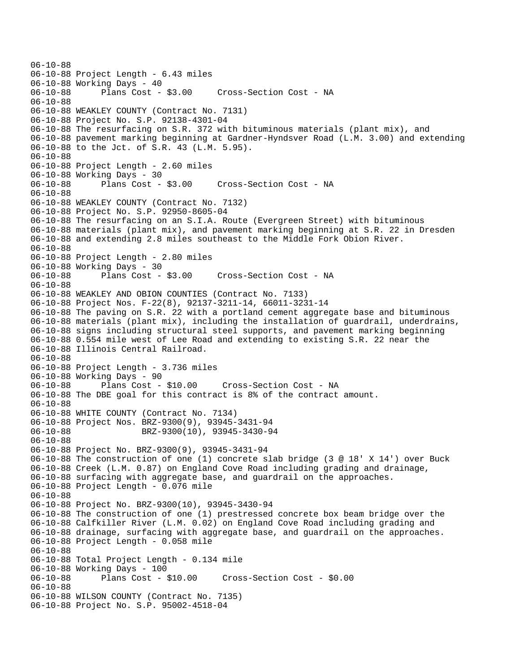06-10-88 06-10-88 Project Length - 6.43 miles 06-10-88 Working Days - 40 06-10-88 Plans Cost - \$3.00 Cross-Section Cost - NA 06-10-88 06-10-88 WEAKLEY COUNTY (Contract No. 7131) 06-10-88 Project No. S.P. 92138-4301-04 06-10-88 The resurfacing on S.R. 372 with bituminous materials (plant mix), and 06-10-88 pavement marking beginning at Gardner-Hyndsver Road (L.M. 3.00) and extending 06-10-88 to the Jct. of S.R. 43 (L.M. 5.95). 06-10-88 06-10-88 Project Length - 2.60 miles 06-10-88 Working Days - 30 06-10-88 Plans Cost - \$3.00 Cross-Section Cost - NA 06-10-88 06-10-88 WEAKLEY COUNTY (Contract No. 7132) 06-10-88 Project No. S.P. 92950-8605-04 06-10-88 The resurfacing on an S.I.A. Route (Evergreen Street) with bituminous 06-10-88 materials (plant mix), and pavement marking beginning at S.R. 22 in Dresden 06-10-88 and extending 2.8 miles southeast to the Middle Fork Obion River. 06-10-88 06-10-88 Project Length - 2.80 miles 06-10-88 Working Days - 30 06-10-88 Plans Cost - \$3.00 Cross-Section Cost - NA 06-10-88 06-10-88 WEAKLEY AND OBION COUNTIES (Contract No. 7133) 06-10-88 Project Nos. F-22(8), 92137-3211-14, 66011-3231-14 06-10-88 The paving on S.R. 22 with a portland cement aggregate base and bituminous 06-10-88 materials (plant mix), including the installation of guardrail, underdrains, 06-10-88 signs including structural steel supports, and pavement marking beginning 06-10-88 0.554 mile west of Lee Road and extending to existing S.R. 22 near the 06-10-88 Illinois Central Railroad. 06-10-88 06-10-88 Project Length - 3.736 miles 06-10-88 Working Days - 90 06-10-88 Plans Cost - \$10.00 Cross-Section Cost - NA 06-10-88 The DBE goal for this contract is 8% of the contract amount. 06-10-88 06-10-88 WHITE COUNTY (Contract No. 7134) 06-10-88 Project Nos. BRZ-9300(9), 93945-3431-94 06-10-88 BRZ-9300(10), 93945-3430-94 06-10-88 06-10-88 Project No. BRZ-9300(9), 93945-3431-94 06-10-88 The construction of one (1) concrete slab bridge (3 @ 18' X 14') over Buck 06-10-88 Creek (L.M. 0.87) on England Cove Road including grading and drainage, 06-10-88 surfacing with aggregate base, and guardrail on the approaches. 06-10-88 Project Length - 0.076 mile 06-10-88 06-10-88 Project No. BRZ-9300(10), 93945-3430-94 06-10-88 The construction of one (1) prestressed concrete box beam bridge over the 06-10-88 Calfkiller River (L.M. 0.02) on England Cove Road including grading and 06-10-88 drainage, surfacing with aggregate base, and guardrail on the approaches. 06-10-88 Project Length - 0.058 mile 06-10-88 06-10-88 Total Project Length - 0.134 mile 06-10-88 Working Days - 100 06-10-88 Plans Cost - \$10.00 Cross-Section Cost - \$0.00 06-10-88 06-10-88 WILSON COUNTY (Contract No. 7135) 06-10-88 Project No. S.P. 95002-4518-04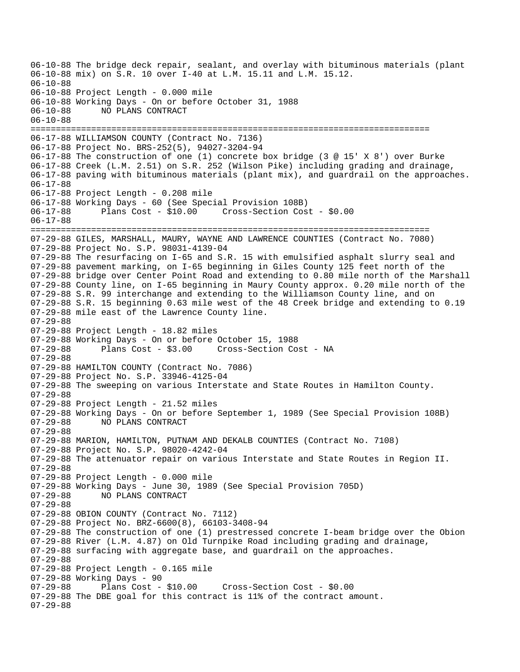06-10-88 The bridge deck repair, sealant, and overlay with bituminous materials (plant 06-10-88 mix) on S.R. 10 over I-40 at L.M. 15.11 and L.M. 15.12. 06-10-88 06-10-88 Project Length - 0.000 mile 06-10-88 Working Days - On or before October 31, 1988 06-10-88 NO PLANS CONTRACT 06-10-88 =============================================================================== 06-17-88 WILLIAMSON COUNTY (Contract No. 7136) 06-17-88 Project No. BRS-252(5), 94027-3204-94 06-17-88 The construction of one (1) concrete box bridge (3 @ 15' X 8') over Burke 06-17-88 Creek (L.M. 2.51) on S.R. 252 (Wilson Pike) including grading and drainage, 06-17-88 paving with bituminous materials (plant mix), and guardrail on the approaches. 06-17-88 06-17-88 Project Length - 0.208 mile 06-17-88 Working Days - 60 (See Special Provision 108B) 06-17-88 Plans Cost - \$10.00 Cross-Section Cost - \$0.00 06-17-88 =============================================================================== 07-29-88 GILES, MARSHALL, MAURY, WAYNE AND LAWRENCE COUNTIES (Contract No. 7080) 07-29-88 Project No. S.P. 98031-4139-04 07-29-88 The resurfacing on I-65 and S.R. 15 with emulsified asphalt slurry seal and 07-29-88 pavement marking, on I-65 beginning in Giles County 125 feet north of the 07-29-88 bridge over Center Point Road and extending to 0.80 mile north of the Marshall 07-29-88 County line, on I-65 beginning in Maury County approx. 0.20 mile north of the 07-29-88 S.R. 99 interchange and extending to the Williamson County line, and on 07-29-88 S.R. 15 beginning 0.63 mile west of the 48 Creek bridge and extending to 0.19 07-29-88 mile east of the Lawrence County line. 07-29-88 07-29-88 Project Length - 18.82 miles 07-29-88 Working Days - On or before October 15, 1988 07-29-88 Plans Cost - \$3.00 Cross-Section Cost - NA 07-29-88 07-29-88 HAMILTON COUNTY (Contract No. 7086) 07-29-88 Project No. S.P. 33946-4125-04 07-29-88 The sweeping on various Interstate and State Routes in Hamilton County. 07-29-88 07-29-88 Project Length - 21.52 miles 07-29-88 Working Days - On or before September 1, 1989 (See Special Provision 108B) 07-29-88 NO PLANS CONTRACT 07-29-88 07-29-88 MARION, HAMILTON, PUTNAM AND DEKALB COUNTIES (Contract No. 7108) 07-29-88 Project No. S.P. 98020-4242-04 07-29-88 The attenuator repair on various Interstate and State Routes in Region II. 07-29-88 07-29-88 Project Length - 0.000 mile 07-29-88 Working Days - June 30, 1989 (See Special Provision 705D)<br>07-29-88 NO PLANS CONTRACT NO PLANS CONTRACT 07-29-88 07-29-88 OBION COUNTY (Contract No. 7112) 07-29-88 Project No. BRZ-6600(8), 66103-3408-94 07-29-88 The construction of one (1) prestressed concrete I-beam bridge over the Obion 07-29-88 River (L.M. 4.87) on Old Turnpike Road including grading and drainage, 07-29-88 surfacing with aggregate base, and guardrail on the approaches. 07-29-88 07-29-88 Project Length - 0.165 mile 07-29-88 Working Days - 90 07-29-88 Plans Cost - \$10.00 Cross-Section Cost - \$0.00 07-29-88 The DBE goal for this contract is 11% of the contract amount. 07-29-88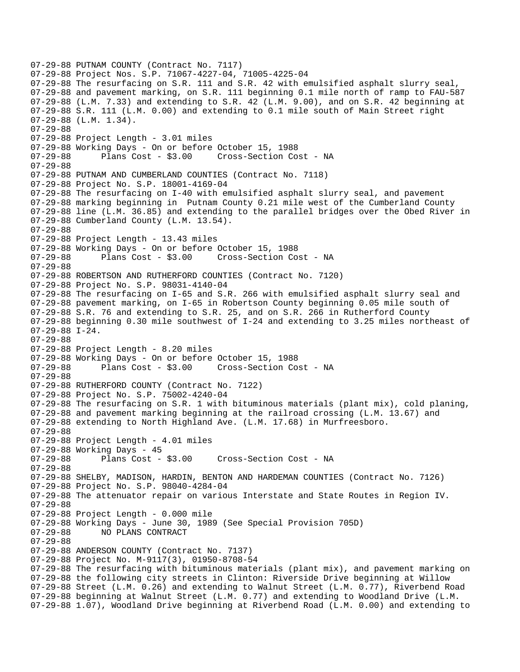```
07-29-88 PUTNAM COUNTY (Contract No. 7117) 
07-29-88 Project Nos. S.P. 71067-4227-04, 71005-4225-04 
07-29-88 The resurfacing on S.R. 111 and S.R. 42 with emulsified asphalt slurry seal, 
07-29-88 and pavement marking, on S.R. 111 beginning 0.1 mile north of ramp to FAU-587 
07-29-88 (L.M. 7.33) and extending to S.R. 42 (L.M. 9.00), and on S.R. 42 beginning at 
07-29-88 S.R. 111 (L.M. 0.00) and extending to 0.1 mile south of Main Street right 
07-29-88 (L.M. 1.34). 
07-29-88 
07-29-88 Project Length - 3.01 miles 
07-29-88 Working Days - On or before October 15, 1988 
07-29-88 Plans Cost - $3.00 Cross-Section Cost - NA 
07-29-88 
07-29-88 PUTNAM AND CUMBERLAND COUNTIES (Contract No. 7118) 
07-29-88 Project No. S.P. 18001-4169-04 
07-29-88 The resurfacing on I-40 with emulsified asphalt slurry seal, and pavement 
07-29-88 marking beginning in Putnam County 0.21 mile west of the Cumberland County 
07-29-88 line (L.M. 36.85) and extending to the parallel bridges over the Obed River in 
07-29-88 Cumberland County (L.M. 13.54). 
07-29-88 
07-29-88 Project Length - 13.43 miles
07-29-88 Working Days - On or before October 15, 1988 
07-29-88 Plans Cost - $3.00 Cross-Section Cost - NA 
07-29-88 
07-29-88 ROBERTSON AND RUTHERFORD COUNTIES (Contract No. 7120) 
07-29-88 Project No. S.P. 98031-4140-04 
07-29-88 The resurfacing on I-65 and S.R. 266 with emulsified asphalt slurry seal and 
07-29-88 pavement marking, on I-65 in Robertson County beginning 0.05 mile south of 
07-29-88 S.R. 76 and extending to S.R. 25, and on S.R. 266 in Rutherford County 
07-29-88 beginning 0.30 mile southwest of I-24 and extending to 3.25 miles northeast of 
07-29-88 I-24. 
07-29-88 
07-29-88 Project Length - 8.20 miles 
07-29-88 Working Days - On or before October 15, 1988 
07-29-88 Plans Cost - $3.00 Cross-Section Cost - NA 
07-29-88 
07-29-88 RUTHERFORD COUNTY (Contract No. 7122) 
07-29-88 Project No. S.P. 75002-4240-04 
07-29-88 The resurfacing on S.R. 1 with bituminous materials (plant mix), cold planing, 
07-29-88 and pavement marking beginning at the railroad crossing (L.M. 13.67) and 
07-29-88 extending to North Highland Ave. (L.M. 17.68) in Murfreesboro. 
07-29-88 
07-29-88 Project Length - 4.01 miles 
07-29-88 Working Days - 45 
07-29-88 Plans Cost - $3.00 Cross-Section Cost - NA 
07-29-88 
07-29-88 SHELBY, MADISON, HARDIN, BENTON AND HARDEMAN COUNTIES (Contract No. 7126) 
07-29-88 Project No. S.P. 98040-4284-04 
07-29-88 The attenuator repair on various Interstate and State Routes in Region IV. 
07-29-88 
07-29-88 Project Length - 0.000 mile 
07-29-88 Working Days - June 30, 1989 (See Special Provision 705D) 
07-29-88 NO PLANS CONTRACT 
07-29-88 
07-29-88 ANDERSON COUNTY (Contract No. 7137) 
07-29-88 Project No. M-9117(3), 01950-8708-54 
07-29-88 The resurfacing with bituminous materials (plant mix), and pavement marking on 
07-29-88 the following city streets in Clinton: Riverside Drive beginning at Willow 
07-29-88 Street (L.M. 0.26) and extending to Walnut Street (L.M. 0.77), Riverbend Road 
07-29-88 beginning at Walnut Street (L.M. 0.77) and extending to Woodland Drive (L.M. 
07-29-88 1.07), Woodland Drive beginning at Riverbend Road (L.M. 0.00) and extending to
```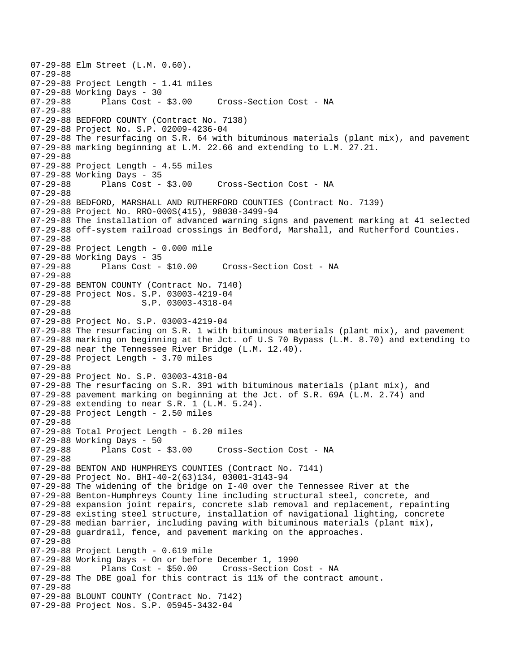07-29-88 Elm Street (L.M. 0.60). 07-29-88 07-29-88 Project Length - 1.41 miles 07-29-88 Working Days - 30 Cross-Section Cost - NA 07-29-88 07-29-88 BEDFORD COUNTY (Contract No. 7138) 07-29-88 Project No. S.P. 02009-4236-04 07-29-88 The resurfacing on S.R. 64 with bituminous materials (plant mix), and pavement 07-29-88 marking beginning at L.M. 22.66 and extending to L.M. 27.21. 07-29-88 07-29-88 Project Length - 4.55 miles 07-29-88 Working Days - 35 07-29-88 Plans Cost - \$3.00 Cross-Section Cost - NA 07-29-88 07-29-88 BEDFORD, MARSHALL AND RUTHERFORD COUNTIES (Contract No. 7139) 07-29-88 Project No. RRO-000S(415), 98030-3499-94 07-29-88 The installation of advanced warning signs and pavement marking at 41 selected 07-29-88 off-system railroad crossings in Bedford, Marshall, and Rutherford Counties. 07-29-88 07-29-88 Project Length - 0.000 mile 07-29-88 Working Days - 35<br>07-29-88 Plans Cost - \$10.00 Cross-Section Cost - NA 07-29-88 07-29-88 BENTON COUNTY (Contract No. 7140) 07-29-88 Project Nos. S.P. 03003-4219-04 07-29-88 S.P. 03003-4318-04 07-29-88 07-29-88 Project No. S.P. 03003-4219-04 07-29-88 The resurfacing on S.R. 1 with bituminous materials (plant mix), and pavement 07-29-88 marking on beginning at the Jct. of U.S 70 Bypass (L.M. 8.70) and extending to 07-29-88 near the Tennessee River Bridge (L.M. 12.40). 07-29-88 Project Length - 3.70 miles 07-29-88 07-29-88 Project No. S.P. 03003-4318-04 07-29-88 The resurfacing on S.R. 391 with bituminous materials (plant mix), and 07-29-88 pavement marking on beginning at the Jct. of S.R. 69A (L.M. 2.74) and 07-29-88 extending to near S.R. 1 (L.M. 5.24). 07-29-88 Project Length - 2.50 miles 07-29-88 07-29-88 Total Project Length - 6.20 miles 07-29-88 Working Days - 50 07-29-88 Plans Cost - \$3.00 Cross-Section Cost - NA 07-29-88 07-29-88 BENTON AND HUMPHREYS COUNTIES (Contract No. 7141) 07-29-88 Project No. BHI-40-2(63)134, 03001-3143-94 07-29-88 The widening of the bridge on I-40 over the Tennessee River at the 07-29-88 Benton-Humphreys County line including structural steel, concrete, and 07-29-88 expansion joint repairs, concrete slab removal and replacement, repainting 07-29-88 existing steel structure, installation of navigational lighting, concrete 07-29-88 median barrier, including paving with bituminous materials (plant mix), 07-29-88 guardrail, fence, and pavement marking on the approaches. 07-29-88 07-29-88 Project Length - 0.619 mile 07-29-88 Working Days - On or before December 1, 1990 07-29-88 Plans Cost - \$50.00 Cross-Section Cost - NA 07-29-88 The DBE goal for this contract is 11% of the contract amount. 07-29-88 07-29-88 BLOUNT COUNTY (Contract No. 7142) 07-29-88 Project Nos. S.P. 05945-3432-04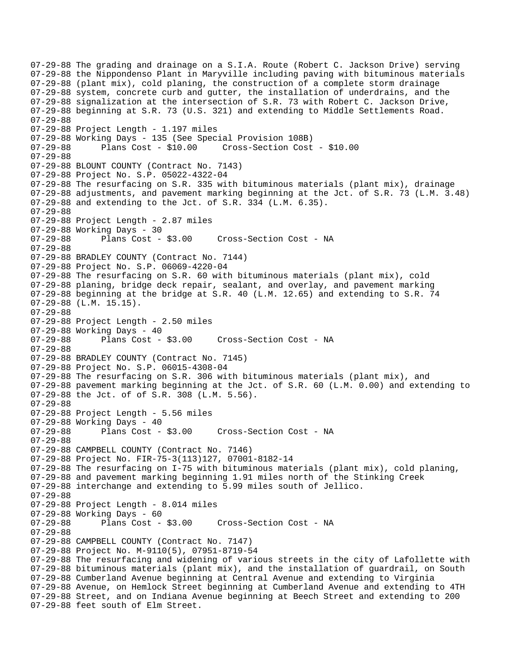07-29-88 The grading and drainage on a S.I.A. Route (Robert C. Jackson Drive) serving 07-29-88 the Nippondenso Plant in Maryville including paving with bituminous materials 07-29-88 (plant mix), cold planing, the construction of a complete storm drainage 07-29-88 system, concrete curb and gutter, the installation of underdrains, and the 07-29-88 signalization at the intersection of S.R. 73 with Robert C. Jackson Drive, 07-29-88 beginning at S.R. 73 (U.S. 321) and extending to Middle Settlements Road. 07-29-88 07-29-88 Project Length - 1.197 miles 07-29-88 Working Days - 135 (See Special Provision 108B) 07-29-88 Plans Cost - \$10.00 Cross-Section Cost - \$10.00 07-29-88 07-29-88 BLOUNT COUNTY (Contract No. 7143) 07-29-88 Project No. S.P. 05022-4322-04 07-29-88 The resurfacing on S.R. 335 with bituminous materials (plant mix), drainage 07-29-88 adjustments, and pavement marking beginning at the Jct. of S.R. 73 (L.M. 3.48) 07-29-88 and extending to the Jct. of S.R. 334 (L.M. 6.35). 07-29-88 07-29-88 Project Length - 2.87 miles 07-29-88 Working Days - 30 07-29-88 Plans Cost - \$3.00 Cross-Section Cost - NA 07-29-88 07-29-88 BRADLEY COUNTY (Contract No. 7144) 07-29-88 Project No. S.P. 06069-4220-04 07-29-88 The resurfacing on S.R. 60 with bituminous materials (plant mix), cold 07-29-88 planing, bridge deck repair, sealant, and overlay, and pavement marking 07-29-88 beginning at the bridge at S.R. 40 (L.M. 12.65) and extending to S.R. 74 07-29-88 (L.M. 15.15). 07-29-88 07-29-88 Project Length - 2.50 miles 07-29-88 Working Days - 40 07-29-88 Plans Cost - \$3.00 Cross-Section Cost - NA 07-29-88 07-29-88 BRADLEY COUNTY (Contract No. 7145) 07-29-88 Project No. S.P. 06015-4308-04 07-29-88 The resurfacing on S.R. 306 with bituminous materials (plant mix), and 07-29-88 pavement marking beginning at the Jct. of S.R. 60 (L.M. 0.00) and extending to 07-29-88 the Jct. of of S.R. 308 (L.M. 5.56). 07-29-88 07-29-88 Project Length - 5.56 miles 07-29-88 Working Days - 40 07-29-88 Plans Cost - \$3.00 Cross-Section Cost - NA 07-29-88 07-29-88 CAMPBELL COUNTY (Contract No. 7146) 07-29-88 Project No. FIR-75-3(113)127, 07001-8182-14 07-29-88 The resurfacing on I-75 with bituminous materials (plant mix), cold planing, 07-29-88 and pavement marking beginning 1.91 miles north of the Stinking Creek 07-29-88 interchange and extending to 5.99 miles south of Jellico. 07-29-88 07-29-88 Project Length - 8.014 miles 07-29-88 Working Days - 60<br>07-29-88 Plans Cost -Plans Cost - \$3.00 Cross-Section Cost - NA 07-29-88 07-29-88 CAMPBELL COUNTY (Contract No. 7147) 07-29-88 Project No. M-9110(5), 07951-8719-54 07-29-88 The resurfacing and widening of various streets in the city of Lafollette with 07-29-88 bituminous materials (plant mix), and the installation of guardrail, on South 07-29-88 Cumberland Avenue beginning at Central Avenue and extending to Virginia 07-29-88 Avenue, on Hemlock Street beginning at Cumberland Avenue and extending to 4TH 07-29-88 Street, and on Indiana Avenue beginning at Beech Street and extending to 200 07-29-88 feet south of Elm Street.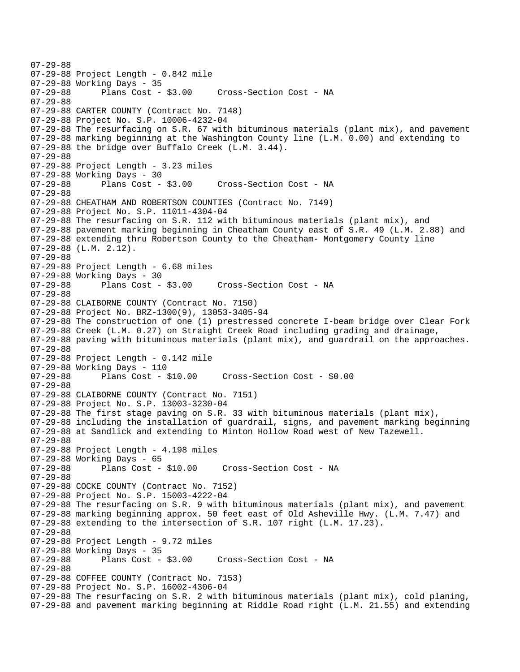07-29-88 07-29-88 Project Length - 0.842 mile 07-29-88 Working Days - 35 07-29-88 Plans Cost - \$3.00 Cross-Section Cost - NA 07-29-88 07-29-88 CARTER COUNTY (Contract No. 7148) 07-29-88 Project No. S.P. 10006-4232-04 07-29-88 The resurfacing on S.R. 67 with bituminous materials (plant mix), and pavement 07-29-88 marking beginning at the Washington County line (L.M. 0.00) and extending to 07-29-88 the bridge over Buffalo Creek (L.M. 3.44). 07-29-88 07-29-88 Project Length - 3.23 miles 07-29-88 Working Days - 30 07-29-88 Plans Cost - \$3.00 Cross-Section Cost - NA 07-29-88 07-29-88 CHEATHAM AND ROBERTSON COUNTIES (Contract No. 7149) 07-29-88 Project No. S.P. 11011-4304-04 07-29-88 The resurfacing on S.R. 112 with bituminous materials (plant mix), and 07-29-88 pavement marking beginning in Cheatham County east of S.R. 49 (L.M. 2.88) and 07-29-88 extending thru Robertson County to the Cheatham- Montgomery County line 07-29-88 (L.M. 2.12). 07-29-88 07-29-88 Project Length - 6.68 miles 07-29-88 Working Days - 30 Cross-Section Cost - NA 07-29-88 07-29-88 CLAIBORNE COUNTY (Contract No. 7150) 07-29-88 Project No. BRZ-1300(9), 13053-3405-94 07-29-88 The construction of one (1) prestressed concrete I-beam bridge over Clear Fork 07-29-88 Creek (L.M. 0.27) on Straight Creek Road including grading and drainage, 07-29-88 paving with bituminous materials (plant mix), and guardrail on the approaches. 07-29-88 07-29-88 Project Length - 0.142 mile 07-29-88 Working Days - 110 07-29-88 Plans Cost - \$10.00 Cross-Section Cost - \$0.00 07-29-88 07-29-88 CLAIBORNE COUNTY (Contract No. 7151) 07-29-88 Project No. S.P. 13003-3230-04 07-29-88 The first stage paving on S.R. 33 with bituminous materials (plant mix), 07-29-88 including the installation of guardrail, signs, and pavement marking beginning 07-29-88 at Sandlick and extending to Minton Hollow Road west of New Tazewell. 07-29-88 07-29-88 Project Length - 4.198 miles 07-29-88 Working Days - 65 07-29-88 Plans Cost - \$10.00 Cross-Section Cost - NA 07-29-88 07-29-88 COCKE COUNTY (Contract No. 7152) 07-29-88 Project No. S.P. 15003-4222-04 07-29-88 The resurfacing on S.R. 9 with bituminous materials (plant mix), and pavement 07-29-88 marking beginning approx. 50 feet east of Old Asheville Hwy. (L.M. 7.47) and 07-29-88 extending to the intersection of S.R. 107 right (L.M. 17.23). 07-29-88 07-29-88 Project Length - 9.72 miles 07-29-88 Working Days - 35<br>07-29-88 Plans Cost - \$3.00 Cross-Section Cost - NA 07-29-88 07-29-88 COFFEE COUNTY (Contract No. 7153) 07-29-88 Project No. S.P. 16002-4306-04 07-29-88 The resurfacing on S.R. 2 with bituminous materials (plant mix), cold planing, 07-29-88 and pavement marking beginning at Riddle Road right (L.M. 21.55) and extending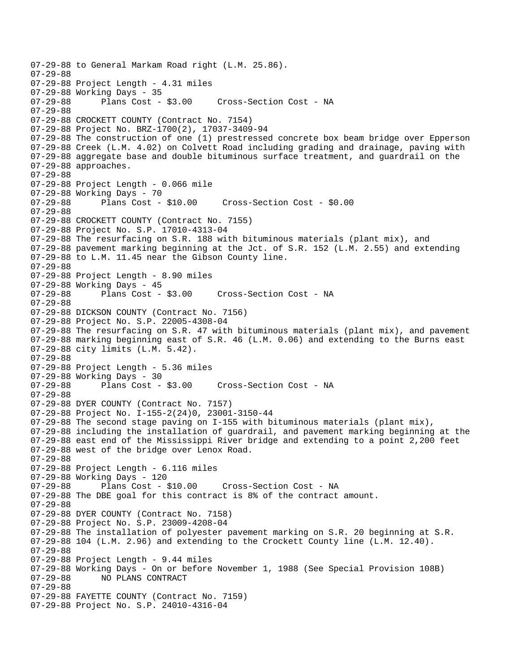07-29-88 to General Markam Road right (L.M. 25.86). 07-29-88 07-29-88 Project Length - 4.31 miles 07-29-88 Working Days - 35 Cross-Section Cost - NA 07-29-88 07-29-88 CROCKETT COUNTY (Contract No. 7154) 07-29-88 Project No. BRZ-1700(2), 17037-3409-94 07-29-88 The construction of one (1) prestressed concrete box beam bridge over Epperson 07-29-88 Creek (L.M. 4.02) on Colvett Road including grading and drainage, paving with 07-29-88 aggregate base and double bituminous surface treatment, and guardrail on the 07-29-88 approaches. 07-29-88 07-29-88 Project Length - 0.066 mile 07-29-88 Working Days - 70 07-29-88 Plans Cost - \$10.00 Cross-Section Cost - \$0.00 07-29-88 07-29-88 CROCKETT COUNTY (Contract No. 7155) 07-29-88 Project No. S.P. 17010-4313-04 07-29-88 The resurfacing on S.R. 188 with bituminous materials (plant mix), and 07-29-88 pavement marking beginning at the Jct. of S.R. 152 (L.M. 2.55) and extending 07-29-88 to L.M. 11.45 near the Gibson County line. 07-29-88 07-29-88 Project Length - 8.90 miles 07-29-88 Working Days - 45<br>07-29-88 Plans Cost - \$3.00 Cross-Section Cost - NA 07-29-88 07-29-88 DICKSON COUNTY (Contract No. 7156) 07-29-88 Project No. S.P. 22005-4308-04 07-29-88 The resurfacing on S.R. 47 with bituminous materials (plant mix), and pavement 07-29-88 marking beginning east of S.R. 46 (L.M. 0.06) and extending to the Burns east 07-29-88 city limits (L.M. 5.42). 07-29-88 07-29-88 Project Length - 5.36 miles 07-29-88 Working Days - 30 07-29-88 Plans Cost - \$3.00 Cross-Section Cost - NA 07-29-88 07-29-88 DYER COUNTY (Contract No. 7157) 07-29-88 Project No. I-155-2(24)0, 23001-3150-44 07-29-88 The second stage paving on I-155 with bituminous materials (plant mix), 07-29-88 including the installation of guardrail, and pavement marking beginning at the 07-29-88 east end of the Mississippi River bridge and extending to a point 2,200 feet 07-29-88 west of the bridge over Lenox Road. 07-29-88 07-29-88 Project Length - 6.116 miles 07-29-88 Working Days - 120 07-29-88 Plans Cost - \$10.00 Cross-Section Cost - NA 07-29-88 The DBE goal for this contract is 8% of the contract amount. 07-29-88 07-29-88 DYER COUNTY (Contract No. 7158) 07-29-88 Project No. S.P. 23009-4208-04 07-29-88 The installation of polyester pavement marking on S.R. 20 beginning at S.R. 07-29-88 104 (L.M. 2.96) and extending to the Crockett County line (L.M. 12.40). 07-29-88 07-29-88 Project Length - 9.44 miles 07-29-88 Working Days - On or before November 1, 1988 (See Special Provision 108B) 07-29-88 NO PLANS CONTRACT 07-29-88 07-29-88 FAYETTE COUNTY (Contract No. 7159) 07-29-88 Project No. S.P. 24010-4316-04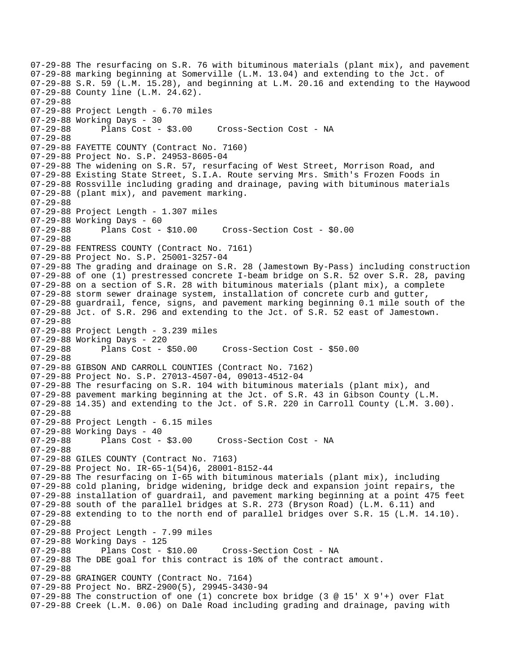07-29-88 The resurfacing on S.R. 76 with bituminous materials (plant mix), and pavement 07-29-88 marking beginning at Somerville (L.M. 13.04) and extending to the Jct. of 07-29-88 S.R. 59 (L.M. 15.28), and beginning at L.M. 20.16 and extending to the Haywood 07-29-88 County line (L.M. 24.62). 07-29-88 07-29-88 Project Length - 6.70 miles 07-29-88 Working Days - 30 07-29-88 Plans Cost - \$3.00 Cross-Section Cost - NA 07-29-88 07-29-88 FAYETTE COUNTY (Contract No. 7160) 07-29-88 Project No. S.P. 24953-8605-04 07-29-88 The widening on S.R. 57, resurfacing of West Street, Morrison Road, and 07-29-88 Existing State Street, S.I.A. Route serving Mrs. Smith's Frozen Foods in 07-29-88 Rossville including grading and drainage, paving with bituminous materials 07-29-88 (plant mix), and pavement marking. 07-29-88 07-29-88 Project Length - 1.307 miles 07-29-88 Working Days - 60 07-29-88 Plans Cost - \$10.00 Cross-Section Cost - \$0.00 07-29-88 07-29-88 FENTRESS COUNTY (Contract No. 7161) 07-29-88 Project No. S.P. 25001-3257-04 07-29-88 The grading and drainage on S.R. 28 (Jamestown By-Pass) including construction 07-29-88 of one (1) prestressed concrete I-beam bridge on S.R. 52 over S.R. 28, paving 07-29-88 on a section of S.R. 28 with bituminous materials (plant mix), a complete 07-29-88 storm sewer drainage system, installation of concrete curb and gutter, 07-29-88 guardrail, fence, signs, and pavement marking beginning 0.1 mile south of the 07-29-88 Jct. of S.R. 296 and extending to the Jct. of S.R. 52 east of Jamestown. 07-29-88 07-29-88 Project Length - 3.239 miles 07-29-88 Working Days - 220 07-29-88 Plans Cost - \$50.00 Cross-Section Cost - \$50.00 07-29-88 07-29-88 GIBSON AND CARROLL COUNTIES (Contract No. 7162) 07-29-88 Project No. S.P. 27013-4507-04, 09013-4512-04 07-29-88 The resurfacing on S.R. 104 with bituminous materials (plant mix), and 07-29-88 pavement marking beginning at the Jct. of S.R. 43 in Gibson County (L.M. 07-29-88 14.35) and extending to the Jct. of S.R. 220 in Carroll County (L.M. 3.00). 07-29-88 07-29-88 Project Length - 6.15 miles 07-29-88 Working Days - 40 07-29-88 Plans Cost - \$3.00 Cross-Section Cost - NA 07-29-88 07-29-88 GILES COUNTY (Contract No. 7163) 07-29-88 Project No. IR-65-1(54)6, 28001-8152-44 07-29-88 The resurfacing on I-65 with bituminous materials (plant mix), including 07-29-88 cold planing, bridge widening, bridge deck and expansion joint repairs, the 07-29-88 installation of guardrail, and pavement marking beginning at a point 475 feet 07-29-88 south of the parallel bridges at S.R. 273 (Bryson Road) (L.M. 6.11) and 07-29-88 extending to to the north end of parallel bridges over S.R. 15 (L.M. 14.10). 07-29-88 07-29-88 Project Length - 7.99 miles 07-29-88 Working Days - 125 07-29-88 Plans Cost - \$10.00 Cross-Section Cost - NA 07-29-88 The DBE goal for this contract is 10% of the contract amount. 07-29-88 07-29-88 GRAINGER COUNTY (Contract No. 7164) 07-29-88 Project No. BRZ-2900(5), 29945-3430-94 07-29-88 The construction of one (1) concrete box bridge (3 @ 15' X 9'+) over Flat 07-29-88 Creek (L.M. 0.06) on Dale Road including grading and drainage, paving with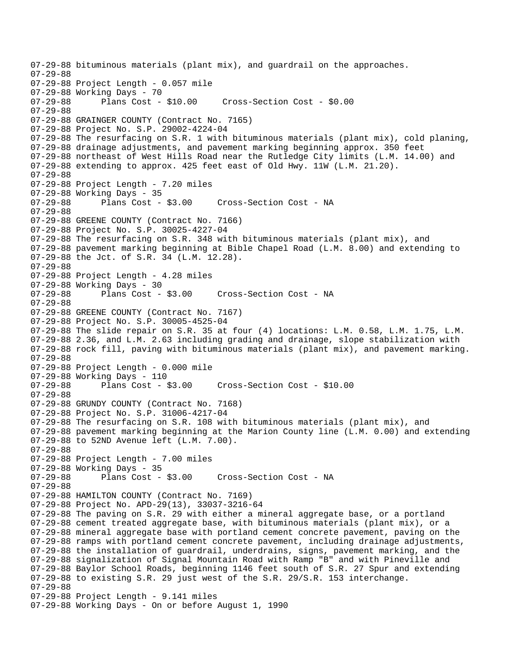07-29-88 bituminous materials (plant mix), and guardrail on the approaches. 07-29-88 07-29-88 Project Length - 0.057 mile 07-29-88 Working Days - 70<br>07-29-88 Plans Cost - \$10.00 Cross-Section Cost - \$0.00 07-29-88 07-29-88 GRAINGER COUNTY (Contract No. 7165) 07-29-88 Project No. S.P. 29002-4224-04 07-29-88 The resurfacing on S.R. 1 with bituminous materials (plant mix), cold planing, 07-29-88 drainage adjustments, and pavement marking beginning approx. 350 feet 07-29-88 northeast of West Hills Road near the Rutledge City limits (L.M. 14.00) and 07-29-88 extending to approx. 425 feet east of Old Hwy. 11W (L.M. 21.20). 07-29-88 07-29-88 Project Length - 7.20 miles 07-29-88 Working Days - 35 07-29-88 Plans Cost - \$3.00 Cross-Section Cost - NA 07-29-88 07-29-88 GREENE COUNTY (Contract No. 7166) 07-29-88 Project No. S.P. 30025-4227-04 07-29-88 The resurfacing on S.R. 348 with bituminous materials (plant mix), and 07-29-88 pavement marking beginning at Bible Chapel Road (L.M. 8.00) and extending to 07-29-88 the Jct. of S.R. 34 (L.M. 12.28). 07-29-88 07-29-88 Project Length - 4.28 miles 07-29-88 Working Days - 30<br>07-29-88 Plans Cost - \$3.00 Cross-Section Cost - NA 07-29-88 07-29-88 GREENE COUNTY (Contract No. 7167) 07-29-88 Project No. S.P. 30005-4525-04 07-29-88 The slide repair on S.R. 35 at four (4) locations: L.M. 0.58, L.M. 1.75, L.M. 07-29-88 2.36, and L.M. 2.63 including grading and drainage, slope stabilization with 07-29-88 rock fill, paving with bituminous materials (plant mix), and pavement marking. 07-29-88 07-29-88 Project Length - 0.000 mile 07-29-88 Working Days - 110 07-29-88 Plans Cost - \$3.00 Cross-Section Cost - \$10.00 07-29-88 07-29-88 GRUNDY COUNTY (Contract No. 7168) 07-29-88 Project No. S.P. 31006-4217-04 07-29-88 The resurfacing on S.R. 108 with bituminous materials (plant mix), and 07-29-88 pavement marking beginning at the Marion County line (L.M. 0.00) and extending 07-29-88 to 52ND Avenue left (L.M. 7.00). 07-29-88 07-29-88 Project Length - 7.00 miles 07-29-88 Working Days - 35 07-29-88 Plans Cost - \$3.00 Cross-Section Cost - NA 07-29-88 07-29-88 HAMILTON COUNTY (Contract No. 7169) 07-29-88 Project No. APD-29(13), 33037-3216-64 07-29-88 The paving on S.R. 29 with either a mineral aggregate base, or a portland 07-29-88 cement treated aggregate base, with bituminous materials (plant mix), or a 07-29-88 mineral aggregate base with portland cement concrete pavement, paving on the 07-29-88 ramps with portland cement concrete pavement, including drainage adjustments, 07-29-88 the installation of guardrail, underdrains, signs, pavement marking, and the 07-29-88 signalization of Signal Mountain Road with Ramp "B" and with Pineville and 07-29-88 Baylor School Roads, beginning 1146 feet south of S.R. 27 Spur and extending 07-29-88 to existing S.R. 29 just west of the S.R. 29/S.R. 153 interchange. 07-29-88 07-29-88 Project Length - 9.141 miles 07-29-88 Working Days - On or before August 1, 1990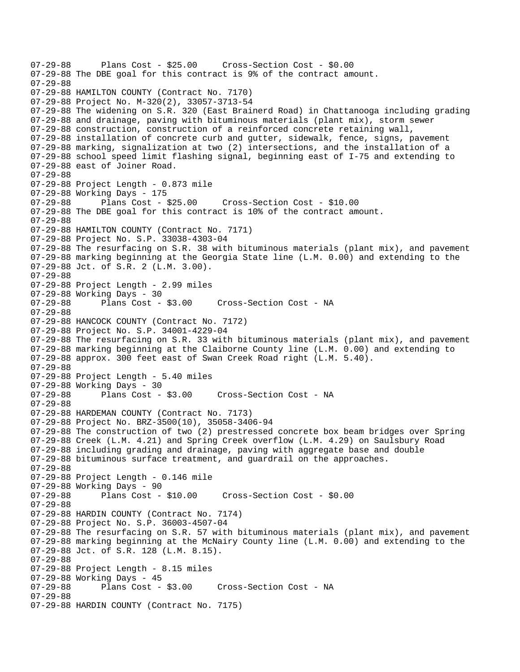```
07-29-88 Plans Cost - $25.00 Cross-Section Cost - $0.00 
07-29-88 The DBE goal for this contract is 9% of the contract amount. 
07-29-88 
07-29-88 HAMILTON COUNTY (Contract No. 7170) 
07-29-88 Project No. M-320(2), 33057-3713-54 
07-29-88 The widening on S.R. 320 (East Brainerd Road) in Chattanooga including grading 
07-29-88 and drainage, paving with bituminous materials (plant mix), storm sewer 
07-29-88 construction, construction of a reinforced concrete retaining wall, 
07-29-88 installation of concrete curb and gutter, sidewalk, fence, signs, pavement 
07-29-88 marking, signalization at two (2) intersections, and the installation of a 
07-29-88 school speed limit flashing signal, beginning east of I-75 and extending to 
07-29-88 east of Joiner Road. 
07-29-88 
07-29-88 Project Length - 0.873 mile 
07-29-88 Working Days - 175 
07-29-88 Plans Cost - $25.00 Cross-Section Cost - $10.00 
07-29-88 The DBE goal for this contract is 10% of the contract amount. 
07-29-88 
07-29-88 HAMILTON COUNTY (Contract No. 7171) 
07-29-88 Project No. S.P. 33038-4303-04 
07-29-88 The resurfacing on S.R. 38 with bituminous materials (plant mix), and pavement 
07-29-88 marking beginning at the Georgia State line (L.M. 0.00) and extending to the 
07-29-88 Jct. of S.R. 2 (L.M. 3.00). 
07-29-88 
07-29-88 Project Length - 2.99 miles 
07-29-88 Working Days - 30 
07-29-88 Plans Cost - $3.00 Cross-Section Cost - NA 
07-29-88 
07-29-88 HANCOCK COUNTY (Contract No. 7172) 
07-29-88 Project No. S.P. 34001-4229-04 
07-29-88 The resurfacing on S.R. 33 with bituminous materials (plant mix), and pavement 
07-29-88 marking beginning at the Claiborne County line (L.M. 0.00) and extending to 
07-29-88 approx. 300 feet east of Swan Creek Road right (L.M. 5.40). 
07-29-88 
07-29-88 Project Length - 5.40 miles 
07-29-88 Working Days - 30 
07-29-88 Plans Cost - $3.00 Cross-Section Cost - NA 
07-29-88 
07-29-88 HARDEMAN COUNTY (Contract No. 7173) 
07-29-88 Project No. BRZ-3500(10), 35058-3406-94 
07-29-88 The construction of two (2) prestressed concrete box beam bridges over Spring 
07-29-88 Creek (L.M. 4.21) and Spring Creek overflow (L.M. 4.29) on Saulsbury Road 
07-29-88 including grading and drainage, paving with aggregate base and double 
07-29-88 bituminous surface treatment, and guardrail on the approaches. 
07-29-88 
07-29-88 Project Length - 0.146 mile 
07-29-88 Working Days - 90<br>07-29-88 Plans Cost - $10.00
                                       Cross-Section Cost - $0.00
07-29-88 
07-29-88 HARDIN COUNTY (Contract No. 7174) 
07-29-88 Project No. S.P. 36003-4507-04 
07-29-88 The resurfacing on S.R. 57 with bituminous materials (plant mix), and pavement 
07-29-88 marking beginning at the McNairy County line (L.M. 0.00) and extending to the 
07-29-88 Jct. of S.R. 128 (L.M. 8.15). 
07-29-88 
07-29-88 Project Length - 8.15 miles 
07-29-88 Working Days - 45<br>07-29-88 Plans Cost - $3.00
                                    Cross-Section Cost - NA
07-29-88 
07-29-88 HARDIN COUNTY (Contract No. 7175)
```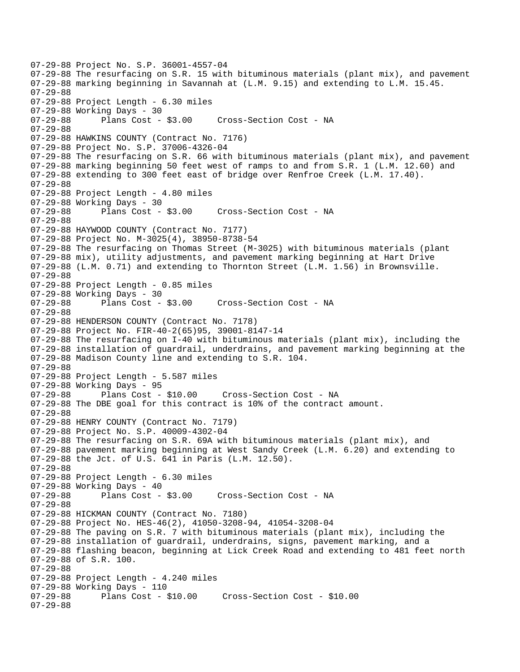07-29-88 Project No. S.P. 36001-4557-04 07-29-88 The resurfacing on S.R. 15 with bituminous materials (plant mix), and pavement 07-29-88 marking beginning in Savannah at (L.M. 9.15) and extending to L.M. 15.45. 07-29-88 07-29-88 Project Length - 6.30 miles 07-29-88 Working Days - 30 07-29-88 Plans Cost - \$3.00 Cross-Section Cost - NA 07-29-88 07-29-88 HAWKINS COUNTY (Contract No. 7176) 07-29-88 Project No. S.P. 37006-4326-04 07-29-88 The resurfacing on S.R. 66 with bituminous materials (plant mix), and pavement 07-29-88 marking beginning 50 feet west of ramps to and from S.R. 1 (L.M. 12.60) and 07-29-88 extending to 300 feet east of bridge over Renfroe Creek (L.M. 17.40). 07-29-88 07-29-88 Project Length - 4.80 miles 07-29-88 Working Days - 30 07-29-88 Plans Cost - \$3.00 Cross-Section Cost - NA 07-29-88 07-29-88 HAYWOOD COUNTY (Contract No. 7177) 07-29-88 Project No. M-3025(4), 38950-8738-54 07-29-88 The resurfacing on Thomas Street (M-3025) with bituminous materials (plant 07-29-88 mix), utility adjustments, and pavement marking beginning at Hart Drive 07-29-88 (L.M. 0.71) and extending to Thornton Street (L.M. 1.56) in Brownsville. 07-29-88 07-29-88 Project Length - 0.85 miles 07-29-88 Working Days - 30 07-29-88 Plans Cost - \$3.00 Cross-Section Cost - NA 07-29-88 07-29-88 HENDERSON COUNTY (Contract No. 7178) 07-29-88 Project No. FIR-40-2(65)95, 39001-8147-14 07-29-88 The resurfacing on I-40 with bituminous materials (plant mix), including the 07-29-88 installation of guardrail, underdrains, and pavement marking beginning at the 07-29-88 Madison County line and extending to S.R. 104. 07-29-88 07-29-88 Project Length - 5.587 miles 07-29-88 Working Days - 95 07-29-88 Plans Cost - \$10.00 Cross-Section Cost - NA 07-29-88 The DBE goal for this contract is 10% of the contract amount. 07-29-88 07-29-88 HENRY COUNTY (Contract No. 7179) 07-29-88 Project No. S.P. 40009-4302-04 07-29-88 The resurfacing on S.R. 69A with bituminous materials (plant mix), and 07-29-88 pavement marking beginning at West Sandy Creek (L.M. 6.20) and extending to 07-29-88 the Jct. of U.S. 641 in Paris (L.M. 12.50). 07-29-88 07-29-88 Project Length - 6.30 miles 07-29-88 Working Days - 40 Cross-Section Cost - NA 07-29-88 07-29-88 HICKMAN COUNTY (Contract No. 7180) 07-29-88 Project No. HES-46(2), 41050-3208-94, 41054-3208-04 07-29-88 The paving on S.R. 7 with bituminous materials (plant mix), including the 07-29-88 installation of guardrail, underdrains, signs, pavement marking, and a 07-29-88 flashing beacon, beginning at Lick Creek Road and extending to 481 feet north 07-29-88 of S.R. 100. 07-29-88 07-29-88 Project Length - 4.240 miles 07-29-88 Working Days - 110 07-29-88 Plans Cost - \$10.00 Cross-Section Cost - \$10.00 07-29-88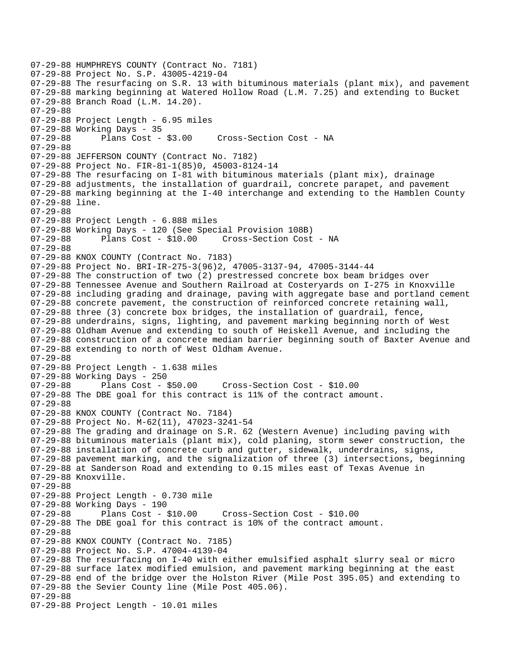07-29-88 HUMPHREYS COUNTY (Contract No. 7181) 07-29-88 Project No. S.P. 43005-4219-04 07-29-88 The resurfacing on S.R. 13 with bituminous materials (plant mix), and pavement 07-29-88 marking beginning at Watered Hollow Road (L.M. 7.25) and extending to Bucket 07-29-88 Branch Road (L.M. 14.20). 07-29-88 07-29-88 Project Length - 6.95 miles 07-29-88 Working Days - 35 07-29-88 Plans Cost - \$3.00 Cross-Section Cost - NA 07-29-88 07-29-88 JEFFERSON COUNTY (Contract No. 7182) 07-29-88 Project No. FIR-81-1(85)0, 45003-8124-14 07-29-88 The resurfacing on I-81 with bituminous materials (plant mix), drainage 07-29-88 adjustments, the installation of guardrail, concrete parapet, and pavement 07-29-88 marking beginning at the I-40 interchange and extending to the Hamblen County 07-29-88 line. 07-29-88 07-29-88 Project Length - 6.888 miles 07-29-88 Working Days - 120 (See Special Provision 108B) 07-29-88 Plans Cost - \$10.00 Cross-Section Cost - NA 07-29-88 07-29-88 KNOX COUNTY (Contract No. 7183) 07-29-88 Project No. BRI-IR-275-3(96)2, 47005-3137-94, 47005-3144-44 07-29-88 The construction of two (2) prestressed concrete box beam bridges over 07-29-88 Tennessee Avenue and Southern Railroad at Costeryards on I-275 in Knoxville 07-29-88 including grading and drainage, paving with aggregate base and portland cement 07-29-88 concrete pavement, the construction of reinforced concrete retaining wall, 07-29-88 three (3) concrete box bridges, the installation of guardrail, fence, 07-29-88 underdrains, signs, lighting, and pavement marking beginning north of West 07-29-88 Oldham Avenue and extending to south of Heiskell Avenue, and including the 07-29-88 construction of a concrete median barrier beginning south of Baxter Avenue and 07-29-88 extending to north of West Oldham Avenue. 07-29-88 07-29-88 Project Length - 1.638 miles 07-29-88 Working Days - 250 07-29-88 Plans Cost - \$50.00 Cross-Section Cost - \$10.00 07-29-88 The DBE goal for this contract is 11% of the contract amount. 07-29-88 07-29-88 KNOX COUNTY (Contract No. 7184) 07-29-88 Project No. M-62(11), 47023-3241-54 07-29-88 The grading and drainage on S.R. 62 (Western Avenue) including paving with 07-29-88 bituminous materials (plant mix), cold planing, storm sewer construction, the 07-29-88 installation of concrete curb and gutter, sidewalk, underdrains, signs, 07-29-88 pavement marking, and the signalization of three (3) intersections, beginning 07-29-88 at Sanderson Road and extending to 0.15 miles east of Texas Avenue in 07-29-88 Knoxville. 07-29-88 07-29-88 Project Length - 0.730 mile 07-29-88 Working Days - 190 07-29-88 Plans Cost - \$10.00 Cross-Section Cost - \$10.00 07-29-88 The DBE goal for this contract is 10% of the contract amount. 07-29-88 07-29-88 KNOX COUNTY (Contract No. 7185) 07-29-88 Project No. S.P. 47004-4139-04 07-29-88 The resurfacing on I-40 with either emulsified asphalt slurry seal or micro 07-29-88 surface latex modified emulsion, and pavement marking beginning at the east 07-29-88 end of the bridge over the Holston River (Mile Post 395.05) and extending to 07-29-88 the Sevier County line (Mile Post 405.06). 07-29-88 07-29-88 Project Length - 10.01 miles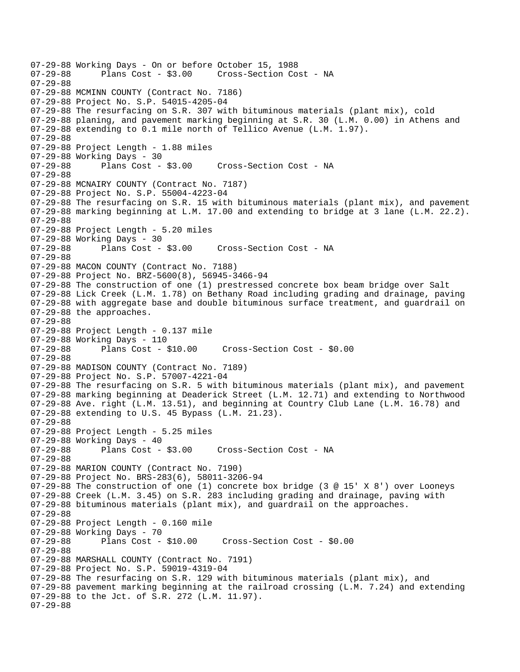```
07-29-88 Working Days - On or before October 15, 1988 
                                    Cross-Section Cost - NA
07-29-88 
07-29-88 MCMINN COUNTY (Contract No. 7186) 
07-29-88 Project No. S.P. 54015-4205-04 
07-29-88 The resurfacing on S.R. 307 with bituminous materials (plant mix), cold 
07-29-88 planing, and pavement marking beginning at S.R. 30 (L.M. 0.00) in Athens and 
07-29-88 extending to 0.1 mile north of Tellico Avenue (L.M. 1.97). 
07-29-88 
07-29-88 Project Length - 1.88 miles 
07-29-88 Working Days - 30 
07-29-88 Plans Cost - $3.00 Cross-Section Cost - NA 
07-29-88 
07-29-88 MCNAIRY COUNTY (Contract No. 7187) 
07-29-88 Project No. S.P. 55004-4223-04 
07-29-88 The resurfacing on S.R. 15 with bituminous materials (plant mix), and pavement 
07-29-88 marking beginning at L.M. 17.00 and extending to bridge at 3 lane (L.M. 22.2). 
07-29-88 
07-29-88 Project Length - 5.20 miles 
07-29-88 Working Days - 30 
07-29-88 Plans Cost - $3.00 Cross-Section Cost - NA 
07-29-88 
07-29-88 MACON COUNTY (Contract No. 7188) 
07-29-88 Project No. BRZ-5600(8), 56945-3466-94 
07-29-88 The construction of one (1) prestressed concrete box beam bridge over Salt 
07-29-88 Lick Creek (L.M. 1.78) on Bethany Road including grading and drainage, paving 
07-29-88 with aggregate base and double bituminous surface treatment, and guardrail on 
07-29-88 the approaches. 
07-29-88 
07-29-88 Project Length - 0.137 mile 
07-29-88 Working Days - 110 
07-29-88 Plans Cost - $10.00 Cross-Section Cost - $0.00 
07-29-88 
07-29-88 MADISON COUNTY (Contract No. 7189) 
07-29-88 Project No. S.P. 57007-4221-04 
07-29-88 The resurfacing on S.R. 5 with bituminous materials (plant mix), and pavement 
07-29-88 marking beginning at Deaderick Street (L.M. 12.71) and extending to Northwood 
07-29-88 Ave. right (L.M. 13.51), and beginning at Country Club Lane (L.M. 16.78) and 
07-29-88 extending to U.S. 45 Bypass (L.M. 21.23). 
07-29-88 
07-29-88 Project Length - 5.25 miles 
07-29-88 Working Days - 40 
07-29-88 Plans Cost - $3.00 Cross-Section Cost - NA 
07-29-88 
07-29-88 MARION COUNTY (Contract No. 7190) 
07-29-88 Project No. BRS-283(6), 58011-3206-94 
07-29-88 The construction of one (1) concrete box bridge (3 @ 15' X 8') over Looneys 
07-29-88 Creek (L.M. 3.45) on S.R. 283 including grading and drainage, paving with 
07-29-88 bituminous materials (plant mix), and guardrail on the approaches. 
07-29-88 
07-29-88 Project Length - 0.160 mile 
07-29-88 Working Days - 70 
07-29-88 Plans Cost - $10.00 Cross-Section Cost - $0.00 
07-29-88 
07-29-88 MARSHALL COUNTY (Contract No. 7191) 
07-29-88 Project No. S.P. 59019-4319-04 
07-29-88 The resurfacing on S.R. 129 with bituminous materials (plant mix), and 
07-29-88 pavement marking beginning at the railroad crossing (L.M. 7.24) and extending 
07-29-88 to the Jct. of S.R. 272 (L.M. 11.97). 
07-29-88
```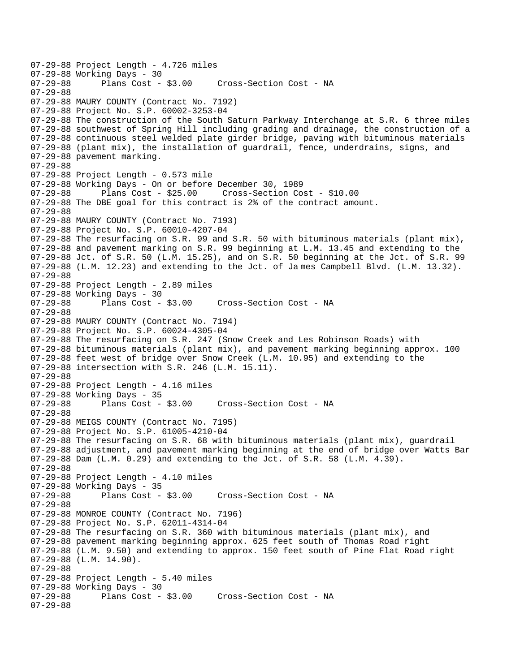07-29-88 Project Length - 4.726 miles 07-29-88 Working Days - 30 Cross-Section Cost - NA 07-29-88 07-29-88 MAURY COUNTY (Contract No. 7192) 07-29-88 Project No. S.P. 60002-3253-04 07-29-88 The construction of the South Saturn Parkway Interchange at S.R. 6 three miles 07-29-88 southwest of Spring Hill including grading and drainage, the construction of a 07-29-88 continuous steel welded plate girder bridge, paving with bituminous materials 07-29-88 (plant mix), the installation of guardrail, fence, underdrains, signs, and 07-29-88 pavement marking. 07-29-88 07-29-88 Project Length - 0.573 mile 07-29-88 Working Days - On or before December 30, 1989 07-29-88 Plans Cost - \$25.00 Cross-Section Cost - \$10.00 07-29-88 The DBE goal for this contract is 2% of the contract amount. 07-29-88 07-29-88 MAURY COUNTY (Contract No. 7193) 07-29-88 Project No. S.P. 60010-4207-04 07-29-88 The resurfacing on S.R. 99 and S.R. 50 with bituminous materials (plant mix), 07-29-88 and pavement marking on S.R. 99 beginning at L.M. 13.45 and extending to the 07-29-88 Jct. of S.R. 50 (L.M. 15.25), and on S.R. 50 beginning at the Jct. of S.R. 99 07-29-88 (L.M. 12.23) and extending to the Jct. of Ja mes Campbell Blvd. (L.M. 13.32). 07-29-88 07-29-88 Project Length - 2.89 miles 07-29-88 Working Days - 30 07-29-88 Plans Cost - \$3.00 Cross-Section Cost - NA 07-29-88 07-29-88 MAURY COUNTY (Contract No. 7194) 07-29-88 Project No. S.P. 60024-4305-04 07-29-88 The resurfacing on S.R. 247 (Snow Creek and Les Robinson Roads) with 07-29-88 bituminous materials (plant mix), and pavement marking beginning approx. 100 07-29-88 feet west of bridge over Snow Creek (L.M. 10.95) and extending to the 07-29-88 intersection with S.R. 246 (L.M. 15.11). 07-29-88 07-29-88 Project Length - 4.16 miles 07-29-88 Working Days - 35<br>07-29-88 Plans Cost - \$3.00 07-29-88 Plans Cost - \$3.00 Cross-Section Cost - NA 07-29-88 07-29-88 MEIGS COUNTY (Contract No. 7195) 07-29-88 Project No. S.P. 61005-4210-04 07-29-88 The resurfacing on S.R. 68 with bituminous materials (plant mix), guardrail 07-29-88 adjustment, and pavement marking beginning at the end of bridge over Watts Bar 07-29-88 Dam (L.M. 0.29) and extending to the Jct. of S.R. 58 (L.M. 4.39). 07-29-88 07-29-88 Project Length - 4.10 miles 07-29-88 Working Days - 35 Cross-Section Cost - NA 07-29-88 07-29-88 MONROE COUNTY (Contract No. 7196) 07-29-88 Project No. S.P. 62011-4314-04 07-29-88 The resurfacing on S.R. 360 with bituminous materials (plant mix), and 07-29-88 pavement marking beginning approx. 625 feet south of Thomas Road right 07-29-88 (L.M. 9.50) and extending to approx. 150 feet south of Pine Flat Road right 07-29-88 (L.M. 14.90). 07-29-88 07-29-88 Project Length - 5.40 miles 07-29-88 Working Days - 30 Cross-Section Cost - NA 07-29-88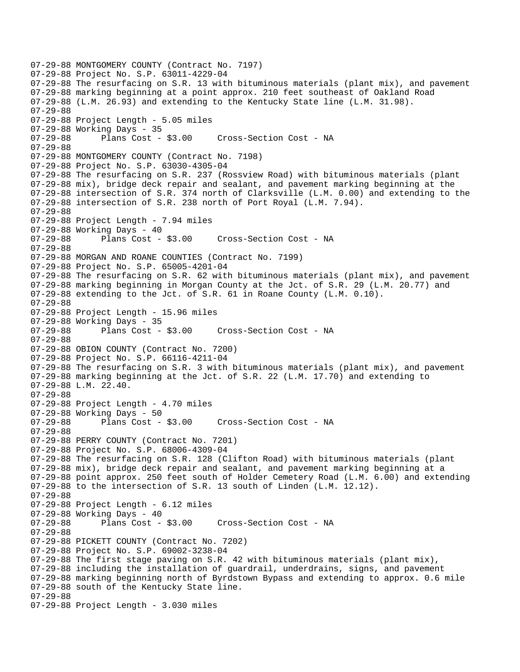07-29-88 MONTGOMERY COUNTY (Contract No. 7197) 07-29-88 Project No. S.P. 63011-4229-04 07-29-88 The resurfacing on S.R. 13 with bituminous materials (plant mix), and pavement 07-29-88 marking beginning at a point approx. 210 feet southeast of Oakland Road 07-29-88 (L.M. 26.93) and extending to the Kentucky State line (L.M. 31.98). 07-29-88 07-29-88 Project Length - 5.05 miles 07-29-88 Working Days - 35 07-29-88 Plans Cost - \$3.00 Cross-Section Cost - NA 07-29-88 07-29-88 MONTGOMERY COUNTY (Contract No. 7198) 07-29-88 Project No. S.P. 63030-4305-04 07-29-88 The resurfacing on S.R. 237 (Rossview Road) with bituminous materials (plant 07-29-88 mix), bridge deck repair and sealant, and pavement marking beginning at the 07-29-88 intersection of S.R. 374 north of Clarksville (L.M. 0.00) and extending to the 07-29-88 intersection of S.R. 238 north of Port Royal (L.M. 7.94). 07-29-88 07-29-88 Project Length - 7.94 miles 07-29-88 Working Days - 40 07-29-88 Plans Cost - \$3.00 Cross-Section Cost - NA 07-29-88 07-29-88 MORGAN AND ROANE COUNTIES (Contract No. 7199) 07-29-88 Project No. S.P. 65005-4201-04 07-29-88 The resurfacing on S.R. 62 with bituminous materials (plant mix), and pavement 07-29-88 marking beginning in Morgan County at the Jct. of S.R. 29 (L.M. 20.77) and 07-29-88 extending to the Jct. of S.R. 61 in Roane County (L.M. 0.10). 07-29-88 07-29-88 Project Length - 15.96 miles 07-29-88 Working Days - 35 07-29-88 Plans Cost - \$3.00 Cross-Section Cost - NA 07-29-88 07-29-88 OBION COUNTY (Contract No. 7200) 07-29-88 Project No. S.P. 66116-4211-04 07-29-88 The resurfacing on S.R. 3 with bituminous materials (plant mix), and pavement 07-29-88 marking beginning at the Jct. of S.R. 22 (L.M. 17.70) and extending to 07-29-88 L.M. 22.40. 07-29-88 07-29-88 Project Length - 4.70 miles 07-29-88 Working Days - 50 07-29-88 Plans Cost - \$3.00 Cross-Section Cost - NA 07-29-88 07-29-88 PERRY COUNTY (Contract No. 7201) 07-29-88 Project No. S.P. 68006-4309-04 07-29-88 The resurfacing on S.R. 128 (Clifton Road) with bituminous materials (plant 07-29-88 mix), bridge deck repair and sealant, and pavement marking beginning at a 07-29-88 point approx. 250 feet south of Holder Cemetery Road (L.M. 6.00) and extending 07-29-88 to the intersection of S.R. 13 south of Linden (L.M. 12.12). 07-29-88 07-29-88 Project Length - 6.12 miles 07-29-88 Working Days - 40<br>07-29-88 Plans Cost -Plans Cost - \$3.00 Cross-Section Cost - NA 07-29-88 07-29-88 PICKETT COUNTY (Contract No. 7202) 07-29-88 Project No. S.P. 69002-3238-04 07-29-88 The first stage paving on S.R. 42 with bituminous materials (plant mix), 07-29-88 including the installation of guardrail, underdrains, signs, and pavement 07-29-88 marking beginning north of Byrdstown Bypass and extending to approx. 0.6 mile 07-29-88 south of the Kentucky State line. 07-29-88 07-29-88 Project Length - 3.030 miles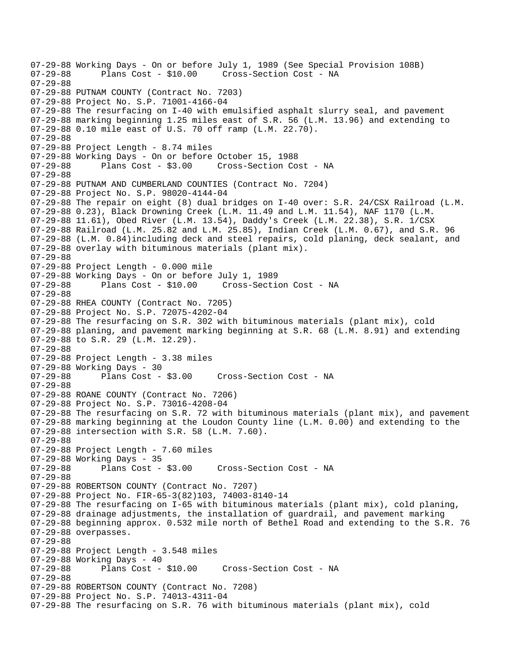07-29-88 Working Days - On or before July 1, 1989 (See Special Provision 108B)<br>07-29-88 Plans Cost - \$10.00 Cross-Section Cost - NA Cross-Section Cost - NA 07-29-88 07-29-88 PUTNAM COUNTY (Contract No. 7203) 07-29-88 Project No. S.P. 71001-4166-04 07-29-88 The resurfacing on I-40 with emulsified asphalt slurry seal, and pavement 07-29-88 marking beginning 1.25 miles east of S.R. 56 (L.M. 13.96) and extending to 07-29-88 0.10 mile east of U.S. 70 off ramp (L.M. 22.70). 07-29-88 07-29-88 Project Length - 8.74 miles 07-29-88 Working Days - On or before October 15, 1988 07-29-88 Plans Cost - \$3.00 Cross-Section Cost - NA 07-29-88 07-29-88 PUTNAM AND CUMBERLAND COUNTIES (Contract No. 7204) 07-29-88 Project No. S.P. 98020-4144-04 07-29-88 The repair on eight (8) dual bridges on I-40 over: S.R. 24/CSX Railroad (L.M. 07-29-88 0.23), Black Drowning Creek (L.M. 11.49 and L.M. 11.54), NAF 1170 (L.M. 07-29-88 11.61), Obed River (L.M. 13.54), Daddy's Creek (L.M. 22.38), S.R. 1/CSX 07-29-88 Railroad (L.M. 25.82 and L.M. 25.85), Indian Creek (L.M. 0.67), and S.R. 96 07-29-88 (L.M. 0.84)including deck and steel repairs, cold planing, deck sealant, and 07-29-88 overlay with bituminous materials (plant mix). 07-29-88 07-29-88 Project Length - 0.000 mile 07-29-88 Working Days - On or before July 1, 1989 Cross-Section Cost - NA 07-29-88 07-29-88 RHEA COUNTY (Contract No. 7205) 07-29-88 Project No. S.P. 72075-4202-04 07-29-88 The resurfacing on S.R. 302 with bituminous materials (plant mix), cold 07-29-88 planing, and pavement marking beginning at S.R. 68 (L.M. 8.91) and extending 07-29-88 to S.R. 29 (L.M. 12.29). 07-29-88 07-29-88 Project Length - 3.38 miles 07-29-88 Working Days - 30<br>07-29-88 Plans Cost -Plans Cost - \$3.00 Cross-Section Cost - NA 07-29-88 07-29-88 ROANE COUNTY (Contract No. 7206) 07-29-88 Project No. S.P. 73016-4208-04 07-29-88 The resurfacing on S.R. 72 with bituminous materials (plant mix), and pavement 07-29-88 marking beginning at the Loudon County line (L.M. 0.00) and extending to the 07-29-88 intersection with S.R. 58 (L.M. 7.60). 07-29-88 07-29-88 Project Length - 7.60 miles 07-29-88 Working Days - 35 07-29-88 Plans Cost - \$3.00 Cross-Section Cost - NA 07-29-88 07-29-88 ROBERTSON COUNTY (Contract No. 7207) 07-29-88 Project No. FIR-65-3(82)103, 74003-8140-14 07-29-88 The resurfacing on I-65 with bituminous materials (plant mix), cold planing, 07-29-88 drainage adjustments, the installation of guardrail, and pavement marking 07-29-88 beginning approx. 0.532 mile north of Bethel Road and extending to the S.R. 76 07-29-88 overpasses. 07-29-88 07-29-88 Project Length - 3.548 miles 07-29-88 Working Days - 40 07-29-88 Plans Cost - \$10.00 Cross-Section Cost - NA 07-29-88 07-29-88 ROBERTSON COUNTY (Contract No. 7208) 07-29-88 Project No. S.P. 74013-4311-04 07-29-88 The resurfacing on S.R. 76 with bituminous materials (plant mix), cold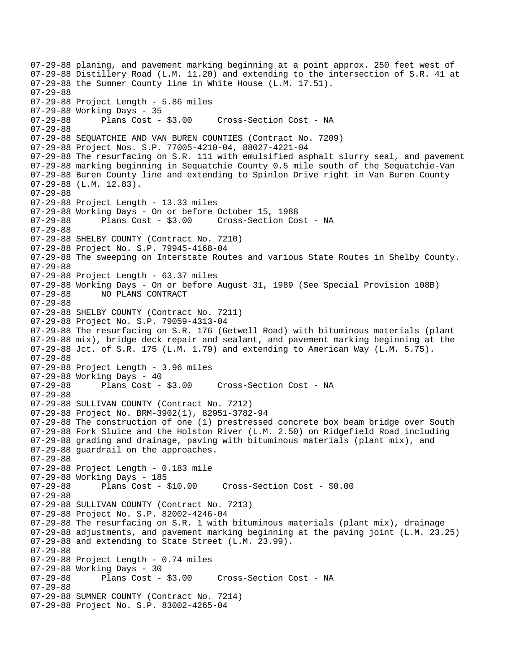07-29-88 planing, and pavement marking beginning at a point approx. 250 feet west of 07-29-88 Distillery Road (L.M. 11.20) and extending to the intersection of S.R. 41 at 07-29-88 the Sumner County line in White House (L.M. 17.51). 07-29-88 07-29-88 Project Length - 5.86 miles 07-29-88 Working Days - 35 07-29-88 Plans Cost - \$3.00 Cross-Section Cost - NA 07-29-88 07-29-88 SEQUATCHIE AND VAN BUREN COUNTIES (Contract No. 7209) 07-29-88 Project Nos. S.P. 77005-4210-04, 88027-4221-04 07-29-88 The resurfacing on S.R. 111 with emulsified asphalt slurry seal, and pavement 07-29-88 marking beginning in Sequatchie County 0.5 mile south of the Sequatchie-Van 07-29-88 Buren County line and extending to Spinlon Drive right in Van Buren County 07-29-88 (L.M. 12.83). 07-29-88 07-29-88 Project Length - 13.33 miles 07-29-88 Working Days - On or before October 15, 1988 07-29-88 Plans Cost - \$3.00 Cross-Section Cost - NA 07-29-88 07-29-88 SHELBY COUNTY (Contract No. 7210) 07-29-88 Project No. S.P. 79945-4168-04 07-29-88 The sweeping on Interstate Routes and various State Routes in Shelby County. 07-29-88 07-29-88 Project Length - 63.37 miles 07-29-88 Working Days - On or before August 31, 1989 (See Special Provision 108B)<br>07-29-88 NO PLANS CONTRACT NO PLANS CONTRACT 07-29-88 07-29-88 SHELBY COUNTY (Contract No. 7211) 07-29-88 Project No. S.P. 79059-4313-04 07-29-88 The resurfacing on S.R. 176 (Getwell Road) with bituminous materials (plant 07-29-88 mix), bridge deck repair and sealant, and pavement marking beginning at the 07-29-88 Jct. of S.R. 175 (L.M. 1.79) and extending to American Way (L.M. 5.75). 07-29-88 07-29-88 Project Length - 3.96 miles 07-29-88 Working Days - 40 07-29-88 Plans Cost - \$3.00 Cross-Section Cost - NA 07-29-88 07-29-88 SULLIVAN COUNTY (Contract No. 7212) 07-29-88 Project No. BRM-3902(1), 82951-3782-94 07-29-88 The construction of one (1) prestressed concrete box beam bridge over South 07-29-88 Fork Sluice and the Holston River (L.M. 2.50) on Ridgefield Road including 07-29-88 grading and drainage, paving with bituminous materials (plant mix), and 07-29-88 guardrail on the approaches. 07-29-88 07-29-88 Project Length - 0.183 mile 07-29-88 Working Days - 185 07-29-88 Plans Cost - \$10.00 Cross-Section Cost - \$0.00 07-29-88 07-29-88 SULLIVAN COUNTY (Contract No. 7213) 07-29-88 Project No. S.P. 82002-4246-04 07-29-88 The resurfacing on S.R. 1 with bituminous materials (plant mix), drainage 07-29-88 adjustments, and pavement marking beginning at the paving joint (L.M. 23.25) 07-29-88 and extending to State Street (L.M. 23.99). 07-29-88 07-29-88 Project Length - 0.74 miles 07-29-88 Working Days - 30 07-29-88 Plans Cost - \$3.00 Cross-Section Cost - NA 07-29-88 07-29-88 SUMNER COUNTY (Contract No. 7214) 07-29-88 Project No. S.P. 83002-4265-04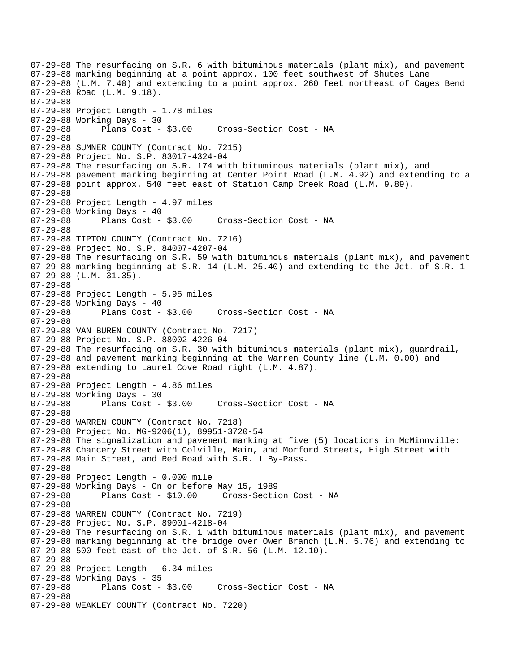07-29-88 The resurfacing on S.R. 6 with bituminous materials (plant mix), and pavement 07-29-88 marking beginning at a point approx. 100 feet southwest of Shutes Lane 07-29-88 (L.M. 7.40) and extending to a point approx. 260 feet northeast of Cages Bend 07-29-88 Road (L.M. 9.18). 07-29-88 07-29-88 Project Length - 1.78 miles 07-29-88 Working Days - 30 07-29-88 Plans Cost - \$3.00 Cross-Section Cost - NA 07-29-88 07-29-88 SUMNER COUNTY (Contract No. 7215) 07-29-88 Project No. S.P. 83017-4324-04 07-29-88 The resurfacing on S.R. 174 with bituminous materials (plant mix), and 07-29-88 pavement marking beginning at Center Point Road (L.M. 4.92) and extending to a 07-29-88 point approx. 540 feet east of Station Camp Creek Road (L.M. 9.89). 07-29-88 07-29-88 Project Length - 4.97 miles 07-29-88 Working Days - 40 07-29-88 Plans Cost - \$3.00 Cross-Section Cost - NA 07-29-88 07-29-88 TIPTON COUNTY (Contract No. 7216) 07-29-88 Project No. S.P. 84007-4207-04 07-29-88 The resurfacing on S.R. 59 with bituminous materials (plant mix), and pavement 07-29-88 marking beginning at S.R. 14 (L.M. 25.40) and extending to the Jct. of S.R. 1 07-29-88 (L.M. 31.35). 07-29-88 07-29-88 Project Length - 5.95 miles 07-29-88 Working Days - 40<br>07-29-88 Plans Cost - \$3.00 Cross-Section Cost - NA 07-29-88 07-29-88 VAN BUREN COUNTY (Contract No. 7217) 07-29-88 Project No. S.P. 88002-4226-04 07-29-88 The resurfacing on S.R. 30 with bituminous materials (plant mix), guardrail, 07-29-88 and pavement marking beginning at the Warren County line (L.M. 0.00) and 07-29-88 extending to Laurel Cove Road right (L.M. 4.87). 07-29-88 07-29-88 Project Length - 4.86 miles 07-29-88 Working Days - 30<br>07-29-88 Plans Cost - \$3.00 07-29-88 Plans Cost - \$3.00 Cross-Section Cost - NA 07-29-88 07-29-88 WARREN COUNTY (Contract No. 7218) 07-29-88 Project No. MG-9206(1), 89951-3720-54 07-29-88 The signalization and pavement marking at five (5) locations in McMinnville: 07-29-88 Chancery Street with Colville, Main, and Morford Streets, High Street with 07-29-88 Main Street, and Red Road with S.R. 1 By-Pass. 07-29-88 07-29-88 Project Length - 0.000 mile 07-29-88 Working Days - On or before May 15, 1989 Cross-Section Cost - NA 07-29-88 07-29-88 WARREN COUNTY (Contract No. 7219) 07-29-88 Project No. S.P. 89001-4218-04 07-29-88 The resurfacing on S.R. 1 with bituminous materials (plant mix), and pavement 07-29-88 marking beginning at the bridge over Owen Branch (L.M. 5.76) and extending to 07-29-88 500 feet east of the Jct. of S.R. 56 (L.M. 12.10). 07-29-88 07-29-88 Project Length - 6.34 miles 07-29-88 Working Days - 35 Cross-Section Cost - NA 07-29-88 07-29-88 WEAKLEY COUNTY (Contract No. 7220)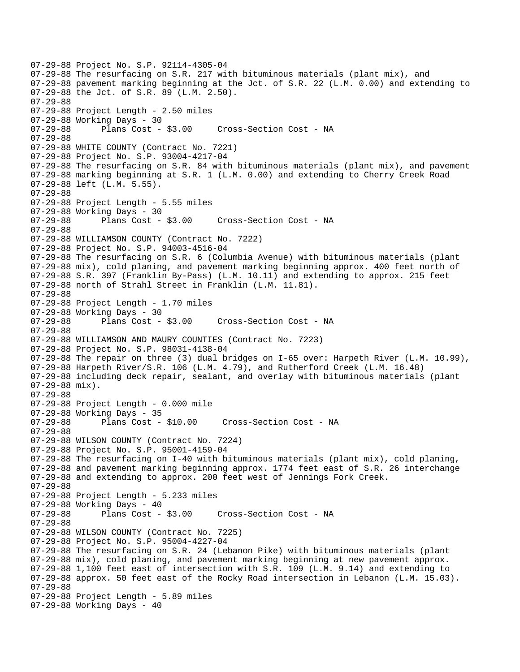07-29-88 Project No. S.P. 92114-4305-04 07-29-88 The resurfacing on S.R. 217 with bituminous materials (plant mix), and 07-29-88 pavement marking beginning at the Jct. of S.R. 22 (L.M. 0.00) and extending to 07-29-88 the Jct. of S.R. 89 (L.M. 2.50). 07-29-88 07-29-88 Project Length - 2.50 miles 07-29-88 Working Days - 30 07-29-88 Plans Cost - \$3.00 Cross-Section Cost - NA 07-29-88 07-29-88 WHITE COUNTY (Contract No. 7221) 07-29-88 Project No. S.P. 93004-4217-04 07-29-88 The resurfacing on S.R. 84 with bituminous materials (plant mix), and pavement 07-29-88 marking beginning at S.R. 1 (L.M. 0.00) and extending to Cherry Creek Road 07-29-88 left (L.M. 5.55). 07-29-88 07-29-88 Project Length - 5.55 miles 07-29-88 Working Days - 30 07-29-88 Plans Cost - \$3.00 Cross-Section Cost - NA 07-29-88 07-29-88 WILLIAMSON COUNTY (Contract No. 7222) 07-29-88 Project No. S.P. 94003-4516-04 07-29-88 The resurfacing on S.R. 6 (Columbia Avenue) with bituminous materials (plant 07-29-88 mix), cold planing, and pavement marking beginning approx. 400 feet north of 07-29-88 S.R. 397 (Franklin By-Pass) (L.M. 10.11) and extending to approx. 215 feet 07-29-88 north of Strahl Street in Franklin (L.M. 11.81). 07-29-88 07-29-88 Project Length - 1.70 miles 07-29-88 Working Days - 30 07-29-88 Plans Cost - \$3.00 Cross-Section Cost - NA 07-29-88 07-29-88 WILLIAMSON AND MAURY COUNTIES (Contract No. 7223) 07-29-88 Project No. S.P. 98031-4138-04 07-29-88 The repair on three (3) dual bridges on I-65 over: Harpeth River (L.M. 10.99), 07-29-88 Harpeth River/S.R. 106 (L.M. 4.79), and Rutherford Creek (L.M. 16.48) 07-29-88 including deck repair, sealant, and overlay with bituminous materials (plant 07-29-88 mix). 07-29-88 07-29-88 Project Length - 0.000 mile 07-29-88 Working Days - 35 07-29-88 Plans Cost - \$10.00 Cross-Section Cost - NA 07-29-88 07-29-88 WILSON COUNTY (Contract No. 7224) 07-29-88 Project No. S.P. 95001-4159-04 07-29-88 The resurfacing on I-40 with bituminous materials (plant mix), cold planing, 07-29-88 and pavement marking beginning approx. 1774 feet east of S.R. 26 interchange 07-29-88 and extending to approx. 200 feet west of Jennings Fork Creek. 07-29-88 07-29-88 Project Length - 5.233 miles 07-29-88 Working Days - 40<br>07-29-88 Plans Cost -Plans Cost - \$3.00 Cross-Section Cost - NA 07-29-88 07-29-88 WILSON COUNTY (Contract No. 7225) 07-29-88 Project No. S.P. 95004-4227-04 07-29-88 The resurfacing on S.R. 24 (Lebanon Pike) with bituminous materials (plant 07-29-88 mix), cold planing, and pavement marking beginning at new pavement approx. 07-29-88 1,100 feet east of intersection with S.R. 109 (L.M. 9.14) and extending to 07-29-88 approx. 50 feet east of the Rocky Road intersection in Lebanon (L.M. 15.03). 07-29-88 07-29-88 Project Length - 5.89 miles 07-29-88 Working Days - 40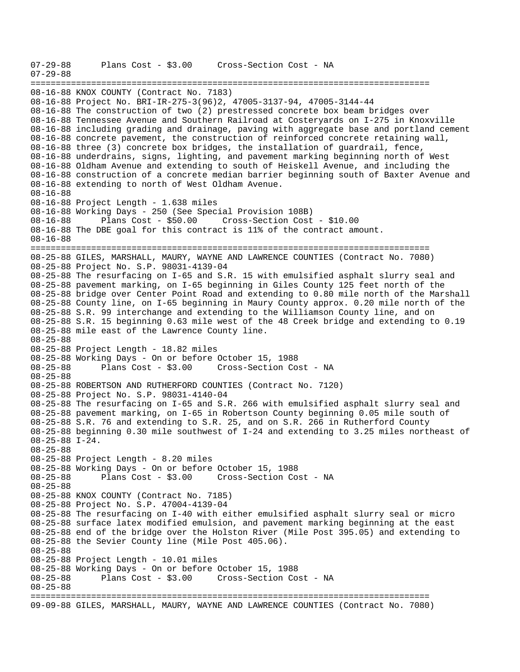07-29-88 Plans Cost - \$3.00 Cross-Section Cost - NA 07-29-88 =============================================================================== 08-16-88 KNOX COUNTY (Contract No. 7183) 08-16-88 Project No. BRI-IR-275-3(96)2, 47005-3137-94, 47005-3144-44 08-16-88 The construction of two (2) prestressed concrete box beam bridges over 08-16-88 Tennessee Avenue and Southern Railroad at Costeryards on I-275 in Knoxville 08-16-88 including grading and drainage, paving with aggregate base and portland cement 08-16-88 concrete pavement, the construction of reinforced concrete retaining wall, 08-16-88 three (3) concrete box bridges, the installation of guardrail, fence, 08-16-88 underdrains, signs, lighting, and pavement marking beginning north of West 08-16-88 Oldham Avenue and extending to south of Heiskell Avenue, and including the 08-16-88 construction of a concrete median barrier beginning south of Baxter Avenue and 08-16-88 extending to north of West Oldham Avenue. 08-16-88 08-16-88 Project Length - 1.638 miles 08-16-88 Working Days - 250 (See Special Provision 108B) 08-16-88 Plans Cost - \$50.00 Cross-Section Cost - \$10.00 08-16-88 The DBE goal for this contract is 11% of the contract amount. 08-16-88 =============================================================================== 08-25-88 GILES, MARSHALL, MAURY, WAYNE AND LAWRENCE COUNTIES (Contract No. 7080) 08-25-88 Project No. S.P. 98031-4139-04 08-25-88 The resurfacing on I-65 and S.R. 15 with emulsified asphalt slurry seal and 08-25-88 pavement marking, on I-65 beginning in Giles County 125 feet north of the 08-25-88 bridge over Center Point Road and extending to 0.80 mile north of the Marshall 08-25-88 County line, on I-65 beginning in Maury County approx. 0.20 mile north of the 08-25-88 S.R. 99 interchange and extending to the Williamson County line, and on 08-25-88 S.R. 15 beginning 0.63 mile west of the 48 Creek bridge and extending to 0.19 08-25-88 mile east of the Lawrence County line. 08-25-88 08-25-88 Project Length - 18.82 miles 08-25-88 Working Days - On or before October 15, 1988 08-25-88 Plans Cost - \$3.00 Cross-Section Cost - NA 08-25-88 08-25-88 ROBERTSON AND RUTHERFORD COUNTIES (Contract No. 7120) 08-25-88 Project No. S.P. 98031-4140-04 08-25-88 The resurfacing on I-65 and S.R. 266 with emulsified asphalt slurry seal and 08-25-88 pavement marking, on I-65 in Robertson County beginning 0.05 mile south of 08-25-88 S.R. 76 and extending to S.R. 25, and on S.R. 266 in Rutherford County 08-25-88 beginning 0.30 mile southwest of I-24 and extending to 3.25 miles northeast of 08-25-88 I-24. 08-25-88 08-25-88 Project Length - 8.20 miles 08-25-88 Working Days - On or before October 15, 1988 08-25-88 Plans Cost - \$3.00 Cross-Section Cost - NA 08-25-88 08-25-88 KNOX COUNTY (Contract No. 7185) 08-25-88 Project No. S.P. 47004-4139-04 08-25-88 The resurfacing on I-40 with either emulsified asphalt slurry seal or micro 08-25-88 surface latex modified emulsion, and pavement marking beginning at the east 08-25-88 end of the bridge over the Holston River (Mile Post 395.05) and extending to 08-25-88 the Sevier County line (Mile Post 405.06). 08-25-88 08-25-88 Project Length - 10.01 miles 08-25-88 Working Days - On or before October 15, 1988 08-25-88 Plans Cost - \$3.00 Cross-Section Cost - NA 08-25-88 =============================================================================== 09-09-88 GILES, MARSHALL, MAURY, WAYNE AND LAWRENCE COUNTIES (Contract No. 7080)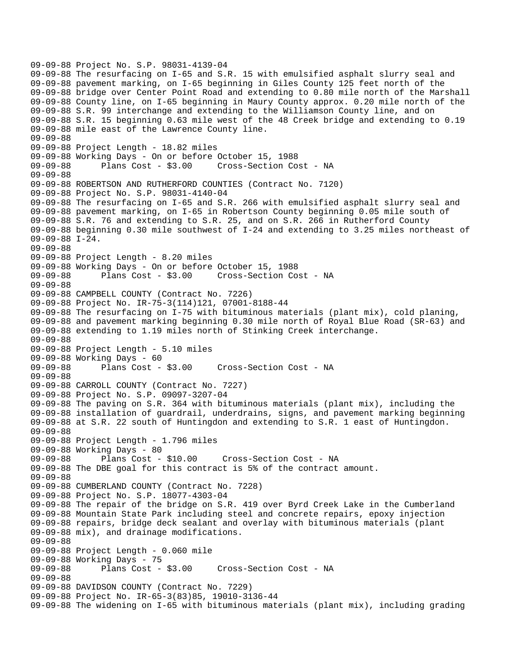```
09-09-88 Project No. S.P. 98031-4139-04 
09-09-88 The resurfacing on I-65 and S.R. 15 with emulsified asphalt slurry seal and 
09-09-88 pavement marking, on I-65 beginning in Giles County 125 feet north of the 
09-09-88 bridge over Center Point Road and extending to 0.80 mile north of the Marshall 
09-09-88 County line, on I-65 beginning in Maury County approx. 0.20 mile north of the 
09-09-88 S.R. 99 interchange and extending to the Williamson County line, and on 
09-09-88 S.R. 15 beginning 0.63 mile west of the 48 Creek bridge and extending to 0.19 
09-09-88 mile east of the Lawrence County line. 
09-09-88 
09-09-88 Project Length - 18.82 miles 
09-09-88 Working Days - On or before October 15, 1988 
09-09-88 Plans Cost - $3.00 Cross-Section Cost - NA 
09-09-88 
09-09-88 ROBERTSON AND RUTHERFORD COUNTIES (Contract No. 7120) 
09-09-88 Project No. S.P. 98031-4140-04 
09-09-88 The resurfacing on I-65 and S.R. 266 with emulsified asphalt slurry seal and 
09-09-88 pavement marking, on I-65 in Robertson County beginning 0.05 mile south of 
09-09-88 S.R. 76 and extending to S.R. 25, and on S.R. 266 in Rutherford County 
09-09-88 beginning 0.30 mile southwest of I-24 and extending to 3.25 miles northeast of 
09-09-88 I-24. 
09-09-88 
09-09-88 Project Length - 8.20 miles 
09-09-88 Working Days - On or before October 15, 1988 
09-09-88 Plans Cost - $3.00 Cross-Section Cost - NA 
09-09-88 
09-09-88 CAMPBELL COUNTY (Contract No. 7226) 
09-09-88 Project No. IR-75-3(114)121, 07001-8188-44 
09-09-88 The resurfacing on I-75 with bituminous materials (plant mix), cold planing, 
09-09-88 and pavement marking beginning 0.30 mile north of Royal Blue Road (SR-63) and 
09-09-88 extending to 1.19 miles north of Stinking Creek interchange. 
09-09-88 
09-09-88 Project Length - 5.10 miles 
09-09-88 Working Days - 60 
09-09-88 Plans Cost - $3.00 Cross-Section Cost - NA 
09-09-88 
09-09-88 CARROLL COUNTY (Contract No. 7227) 
09-09-88 Project No. S.P. 09097-3207-04 
09-09-88 The paving on S.R. 364 with bituminous materials (plant mix), including the 
09-09-88 installation of guardrail, underdrains, signs, and pavement marking beginning 
09-09-88 at S.R. 22 south of Huntingdon and extending to S.R. 1 east of Huntingdon. 
09-09-88 
09-09-88 Project Length - 1.796 miles 
09-09-88 Working Days - 80 
09-09-88 Plans Cost - $10.00 Cross-Section Cost - NA 
09-09-88 The DBE goal for this contract is 5% of the contract amount. 
09-09-88 
09-09-88 CUMBERLAND COUNTY (Contract No. 7228) 
09-09-88 Project No. S.P. 18077-4303-04 
09-09-88 The repair of the bridge on S.R. 419 over Byrd Creek Lake in the Cumberland 
09-09-88 Mountain State Park including steel and concrete repairs, epoxy injection 
09-09-88 repairs, bridge deck sealant and overlay with bituminous materials (plant 
09-09-88 mix), and drainage modifications. 
09-09-88 
09-09-88 Project Length - 0.060 mile 
09-09-88 Working Days - 75<br>09-09-88 Plans Cost - $3.00
09-09-88 Plans Cost - $3.00 Cross-Section Cost - NA 
09-09-88 
09-09-88 DAVIDSON COUNTY (Contract No. 7229) 
09-09-88 Project No. IR-65-3(83)85, 19010-3136-44 
09-09-88 The widening on I-65 with bituminous materials (plant mix), including grading
```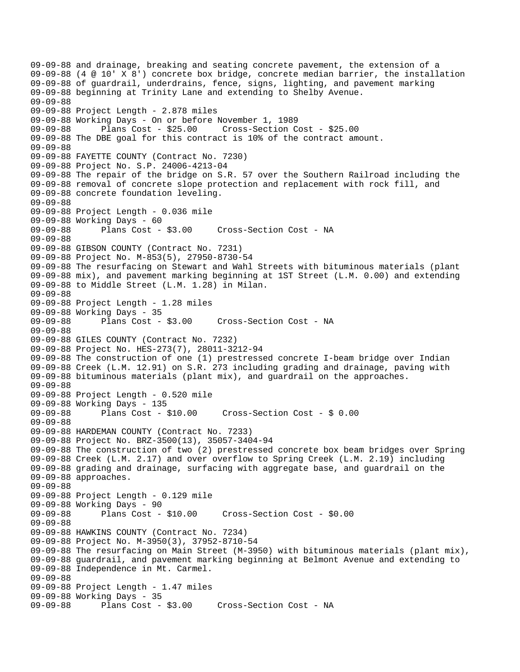09-09-88 and drainage, breaking and seating concrete pavement, the extension of a 09-09-88 (4 @ 10' X 8') concrete box bridge, concrete median barrier, the installation 09-09-88 of guardrail, underdrains, fence, signs, lighting, and pavement marking 09-09-88 beginning at Trinity Lane and extending to Shelby Avenue. 09-09-88 09-09-88 Project Length - 2.878 miles 09-09-88 Working Days - On or before November 1, 1989 09-09-88 Plans Cost - \$25.00 Cross-Section Cost - \$25.00 09-09-88 The DBE goal for this contract is 10% of the contract amount. 09-09-88 09-09-88 FAYETTE COUNTY (Contract No. 7230) 09-09-88 Project No. S.P. 24006-4213-04 09-09-88 The repair of the bridge on S.R. 57 over the Southern Railroad including the 09-09-88 removal of concrete slope protection and replacement with rock fill, and 09-09-88 concrete foundation leveling. 09-09-88 09-09-88 Project Length - 0.036 mile 09-09-88 Working Days - 60 09-09-88 Plans Cost - \$3.00 Cross-Section Cost - NA 09-09-88 09-09-88 GIBSON COUNTY (Contract No. 7231) 09-09-88 Project No. M-853(5), 27950-8730-54 09-09-88 The resurfacing on Stewart and Wahl Streets with bituminous materials (plant 09-09-88 mix), and pavement marking beginning at 1ST Street (L.M. 0.00) and extending 09-09-88 to Middle Street (L.M. 1.28) in Milan. 09-09-88 09-09-88 Project Length - 1.28 miles 09-09-88 Working Days - 35 09-09-88 Plans Cost - \$3.00 Cross-Section Cost - NA 09-09-88 09-09-88 GILES COUNTY (Contract No. 7232) 09-09-88 Project No. HES-273(7), 28011-3212-94 09-09-88 The construction of one (1) prestressed concrete I-beam bridge over Indian 09-09-88 Creek (L.M. 12.91) on S.R. 273 including grading and drainage, paving with 09-09-88 bituminous materials (plant mix), and guardrail on the approaches. 09-09-88 09-09-88 Project Length - 0.520 mile 09-09-88 Working Days - 135 09-09-88 Plans Cost - \$10.00 Cross-Section Cost - \$ 0.00 09-09-88 09-09-88 HARDEMAN COUNTY (Contract No. 7233) 09-09-88 Project No. BRZ-3500(13), 35057-3404-94 09-09-88 The construction of two (2) prestressed concrete box beam bridges over Spring 09-09-88 Creek (L.M. 2.17) and over overflow to Spring Creek (L.M. 2.19) including 09-09-88 grading and drainage, surfacing with aggregate base, and guardrail on the 09-09-88 approaches. 09-09-88 09-09-88 Project Length - 0.129 mile 09-09-88 Working Days - 90<br>09-09-88 Plans Cost - \$10.00 09-09-88 Plans Cost - \$10.00 Cross-Section Cost - \$0.00 09-09-88 09-09-88 HAWKINS COUNTY (Contract No. 7234) 09-09-88 Project No. M-3950(3), 37952-8710-54 09-09-88 The resurfacing on Main Street (M-3950) with bituminous materials (plant mix), 09-09-88 guardrail, and pavement marking beginning at Belmont Avenue and extending to 09-09-88 Independence in Mt. Carmel. 09-09-88 09-09-88 Project Length - 1.47 miles 09-09-88 Working Days - 35 09-09-88 Plans Cost - \$3.00 Cross-Section Cost - NA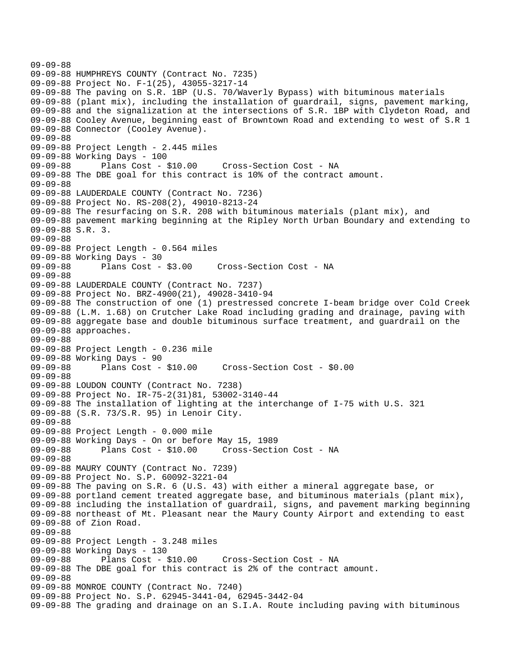```
09-09-88 
09-09-88 HUMPHREYS COUNTY (Contract No. 7235) 
09-09-88 Project No. F-1(25), 43055-3217-14 
09-09-88 The paving on S.R. 1BP (U.S. 70/Waverly Bypass) with bituminous materials 
09-09-88 (plant mix), including the installation of guardrail, signs, pavement marking, 
09-09-88 and the signalization at the intersections of S.R. 1BP with Clydeton Road, and 
09-09-88 Cooley Avenue, beginning east of Browntown Road and extending to west of S.R 1 
09-09-88 Connector (Cooley Avenue). 
09-09-88 
09-09-88 Project Length - 2.445 miles 
09-09-88 Working Days - 100 
09-09-88 Plans Cost - $10.00 Cross-Section Cost - NA 
09-09-88 The DBE goal for this contract is 10% of the contract amount. 
09-09-88 
09-09-88 LAUDERDALE COUNTY (Contract No. 7236) 
09-09-88 Project No. RS-208(2), 49010-8213-24 
09-09-88 The resurfacing on S.R. 208 with bituminous materials (plant mix), and 
09-09-88 pavement marking beginning at the Ripley North Urban Boundary and extending to 
09-09-88 S.R. 3. 
09-09-88 
09-09-88 Project Length - 0.564 miles 
09-09-88 Working Days - 30<br>09-09-88 Plans Cost - $3.00
09-09-88 Plans Cost - $3.00 Cross-Section Cost - NA 
09-09-88 
09-09-88 LAUDERDALE COUNTY (Contract No. 7237) 
09-09-88 Project No. BRZ-4900(21), 49028-3410-94 
09-09-88 The construction of one (1) prestressed concrete I-beam bridge over Cold Creek 
09-09-88 (L.M. 1.68) on Crutcher Lake Road including grading and drainage, paving with 
09-09-88 aggregate base and double bituminous surface treatment, and guardrail on the 
09-09-88 approaches. 
09-09-88 
09-09-88 Project Length - 0.236 mile 
09-09-88 Working Days - 90 
09-09-88 Plans Cost - $10.00 Cross-Section Cost - $0.00 
09-09-88 
09-09-88 LOUDON COUNTY (Contract No. 7238) 
09-09-88 Project No. IR-75-2(31)81, 53002-3140-44 
09-09-88 The installation of lighting at the interchange of I-75 with U.S. 321 
09-09-88 (S.R. 73/S.R. 95) in Lenoir City. 
09-09-88 
09-09-88 Project Length - 0.000 mile 
09-09-88 Working Days - On or before May 15, 1989 
09-09-88 Plans Cost - $10.00 Cross-Section Cost - NA 
09-09-88 
09-09-88 MAURY COUNTY (Contract No. 7239) 
09-09-88 Project No. S.P. 60092-3221-04 
09-09-88 The paving on S.R. 6 (U.S. 43) with either a mineral aggregate base, or 
09-09-88 portland cement treated aggregate base, and bituminous materials (plant mix), 
09-09-88 including the installation of guardrail, signs, and pavement marking beginning 
09-09-88 northeast of Mt. Pleasant near the Maury County Airport and extending to east 
09-09-88 of Zion Road. 
09-09-88 
09-09-88 Project Length - 3.248 miles 
09-09-88 Working Days - 130 
09-09-88 Plans Cost - $10.00 Cross-Section Cost - NA 
09-09-88 The DBE goal for this contract is 2% of the contract amount. 
09-09-88 
09-09-88 MONROE COUNTY (Contract No. 7240) 
09-09-88 Project No. S.P. 62945-3441-04, 62945-3442-04 
09-09-88 The grading and drainage on an S.I.A. Route including paving with bituminous
```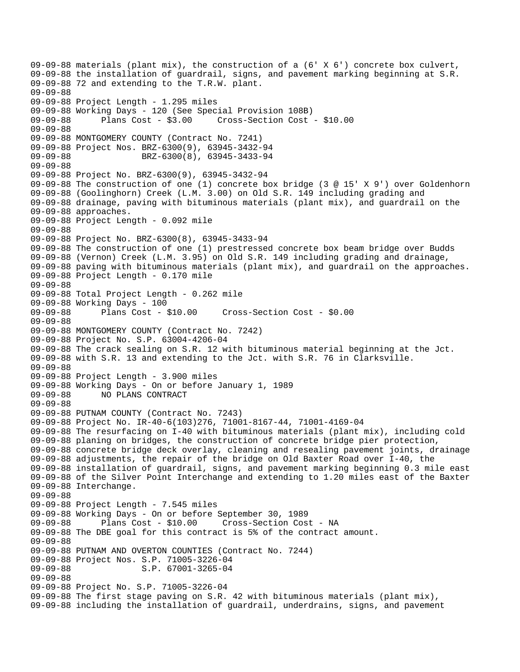```
09-09-88 materials (plant mix), the construction of a (6' X 6') concrete box culvert, 
09-09-88 the installation of guardrail, signs, and pavement marking beginning at S.R. 
09-09-88 72 and extending to the T.R.W. plant. 
09-09-88 
09-09-88 Project Length - 1.295 miles 
09-09-88 Working Days - 120 (See Special Provision 108B) 
09-09-88 Plans Cost - $3.00 Cross-Section Cost - $10.00 
09-09-88 
09-09-88 MONTGOMERY COUNTY (Contract No. 7241) 
09-09-88 Project Nos. BRZ-6300(9), 63945-3432-94 
09-09-88 BRZ-6300(8), 63945-3433-94
09-09-88 
09-09-88 Project No. BRZ-6300(9), 63945-3432-94 
09-09-88 The construction of one (1) concrete box bridge (3 @ 15' X 9') over Goldenhorn 
09-09-88 (Goolinghorn) Creek (L.M. 3.00) on Old S.R. 149 including grading and 
09-09-88 drainage, paving with bituminous materials (plant mix), and guardrail on the 
09-09-88 approaches. 
09-09-88 Project Length - 0.092 mile 
09-09-88 
09-09-88 Project No. BRZ-6300(8), 63945-3433-94 
09-09-88 The construction of one (1) prestressed concrete box beam bridge over Budds 
09-09-88 (Vernon) Creek (L.M. 3.95) on Old S.R. 149 including grading and drainage, 
09-09-88 paving with bituminous materials (plant mix), and guardrail on the approaches. 
09-09-88 Project Length - 0.170 mile 
09-09-88 
09-09-88 Total Project Length - 0.262 mile 
09-09-88 Working Days - 100 
09-09-88 Plans Cost - $10.00 Cross-Section Cost - $0.00 
09-09-88 
09-09-88 MONTGOMERY COUNTY (Contract No. 7242) 
09-09-88 Project No. S.P. 63004-4206-04 
09-09-88 The crack sealing on S.R. 12 with bituminous material beginning at the Jct. 
09-09-88 with S.R. 13 and extending to the Jct. with S.R. 76 in Clarksville. 
09-09-88 
09-09-88 Project Length - 3.900 miles 
09-09-88 Working Days - On or before January 1, 1989 
09-09-88 NO PLANS CONTRACT 
09-09-88 
09-09-88 PUTNAM COUNTY (Contract No. 7243) 
09-09-88 Project No. IR-40-6(103)276, 71001-8167-44, 71001-4169-04 
09-09-88 The resurfacing on I-40 with bituminous materials (plant mix), including cold 
09-09-88 planing on bridges, the construction of concrete bridge pier protection, 
09-09-88 concrete bridge deck overlay, cleaning and resealing pavement joints, drainage 
09-09-88 adjustments, the repair of the bridge on Old Baxter Road over I-40, the 
09-09-88 installation of guardrail, signs, and pavement marking beginning 0.3 mile east 
09-09-88 of the Silver Point Interchange and extending to 1.20 miles east of the Baxter 
09-09-88 Interchange. 
09-09-88 
09-09-88 Project Length - 7.545 miles
09-09-88 Working Days - On or before September 30, 1989 
09-09-88 Plans Cost - $10.00 Cross-Section Cost - NA 
09-09-88 The DBE goal for this contract is 5% of the contract amount. 
09-09-88 
09-09-88 PUTNAM AND OVERTON COUNTIES (Contract No. 7244) 
09-09-88 Project Nos. S.P. 71005-3226-04 
                      S.P. 67001-3265-04
09-09-88 
09-09-88 Project No. S.P. 71005-3226-04 
09-09-88 The first stage paving on S.R. 42 with bituminous materials (plant mix), 
09-09-88 including the installation of guardrail, underdrains, signs, and pavement
```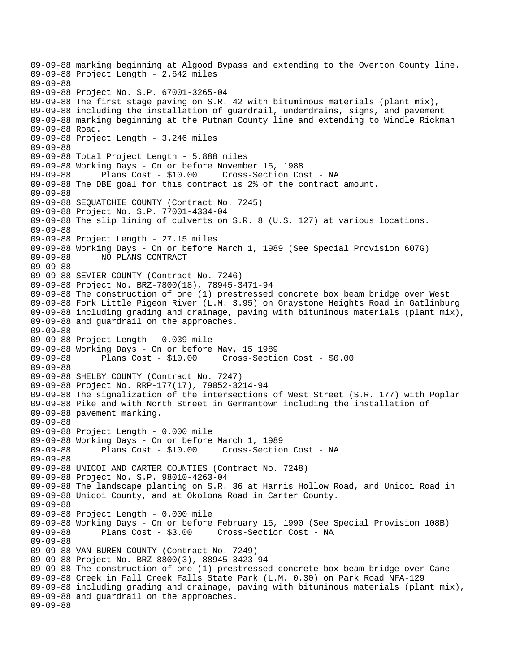09-09-88 marking beginning at Algood Bypass and extending to the Overton County line. 09-09-88 Project Length - 2.642 miles 09-09-88 09-09-88 Project No. S.P. 67001-3265-04 09-09-88 The first stage paving on S.R. 42 with bituminous materials (plant mix), 09-09-88 including the installation of guardrail, underdrains, signs, and pavement 09-09-88 marking beginning at the Putnam County line and extending to Windle Rickman 09-09-88 Road. 09-09-88 Project Length - 3.246 miles 09-09-88 09-09-88 Total Project Length - 5.888 miles 09-09-88 Working Days - On or before November 15, 1988 09-09-88 Plans Cost - \$10.00 Cross-Section Cost - NA 09-09-88 The DBE goal for this contract is 2% of the contract amount. 09-09-88 09-09-88 SEQUATCHIE COUNTY (Contract No. 7245) 09-09-88 Project No. S.P. 77001-4334-04 09-09-88 The slip lining of culverts on S.R. 8 (U.S. 127) at various locations. 09-09-88 09-09-88 Project Length - 27.15 miles 09-09-88 Working Days - On or before March 1, 1989 (See Special Provision 607G) 09-09-88 NO PLANS CONTRACT 09-09-88 09-09-88 SEVIER COUNTY (Contract No. 7246) 09-09-88 Project No. BRZ-7800(18), 78945-3471-94 09-09-88 The construction of one (1) prestressed concrete box beam bridge over West 09-09-88 Fork Little Pigeon River (L.M. 3.95) on Graystone Heights Road in Gatlinburg 09-09-88 including grading and drainage, paving with bituminous materials (plant mix), 09-09-88 and guardrail on the approaches. 09-09-88 09-09-88 Project Length - 0.039 mile 09-09-88 Working Days - On or before May, 15 1989 09-09-88 Plans Cost - \$10.00 Cross-Section Cost - \$0.00 09-09-88 09-09-88 SHELBY COUNTY (Contract No. 7247) 09-09-88 Project No. RRP-177(17), 79052-3214-94 09-09-88 The signalization of the intersections of West Street (S.R. 177) with Poplar 09-09-88 Pike and with North Street in Germantown including the installation of 09-09-88 pavement marking. 09-09-88 09-09-88 Project Length - 0.000 mile 09-09-88 Working Days - On or before March 1, 1989 09-09-88 Plans Cost - \$10.00 Cross-Section Cost - NA 09-09-88 09-09-88 UNICOI AND CARTER COUNTIES (Contract No. 7248) 09-09-88 Project No. S.P. 98010-4263-04 09-09-88 The landscape planting on S.R. 36 at Harris Hollow Road, and Unicoi Road in 09-09-88 Unicoi County, and at Okolona Road in Carter County. 09-09-88 09-09-88 Project Length - 0.000 mile 09-09-88 Working Days - On or before February 15, 1990 (See Special Provision 108B) 09-09-88 Plans Cost - \$3.00 Cross-Section Cost - NA 09-09-88 09-09-88 VAN BUREN COUNTY (Contract No. 7249) 09-09-88 Project No. BRZ-8800(3), 88945-3423-94 09-09-88 The construction of one (1) prestressed concrete box beam bridge over Cane 09-09-88 Creek in Fall Creek Falls State Park (L.M. 0.30) on Park Road NFA-129 09-09-88 including grading and drainage, paving with bituminous materials (plant mix), 09-09-88 and guardrail on the approaches. 09-09-88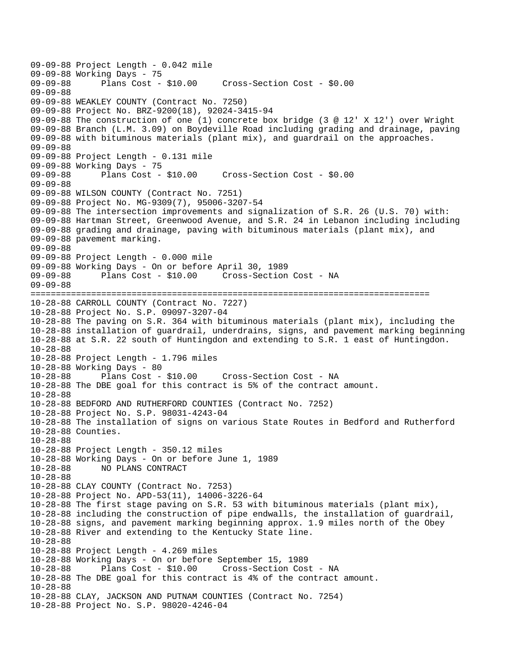```
09-09-88 Project Length - 0.042 mile 
09-09-88 Working Days - 75<br>09-09-88 Plans Cost - $10.00
                                       09-09-88 Plans Cost - $10.00 Cross-Section Cost - $0.00 
09-09-88 
09-09-88 WEAKLEY COUNTY (Contract No. 7250) 
09-09-88 Project No. BRZ-9200(18), 92024-3415-94 
09-09-88 The construction of one (1) concrete box bridge (3 @ 12' X 12') over Wright 
09-09-88 Branch (L.M. 3.09) on Boydeville Road including grading and drainage, paving 
09-09-88 with bituminous materials (plant mix), and guardrail on the approaches. 
09-09-88 
09-09-88 Project Length - 0.131 mile 
09-09-88 Working Days - 75 
09-09-88 Plans Cost - $10.00 Cross-Section Cost - $0.00 
09-09-88 
09-09-88 WILSON COUNTY (Contract No. 7251) 
09-09-88 Project No. MG-9309(7), 95006-3207-54 
09-09-88 The intersection improvements and signalization of S.R. 26 (U.S. 70) with: 
09-09-88 Hartman Street, Greenwood Avenue, and S.R. 24 in Lebanon including including 
09-09-88 grading and drainage, paving with bituminous materials (plant mix), and 
09-09-88 pavement marking. 
09-09-88 
09-09-88 Project Length - 0.000 mile 
09-09-88 Working Days - On or before April 30, 1989 
09-09-88 Plans Cost - $10.00 Cross-Section Cost - NA 
09-09-88 
=============================================================================== 
10-28-88 CARROLL COUNTY (Contract No. 7227) 
10-28-88 Project No. S.P. 09097-3207-04 
10-28-88 The paving on S.R. 364 with bituminous materials (plant mix), including the 
10-28-88 installation of guardrail, underdrains, signs, and pavement marking beginning 
10-28-88 at S.R. 22 south of Huntingdon and extending to S.R. 1 east of Huntingdon. 
10-28-88 
10-28-88 Project Length - 1.796 miles 
10-28-88 Working Days - 80 
                                   Cross-Section Cost - NA
10-28-88 The DBE goal for this contract is 5% of the contract amount. 
10-28-88 
10-28-88 BEDFORD AND RUTHERFORD COUNTIES (Contract No. 7252) 
10-28-88 Project No. S.P. 98031-4243-04 
10-28-88 The installation of signs on various State Routes in Bedford and Rutherford 
10-28-88 Counties. 
10-28-88 
10-28-88 Project Length - 350.12 miles 
10-28-88 Working Days - On or before June 1, 1989 
10-28-88 NO PLANS CONTRACT 
10-28-88 
10-28-88 CLAY COUNTY (Contract No. 7253) 
10-28-88 Project No. APD-53(11), 14006-3226-64 
10-28-88 The first stage paving on S.R. 53 with bituminous materials (plant mix), 
10-28-88 including the construction of pipe endwalls, the installation of guardrail, 
10-28-88 signs, and pavement marking beginning approx. 1.9 miles north of the Obey 
10-28-88 River and extending to the Kentucky State line. 
10-28-88 
10-28-88 Project Length - 4.269 miles 
10-28-88 Working Days - On or before September 15, 1989 
10-28-88 Plans Cost - $10.00 Cross-Section Cost - NA 
10-28-88 The DBE goal for this contract is 4% of the contract amount. 
10-28-88 
10-28-88 CLAY, JACKSON AND PUTNAM COUNTIES (Contract No. 7254) 
10-28-88 Project No. S.P. 98020-4246-04
```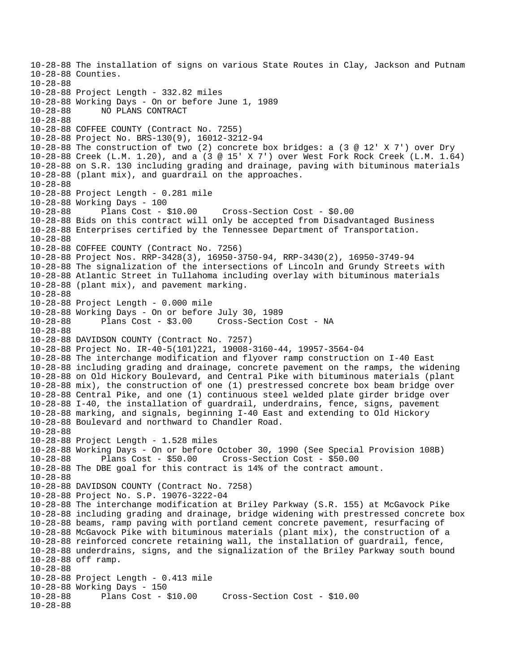10-28-88 The installation of signs on various State Routes in Clay, Jackson and Putnam 10-28-88 Counties. 10-28-88 10-28-88 Project Length - 332.82 miles 10-28-88 Working Days - On or before June 1, 1989 10-28-88 NO PLANS CONTRACT 10-28-88 10-28-88 COFFEE COUNTY (Contract No. 7255) 10-28-88 Project No. BRS-130(9), 16012-3212-94 10-28-88 The construction of two (2) concrete box bridges: a (3 @ 12' X 7') over Dry 10-28-88 Creek (L.M. 1.20), and a (3 @ 15' X 7') over West Fork Rock Creek (L.M. 1.64) 10-28-88 on S.R. 130 including grading and drainage, paving with bituminous materials 10-28-88 (plant mix), and guardrail on the approaches. 10-28-88 10-28-88 Project Length - 0.281 mile 10-28-88 Working Days - 100 10-28-88 Plans Cost - \$10.00 Cross-Section Cost - \$0.00 10-28-88 Bids on this contract will only be accepted from Disadvantaged Business 10-28-88 Enterprises certified by the Tennessee Department of Transportation. 10-28-88 10-28-88 COFFEE COUNTY (Contract No. 7256) 10-28-88 Project Nos. RRP-3428(3), 16950-3750-94, RRP-3430(2), 16950-3749-94 10-28-88 The signalization of the intersections of Lincoln and Grundy Streets with 10-28-88 Atlantic Street in Tullahoma including overlay with bituminous materials 10-28-88 (plant mix), and pavement marking. 10-28-88 10-28-88 Project Length - 0.000 mile 10-28-88 Working Days - On or before July 30, 1989 10-28-88 Plans Cost - \$3.00 Cross-Section Cost - NA 10-28-88 10-28-88 DAVIDSON COUNTY (Contract No. 7257) 10-28-88 Project No. IR-40-5(101)221, 19008-3160-44, 19957-3564-04 10-28-88 The interchange modification and flyover ramp construction on I-40 East 10-28-88 including grading and drainage, concrete pavement on the ramps, the widening 10-28-88 on Old Hickory Boulevard, and Central Pike with bituminous materials (plant 10-28-88 mix), the construction of one (1) prestressed concrete box beam bridge over 10-28-88 Central Pike, and one (1) continuous steel welded plate girder bridge over 10-28-88 I-40, the installation of guardrail, underdrains, fence, signs, pavement 10-28-88 marking, and signals, beginning I-40 East and extending to Old Hickory 10-28-88 Boulevard and northward to Chandler Road. 10-28-88 10-28-88 Project Length - 1.528 miles 10-28-88 Working Days - On or before October 30, 1990 (See Special Provision 108B) 10-28-88 Plans Cost - \$50.00 Cross-Section Cost - \$50.00 10-28-88 The DBE goal for this contract is 14% of the contract amount. 10-28-88 10-28-88 DAVIDSON COUNTY (Contract No. 7258) 10-28-88 Project No. S.P. 19076-3222-04 10-28-88 The interchange modification at Briley Parkway (S.R. 155) at McGavock Pike 10-28-88 including grading and drainage, bridge widening with prestressed concrete box 10-28-88 beams, ramp paving with portland cement concrete pavement, resurfacing of 10-28-88 McGavock Pike with bituminous materials (plant mix), the construction of a 10-28-88 reinforced concrete retaining wall, the installation of guardrail, fence, 10-28-88 underdrains, signs, and the signalization of the Briley Parkway south bound 10-28-88 off ramp. 10-28-88 10-28-88 Project Length - 0.413 mile 10-28-88 Working Days - 150 Plans  $Cost - $10.00$  Cross-Section  $Cost - $10.00$ 10-28-88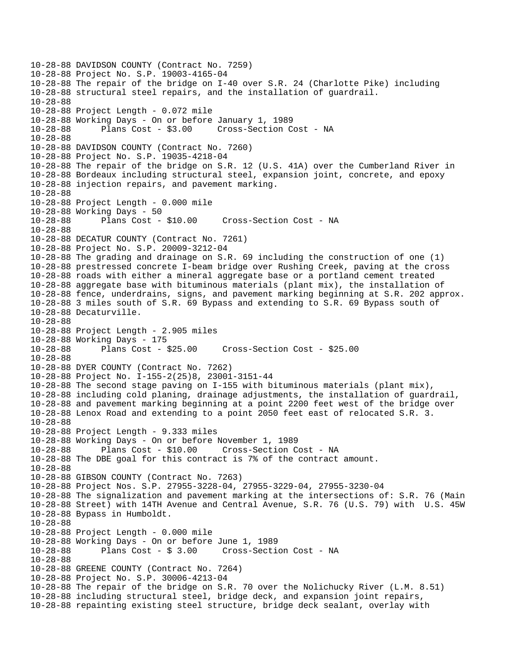```
10-28-88 DAVIDSON COUNTY (Contract No. 7259) 
10-28-88 Project No. S.P. 19003-4165-04 
10-28-88 The repair of the bridge on I-40 over S.R. 24 (Charlotte Pike) including 
10-28-88 structural steel repairs, and the installation of guardrail. 
10-28-88 
10-28-88 Project Length - 0.072 mile 
10-28-88 Working Days - On or before January 1, 1989 
10-28-88 Plans Cost - $3.00 Cross-Section Cost - NA 
10-28-88 
10-28-88 DAVIDSON COUNTY (Contract No. 7260) 
10-28-88 Project No. S.P. 19035-4218-04 
10-28-88 The repair of the bridge on S.R. 12 (U.S. 41A) over the Cumberland River in 
10-28-88 Bordeaux including structural steel, expansion joint, concrete, and epoxy 
10-28-88 injection repairs, and pavement marking. 
10-28-88 
10-28-88 Project Length - 0.000 mile 
10-28-88 Working Days - 50 
10-28-88 Plans Cost - $10.00 Cross-Section Cost - NA 
10-28-88 
10-28-88 DECATUR COUNTY (Contract No. 7261) 
10-28-88 Project No. S.P. 20009-3212-04 
10-28-88 The grading and drainage on S.R. 69 including the construction of one (1) 
10-28-88 prestressed concrete I-beam bridge over Rushing Creek, paving at the cross 
10-28-88 roads with either a mineral aggregate base or a portland cement treated 
10-28-88 aggregate base with bituminous materials (plant mix), the installation of 
10-28-88 fence, underdrains, signs, and pavement marking beginning at S.R. 202 approx. 
10-28-88 3 miles south of S.R. 69 Bypass and extending to S.R. 69 Bypass south of 
10-28-88 Decaturville. 
10-28-88 
10-28-88 Project Length - 2.905 miles 
10-28-88 Working Days - 175 
10-28-88 Plans Cost - $25.00 Cross-Section Cost - $25.00 
10-28-88 
10-28-88 DYER COUNTY (Contract No. 7262) 
10-28-88 Project No. I-155-2(25)8, 23001-3151-44 
10-28-88 The second stage paving on I-155 with bituminous materials (plant mix), 
10-28-88 including cold planing, drainage adjustments, the installation of guardrail, 
10-28-88 and pavement marking beginning at a point 2200 feet west of the bridge over 
10-28-88 Lenox Road and extending to a point 2050 feet east of relocated S.R. 3. 
10-28-88 
10-28-88 Project Length - 9.333 miles 
10-28-88 Working Days - On or before November 1, 1989 
10-28-88 Plans Cost - $10.00 Cross-Section Cost - NA 
10-28-88 The DBE goal for this contract is 7% of the contract amount. 
10-28-88 
10-28-88 GIBSON COUNTY (Contract No. 7263) 
10-28-88 Project Nos. S.P. 27955-3228-04, 27955-3229-04, 27955-3230-04 
10-28-88 The signalization and pavement marking at the intersections of: S.R. 76 (Main 
10-28-88 Street) with 14TH Avenue and Central Avenue, S.R. 76 (U.S. 79) with U.S. 45W 
10-28-88 Bypass in Humboldt. 
10-28-88 
10-28-88 Project Length - 0.000 mile 
10-28-88 Working Days - On or before June 1, 1989 
10-28-88 Plans Cost - $ 3.00 Cross-Section Cost - NA 
10-28-88 
10-28-88 GREENE COUNTY (Contract No. 7264) 
10-28-88 Project No. S.P. 30006-4213-04 
10-28-88 The repair of the bridge on S.R. 70 over the Nolichucky River (L.M. 8.51) 
10-28-88 including structural steel, bridge deck, and expansion joint repairs, 
10-28-88 repainting existing steel structure, bridge deck sealant, overlay with
```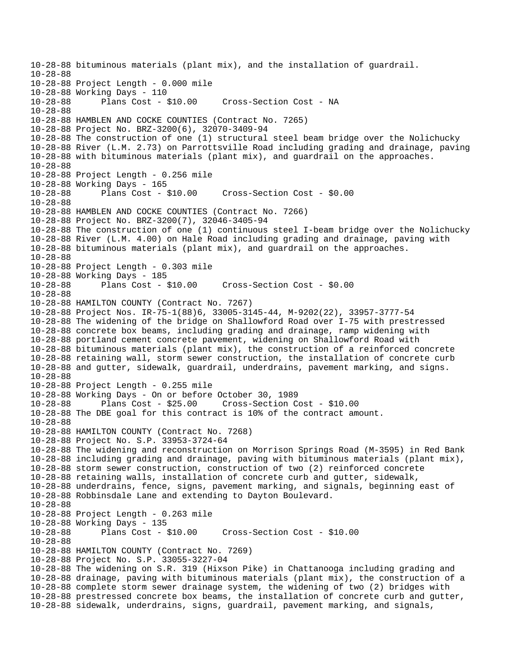10-28-88 bituminous materials (plant mix), and the installation of guardrail. 10-28-88 10-28-88 Project Length - 0.000 mile 10-28-88 Working Days - 110 Cross-Section Cost - NA 10-28-88 10-28-88 HAMBLEN AND COCKE COUNTIES (Contract No. 7265) 10-28-88 Project No. BRZ-3200(6), 32070-3409-94 10-28-88 The construction of one (1) structural steel beam bridge over the Nolichucky 10-28-88 River (L.M. 2.73) on Parrottsville Road including grading and drainage, paving 10-28-88 with bituminous materials (plant mix), and guardrail on the approaches. 10-28-88 10-28-88 Project Length - 0.256 mile 10-28-88 Working Days - 165 10-28-88 Plans Cost - \$10.00 Cross-Section Cost - \$0.00 10-28-88 10-28-88 HAMBLEN AND COCKE COUNTIES (Contract No. 7266) 10-28-88 Project No. BRZ-3200(7), 32046-3405-94 10-28-88 The construction of one (1) continuous steel I-beam bridge over the Nolichucky 10-28-88 River (L.M. 4.00) on Hale Road including grading and drainage, paving with 10-28-88 bituminous materials (plant mix), and guardrail on the approaches. 10-28-88 10-28-88 Project Length - 0.303 mile 10-28-88 Working Days - 185 10-28-88 Plans Cost - \$10.00 Cross-Section Cost - \$0.00 10-28-88 10-28-88 HAMILTON COUNTY (Contract No. 7267) 10-28-88 Project Nos. IR-75-1(88)6, 33005-3145-44, M-9202(22), 33957-3777-54 10-28-88 The widening of the bridge on Shallowford Road over I-75 with prestressed 10-28-88 concrete box beams, including grading and drainage, ramp widening with 10-28-88 portland cement concrete pavement, widening on Shallowford Road with 10-28-88 bituminous materials (plant mix), the construction of a reinforced concrete 10-28-88 retaining wall, storm sewer construction, the installation of concrete curb 10-28-88 and gutter, sidewalk, guardrail, underdrains, pavement marking, and signs. 10-28-88 10-28-88 Project Length - 0.255 mile 10-28-88 Working Days - On or before October 30, 1989 10-28-88 Plans Cost - \$25.00 Cross-Section Cost - \$10.00 10-28-88 The DBE goal for this contract is 10% of the contract amount. 10-28-88 10-28-88 HAMILTON COUNTY (Contract No. 7268) 10-28-88 Project No. S.P. 33953-3724-64 10-28-88 The widening and reconstruction on Morrison Springs Road (M-3595) in Red Bank 10-28-88 including grading and drainage, paving with bituminous materials (plant mix), 10-28-88 storm sewer construction, construction of two (2) reinforced concrete 10-28-88 retaining walls, installation of concrete curb and gutter, sidewalk, 10-28-88 underdrains, fence, signs, pavement marking, and signals, beginning east of 10-28-88 Robbinsdale Lane and extending to Dayton Boulevard. 10-28-88 10-28-88 Project Length - 0.263 mile 10-28-88 Working Days - 135 10-28-88 Plans Cost - \$10.00 Cross-Section Cost - \$10.00 10-28-88 10-28-88 HAMILTON COUNTY (Contract No. 7269) 10-28-88 Project No. S.P. 33055-3227-04 10-28-88 The widening on S.R. 319 (Hixson Pike) in Chattanooga including grading and 10-28-88 drainage, paving with bituminous materials (plant mix), the construction of a 10-28-88 complete storm sewer drainage system, the widening of two (2) bridges with 10-28-88 prestressed concrete box beams, the installation of concrete curb and gutter, 10-28-88 sidewalk, underdrains, signs, guardrail, pavement marking, and signals,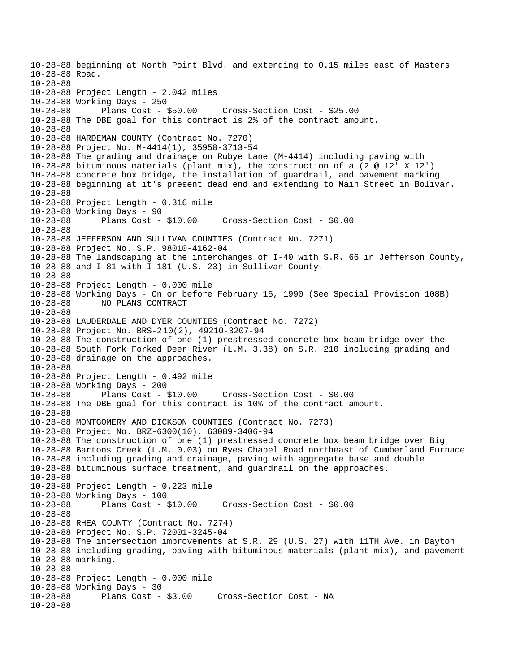10-28-88 beginning at North Point Blvd. and extending to 0.15 miles east of Masters 10-28-88 Road. 10-28-88 10-28-88 Project Length - 2.042 miles 10-28-88 Working Days - 250 10-28-88 Plans Cost - \$50.00 Cross-Section Cost - \$25.00 10-28-88 The DBE goal for this contract is 2% of the contract amount. 10-28-88 10-28-88 HARDEMAN COUNTY (Contract No. 7270) 10-28-88 Project No. M-4414(1), 35950-3713-54 10-28-88 The grading and drainage on Rubye Lane (M-4414) including paving with 10-28-88 bituminous materials (plant mix), the construction of a (2 @ 12' X 12') 10-28-88 concrete box bridge, the installation of guardrail, and pavement marking 10-28-88 beginning at it's present dead end and extending to Main Street in Bolivar. 10-28-88 10-28-88 Project Length - 0.316 mile 10-28-88 Working Days - 90 10-28-88 Plans Cost - \$10.00 Cross-Section Cost - \$0.00 10-28-88 10-28-88 JEFFERSON AND SULLIVAN COUNTIES (Contract No. 7271) 10-28-88 Project No. S.P. 98010-4162-04 10-28-88 The landscaping at the interchanges of I-40 with S.R. 66 in Jefferson County, 10-28-88 and I-81 with I-181 (U.S. 23) in Sullivan County. 10-28-88 10-28-88 Project Length - 0.000 mile 10-28-88 Working Days - On or before February 15, 1990 (See Special Provision 108B) 10-28-88 NO PLANS CONTRACT 10-28-88 10-28-88 LAUDERDALE AND DYER COUNTIES (Contract No. 7272) 10-28-88 Project No. BRS-210(2), 49210-3207-94 10-28-88 The construction of one (1) prestressed concrete box beam bridge over the 10-28-88 South Fork Forked Deer River (L.M. 3.38) on S.R. 210 including grading and 10-28-88 drainage on the approaches. 10-28-88 10-28-88 Project Length - 0.492 mile 10-28-88 Working Days - 200 10-28-88 Plans Cost - \$10.00 Cross-Section Cost - \$0.00 10-28-88 The DBE goal for this contract is 10% of the contract amount. 10-28-88 10-28-88 MONTGOMERY AND DICKSON COUNTIES (Contract No. 7273) 10-28-88 Project No. BRZ-6300(10), 63089-3406-94 10-28-88 The construction of one (1) prestressed concrete box beam bridge over Big 10-28-88 Bartons Creek (L.M. 0.03) on Ryes Chapel Road northeast of Cumberland Furnace 10-28-88 including grading and drainage, paving with aggregate base and double 10-28-88 bituminous surface treatment, and guardrail on the approaches. 10-28-88 10-28-88 Project Length - 0.223 mile 10-28-88 Working Days - 100 10-28-88 Plans Cost - \$10.00 Cross-Section Cost - \$0.00 10-28-88 10-28-88 RHEA COUNTY (Contract No. 7274) 10-28-88 Project No. S.P. 72001-3245-04 10-28-88 The intersection improvements at S.R. 29 (U.S. 27) with 11TH Ave. in Dayton 10-28-88 including grading, paving with bituminous materials (plant mix), and pavement 10-28-88 marking. 10-28-88 10-28-88 Project Length - 0.000 mile 10-28-88 Working Days - 30 Cross-Section Cost - NA 10-28-88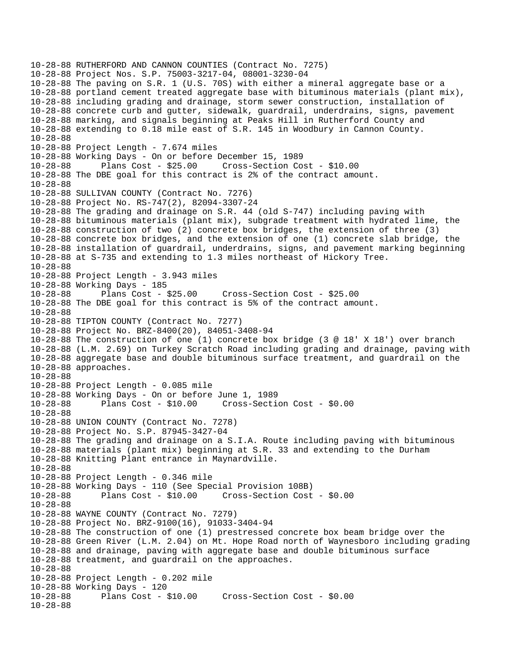10-28-88 RUTHERFORD AND CANNON COUNTIES (Contract No. 7275) 10-28-88 Project Nos. S.P. 75003-3217-04, 08001-3230-04 10-28-88 The paving on S.R. 1 (U.S. 70S) with either a mineral aggregate base or a 10-28-88 portland cement treated aggregate base with bituminous materials (plant mix), 10-28-88 including grading and drainage, storm sewer construction, installation of 10-28-88 concrete curb and gutter, sidewalk, guardrail, underdrains, signs, pavement 10-28-88 marking, and signals beginning at Peaks Hill in Rutherford County and 10-28-88 extending to 0.18 mile east of S.R. 145 in Woodbury in Cannon County. 10-28-88 10-28-88 Project Length - 7.674 miles 10-28-88 Working Days - On or before December 15, 1989 10-28-88 Plans Cost - \$25.00 Cross-Section Cost - \$10.00 10-28-88 The DBE goal for this contract is 2% of the contract amount. 10-28-88 10-28-88 SULLIVAN COUNTY (Contract No. 7276) 10-28-88 Project No. RS-747(2), 82094-3307-24 10-28-88 The grading and drainage on S.R. 44 (old S-747) including paving with 10-28-88 bituminous materials (plant mix), subgrade treatment with hydrated lime, the 10-28-88 construction of two (2) concrete box bridges, the extension of three (3) 10-28-88 concrete box bridges, and the extension of one (1) concrete slab bridge, the 10-28-88 installation of guardrail, underdrains, signs, and pavement marking beginning 10-28-88 at S-735 and extending to 1.3 miles northeast of Hickory Tree. 10-28-88 10-28-88 Project Length - 3.943 miles 10-28-88 Working Days - 185 10-28-88 Plans Cost - \$25.00 Cross-Section Cost - \$25.00 10-28-88 The DBE goal for this contract is 5% of the contract amount. 10-28-88 10-28-88 TIPTON COUNTY (Contract No. 7277) 10-28-88 Project No. BRZ-8400(20), 84051-3408-94 10-28-88 The construction of one (1) concrete box bridge (3 @ 18' X 18') over branch 10-28-88 (L.M. 2.69) on Turkey Scratch Road including grading and drainage, paving with 10-28-88 aggregate base and double bituminous surface treatment, and guardrail on the 10-28-88 approaches. 10-28-88 10-28-88 Project Length - 0.085 mile 10-28-88 Working Days - On or before June 1, 1989 10-28-88 Plans Cost - \$10.00 Cross-Section Cost - \$0.00 10-28-88 10-28-88 UNION COUNTY (Contract No. 7278) 10-28-88 Project No. S.P. 87945-3427-04 10-28-88 The grading and drainage on a S.I.A. Route including paving with bituminous 10-28-88 materials (plant mix) beginning at S.R. 33 and extending to the Durham 10-28-88 Knitting Plant entrance in Maynardville. 10-28-88 10-28-88 Project Length - 0.346 mile 10-28-88 Working Days - 110 (See Special Provision 108B) 10-28-88 Plans Cost - \$10.00 Cross-Section Cost - \$0.00 10-28-88 10-28-88 WAYNE COUNTY (Contract No. 7279) 10-28-88 Project No. BRZ-9100(16), 91033-3404-94 10-28-88 The construction of one (1) prestressed concrete box beam bridge over the 10-28-88 Green River (L.M. 2.04) on Mt. Hope Road north of Waynesboro including grading 10-28-88 and drainage, paving with aggregate base and double bituminous surface 10-28-88 treatment, and guardrail on the approaches. 10-28-88 10-28-88 Project Length - 0.202 mile 10-28-88 Working Days - 120 Plans Cost - \$10.00 Cross-Section Cost - \$0.00 10-28-88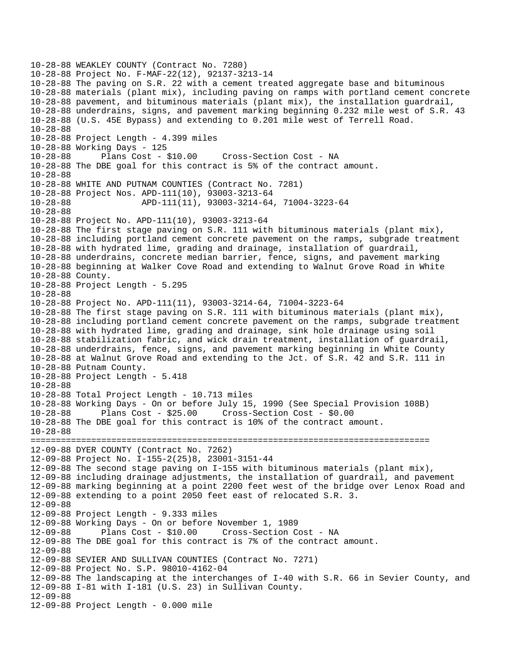10-28-88 WEAKLEY COUNTY (Contract No. 7280) 10-28-88 Project No. F-MAF-22(12), 92137-3213-14 10-28-88 The paving on S.R. 22 with a cement treated aggregate base and bituminous 10-28-88 materials (plant mix), including paving on ramps with portland cement concrete 10-28-88 pavement, and bituminous materials (plant mix), the installation guardrail, 10-28-88 underdrains, signs, and pavement marking beginning 0.232 mile west of S.R. 43 10-28-88 (U.S. 45E Bypass) and extending to 0.201 mile west of Terrell Road. 10-28-88 10-28-88 Project Length - 4.399 miles 10-28-88 Working Days - 125 10-28-88 Plans Cost - \$10.00 Cross-Section Cost - NA 10-28-88 The DBE goal for this contract is 5% of the contract amount. 10-28-88 10-28-88 WHITE AND PUTNAM COUNTIES (Contract No. 7281) 10-28-88 Project Nos. APD-111(10), 93003-3213-64 10-28-88 APD-111(11), 93003-3214-64, 71004-3223-64 10-28-88 10-28-88 Project No. APD-111(10), 93003-3213-64 10-28-88 The first stage paving on S.R. 111 with bituminous materials (plant mix), 10-28-88 including portland cement concrete pavement on the ramps, subgrade treatment 10-28-88 with hydrated lime, grading and drainage, installation of guardrail, 10-28-88 underdrains, concrete median barrier, fence, signs, and pavement marking 10-28-88 beginning at Walker Cove Road and extending to Walnut Grove Road in White 10-28-88 County. 10-28-88 Project Length - 5.295 10-28-88 10-28-88 Project No. APD-111(11), 93003-3214-64, 71004-3223-64 10-28-88 The first stage paving on S.R. 111 with bituminous materials (plant mix), 10-28-88 including portland cement concrete pavement on the ramps, subgrade treatment 10-28-88 with hydrated lime, grading and drainage, sink hole drainage using soil 10-28-88 stabilization fabric, and wick drain treatment, installation of guardrail, 10-28-88 underdrains, fence, signs, and pavement marking beginning in White County 10-28-88 at Walnut Grove Road and extending to the Jct. of S.R. 42 and S.R. 111 in 10-28-88 Putnam County. 10-28-88 Project Length - 5.418 10-28-88 10-28-88 Total Project Length - 10.713 miles 10-28-88 Working Days - On or before July 15, 1990 (See Special Provision 108B) 10-28-88 Plans Cost - \$25.00 Cross-Section Cost - \$0.00 10-28-88 The DBE goal for this contract is 10% of the contract amount. 10-28-88 =============================================================================== 12-09-88 DYER COUNTY (Contract No. 7262) 12-09-88 Project No. I-155-2(25)8, 23001-3151-44 12-09-88 The second stage paving on I-155 with bituminous materials (plant mix), 12-09-88 including drainage adjustments, the installation of guardrail, and pavement 12-09-88 marking beginning at a point 2200 feet west of the bridge over Lenox Road and 12-09-88 extending to a point 2050 feet east of relocated S.R. 3. 12-09-88 12-09-88 Project Length - 9.333 miles 12-09-88 Working Days - On or before November 1, 1989 12-09-88 Plans Cost - \$10.00 Cross-Section Cost - NA 12-09-88 The DBE goal for this contract is 7% of the contract amount. 12-09-88 12-09-88 SEVIER AND SULLIVAN COUNTIES (Contract No. 7271) 12-09-88 Project No. S.P. 98010-4162-04 12-09-88 The landscaping at the interchanges of I-40 with S.R. 66 in Sevier County, and 12-09-88 I-81 with I-181 (U.S. 23) in Sullivan County. 12-09-88 12-09-88 Project Length - 0.000 mile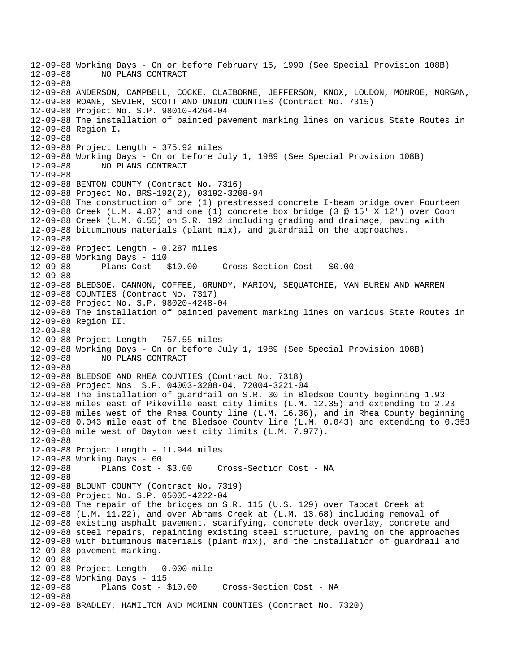12-09-88 Working Days - On or before February 15, 1990 (See Special Provision 108B) 12-09-88 NO PLANS CONTRACT 12-09-88 12-09-88 ANDERSON, CAMPBELL, COCKE, CLAIBORNE, JEFFERSON, KNOX, LOUDON, MONROE, MORGAN, 12-09-88 ROANE, SEVIER, SCOTT AND UNION COUNTIES (Contract No. 7315) 12-09-88 Project No. S.P. 98010-4264-04 12-09-88 The installation of painted pavement marking lines on various State Routes in 12-09-88 Region I. 12-09-88 12-09-88 Project Length - 375.92 miles 12-09-88 Working Days - On or before July 1, 1989 (See Special Provision 108B) 12-09-88 NO PLANS CONTRACT 12-09-88 12-09-88 BENTON COUNTY (Contract No. 7316) 12-09-88 Project No. BRS-192(2), 03192-3208-94 12-09-88 The construction of one (1) prestressed concrete I-beam bridge over Fourteen 12-09-88 Creek (L.M. 4.87) and one (1) concrete box bridge (3 @ 15' X 12') over Coon 12-09-88 Creek (L.M. 6.55) on S.R. 192 including grading and drainage, paving with 12-09-88 bituminous materials (plant mix), and guardrail on the approaches. 12-09-88 12-09-88 Project Length - 0.287 miles 12-09-88 Working Days - 110 12-09-88 Plans Cost - \$10.00 Cross-Section Cost - \$0.00 12-09-88 12-09-88 BLEDSOE, CANNON, COFFEE, GRUNDY, MARION, SEQUATCHIE, VAN BUREN AND WARREN 12-09-88 COUNTIES (Contract No. 7317) 12-09-88 Project No. S.P. 98020-4248-04 12-09-88 The installation of painted pavement marking lines on various State Routes in 12-09-88 Region II. 12-09-88 12-09-88 Project Length - 757.55 miles 12-09-88 Working Days - On or before July 1, 1989 (See Special Provision 108B) 12-09-88 NO PLANS CONTRACT 12-09-88 12-09-88 BLEDSOE AND RHEA COUNTIES (Contract No. 7318) 12-09-88 Project Nos. S.P. 04003-3208-04, 72004-3221-04 12-09-88 The installation of guardrail on S.R. 30 in Bledsoe County beginning 1.93 12-09-88 miles east of Pikeville east city limits (L.M. 12.35) and extending to 2.23 12-09-88 miles west of the Rhea County line (L.M. 16.36), and in Rhea County beginning 12-09-88 0.043 mile east of the Bledsoe County line (L.M. 0.043) and extending to 0.353 12-09-88 mile west of Dayton west city limits (L.M. 7.977). 12-09-88 12-09-88 Project Length - 11.944 miles 12-09-88 Working Days - 60 12-09-88 Plans Cost - \$3.00 Cross-Section Cost - NA 12-09-88 12-09-88 BLOUNT COUNTY (Contract No. 7319) 12-09-88 Project No. S.P. 05005-4222-04 12-09-88 The repair of the bridges on S.R. 115 (U.S. 129) over Tabcat Creek at 12-09-88 (L.M. 11.22), and over Abrams Creek at (L.M. 13.68) including removal of 12-09-88 existing asphalt pavement, scarifying, concrete deck overlay, concrete and 12-09-88 steel repairs, repainting existing steel structure, paving on the approaches 12-09-88 with bituminous materials (plant mix), and the installation of guardrail and 12-09-88 pavement marking. 12-09-88 12-09-88 Project Length - 0.000 mile 12-09-88 Working Days - 115 Cross-Section Cost - NA 12-09-88 12-09-88 BRADLEY, HAMILTON AND MCMINN COUNTIES (Contract No. 7320)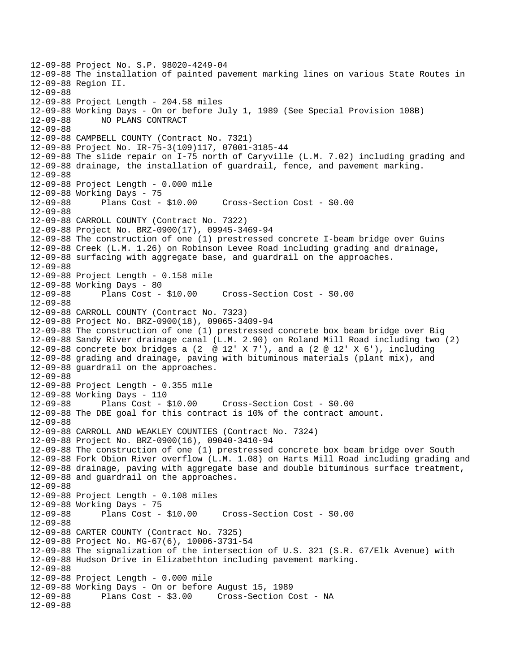12-09-88 Project No. S.P. 98020-4249-04 12-09-88 The installation of painted pavement marking lines on various State Routes in 12-09-88 Region II. 12-09-88 12-09-88 Project Length - 204.58 miles 12-09-88 Working Days - On or before July 1, 1989 (See Special Provision 108B) 12-09-88 NO PLANS CONTRACT 12-09-88 12-09-88 CAMPBELL COUNTY (Contract No. 7321) 12-09-88 Project No. IR-75-3(109)117, 07001-3185-44 12-09-88 The slide repair on I-75 north of Caryville (L.M. 7.02) including grading and 12-09-88 drainage, the installation of guardrail, fence, and pavement marking. 12-09-88 12-09-88 Project Length - 0.000 mile 12-09-88 Working Days - 75 12-09-88 Plans Cost - \$10.00 Cross-Section Cost - \$0.00 12-09-88 12-09-88 CARROLL COUNTY (Contract No. 7322) 12-09-88 Project No. BRZ-0900(17), 09945-3469-94 12-09-88 The construction of one (1) prestressed concrete I-beam bridge over Guins 12-09-88 Creek (L.M. 1.26) on Robinson Levee Road including grading and drainage, 12-09-88 surfacing with aggregate base, and guardrail on the approaches. 12-09-88 12-09-88 Project Length - 0.158 mile 12-09-88 Working Days - 80 12-09-88 Plans Cost - \$10.00 Cross-Section Cost - \$0.00 12-09-88 12-09-88 CARROLL COUNTY (Contract No. 7323) 12-09-88 Project No. BRZ-0900(18), 09065-3409-94 12-09-88 The construction of one (1) prestressed concrete box beam bridge over Big 12-09-88 Sandy River drainage canal (L.M. 2.90) on Roland Mill Road including two (2) 12-09-88 concrete box bridges a (2  $\oslash$  12' X 7'), and a (2  $\oslash$  12' X 6'), including 12-09-88 grading and drainage, paving with bituminous materials (plant mix), and 12-09-88 guardrail on the approaches. 12-09-88 12-09-88 Project Length - 0.355 mile 12-09-88 Working Days - 110 12-09-88 Plans Cost - \$10.00 Cross-Section Cost - \$0.00 12-09-88 The DBE goal for this contract is 10% of the contract amount. 12-09-88 12-09-88 CARROLL AND WEAKLEY COUNTIES (Contract No. 7324) 12-09-88 Project No. BRZ-0900(16), 09040-3410-94 12-09-88 The construction of one (1) prestressed concrete box beam bridge over South 12-09-88 Fork Obion River overflow (L.M. 1.08) on Harts Mill Road including grading and 12-09-88 drainage, paving with aggregate base and double bituminous surface treatment, 12-09-88 and guardrail on the approaches. 12-09-88 12-09-88 Project Length - 0.108 miles 12-09-88 Working Days - 75 12-09-88 Plans Cost - \$10.00 Cross-Section Cost - \$0.00 12-09-88 12-09-88 CARTER COUNTY (Contract No. 7325) 12-09-88 Project No. MG-67(6), 10006-3731-54 12-09-88 The signalization of the intersection of U.S. 321 (S.R. 67/Elk Avenue) with 12-09-88 Hudson Drive in Elizabethton including pavement marking. 12-09-88 12-09-88 Project Length - 0.000 mile 12-09-88 Working Days - On or before August 15, 1989 Cross-Section Cost - NA 12-09-88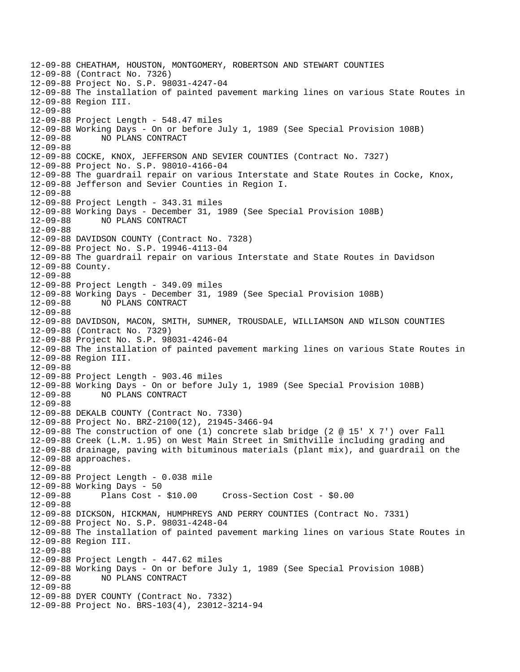12-09-88 CHEATHAM, HOUSTON, MONTGOMERY, ROBERTSON AND STEWART COUNTIES 12-09-88 (Contract No. 7326) 12-09-88 Project No. S.P. 98031-4247-04 12-09-88 The installation of painted pavement marking lines on various State Routes in 12-09-88 Region III. 12-09-88 12-09-88 Project Length - 548.47 miles 12-09-88 Working Days - On or before July 1, 1989 (See Special Provision 108B) 12-09-88 NO PLANS CONTRACT 12-09-88 12-09-88 COCKE, KNOX, JEFFERSON AND SEVIER COUNTIES (Contract No. 7327) 12-09-88 Project No. S.P. 98010-4166-04 12-09-88 The guardrail repair on various Interstate and State Routes in Cocke, Knox, 12-09-88 Jefferson and Sevier Counties in Region I. 12-09-88 12-09-88 Project Length - 343.31 miles 12-09-88 Working Days - December 31, 1989 (See Special Provision 108B) 12-09-88 NO PLANS CONTRACT 12-09-88 12-09-88 DAVIDSON COUNTY (Contract No. 7328) 12-09-88 Project No. S.P. 19946-4113-04 12-09-88 The guardrail repair on various Interstate and State Routes in Davidson 12-09-88 County. 12-09-88 12-09-88 Project Length - 349.09 miles 12-09-88 Working Days - December 31, 1989 (See Special Provision 108B) 12-09-88 NO PLANS CONTRACT 12-09-88 12-09-88 DAVIDSON, MACON, SMITH, SUMNER, TROUSDALE, WILLIAMSON AND WILSON COUNTIES 12-09-88 (Contract No. 7329) 12-09-88 Project No. S.P. 98031-4246-04 12-09-88 The installation of painted pavement marking lines on various State Routes in 12-09-88 Region III. 12-09-88 12-09-88 Project Length - 903.46 miles 12-09-88 Working Days - On or before July 1, 1989 (See Special Provision 108B) 12-09-88 NO PLANS CONTRACT 12-09-88 12-09-88 DEKALB COUNTY (Contract No. 7330) 12-09-88 Project No. BRZ-2100(12), 21945-3466-94 12-09-88 The construction of one (1) concrete slab bridge (2 @ 15' X 7') over Fall 12-09-88 Creek (L.M. 1.95) on West Main Street in Smithville including grading and 12-09-88 drainage, paving with bituminous materials (plant mix), and guardrail on the 12-09-88 approaches. 12-09-88 12-09-88 Project Length - 0.038 mile 12-09-88 Working Days - 50 12-09-88 Plans Cost - \$10.00 Cross-Section Cost - \$0.00 12-09-88 12-09-88 DICKSON, HICKMAN, HUMPHREYS AND PERRY COUNTIES (Contract No. 7331) 12-09-88 Project No. S.P. 98031-4248-04 12-09-88 The installation of painted pavement marking lines on various State Routes in 12-09-88 Region III. 12-09-88 12-09-88 Project Length - 447.62 miles 12-09-88 Working Days - On or before July 1, 1989 (See Special Provision 108B) 12-09-88 NO PLANS CONTRACT 12-09-88 12-09-88 DYER COUNTY (Contract No. 7332) 12-09-88 Project No. BRS-103(4), 23012-3214-94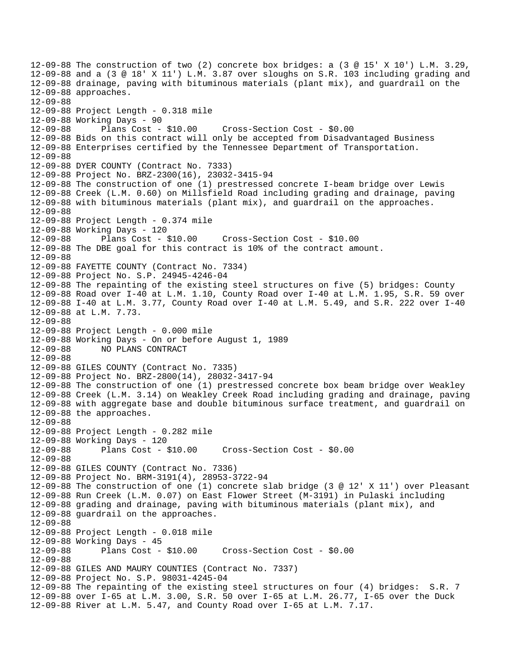12-09-88 The construction of two (2) concrete box bridges: a (3 @ 15' X 10') L.M. 3.29, 12-09-88 and a (3 @ 18' X 11') L.M. 3.87 over sloughs on S.R. 103 including grading and 12-09-88 drainage, paving with bituminous materials (plant mix), and guardrail on the 12-09-88 approaches. 12-09-88 12-09-88 Project Length - 0.318 mile 12-09-88 Working Days - 90 12-09-88 Plans Cost - \$10.00 Cross-Section Cost - \$0.00 12-09-88 Bids on this contract will only be accepted from Disadvantaged Business 12-09-88 Enterprises certified by the Tennessee Department of Transportation. 12-09-88 12-09-88 DYER COUNTY (Contract No. 7333) 12-09-88 Project No. BRZ-2300(16), 23032-3415-94 12-09-88 The construction of one (1) prestressed concrete I-beam bridge over Lewis 12-09-88 Creek (L.M. 0.60) on Millsfield Road including grading and drainage, paving 12-09-88 with bituminous materials (plant mix), and guardrail on the approaches. 12-09-88 12-09-88 Project Length - 0.374 mile 12-09-88 Working Days - 120 12-09-88 Plans Cost - \$10.00 Cross-Section Cost - \$10.00 12-09-88 The DBE goal for this contract is 10% of the contract amount. 12-09-88 12-09-88 FAYETTE COUNTY (Contract No. 7334) 12-09-88 Project No. S.P. 24945-4246-04 12-09-88 The repainting of the existing steel structures on five (5) bridges: County 12-09-88 Road over I-40 at L.M. 1.10, County Road over I-40 at L.M. 1.95, S.R. 59 over 12-09-88 I-40 at L.M. 3.77, County Road over I-40 at L.M. 5.49, and S.R. 222 over I-40 12-09-88 at L.M. 7.73. 12-09-88 12-09-88 Project Length - 0.000 mile 12-09-88 Working Days - On or before August 1, 1989 12-09-88 NO PLANS CONTRACT 12-09-88 12-09-88 GILES COUNTY (Contract No. 7335) 12-09-88 Project No. BRZ-2800(14), 28032-3417-94 12-09-88 The construction of one (1) prestressed concrete box beam bridge over Weakley 12-09-88 Creek (L.M. 3.14) on Weakley Creek Road including grading and drainage, paving 12-09-88 with aggregate base and double bituminous surface treatment, and guardrail on 12-09-88 the approaches. 12-09-88 12-09-88 Project Length - 0.282 mile 12-09-88 Working Days - 120 12-09-88 Plans Cost - \$10.00 Cross-Section Cost - \$0.00 12-09-88 12-09-88 GILES COUNTY (Contract No. 7336) 12-09-88 Project No. BRM-3191(4), 28953-3722-94 12-09-88 The construction of one (1) concrete slab bridge (3 @ 12' X 11') over Pleasant 12-09-88 Run Creek (L.M. 0.07) on East Flower Street (M-3191) in Pulaski including 12-09-88 grading and drainage, paving with bituminous materials (plant mix), and 12-09-88 guardrail on the approaches. 12-09-88 12-09-88 Project Length - 0.018 mile 12-09-88 Working Days - 45 12-09-88 Plans Cost - \$10.00 Cross-Section Cost - \$0.00 12-09-88 12-09-88 GILES AND MAURY COUNTIES (Contract No. 7337) 12-09-88 Project No. S.P. 98031-4245-04 12-09-88 The repainting of the existing steel structures on four (4) bridges: S.R. 7 12-09-88 over I-65 at L.M. 3.00, S.R. 50 over I-65 at L.M. 26.77, I-65 over the Duck 12-09-88 River at L.M. 5.47, and County Road over I-65 at L.M. 7.17.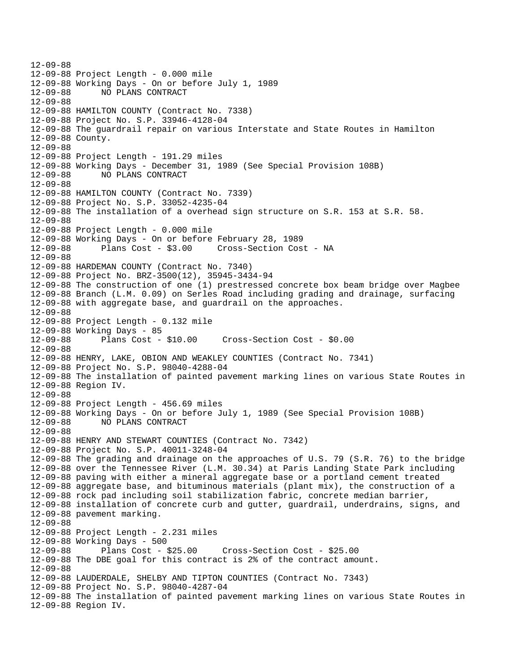```
12-09-88 
12-09-88 Project Length - 0.000 mile 
12-09-88 Working Days - On or before July 1, 1989 
12-09-88 NO PLANS CONTRACT 
12-09-88 
12-09-88 HAMILTON COUNTY (Contract No. 7338) 
12-09-88 Project No. S.P. 33946-4128-04 
12-09-88 The guardrail repair on various Interstate and State Routes in Hamilton 
12-09-88 County. 
12-09-88 
12-09-88 Project Length - 191.29 miles 
12-09-88 Working Days - December 31, 1989 (See Special Provision 108B) 
12-09-88 NO PLANS CONTRACT 
12-09-88 
12-09-88 HAMILTON COUNTY (Contract No. 7339) 
12-09-88 Project No. S.P. 33052-4235-04 
12-09-88 The installation of a overhead sign structure on S.R. 153 at S.R. 58. 
12-09-88 
12-09-88 Project Length - 0.000 mile 
12-09-88 Working Days - On or before February 28, 1989 
12-09-88 Plans Cost - $3.00 Cross-Section Cost - NA 
12-09-88 
12-09-88 HARDEMAN COUNTY (Contract No. 7340) 
12-09-88 Project No. BRZ-3500(12), 35945-3434-94 
12-09-88 The construction of one (1) prestressed concrete box beam bridge over Magbee 
12-09-88 Branch (L.M. 0.09) on Serles Road including grading and drainage, surfacing 
12-09-88 with aggregate base, and guardrail on the approaches. 
12-09-88 
12-09-88 Project Length - 0.132 mile 
12-09-88 Working Days - 85 
12-09-88 Plans Cost - $10.00 Cross-Section Cost - $0.00 
12-09-88 
12-09-88 HENRY, LAKE, OBION AND WEAKLEY COUNTIES (Contract No. 7341) 
12-09-88 Project No. S.P. 98040-4288-04 
12-09-88 The installation of painted pavement marking lines on various State Routes in 
12-09-88 Region IV. 
12-09-88 
12-09-88 Project Length - 456.69 miles 
12-09-88 Working Days - On or before July 1, 1989 (See Special Provision 108B) 
12-09-88 NO PLANS CONTRACT 
12-09-88 
12-09-88 HENRY AND STEWART COUNTIES (Contract No. 7342) 
12-09-88 Project No. S.P. 40011-3248-04 
12-09-88 The grading and drainage on the approaches of U.S. 79 (S.R. 76) to the bridge 
12-09-88 over the Tennessee River (L.M. 30.34) at Paris Landing State Park including 
12-09-88 paving with either a mineral aggregate base or a portland cement treated 
12-09-88 aggregate base, and bituminous materials (plant mix), the construction of a 
12-09-88 rock pad including soil stabilization fabric, concrete median barrier, 
12-09-88 installation of concrete curb and gutter, guardrail, underdrains, signs, and 
12-09-88 pavement marking. 
12-09-88 
12-09-88 Project Length - 2.231 miles 
12-09-88 Working Days - 500 
12-09-88 Plans Cost - $25.00 Cross-Section Cost - $25.00 
12-09-88 The DBE goal for this contract is 2% of the contract amount. 
12-09-88 
12-09-88 LAUDERDALE, SHELBY AND TIPTON COUNTIES (Contract No. 7343) 
12-09-88 Project No. S.P. 98040-4287-04 
12-09-88 The installation of painted pavement marking lines on various State Routes in 
12-09-88 Region IV.
```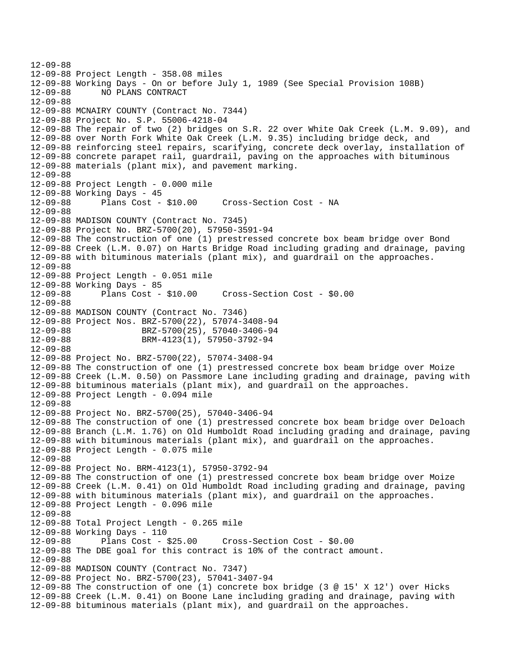12-09-88 12-09-88 Project Length - 358.08 miles 12-09-88 Working Days - On or before July 1, 1989 (See Special Provision 108B) 12-09-88 NO PLANS CONTRACT 12-09-88 12-09-88 MCNAIRY COUNTY (Contract No. 7344) 12-09-88 Project No. S.P. 55006-4218-04 12-09-88 The repair of two (2) bridges on S.R. 22 over White Oak Creek (L.M. 9.09), and 12-09-88 over North Fork White Oak Creek (L.M. 9.35) including bridge deck, and 12-09-88 reinforcing steel repairs, scarifying, concrete deck overlay, installation of 12-09-88 concrete parapet rail, guardrail, paving on the approaches with bituminous 12-09-88 materials (plant mix), and pavement marking. 12-09-88 12-09-88 Project Length - 0.000 mile 12-09-88 Working Days - 45 12-09-88 Plans Cost - \$10.00 Cross-Section Cost - NA 12-09-88 12-09-88 MADISON COUNTY (Contract No. 7345) 12-09-88 Project No. BRZ-5700(20), 57950-3591-94 12-09-88 The construction of one (1) prestressed concrete box beam bridge over Bond 12-09-88 Creek (L.M. 0.07) on Harts Bridge Road including grading and drainage, paving 12-09-88 with bituminous materials (plant mix), and guardrail on the approaches. 12-09-88 12-09-88 Project Length - 0.051 mile 12-09-88 Working Days - 85 12-09-88 Plans Cost - \$10.00 Cross-Section Cost - \$0.00 12-09-88 12-09-88 MADISON COUNTY (Contract No. 7346) 12-09-88 Project Nos. BRZ-5700(22), 57074-3408-94 12-09-88 BRZ-5700(25), 57040-3406-94 12-09-88 BRM-4123(1), 57950-3792-94 12-09-88 12-09-88 Project No. BRZ-5700(22), 57074-3408-94 12-09-88 The construction of one (1) prestressed concrete box beam bridge over Moize 12-09-88 Creek (L.M. 0.50) on Passmore Lane including grading and drainage, paving with 12-09-88 bituminous materials (plant mix), and guardrail on the approaches. 12-09-88 Project Length - 0.094 mile 12-09-88 12-09-88 Project No. BRZ-5700(25), 57040-3406-94 12-09-88 The construction of one (1) prestressed concrete box beam bridge over Deloach 12-09-88 Branch (L.M. 1.76) on Old Humboldt Road including grading and drainage, paving 12-09-88 with bituminous materials (plant mix), and guardrail on the approaches. 12-09-88 Project Length - 0.075 mile 12-09-88 12-09-88 Project No. BRM-4123(1), 57950-3792-94 12-09-88 The construction of one (1) prestressed concrete box beam bridge over Moize 12-09-88 Creek (L.M. 0.41) on Old Humboldt Road including grading and drainage, paving 12-09-88 with bituminous materials (plant mix), and guardrail on the approaches. 12-09-88 Project Length - 0.096 mile 12-09-88 12-09-88 Total Project Length - 0.265 mile 12-09-88 Working Days - 110 12-09-88 Plans Cost - \$25.00 Cross-Section Cost - \$0.00 12-09-88 The DBE goal for this contract is 10% of the contract amount. 12-09-88 12-09-88 MADISON COUNTY (Contract No. 7347) 12-09-88 Project No. BRZ-5700(23), 57041-3407-94 12-09-88 The construction of one (1) concrete box bridge (3 @ 15' X 12') over Hicks 12-09-88 Creek (L.M. 0.41) on Boone Lane including grading and drainage, paving with 12-09-88 bituminous materials (plant mix), and guardrail on the approaches.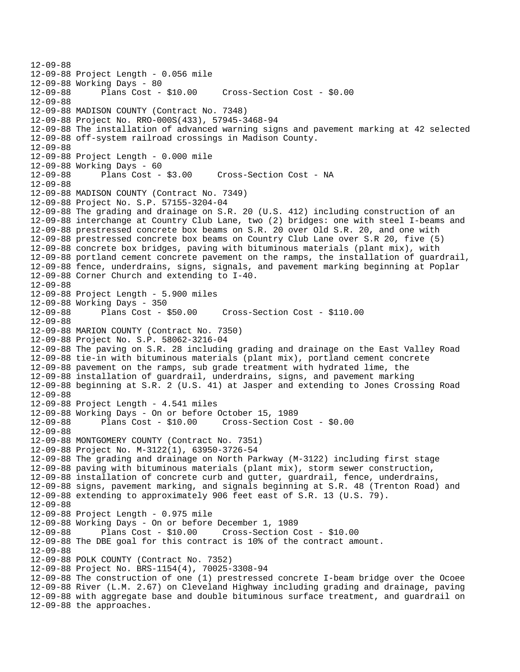12-09-88 12-09-88 Project Length - 0.056 mile 12-09-88 Working Days - 80 12-09-88 Plans Cost - \$10.00 Cross-Section Cost - \$0.00 12-09-88 12-09-88 MADISON COUNTY (Contract No. 7348) 12-09-88 Project No. RRO-000S(433), 57945-3468-94 12-09-88 The installation of advanced warning signs and pavement marking at 42 selected 12-09-88 off-system railroad crossings in Madison County. 12-09-88 12-09-88 Project Length - 0.000 mile 12-09-88 Working Days - 60 12-09-88 Plans Cost - \$3.00 Cross-Section Cost - NA 12-09-88 12-09-88 MADISON COUNTY (Contract No. 7349) 12-09-88 Project No. S.P. 57155-3204-04 12-09-88 The grading and drainage on S.R. 20 (U.S. 412) including construction of an 12-09-88 interchange at Country Club Lane, two (2) bridges: one with steel I-beams and 12-09-88 prestressed concrete box beams on S.R. 20 over Old S.R. 20, and one with 12-09-88 prestressed concrete box beams on Country Club Lane over S.R 20, five (5) 12-09-88 concrete box bridges, paving with bituminous materials (plant mix), with 12-09-88 portland cement concrete pavement on the ramps, the installation of guardrail, 12-09-88 fence, underdrains, signs, signals, and pavement marking beginning at Poplar 12-09-88 Corner Church and extending to I-40. 12-09-88 12-09-88 Project Length - 5.900 miles 12-09-88 Working Days - 350 12-09-88 Plans Cost - \$50.00 Cross-Section Cost - \$110.00 12-09-88 12-09-88 MARION COUNTY (Contract No. 7350) 12-09-88 Project No. S.P. 58062-3216-04 12-09-88 The paving on S.R. 28 including grading and drainage on the East Valley Road 12-09-88 tie-in with bituminous materials (plant mix), portland cement concrete 12-09-88 pavement on the ramps, sub grade treatment with hydrated lime, the 12-09-88 installation of guardrail, underdrains, signs, and pavement marking 12-09-88 beginning at S.R. 2 (U.S. 41) at Jasper and extending to Jones Crossing Road 12-09-88 12-09-88 Project Length - 4.541 miles 12-09-88 Working Days - On or before October 15, 1989 12-09-88 Plans Cost - \$10.00 Cross-Section Cost - \$0.00 12-09-88 12-09-88 MONTGOMERY COUNTY (Contract No. 7351) 12-09-88 Project No. M-3122(1), 63950-3726-54 12-09-88 The grading and drainage on North Parkway (M-3122) including first stage 12-09-88 paving with bituminous materials (plant mix), storm sewer construction, 12-09-88 installation of concrete curb and gutter, guardrail, fence, underdrains, 12-09-88 signs, pavement marking, and signals beginning at S.R. 48 (Trenton Road) and 12-09-88 extending to approximately 906 feet east of S.R. 13 (U.S. 79). 12-09-88 12-09-88 Project Length - 0.975 mile 12-09-88 Working Days - On or before December 1, 1989 12-09-88 Plans Cost - \$10.00 Cross-Section Cost - \$10.00 12-09-88 The DBE goal for this contract is 10% of the contract amount. 12-09-88 12-09-88 POLK COUNTY (Contract No. 7352) 12-09-88 Project No. BRS-1154(4), 70025-3308-94 12-09-88 The construction of one (1) prestressed concrete I-beam bridge over the Ocoee 12-09-88 River (L.M. 2.67) on Cleveland Highway including grading and drainage, paving 12-09-88 with aggregate base and double bituminous surface treatment, and guardrail on 12-09-88 the approaches.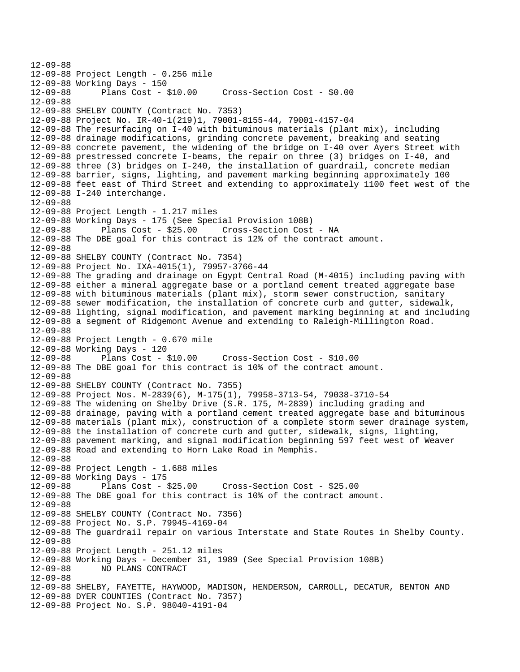12-09-88 12-09-88 Project Length - 0.256 mile 12-09-88 Working Days - 150 12-09-88 Plans Cost - \$10.00 Cross-Section Cost - \$0.00 12-09-88 12-09-88 SHELBY COUNTY (Contract No. 7353) 12-09-88 Project No. IR-40-1(219)1, 79001-8155-44, 79001-4157-04 12-09-88 The resurfacing on I-40 with bituminous materials (plant mix), including 12-09-88 drainage modifications, grinding concrete pavement, breaking and seating 12-09-88 concrete pavement, the widening of the bridge on I-40 over Ayers Street with 12-09-88 prestressed concrete I-beams, the repair on three (3) bridges on I-40, and 12-09-88 three (3) bridges on I-240, the installation of guardrail, concrete median 12-09-88 barrier, signs, lighting, and pavement marking beginning approximately 100 12-09-88 feet east of Third Street and extending to approximately 1100 feet west of the 12-09-88 I-240 interchange. 12-09-88 12-09-88 Project Length - 1.217 miles 12-09-88 Working Days - 175 (See Special Provision 108B) 12-09-88 Plans Cost - \$25.00 Cross-Section Cost - NA 12-09-88 The DBE goal for this contract is 12% of the contract amount. 12-09-88 12-09-88 SHELBY COUNTY (Contract No. 7354) 12-09-88 Project No. IXA-4015(1), 79957-3766-44 12-09-88 The grading and drainage on Egypt Central Road (M-4015) including paving with 12-09-88 either a mineral aggregate base or a portland cement treated aggregate base 12-09-88 with bituminous materials (plant mix), storm sewer construction, sanitary 12-09-88 sewer modification, the installation of concrete curb and gutter, sidewalk, 12-09-88 lighting, signal modification, and pavement marking beginning at and including 12-09-88 a segment of Ridgemont Avenue and extending to Raleigh-Millington Road. 12-09-88 12-09-88 Project Length - 0.670 mile 12-09-88 Working Days - 120 12-09-88 Plans Cost - \$10.00 Cross-Section Cost - \$10.00 12-09-88 The DBE goal for this contract is 10% of the contract amount. 12-09-88 12-09-88 SHELBY COUNTY (Contract No. 7355) 12-09-88 Project Nos. M-2839(6), M-175(1), 79958-3713-54, 79038-3710-54 12-09-88 The widening on Shelby Drive (S.R. 175, M-2839) including grading and 12-09-88 drainage, paving with a portland cement treated aggregate base and bituminous 12-09-88 materials (plant mix), construction of a complete storm sewer drainage system, 12-09-88 the installation of concrete curb and gutter, sidewalk, signs, lighting, 12-09-88 pavement marking, and signal modification beginning 597 feet west of Weaver 12-09-88 Road and extending to Horn Lake Road in Memphis. 12-09-88 12-09-88 Project Length - 1.688 miles 12-09-88 Working Days - 175 12-09-88 Plans Cost - \$25.00 Cross-Section Cost - \$25.00 12-09-88 The DBE goal for this contract is 10% of the contract amount. 12-09-88 12-09-88 SHELBY COUNTY (Contract No. 7356) 12-09-88 Project No. S.P. 79945-4169-04 12-09-88 The guardrail repair on various Interstate and State Routes in Shelby County. 12-09-88 12-09-88 Project Length - 251.12 miles 12-09-88 Working Days - December 31, 1989 (See Special Provision 108B) 12-09-88 NO PLANS CONTRACT 12-09-88 12-09-88 SHELBY, FAYETTE, HAYWOOD, MADISON, HENDERSON, CARROLL, DECATUR, BENTON AND 12-09-88 DYER COUNTIES (Contract No. 7357) 12-09-88 Project No. S.P. 98040-4191-04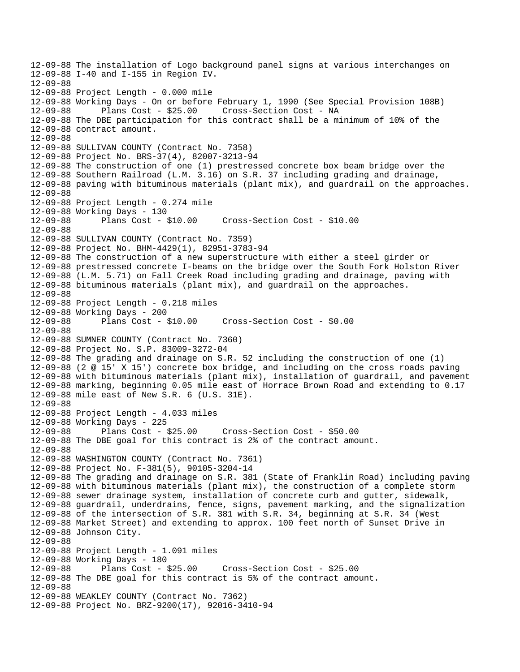12-09-88 The installation of Logo background panel signs at various interchanges on 12-09-88 I-40 and I-155 in Region IV. 12-09-88 12-09-88 Project Length - 0.000 mile 12-09-88 Working Days - On or before February 1, 1990 (See Special Provision 108B) 12-09-88 Plans Cost - \$25.00 Cross-Section Cost - NA 12-09-88 The DBE participation for this contract shall be a minimum of 10% of the 12-09-88 contract amount. 12-09-88 12-09-88 SULLIVAN COUNTY (Contract No. 7358) 12-09-88 Project No. BRS-37(4), 82007-3213-94 12-09-88 The construction of one (1) prestressed concrete box beam bridge over the 12-09-88 Southern Railroad (L.M. 3.16) on S.R. 37 including grading and drainage, 12-09-88 paving with bituminous materials (plant mix), and guardrail on the approaches. 12-09-88 12-09-88 Project Length - 0.274 mile 12-09-88 Working Days - 130 12-09-88 Plans Cost - \$10.00 Cross-Section Cost - \$10.00 12-09-88 12-09-88 SULLIVAN COUNTY (Contract No. 7359) 12-09-88 Project No. BHM-4429(1), 82951-3783-94 12-09-88 The construction of a new superstructure with either a steel girder or 12-09-88 prestressed concrete I-beams on the bridge over the South Fork Holston River 12-09-88 (L.M. 5.71) on Fall Creek Road including grading and drainage, paving with 12-09-88 bituminous materials (plant mix), and guardrail on the approaches. 12-09-88 12-09-88 Project Length - 0.218 miles 12-09-88 Working Days - 200 12-09-88 Plans Cost - \$10.00 Cross-Section Cost - \$0.00 12-09-88 12-09-88 SUMNER COUNTY (Contract No. 7360) 12-09-88 Project No. S.P. 83009-3272-04 12-09-88 The grading and drainage on S.R. 52 including the construction of one (1) 12-09-88 (2 @ 15' X 15') concrete box bridge, and including on the cross roads paving 12-09-88 with bituminous materials (plant mix), installation of guardrail, and pavement 12-09-88 marking, beginning 0.05 mile east of Horrace Brown Road and extending to 0.17 12-09-88 mile east of New S.R. 6 (U.S. 31E). 12-09-88 12-09-88 Project Length - 4.033 miles 12-09-88 Working Days - 225 12-09-88 Plans Cost - \$25.00 Cross-Section Cost - \$50.00 12-09-88 The DBE goal for this contract is 2% of the contract amount. 12-09-88 12-09-88 WASHINGTON COUNTY (Contract No. 7361) 12-09-88 Project No. F-381(5), 90105-3204-14 12-09-88 The grading and drainage on S.R. 381 (State of Franklin Road) including paving 12-09-88 with bituminous materials (plant mix), the construction of a complete storm 12-09-88 sewer drainage system, installation of concrete curb and gutter, sidewalk, 12-09-88 guardrail, underdrains, fence, signs, pavement marking, and the signalization 12-09-88 of the intersection of S.R. 381 with S.R. 34, beginning at S.R. 34 (West 12-09-88 Market Street) and extending to approx. 100 feet north of Sunset Drive in 12-09-88 Johnson City. 12-09-88 12-09-88 Project Length - 1.091 miles 12-09-88 Working Days - 180 12-09-88 Plans Cost - \$25.00 Cross-Section Cost - \$25.00 12-09-88 The DBE goal for this contract is 5% of the contract amount. 12-09-88 12-09-88 WEAKLEY COUNTY (Contract No. 7362) 12-09-88 Project No. BRZ-9200(17), 92016-3410-94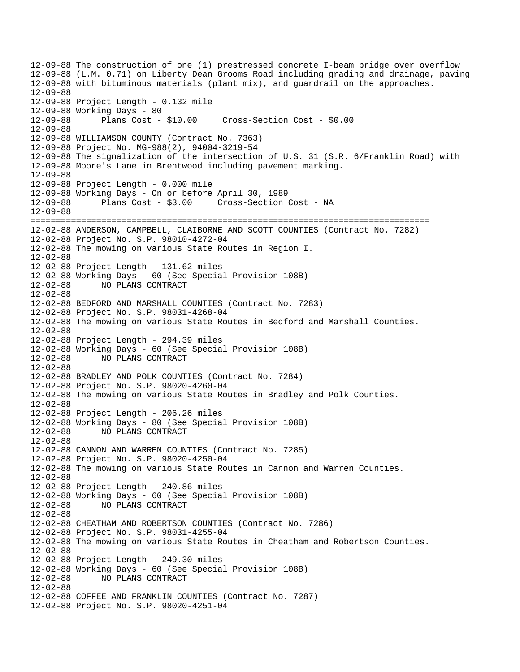12-09-88 The construction of one (1) prestressed concrete I-beam bridge over overflow 12-09-88 (L.M. 0.71) on Liberty Dean Grooms Road including grading and drainage, paving 12-09-88 with bituminous materials (plant mix), and guardrail on the approaches. 12-09-88 12-09-88 Project Length - 0.132 mile 12-09-88 Working Days - 80 12-09-88 Plans Cost - \$10.00 Cross-Section Cost - \$0.00 12-09-88 12-09-88 WILLIAMSON COUNTY (Contract No. 7363) 12-09-88 Project No. MG-988(2), 94004-3219-54 12-09-88 The signalization of the intersection of U.S. 31 (S.R. 6/Franklin Road) with 12-09-88 Moore's Lane in Brentwood including pavement marking. 12-09-88 12-09-88 Project Length - 0.000 mile 12-09-88 Working Days - On or before April 30, 1989 12-09-88 Plans Cost - \$3.00 Cross-Section Cost - NA 12-09-88 =============================================================================== 12-02-88 ANDERSON, CAMPBELL, CLAIBORNE AND SCOTT COUNTIES (Contract No. 7282) 12-02-88 Project No. S.P. 98010-4272-04 12-02-88 The mowing on various State Routes in Region I. 12-02-88 12-02-88 Project Length - 131.62 miles 12-02-88 Working Days - 60 (See Special Provision 108B) NO PLANS CONTRACT 12-02-88 12-02-88 BEDFORD AND MARSHALL COUNTIES (Contract No. 7283) 12-02-88 Project No. S.P. 98031-4268-04 12-02-88 The mowing on various State Routes in Bedford and Marshall Counties. 12-02-88 12-02-88 Project Length - 294.39 miles 12-02-88 Working Days - 60 (See Special Provision 108B) NO PLANS CONTRACT 12-02-88 12-02-88 BRADLEY AND POLK COUNTIES (Contract No. 7284) 12-02-88 Project No. S.P. 98020-4260-04 12-02-88 The mowing on various State Routes in Bradley and Polk Counties. 12-02-88 12-02-88 Project Length - 206.26 miles 12-02-88 Working Days - 80 (See Special Provision 108B) 12-02-88 NO PLANS CONTRACT 12-02-88 12-02-88 CANNON AND WARREN COUNTIES (Contract No. 7285) 12-02-88 Project No. S.P. 98020-4250-04 12-02-88 The mowing on various State Routes in Cannon and Warren Counties. 12-02-88 12-02-88 Project Length - 240.86 miles 12-02-88 Working Days - 60 (See Special Provision 108B) 12-02-88 NO PLANS CONTRACT 12-02-88 12-02-88 CHEATHAM AND ROBERTSON COUNTIES (Contract No. 7286) 12-02-88 Project No. S.P. 98031-4255-04 12-02-88 The mowing on various State Routes in Cheatham and Robertson Counties. 12-02-88 12-02-88 Project Length - 249.30 miles 12-02-88 Working Days - 60 (See Special Provision 108B) 12-02-88 NO PLANS CONTRACT 12-02-88 12-02-88 COFFEE AND FRANKLIN COUNTIES (Contract No. 7287) 12-02-88 Project No. S.P. 98020-4251-04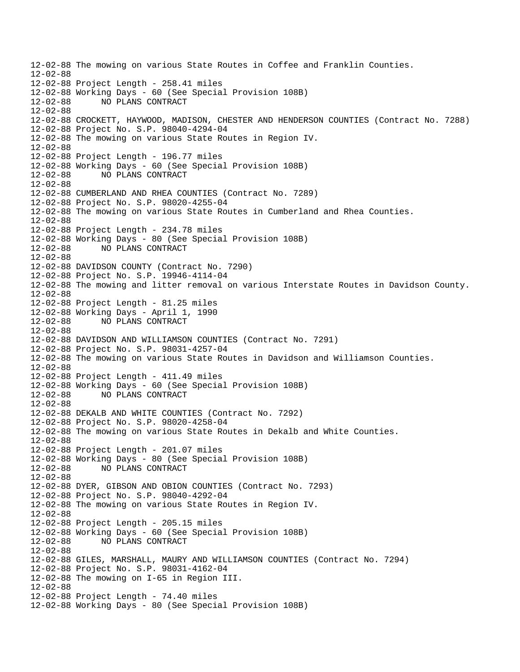12-02-88 The mowing on various State Routes in Coffee and Franklin Counties. 12-02-88 12-02-88 Project Length - 258.41 miles 12-02-88 Working Days - 60 (See Special Provision 108B) 12-02-88 NO PLANS CONTRACT 12-02-88 12-02-88 CROCKETT, HAYWOOD, MADISON, CHESTER AND HENDERSON COUNTIES (Contract No. 7288) 12-02-88 Project No. S.P. 98040-4294-04 12-02-88 The mowing on various State Routes in Region IV. 12-02-88 12-02-88 Project Length - 196.77 miles 12-02-88 Working Days - 60 (See Special Provision 108B) 12-02-88 NO PLANS CONTRACT 12-02-88 12-02-88 CUMBERLAND AND RHEA COUNTIES (Contract No. 7289) 12-02-88 Project No. S.P. 98020-4255-04 12-02-88 The mowing on various State Routes in Cumberland and Rhea Counties. 12-02-88 12-02-88 Project Length - 234.78 miles 12-02-88 Working Days - 80 (See Special Provision 108B) 12-02-88 NO PLANS CONTRACT 12-02-88 12-02-88 DAVIDSON COUNTY (Contract No. 7290) 12-02-88 Project No. S.P. 19946-4114-04 12-02-88 The mowing and litter removal on various Interstate Routes in Davidson County. 12-02-88 12-02-88 Project Length - 81.25 miles 12-02-88 Working Days - April 1, 1990 12-02-88 NO PLANS CONTRACT 12-02-88 12-02-88 DAVIDSON AND WILLIAMSON COUNTIES (Contract No. 7291) 12-02-88 Project No. S.P. 98031-4257-04 12-02-88 The mowing on various State Routes in Davidson and Williamson Counties. 12-02-88 12-02-88 Project Length - 411.49 miles 12-02-88 Working Days - 60 (See Special Provision 108B) 12-02-88 NO PLANS CONTRACT 12-02-88 12-02-88 DEKALB AND WHITE COUNTIES (Contract No. 7292) 12-02-88 Project No. S.P. 98020-4258-04 12-02-88 The mowing on various State Routes in Dekalb and White Counties. 12-02-88 12-02-88 Project Length - 201.07 miles 12-02-88 Working Days - 80 (See Special Provision 108B) 12-02-88 NO PLANS CONTRACT 12-02-88 12-02-88 DYER, GIBSON AND OBION COUNTIES (Contract No. 7293) 12-02-88 Project No. S.P. 98040-4292-04 12-02-88 The mowing on various State Routes in Region IV. 12-02-88 12-02-88 Project Length - 205.15 miles 12-02-88 Working Days - 60 (See Special Provision 108B) 12-02-88 NO PLANS CONTRACT 12-02-88 12-02-88 GILES, MARSHALL, MAURY AND WILLIAMSON COUNTIES (Contract No. 7294) 12-02-88 Project No. S.P. 98031-4162-04 12-02-88 The mowing on I-65 in Region III. 12-02-88 12-02-88 Project Length - 74.40 miles 12-02-88 Working Days - 80 (See Special Provision 108B)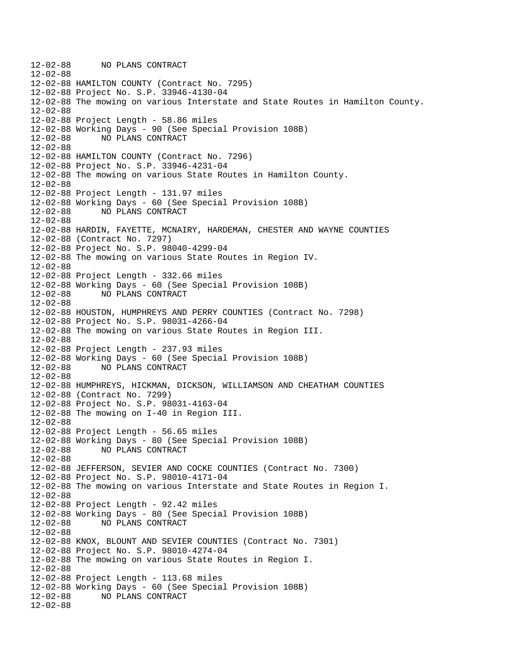12-02-88 NO PLANS CONTRACT 12-02-88 12-02-88 HAMILTON COUNTY (Contract No. 7295) 12-02-88 Project No. S.P. 33946-4130-04 12-02-88 The mowing on various Interstate and State Routes in Hamilton County. 12-02-88 12-02-88 Project Length - 58.86 miles 12-02-88 Working Days - 90 (See Special Provision 108B) 12-02-88 NO PLANS CONTRACT 12-02-88 12-02-88 HAMILTON COUNTY (Contract No. 7296) 12-02-88 Project No. S.P. 33946-4231-04 12-02-88 The mowing on various State Routes in Hamilton County. 12-02-88 12-02-88 Project Length - 131.97 miles 12-02-88 Working Days - 60 (See Special Provision 108B) 12-02-88 NO PLANS CONTRACT 12-02-88 12-02-88 HARDIN, FAYETTE, MCNAIRY, HARDEMAN, CHESTER AND WAYNE COUNTIES 12-02-88 (Contract No. 7297) 12-02-88 Project No. S.P. 98040-4299-04 12-02-88 The mowing on various State Routes in Region IV. 12-02-88 12-02-88 Project Length - 332.66 miles 12-02-88 Working Days - 60 (See Special Provision 108B) 12-02-88 NO PLANS CONTRACT 12-02-88 12-02-88 HOUSTON, HUMPHREYS AND PERRY COUNTIES (Contract No. 7298) 12-02-88 Project No. S.P. 98031-4266-04 12-02-88 The mowing on various State Routes in Region III. 12-02-88 12-02-88 Project Length - 237.93 miles 12-02-88 Working Days - 60 (See Special Provision 108B) 12-02-88 NO PLANS CONTRACT 12-02-88 12-02-88 HUMPHREYS, HICKMAN, DICKSON, WILLIAMSON AND CHEATHAM COUNTIES 12-02-88 (Contract No. 7299) 12-02-88 Project No. S.P. 98031-4163-04 12-02-88 The mowing on I-40 in Region III. 12-02-88 12-02-88 Project Length - 56.65 miles 12-02-88 Working Days - 80 (See Special Provision 108B) 12-02-88 NO PLANS CONTRACT 12-02-88 12-02-88 JEFFERSON, SEVIER AND COCKE COUNTIES (Contract No. 7300) 12-02-88 Project No. S.P. 98010-4171-04 12-02-88 The mowing on various Interstate and State Routes in Region I. 12-02-88 12-02-88 Project Length - 92.42 miles 12-02-88 Working Days - 80 (See Special Provision 108B) 12-02-88 NO PLANS CONTRACT 12-02-88 12-02-88 KNOX, BLOUNT AND SEVIER COUNTIES (Contract No. 7301) 12-02-88 Project No. S.P. 98010-4274-04 12-02-88 The mowing on various State Routes in Region I. 12-02-88 12-02-88 Project Length - 113.68 miles 12-02-88 Working Days - 60 (See Special Provision 108B) 12-02-88 NO PLANS CONTRACT 12-02-88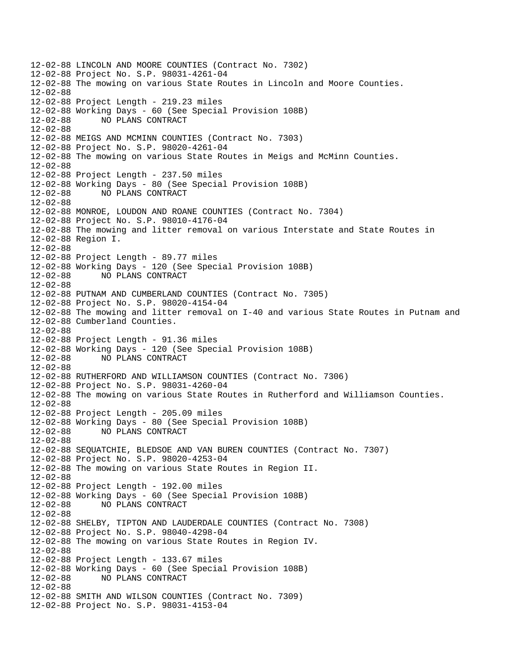12-02-88 LINCOLN AND MOORE COUNTIES (Contract No. 7302) 12-02-88 Project No. S.P. 98031-4261-04 12-02-88 The mowing on various State Routes in Lincoln and Moore Counties. 12-02-88 12-02-88 Project Length - 219.23 miles 12-02-88 Working Days - 60 (See Special Provision 108B) 12-02-88 NO PLANS CONTRACT 12-02-88 12-02-88 MEIGS AND MCMINN COUNTIES (Contract No. 7303) 12-02-88 Project No. S.P. 98020-4261-04 12-02-88 The mowing on various State Routes in Meigs and McMinn Counties. 12-02-88 12-02-88 Project Length - 237.50 miles 12-02-88 Working Days - 80 (See Special Provision 108B) 12-02-88 NO PLANS CONTRACT 12-02-88 12-02-88 MONROE, LOUDON AND ROANE COUNTIES (Contract No. 7304) 12-02-88 Project No. S.P. 98010-4176-04 12-02-88 The mowing and litter removal on various Interstate and State Routes in 12-02-88 Region I. 12-02-88 12-02-88 Project Length - 89.77 miles 12-02-88 Working Days - 120 (See Special Provision 108B) 12-02-88 NO PLANS CONTRACT 12-02-88 12-02-88 PUTNAM AND CUMBERLAND COUNTIES (Contract No. 7305) 12-02-88 Project No. S.P. 98020-4154-04 12-02-88 The mowing and litter removal on I-40 and various State Routes in Putnam and 12-02-88 Cumberland Counties. 12-02-88 12-02-88 Project Length - 91.36 miles 12-02-88 Working Days - 120 (See Special Provision 108B) 12-02-88 NO PLANS CONTRACT 12-02-88 12-02-88 RUTHERFORD AND WILLIAMSON COUNTIES (Contract No. 7306) 12-02-88 Project No. S.P. 98031-4260-04 12-02-88 The mowing on various State Routes in Rutherford and Williamson Counties. 12-02-88 12-02-88 Project Length - 205.09 miles 12-02-88 Working Days - 80 (See Special Provision 108B) 12-02-88 NO PLANS CONTRACT 12-02-88 12-02-88 SEQUATCHIE, BLEDSOE AND VAN BUREN COUNTIES (Contract No. 7307) 12-02-88 Project No. S.P. 98020-4253-04 12-02-88 The mowing on various State Routes in Region II. 12-02-88 12-02-88 Project Length - 192.00 miles 12-02-88 Working Days - 60 (See Special Provision 108B) NO PLANS CONTRACT 12-02-88 12-02-88 SHELBY, TIPTON AND LAUDERDALE COUNTIES (Contract No. 7308) 12-02-88 Project No. S.P. 98040-4298-04 12-02-88 The mowing on various State Routes in Region IV. 12-02-88 12-02-88 Project Length - 133.67 miles 12-02-88 Working Days - 60 (See Special Provision 108B) 12-02-88 NO PLANS CONTRACT 12-02-88 12-02-88 SMITH AND WILSON COUNTIES (Contract No. 7309) 12-02-88 Project No. S.P. 98031-4153-04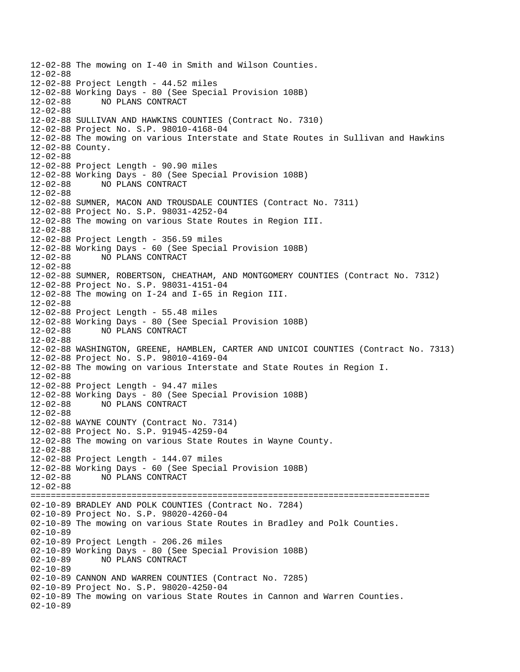12-02-88 The mowing on I-40 in Smith and Wilson Counties. 12-02-88 12-02-88 Project Length - 44.52 miles 12-02-88 Working Days - 80 (See Special Provision 108B) 12-02-88 NO PLANS CONTRACT 12-02-88 12-02-88 SULLIVAN AND HAWKINS COUNTIES (Contract No. 7310) 12-02-88 Project No. S.P. 98010-4168-04 12-02-88 The mowing on various Interstate and State Routes in Sullivan and Hawkins 12-02-88 County. 12-02-88 12-02-88 Project Length - 90.90 miles 12-02-88 Working Days - 80 (See Special Provision 108B) NO PLANS CONTRACT 12-02-88 12-02-88 SUMNER, MACON AND TROUSDALE COUNTIES (Contract No. 7311) 12-02-88 Project No. S.P. 98031-4252-04 12-02-88 The mowing on various State Routes in Region III. 12-02-88 12-02-88 Project Length - 356.59 miles 12-02-88 Working Days - 60 (See Special Provision 108B) 12-02-88 NO PLANS CONTRACT 12-02-88 12-02-88 SUMNER, ROBERTSON, CHEATHAM, AND MONTGOMERY COUNTIES (Contract No. 7312) 12-02-88 Project No. S.P. 98031-4151-04 12-02-88 The mowing on I-24 and I-65 in Region III. 12-02-88 12-02-88 Project Length - 55.48 miles 12-02-88 Working Days - 80 (See Special Provision 108B) 12-02-88 NO PLANS CONTRACT 12-02-88 12-02-88 WASHINGTON, GREENE, HAMBLEN, CARTER AND UNICOI COUNTIES (Contract No. 7313) 12-02-88 Project No. S.P. 98010-4169-04 12-02-88 The mowing on various Interstate and State Routes in Region I. 12-02-88 12-02-88 Project Length - 94.47 miles 12-02-88 Working Days - 80 (See Special Provision 108B) 12-02-88 NO PLANS CONTRACT 12-02-88 12-02-88 WAYNE COUNTY (Contract No. 7314) 12-02-88 Project No. S.P. 91945-4259-04 12-02-88 The mowing on various State Routes in Wayne County. 12-02-88 12-02-88 Project Length - 144.07 miles 12-02-88 Working Days - 60 (See Special Provision 108B) 12-02-88 NO PLANS CONTRACT 12-02-88 =============================================================================== 02-10-89 BRADLEY AND POLK COUNTIES (Contract No. 7284) 02-10-89 Project No. S.P. 98020-4260-04 02-10-89 The mowing on various State Routes in Bradley and Polk Counties. 02-10-89 02-10-89 Project Length - 206.26 miles 02-10-89 Working Days - 80 (See Special Provision 108B) 02-10-89 NO PLANS CONTRACT 02-10-89 02-10-89 CANNON AND WARREN COUNTIES (Contract No. 7285) 02-10-89 Project No. S.P. 98020-4250-04 02-10-89 The mowing on various State Routes in Cannon and Warren Counties. 02-10-89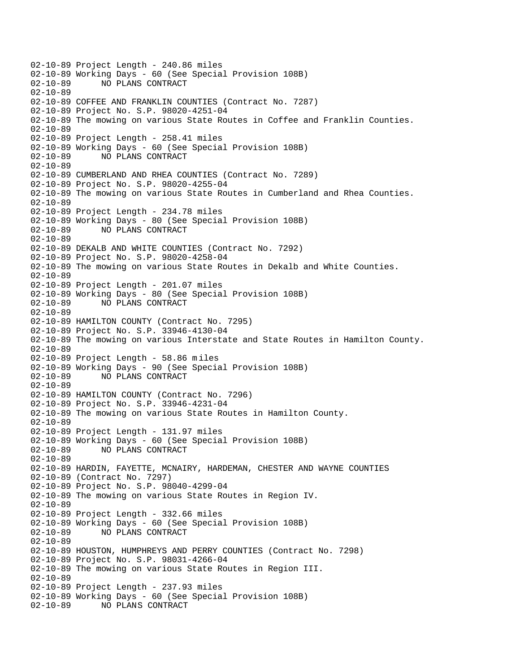02-10-89 Project Length - 240.86 miles 02-10-89 Working Days - 60 (See Special Provision 108B)<br>02-10-89 NO PLANS CONTRACT 02-10-89 NO PLANS CONTRACT 02-10-89 02-10-89 COFFEE AND FRANKLIN COUNTIES (Contract No. 7287) 02-10-89 Project No. S.P. 98020-4251-04 02-10-89 The mowing on various State Routes in Coffee and Franklin Counties. 02-10-89 02-10-89 Project Length - 258.41 miles 02-10-89 Working Days - 60 (See Special Provision 108B) 02-10-89 NO PLANS CONTRACT 02-10-89 02-10-89 CUMBERLAND AND RHEA COUNTIES (Contract No. 7289) 02-10-89 Project No. S.P. 98020-4255-04 02-10-89 The mowing on various State Routes in Cumberland and Rhea Counties.  $02 - 10 - 89$ 02-10-89 Project Length - 234.78 miles 02-10-89 Working Days - 80 (See Special Provision 108B) 02-10-89 NO PLANS CONTRACT 02-10-89 02-10-89 DEKALB AND WHITE COUNTIES (Contract No. 7292) 02-10-89 Project No. S.P. 98020-4258-04 02-10-89 The mowing on various State Routes in Dekalb and White Counties. 02-10-89 02-10-89 Project Length - 201.07 miles 02-10-89 Working Days - 80 (See Special Provision 108B) 02-10-89 NO PLANS CONTRACT 02-10-89 02-10-89 HAMILTON COUNTY (Contract No. 7295) 02-10-89 Project No. S.P. 33946-4130-04 02-10-89 The mowing on various Interstate and State Routes in Hamilton County. 02-10-89 02-10-89 Project Length - 58.86 m iles 02-10-89 Working Days - 90 (See Special Provision 108B)<br>02-10-89 NO PLANS CONTRACT 02-10-89 NO PLANS CONTRACT  $02 - 10 - 89$ 02-10-89 HAMILTON COUNTY (Contract No. 7296) 02-10-89 Project No. S.P. 33946-4231-04 02-10-89 The mowing on various State Routes in Hamilton County. 02-10-89 02-10-89 Project Length - 131.97 miles 02-10-89 Working Days - 60 (See Special Provision 108B) 02-10-89 NO PLANS CONTRACT 02-10-89 02-10-89 HARDIN, FAYETTE, MCNAIRY, HARDEMAN, CHESTER AND WAYNE COUNTIES 02-10-89 (Contract No. 7297) 02-10-89 Project No. S.P. 98040-4299-04 02-10-89 The mowing on various State Routes in Region IV. 02-10-89 02-10-89 Project Length - 332.66 miles 02-10-89 Working Days - 60 (See Special Provision 108B) 02-10-89 NO PLANS CONTRACT 02-10-89 02-10-89 HOUSTON, HUMPHREYS AND PERRY COUNTIES (Contract No. 7298) 02-10-89 Project No. S.P. 98031-4266-04 02-10-89 The mowing on various State Routes in Region III. 02-10-89 02-10-89 Project Length - 237.93 miles 02-10-89 Working Days - 60 (See Special Provision 108B) 02-10-89 NO PLANS CONTRACT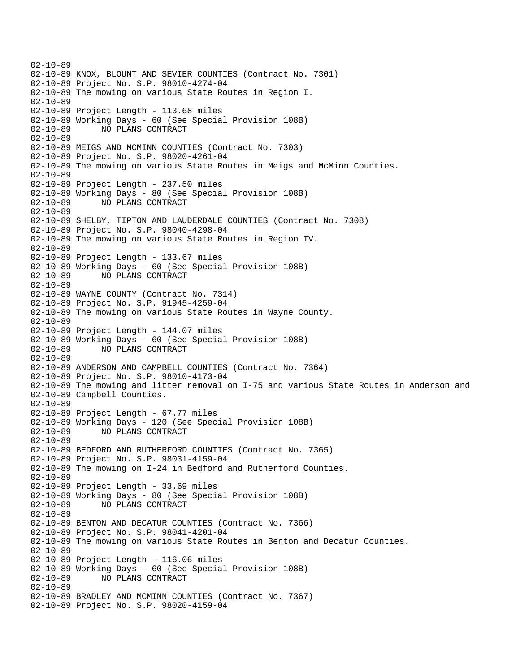02-10-89 02-10-89 KNOX, BLOUNT AND SEVIER COUNTIES (Contract No. 7301) 02-10-89 Project No. S.P. 98010-4274-04 02-10-89 The mowing on various State Routes in Region I. 02-10-89 02-10-89 Project Length - 113.68 miles 02-10-89 Working Days - 60 (See Special Provision 108B) 02-10-89 NO PLANS CONTRACT 02-10-89 02-10-89 MEIGS AND MCMINN COUNTIES (Contract No. 7303) 02-10-89 Project No. S.P. 98020-4261-04 02-10-89 The mowing on various State Routes in Meigs and McMinn Counties. 02-10-89 02-10-89 Project Length - 237.50 miles 02-10-89 Working Days - 80 (See Special Provision 108B) 02-10-89 NO PLANS CONTRACT 02-10-89 02-10-89 SHELBY, TIPTON AND LAUDERDALE COUNTIES (Contract No. 7308) 02-10-89 Project No. S.P. 98040-4298-04 02-10-89 The mowing on various State Routes in Region IV. 02-10-89 02-10-89 Project Length - 133.67 miles 02-10-89 Working Days - 60 (See Special Provision 108B) 02-10-89 NO PLANS CONTRACT 02-10-89 02-10-89 WAYNE COUNTY (Contract No. 7314) 02-10-89 Project No. S.P. 91945-4259-04 02-10-89 The mowing on various State Routes in Wayne County. 02-10-89 02-10-89 Project Length - 144.07 miles 02-10-89 Working Days - 60 (See Special Provision 108B) 02-10-89 NO PLANS CONTRACT 02-10-89 02-10-89 ANDERSON AND CAMPBELL COUNTIES (Contract No. 7364) 02-10-89 Project No. S.P. 98010-4173-04 02-10-89 The mowing and litter removal on I-75 and various State Routes in Anderson and 02-10-89 Campbell Counties. 02-10-89 02-10-89 Project Length - 67.77 miles 02-10-89 Working Days - 120 (See Special Provision 108B) 02-10-89 NO PLANS CONTRACT 02-10-89 02-10-89 BEDFORD AND RUTHERFORD COUNTIES (Contract No. 7365) 02-10-89 Project No. S.P. 98031-4159-04 02-10-89 The mowing on I-24 in Bedford and Rutherford Counties. 02-10-89 02-10-89 Project Length - 33.69 miles 02-10-89 Working Days - 80 (See Special Provision 108B)<br>02-10-89 NO PLANS CONTRACT 02-10-89 NO PLANS CONTRACT 02-10-89 02-10-89 BENTON AND DECATUR COUNTIES (Contract No. 7366) 02-10-89 Project No. S.P. 98041-4201-04 02-10-89 The mowing on various State Routes in Benton and Decatur Counties. 02-10-89 02-10-89 Project Length - 116.06 miles 02-10-89 Working Days - 60 (See Special Provision 108B) 02-10-89 NO PLANS CONTRACT 02-10-89 02-10-89 BRADLEY AND MCMINN COUNTIES (Contract No. 7367) 02-10-89 Project No. S.P. 98020-4159-04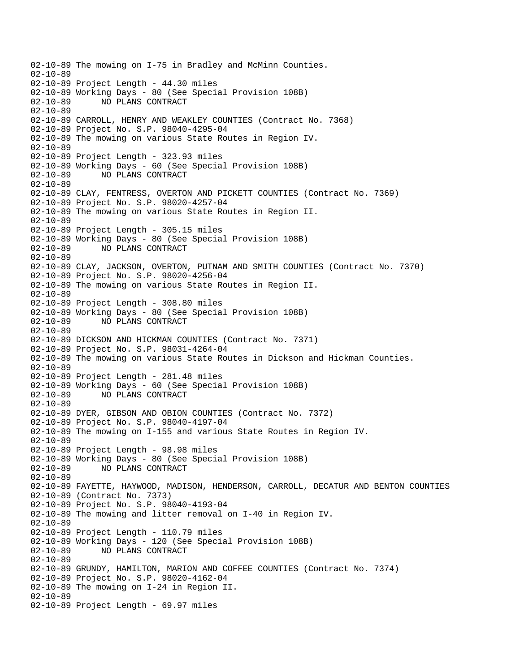02-10-89 The mowing on I-75 in Bradley and McMinn Counties. 02-10-89 02-10-89 Project Length - 44.30 miles 02-10-89 Working Days - 80 (See Special Provision 108B) 02-10-89 NO PLANS CONTRACT 02-10-89 02-10-89 CARROLL, HENRY AND WEAKLEY COUNTIES (Contract No. 7368) 02-10-89 Project No. S.P. 98040-4295-04 02-10-89 The mowing on various State Routes in Region IV. 02-10-89 02-10-89 Project Length - 323.93 miles 02-10-89 Working Days - 60 (See Special Provision 108B) 02-10-89 NO PLANS CONTRACT 02-10-89 02-10-89 CLAY, FENTRESS, OVERTON AND PICKETT COUNTIES (Contract No. 7369) 02-10-89 Project No. S.P. 98020-4257-04 02-10-89 The mowing on various State Routes in Region II. 02-10-89 02-10-89 Project Length - 305.15 miles 02-10-89 Working Days - 80 (See Special Provision 108B) 02-10-89 NO PLANS CONTRACT 02-10-89 02-10-89 CLAY, JACKSON, OVERTON, PUTNAM AND SMITH COUNTIES (Contract No. 7370) 02-10-89 Project No. S.P. 98020-4256-04 02-10-89 The mowing on various State Routes in Region II. 02-10-89 02-10-89 Project Length - 308.80 miles 02-10-89 Working Days - 80 (See Special Provision 108B) 02-10-89 NO PLANS CONTRACT 02-10-89 02-10-89 DICKSON AND HICKMAN COUNTIES (Contract No. 7371) 02-10-89 Project No. S.P. 98031-4264-04 02-10-89 The mowing on various State Routes in Dickson and Hickman Counties. 02-10-89 02-10-89 Project Length - 281.48 miles 02-10-89 Working Days - 60 (See Special Provision 108B) 02-10-89 NO PLANS CONTRACT 02-10-89 02-10-89 DYER, GIBSON AND OBION COUNTIES (Contract No. 7372) 02-10-89 Project No. S.P. 98040-4197-04 02-10-89 The mowing on I-155 and various State Routes in Region IV. 02-10-89 02-10-89 Project Length - 98.98 miles 02-10-89 Working Days - 80 (See Special Provision 108B) 02-10-89 NO PLANS CONTRACT 02-10-89 02-10-89 FAYETTE, HAYWOOD, MADISON, HENDERSON, CARROLL, DECATUR AND BENTON COUNTIES 02-10-89 (Contract No. 7373) 02-10-89 Project No. S.P. 98040-4193-04 02-10-89 The mowing and litter removal on I-40 in Region IV. 02-10-89 02-10-89 Project Length - 110.79 miles 02-10-89 Working Days - 120 (See Special Provision 108B) 02-10-89 NO PLANS CONTRACT 02-10-89 02-10-89 GRUNDY, HAMILTON, MARION AND COFFEE COUNTIES (Contract No. 7374) 02-10-89 Project No. S.P. 98020-4162-04 02-10-89 The mowing on I-24 in Region II. 02-10-89 02-10-89 Project Length - 69.97 miles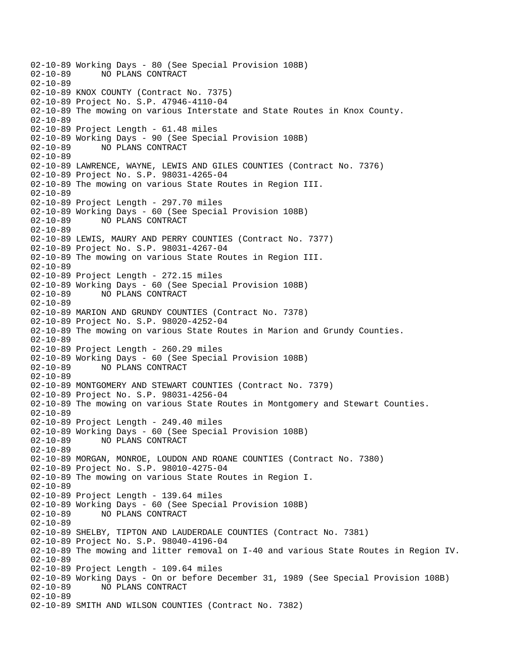02-10-89 Working Days - 80 (See Special Provision 108B)<br>02-10-89 NO PLANS CONTRACT 02-10-89 NO PLANS CONTRACT  $02 - 10 - 89$ 02-10-89 KNOX COUNTY (Contract No. 7375) 02-10-89 Project No. S.P. 47946-4110-04 02-10-89 The mowing on various Interstate and State Routes in Knox County. 02-10-89 02-10-89 Project Length - 61.48 miles 02-10-89 Working Days - 90 (See Special Provision 108B) 02-10-89 NO PLANS CONTRACT 02-10-89 02-10-89 LAWRENCE, WAYNE, LEWIS AND GILES COUNTIES (Contract No. 7376) 02-10-89 Project No. S.P. 98031-4265-04 02-10-89 The mowing on various State Routes in Region III. 02-10-89 02-10-89 Project Length - 297.70 miles 02-10-89 Working Days - 60 (See Special Provision 108B) 02-10-89 NO PLANS CONTRACT 02-10-89 02-10-89 LEWIS, MAURY AND PERRY COUNTIES (Contract No. 7377) 02-10-89 Project No. S.P. 98031-4267-04 02-10-89 The mowing on various State Routes in Region III. 02-10-89 02-10-89 Project Length - 272.15 miles 02-10-89 Working Days - 60 (See Special Provision 108B) 02-10-89 NO PLANS CONTRACT 02-10-89 02-10-89 MARION AND GRUNDY COUNTIES (Contract No. 7378) 02-10-89 Project No. S.P. 98020-4252-04 02-10-89 The mowing on various State Routes in Marion and Grundy Counties. 02-10-89 02-10-89 Project Length - 260.29 miles 02-10-89 Working Days - 60 (See Special Provision 108B) 02-10-89 NO PLANS CONTRACT 02-10-89 02-10-89 MONTGOMERY AND STEWART COUNTIES (Contract No. 7379) 02-10-89 Project No. S.P. 98031-4256-04 02-10-89 The mowing on various State Routes in Montgomery and Stewart Counties. 02-10-89 02-10-89 Project Length - 249.40 miles 02-10-89 Working Days - 60 (See Special Provision 108B) 02-10-89 NO PLANS CONTRACT 02-10-89 02-10-89 MORGAN, MONROE, LOUDON AND ROANE COUNTIES (Contract No. 7380) 02-10-89 Project No. S.P. 98010-4275-04 02-10-89 The mowing on various State Routes in Region I. 02-10-89 02-10-89 Project Length - 139.64 miles 02-10-89 Working Days - 60 (See Special Provision 108B) 02-10-89 NO PLANS CONTRACT 02-10-89 02-10-89 SHELBY, TIPTON AND LAUDERDALE COUNTIES (Contract No. 7381) 02-10-89 Project No. S.P. 98040-4196-04 02-10-89 The mowing and litter removal on I-40 and various State Routes in Region IV. 02-10-89 02-10-89 Project Length - 109.64 miles 02-10-89 Working Days - On or before December 31, 1989 (See Special Provision 108B)<br>02-10-89 NO PLANS CONTRACT 02-10-89 NO PLANS CONTRACT 02-10-89 02-10-89 SMITH AND WILSON COUNTIES (Contract No. 7382)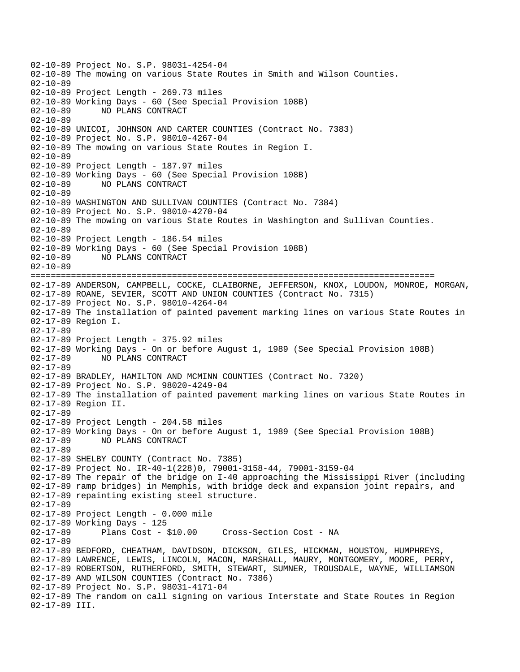02-10-89 Project No. S.P. 98031-4254-04 02-10-89 The mowing on various State Routes in Smith and Wilson Counties. 02-10-89 02-10-89 Project Length - 269.73 miles 02-10-89 Working Days - 60 (See Special Provision 108B) 02-10-89 NO PLANS CONTRACT 02-10-89 02-10-89 UNICOI, JOHNSON AND CARTER COUNTIES (Contract No. 7383) 02-10-89 Project No. S.P. 98010-4267-04 02-10-89 The mowing on various State Routes in Region I. 02-10-89 02-10-89 Project Length - 187.97 miles 02-10-89 Working Days - 60 (See Special Provision 108B) 02-10-89 NO PLANS CONTRACT 02-10-89 02-10-89 WASHINGTON AND SULLIVAN COUNTIES (Contract No. 7384) 02-10-89 Project No. S.P. 98010-4270-04 02-10-89 The mowing on various State Routes in Washington and Sullivan Counties. 02-10-89 02-10-89 Project Length - 186.54 miles 02-10-89 Working Days - 60 (See Special Provision 108B) 02-10-89 NO PLANS CONTRACT 02-10-89 ================================================================================ 02-17-89 ANDERSON, CAMPBELL, COCKE, CLAIBORNE, JEFFERSON, KNOX, LOUDON, MONROE, MORGAN, 02-17-89 ROANE, SEVIER, SCOTT AND UNION COUNTIES (Contract No. 7315) 02-17-89 Project No. S.P. 98010-4264-04 02-17-89 The installation of painted pavement marking lines on various State Routes in 02-17-89 Region I. 02-17-89 02-17-89 Project Length - 375.92 miles 02-17-89 Working Days - On or before August 1, 1989 (See Special Provision 108B)<br>02-17-89 MO PLANS CONTRACT 02-17-89 NO PLANS CONTRACT 02-17-89 02-17-89 BRADLEY, HAMILTON AND MCMINN COUNTIES (Contract No. 7320) 02-17-89 Project No. S.P. 98020-4249-04 02-17-89 The installation of painted pavement marking lines on various State Routes in 02-17-89 Region II. 02-17-89 02-17-89 Project Length - 204.58 miles 02-17-89 Working Days - On or before August 1, 1989 (See Special Provision 108B) 02-17-89 NO PLANS CONTRACT 02-17-89 02-17-89 SHELBY COUNTY (Contract No. 7385) 02-17-89 Project No. IR-40-1(228)0, 79001-3158-44, 79001-3159-04 02-17-89 The repair of the bridge on I-40 approaching the Mississippi River (including 02-17-89 ramp bridges) in Memphis, with bridge deck and expansion joint repairs, and 02-17-89 repainting existing steel structure. 02-17-89 02-17-89 Project Length - 0.000 mile 02-17-89 Working Days - 125 02-17-89 Plans Cost - \$10.00 Cross-Section Cost - NA 02-17-89 02-17-89 BEDFORD, CHEATHAM, DAVIDSON, DICKSON, GILES, HICKMAN, HOUSTON, HUMPHREYS, 02-17-89 LAWRENCE, LEWIS, LINCOLN, MACON, MARSHALL, MAURY, MONTGOMERY, MOORE, PERRY, 02-17-89 ROBERTSON, RUTHERFORD, SMITH, STEWART, SUMNER, TROUSDALE, WAYNE, WILLIAMSON 02-17-89 AND WILSON COUNTIES (Contract No. 7386) 02-17-89 Project No. S.P. 98031-4171-04 02-17-89 The random on call signing on various Interstate and State Routes in Region 02-17-89 III.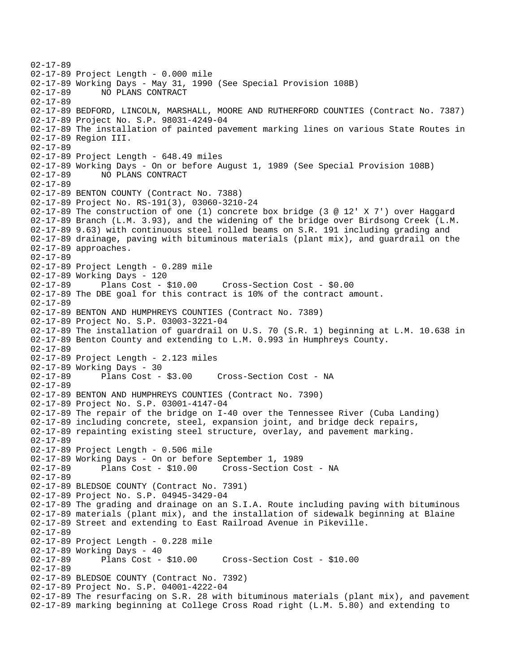02-17-89 02-17-89 Project Length - 0.000 mile 02-17-89 Working Days - May 31, 1990 (See Special Provision 108B) 02-17-89 NO PLANS CONTRACT 02-17-89 02-17-89 BEDFORD, LINCOLN, MARSHALL, MOORE AND RUTHERFORD COUNTIES (Contract No. 7387) 02-17-89 Project No. S.P. 98031-4249-04 02-17-89 The installation of painted pavement marking lines on various State Routes in 02-17-89 Region III. 02-17-89 02-17-89 Project Length - 648.49 miles 02-17-89 Working Days - On or before August 1, 1989 (See Special Provision 108B) 02-17-89 NO PLANS CONTRACT 02-17-89 02-17-89 BENTON COUNTY (Contract No. 7388) 02-17-89 Project No. RS-191(3), 03060-3210-24 02-17-89 The construction of one (1) concrete box bridge (3 @ 12' X 7') over Haggard 02-17-89 Branch (L.M. 3.93), and the widening of the bridge over Birdsong Creek (L.M. 02-17-89 9.63) with continuous steel rolled beams on S.R. 191 including grading and 02-17-89 drainage, paving with bituminous materials (plant mix), and guardrail on the 02-17-89 approaches. 02-17-89 02-17-89 Project Length - 0.289 mile 02-17-89 Working Days - 120 02-17-89 Plans Cost - \$10.00 Cross-Section Cost - \$0.00 02-17-89 The DBE goal for this contract is 10% of the contract amount. 02-17-89 02-17-89 BENTON AND HUMPHREYS COUNTIES (Contract No. 7389) 02-17-89 Project No. S.P. 03003-3221-04 02-17-89 The installation of guardrail on U.S. 70 (S.R. 1) beginning at L.M. 10.638 in 02-17-89 Benton County and extending to L.M. 0.993 in Humphreys County. 02-17-89 02-17-89 Project Length - 2.123 miles 02-17-89 Working Days - 30<br>02-17-89 Plans Cost -Plans Cost - \$3.00 Cross-Section Cost - NA 02-17-89 02-17-89 BENTON AND HUMPHREYS COUNTIES (Contract No. 7390) 02-17-89 Project No. S.P. 03001-4147-04 02-17-89 The repair of the bridge on I-40 over the Tennessee River (Cuba Landing) 02-17-89 including concrete, steel, expansion joint, and bridge deck repairs, 02-17-89 repainting existing steel structure, overlay, and pavement marking. 02-17-89 02-17-89 Project Length - 0.506 mile 02-17-89 Working Days - On or before September 1, 1989 Cross-Section Cost - NA 02-17-89 02-17-89 BLEDSOE COUNTY (Contract No. 7391) 02-17-89 Project No. S.P. 04945-3429-04 02-17-89 The grading and drainage on an S.I.A. Route including paving with bituminous 02-17-89 materials (plant mix), and the installation of sidewalk beginning at Blaine 02-17-89 Street and extending to East Railroad Avenue in Pikeville. 02-17-89 02-17-89 Project Length - 0.228 mile 02-17-89 Working Days - 40 02-17-89 Plans Cost - \$10.00 Cross-Section Cost - \$10.00 02-17-89 02-17-89 BLEDSOE COUNTY (Contract No. 7392) 02-17-89 Project No. S.P. 04001-4222-04 02-17-89 The resurfacing on S.R. 28 with bituminous materials (plant mix), and pavement 02-17-89 marking beginning at College Cross Road right (L.M. 5.80) and extending to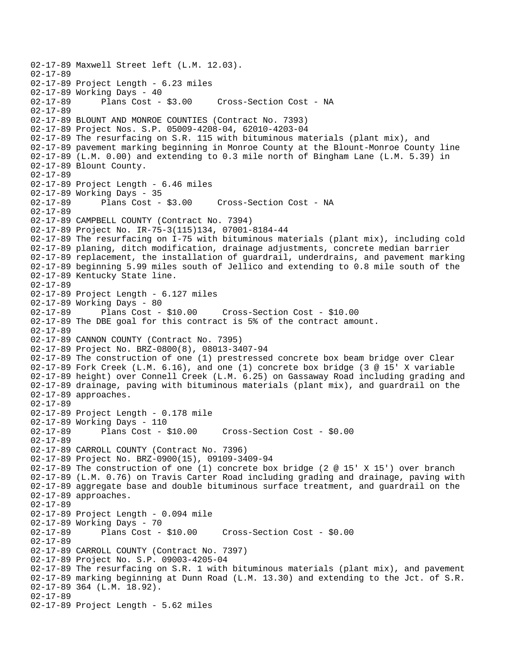02-17-89 Maxwell Street left (L.M. 12.03). 02-17-89 02-17-89 Project Length - 6.23 miles 02-17-89 Working Days - 40<br>02-17-89 Plans Cost - \$3.00 Cross-Section Cost - NA 02-17-89 02-17-89 BLOUNT AND MONROE COUNTIES (Contract No. 7393) 02-17-89 Project Nos. S.P. 05009-4208-04, 62010-4203-04 02-17-89 The resurfacing on S.R. 115 with bituminous materials (plant mix), and 02-17-89 pavement marking beginning in Monroe County at the Blount-Monroe County line 02-17-89 (L.M. 0.00) and extending to 0.3 mile north of Bingham Lane (L.M. 5.39) in 02-17-89 Blount County. 02-17-89 02-17-89 Project Length - 6.46 miles 02-17-89 Working Days - 35 02-17-89 Plans Cost - \$3.00 Cross-Section Cost - NA 02-17-89 02-17-89 CAMPBELL COUNTY (Contract No. 7394) 02-17-89 Project No. IR-75-3(115)134, 07001-8184-44 02-17-89 The resurfacing on I-75 with bituminous materials (plant mix), including cold 02-17-89 planing, ditch modification, drainage adjustments, concrete median barrier 02-17-89 replacement, the installation of guardrail, underdrains, and pavement marking 02-17-89 beginning 5.99 miles south of Jellico and extending to 0.8 mile south of the 02-17-89 Kentucky State line. 02-17-89 02-17-89 Project Length - 6.127 miles 02-17-89 Working Days - 80<br>02-17-89 Plans Cost - \$10.00 02-17-89 Plans Cost - \$10.00 Cross-Section Cost - \$10.00 02-17-89 The DBE goal for this contract is 5% of the contract amount. 02-17-89 02-17-89 CANNON COUNTY (Contract No. 7395) 02-17-89 Project No. BRZ-0800(8), 08013-3407-94 02-17-89 The construction of one (1) prestressed concrete box beam bridge over Clear 02-17-89 Fork Creek (L.M. 6.16), and one (1) concrete box bridge (3 @ 15' X variable 02-17-89 height) over Connell Creek (L.M. 6.25) on Gassaway Road including grading and 02-17-89 drainage, paving with bituminous materials (plant mix), and guardrail on the 02-17-89 approaches. 02-17-89 02-17-89 Project Length - 0.178 mile 02-17-89 Working Days - 110 02-17-89 Plans Cost - \$10.00 Cross-Section Cost - \$0.00 02-17-89 02-17-89 CARROLL COUNTY (Contract No. 7396) 02-17-89 Project No. BRZ-0900(15), 09109-3409-94 02-17-89 The construction of one (1) concrete box bridge (2 @ 15' X 15') over branch 02-17-89 (L.M. 0.76) on Travis Carter Road including grading and drainage, paving with 02-17-89 aggregate base and double bituminous surface treatment, and guardrail on the 02-17-89 approaches. 02-17-89 02-17-89 Project Length - 0.094 mile 02-17-89 Working Days - 70 02-17-89 Plans Cost - \$10.00 Cross-Section Cost - \$0.00 02-17-89 02-17-89 CARROLL COUNTY (Contract No. 7397) 02-17-89 Project No. S.P. 09003-4205-04 02-17-89 The resurfacing on S.R. 1 with bituminous materials (plant mix), and pavement 02-17-89 marking beginning at Dunn Road (L.M. 13.30) and extending to the Jct. of S.R. 02-17-89 364 (L.M. 18.92). 02-17-89 02-17-89 Project Length - 5.62 miles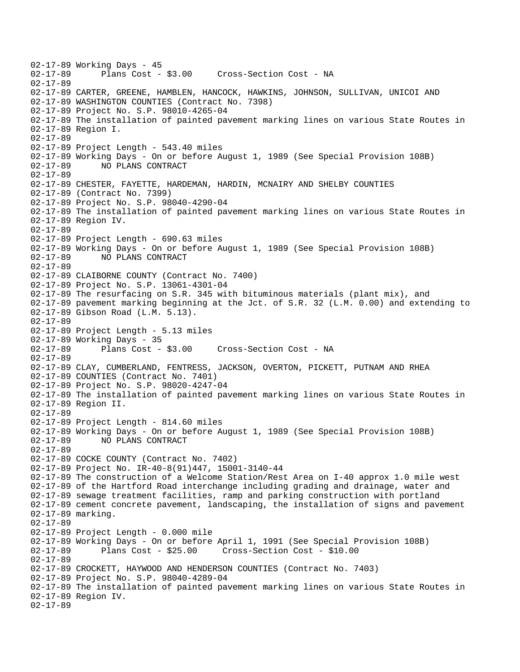02-17-89 Working Days - 45<br>02-17-89 Plans Cost -Plans Cost - \$3.00 Cross-Section Cost - NA 02-17-89 02-17-89 CARTER, GREENE, HAMBLEN, HANCOCK, HAWKINS, JOHNSON, SULLIVAN, UNICOI AND 02-17-89 WASHINGTON COUNTIES (Contract No. 7398) 02-17-89 Project No. S.P. 98010-4265-04 02-17-89 The installation of painted pavement marking lines on various State Routes in 02-17-89 Region I. 02-17-89 02-17-89 Project Length - 543.40 miles 02-17-89 Working Days - On or before August 1, 1989 (See Special Provision 108B) 02-17-89 NO PLANS CONTRACT 02-17-89 02-17-89 CHESTER, FAYETTE, HARDEMAN, HARDIN, MCNAIRY AND SHELBY COUNTIES 02-17-89 (Contract No. 7399) 02-17-89 Project No. S.P. 98040-4290-04 02-17-89 The installation of painted pavement marking lines on various State Routes in 02-17-89 Region IV. 02-17-89 02-17-89 Project Length - 690.63 miles 02-17-89 Working Days - On or before August 1, 1989 (See Special Provision 108B) 02-17-89 NO PLANS CONTRACT 02-17-89 02-17-89 CLAIBORNE COUNTY (Contract No. 7400) 02-17-89 Project No. S.P. 13061-4301-04 02-17-89 The resurfacing on S.R. 345 with bituminous materials (plant mix), and 02-17-89 pavement marking beginning at the Jct. of S.R. 32 (L.M. 0.00) and extending to 02-17-89 Gibson Road (L.M. 5.13). 02-17-89 02-17-89 Project Length - 5.13 miles 02-17-89 Working Days - 35 02-17-89 Plans Cost - \$3.00 Cross-Section Cost - NA 02-17-89 02-17-89 CLAY, CUMBERLAND, FENTRESS, JACKSON, OVERTON, PICKETT, PUTNAM AND RHEA 02-17-89 COUNTIES (Contract No. 7401) 02-17-89 Project No. S.P. 98020-4247-04 02-17-89 The installation of painted pavement marking lines on various State Routes in 02-17-89 Region II. 02-17-89 02-17-89 Project Length - 814.60 miles 02-17-89 Working Days - On or before August 1, 1989 (See Special Provision 108B) 02-17-89 NO PLANS CONTRACT 02-17-89 02-17-89 COCKE COUNTY (Contract No. 7402) 02-17-89 Project No. IR-40-8(91)447, 15001-3140-44 02-17-89 The construction of a Welcome Station/Rest Area on I-40 approx 1.0 mile west 02-17-89 of the Hartford Road interchange including grading and drainage, water and 02-17-89 sewage treatment facilities, ramp and parking construction with portland 02-17-89 cement concrete pavement, landscaping, the installation of signs and pavement 02-17-89 marking. 02-17-89 02-17-89 Project Length - 0.000 mile 02-17-89 Working Days - On or before April 1, 1991 (See Special Provision 108B) 02-17-89 Plans Cost - \$25.00 Cross-Section Cost - \$10.00 02-17-89 02-17-89 CROCKETT, HAYWOOD AND HENDERSON COUNTIES (Contract No. 7403) 02-17-89 Project No. S.P. 98040-4289-04 02-17-89 The installation of painted pavement marking lines on various State Routes in 02-17-89 Region IV. 02-17-89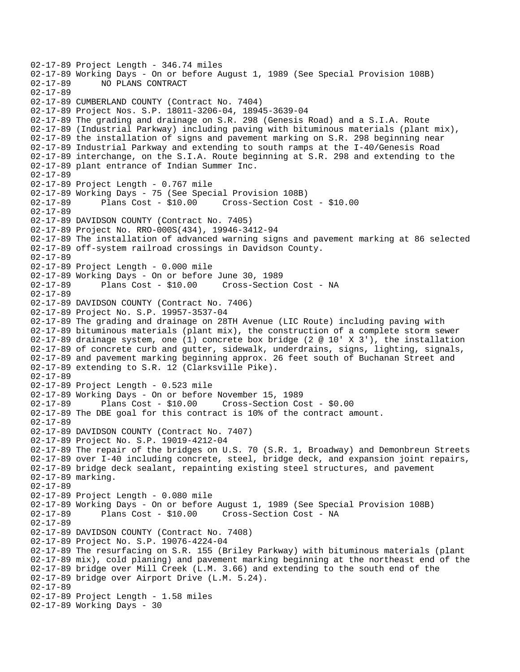02-17-89 Project Length - 346.74 miles 02-17-89 Working Days - On or before August 1, 1989 (See Special Provision 108B)<br>02-17-89 NO PLANS CONTRACT 02-17-89 NO PLANS CONTRACT 02-17-89 02-17-89 CUMBERLAND COUNTY (Contract No. 7404) 02-17-89 Project Nos. S.P. 18011-3206-04, 18945-3639-04 02-17-89 The grading and drainage on S.R. 298 (Genesis Road) and a S.I.A. Route 02-17-89 (Industrial Parkway) including paving with bituminous materials (plant mix), 02-17-89 the installation of signs and pavement marking on S.R. 298 beginning near 02-17-89 Industrial Parkway and extending to south ramps at the I-40/Genesis Road 02-17-89 interchange, on the S.I.A. Route beginning at S.R. 298 and extending to the 02-17-89 plant entrance of Indian Summer Inc. 02-17-89 02-17-89 Project Length - 0.767 mile 02-17-89 Working Days - 75 (See Special Provision 108B) 02-17-89 Plans Cost - \$10.00 Cross-Section Cost - \$10.00 02-17-89 02-17-89 DAVIDSON COUNTY (Contract No. 7405) 02-17-89 Project No. RRO-000S(434), 19946-3412-94 02-17-89 The installation of advanced warning signs and pavement marking at 86 selected 02-17-89 off-system railroad crossings in Davidson County. 02-17-89 02-17-89 Project Length - 0.000 mile 02-17-89 Working Days - On or before June 30, 1989 Cross-Section Cost - NA 02-17-89 02-17-89 DAVIDSON COUNTY (Contract No. 7406) 02-17-89 Project No. S.P. 19957-3537-04 02-17-89 The grading and drainage on 28TH Avenue (LIC Route) including paving with 02-17-89 bituminous materials (plant mix), the construction of a complete storm sewer 02-17-89 drainage system, one (1) concrete box bridge (2  $@$  10' X 3'), the installation 02-17-89 of concrete curb and gutter, sidewalk, underdrains, signs, lighting, signals, 02-17-89 and pavement marking beginning approx. 26 feet south of Buchanan Street and 02-17-89 extending to S.R. 12 (Clarksville Pike). 02-17-89 02-17-89 Project Length - 0.523 mile 02-17-89 Working Days - On or before November 15, 1989 02-17-89 Plans Cost - \$10.00 Cross-Section Cost - \$0.00 02-17-89 The DBE goal for this contract is 10% of the contract amount. 02-17-89 02-17-89 DAVIDSON COUNTY (Contract No. 7407) 02-17-89 Project No. S.P. 19019-4212-04 02-17-89 The repair of the bridges on U.S. 70 (S.R. 1, Broadway) and Demonbreun Streets 02-17-89 over I-40 including concrete, steel, bridge deck, and expansion joint repairs, 02-17-89 bridge deck sealant, repainting existing steel structures, and pavement 02-17-89 marking. 02-17-89 02-17-89 Project Length - 0.080 mile 02-17-89 Working Days - On or before August 1, 1989 (See Special Provision 108B) 02-17-89 Plans Cost - \$10.00 Cross-Section Cost - NA 02-17-89 02-17-89 DAVIDSON COUNTY (Contract No. 7408) 02-17-89 Project No. S.P. 19076-4224-04 02-17-89 The resurfacing on S.R. 155 (Briley Parkway) with bituminous materials (plant 02-17-89 mix), cold planing) and pavement marking beginning at the northeast end of the 02-17-89 bridge over Mill Creek (L.M. 3.66) and extending to the south end of the 02-17-89 bridge over Airport Drive (L.M. 5.24). 02-17-89 02-17-89 Project Length - 1.58 miles 02-17-89 Working Days - 30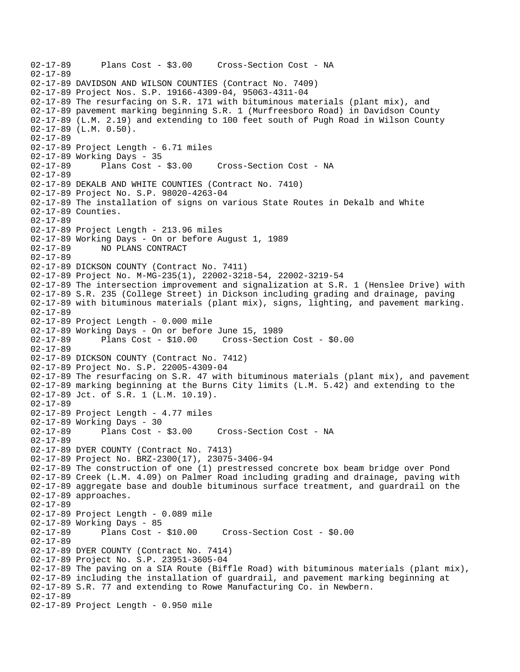```
02-17-89 Plans Cost - $3.00 Cross-Section Cost - NA 
02-17-89 
02-17-89 DAVIDSON AND WILSON COUNTIES (Contract No. 7409) 
02-17-89 Project Nos. S.P. 19166-4309-04, 95063-4311-04 
02-17-89 The resurfacing on S.R. 171 with bituminous materials (plant mix), and 
02-17-89 pavement marking beginning S.R. 1 (Murfreesboro Road) in Davidson County 
02-17-89 (L.M. 2.19) and extending to 100 feet south of Pugh Road in Wilson County 
02-17-89 (L.M. 0.50). 
02-17-89 
02-17-89 Project Length - 6.71 miles 
02-17-89 Working Days - 35 
02-17-89 Plans Cost - $3.00 Cross-Section Cost - NA 
02-17-89 
02-17-89 DEKALB AND WHITE COUNTIES (Contract No. 7410) 
02-17-89 Project No. S.P. 98020-4263-04 
02-17-89 The installation of signs on various State Routes in Dekalb and White 
02-17-89 Counties. 
02-17-89 
02-17-89 Project Length - 213.96 miles 
02-17-89 Working Days - On or before August 1, 1989 
02-17-89 NO PLANS CONTRACT 
02-17-89 
02-17-89 DICKSON COUNTY (Contract No. 7411) 
02-17-89 Project No. M-MG-235(1), 22002-3218-54, 22002-3219-54 
02-17-89 The intersection improvement and signalization at S.R. 1 (Henslee Drive) with 
02-17-89 S.R. 235 (College Street) in Dickson including grading and drainage, paving 
02-17-89 with bituminous materials (plant mix), signs, lighting, and pavement marking. 
02-17-89 
02-17-89 Project Length - 0.000 mile 
02-17-89 Working Days - On or before June 15, 1989 
02-17-89 Plans Cost - $10.00 Cross-Section Cost - $0.00 
02-17-89 
02-17-89 DICKSON COUNTY (Contract No. 7412) 
02-17-89 Project No. S.P. 22005-4309-04 
02-17-89 The resurfacing on S.R. 47 with bituminous materials (plant mix), and pavement 
02-17-89 marking beginning at the Burns City limits (L.M. 5.42) and extending to the 
02-17-89 Jct. of S.R. 1 (L.M. 10.19). 
02-17-89 
02-17-89 Project Length - 4.77 miles
02-17-89 Working Days - 30 
02-17-89 Plans Cost - $3.00 Cross-Section Cost - NA 
02-17-89 
02-17-89 DYER COUNTY (Contract No. 7413) 
02-17-89 Project No. BRZ-2300(17), 23075-3406-94 
02-17-89 The construction of one (1) prestressed concrete box beam bridge over Pond 
02-17-89 Creek (L.M. 4.09) on Palmer Road including grading and drainage, paving with 
02-17-89 aggregate base and double bituminous surface treatment, and guardrail on the 
02-17-89 approaches. 
02-17-89 
02-17-89 Project Length - 0.089 mile 
02-17-89 Working Days - 85 
02-17-89 Plans Cost - $10.00 Cross-Section Cost - $0.00 
02-17-89 
02-17-89 DYER COUNTY (Contract No. 7414) 
02-17-89 Project No. S.P. 23951-3605-04 
02-17-89 The paving on a SIA Route (Biffle Road) with bituminous materials (plant mix), 
02-17-89 including the installation of guardrail, and pavement marking beginning at 
02-17-89 S.R. 77 and extending to Rowe Manufacturing Co. in Newbern. 
02-17-89 
02-17-89 Project Length - 0.950 mile
```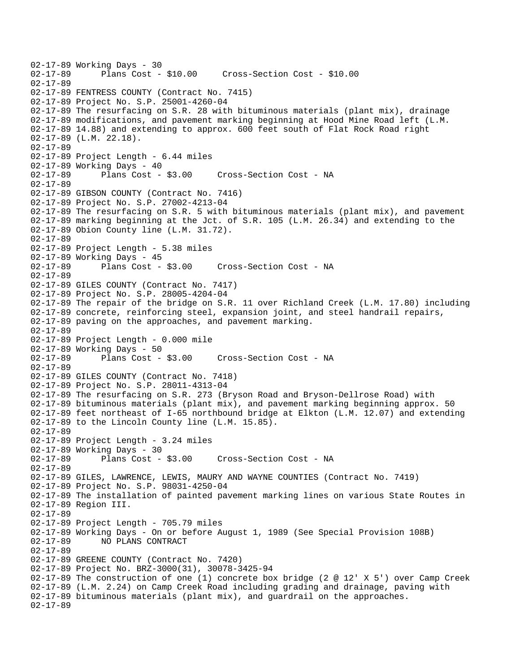02-17-89 Working Days - 30<br>02-17-89 Plans Cost -Plans Cost - \$10.00 Cross-Section Cost - \$10.00 02-17-89 02-17-89 FENTRESS COUNTY (Contract No. 7415) 02-17-89 Project No. S.P. 25001-4260-04 02-17-89 The resurfacing on S.R. 28 with bituminous materials (plant mix), drainage 02-17-89 modifications, and pavement marking beginning at Hood Mine Road left (L.M. 02-17-89 14.88) and extending to approx. 600 feet south of Flat Rock Road right 02-17-89 (L.M. 22.18). 02-17-89 02-17-89 Project Length - 6.44 miles 02-17-89 Working Days - 40<br>02-17-89 Plans Cost - \$3.00 02-17-89 Plans Cost - \$3.00 Cross-Section Cost - NA 02-17-89 02-17-89 GIBSON COUNTY (Contract No. 7416) 02-17-89 Project No. S.P. 27002-4213-04 02-17-89 The resurfacing on S.R. 5 with bituminous materials (plant mix), and pavement 02-17-89 marking beginning at the Jct. of S.R. 105 (L.M. 26.34) and extending to the 02-17-89 Obion County line (L.M. 31.72). 02-17-89 02-17-89 Project Length - 5.38 miles 02-17-89 Working Days - 45<br>02-17-89 Plans Cost - \$3.00 Cross-Section Cost - NA 02-17-89 02-17-89 GILES COUNTY (Contract No. 7417) 02-17-89 Project No. S.P. 28005-4204-04 02-17-89 The repair of the bridge on S.R. 11 over Richland Creek (L.M. 17.80) including 02-17-89 concrete, reinforcing steel, expansion joint, and steel handrail repairs, 02-17-89 paving on the approaches, and pavement marking. 02-17-89 02-17-89 Project Length - 0.000 mile 02-17-89 Working Days - 50<br>02-17-89 Plans Cost - \$3.00 Cross-Section Cost - NA 02-17-89 02-17-89 GILES COUNTY (Contract No. 7418) 02-17-89 Project No. S.P. 28011-4313-04 02-17-89 The resurfacing on S.R. 273 (Bryson Road and Bryson-Dellrose Road) with 02-17-89 bituminous materials (plant mix), and pavement marking beginning approx. 50 02-17-89 feet northeast of I-65 northbound bridge at Elkton (L.M. 12.07) and extending 02-17-89 to the Lincoln County line (L.M. 15.85). 02-17-89 02-17-89 Project Length - 3.24 miles 02-17-89 Working Days - 30 02-17-89 Plans Cost - \$3.00 Cross-Section Cost - NA 02-17-89 02-17-89 GILES, LAWRENCE, LEWIS, MAURY AND WAYNE COUNTIES (Contract No. 7419) 02-17-89 Project No. S.P. 98031-4250-04 02-17-89 The installation of painted pavement marking lines on various State Routes in 02-17-89 Region III. 02-17-89 02-17-89 Project Length - 705.79 miles 02-17-89 Working Days - On or before August 1, 1989 (See Special Provision 108B) 02-17-89 NO PLANS CONTRACT 02-17-89 02-17-89 GREENE COUNTY (Contract No. 7420) 02-17-89 Project No. BRZ-3000(31), 30078-3425-94 02-17-89 The construction of one (1) concrete box bridge (2 @ 12' X 5') over Camp Creek 02-17-89 (L.M. 2.24) on Camp Creek Road including grading and drainage, paving with 02-17-89 bituminous materials (plant mix), and guardrail on the approaches. 02-17-89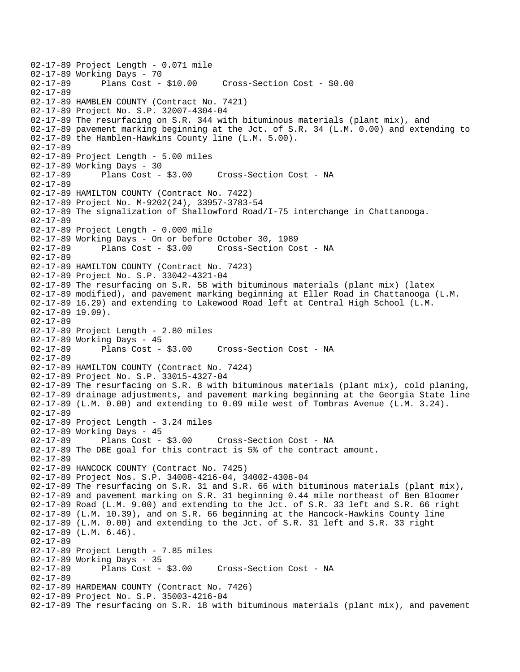```
02-17-89 Project Length - 0.071 mile 
02-17-89 Working Days - 70<br>02-17-89 Plans Cost - $10.00
                                       02-17-89 Plans Cost - $10.00 Cross-Section Cost - $0.00 
02-17-89 
02-17-89 HAMBLEN COUNTY (Contract No. 7421) 
02-17-89 Project No. S.P. 32007-4304-04 
02-17-89 The resurfacing on S.R. 344 with bituminous materials (plant mix), and 
02-17-89 pavement marking beginning at the Jct. of S.R. 34 (L.M. 0.00) and extending to 
02-17-89 the Hamblen-Hawkins County line (L.M. 5.00). 
02-17-89 
02-17-89 Project Length - 5.00 miles 
02-17-89 Working Days - 30 
02-17-89 Plans Cost - $3.00 Cross-Section Cost - NA 
02-17-89 
02-17-89 HAMILTON COUNTY (Contract No. 7422) 
02-17-89 Project No. M-9202(24), 33957-3783-54 
02-17-89 The signalization of Shallowford Road/I-75 interchange in Chattanooga. 
02-17-89 
02-17-89 Project Length - 0.000 mile 
02-17-89 Working Days - On or before October 30, 1989 
02-17-89 Plans Cost - $3.00 Cross-Section Cost - NA 
02-17-89 
02-17-89 HAMILTON COUNTY (Contract No. 7423) 
02-17-89 Project No. S.P. 33042-4321-04 
02-17-89 The resurfacing on S.R. 58 with bituminous materials (plant mix) (latex 
02-17-89 modified), and pavement marking beginning at Eller Road in Chattanooga (L.M. 
02-17-89 16.29) and extending to Lakewood Road left at Central High School (L.M. 
02-17-89 19.09). 
02-17-89 
02-17-89 Project Length - 2.80 miles 
02-17-89 Working Days - 45 
02-17-89 Plans Cost - $3.00 Cross-Section Cost - NA 
02-17-89 
02-17-89 HAMILTON COUNTY (Contract No. 7424) 
02-17-89 Project No. S.P. 33015-4327-04 
02-17-89 The resurfacing on S.R. 8 with bituminous materials (plant mix), cold planing, 
02-17-89 drainage adjustments, and pavement marking beginning at the Georgia State line 
02-17-89 (L.M. 0.00) and extending to 0.09 mile west of Tombras Avenue (L.M. 3.24). 
02-17-89 
02-17-89 Project Length - 3.24 miles 
02-17-89 Working Days - 45 
02-17-89 Plans Cost - $3.00 Cross-Section Cost - NA 
02-17-89 The DBE goal for this contract is 5% of the contract amount. 
02-17-89 
02-17-89 HANCOCK COUNTY (Contract No. 7425) 
02-17-89 Project Nos. S.P. 34008-4216-04, 34002-4308-04 
02-17-89 The resurfacing on S.R. 31 and S.R. 66 with bituminous materials (plant mix), 
02-17-89 and pavement marking on S.R. 31 beginning 0.44 mile northeast of Ben Bloomer 
02-17-89 Road (L.M. 9.00) and extending to the Jct. of S.R. 33 left and S.R. 66 right 
02-17-89 (L.M. 10.39), and on S.R. 66 beginning at the Hancock-Hawkins County line 
02-17-89 (L.M. 0.00) and extending to the Jct. of S.R. 31 left and S.R. 33 right 
02-17-89 (L.M. 6.46). 
02-17-89 
02-17-89 Project Length - 7.85 miles 
02-17-89 Working Days - 35<br>02-17-89 Plans Cost - $3.00
02-17-89 Plans Cost - $3.00 Cross-Section Cost - NA 
02-17-89 
02-17-89 HARDEMAN COUNTY (Contract No. 7426) 
02-17-89 Project No. S.P. 35003-4216-04 
02-17-89 The resurfacing on S.R. 18 with bituminous materials (plant mix), and pavement
```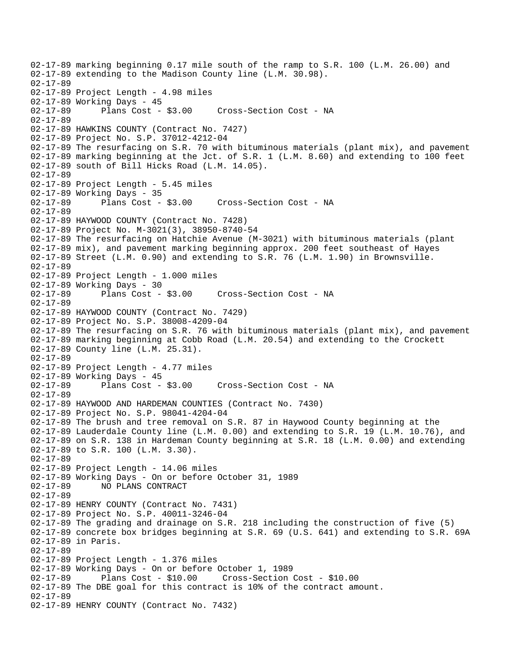02-17-89 marking beginning 0.17 mile south of the ramp to S.R. 100 (L.M. 26.00) and 02-17-89 extending to the Madison County line (L.M. 30.98). 02-17-89 02-17-89 Project Length - 4.98 miles 02-17-89 Working Days - 45 02-17-89 Plans Cost - \$3.00 Cross-Section Cost - NA 02-17-89 02-17-89 HAWKINS COUNTY (Contract No. 7427) 02-17-89 Project No. S.P. 37012-4212-04 02-17-89 The resurfacing on S.R. 70 with bituminous materials (plant mix), and pavement 02-17-89 marking beginning at the Jct. of S.R. 1 (L.M. 8.60) and extending to 100 feet 02-17-89 south of Bill Hicks Road (L.M. 14.05). 02-17-89 02-17-89 Project Length - 5.45 miles 02-17-89 Working Days - 35<br>02-17-89 Plans Cost - \$3.00 02-17-89 Plans Cost - \$3.00 Cross-Section Cost - NA 02-17-89 02-17-89 HAYWOOD COUNTY (Contract No. 7428) 02-17-89 Project No. M-3021(3), 38950-8740-54 02-17-89 The resurfacing on Hatchie Avenue (M-3021) with bituminous materials (plant 02-17-89 mix), and pavement marking beginning approx. 200 feet southeast of Hayes 02-17-89 Street (L.M. 0.90) and extending to S.R. 76 (L.M. 1.90) in Brownsville. 02-17-89 02-17-89 Project Length - 1.000 miles 02-17-89 Working Days - 30<br>02-17-89 Plans Cost - \$3.00 Cross-Section Cost - NA 02-17-89 02-17-89 HAYWOOD COUNTY (Contract No. 7429) 02-17-89 Project No. S.P. 38008-4209-04 02-17-89 The resurfacing on S.R. 76 with bituminous materials (plant mix), and pavement 02-17-89 marking beginning at Cobb Road (L.M. 20.54) and extending to the Crockett 02-17-89 County line (L.M. 25.31). 02-17-89 02-17-89 Project Length - 4.77 miles 02-17-89 Working Days - 45 02-17-89 Plans Cost - \$3.00 Cross-Section Cost - NA 02-17-89 02-17-89 HAYWOOD AND HARDEMAN COUNTIES (Contract No. 7430) 02-17-89 Project No. S.P. 98041-4204-04 02-17-89 The brush and tree removal on S.R. 87 in Haywood County beginning at the 02-17-89 Lauderdale County line (L.M. 0.00) and extending to S.R. 19 (L.M. 10.76), and 02-17-89 on S.R. 138 in Hardeman County beginning at S.R. 18 (L.M. 0.00) and extending 02-17-89 to S.R. 100 (L.M. 3.30). 02-17-89 02-17-89 Project Length - 14.06 miles 02-17-89 Working Days - On or before October 31, 1989 02-17-89 NO PLANS CONTRACT 02-17-89 02-17-89 HENRY COUNTY (Contract No. 7431) 02-17-89 Project No. S.P. 40011-3246-04 02-17-89 The grading and drainage on S.R. 218 including the construction of five (5) 02-17-89 concrete box bridges beginning at S.R. 69 (U.S. 641) and extending to S.R. 69A 02-17-89 in Paris. 02-17-89 02-17-89 Project Length - 1.376 miles 02-17-89 Working Days - On or before October 1, 1989 02-17-89 Plans Cost - \$10.00 Cross-Section Cost - \$10.00 02-17-89 The DBE goal for this contract is 10% of the contract amount. 02-17-89 02-17-89 HENRY COUNTY (Contract No. 7432)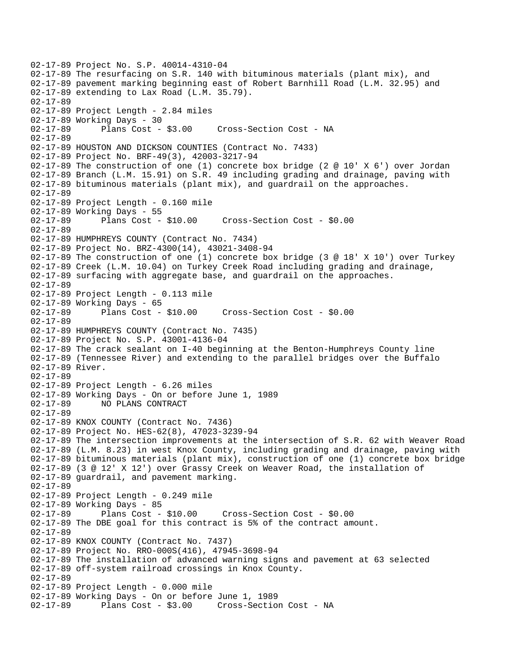02-17-89 Project No. S.P. 40014-4310-04 02-17-89 The resurfacing on S.R. 140 with bituminous materials (plant mix), and 02-17-89 pavement marking beginning east of Robert Barnhill Road (L.M. 32.95) and 02-17-89 extending to Lax Road (L.M. 35.79). 02-17-89 02-17-89 Project Length - 2.84 miles 02-17-89 Working Days - 30 02-17-89 Plans Cost - \$3.00 Cross-Section Cost - NA 02-17-89 02-17-89 HOUSTON AND DICKSON COUNTIES (Contract No. 7433) 02-17-89 Project No. BRF-49(3), 42003-3217-94 02-17-89 The construction of one (1) concrete box bridge (2 @ 10' X 6') over Jordan 02-17-89 Branch (L.M. 15.91) on S.R. 49 including grading and drainage, paving with 02-17-89 bituminous materials (plant mix), and guardrail on the approaches. 02-17-89 02-17-89 Project Length - 0.160 mile 02-17-89 Working Days - 55 02-17-89 Plans Cost - \$10.00 Cross-Section Cost - \$0.00 02-17-89 02-17-89 HUMPHREYS COUNTY (Contract No. 7434) 02-17-89 Project No. BRZ-4300(14), 43021-3408-94 02-17-89 The construction of one (1) concrete box bridge (3 @ 18' X 10') over Turkey 02-17-89 Creek (L.M. 10.04) on Turkey Creek Road including grading and drainage, 02-17-89 surfacing with aggregate base, and guardrail on the approaches. 02-17-89 02-17-89 Project Length - 0.113 mile 02-17-89 Working Days - 65<br>02-17-89 Plans Cost - \$10.00 Cross-Section Cost - \$0.00 02-17-89 02-17-89 HUMPHREYS COUNTY (Contract No. 7435) 02-17-89 Project No. S.P. 43001-4136-04 02-17-89 The crack sealant on I-40 beginning at the Benton-Humphreys County line 02-17-89 (Tennessee River) and extending to the parallel bridges over the Buffalo 02-17-89 River. 02-17-89 02-17-89 Project Length - 6.26 miles 02-17-89 Working Days - On or before June 1, 1989 02-17-89 NO PLANS CONTRACT 02-17-89 02-17-89 KNOX COUNTY (Contract No. 7436) 02-17-89 Project No. HES-62(8), 47023-3239-94 02-17-89 The intersection improvements at the intersection of S.R. 62 with Weaver Road 02-17-89 (L.M. 8.23) in west Knox County, including grading and drainage, paving with 02-17-89 bituminous materials (plant mix), construction of one (1) concrete box bridge 02-17-89 (3 @ 12' X 12') over Grassy Creek on Weaver Road, the installation of 02-17-89 guardrail, and pavement marking. 02-17-89 02-17-89 Project Length - 0.249 mile 02-17-89 Working Days - 85<br>02-17-89 Plans Cost - \$10.00 02-17-89 Plans Cost - \$10.00 Cross-Section Cost - \$0.00 02-17-89 The DBE goal for this contract is 5% of the contract amount. 02-17-89 02-17-89 KNOX COUNTY (Contract No. 7437) 02-17-89 Project No. RRO-000S(416), 47945-3698-94 02-17-89 The installation of advanced warning signs and pavement at 63 selected 02-17-89 off-system railroad crossings in Knox County. 02-17-89 02-17-89 Project Length - 0.000 mile 02-17-89 Working Days - On or before June 1, 1989 02-17-89 Plans Cost - \$3.00 Cross-Section Cost - NA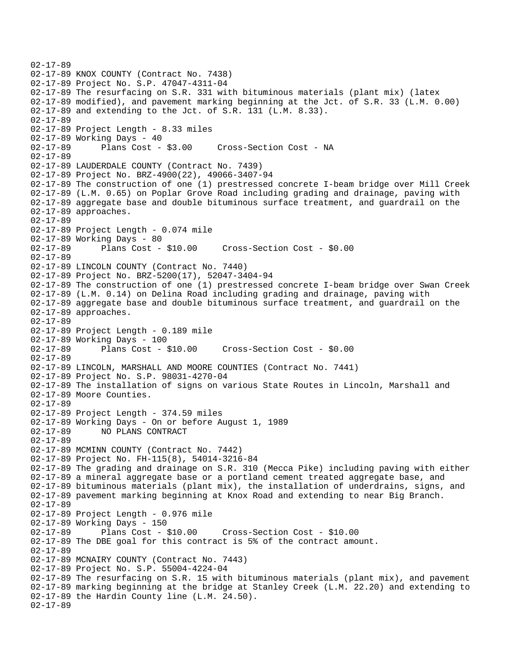```
02-17-89 
02-17-89 KNOX COUNTY (Contract No. 7438) 
02-17-89 Project No. S.P. 47047-4311-04 
02-17-89 The resurfacing on S.R. 331 with bituminous materials (plant mix) (latex 
02-17-89 modified), and pavement marking beginning at the Jct. of S.R. 33 (L.M. 0.00) 
02-17-89 and extending to the Jct. of S.R. 131 (L.M. 8.33). 
02-17-89 
02-17-89 Project Length - 8.33 miles 
02-17-89 Working Days - 40 
02-17-89 Plans Cost - $3.00 Cross-Section Cost - NA 
02-17-89 
02-17-89 LAUDERDALE COUNTY (Contract No. 7439) 
02-17-89 Project No. BRZ-4900(22), 49066-3407-94 
02-17-89 The construction of one (1) prestressed concrete I-beam bridge over Mill Creek 
02-17-89 (L.M. 0.65) on Poplar Grove Road including grading and drainage, paving with 
02-17-89 aggregate base and double bituminous surface treatment, and guardrail on the 
02-17-89 approaches. 
02-17-89 
02-17-89 Project Length - 0.074 mile 
02-17-89 Working Days - 80 
02-17-89 Plans Cost - $10.00 Cross-Section Cost - $0.00 
02-17-89 
02-17-89 LINCOLN COUNTY (Contract No. 7440) 
02-17-89 Project No. BRZ-5200(17), 52047-3404-94 
02-17-89 The construction of one (1) prestressed concrete I-beam bridge over Swan Creek 
02-17-89 (L.M. 0.14) on Delina Road including grading and drainage, paving with 
02-17-89 aggregate base and double bituminous surface treatment, and guardrail on the 
02-17-89 approaches. 
02-17-89 
02-17-89 Project Length - 0.189 mile 
02-17-89 Working Days - 100 
02-17-89 Plans Cost - $10.00 Cross-Section Cost - $0.00 
02-17-89 
02-17-89 LINCOLN, MARSHALL AND MOORE COUNTIES (Contract No. 7441) 
02-17-89 Project No. S.P. 98031-4270-04 
02-17-89 The installation of signs on various State Routes in Lincoln, Marshall and 
02-17-89 Moore Counties. 
02-17-89 
02-17-89 Project Length - 374.59 miles 
02-17-89 Working Days - On or before August 1, 1989 
02-17-89 NO PLANS CONTRACT 
02-17-89 
02-17-89 MCMINN COUNTY (Contract No. 7442) 
02-17-89 Project No. FH-115(8), 54014-3216-84 
02-17-89 The grading and drainage on S.R. 310 (Mecca Pike) including paving with either 
02-17-89 a mineral aggregate base or a portland cement treated aggregate base, and 
02-17-89 bituminous materials (plant mix), the installation of underdrains, signs, and 
02-17-89 pavement marking beginning at Knox Road and extending to near Big Branch. 
02-17-89 
02-17-89 Project Length - 0.976 mile 
02-17-89 Working Days - 150 
02-17-89 Plans Cost - $10.00 Cross-Section Cost - $10.00 
02-17-89 The DBE goal for this contract is 5% of the contract amount. 
02-17-89 
02-17-89 MCNAIRY COUNTY (Contract No. 7443) 
02-17-89 Project No. S.P. 55004-4224-04 
02-17-89 The resurfacing on S.R. 15 with bituminous materials (plant mix), and pavement 
02-17-89 marking beginning at the bridge at Stanley Creek (L.M. 22.20) and extending to 
02-17-89 the Hardin County line (L.M. 24.50). 
02-17-89
```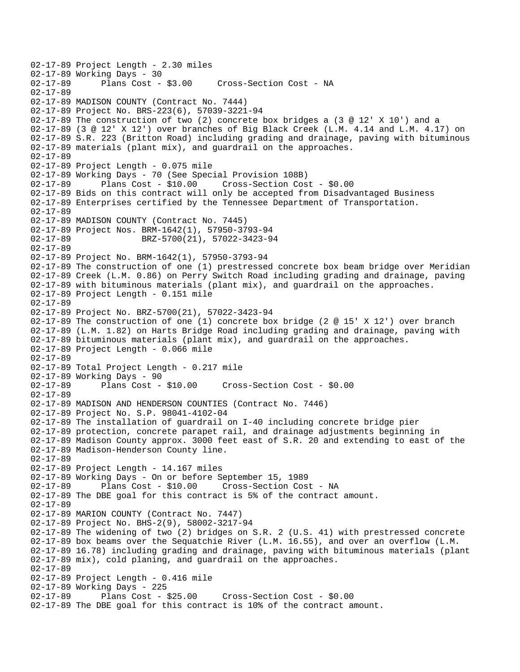02-17-89 Project Length - 2.30 miles 02-17-89 Working Days - 30<br>02-17-89 Plans Cost - \$3.00 Cross-Section Cost - NA 02-17-89 02-17-89 MADISON COUNTY (Contract No. 7444) 02-17-89 Project No. BRS-223(6), 57039-3221-94 02-17-89 The construction of two (2) concrete box bridges a (3 @ 12' X 10') and a 02-17-89 (3 @ 12' X 12') over branches of Big Black Creek (L.M. 4.14 and L.M. 4.17) on 02-17-89 S.R. 223 (Britton Road) including grading and drainage, paving with bituminous 02-17-89 materials (plant mix), and guardrail on the approaches. 02-17-89 02-17-89 Project Length - 0.075 mile 02-17-89 Working Days - 70 (See Special Provision 108B) Plans Cost - \$10.00 Cross-Section Cost - \$0.00 02-17-89 Bids on this contract will only be accepted from Disadvantaged Business 02-17-89 Enterprises certified by the Tennessee Department of Transportation. 02-17-89 02-17-89 MADISON COUNTY (Contract No. 7445) 02-17-89 Project Nos. BRM-1642(1), 57950-3793-94 02-17-89 BRZ-5700(21), 57022-3423-94 02-17-89 02-17-89 Project No. BRM-1642(1), 57950-3793-94 02-17-89 The construction of one (1) prestressed concrete box beam bridge over Meridian 02-17-89 Creek (L.M. 0.86) on Perry Switch Road including grading and drainage, paving 02-17-89 with bituminous materials (plant mix), and guardrail on the approaches. 02-17-89 Project Length - 0.151 mile 02-17-89 02-17-89 Project No. BRZ-5700(21), 57022-3423-94 02-17-89 The construction of one (1) concrete box bridge (2 @ 15' X 12') over branch 02-17-89 (L.M. 1.82) on Harts Bridge Road including grading and drainage, paving with 02-17-89 bituminous materials (plant mix), and guardrail on the approaches. 02-17-89 Project Length - 0.066 mile 02-17-89 02-17-89 Total Project Length - 0.217 mile 02-17-89 Working Days - 90 02-17-89 Plans Cost - \$10.00 Cross-Section Cost - \$0.00 02-17-89 02-17-89 MADISON AND HENDERSON COUNTIES (Contract No. 7446) 02-17-89 Project No. S.P. 98041-4102-04 02-17-89 The installation of guardrail on I-40 including concrete bridge pier 02-17-89 protection, concrete parapet rail, and drainage adjustments beginning in 02-17-89 Madison County approx. 3000 feet east of S.R. 20 and extending to east of the 02-17-89 Madison-Henderson County line. 02-17-89 02-17-89 Project Length - 14.167 miles 02-17-89 Working Days - On or before September 15, 1989 02-17-89 Plans Cost - \$10.00 Cross-Section Cost - NA 02-17-89 The DBE goal for this contract is 5% of the contract amount. 02-17-89 02-17-89 MARION COUNTY (Contract No. 7447) 02-17-89 Project No. BHS-2(9), 58002-3217-94 02-17-89 The widening of two (2) bridges on S.R. 2 (U.S. 41) with prestressed concrete 02-17-89 box beams over the Sequatchie River (L.M. 16.55), and over an overflow (L.M. 02-17-89 16.78) including grading and drainage, paving with bituminous materials (plant 02-17-89 mix), cold planing, and guardrail on the approaches. 02-17-89 02-17-89 Project Length - 0.416 mile 02-17-89 Working Days - 225 Cross-Section Cost - \$0.00 02-17-89 The DBE goal for this contract is 10% of the contract amount.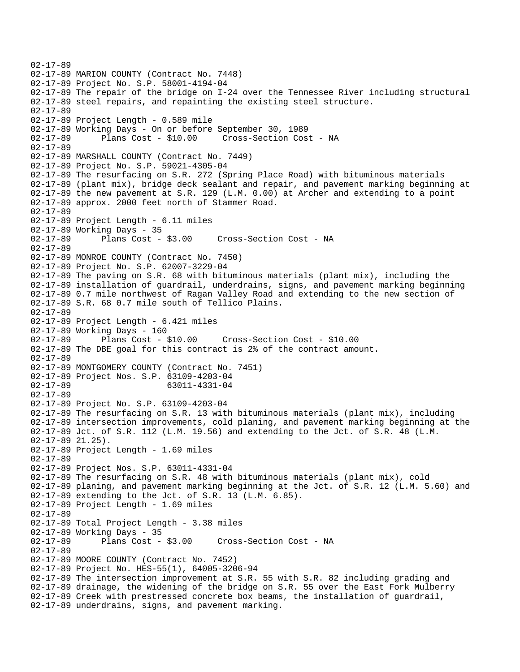```
02-17-89 
02-17-89 MARION COUNTY (Contract No. 7448) 
02-17-89 Project No. S.P. 58001-4194-04 
02-17-89 The repair of the bridge on I-24 over the Tennessee River including structural 
02-17-89 steel repairs, and repainting the existing steel structure. 
02-17-89 
02-17-89 Project Length - 0.589 mile 
02-17-89 Working Days - On or before September 30, 1989 
02-17-89 Plans Cost - $10.00 Cross-Section Cost - NA 
02-17-89 
02-17-89 MARSHALL COUNTY (Contract No. 7449) 
02-17-89 Project No. S.P. 59021-4305-04 
02-17-89 The resurfacing on S.R. 272 (Spring Place Road) with bituminous materials 
02-17-89 (plant mix), bridge deck sealant and repair, and pavement marking beginning at 
02-17-89 the new pavement at S.R. 129 (L.M. 0.00) at Archer and extending to a point 
02-17-89 approx. 2000 feet north of Stammer Road. 
02-17-89 
02-17-89 Project Length - 6.11 miles 
02-17-89 Working Days - 35 
02-17-89 Plans Cost - $3.00 Cross-Section Cost - NA 
02-17-89 
02-17-89 MONROE COUNTY (Contract No. 7450) 
02-17-89 Project No. S.P. 62007-3229-04 
02-17-89 The paving on S.R. 68 with bituminous materials (plant mix), including the 
02-17-89 installation of guardrail, underdrains, signs, and pavement marking beginning 
02-17-89 0.7 mile northwest of Ragan Valley Road and extending to the new section of 
02-17-89 S.R. 68 0.7 mile south of Tellico Plains. 
02-17-89 
02-17-89 Project Length - 6.421 miles 
02-17-89 Working Days - 160 
02-17-89 Plans Cost - $10.00 Cross-Section Cost - $10.00 
02-17-89 The DBE goal for this contract is 2% of the contract amount. 
02-17-89 
02-17-89 MONTGOMERY COUNTY (Contract No. 7451) 
02-17-89 Project Nos. S.P. 63109-4203-04 
02-17-89 63011-4331-04 
02-17-89 
02-17-89 Project No. S.P. 63109-4203-04 
02-17-89 The resurfacing on S.R. 13 with bituminous materials (plant mix), including 
02-17-89 intersection improvements, cold planing, and pavement marking beginning at the 
02-17-89 Jct. of S.R. 112 (L.M. 19.56) and extending to the Jct. of S.R. 48 (L.M. 
02-17-89 21.25). 
02-17-89 Project Length - 1.69 miles 
02-17-89 
02-17-89 Project Nos. S.P. 63011-4331-04 
02-17-89 The resurfacing on S.R. 48 with bituminous materials (plant mix), cold 
02-17-89 planing, and pavement marking beginning at the Jct. of S.R. 12 (L.M. 5.60) and 
02-17-89 extending to the Jct. of S.R. 13 (L.M. 6.85). 
02-17-89 Project Length - 1.69 miles 
02-17-89 
02-17-89 Total Project Length - 3.38 miles 
02-17-89 Working Days - 35 
02-17-89 Plans Cost - $3.00 Cross-Section Cost - NA 
02-17-89 
02-17-89 MOORE COUNTY (Contract No. 7452) 
02-17-89 Project No. HES-55(1), 64005-3206-94 
02-17-89 The intersection improvement at S.R. 55 with S.R. 82 including grading and 
02-17-89 drainage, the widening of the bridge on S.R. 55 over the East Fork Mulberry 
02-17-89 Creek with prestressed concrete box beams, the installation of guardrail, 
02-17-89 underdrains, signs, and pavement marking.
```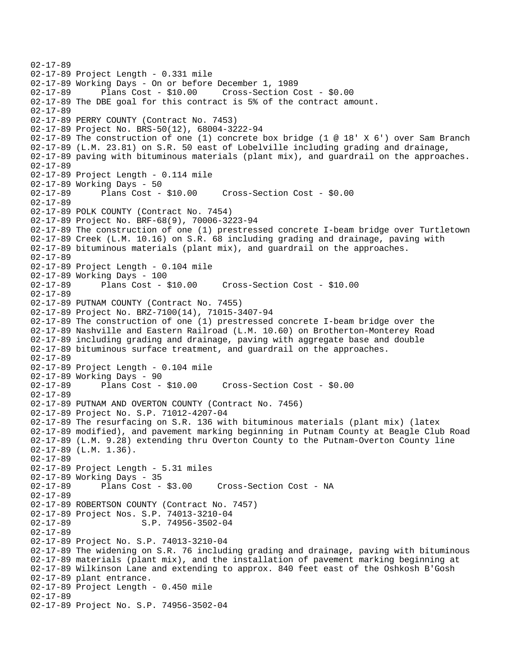```
02-17-89 
02-17-89 Project Length - 0.331 mile 
02-17-89 Working Days - On or before December 1, 1989 
02-17-89 Plans Cost - $10.00 Cross-Section Cost - $0.00 
02-17-89 The DBE goal for this contract is 5% of the contract amount. 
02-17-89 
02-17-89 PERRY COUNTY (Contract No. 7453) 
02-17-89 Project No. BRS-50(12), 68004-3222-94 
02-17-89 The construction of one (1) concrete box bridge (1 @ 18' X 6') over Sam Branch 
02-17-89 (L.M. 23.81) on S.R. 50 east of Lobelville including grading and drainage, 
02-17-89 paving with bituminous materials (plant mix), and guardrail on the approaches. 
02-17-89 
02-17-89 Project Length - 0.114 mile 
02-17-89 Working Days - 50<br>02-17-89 Plans Cost - $10.00
02-17-89 Plans Cost - $10.00 Cross-Section Cost - $0.00 
02-17-89 
02-17-89 POLK COUNTY (Contract No. 7454) 
02-17-89 Project No. BRF-68(9), 70006-3223-94 
02-17-89 The construction of one (1) prestressed concrete I-beam bridge over Turtletown 
02-17-89 Creek (L.M. 10.16) on S.R. 68 including grading and drainage, paving with 
02-17-89 bituminous materials (plant mix), and guardrail on the approaches. 
02-17-89 
02-17-89 Project Length - 0.104 mile 
02-17-89 Working Days - 100 
                                       02-17-89 Plans Cost - $10.00 Cross-Section Cost - $10.00 
02-17-89 
02-17-89 PUTNAM COUNTY (Contract No. 7455) 
02-17-89 Project No. BRZ-7100(14), 71015-3407-94 
02-17-89 The construction of one (1) prestressed concrete I-beam bridge over the 
02-17-89 Nashville and Eastern Railroad (L.M. 10.60) on Brotherton-Monterey Road 
02-17-89 including grading and drainage, paving with aggregate base and double 
02-17-89 bituminous surface treatment, and guardrail on the approaches. 
02-17-89 
02-17-89 Project Length - 0.104 mile 
02-17-89 Working Days - 90 
02-17-89 Plans Cost - $10.00 Cross-Section Cost - $0.00 
02-17-89 
02-17-89 PUTNAM AND OVERTON COUNTY (Contract No. 7456) 
02-17-89 Project No. S.P. 71012-4207-04 
02-17-89 The resurfacing on S.R. 136 with bituminous materials (plant mix) (latex 
02-17-89 modified), and pavement marking beginning in Putnam County at Beagle Club Road 
02-17-89 (L.M. 9.28) extending thru Overton County to the Putnam-Overton County line 
02-17-89 (L.M. 1.36). 
02-17-89 
02-17-89 Project Length - 5.31 miles 
02-17-89 Working Days - 35 
02-17-89 Plans Cost - $3.00 Cross-Section Cost - NA 
02-17-89 
02-17-89 ROBERTSON COUNTY (Contract No. 7457) 
02-17-89 Project Nos. S.P. 74013-3210-04<br>02-17-89 S.P. 74956-3502-04
                       S.P. 74956-3502-04
02-17-89 
02-17-89 Project No. S.P. 74013-3210-04 
02-17-89 The widening on S.R. 76 including grading and drainage, paving with bituminous 
02-17-89 materials (plant mix), and the installation of pavement marking beginning at 
02-17-89 Wilkinson Lane and extending to approx. 840 feet east of the Oshkosh B'Gosh 
02-17-89 plant entrance. 
02-17-89 Project Length - 0.450 mile 
02-17-89 
02-17-89 Project No. S.P. 74956-3502-04
```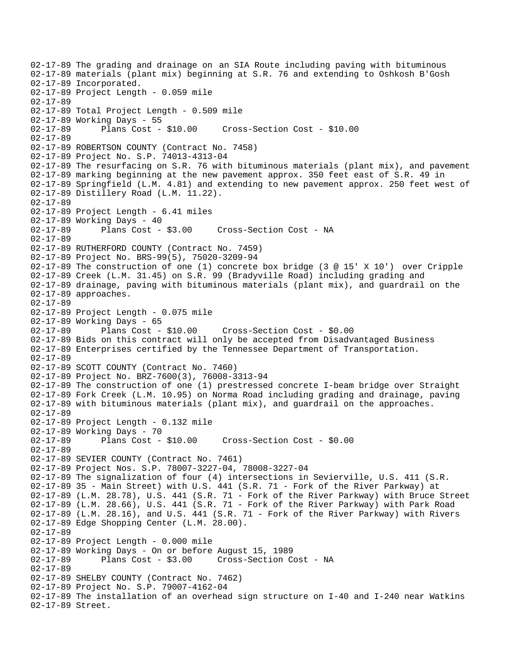02-17-89 The grading and drainage on an SIA Route including paving with bituminous 02-17-89 materials (plant mix) beginning at S.R. 76 and extending to Oshkosh B'Gosh 02-17-89 Incorporated. 02-17-89 Project Length - 0.059 mile 02-17-89 02-17-89 Total Project Length - 0.509 mile 02-17-89 Working Days - 55 02-17-89 Plans Cost - \$10.00 Cross-Section Cost - \$10.00 02-17-89 02-17-89 ROBERTSON COUNTY (Contract No. 7458) 02-17-89 Project No. S.P. 74013-4313-04 02-17-89 The resurfacing on S.R. 76 with bituminous materials (plant mix), and pavement 02-17-89 marking beginning at the new pavement approx. 350 feet east of S.R. 49 in 02-17-89 Springfield (L.M. 4.81) and extending to new pavement approx. 250 feet west of 02-17-89 Distillery Road (L.M. 11.22). 02-17-89 02-17-89 Project Length - 6.41 miles 02-17-89 Working Days - 40 02-17-89 Plans Cost - \$3.00 Cross-Section Cost - NA 02-17-89 02-17-89 RUTHERFORD COUNTY (Contract No. 7459) 02-17-89 Project No. BRS-99(5), 75020-3209-94 02-17-89 The construction of one (1) concrete box bridge (3 @ 15' X 10') over Cripple 02-17-89 Creek (L.M. 31.45) on S.R. 99 (Bradyville Road) including grading and 02-17-89 drainage, paving with bituminous materials (plant mix), and guardrail on the 02-17-89 approaches. 02-17-89 02-17-89 Project Length - 0.075 mile 02-17-89 Working Days - 65 02-17-89 Plans Cost - \$10.00 Cross-Section Cost - \$0.00 02-17-89 Bids on this contract will only be accepted from Disadvantaged Business 02-17-89 Enterprises certified by the Tennessee Department of Transportation. 02-17-89 02-17-89 SCOTT COUNTY (Contract No. 7460) 02-17-89 Project No. BRZ-7600(3), 76008-3313-94 02-17-89 The construction of one (1) prestressed concrete I-beam bridge over Straight 02-17-89 Fork Creek (L.M. 10.95) on Norma Road including grading and drainage, paving 02-17-89 with bituminous materials (plant mix), and guardrail on the approaches. 02-17-89 02-17-89 Project Length - 0.132 mile 02-17-89 Working Days - 70 02-17-89 Plans Cost - \$10.00 Cross-Section Cost - \$0.00 02-17-89 02-17-89 SEVIER COUNTY (Contract No. 7461) 02-17-89 Project Nos. S.P. 78007-3227-04, 78008-3227-04 02-17-89 The signalization of four (4) intersections in Sevierville, U.S. 411 (S.R. 02-17-89 35 - Main Street) with U.S. 441 (S.R. 71 - Fork of the River Parkway) at 02-17-89 (L.M. 28.78), U.S. 441 (S.R. 71 - Fork of the River Parkway) with Bruce Street 02-17-89 (L.M. 28.66), U.S. 441 (S.R. 71 - Fork of the River Parkway) with Park Road 02-17-89 (L.M. 28.16), and U.S. 441 (S.R. 71 - Fork of the River Parkway) with Rivers 02-17-89 Edge Shopping Center (L.M. 28.00). 02-17-89 02-17-89 Project Length - 0.000 mile 02-17-89 Working Days - On or before August 15, 1989 Plans Cost - \$3.00 Cross-Section Cost - NA 02-17-89 02-17-89 SHELBY COUNTY (Contract No. 7462) 02-17-89 Project No. S.P. 79007-4162-04 02-17-89 The installation of an overhead sign structure on I-40 and I-240 near Watkins 02-17-89 Street.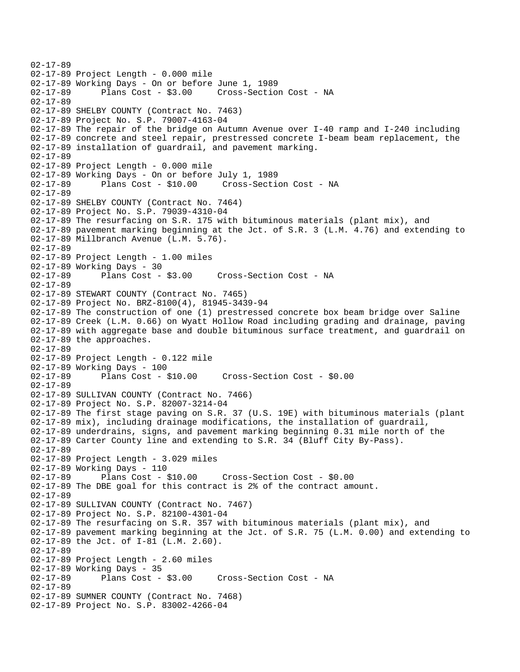02-17-89 02-17-89 Project Length - 0.000 mile 02-17-89 Working Days - On or before June 1, 1989 02-17-89 Plans Cost - \$3.00 Cross-Section Cost - NA 02-17-89 02-17-89 SHELBY COUNTY (Contract No. 7463) 02-17-89 Project No. S.P. 79007-4163-04 02-17-89 The repair of the bridge on Autumn Avenue over I-40 ramp and I-240 including 02-17-89 concrete and steel repair, prestressed concrete I-beam beam replacement, the 02-17-89 installation of guardrail, and pavement marking. 02-17-89 02-17-89 Project Length - 0.000 mile 02-17-89 Working Days - On or before July 1, 1989 Plans Cost - \$10.00 Cross-Section Cost - NA 02-17-89 02-17-89 SHELBY COUNTY (Contract No. 7464) 02-17-89 Project No. S.P. 79039-4310-04 02-17-89 The resurfacing on S.R. 175 with bituminous materials (plant mix), and 02-17-89 pavement marking beginning at the Jct. of S.R. 3 (L.M. 4.76) and extending to 02-17-89 Millbranch Avenue (L.M. 5.76). 02-17-89 02-17-89 Project Length - 1.00 miles 02-17-89 Working Days - 30 02-17-89 Plans Cost - \$3.00 Cross-Section Cost - NA 02-17-89 02-17-89 STEWART COUNTY (Contract No. 7465) 02-17-89 Project No. BRZ-8100(4), 81945-3439-94 02-17-89 The construction of one (1) prestressed concrete box beam bridge over Saline 02-17-89 Creek (L.M. 0.66) on Wyatt Hollow Road including grading and drainage, paving 02-17-89 with aggregate base and double bituminous surface treatment, and guardrail on 02-17-89 the approaches. 02-17-89 02-17-89 Project Length - 0.122 mile 02-17-89 Working Days - 100 02-17-89 Plans Cost - \$10.00 Cross-Section Cost - \$0.00 02-17-89 02-17-89 SULLIVAN COUNTY (Contract No. 7466) 02-17-89 Project No. S.P. 82007-3214-04 02-17-89 The first stage paving on S.R. 37 (U.S. 19E) with bituminous materials (plant 02-17-89 mix), including drainage modifications, the installation of guardrail, 02-17-89 underdrains, signs, and pavement marking beginning 0.31 mile north of the 02-17-89 Carter County line and extending to S.R. 34 (Bluff City By-Pass). 02-17-89 02-17-89 Project Length - 3.029 miles 02-17-89 Working Days - 110 02-17-89 Plans Cost - \$10.00 Cross-Section Cost - \$0.00 02-17-89 The DBE goal for this contract is 2% of the contract amount. 02-17-89 02-17-89 SULLIVAN COUNTY (Contract No. 7467) 02-17-89 Project No. S.P. 82100-4301-04 02-17-89 The resurfacing on S.R. 357 with bituminous materials (plant mix), and 02-17-89 pavement marking beginning at the Jct. of S.R. 75 (L.M. 0.00) and extending to 02-17-89 the Jct. of I-81 (L.M. 2.60). 02-17-89 02-17-89 Project Length - 2.60 miles 02-17-89 Working Days - 35 02-17-89 Plans Cost - \$3.00 Cross-Section Cost - NA 02-17-89 02-17-89 SUMNER COUNTY (Contract No. 7468) 02-17-89 Project No. S.P. 83002-4266-04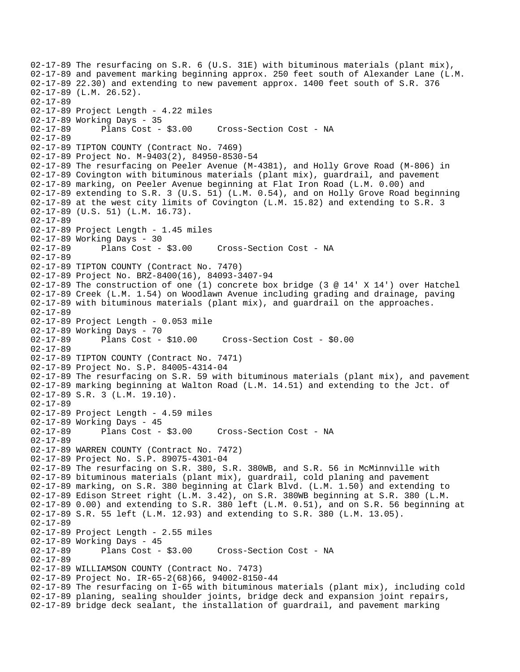```
02-17-89 The resurfacing on S.R. 6 (U.S. 31E) with bituminous materials (plant mix), 
02-17-89 and pavement marking beginning approx. 250 feet south of Alexander Lane (L.M. 
02-17-89 22.30) and extending to new pavement approx. 1400 feet south of S.R. 376 
02-17-89 (L.M. 26.52). 
02-17-89 
02-17-89 Project Length - 4.22 miles 
02-17-89 Working Days - 35 
02-17-89 Plans Cost - $3.00 Cross-Section Cost - NA 
02-17-89 
02-17-89 TIPTON COUNTY (Contract No. 7469) 
02-17-89 Project No. M-9403(2), 84950-8530-54 
02-17-89 The resurfacing on Peeler Avenue (M-4381), and Holly Grove Road (M-806) in 
02-17-89 Covington with bituminous materials (plant mix), guardrail, and pavement 
02-17-89 marking, on Peeler Avenue beginning at Flat Iron Road (L.M. 0.00) and 
02-17-89 extending to S.R. 3 (U.S. 51) (L.M. 0.54), and on Holly Grove Road beginning 
02-17-89 at the west city limits of Covington (L.M. 15.82) and extending to S.R. 3 
02-17-89 (U.S. 51) (L.M. 16.73). 
02-17-89 
02-17-89 Project Length - 1.45 miles 
02-17-89 Working Days - 30 
02-17-89 Plans Cost - $3.00 Cross-Section Cost - NA 
02-17-89 
02-17-89 TIPTON COUNTY (Contract No. 7470) 
02-17-89 Project No. BRZ-8400(16), 84093-3407-94 
02-17-89 The construction of one (1) concrete box bridge (3 @ 14' X 14') over Hatchel 
02-17-89 Creek (L.M. 1.54) on Woodlawn Avenue including grading and drainage, paving 
02-17-89 with bituminous materials (plant mix), and guardrail on the approaches. 
02-17-89 
02-17-89 Project Length - 0.053 mile 
02-17-89 Working Days - 70 
02-17-89 Plans Cost - $10.00 Cross-Section Cost - $0.00 
02-17-89 
02-17-89 TIPTON COUNTY (Contract No. 7471) 
02-17-89 Project No. S.P. 84005-4314-04 
02-17-89 The resurfacing on S.R. 59 with bituminous materials (plant mix), and pavement 
02-17-89 marking beginning at Walton Road (L.M. 14.51) and extending to the Jct. of 
02-17-89 S.R. 3 (L.M. 19.10). 
02-17-89 
02-17-89 Project Length - 4.59 miles 
02-17-89 Working Days - 45 
02-17-89 Plans Cost - $3.00 Cross-Section Cost - NA 
02-17-89 
02-17-89 WARREN COUNTY (Contract No. 7472) 
02-17-89 Project No. S.P. 89075-4301-04 
02-17-89 The resurfacing on S.R. 380, S.R. 380WB, and S.R. 56 in McMinnville with 
02-17-89 bituminous materials (plant mix), guardrail, cold planing and pavement 
02-17-89 marking, on S.R. 380 beginning at Clark Blvd. (L.M. 1.50) and extending to 
02-17-89 Edison Street right (L.M. 3.42), on S.R. 380WB beginning at S.R. 380 (L.M. 
02-17-89 0.00) and extending to S.R. 380 left (L.M. 0.51), and on S.R. 56 beginning at 
02-17-89 S.R. 55 left (L.M. 12.93) and extending to S.R. 380 (L.M. 13.05). 
02-17-89 
02-17-89 Project Length - 2.55 miles 
02-17-89 Working Days - 45 
02-17-89 Plans Cost - $3.00 Cross-Section Cost - NA 
02-17-89 
02-17-89 WILLIAMSON COUNTY (Contract No. 7473) 
02-17-89 Project No. IR-65-2(68)66, 94002-8150-44 
02-17-89 The resurfacing on I-65 with bituminous materials (plant mix), including cold 
02-17-89 planing, sealing shoulder joints, bridge deck and expansion joint repairs, 
02-17-89 bridge deck sealant, the installation of guardrail, and pavement marking
```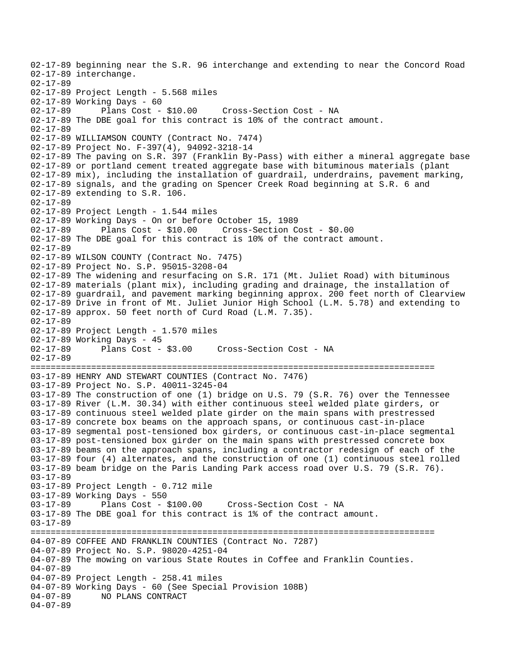02-17-89 beginning near the S.R. 96 interchange and extending to near the Concord Road 02-17-89 interchange. 02-17-89 02-17-89 Project Length - 5.568 miles 02-17-89 Working Days - 60 02-17-89 Plans Cost - \$10.00 Cross-Section Cost - NA 02-17-89 The DBE goal for this contract is 10% of the contract amount. 02-17-89 02-17-89 WILLIAMSON COUNTY (Contract No. 7474) 02-17-89 Project No. F-397(4), 94092-3218-14 02-17-89 The paving on S.R. 397 (Franklin By-Pass) with either a mineral aggregate base 02-17-89 or portland cement treated aggregate base with bituminous materials (plant 02-17-89 mix), including the installation of guardrail, underdrains, pavement marking, 02-17-89 signals, and the grading on Spencer Creek Road beginning at S.R. 6 and 02-17-89 extending to S.R. 106. 02-17-89 02-17-89 Project Length - 1.544 miles 02-17-89 Working Days - On or before October 15, 1989 02-17-89 Plans Cost - \$10.00 Cross-Section Cost - \$0.00 02-17-89 The DBE goal for this contract is 10% of the contract amount. 02-17-89 02-17-89 WILSON COUNTY (Contract No. 7475) 02-17-89 Project No. S.P. 95015-3208-04 02-17-89 The widening and resurfacing on S.R. 171 (Mt. Juliet Road) with bituminous 02-17-89 materials (plant mix), including grading and drainage, the installation of 02-17-89 guardrail, and pavement marking beginning approx. 200 feet north of Clearview 02-17-89 Drive in front of Mt. Juliet Junior High School (L.M. 5.78) and extending to 02-17-89 approx. 50 feet north of Curd Road (L.M. 7.35). 02-17-89 02-17-89 Project Length - 1.570 miles 02-17-89 Working Days - 45 02-17-89 Plans Cost - \$3.00 Cross-Section Cost - NA 02-17-89 ================================================================================ 03-17-89 HENRY AND STEWART COUNTIES (Contract No. 7476) 03-17-89 Project No. S.P. 40011-3245-04 03-17-89 The construction of one (1) bridge on U.S. 79 (S.R. 76) over the Tennessee 03-17-89 River (L.M. 30.34) with either continuous steel welded plate girders, or 03-17-89 continuous steel welded plate girder on the main spans with prestressed 03-17-89 concrete box beams on the approach spans, or continuous cast-in-place 03-17-89 segmental post-tensioned box girders, or continuous cast-in-place segmental 03-17-89 post-tensioned box girder on the main spans with prestressed concrete box 03-17-89 beams on the approach spans, including a contractor redesign of each of the 03-17-89 four (4) alternates, and the construction of one (1) continuous steel rolled 03-17-89 beam bridge on the Paris Landing Park access road over U.S. 79 (S.R. 76). 03-17-89 03-17-89 Project Length - 0.712 mile 03-17-89 Working Days - 550 03-17-89 Plans Cost - \$100.00 Cross-Section Cost - NA 03-17-89 The DBE goal for this contract is 1% of the contract amount. 03-17-89 ================================================================================ 04-07-89 COFFEE AND FRANKLIN COUNTIES (Contract No. 7287) 04-07-89 Project No. S.P. 98020-4251-04 04-07-89 The mowing on various State Routes in Coffee and Franklin Counties. 04-07-89 04-07-89 Project Length - 258.41 miles 04-07-89 Working Days - 60 (See Special Provision 108B)<br>04-07-89 NO PLANS CONTRACT 04-07-89 NO PLANS CONTRACT 04-07-89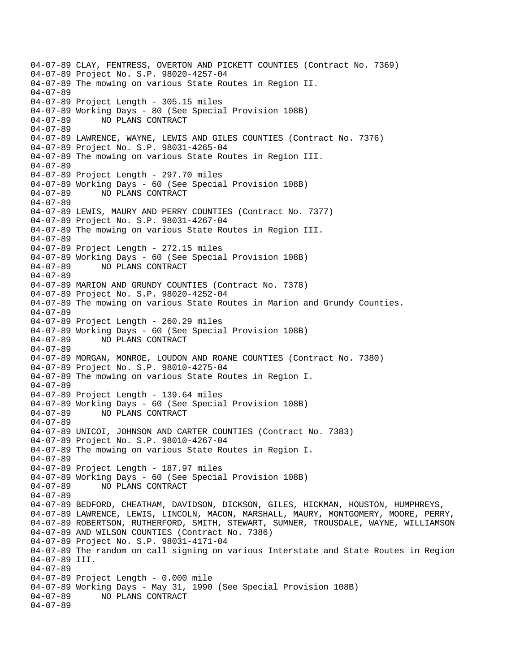04-07-89 CLAY, FENTRESS, OVERTON AND PICKETT COUNTIES (Contract No. 7369) 04-07-89 Project No. S.P. 98020-4257-04 04-07-89 The mowing on various State Routes in Region II. 04-07-89 04-07-89 Project Length - 305.15 miles 04-07-89 Working Days - 80 (See Special Provision 108B) 04-07-89 NO PLANS CONTRACT 04-07-89 04-07-89 LAWRENCE, WAYNE, LEWIS AND GILES COUNTIES (Contract No. 7376) 04-07-89 Project No. S.P. 98031-4265-04 04-07-89 The mowing on various State Routes in Region III. 04-07-89 04-07-89 Project Length - 297.70 miles 04-07-89 Working Days - 60 (See Special Provision 108B) 04-07-89 NO PLANS CONTRACT 04-07-89 04-07-89 LEWIS, MAURY AND PERRY COUNTIES (Contract No. 7377) 04-07-89 Project No. S.P. 98031-4267-04 04-07-89 The mowing on various State Routes in Region III. 04-07-89 04-07-89 Project Length - 272.15 miles 04-07-89 Working Days - 60 (See Special Provision 108B) 04-07-89 NO PLANS CONTRACT 04-07-89 04-07-89 MARION AND GRUNDY COUNTIES (Contract No. 7378) 04-07-89 Project No. S.P. 98020-4252-04 04-07-89 The mowing on various State Routes in Marion and Grundy Counties. 04-07-89 04-07-89 Project Length - 260.29 miles 04-07-89 Working Days - 60 (See Special Provision 108B) 04-07-89 NO PLANS CONTRACT 04-07-89 04-07-89 MORGAN, MONROE, LOUDON AND ROANE COUNTIES (Contract No. 7380) 04-07-89 Project No. S.P. 98010-4275-04 04-07-89 The mowing on various State Routes in Region I. 04-07-89 04-07-89 Project Length - 139.64 miles 04-07-89 Working Days - 60 (See Special Provision 108B) 04-07-89 NO PLANS CONTRACT 04-07-89 04-07-89 UNICOI, JOHNSON AND CARTER COUNTIES (Contract No. 7383) 04-07-89 Project No. S.P. 98010-4267-04 04-07-89 The mowing on various State Routes in Region I. 04-07-89 04-07-89 Project Length - 187.97 miles 04-07-89 Working Days - 60 (See Special Provision 108B) 04-07-89 NO PLANS CONTRACT 04-07-89 04-07-89 BEDFORD, CHEATHAM, DAVIDSON, DICKSON, GILES, HICKMAN, HOUSTON, HUMPHREYS, 04-07-89 LAWRENCE, LEWIS, LINCOLN, MACON, MARSHALL, MAURY, MONTGOMERY, MOORE, PERRY, 04-07-89 ROBERTSON, RUTHERFORD, SMITH, STEWART, SUMNER, TROUSDALE, WAYNE, WILLIAMSON 04-07-89 AND WILSON COUNTIES (Contract No. 7386) 04-07-89 Project No. S.P. 98031-4171-04 04-07-89 The random on call signing on various Interstate and State Routes in Region 04-07-89 III. 04-07-89 04-07-89 Project Length - 0.000 mile 04-07-89 Working Days - May 31, 1990 (See Special Provision 108B) 04-07-89 NO PLANS CONTRACT 04-07-89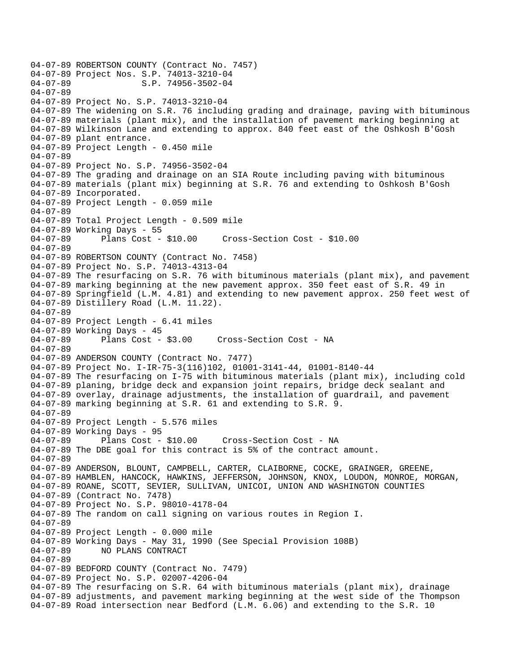04-07-89 ROBERTSON COUNTY (Contract No. 7457) 04-07-89 Project Nos. S.P. 74013-3210-04<br>04-07-89 S.P. 74956-3502-04 S.P. 74956-3502-04 04-07-89 04-07-89 Project No. S.P. 74013-3210-04 04-07-89 The widening on S.R. 76 including grading and drainage, paving with bituminous 04-07-89 materials (plant mix), and the installation of pavement marking beginning at 04-07-89 Wilkinson Lane and extending to approx. 840 feet east of the Oshkosh B'Gosh 04-07-89 plant entrance. 04-07-89 Project Length - 0.450 mile 04-07-89 04-07-89 Project No. S.P. 74956-3502-04 04-07-89 The grading and drainage on an SIA Route including paving with bituminous 04-07-89 materials (plant mix) beginning at S.R. 76 and extending to Oshkosh B'Gosh 04-07-89 Incorporated. 04-07-89 Project Length - 0.059 mile 04-07-89 04-07-89 Total Project Length - 0.509 mile 04-07-89 Working Days - 55 04-07-89 Plans Cost - \$10.00 Cross-Section Cost - \$10.00 04-07-89 04-07-89 ROBERTSON COUNTY (Contract No. 7458) 04-07-89 Project No. S.P. 74013-4313-04 04-07-89 The resurfacing on S.R. 76 with bituminous materials (plant mix), and pavement 04-07-89 marking beginning at the new pavement approx. 350 feet east of S.R. 49 in 04-07-89 Springfield (L.M. 4.81) and extending to new pavement approx. 250 feet west of 04-07-89 Distillery Road (L.M. 11.22). 04-07-89 04-07-89 Project Length - 6.41 miles 04-07-89 Working Days - 45<br>04-07-89 Plans Cost - \$3.00 04-07-89 Plans Cost - \$3.00 Cross-Section Cost - NA 04-07-89 04-07-89 ANDERSON COUNTY (Contract No. 7477) 04-07-89 Project No. I-IR-75-3(116)102, 01001-3141-44, 01001-8140-44 04-07-89 The resurfacing on I-75 with bituminous materials (plant mix), including cold 04-07-89 planing, bridge deck and expansion joint repairs, bridge deck sealant and 04-07-89 overlay, drainage adjustments, the installation of guardrail, and pavement 04-07-89 marking beginning at S.R. 61 and extending to S.R. 9. 04-07-89 04-07-89 Project Length - 5.576 miles 04-07-89 Working Days - 95 04-07-89 Plans Cost - \$10.00 Cross-Section Cost - NA 04-07-89 The DBE goal for this contract is 5% of the contract amount. 04-07-89 04-07-89 ANDERSON, BLOUNT, CAMPBELL, CARTER, CLAIBORNE, COCKE, GRAINGER, GREENE, 04-07-89 HAMBLEN, HANCOCK, HAWKINS, JEFFERSON, JOHNSON, KNOX, LOUDON, MONROE, MORGAN, 04-07-89 ROANE, SCOTT, SEVIER, SULLIVAN, UNICOI, UNION AND WASHINGTON COUNTIES 04-07-89 (Contract No. 7478) 04-07-89 Project No. S.P. 98010-4178-04 04-07-89 The random on call signing on various routes in Region I. 04-07-89 04-07-89 Project Length - 0.000 mile 04-07-89 Working Days - May 31, 1990 (See Special Provision 108B) 04-07-89 NO PLANS CONTRACT 04-07-89 04-07-89 BEDFORD COUNTY (Contract No. 7479) 04-07-89 Project No. S.P. 02007-4206-04 04-07-89 The resurfacing on S.R. 64 with bituminous materials (plant mix), drainage 04-07-89 adjustments, and pavement marking beginning at the west side of the Thompson 04-07-89 Road intersection near Bedford (L.M. 6.06) and extending to the S.R. 10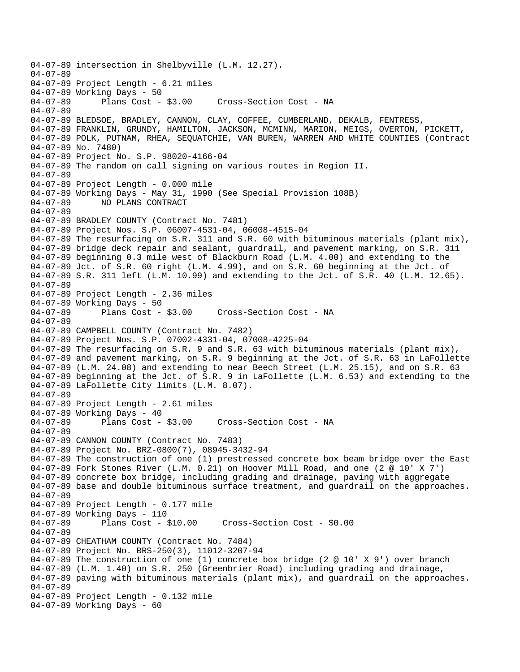04-07-89 intersection in Shelbyville (L.M. 12.27). 04-07-89 04-07-89 Project Length - 6.21 miles 04-07-89 Working Days - 50<br>04-07-89 Plans Cost - \$3.00 Cross-Section Cost - NA 04-07-89 04-07-89 BLEDSOE, BRADLEY, CANNON, CLAY, COFFEE, CUMBERLAND, DEKALB, FENTRESS, 04-07-89 FRANKLIN, GRUNDY, HAMILTON, JACKSON, MCMINN, MARION, MEIGS, OVERTON, PICKETT, 04-07-89 POLK, PUTNAM, RHEA, SEQUATCHIE, VAN BUREN, WARREN AND WHITE COUNTIES (Contract 04-07-89 No. 7480) 04-07-89 Project No. S.P. 98020-4166-04 04-07-89 The random on call signing on various routes in Region II. 04-07-89 04-07-89 Project Length - 0.000 mile 04-07-89 Working Days - May 31, 1990 (See Special Provision 108B)<br>04-07-89 NO PLANS CONTRACT 04-07-89 NO PLANS CONTRACT 04-07-89 04-07-89 BRADLEY COUNTY (Contract No. 7481) 04-07-89 Project Nos. S.P. 06007-4531-04, 06008-4515-04 04-07-89 The resurfacing on S.R. 311 and S.R. 60 with bituminous materials (plant mix), 04-07-89 bridge deck repair and sealant, guardrail, and pavement marking, on S.R. 311 04-07-89 beginning 0.3 mile west of Blackburn Road (L.M. 4.00) and extending to the 04-07-89 Jct. of S.R. 60 right (L.M. 4.99), and on S.R. 60 beginning at the Jct. of 04-07-89 S.R. 311 left (L.M. 10.99) and extending to the Jct. of S.R. 40 (L.M. 12.65). 04-07-89 04-07-89 Project Length - 2.36 miles 04-07-89 Working Days - 50 04-07-89 Plans Cost - \$3.00 Cross-Section Cost - NA 04-07-89 04-07-89 CAMPBELL COUNTY (Contract No. 7482) 04-07-89 Project Nos. S.P. 07002-4331-04, 07008-4225-04 04-07-89 The resurfacing on S.R. 9 and S.R. 63 with bituminous materials (plant mix), 04-07-89 and pavement marking, on S.R. 9 beginning at the Jct. of S.R. 63 in LaFollette 04-07-89 (L.M. 24.08) and extending to near Beech Street (L.M. 25.15), and on S.R. 63 04-07-89 beginning at the Jct. of S.R. 9 in LaFollette (L.M. 6.53) and extending to the 04-07-89 LaFollette City limits (L.M. 8.07). 04-07-89 04-07-89 Project Length - 2.61 miles 04-07-89 Working Days - 40 04-07-89 Plans Cost - \$3.00 Cross-Section Cost - NA 04-07-89 04-07-89 CANNON COUNTY (Contract No. 7483) 04-07-89 Project No. BRZ-0800(7), 08945-3432-94 04-07-89 The construction of one (1) prestressed concrete box beam bridge over the East 04-07-89 Fork Stones River (L.M. 0.21) on Hoover Mill Road, and one (2 @ 10' X 7') 04-07-89 concrete box bridge, including grading and drainage, paving with aggregate 04-07-89 base and double bituminous surface treatment, and guardrail on the approaches. 04-07-89 04-07-89 Project Length - 0.177 mile 04-07-89 Working Days - 110<br>04-07-89 Plans Cost - 8 Plans Cost - \$10.00 Cross-Section Cost - \$0.00 04-07-89 04-07-89 CHEATHAM COUNTY (Contract No. 7484) 04-07-89 Project No. BRS-250(3), 11012-3207-94 04-07-89 The construction of one (1) concrete box bridge (2 @ 10' X 9') over branch 04-07-89 (L.M. 1.40) on S.R. 250 (Greenbrier Road) including grading and drainage, 04-07-89 paving with bituminous materials (plant mix), and guardrail on the approaches. 04-07-89 04-07-89 Project Length - 0.132 mile 04-07-89 Working Days - 60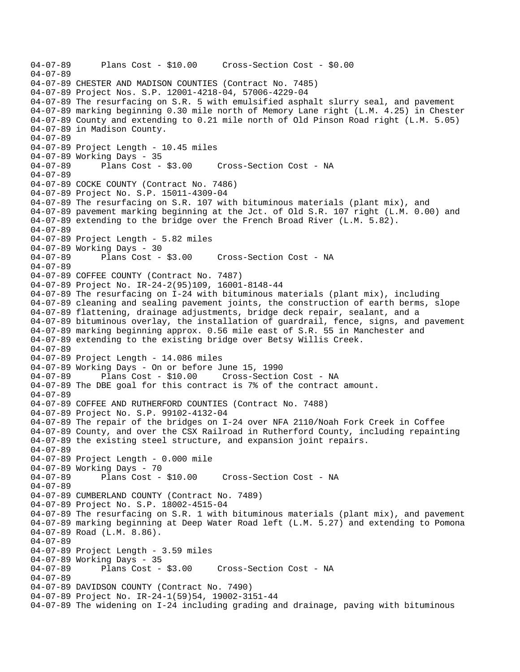04-07-89 Plans Cost - \$10.00 Cross-Section Cost - \$0.00 04-07-89 04-07-89 CHESTER AND MADISON COUNTIES (Contract No. 7485) 04-07-89 Project Nos. S.P. 12001-4218-04, 57006-4229-04 04-07-89 The resurfacing on S.R. 5 with emulsified asphalt slurry seal, and pavement 04-07-89 marking beginning 0.30 mile north of Memory Lane right (L.M. 4.25) in Chester 04-07-89 County and extending to 0.21 mile north of Old Pinson Road right (L.M. 5.05) 04-07-89 in Madison County. 04-07-89 04-07-89 Project Length - 10.45 miles 04-07-89 Working Days - 35 04-07-89 Plans Cost - \$3.00 Cross-Section Cost - NA 04-07-89 04-07-89 COCKE COUNTY (Contract No. 7486) 04-07-89 Project No. S.P. 15011-4309-04 04-07-89 The resurfacing on S.R. 107 with bituminous materials (plant mix), and 04-07-89 pavement marking beginning at the Jct. of Old S.R. 107 right (L.M. 0.00) and 04-07-89 extending to the bridge over the French Broad River (L.M. 5.82). 04-07-89 04-07-89 Project Length - 5.82 miles 04-07-89 Working Days - 30<br>04-07-89 Plans Cost - \$3.00 04-07-89 Plans Cost - \$3.00 Cross-Section Cost - NA 04-07-89 04-07-89 COFFEE COUNTY (Contract No. 7487) 04-07-89 Project No. IR-24-2(95)109, 16001-8148-44 04-07-89 The resurfacing on I-24 with bituminous materials (plant mix), including 04-07-89 cleaning and sealing pavement joints, the construction of earth berms, slope 04-07-89 flattening, drainage adjustments, bridge deck repair, sealant, and a 04-07-89 bituminous overlay, the installation of guardrail, fence, signs, and pavement 04-07-89 marking beginning approx. 0.56 mile east of S.R. 55 in Manchester and 04-07-89 extending to the existing bridge over Betsy Willis Creek. 04-07-89 04-07-89 Project Length - 14.086 miles 04-07-89 Working Days - On or before June 15, 1990 Cross-Section Cost - NA 04-07-89 The DBE goal for this contract is 7% of the contract amount. 04-07-89 04-07-89 COFFEE AND RUTHERFORD COUNTIES (Contract No. 7488) 04-07-89 Project No. S.P. 99102-4132-04 04-07-89 The repair of the bridges on I-24 over NFA 2110/Noah Fork Creek in Coffee 04-07-89 County, and over the CSX Railroad in Rutherford County, including repainting 04-07-89 the existing steel structure, and expansion joint repairs. 04-07-89 04-07-89 Project Length - 0.000 mile 04-07-89 Working Days - 70 04-07-89 Plans Cost - \$10.00 Cross-Section Cost - NA 04-07-89 04-07-89 CUMBERLAND COUNTY (Contract No. 7489) 04-07-89 Project No. S.P. 18002-4515-04 04-07-89 The resurfacing on S.R. 1 with bituminous materials (plant mix), and pavement 04-07-89 marking beginning at Deep Water Road left (L.M. 5.27) and extending to Pomona 04-07-89 Road (L.M. 8.86). 04-07-89 04-07-89 Project Length - 3.59 miles 04-07-89 Working Days - 35<br>04-07-89 Plans Cost - \$3.00 Cross-Section Cost - NA 04-07-89 04-07-89 DAVIDSON COUNTY (Contract No. 7490) 04-07-89 Project No. IR-24-1(59)54, 19002-3151-44 04-07-89 The widening on I-24 including grading and drainage, paving with bituminous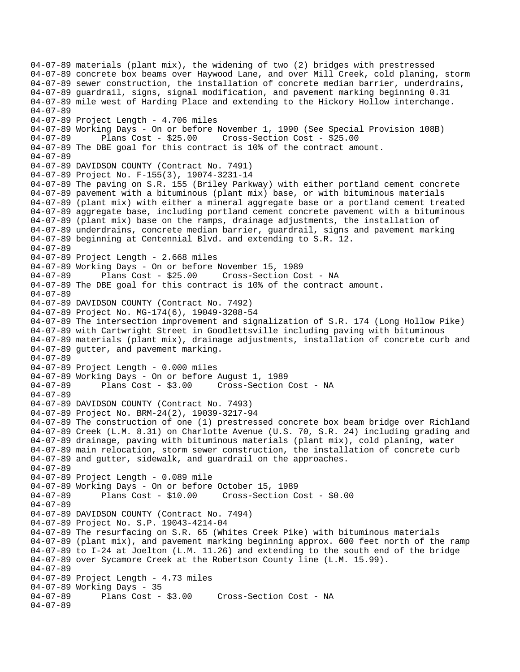04-07-89 materials (plant mix), the widening of two (2) bridges with prestressed 04-07-89 concrete box beams over Haywood Lane, and over Mill Creek, cold planing, storm 04-07-89 sewer construction, the installation of concrete median barrier, underdrains, 04-07-89 guardrail, signs, signal modification, and pavement marking beginning 0.31 04-07-89 mile west of Harding Place and extending to the Hickory Hollow interchange. 04-07-89 04-07-89 Project Length - 4.706 miles 04-07-89 Working Days - On or before November 1, 1990 (See Special Provision 108B) 04-07-89 Plans Cost - \$25.00 Cross-Section Cost - \$25.00 04-07-89 The DBE goal for this contract is 10% of the contract amount. 04-07-89 04-07-89 DAVIDSON COUNTY (Contract No. 7491) 04-07-89 Project No. F-155(3), 19074-3231-14 04-07-89 The paving on S.R. 155 (Briley Parkway) with either portland cement concrete 04-07-89 pavement with a bituminous (plant mix) base, or with bituminous materials 04-07-89 (plant mix) with either a mineral aggregate base or a portland cement treated 04-07-89 aggregate base, including portland cement concrete pavement with a bituminous 04-07-89 (plant mix) base on the ramps, drainage adjustments, the installation of 04-07-89 underdrains, concrete median barrier, guardrail, signs and pavement marking 04-07-89 beginning at Centennial Blvd. and extending to S.R. 12. 04-07-89 04-07-89 Project Length - 2.668 miles 04-07-89 Working Days - On or before November 15, 1989 04-07-89 Plans Cost - \$25.00 Cross-Section Cost - NA 04-07-89 The DBE goal for this contract is 10% of the contract amount. 04-07-89 04-07-89 DAVIDSON COUNTY (Contract No. 7492) 04-07-89 Project No. MG-174(6), 19049-3208-54 04-07-89 The intersection improvement and signalization of S.R. 174 (Long Hollow Pike) 04-07-89 with Cartwright Street in Goodlettsville including paving with bituminous 04-07-89 materials (plant mix), drainage adjustments, installation of concrete curb and 04-07-89 gutter, and pavement marking. 04-07-89 04-07-89 Project Length - 0.000 miles 04-07-89 Working Days - On or before August 1, 1989 04-07-89 Plans Cost - \$3.00 Cross-Section Cost - NA 04-07-89 04-07-89 DAVIDSON COUNTY (Contract No. 7493) 04-07-89 Project No. BRM-24(2), 19039-3217-94 04-07-89 The construction of one (1) prestressed concrete box beam bridge over Richland 04-07-89 Creek (L.M. 8.31) on Charlotte Avenue (U.S. 70, S.R. 24) including grading and 04-07-89 drainage, paving with bituminous materials (plant mix), cold planing, water 04-07-89 main relocation, storm sewer construction, the installation of concrete curb 04-07-89 and gutter, sidewalk, and guardrail on the approaches. 04-07-89 04-07-89 Project Length - 0.089 mile 04-07-89 Working Days - On or before October 15, 1989 04-07-89 Plans Cost - \$10.00 Cross-Section Cost - \$0.00 04-07-89 04-07-89 DAVIDSON COUNTY (Contract No. 7494) 04-07-89 Project No. S.P. 19043-4214-04 04-07-89 The resurfacing on S.R. 65 (Whites Creek Pike) with bituminous materials 04-07-89 (plant mix), and pavement marking beginning approx. 600 feet north of the ramp 04-07-89 to I-24 at Joelton (L.M. 11.26) and extending to the south end of the bridge 04-07-89 over Sycamore Creek at the Robertson County line (L.M. 15.99). 04-07-89 04-07-89 Project Length - 4.73 miles 04-07-89 Working Days - 35<br>04-07-89 Plans Cost -Plans Cost - \$3.00 Cross-Section Cost - NA 04-07-89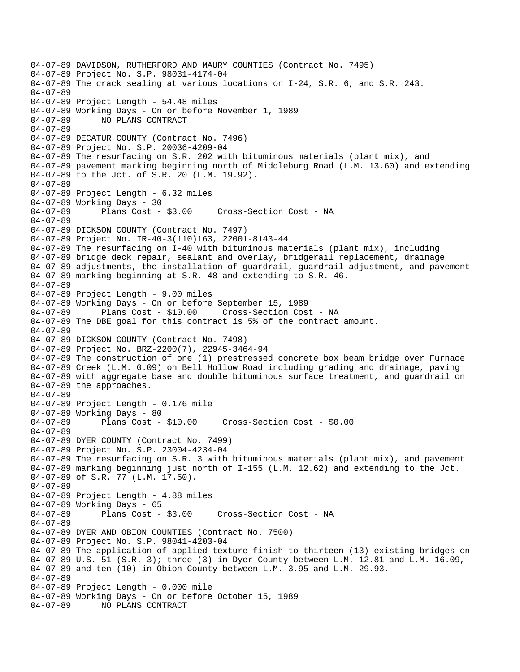04-07-89 DAVIDSON, RUTHERFORD AND MAURY COUNTIES (Contract No. 7495) 04-07-89 Project No. S.P. 98031-4174-04 04-07-89 The crack sealing at various locations on I-24, S.R. 6, and S.R. 243. 04-07-89 04-07-89 Project Length - 54.48 miles 04-07-89 Working Days - On or before November 1, 1989 04-07-89 NO PLANS CONTRACT 04-07-89 04-07-89 DECATUR COUNTY (Contract No. 7496) 04-07-89 Project No. S.P. 20036-4209-04 04-07-89 The resurfacing on S.R. 202 with bituminous materials (plant mix), and 04-07-89 pavement marking beginning north of Middleburg Road (L.M. 13.60) and extending 04-07-89 to the Jct. of S.R. 20 (L.M. 19.92). 04-07-89 04-07-89 Project Length - 6.32 miles 04-07-89 Working Days - 30 04-07-89 Plans Cost - \$3.00 Cross-Section Cost - NA 04-07-89 04-07-89 DICKSON COUNTY (Contract No. 7497) 04-07-89 Project No. IR-40-3(110)163, 22001-8143-44 04-07-89 The resurfacing on I-40 with bituminous materials (plant mix), including 04-07-89 bridge deck repair, sealant and overlay, bridgerail replacement, drainage 04-07-89 adjustments, the installation of guardrail, guardrail adjustment, and pavement 04-07-89 marking beginning at S.R. 48 and extending to S.R. 46. 04-07-89 04-07-89 Project Length - 9.00 miles 04-07-89 Working Days - On or before September 15, 1989 04-07-89 Plans Cost - \$10.00 Cross-Section Cost - NA 04-07-89 The DBE goal for this contract is 5% of the contract amount. 04-07-89 04-07-89 DICKSON COUNTY (Contract No. 7498) 04-07-89 Project No. BRZ-2200(7), 22945-3464-94 04-07-89 The construction of one (1) prestressed concrete box beam bridge over Furnace 04-07-89 Creek (L.M. 0.09) on Bell Hollow Road including grading and drainage, paving 04-07-89 with aggregate base and double bituminous surface treatment, and guardrail on 04-07-89 the approaches. 04-07-89 04-07-89 Project Length - 0.176 mile 04-07-89 Working Days - 80 04-07-89 Plans Cost - \$10.00 Cross-Section Cost - \$0.00 04-07-89 04-07-89 DYER COUNTY (Contract No. 7499) 04-07-89 Project No. S.P. 23004-4234-04 04-07-89 The resurfacing on S.R. 3 with bituminous materials (plant mix), and pavement 04-07-89 marking beginning just north of I-155 (L.M. 12.62) and extending to the Jct. 04-07-89 of S.R. 77 (L.M. 17.50). 04-07-89 04-07-89 Project Length - 4.88 miles 04-07-89 Working Days - 65 04-07-89 Plans Cost - \$3.00 Cross-Section Cost - NA 04-07-89 04-07-89 DYER AND OBION COUNTIES (Contract No. 7500) 04-07-89 Project No. S.P. 98041-4203-04 04-07-89 The application of applied texture finish to thirteen (13) existing bridges on 04-07-89 U.S. 51 (S.R. 3); three (3) in Dyer County between L.M. 12.81 and L.M. 16.09, 04-07-89 and ten (10) in Obion County between L.M. 3.95 and L.M. 29.93. 04-07-89 04-07-89 Project Length - 0.000 mile 04-07-89 Working Days - On or before October 15, 1989 04-07-89 NO PLANS CONTRACT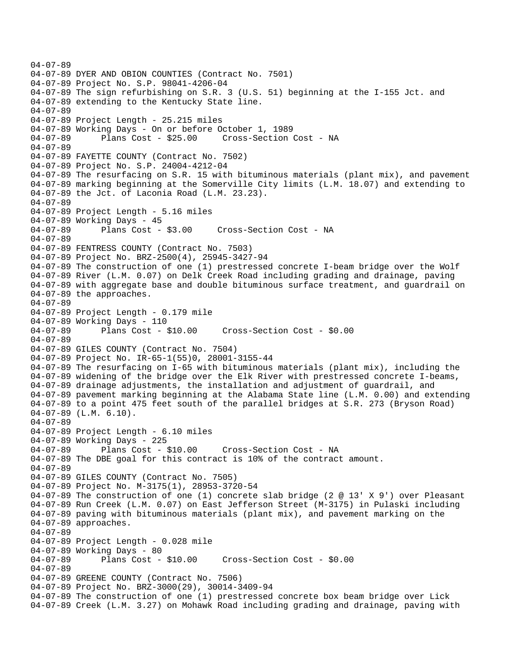04-07-89 04-07-89 DYER AND OBION COUNTIES (Contract No. 7501) 04-07-89 Project No. S.P. 98041-4206-04 04-07-89 The sign refurbishing on S.R. 3 (U.S. 51) beginning at the I-155 Jct. and 04-07-89 extending to the Kentucky State line. 04-07-89 04-07-89 Project Length - 25.215 miles 04-07-89 Working Days - On or before October 1, 1989 04-07-89 Plans Cost - \$25.00 Cross-Section Cost - NA 04-07-89 04-07-89 FAYETTE COUNTY (Contract No. 7502) 04-07-89 Project No. S.P. 24004-4212-04 04-07-89 The resurfacing on S.R. 15 with bituminous materials (plant mix), and pavement 04-07-89 marking beginning at the Somerville City limits (L.M. 18.07) and extending to 04-07-89 the Jct. of Laconia Road (L.M. 23.23). 04-07-89 04-07-89 Project Length - 5.16 miles 04-07-89 Working Days - 45 04-07-89 Plans Cost - \$3.00 Cross-Section Cost - NA 04-07-89 04-07-89 FENTRESS COUNTY (Contract No. 7503) 04-07-89 Project No. BRZ-2500(4), 25945-3427-94 04-07-89 The construction of one (1) prestressed concrete I-beam bridge over the Wolf 04-07-89 River (L.M. 0.07) on Delk Creek Road including grading and drainage, paving 04-07-89 with aggregate base and double bituminous surface treatment, and guardrail on 04-07-89 the approaches. 04-07-89 04-07-89 Project Length - 0.179 mile 04-07-89 Working Days - 110<br>04-07-89 Plans Cost - \$10.00 04-07-89 Plans Cost - \$10.00 Cross-Section Cost - \$0.00 04-07-89 04-07-89 GILES COUNTY (Contract No. 7504) 04-07-89 Project No. IR-65-1(55)0, 28001-3155-44 04-07-89 The resurfacing on I-65 with bituminous materials (plant mix), including the 04-07-89 widening of the bridge over the Elk River with prestressed concrete I-beams, 04-07-89 drainage adjustments, the installation and adjustment of guardrail, and 04-07-89 pavement marking beginning at the Alabama State line (L.M. 0.00) and extending 04-07-89 to a point 475 feet south of the parallel bridges at S.R. 273 (Bryson Road) 04-07-89 (L.M. 6.10). 04-07-89 04-07-89 Project Length - 6.10 miles 04-07-89 Working Days - 225 04-07-89 Plans Cost - \$10.00 Cross-Section Cost - NA 04-07-89 The DBE goal for this contract is 10% of the contract amount. 04-07-89 04-07-89 GILES COUNTY (Contract No. 7505) 04-07-89 Project No. M-3175(1), 28953-3720-54 04-07-89 The construction of one (1) concrete slab bridge (2 @ 13' X 9') over Pleasant 04-07-89 Run Creek (L.M. 0.07) on East Jefferson Street (M-3175) in Pulaski including 04-07-89 paving with bituminous materials (plant mix), and pavement marking on the 04-07-89 approaches. 04-07-89 04-07-89 Project Length - 0.028 mile 04-07-89 Working Days - 80 04-07-89 Plans Cost - \$10.00 Cross-Section Cost - \$0.00 04-07-89 04-07-89 GREENE COUNTY (Contract No. 7506) 04-07-89 Project No. BRZ-3000(29), 30014-3409-94 04-07-89 The construction of one (1) prestressed concrete box beam bridge over Lick 04-07-89 Creek (L.M. 3.27) on Mohawk Road including grading and drainage, paving with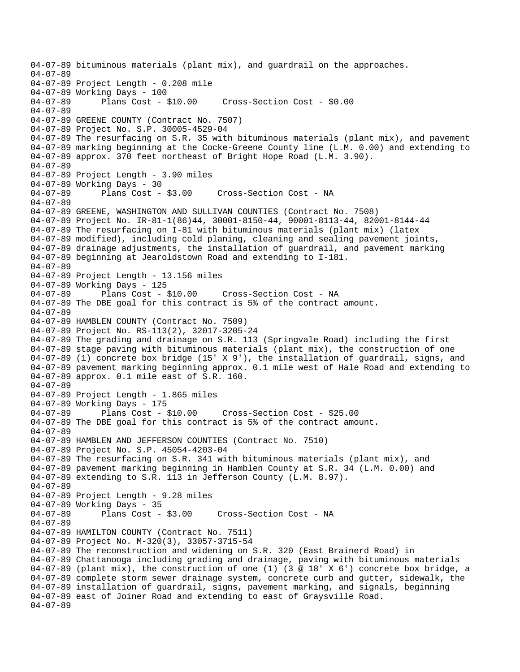04-07-89 bituminous materials (plant mix), and guardrail on the approaches. 04-07-89 04-07-89 Project Length - 0.208 mile 04-07-89 Working Days - 100<br>04-07-89 Plans Cost - \$10.00 04-07-89 Plans Cost - \$10.00 Cross-Section Cost - \$0.00 04-07-89 04-07-89 GREENE COUNTY (Contract No. 7507) 04-07-89 Project No. S.P. 30005-4529-04 04-07-89 The resurfacing on S.R. 35 with bituminous materials (plant mix), and pavement 04-07-89 marking beginning at the Cocke-Greene County line (L.M. 0.00) and extending to 04-07-89 approx. 370 feet northeast of Bright Hope Road (L.M. 3.90). 04-07-89 04-07-89 Project Length - 3.90 miles 04-07-89 Working Days - 30<br>04-07-89 Plans Cost - \$3.00 Cross-Section Cost - NA 04-07-89 04-07-89 GREENE, WASHINGTON AND SULLIVAN COUNTIES (Contract No. 7508) 04-07-89 Project No. IR-81-1(86)44, 30001-8150-44, 90001-8113-44, 82001-8144-44 04-07-89 The resurfacing on I-81 with bituminous materials (plant mix) (latex 04-07-89 modified), including cold planing, cleaning and sealing pavement joints, 04-07-89 drainage adjustments, the installation of guardrail, and pavement marking 04-07-89 beginning at Jearoldstown Road and extending to I-181. 04-07-89 04-07-89 Project Length - 13.156 miles 04-07-89 Working Days - 125 04-07-89 Plans Cost - \$10.00 Cross-Section Cost - NA 04-07-89 The DBE goal for this contract is 5% of the contract amount. 04-07-89 04-07-89 HAMBLEN COUNTY (Contract No. 7509) 04-07-89 Project No. RS-113(2), 32017-3205-24 04-07-89 The grading and drainage on S.R. 113 (Springvale Road) including the first 04-07-89 stage paving with bituminous materials (plant mix), the construction of one 04-07-89 (1) concrete box bridge (15' X 9'), the installation of guardrail, signs, and 04-07-89 pavement marking beginning approx. 0.1 mile west of Hale Road and extending to 04-07-89 approx. 0.1 mile east of S.R. 160. 04-07-89 04-07-89 Project Length - 1.865 miles 04-07-89 Working Days - 175 04-07-89 Plans Cost - \$10.00 Cross-Section Cost - \$25.00 04-07-89 The DBE goal for this contract is 5% of the contract amount. 04-07-89 04-07-89 HAMBLEN AND JEFFERSON COUNTIES (Contract No. 7510) 04-07-89 Project No. S.P. 45054-4203-04 04-07-89 The resurfacing on S.R. 341 with bituminous materials (plant mix), and 04-07-89 pavement marking beginning in Hamblen County at S.R. 34 (L.M. 0.00) and 04-07-89 extending to S.R. 113 in Jefferson County (L.M. 8.97). 04-07-89 04-07-89 Project Length - 9.28 miles 04-07-89 Working Days - 35<br>04-07-89 Plans Cost - \$3.00 04-07-89 Plans Cost - \$3.00 Cross-Section Cost - NA 04-07-89 04-07-89 HAMILTON COUNTY (Contract No. 7511) 04-07-89 Project No. M-320(3), 33057-3715-54 04-07-89 The reconstruction and widening on S.R. 320 (East Brainerd Road) in 04-07-89 Chattanooga including grading and drainage, paving with bituminous materials 04-07-89 (plant mix), the construction of one (1) (3 @ 18' X 6') concrete box bridge, a 04-07-89 complete storm sewer drainage system, concrete curb and gutter, sidewalk, the 04-07-89 installation of guardrail, signs, pavement marking, and signals, beginning 04-07-89 east of Joiner Road and extending to east of Graysville Road. 04-07-89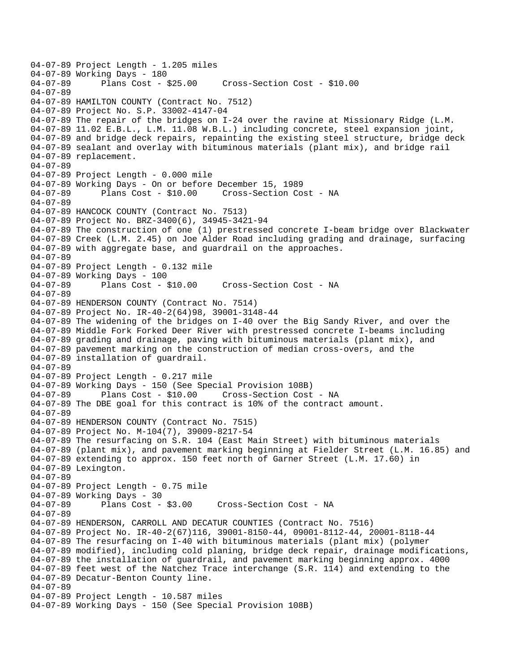```
04-07-89 Project Length - 1.205 miles 
04-07-89 Working Days - 180<br>04-07-89 Plans Cost - $25.00
                                       04-07-89 Plans Cost - $25.00 Cross-Section Cost - $10.00 
04-07-89 
04-07-89 HAMILTON COUNTY (Contract No. 7512) 
04-07-89 Project No. S.P. 33002-4147-04 
04-07-89 The repair of the bridges on I-24 over the ravine at Missionary Ridge (L.M. 
04-07-89 11.02 E.B.L., L.M. 11.08 W.B.L.) including concrete, steel expansion joint, 
04-07-89 and bridge deck repairs, repainting the existing steel structure, bridge deck 
04-07-89 sealant and overlay with bituminous materials (plant mix), and bridge rail 
04-07-89 replacement. 
04-07-89 
04-07-89 Project Length - 0.000 mile 
04-07-89 Working Days - On or before December 15, 1989 
04-07-89 Plans Cost - $10.00 Cross-Section Cost - NA 
04-07-89 
04-07-89 HANCOCK COUNTY (Contract No. 7513) 
04-07-89 Project No. BRZ-3400(6), 34945-3421-94 
04-07-89 The construction of one (1) prestressed concrete I-beam bridge over Blackwater 
04-07-89 Creek (L.M. 2.45) on Joe Alder Road including grading and drainage, surfacing 
04-07-89 with aggregate base, and guardrail on the approaches. 
04-07-89 
04-07-89 Project Length - 0.132 mile 
04-07-89 Working Days - 100<br>04-07-89 Plans Cost - $10.00
                                        Cross-Section Cost - NA
04-07-89 
04-07-89 HENDERSON COUNTY (Contract No. 7514) 
04-07-89 Project No. IR-40-2(64)98, 39001-3148-44 
04-07-89 The widening of the bridges on I-40 over the Big Sandy River, and over the 
04-07-89 Middle Fork Forked Deer River with prestressed concrete I-beams including 
04-07-89 grading and drainage, paving with bituminous materials (plant mix), and 
04-07-89 pavement marking on the construction of median cross-overs, and the 
04-07-89 installation of guardrail. 
04-07-89 
04-07-89 Project Length - 0.217 mile 
04-07-89 Working Days - 150 (See Special Provision 108B) 
04-07-89 Plans Cost - $10.00 Cross-Section Cost - NA 
04-07-89 The DBE goal for this contract is 10% of the contract amount. 
04-07-89 
04-07-89 HENDERSON COUNTY (Contract No. 7515) 
04-07-89 Project No. M-104(7), 39009-8217-54 
04-07-89 The resurfacing on S.R. 104 (East Main Street) with bituminous materials 
04-07-89 (plant mix), and pavement marking beginning at Fielder Street (L.M. 16.85) and 
04-07-89 extending to approx. 150 feet north of Garner Street (L.M. 17.60) in 
04-07-89 Lexington. 
04-07-89 
04-07-89 Project Length - 0.75 mile
04-07-89 Working Days - 30<br>04-07-89 Plans Cost - $3.00
                                      Cross-Section Cost - NA
04-07-89 
04-07-89 HENDERSON, CARROLL AND DECATUR COUNTIES (Contract No. 7516) 
04-07-89 Project No. IR-40-2(67)116, 39001-8150-44, 09001-8112-44, 20001-8118-44 
04-07-89 The resurfacing on I-40 with bituminous materials (plant mix) (polymer 
04-07-89 modified), including cold planing, bridge deck repair, drainage modifications, 
04-07-89 the installation of guardrail, and pavement marking beginning approx. 4000 
04-07-89 feet west of the Natchez Trace interchange (S.R. 114) and extending to the 
04-07-89 Decatur-Benton County line. 
04-07-89 
04-07-89 Project Length - 10.587 miles 
04-07-89 Working Days - 150 (See Special Provision 108B)
```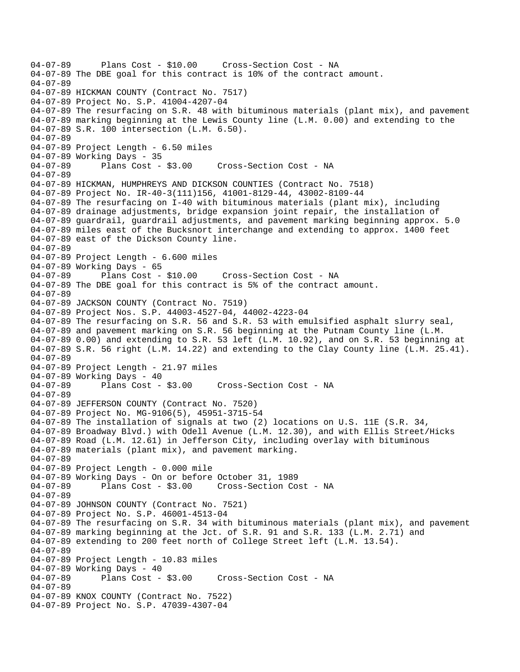04-07-89 Plans Cost - \$10.00 Cross-Section Cost - NA 04-07-89 The DBE goal for this contract is 10% of the contract amount. 04-07-89 04-07-89 HICKMAN COUNTY (Contract No. 7517) 04-07-89 Project No. S.P. 41004-4207-04 04-07-89 The resurfacing on S.R. 48 with bituminous materials (plant mix), and pavement 04-07-89 marking beginning at the Lewis County line (L.M. 0.00) and extending to the 04-07-89 S.R. 100 intersection (L.M. 6.50). 04-07-89 04-07-89 Project Length - 6.50 miles 04-07-89 Working Days - 35 04-07-89 Plans Cost - \$3.00 Cross-Section Cost - NA 04-07-89 04-07-89 HICKMAN, HUMPHREYS AND DICKSON COUNTIES (Contract No. 7518) 04-07-89 Project No. IR-40-3(111)156, 41001-8129-44, 43002-8109-44 04-07-89 The resurfacing on I-40 with bituminous materials (plant mix), including 04-07-89 drainage adjustments, bridge expansion joint repair, the installation of 04-07-89 guardrail, guardrail adjustments, and pavement marking beginning approx. 5.0 04-07-89 miles east of the Bucksnort interchange and extending to approx. 1400 feet 04-07-89 east of the Dickson County line. 04-07-89 04-07-89 Project Length - 6.600 miles 04-07-89 Working Days - 65 04-07-89 Plans Cost - \$10.00 Cross-Section Cost - NA 04-07-89 The DBE goal for this contract is 5% of the contract amount. 04-07-89 04-07-89 JACKSON COUNTY (Contract No. 7519) 04-07-89 Project Nos. S.P. 44003-4527-04, 44002-4223-04 04-07-89 The resurfacing on S.R. 56 and S.R. 53 with emulsified asphalt slurry seal, 04-07-89 and pavement marking on S.R. 56 beginning at the Putnam County line (L.M. 04-07-89 0.00) and extending to S.R. 53 left (L.M. 10.92), and on S.R. 53 beginning at 04-07-89 S.R. 56 right (L.M. 14.22) and extending to the Clay County line (L.M. 25.41). 04-07-89 04-07-89 Project Length - 21.97 miles 04-07-89 Working Days - 40 04-07-89 Plans Cost - \$3.00 Cross-Section Cost - NA 04-07-89 04-07-89 JEFFERSON COUNTY (Contract No. 7520) 04-07-89 Project No. MG-9106(5), 45951-3715-54 04-07-89 The installation of signals at two (2) locations on U.S. 11E (S.R. 34, 04-07-89 Broadway Blvd.) with Odell Avenue (L.M. 12.30), and with Ellis Street/Hicks 04-07-89 Road (L.M. 12.61) in Jefferson City, including overlay with bituminous 04-07-89 materials (plant mix), and pavement marking. 04-07-89 04-07-89 Project Length - 0.000 mile 04-07-89 Working Days - On or before October 31, 1989 04-07-89 Plans Cost - \$3.00 Cross-Section Cost - NA 04-07-89 04-07-89 JOHNSON COUNTY (Contract No. 7521) 04-07-89 Project No. S.P. 46001-4513-04 04-07-89 The resurfacing on S.R. 34 with bituminous materials (plant mix), and pavement 04-07-89 marking beginning at the Jct. of S.R. 91 and S.R. 133 (L.M. 2.71) and 04-07-89 extending to 200 feet north of College Street left (L.M. 13.54). 04-07-89 04-07-89 Project Length - 10.83 miles 04-07-89 Working Days - 40 04-07-89 Plans Cost - \$3.00 Cross-Section Cost - NA 04-07-89 04-07-89 KNOX COUNTY (Contract No. 7522) 04-07-89 Project No. S.P. 47039-4307-04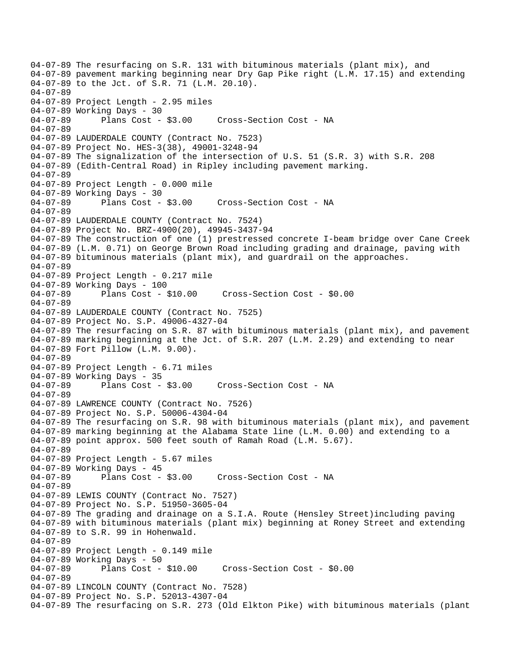04-07-89 The resurfacing on S.R. 131 with bituminous materials (plant mix), and 04-07-89 pavement marking beginning near Dry Gap Pike right (L.M. 17.15) and extending 04-07-89 to the Jct. of S.R. 71 (L.M. 20.10). 04-07-89 04-07-89 Project Length - 2.95 miles 04-07-89 Working Days - 30 04-07-89 Plans Cost - \$3.00 Cross-Section Cost - NA 04-07-89 04-07-89 LAUDERDALE COUNTY (Contract No. 7523) 04-07-89 Project No. HES-3(38), 49001-3248-94 04-07-89 The signalization of the intersection of U.S. 51 (S.R. 3) with S.R. 208 04-07-89 (Edith-Central Road) in Ripley including pavement marking. 04-07-89 04-07-89 Project Length - 0.000 mile 04-07-89 Working Days - 30 Cross-Section Cost - NA 04-07-89 04-07-89 LAUDERDALE COUNTY (Contract No. 7524) 04-07-89 Project No. BRZ-4900(20), 49945-3437-94 04-07-89 The construction of one (1) prestressed concrete I-beam bridge over Cane Creek 04-07-89 (L.M. 0.71) on George Brown Road including grading and drainage, paving with 04-07-89 bituminous materials (plant mix), and guardrail on the approaches. 04-07-89 04-07-89 Project Length - 0.217 mile 04-07-89 Working Days - 100<br>04-07-89 Plans Cost - \$10.00 04-07-89 Plans Cost - \$10.00 Cross-Section Cost - \$0.00 04-07-89 04-07-89 LAUDERDALE COUNTY (Contract No. 7525) 04-07-89 Project No. S.P. 49006-4327-04 04-07-89 The resurfacing on S.R. 87 with bituminous materials (plant mix), and pavement 04-07-89 marking beginning at the Jct. of S.R. 207 (L.M. 2.29) and extending to near 04-07-89 Fort Pillow (L.M. 9.00). 04-07-89 04-07-89 Project Length - 6.71 miles 04-07-89 Working Days - 35 04-07-89 Plans Cost - \$3.00 Cross-Section Cost - NA 04-07-89 04-07-89 LAWRENCE COUNTY (Contract No. 7526) 04-07-89 Project No. S.P. 50006-4304-04 04-07-89 The resurfacing on S.R. 98 with bituminous materials (plant mix), and pavement 04-07-89 marking beginning at the Alabama State line (L.M. 0.00) and extending to a 04-07-89 point approx. 500 feet south of Ramah Road (L.M. 5.67). 04-07-89 04-07-89 Project Length - 5.67 miles 04-07-89 Working Days - 45 04-07-89 Plans Cost - \$3.00 Cross-Section Cost - NA 04-07-89 04-07-89 LEWIS COUNTY (Contract No. 7527) 04-07-89 Project No. S.P. 51950-3605-04 04-07-89 The grading and drainage on a S.I.A. Route (Hensley Street)including paving 04-07-89 with bituminous materials (plant mix) beginning at Roney Street and extending 04-07-89 to S.R. 99 in Hohenwald. 04-07-89 04-07-89 Project Length - 0.149 mile 04-07-89 Working Days - 50 04-07-89 Plans Cost - \$10.00 Cross-Section Cost - \$0.00 04-07-89 04-07-89 LINCOLN COUNTY (Contract No. 7528) 04-07-89 Project No. S.P. 52013-4307-04 04-07-89 The resurfacing on S.R. 273 (Old Elkton Pike) with bituminous materials (plant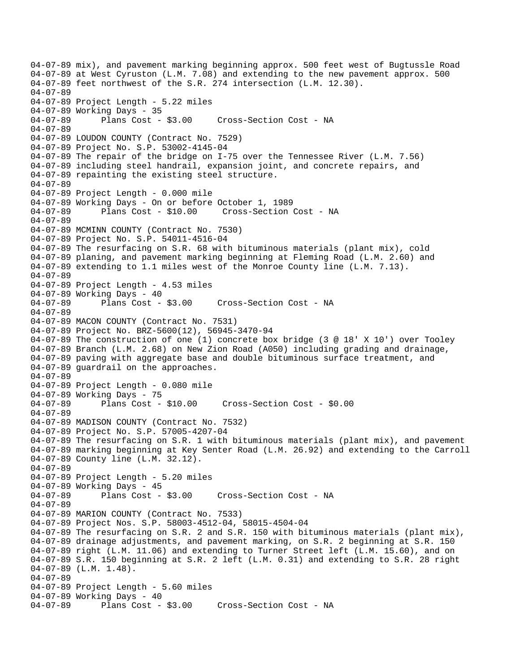04-07-89 mix), and pavement marking beginning approx. 500 feet west of Bugtussle Road 04-07-89 at West Cyruston (L.M. 7.08) and extending to the new pavement approx. 500 04-07-89 feet northwest of the S.R. 274 intersection (L.M. 12.30). 04-07-89 04-07-89 Project Length - 5.22 miles 04-07-89 Working Days - 35 04-07-89 Plans Cost - \$3.00 Cross-Section Cost - NA 04-07-89 04-07-89 LOUDON COUNTY (Contract No. 7529) 04-07-89 Project No. S.P. 53002-4145-04 04-07-89 The repair of the bridge on I-75 over the Tennessee River (L.M. 7.56) 04-07-89 including steel handrail, expansion joint, and concrete repairs, and 04-07-89 repainting the existing steel structure. 04-07-89 04-07-89 Project Length - 0.000 mile 04-07-89 Working Days - On or before October 1, 1989 04-07-89 Plans Cost - \$10.00 Cross-Section Cost - NA 04-07-89 04-07-89 MCMINN COUNTY (Contract No. 7530) 04-07-89 Project No. S.P. 54011-4516-04 04-07-89 The resurfacing on S.R. 68 with bituminous materials (plant mix), cold 04-07-89 planing, and pavement marking beginning at Fleming Road (L.M. 2.60) and 04-07-89 extending to 1.1 miles west of the Monroe County line (L.M. 7.13). 04-07-89 04-07-89 Project Length - 4.53 miles 04-07-89 Working Days - 40 04-07-89 Plans Cost - \$3.00 Cross-Section Cost - NA 04-07-89 04-07-89 MACON COUNTY (Contract No. 7531) 04-07-89 Project No. BRZ-5600(12), 56945-3470-94 04-07-89 The construction of one (1) concrete box bridge (3 @ 18' X 10') over Tooley 04-07-89 Branch (L.M. 2.68) on New Zion Road (A050) including grading and drainage, 04-07-89 paving with aggregate base and double bituminous surface treatment, and 04-07-89 guardrail on the approaches. 04-07-89 04-07-89 Project Length - 0.080 mile 04-07-89 Working Days - 75<br>04-07-89 Plans Cost - \$10.00 04-07-89 Plans Cost - \$10.00 Cross-Section Cost - \$0.00 04-07-89 04-07-89 MADISON COUNTY (Contract No. 7532) 04-07-89 Project No. S.P. 57005-4207-04 04-07-89 The resurfacing on S.R. 1 with bituminous materials (plant mix), and pavement 04-07-89 marking beginning at Key Senter Road (L.M. 26.92) and extending to the Carroll 04-07-89 County line (L.M. 32.12). 04-07-89 04-07-89 Project Length - 5.20 miles 04-07-89 Working Days - 45<br>04-07-89 Plans Cost - \$3.00 Cross-Section Cost - NA 04-07-89 04-07-89 MARION COUNTY (Contract No. 7533) 04-07-89 Project Nos. S.P. 58003-4512-04, 58015-4504-04 04-07-89 The resurfacing on S.R. 2 and S.R. 150 with bituminous materials (plant mix), 04-07-89 drainage adjustments, and pavement marking, on S.R. 2 beginning at S.R. 150 04-07-89 right (L.M. 11.06) and extending to Turner Street left (L.M. 15.60), and on 04-07-89 S.R. 150 beginning at S.R. 2 left (L.M. 0.31) and extending to S.R. 28 right 04-07-89 (L.M. 1.48). 04-07-89 04-07-89 Project Length - 5.60 miles 04-07-89 Working Days - 40 04-07-89 Plans Cost - \$3.00 Cross-Section Cost - NA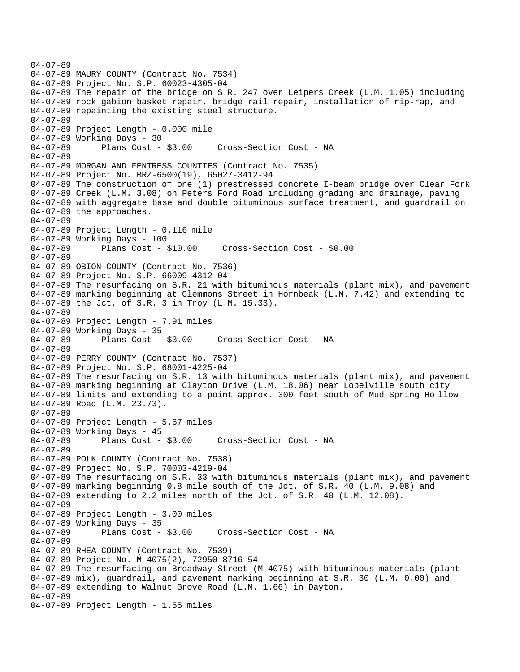```
04-07-89 
04-07-89 MAURY COUNTY (Contract No. 7534) 
04-07-89 Project No. S.P. 60023-4305-04 
04-07-89 The repair of the bridge on S.R. 247 over Leipers Creek (L.M. 1.05) including 
04-07-89 rock gabion basket repair, bridge rail repair, installation of rip-rap, and 
04-07-89 repainting the existing steel structure. 
04-07-89 
04-07-89 Project Length - 0.000 mile 
04-07-89 Working Days - 30 
04-07-89 Plans Cost - $3.00 Cross-Section Cost - NA 
04-07-89 
04-07-89 MORGAN AND FENTRESS COUNTIES (Contract No. 7535) 
04-07-89 Project No. BRZ-6500(19), 65027-3412-94 
04-07-89 The construction of one (1) prestressed concrete I-beam bridge over Clear Fork 
04-07-89 Creek (L.M. 3.08) on Peters Ford Road including grading and drainage, paving 
04-07-89 with aggregate base and double bituminous surface treatment, and guardrail on 
04-07-89 the approaches. 
04-07-89 
04-07-89 Project Length - 0.116 mile 
04-07-89 Working Days - 100 
04-07-89 Plans Cost - $10.00 Cross-Section Cost - $0.00 
04-07-89 
04-07-89 OBION COUNTY (Contract No. 7536) 
04-07-89 Project No. S.P. 66009-4312-04 
04-07-89 The resurfacing on S.R. 21 with bituminous materials (plant mix), and pavement 
04-07-89 marking beginning at Clemmons Street in Hornbeak (L.M. 7.42) and extending to 
04-07-89 the Jct. of S.R. 3 in Troy (L.M. 15.33). 
04-07-89 
04-07-89 Project Length - 7.91 miles
04-07-89 Working Days - 35<br>04-07-89 Plans Cost - $3.00
04-07-89 Plans Cost - $3.00 Cross-Section Cost - NA 
04-07-89 
04-07-89 PERRY COUNTY (Contract No. 7537) 
04-07-89 Project No. S.P. 68001-4225-04 
04-07-89 The resurfacing on S.R. 13 with bituminous materials (plant mix), and pavement 
04-07-89 marking beginning at Clayton Drive (L.M. 18.06) near Lobelville south city 
04-07-89 limits and extending to a point approx. 300 feet south of Mud Spring Ho llow 
04-07-89 Road (L.M. 23.73). 
04-07-89 
04-07-89 Project Length - 5.67 miles 
04-07-89 Working Days - 45 
04-07-89 Plans Cost - $3.00 Cross-Section Cost - NA 
04-07-89 
04-07-89 POLK COUNTY (Contract No. 7538) 
04-07-89 Project No. S.P. 70003-4219-04 
04-07-89 The resurfacing on S.R. 33 with bituminous materials (plant mix), and pavement 
04-07-89 marking beginning 0.8 mile south of the Jct. of S.R. 40 (L.M. 9.08) and 
04-07-89 extending to 2.2 miles north of the Jct. of S.R. 40 (L.M. 12.08). 
04-07-89 
04-07-89 Project Length - 3.00 miles 
04-07-89 Working Days - 35 
04-07-89 Plans Cost - $3.00 Cross-Section Cost - NA 
04-07-89 
04-07-89 RHEA COUNTY (Contract No. 7539) 
04-07-89 Project No. M-4075(2), 72950-8716-54 
04-07-89 The resurfacing on Broadway Street (M-4075) with bituminous materials (plant 
04-07-89 mix), guardrail, and pavement marking beginning at S.R. 30 (L.M. 0.00) and 
04-07-89 extending to Walnut Grove Road (L.M. 1.66) in Dayton. 
04-07-89 
04-07-89 Project Length - 1.55 miles
```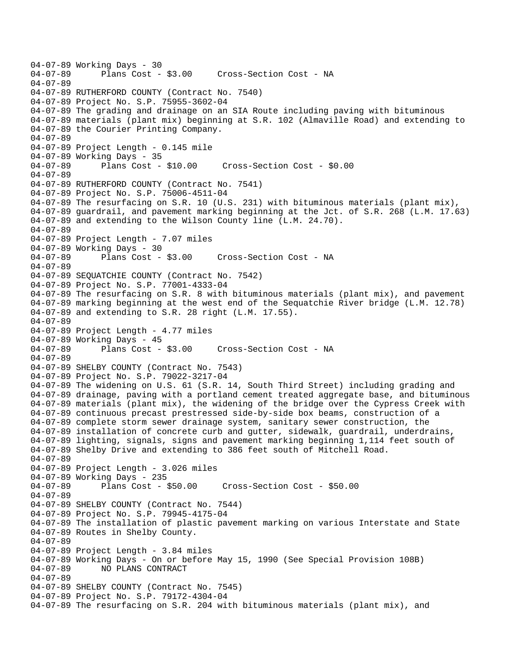04-07-89 Working Days - 30<br>04-07-89 Plans Cost -Plans Cost - \$3.00 Cross-Section Cost - NA 04-07-89 04-07-89 RUTHERFORD COUNTY (Contract No. 7540) 04-07-89 Project No. S.P. 75955-3602-04 04-07-89 The grading and drainage on an SIA Route including paving with bituminous 04-07-89 materials (plant mix) beginning at S.R. 102 (Almaville Road) and extending to 04-07-89 the Courier Printing Company. 04-07-89 04-07-89 Project Length - 0.145 mile 04-07-89 Working Days - 35 04-07-89 Plans Cost - \$10.00 Cross-Section Cost - \$0.00 04-07-89 04-07-89 RUTHERFORD COUNTY (Contract No. 7541) 04-07-89 Project No. S.P. 75006-4511-04 04-07-89 The resurfacing on S.R. 10 (U.S. 231) with bituminous materials (plant mix), 04-07-89 guardrail, and pavement marking beginning at the Jct. of S.R. 268 (L.M. 17.63) 04-07-89 and extending to the Wilson County line (L.M. 24.70). 04-07-89 04-07-89 Project Length - 7.07 miles 04-07-89 Working Days - 30 04-07-89 Plans Cost - \$3.00 Cross-Section Cost - NA 04-07-89 04-07-89 SEQUATCHIE COUNTY (Contract No. 7542) 04-07-89 Project No. S.P. 77001-4333-04 04-07-89 The resurfacing on S.R. 8 with bituminous materials (plant mix), and pavement 04-07-89 marking beginning at the west end of the Sequatchie River bridge (L.M. 12.78) 04-07-89 and extending to S.R. 28 right (L.M. 17.55). 04-07-89 04-07-89 Project Length - 4.77 miles 04-07-89 Working Days - 45 04-07-89 Plans Cost - \$3.00 Cross-Section Cost - NA 04-07-89 04-07-89 SHELBY COUNTY (Contract No. 7543) 04-07-89 Project No. S.P. 79022-3217-04 04-07-89 The widening on U.S. 61 (S.R. 14, South Third Street) including grading and 04-07-89 drainage, paving with a portland cement treated aggregate base, and bituminous 04-07-89 materials (plant mix), the widening of the bridge over the Cypress Creek with 04-07-89 continuous precast prestressed side-by-side box beams, construction of a 04-07-89 complete storm sewer drainage system, sanitary sewer construction, the 04-07-89 installation of concrete curb and gutter, sidewalk, guardrail, underdrains, 04-07-89 lighting, signals, signs and pavement marking beginning 1,114 feet south of 04-07-89 Shelby Drive and extending to 386 feet south of Mitchell Road. 04-07-89 04-07-89 Project Length - 3.026 miles 04-07-89 Working Days - 235 04-07-89 Plans Cost - \$50.00 Cross-Section Cost - \$50.00 04-07-89 04-07-89 SHELBY COUNTY (Contract No. 7544) 04-07-89 Project No. S.P. 79945-4175-04 04-07-89 The installation of plastic pavement marking on various Interstate and State 04-07-89 Routes in Shelby County. 04-07-89 04-07-89 Project Length - 3.84 miles 04-07-89 Working Days - On or before May 15, 1990 (See Special Provision 108B)<br>04-07-89 NO PLANS CONTRACT 04-07-89 NO PLANS CONTRACT 04-07-89 04-07-89 SHELBY COUNTY (Contract No. 7545) 04-07-89 Project No. S.P. 79172-4304-04 04-07-89 The resurfacing on S.R. 204 with bituminous materials (plant mix), and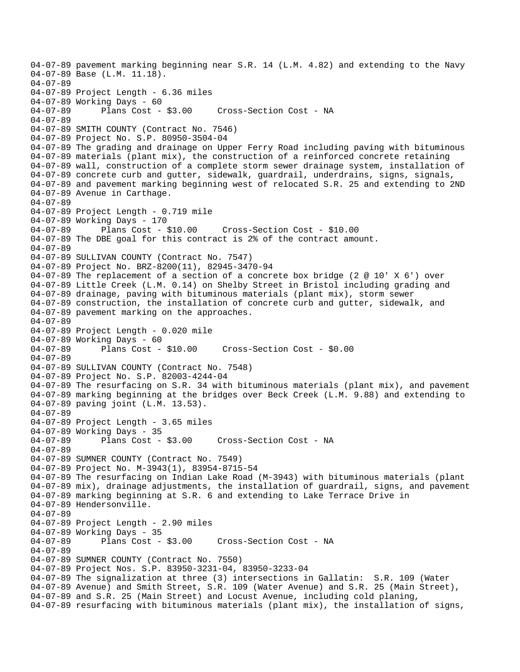04-07-89 pavement marking beginning near S.R. 14 (L.M. 4.82) and extending to the Navy 04-07-89 Base (L.M. 11.18). 04-07-89 04-07-89 Project Length - 6.36 miles 04-07-89 Working Days - 60 04-07-89 Plans Cost - \$3.00 Cross-Section Cost - NA 04-07-89 04-07-89 SMITH COUNTY (Contract No. 7546) 04-07-89 Project No. S.P. 80950-3504-04 04-07-89 The grading and drainage on Upper Ferry Road including paving with bituminous 04-07-89 materials (plant mix), the construction of a reinforced concrete retaining 04-07-89 wall, construction of a complete storm sewer drainage system, installation of 04-07-89 concrete curb and gutter, sidewalk, guardrail, underdrains, signs, signals, 04-07-89 and pavement marking beginning west of relocated S.R. 25 and extending to 2ND 04-07-89 Avenue in Carthage. 04-07-89 04-07-89 Project Length - 0.719 mile 04-07-89 Working Days - 170 04-07-89 Plans Cost - \$10.00 Cross-Section Cost - \$10.00 04-07-89 The DBE goal for this contract is 2% of the contract amount. 04-07-89 04-07-89 SULLIVAN COUNTY (Contract No. 7547) 04-07-89 Project No. BRZ-8200(11), 82945-3470-94 04-07-89 The replacement of a section of a concrete box bridge (2 @ 10' X 6') over 04-07-89 Little Creek (L.M. 0.14) on Shelby Street in Bristol including grading and 04-07-89 drainage, paving with bituminous materials (plant mix), storm sewer 04-07-89 construction, the installation of concrete curb and gutter, sidewalk, and 04-07-89 pavement marking on the approaches. 04-07-89 04-07-89 Project Length - 0.020 mile 04-07-89 Working Days - 60 04-07-89 Plans Cost - \$10.00 Cross-Section Cost - \$0.00 04-07-89 04-07-89 SULLIVAN COUNTY (Contract No. 7548) 04-07-89 Project No. S.P. 82003-4244-04 04-07-89 The resurfacing on S.R. 34 with bituminous materials (plant mix), and pavement 04-07-89 marking beginning at the bridges over Beck Creek (L.M. 9.88) and extending to 04-07-89 paving joint (L.M. 13.53). 04-07-89 04-07-89 Project Length - 3.65 miles 04-07-89 Working Days - 35 04-07-89 Plans Cost - \$3.00 Cross-Section Cost - NA 04-07-89 04-07-89 SUMNER COUNTY (Contract No. 7549) 04-07-89 Project No. M-3943(1), 83954-8715-54 04-07-89 The resurfacing on Indian Lake Road (M-3943) with bituminous materials (plant 04-07-89 mix), drainage adjustments, the installation of guardrail, signs, and pavement 04-07-89 marking beginning at S.R. 6 and extending to Lake Terrace Drive in 04-07-89 Hendersonville. 04-07-89 04-07-89 Project Length - 2.90 miles 04-07-89 Working Days - 35 04-07-89 Plans Cost - \$3.00 Cross-Section Cost - NA 04-07-89 04-07-89 SUMNER COUNTY (Contract No. 7550) 04-07-89 Project Nos. S.P. 83950-3231-04, 83950-3233-04 04-07-89 The signalization at three (3) intersections in Gallatin: S.R. 109 (Water 04-07-89 Avenue) and Smith Street, S.R. 109 (Water Avenue) and S.R. 25 (Main Street), 04-07-89 and S.R. 25 (Main Street) and Locust Avenue, including cold planing, 04-07-89 resurfacing with bituminous materials (plant mix), the installation of signs,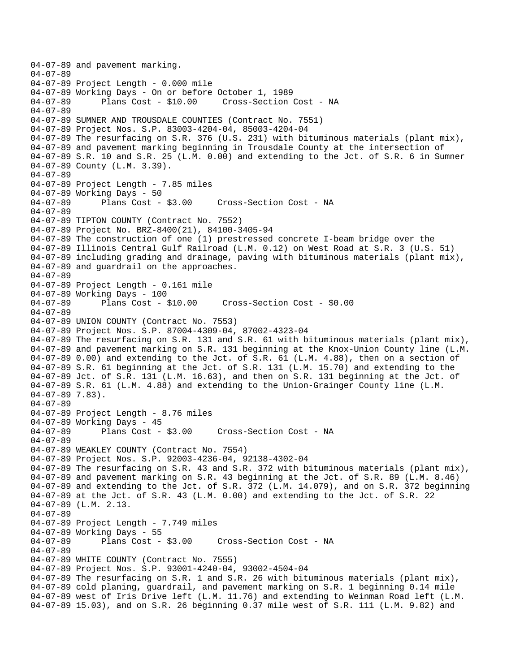04-07-89 and pavement marking. 04-07-89 04-07-89 Project Length - 0.000 mile 04-07-89 Working Days - On or before October 1, 1989 04-07-89 Plans Cost - \$10.00 Cross-Section Cost - NA 04-07-89 04-07-89 SUMNER AND TROUSDALE COUNTIES (Contract No. 7551) 04-07-89 Project Nos. S.P. 83003-4204-04, 85003-4204-04 04-07-89 The resurfacing on S.R. 376 (U.S. 231) with bituminous materials (plant mix), 04-07-89 and pavement marking beginning in Trousdale County at the intersection of 04-07-89 S.R. 10 and S.R. 25 (L.M. 0.00) and extending to the Jct. of S.R. 6 in Sumner 04-07-89 County (L.M. 3.39). 04-07-89 04-07-89 Project Length - 7.85 miles 04-07-89 Working Days - 50<br>04-07-89 Plans Cost - \$3.00 04-07-89 Plans Cost - \$3.00 Cross-Section Cost - NA 04-07-89 04-07-89 TIPTON COUNTY (Contract No. 7552) 04-07-89 Project No. BRZ-8400(21), 84100-3405-94 04-07-89 The construction of one (1) prestressed concrete I-beam bridge over the 04-07-89 Illinois Central Gulf Railroad (L.M. 0.12) on West Road at S.R. 3 (U.S. 51) 04-07-89 including grading and drainage, paving with bituminous materials (plant mix), 04-07-89 and guardrail on the approaches. 04-07-89 04-07-89 Project Length - 0.161 mile 04-07-89 Working Days - 100 04-07-89 Plans Cost - \$10.00 Cross-Section Cost - \$0.00 04-07-89 04-07-89 UNION COUNTY (Contract No. 7553) 04-07-89 Project Nos. S.P. 87004-4309-04, 87002-4323-04 04-07-89 The resurfacing on S.R. 131 and S.R. 61 with bituminous materials (plant mix), 04-07-89 and pavement marking on S.R. 131 beginning at the Knox-Union County line (L.M. 04-07-89 0.00) and extending to the Jct. of S.R. 61 (L.M. 4.88), then on a section of 04-07-89 S.R. 61 beginning at the Jct. of S.R. 131 (L.M. 15.70) and extending to the 04-07-89 Jct. of S.R. 131 (L.M. 16.63), and then on S.R. 131 beginning at the Jct. of 04-07-89 S.R. 61 (L.M. 4.88) and extending to the Union-Grainger County line (L.M. 04-07-89 7.83). 04-07-89 04-07-89 Project Length - 8.76 miles 04-07-89 Working Days - 45 04-07-89 Plans Cost - \$3.00 Cross-Section Cost - NA 04-07-89 04-07-89 WEAKLEY COUNTY (Contract No. 7554) 04-07-89 Project Nos. S.P. 92003-4236-04, 92138-4302-04 04-07-89 The resurfacing on S.R. 43 and S.R. 372 with bituminous materials (plant mix), 04-07-89 and pavement marking on S.R. 43 beginning at the Jct. of S.R. 89 (L.M. 8.46) 04-07-89 and extending to the Jct. of S.R. 372 (L.M. 14.079), and on S.R. 372 beginning 04-07-89 at the Jct. of S.R. 43 (L.M. 0.00) and extending to the Jct. of S.R. 22 04-07-89 (L.M. 2.13. 04-07-89 04-07-89 Project Length - 7.749 miles 04-07-89 Working Days - 55 04-07-89 Plans Cost - \$3.00 Cross-Section Cost - NA 04-07-89 04-07-89 WHITE COUNTY (Contract No. 7555) 04-07-89 Project Nos. S.P. 93001-4240-04, 93002-4504-04 04-07-89 The resurfacing on S.R. 1 and S.R. 26 with bituminous materials (plant mix), 04-07-89 cold planing, guardrail, and pavement marking on S.R. 1 beginning 0.14 mile 04-07-89 west of Iris Drive left (L.M. 11.76) and extending to Weinman Road left (L.M. 04-07-89 15.03), and on S.R. 26 beginning 0.37 mile west of S.R. 111 (L.M. 9.82) and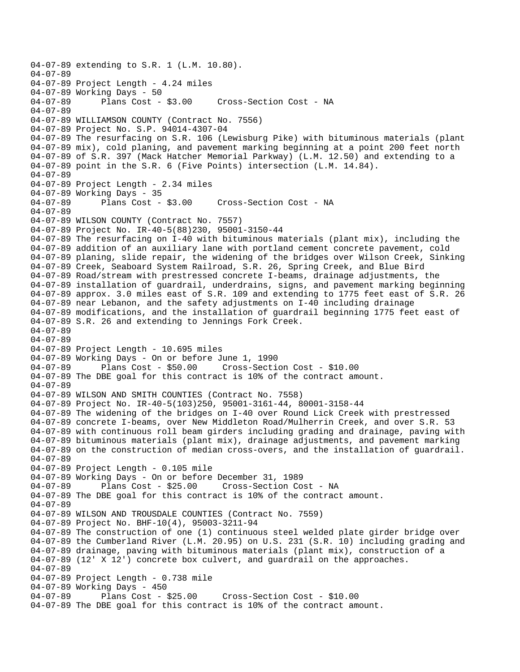04-07-89 extending to S.R. 1 (L.M. 10.80). 04-07-89 04-07-89 Project Length - 4.24 miles 04-07-89 Working Days - 50<br>04-07-89 Plans Cost - \$3.00 Cross-Section Cost - NA 04-07-89 04-07-89 WILLIAMSON COUNTY (Contract No. 7556) 04-07-89 Project No. S.P. 94014-4307-04 04-07-89 The resurfacing on S.R. 106 (Lewisburg Pike) with bituminous materials (plant 04-07-89 mix), cold planing, and pavement marking beginning at a point 200 feet north 04-07-89 of S.R. 397 (Mack Hatcher Memorial Parkway) (L.M. 12.50) and extending to a 04-07-89 point in the S.R. 6 (Five Points) intersection (L.M. 14.84). 04-07-89 04-07-89 Project Length - 2.34 miles 04-07-89 Working Days - 35 Cross-Section Cost - NA 04-07-89 04-07-89 WILSON COUNTY (Contract No. 7557) 04-07-89 Project No. IR-40-5(88)230, 95001-3150-44 04-07-89 The resurfacing on I-40 with bituminous materials (plant mix), including the 04-07-89 addition of an auxiliary lane with portland cement concrete pavement, cold 04-07-89 planing, slide repair, the widening of the bridges over Wilson Creek, Sinking 04-07-89 Creek, Seaboard System Railroad, S.R. 26, Spring Creek, and Blue Bird 04-07-89 Road/stream with prestressed concrete I-beams, drainage adjustments, the 04-07-89 installation of guardrail, underdrains, signs, and pavement marking beginning 04-07-89 approx. 3.0 miles east of S.R. 109 and extending to 1775 feet east of S.R. 26 04-07-89 near Lebanon, and the safety adjustments on I-40 including drainage 04-07-89 modifications, and the installation of guardrail beginning 1775 feet east of 04-07-89 S.R. 26 and extending to Jennings Fork Creek. 04-07-89 04-07-89 04-07-89 Project Length - 10.695 miles 04-07-89 Working Days - On or before June 1, 1990 04-07-89 Plans Cost - \$50.00 Cross-Section Cost - \$10.00 04-07-89 The DBE goal for this contract is 10% of the contract amount. 04-07-89 04-07-89 WILSON AND SMITH COUNTIES (Contract No. 7558) 04-07-89 Project No. IR-40-5(103)250, 95001-3161-44, 80001-3158-44 04-07-89 The widening of the bridges on I-40 over Round Lick Creek with prestressed 04-07-89 concrete I-beams, over New Middleton Road/Mulherrin Creek, and over S.R. 53 04-07-89 with continuous roll beam girders including grading and drainage, paving with 04-07-89 bituminous materials (plant mix), drainage adjustments, and pavement marking 04-07-89 on the construction of median cross-overs, and the installation of guardrail. 04-07-89 04-07-89 Project Length - 0.105 mile 04-07-89 Working Days - On or before December 31, 1989 04-07-89 Plans Cost - \$25.00 Cross-Section Cost - NA 04-07-89 The DBE goal for this contract is 10% of the contract amount. 04-07-89 04-07-89 WILSON AND TROUSDALE COUNTIES (Contract No. 7559) 04-07-89 Project No. BHF-10(4), 95003-3211-94 04-07-89 The construction of one (1) continuous steel welded plate girder bridge over 04-07-89 the Cumberland River (L.M. 20.95) on U.S. 231 (S.R. 10) including grading and 04-07-89 drainage, paving with bituminous materials (plant mix), construction of a 04-07-89 (12' X 12') concrete box culvert, and guardrail on the approaches. 04-07-89 04-07-89 Project Length - 0.738 mile 04-07-89 Working Days - 450 04-07-89 Plans Cost - \$25.00 Cross-Section Cost - \$10.00 04-07-89 The DBE goal for this contract is 10% of the contract amount.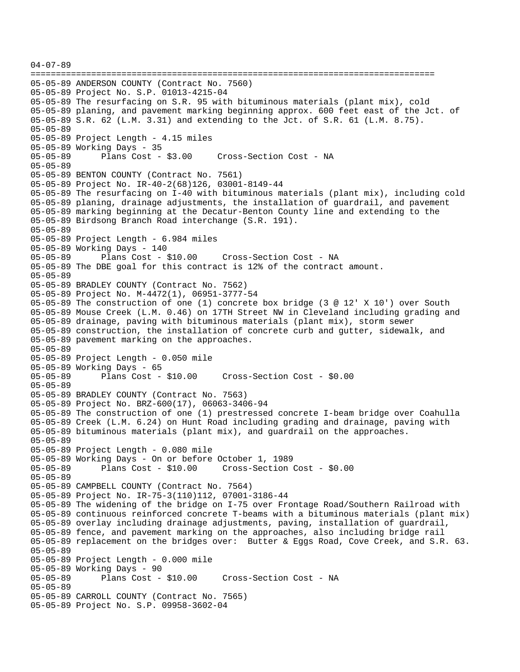```
04-07-89 
================================================================================ 
05-05-89 ANDERSON COUNTY (Contract No. 7560) 
05-05-89 Project No. S.P. 01013-4215-04 
05-05-89 The resurfacing on S.R. 95 with bituminous materials (plant mix), cold 
05-05-89 planing, and pavement marking beginning approx. 600 feet east of the Jct. of 
05-05-89 S.R. 62 (L.M. 3.31) and extending to the Jct. of S.R. 61 (L.M. 8.75). 
05-05-89 
05-05-89 Project Length - 4.15 miles 
05-05-89 Working Days - 35 
05-05-89 Plans Cost - $3.00 Cross-Section Cost - NA 
05-05-89 
05-05-89 BENTON COUNTY (Contract No. 7561) 
05-05-89 Project No. IR-40-2(68)126, 03001-8149-44 
05-05-89 The resurfacing on I-40 with bituminous materials (plant mix), including cold 
05-05-89 planing, drainage adjustments, the installation of guardrail, and pavement 
05-05-89 marking beginning at the Decatur-Benton County line and extending to the 
05-05-89 Birdsong Branch Road interchange (S.R. 191). 
05-05-89 
05-05-89 Project Length - 6.984 miles 
05-05-89 Working Days - 140 
05-05-89 Plans Cost - $10.00 Cross-Section Cost - NA 
05-05-89 The DBE goal for this contract is 12% of the contract amount. 
05-05-89 
05-05-89 BRADLEY COUNTY (Contract No. 7562) 
05-05-89 Project No. M-4472(1), 06951-3777-54 
05-05-89 The construction of one (1) concrete box bridge (3 @ 12' X 10') over South 
05-05-89 Mouse Creek (L.M. 0.46) on 17TH Street NW in Cleveland including grading and 
05-05-89 drainage, paving with bituminous materials (plant mix), storm sewer 
05-05-89 construction, the installation of concrete curb and gutter, sidewalk, and 
05-05-89 pavement marking on the approaches. 
05-05-89 
05-05-89 Project Length - 0.050 mile 
05-05-89 Working Days - 65 
                                       05-05-89 Plans Cost - $10.00 Cross-Section Cost - $0.00 
05-05-89 
05-05-89 BRADLEY COUNTY (Contract No. 7563) 
05-05-89 Project No. BRZ-600(17), 06063-3406-94 
05-05-89 The construction of one (1) prestressed concrete I-beam bridge over Coahulla 
05-05-89 Creek (L.M. 6.24) on Hunt Road including grading and drainage, paving with 
05-05-89 bituminous materials (plant mix), and guardrail on the approaches. 
05-05-89 
05-05-89 Project Length - 0.080 mile 
05-05-89 Working Days - On or before October 1, 1989 
                                     05-05-89 Plans Cost - $10.00 Cross-Section Cost - $0.00 
05-05-89 
05-05-89 CAMPBELL COUNTY (Contract No. 7564) 
05-05-89 Project No. IR-75-3(110)112, 07001-3186-44 
05-05-89 The widening of the bridge on I-75 over Frontage Road/Southern Railroad with 
05-05-89 continuous reinforced concrete T-beams with a bituminous materials (plant mix) 
05-05-89 overlay including drainage adjustments, paving, installation of guardrail, 
05-05-89 fence, and pavement marking on the approaches, also including bridge rail 
05-05-89 replacement on the bridges over: Butter & Eggs Road, Cove Creek, and S.R. 63. 
05-05-89 
05-05-89 Project Length - 0.000 mile 
05-05-89 Working Days - 90 
05-05-89 Plans Cost - $10.00 Cross-Section Cost - NA 
05-05-89 
05-05-89 CARROLL COUNTY (Contract No. 7565) 
05-05-89 Project No. S.P. 09958-3602-04
```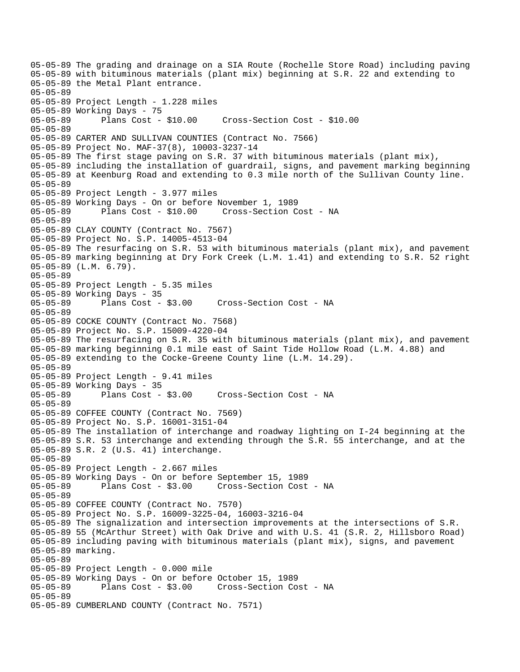05-05-89 The grading and drainage on a SIA Route (Rochelle Store Road) including paving 05-05-89 with bituminous materials (plant mix) beginning at S.R. 22 and extending to 05-05-89 the Metal Plant entrance. 05-05-89 05-05-89 Project Length - 1.228 miles 05-05-89 Working Days - 75<br>05-05-89 Plans Cost - \$10.00 05-05-89 Plans Cost - \$10.00 Cross-Section Cost - \$10.00 05-05-89 05-05-89 CARTER AND SULLIVAN COUNTIES (Contract No. 7566) 05-05-89 Project No. MAF-37(8), 10003-3237-14 05-05-89 The first stage paving on S.R. 37 with bituminous materials (plant mix), 05-05-89 including the installation of guardrail, signs, and pavement marking beginning 05-05-89 at Keenburg Road and extending to 0.3 mile north of the Sullivan County line. 05-05-89 05-05-89 Project Length - 3.977 miles 05-05-89 Working Days - On or before November 1, 1989 05-05-89 Plans Cost - \$10.00 Cross-Section Cost - NA 05-05-89 05-05-89 CLAY COUNTY (Contract No. 7567) 05-05-89 Project No. S.P. 14005-4513-04 05-05-89 The resurfacing on S.R. 53 with bituminous materials (plant mix), and pavement 05-05-89 marking beginning at Dry Fork Creek (L.M. 1.41) and extending to S.R. 52 right 05-05-89 (L.M. 6.79). 05-05-89 05-05-89 Project Length - 5.35 miles 05-05-89 Working Days - 35 05-05-89 Plans Cost - \$3.00 Cross-Section Cost - NA 05-05-89 05-05-89 COCKE COUNTY (Contract No. 7568) 05-05-89 Project No. S.P. 15009-4220-04 05-05-89 The resurfacing on S.R. 35 with bituminous materials (plant mix), and pavement 05-05-89 marking beginning 0.1 mile east of Saint Tide Hollow Road (L.M. 4.88) and 05-05-89 extending to the Cocke-Greene County line (L.M. 14.29). 05-05-89 05-05-89 Project Length - 9.41 miles 05-05-89 Working Days - 35 05-05-89 Plans Cost - \$3.00 Cross-Section Cost - NA 05-05-89 05-05-89 COFFEE COUNTY (Contract No. 7569) 05-05-89 Project No. S.P. 16001-3151-04 05-05-89 The installation of interchange and roadway lighting on I-24 beginning at the 05-05-89 S.R. 53 interchange and extending through the S.R. 55 interchange, and at the 05-05-89 S.R. 2 (U.S. 41) interchange. 05-05-89 05-05-89 Project Length - 2.667 miles 05-05-89 Working Days - On or before September 15, 1989 05-05-89 Plans Cost - \$3.00 Cross-Section Cost - NA 05-05-89 05-05-89 COFFEE COUNTY (Contract No. 7570) 05-05-89 Project No. S.P. 16009-3225-04, 16003-3216-04 05-05-89 The signalization and intersection improvements at the intersections of S.R. 05-05-89 55 (McArthur Street) with Oak Drive and with U.S. 41 (S.R. 2, Hillsboro Road) 05-05-89 including paving with bituminous materials (plant mix), signs, and pavement 05-05-89 marking. 05-05-89 05-05-89 Project Length - 0.000 mile 05-05-89 Working Days - On or before October 15, 1989 Cross-Section Cost - NA 05-05-89 05-05-89 CUMBERLAND COUNTY (Contract No. 7571)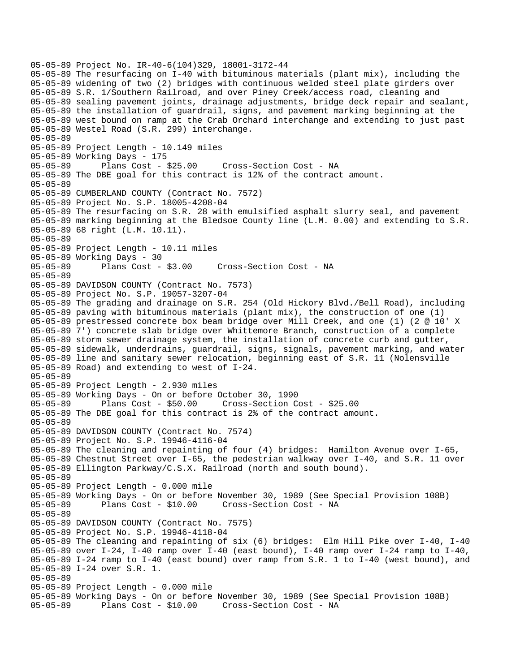05-05-89 Project No. IR-40-6(104)329, 18001-3172-44 05-05-89 The resurfacing on I-40 with bituminous materials (plant mix), including the 05-05-89 widening of two (2) bridges with continuous welded steel plate girders over 05-05-89 S.R. 1/Southern Railroad, and over Piney Creek/access road, cleaning and 05-05-89 sealing pavement joints, drainage adjustments, bridge deck repair and sealant, 05-05-89 the installation of guardrail, signs, and pavement marking beginning at the 05-05-89 west bound on ramp at the Crab Orchard interchange and extending to just past 05-05-89 Westel Road (S.R. 299) interchange. 05-05-89 05-05-89 Project Length - 10.149 miles 05-05-89 Working Days - 175 05-05-89 Plans Cost - \$25.00 Cross-Section Cost - NA 05-05-89 The DBE goal for this contract is 12% of the contract amount. 05-05-89 05-05-89 CUMBERLAND COUNTY (Contract No. 7572) 05-05-89 Project No. S.P. 18005-4208-04 05-05-89 The resurfacing on S.R. 28 with emulsified asphalt slurry seal, and pavement 05-05-89 marking beginning at the Bledsoe County line (L.M. 0.00) and extending to S.R. 05-05-89 68 right (L.M. 10.11). 05-05-89 05-05-89 Project Length - 10.11 miles 05-05-89 Working Days - 30<br>05-05-89 Plans Cost - \$3.00 05-05-89 Plans Cost - \$3.00 Cross-Section Cost - NA 05-05-89 05-05-89 DAVIDSON COUNTY (Contract No. 7573) 05-05-89 Project No. S.P. 19057-3207-04 05-05-89 The grading and drainage on S.R. 254 (Old Hickory Blvd./Bell Road), including 05-05-89 paving with bituminous materials (plant mix), the construction of one (1) 05-05-89 prestressed concrete box beam bridge over Mill Creek, and one (1) (2 @ 10' X 05-05-89 7') concrete slab bridge over Whittemore Branch, construction of a complete 05-05-89 storm sewer drainage system, the installation of concrete curb and gutter, 05-05-89 sidewalk, underdrains, guardrail, signs, signals, pavement marking, and water 05-05-89 line and sanitary sewer relocation, beginning east of S.R. 11 (Nolensville 05-05-89 Road) and extending to west of I-24. 05-05-89 05-05-89 Project Length - 2.930 miles 05-05-89 Working Days - On or before October 30, 1990 05-05-89 Plans Cost - \$50.00 Cross-Section Cost - \$25.00 05-05-89 The DBE goal for this contract is 2% of the contract amount. 05-05-89 05-05-89 DAVIDSON COUNTY (Contract No. 7574) 05-05-89 Project No. S.P. 19946-4116-04 05-05-89 The cleaning and repainting of four (4) bridges: Hamilton Avenue over I-65, 05-05-89 Chestnut Street over I-65, the pedestrian walkway over I-40, and S.R. 11 over 05-05-89 Ellington Parkway/C.S.X. Railroad (north and south bound). 05-05-89 05-05-89 Project Length - 0.000 mile 05-05-89 Working Days - On or before November 30, 1989 (See Special Provision 108B) Cross-Section Cost - NA 05-05-89 05-05-89 DAVIDSON COUNTY (Contract No. 7575) 05-05-89 Project No. S.P. 19946-4118-04 05-05-89 The cleaning and repainting of six (6) bridges: Elm Hill Pike over I-40, I-40 05-05-89 over I-24, I-40 ramp over I-40 (east bound), I-40 ramp over I-24 ramp to I-40, 05-05-89 I-24 ramp to I-40 (east bound) over ramp from S.R. 1 to I-40 (west bound), and 05-05-89 I-24 over S.R. 1. 05-05-89 05-05-89 Project Length - 0.000 mile 05-05-89 Working Days - On or before November 30, 1989 (See Special Provision 108B) 05-05-89 Plans Cost - \$10.00 Cross-Section Cost - NA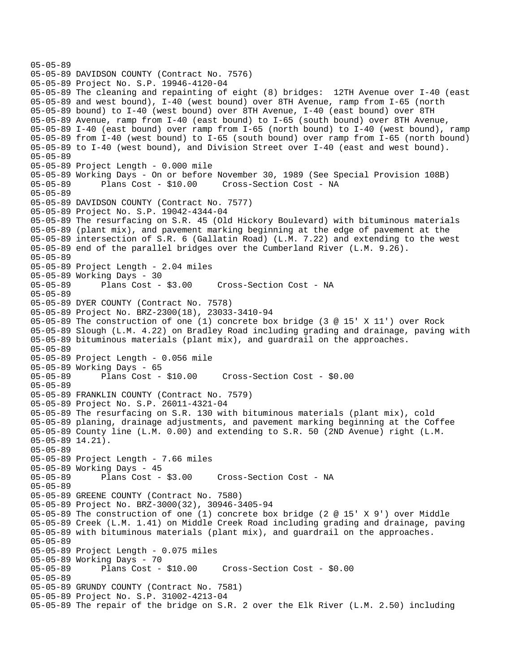```
05-05-89 
05-05-89 DAVIDSON COUNTY (Contract No. 7576) 
05-05-89 Project No. S.P. 19946-4120-04 
05-05-89 The cleaning and repainting of eight (8) bridges: 12TH Avenue over I-40 (east 
05-05-89 and west bound), I-40 (west bound) over 8TH Avenue, ramp from I-65 (north 
05-05-89 bound) to I-40 (west bound) over 8TH Avenue, I-40 (east bound) over 8TH 
05-05-89 Avenue, ramp from I-40 (east bound) to I-65 (south bound) over 8TH Avenue, 
05-05-89 I-40 (east bound) over ramp from I-65 (north bound) to I-40 (west bound), ramp 
05-05-89 from I-40 (west bound) to I-65 (south bound) over ramp from I-65 (north bound) 
05-05-89 to I-40 (west bound), and Division Street over I-40 (east and west bound). 
05-05-89 
05-05-89 Project Length - 0.000 mile 
05-05-89 Working Days - On or before November 30, 1989 (See Special Provision 108B) 
05-05-89 Plans Cost - $10.00 Cross-Section Cost - NA 
05-05-89 
05-05-89 DAVIDSON COUNTY (Contract No. 7577) 
05-05-89 Project No. S.P. 19042-4344-04 
05-05-89 The resurfacing on S.R. 45 (Old Hickory Boulevard) with bituminous materials 
05-05-89 (plant mix), and pavement marking beginning at the edge of pavement at the 
05-05-89 intersection of S.R. 6 (Gallatin Road) (L.M. 7.22) and extending to the west 
05-05-89 end of the parallel bridges over the Cumberland River (L.M. 9.26). 
05-05-89 
05-05-89 Project Length - 2.04 miles 
05-05-89 Working Days - 30<br>05-05-89 Plans Cost - $3.00
                                    Cross-Section Cost - NA
05-05-89 
05-05-89 DYER COUNTY (Contract No. 7578) 
05-05-89 Project No. BRZ-2300(18), 23033-3410-94 
05-05-89 The construction of one (1) concrete box bridge (3 @ 15' X 11') over Rock 
05-05-89 Slough (L.M. 4.22) on Bradley Road including grading and drainage, paving with 
05-05-89 bituminous materials (plant mix), and guardrail on the approaches. 
05-05-89 
05-05-89 Project Length - 0.056 mile 
05-05-89 Working Days - 65 
                                      05-05-89 Plans Cost - $10.00 Cross-Section Cost - $0.00 
05-05-89 
05-05-89 FRANKLIN COUNTY (Contract No. 7579) 
05-05-89 Project No. S.P. 26011-4321-04 
05-05-89 The resurfacing on S.R. 130 with bituminous materials (plant mix), cold 
05-05-89 planing, drainage adjustments, and pavement marking beginning at the Coffee 
05-05-89 County line (L.M. 0.00) and extending to S.R. 50 (2ND Avenue) right (L.M. 
05-05-89 14.21). 
05-05-89 
05-05-89 Project Length - 7.66 miles 
05-05-89 Working Days - 45 
05-05-89 Plans Cost - $3.00 Cross-Section Cost - NA 
05-05-89 
05-05-89 GREENE COUNTY (Contract No. 7580) 
05-05-89 Project No. BRZ-3000(32), 30946-3405-94 
05-05-89 The construction of one (1) concrete box bridge (2 @ 15' X 9') over Middle 
05-05-89 Creek (L.M. 1.41) on Middle Creek Road including grading and drainage, paving 
05-05-89 with bituminous materials (plant mix), and guardrail on the approaches. 
05-05-89 
05-05-89 Project Length - 0.075 miles 
05-05-89 Working Days - 70 
05-05-89 Plans Cost - $10.00 Cross-Section Cost - $0.00 
05-05-89 
05-05-89 GRUNDY COUNTY (Contract No. 7581) 
05-05-89 Project No. S.P. 31002-4213-04 
05-05-89 The repair of the bridge on S.R. 2 over the Elk River (L.M. 2.50) including
```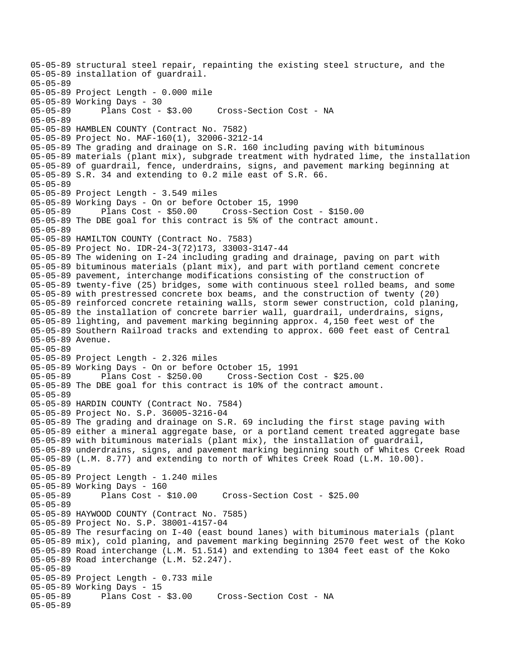05-05-89 structural steel repair, repainting the existing steel structure, and the 05-05-89 installation of guardrail. 05-05-89 05-05-89 Project Length - 0.000 mile 05-05-89 Working Days - 30 05-05-89 Plans Cost - \$3.00 Cross-Section Cost - NA 05-05-89 05-05-89 HAMBLEN COUNTY (Contract No. 7582) 05-05-89 Project No. MAF-160(1), 32006-3212-14 05-05-89 The grading and drainage on S.R. 160 including paving with bituminous 05-05-89 materials (plant mix), subgrade treatment with hydrated lime, the installation 05-05-89 of guardrail, fence, underdrains, signs, and pavement marking beginning at 05-05-89 S.R. 34 and extending to 0.2 mile east of S.R. 66. 05-05-89 05-05-89 Project Length - 3.549 miles 05-05-89 Working Days - On or before October 15, 1990 05-05-89 Plans Cost - \$50.00 Cross-Section Cost - \$150.00 05-05-89 The DBE goal for this contract is 5% of the contract amount. 05-05-89 05-05-89 HAMILTON COUNTY (Contract No. 7583) 05-05-89 Project No. IDR-24-3(72)173, 33003-3147-44 05-05-89 The widening on I-24 including grading and drainage, paving on part with 05-05-89 bituminous materials (plant mix), and part with portland cement concrete 05-05-89 pavement, interchange modifications consisting of the construction of 05-05-89 twenty-five (25) bridges, some with continuous steel rolled beams, and some 05-05-89 with prestressed concrete box beams, and the construction of twenty (20) 05-05-89 reinforced concrete retaining walls, storm sewer construction, cold planing, 05-05-89 the installation of concrete barrier wall, guardrail, underdrains, signs, 05-05-89 lighting, and pavement marking beginning approx. 4,150 feet west of the 05-05-89 Southern Railroad tracks and extending to approx. 600 feet east of Central 05-05-89 Avenue. 05-05-89 05-05-89 Project Length - 2.326 miles 05-05-89 Working Days - On or before October 15, 1991 Plans Cost - \$250.00 Cross-Section Cost - \$25.00 05-05-89 The DBE goal for this contract is 10% of the contract amount. 05-05-89 05-05-89 HARDIN COUNTY (Contract No. 7584) 05-05-89 Project No. S.P. 36005-3216-04 05-05-89 The grading and drainage on S.R. 69 including the first stage paving with 05-05-89 either a mineral aggregate base, or a portland cement treated aggregate base 05-05-89 with bituminous materials (plant mix), the installation of guardrail, 05-05-89 underdrains, signs, and pavement marking beginning south of Whites Creek Road 05-05-89 (L.M. 8.77) and extending to north of Whites Creek Road (L.M. 10.00). 05-05-89 05-05-89 Project Length - 1.240 miles 05-05-89 Working Days - 160 05-05-89 Plans Cost - \$10.00 Cross-Section Cost - \$25.00 05-05-89 05-05-89 HAYWOOD COUNTY (Contract No. 7585) 05-05-89 Project No. S.P. 38001-4157-04 05-05-89 The resurfacing on I-40 (east bound lanes) with bituminous materials (plant 05-05-89 mix), cold planing, and pavement marking beginning 2570 feet west of the Koko 05-05-89 Road interchange (L.M. 51.514) and extending to 1304 feet east of the Koko 05-05-89 Road interchange (L.M. 52.247). 05-05-89 05-05-89 Project Length - 0.733 mile 05-05-89 Working Days - 15 Cross-Section Cost - NA 05-05-89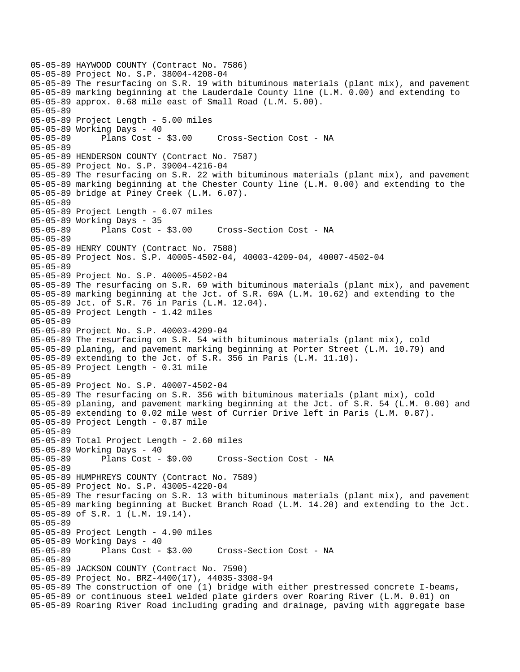05-05-89 HAYWOOD COUNTY (Contract No. 7586) 05-05-89 Project No. S.P. 38004-4208-04 05-05-89 The resurfacing on S.R. 19 with bituminous materials (plant mix), and pavement 05-05-89 marking beginning at the Lauderdale County line (L.M. 0.00) and extending to 05-05-89 approx. 0.68 mile east of Small Road (L.M. 5.00). 05-05-89 05-05-89 Project Length - 5.00 miles 05-05-89 Working Days - 40 05-05-89 Plans Cost - \$3.00 Cross-Section Cost - NA 05-05-89 05-05-89 HENDERSON COUNTY (Contract No. 7587) 05-05-89 Project No. S.P. 39004-4216-04 05-05-89 The resurfacing on S.R. 22 with bituminous materials (plant mix), and pavement 05-05-89 marking beginning at the Chester County line (L.M. 0.00) and extending to the 05-05-89 bridge at Piney Creek (L.M. 6.07). 05-05-89 05-05-89 Project Length - 6.07 miles 05-05-89 Working Days - 35 05-05-89 Plans Cost - \$3.00 Cross-Section Cost - NA 05-05-89 05-05-89 HENRY COUNTY (Contract No. 7588) 05-05-89 Project Nos. S.P. 40005-4502-04, 40003-4209-04, 40007-4502-04 05-05-89 05-05-89 Project No. S.P. 40005-4502-04 05-05-89 The resurfacing on S.R. 69 with bituminous materials (plant mix), and pavement 05-05-89 marking beginning at the Jct. of S.R. 69A (L.M. 10.62) and extending to the 05-05-89 Jct. of S.R. 76 in Paris (L.M. 12.04). 05-05-89 Project Length - 1.42 miles 05-05-89 05-05-89 Project No. S.P. 40003-4209-04 05-05-89 The resurfacing on S.R. 54 with bituminous materials (plant mix), cold 05-05-89 planing, and pavement marking beginning at Porter Street (L.M. 10.79) and 05-05-89 extending to the Jct. of S.R. 356 in Paris (L.M. 11.10). 05-05-89 Project Length - 0.31 mile 05-05-89 05-05-89 Project No. S.P. 40007-4502-04 05-05-89 The resurfacing on S.R. 356 with bituminous materials (plant mix), cold 05-05-89 planing, and pavement marking beginning at the Jct. of S.R. 54 (L.M. 0.00) and 05-05-89 extending to 0.02 mile west of Currier Drive left in Paris (L.M. 0.87). 05-05-89 Project Length - 0.87 mile 05-05-89 05-05-89 Total Project Length - 2.60 miles 05-05-89 Working Days - 40 05-05-89 Plans Cost - \$9.00 Cross-Section Cost - NA 05-05-89 05-05-89 HUMPHREYS COUNTY (Contract No. 7589) 05-05-89 Project No. S.P. 43005-4220-04 05-05-89 The resurfacing on S.R. 13 with bituminous materials (plant mix), and pavement 05-05-89 marking beginning at Bucket Branch Road (L.M. 14.20) and extending to the Jct. 05-05-89 of S.R. 1 (L.M. 19.14). 05-05-89 05-05-89 Project Length - 4.90 miles 05-05-89 Working Days - 40 05-05-89 Plans Cost - \$3.00 Cross-Section Cost - NA 05-05-89 05-05-89 JACKSON COUNTY (Contract No. 7590) 05-05-89 Project No. BRZ-4400(17), 44035-3308-94 05-05-89 The construction of one (1) bridge with either prestressed concrete I-beams, 05-05-89 or continuous steel welded plate girders over Roaring River (L.M. 0.01) on 05-05-89 Roaring River Road including grading and drainage, paving with aggregate base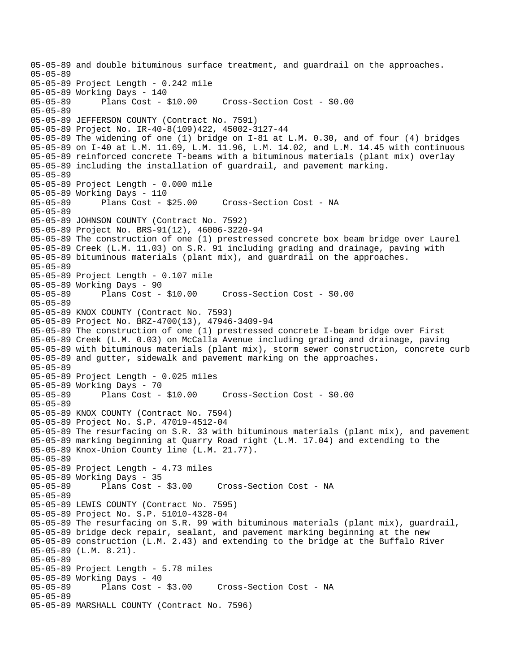05-05-89 and double bituminous surface treatment, and guardrail on the approaches. 05-05-89 05-05-89 Project Length - 0.242 mile 05-05-89 Working Days - 140 05-05-89 Plans Cost - \$10.00 Cross-Section Cost - \$0.00 05-05-89 05-05-89 JEFFERSON COUNTY (Contract No. 7591) 05-05-89 Project No. IR-40-8(109)422, 45002-3127-44 05-05-89 The widening of one (1) bridge on I-81 at L.M. 0.30, and of four (4) bridges 05-05-89 on I-40 at L.M. 11.69, L.M. 11.96, L.M. 14.02, and L.M. 14.45 with continuous 05-05-89 reinforced concrete T-beams with a bituminous materials (plant mix) overlay 05-05-89 including the installation of guardrail, and pavement marking. 05-05-89 05-05-89 Project Length - 0.000 mile 05-05-89 Working Days - 110 Cross-Section Cost - NA 05-05-89 05-05-89 JOHNSON COUNTY (Contract No. 7592) 05-05-89 Project No. BRS-91(12), 46006-3220-94 05-05-89 The construction of one (1) prestressed concrete box beam bridge over Laurel 05-05-89 Creek (L.M. 11.03) on S.R. 91 including grading and drainage, paving with 05-05-89 bituminous materials (plant mix), and guardrail on the approaches. 05-05-89 05-05-89 Project Length - 0.107 mile 05-05-89 Working Days - 90<br>05-05-89 Plans Cost - \$10.00 05-05-89 Plans Cost - \$10.00 Cross-Section Cost - \$0.00 05-05-89 05-05-89 KNOX COUNTY (Contract No. 7593) 05-05-89 Project No. BRZ-4700(13), 47946-3409-94 05-05-89 The construction of one (1) prestressed concrete I-beam bridge over First 05-05-89 Creek (L.M. 0.03) on McCalla Avenue including grading and drainage, paving 05-05-89 with bituminous materials (plant mix), storm sewer construction, concrete curb 05-05-89 and gutter, sidewalk and pavement marking on the approaches. 05-05-89 05-05-89 Project Length - 0.025 miles 05-05-89 Working Days - 70 05-05-89 Plans Cost - \$10.00 Cross-Section Cost - \$0.00 05-05-89 05-05-89 KNOX COUNTY (Contract No. 7594) 05-05-89 Project No. S.P. 47019-4512-04 05-05-89 The resurfacing on S.R. 33 with bituminous materials (plant mix), and pavement 05-05-89 marking beginning at Quarry Road right (L.M. 17.04) and extending to the 05-05-89 Knox-Union County line (L.M. 21.77). 05-05-89 05-05-89 Project Length - 4.73 miles 05-05-89 Working Days - 35 05-05-89 Plans Cost - \$3.00 Cross-Section Cost - NA 05-05-89 05-05-89 LEWIS COUNTY (Contract No. 7595) 05-05-89 Project No. S.P. 51010-4328-04 05-05-89 The resurfacing on S.R. 99 with bituminous materials (plant mix), guardrail, 05-05-89 bridge deck repair, sealant, and pavement marking beginning at the new 05-05-89 construction (L.M. 2.43) and extending to the bridge at the Buffalo River 05-05-89 (L.M. 8.21). 05-05-89 05-05-89 Project Length - 5.78 miles 05-05-89 Working Days - 40 Cross-Section Cost - NA 05-05-89 05-05-89 MARSHALL COUNTY (Contract No. 7596)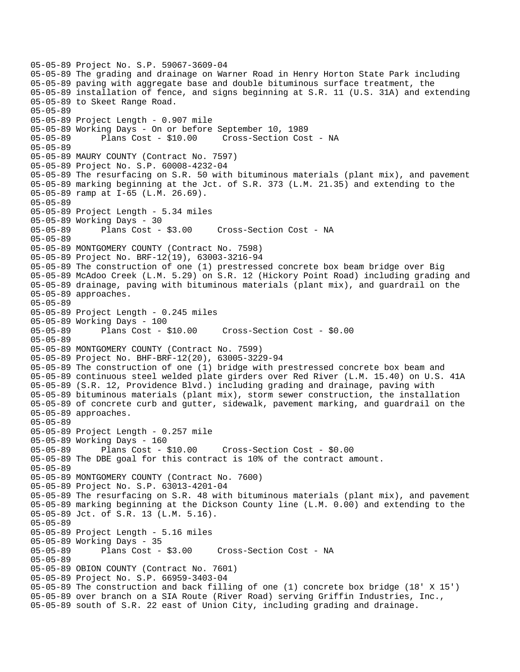```
05-05-89 Project No. S.P. 59067-3609-04 
05-05-89 The grading and drainage on Warner Road in Henry Horton State Park including 
05-05-89 paving with aggregate base and double bituminous surface treatment, the 
05-05-89 installation of fence, and signs beginning at S.R. 11 (U.S. 31A) and extending 
05-05-89 to Skeet Range Road. 
05-05-89 
05-05-89 Project Length - 0.907 mile 
05-05-89 Working Days - On or before September 10, 1989 
05-05-89 Plans Cost - $10.00 Cross-Section Cost - NA 
05-05-89 
05-05-89 MAURY COUNTY (Contract No. 7597) 
05-05-89 Project No. S.P. 60008-4232-04 
05-05-89 The resurfacing on S.R. 50 with bituminous materials (plant mix), and pavement 
05-05-89 marking beginning at the Jct. of S.R. 373 (L.M. 21.35) and extending to the 
05-05-89 ramp at I-65 (L.M. 26.69). 
05-05-89 
05-05-89 Project Length - 5.34 miles 
05-05-89 Working Days - 30 
05-05-89 Plans Cost - $3.00 Cross-Section Cost - NA 
05-05-89 
05-05-89 MONTGOMERY COUNTY (Contract No. 7598) 
05-05-89 Project No. BRF-12(19), 63003-3216-94 
05-05-89 The construction of one (1) prestressed concrete box beam bridge over Big 
05-05-89 McAdoo Creek (L.M. 5.29) on S.R. 12 (Hickory Point Road) including grading and 
05-05-89 drainage, paving with bituminous materials (plant mix), and guardrail on the 
05-05-89 approaches. 
05-05-89 
05-05-89 Project Length - 0.245 miles 
05-05-89 Working Days - 100 
05-05-89 Plans Cost - $10.00 Cross-Section Cost - $0.00 
05-05-89 
05-05-89 MONTGOMERY COUNTY (Contract No. 7599) 
05-05-89 Project No. BHF-BRF-12(20), 63005-3229-94 
05-05-89 The construction of one (1) bridge with prestressed concrete box beam and 
05-05-89 continuous steel welded plate girders over Red River (L.M. 15.40) on U.S. 41A 
05-05-89 (S.R. 12, Providence Blvd.) including grading and drainage, paving with 
05-05-89 bituminous materials (plant mix), storm sewer construction, the installation 
05-05-89 of concrete curb and gutter, sidewalk, pavement marking, and guardrail on the 
05-05-89 approaches. 
05-05-89 
05-05-89 Project Length - 0.257 mile 
05-05-89 Working Days - 160 
05-05-89 Plans Cost - $10.00 Cross-Section Cost - $0.00 
05-05-89 The DBE goal for this contract is 10% of the contract amount. 
05-05-89 
05-05-89 MONTGOMERY COUNTY (Contract No. 7600) 
05-05-89 Project No. S.P. 63013-4201-04 
05-05-89 The resurfacing on S.R. 48 with bituminous materials (plant mix), and pavement 
05-05-89 marking beginning at the Dickson County line (L.M. 0.00) and extending to the 
05-05-89 Jct. of S.R. 13 (L.M. 5.16). 
05-05-89 
05-05-89 Project Length - 5.16 miles 
05-05-89 Working Days - 35 
05-05-89 Plans Cost - $3.00 Cross-Section Cost - NA 
05-05-89 
05-05-89 OBION COUNTY (Contract No. 7601) 
05-05-89 Project No. S.P. 66959-3403-04 
05-05-89 The construction and back filling of one (1) concrete box bridge (18' X 15') 
05-05-89 over branch on a SIA Route (River Road) serving Griffin Industries, Inc., 
05-05-89 south of S.R. 22 east of Union City, including grading and drainage.
```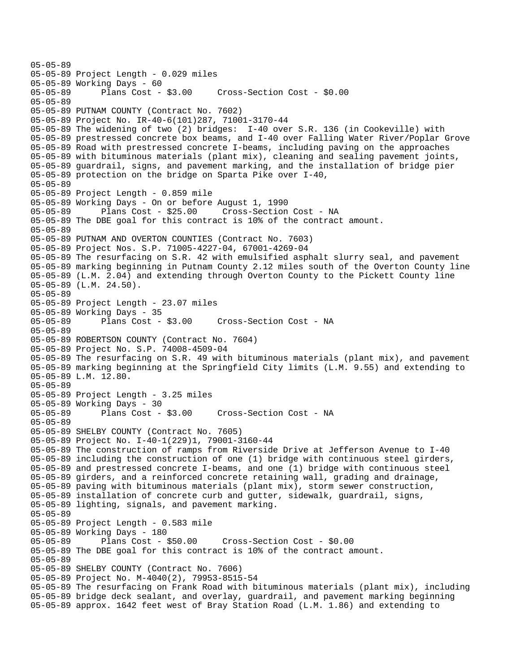05-05-89 05-05-89 Project Length - 0.029 miles 05-05-89 Working Days - 60 05-05-89 Plans Cost - \$3.00 Cross-Section Cost - \$0.00 05-05-89 05-05-89 PUTNAM COUNTY (Contract No. 7602) 05-05-89 Project No. IR-40-6(101)287, 71001-3170-44 05-05-89 The widening of two (2) bridges: I-40 over S.R. 136 (in Cookeville) with 05-05-89 prestressed concrete box beams, and I-40 over Falling Water River/Poplar Grove 05-05-89 Road with prestressed concrete I-beams, including paving on the approaches 05-05-89 with bituminous materials (plant mix), cleaning and sealing pavement joints, 05-05-89 guardrail, signs, and pavement marking, and the installation of bridge pier 05-05-89 protection on the bridge on Sparta Pike over I-40, 05-05-89 05-05-89 Project Length - 0.859 mile 05-05-89 Working Days - On or before August 1, 1990 Cross-Section Cost - NA 05-05-89 The DBE goal for this contract is 10% of the contract amount. 05-05-89 05-05-89 PUTNAM AND OVERTON COUNTIES (Contract No. 7603) 05-05-89 Project Nos. S.P. 71005-4227-04, 67001-4269-04 05-05-89 The resurfacing on S.R. 42 with emulsified asphalt slurry seal, and pavement 05-05-89 marking beginning in Putnam County 2.12 miles south of the Overton County line 05-05-89 (L.M. 2.04) and extending through Overton County to the Pickett County line 05-05-89 (L.M. 24.50). 05-05-89 05-05-89 Project Length - 23.07 miles 05-05-89 Working Days - 35 05-05-89 Plans Cost - \$3.00 Cross-Section Cost - NA 05-05-89 05-05-89 ROBERTSON COUNTY (Contract No. 7604) 05-05-89 Project No. S.P. 74008-4509-04 05-05-89 The resurfacing on S.R. 49 with bituminous materials (plant mix), and pavement 05-05-89 marking beginning at the Springfield City limits (L.M. 9.55) and extending to 05-05-89 L.M. 12.80. 05-05-89 05-05-89 Project Length - 3.25 miles 05-05-89 Working Days - 30 05-05-89 Plans Cost - \$3.00 Cross-Section Cost - NA 05-05-89 05-05-89 SHELBY COUNTY (Contract No. 7605) 05-05-89 Project No. I-40-1(229)1, 79001-3160-44 05-05-89 The construction of ramps from Riverside Drive at Jefferson Avenue to I-40 05-05-89 including the construction of one (1) bridge with continuous steel girders, 05-05-89 and prestressed concrete I-beams, and one (1) bridge with continuous steel 05-05-89 girders, and a reinforced concrete retaining wall, grading and drainage, 05-05-89 paving with bituminous materials (plant mix), storm sewer construction, 05-05-89 installation of concrete curb and gutter, sidewalk, guardrail, signs, 05-05-89 lighting, signals, and pavement marking. 05-05-89 05-05-89 Project Length - 0.583 mile 05-05-89 Working Days - 180 05-05-89 Plans Cost - \$50.00 Cross-Section Cost - \$0.00 05-05-89 The DBE goal for this contract is 10% of the contract amount. 05-05-89 05-05-89 SHELBY COUNTY (Contract No. 7606) 05-05-89 Project No. M-4040(2), 79953-8515-54 05-05-89 The resurfacing on Frank Road with bituminous materials (plant mix), including 05-05-89 bridge deck sealant, and overlay, guardrail, and pavement marking beginning 05-05-89 approx. 1642 feet west of Bray Station Road (L.M. 1.86) and extending to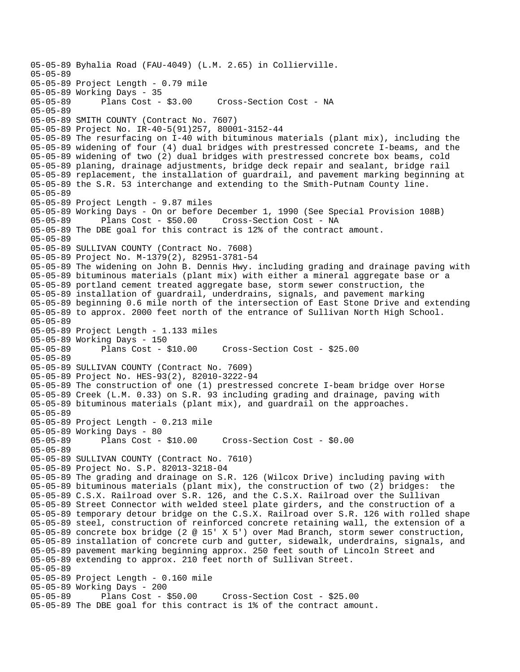05-05-89 Byhalia Road (FAU-4049) (L.M. 2.65) in Collierville. 05-05-89 05-05-89 Project Length - 0.79 mile 05-05-89 Working Days - 35 Cross-Section Cost - NA 05-05-89 05-05-89 SMITH COUNTY (Contract No. 7607) 05-05-89 Project No. IR-40-5(91)257, 80001-3152-44 05-05-89 The resurfacing on I-40 with bituminous materials (plant mix), including the 05-05-89 widening of four (4) dual bridges with prestressed concrete I-beams, and the 05-05-89 widening of two (2) dual bridges with prestressed concrete box beams, cold 05-05-89 planing, drainage adjustments, bridge deck repair and sealant, bridge rail 05-05-89 replacement, the installation of guardrail, and pavement marking beginning at 05-05-89 the S.R. 53 interchange and extending to the Smith-Putnam County line. 05-05-89 05-05-89 Project Length - 9.87 miles 05-05-89 Working Days - On or before December 1, 1990 (See Special Provision 108B) 05-05-89 Plans Cost - \$50.00 Cross-Section Cost - NA 05-05-89 The DBE goal for this contract is 12% of the contract amount. 05-05-89 05-05-89 SULLIVAN COUNTY (Contract No. 7608) 05-05-89 Project No. M-1379(2), 82951-3781-54 05-05-89 The widening on John B. Dennis Hwy. including grading and drainage paving with 05-05-89 bituminous materials (plant mix) with either a mineral aggregate base or a 05-05-89 portland cement treated aggregate base, storm sewer construction, the 05-05-89 installation of guardrail, underdrains, signals, and pavement marking 05-05-89 beginning 0.6 mile north of the intersection of East Stone Drive and extending 05-05-89 to approx. 2000 feet north of the entrance of Sullivan North High School. 05-05-89 05-05-89 Project Length - 1.133 miles 05-05-89 Working Days - 150 05-05-89 Plans Cost - \$10.00 Cross-Section Cost - \$25.00 05-05-89 05-05-89 SULLIVAN COUNTY (Contract No. 7609) 05-05-89 Project No. HES-93(2), 82010-3222-94 05-05-89 The construction of one (1) prestressed concrete I-beam bridge over Horse 05-05-89 Creek (L.M. 0.33) on S.R. 93 including grading and drainage, paving with 05-05-89 bituminous materials (plant mix), and guardrail on the approaches. 05-05-89 05-05-89 Project Length - 0.213 mile 05-05-89 Working Days - 80 05-05-89 Plans Cost - \$10.00 Cross-Section Cost - \$0.00 05-05-89 05-05-89 SULLIVAN COUNTY (Contract No. 7610) 05-05-89 Project No. S.P. 82013-3218-04 05-05-89 The grading and drainage on S.R. 126 (Wilcox Drive) including paving with 05-05-89 bituminous materials (plant mix), the construction of two (2) bridges: the 05-05-89 C.S.X. Railroad over S.R. 126, and the C.S.X. Railroad over the Sullivan 05-05-89 Street Connector with welded steel plate girders, and the construction of a 05-05-89 temporary detour bridge on the C.S.X. Railroad over S.R. 126 with rolled shape 05-05-89 steel, construction of reinforced concrete retaining wall, the extension of a 05-05-89 concrete box bridge (2 @ 15' X 5') over Mad Branch, storm sewer construction, 05-05-89 installation of concrete curb and gutter, sidewalk, underdrains, signals, and 05-05-89 pavement marking beginning approx. 250 feet south of Lincoln Street and 05-05-89 extending to approx. 210 feet north of Sullivan Street. 05-05-89 05-05-89 Project Length - 0.160 mile 05-05-89 Working Days - 200 05-05-89 Plans Cost - \$50.00 Cross-Section Cost - \$25.00 05-05-89 The DBE goal for this contract is 1% of the contract amount.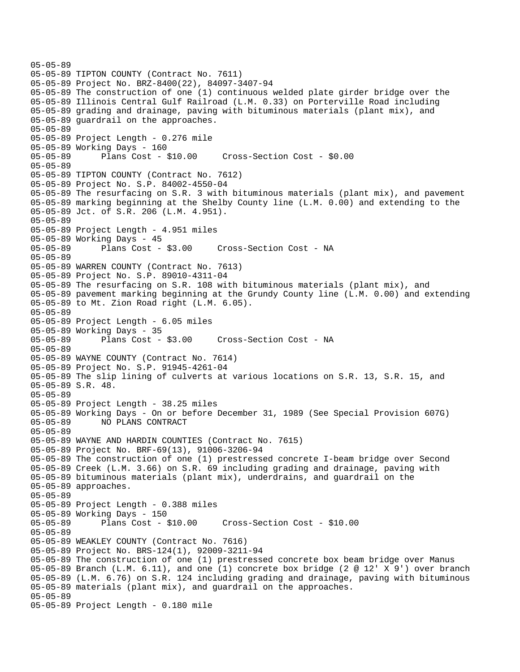```
05-05-89 
05-05-89 TIPTON COUNTY (Contract No. 7611) 
05-05-89 Project No. BRZ-8400(22), 84097-3407-94 
05-05-89 The construction of one (1) continuous welded plate girder bridge over the 
05-05-89 Illinois Central Gulf Railroad (L.M. 0.33) on Porterville Road including 
05-05-89 grading and drainage, paving with bituminous materials (plant mix), and 
05-05-89 guardrail on the approaches. 
05-05-89 
05-05-89 Project Length - 0.276 mile 
05-05-89 Working Days - 160 
05-05-89 Plans Cost - $10.00 Cross-Section Cost - $0.00 
05-05-89 
05-05-89 TIPTON COUNTY (Contract No. 7612) 
05-05-89 Project No. S.P. 84002-4550-04 
05-05-89 The resurfacing on S.R. 3 with bituminous materials (plant mix), and pavement 
05-05-89 marking beginning at the Shelby County line (L.M. 0.00) and extending to the 
05-05-89 Jct. of S.R. 206 (L.M. 4.951). 
05-05-89 
05-05-89 Project Length - 4.951 miles 
05-05-89 Working Days - 45 
05-05-89 Plans Cost - $3.00 Cross-Section Cost - NA 
05-05-89 
05-05-89 WARREN COUNTY (Contract No. 7613) 
05-05-89 Project No. S.P. 89010-4311-04 
05-05-89 The resurfacing on S.R. 108 with bituminous materials (plant mix), and 
05-05-89 pavement marking beginning at the Grundy County line (L.M. 0.00) and extending 
05-05-89 to Mt. Zion Road right (L.M. 6.05). 
05-05-89 
05-05-89 Project Length - 6.05 miles 
05-05-89 Working Days - 35 
05-05-89 Plans Cost - $3.00 Cross-Section Cost - NA 
05-05-89 
05-05-89 WAYNE COUNTY (Contract No. 7614) 
05-05-89 Project No. S.P. 91945-4261-04 
05-05-89 The slip lining of culverts at various locations on S.R. 13, S.R. 15, and 
05-05-89 S.R. 48. 
05-05-89 
05-05-89 Project Length - 38.25 miles 
05-05-89 Working Days - On or before December 31, 1989 (See Special Provision 607G) 
05-05-89 NO PLANS CONTRACT 
05-05-89 
05-05-89 WAYNE AND HARDIN COUNTIES (Contract No. 7615) 
05-05-89 Project No. BRF-69(13), 91006-3206-94 
05-05-89 The construction of one (1) prestressed concrete I-beam bridge over Second 
05-05-89 Creek (L.M. 3.66) on S.R. 69 including grading and drainage, paving with 
05-05-89 bituminous materials (plant mix), underdrains, and guardrail on the 
05-05-89 approaches. 
05-05-89 
05-05-89 Project Length - 0.388 miles 
05-05-89 Working Days - 150<br>05-05-89 Plans Cost - 8
              Plans Cost - $10.00 Cross-Section Cost - $10.00
05-05-89 
05-05-89 WEAKLEY COUNTY (Contract No. 7616) 
05-05-89 Project No. BRS-124(1), 92009-3211-94 
05-05-89 The construction of one (1) prestressed concrete box beam bridge over Manus 
05-05-89 Branch (L.M. 6.11), and one (1) concrete box bridge (2 @ 12' X 9') over branch 
05-05-89 (L.M. 6.76) on S.R. 124 including grading and drainage, paving with bituminous 
05-05-89 materials (plant mix), and guardrail on the approaches. 
05-05-89 
05-05-89 Project Length - 0.180 mile
```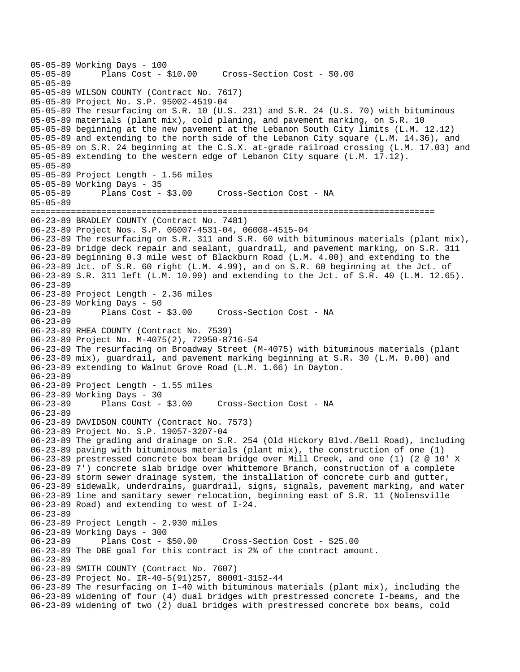05-05-89 Working Days - 100 Plans Cost - \$10.00 Cross-Section Cost - \$0.00 05-05-89 05-05-89 WILSON COUNTY (Contract No. 7617) 05-05-89 Project No. S.P. 95002-4519-04 05-05-89 The resurfacing on S.R. 10 (U.S. 231) and S.R. 24 (U.S. 70) with bituminous 05-05-89 materials (plant mix), cold planing, and pavement marking, on S.R. 10 05-05-89 beginning at the new pavement at the Lebanon South City limits (L.M. 12.12) 05-05-89 and extending to the north side of the Lebanon City square (L.M. 14.36), and 05-05-89 on S.R. 24 beginning at the C.S.X. at-grade railroad crossing (L.M. 17.03) and 05-05-89 extending to the western edge of Lebanon City square (L.M. 17.12). 05-05-89 05-05-89 Project Length - 1.56 miles 05-05-89 Working Days - 35<br>05-05-89 Plans Cost - \$3.00 Cross-Section Cost - NA 05-05-89 ================================================================================ 06-23-89 BRADLEY COUNTY (Contract No. 7481) 06-23-89 Project Nos. S.P. 06007-4531-04, 06008-4515-04 06-23-89 The resurfacing on S.R. 311 and S.R. 60 with bituminous materials (plant mix), 06-23-89 bridge deck repair and sealant, guardrail, and pavement marking, on S.R. 311 06-23-89 beginning 0.3 mile west of Blackburn Road (L.M. 4.00) and extending to the 06-23-89 Jct. of S.R. 60 right (L.M. 4.99), an d on S.R. 60 beginning at the Jct. of 06-23-89 S.R. 311 left (L.M. 10.99) and extending to the Jct. of S.R. 40 (L.M. 12.65). 06-23-89 06-23-89 Project Length - 2.36 miles 06-23-89 Working Days - 50 Cross-Section Cost - NA 06-23-89 06-23-89 RHEA COUNTY (Contract No. 7539) 06-23-89 Project No. M-4075(2), 72950-8716-54 06-23-89 The resurfacing on Broadway Street (M-4075) with bituminous materials (plant 06-23-89 mix), guardrail, and pavement marking beginning at S.R. 30 (L.M. 0.00) and 06-23-89 extending to Walnut Grove Road (L.M. 1.66) in Dayton. 06-23-89 06-23-89 Project Length - 1.55 miles 06-23-89 Working Days - 30 06-23-89 Plans Cost - \$3.00 Cross-Section Cost - NA 06-23-89 06-23-89 DAVIDSON COUNTY (Contract No. 7573) 06-23-89 Project No. S.P. 19057-3207-04 06-23-89 The grading and drainage on S.R. 254 (Old Hickory Blvd./Bell Road), including 06-23-89 paving with bituminous materials (plant mix), the construction of one (1) 06-23-89 prestressed concrete box beam bridge over Mill Creek, and one (1) (2 @ 10' X 06-23-89 7') concrete slab bridge over Whittemore Branch, construction of a complete 06-23-89 storm sewer drainage system, the installation of concrete curb and gutter, 06-23-89 sidewalk, underdrains, guardrail, signs, signals, pavement marking, and water 06-23-89 line and sanitary sewer relocation, beginning east of S.R. 11 (Nolensville 06-23-89 Road) and extending to west of I-24. 06-23-89 06-23-89 Project Length - 2.930 miles 06-23-89 Working Days - 300 06-23-89 Plans Cost - \$50.00 Cross-Section Cost - \$25.00 06-23-89 The DBE goal for this contract is 2% of the contract amount. 06-23-89 06-23-89 SMITH COUNTY (Contract No. 7607) 06-23-89 Project No. IR-40-5(91)257, 80001-3152-44 06-23-89 The resurfacing on I-40 with bituminous materials (plant mix), including the 06-23-89 widening of four (4) dual bridges with prestressed concrete I-beams, and the 06-23-89 widening of two (2) dual bridges with prestressed concrete box beams, cold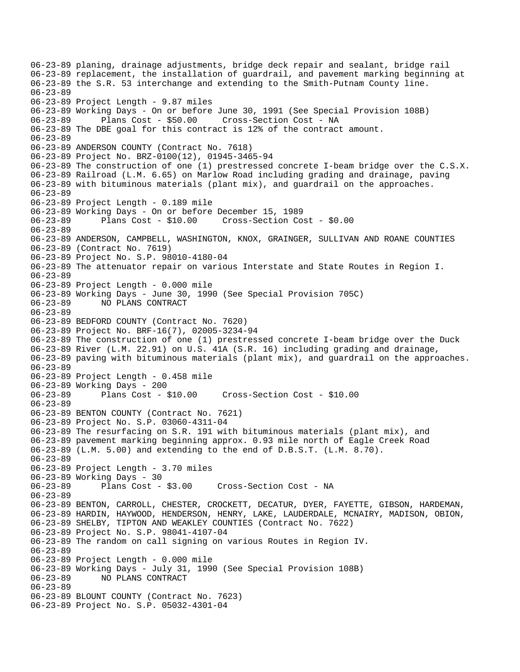06-23-89 planing, drainage adjustments, bridge deck repair and sealant, bridge rail 06-23-89 replacement, the installation of guardrail, and pavement marking beginning at 06-23-89 the S.R. 53 interchange and extending to the Smith-Putnam County line. 06-23-89 06-23-89 Project Length - 9.87 miles 06-23-89 Working Days - On or before June 30, 1991 (See Special Provision 108B) 06-23-89 Plans Cost - \$50.00 Cross-Section Cost - NA 06-23-89 The DBE goal for this contract is 12% of the contract amount. 06-23-89 06-23-89 ANDERSON COUNTY (Contract No. 7618) 06-23-89 Project No. BRZ-0100(12), 01945-3465-94 06-23-89 The construction of one (1) prestressed concrete I-beam bridge over the C.S.X. 06-23-89 Railroad (L.M. 6.65) on Marlow Road including grading and drainage, paving 06-23-89 with bituminous materials (plant mix), and guardrail on the approaches. 06-23-89 06-23-89 Project Length - 0.189 mile 06-23-89 Working Days - On or before December 15, 1989 06-23-89 Plans Cost - \$10.00 Cross-Section Cost - \$0.00 06-23-89 06-23-89 ANDERSON, CAMPBELL, WASHINGTON, KNOX, GRAINGER, SULLIVAN AND ROANE COUNTIES 06-23-89 (Contract No. 7619) 06-23-89 Project No. S.P. 98010-4180-04 06-23-89 The attenuator repair on various Interstate and State Routes in Region I. 06-23-89 06-23-89 Project Length - 0.000 mile 06-23-89 Working Days - June 30, 1990 (See Special Provision 705C) 06-23-89 NO PLANS CONTRACT 06-23-89 06-23-89 BEDFORD COUNTY (Contract No. 7620) 06-23-89 Project No. BRF-16(7), 02005-3234-94 06-23-89 The construction of one (1) prestressed concrete I-beam bridge over the Duck 06-23-89 River (L.M. 22.91) on U.S. 41A (S.R. 16) including grading and drainage, 06-23-89 paving with bituminous materials (plant mix), and guardrail on the approaches. 06-23-89 06-23-89 Project Length - 0.458 mile 06-23-89 Working Days - 200 06-23-89 Plans Cost - \$10.00 Cross-Section Cost - \$10.00 06-23-89 06-23-89 BENTON COUNTY (Contract No. 7621) 06-23-89 Project No. S.P. 03060-4311-04 06-23-89 The resurfacing on S.R. 191 with bituminous materials (plant mix), and 06-23-89 pavement marking beginning approx. 0.93 mile north of Eagle Creek Road 06-23-89 (L.M. 5.00) and extending to the end of D.B.S.T. (L.M. 8.70). 06-23-89 06-23-89 Project Length - 3.70 miles 06-23-89 Working Days - 30 06-23-89 Plans Cost - \$3.00 Cross-Section Cost - NA 06-23-89 06-23-89 BENTON, CARROLL, CHESTER, CROCKETT, DECATUR, DYER, FAYETTE, GIBSON, HARDEMAN, 06-23-89 HARDIN, HAYWOOD, HENDERSON, HENRY, LAKE, LAUDERDALE, MCNAIRY, MADISON, OBION, 06-23-89 SHELBY, TIPTON AND WEAKLEY COUNTIES (Contract No. 7622) 06-23-89 Project No. S.P. 98041-4107-04 06-23-89 The random on call signing on various Routes in Region IV. 06-23-89 06-23-89 Project Length - 0.000 mile 06-23-89 Working Days - July 31, 1990 (See Special Provision 108B) 06-23-89 NO PLANS CONTRACT 06-23-89 06-23-89 BLOUNT COUNTY (Contract No. 7623) 06-23-89 Project No. S.P. 05032-4301-04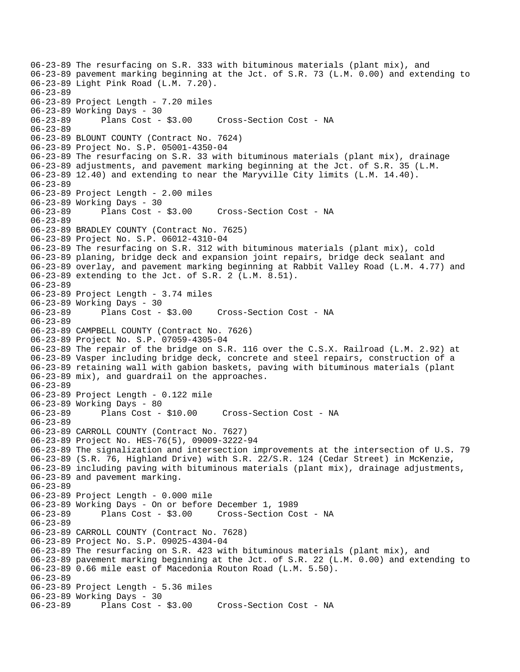06-23-89 The resurfacing on S.R. 333 with bituminous materials (plant mix), and 06-23-89 pavement marking beginning at the Jct. of S.R. 73 (L.M. 0.00) and extending to 06-23-89 Light Pink Road (L.M. 7.20). 06-23-89 06-23-89 Project Length - 7.20 miles 06-23-89 Working Days - 30 06-23-89 Plans Cost - \$3.00 Cross-Section Cost - NA 06-23-89 06-23-89 BLOUNT COUNTY (Contract No. 7624) 06-23-89 Project No. S.P. 05001-4350-04 06-23-89 The resurfacing on S.R. 33 with bituminous materials (plant mix), drainage 06-23-89 adjustments, and pavement marking beginning at the Jct. of S.R. 35 (L.M. 06-23-89 12.40) and extending to near the Maryville City limits (L.M. 14.40). 06-23-89 06-23-89 Project Length - 2.00 miles 06-23-89 Working Days - 30 06-23-89 Plans Cost - \$3.00 Cross-Section Cost - NA 06-23-89 06-23-89 BRADLEY COUNTY (Contract No. 7625) 06-23-89 Project No. S.P. 06012-4310-04 06-23-89 The resurfacing on S.R. 312 with bituminous materials (plant mix), cold 06-23-89 planing, bridge deck and expansion joint repairs, bridge deck sealant and 06-23-89 overlay, and pavement marking beginning at Rabbit Valley Road (L.M. 4.77) and 06-23-89 extending to the Jct. of S.R. 2 (L.M. 8.51). 06-23-89 06-23-89 Project Length - 3.74 miles 06-23-89 Working Days - 30 06-23-89 Plans Cost - \$3.00 Cross-Section Cost - NA 06-23-89 06-23-89 CAMPBELL COUNTY (Contract No. 7626) 06-23-89 Project No. S.P. 07059-4305-04 06-23-89 The repair of the bridge on S.R. 116 over the C.S.X. Railroad (L.M. 2.92) at 06-23-89 Vasper including bridge deck, concrete and steel repairs, construction of a 06-23-89 retaining wall with gabion baskets, paving with bituminous materials (plant 06-23-89 mix), and guardrail on the approaches. 06-23-89 06-23-89 Project Length - 0.122 mile 06-23-89 Working Days - 80 06-23-89 Plans Cost - \$10.00 Cross-Section Cost - NA 06-23-89 06-23-89 CARROLL COUNTY (Contract No. 7627) 06-23-89 Project No. HES-76(5), 09009-3222-94 06-23-89 The signalization and intersection improvements at the intersection of U.S. 79 06-23-89 (S.R. 76, Highland Drive) with S.R. 22/S.R. 124 (Cedar Street) in McKenzie, 06-23-89 including paving with bituminous materials (plant mix), drainage adjustments, 06-23-89 and pavement marking. 06-23-89 06-23-89 Project Length - 0.000 mile 06-23-89 Working Days - On or before December 1, 1989 06-23-89 Plans Cost - \$3.00 Cross-Section Cost - NA 06-23-89 06-23-89 CARROLL COUNTY (Contract No. 7628) 06-23-89 Project No. S.P. 09025-4304-04 06-23-89 The resurfacing on S.R. 423 with bituminous materials (plant mix), and 06-23-89 pavement marking beginning at the Jct. of S.R. 22 (L.M. 0.00) and extending to 06-23-89 0.66 mile east of Macedonia Routon Road (L.M. 5.50). 06-23-89 06-23-89 Project Length - 5.36 miles 06-23-89 Working Days - 30 06-23-89 Plans Cost - \$3.00 Cross-Section Cost - NA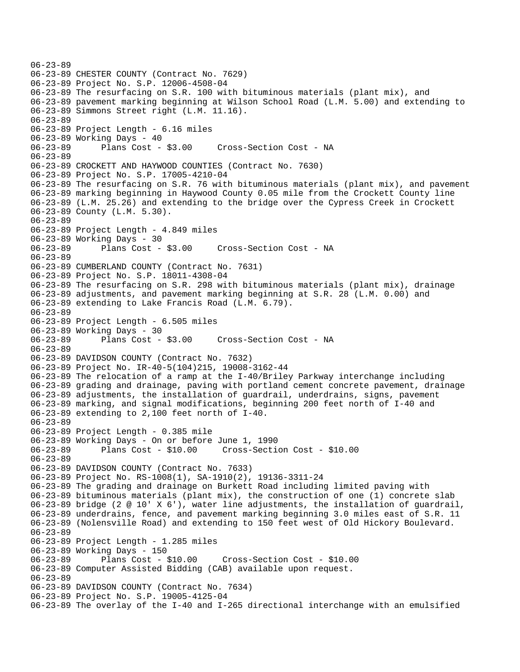```
06-23-89 
06-23-89 CHESTER COUNTY (Contract No. 7629) 
06-23-89 Project No. S.P. 12006-4508-04 
06-23-89 The resurfacing on S.R. 100 with bituminous materials (plant mix), and 
06-23-89 pavement marking beginning at Wilson School Road (L.M. 5.00) and extending to 
06-23-89 Simmons Street right (L.M. 11.16). 
06-23-89 
06-23-89 Project Length - 6.16 miles 
06-23-89 Working Days - 40 
06-23-89 Plans Cost - $3.00 Cross-Section Cost - NA 
06-23-89 
06-23-89 CROCKETT AND HAYWOOD COUNTIES (Contract No. 7630) 
06-23-89 Project No. S.P. 17005-4210-04 
06-23-89 The resurfacing on S.R. 76 with bituminous materials (plant mix), and pavement 
06-23-89 marking beginning in Haywood County 0.05 mile from the Crockett County line 
06-23-89 (L.M. 25.26) and extending to the bridge over the Cypress Creek in Crockett 
06-23-89 County (L.M. 5.30). 
06-23-89 
06-23-89 Project Length - 4.849 miles 
06-23-89 Working Days - 30 
06-23-89 Plans Cost - $3.00 Cross-Section Cost - NA 
06-23-89 
06-23-89 CUMBERLAND COUNTY (Contract No. 7631) 
06-23-89 Project No. S.P. 18011-4308-04 
06-23-89 The resurfacing on S.R. 298 with bituminous materials (plant mix), drainage 
06-23-89 adjustments, and pavement marking beginning at S.R. 28 (L.M. 0.00) and 
06-23-89 extending to Lake Francis Road (L.M. 6.79). 
06-23-89 
06-23-89 Project Length - 6.505 miles 
06-23-89 Working Days - 30<br>06-23-89 Plans Cost - $3.00
06-23-89 Plans Cost - $3.00 Cross-Section Cost - NA 
06-23-89 
06-23-89 DAVIDSON COUNTY (Contract No. 7632) 
06-23-89 Project No. IR-40-5(104)215, 19008-3162-44 
06-23-89 The relocation of a ramp at the I-40/Briley Parkway interchange including 
06-23-89 grading and drainage, paving with portland cement concrete pavement, drainage 
06-23-89 adjustments, the installation of guardrail, underdrains, signs, pavement 
06-23-89 marking, and signal modifications, beginning 200 feet north of I-40 and 
06-23-89 extending to 2,100 feet north of I-40. 
06-23-89 
06-23-89 Project Length - 0.385 mile 
06-23-89 Working Days - On or before June 1, 1990 
06-23-89 Plans Cost - $10.00 Cross-Section Cost - $10.00 
06-23-89 
06-23-89 DAVIDSON COUNTY (Contract No. 7633) 
06-23-89 Project No. RS-1008(1), SA-1910(2), 19136-3311-24 
06-23-89 The grading and drainage on Burkett Road including limited paving with 
06-23-89 bituminous materials (plant mix), the construction of one (1) concrete slab 
06-23-89 bridge (2 @ 10' X 6'), water line adjustments, the installation of guardrail, 
06-23-89 underdrains, fence, and pavement marking beginning 3.0 miles east of S.R. 11 
06-23-89 (Nolensville Road) and extending to 150 feet west of Old Hickory Boulevard. 
06-23-89 
06-23-89 Project Length - 1.285 miles 
06-23-89 Working Days - 150 
06-23-89 Plans Cost - $10.00 Cross-Section Cost - $10.00 
06-23-89 Computer Assisted Bidding (CAB) available upon request. 
06-23-89 
06-23-89 DAVIDSON COUNTY (Contract No. 7634) 
06-23-89 Project No. S.P. 19005-4125-04 
06-23-89 The overlay of the I-40 and I-265 directional interchange with an emulsified
```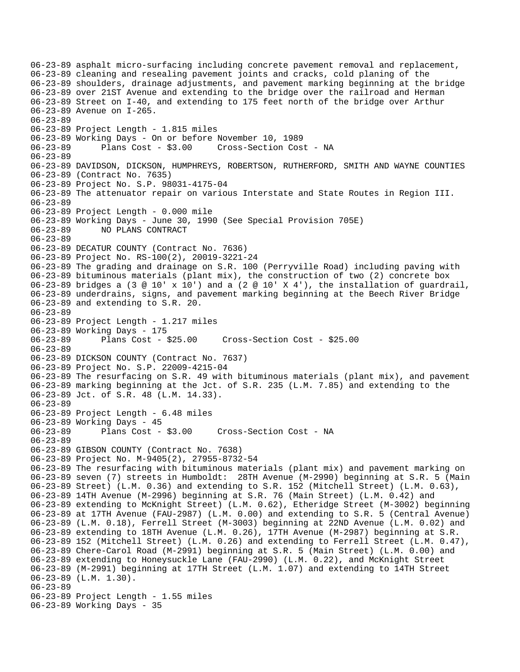06-23-89 asphalt micro-surfacing including concrete pavement removal and replacement, 06-23-89 cleaning and resealing pavement joints and cracks, cold planing of the 06-23-89 shoulders, drainage adjustments, and pavement marking beginning at the bridge 06-23-89 over 21ST Avenue and extending to the bridge over the railroad and Herman 06-23-89 Street on I-40, and extending to 175 feet north of the bridge over Arthur 06-23-89 Avenue on I-265. 06-23-89 06-23-89 Project Length - 1.815 miles 06-23-89 Working Days - On or before November 10, 1989 06-23-89 Plans Cost - \$3.00 Cross-Section Cost - NA 06-23-89 06-23-89 DAVIDSON, DICKSON, HUMPHREYS, ROBERTSON, RUTHERFORD, SMITH AND WAYNE COUNTIES 06-23-89 (Contract No. 7635) 06-23-89 Project No. S.P. 98031-4175-04 06-23-89 The attenuator repair on various Interstate and State Routes in Region III. 06-23-89 06-23-89 Project Length - 0.000 mile 06-23-89 Working Days - June 30, 1990 (See Special Provision 705E) 06-23-89 NO PLANS CONTRACT 06-23-89 06-23-89 DECATUR COUNTY (Contract No. 7636) 06-23-89 Project No. RS-100(2), 20019-3221-24 06-23-89 The grading and drainage on S.R. 100 (Perryville Road) including paving with 06-23-89 bituminous materials (plant mix), the construction of two (2) concrete box 06-23-89 bridges a (3  $\textdegree$  10' x 10') and a (2  $\textdegree$  10' X 4'), the installation of guardrail, 06-23-89 underdrains, signs, and pavement marking beginning at the Beech River Bridge 06-23-89 and extending to S.R. 20. 06-23-89 06-23-89 Project Length - 1.217 miles 06-23-89 Working Days - 175 06-23-89 Plans Cost - \$25.00 Cross-Section Cost - \$25.00 06-23-89 06-23-89 DICKSON COUNTY (Contract No. 7637) 06-23-89 Project No. S.P. 22009-4215-04 06-23-89 The resurfacing on S.R. 49 with bituminous materials (plant mix), and pavement 06-23-89 marking beginning at the Jct. of S.R. 235 (L.M. 7.85) and extending to the 06-23-89 Jct. of S.R. 48 (L.M. 14.33). 06-23-89 06-23-89 Project Length - 6.48 miles 06-23-89 Working Days - 45 06-23-89 Plans Cost - \$3.00 Cross-Section Cost - NA 06-23-89 06-23-89 GIBSON COUNTY (Contract No. 7638) 06-23-89 Project No. M-9405(2), 27955-8732-54 06-23-89 The resurfacing with bituminous materials (plant mix) and pavement marking on 06-23-89 seven (7) streets in Humboldt: 28TH Avenue (M-2990) beginning at S.R. 5 (Main 06-23-89 Street) (L.M. 0.36) and extending to S.R. 152 (Mitchell Street) (L.M. 0.63), 06-23-89 14TH Avenue (M-2996) beginning at S.R. 76 (Main Street) (L.M. 0.42) and 06-23-89 extending to McKnight Street) (L.M. 0.62), Etheridge Street (M-3002) beginning 06-23-89 at 17TH Avenue (FAU-2987) (L.M. 0.00) and extending to S.R. 5 (Central Avenue) 06-23-89 (L.M. 0.18), Ferrell Street (M-3003) beginning at 22ND Avenue (L.M. 0.02) and 06-23-89 extending to 18TH Avenue (L.M. 0.26), 17TH Avenue (M-2987) beginning at S.R. 06-23-89 152 (Mitchell Street) (L.M. 0.26) and extending to Ferrell Street (L.M. 0.47), 06-23-89 Chere-Carol Road (M-2991) beginning at S.R. 5 (Main Street) (L.M. 0.00) and 06-23-89 extending to Honeysuckle Lane (FAU-2990) (L.M. 0.22), and McKnight Street 06-23-89 (M-2991) beginning at 17TH Street (L.M. 1.07) and extending to 14TH Street 06-23-89 (L.M. 1.30). 06-23-89 06-23-89 Project Length - 1.55 miles 06-23-89 Working Days - 35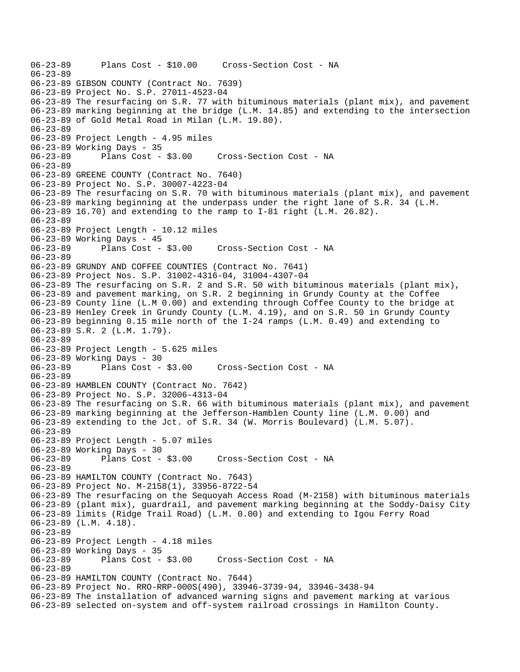```
06-23-89 Plans Cost - $10.00 Cross-Section Cost - NA 
06-23-89 
06-23-89 GIBSON COUNTY (Contract No. 7639) 
06-23-89 Project No. S.P. 27011-4523-04 
06-23-89 The resurfacing on S.R. 77 with bituminous materials (plant mix), and pavement 
06-23-89 marking beginning at the bridge (L.M. 14.85) and extending to the intersection 
06-23-89 of Gold Metal Road in Milan (L.M. 19.80). 
06-23-89 
06-23-89 Project Length - 4.95 miles 
06-23-89 Working Days - 35 
06-23-89 Plans Cost - $3.00 Cross-Section Cost - NA 
06-23-89 
06-23-89 GREENE COUNTY (Contract No. 7640) 
06-23-89 Project No. S.P. 30007-4223-04 
06-23-89 The resurfacing on S.R. 70 with bituminous materials (plant mix), and pavement 
06-23-89 marking beginning at the underpass under the right lane of S.R. 34 (L.M. 
06-23-89 16.70) and extending to the ramp to I-81 right (L.M. 26.82). 
06-23-89 
06-23-89 Project Length - 10.12 miles 
06-23-89 Working Days - 45 
06-23-89 Plans Cost - $3.00 Cross-Section Cost - NA 
06-23-89 
06-23-89 GRUNDY AND COFFEE COUNTIES (Contract No. 7641) 
06-23-89 Project Nos. S.P. 31002-4316-04, 31004-4307-04 
06-23-89 The resurfacing on S.R. 2 and S.R. 50 with bituminous materials (plant mix), 
06-23-89 and pavement marking, on S.R. 2 beginning in Grundy County at the Coffee 
06-23-89 County line (L.M 0.00) and extending through Coffee County to the bridge at 
06-23-89 Henley Creek in Grundy County (L.M. 4.19), and on S.R. 50 in Grundy County 
06-23-89 beginning 0.15 mile north of the I-24 ramps (L.M. 0.49) and extending to 
06-23-89 S.R. 2 (L.M. 1.79). 
06-23-89 
06-23-89 Project Length - 5.625 miles 
06-23-89 Working Days - 30 
06-23-89 Plans Cost - $3.00 Cross-Section Cost - NA 
06-23-89 
06-23-89 HAMBLEN COUNTY (Contract No. 7642) 
06-23-89 Project No. S.P. 32006-4313-04 
06-23-89 The resurfacing on S.R. 66 with bituminous materials (plant mix), and pavement 
06-23-89 marking beginning at the Jefferson-Hamblen County line (L.M. 0.00) and 
06-23-89 extending to the Jct. of S.R. 34 (W. Morris Boulevard) (L.M. 5.07). 
06-23-89 
06-23-89 Project Length - 5.07 miles 
06-23-89 Working Days - 30 
06-23-89 Plans Cost - $3.00 Cross-Section Cost - NA 
06-23-89 
06-23-89 HAMILTON COUNTY (Contract No. 7643) 
06-23-89 Project No. M-2158(1), 33956-8722-54 
06-23-89 The resurfacing on the Sequoyah Access Road (M-2158) with bituminous materials 
06-23-89 (plant mix), guardrail, and pavement marking beginning at the Soddy-Daisy City 
06-23-89 limits (Ridge Trail Road) (L.M. 0.00) and extending to Igou Ferry Road 
06-23-89 (L.M. 4.18). 
06-23-89 
06-23-89 Project Length - 4.18 miles 
06-23-89 Working Days - 35<br>06-23-89 Plans Cost - $3.00
                                    Cross-Section Cost - NA
06-23-89 
06-23-89 HAMILTON COUNTY (Contract No. 7644) 
06-23-89 Project No. RRO-RRP-000S(490), 33946-3739-94, 33946-3438-94 
06-23-89 The installation of advanced warning signs and pavement marking at various 
06-23-89 selected on-system and off-system railroad crossings in Hamilton County.
```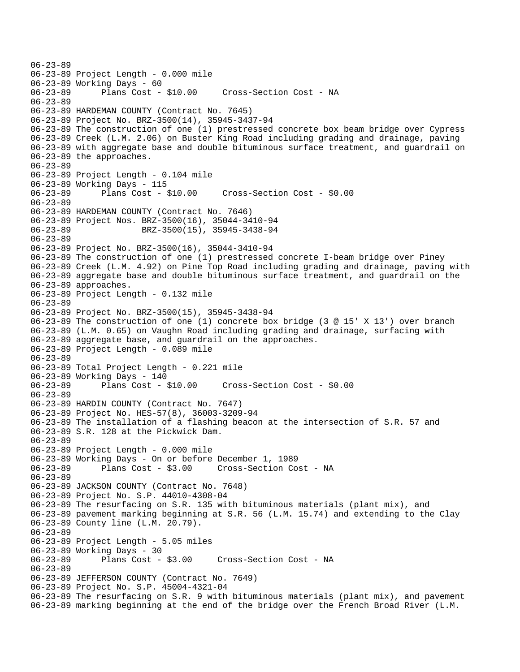06-23-89 06-23-89 Project Length - 0.000 mile 06-23-89 Working Days - 60 06-23-89 Plans Cost - \$10.00 Cross-Section Cost - NA 06-23-89 06-23-89 HARDEMAN COUNTY (Contract No. 7645) 06-23-89 Project No. BRZ-3500(14), 35945-3437-94 06-23-89 The construction of one (1) prestressed concrete box beam bridge over Cypress 06-23-89 Creek (L.M. 2.06) on Buster King Road including grading and drainage, paving 06-23-89 with aggregate base and double bituminous surface treatment, and guardrail on 06-23-89 the approaches. 06-23-89 06-23-89 Project Length - 0.104 mile 06-23-89 Working Days - 115 06-23-89 Plans Cost - \$10.00 Cross-Section Cost - \$0.00 06-23-89 06-23-89 HARDEMAN COUNTY (Contract No. 7646) 06-23-89 Project Nos. BRZ-3500(16), 35044-3410-94 06-23-89 BRZ-3500(15), 35945-3438-94 06-23-89 06-23-89 Project No. BRZ-3500(16), 35044-3410-94 06-23-89 The construction of one (1) prestressed concrete I-beam bridge over Piney 06-23-89 Creek (L.M. 4.92) on Pine Top Road including grading and drainage, paving with 06-23-89 aggregate base and double bituminous surface treatment, and guardrail on the 06-23-89 approaches. 06-23-89 Project Length - 0.132 mile 06-23-89 06-23-89 Project No. BRZ-3500(15), 35945-3438-94 06-23-89 The construction of one (1) concrete box bridge (3 @ 15' X 13') over branch 06-23-89 (L.M. 0.65) on Vaughn Road including grading and drainage, surfacing with 06-23-89 aggregate base, and guardrail on the approaches. 06-23-89 Project Length - 0.089 mile 06-23-89 06-23-89 Total Project Length - 0.221 mile 06-23-89 Working Days - 140 06-23-89 Plans Cost - \$10.00 Cross-Section Cost - \$0.00 06-23-89 06-23-89 HARDIN COUNTY (Contract No. 7647) 06-23-89 Project No. HES-57(8), 36003-3209-94 06-23-89 The installation of a flashing beacon at the intersection of S.R. 57 and 06-23-89 S.R. 128 at the Pickwick Dam. 06-23-89 06-23-89 Project Length - 0.000 mile 06-23-89 Working Days - On or before December 1, 1989 06-23-89 Plans Cost - \$3.00 Cross-Section Cost - NA 06-23-89 06-23-89 JACKSON COUNTY (Contract No. 7648) 06-23-89 Project No. S.P. 44010-4308-04 06-23-89 The resurfacing on S.R. 135 with bituminous materials (plant mix), and 06-23-89 pavement marking beginning at S.R. 56 (L.M. 15.74) and extending to the Clay 06-23-89 County line (L.M. 20.79). 06-23-89 06-23-89 Project Length - 5.05 miles 06-23-89 Working Days - 30<br>06-23-89 Plans Cost - \$3.00 Cross-Section Cost - NA 06-23-89 06-23-89 JEFFERSON COUNTY (Contract No. 7649) 06-23-89 Project No. S.P. 45004-4321-04 06-23-89 The resurfacing on S.R. 9 with bituminous materials (plant mix), and pavement 06-23-89 marking beginning at the end of the bridge over the French Broad River (L.M.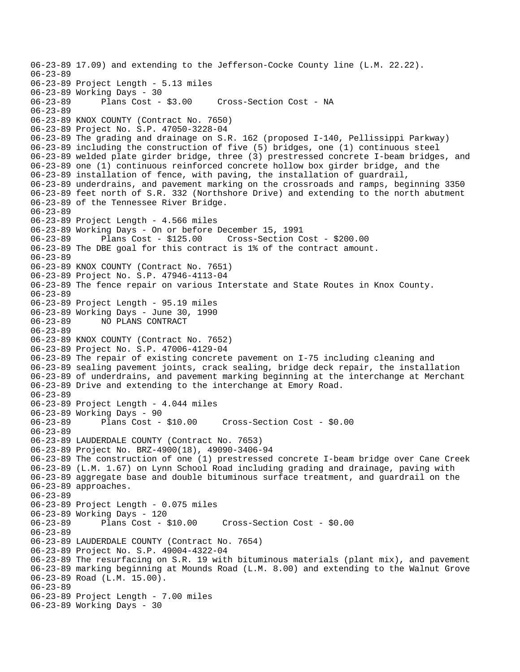06-23-89 17.09) and extending to the Jefferson-Cocke County line (L.M. 22.22). 06-23-89 06-23-89 Project Length - 5.13 miles 06-23-89 Working Days - 30 Cross-Section Cost - NA 06-23-89 06-23-89 KNOX COUNTY (Contract No. 7650) 06-23-89 Project No. S.P. 47050-3228-04 06-23-89 The grading and drainage on S.R. 162 (proposed I-140, Pellissippi Parkway) 06-23-89 including the construction of five (5) bridges, one (1) continuous steel 06-23-89 welded plate girder bridge, three (3) prestressed concrete I-beam bridges, and 06-23-89 one (1) continuous reinforced concrete hollow box girder bridge, and the 06-23-89 installation of fence, with paving, the installation of guardrail, 06-23-89 underdrains, and pavement marking on the crossroads and ramps, beginning 3350 06-23-89 feet north of S.R. 332 (Northshore Drive) and extending to the north abutment 06-23-89 of the Tennessee River Bridge. 06-23-89 06-23-89 Project Length - 4.566 miles 06-23-89 Working Days - On or before December 15, 1991 06-23-89 Plans Cost - \$125.00 Cross-Section Cost - \$200.00 06-23-89 The DBE goal for this contract is 1% of the contract amount. 06-23-89 06-23-89 KNOX COUNTY (Contract No. 7651) 06-23-89 Project No. S.P. 47946-4113-04 06-23-89 The fence repair on various Interstate and State Routes in Knox County. 06-23-89 06-23-89 Project Length - 95.19 miles 06-23-89 Working Days - June 30, 1990 06-23-89 NO PLANS CONTRACT 06-23-89 06-23-89 KNOX COUNTY (Contract No. 7652) 06-23-89 Project No. S.P. 47006-4129-04 06-23-89 The repair of existing concrete pavement on I-75 including cleaning and 06-23-89 sealing pavement joints, crack sealing, bridge deck repair, the installation 06-23-89 of underdrains, and pavement marking beginning at the interchange at Merchant 06-23-89 Drive and extending to the interchange at Emory Road. 06-23-89 06-23-89 Project Length - 4.044 miles 06-23-89 Working Days - 90 06-23-89 Plans Cost - \$10.00 Cross-Section Cost - \$0.00 06-23-89 06-23-89 LAUDERDALE COUNTY (Contract No. 7653) 06-23-89 Project No. BRZ-4900(18), 49090-3406-94 06-23-89 The construction of one (1) prestressed concrete I-beam bridge over Cane Creek 06-23-89 (L.M. 1.67) on Lynn School Road including grading and drainage, paving with 06-23-89 aggregate base and double bituminous surface treatment, and guardrail on the 06-23-89 approaches. 06-23-89 06-23-89 Project Length - 0.075 miles 06-23-89 Working Days - 120<br>06-23-89 Plans Cost - 8 Plans Cost - \$10.00 Cross-Section Cost - \$0.00 06-23-89 06-23-89 LAUDERDALE COUNTY (Contract No. 7654) 06-23-89 Project No. S.P. 49004-4322-04 06-23-89 The resurfacing on S.R. 19 with bituminous materials (plant mix), and pavement 06-23-89 marking beginning at Mounds Road (L.M. 8.00) and extending to the Walnut Grove 06-23-89 Road (L.M. 15.00). 06-23-89 06-23-89 Project Length - 7.00 miles 06-23-89 Working Days - 30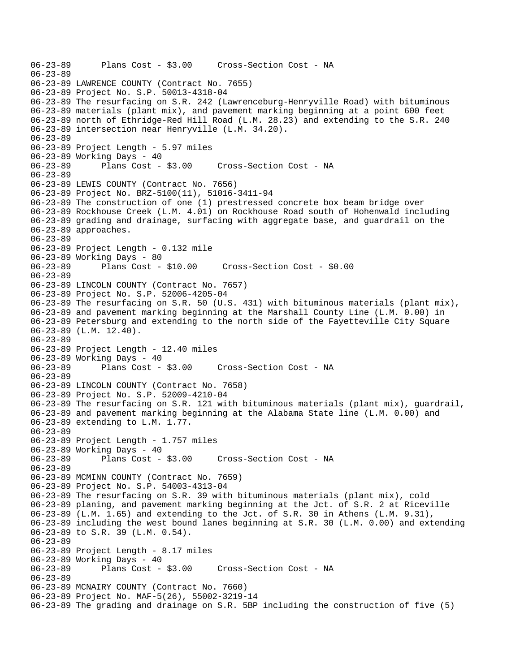```
06-23-89 Plans Cost - $3.00 Cross-Section Cost - NA 
06-23-89 
06-23-89 LAWRENCE COUNTY (Contract No. 7655) 
06-23-89 Project No. S.P. 50013-4318-04 
06-23-89 The resurfacing on S.R. 242 (Lawrenceburg-Henryville Road) with bituminous 
06-23-89 materials (plant mix), and pavement marking beginning at a point 600 feet 
06-23-89 north of Ethridge-Red Hill Road (L.M. 28.23) and extending to the S.R. 240 
06-23-89 intersection near Henryville (L.M. 34.20). 
06-23-89 
06-23-89 Project Length - 5.97 miles 
06-23-89 Working Days - 40 
06-23-89 Plans Cost - $3.00 Cross-Section Cost - NA 
06-23-89 
06-23-89 LEWIS COUNTY (Contract No. 7656) 
06-23-89 Project No. BRZ-5100(11), 51016-3411-94 
06-23-89 The construction of one (1) prestressed concrete box beam bridge over 
06-23-89 Rockhouse Creek (L.M. 4.01) on Rockhouse Road south of Hohenwald including 
06-23-89 grading and drainage, surfacing with aggregate base, and guardrail on the 
06-23-89 approaches. 
06-23-89 
06-23-89 Project Length - 0.132 mile 
06-23-89 Working Days - 80 
06-23-89 Plans Cost - $10.00 Cross-Section Cost - $0.00 
06-23-89 
06-23-89 LINCOLN COUNTY (Contract No. 7657) 
06-23-89 Project No. S.P. 52006-4205-04 
06-23-89 The resurfacing on S.R. 50 (U.S. 431) with bituminous materials (plant mix), 
06-23-89 and pavement marking beginning at the Marshall County Line (L.M. 0.00) in 
06-23-89 Petersburg and extending to the north side of the Fayetteville City Square 
06-23-89 (L.M. 12.40). 
06-23-89 
06-23-89 Project Length - 12.40 miles 
06-23-89 Working Days - 40 
06-23-89 Plans Cost - $3.00 Cross-Section Cost - NA 
06-23-89 
06-23-89 LINCOLN COUNTY (Contract No. 7658) 
06-23-89 Project No. S.P. 52009-4210-04 
06-23-89 The resurfacing on S.R. 121 with bituminous materials (plant mix), guardrail, 
06-23-89 and pavement marking beginning at the Alabama State line (L.M. 0.00) and 
06-23-89 extending to L.M. 1.77. 
06-23-89 
06-23-89 Project Length - 1.757 miles 
06-23-89 Working Days - 40 
06-23-89 Plans Cost - $3.00 Cross-Section Cost - NA 
06-23-89 
06-23-89 MCMINN COUNTY (Contract No. 7659) 
06-23-89 Project No. S.P. 54003-4313-04 
06-23-89 The resurfacing on S.R. 39 with bituminous materials (plant mix), cold 
06-23-89 planing, and pavement marking beginning at the Jct. of S.R. 2 at Riceville 
06-23-89 (L.M. 1.65) and extending to the Jct. of S.R. 30 in Athens (L.M. 9.31), 
06-23-89 including the west bound lanes beginning at S.R. 30 (L.M. 0.00) and extending 
06-23-89 to S.R. 39 (L.M. 0.54). 
06-23-89 
06-23-89 Project Length - 8.17 miles 
06-23-89 Working Days - 40<br>06-23-89 Plans Cost - $3.00
06-23-89 Plans Cost - $3.00 Cross-Section Cost - NA 
06-23-89 
06-23-89 MCNAIRY COUNTY (Contract No. 7660) 
06-23-89 Project No. MAF-5(26), 55002-3219-14 
06-23-89 The grading and drainage on S.R. 5BP including the construction of five (5)
```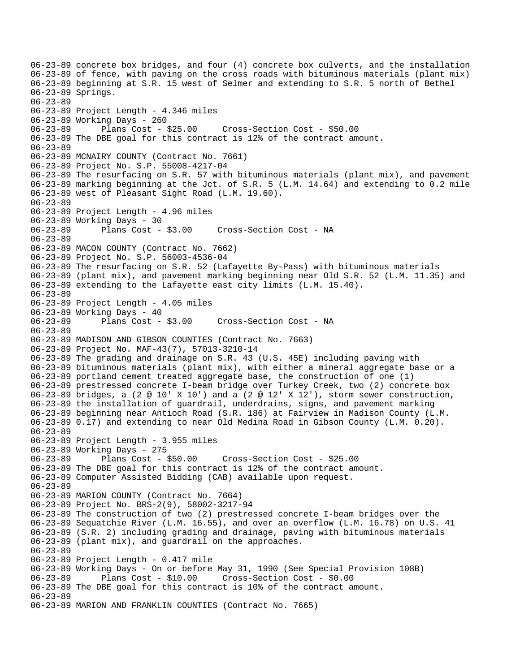06-23-89 concrete box bridges, and four (4) concrete box culverts, and the installation 06-23-89 of fence, with paving on the cross roads with bituminous materials (plant mix) 06-23-89 beginning at S.R. 15 west of Selmer and extending to S.R. 5 north of Bethel 06-23-89 Springs. 06-23-89 06-23-89 Project Length - 4.346 miles 06-23-89 Working Days - 260 06-23-89 Plans Cost - \$25.00 Cross-Section Cost - \$50.00 06-23-89 The DBE goal for this contract is 12% of the contract amount. 06-23-89 06-23-89 MCNAIRY COUNTY (Contract No. 7661) 06-23-89 Project No. S.P. 55008-4217-04 06-23-89 The resurfacing on S.R. 57 with bituminous materials (plant mix), and pavement 06-23-89 marking beginning at the Jct. of S.R. 5 (L.M. 14.64) and extending to 0.2 mile 06-23-89 west of Pleasant Sight Road (L.M. 19.60). 06-23-89 06-23-89 Project Length - 4.96 miles 06-23-89 Working Days - 30 06-23-89 Plans Cost - \$3.00 Cross-Section Cost - NA 06-23-89 06-23-89 MACON COUNTY (Contract No. 7662) 06-23-89 Project No. S.P. 56003-4536-04 06-23-89 The resurfacing on S.R. 52 (Lafayette By-Pass) with bituminous materials 06-23-89 (plant mix), and pavement marking beginning near Old S.R. 52 (L.M. 11.35) and 06-23-89 extending to the Lafayette east city limits (L.M. 15.40). 06-23-89 06-23-89 Project Length - 4.05 miles 06-23-89 Working Days - 40 06-23-89 Plans Cost - \$3.00 Cross-Section Cost - NA 06-23-89 06-23-89 MADISON AND GIBSON COUNTIES (Contract No. 7663) 06-23-89 Project No. MAF-43(7), 57013-3210-14 06-23-89 The grading and drainage on S.R. 43 (U.S. 45E) including paving with 06-23-89 bituminous materials (plant mix), with either a mineral aggregate base or a 06-23-89 portland cement treated aggregate base, the construction of one (1) 06-23-89 prestressed concrete I-beam bridge over Turkey Creek, two (2) concrete box 06-23-89 bridges, a (2 @ 10' X 10') and a (2 @ 12' X 12'), storm sewer construction, 06-23-89 the installation of guardrail, underdrains, signs, and pavement marking 06-23-89 beginning near Antioch Road (S.R. 186) at Fairview in Madison County (L.M. 06-23-89 0.17) and extending to near Old Medina Road in Gibson County (L.M. 0.20). 06-23-89 06-23-89 Project Length - 3.955 miles 06-23-89 Working Days - 275 06-23-89 Plans Cost - \$50.00 Cross-Section Cost - \$25.00 06-23-89 The DBE goal for this contract is 12% of the contract amount. 06-23-89 Computer Assisted Bidding (CAB) available upon request. 06-23-89 06-23-89 MARION COUNTY (Contract No. 7664) 06-23-89 Project No. BRS-2(9), 58002-3217-94 06-23-89 The construction of two (2) prestressed concrete I-beam bridges over the 06-23-89 Sequatchie River (L.M. 16.55), and over an overflow (L.M. 16.78) on U.S. 41 06-23-89 (S.R. 2) including grading and drainage, paving with bituminous materials 06-23-89 (plant mix), and guardrail on the approaches. 06-23-89 06-23-89 Project Length - 0.417 mile 06-23-89 Working Days - On or before May 31, 1990 (See Special Provision 108B) 06-23-89 Plans Cost - \$10.00 Cross-Section Cost - \$0.00 06-23-89 The DBE goal for this contract is 10% of the contract amount. 06-23-89 06-23-89 MARION AND FRANKLIN COUNTIES (Contract No. 7665)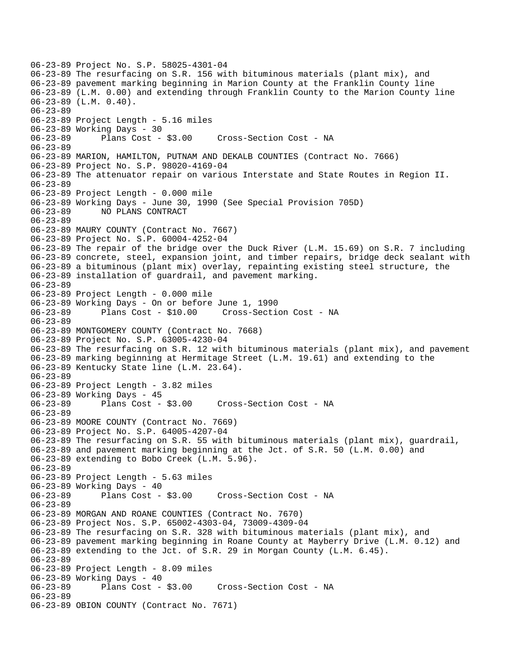06-23-89 Project No. S.P. 58025-4301-04 06-23-89 The resurfacing on S.R. 156 with bituminous materials (plant mix), and 06-23-89 pavement marking beginning in Marion County at the Franklin County line 06-23-89 (L.M. 0.00) and extending through Franklin County to the Marion County line 06-23-89 (L.M. 0.40). 06-23-89 06-23-89 Project Length - 5.16 miles 06-23-89 Working Days - 30 06-23-89 Plans Cost - \$3.00 Cross-Section Cost - NA 06-23-89 06-23-89 MARION, HAMILTON, PUTNAM AND DEKALB COUNTIES (Contract No. 7666) 06-23-89 Project No. S.P. 98020-4169-04 06-23-89 The attenuator repair on various Interstate and State Routes in Region II. 06-23-89 06-23-89 Project Length - 0.000 mile 06-23-89 Working Days - June 30, 1990 (See Special Provision 705D) 06-23-89 NO PLANS CONTRACT 06-23-89 06-23-89 MAURY COUNTY (Contract No. 7667) 06-23-89 Project No. S.P. 60004-4252-04 06-23-89 The repair of the bridge over the Duck River (L.M. 15.69) on S.R. 7 including 06-23-89 concrete, steel, expansion joint, and timber repairs, bridge deck sealant with 06-23-89 a bituminous (plant mix) overlay, repainting existing steel structure, the 06-23-89 installation of guardrail, and pavement marking. 06-23-89 06-23-89 Project Length - 0.000 mile 06-23-89 Working Days - On or before June 1, 1990 06-23-89 Plans Cost - \$10.00 Cross-Section Cost - NA 06-23-89 06-23-89 MONTGOMERY COUNTY (Contract No. 7668) 06-23-89 Project No. S.P. 63005-4230-04 06-23-89 The resurfacing on S.R. 12 with bituminous materials (plant mix), and pavement 06-23-89 marking beginning at Hermitage Street (L.M. 19.61) and extending to the 06-23-89 Kentucky State line (L.M. 23.64). 06-23-89 06-23-89 Project Length - 3.82 miles 06-23-89 Working Days - 45<br>06-23-89 Plans Cost - \$3.00 06-23-89 Plans Cost - \$3.00 Cross-Section Cost - NA 06-23-89 06-23-89 MOORE COUNTY (Contract No. 7669) 06-23-89 Project No. S.P. 64005-4207-04 06-23-89 The resurfacing on S.R. 55 with bituminous materials (plant mix), guardrail, 06-23-89 and pavement marking beginning at the Jct. of S.R. 50 (L.M. 0.00) and 06-23-89 extending to Bobo Creek (L.M. 5.96). 06-23-89 06-23-89 Project Length - 5.63 miles 06-23-89 Working Days - 40<br>06-23-89 Plans Cost - \$3.00 Cross-Section Cost - NA 06-23-89 06-23-89 MORGAN AND ROANE COUNTIES (Contract No. 7670) 06-23-89 Project Nos. S.P. 65002-4303-04, 73009-4309-04 06-23-89 The resurfacing on S.R. 328 with bituminous materials (plant mix), and 06-23-89 pavement marking beginning in Roane County at Mayberry Drive (L.M. 0.12) and 06-23-89 extending to the Jct. of S.R. 29 in Morgan County (L.M. 6.45). 06-23-89 06-23-89 Project Length - 8.09 miles 06-23-89 Working Days - 40 Cross-Section Cost - NA 06-23-89 06-23-89 OBION COUNTY (Contract No. 7671)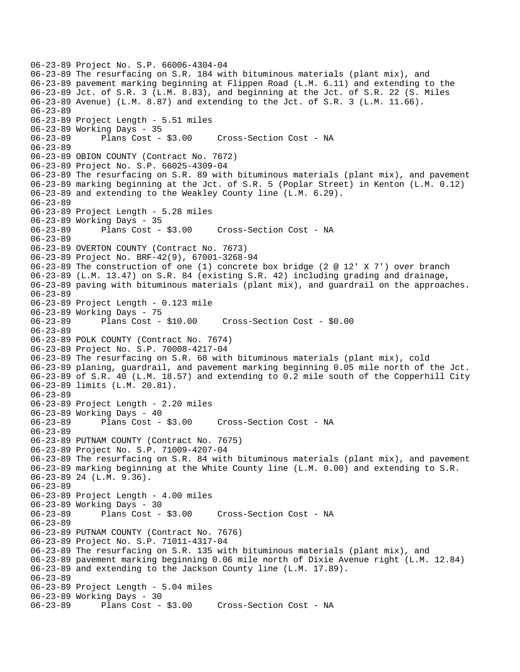```
06-23-89 Project No. S.P. 66006-4304-04 
06-23-89 The resurfacing on S.R. 184 with bituminous materials (plant mix), and 
06-23-89 pavement marking beginning at Flippen Road (L.M. 6.11) and extending to the 
06-23-89 Jct. of S.R. 3 (L.M. 8.83), and beginning at the Jct. of S.R. 22 (S. Miles 
06-23-89 Avenue) (L.M. 8.87) and extending to the Jct. of S.R. 3 (L.M. 11.66). 
06-23-89 
06-23-89 Project Length - 5.51 miles 
06-23-89 Working Days - 35 
06-23-89 Plans Cost - $3.00 Cross-Section Cost - NA 
06-23-89 
06-23-89 OBION COUNTY (Contract No. 7672) 
06-23-89 Project No. S.P. 66025-4309-04 
06-23-89 The resurfacing on S.R. 89 with bituminous materials (plant mix), and pavement 
06-23-89 marking beginning at the Jct. of S.R. 5 (Poplar Street) in Kenton (L.M. 0.12) 
06-23-89 and extending to the Weakley County line (L.M. 6.29). 
06-23-89 
06-23-89 Project Length - 5.28 miles 
06-23-89 Working Days - 35 
06-23-89 Plans Cost - $3.00 Cross-Section Cost - NA 
06-23-89 
06-23-89 OVERTON COUNTY (Contract No. 7673) 
06-23-89 Project No. BRF-42(9), 67001-3268-94 
06-23-89 The construction of one (1) concrete box bridge (2 @ 12' X 7') over branch 
06-23-89 (L.M. 13.47) on S.R. 84 (existing S.R. 42) including grading and drainage, 
06-23-89 paving with bituminous materials (plant mix), and guardrail on the approaches. 
06-23-89 
06-23-89 Project Length - 0.123 mile 
06-23-89 Working Days - 75 
06-23-89 Plans Cost - $10.00 Cross-Section Cost - $0.00 
06-23-89 
06-23-89 POLK COUNTY (Contract No. 7674) 
06-23-89 Project No. S.P. 70008-4217-04 
06-23-89 The resurfacing on S.R. 68 with bituminous materials (plant mix), cold 
06-23-89 planing, guardrail, and pavement marking beginning 0.05 mile north of the Jct. 
06-23-89 of S.R. 40 (L.M. 18.57) and extending to 0.2 mile south of the Copperhill City 
06-23-89 limits (L.M. 20.81). 
06-23-89 
06-23-89 Project Length - 2.20 miles 
06-23-89 Working Days - 40<br>06-23-89 Plans Cost -
              Plans Cost - $3.00 Cross-Section Cost - NA
06-23-89 
06-23-89 PUTNAM COUNTY (Contract No. 7675) 
06-23-89 Project No. S.P. 71009-4207-04 
06-23-89 The resurfacing on S.R. 84 with bituminous materials (plant mix), and pavement 
06-23-89 marking beginning at the White County line (L.M. 0.00) and extending to S.R. 
06-23-89 24 (L.M. 9.36). 
06-23-89 
06-23-89 Project Length - 4.00 miles 
06-23-89 Working Days - 30 
06-23-89 Plans Cost - $3.00 Cross-Section Cost - NA 
06-23-89 
06-23-89 PUTNAM COUNTY (Contract No. 7676) 
06-23-89 Project No. S.P. 71011-4317-04 
06-23-89 The resurfacing on S.R. 135 with bituminous materials (plant mix), and 
06-23-89 pavement marking beginning 0.06 mile north of Dixie Avenue right (L.M. 12.84) 
06-23-89 and extending to the Jackson County line (L.M. 17.89). 
06-23-89 
06-23-89 Project Length - 5.04 miles 
06-23-89 Working Days - 30 
06-23-89 Plans Cost - $3.00 Cross-Section Cost - NA
```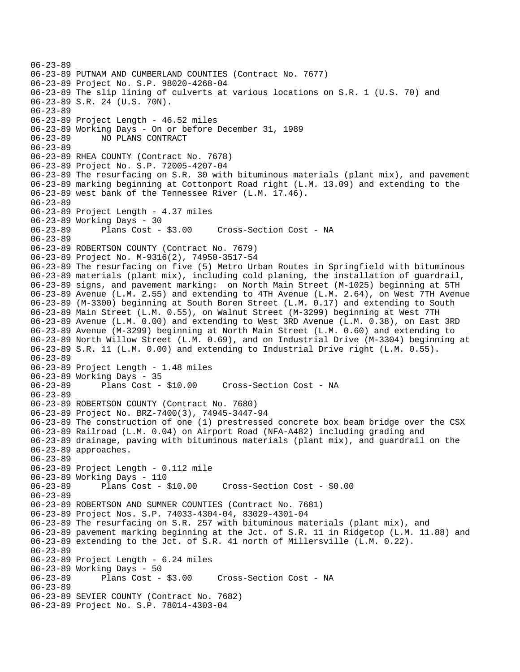```
06-23-89 
06-23-89 PUTNAM AND CUMBERLAND COUNTIES (Contract No. 7677) 
06-23-89 Project No. S.P. 98020-4268-04 
06-23-89 The slip lining of culverts at various locations on S.R. 1 (U.S. 70) and 
06-23-89 S.R. 24 (U.S. 70N). 
06-23-89 
06-23-89 Project Length - 46.52 miles 
06-23-89 Working Days - On or before December 31, 1989 
06-23-89 NO PLANS CONTRACT 
06-23-89 
06-23-89 RHEA COUNTY (Contract No. 7678) 
06-23-89 Project No. S.P. 72005-4207-04 
06-23-89 The resurfacing on S.R. 30 with bituminous materials (plant mix), and pavement 
06-23-89 marking beginning at Cottonport Road right (L.M. 13.09) and extending to the 
06-23-89 west bank of the Tennessee River (L.M. 17.46). 
06-23-89 
06-23-89 Project Length - 4.37 miles 
06-23-89 Working Days - 30 
06-23-89 Plans Cost - $3.00 Cross-Section Cost - NA 
06-23-89 
06-23-89 ROBERTSON COUNTY (Contract No. 7679) 
06-23-89 Project No. M-9316(2), 74950-3517-54 
06-23-89 The resurfacing on five (5) Metro Urban Routes in Springfield with bituminous 
06-23-89 materials (plant mix), including cold planing, the installation of guardrail, 
06-23-89 signs, and pavement marking: on North Main Street (M-1025) beginning at 5TH 
06-23-89 Avenue (L.M. 2.55) and extending to 4TH Avenue (L.M. 2.64), on West 7TH Avenue 
06-23-89 (M-3300) beginning at South Boren Street (L.M. 0.17) and extending to South 
06-23-89 Main Street (L.M. 0.55), on Walnut Street (M-3299) beginning at West 7TH 
06-23-89 Avenue (L.M. 0.00) and extending to West 3RD Avenue (L.M. 0.38), on East 3RD 
06-23-89 Avenue (M-3299) beginning at North Main Street (L.M. 0.60) and extending to 
06-23-89 North Willow Street (L.M. 0.69), and on Industrial Drive (M-3304) beginning at 
06-23-89 S.R. 11 (L.M. 0.00) and extending to Industrial Drive right (L.M. 0.55). 
06-23-89 
06-23-89 Project Length - 1.48 miles 
06-23-89 Working Days - 35 
06-23-89 Plans Cost - $10.00 Cross-Section Cost - NA 
06-23-89 
06-23-89 ROBERTSON COUNTY (Contract No. 7680) 
06-23-89 Project No. BRZ-7400(3), 74945-3447-94 
06-23-89 The construction of one (1) prestressed concrete box beam bridge over the CSX 
06-23-89 Railroad (L.M. 0.04) on Airport Road (NFA-A482) including grading and 
06-23-89 drainage, paving with bituminous materials (plant mix), and guardrail on the 
06-23-89 approaches. 
06-23-89 
06-23-89 Project Length - 0.112 mile 
06-23-89 Working Days - 110 
06-23-89 Plans Cost - $10.00 Cross-Section Cost - $0.00 
06-23-89 
06-23-89 ROBERTSON AND SUMNER COUNTIES (Contract No. 7681) 
06-23-89 Project Nos. S.P. 74033-4304-04, 83029-4301-04 
06-23-89 The resurfacing on S.R. 257 with bituminous materials (plant mix), and 
06-23-89 pavement marking beginning at the Jct. of S.R. 11 in Ridgetop (L.M. 11.88) and 
06-23-89 extending to the Jct. of S.R. 41 north of Millersville (L.M. 0.22). 
06-23-89 
06-23-89 Project Length - 6.24 miles 
06-23-89 Working Days - 50 
06-23-89 Plans Cost - $3.00 Cross-Section Cost - NA 
06-23-89 
06-23-89 SEVIER COUNTY (Contract No. 7682) 
06-23-89 Project No. S.P. 78014-4303-04
```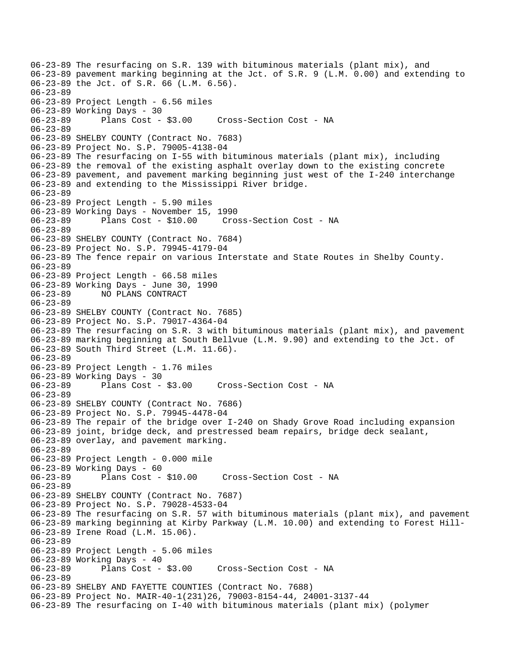06-23-89 The resurfacing on S.R. 139 with bituminous materials (plant mix), and 06-23-89 pavement marking beginning at the Jct. of S.R. 9 (L.M. 0.00) and extending to 06-23-89 the Jct. of S.R. 66 (L.M. 6.56). 06-23-89 06-23-89 Project Length - 6.56 miles 06-23-89 Working Days - 30 06-23-89 Plans Cost - \$3.00 Cross-Section Cost - NA 06-23-89 06-23-89 SHELBY COUNTY (Contract No. 7683) 06-23-89 Project No. S.P. 79005-4138-04 06-23-89 The resurfacing on I-55 with bituminous materials (plant mix), including 06-23-89 the removal of the existing asphalt overlay down to the existing concrete 06-23-89 pavement, and pavement marking beginning just west of the I-240 interchange 06-23-89 and extending to the Mississippi River bridge. 06-23-89 06-23-89 Project Length - 5.90 miles 06-23-89 Working Days - November 15, 1990 06-23-89 Plans Cost - \$10.00 Cross-Section Cost - NA 06-23-89 06-23-89 SHELBY COUNTY (Contract No. 7684) 06-23-89 Project No. S.P. 79945-4179-04 06-23-89 The fence repair on various Interstate and State Routes in Shelby County. 06-23-89 06-23-89 Project Length - 66.58 miles 06-23-89 Working Days - June 30, 1990 06-23-89 NO PLANS CONTRACT 06-23-89 06-23-89 SHELBY COUNTY (Contract No. 7685) 06-23-89 Project No. S.P. 79017-4364-04 06-23-89 The resurfacing on S.R. 3 with bituminous materials (plant mix), and pavement 06-23-89 marking beginning at South Bellvue (L.M. 9.90) and extending to the Jct. of 06-23-89 South Third Street (L.M. 11.66). 06-23-89 06-23-89 Project Length - 1.76 miles 06-23-89 Working Days - 30 06-23-89 Plans Cost - \$3.00 Cross-Section Cost - NA 06-23-89 06-23-89 SHELBY COUNTY (Contract No. 7686) 06-23-89 Project No. S.P. 79945-4478-04 06-23-89 The repair of the bridge over I-240 on Shady Grove Road including expansion 06-23-89 joint, bridge deck, and prestressed beam repairs, bridge deck sealant, 06-23-89 overlay, and pavement marking. 06-23-89 06-23-89 Project Length - 0.000 mile 06-23-89 Working Days - 60 06-23-89 Plans Cost - \$10.00 Cross-Section Cost - NA 06-23-89 06-23-89 SHELBY COUNTY (Contract No. 7687) 06-23-89 Project No. S.P. 79028-4533-04 06-23-89 The resurfacing on S.R. 57 with bituminous materials (plant mix), and pavement 06-23-89 marking beginning at Kirby Parkway (L.M. 10.00) and extending to Forest Hill-06-23-89 Irene Road (L.M. 15.06). 06-23-89 06-23-89 Project Length - 5.06 miles 06-23-89 Working Days - 40<br>06-23-89 Plans Cost - \$3.00 06-23-89 Plans Cost - \$3.00 Cross-Section Cost - NA 06-23-89 06-23-89 SHELBY AND FAYETTE COUNTIES (Contract No. 7688) 06-23-89 Project No. MAIR-40-1(231)26, 79003-8154-44, 24001-3137-44 06-23-89 The resurfacing on I-40 with bituminous materials (plant mix) (polymer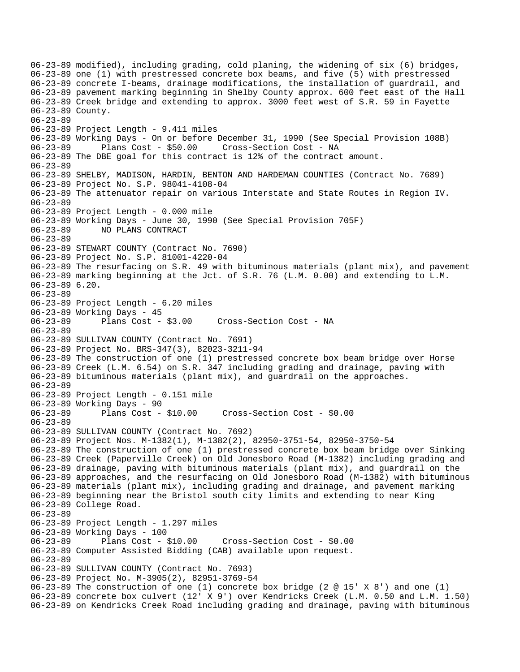06-23-89 modified), including grading, cold planing, the widening of six (6) bridges, 06-23-89 one (1) with prestressed concrete box beams, and five (5) with prestressed 06-23-89 concrete I-beams, drainage modifications, the installation of guardrail, and 06-23-89 pavement marking beginning in Shelby County approx. 600 feet east of the Hall 06-23-89 Creek bridge and extending to approx. 3000 feet west of S.R. 59 in Fayette 06-23-89 County. 06-23-89 06-23-89 Project Length - 9.411 miles 06-23-89 Working Days - On or before December 31, 1990 (See Special Provision 108B) 06-23-89 Plans Cost - \$50.00 Cross-Section Cost - NA 06-23-89 The DBE goal for this contract is 12% of the contract amount. 06-23-89 06-23-89 SHELBY, MADISON, HARDIN, BENTON AND HARDEMAN COUNTIES (Contract No. 7689) 06-23-89 Project No. S.P. 98041-4108-04 06-23-89 The attenuator repair on various Interstate and State Routes in Region IV. 06-23-89 06-23-89 Project Length - 0.000 mile 06-23-89 Working Days - June 30, 1990 (See Special Provision 705F) 06-23-89 NO PLANS CONTRACT 06-23-89 06-23-89 STEWART COUNTY (Contract No. 7690) 06-23-89 Project No. S.P. 81001-4220-04 06-23-89 The resurfacing on S.R. 49 with bituminous materials (plant mix), and pavement 06-23-89 marking beginning at the Jct. of S.R. 76 (L.M. 0.00) and extending to L.M. 06-23-89 6.20. 06-23-89 06-23-89 Project Length - 6.20 miles 06-23-89 Working Days - 45 06-23-89 Plans Cost - \$3.00 Cross-Section Cost - NA 06-23-89 06-23-89 SULLIVAN COUNTY (Contract No. 7691) 06-23-89 Project No. BRS-347(3), 82023-3211-94 06-23-89 The construction of one (1) prestressed concrete box beam bridge over Horse 06-23-89 Creek (L.M. 6.54) on S.R. 347 including grading and drainage, paving with 06-23-89 bituminous materials (plant mix), and guardrail on the approaches. 06-23-89 06-23-89 Project Length - 0.151 mile 06-23-89 Working Days - 90 06-23-89 Plans Cost - \$10.00 Cross-Section Cost - \$0.00 06-23-89 06-23-89 SULLIVAN COUNTY (Contract No. 7692) 06-23-89 Project Nos. M-1382(1), M-1382(2), 82950-3751-54, 82950-3750-54 06-23-89 The construction of one (1) prestressed concrete box beam bridge over Sinking 06-23-89 Creek (Paperville Creek) on Old Jonesboro Road (M-1382) including grading and 06-23-89 drainage, paving with bituminous materials (plant mix), and guardrail on the 06-23-89 approaches, and the resurfacing on Old Jonesboro Road (M-1382) with bituminous 06-23-89 materials (plant mix), including grading and drainage, and pavement marking 06-23-89 beginning near the Bristol south city limits and extending to near King 06-23-89 College Road. 06-23-89 06-23-89 Project Length - 1.297 miles 06-23-89 Working Days - 100 06-23-89 Plans Cost - \$10.00 Cross-Section Cost - \$0.00 06-23-89 Computer Assisted Bidding (CAB) available upon request. 06-23-89 06-23-89 SULLIVAN COUNTY (Contract No. 7693) 06-23-89 Project No. M-3905(2), 82951-3769-54 06-23-89 The construction of one (1) concrete box bridge (2 @ 15' X 8') and one (1) 06-23-89 concrete box culvert (12' X 9') over Kendricks Creek (L.M. 0.50 and L.M. 1.50) 06-23-89 on Kendricks Creek Road including grading and drainage, paving with bituminous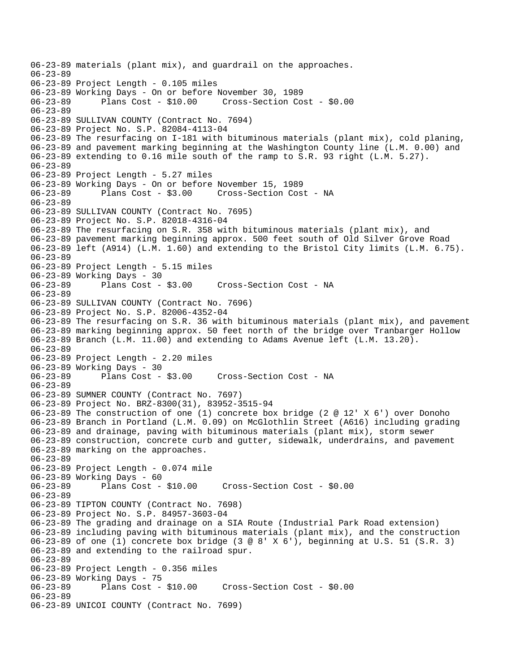```
06-23-89 materials (plant mix), and guardrail on the approaches. 
06-23-89 
06-23-89 Project Length - 0.105 miles 
06-23-89 Working Days - On or before November 30, 1989 
                                       06-23-89 Plans Cost - $10.00 Cross-Section Cost - $0.00 
06-23-89 
06-23-89 SULLIVAN COUNTY (Contract No. 7694) 
06-23-89 Project No. S.P. 82084-4113-04 
06-23-89 The resurfacing on I-181 with bituminous materials (plant mix), cold planing, 
06-23-89 and pavement marking beginning at the Washington County line (L.M. 0.00) and 
06-23-89 extending to 0.16 mile south of the ramp to S.R. 93 right (L.M. 5.27). 
06-23-89 
06-23-89 Project Length - 5.27 miles 
06-23-89 Working Days - On or before November 15, 1989 
06-23-89 Plans Cost - $3.00 Cross-Section Cost - NA 
06-23-89 
06-23-89 SULLIVAN COUNTY (Contract No. 7695) 
06-23-89 Project No. S.P. 82018-4316-04 
06-23-89 The resurfacing on S.R. 358 with bituminous materials (plant mix), and 
06-23-89 pavement marking beginning approx. 500 feet south of Old Silver Grove Road 
06-23-89 left (A914) (L.M. 1.60) and extending to the Bristol City limits (L.M. 6.75). 
06-23-89 
06-23-89 Project Length - 5.15 miles 
06-23-89 Working Days - 30 
                                       Cross-Section Cost - NA
06-23-89 
06-23-89 SULLIVAN COUNTY (Contract No. 7696) 
06-23-89 Project No. S.P. 82006-4352-04 
06-23-89 The resurfacing on S.R. 36 with bituminous materials (plant mix), and pavement 
06-23-89 marking beginning approx. 50 feet north of the bridge over Tranbarger Hollow 
06-23-89 Branch (L.M. 11.00) and extending to Adams Avenue left (L.M. 13.20). 
06-23-89 
06-23-89 Project Length - 2.20 miles 
06-23-89 Working Days - 30<br>06-23-89 Plans Cost - $3.00
                                      Cross-Section Cost - NA
06-23-89 
06-23-89 SUMNER COUNTY (Contract No. 7697) 
06-23-89 Project No. BRZ-8300(31), 83952-3515-94 
06-23-89 The construction of one (1) concrete box bridge (2 @ 12' X 6') over Donoho 
06-23-89 Branch in Portland (L.M. 0.09) on McGlothlin Street (A616) including grading 
06-23-89 and drainage, paving with bituminous materials (plant mix), storm sewer 
06-23-89 construction, concrete curb and gutter, sidewalk, underdrains, and pavement 
06-23-89 marking on the approaches. 
06-23-89 
06-23-89 Project Length - 0.074 mile 
06-23-89 Working Days - 60 
06-23-89 Plans Cost - $10.00 Cross-Section Cost - $0.00 
06-23-89 
06-23-89 TIPTON COUNTY (Contract No. 7698) 
06-23-89 Project No. S.P. 84957-3603-04 
06-23-89 The grading and drainage on a SIA Route (Industrial Park Road extension) 
06-23-89 including paving with bituminous materials (plant mix), and the construction 
06-23-89 of one (1) concrete box bridge (3 @ 8' X 6'), beginning at U.S. 51 (S.R. 3) 
06-23-89 and extending to the railroad spur. 
06-23-89 
06-23-89 Project Length - 0.356 miles 
06-23-89 Working Days - 75<br>06-23-89 Plans Cost - $10.00
                                        06-23-89 Plans Cost - $10.00 Cross-Section Cost - $0.00 
06-23-89 
06-23-89 UNICOI COUNTY (Contract No. 7699)
```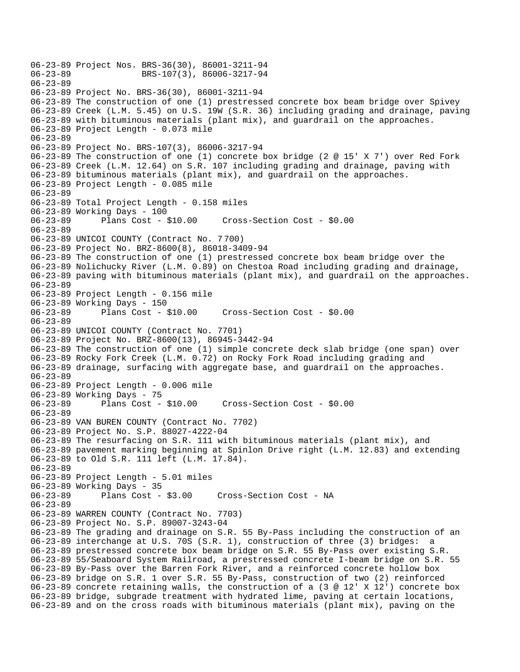06-23-89 Project Nos. BRS-36(30), 86001-3211-94 06-23-89 BRS-107(3), 86006-3217-94 06-23-89 06-23-89 Project No. BRS-36(30), 86001-3211-94 06-23-89 The construction of one (1) prestressed concrete box beam bridge over Spivey 06-23-89 Creek (L.M. 5.45) on U.S. 19W (S.R. 36) including grading and drainage, paving 06-23-89 with bituminous materials (plant mix), and guardrail on the approaches. 06-23-89 Project Length - 0.073 mile 06-23-89 06-23-89 Project No. BRS-107(3), 86006-3217-94 06-23-89 The construction of one (1) concrete box bridge (2 @ 15' X 7') over Red Fork 06-23-89 Creek (L.M. 12.64) on S.R. 107 including grading and drainage, paving with 06-23-89 bituminous materials (plant mix), and guardrail on the approaches. 06-23-89 Project Length - 0.085 mile 06-23-89 06-23-89 Total Project Length - 0.158 miles 06-23-89 Working Days - 100 06-23-89 Plans Cost - \$10.00 Cross-Section Cost - \$0.00 06-23-89 06-23-89 UNICOI COUNTY (Contract No. 7 700) 06-23-89 Project No. BRZ-8600(8), 86018-3409-94 06-23-89 The construction of one (1) prestressed concrete box beam bridge over the 06-23-89 Nolichucky River (L.M. 0.89) on Chestoa Road including grading and drainage, 06-23-89 paving with bituminous materials (plant mix), and guardrail on the approaches. 06-23-89 06-23-89 Project Length - 0.156 mile 06-23-89 Working Days - 150 06-23-89 Plans Cost - \$10.00 Cross-Section Cost - \$0.00 06-23-89 06-23-89 UNICOI COUNTY (Contract No. 7701) 06-23-89 Project No. BRZ-8600(13), 86945-3442-94 06-23-89 The construction of one (1) simple concrete deck slab bridge (one span) over 06-23-89 Rocky Fork Creek (L.M. 0.72) on Rocky Fork Road including grading and 06-23-89 drainage, surfacing with aggregate base, and guardrail on the approaches. 06-23-89 06-23-89 Project Length - 0.006 mile 06-23-89 Working Days - 75 06-23-89 Plans Cost - \$10.00 Cross-Section Cost - \$0.00 06-23-89 06-23-89 VAN BUREN COUNTY (Contract No. 7702) 06-23-89 Project No. S.P. 88027-4222-04 06-23-89 The resurfacing on S.R. 111 with bituminous materials (plant mix), and 06-23-89 pavement marking beginning at Spinlon Drive right (L.M. 12.83) and extending 06-23-89 to Old S.R. 111 left (L.M. 17.84). 06-23-89 06-23-89 Project Length - 5.01 miles 06-23-89 Working Days - 35 Cross-Section Cost - NA 06-23-89 06-23-89 WARREN COUNTY (Contract No. 7703) 06-23-89 Project No. S.P. 89007-3243-04 06-23-89 The grading and drainage on S.R. 55 By-Pass including the construction of an 06-23-89 interchange at U.S. 70S (S.R. 1), construction of three (3) bridges: a 06-23-89 prestressed concrete box beam bridge on S.R. 55 By-Pass over existing S.R. 06-23-89 55/Seaboard System Railroad, a prestressed concrete I-beam bridge on S.R. 55 06-23-89 By-Pass over the Barren Fork River, and a reinforced concrete hollow box 06-23-89 bridge on S.R. 1 over S.R. 55 By-Pass, construction of two (2) reinforced 06-23-89 concrete retaining walls, the construction of a (3 @ 12' X 12') concrete box 06-23-89 bridge, subgrade treatment with hydrated lime, paving at certain locations, 06-23-89 and on the cross roads with bituminous materials (plant mix), paving on the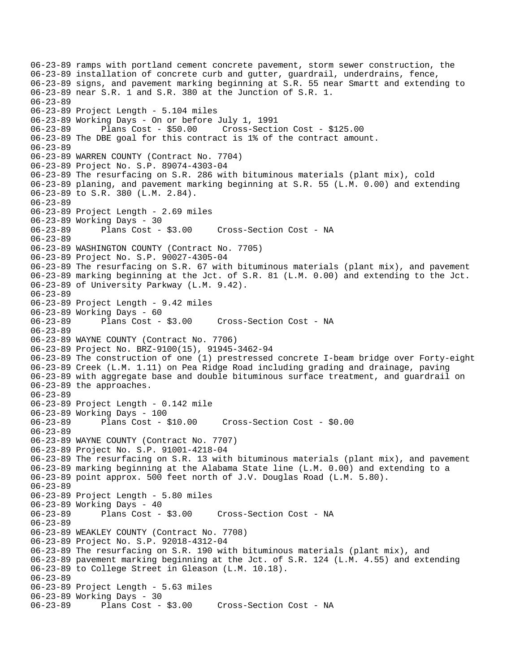06-23-89 ramps with portland cement concrete pavement, storm sewer construction, the 06-23-89 installation of concrete curb and gutter, guardrail, underdrains, fence, 06-23-89 signs, and pavement marking beginning at S.R. 55 near Smartt and extending to 06-23-89 near S.R. 1 and S.R. 380 at the Junction of S.R. 1. 06-23-89 06-23-89 Project Length - 5.104 miles 06-23-89 Working Days - On or before July 1, 1991 06-23-89 Plans Cost - \$50.00 Cross-Section Cost - \$125.00 06-23-89 The DBE goal for this contract is 1% of the contract amount. 06-23-89 06-23-89 WARREN COUNTY (Contract No. 7704) 06-23-89 Project No. S.P. 89074-4303-04 06-23-89 The resurfacing on S.R. 286 with bituminous materials (plant mix), cold 06-23-89 planing, and pavement marking beginning at S.R. 55 (L.M. 0.00) and extending 06-23-89 to S.R. 380 (L.M. 2.84). 06-23-89 06-23-89 Project Length - 2.69 miles 06-23-89 Working Days - 30 06-23-89 Plans Cost - \$3.00 Cross-Section Cost - NA 06-23-89 06-23-89 WASHINGTON COUNTY (Contract No. 7705) 06-23-89 Project No. S.P. 90027-4305-04 06-23-89 The resurfacing on S.R. 67 with bituminous materials (plant mix), and pavement 06-23-89 marking beginning at the Jct. of S.R. 81 (L.M. 0.00) and extending to the Jct. 06-23-89 of University Parkway (L.M. 9.42). 06-23-89 06-23-89 Project Length - 9.42 miles 06-23-89 Working Days - 60 06-23-89 Plans Cost - \$3.00 Cross-Section Cost - NA 06-23-89 06-23-89 WAYNE COUNTY (Contract No. 7706) 06-23-89 Project No. BRZ-9100(15), 91945-3462-94 06-23-89 The construction of one (1) prestressed concrete I-beam bridge over Forty-eight 06-23-89 Creek (L.M. 1.11) on Pea Ridge Road including grading and drainage, paving 06-23-89 with aggregate base and double bituminous surface treatment, and guardrail on 06-23-89 the approaches. 06-23-89 06-23-89 Project Length - 0.142 mile 06-23-89 Working Days - 100 06-23-89 Plans Cost - \$10.00 Cross-Section Cost - \$0.00 06-23-89 06-23-89 WAYNE COUNTY (Contract No. 7707) 06-23-89 Project No. S.P. 91001-4218-04 06-23-89 The resurfacing on S.R. 13 with bituminous materials (plant mix), and pavement 06-23-89 marking beginning at the Alabama State line (L.M. 0.00) and extending to a 06-23-89 point approx. 500 feet north of J.V. Douglas Road (L.M. 5.80). 06-23-89 06-23-89 Project Length - 5.80 miles 06-23-89 Working Days - 40 06-23-89 Plans Cost - \$3.00 Cross-Section Cost - NA 06-23-89 06-23-89 WEAKLEY COUNTY (Contract No. 7708) 06-23-89 Project No. S.P. 92018-4312-04 06-23-89 The resurfacing on S.R. 190 with bituminous materials (plant mix), and 06-23-89 pavement marking beginning at the Jct. of S.R. 124 (L.M. 4.55) and extending 06-23-89 to College Street in Gleason (L.M. 10.18). 06-23-89 06-23-89 Project Length - 5.63 miles 06-23-89 Working Days - 30 06-23-89 Plans Cost - \$3.00 Cross-Section Cost - NA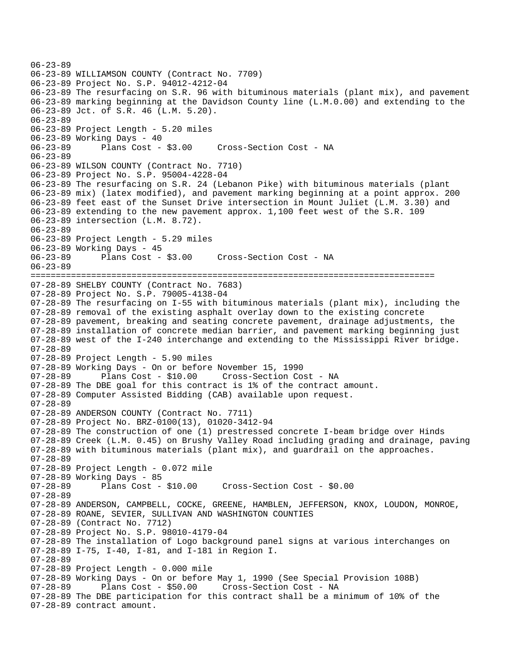```
06-23-89 
06-23-89 WILLIAMSON COUNTY (Contract No. 7709) 
06-23-89 Project No. S.P. 94012-4212-04 
06-23-89 The resurfacing on S.R. 96 with bituminous materials (plant mix), and pavement 
06-23-89 marking beginning at the Davidson County line (L.M.0.00) and extending to the 
06-23-89 Jct. of S.R. 46 (L.M. 5.20). 
06-23-89 
06-23-89 Project Length - 5.20 miles 
06-23-89 Working Days - 40 
06-23-89 Plans Cost - $3.00 Cross-Section Cost - NA 
06-23-89 
06-23-89 WILSON COUNTY (Contract No. 7710) 
06-23-89 Project No. S.P. 95004-4228-04 
06-23-89 The resurfacing on S.R. 24 (Lebanon Pike) with bituminous materials (plant 
06-23-89 mix) (latex modified), and pavement marking beginning at a point approx. 200 
06-23-89 feet east of the Sunset Drive intersection in Mount Juliet (L.M. 3.30) and 
06-23-89 extending to the new pavement approx. 1,100 feet west of the S.R. 109 
06-23-89 intersection (L.M. 8.72). 
06-23-89 
06-23-89 Project Length - 5.29 miles 
06-23-89 Working Days - 45 
06-23-89 Plans Cost - $3.00 Cross-Section Cost - NA 
06-23-89 
================================================================================ 
07-28-89 SHELBY COUNTY (Contract No. 7683) 
07-28-89 Project No. S.P. 79005-4138-04 
07-28-89 The resurfacing on I-55 with bituminous materials (plant mix), including the 
07-28-89 removal of the existing asphalt overlay down to the existing concrete 
07-28-89 pavement, breaking and seating concrete pavement, drainage adjustments, the 
07-28-89 installation of concrete median barrier, and pavement marking beginning just 
07-28-89 west of the I-240 interchange and extending to the Mississippi River bridge. 
07-28-89 
07-28-89 Project Length - 5.90 miles 
07-28-89 Working Days - On or before November 15, 1990 
                                   Cross-Section Cost - NA
07-28-89 The DBE goal for this contract is 1% of the contract amount. 
07-28-89 Computer Assisted Bidding (CAB) available upon request. 
07-28-89 
07-28-89 ANDERSON COUNTY (Contract No. 7711) 
07-28-89 Project No. BRZ-0100(13), 01020-3412-94 
07-28-89 The construction of one (1) prestressed concrete I-beam bridge over Hinds 
07-28-89 Creek (L.M. 0.45) on Brushy Valley Road including grading and drainage, paving 
07-28-89 with bituminous materials (plant mix), and guardrail on the approaches. 
07-28-89 
07-28-89 Project Length - 0.072 mile 
07-28-89 Working Days - 85 
07-28-89 Plans Cost - $10.00 Cross-Section Cost - $0.00 
07-28-89 
07-28-89 ANDERSON, CAMPBELL, COCKE, GREENE, HAMBLEN, JEFFERSON, KNOX, LOUDON, MONROE, 
07-28-89 ROANE, SEVIER, SULLIVAN AND WASHINGTON COUNTIES 
07-28-89 (Contract No. 7712) 
07-28-89 Project No. S.P. 98010-4179-04 
07-28-89 The installation of Logo background panel signs at various interchanges on 
07-28-89 I-75, I-40, I-81, and I-181 in Region I. 
07-28-89 
07-28-89 Project Length - 0.000 mile 
07-28-89 Working Days - On or before May 1, 1990 (See Special Provision 108B) 
                                   Cross-Section Cost - NA
07-28-89 The DBE participation for this contract shall be a minimum of 10% of the 
07-28-89 contract amount.
```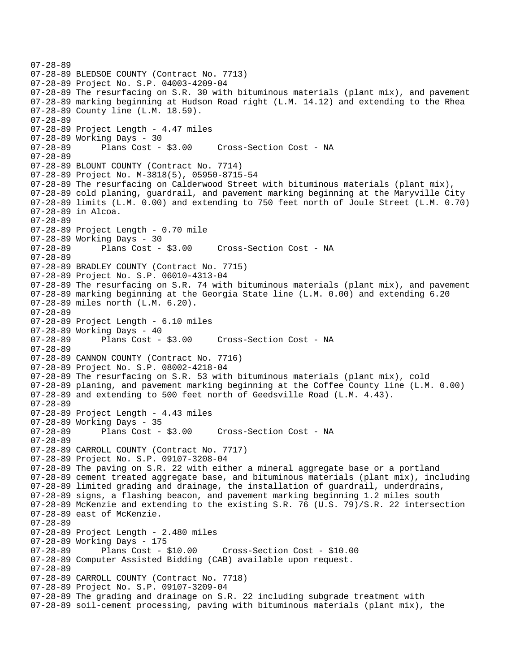```
07-28-89 
07-28-89 BLEDSOE COUNTY (Contract No. 7713) 
07-28-89 Project No. S.P. 04003-4209-04 
07-28-89 The resurfacing on S.R. 30 with bituminous materials (plant mix), and pavement 
07-28-89 marking beginning at Hudson Road right (L.M. 14.12) and extending to the Rhea 
07-28-89 County line (L.M. 18.59). 
07-28-89 
07-28-89 Project Length - 4.47 miles 
07-28-89 Working Days - 30 
07-28-89 Plans Cost - $3.00 Cross-Section Cost - NA 
07-28-89 
07-28-89 BLOUNT COUNTY (Contract No. 7714) 
07-28-89 Project No. M-3818(5), 05950-8715-54 
07-28-89 The resurfacing on Calderwood Street with bituminous materials (plant mix), 
07-28-89 cold planing, guardrail, and pavement marking beginning at the Maryville City 
07-28-89 limits (L.M. 0.00) and extending to 750 feet north of Joule Street (L.M. 0.70) 
07-28-89 in Alcoa. 
07-28-89 
07-28-89 Project Length - 0.70 mile 
07-28-89 Working Days - 30 
07-28-89 Plans Cost - $3.00 Cross-Section Cost - NA 
07-28-89 
07-28-89 BRADLEY COUNTY (Contract No. 7715) 
07-28-89 Project No. S.P. 06010-4313-04 
07-28-89 The resurfacing on S.R. 74 with bituminous materials (plant mix), and pavement 
07-28-89 marking beginning at the Georgia State line (L.M. 0.00) and extending 6.20 
07-28-89 miles north (L.M. 6.20). 
07-28-89 
07-28-89 Project Length - 6.10 miles 
07-28-89 Working Days - 40 
07-28-89 Plans Cost - $3.00 Cross-Section Cost - NA 
07-28-89 
07-28-89 CANNON COUNTY (Contract No. 7716) 
07-28-89 Project No. S.P. 08002-4218-04 
07-28-89 The resurfacing on S.R. 53 with bituminous materials (plant mix), cold 
07-28-89 planing, and pavement marking beginning at the Coffee County line (L.M. 0.00) 
07-28-89 and extending to 500 feet north of Geedsville Road (L.M. 4.43). 
07-28-89 
07-28-89 Project Length - 4.43 miles 
07-28-89 Working Days - 35 
07-28-89 Plans Cost - $3.00 Cross-Section Cost - NA 
07-28-89 
07-28-89 CARROLL COUNTY (Contract No. 7717) 
07-28-89 Project No. S.P. 09107-3208-04 
07-28-89 The paving on S.R. 22 with either a mineral aggregate base or a portland 
07-28-89 cement treated aggregate base, and bituminous materials (plant mix), including 
07-28-89 limited grading and drainage, the installation of guardrail, underdrains, 
07-28-89 signs, a flashing beacon, and pavement marking beginning 1.2 miles south 
07-28-89 McKenzie and extending to the existing S.R. 76 (U.S. 79)/S.R. 22 intersection 
07-28-89 east of McKenzie. 
07-28-89 
07-28-89 Project Length - 2.480 miles 
07-28-89 Working Days - 175 
07-28-89 Plans Cost - $10.00 Cross-Section Cost - $10.00 
07-28-89 Computer Assisted Bidding (CAB) available upon request. 
07-28-89 
07-28-89 CARROLL COUNTY (Contract No. 7718) 
07-28-89 Project No. S.P. 09107-3209-04 
07-28-89 The grading and drainage on S.R. 22 including subgrade treatment with 
07-28-89 soil-cement processing, paving with bituminous materials (plant mix), the
```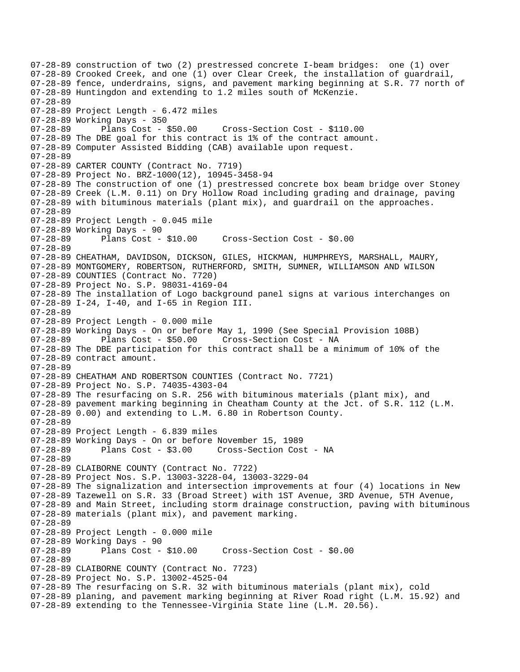07-28-89 construction of two (2) prestressed concrete I-beam bridges: one (1) over 07-28-89 Crooked Creek, and one (1) over Clear Creek, the installation of guardrail, 07-28-89 fence, underdrains, signs, and pavement marking beginning at S.R. 77 north of 07-28-89 Huntingdon and extending to 1.2 miles south of McKenzie. 07-28-89 07-28-89 Project Length - 6.472 miles 07-28-89 Working Days - 350 07-28-89 Plans Cost - \$50.00 Cross-Section Cost - \$110.00 07-28-89 The DBE goal for this contract is 1% of the contract amount. 07-28-89 Computer Assisted Bidding (CAB) available upon request. 07-28-89 07-28-89 CARTER COUNTY (Contract No. 7719) 07-28-89 Project No. BRZ-1000(12), 10945-3458-94 07-28-89 The construction of one (1) prestressed concrete box beam bridge over Stoney 07-28-89 Creek (L.M. 0.11) on Dry Hollow Road including grading and drainage, paving 07-28-89 with bituminous materials (plant mix), and guardrail on the approaches. 07-28-89 07-28-89 Project Length - 0.045 mile 07-28-89 Working Days - 90 07-28-89 Plans Cost - \$10.00 Cross-Section Cost - \$0.00 07-28-89 07-28-89 CHEATHAM, DAVIDSON, DICKSON, GILES, HICKMAN, HUMPHREYS, MARSHALL, MAURY, 07-28-89 MONTGOMERY, ROBERTSON, RUTHERFORD, SMITH, SUMNER, WILLIAMSON AND WILSON 07-28-89 COUNTIES (Contract No. 7720) 07-28-89 Project No. S.P. 98031-4169-04 07-28-89 The installation of Logo background panel signs at various interchanges on 07-28-89 I-24, I-40, and I-65 in Region III. 07-28-89 07-28-89 Project Length - 0.000 mile 07-28-89 Working Days - On or before May 1, 1990 (See Special Provision 108B) 07-28-89 Plans Cost - \$50.00 Cross-Section Cost - NA 07-28-89 The DBE participation for this contract shall be a minimum of 10% of the 07-28-89 contract amount. 07-28-89 07-28-89 CHEATHAM AND ROBERTSON COUNTIES (Contract No. 7721) 07-28-89 Project No. S.P. 74035-4303-04 07-28-89 The resurfacing on S.R. 256 with bituminous materials (plant mix), and 07-28-89 pavement marking beginning in Cheatham County at the Jct. of S.R. 112 (L.M. 07-28-89 0.00) and extending to L.M. 6.80 in Robertson County. 07-28-89 07-28-89 Project Length - 6.839 miles 07-28-89 Working Days - On or before November 15, 1989 07-28-89 Plans Cost - \$3.00 Cross-Section Cost - NA 07-28-89 07-28-89 CLAIBORNE COUNTY (Contract No. 7722) 07-28-89 Project Nos. S.P. 13003-3228-04, 13003-3229-04 07-28-89 The signalization and intersection improvements at four (4) locations in New 07-28-89 Tazewell on S.R. 33 (Broad Street) with 1ST Avenue, 3RD Avenue, 5TH Avenue, 07-28-89 and Main Street, including storm drainage construction, paving with bituminous 07-28-89 materials (plant mix), and pavement marking. 07-28-89 07-28-89 Project Length - 0.000 mile 07-28-89 Working Days - 90 07-28-89 Plans Cost - \$10.00 Cross-Section Cost - \$0.00 07-28-89 07-28-89 CLAIBORNE COUNTY (Contract No. 7723) 07-28-89 Project No. S.P. 13002-4525-04 07-28-89 The resurfacing on S.R. 32 with bituminous materials (plant mix), cold 07-28-89 planing, and pavement marking beginning at River Road right (L.M. 15.92) and 07-28-89 extending to the Tennessee-Virginia State line (L.M. 20.56).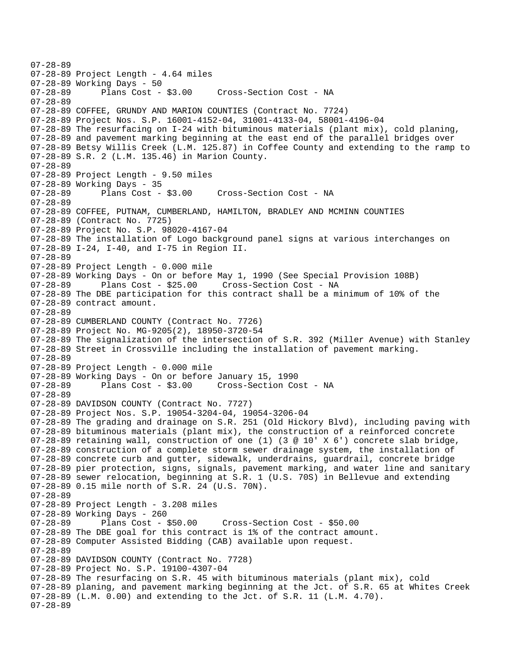07-28-89 07-28-89 Project Length - 4.64 miles 07-28-89 Working Days - 50<br>07-28-89 Plans Cost -Plans Cost - \$3.00 Cross-Section Cost - NA 07-28-89 07-28-89 COFFEE, GRUNDY AND MARION COUNTIES (Contract No. 7724) 07-28-89 Project Nos. S.P. 16001-4152-04, 31001-4133-04, 58001-4196-04 07-28-89 The resurfacing on I-24 with bituminous materials (plant mix), cold planing, 07-28-89 and pavement marking beginning at the east end of the parallel bridges over 07-28-89 Betsy Willis Creek (L.M. 125.87) in Coffee County and extending to the ramp to 07-28-89 S.R. 2 (L.M. 135.46) in Marion County. 07-28-89 07-28-89 Project Length - 9.50 miles 07-28-89 Working Days - 35 Cross-Section Cost - NA 07-28-89 07-28-89 COFFEE, PUTNAM, CUMBERLAND, HAMILTON, BRADLEY AND MCMINN COUNTIES 07-28-89 (Contract No. 7725) 07-28-89 Project No. S.P. 98020-4167-04 07-28-89 The installation of Logo background panel signs at various interchanges on 07-28-89 I-24, I-40, and I-75 in Region II. 07-28-89 07-28-89 Project Length - 0.000 mile 07-28-89 Working Days - On or before May 1, 1990 (See Special Provision 108B)<br>07-28-89 Plans Cost - \$25.00 Cross-Section Cost - NA Plans Cost - \$25.00 Cross-Section Cost - NA 07-28-89 The DBE participation for this contract shall be a minimum of 10% of the 07-28-89 contract amount. 07-28-89 07-28-89 CUMBERLAND COUNTY (Contract No. 7726) 07-28-89 Project No. MG-9205(2), 18950-3720-54 07-28-89 The signalization of the intersection of S.R. 392 (Miller Avenue) with Stanley 07-28-89 Street in Crossville including the installation of pavement marking. 07-28-89 07-28-89 Project Length - 0.000 mile 07-28-89 Working Days - On or before January 15, 1990 07-28-89 Plans Cost - \$3.00 Cross-Section Cost - NA 07-28-89 07-28-89 DAVIDSON COUNTY (Contract No. 7727) 07-28-89 Project Nos. S.P. 19054-3204-04, 19054-3206-04 07-28-89 The grading and drainage on S.R. 251 (Old Hickory Blvd), including paving with 07-28-89 bituminous materials (plant mix), the construction of a reinforced concrete 07-28-89 retaining wall, construction of one (1) (3 @ 10' X 6') concrete slab bridge, 07-28-89 construction of a complete storm sewer drainage system, the installation of 07-28-89 concrete curb and gutter, sidewalk, underdrains, guardrail, concrete bridge 07-28-89 pier protection, signs, signals, pavement marking, and water line and sanitary 07-28-89 sewer relocation, beginning at S.R. 1 (U.S. 70S) in Bellevue and extending 07-28-89 0.15 mile north of S.R. 24 (U.S. 70N). 07-28-89 07-28-89 Project Length - 3.208 miles 07-28-89 Working Days - 260 07-28-89 Plans Cost - \$50.00 Cross-Section Cost - \$50.00 07-28-89 The DBE goal for this contract is 1% of the contract amount. 07-28-89 Computer Assisted Bidding (CAB) available upon request. 07-28-89 07-28-89 DAVIDSON COUNTY (Contract No. 7728) 07-28-89 Project No. S.P. 19100-4307-04 07-28-89 The resurfacing on S.R. 45 with bituminous materials (plant mix), cold 07-28-89 planing, and pavement marking beginning at the Jct. of S.R. 65 at Whites Creek 07-28-89 (L.M. 0.00) and extending to the Jct. of S.R. 11 (L.M. 4.70). 07-28-89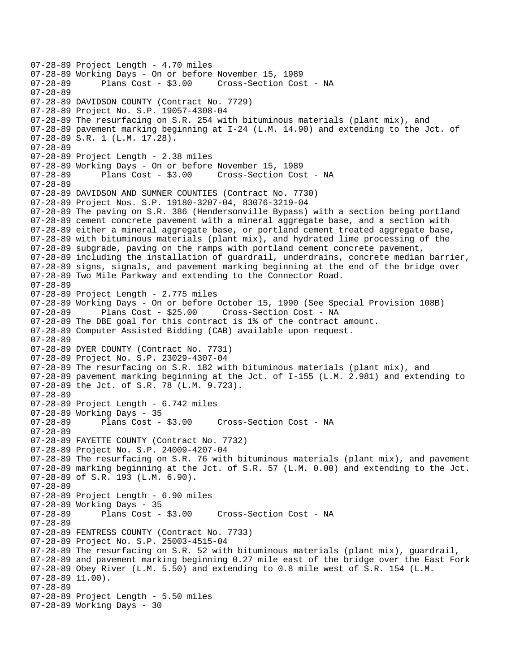07-28-89 Project Length - 4.70 miles 07-28-89 Working Days - On or before November 15, 1989 Cross-Section Cost - NA 07-28-89 07-28-89 DAVIDSON COUNTY (Contract No. 7729) 07-28-89 Project No. S.P. 19057-4308-04 07-28-89 The resurfacing on S.R. 254 with bituminous materials (plant mix), and 07-28-89 pavement marking beginning at I-24 (L.M. 14.90) and extending to the Jct. of 07-28-89 S.R. 1 (L.M. 17.28). 07-28-89 07-28-89 Project Length - 2.38 miles 07-28-89 Working Days - On or before November 15, 1989 07-28-89 Plans Cost - \$3.00 Cross-Section Cost - NA 07-28-89 07-28-89 DAVIDSON AND SUMNER COUNTIES (Contract No. 7730) 07-28-89 Project Nos. S.P. 19180-3207-04, 83076-3219-04 07-28-89 The paving on S.R. 386 (Hendersonville Bypass) with a section being portland 07-28-89 cement concrete pavement with a mineral aggregate base, and a section with 07-28-89 either a mineral aggregate base, or portland cement treated aggregate base, 07-28-89 with bituminous materials (plant mix), and hydrated lime processing of the 07-28-89 subgrade, paving on the ramps with portland cement concrete pavement, 07-28-89 including the installation of guardrail, underdrains, concrete median barrier, 07-28-89 signs, signals, and pavement marking beginning at the end of the bridge over 07-28-89 Two Mile Parkway and extending to the Connector Road. 07-28-89 07-28-89 Project Length - 2.775 miles 07-28-89 Working Days - On or before October 15, 1990 (See Special Provision 108B)<br>07-28-89 Plans Cost - \$25.00 Cross-Section Cost - NA Plans Cost - \$25.00 Cross-Section Cost - NA 07-28-89 The DBE goal for this contract is 1% of the contract amount. 07-28-89 Computer Assisted Bidding (CAB) available upon request. 07-28-89 07-28-89 DYER COUNTY (Contract No. 7731) 07-28-89 Project No. S.P. 23029-4307-04 07-28-89 The resurfacing on S.R. 182 with bituminous materials (plant mix), and 07-28-89 pavement marking beginning at the Jct. of I-155 (L.M. 2.981) and extending to 07-28-89 the Jct. of S.R. 78 (L.M. 9.723). 07-28-89 07-28-89 Project Length - 6.742 miles 07-28-89 Working Days - 35 Plans Cost - \$3.00 Cross-Section Cost - NA 07-28-89 07-28-89 FAYETTE COUNTY (Contract No. 7732) 07-28-89 Project No. S.P. 24009-4207-04 07-28-89 The resurfacing on S.R. 76 with bituminous materials (plant mix), and pavement 07-28-89 marking beginning at the Jct. of S.R. 57 (L.M. 0.00) and extending to the Jct. 07-28-89 of S.R. 193 (L.M. 6.90). 07-28-89 07-28-89 Project Length - 6.90 miles 07-28-89 Working Days - 35<br>07-28-89 Plans Cost - \$3.00 Cross-Section Cost - NA 07-28-89 07-28-89 FENTRESS COUNTY (Contract No. 7733) 07-28-89 Project No. S.P. 25003-4515-04 07-28-89 The resurfacing on S.R. 52 with bituminous materials (plant mix), guardrail, 07-28-89 and pavement marking beginning 0.27 mile east of the bridge over the East Fork 07-28-89 Obey River (L.M. 5.50) and extending to 0.8 mile west of S.R. 154 (L.M. 07-28-89 11.00). 07-28-89 07-28-89 Project Length - 5.50 miles 07-28-89 Working Days - 30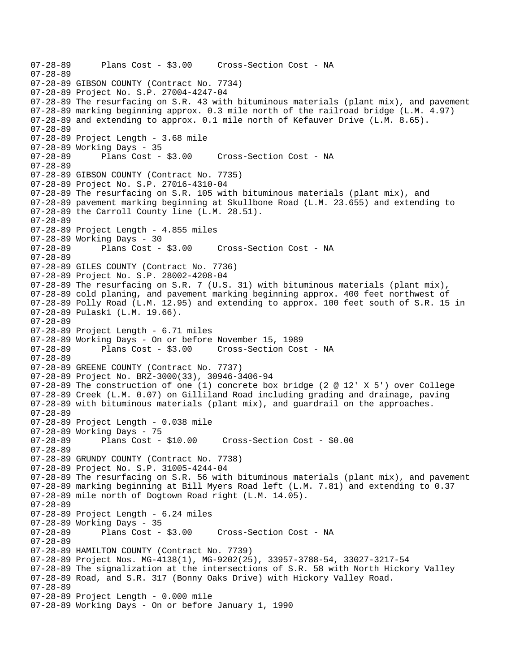```
07-28-89 Plans Cost - $3.00 Cross-Section Cost - NA 
07-28-89 
07-28-89 GIBSON COUNTY (Contract No. 7734) 
07-28-89 Project No. S.P. 27004-4247-04 
07-28-89 The resurfacing on S.R. 43 with bituminous materials (plant mix), and pavement 
07-28-89 marking beginning approx. 0.3 mile north of the railroad bridge (L.M. 4.97) 
07-28-89 and extending to approx. 0.1 mile north of Kefauver Drive (L.M. 8.65). 
07-28-89 
07-28-89 Project Length - 3.68 mile 
07-28-89 Working Days - 35 
07-28-89 Plans Cost - $3.00 Cross-Section Cost - NA 
07-28-89 
07-28-89 GIBSON COUNTY (Contract No. 7735) 
07-28-89 Project No. S.P. 27016-4310-04 
07-28-89 The resurfacing on S.R. 105 with bituminous materials (plant mix), and 
07-28-89 pavement marking beginning at Skullbone Road (L.M. 23.655) and extending to 
07-28-89 the Carroll County line (L.M. 28.51). 
07-28-89 
07-28-89 Project Length - 4.855 miles 
07-28-89 Working Days - 30 
07-28-89 Plans Cost - $3.00 Cross-Section Cost - NA 
07-28-89 
07-28-89 GILES COUNTY (Contract No. 7736) 
07-28-89 Project No. S.P. 28002-4208-04 
07-28-89 The resurfacing on S.R. 7 (U.S. 31) with bituminous materials (plant mix), 
07-28-89 cold planing, and pavement marking beginning approx. 400 feet northwest of 
07-28-89 Polly Road (L.M. 12.95) and extending to approx. 100 feet south of S.R. 15 in 
07-28-89 Pulaski (L.M. 19.66). 
07-28-89 
07-28-89 Project Length - 6.71 miles 
07-28-89 Working Days - On or before November 15, 1989 
07-28-89 Plans Cost - $3.00 Cross-Section Cost - NA 
07-28-89 
07-28-89 GREENE COUNTY (Contract No. 7737) 
07-28-89 Project No. BRZ-3000(33), 30946-3406-94 
07-28-89 The construction of one (1) concrete box bridge (2 @ 12' X 5') over College 
07-28-89 Creek (L.M. 0.07) on Gilliland Road including grading and drainage, paving 
07-28-89 with bituminous materials (plant mix), and guardrail on the approaches. 
07-28-89 
07-28-89 Project Length - 0.038 mile 
07-28-89 Working Days - 75 
07-28-89 Plans Cost - $10.00 Cross-Section Cost - $0.00 
07-28-89 
07-28-89 GRUNDY COUNTY (Contract No. 7738) 
07-28-89 Project No. S.P. 31005-4244-04 
07-28-89 The resurfacing on S.R. 56 with bituminous materials (plant mix), and pavement 
07-28-89 marking beginning at Bill Myers Road left (L.M. 7.81) and extending to 0.37 
07-28-89 mile north of Dogtown Road right (L.M. 14.05). 
07-28-89 
07-28-89 Project Length - 6.24 miles 
07-28-89 Working Days - 35 
07-28-89 Plans Cost - $3.00 Cross-Section Cost - NA 
07-28-89 
07-28-89 HAMILTON COUNTY (Contract No. 7739) 
07-28-89 Project Nos. MG-4138(1), MG-9202(25), 33957-3788-54, 33027-3217-54 
07-28-89 The signalization at the intersections of S.R. 58 with North Hickory Valley 
07-28-89 Road, and S.R. 317 (Bonny Oaks Drive) with Hickory Valley Road. 
07-28-89 
07-28-89 Project Length - 0.000 mile 
07-28-89 Working Days - On or before January 1, 1990
```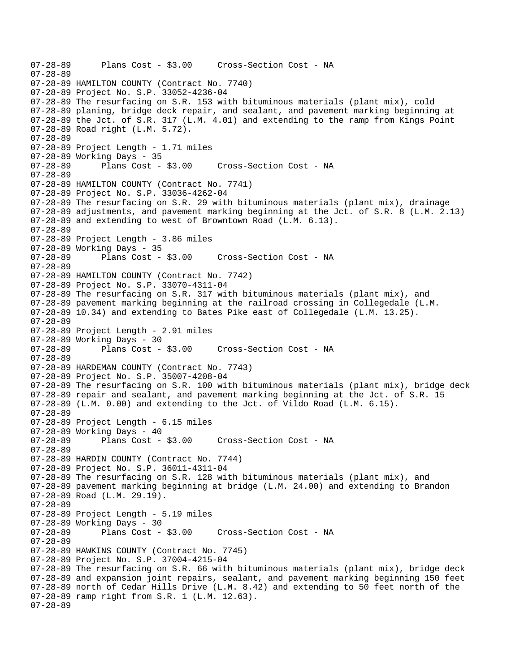```
07-28-89 Plans Cost - $3.00 Cross-Section Cost - NA 
07-28-89 
07-28-89 HAMILTON COUNTY (Contract No. 7740) 
07-28-89 Project No. S.P. 33052-4236-04 
07-28-89 The resurfacing on S.R. 153 with bituminous materials (plant mix), cold 
07-28-89 planing, bridge deck repair, and sealant, and pavement marking beginning at 
07-28-89 the Jct. of S.R. 317 (L.M. 4.01) and extending to the ramp from Kings Point 
07-28-89 Road right (L.M. 5.72). 
07-28-89 
07-28-89 Project Length - 1.71 miles 
07-28-89 Working Days - 35 
07-28-89 Plans Cost - $3.00 Cross-Section Cost - NA 
07-28-89 
07-28-89 HAMILTON COUNTY (Contract No. 7741) 
07-28-89 Project No. S.P. 33036-4262-04 
07-28-89 The resurfacing on S.R. 29 with bituminous materials (plant mix), drainage 
07-28-89 adjustments, and pavement marking beginning at the Jct. of S.R. 8 (L.M. 2.13) 
07-28-89 and extending to west of Browntown Road (L.M. 6.13). 
07-28-89 
07-28-89 Project Length - 3.86 miles 
07-28-89 Working Days - 35 
07-28-89 Plans Cost - $3.00 Cross-Section Cost - NA 
07-28-89 
07-28-89 HAMILTON COUNTY (Contract No. 7742) 
07-28-89 Project No. S.P. 33070-4311-04 
07-28-89 The resurfacing on S.R. 317 with bituminous materials (plant mix), and 
07-28-89 pavement marking beginning at the railroad crossing in Collegedale (L.M. 
07-28-89 10.34) and extending to Bates Pike east of Collegedale (L.M. 13.25). 
07-28-89 
07-28-89 Project Length - 2.91 miles 
07-28-89 Working Days - 30 
07-28-89 Plans Cost - $3.00 Cross-Section Cost - NA 
07-28-89 
07-28-89 HARDEMAN COUNTY (Contract No. 7743) 
07-28-89 Project No. S.P. 35007-4208-04 
07-28-89 The resurfacing on S.R. 100 with bituminous materials (plant mix), bridge deck 
07-28-89 repair and sealant, and pavement marking beginning at the Jct. of S.R. 15 
07-28-89 (L.M. 0.00) and extending to the Jct. of Vildo Road (L.M. 6.15). 
07-28-89 
07-28-89 Project Length - 6.15 miles 
07-28-89 Working Days - 40 
07-28-89 Plans Cost - $3.00 Cross-Section Cost - NA 
07-28-89 
07-28-89 HARDIN COUNTY (Contract No. 7744) 
07-28-89 Project No. S.P. 36011-4311-04 
07-28-89 The resurfacing on S.R. 128 with bituminous materials (plant mix), and 
07-28-89 pavement marking beginning at bridge (L.M. 24.00) and extending to Brandon 
07-28-89 Road (L.M. 29.19). 
07-28-89 
07-28-89 Project Length - 5.19 miles 
07-28-89 Working Days - 30 
07-28-89 Plans Cost - $3.00 Cross-Section Cost - NA 
07-28-89 
07-28-89 HAWKINS COUNTY (Contract No. 7745) 
07-28-89 Project No. S.P. 37004-4215-04 
07-28-89 The resurfacing on S.R. 66 with bituminous materials (plant mix), bridge deck 
07-28-89 and expansion joint repairs, sealant, and pavement marking beginning 150 feet 
07-28-89 north of Cedar Hills Drive (L.M. 8.42) and extending to 50 feet north of the 
07-28-89 ramp right from S.R. 1 (L.M. 12.63). 
07-28-89
```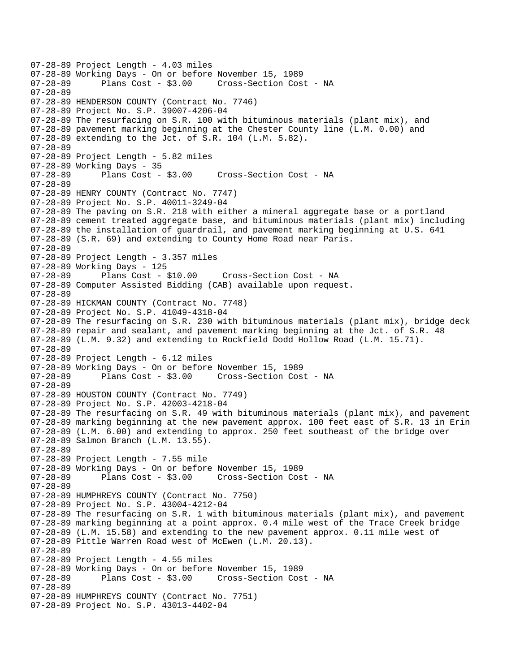07-28-89 Project Length - 4.03 miles 07-28-89 Working Days - On or before November 15, 1989 Cross-Section Cost - NA 07-28-89 07-28-89 HENDERSON COUNTY (Contract No. 7746) 07-28-89 Project No. S.P. 39007-4206-04 07-28-89 The resurfacing on S.R. 100 with bituminous materials (plant mix), and 07-28-89 pavement marking beginning at the Chester County line (L.M. 0.00) and 07-28-89 extending to the Jct. of S.R. 104 (L.M. 5.82). 07-28-89 07-28-89 Project Length - 5.82 miles 07-28-89 Working Days - 35 07-28-89 Plans Cost - \$3.00 Cross-Section Cost - NA 07-28-89 07-28-89 HENRY COUNTY (Contract No. 7747) 07-28-89 Project No. S.P. 40011-3249-04 07-28-89 The paving on S.R. 218 with either a mineral aggregate base or a portland 07-28-89 cement treated aggregate base, and bituminous materials (plant mix) including 07-28-89 the installation of guardrail, and pavement marking beginning at U.S. 641 07-28-89 (S.R. 69) and extending to County Home Road near Paris. 07-28-89 07-28-89 Project Length - 3.357 miles 07-28-89 Working Days - 125 07-28-89 Plans Cost - \$10.00 Cross-Section Cost - NA 07-28-89 Computer Assisted Bidding (CAB) available upon request. 07-28-89 07-28-89 HICKMAN COUNTY (Contract No. 7748) 07-28-89 Project No. S.P. 41049-4318-04 07-28-89 The resurfacing on S.R. 230 with bituminous materials (plant mix), bridge deck 07-28-89 repair and sealant, and pavement marking beginning at the Jct. of S.R. 48 07-28-89 (L.M. 9.32) and extending to Rockfield Dodd Hollow Road (L.M. 15.71). 07-28-89 07-28-89 Project Length - 6.12 miles 07-28-89 Working Days - On or before November 15, 1989 Plans Cost - \$3.00 Cross-Section Cost - NA 07-28-89 07-28-89 HOUSTON COUNTY (Contract No. 7749) 07-28-89 Project No. S.P. 42003-4218-04 07-28-89 The resurfacing on S.R. 49 with bituminous materials (plant mix), and pavement 07-28-89 marking beginning at the new pavement approx. 100 feet east of S.R. 13 in Erin 07-28-89 (L.M. 6.00) and extending to approx. 250 feet southeast of the bridge over 07-28-89 Salmon Branch (L.M. 13.55). 07-28-89 07-28-89 Project Length - 7.55 mile 07-28-89 Working Days - On or before November 15, 1989 07-28-89 Plans Cost - \$3.00 Cross-Section Cost - NA 07-28-89 07-28-89 HUMPHREYS COUNTY (Contract No. 7750) 07-28-89 Project No. S.P. 43004-4212-04 07-28-89 The resurfacing on S.R. 1 with bituminous materials (plant mix), and pavement 07-28-89 marking beginning at a point approx. 0.4 mile west of the Trace Creek bridge 07-28-89 (L.M. 15.58) and extending to the new pavement approx. 0.11 mile west of 07-28-89 Pittle Warren Road west of McEwen (L.M. 20.13). 07-28-89 07-28-89 Project Length - 4.55 miles 07-28-89 Working Days - On or before November 15, 1989 07-28-89 Plans Cost - \$3.00 Cross-Section Cost - NA 07-28-89 07-28-89 HUMPHREYS COUNTY (Contract No. 7751) 07-28-89 Project No. S.P. 43013-4402-04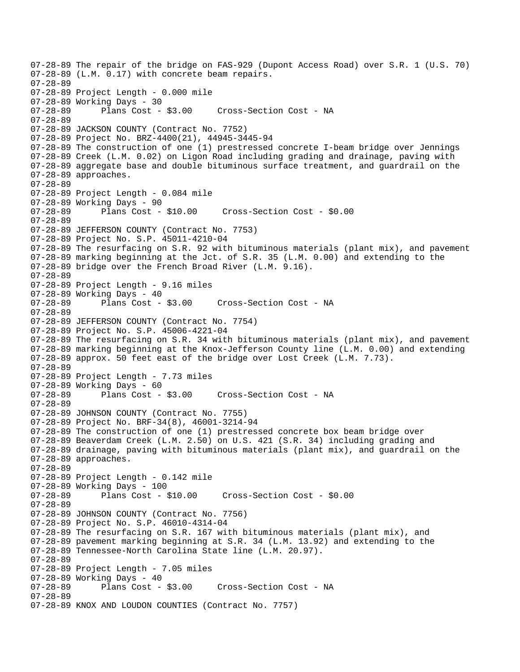07-28-89 The repair of the bridge on FAS-929 (Dupont Access Road) over S.R. 1 (U.S. 70) 07-28-89 (L.M. 0.17) with concrete beam repairs. 07-28-89 07-28-89 Project Length - 0.000 mile 07-28-89 Working Days - 30 07-28-89 Plans Cost - \$3.00 Cross-Section Cost - NA 07-28-89 07-28-89 JACKSON COUNTY (Contract No. 7752) 07-28-89 Project No. BRZ-4400(21), 44945-3445-94 07-28-89 The construction of one (1) prestressed concrete I-beam bridge over Jennings 07-28-89 Creek (L.M. 0.02) on Ligon Road including grading and drainage, paving with 07-28-89 aggregate base and double bituminous surface treatment, and guardrail on the 07-28-89 approaches. 07-28-89 07-28-89 Project Length - 0.084 mile 07-28-89 Working Days - 90 07-28-89 Plans Cost - \$10.00 Cross-Section Cost - \$0.00 07-28-89 07-28-89 JEFFERSON COUNTY (Contract No. 7753) 07-28-89 Project No. S.P. 45011-4210-04 07-28-89 The resurfacing on S.R. 92 with bituminous materials (plant mix), and pavement 07-28-89 marking beginning at the Jct. of S.R. 35 (L.M. 0.00) and extending to the 07-28-89 bridge over the French Broad River (L.M. 9.16). 07-28-89 07-28-89 Project Length - 9.16 miles 07-28-89 Working Days - 40 07-28-89 Plans Cost - \$3.00 Cross-Section Cost - NA 07-28-89 07-28-89 JEFFERSON COUNTY (Contract No. 7754) 07-28-89 Project No. S.P. 45006-4221-04 07-28-89 The resurfacing on S.R. 34 with bituminous materials (plant mix), and pavement 07-28-89 marking beginning at the Knox-Jefferson County line (L.M. 0.00) and extending 07-28-89 approx. 50 feet east of the bridge over Lost Creek (L.M. 7.73). 07-28-89 07-28-89 Project Length - 7.73 miles 07-28-89 Working Days - 60 07-28-89 Plans Cost - \$3.00 Cross-Section Cost - NA 07-28-89 07-28-89 JOHNSON COUNTY (Contract No. 7755) 07-28-89 Project No. BRF-34(8), 46001-3214-94 07-28-89 The construction of one (1) prestressed concrete box beam bridge over 07-28-89 Beaverdam Creek (L.M. 2.50) on U.S. 421 (S.R. 34) including grading and 07-28-89 drainage, paving with bituminous materials (plant mix), and guardrail on the 07-28-89 approaches. 07-28-89 07-28-89 Project Length - 0.142 mile 07-28-89 Working Days - 100 07-28-89 Plans Cost - \$10.00 Cross-Section Cost - \$0.00 07-28-89 07-28-89 JOHNSON COUNTY (Contract No. 7756) 07-28-89 Project No. S.P. 46010-4314-04 07-28-89 The resurfacing on S.R. 167 with bituminous materials (plant mix), and 07-28-89 pavement marking beginning at S.R. 34 (L.M. 13.92) and extending to the 07-28-89 Tennessee-North Carolina State line (L.M. 20.97). 07-28-89 07-28-89 Project Length - 7.05 miles 07-28-89 Working Days - 40 Cross-Section Cost - NA 07-28-89 07-28-89 KNOX AND LOUDON COUNTIES (Contract No. 7757)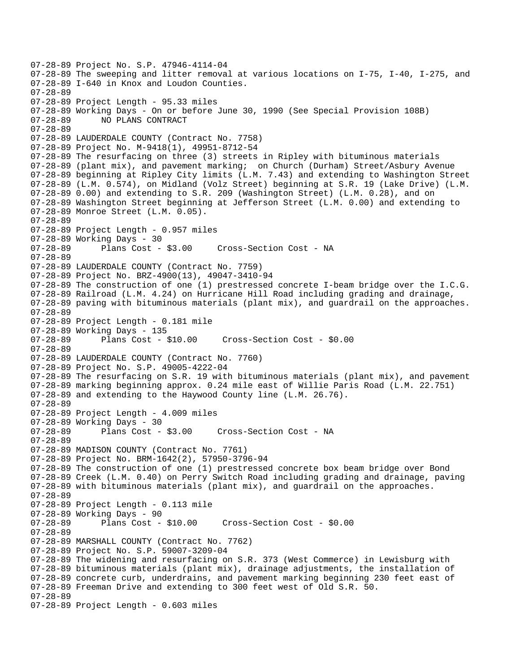```
07-28-89 Project No. S.P. 47946-4114-04 
07-28-89 The sweeping and litter removal at various locations on I-75, I-40, I-275, and 
07-28-89 I-640 in Knox and Loudon Counties. 
07-28-89 
07-28-89 Project Length - 95.33 miles 
07-28-89 Working Days - On or before June 30, 1990 (See Special Provision 108B) 
07-28-89 NO PLANS CONTRACT 
07-28-89 
07-28-89 LAUDERDALE COUNTY (Contract No. 7758) 
07-28-89 Project No. M-9418(1), 49951-8712-54 
07-28-89 The resurfacing on three (3) streets in Ripley with bituminous materials 
07-28-89 (plant mix), and pavement marking; on Church (Durham) Street/Asbury Avenue 
07-28-89 beginning at Ripley City limits (L.M. 7.43) and extending to Washington Street 
07-28-89 (L.M. 0.574), on Midland (Volz Street) beginning at S.R. 19 (Lake Drive) (L.M. 
07-28-89 0.00) and extending to S.R. 209 (Washington Street) (L.M. 0.28), and on 
07-28-89 Washington Street beginning at Jefferson Street (L.M. 0.00) and extending to 
07-28-89 Monroe Street (L.M. 0.05). 
07-28-89 
07-28-89 Project Length - 0.957 miles 
07-28-89 Working Days - 30 
07-28-89 Plans Cost - $3.00 Cross-Section Cost - NA 
07-28-89 
07-28-89 LAUDERDALE COUNTY (Contract No. 7759) 
07-28-89 Project No. BRZ-4900(13), 49047-3410-94 
07-28-89 The construction of one (1) prestressed concrete I-beam bridge over the I.C.G. 
07-28-89 Railroad (L.M. 4.24) on Hurricane Hill Road including grading and drainage, 
07-28-89 paving with bituminous materials (plant mix), and guardrail on the approaches. 
07-28-89 
07-28-89 Project Length - 0.181 mile 
07-28-89 Working Days - 135 
07-28-89 Plans Cost - $10.00 Cross-Section Cost - $0.00 
07-28-89 
07-28-89 LAUDERDALE COUNTY (Contract No. 7760) 
07-28-89 Project No. S.P. 49005-4222-04 
07-28-89 The resurfacing on S.R. 19 with bituminous materials (plant mix), and pavement 
07-28-89 marking beginning approx. 0.24 mile east of Willie Paris Road (L.M. 22.751) 
07-28-89 and extending to the Haywood County line (L.M. 26.76). 
07-28-89 
07-28-89 Project Length - 4.009 miles 
07-28-89 Working Days - 30 
07-28-89 Plans Cost - $3.00 Cross-Section Cost - NA 
07-28-89 
07-28-89 MADISON COUNTY (Contract No. 7761) 
07-28-89 Project No. BRM-1642(2), 57950-3796-94 
07-28-89 The construction of one (1) prestressed concrete box beam bridge over Bond 
07-28-89 Creek (L.M. 0.40) on Perry Switch Road including grading and drainage, paving 
07-28-89 with bituminous materials (plant mix), and guardrail on the approaches. 
07-28-89 
07-28-89 Project Length - 0.113 mile 
07-28-89 Working Days - 90<br>07-28-89 Plans Cost -
              Plans Cost - $10.00 Cross-Section Cost - $0.00
07-28-89 
07-28-89 MARSHALL COUNTY (Contract No. 7762) 
07-28-89 Project No. S.P. 59007-3209-04 
07-28-89 The widening and resurfacing on S.R. 373 (West Commerce) in Lewisburg with 
07-28-89 bituminous materials (plant mix), drainage adjustments, the installation of 
07-28-89 concrete curb, underdrains, and pavement marking beginning 230 feet east of 
07-28-89 Freeman Drive and extending to 300 feet west of Old S.R. 50. 
07-28-89 
07-28-89 Project Length - 0.603 miles
```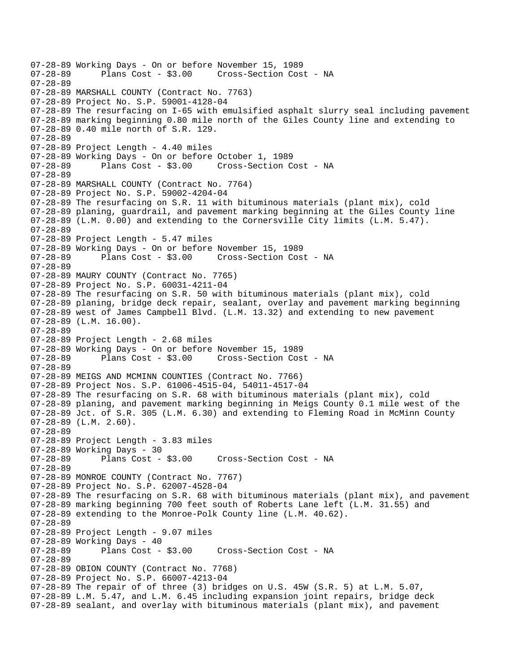```
07-28-89 Working Days - On or before November 15, 1989 
                                    Cross-Section Cost - NA
07-28-89 
07-28-89 MARSHALL COUNTY (Contract No. 7763) 
07-28-89 Project No. S.P. 59001-4128-04 
07-28-89 The resurfacing on I-65 with emulsified asphalt slurry seal including pavement 
07-28-89 marking beginning 0.80 mile north of the Giles County line and extending to 
07-28-89 0.40 mile north of S.R. 129. 
07-28-89 
07-28-89 Project Length - 4.40 miles 
07-28-89 Working Days - On or before October 1, 1989 
07-28-89 Plans Cost - $3.00 Cross-Section Cost - NA 
07-28-89 
07-28-89 MARSHALL COUNTY (Contract No. 7764) 
07-28-89 Project No. S.P. 59002-4204-04 
07-28-89 The resurfacing on S.R. 11 with bituminous materials (plant mix), cold 
07-28-89 planing, guardrail, and pavement marking beginning at the Giles County line 
07-28-89 (L.M. 0.00) and extending to the Cornersville City limits (L.M. 5.47). 
07-28-89 
07-28-89 Project Length - 5.47 miles 
07-28-89 Working Days - On or before November 15, 1989 
07-28-89 Plans Cost - $3.00 Cross-Section Cost - NA 
07-28-89 
07-28-89 MAURY COUNTY (Contract No. 7765) 
07-28-89 Project No. S.P. 60031-4211-04 
07-28-89 The resurfacing on S.R. 50 with bituminous materials (plant mix), cold 
07-28-89 planing, bridge deck repair, sealant, overlay and pavement marking beginning 
07-28-89 west of James Campbell Blvd. (L.M. 13.32) and extending to new pavement 
07-28-89 (L.M. 16.00). 
07-28-89 
07-28-89 Project Length - 2.68 miles 
07-28-89 Working Days - On or before November 15, 1989 
                                     Cross-Section Cost - NA
07-28-89 
07-28-89 MEIGS AND MCMINN COUNTIES (Contract No. 7766) 
07-28-89 Project Nos. S.P. 61006-4515-04, 54011-4517-04 
07-28-89 The resurfacing on S.R. 68 with bituminous materials (plant mix), cold 
07-28-89 planing, and pavement marking beginning in Meigs County 0.1 mile west of the 
07-28-89 Jct. of S.R. 305 (L.M. 6.30) and extending to Fleming Road in McMinn County 
07-28-89 (L.M. 2.60). 
07-28-89 
07-28-89 Project Length - 3.83 miles 
07-28-89 Working Days - 30 
07-28-89 Plans Cost - $3.00 Cross-Section Cost - NA 
07-28-89 
07-28-89 MONROE COUNTY (Contract No. 7767) 
07-28-89 Project No. S.P. 62007-4528-04 
07-28-89 The resurfacing on S.R. 68 with bituminous materials (plant mix), and pavement 
07-28-89 marking beginning 700 feet south of Roberts Lane left (L.M. 31.55) and 
07-28-89 extending to the Monroe-Polk County line (L.M. 40.62). 
07-28-89 
07-28-89 Project Length - 9.07 miles 
07-28-89 Working Days - 40 
07-28-89 Plans Cost - $3.00 Cross-Section Cost - NA 
07-28-89 
07-28-89 OBION COUNTY (Contract No. 7768) 
07-28-89 Project No. S.P. 66007-4213-04 
07-28-89 The repair of of three (3) bridges on U.S. 45W (S.R. 5) at L.M. 5.07, 
07-28-89 L.M. 5.47, and L.M. 6.45 including expansion joint repairs, bridge deck 
07-28-89 sealant, and overlay with bituminous materials (plant mix), and pavement
```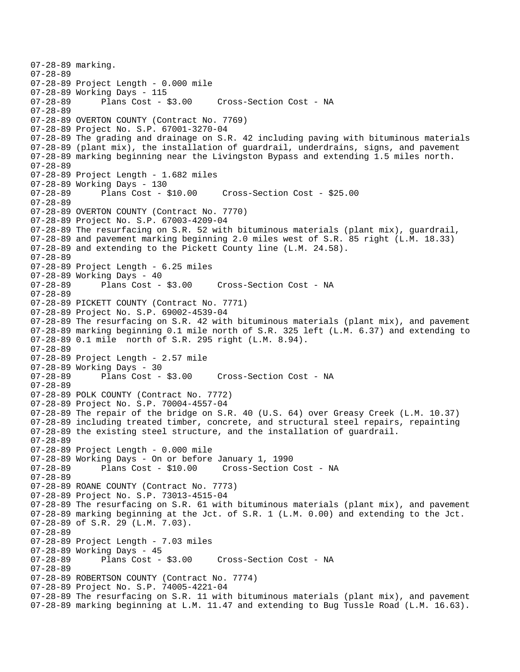```
07-28-89 marking. 
07-28-89 
07-28-89 Project Length - 0.000 mile 
07-28-89 Working Days - 115 
                                    Cross-Section Cost - NA
07-28-89 
07-28-89 OVERTON COUNTY (Contract No. 7769) 
07-28-89 Project No. S.P. 67001-3270-04 
07-28-89 The grading and drainage on S.R. 42 including paving with bituminous materials 
07-28-89 (plant mix), the installation of guardrail, underdrains, signs, and pavement 
07-28-89 marking beginning near the Livingston Bypass and extending 1.5 miles north. 
07-28-89 
07-28-89 Project Length - 1.682 miles 
07-28-89 Working Days - 130 
07-28-89 Plans Cost - $10.00 Cross-Section Cost - $25.00 
07-28-89 
07-28-89 OVERTON COUNTY (Contract No. 7770) 
07-28-89 Project No. S.P. 67003-4209-04 
07-28-89 The resurfacing on S.R. 52 with bituminous materials (plant mix), guardrail, 
07-28-89 and pavement marking beginning 2.0 miles west of S.R. 85 right (L.M. 18.33) 
07-28-89 and extending to the Pickett County line (L.M. 24.58). 
07-28-89 
07-28-89 Project Length - 6.25 miles 
07-28-89 Working Days - 40<br>07-28-89 Plans Cost - $3.00
                                      Cross-Section Cost - NA
07-28-89 
07-28-89 PICKETT COUNTY (Contract No. 7771) 
07-28-89 Project No. S.P. 69002-4539-04 
07-28-89 The resurfacing on S.R. 42 with bituminous materials (plant mix), and pavement 
07-28-89 marking beginning 0.1 mile north of S.R. 325 left (L.M. 6.37) and extending to 
07-28-89 0.1 mile north of S.R. 295 right (L.M. 8.94). 
07-28-89 
07-28-89 Project Length - 2.57 mile 
07-28-89 Working Days - 30 
                                    Cross-Section Cost - NA
07-28-89 
07-28-89 POLK COUNTY (Contract No. 7772) 
07-28-89 Project No. S.P. 70004-4557-04 
07-28-89 The repair of the bridge on S.R. 40 (U.S. 64) over Greasy Creek (L.M. 10.37) 
07-28-89 including treated timber, concrete, and structural steel repairs, repainting 
07-28-89 the existing steel structure, and the installation of guardrail. 
07-28-89 
07-28-89 Project Length - 0.000 mile 
07-28-89 Working Days - On or before January 1, 1990 
07-28-89 Plans Cost - $10.00 Cross-Section Cost - NA 
07-28-89 
07-28-89 ROANE COUNTY (Contract No. 7773) 
07-28-89 Project No. S.P. 73013-4515-04 
07-28-89 The resurfacing on S.R. 61 with bituminous materials (plant mix), and pavement 
07-28-89 marking beginning at the Jct. of S.R. 1 (L.M. 0.00) and extending to the Jct. 
07-28-89 of S.R. 29 (L.M. 7.03). 
07-28-89 
07-28-89 Project Length - 7.03 miles 
07-28-89 Working Days - 45<br>07-28-89 Plans Cost - $3.00
                                     Cross-Section Cost - NA
07-28-89 
07-28-89 ROBERTSON COUNTY (Contract No. 7774) 
07-28-89 Project No. S.P. 74005-4221-04 
07-28-89 The resurfacing on S.R. 11 with bituminous materials (plant mix), and pavement 
07-28-89 marking beginning at L.M. 11.47 and extending to Bug Tussle Road (L.M. 16.63).
```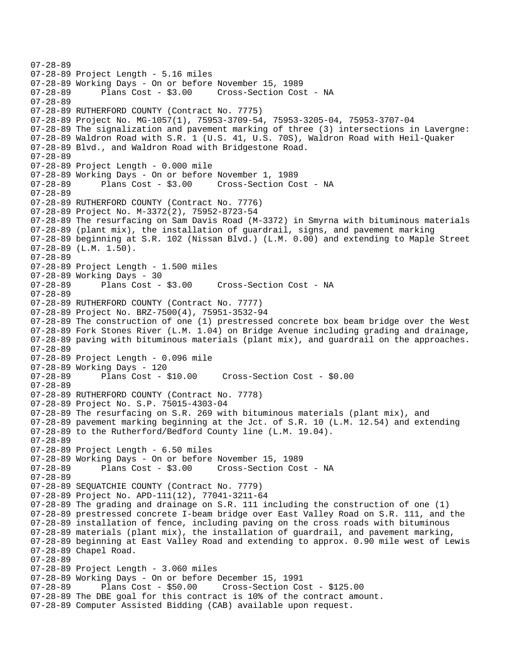07-28-89 07-28-89 Project Length - 5.16 miles 07-28-89 Working Days - On or before November 15, 1989 07-28-89 Plans Cost - \$3.00 Cross-Section Cost - NA 07-28-89 07-28-89 RUTHERFORD COUNTY (Contract No. 7775) 07-28-89 Project No. MG-1057(1), 75953-3709-54, 75953-3205-04, 75953-3707-04 07-28-89 The signalization and pavement marking of three (3) intersections in Lavergne: 07-28-89 Waldron Road with S.R. 1 (U.S. 41, U.S. 70S), Waldron Road with Heil-Quaker 07-28-89 Blvd., and Waldron Road with Bridgestone Road. 07-28-89 07-28-89 Project Length - 0.000 mile 07-28-89 Working Days - On or before November 1, 1989 07-28-89 Plans Cost - \$3.00 Cross-Section Cost - NA 07-28-89 07-28-89 RUTHERFORD COUNTY (Contract No. 7776) 07-28-89 Project No. M-3372(2), 75952-8723-54 07-28-89 The resurfacing on Sam Davis Road (M-3372) in Smyrna with bituminous materials 07-28-89 (plant mix), the installation of guardrail, signs, and pavement marking 07-28-89 beginning at S.R. 102 (Nissan Blvd.) (L.M. 0.00) and extending to Maple Street 07-28-89 (L.M. 1.50). 07-28-89 07-28-89 Project Length - 1.500 miles 07-28-89 Working Days - 30<br>07-28-89 Plans Cost - \$3.00 Cross-Section Cost - NA 07-28-89 07-28-89 RUTHERFORD COUNTY (Contract No. 7777) 07-28-89 Project No. BRZ-7500(4), 75951-3532-94 07-28-89 The construction of one (1) prestressed concrete box beam bridge over the West 07-28-89 Fork Stones River (L.M. 1.04) on Bridge Avenue including grading and drainage, 07-28-89 paving with bituminous materials (plant mix), and guardrail on the approaches. 07-28-89 07-28-89 Project Length - 0.096 mile 07-28-89 Working Days - 120 07-28-89 Plans Cost - \$10.00 Cross-Section Cost - \$0.00 07-28-89 07-28-89 RUTHERFORD COUNTY (Contract No. 7778) 07-28-89 Project No. S.P. 75015-4303-04 07-28-89 The resurfacing on S.R. 269 with bituminous materials (plant mix), and 07-28-89 pavement marking beginning at the Jct. of S.R. 10 (L.M. 12.54) and extending 07-28-89 to the Rutherford/Bedford County line (L.M. 19.04). 07-28-89 07-28-89 Project Length - 6.50 miles 07-28-89 Working Days - On or before November 15, 1989 07-28-89 Plans Cost - \$3.00 Cross-Section Cost - NA 07-28-89 07-28-89 SEQUATCHIE COUNTY (Contract No. 7779) 07-28-89 Project No. APD-111(12), 77041-3211-64 07-28-89 The grading and drainage on S.R. 111 including the construction of one (1) 07-28-89 prestressed concrete I-beam bridge over East Valley Road on S.R. 111, and the 07-28-89 installation of fence, including paving on the cross roads with bituminous 07-28-89 materials (plant mix), the installation of guardrail, and pavement marking, 07-28-89 beginning at East Valley Road and extending to approx. 0.90 mile west of Lewis 07-28-89 Chapel Road. 07-28-89 07-28-89 Project Length - 3.060 miles 07-28-89 Working Days - On or before December 15, 1991 07-28-89 Plans Cost - \$50.00 Cross-Section Cost - \$125.00 07-28-89 The DBE goal for this contract is 10% of the contract amount. 07-28-89 Computer Assisted Bidding (CAB) available upon request.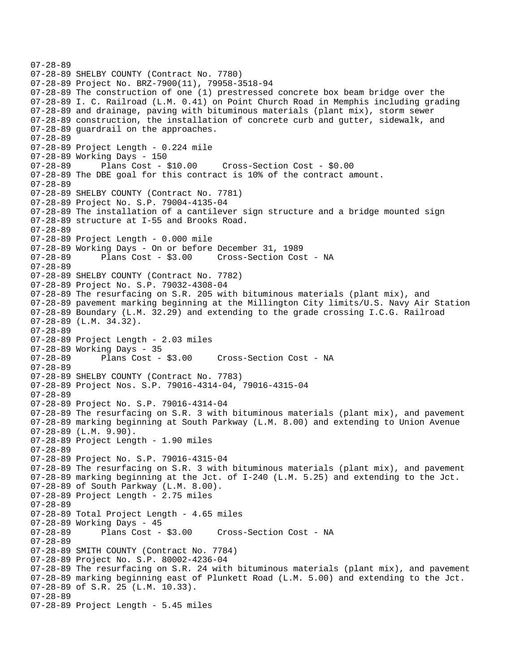```
07-28-89 
07-28-89 SHELBY COUNTY (Contract No. 7780) 
07-28-89 Project No. BRZ-7900(11), 79958-3518-94 
07-28-89 The construction of one (1) prestressed concrete box beam bridge over the 
07-28-89 I. C. Railroad (L.M. 0.41) on Point Church Road in Memphis including grading 
07-28-89 and drainage, paving with bituminous materials (plant mix), storm sewer 
07-28-89 construction, the installation of concrete curb and gutter, sidewalk, and 
07-28-89 guardrail on the approaches. 
07-28-89 
07-28-89 Project Length - 0.224 mile 
07-28-89 Working Days - 150 
07-28-89 Plans Cost - $10.00 Cross-Section Cost - $0.00 
07-28-89 The DBE goal for this contract is 10% of the contract amount. 
07-28-89 
07-28-89 SHELBY COUNTY (Contract No. 7781) 
07-28-89 Project No. S.P. 79004-4135-04 
07-28-89 The installation of a cantilever sign structure and a bridge mounted sign 
07-28-89 structure at I-55 and Brooks Road. 
07-28-89 
07-28-89 Project Length - 0.000 mile 
07-28-89 Working Days - On or before December 31, 1989 
07-28-89 Plans Cost - $3.00 Cross-Section Cost - NA 
07-28-89 
07-28-89 SHELBY COUNTY (Contract No. 7782) 
07-28-89 Project No. S.P. 79032-4308-04 
07-28-89 The resurfacing on S.R. 205 with bituminous materials (plant mix), and 
07-28-89 pavement marking beginning at the Millington City limits/U.S. Navy Air Station 
07-28-89 Boundary (L.M. 32.29) and extending to the grade crossing I.C.G. Railroad 
07-28-89 (L.M. 34.32). 
07-28-89 
07-28-89 Project Length - 2.03 miles 
07-28-89 Working Days - 35<br>07-28-89 Plans Cost - $3.00
                                    Cross-Section Cost - NA
07-28-89 
07-28-89 SHELBY COUNTY (Contract No. 7783) 
07-28-89 Project Nos. S.P. 79016-4314-04, 79016-4315-04 
07-28-89 
07-28-89 Project No. S.P. 79016-4314-04 
07-28-89 The resurfacing on S.R. 3 with bituminous materials (plant mix), and pavement 
07-28-89 marking beginning at South Parkway (L.M. 8.00) and extending to Union Avenue 
07-28-89 (L.M. 9.90). 
07-28-89 Project Length - 1.90 miles 
07-28-89 
07-28-89 Project No. S.P. 79016-4315-04 
07-28-89 The resurfacing on S.R. 3 with bituminous materials (plant mix), and pavement 
07-28-89 marking beginning at the Jct. of I-240 (L.M. 5.25) and extending to the Jct. 
07-28-89 of South Parkway (L.M. 8.00). 
07-28-89 Project Length - 2.75 miles
07-28-89 
07-28-89 Total Project Length - 4.65 miles 
07-28-89 Working Days - 45 
07-28-89 Plans Cost - $3.00 Cross-Section Cost - NA 
07-28-89 
07-28-89 SMITH COUNTY (Contract No. 7784) 
07-28-89 Project No. S.P. 80002-4236-04 
07-28-89 The resurfacing on S.R. 24 with bituminous materials (plant mix), and pavement 
07-28-89 marking beginning east of Plunkett Road (L.M. 5.00) and extending to the Jct. 
07-28-89 of S.R. 25 (L.M. 10.33). 
07-28-89 
07-28-89 Project Length - 5.45 miles
```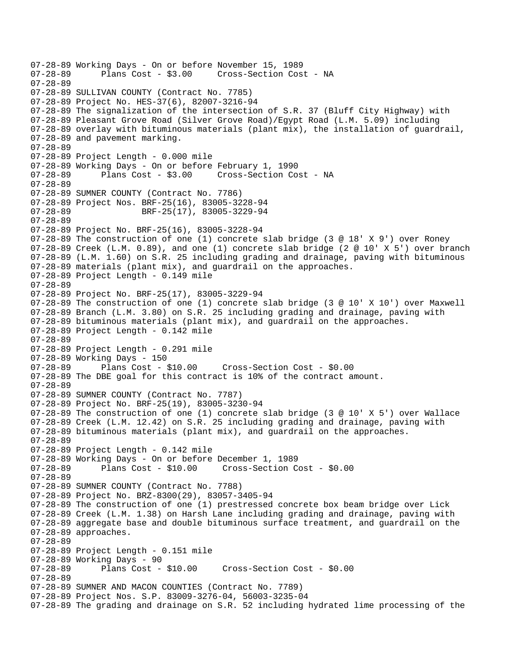07-28-89 Working Days - On or before November 15, 1989 Cross-Section Cost - NA 07-28-89 07-28-89 SULLIVAN COUNTY (Contract No. 7785) 07-28-89 Project No. HES-37(6), 82007-3216-94 07-28-89 The signalization of the intersection of S.R. 37 (Bluff City Highway) with 07-28-89 Pleasant Grove Road (Silver Grove Road)/Egypt Road (L.M. 5.09) including 07-28-89 overlay with bituminous materials (plant mix), the installation of guardrail, 07-28-89 and pavement marking. 07-28-89 07-28-89 Project Length - 0.000 mile 07-28-89 Working Days - On or before February 1, 1990 07-28-89 Plans Cost - \$3.00 Cross-Section Cost - NA 07-28-89 07-28-89 SUMNER COUNTY (Contract No. 7786) 07-28-89 Project Nos. BRF-25(16), 83005-3228-94 07-28-89 BRF-25(17), 83005-3229-94 07-28-89 07-28-89 Project No. BRF-25(16), 83005-3228-94 07-28-89 The construction of one (1) concrete slab bridge (3 @ 18' X 9') over Roney  $07-28-89$  Creek (L.M. 0.89), and one (1) concrete slab bridge (2 @ 10' X 5') over branch 07-28-89 (L.M. 1.60) on S.R. 25 including grading and drainage, paving with bituminous 07-28-89 materials (plant mix), and guardrail on the approaches. 07-28-89 Project Length - 0.149 mile 07-28-89 07-28-89 Project No. BRF-25(17), 83005-3229-94 07-28-89 The construction of one (1) concrete slab bridge (3 @ 10' X 10') over Maxwell 07-28-89 Branch (L.M. 3.80) on S.R. 25 including grading and drainage, paving with 07-28-89 bituminous materials (plant mix), and guardrail on the approaches. 07-28-89 Project Length - 0.142 mile 07-28-89 07-28-89 Project Length - 0.291 mile 07-28-89 Working Days - 150 07-28-89 Plans Cost - \$10.00 Cross-Section Cost - \$0.00 07-28-89 The DBE goal for this contract is 10% of the contract amount. 07-28-89 07-28-89 SUMNER COUNTY (Contract No. 7787) 07-28-89 Project No. BRF-25(19), 83005-3230-94 07-28-89 The construction of one (1) concrete slab bridge (3 @ 10' X 5') over Wallace 07-28-89 Creek (L.M. 12.42) on S.R. 25 including grading and drainage, paving with 07-28-89 bituminous materials (plant mix), and guardrail on the approaches. 07-28-89 07-28-89 Project Length - 0.142 mile 07-28-89 Working Days - On or before December 1, 1989 07-28-89 Plans Cost - \$10.00 Cross-Section Cost - \$0.00 07-28-89 07-28-89 SUMNER COUNTY (Contract No. 7788) 07-28-89 Project No. BRZ-8300(29), 83057-3405-94 07-28-89 The construction of one (1) prestressed concrete box beam bridge over Lick 07-28-89 Creek (L.M. 1.38) on Harsh Lane including grading and drainage, paving with 07-28-89 aggregate base and double bituminous surface treatment, and guardrail on the 07-28-89 approaches. 07-28-89 07-28-89 Project Length - 0.151 mile 07-28-89 Working Days - 90<br>07-28-89 Plans Cost - \$10.00 07-28-89 Plans Cost - \$10.00 Cross-Section Cost - \$0.00 07-28-89 07-28-89 SUMNER AND MACON COUNTIES (Contract No. 7789) 07-28-89 Project Nos. S.P. 83009-3276-04, 56003-3235-04 07-28-89 The grading and drainage on S.R. 52 including hydrated lime processing of the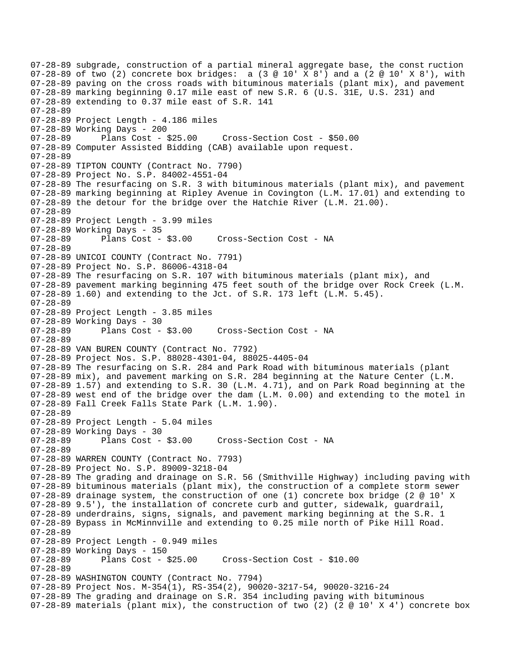07-28-89 subgrade, construction of a partial mineral aggregate base, the const ruction 07-28-89 of two (2) concrete box bridges: a (3  $@ 10'$  X 8') and a (2  $@ 10'$  X 8'), with 07-28-89 paving on the cross roads with bituminous materials (plant mix), and pavement 07-28-89 marking beginning 0.17 mile east of new S.R. 6 (U.S. 31E, U.S. 231) and 07-28-89 extending to 0.37 mile east of S.R. 141 07-28-89 07-28-89 Project Length - 4.186 miles 07-28-89 Working Days - 200 07-28-89 Plans Cost - \$25.00 Cross-Section Cost - \$50.00 07-28-89 Computer Assisted Bidding (CAB) available upon request. 07-28-89 07-28-89 TIPTON COUNTY (Contract No. 7790) 07-28-89 Project No. S.P. 84002-4551-04 07-28-89 The resurfacing on S.R. 3 with bituminous materials (plant mix), and pavement 07-28-89 marking beginning at Ripley Avenue in Covington (L.M. 17.01) and extending to 07-28-89 the detour for the bridge over the Hatchie River (L.M. 21.00). 07-28-89 07-28-89 Project Length - 3.99 miles 07-28-89 Working Days - 35 07-28-89 Plans Cost - \$3.00 Cross-Section Cost - NA 07-28-89 07-28-89 UNICOI COUNTY (Contract No. 7791) 07-28-89 Project No. S.P. 86006-4318-04 07-28-89 The resurfacing on S.R. 107 with bituminous materials (plant mix), and 07-28-89 pavement marking beginning 475 feet south of the bridge over Rock Creek (L.M. 07-28-89 1.60) and extending to the Jct. of S.R. 173 left (L.M. 5.45). 07-28-89 07-28-89 Project Length - 3.85 miles 07-28-89 Working Days - 30<br>07-28-89 Plans Cost - \$3.00 07-28-89 Plans Cost - \$3.00 Cross-Section Cost - NA 07-28-89 07-28-89 VAN BUREN COUNTY (Contract No. 7792) 07-28-89 Project Nos. S.P. 88028-4301-04, 88025-4405-04 07-28-89 The resurfacing on S.R. 284 and Park Road with bituminous materials (plant 07-28-89 mix), and pavement marking on S.R. 284 beginning at the Nature Center (L.M. 07-28-89 1.57) and extending to S.R. 30 (L.M. 4.71), and on Park Road beginning at the 07-28-89 west end of the bridge over the dam (L.M. 0.00) and extending to the motel in 07-28-89 Fall Creek Falls State Park (L.M. 1.90). 07-28-89 07-28-89 Project Length - 5.04 miles 07-28-89 Working Days - 30 07-28-89 Plans Cost - \$3.00 Cross-Section Cost - NA 07-28-89 07-28-89 WARREN COUNTY (Contract No. 7793) 07-28-89 Project No. S.P. 89009-3218-04 07-28-89 The grading and drainage on S.R. 56 (Smithville Highway) including paving with 07-28-89 bituminous materials (plant mix), the construction of a complete storm sewer 07-28-89 drainage system, the construction of one (1) concrete box bridge (2 @ 10' X 07-28-89 9.5'), the installation of concrete curb and gutter, sidewalk, guardrail, 07-28-89 underdrains, signs, signals, and pavement marking beginning at the S.R. 1 07-28-89 Bypass in McMinnville and extending to 0.25 mile north of Pike Hill Road. 07-28-89 07-28-89 Project Length - 0.949 miles 07-28-89 Working Days - 150 07-28-89 Plans Cost - \$25.00 Cross-Section Cost - \$10.00 07-28-89 07-28-89 WASHINGTON COUNTY (Contract No. 7794) 07-28-89 Project Nos. M-354(1), RS-354(2), 90020-3217-54, 90020-3216-24 07-28-89 The grading and drainage on S.R. 354 including paving with bituminous 07-28-89 materials (plant mix), the construction of two (2) (2  $@$  10' X 4') concrete box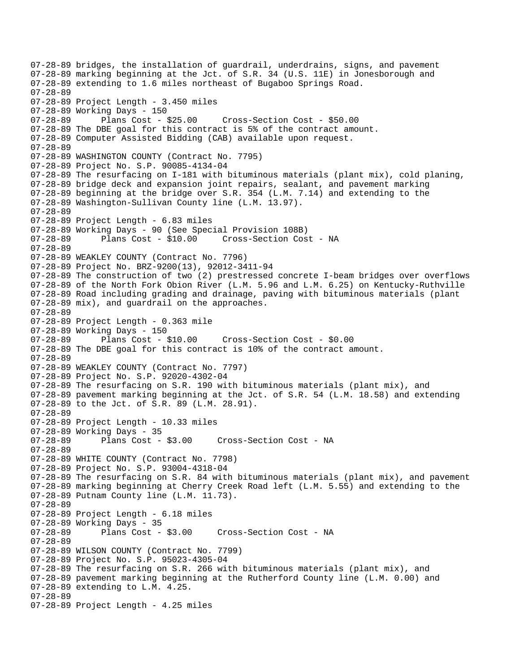07-28-89 bridges, the installation of guardrail, underdrains, signs, and pavement 07-28-89 marking beginning at the Jct. of S.R. 34 (U.S. 11E) in Jonesborough and 07-28-89 extending to 1.6 miles northeast of Bugaboo Springs Road. 07-28-89 07-28-89 Project Length - 3.450 miles 07-28-89 Working Days - 150 07-28-89 Plans Cost - \$25.00 Cross-Section Cost - \$50.00 07-28-89 The DBE goal for this contract is 5% of the contract amount. 07-28-89 Computer Assisted Bidding (CAB) available upon request. 07-28-89 07-28-89 WASHINGTON COUNTY (Contract No. 7795) 07-28-89 Project No. S.P. 90085-4134-04 07-28-89 The resurfacing on I-181 with bituminous materials (plant mix), cold planing, 07-28-89 bridge deck and expansion joint repairs, sealant, and pavement marking 07-28-89 beginning at the bridge over S.R. 354 (L.M. 7.14) and extending to the 07-28-89 Washington-Sullivan County line (L.M. 13.97). 07-28-89 07-28-89 Project Length - 6.83 miles 07-28-89 Working Days - 90 (See Special Provision 108B) 07-28-89 Plans Cost - \$10.00 Cross-Section Cost - NA 07-28-89 07-28-89 WEAKLEY COUNTY (Contract No. 7796) 07-28-89 Project No. BRZ-9200(13), 92012-3411-94 07-28-89 The construction of two (2) prestressed concrete I-beam bridges over overflows 07-28-89 of the North Fork Obion River (L.M. 5.96 and L.M. 6.25) on Kentucky-Ruthville 07-28-89 Road including grading and drainage, paving with bituminous materials (plant 07-28-89 mix), and guardrail on the approaches. 07-28-89 07-28-89 Project Length - 0.363 mile 07-28-89 Working Days - 150 07-28-89 Plans Cost - \$10.00 Cross-Section Cost - \$0.00 07-28-89 The DBE goal for this contract is 10% of the contract amount. 07-28-89 07-28-89 WEAKLEY COUNTY (Contract No. 7797) 07-28-89 Project No. S.P. 92020-4302-04 07-28-89 The resurfacing on S.R. 190 with bituminous materials (plant mix), and 07-28-89 pavement marking beginning at the Jct. of S.R. 54 (L.M. 18.58) and extending 07-28-89 to the Jct. of S.R. 89 (L.M. 28.91). 07-28-89 07-28-89 Project Length - 10.33 miles 07-28-89 Working Days - 35 07-28-89 Plans Cost - \$3.00 Cross-Section Cost - NA 07-28-89 07-28-89 WHITE COUNTY (Contract No. 7798) 07-28-89 Project No. S.P. 93004-4318-04 07-28-89 The resurfacing on S.R. 84 with bituminous materials (plant mix), and pavement 07-28-89 marking beginning at Cherry Creek Road left (L.M. 5.55) and extending to the 07-28-89 Putnam County line (L.M. 11.73). 07-28-89 07-28-89 Project Length - 6.18 miles 07-28-89 Working Days - 35 07-28-89 Plans Cost - \$3.00 Cross-Section Cost - NA 07-28-89 07-28-89 WILSON COUNTY (Contract No. 7799) 07-28-89 Project No. S.P. 95023-4305-04 07-28-89 The resurfacing on S.R. 266 with bituminous materials (plant mix), and 07-28-89 pavement marking beginning at the Rutherford County line (L.M. 0.00) and 07-28-89 extending to L.M. 4.25. 07-28-89 07-28-89 Project Length - 4.25 miles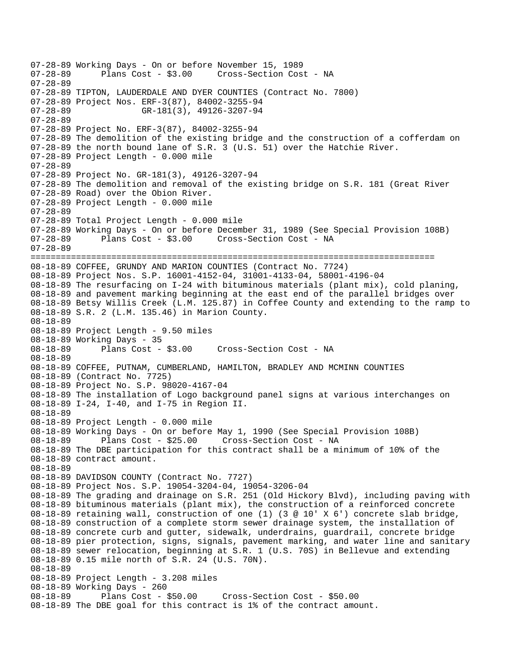07-28-89 Working Days - On or before November 15, 1989 Plans Cost - \$3.00 Cross-Section Cost - NA 07-28-89 07-28-89 TIPTON, LAUDERDALE AND DYER COUNTIES (Contract No. 7800) 07-28-89 Project Nos. ERF-3(87), 84002-3255-94 07-28-89 GR-181(3), 49126-3207-94 07-28-89 07-28-89 Project No. ERF-3(87), 84002-3255-94 07-28-89 The demolition of the existing bridge and the construction of a cofferdam on 07-28-89 the north bound lane of S.R. 3 (U.S. 51) over the Hatchie River. 07-28-89 Project Length - 0.000 mile 07-28-89 07-28-89 Project No. GR-181(3), 49126-3207-94 07-28-89 The demolition and removal of the existing bridge on S.R. 181 (Great River 07-28-89 Road) over the Obion River. 07-28-89 Project Length - 0.000 mile 07-28-89 07-28-89 Total Project Length - 0.000 mile 07-28-89 Working Days - On or before December 31, 1989 (See Special Provision 108B) 07-28-89 Plans Cost - \$3.00 Cross-Section Cost - NA 07-28-89 ================================================================================ 08-18-89 COFFEE, GRUNDY AND MARION COUNTIES (Contract No. 7724) 08-18-89 Project Nos. S.P. 16001-4152-04, 31001-4133-04, 58001-4196-04 08-18-89 The resurfacing on I-24 with bituminous materials (plant mix), cold planing, 08-18-89 and pavement marking beginning at the east end of the parallel bridges over 08-18-89 Betsy Willis Creek (L.M. 125.87) in Coffee County and extending to the ramp to 08-18-89 S.R. 2 (L.M. 135.46) in Marion County. 08-18-89 08-18-89 Project Length - 9.50 miles 08-18-89 Working Days - 35 08-18-89 Plans Cost - \$3.00 Cross-Section Cost - NA 08-18-89 08-18-89 COFFEE, PUTNAM, CUMBERLAND, HAMILTON, BRADLEY AND MCMINN COUNTIES 08-18-89 (Contract No. 7725) 08-18-89 Project No. S.P. 98020-4167-04 08-18-89 The installation of Logo background panel signs at various interchanges on 08-18-89 I-24, I-40, and I-75 in Region II. 08-18-89 08-18-89 Project Length - 0.000 mile 08-18-89 Working Days - On or before May 1, 1990 (See Special Provision 108B) 08-18-89 Plans Cost - \$25.00 Cross-Section Cost - NA 08-18-89 The DBE participation for this contract shall be a minimum of 10% of the 08-18-89 contract amount. 08-18-89 08-18-89 DAVIDSON COUNTY (Contract No. 7727) 08-18-89 Project Nos. S.P. 19054-3204-04, 19054-3206-04 08-18-89 The grading and drainage on S.R. 251 (Old Hickory Blvd), including paving with 08-18-89 bituminous materials (plant mix), the construction of a reinforced concrete 08-18-89 retaining wall, construction of one (1) (3 @ 10' X 6') concrete slab bridge, 08-18-89 construction of a complete storm sewer drainage system, the installation of 08-18-89 concrete curb and gutter, sidewalk, underdrains, guardrail, concrete bridge 08-18-89 pier protection, signs, signals, pavement marking, and water line and sanitary 08-18-89 sewer relocation, beginning at S.R. 1 (U.S. 70S) in Bellevue and extending 08-18-89 0.15 mile north of S.R. 24 (U.S. 70N). 08-18-89 08-18-89 Project Length - 3.208 miles 08-18-89 Working Days - 260<br>08-18-89 Plans Cost - 3 Plans Cost - \$50.00 Cross-Section Cost - \$50.00 08-18-89 The DBE goal for this contract is 1% of the contract amount.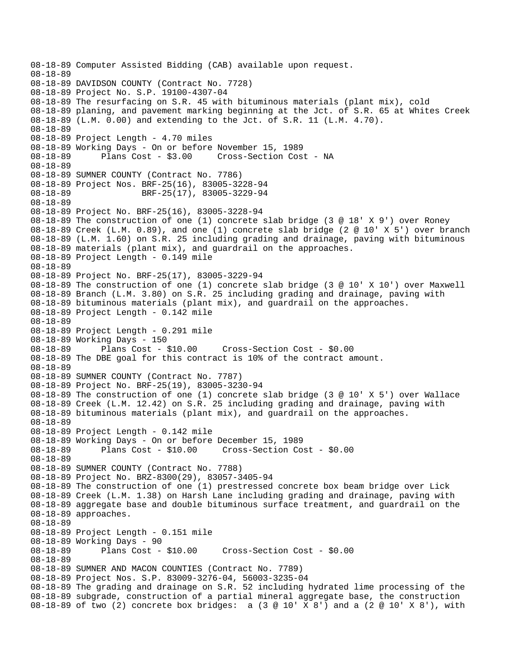08-18-89 Computer Assisted Bidding (CAB) available upon request. 08-18-89 08-18-89 DAVIDSON COUNTY (Contract No. 7728) 08-18-89 Project No. S.P. 19100-4307-04 08-18-89 The resurfacing on S.R. 45 with bituminous materials (plant mix), cold 08-18-89 planing, and pavement marking beginning at the Jct. of S.R. 65 at Whites Creek 08-18-89 (L.M. 0.00) and extending to the Jct. of S.R. 11 (L.M. 4.70). 08-18-89 08-18-89 Project Length - 4.70 miles 08-18-89 Working Days - On or before November 15, 1989 08-18-89 Plans Cost - \$3.00 Cross-Section Cost - NA 08-18-89 08-18-89 SUMNER COUNTY (Contract No. 7786) 08-18-89 Project Nos. BRF-25(16), 83005-3228-94 08-18-89 BRF-25(17), 83005-3229-94 08-18-89 08-18-89 Project No. BRF-25(16), 83005-3228-94 08-18-89 The construction of one (1) concrete slab bridge (3 @ 18' X 9') over Roney 08-18-89 Creek (L.M. 0.89), and one (1) concrete slab bridge (2 @ 10' X 5') over branch 08-18-89 (L.M. 1.60) on S.R. 25 including grading and drainage, paving with bituminous 08-18-89 materials (plant mix), and guardrail on the approaches. 08-18-89 Project Length - 0.149 mile 08-18-89 08-18-89 Project No. BRF-25(17), 83005-3229-94 08-18-89 The construction of one (1) concrete slab bridge (3 @ 10' X 10') over Maxwell 08-18-89 Branch (L.M. 3.80) on S.R. 25 including grading and drainage, paving with 08-18-89 bituminous materials (plant mix), and guardrail on the approaches. 08-18-89 Project Length - 0.142 mile 08-18-89 08-18-89 Project Length - 0.291 mile 08-18-89 Working Days - 150 08-18-89 Plans Cost - \$10.00 Cross-Section Cost - \$0.00 08-18-89 The DBE goal for this contract is 10% of the contract amount. 08-18-89 08-18-89 SUMNER COUNTY (Contract No. 7787) 08-18-89 Project No. BRF-25(19), 83005-3230-94 08-18-89 The construction of one (1) concrete slab bridge (3 @ 10' X 5') over Wallace 08-18-89 Creek (L.M. 12.42) on S.R. 25 including grading and drainage, paving with 08-18-89 bituminous materials (plant mix), and guardrail on the approaches. 08-18-89 08-18-89 Project Length - 0.142 mile 08-18-89 Working Days - On or before December 15, 1989 08-18-89 Plans Cost - \$10.00 Cross-Section Cost - \$0.00 08-18-89 08-18-89 SUMNER COUNTY (Contract No. 7788) 08-18-89 Project No. BRZ-8300(29), 83057-3405-94 08-18-89 The construction of one (1) prestressed concrete box beam bridge over Lick 08-18-89 Creek (L.M. 1.38) on Harsh Lane including grading and drainage, paving with 08-18-89 aggregate base and double bituminous surface treatment, and guardrail on the 08-18-89 approaches. 08-18-89 08-18-89 Project Length - 0.151 mile 08-18-89 Working Days - 90 08-18-89 Plans Cost - \$10.00 Cross-Section Cost - \$0.00 08-18-89 08-18-89 SUMNER AND MACON COUNTIES (Contract No. 7789) 08-18-89 Project Nos. S.P. 83009-3276-04, 56003-3235-04 08-18-89 The grading and drainage on S.R. 52 including hydrated lime processing of the 08-18-89 subgrade, construction of a partial mineral aggregate base, the construction 08-18-89 of two (2) concrete box bridges: a (3 @ 10' X 8') and a (2 @ 10' X 8'), with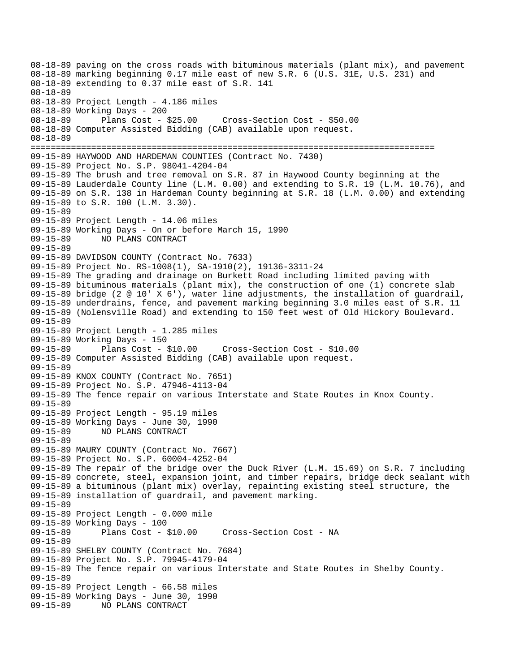08-18-89 paving on the cross roads with bituminous materials (plant mix), and pavement 08-18-89 marking beginning 0.17 mile east of new S.R. 6 (U.S. 31E, U.S. 231) and 08-18-89 extending to 0.37 mile east of S.R. 141 08-18-89 08-18-89 Project Length - 4.186 miles 08-18-89 Working Days - 200 08-18-89 Plans Cost - \$25.00 Cross-Section Cost - \$50.00 08-18-89 Computer Assisted Bidding (CAB) available upon request. 08-18-89 ================================================================================ 09-15-89 HAYWOOD AND HARDEMAN COUNTIES (Contract No. 7430) 09-15-89 Project No. S.P. 98041-4204-04 09-15-89 The brush and tree removal on S.R. 87 in Haywood County beginning at the 09-15-89 Lauderdale County line (L.M. 0.00) and extending to S.R. 19 (L.M. 10.76), and 09-15-89 on S.R. 138 in Hardeman County beginning at S.R. 18 (L.M. 0.00) and extending 09-15-89 to S.R. 100 (L.M. 3.30). 09-15-89 09-15-89 Project Length - 14.06 miles 09-15-89 Working Days - On or before March 15, 1990 09-15-89 NO PLANS CONTRACT 09-15-89 09-15-89 DAVIDSON COUNTY (Contract No. 7633) 09-15-89 Project No. RS-1008(1), SA-1910(2), 19136-3311-24 09-15-89 The grading and drainage on Burkett Road including limited paving with 09-15-89 bituminous materials (plant mix), the construction of one (1) concrete slab 09-15-89 bridge (2 @ 10' X 6'), water line adjustments, the installation of guardrail, 09-15-89 underdrains, fence, and pavement marking beginning 3.0 miles east of S.R. 11 09-15-89 (Nolensville Road) and extending to 150 feet west of Old Hickory Boulevard. 09-15-89 09-15-89 Project Length - 1.285 miles 09-15-89 Working Days - 150 09-15-89 Plans Cost - \$10.00 Cross-Section Cost - \$10.00 09-15-89 Computer Assisted Bidding (CAB) available upon request. 09-15-89 09-15-89 KNOX COUNTY (Contract No. 7651) 09-15-89 Project No. S.P. 47946-4113-04 09-15-89 The fence repair on various Interstate and State Routes in Knox County. 09-15-89 09-15-89 Project Length - 95.19 miles 09-15-89 Working Days - June 30, 1990 09-15-89 NO PLANS CONTRACT 09-15-89 09-15-89 MAURY COUNTY (Contract No. 7667) 09-15-89 Project No. S.P. 60004-4252-04 09-15-89 The repair of the bridge over the Duck River (L.M. 15.69) on S.R. 7 including 09-15-89 concrete, steel, expansion joint, and timber repairs, bridge deck sealant with 09-15-89 a bituminous (plant mix) overlay, repainting existing steel structure, the 09-15-89 installation of guardrail, and pavement marking. 09-15-89 09-15-89 Project Length - 0.000 mile 09-15-89 Working Days - 100 09-15-89 Plans Cost - \$10.00 Cross-Section Cost - NA 09-15-89 09-15-89 SHELBY COUNTY (Contract No. 7684) 09-15-89 Project No. S.P. 79945-4179-04 09-15-89 The fence repair on various Interstate and State Routes in Shelby County. 09-15-89 09-15-89 Project Length - 66.58 miles 09-15-89 Working Days - June 30, 1990 09-15-89 NO PLANS CONTRACT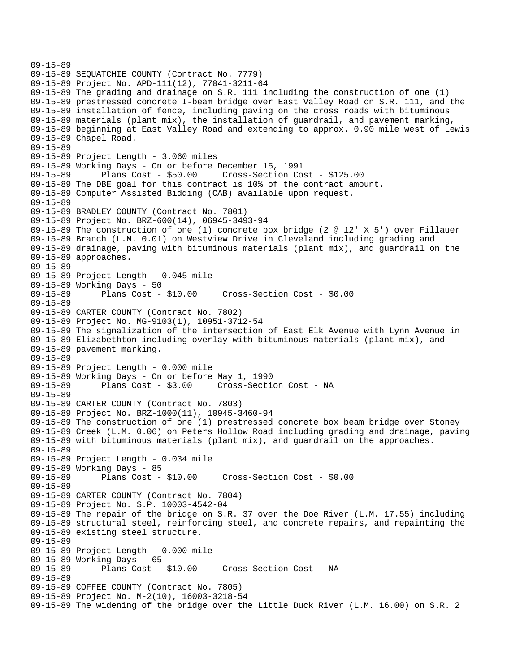```
09-15-89 
09-15-89 SEQUATCHIE COUNTY (Contract No. 7779) 
09-15-89 Project No. APD-111(12), 77041-3211-64 
09-15-89 The grading and drainage on S.R. 111 including the construction of one (1) 
09-15-89 prestressed concrete I-beam bridge over East Valley Road on S.R. 111, and the 
09-15-89 installation of fence, including paving on the cross roads with bituminous 
09-15-89 materials (plant mix), the installation of guardrail, and pavement marking, 
09-15-89 beginning at East Valley Road and extending to approx. 0.90 mile west of Lewis 
09-15-89 Chapel Road. 
09-15-89 
09-15-89 Project Length - 3.060 miles 
09-15-89 Working Days - On or before December 15, 1991 
09-15-89 Plans Cost - $50.00 Cross-Section Cost - $125.00 
09-15-89 The DBE goal for this contract is 10% of the contract amount. 
09-15-89 Computer Assisted Bidding (CAB) available upon request. 
09-15-89 
09-15-89 BRADLEY COUNTY (Contract No. 7801) 
09-15-89 Project No. BRZ-600(14), 06945-3493-94 
09-15-89 The construction of one (1) concrete box bridge (2 @ 12' X 5') over Fillauer 
09-15-89 Branch (L.M. 0.01) on Westview Drive in Cleveland including grading and 
09-15-89 drainage, paving with bituminous materials (plant mix), and guardrail on the 
09-15-89 approaches. 
09-15-89 
09-15-89 Project Length - 0.045 mile 
09-15-89 Working Days - 50<br>09-15-89 Plans Cost - $10.00
09-15-89 Plans Cost - $10.00 Cross-Section Cost - $0.00 
09-15-89 
09-15-89 CARTER COUNTY (Contract No. 7802) 
09-15-89 Project No. MG-9103(1), 10951-3712-54 
09-15-89 The signalization of the intersection of East Elk Avenue with Lynn Avenue in 
09-15-89 Elizabethton including overlay with bituminous materials (plant mix), and 
09-15-89 pavement marking. 
09-15-89 
09-15-89 Project Length - 0.000 mile 
09-15-89 Working Days - On or before May 1, 1990 
09-15-89 Plans Cost - $3.00 Cross-Section Cost - NA 
09-15-89 
09-15-89 CARTER COUNTY (Contract No. 7803) 
09-15-89 Project No. BRZ-1000(11), 10945-3460-94 
09-15-89 The construction of one (1) prestressed concrete box beam bridge over Stoney 
09-15-89 Creek (L.M. 0.06) on Peters Hollow Road including grading and drainage, paving 
09-15-89 with bituminous materials (plant mix), and guardrail on the approaches. 
09-15-89 
09-15-89 Project Length - 0.034 mile 
09-15-89 Working Days - 85 
09-15-89 Plans Cost - $10.00 Cross-Section Cost - $0.00 
09-15-89 
09-15-89 CARTER COUNTY (Contract No. 7804) 
09-15-89 Project No. S.P. 10003-4542-04 
09-15-89 The repair of the bridge on S.R. 37 over the Doe River (L.M. 17.55) including 
09-15-89 structural steel, reinforcing steel, and concrete repairs, and repainting the 
09-15-89 existing steel structure. 
09-15-89 
09-15-89 Project Length - 0.000 mile 
09-15-89 Working Days - 65<br>09-15-89 Plans Cost - $10.00
09-15-89 Plans Cost - $10.00 Cross-Section Cost - NA 
09-15-89 
09-15-89 COFFEE COUNTY (Contract No. 7805) 
09-15-89 Project No. M-2(10), 16003-3218-54 
09-15-89 The widening of the bridge over the Little Duck River (L.M. 16.00) on S.R. 2
```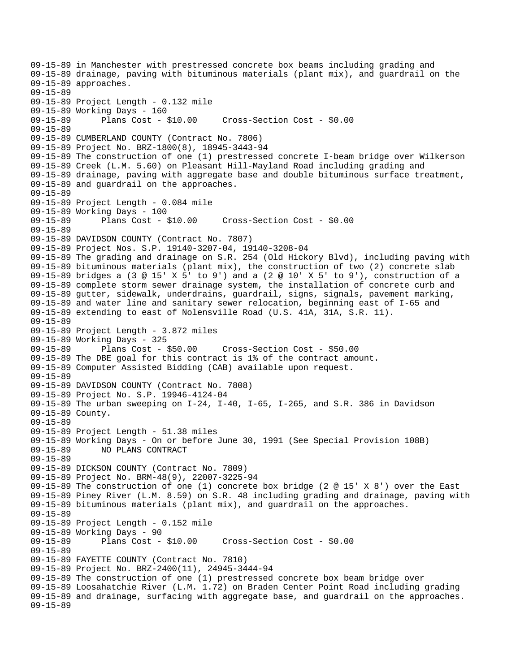09-15-89 in Manchester with prestressed concrete box beams including grading and 09-15-89 drainage, paving with bituminous materials (plant mix), and guardrail on the 09-15-89 approaches. 09-15-89 09-15-89 Project Length - 0.132 mile 09-15-89 Working Days - 160 09-15-89 Plans Cost - \$10.00 Cross-Section Cost - \$0.00 09-15-89 09-15-89 CUMBERLAND COUNTY (Contract No. 7806) 09-15-89 Project No. BRZ-1800(8), 18945-3443-94 09-15-89 The construction of one (1) prestressed concrete I-beam bridge over Wilkerson 09-15-89 Creek (L.M. 5.60) on Pleasant Hill-Mayland Road including grading and 09-15-89 drainage, paving with aggregate base and double bituminous surface treatment, 09-15-89 and guardrail on the approaches. 09-15-89 09-15-89 Project Length - 0.084 mile 09-15-89 Working Days - 100 09-15-89 Plans Cost - \$10.00 Cross-Section Cost - \$0.00 09-15-89 09-15-89 DAVIDSON COUNTY (Contract No. 7807) 09-15-89 Project Nos. S.P. 19140-3207-04, 19140-3208-04 09-15-89 The grading and drainage on S.R. 254 (Old Hickory Blvd), including paving with 09-15-89 bituminous materials (plant mix), the construction of two (2) concrete slab 09-15-89 bridges a (3 @ 15' X 5' to 9') and a (2 @ 10' X 5' to 9'), construction of a 09-15-89 complete storm sewer drainage system, the installation of concrete curb and 09-15-89 gutter, sidewalk, underdrains, guardrail, signs, signals, pavement marking, 09-15-89 and water line and sanitary sewer relocation, beginning east of I-65 and 09-15-89 extending to east of Nolensville Road (U.S. 41A, 31A, S.R. 11). 09-15-89 09-15-89 Project Length - 3.872 miles 09-15-89 Working Days - 325 09-15-89 Plans Cost - \$50.00 Cross-Section Cost - \$50.00 09-15-89 The DBE goal for this contract is 1% of the contract amount. 09-15-89 Computer Assisted Bidding (CAB) available upon request. 09-15-89 09-15-89 DAVIDSON COUNTY (Contract No. 7808) 09-15-89 Project No. S.P. 19946-4124-04 09-15-89 The urban sweeping on I-24, I-40, I-65, I-265, and S.R. 386 in Davidson 09-15-89 County. 09-15-89 09-15-89 Project Length - 51.38 miles 09-15-89 Working Days - On or before June 30, 1991 (See Special Provision 108B) 09-15-89 NO PLANS CONTRACT 09-15-89 09-15-89 DICKSON COUNTY (Contract No. 7809) 09-15-89 Project No. BRM-48(9), 22007-3225-94 09-15-89 The construction of one (1) concrete box bridge (2 @ 15' X 8') over the East 09-15-89 Piney River (L.M. 8.59) on S.R. 48 including grading and drainage, paving with 09-15-89 bituminous materials (plant mix), and guardrail on the approaches. 09-15-89 09-15-89 Project Length - 0.152 mile 09-15-89 Working Days - 90 09-15-89 Plans Cost - \$10.00 Cross-Section Cost - \$0.00 09-15-89 09-15-89 FAYETTE COUNTY (Contract No. 7810) 09-15-89 Project No. BRZ-2400(11), 24945-3444-94 09-15-89 The construction of one (1) prestressed concrete box beam bridge over 09-15-89 Loosahatchie River (L.M. 1.72) on Braden Center Point Road including grading 09-15-89 and drainage, surfacing with aggregate base, and guardrail on the approaches. 09-15-89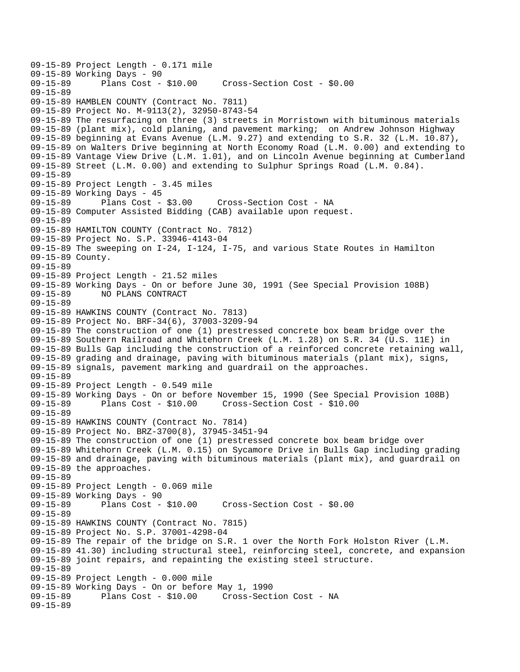09-15-89 Project Length - 0.171 mile 09-15-89 Working Days - 90<br>09-15-89 Plans Cost - \$10.00 09-15-89 Plans Cost - \$10.00 Cross-Section Cost - \$0.00 09-15-89 09-15-89 HAMBLEN COUNTY (Contract No. 7811) 09-15-89 Project No. M-9113(2), 32950-8743-54 09-15-89 The resurfacing on three (3) streets in Morristown with bituminous materials 09-15-89 (plant mix), cold planing, and pavement marking; on Andrew Johnson Highway 09-15-89 beginning at Evans Avenue (L.M. 9.27) and extending to S.R. 32 (L.M. 10.87), 09-15-89 on Walters Drive beginning at North Economy Road (L.M. 0.00) and extending to 09-15-89 Vantage View Drive (L.M. 1.01), and on Lincoln Avenue beginning at Cumberland 09-15-89 Street (L.M. 0.00) and extending to Sulphur Springs Road (L.M. 0.84). 09-15-89 09-15-89 Project Length - 3.45 miles 09-15-89 Working Days - 45<br>09-15-89 Plans Cost - \$3.00 09-15-89 Plans Cost - \$3.00 Cross-Section Cost - NA 09-15-89 Computer Assisted Bidding (CAB) available upon request. 09-15-89 09-15-89 HAMILTON COUNTY (Contract No. 7812) 09-15-89 Project No. S.P. 33946-4143-04 09-15-89 The sweeping on I-24, I-124, I-75, and various State Routes in Hamilton 09-15-89 County. 09-15-89 09-15-89 Project Length - 21.52 miles 09-15-89 Working Days - On or before June 30, 1991 (See Special Provision 108B) 09-15-89 NO PLANS CONTRACT 09-15-89 09-15-89 HAWKINS COUNTY (Contract No. 7813) 09-15-89 Project No. BRF-34(6), 37003-3209-94 09-15-89 The construction of one (1) prestressed concrete box beam bridge over the 09-15-89 Southern Railroad and Whitehorn Creek (L.M. 1.28) on S.R. 34 (U.S. 11E) in 09-15-89 Bulls Gap including the construction of a reinforced concrete retaining wall, 09-15-89 grading and drainage, paving with bituminous materials (plant mix), signs, 09-15-89 signals, pavement marking and guardrail on the approaches. 09-15-89 09-15-89 Project Length - 0.549 mile 09-15-89 Working Days - On or before November 15, 1990 (See Special Provision 108B) 09-15-89 Plans Cost - \$10.00 Cross-Section Cost - \$10.00 09-15-89 09-15-89 HAWKINS COUNTY (Contract No. 7814) 09-15-89 Project No. BRZ-3700(8), 37945-3451-94 09-15-89 The construction of one (1) prestressed concrete box beam bridge over 09-15-89 Whitehorn Creek (L.M. 0.15) on Sycamore Drive in Bulls Gap including grading 09-15-89 and drainage, paving with bituminous materials (plant mix), and guardrail on 09-15-89 the approaches. 09-15-89 09-15-89 Project Length - 0.069 mile 09-15-89 Working Days - 90 09-15-89 Plans Cost - \$10.00 Cross-Section Cost - \$0.00 09-15-89 09-15-89 HAWKINS COUNTY (Contract No. 7815) 09-15-89 Project No. S.P. 37001-4298-04 09-15-89 The repair of the bridge on S.R. 1 over the North Fork Holston River (L.M. 09-15-89 41.30) including structural steel, reinforcing steel, concrete, and expansion 09-15-89 joint repairs, and repainting the existing steel structure. 09-15-89 09-15-89 Project Length - 0.000 mile 09-15-89 Working Days - On or before May 1, 1990 Cross-Section Cost - NA 09-15-89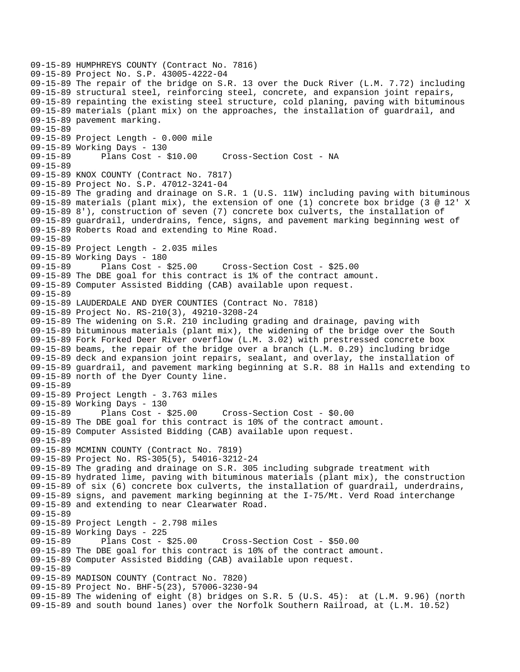09-15-89 HUMPHREYS COUNTY (Contract No. 7816) 09-15-89 Project No. S.P. 43005-4222-04 09-15-89 The repair of the bridge on S.R. 13 over the Duck River (L.M. 7.72) including 09-15-89 structural steel, reinforcing steel, concrete, and expansion joint repairs, 09-15-89 repainting the existing steel structure, cold planing, paving with bituminous 09-15-89 materials (plant mix) on the approaches, the installation of guardrail, and 09-15-89 pavement marking. 09-15-89 09-15-89 Project Length - 0.000 mile 09-15-89 Working Days - 130 09-15-89 Plans Cost - \$10.00 Cross-Section Cost - NA 09-15-89 09-15-89 KNOX COUNTY (Contract No. 7817) 09-15-89 Project No. S.P. 47012-3241-04 09-15-89 The grading and drainage on S.R. 1 (U.S. 11W) including paving with bituminous 09-15-89 materials (plant mix), the extension of one (1) concrete box bridge (3 @ 12' X 09-15-89 8'), construction of seven (7) concrete box culverts, the installation of 09-15-89 guardrail, underdrains, fence, signs, and pavement marking beginning west of 09-15-89 Roberts Road and extending to Mine Road. 09-15-89 09-15-89 Project Length - 2.035 miles 09-15-89 Working Days - 180<br>09-15-89 Plans Cost - \$25.00 09-15-89 Plans Cost - \$25.00 Cross-Section Cost - \$25.00 09-15-89 The DBE goal for this contract is 1% of the contract amount. 09-15-89 Computer Assisted Bidding (CAB) available upon request. 09-15-89 09-15-89 LAUDERDALE AND DYER COUNTIES (Contract No. 7818) 09-15-89 Project No. RS-210(3), 49210-3208-24 09-15-89 The widening on S.R. 210 including grading and drainage, paving with 09-15-89 bituminous materials (plant mix), the widening of the bridge over the South 09-15-89 Fork Forked Deer River overflow (L.M. 3.02) with prestressed concrete box 09-15-89 beams, the repair of the bridge over a branch (L.M. 0.29) including bridge 09-15-89 deck and expansion joint repairs, sealant, and overlay, the installation of 09-15-89 guardrail, and pavement marking beginning at S.R. 88 in Halls and extending to 09-15-89 north of the Dyer County line. 09-15-89 09-15-89 Project Length - 3.763 miles 09-15-89 Working Days - 130 09-15-89 Plans Cost - \$25.00 Cross-Section Cost - \$0.00 09-15-89 The DBE goal for this contract is 10% of the contract amount. 09-15-89 Computer Assisted Bidding (CAB) available upon request. 09-15-89 09-15-89 MCMINN COUNTY (Contract No. 7819) 09-15-89 Project No. RS-305(5), 54016-3212-24 09-15-89 The grading and drainage on S.R. 305 including subgrade treatment with 09-15-89 hydrated lime, paving with bituminous materials (plant mix), the construction 09-15-89 of six (6) concrete box culverts, the installation of guardrail, underdrains, 09-15-89 signs, and pavement marking beginning at the I-75/Mt. Verd Road interchange 09-15-89 and extending to near Clearwater Road. 09-15-89 09-15-89 Project Length - 2.798 miles 09-15-89 Working Days - 225 09-15-89 Plans Cost - \$25.00 Cross-Section Cost - \$50.00 09-15-89 The DBE goal for this contract is 10% of the contract amount. 09-15-89 Computer Assisted Bidding (CAB) available upon request. 09-15-89 09-15-89 MADISON COUNTY (Contract No. 7820) 09-15-89 Project No. BHF-5(23), 57006-3230-94 09-15-89 The widening of eight (8) bridges on S.R. 5 (U.S. 45): at (L.M. 9.96) (north 09-15-89 and south bound lanes) over the Norfolk Southern Railroad, at (L.M. 10.52)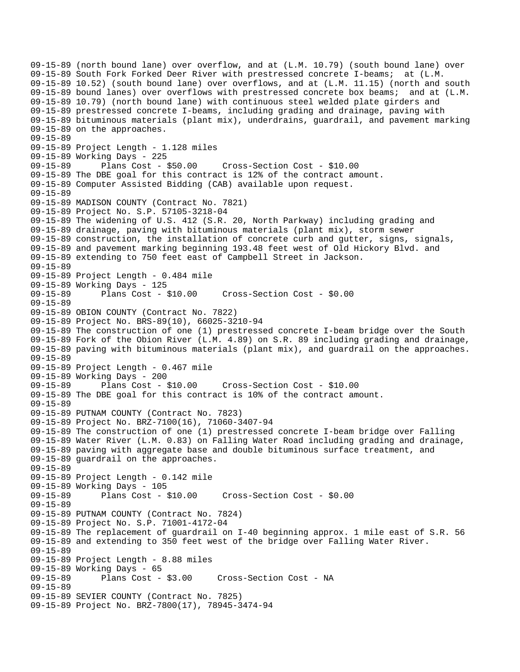09-15-89 (north bound lane) over overflow, and at (L.M. 10.79) (south bound lane) over 09-15-89 South Fork Forked Deer River with prestressed concrete I-beams; at (L.M. 09-15-89 10.52) (south bound lane) over overflows, and at (L.M. 11.15) (north and south 09-15-89 bound lanes) over overflows with prestressed concrete box beams; and at (L.M. 09-15-89 10.79) (north bound lane) with continuous steel welded plate girders and 09-15-89 prestressed concrete I-beams, including grading and drainage, paving with 09-15-89 bituminous materials (plant mix), underdrains, guardrail, and pavement marking 09-15-89 on the approaches. 09-15-89 09-15-89 Project Length - 1.128 miles 09-15-89 Working Days - 225 09-15-89 Plans Cost - \$50.00 Cross-Section Cost - \$10.00 09-15-89 The DBE goal for this contract is 12% of the contract amount. 09-15-89 Computer Assisted Bidding (CAB) available upon request. 09-15-89 09-15-89 MADISON COUNTY (Contract No. 7821) 09-15-89 Project No. S.P. 57105-3218-04 09-15-89 The widening of U.S. 412 (S.R. 20, North Parkway) including grading and 09-15-89 drainage, paving with bituminous materials (plant mix), storm sewer 09-15-89 construction, the installation of concrete curb and gutter, signs, signals, 09-15-89 and pavement marking beginning 193.48 feet west of Old Hickory Blvd. and 09-15-89 extending to 750 feet east of Campbell Street in Jackson. 09-15-89 09-15-89 Project Length - 0.484 mile 09-15-89 Working Days - 125<br>09-15-89 Plans Cost - \$10.00 09-15-89 Plans Cost - \$10.00 Cross-Section Cost - \$0.00 09-15-89 09-15-89 OBION COUNTY (Contract No. 7822) 09-15-89 Project No. BRS-89(10), 66025-3210-94 09-15-89 The construction of one (1) prestressed concrete I-beam bridge over the South 09-15-89 Fork of the Obion River (L.M. 4.89) on S.R. 89 including grading and drainage, 09-15-89 paving with bituminous materials (plant mix), and guardrail on the approaches. 09-15-89 09-15-89 Project Length - 0.467 mile 09-15-89 Working Days - 200 09-15-89 Plans Cost - \$10.00 Cross-Section Cost - \$10.00 09-15-89 The DBE goal for this contract is 10% of the contract amount. 09-15-89 09-15-89 PUTNAM COUNTY (Contract No. 7823) 09-15-89 Project No. BRZ-7100(16), 71060-3407-94 09-15-89 The construction of one (1) prestressed concrete I-beam bridge over Falling 09-15-89 Water River (L.M. 0.83) on Falling Water Road including grading and drainage, 09-15-89 paving with aggregate base and double bituminous surface treatment, and 09-15-89 guardrail on the approaches. 09-15-89 09-15-89 Project Length - 0.142 mile 09-15-89 Working Days - 105 09-15-89 Plans Cost - \$10.00 Cross-Section Cost - \$0.00 09-15-89 09-15-89 PUTNAM COUNTY (Contract No. 7824) 09-15-89 Project No. S.P. 71001-4172-04 09-15-89 The replacement of guardrail on I-40 beginning approx. 1 mile east of S.R. 56 09-15-89 and extending to 350 feet west of the bridge over Falling Water River. 09-15-89 09-15-89 Project Length - 8.88 miles 09-15-89 Working Days - 65 09-15-89 Plans Cost - \$3.00 Cross-Section Cost - NA 09-15-89 09-15-89 SEVIER COUNTY (Contract No. 7825) 09-15-89 Project No. BRZ-7800(17), 78945-3474-94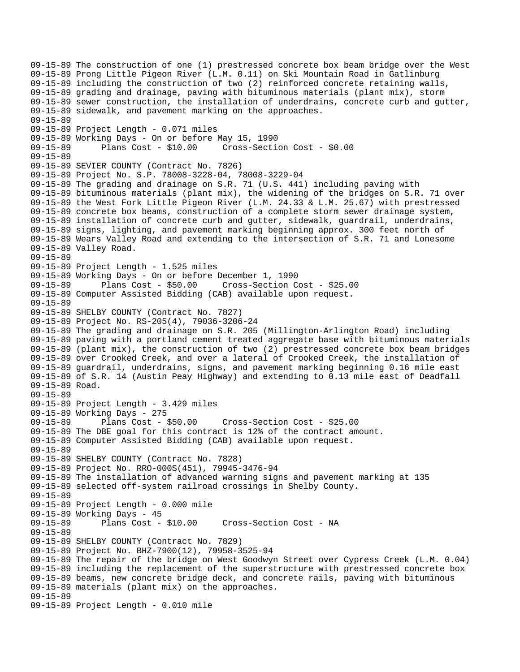09-15-89 The construction of one (1) prestressed concrete box beam bridge over the West 09-15-89 Prong Little Pigeon River (L.M. 0.11) on Ski Mountain Road in Gatlinburg 09-15-89 including the construction of two (2) reinforced concrete retaining walls, 09-15-89 grading and drainage, paving with bituminous materials (plant mix), storm 09-15-89 sewer construction, the installation of underdrains, concrete curb and gutter, 09-15-89 sidewalk, and pavement marking on the approaches. 09-15-89 09-15-89 Project Length - 0.071 miles 09-15-89 Working Days - On or before May 15, 1990 09-15-89 Plans Cost - \$10.00 Cross-Section Cost - \$0.00 09-15-89 09-15-89 SEVIER COUNTY (Contract No. 7826) 09-15-89 Project No. S.P. 78008-3228-04, 78008-3229-04 09-15-89 The grading and drainage on S.R. 71 (U.S. 441) including paving with 09-15-89 bituminous materials (plant mix), the widening of the bridges on S.R. 71 over 09-15-89 the West Fork Little Pigeon River (L.M. 24.33 & L.M. 25.67) with prestressed 09-15-89 concrete box beams, construction of a complete storm sewer drainage system, 09-15-89 installation of concrete curb and gutter, sidewalk, guardrail, underdrains, 09-15-89 signs, lighting, and pavement marking beginning approx. 300 feet north of 09-15-89 Wears Valley Road and extending to the intersection of S.R. 71 and Lonesome 09-15-89 Valley Road. 09-15-89 09-15-89 Project Length - 1.525 miles 09-15-89 Working Days - On or before December 1, 1990 Plans Cost - \$50.00 Cross-Section Cost - \$25.00 09-15-89 Computer Assisted Bidding (CAB) available upon request. 09-15-89 09-15-89 SHELBY COUNTY (Contract No. 7827) 09-15-89 Project No. RS-205(4), 79036-3206-24 09-15-89 The grading and drainage on S.R. 205 (Millington-Arlington Road) including 09-15-89 paving with a portland cement treated aggregate base with bituminous materials 09-15-89 (plant mix), the construction of two (2) prestressed concrete box beam bridges 09-15-89 over Crooked Creek, and over a lateral of Crooked Creek, the installation of 09-15-89 guardrail, underdrains, signs, and pavement marking beginning 0.16 mile east 09-15-89 of S.R. 14 (Austin Peay Highway) and extending to 0.13 mile east of Deadfall 09-15-89 Road. 09-15-89 09-15-89 Project Length - 3.429 miles 09-15-89 Working Days - 275 09-15-89 Plans Cost - \$50.00 Cross-Section Cost - \$25.00 09-15-89 The DBE goal for this contract is 12% of the contract amount. 09-15-89 Computer Assisted Bidding (CAB) available upon request. 09-15-89 09-15-89 SHELBY COUNTY (Contract No. 7828) 09-15-89 Project No. RRO-000S(451), 79945-3476-94 09-15-89 The installation of advanced warning signs and pavement marking at 135 09-15-89 selected off-system railroad crossings in Shelby County. 09-15-89 09-15-89 Project Length - 0.000 mile 09-15-89 Working Days - 45<br>09-15-89 Plans Cost -Plans Cost - \$10.00 Cross-Section Cost - NA 09-15-89 09-15-89 SHELBY COUNTY (Contract No. 7829) 09-15-89 Project No. BHZ-7900(12), 79958-3525-94 09-15-89 The repair of the bridge on West Goodwyn Street over Cypress Creek (L.M. 0.04) 09-15-89 including the replacement of the superstructure with prestressed concrete box 09-15-89 beams, new concrete bridge deck, and concrete rails, paving with bituminous 09-15-89 materials (plant mix) on the approaches. 09-15-89 09-15-89 Project Length - 0.010 mile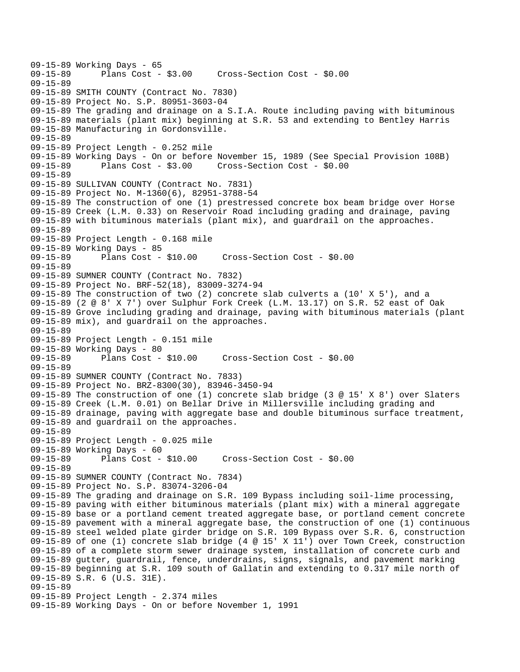```
09-15-89 Working Days - 65<br>09-15-89 Plans Cost -
              Plans Cost - $3.00 Cross-Section Cost - $0.00
09-15-89 
09-15-89 SMITH COUNTY (Contract No. 7830) 
09-15-89 Project No. S.P. 80951-3603-04 
09-15-89 The grading and drainage on a S.I.A. Route including paving with bituminous 
09-15-89 materials (plant mix) beginning at S.R. 53 and extending to Bentley Harris 
09-15-89 Manufacturing in Gordonsville. 
09-15-89 
09-15-89 Project Length - 0.252 mile 
09-15-89 Working Days - On or before November 15, 1989 (See Special Provision 108B) 
09-15-89 Plans Cost - $3.00 Cross-Section Cost - $0.00 
09-15-89 
09-15-89 SULLIVAN COUNTY (Contract No. 7831) 
09-15-89 Project No. M-1360(6), 82951-3788-54 
09-15-89 The construction of one (1) prestressed concrete box beam bridge over Horse 
09-15-89 Creek (L.M. 0.33) on Reservoir Road including grading and drainage, paving 
09-15-89 with bituminous materials (plant mix), and guardrail on the approaches. 
09-15-89 
09-15-89 Project Length - 0.168 mile 
09-15-89 Working Days - 85 
09-15-89 Plans Cost - $10.00 Cross-Section Cost - $0.00 
09-15-89 
09-15-89 SUMNER COUNTY (Contract No. 7832) 
09-15-89 Project No. BRF-52(18), 83009-3274-94 
09-15-89 The construction of two (2) concrete slab culverts a (10' X 5'), and a 
09-15-89 (2 @ 8' X 7') over Sulphur Fork Creek (L.M. 13.17) on S.R. 52 east of Oak 
09-15-89 Grove including grading and drainage, paving with bituminous materials (plant 
09-15-89 mix), and guardrail on the approaches. 
09-15-89 
09-15-89 Project Length - 0.151 mile 
09-15-89 Working Days - 80 
                                     09-15-89 Plans Cost - $10.00 Cross-Section Cost - $0.00 
09-15-89 
09-15-89 SUMNER COUNTY (Contract No. 7833) 
09-15-89 Project No. BRZ-8300(30), 83946-3450-94 
09-15-89 The construction of one (1) concrete slab bridge (3 @ 15' X 8') over Slaters 
09-15-89 Creek (L.M. 0.01) on Bellar Drive in Millersville including grading and 
09-15-89 drainage, paving with aggregate base and double bituminous surface treatment, 
09-15-89 and guardrail on the approaches. 
09-15-89 
09-15-89 Project Length - 0.025 mile 
09-15-89 Working Days - 60 
09-15-89 Plans Cost - $10.00 Cross-Section Cost - $0.00 
09-15-89 
09-15-89 SUMNER COUNTY (Contract No. 7834) 
09-15-89 Project No. S.P. 83074-3206-04 
09-15-89 The grading and drainage on S.R. 109 Bypass including soil-lime processing, 
09-15-89 paving with either bituminous materials (plant mix) with a mineral aggregate 
09-15-89 base or a portland cement treated aggregate base, or portland cement concrete 
09-15-89 pavement with a mineral aggregate base, the construction of one (1) continuous 
09-15-89 steel welded plate girder bridge on S.R. 109 Bypass over S.R. 6, construction 
09-15-89 of one (1) concrete slab bridge (4 @ 15' X 11') over Town Creek, construction 
09-15-89 of a complete storm sewer drainage system, installation of concrete curb and 
09-15-89 gutter, guardrail, fence, underdrains, signs, signals, and pavement marking 
09-15-89 beginning at S.R. 109 south of Gallatin and extending to 0.317 mile north of 
09-15-89 S.R. 6 (U.S. 31E). 
09-15-89 
09-15-89 Project Length - 2.374 miles 
09-15-89 Working Days - On or before November 1, 1991
```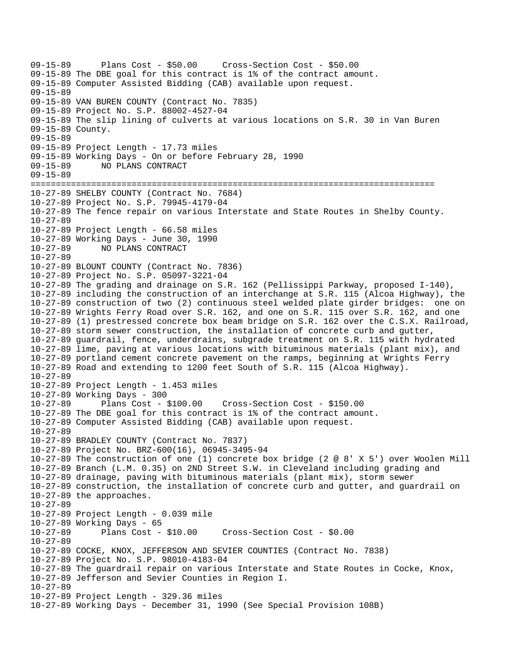09-15-89 Plans Cost - \$50.00 Cross-Section Cost - \$50.00 09-15-89 The DBE goal for this contract is 1% of the contract amount. 09-15-89 Computer Assisted Bidding (CAB) available upon request. 09-15-89 09-15-89 VAN BUREN COUNTY (Contract No. 7835) 09-15-89 Project No. S.P. 88002-4527-04 09-15-89 The slip lining of culverts at various locations on S.R. 30 in Van Buren 09-15-89 County. 09-15-89 09-15-89 Project Length - 17.73 miles 09-15-89 Working Days - On or before February 28, 1990 09-15-89 NO PLANS CONTRACT 09-15-89 ================================================================================ 10-27-89 SHELBY COUNTY (Contract No. 7684) 10-27-89 Project No. S.P. 79945-4179-04 10-27-89 The fence repair on various Interstate and State Routes in Shelby County. 10-27-89 10-27-89 Project Length - 66.58 miles 10-27-89 Working Days - June 30, 1990 10-27-89 NO PLANS CONTRACT 10-27-89 10-27-89 BLOUNT COUNTY (Contract No. 7836) 10-27-89 Project No. S.P. 05097-3221-04 10-27-89 The grading and drainage on S.R. 162 (Pellissippi Parkway, proposed I-140), 10-27-89 including the construction of an interchange at S.R. 115 (Alcoa Highway), the 10-27-89 construction of two (2) continuous steel welded plate girder bridges: one on 10-27-89 Wrights Ferry Road over S.R. 162, and one on S.R. 115 over S.R. 162, and one 10-27-89 (1) prestressed concrete box beam bridge on S.R. 162 over the C.S.X. Railroad, 10-27-89 storm sewer construction, the installation of concrete curb and gutter, 10-27-89 guardrail, fence, underdrains, subgrade treatment on S.R. 115 with hydrated 10-27-89 lime, paving at various locations with bituminous materials (plant mix), and 10-27-89 portland cement concrete pavement on the ramps, beginning at Wrights Ferry 10-27-89 Road and extending to 1200 feet South of S.R. 115 (Alcoa Highway). 10-27-89 10-27-89 Project Length - 1.453 miles 10-27-89 Working Days - 300 10-27-89 Plans Cost - \$100.00 Cross-Section Cost - \$150.00 10-27-89 The DBE goal for this contract is 1% of the contract amount. 10-27-89 Computer Assisted Bidding (CAB) available upon request. 10-27-89 10-27-89 BRADLEY COUNTY (Contract No. 7837) 10-27-89 Project No. BRZ-600(16), 06945-3495-94 10-27-89 The construction of one (1) concrete box bridge (2 @ 8' X 5') over Woolen Mill 10-27-89 Branch (L.M. 0.35) on 2ND Street S.W. in Cleveland including grading and 10-27-89 drainage, paving with bituminous materials (plant mix), storm sewer 10-27-89 construction, the installation of concrete curb and gutter, and guardrail on 10-27-89 the approaches. 10-27-89 10-27-89 Project Length - 0.039 mile 10-27-89 Working Days - 65 10-27-89 Plans Cost - \$10.00 Cross-Section Cost - \$0.00 10-27-89 10-27-89 COCKE, KNOX, JEFFERSON AND SEVIER COUNTIES (Contract No. 7838) 10-27-89 Project No. S.P. 98010-4183-04 10-27-89 The guardrail repair on various Interstate and State Routes in Cocke, Knox, 10-27-89 Jefferson and Sevier Counties in Region I. 10-27-89 10-27-89 Project Length - 329.36 miles 10-27-89 Working Days - December 31, 1990 (See Special Provision 108B)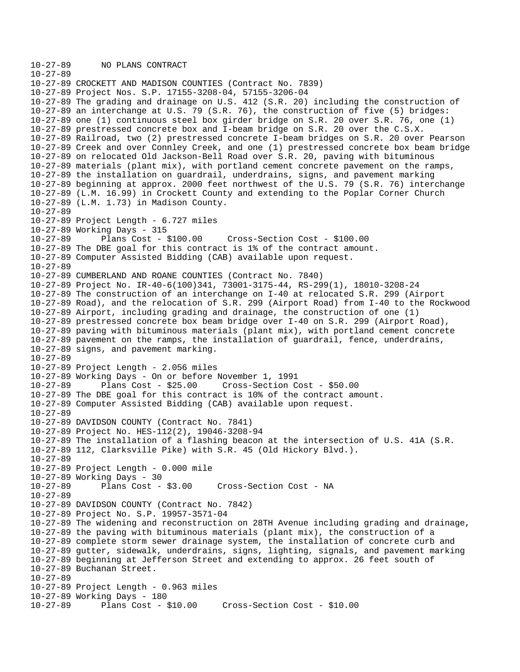```
10-27-89 NO PLANS CONTRACT 
10-27-89 
10-27-89 CROCKETT AND MADISON COUNTIES (Contract No. 7839) 
10-27-89 Project Nos. S.P. 17155-3208-04, 57155-3206-04 
10-27-89 The grading and drainage on U.S. 412 (S.R. 20) including the construction of 
10-27-89 an interchange at U.S. 79 (S.R. 76), the construction of five (5) bridges: 
10-27-89 one (1) continuous steel box girder bridge on S.R. 20 over S.R. 76, one (1) 
10-27-89 prestressed concrete box and I-beam bridge on S.R. 20 over the C.S.X. 
10-27-89 Railroad, two (2) prestressed concrete I-beam bridges on S.R. 20 over Pearson 
10-27-89 Creek and over Connley Creek, and one (1) prestressed concrete box beam bridge 
10-27-89 on relocated Old Jackson-Bell Road over S.R. 20, paving with bituminous 
10-27-89 materials (plant mix), with portland cement concrete pavement on the ramps, 
10-27-89 the installation on guardrail, underdrains, signs, and pavement marking 
10-27-89 beginning at approx. 2000 feet northwest of the U.S. 79 (S.R. 76) interchange 
10-27-89 (L.M. 16.99) in Crockett County and extending to the Poplar Corner Church 
10-27-89 (L.M. 1.73) in Madison County. 
10-27-89 
10-27-89 Project Length - 6.727 miles 
10-27-89 Working Days - 315 
10-27-89 Plans Cost - $100.00 Cross-Section Cost - $100.00 
10-27-89 The DBE goal for this contract is 1% of the contract amount. 
10-27-89 Computer Assisted Bidding (CAB) available upon request. 
10-27-89 
10-27-89 CUMBERLAND AND ROANE COUNTIES (Contract No. 7840) 
10-27-89 Project No. IR-40-6(100)341, 73001-3175-44, RS-299(1), 18010-3208-24 
10-27-89 The construction of an interchange on I-40 at relocated S.R. 299 (Airport 
10-27-89 Road), and the relocation of S.R. 299 (Airport Road) from I-40 to the Rockwood 
10-27-89 Airport, including grading and drainage, the construction of one (1) 
10-27-89 prestressed concrete box beam bridge over I-40 on S.R. 299 (Airport Road), 
10-27-89 paving with bituminous materials (plant mix), with portland cement concrete 
10-27-89 pavement on the ramps, the installation of guardrail, fence, underdrains, 
10-27-89 signs, and pavement marking. 
10-27-89 
10-27-89 Project Length - 2.056 miles 
10-27-89 Working Days - On or before November 1, 1991 
10-27-89 Plans Cost - $25.00 Cross-Section Cost - $50.00 
10-27-89 The DBE goal for this contract is 10% of the contract amount. 
10-27-89 Computer Assisted Bidding (CAB) available upon request. 
10-27-89 
10-27-89 DAVIDSON COUNTY (Contract No. 7841) 
10-27-89 Project No. HES-112(2), 19046-3208-94 
10-27-89 The installation of a flashing beacon at the intersection of U.S. 41A (S.R. 
10-27-89 112, Clarksville Pike) with S.R. 45 (Old Hickory Blvd.). 
10-27-89 
10-27-89 Project Length - 0.000 mile 
10-27-89 Working Days - 30 
10-27-89 Plans Cost - $3.00 Cross-Section Cost - NA 
10-27-89 
10-27-89 DAVIDSON COUNTY (Contract No. 7842) 
10-27-89 Project No. S.P. 19957-3571-04 
10-27-89 The widening and reconstruction on 28TH Avenue including grading and drainage, 
10-27-89 the paving with bituminous materials (plant mix), the construction of a 
10-27-89 complete storm sewer drainage system, the installation of concrete curb and 
10-27-89 gutter, sidewalk, underdrains, signs, lighting, signals, and pavement marking 
10-27-89 beginning at Jefferson Street and extending to approx. 26 feet south of 
10-27-89 Buchanan Street. 
10-27-89 
10-27-89 Project Length - 0.963 miles 
10-27-89 Working Days - 180 
10-27-89 Plans Cost - $10.00 Cross-Section Cost - $10.00
```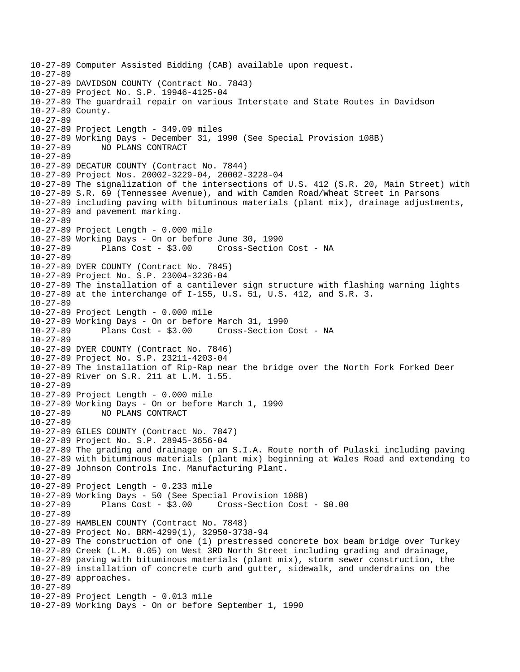```
10-27-89 Computer Assisted Bidding (CAB) available upon request. 
10-27-89 
10-27-89 DAVIDSON COUNTY (Contract No. 7843) 
10-27-89 Project No. S.P. 19946-4125-04 
10-27-89 The guardrail repair on various Interstate and State Routes in Davidson 
10-27-89 County. 
10-27-89 
10-27-89 Project Length - 349.09 miles 
10-27-89 Working Days - December 31, 1990 (See Special Provision 108B) 
10-27-89 NO PLANS CONTRACT 
10-27-89 
10-27-89 DECATUR COUNTY (Contract No. 7844) 
10-27-89 Project Nos. 20002-3229-04, 20002-3228-04 
10-27-89 The signalization of the intersections of U.S. 412 (S.R. 20, Main Street) with 
10-27-89 S.R. 69 (Tennessee Avenue), and with Camden Road/Wheat Street in Parsons 
10-27-89 including paving with bituminous materials (plant mix), drainage adjustments, 
10-27-89 and pavement marking. 
10-27-89 
10-27-89 Project Length - 0.000 mile 
10-27-89 Working Days - On or before June 30, 1990 
10-27-89 Plans Cost - $3.00 Cross-Section Cost - NA 
10-27-89 
10-27-89 DYER COUNTY (Contract No. 7845) 
10-27-89 Project No. S.P. 23004-3236-04 
10-27-89 The installation of a cantilever sign structure with flashing warning lights 
10-27-89 at the interchange of I-155, U.S. 51, U.S. 412, and S.R. 3. 
10-27-89 
10-27-89 Project Length - 0.000 mile 
10-27-89 Working Days - On or before March 31, 1990 
10-27-89 Plans Cost - $3.00 Cross-Section Cost - NA 
10-27-89 
10-27-89 DYER COUNTY (Contract No. 7846) 
10-27-89 Project No. S.P. 23211-4203-04 
10-27-89 The installation of Rip-Rap near the bridge over the North Fork Forked Deer 
10-27-89 River on S.R. 211 at L.M. 1.55. 
10-27-89 
10-27-89 Project Length - 0.000 mile 
10-27-89 Working Days - On or before March 1, 1990 
10-27-89 NO PLANS CONTRACT 
10-27-89 
10-27-89 GILES COUNTY (Contract No. 7847) 
10-27-89 Project No. S.P. 28945-3656-04 
10-27-89 The grading and drainage on an S.I.A. Route north of Pulaski including paving 
10-27-89 with bituminous materials (plant mix) beginning at Wales Road and extending to 
10-27-89 Johnson Controls Inc. Manufacturing Plant. 
10-27-89 
10-27-89 Project Length - 0.233 mile 
10-27-89 Working Days - 50 (See Special Provision 108B) 
                                    10-27-89 Plans Cost - $3.00 Cross-Section Cost - $0.00 
10-27-89 
10-27-89 HAMBLEN COUNTY (Contract No. 7848) 
10-27-89 Project No. BRM-4299(1), 32950-3738-94 
10-27-89 The construction of one (1) prestressed concrete box beam bridge over Turkey 
10-27-89 Creek (L.M. 0.05) on West 3RD North Street including grading and drainage, 
10-27-89 paving with bituminous materials (plant mix), storm sewer construction, the 
10-27-89 installation of concrete curb and gutter, sidewalk, and underdrains on the 
10-27-89 approaches. 
10-27-89 
10-27-89 Project Length - 0.013 mile 
10-27-89 Working Days - On or before September 1, 1990
```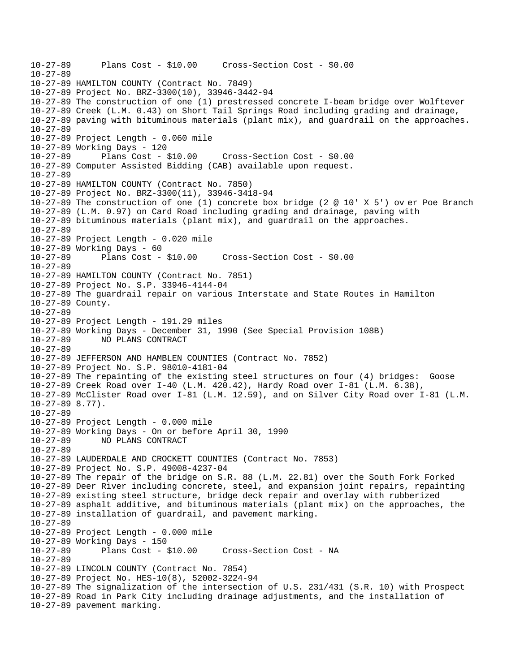10-27-89 Plans Cost - \$10.00 Cross-Section Cost - \$0.00 10-27-89 10-27-89 HAMILTON COUNTY (Contract No. 7849) 10-27-89 Project No. BRZ-3300(10), 33946-3442-94 10-27-89 The construction of one (1) prestressed concrete I-beam bridge over Wolftever 10-27-89 Creek (L.M. 0.43) on Short Tail Springs Road including grading and drainage, 10-27-89 paving with bituminous materials (plant mix), and guardrail on the approaches. 10-27-89 10-27-89 Project Length - 0.060 mile 10-27-89 Working Days - 120 10-27-89 Plans Cost - \$10.00 Cross-Section Cost - \$0.00 10-27-89 Computer Assisted Bidding (CAB) available upon request.  $10 - 27 - 89$ 10-27-89 HAMILTON COUNTY (Contract No. 7850) 10-27-89 Project No. BRZ-3300(11), 33946-3418-94 10-27-89 The construction of one (1) concrete box bridge (2 @ 10' X 5') ov er Poe Branch 10-27-89 (L.M. 0.97) on Card Road including grading and drainage, paving with 10-27-89 bituminous materials (plant mix), and guardrail on the approaches. 10-27-89 10-27-89 Project Length - 0.020 mile 10-27-89 Working Days - 60 10-27-89 Plans Cost - \$10.00 Cross-Section Cost - \$0.00 10-27-89 10-27-89 HAMILTON COUNTY (Contract No. 7851) 10-27-89 Project No. S.P. 33946-4144-04 10-27-89 The guardrail repair on various Interstate and State Routes in Hamilton 10-27-89 County. 10-27-89 10-27-89 Project Length - 191.29 miles 10-27-89 Working Days - December 31, 1990 (See Special Provision 108B) 10-27-89 NO PLANS CONTRACT 10-27-89 10-27-89 JEFFERSON AND HAMBLEN COUNTIES (Contract No. 7852) 10-27-89 Project No. S.P. 98010-4181-04 10-27-89 The repainting of the existing steel structures on four (4) bridges: Goose 10-27-89 Creek Road over I-40 (L.M. 420.42), Hardy Road over I-81 (L.M. 6.38), 10-27-89 McClister Road over I-81 (L.M. 12.59), and on Silver City Road over I-81 (L.M. 10-27-89 8.77). 10-27-89 10-27-89 Project Length - 0.000 mile 10-27-89 Working Days - On or before April 30, 1990 10-27-89 NO PLANS CONTRACT 10-27-89 10-27-89 LAUDERDALE AND CROCKETT COUNTIES (Contract No. 7853) 10-27-89 Project No. S.P. 49008-4237-04 10-27-89 The repair of the bridge on S.R. 88 (L.M. 22.81) over the South Fork Forked 10-27-89 Deer River including concrete, steel, and expansion joint repairs, repainting 10-27-89 existing steel structure, bridge deck repair and overlay with rubberized 10-27-89 asphalt additive, and bituminous materials (plant mix) on the approaches, the 10-27-89 installation of guardrail, and pavement marking. 10-27-89 10-27-89 Project Length - 0.000 mile 10-27-89 Working Days - 150 10-27-89 Plans Cost - \$10.00 Cross-Section Cost - NA 10-27-89 10-27-89 LINCOLN COUNTY (Contract No. 7854) 10-27-89 Project No. HES-10(8), 52002-3224-94 10-27-89 The signalization of the intersection of U.S. 231/431 (S.R. 10) with Prospect 10-27-89 Road in Park City including drainage adjustments, and the installation of 10-27-89 pavement marking.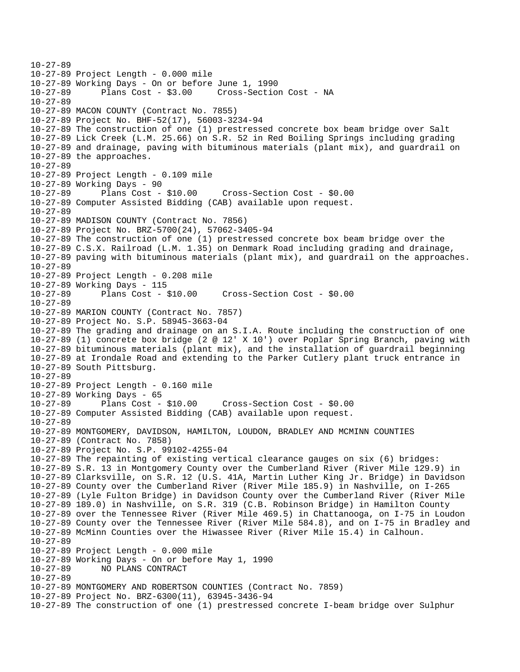10-27-89 10-27-89 Project Length - 0.000 mile 10-27-89 Working Days - On or before June 1, 1990 10-27-89 Plans Cost - \$3.00 Cross-Section Cost - NA 10-27-89 10-27-89 MACON COUNTY (Contract No. 7855) 10-27-89 Project No. BHF-52(17), 56003-3234-94 10-27-89 The construction of one (1) prestressed concrete box beam bridge over Salt 10-27-89 Lick Creek (L.M. 25.66) on S.R. 52 in Red Boiling Springs including grading 10-27-89 and drainage, paving with bituminous materials (plant mix), and guardrail on 10-27-89 the approaches. 10-27-89 10-27-89 Project Length - 0.109 mile 10-27-89 Working Days - 90 10-27-89 Plans Cost - \$10.00 Cross-Section Cost - \$0.00 10-27-89 Computer Assisted Bidding (CAB) available upon request. 10-27-89 10-27-89 MADISON COUNTY (Contract No. 7856) 10-27-89 Project No. BRZ-5700(24), 57062-3405-94 10-27-89 The construction of one (1) prestressed concrete box beam bridge over the 10-27-89 C.S.X. Railroad (L.M. 1.35) on Denmark Road including grading and drainage, 10-27-89 paving with bituminous materials (plant mix), and guardrail on the approaches. 10-27-89 10-27-89 Project Length - 0.208 mile 10-27-89 Working Days - 115 10-27-89 Plans Cost - \$10.00 Cross-Section Cost - \$0.00 10-27-89 10-27-89 MARION COUNTY (Contract No. 7857) 10-27-89 Project No. S.P. 58945-3663-04 10-27-89 The grading and drainage on an S.I.A. Route including the construction of one 10-27-89 (1) concrete box bridge (2 @ 12' X 10') over Poplar Spring Branch, paving with 10-27-89 bituminous materials (plant mix), and the installation of guardrail beginning 10-27-89 at Irondale Road and extending to the Parker Cutlery plant truck entrance in 10-27-89 South Pittsburg. 10-27-89 10-27-89 Project Length - 0.160 mile 10-27-89 Working Days - 65 10-27-89 Plans Cost - \$10.00 Cross-Section Cost - \$0.00 10-27-89 Computer Assisted Bidding (CAB) available upon request. 10-27-89 10-27-89 MONTGOMERY, DAVIDSON, HAMILTON, LOUDON, BRADLEY AND MCMINN COUNTIES 10-27-89 (Contract No. 7858) 10-27-89 Project No. S.P. 99102-4255-04 10-27-89 The repainting of existing vertical clearance gauges on six (6) bridges: 10-27-89 S.R. 13 in Montgomery County over the Cumberland River (River Mile 129.9) in 10-27-89 Clarksville, on S.R. 12 (U.S. 41A, Martin Luther King Jr. Bridge) in Davidson 10-27-89 County over the Cumberland River (River Mile 185.9) in Nashville, on I-265 10-27-89 (Lyle Fulton Bridge) in Davidson County over the Cumberland River (River Mile 10-27-89 189.0) in Nashville, on S.R. 319 (C.B. Robinson Bridge) in Hamilton County 10-27-89 over the Tennessee River (River Mile 469.5) in Chattanooga, on I-75 in Loudon 10-27-89 County over the Tennessee River (River Mile 584.8), and on I-75 in Bradley and 10-27-89 McMinn Counties over the Hiwassee River (River Mile 15.4) in Calhoun. 10-27-89 10-27-89 Project Length - 0.000 mile 10-27-89 Working Days - On or before May 1, 1990 10-27-89 NO PLANS CONTRACT 10-27-89 10-27-89 MONTGOMERY AND ROBERTSON COUNTIES (Contract No. 7859) 10-27-89 Project No. BRZ-6300(11), 63945-3436-94 10-27-89 The construction of one (1) prestressed concrete I-beam bridge over Sulphur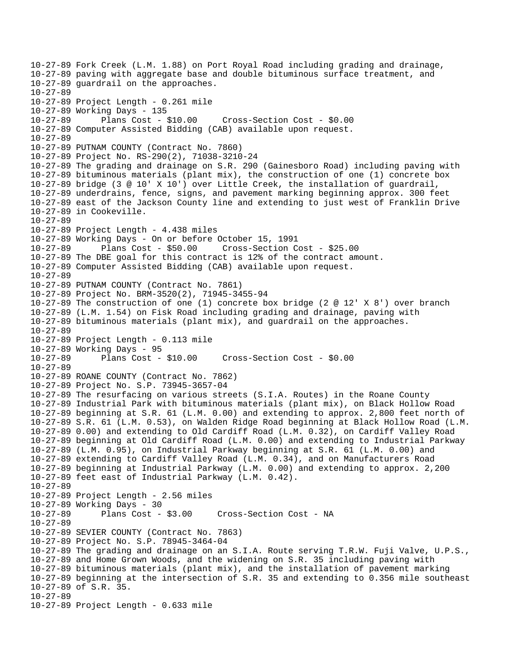10-27-89 Fork Creek (L.M. 1.88) on Port Royal Road including grading and drainage, 10-27-89 paving with aggregate base and double bituminous surface treatment, and 10-27-89 guardrail on the approaches. 10-27-89 10-27-89 Project Length - 0.261 mile 10-27-89 Working Days - 135 10-27-89 Plans Cost - \$10.00 Cross-Section Cost - \$0.00 10-27-89 Computer Assisted Bidding (CAB) available upon request. 10-27-89 10-27-89 PUTNAM COUNTY (Contract No. 7860) 10-27-89 Project No. RS-290(2), 71038-3210-24 10-27-89 The grading and drainage on S.R. 290 (Gainesboro Road) including paving with 10-27-89 bituminous materials (plant mix), the construction of one (1) concrete box 10-27-89 bridge (3 @ 10' X 10') over Little Creek, the installation of guardrail, 10-27-89 underdrains, fence, signs, and pavement marking beginning approx. 300 feet 10-27-89 east of the Jackson County line and extending to just west of Franklin Drive 10-27-89 in Cookeville. 10-27-89 10-27-89 Project Length - 4.438 miles 10-27-89 Working Days - On or before October 15, 1991 10-27-89 Plans Cost - \$50.00 Cross-Section Cost - \$25.00 10-27-89 The DBE goal for this contract is 12% of the contract amount. 10-27-89 Computer Assisted Bidding (CAB) available upon request. 10-27-89 10-27-89 PUTNAM COUNTY (Contract No. 7861) 10-27-89 Project No. BRM-3520(2), 71945-3455-94 10-27-89 The construction of one (1) concrete box bridge (2 @ 12' X 8') over branch 10-27-89 (L.M. 1.54) on Fisk Road including grading and drainage, paving with 10-27-89 bituminous materials (plant mix), and guardrail on the approaches. 10-27-89 10-27-89 Project Length - 0.113 mile 10-27-89 Working Days - 95 10-27-89 Plans Cost - \$10.00 Cross-Section Cost - \$0.00 10-27-89 10-27-89 ROANE COUNTY (Contract No. 7862) 10-27-89 Project No. S.P. 73945-3657-04 10-27-89 The resurfacing on various streets (S.I.A. Routes) in the Roane County 10-27-89 Industrial Park with bituminous materials (plant mix), on Black Hollow Road 10-27-89 beginning at S.R. 61 (L.M. 0.00) and extending to approx. 2,800 feet north of 10-27-89 S.R. 61 (L.M. 0.53), on Walden Ridge Road beginning at Black Hollow Road (L.M. 10-27-89 0.00) and extending to Old Cardiff Road (L.M. 0.32), on Cardiff Valley Road 10-27-89 beginning at Old Cardiff Road (L.M. 0.00) and extending to Industrial Parkway 10-27-89 (L.M. 0.95), on Industrial Parkway beginning at S.R. 61 (L.M. 0.00) and 10-27-89 extending to Cardiff Valley Road (L.M. 0.34), and on Manufacturers Road 10-27-89 beginning at Industrial Parkway (L.M. 0.00) and extending to approx. 2,200 10-27-89 feet east of Industrial Parkway (L.M. 0.42). 10-27-89 10-27-89 Project Length - 2.56 miles 10-27-89 Working Days - 30 Plans Cost - \$3.00 Cross-Section Cost - NA 10-27-89 10-27-89 SEVIER COUNTY (Contract No. 7863) 10-27-89 Project No. S.P. 78945-3464-04 10-27-89 The grading and drainage on an S.I.A. Route serving T.R.W. Fuji Valve, U.P.S., 10-27-89 and Home Grown Woods, and the widening on S.R. 35 including paving with 10-27-89 bituminous materials (plant mix), and the installation of pavement marking 10-27-89 beginning at the intersection of S.R. 35 and extending to 0.356 mile southeast 10-27-89 of S.R. 35. 10-27-89 10-27-89 Project Length - 0.633 mile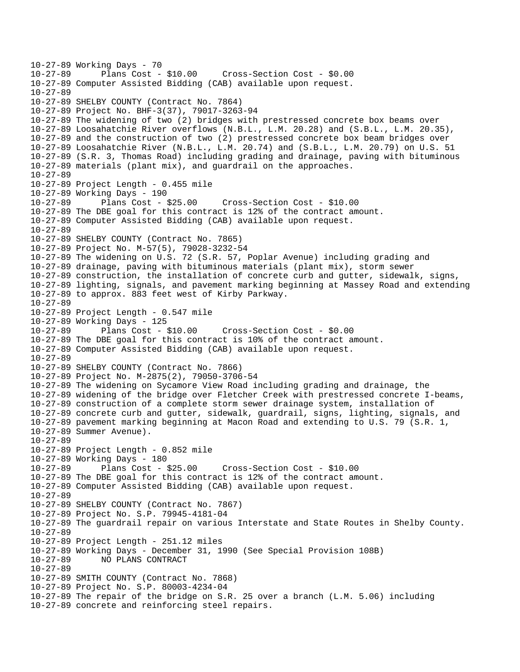10-27-89 Working Days - 70 Plans Cost - \$10.00 Cross-Section Cost - \$0.00 10-27-89 Computer Assisted Bidding (CAB) available upon request. 10-27-89 10-27-89 SHELBY COUNTY (Contract No. 7864) 10-27-89 Project No. BHF-3(37), 79017-3263-94 10-27-89 The widening of two (2) bridges with prestressed concrete box beams over 10-27-89 Loosahatchie River overflows (N.B.L., L.M. 20.28) and (S.B.L., L.M. 20.35), 10-27-89 and the construction of two (2) prestressed concrete box beam bridges over 10-27-89 Loosahatchie River (N.B.L., L.M. 20.74) and (S.B.L., L.M. 20.79) on U.S. 51 10-27-89 (S.R. 3, Thomas Road) including grading and drainage, paving with bituminous 10-27-89 materials (plant mix), and guardrail on the approaches. 10-27-89 10-27-89 Project Length - 0.455 mile 10-27-89 Working Days - 190 10-27-89 Plans Cost - \$25.00 Cross-Section Cost - \$10.00 10-27-89 The DBE goal for this contract is 12% of the contract amount. 10-27-89 Computer Assisted Bidding (CAB) available upon request. 10-27-89 10-27-89 SHELBY COUNTY (Contract No. 7865) 10-27-89 Project No. M-57(5), 79028-3232-54 10-27-89 The widening on U.S. 72 (S.R. 57, Poplar Avenue) including grading and 10-27-89 drainage, paving with bituminous materials (plant mix), storm sewer 10-27-89 construction, the installation of concrete curb and gutter, sidewalk, signs, 10-27-89 lighting, signals, and pavement marking beginning at Massey Road and extending 10-27-89 to approx. 883 feet west of Kirby Parkway. 10-27-89 10-27-89 Project Length - 0.547 mile 10-27-89 Working Days - 125 10-27-89 Plans Cost - \$10.00 Cross-Section Cost - \$0.00 10-27-89 The DBE goal for this contract is 10% of the contract amount. 10-27-89 Computer Assisted Bidding (CAB) available upon request. 10-27-89 10-27-89 SHELBY COUNTY (Contract No. 7866) 10-27-89 Project No. M-2875(2), 79050-3706-54 10-27-89 The widening on Sycamore View Road including grading and drainage, the 10-27-89 widening of the bridge over Fletcher Creek with prestressed concrete I-beams, 10-27-89 construction of a complete storm sewer drainage system, installation of 10-27-89 concrete curb and gutter, sidewalk, guardrail, signs, lighting, signals, and 10-27-89 pavement marking beginning at Macon Road and extending to U.S. 79 (S.R. 1, 10-27-89 Summer Avenue). 10-27-89 10-27-89 Project Length - 0.852 mile 10-27-89 Working Days - 180 10-27-89 Plans Cost - \$25.00 Cross-Section Cost - \$10.00 10-27-89 The DBE goal for this contract is 12% of the contract amount. 10-27-89 Computer Assisted Bidding (CAB) available upon request.  $10 - 27 - 89$ 10-27-89 SHELBY COUNTY (Contract No. 7867) 10-27-89 Project No. S.P. 79945-4181-04 10-27-89 The guardrail repair on various Interstate and State Routes in Shelby County. 10-27-89 10-27-89 Project Length - 251.12 miles 10-27-89 Working Days - December 31, 1990 (See Special Provision 108B) 10-27-89 NO PLANS CONTRACT 10-27-89 10-27-89 SMITH COUNTY (Contract No. 7868) 10-27-89 Project No. S.P. 80003-4234-04 10-27-89 The repair of the bridge on S.R. 25 over a branch (L.M. 5.06) including 10-27-89 concrete and reinforcing steel repairs.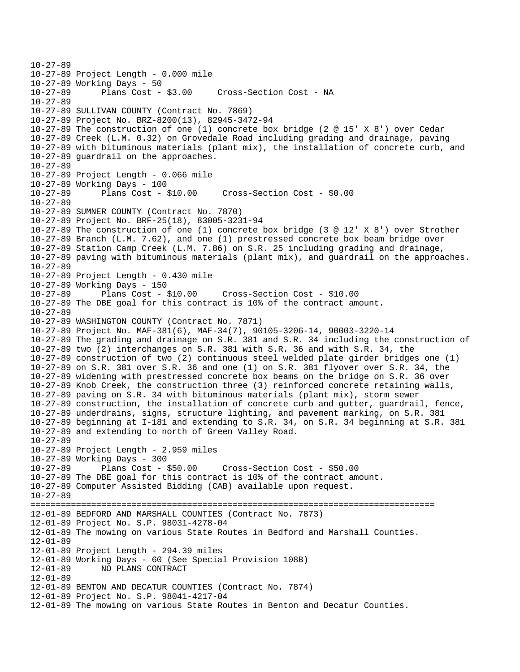10-27-89 10-27-89 Project Length - 0.000 mile 10-27-89 Working Days - 50 10-27-89 Plans Cost - \$3.00 Cross-Section Cost - NA 10-27-89 10-27-89 SULLIVAN COUNTY (Contract No. 7869) 10-27-89 Project No. BRZ-8200(13), 82945-3472-94 10-27-89 The construction of one (1) concrete box bridge (2 @ 15' X 8') over Cedar 10-27-89 Creek (L.M. 0.32) on Grovedale Road including grading and drainage, paving 10-27-89 with bituminous materials (plant mix), the installation of concrete curb, and 10-27-89 guardrail on the approaches. 10-27-89 10-27-89 Project Length - 0.066 mile 10-27-89 Working Days - 100 10-27-89 Plans Cost - \$10.00 Cross-Section Cost - \$0.00 10-27-89 10-27-89 SUMNER COUNTY (Contract No. 7870) 10-27-89 Project No. BRF-25(18), 83005-3231-94 10-27-89 The construction of one (1) concrete box bridge (3 @ 12' X 8') over Strother 10-27-89 Branch (L.M. 7.62), and one (1) prestressed concrete box beam bridge over 10-27-89 Station Camp Creek (L.M. 7.86) on S.R. 25 including grading and drainage, 10-27-89 paving with bituminous materials (plant mix), and guardrail on the approaches. 10-27-89 10-27-89 Project Length - 0.430 mile 10-27-89 Working Days - 150 10-27-89 Plans Cost - \$10.00 Cross-Section Cost - \$10.00 10-27-89 The DBE goal for this contract is 10% of the contract amount. 10-27-89 10-27-89 WASHINGTON COUNTY (Contract No. 7871) 10-27-89 Project No. MAF-381(6), MAF-34(7), 90105-3206-14, 90003-3220-14 10-27-89 The grading and drainage on S.R. 381 and S.R. 34 including the construction of 10-27-89 two (2) interchanges on S.R. 381 with S.R. 36 and with S.R. 34, the 10-27-89 construction of two (2) continuous steel welded plate girder bridges one (1) 10-27-89 on S.R. 381 over S.R. 36 and one (1) on S.R. 381 flyover over S.R. 34, the 10-27-89 widening with prestressed concrete box beams on the bridge on S.R. 36 over 10-27-89 Knob Creek, the construction three (3) reinforced concrete retaining walls, 10-27-89 paving on S.R. 34 with bituminous materials (plant mix), storm sewer 10-27-89 construction, the installation of concrete curb and gutter, guardrail, fence, 10-27-89 underdrains, signs, structure lighting, and pavement marking, on S.R. 381 10-27-89 beginning at I-181 and extending to S.R. 34, on S.R. 34 beginning at S.R. 381 10-27-89 and extending to north of Green Valley Road. 10-27-89 10-27-89 Project Length - 2.959 miles 10-27-89 Working Days - 300 10-27-89 Plans Cost - \$50.00 Cross-Section Cost - \$50.00 10-27-89 The DBE goal for this contract is 10% of the contract amount. 10-27-89 Computer Assisted Bidding (CAB) available upon request. 10-27-89 ================================================================================ 12-01-89 BEDFORD AND MARSHALL COUNTIES (Contract No. 7873) 12-01-89 Project No. S.P. 98031-4278-04 12-01-89 The mowing on various State Routes in Bedford and Marshall Counties. 12-01-89 12-01-89 Project Length - 294.39 miles 12-01-89 Working Days - 60 (See Special Provision 108B) 12-01-89 NO PLANS CONTRACT 12-01-89 12-01-89 BENTON AND DECATUR COUNTIES (Contract No. 7874) 12-01-89 Project No. S.P. 98041-4217-04 12-01-89 The mowing on various State Routes in Benton and Decatur Counties.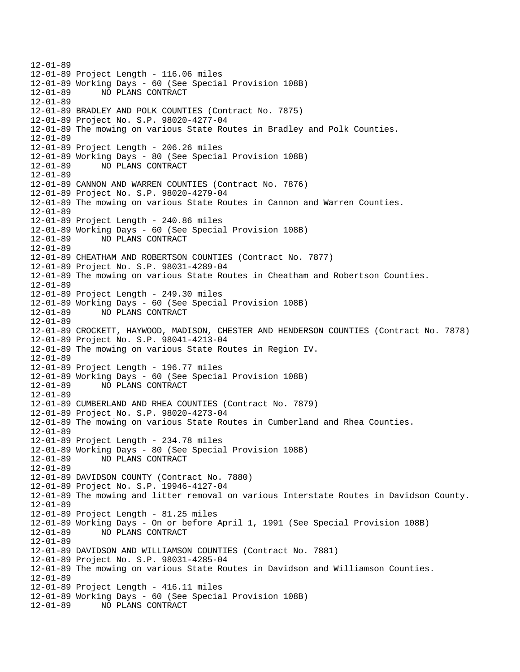12-01-89 12-01-89 Project Length - 116.06 miles 12-01-89 Working Days - 60 (See Special Provision 108B) 12-01-89 NO PLANS CONTRACT 12-01-89 12-01-89 BRADLEY AND POLK COUNTIES (Contract No. 7875) 12-01-89 Project No. S.P. 98020-4277-04 12-01-89 The mowing on various State Routes in Bradley and Polk Counties. 12-01-89 12-01-89 Project Length - 206.26 miles 12-01-89 Working Days - 80 (See Special Provision 108B) 12-01-89 NO PLANS CONTRACT 12-01-89 12-01-89 CANNON AND WARREN COUNTIES (Contract No. 7876) 12-01-89 Project No. S.P. 98020-4279-04 12-01-89 The mowing on various State Routes in Cannon and Warren Counties. 12-01-89 12-01-89 Project Length - 240.86 miles 12-01-89 Working Days - 60 (See Special Provision 108B) 12-01-89 NO PLANS CONTRACT 12-01-89 12-01-89 CHEATHAM AND ROBERTSON COUNTIES (Contract No. 7877) 12-01-89 Project No. S.P. 98031-4289-04 12-01-89 The mowing on various State Routes in Cheatham and Robertson Counties. 12-01-89 12-01-89 Project Length - 249.30 miles 12-01-89 Working Days - 60 (See Special Provision 108B) 12-01-89 NO PLANS CONTRACT 12-01-89 12-01-89 CROCKETT, HAYWOOD, MADISON, CHESTER AND HENDERSON COUNTIES (Contract No. 7878) 12-01-89 Project No. S.P. 98041-4213-04 12-01-89 The mowing on various State Routes in Region IV. 12-01-89 12-01-89 Project Length - 196.77 miles 12-01-89 Working Days - 60 (See Special Provision 108B) 12-01-89 NO PLANS CONTRACT 12-01-89 12-01-89 CUMBERLAND AND RHEA COUNTIES (Contract No. 7879) 12-01-89 Project No. S.P. 98020-4273-04 12-01-89 The mowing on various State Routes in Cumberland and Rhea Counties. 12-01-89 12-01-89 Project Length - 234.78 miles 12-01-89 Working Days - 80 (See Special Provision 108B) 12-01-89 NO PLANS CONTRACT 12-01-89 12-01-89 DAVIDSON COUNTY (Contract No. 7880) 12-01-89 Project No. S.P. 19946-4127-04 12-01-89 The mowing and litter removal on various Interstate Routes in Davidson County. 12-01-89 12-01-89 Project Length - 81.25 miles 12-01-89 Working Days - On or before April 1, 1991 (See Special Provision 108B) 12-01-89 NO PLANS CONTRACT 12-01-89 12-01-89 DAVIDSON AND WILLIAMSON COUNTIES (Contract No. 7881) 12-01-89 Project No. S.P. 98031-4285-04 12-01-89 The mowing on various State Routes in Davidson and Williamson Counties. 12-01-89 12-01-89 Project Length - 416.11 miles 12-01-89 Working Days - 60 (See Special Provision 108B) 12-01-89 NO PLANS CONTRACT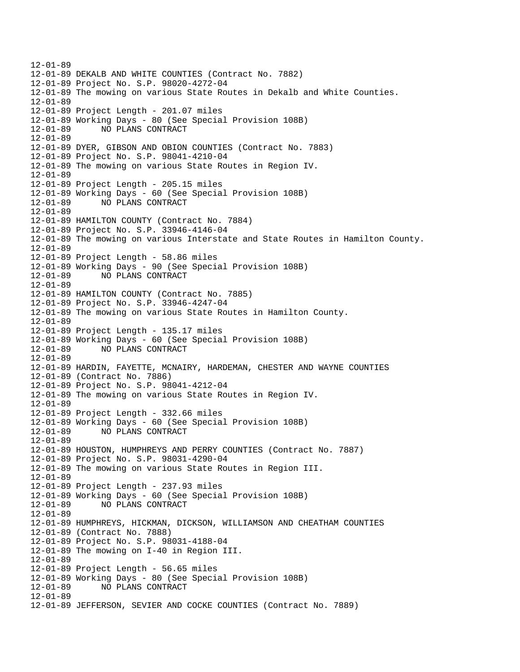12-01-89 12-01-89 DEKALB AND WHITE COUNTIES (Contract No. 7882) 12-01-89 Project No. S.P. 98020-4272-04 12-01-89 The mowing on various State Routes in Dekalb and White Counties. 12-01-89 12-01-89 Project Length - 201.07 miles 12-01-89 Working Days - 80 (See Special Provision 108B) 12-01-89 NO PLANS CONTRACT 12-01-89 12-01-89 DYER, GIBSON AND OBION COUNTIES (Contract No. 7883) 12-01-89 Project No. S.P. 98041-4210-04 12-01-89 The mowing on various State Routes in Region IV. 12-01-89 12-01-89 Project Length - 205.15 miles 12-01-89 Working Days - 60 (See Special Provision 108B) 12-01-89 NO PLANS CONTRACT 12-01-89 12-01-89 HAMILTON COUNTY (Contract No. 7884) 12-01-89 Project No. S.P. 33946-4146-04 12-01-89 The mowing on various Interstate and State Routes in Hamilton County. 12-01-89 12-01-89 Project Length - 58.86 miles 12-01-89 Working Days - 90 (See Special Provision 108B) 12-01-89 NO PLANS CONTRACT 12-01-89 12-01-89 HAMILTON COUNTY (Contract No. 7885) 12-01-89 Project No. S.P. 33946-4247-04 12-01-89 The mowing on various State Routes in Hamilton County. 12-01-89 12-01-89 Project Length - 135.17 miles 12-01-89 Working Days - 60 (See Special Provision 108B) 12-01-89 NO PLANS CONTRACT 12-01-89 12-01-89 HARDIN, FAYETTE, MCNAIRY, HARDEMAN, CHESTER AND WAYNE COUNTIES 12-01-89 (Contract No. 7886) 12-01-89 Project No. S.P. 98041-4212-04 12-01-89 The mowing on various State Routes in Region IV. 12-01-89 12-01-89 Project Length - 332.66 miles 12-01-89 Working Days - 60 (See Special Provision 108B) 12-01-89 NO PLANS CONTRACT 12-01-89 12-01-89 HOUSTON, HUMPHREYS AND PERRY COUNTIES (Contract No. 7887) 12-01-89 Project No. S.P. 98031-4290-04 12-01-89 The mowing on various State Routes in Region III. 12-01-89 12-01-89 Project Length - 237.93 miles 12-01-89 Working Days - 60 (See Special Provision 108B) 12-01-89 NO PLANS CONTRACT 12-01-89 12-01-89 HUMPHREYS, HICKMAN, DICKSON, WILLIAMSON AND CHEATHAM COUNTIES 12-01-89 (Contract No. 7888) 12-01-89 Project No. S.P. 98031-4188-04 12-01-89 The mowing on I-40 in Region III. 12-01-89 12-01-89 Project Length - 56.65 miles 12-01-89 Working Days - 80 (See Special Provision 108B) 12-01-89 NO PLANS CONTRACT 12-01-89 12-01-89 JEFFERSON, SEVIER AND COCKE COUNTIES (Contract No. 7889)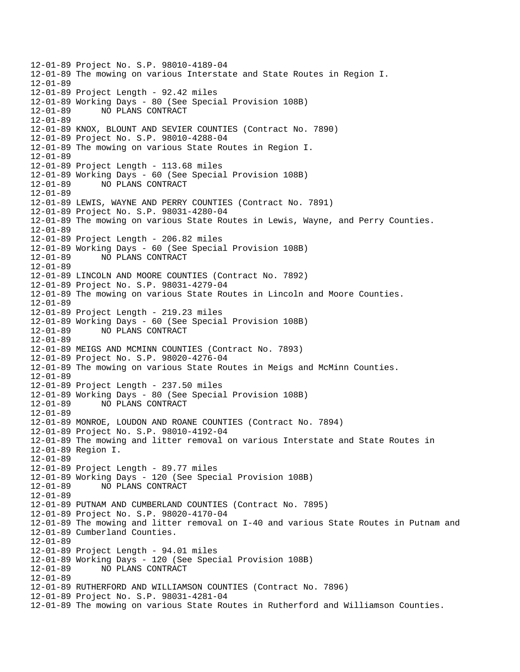12-01-89 Project No. S.P. 98010-4189-04 12-01-89 The mowing on various Interstate and State Routes in Region I. 12-01-89 12-01-89 Project Length - 92.42 miles 12-01-89 Working Days - 80 (See Special Provision 108B) 12-01-89 NO PLANS CONTRACT 12-01-89 12-01-89 KNOX, BLOUNT AND SEVIER COUNTIES (Contract No. 7890) 12-01-89 Project No. S.P. 98010-4288-04 12-01-89 The mowing on various State Routes in Region I. 12-01-89 12-01-89 Project Length - 113.68 miles 12-01-89 Working Days - 60 (See Special Provision 108B) 12-01-89 NO PLANS CONTRACT 12-01-89 12-01-89 LEWIS, WAYNE AND PERRY COUNTIES (Contract No. 7891) 12-01-89 Project No. S.P. 98031-4280-04 12-01-89 The mowing on various State Routes in Lewis, Wayne, and Perry Counties. 12-01-89 12-01-89 Project Length - 206.82 miles 12-01-89 Working Days - 60 (See Special Provision 108B) 12-01-89 NO PLANS CONTRACT 12-01-89 12-01-89 LINCOLN AND MOORE COUNTIES (Contract No. 7892) 12-01-89 Project No. S.P. 98031-4279-04 12-01-89 The mowing on various State Routes in Lincoln and Moore Counties. 12-01-89 12-01-89 Project Length - 219.23 miles 12-01-89 Working Days - 60 (See Special Provision 108B) 12-01-89 NO PLANS CONTRACT 12-01-89 12-01-89 MEIGS AND MCMINN COUNTIES (Contract No. 7893) 12-01-89 Project No. S.P. 98020-4276-04 12-01-89 The mowing on various State Routes in Meigs and McMinn Counties. 12-01-89 12-01-89 Project Length - 237.50 miles 12-01-89 Working Days - 80 (See Special Provision 108B) 12-01-89 NO PLANS CONTRACT 12-01-89 12-01-89 MONROE, LOUDON AND ROANE COUNTIES (Contract No. 7894) 12-01-89 Project No. S.P. 98010-4192-04 12-01-89 The mowing and litter removal on various Interstate and State Routes in 12-01-89 Region I. 12-01-89 12-01-89 Project Length - 89.77 miles 12-01-89 Working Days - 120 (See Special Provision 108B) 12-01-89 NO PLANS CONTRACT 12-01-89 12-01-89 PUTNAM AND CUMBERLAND COUNTIES (Contract No. 7895) 12-01-89 Project No. S.P. 98020-4170-04 12-01-89 The mowing and litter removal on I-40 and various State Routes in Putnam and 12-01-89 Cumberland Counties. 12-01-89 12-01-89 Project Length - 94.01 miles 12-01-89 Working Days - 120 (See Special Provision 108B) 12-01-89 NO PLANS CONTRACT 12-01-89 12-01-89 RUTHERFORD AND WILLIAMSON COUNTIES (Contract No. 7896) 12-01-89 Project No. S.P. 98031-4281-04 12-01-89 The mowing on various State Routes in Rutherford and Williamson Counties.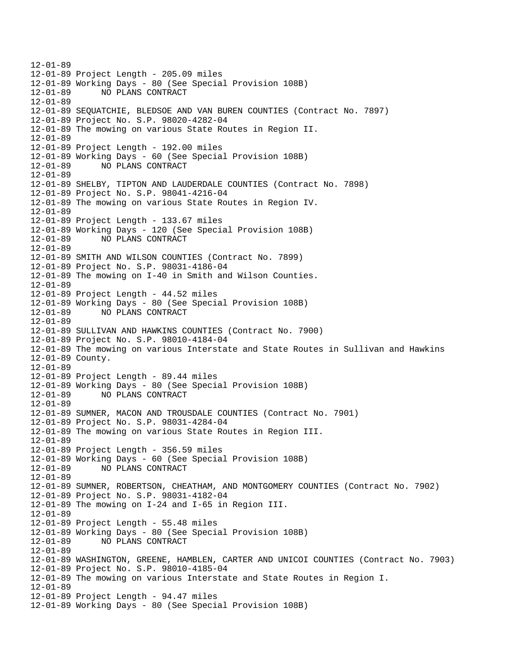12-01-89 12-01-89 Project Length - 205.09 miles 12-01-89 Working Days - 80 (See Special Provision 108B) 12-01-89 NO PLANS CONTRACT 12-01-89 12-01-89 SEQUATCHIE, BLEDSOE AND VAN BUREN COUNTIES (Contract No. 7897) 12-01-89 Project No. S.P. 98020-4282-04 12-01-89 The mowing on various State Routes in Region II. 12-01-89 12-01-89 Project Length - 192.00 miles 12-01-89 Working Days - 60 (See Special Provision 108B) 12-01-89 NO PLANS CONTRACT 12-01-89 12-01-89 SHELBY, TIPTON AND LAUDERDALE COUNTIES (Contract No. 7898) 12-01-89 Project No. S.P. 98041-4216-04 12-01-89 The mowing on various State Routes in Region IV. 12-01-89 12-01-89 Project Length - 133.67 miles 12-01-89 Working Days - 120 (See Special Provision 108B) 12-01-89 NO PLANS CONTRACT 12-01-89 12-01-89 SMITH AND WILSON COUNTIES (Contract No. 7899) 12-01-89 Project No. S.P. 98031-4186-04 12-01-89 The mowing on I-40 in Smith and Wilson Counties. 12-01-89 12-01-89 Project Length - 44.52 miles 12-01-89 Working Days - 80 (See Special Provision 108B) NO PLANS CONTRACT 12-01-89 12-01-89 SULLIVAN AND HAWKINS COUNTIES (Contract No. 7900) 12-01-89 Project No. S.P. 98010-4184-04 12-01-89 The mowing on various Interstate and State Routes in Sullivan and Hawkins 12-01-89 County. 12-01-89 12-01-89 Project Length - 89.44 miles 12-01-89 Working Days - 80 (See Special Provision 108B) 12-01-89 NO PLANS CONTRACT 12-01-89 12-01-89 SUMNER, MACON AND TROUSDALE COUNTIES (Contract No. 7901) 12-01-89 Project No. S.P. 98031-4284-04 12-01-89 The mowing on various State Routes in Region III. 12-01-89 12-01-89 Project Length - 356.59 miles 12-01-89 Working Days - 60 (See Special Provision 108B) 12-01-89 NO PLANS CONTRACT 12-01-89 12-01-89 SUMNER, ROBERTSON, CHEATHAM, AND MONTGOMERY COUNTIES (Contract No. 7902) 12-01-89 Project No. S.P. 98031-4182-04 12-01-89 The mowing on I-24 and I-65 in Region III. 12-01-89 12-01-89 Project Length - 55.48 miles 12-01-89 Working Days - 80 (See Special Provision 108B) 12-01-89 NO PLANS CONTRACT 12-01-89 12-01-89 WASHINGTON, GREENE, HAMBLEN, CARTER AND UNICOI COUNTIES (Contract No. 7903) 12-01-89 Project No. S.P. 98010-4185-04 12-01-89 The mowing on various Interstate and State Routes in Region I. 12-01-89 12-01-89 Project Length - 94.47 miles 12-01-89 Working Days - 80 (See Special Provision 108B)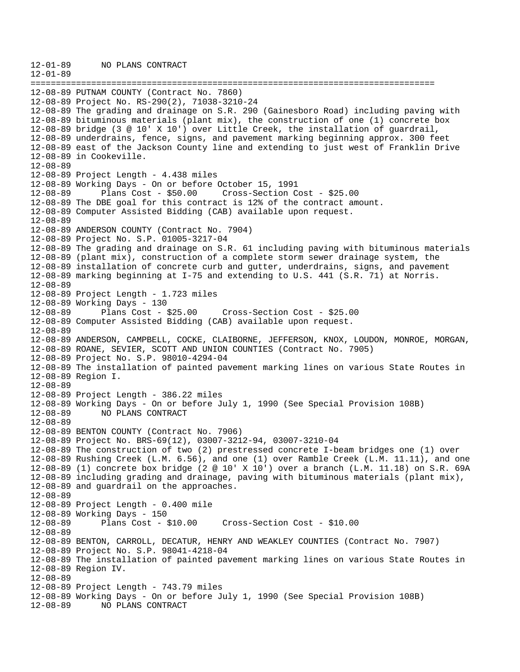12-01-89 NO PLANS CONTRACT 12-01-89 ================================================================================ 12-08-89 PUTNAM COUNTY (Contract No. 7860) 12-08-89 Project No. RS-290(2), 71038-3210-24 12-08-89 The grading and drainage on S.R. 290 (Gainesboro Road) including paving with 12-08-89 bituminous materials (plant mix), the construction of one (1) concrete box 12-08-89 bridge (3 @ 10' X 10') over Little Creek, the installation of guardrail, 12-08-89 underdrains, fence, signs, and pavement marking beginning approx. 300 feet 12-08-89 east of the Jackson County line and extending to just west of Franklin Drive 12-08-89 in Cookeville. 12-08-89 12-08-89 Project Length - 4.438 miles 12-08-89 Working Days - On or before October 15, 1991 12-08-89 Plans Cost - \$50.00 Cross-Section Cost - \$25.00 12-08-89 The DBE goal for this contract is 12% of the contract amount. 12-08-89 Computer Assisted Bidding (CAB) available upon request. 12-08-89 12-08-89 ANDERSON COUNTY (Contract No. 7904) 12-08-89 Project No. S.P. 01005-3217-04 12-08-89 The grading and drainage on S.R. 61 including paving with bituminous materials 12-08-89 (plant mix), construction of a complete storm sewer drainage system, the 12-08-89 installation of concrete curb and gutter, underdrains, signs, and pavement 12-08-89 marking beginning at I-75 and extending to U.S. 441 (S.R. 71) at Norris. 12-08-89 12-08-89 Project Length - 1.723 miles 12-08-89 Working Days - 130 12-08-89 Plans Cost - \$25.00 Cross-Section Cost - \$25.00 12-08-89 Computer Assisted Bidding (CAB) available upon request. 12-08-89 12-08-89 ANDERSON, CAMPBELL, COCKE, CLAIBORNE, JEFFERSON, KNOX, LOUDON, MONROE, MORGAN, 12-08-89 ROANE, SEVIER, SCOTT AND UNION COUNTIES (Contract No. 7905) 12-08-89 Project No. S.P. 98010-4294-04 12-08-89 The installation of painted pavement marking lines on various State Routes in 12-08-89 Region I. 12-08-89 12-08-89 Project Length - 386.22 miles 12-08-89 Working Days - On or before July 1, 1990 (See Special Provision 108B) 12-08-89 NO PLANS CONTRACT 12-08-89 12-08-89 BENTON COUNTY (Contract No. 7906) 12-08-89 Project No. BRS-69(12), 03007-3212-94, 03007-3210-04 12-08-89 The construction of two (2) prestressed concrete I-beam bridges one (1) over 12-08-89 Rushing Creek (L.M. 6.56), and one (1) over Ramble Creek (L.M. 11.11), and one 12-08-89 (1) concrete box bridge (2 @ 10' X 10') over a branch (L.M. 11.18) on S.R. 69A 12-08-89 including grading and drainage, paving with bituminous materials (plant mix), 12-08-89 and guardrail on the approaches. 12-08-89 12-08-89 Project Length - 0.400 mile 12-08-89 Working Days - 150 Plans Cost - \$10.00 Cross-Section Cost - \$10.00 12-08-89 12-08-89 BENTON, CARROLL, DECATUR, HENRY AND WEAKLEY COUNTIES (Contract No. 7907) 12-08-89 Project No. S.P. 98041-4218-04 12-08-89 The installation of painted pavement marking lines on various State Routes in 12-08-89 Region IV. 12-08-89 12-08-89 Project Length - 743.79 miles 12-08-89 Working Days - On or before July 1, 1990 (See Special Provision 108B) 12-08-89 NO PLANS CONTRACT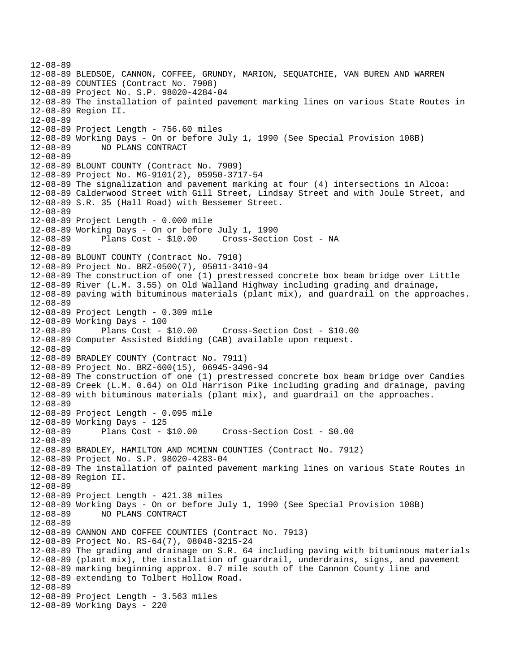12-08-89 12-08-89 BLEDSOE, CANNON, COFFEE, GRUNDY, MARION, SEQUATCHIE, VAN BUREN AND WARREN 12-08-89 COUNTIES (Contract No. 7908) 12-08-89 Project No. S.P. 98020-4284-04 12-08-89 The installation of painted pavement marking lines on various State Routes in 12-08-89 Region II. 12-08-89 12-08-89 Project Length - 756.60 miles 12-08-89 Working Days - On or before July 1, 1990 (See Special Provision 108B) 12-08-89 NO PLANS CONTRACT 12-08-89 12-08-89 BLOUNT COUNTY (Contract No. 7909) 12-08-89 Project No. MG-9101(2), 05950-3717-54 12-08-89 The signalization and pavement marking at four (4) intersections in Alcoa: 12-08-89 Calderwood Street with Gill Street, Lindsay Street and with Joule Street, and 12-08-89 S.R. 35 (Hall Road) with Bessemer Street. 12-08-89 12-08-89 Project Length - 0.000 mile 12-08-89 Working Days - On or before July 1, 1990 12-08-89 Plans Cost - \$10.00 Cross-Section Cost - NA 12-08-89 12-08-89 BLOUNT COUNTY (Contract No. 7910) 12-08-89 Project No. BRZ-0500(7), 05011-3410-94 12-08-89 The construction of one (1) prestressed concrete box beam bridge over Little 12-08-89 River (L.M. 3.55) on Old Walland Highway including grading and drainage, 12-08-89 paving with bituminous materials (plant mix), and guardrail on the approaches. 12-08-89 12-08-89 Project Length - 0.309 mile 12-08-89 Working Days - 100 12-08-89 Plans Cost - \$10.00 Cross-Section Cost - \$10.00 12-08-89 Computer Assisted Bidding (CAB) available upon request. 12-08-89 12-08-89 BRADLEY COUNTY (Contract No. 7911) 12-08-89 Project No. BRZ-600(15), 06945-3496-94 12-08-89 The construction of one (1) prestressed concrete box beam bridge over Candies 12-08-89 Creek (L.M. 0.64) on Old Harrison Pike including grading and drainage, paving 12-08-89 with bituminous materials (plant mix), and guardrail on the approaches. 12-08-89 12-08-89 Project Length - 0.095 mile 12-08-89 Working Days - 125 12-08-89 Plans Cost - \$10.00 Cross-Section Cost - \$0.00 12-08-89 12-08-89 BRADLEY, HAMILTON AND MCMINN COUNTIES (Contract No. 7912) 12-08-89 Project No. S.P. 98020-4283-04 12-08-89 The installation of painted pavement marking lines on various State Routes in 12-08-89 Region II. 12-08-89 12-08-89 Project Length - 421.38 miles 12-08-89 Working Days - On or before July 1, 1990 (See Special Provision 108B) 12-08-89 NO PLANS CONTRACT 12-08-89 12-08-89 CANNON AND COFFEE COUNTIES (Contract No. 7913) 12-08-89 Project No. RS-64(7), 08048-3215-24 12-08-89 The grading and drainage on S.R. 64 including paving with bituminous materials 12-08-89 (plant mix), the installation of guardrail, underdrains, signs, and pavement 12-08-89 marking beginning approx. 0.7 mile south of the Cannon County line and 12-08-89 extending to Tolbert Hollow Road. 12-08-89 12-08-89 Project Length - 3.563 miles 12-08-89 Working Days - 220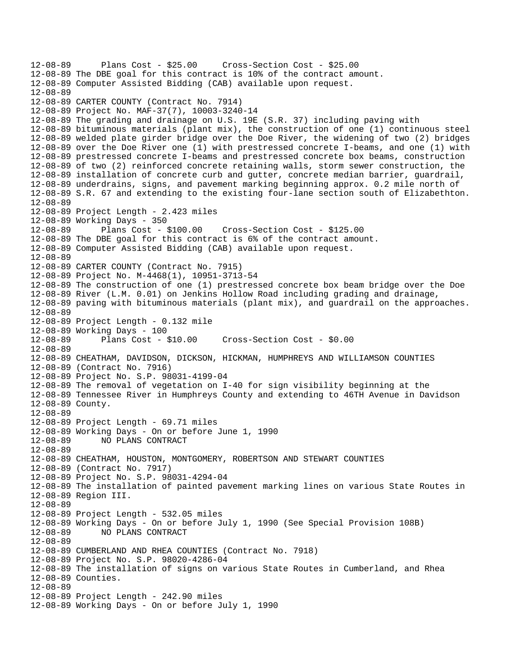```
12-08-89 Plans Cost - $25.00 Cross-Section Cost - $25.00 
12-08-89 The DBE goal for this contract is 10% of the contract amount. 
12-08-89 Computer Assisted Bidding (CAB) available upon request. 
12-08-89 
12-08-89 CARTER COUNTY (Contract No. 7914) 
12-08-89 Project No. MAF-37(7), 10003-3240-14 
12-08-89 The grading and drainage on U.S. 19E (S.R. 37) including paving with 
12-08-89 bituminous materials (plant mix), the construction of one (1) continuous steel 
12-08-89 welded plate girder bridge over the Doe River, the widening of two (2) bridges 
12-08-89 over the Doe River one (1) with prestressed concrete I-beams, and one (1) with 
12-08-89 prestressed concrete I-beams and prestressed concrete box beams, construction 
12-08-89 of two (2) reinforced concrete retaining walls, storm sewer construction, the 
12-08-89 installation of concrete curb and gutter, concrete median barrier, guardrail, 
12-08-89 underdrains, signs, and pavement marking beginning approx. 0.2 mile north of 
12-08-89 S.R. 67 and extending to the existing four-lane section south of Elizabethton. 
12-08-89 
12-08-89 Project Length - 2.423 miles 
12-08-89 Working Days - 350 
12-08-89 Plans Cost - $100.00 Cross-Section Cost - $125.00 
12-08-89 The DBE goal for this contract is 6% of the contract amount. 
12-08-89 Computer Assisted Bidding (CAB) available upon request. 
12-08-89 
12-08-89 CARTER COUNTY (Contract No. 7915) 
12-08-89 Project No. M-4468(1), 10951-3713-54 
12-08-89 The construction of one (1) prestressed concrete box beam bridge over the Doe 
12-08-89 River (L.M. 0.01) on Jenkins Hollow Road including grading and drainage, 
12-08-89 paving with bituminous materials (plant mix), and guardrail on the approaches. 
12-08-89 
12-08-89 Project Length - 0.132 mile 
12-08-89 Working Days - 100 
12-08-89 Plans Cost - $10.00 Cross-Section Cost - $0.00 
12-08-89 
12-08-89 CHEATHAM, DAVIDSON, DICKSON, HICKMAN, HUMPHREYS AND WILLIAMSON COUNTIES 
12-08-89 (Contract No. 7916) 
12-08-89 Project No. S.P. 98031-4199-04 
12-08-89 The removal of vegetation on I-40 for sign visibility beginning at the 
12-08-89 Tennessee River in Humphreys County and extending to 46TH Avenue in Davidson 
12-08-89 County. 
12-08-89 
12-08-89 Project Length - 69.71 miles 
12-08-89 Working Days - On or before June 1, 1990 
12-08-89 NO PLANS CONTRACT 
12-08-89 
12-08-89 CHEATHAM, HOUSTON, MONTGOMERY, ROBERTSON AND STEWART COUNTIES 
12-08-89 (Contract No. 7917) 
12-08-89 Project No. S.P. 98031-4294-04 
12-08-89 The installation of painted pavement marking lines on various State Routes in 
12-08-89 Region III. 
12-08-89 
12-08-89 Project Length - 532.05 miles 
12-08-89 Working Days - On or before July 1, 1990 (See Special Provision 108B) 
12-08-89 NO PLANS CONTRACT 
12-08-89 
12-08-89 CUMBERLAND AND RHEA COUNTIES (Contract No. 7918) 
12-08-89 Project No. S.P. 98020-4286-04 
12-08-89 The installation of signs on various State Routes in Cumberland, and Rhea 
12-08-89 Counties. 
12-08-89 
12-08-89 Project Length - 242.90 miles 
12-08-89 Working Days - On or before July 1, 1990
```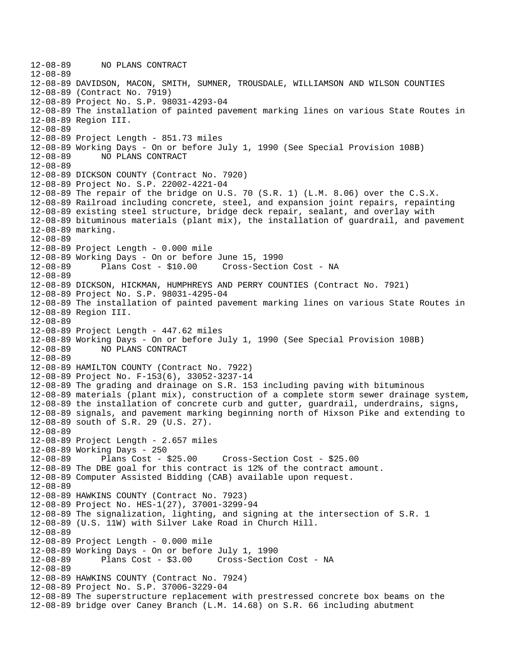```
12-08-89 NO PLANS CONTRACT 
12-08-89 
12-08-89 DAVIDSON, MACON, SMITH, SUMNER, TROUSDALE, WILLIAMSON AND WILSON COUNTIES 
12-08-89 (Contract No. 7919) 
12-08-89 Project No. S.P. 98031-4293-04 
12-08-89 The installation of painted pavement marking lines on various State Routes in 
12-08-89 Region III. 
12-08-89 
12-08-89 Project Length - 851.73 miles 
12-08-89 Working Days - On or before July 1, 1990 (See Special Provision 108B) 
12-08-89 NO PLANS CONTRACT 
12-08-89 
12-08-89 DICKSON COUNTY (Contract No. 7920) 
12-08-89 Project No. S.P. 22002-4221-04 
12-08-89 The repair of the bridge on U.S. 70 (S.R. 1) (L.M. 8.06) over the C.S.X. 
12-08-89 Railroad including concrete, steel, and expansion joint repairs, repainting 
12-08-89 existing steel structure, bridge deck repair, sealant, and overlay with 
12-08-89 bituminous materials (plant mix), the installation of guardrail, and pavement 
12-08-89 marking. 
12-08-89 
12-08-89 Project Length - 0.000 mile 
12-08-89 Working Days - On or before June 15, 1990 
12-08-89 Plans Cost - $10.00 Cross-Section Cost - NA 
12-08-89 
12-08-89 DICKSON, HICKMAN, HUMPHREYS AND PERRY COUNTIES (Contract No. 7921) 
12-08-89 Project No. S.P. 98031-4295-04 
12-08-89 The installation of painted pavement marking lines on various State Routes in 
12-08-89 Region III. 
12-08-89 
12-08-89 Project Length - 447.62 miles 
12-08-89 Working Days - On or before July 1, 1990 (See Special Provision 108B) 
12-08-89 NO PLANS CONTRACT 
12-08-89 
12-08-89 HAMILTON COUNTY (Contract No. 7922) 
12-08-89 Project No. F-153(6), 33052-3237-14 
12-08-89 The grading and drainage on S.R. 153 including paving with bituminous 
12-08-89 materials (plant mix), construction of a complete storm sewer drainage system, 
12-08-89 the installation of concrete curb and gutter, guardrail, underdrains, signs, 
12-08-89 signals, and pavement marking beginning north of Hixson Pike and extending to 
12-08-89 south of S.R. 29 (U.S. 27). 
12-08-89 
12-08-89 Project Length - 2.657 miles 
12-08-89 Working Days - 250 
12-08-89 Plans Cost - $25.00 Cross-Section Cost - $25.00 
12-08-89 The DBE goal for this contract is 12% of the contract amount. 
12-08-89 Computer Assisted Bidding (CAB) available upon request. 
12-08-89 
12-08-89 HAWKINS COUNTY (Contract No. 7923) 
12-08-89 Project No. HES-1(27), 37001-3299-94 
12-08-89 The signalization, lighting, and signing at the intersection of S.R. 1 
12-08-89 (U.S. 11W) with Silver Lake Road in Church Hill. 
12-08-89 
12-08-89 Project Length - 0.000 mile 
12-08-89 Working Days - On or before July 1, 1990 
12-08-89 Plans Cost - $3.00 Cross-Section Cost - NA 
12-08-89 
12-08-89 HAWKINS COUNTY (Contract No. 7924) 
12-08-89 Project No. S.P. 37006-3229-04 
12-08-89 The superstructure replacement with prestressed concrete box beams on the 
12-08-89 bridge over Caney Branch (L.M. 14.68) on S.R. 66 including abutment
```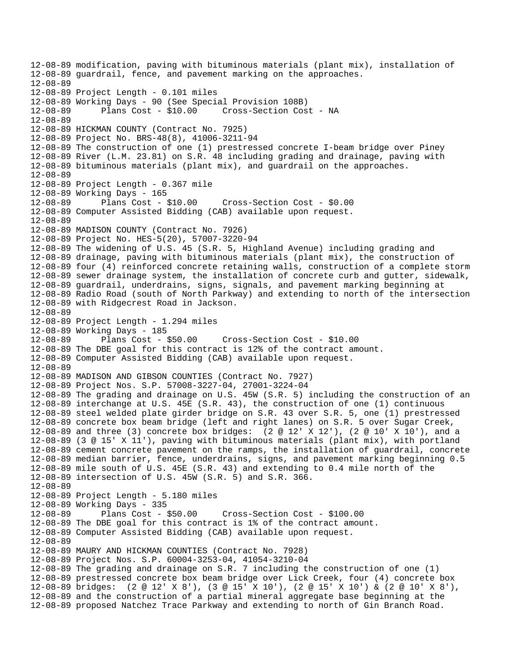12-08-89 modification, paving with bituminous materials (plant mix), installation of 12-08-89 guardrail, fence, and pavement marking on the approaches. 12-08-89 12-08-89 Project Length - 0.101 miles 12-08-89 Working Days - 90 (See Special Provision 108B) 12-08-89 Plans Cost - \$10.00 Cross-Section Cost - NA 12-08-89 12-08-89 HICKMAN COUNTY (Contract No. 7925) 12-08-89 Project No. BRS-48(8), 41006-3211-94 12-08-89 The construction of one (1) prestressed concrete I-beam bridge over Piney 12-08-89 River (L.M. 23.81) on S.R. 48 including grading and drainage, paving with 12-08-89 bituminous materials (plant mix), and guardrail on the approaches. 12-08-89 12-08-89 Project Length - 0.367 mile 12-08-89 Working Days - 165 12-08-89 Plans Cost - \$10.00 Cross-Section Cost - \$0.00 12-08-89 Computer Assisted Bidding (CAB) available upon request. 12-08-89 12-08-89 MADISON COUNTY (Contract No. 7926) 12-08-89 Project No. HES-5(20), 57007-3220-94 12-08-89 The widening of U.S. 45 (S.R. 5, Highland Avenue) including grading and 12-08-89 drainage, paving with bituminous materials (plant mix), the construction of 12-08-89 four (4) reinforced concrete retaining walls, construction of a complete storm 12-08-89 sewer drainage system, the installation of concrete curb and gutter, sidewalk, 12-08-89 guardrail, underdrains, signs, signals, and pavement marking beginning at 12-08-89 Radio Road (south of North Parkway) and extending to north of the intersection 12-08-89 with Ridgecrest Road in Jackson. 12-08-89 12-08-89 Project Length - 1.294 miles 12-08-89 Working Days - 185 12-08-89 Plans Cost - \$50.00 Cross-Section Cost - \$10.00 12-08-89 The DBE goal for this contract is 12% of the contract amount. 12-08-89 Computer Assisted Bidding (CAB) available upon request. 12-08-89 12-08-89 MADISON AND GIBSON COUNTIES (Contract No. 7927) 12-08-89 Project Nos. S.P. 57008-3227-04, 27001-3224-04 12-08-89 The grading and drainage on U.S. 45W (S.R. 5) including the construction of an 12-08-89 interchange at U.S. 45E (S.R. 43), the construction of one (1) continuous 12-08-89 steel welded plate girder bridge on S.R. 43 over S.R. 5, one (1) prestressed 12-08-89 concrete box beam bridge (left and right lanes) on S.R. 5 over Sugar Creek, 12-08-89 and three (3) concrete box bridges: (2 @ 12' X 12'), (2 @ 10' X 10'), and a 12-08-89 (3 @ 15' X 11'), paving with bituminous materials (plant mix), with portland 12-08-89 cement concrete pavement on the ramps, the installation of guardrail, concrete 12-08-89 median barrier, fence, underdrains, signs, and pavement marking beginning 0.5 12-08-89 mile south of U.S. 45E (S.R. 43) and extending to 0.4 mile north of the 12-08-89 intersection of U.S. 45W (S.R. 5) and S.R. 366. 12-08-89 12-08-89 Project Length - 5.180 miles 12-08-89 Working Days - 335 12-08-89 Plans Cost - \$50.00 Cross-Section Cost - \$100.00 12-08-89 The DBE goal for this contract is 1% of the contract amount. 12-08-89 Computer Assisted Bidding (CAB) available upon request. 12-08-89 12-08-89 MAURY AND HICKMAN COUNTIES (Contract No. 7928) 12-08-89 Project Nos. S.P. 60004-3253-04, 41054-3210-04 12-08-89 The grading and drainage on S.R. 7 including the construction of one (1) 12-08-89 prestressed concrete box beam bridge over Lick Creek, four (4) concrete box 12-08-89 bridges: (2 @ 12' X 8'), (3 @ 15' X 10'), (2 @ 15' X 10') & (2 @ 10' X 8'), 12-08-89 and the construction of a partial mineral aggregate base beginning at the 12-08-89 proposed Natchez Trace Parkway and extending to north of Gin Branch Road.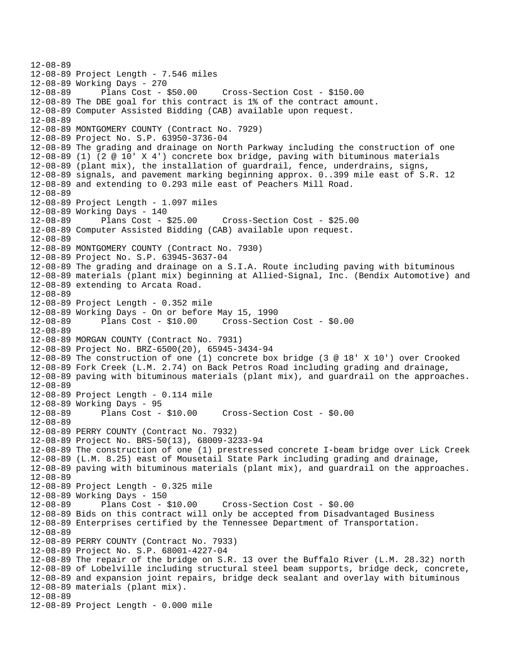12-08-89 12-08-89 Project Length - 7.546 miles 12-08-89 Working Days - 270 12-08-89 Plans Cost - \$50.00 Cross-Section Cost - \$150.00 12-08-89 The DBE goal for this contract is 1% of the contract amount. 12-08-89 Computer Assisted Bidding (CAB) available upon request. 12-08-89 12-08-89 MONTGOMERY COUNTY (Contract No. 7929) 12-08-89 Project No. S.P. 63950-3736-04 12-08-89 The grading and drainage on North Parkway including the construction of one 12-08-89 (1) (2 @ 10' X 4') concrete box bridge, paving with bituminous materials 12-08-89 (plant mix), the installation of guardrail, fence, underdrains, signs, 12-08-89 signals, and pavement marking beginning approx. 0..399 mile east of S.R. 12 12-08-89 and extending to 0.293 mile east of Peachers Mill Road. 12-08-89 12-08-89 Project Length - 1.097 miles 12-08-89 Working Days - 140 12-08-89 Plans Cost - \$25.00 Cross-Section Cost - \$25.00 12-08-89 Computer Assisted Bidding (CAB) available upon request. 12-08-89 12-08-89 MONTGOMERY COUNTY (Contract No. 7930) 12-08-89 Project No. S.P. 63945-3637-04 12-08-89 The grading and drainage on a S.I.A. Route including paving with bituminous 12-08-89 materials (plant mix) beginning at Allied-Signal, Inc. (Bendix Automotive) and 12-08-89 extending to Arcata Road. 12-08-89 12-08-89 Project Length - 0.352 mile 12-08-89 Working Days - On or before May 15, 1990 12-08-89 Plans Cost - \$10.00 Cross-Section Cost - \$0.00 12-08-89 12-08-89 MORGAN COUNTY (Contract No. 7931) 12-08-89 Project No. BRZ-6500(20), 65945-3434-94 12-08-89 The construction of one (1) concrete box bridge (3 @ 18' X 10') over Crooked 12-08-89 Fork Creek (L.M. 2.74) on Back Petros Road including grading and drainage, 12-08-89 paving with bituminous materials (plant mix), and guardrail on the approaches. 12-08-89 12-08-89 Project Length - 0.114 mile 12-08-89 Working Days - 95 12-08-89 Plans Cost - \$10.00 Cross-Section Cost - \$0.00 12-08-89 12-08-89 PERRY COUNTY (Contract No. 7932) 12-08-89 Project No. BRS-50(13), 68009-3233-94 12-08-89 The construction of one (1) prestressed concrete I-beam bridge over Lick Creek 12-08-89 (L.M. 8.25) east of Mousetail State Park including grading and drainage, 12-08-89 paving with bituminous materials (plant mix), and guardrail on the approaches. 12-08-89 12-08-89 Project Length - 0.325 mile 12-08-89 Working Days - 150 12-08-89 Plans Cost - \$10.00 Cross-Section Cost - \$0.00 12-08-89 Bids on this contract will only be accepted from Disadvantaged Business 12-08-89 Enterprises certified by the Tennessee Department of Transportation. 12-08-89 12-08-89 PERRY COUNTY (Contract No. 7933) 12-08-89 Project No. S.P. 68001-4227-04 12-08-89 The repair of the bridge on S.R. 13 over the Buffalo River (L.M. 28.32) north 12-08-89 of Lobelville including structural steel beam supports, bridge deck, concrete, 12-08-89 and expansion joint repairs, bridge deck sealant and overlay with bituminous 12-08-89 materials (plant mix). 12-08-89 12-08-89 Project Length - 0.000 mile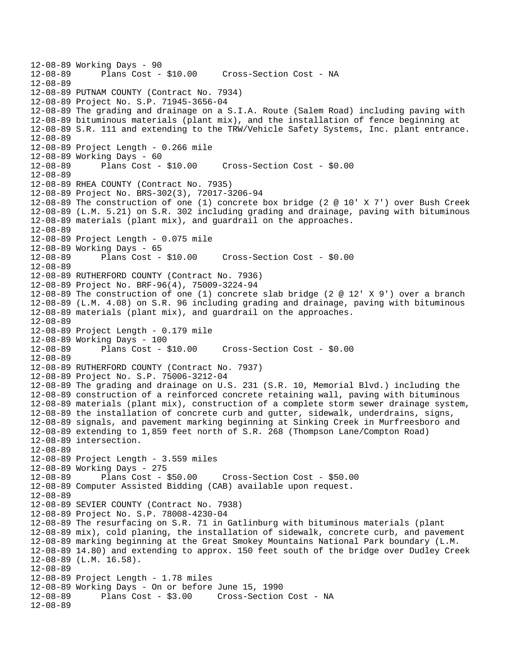```
12-08-89 Working Days - 90 
              Plans Cost - $10.00 Cross-Section Cost - NA
12-08-89 
12-08-89 PUTNAM COUNTY (Contract No. 7934) 
12-08-89 Project No. S.P. 71945-3656-04 
12-08-89 The grading and drainage on a S.I.A. Route (Salem Road) including paving with 
12-08-89 bituminous materials (plant mix), and the installation of fence beginning at 
12-08-89 S.R. 111 and extending to the TRW/Vehicle Safety Systems, Inc. plant entrance. 
12-08-89 
12-08-89 Project Length - 0.266 mile 
12-08-89 Working Days - 60 
12-08-89 Plans Cost - $10.00 Cross-Section Cost - $0.00 
12-08-89 
12-08-89 RHEA COUNTY (Contract No. 7935) 
12-08-89 Project No. BRS-302(3), 72017-3206-94 
12-08-89 The construction of one (1) concrete box bridge (2 @ 10' X 7') over Bush Creek 
12-08-89 (L.M. 5.21) on S.R. 302 including grading and drainage, paving with bituminous 
12-08-89 materials (plant mix), and guardrail on the approaches. 
12-08-89 
12-08-89 Project Length - 0.075 mile 
12-08-89 Working Days - 65 
12-08-89 Plans Cost - $10.00 Cross-Section Cost - $0.00 
12-08-89 
12-08-89 RUTHERFORD COUNTY (Contract No. 7936) 
12-08-89 Project No. BRF-96(4), 75009-3224-94 
12-08-89 The construction of one (1) concrete slab bridge (2 @ 12' X 9') over a branch 
12-08-89 (L.M. 4.08) on S.R. 96 including grading and drainage, paving with bituminous 
12-08-89 materials (plant mix), and guardrail on the approaches. 
12-08-89 
12-08-89 Project Length - 0.179 mile 
12-08-89 Working Days - 100 
12-08-89 Plans Cost - $10.00 Cross-Section Cost - $0.00 
12-08-89 
12-08-89 RUTHERFORD COUNTY (Contract No. 7937) 
12-08-89 Project No. S.P. 75006-3212-04 
12-08-89 The grading and drainage on U.S. 231 (S.R. 10, Memorial Blvd.) including the 
12-08-89 construction of a reinforced concrete retaining wall, paving with bituminous 
12-08-89 materials (plant mix), construction of a complete storm sewer drainage system, 
12-08-89 the installation of concrete curb and gutter, sidewalk, underdrains, signs, 
12-08-89 signals, and pavement marking beginning at Sinking Creek in Murfreesboro and 
12-08-89 extending to 1,859 feet north of S.R. 268 (Thompson Lane/Compton Road) 
12-08-89 intersection. 
12-08-89 
12-08-89 Project Length - 3.559 miles 
12-08-89 Working Days - 275 
12-08-89 Plans Cost - $50.00 Cross-Section Cost - $50.00 
12-08-89 Computer Assisted Bidding (CAB) available upon request. 
12-08-89 
12-08-89 SEVIER COUNTY (Contract No. 7938) 
12-08-89 Project No. S.P. 78008-4230-04 
12-08-89 The resurfacing on S.R. 71 in Gatlinburg with bituminous materials (plant 
12-08-89 mix), cold planing, the installation of sidewalk, concrete curb, and pavement 
12-08-89 marking beginning at the Great Smokey Mountains National Park boundary (L.M. 
12-08-89 14.80) and extending to approx. 150 feet south of the bridge over Dudley Creek 
12-08-89 (L.M. 16.58). 
12-08-89 
12-08-89 Project Length - 1.78 miles 
12-08-89 Working Days - On or before June 15, 1990 
                                 Cross-Section Cost - NA
12-08-89
```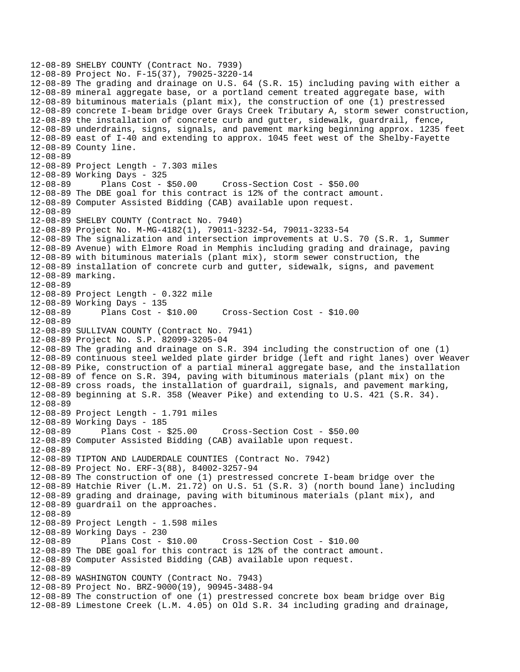```
12-08-89 SHELBY COUNTY (Contract No. 7939) 
12-08-89 Project No. F-15(37), 79025-3220-14 
12-08-89 The grading and drainage on U.S. 64 (S.R. 15) including paving with either a 
12-08-89 mineral aggregate base, or a portland cement treated aggregate base, with 
12-08-89 bituminous materials (plant mix), the construction of one (1) prestressed 
12-08-89 concrete I-beam bridge over Grays Creek Tributary A, storm sewer construction, 
12-08-89 the installation of concrete curb and gutter, sidewalk, guardrail, fence, 
12-08-89 underdrains, signs, signals, and pavement marking beginning approx. 1235 feet 
12-08-89 east of I-40 and extending to approx. 1045 feet west of the Shelby-Fayette 
12-08-89 County line. 
12-08-89 
12-08-89 Project Length - 7.303 miles 
12-08-89 Working Days - 325 
12-08-89 Plans Cost - $50.00 Cross-Section Cost - $50.00 
12-08-89 The DBE goal for this contract is 12% of the contract amount. 
12-08-89 Computer Assisted Bidding (CAB) available upon request. 
12-08-89 
12-08-89 SHELBY COUNTY (Contract No. 7940) 
12-08-89 Project No. M-MG-4182(1), 79011-3232-54, 79011-3233-54 
12-08-89 The signalization and intersection improvements at U.S. 70 (S.R. 1, Summer 
12-08-89 Avenue) with Elmore Road in Memphis including grading and drainage, paving 
12-08-89 with bituminous materials (plant mix), storm sewer construction, the 
12-08-89 installation of concrete curb and gutter, sidewalk, signs, and pavement 
12-08-89 marking. 
12-08-89 
12-08-89 Project Length - 0.322 mile 
12-08-89 Working Days - 135 
                                      12-08-89 Plans Cost - $10.00 Cross-Section Cost - $10.00 
12-08-89 
12-08-89 SULLIVAN COUNTY (Contract No. 7941) 
12-08-89 Project No. S.P. 82099-3205-04 
12-08-89 The grading and drainage on S.R. 394 including the construction of one (1) 
12-08-89 continuous steel welded plate girder bridge (left and right lanes) over Weaver 
12-08-89 Pike, construction of a partial mineral aggregate base, and the installation 
12-08-89 of fence on S.R. 394, paving with bituminous materials (plant mix) on the 
12-08-89 cross roads, the installation of guardrail, signals, and pavement marking, 
12-08-89 beginning at S.R. 358 (Weaver Pike) and extending to U.S. 421 (S.R. 34). 
12-08-89 
12-08-89 Project Length - 1.791 miles 
12-08-89 Working Days - 185 
12-08-89 Plans Cost - $25.00 Cross-Section Cost - $50.00 
12-08-89 Computer Assisted Bidding (CAB) available upon request. 
12-08-89 
12-08-89 TIPTON AND LAUDERDALE COUNTIES (Contract No. 7942) 
12-08-89 Project No. ERF-3(88), 84002-3257-94 
12-08-89 The construction of one (1) prestressed concrete I-beam bridge over the 
12-08-89 Hatchie River (L.M. 21.72) on U.S. 51 (S.R. 3) (north bound lane) including 
12-08-89 grading and drainage, paving with bituminous materials (plant mix), and 
12-08-89 guardrail on the approaches. 
12-08-89 
12-08-89 Project Length - 1.598 miles 
12-08-89 Working Days - 230 
12-08-89 Plans Cost - $10.00 Cross-Section Cost - $10.00 
12-08-89 The DBE goal for this contract is 12% of the contract amount. 
12-08-89 Computer Assisted Bidding (CAB) available upon request. 
12-08-89 
12-08-89 WASHINGTON COUNTY (Contract No. 7943) 
12-08-89 Project No. BRZ-9000(19), 90945-3488-94 
12-08-89 The construction of one (1) prestressed concrete box beam bridge over Big 
12-08-89 Limestone Creek (L.M. 4.05) on Old S.R. 34 including grading and drainage,
```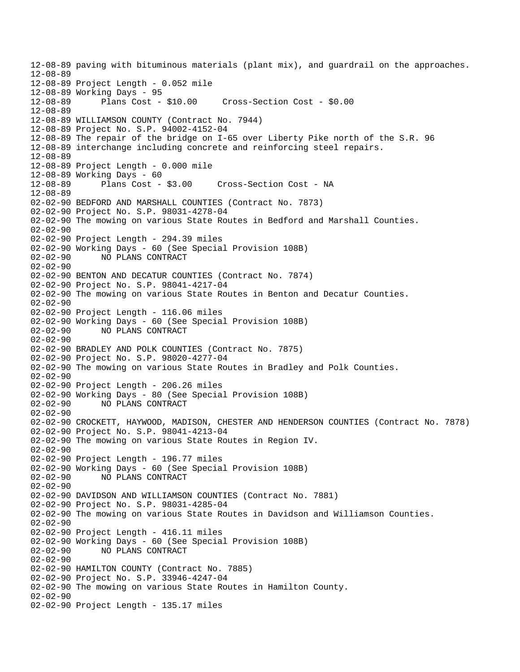12-08-89 paving with bituminous materials (plant mix), and guardrail on the approaches. 12-08-89 12-08-89 Project Length - 0.052 mile 12-08-89 Working Days - 95 12-08-89 Plans Cost - \$10.00 Cross-Section Cost - \$0.00 12-08-89 12-08-89 WILLIAMSON COUNTY (Contract No. 7944) 12-08-89 Project No. S.P. 94002-4152-04 12-08-89 The repair of the bridge on I-65 over Liberty Pike north of the S.R. 96 12-08-89 interchange including concrete and reinforcing steel repairs. 12-08-89 12-08-89 Project Length - 0.000 mile 12-08-89 Working Days - 60 Cross-Section Cost - NA 12-08-89 02-02-90 BEDFORD AND MARSHALL COUNTIES (Contract No. 7873) 02-02-90 Project No. S.P. 98031-4278-04 02-02-90 The mowing on various State Routes in Bedford and Marshall Counties. 02-02-90 02-02-90 Project Length - 294.39 miles 02-02-90 Working Days - 60 (See Special Provision 108B) 02-02-90 NO PLANS CONTRACT 02-02-90 02-02-90 BENTON AND DECATUR COUNTIES (Contract No. 7874) 02-02-90 Project No. S.P. 98041-4217-04 02-02-90 The mowing on various State Routes in Benton and Decatur Counties. 02-02-90 02-02-90 Project Length - 116.06 miles 02-02-90 Working Days - 60 (See Special Provision 108B) 02-02-90 NO PLANS CONTRACT 02-02-90 02-02-90 BRADLEY AND POLK COUNTIES (Contract No. 7875) 02-02-90 Project No. S.P. 98020-4277-04 02-02-90 The mowing on various State Routes in Bradley and Polk Counties. 02-02-90 02-02-90 Project Length - 206.26 miles 02-02-90 Working Days - 80 (See Special Provision 108B) 02-02-90 NO PLANS CONTRACT 02-02-90 02-02-90 CROCKETT, HAYWOOD, MADISON, CHESTER AND HENDERSON COUNTIES (Contract No. 7878) 02-02-90 Project No. S.P. 98041-4213-04 02-02-90 The mowing on various State Routes in Region IV. 02-02-90 02-02-90 Project Length - 196.77 miles 02-02-90 Working Days - 60 (See Special Provision 108B) 02-02-90 NO PLANS CONTRACT 02-02-90 02-02-90 DAVIDSON AND WILLIAMSON COUNTIES (Contract No. 7881) 02-02-90 Project No. S.P. 98031-4285-04 02-02-90 The mowing on various State Routes in Davidson and Williamson Counties. 02-02-90 02-02-90 Project Length - 416.11 miles 02-02-90 Working Days - 60 (See Special Provision 108B) 02-02-90 NO PLANS CONTRACT 02-02-90 02-02-90 HAMILTON COUNTY (Contract No. 7885) 02-02-90 Project No. S.P. 33946-4247-04 02-02-90 The mowing on various State Routes in Hamilton County. 02-02-90 02-02-90 Project Length - 135.17 miles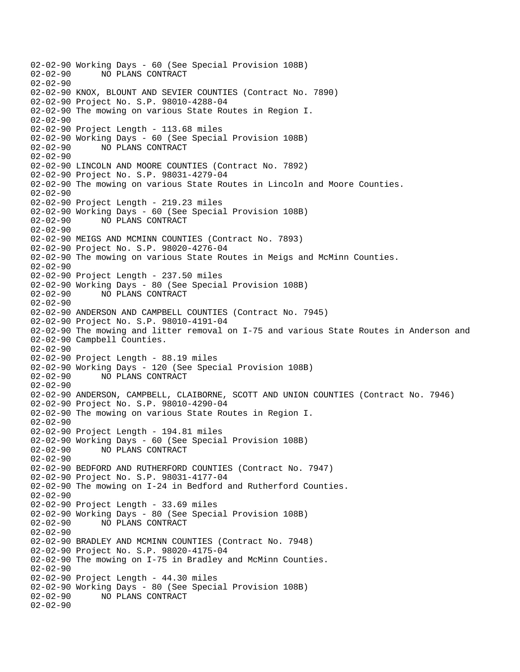02-02-90 Working Days - 60 (See Special Provision 108B) 02-02-90 NO PLANS CONTRACT  $02 - 02 - 90$ 02-02-90 KNOX, BLOUNT AND SEVIER COUNTIES (Contract No. 7890) 02-02-90 Project No. S.P. 98010-4288-04 02-02-90 The mowing on various State Routes in Region I. 02-02-90 02-02-90 Project Length - 113.68 miles 02-02-90 Working Days - 60 (See Special Provision 108B) 02-02-90 NO PLANS CONTRACT 02-02-90 02-02-90 LINCOLN AND MOORE COUNTIES (Contract No. 7892) 02-02-90 Project No. S.P. 98031-4279-04 02-02-90 The mowing on various State Routes in Lincoln and Moore Counties. 02-02-90 02-02-90 Project Length - 219.23 miles 02-02-90 Working Days - 60 (See Special Provision 108B) 02-02-90 NO PLANS CONTRACT 02-02-90 02-02-90 MEIGS AND MCMINN COUNTIES (Contract No. 7893) 02-02-90 Project No. S.P. 98020-4276-04 02-02-90 The mowing on various State Routes in Meigs and McMinn Counties. 02-02-90 02-02-90 Project Length - 237.50 miles 02-02-90 Working Days - 80 (See Special Provision 108B) 02-02-90 NO PLANS CONTRACT 02-02-90 02-02-90 ANDERSON AND CAMPBELL COUNTIES (Contract No. 7945) 02-02-90 Project No. S.P. 98010-4191-04 02-02-90 The mowing and litter removal on I-75 and various State Routes in Anderson and 02-02-90 Campbell Counties. 02-02-90 02-02-90 Project Length - 88.19 miles 02-02-90 Working Days - 120 (See Special Provision 108B)<br>02-02-90 NO PLANS CONTRACT 02-02-90 NO PLANS CONTRACT  $02 - 02 - 90$ 02-02-90 ANDERSON, CAMPBELL, CLAIBORNE, SCOTT AND UNION COUNTIES (Contract No. 7946) 02-02-90 Project No. S.P. 98010-4290-04 02-02-90 The mowing on various State Routes in Region I. 02-02-90 02-02-90 Project Length - 194.81 miles 02-02-90 Working Days - 60 (See Special Provision 108B) 02-02-90 NO PLANS CONTRACT 02-02-90 02-02-90 BEDFORD AND RUTHERFORD COUNTIES (Contract No. 7947) 02-02-90 Project No. S.P. 98031-4177-04 02-02-90 The mowing on I-24 in Bedford and Rutherford Counties. 02-02-90 02-02-90 Project Length - 33.69 miles 02-02-90 Working Days - 80 (See Special Provision 108B) 02-02-90 NO PLANS CONTRACT 02-02-90 02-02-90 BRADLEY AND MCMINN COUNTIES (Contract No. 7948) 02-02-90 Project No. S.P. 98020-4175-04 02-02-90 The mowing on I-75 in Bradley and McMinn Counties. 02-02-90 02-02-90 Project Length - 44.30 miles 02-02-90 Working Days - 80 (See Special Provision 108B) 02-02-90 NO PLANS CONTRACT 02-02-90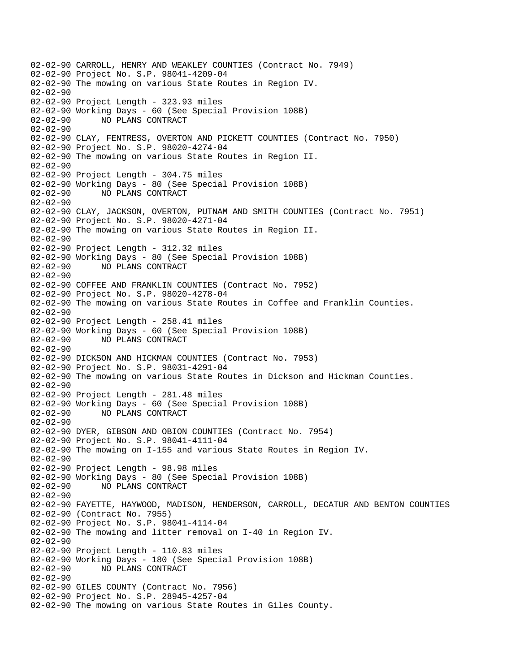02-02-90 CARROLL, HENRY AND WEAKLEY COUNTIES (Contract No. 7949) 02-02-90 Project No. S.P. 98041-4209-04 02-02-90 The mowing on various State Routes in Region IV. 02-02-90 02-02-90 Project Length - 323.93 miles 02-02-90 Working Days - 60 (See Special Provision 108B) 02-02-90 NO PLANS CONTRACT 02-02-90 02-02-90 CLAY, FENTRESS, OVERTON AND PICKETT COUNTIES (Contract No. 7950) 02-02-90 Project No. S.P. 98020-4274-04 02-02-90 The mowing on various State Routes in Region II. 02-02-90 02-02-90 Project Length - 304.75 miles 02-02-90 Working Days - 80 (See Special Provision 108B) 02-02-90 NO PLANS CONTRACT  $02 - 02 - 90$ 02-02-90 CLAY, JACKSON, OVERTON, PUTNAM AND SMITH COUNTIES (Contract No. 7951) 02-02-90 Project No. S.P. 98020-4271-04 02-02-90 The mowing on various State Routes in Region II. 02-02-90 02-02-90 Project Length - 312.32 miles 02-02-90 Working Days - 80 (See Special Provision 108B) 02-02-90 NO PLANS CONTRACT 02-02-90 02-02-90 COFFEE AND FRANKLIN COUNTIES (Contract No. 7952) 02-02-90 Project No. S.P. 98020-4278-04 02-02-90 The mowing on various State Routes in Coffee and Franklin Counties. 02-02-90 02-02-90 Project Length - 258.41 miles 02-02-90 Working Days - 60 (See Special Provision 108B) 02-02-90 NO PLANS CONTRACT 02-02-90 02-02-90 DICKSON AND HICKMAN COUNTIES (Contract No. 7953) 02-02-90 Project No. S.P. 98031-4291-04 02-02-90 The mowing on various State Routes in Dickson and Hickman Counties.  $02 - 02 - 90$ 02-02-90 Project Length - 281.48 miles 02-02-90 Working Days - 60 (See Special Provision 108B) 02-02-90 NO PLANS CONTRACT 02-02-90 02-02-90 DYER, GIBSON AND OBION COUNTIES (Contract No. 7954) 02-02-90 Project No. S.P. 98041-4111-04 02-02-90 The mowing on I-155 and various State Routes in Region IV. 02-02-90 02-02-90 Project Length - 98.98 miles 02-02-90 Working Days - 80 (See Special Provision 108B) 02-02-90 NO PLANS CONTRACT 02-02-90 02-02-90 FAYETTE, HAYWOOD, MADISON, HENDERSON, CARROLL, DECATUR AND BENTON COUNTIES 02-02-90 (Contract No. 7955) 02-02-90 Project No. S.P. 98041-4114-04 02-02-90 The mowing and litter removal on I-40 in Region IV. 02-02-90 02-02-90 Project Length - 110.83 miles 02-02-90 Working Days - 180 (See Special Provision 108B) 02-02-90 NO PLANS CONTRACT 02-02-90 02-02-90 GILES COUNTY (Contract No. 7956) 02-02-90 Project No. S.P. 28945-4257-04 02-02-90 The mowing on various State Routes in Giles County.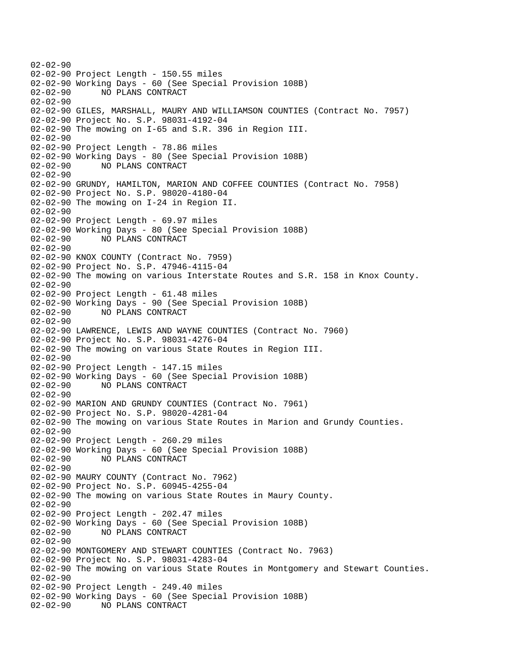02-02-90 02-02-90 Project Length - 150.55 miles 02-02-90 Working Days - 60 (See Special Provision 108B) 02-02-90 NO PLANS CONTRACT 02-02-90 02-02-90 GILES, MARSHALL, MAURY AND WILLIAMSON COUNTIES (Contract No. 7957) 02-02-90 Project No. S.P. 98031-4192-04 02-02-90 The mowing on I-65 and S.R. 396 in Region III. 02-02-90 02-02-90 Project Length - 78.86 miles 02-02-90 Working Days - 80 (See Special Provision 108B) 02-02-90 NO PLANS CONTRACT  $02 - 02 - 90$ 02-02-90 GRUNDY, HAMILTON, MARION AND COFFEE COUNTIES (Contract No. 7958) 02-02-90 Project No. S.P. 98020-4180-04 02-02-90 The mowing on I-24 in Region II. 02-02-90 02-02-90 Project Length - 69.97 miles 02-02-90 Working Days - 80 (See Special Provision 108B) 02-02-90 NO PLANS CONTRACT 02-02-90 02-02-90 KNOX COUNTY (Contract No. 7959) 02-02-90 Project No. S.P. 47946-4115-04 02-02-90 The mowing on various Interstate Routes and S.R. 158 in Knox County. 02-02-90 02-02-90 Project Length - 61.48 miles 02-02-90 Working Days - 90 (See Special Provision 108B) 02-02-90 NO PLANS CONTRACT 02-02-90 02-02-90 LAWRENCE, LEWIS AND WAYNE COUNTIES (Contract No. 7960) 02-02-90 Project No. S.P. 98031-4276-04 02-02-90 The mowing on various State Routes in Region III. 02-02-90 02-02-90 Project Length - 147.15 miles 02-02-90 Working Days - 60 (See Special Provision 108B) 02-02-90 NO PLANS CONTRACT 02-02-90 02-02-90 MARION AND GRUNDY COUNTIES (Contract No. 7961) 02-02-90 Project No. S.P. 98020-4281-04 02-02-90 The mowing on various State Routes in Marion and Grundy Counties. 02-02-90 02-02-90 Project Length - 260.29 miles 02-02-90 Working Days - 60 (See Special Provision 108B) 02-02-90 NO PLANS CONTRACT 02-02-90 02-02-90 MAURY COUNTY (Contract No. 7962) 02-02-90 Project No. S.P. 60945-4255-04 02-02-90 The mowing on various State Routes in Maury County. 02-02-90 02-02-90 Project Length - 202.47 miles 02-02-90 Working Days - 60 (See Special Provision 108B) 02-02-90 NO PLANS CONTRACT 02-02-90 02-02-90 MONTGOMERY AND STEWART COUNTIES (Contract No. 7963) 02-02-90 Project No. S.P. 98031-4283-04 02-02-90 The mowing on various State Routes in Montgomery and Stewart Counties. 02-02-90 02-02-90 Project Length - 249.40 miles 02-02-90 Working Days - 60 (See Special Provision 108B) 02-02-90 NO PLANS CONTRACT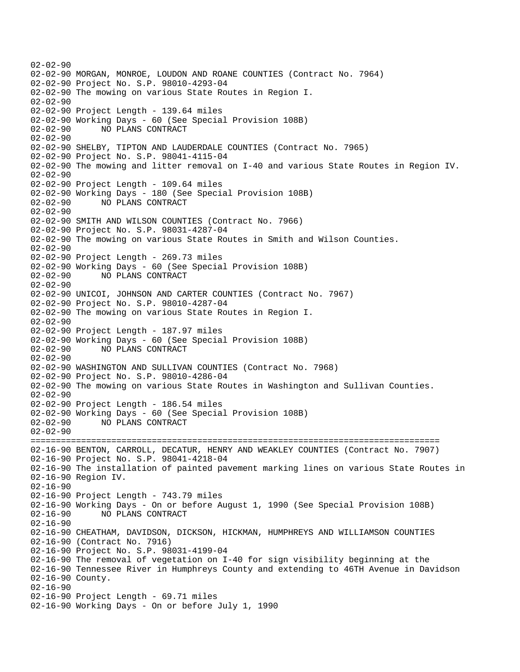02-02-90 02-02-90 MORGAN, MONROE, LOUDON AND ROANE COUNTIES (Contract No. 7964) 02-02-90 Project No. S.P. 98010-4293-04 02-02-90 The mowing on various State Routes in Region I. 02-02-90 02-02-90 Project Length - 139.64 miles 02-02-90 Working Days - 60 (See Special Provision 108B) 02-02-90 NO PLANS CONTRACT 02-02-90 02-02-90 SHELBY, TIPTON AND LAUDERDALE COUNTIES (Contract No. 7965) 02-02-90 Project No. S.P. 98041-4115-04 02-02-90 The mowing and litter removal on I-40 and various State Routes in Region IV.  $02 - 02 - 90$ 02-02-90 Project Length - 109.64 miles 02-02-90 Working Days - 180 (See Special Provision 108B) 02-02-90 NO PLANS CONTRACT 02-02-90 02-02-90 SMITH AND WILSON COUNTIES (Contract No. 7966) 02-02-90 Project No. S.P. 98031-4287-04 02-02-90 The mowing on various State Routes in Smith and Wilson Counties. 02-02-90 02-02-90 Project Length - 269.73 miles 02-02-90 Working Days - 60 (See Special Provision 108B) 02-02-90 NO PLANS CONTRACT 02-02-90 02-02-90 UNICOI, JOHNSON AND CARTER COUNTIES (Contract No. 7967) 02-02-90 Project No. S.P. 98010-4287-04 02-02-90 The mowing on various State Routes in Region I. 02-02-90 02-02-90 Project Length - 187.97 miles 02-02-90 Working Days - 60 (See Special Provision 108B) 02-02-90 NO PLANS CONTRACT 02-02-90 02-02-90 WASHINGTON AND SULLIVAN COUNTIES (Contract No. 7968) 02-02-90 Project No. S.P. 98010-4286-04 02-02-90 The mowing on various State Routes in Washington and Sullivan Counties. 02-02-90 02-02-90 Project Length - 186.54 miles 02-02-90 Working Days - 60 (See Special Provision 108B) 02-02-90 NO PLANS CONTRACT 02-02-90 ================================================================================= 02-16-90 BENTON, CARROLL, DECATUR, HENRY AND WEAKLEY COUNTIES (Contract No. 7907) 02-16-90 Project No. S.P. 98041-4218-04 02-16-90 The installation of painted pavement marking lines on various State Routes in 02-16-90 Region IV. 02-16-90 02-16-90 Project Length - 743.79 miles 02-16-90 Working Days - On or before August 1, 1990 (See Special Provision 108B) 02-16-90 NO PLANS CONTRACT 02-16-90 02-16-90 CHEATHAM, DAVIDSON, DICKSON, HICKMAN, HUMPHREYS AND WILLIAMSON COUNTIES 02-16-90 (Contract No. 7916) 02-16-90 Project No. S.P. 98031-4199-04 02-16-90 The removal of vegetation on I-40 for sign visibility beginning at the 02-16-90 Tennessee River in Humphreys County and extending to 46TH Avenue in Davidson 02-16-90 County. 02-16-90 02-16-90 Project Length - 69.71 miles 02-16-90 Working Days - On or before July 1, 1990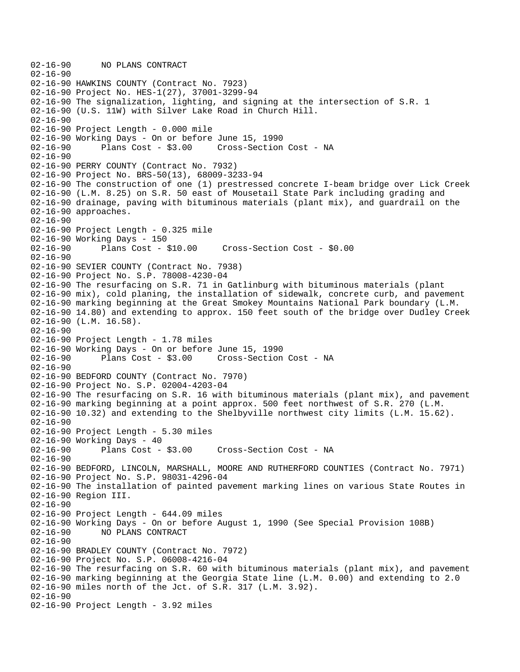```
02-16-90 NO PLANS CONTRACT 
02-16-90 
02-16-90 HAWKINS COUNTY (Contract No. 7923) 
02-16-90 Project No. HES-1(27), 37001-3299-94 
02-16-90 The signalization, lighting, and signing at the intersection of S.R. 1 
02-16-90 (U.S. 11W) with Silver Lake Road in Church Hill. 
02-16-90 
02-16-90 Project Length - 0.000 mile 
02-16-90 Working Days - On or before June 15, 1990 
02-16-90 Plans Cost - $3.00 Cross-Section Cost - NA 
02-16-90 
02-16-90 PERRY COUNTY (Contract No. 7932) 
02-16-90 Project No. BRS-50(13), 68009-3233-94 
02-16-90 The construction of one (1) prestressed concrete I-beam bridge over Lick Creek 
02-16-90 (L.M. 8.25) on S.R. 50 east of Mousetail State Park including grading and 
02-16-90 drainage, paving with bituminous materials (plant mix), and guardrail on the 
02-16-90 approaches. 
02-16-90 
02-16-90 Project Length - 0.325 mile 
02-16-90 Working Days - 150 
02-16-90 Plans Cost - $10.00 Cross-Section Cost - $0.00 
02-16-90 
02-16-90 SEVIER COUNTY (Contract No. 7938) 
02-16-90 Project No. S.P. 78008-4230-04 
02-16-90 The resurfacing on S.R. 71 in Gatlinburg with bituminous materials (plant 
02-16-90 mix), cold planing, the installation of sidewalk, concrete curb, and pavement 
02-16-90 marking beginning at the Great Smokey Mountains National Park boundary (L.M. 
02-16-90 14.80) and extending to approx. 150 feet south of the bridge over Dudley Creek 
02-16-90 (L.M. 16.58). 
02-16-90 
02-16-90 Project Length - 1.78 miles 
02-16-90 Working Days - On or before June 15, 1990 
                                     Cross-Section Cost - NA
02-16-90 
02-16-90 BEDFORD COUNTY (Contract No. 7970) 
02-16-90 Project No. S.P. 02004-4203-04 
02-16-90 The resurfacing on S.R. 16 with bituminous materials (plant mix), and pavement 
02-16-90 marking beginning at a point approx. 500 feet northwest of S.R. 270 (L.M. 
02-16-90 10.32) and extending to the Shelbyville northwest city limits (L.M. 15.62). 
02-16-90 
02-16-90 Project Length - 5.30 miles 
02-16-90 Working Days - 40 
02-16-90 Plans Cost - $3.00 Cross-Section Cost - NA 
02-16-90 
02-16-90 BEDFORD, LINCOLN, MARSHALL, MOORE AND RUTHERFORD COUNTIES (Contract No. 7971) 
02-16-90 Project No. S.P. 98031-4296-04 
02-16-90 The installation of painted pavement marking lines on various State Routes in 
02-16-90 Region III. 
02-16-90 
02-16-90 Project Length - 644.09 miles 
02-16-90 Working Days - On or before August 1, 1990 (See Special Provision 108B) 
02-16-90 NO PLANS CONTRACT 
02-16-90 
02-16-90 BRADLEY COUNTY (Contract No. 7972) 
02-16-90 Project No. S.P. 06008-4216-04 
02-16-90 The resurfacing on S.R. 60 with bituminous materials (plant mix), and pavement 
02-16-90 marking beginning at the Georgia State line (L.M. 0.00) and extending to 2.0 
02-16-90 miles north of the Jct. of S.R. 317 (L.M. 3.92). 
02-16-90 
02-16-90 Project Length - 3.92 miles
```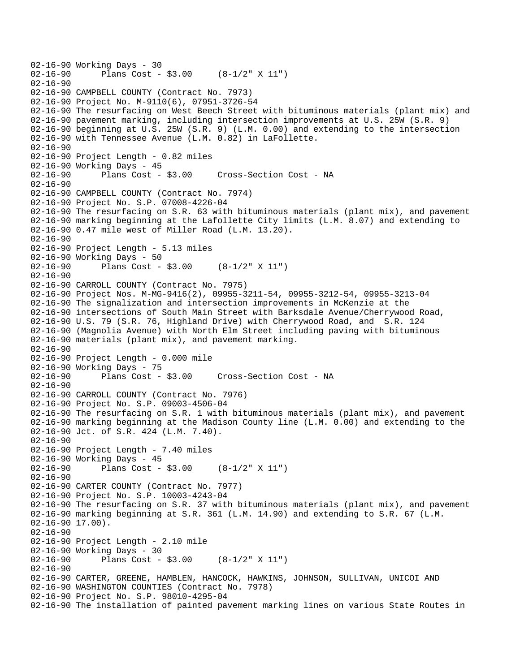```
02-16-90 Working Days - 30<br>02-16-90 Plans Cost -
              Plans Cost - $3.00 (8-1/2" X 11")
02 - 16 - 9002-16-90 CAMPBELL COUNTY (Contract No. 7973) 
02-16-90 Project No. M-9110(6), 07951-3726-54 
02-16-90 The resurfacing on West Beech Street with bituminous materials (plant mix) and 
02-16-90 pavement marking, including intersection improvements at U.S. 25W (S.R. 9) 
02-16-90 beginning at U.S. 25W (S.R. 9) (L.M. 0.00) and extending to the intersection 
02-16-90 with Tennessee Avenue (L.M. 0.82) in LaFollette. 
02-16-90 
02-16-90 Project Length - 0.82 miles 
02-16-90 Working Days - 45 
02-16-90 Plans Cost - $3.00 Cross-Section Cost - NA 
02-16-90 
02-16-90 CAMPBELL COUNTY (Contract No. 7974) 
02-16-90 Project No. S.P. 07008-4226-04 
02-16-90 The resurfacing on S.R. 63 with bituminous materials (plant mix), and pavement 
02-16-90 marking beginning at the Lafollette City limits (L.M. 8.07) and extending to 
02-16-90 0.47 mile west of Miller Road (L.M. 13.20). 
02-16-90 
02-16-90 Project Length - 5.13 miles 
02-16-90 Working Days - 50 
02-16-90 Plans Cost - $3.00 (8-1/2" X 11") 
02-16-90 
02-16-90 CARROLL COUNTY (Contract No. 7975) 
02-16-90 Project Nos. M-MG-9416(2), 09955-3211-54, 09955-3212-54, 09955-3213-04 
02-16-90 The signalization and intersection improvements in McKenzie at the 
02-16-90 intersections of South Main Street with Barksdale Avenue/Cherrywood Road, 
02-16-90 U.S. 79 (S.R. 76, Highland Drive) with Cherrywood Road, and S.R. 124 
02-16-90 (Magnolia Avenue) with North Elm Street including paving with bituminous 
02-16-90 materials (plant mix), and pavement marking. 
02-16-90 
02-16-90 Project Length - 0.000 mile 
02-16-90 Working Days - 75<br>02-16-90 Plans Cost -
              Plans Cost - $3.00 Cross-Section Cost - NA
02 - 16 - 9002-16-90 CARROLL COUNTY (Contract No. 7976) 
02-16-90 Project No. S.P. 09003-4506-04 
02-16-90 The resurfacing on S.R. 1 with bituminous materials (plant mix), and pavement 
02-16-90 marking beginning at the Madison County line (L.M. 0.00) and extending to the 
02-16-90 Jct. of S.R. 424 (L.M. 7.40). 
02-16-90 
02-16-90 Project Length - 7.40 miles 
02-16-90 Working Days - 45 
02-16-90 Plans Cost - $3.00 (8-1/2" X 11") 
02-16-90 
02-16-90 CARTER COUNTY (Contract No. 7977) 
02-16-90 Project No. S.P. 10003-4243-04 
02-16-90 The resurfacing on S.R. 37 with bituminous materials (plant mix), and pavement 
02-16-90 marking beginning at S.R. 361 (L.M. 14.90) and extending to S.R. 67 (L.M. 
02-16-90 17.00).
02-16-90 
02-16-90 Project Length - 2.10 mile 
02-16-90 Working Days - 30<br>02-16-90 Plans Cost -
              Plans Cost - $3.00 (8-1/2" X 11")
02-16-90 
02-16-90 CARTER, GREENE, HAMBLEN, HANCOCK, HAWKINS, JOHNSON, SULLIVAN, UNICOI AND 
02-16-90 WASHINGTON COUNTIES (Contract No. 7978) 
02-16-90 Project No. S.P. 98010-4295-04 
02-16-90 The installation of painted pavement marking lines on various State Routes in
```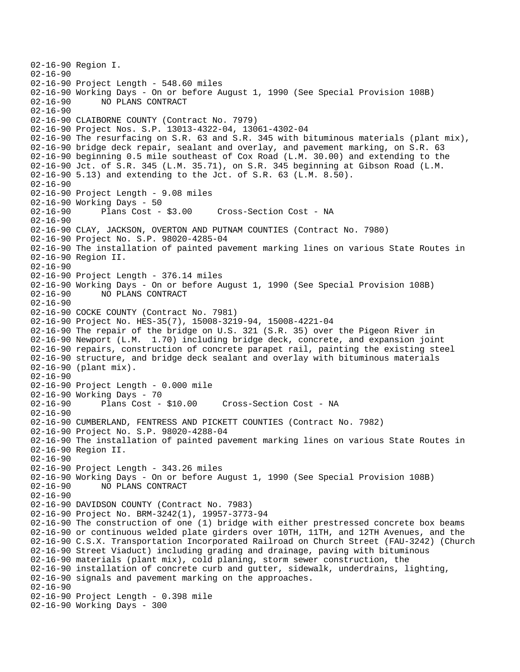02-16-90 Region I. 02-16-90 02-16-90 Project Length - 548.60 miles 02-16-90 Working Days - On or before August 1, 1990 (See Special Provision 108B) 02-16-90 NO PLANS CONTRACT 02-16-90 02-16-90 CLAIBORNE COUNTY (Contract No. 7979) 02-16-90 Project Nos. S.P. 13013-4322-04, 13061-4302-04 02-16-90 The resurfacing on S.R. 63 and S.R. 345 with bituminous materials (plant mix), 02-16-90 bridge deck repair, sealant and overlay, and pavement marking, on S.R. 63 02-16-90 beginning 0.5 mile southeast of Cox Road (L.M. 30.00) and extending to the 02-16-90 Jct. of S.R. 345 (L.M. 35.71), on S.R. 345 beginning at Gibson Road (L.M. 02-16-90 5.13) and extending to the Jct. of S.R. 63 (L.M. 8.50). 02-16-90 02-16-90 Project Length - 9.08 miles 02-16-90 Working Days - 50 02-16-90 Plans Cost - \$3.00 Cross-Section Cost - NA 02-16-90 02-16-90 CLAY, JACKSON, OVERTON AND PUTNAM COUNTIES (Contract No. 7980) 02-16-90 Project No. S.P. 98020-4285-04 02-16-90 The installation of painted pavement marking lines on various State Routes in 02-16-90 Region II. 02-16-90 02-16-90 Project Length - 376.14 miles 02-16-90 Working Days - On or before August 1, 1990 (See Special Provision 108B) 02-16-90 NO PLANS CONTRACT 02-16-90 02-16-90 COCKE COUNTY (Contract No. 7981) 02-16-90 Project No. HES-35(7), 15008-3219-94, 15008-4221-04 02-16-90 The repair of the bridge on U.S. 321 (S.R. 35) over the Pigeon River in 02-16-90 Newport (L.M. 1.70) including bridge deck, concrete, and expansion joint 02-16-90 repairs, construction of concrete parapet rail, painting the existing steel 02-16-90 structure, and bridge deck sealant and overlay with bituminous materials 02-16-90 (plant mix). 02-16-90 02-16-90 Project Length - 0.000 mile 02-16-90 Working Days - 70<br>02-16-90 Plans Cost - \$10.00 02-16-90 Plans Cost - \$10.00 Cross-Section Cost - NA 02-16-90 02-16-90 CUMBERLAND, FENTRESS AND PICKETT COUNTIES (Contract No. 7982) 02-16-90 Project No. S.P. 98020-4288-04 02-16-90 The installation of painted pavement marking lines on various State Routes in 02-16-90 Region II. 02-16-90 02-16-90 Project Length - 343.26 miles 02-16-90 Working Days - On or before August 1, 1990 (See Special Provision 108B) 02-16-90 NO PLANS CONTRACT 02-16-90 02-16-90 DAVIDSON COUNTY (Contract No. 7983) 02-16-90 Project No. BRM-3242(1), 19957-3773-94 02-16-90 The construction of one (1) bridge with either prestressed concrete box beams 02-16-90 or continuous welded plate girders over 10TH, 11TH, and 12TH Avenues, and the 02-16-90 C.S.X. Transportation Incorporated Railroad on Church Street (FAU-3242) (Church 02-16-90 Street Viaduct) including grading and drainage, paving with bituminous 02-16-90 materials (plant mix), cold planing, storm sewer construction, the 02-16-90 installation of concrete curb and gutter, sidewalk, underdrains, lighting, 02-16-90 signals and pavement marking on the approaches. 02-16-90 02-16-90 Project Length - 0.398 mile 02-16-90 Working Days - 300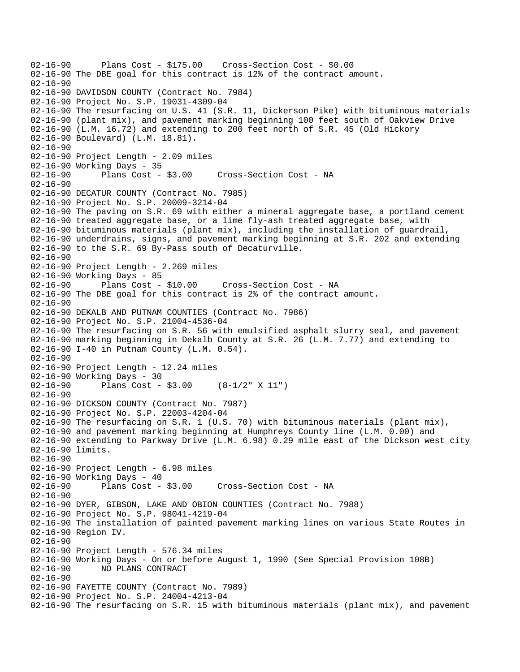02-16-90 Plans Cost - \$175.00 Cross-Section Cost - \$0.00 02-16-90 The DBE goal for this contract is 12% of the contract amount.  $02 - 16 - 90$ 02-16-90 DAVIDSON COUNTY (Contract No. 7984) 02-16-90 Project No. S.P. 19031-4309-04 02-16-90 The resurfacing on U.S. 41 (S.R. 11, Dickerson Pike) with bituminous materials 02-16-90 (plant mix), and pavement marking beginning 100 feet south of Oakview Drive 02-16-90 (L.M. 16.72) and extending to 200 feet north of S.R. 45 (Old Hickory 02-16-90 Boulevard) (L.M. 18.81). 02-16-90 02-16-90 Project Length - 2.09 miles 02-16-90 Working Days - 35<br>02-16-90 Plans Cost - \$3.00 02-16-90 Plans Cost - \$3.00 Cross-Section Cost - NA 02-16-90 02-16-90 DECATUR COUNTY (Contract No. 7985) 02-16-90 Project No. S.P. 20009-3214-04 02-16-90 The paving on S.R. 69 with either a mineral aggregate base, a portland cement 02-16-90 treated aggregate base, or a lime fly-ash treated aggregate base, with 02-16-90 bituminous materials (plant mix), including the installation of guardrail, 02-16-90 underdrains, signs, and pavement marking beginning at S.R. 202 and extending 02-16-90 to the S.R. 69 By-Pass south of Decaturville. 02-16-90 02-16-90 Project Length - 2.269 miles 02-16-90 Working Days - 85<br>02-16-90 Plans Cost - \$10.00 Cross-Section Cost - NA 02-16-90 The DBE goal for this contract is 2% of the contract amount. 02-16-90 02-16-90 DEKALB AND PUTNAM COUNTIES (Contract No. 7986) 02-16-90 Project No. S.P. 21004-4536-04 02-16-90 The resurfacing on S.R. 56 with emulsified asphalt slurry seal, and pavement 02-16-90 marking beginning in Dekalb County at S.R. 26 (L.M. 7.77) and extending to 02-16-90 I-40 in Putnam County (L.M. 0.54). 02-16-90 02-16-90 Project Length - 12.24 miles 02-16-90 Working Days - 30 02-16-90 Plans Cost - \$3.00 (8-1/2" X 11") 02-16-90 02-16-90 DICKSON COUNTY (Contract No. 7987) 02-16-90 Project No. S.P. 22003-4204-04 02-16-90 The resurfacing on S.R. 1 (U.S. 70) with bituminous materials (plant mix), 02-16-90 and pavement marking beginning at Humphreys County line (L.M. 0.00) and 02-16-90 extending to Parkway Drive (L.M. 6.98) 0.29 mile east of the Dickson west city 02-16-90 limits. 02-16-90 02-16-90 Project Length - 6.98 miles 02-16-90 Working Days - 40 02-16-90 Plans Cost - \$3.00 Cross-Section Cost - NA 02-16-90 02-16-90 DYER, GIBSON, LAKE AND OBION COUNTIES (Contract No. 7988) 02-16-90 Project No. S.P. 98041-4219-04 02-16-90 The installation of painted pavement marking lines on various State Routes in 02-16-90 Region IV. 02-16-90 02-16-90 Project Length - 576.34 miles 02-16-90 Working Days - On or before August 1, 1990 (See Special Provision 108B) 02-16-90 NO PLANS CONTRACT 02-16-90 02-16-90 FAYETTE COUNTY (Contract No. 7989) 02-16-90 Project No. S.P. 24004-4213-04 02-16-90 The resurfacing on S.R. 15 with bituminous materials (plant mix), and pavement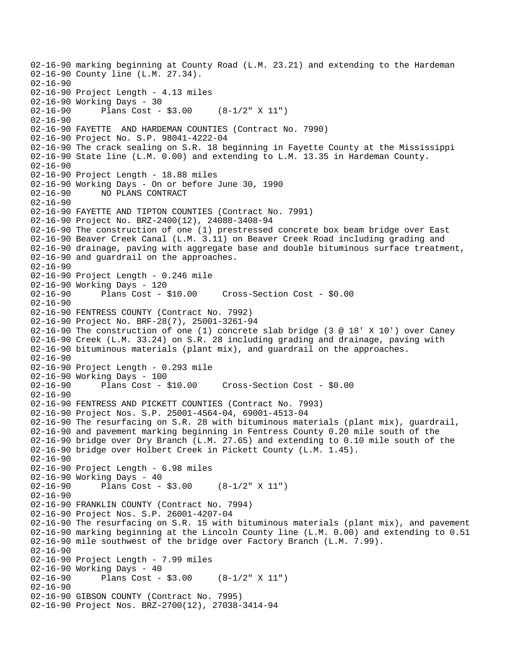02-16-90 marking beginning at County Road (L.M. 23.21) and extending to the Hardeman 02-16-90 County line (L.M. 27.34). 02-16-90 02-16-90 Project Length - 4.13 miles 02-16-90 Working Days - 30 02-16-90 Plans Cost - \$3.00 (8-1/2" X 11") 02-16-90 02-16-90 FAYETTE AND HARDEMAN COUNTIES (Contract No. 7990) 02-16-90 Project No. S.P. 98041-4222-04 02-16-90 The crack sealing on S.R. 18 beginning in Fayette County at the Mississippi 02-16-90 State line (L.M. 0.00) and extending to L.M. 13.35 in Hardeman County.  $02 - 16 - 90$ 02-16-90 Project Length - 18.88 miles 02-16-90 Working Days - On or before June 30, 1990 02-16-90 NO PLANS CONTRACT  $02 - 16 - 90$ 02-16-90 FAYETTE AND TIPTON COUNTIES (Contract No. 7991) 02-16-90 Project No. BRZ-2400(12), 24088-3408-94 02-16-90 The construction of one (1) prestressed concrete box beam bridge over East 02-16-90 Beaver Creek Canal (L.M. 3.11) on Beaver Creek Road including grading and 02-16-90 drainage, paving with aggregate base and double bituminous surface treatment, 02-16-90 and guardrail on the approaches. 02-16-90 02-16-90 Project Length - 0.246 mile 02-16-90 Working Days - 120<br>02-16-90 Plans Cost - \$10.00 02-16-90 Plans Cost - \$10.00 Cross-Section Cost - \$0.00 02-16-90 02-16-90 FENTRESS COUNTY (Contract No. 7992) 02-16-90 Project No. BRF-28(7), 25001-3261-94 02-16-90 The construction of one (1) concrete slab bridge (3 @ 18' X 10') over Caney 02-16-90 Creek (L.M. 33.24) on S.R. 28 including grading and drainage, paving with 02-16-90 bituminous materials (plant mix), and guardrail on the approaches. 02-16-90 02-16-90 Project Length - 0.293 mile 02-16-90 Working Days - 100 02-16-90 Plans Cost - \$10.00 Cross-Section Cost - \$0.00 02-16-90 02-16-90 FENTRESS AND PICKETT COUNTIES (Contract No. 7993) 02-16-90 Project Nos. S.P. 25001-4564-04, 69001-4513-04 02-16-90 The resurfacing on S.R. 28 with bituminous materials (plant mix), guardrail, 02-16-90 and pavement marking beginning in Fentress County 0.20 mile south of the 02-16-90 bridge over Dry Branch (L.M. 27.65) and extending to 0.10 mile south of the 02-16-90 bridge over Holbert Creek in Pickett County (L.M. 1.45). 02-16-90 02-16-90 Project Length - 6.98 miles 02-16-90 Working Days - 40 02-16-90 Plans Cost - \$3.00 (8-1/2" X 11") 02-16-90 02-16-90 FRANKLIN COUNTY (Contract No. 7994) 02-16-90 Project Nos. S.P. 26001-4207-04 02-16-90 The resurfacing on S.R. 15 with bituminous materials (plant mix), and pavement 02-16-90 marking beginning at the Lincoln County line (L.M. 0.00) and extending to 0.51 02-16-90 mile southwest of the bridge over Factory Branch (L.M. 7.99). 02-16-90 02-16-90 Project Length - 7.99 miles 02-16-90 Working Days - 40 02-16-90 Plans Cost - \$3.00 (8-1/2" X 11") 02-16-90 02-16-90 GIBSON COUNTY (Contract No. 7995) 02-16-90 Project Nos. BRZ-2700(12), 27038-3414-94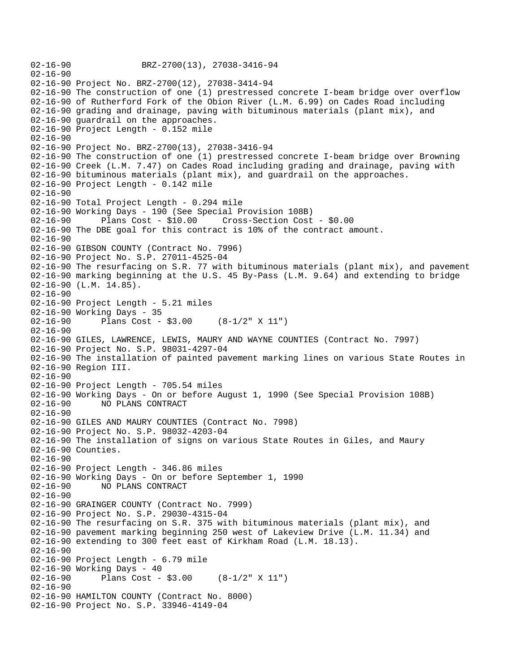02-16-90 BRZ-2700(13), 27038-3416-94 02-16-90 02-16-90 Project No. BRZ-2700(12), 27038-3414-94 02-16-90 The construction of one (1) prestressed concrete I-beam bridge over overflow 02-16-90 of Rutherford Fork of the Obion River (L.M. 6.99) on Cades Road including 02-16-90 grading and drainage, paving with bituminous materials (plant mix), and 02-16-90 guardrail on the approaches. 02-16-90 Project Length - 0.152 mile 02-16-90 02-16-90 Project No. BRZ-2700(13), 27038-3416-94 02-16-90 The construction of one (1) prestressed concrete I-beam bridge over Browning 02-16-90 Creek (L.M. 7.47) on Cades Road including grading and drainage, paving with 02-16-90 bituminous materials (plant mix), and guardrail on the approaches. 02-16-90 Project Length - 0.142 mile 02-16-90 02-16-90 Total Project Length - 0.294 mile 02-16-90 Working Days - 190 (See Special Provision 108B) 02-16-90 Plans Cost - \$10.00 Cross-Section Cost - \$0.00 02-16-90 The DBE goal for this contract is 10% of the contract amount. 02-16-90 02-16-90 GIBSON COUNTY (Contract No. 7996) 02-16-90 Project No. S.P. 27011-4525-04 02-16-90 The resurfacing on S.R. 77 with bituminous materials (plant mix), and pavement 02-16-90 marking beginning at the U.S. 45 By-Pass (L.M. 9.64) and extending to bridge 02-16-90 (L.M. 14.85).  $02 - 16 - 90$ 02-16-90 Project Length - 5.21 miles 02-16-90 Working Days - 35 02-16-90 Plans Cost - \$3.00 (8-1/2" X 11") 02-16-90 02-16-90 GILES, LAWRENCE, LEWIS, MAURY AND WAYNE COUNTIES (Contract No. 7997) 02-16-90 Project No. S.P. 98031-4297-04 02-16-90 The installation of painted pavement marking lines on various State Routes in 02-16-90 Region III. 02-16-90 02-16-90 Project Length - 705.54 miles 02-16-90 Working Days - On or before August 1, 1990 (See Special Provision 108B) 02-16-90 NO PLANS CONTRACT 02-16-90 02-16-90 GILES AND MAURY COUNTIES (Contract No. 7998) 02-16-90 Project No. S.P. 98032-4203-04 02-16-90 The installation of signs on various State Routes in Giles, and Maury 02-16-90 Counties. 02-16-90 02-16-90 Project Length - 346.86 miles 02-16-90 Working Days - On or before September 1, 1990 02-16-90 NO PLANS CONTRACT 02-16-90 02-16-90 GRAINGER COUNTY (Contract No. 7999) 02-16-90 Project No. S.P. 29030-4315-04 02-16-90 The resurfacing on S.R. 375 with bituminous materials (plant mix), and 02-16-90 pavement marking beginning 250 west of Lakeview Drive (L.M. 11.34) and 02-16-90 extending to 300 feet east of Kirkham Road (L.M. 18.13). 02-16-90 02-16-90 Project Length - 6.79 mile 02-16-90 Working Days - 40 02-16-90 Plans Cost - \$3.00 (8-1/2" X 11") 02-16-90 02-16-90 HAMILTON COUNTY (Contract No. 8000) 02-16-90 Project No. S.P. 33946-4149-04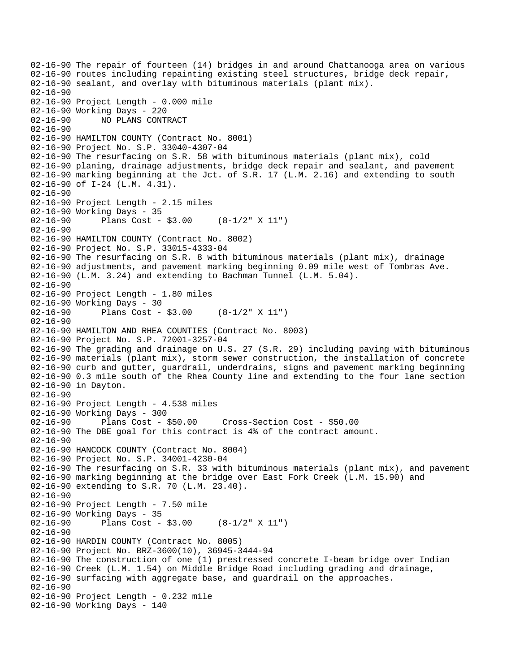```
02-16-90 The repair of fourteen (14) bridges in and around Chattanooga area on various 
02-16-90 routes including repainting existing steel structures, bridge deck repair, 
02-16-90 sealant, and overlay with bituminous materials (plant mix). 
02-16-90 
02-16-90 Project Length - 0.000 mile 
02-16-90 Working Days - 220 
02-16-90 NO PLANS CONTRACT 
02-16-90 
02-16-90 HAMILTON COUNTY (Contract No. 8001) 
02-16-90 Project No. S.P. 33040-4307-04 
02-16-90 The resurfacing on S.R. 58 with bituminous materials (plant mix), cold 
02-16-90 planing, drainage adjustments, bridge deck repair and sealant, and pavement 
02-16-90 marking beginning at the Jct. of S.R. 17 (L.M. 2.16) and extending to south 
02-16-90 of I-24 (L.M. 4.31). 
02-16-90 
02-16-90 Project Length - 2.15 miles
02-16-90 Working Days - 35 
02-16-90 Plans Cost - $3.00 (8-1/2" X 11") 
02-16-90 
02-16-90 HAMILTON COUNTY (Contract No. 8002) 
02-16-90 Project No. S.P. 33015-4333-04 
02-16-90 The resurfacing on S.R. 8 with bituminous materials (plant mix), drainage 
02-16-90 adjustments, and pavement marking beginning 0.09 mile west of Tombras Ave. 
02-16-90 (L.M. 3.24) and extending to Bachman Tunnel (L.M. 5.04). 
02-16-90 
02-16-90 Project Length - 1.80 miles 
02-16-90 Working Days - 30<br>02-16-90 Plans Cost -
              Plans Cost - $3.00 (8-1/2" X 11")
02-16-90 
02-16-90 HAMILTON AND RHEA COUNTIES (Contract No. 8003) 
02-16-90 Project No. S.P. 72001-3257-04 
02-16-90 The grading and drainage on U.S. 27 (S.R. 29) including paving with bituminous 
02-16-90 materials (plant mix), storm sewer construction, the installation of concrete 
02-16-90 curb and gutter, guardrail, underdrains, signs and pavement marking beginning 
02-16-90 0.3 mile south of the Rhea County line and extending to the four lane section 
02-16-90 in Dayton. 
02-16-90 
02-16-90 Project Length - 4.538 miles 
02-16-90 Working Days - 300 
02-16-90 Plans Cost - $50.00 Cross-Section Cost - $50.00 
02-16-90 The DBE goal for this contract is 4% of the contract amount. 
02-16-90 
02-16-90 HANCOCK COUNTY (Contract No. 8004) 
02-16-90 Project No. S.P. 34001-4230-04 
02-16-90 The resurfacing on S.R. 33 with bituminous materials (plant mix), and pavement 
02-16-90 marking beginning at the bridge over East Fork Creek (L.M. 15.90) and 
02-16-90 extending to S.R. 70 (L.M. 23.40). 
02-16-90 
02-16-90 Project Length - 7.50 mile 
02-16-90 Working Days - 35<br>02-16-90 Plans Cost -
              Plans Cost - $3.00 (8-1/2" X 11")
02-16-90 
02-16-90 HARDIN COUNTY (Contract No. 8005) 
02-16-90 Project No. BRZ-3600(10), 36945-3444-94 
02-16-90 The construction of one (1) prestressed concrete I-beam bridge over Indian 
02-16-90 Creek (L.M. 1.54) on Middle Bridge Road including grading and drainage, 
02-16-90 surfacing with aggregate base, and guardrail on the approaches. 
02-16-90 
02-16-90 Project Length - 0.232 mile 
02-16-90 Working Days - 140
```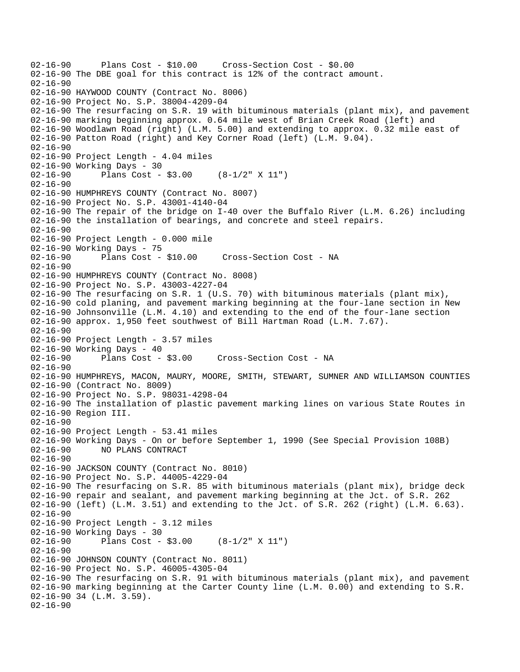```
02-16-90 Plans Cost - $10.00 Cross-Section Cost - $0.00 
02-16-90 The DBE goal for this contract is 12% of the contract amount. 
02 - 16 - 9002-16-90 HAYWOOD COUNTY (Contract No. 8006) 
02-16-90 Project No. S.P. 38004-4209-04 
02-16-90 The resurfacing on S.R. 19 with bituminous materials (plant mix), and pavement 
02-16-90 marking beginning approx. 0.64 mile west of Brian Creek Road (left) and 
02-16-90 Woodlawn Road (right) (L.M. 5.00) and extending to approx. 0.32 mile east of 
02-16-90 Patton Road (right) and Key Corner Road (left) (L.M. 9.04). 
02-16-90 
02-16-90 Project Length - 4.04 miles 
02-16-90 Working Days - 30 
02-16-90 Plans Cost - $3.00 (8-1/2" X 11") 
02-16-90 
02-16-90 HUMPHREYS COUNTY (Contract No. 8007) 
02-16-90 Project No. S.P. 43001-4140-04 
02-16-90 The repair of the bridge on I-40 over the Buffalo River (L.M. 6.26) including 
02-16-90 the installation of bearings, and concrete and steel repairs. 
02-16-90 
02-16-90 Project Length - 0.000 mile 
02-16-90 Working Days - 75<br>02-16-90 Plans Cost - $10.00
02-16-90 Plans Cost - $10.00 Cross-Section Cost - NA 
02-16-90 
02-16-90 HUMPHREYS COUNTY (Contract No. 8008) 
02-16-90 Project No. S.P. 43003-4227-04 
02-16-90 The resurfacing on S.R. 1 (U.S. 70) with bituminous materials (plant mix), 
02-16-90 cold planing, and pavement marking beginning at the four-lane section in New 
02-16-90 Johnsonville (L.M. 4.10) and extending to the end of the four-lane section 
02-16-90 approx. 1,950 feet southwest of Bill Hartman Road (L.M. 7.67). 
02-16-90 
02-16-90 Project Length - 3.57 miles 
02-16-90 Working Days - 40<br>02-16-90 Plans Cost - $3.00
                                      Cross-Section Cost - NA
02-16-90 
02-16-90 HUMPHREYS, MACON, MAURY, MOORE, SMITH, STEWART, SUMNER AND WILLIAMSON COUNTIES 
02-16-90 (Contract No. 8009) 
02-16-90 Project No. S.P. 98031-4298-04 
02-16-90 The installation of plastic pavement marking lines on various State Routes in 
02-16-90 Region III. 
02-16-90 
02-16-90 Project Length - 53.41 miles 
02-16-90 Working Days - On or before September 1, 1990 (See Special Provision 108B) 
02-16-90 NO PLANS CONTRACT 
02-16-90 
02-16-90 JACKSON COUNTY (Contract No. 8010) 
02-16-90 Project No. S.P. 44005-4229-04 
02-16-90 The resurfacing on S.R. 85 with bituminous materials (plant mix), bridge deck 
02-16-90 repair and sealant, and pavement marking beginning at the Jct. of S.R. 262 
02-16-90 (left) (L.M. 3.51) and extending to the Jct. of S.R. 262 (right) (L.M. 6.63). 
02-16-90 
02-16-90 Project Length - 3.12 miles 
02-16-90 Working Days - 30 
02-16-90 Plans Cost - $3.00 (8-1/2" X 11") 
02-16-90 
02-16-90 JOHNSON COUNTY (Contract No. 8011) 
02-16-90 Project No. S.P. 46005-4305-04 
02-16-90 The resurfacing on S.R. 91 with bituminous materials (plant mix), and pavement 
02-16-90 marking beginning at the Carter County line (L.M. 0.00) and extending to S.R. 
02-16-90 34 (L.M. 3.59). 
02-16-90
```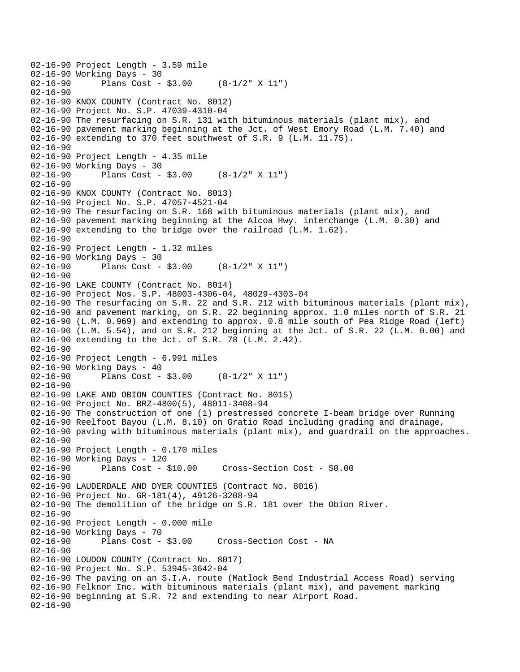```
02-16-90 Project Length - 3.59 mile 
02-16-90 Working Days - 30<br>02-16-90 Plans Cost -
              Plans Cost - $3.00 (8-1/2" X 11")
02-16-90 
02-16-90 KNOX COUNTY (Contract No. 8012) 
02-16-90 Project No. S.P. 47039-4310-04 
02-16-90 The resurfacing on S.R. 131 with bituminous materials (plant mix), and 
02-16-90 pavement marking beginning at the Jct. of West Emory Road (L.M. 7.40) and 
02-16-90 extending to 370 feet southwest of S.R. 9 (L.M. 11.75). 
02-16-90 
02-16-90 Project Length - 4.35 mile 
02-16-90 Working Days - 30 
02-16-90 Plans Cost - $3.00 (8-1/2" X 11") 
02-16-90 
02-16-90 KNOX COUNTY (Contract No. 8013) 
02-16-90 Project No. S.P. 47057-4521-04 
02-16-90 The resurfacing on S.R. 168 with bituminous materials (plant mix), and 
02-16-90 pavement marking beginning at the Alcoa Hwy. interchange (L.M. 0.30) and 
02-16-90 extending to the bridge over the railroad (L.M. 1.62). 
02-16-90 
02-16-90 Project Length - 1.32 miles 
02-16-90 Working Days - 30<br>02-16-90 Plans Cost -
              Plans Cost - $3.00 (8-1/2" X 11")
02-16-90 
02-16-90 LAKE COUNTY (Contract No. 8014) 
02-16-90 Project Nos. S.P. 48003-4306-04, 48029-4303-04 
02-16-90 The resurfacing on S.R. 22 and S.R. 212 with bituminous materials (plant mix), 
02-16-90 and pavement marking, on S.R. 22 beginning approx. 1.0 miles north of S.R. 21 
02-16-90 (L.M. 0.969) and extending to approx. 0.8 mile south of Pea Ridge Road (left) 
02-16-90 (L.M. 5.54), and on S.R. 212 beginning at the Jct. of S.R. 22 (L.M. 0.00) and 
02-16-90 extending to the Jct. of S.R. 78 (L.M. 2.42). 
02-16-90 
02-16-90 Project Length - 6.991 miles 
02-16-90 Working Days - 40<br>02-16-90 Plans Cost -
              Plans Cost - $3.00 (8-1/2" X 11")
02 - 16 - 9002-16-90 LAKE AND OBION COUNTIES (Contract No. 8015) 
02-16-90 Project No. BRZ-4800(5), 48011-3408-94 
02-16-90 The construction of one (1) prestressed concrete I-beam bridge over Running 
02-16-90 Reelfoot Bayou (L.M. 8.10) on Gratio Road including grading and drainage, 
02-16-90 paving with bituminous materials (plant mix), and guardrail on the approaches. 
02-16-90 
02-16-90 Project Length - 0.170 miles 
02-16-90 Working Days - 120 
02-16-90 Plans Cost - $10.00 Cross-Section Cost - $0.00 
02-16-90 
02-16-90 LAUDERDALE AND DYER COUNTIES (Contract No. 8016) 
02-16-90 Project No. GR-181(4), 49126-3208-94 
02-16-90 The demolition of the bridge on S.R. 181 over the Obion River. 
02-16-90 
02-16-90 Project Length - 0.000 mile 
02-16-90 Working Days - 70 
02-16-90 Plans Cost - $3.00 Cross-Section Cost - NA 
02-16-90 
02-16-90 LOUDON COUNTY (Contract No. 8017) 
02-16-90 Project No. S.P. 53945-3642-04 
02-16-90 The paving on an S.I.A. route (Matlock Bend Industrial Access Road) serving 
02-16-90 Felknor Inc. with bituminous materials (plant mix), and pavement marking 
02-16-90 beginning at S.R. 72 and extending to near Airport Road. 
02-16-90
```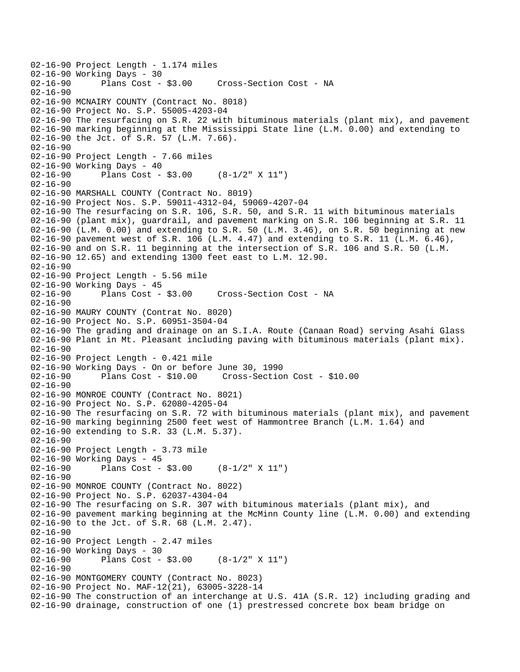02-16-90 Project Length - 1.174 miles 02-16-90 Working Days - 30<br>02-16-90 Plans Cost - \$3.00 Cross-Section Cost - NA 02-16-90 02-16-90 MCNAIRY COUNTY (Contract No. 8018) 02-16-90 Project No. S.P. 55005-4203-04 02-16-90 The resurfacing on S.R. 22 with bituminous materials (plant mix), and pavement 02-16-90 marking beginning at the Mississippi State line (L.M. 0.00) and extending to 02-16-90 the Jct. of S.R. 57 (L.M. 7.66). 02-16-90 02-16-90 Project Length - 7.66 miles 02-16-90 Working Days - 40 02-16-90 Plans Cost - \$3.00 (8-1/2" X 11") 02-16-90 02-16-90 MARSHALL COUNTY (Contract No. 8019) 02-16-90 Project Nos. S.P. 59011-4312-04, 59069-4207-04 02-16-90 The resurfacing on S.R. 106, S.R. 50, and S.R. 11 with bituminous materials 02-16-90 (plant mix), guardrail, and pavement marking on S.R. 106 beginning at S.R. 11 02-16-90 (L.M. 0.00) and extending to S.R. 50 (L.M. 3.46), on S.R. 50 beginning at new 02-16-90 pavement west of S.R. 106 (L.M. 4.47) and extending to S.R. 11 (L.M. 6.46), 02-16-90 and on S.R. 11 beginning at the intersection of S.R. 106 and S.R. 50 (L.M. 02-16-90 12.65) and extending 1300 feet east to L.M. 12.90. 02-16-90 02-16-90 Project Length - 5.56 mile 02-16-90 Working Days - 45<br>02-16-90 Plans Cost - \$3.00 02-16-90 Plans Cost - \$3.00 Cross-Section Cost - NA 02-16-90 02-16-90 MAURY COUNTY (Contrat No. 8020) 02-16-90 Project No. S.P. 60951-3504-04 02-16-90 The grading and drainage on an S.I.A. Route (Canaan Road) serving Asahi Glass 02-16-90 Plant in Mt. Pleasant including paving with bituminous materials (plant mix). 02-16-90 02-16-90 Project Length - 0.421 mile 02-16-90 Working Days - On or before June 30, 1990 02-16-90 Plans Cost - \$10.00 Cross-Section Cost - \$10.00  $02 - 16 - 90$ 02-16-90 MONROE COUNTY (Contract No. 8021) 02-16-90 Project No. S.P. 62080-4205-04 02-16-90 The resurfacing on S.R. 72 with bituminous materials (plant mix), and pavement 02-16-90 marking beginning 2500 feet west of Hammontree Branch (L.M. 1.64) and 02-16-90 extending to S.R. 33 (L.M. 5.37). 02-16-90 02-16-90 Project Length - 3.73 mile 02-16-90 Working Days - 45 02-16-90 Plans Cost - \$3.00 (8-1/2" X 11") 02-16-90 02-16-90 MONROE COUNTY (Contract No. 8022) 02-16-90 Project No. S.P. 62037-4304-04 02-16-90 The resurfacing on S.R. 307 with bituminous materials (plant mix), and 02-16-90 pavement marking beginning at the McMinn County line (L.M. 0.00) and extending 02-16-90 to the Jct. of S.R. 68 (L.M. 2.47). 02-16-90 02-16-90 Project Length - 2.47 miles 02-16-90 Working Days - 30<br>02-16-90 Plans Cost -Plans Cost -  $$3.00$  (8-1/2" X 11") 02-16-90 02-16-90 MONTGOMERY COUNTY (Contract No. 8023) 02-16-90 Project No. MAF-12(21), 63005-3228-14 02-16-90 The construction of an interchange at U.S. 41A (S.R. 12) including grading and 02-16-90 drainage, construction of one (1) prestressed concrete box beam bridge on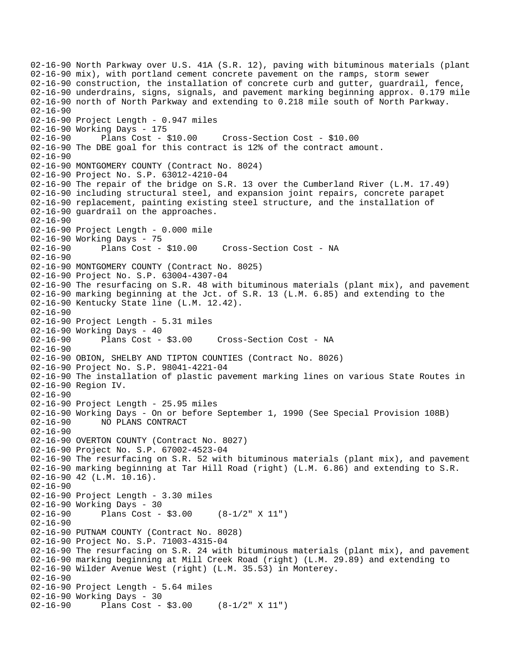02-16-90 North Parkway over U.S. 41A (S.R. 12), paving with bituminous materials (plant 02-16-90 mix), with portland cement concrete pavement on the ramps, storm sewer 02-16-90 construction, the installation of concrete curb and gutter, guardrail, fence, 02-16-90 underdrains, signs, signals, and pavement marking beginning approx. 0.179 mile 02-16-90 north of North Parkway and extending to 0.218 mile south of North Parkway. 02-16-90 02-16-90 Project Length - 0.947 miles 02-16-90 Working Days - 175 02-16-90 Plans Cost - \$10.00 Cross-Section Cost - \$10.00 02-16-90 The DBE goal for this contract is 12% of the contract amount. 02-16-90 02-16-90 MONTGOMERY COUNTY (Contract No. 8024) 02-16-90 Project No. S.P. 63012-4210-04 02-16-90 The repair of the bridge on S.R. 13 over the Cumberland River (L.M. 17.49) 02-16-90 including structural steel, and expansion joint repairs, concrete parapet 02-16-90 replacement, painting existing steel structure, and the installation of 02-16-90 guardrail on the approaches. 02-16-90 02-16-90 Project Length - 0.000 mile 02-16-90 Working Days - 75 02-16-90 Plans Cost - \$10.00 Cross-Section Cost - NA 02-16-90 02-16-90 MONTGOMERY COUNTY (Contract No. 8025) 02-16-90 Project No. S.P. 63004-4307-04 02-16-90 The resurfacing on S.R. 48 with bituminous materials (plant mix), and pavement 02-16-90 marking beginning at the Jct. of S.R. 13 (L.M. 6.85) and extending to the 02-16-90 Kentucky State line (L.M. 12.42). 02-16-90 02-16-90 Project Length - 5.31 miles 02-16-90 Working Days - 40 02-16-90 Plans Cost - \$3.00 Cross-Section Cost - NA 02-16-90 02-16-90 OBION, SHELBY AND TIPTON COUNTIES (Contract No. 8026) 02-16-90 Project No. S.P. 98041-4221-04 02-16-90 The installation of plastic pavement marking lines on various State Routes in 02-16-90 Region IV. 02-16-90 02-16-90 Project Length - 25.95 miles 02-16-90 Working Days - On or before September 1, 1990 (See Special Provision 108B) 02-16-90 NO PLANS CONTRACT  $02 - 16 - 90$ 02-16-90 OVERTON COUNTY (Contract No. 8027) 02-16-90 Project No. S.P. 67002-4523-04 02-16-90 The resurfacing on S.R. 52 with bituminous materials (plant mix), and pavement 02-16-90 marking beginning at Tar Hill Road (right) (L.M. 6.86) and extending to S.R. 02-16-90 42 (L.M. 10.16). 02-16-90 02-16-90 Project Length - 3.30 miles 02-16-90 Working Days - 30 02-16-90 Plans Cost - \$3.00 (8-1/2" X 11") 02-16-90 02-16-90 PUTNAM COUNTY (Contract No. 8028) 02-16-90 Project No. S.P. 71003-4315-04 02-16-90 The resurfacing on S.R. 24 with bituminous materials (plant mix), and pavement 02-16-90 marking beginning at Mill Creek Road (right) (L.M. 29.89) and extending to 02-16-90 Wilder Avenue West (right) (L.M. 35.53) in Monterey. 02-16-90 02-16-90 Project Length - 5.64 miles 02-16-90 Working Days - 30 02-16-90 Plans Cost - \$3.00 (8-1/2" X 11")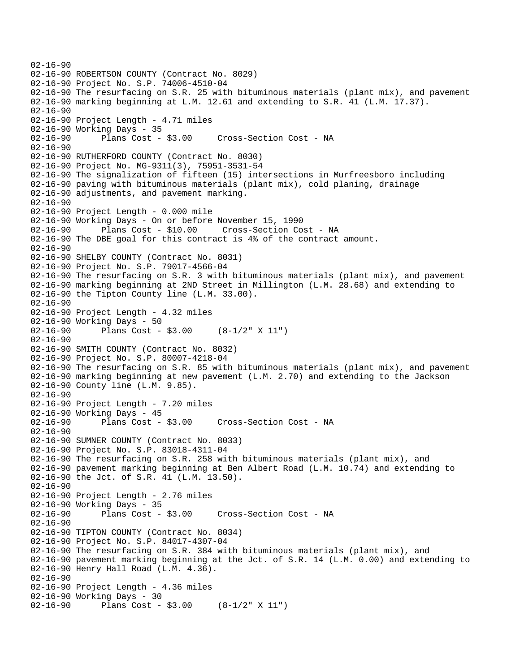```
02-16-90 
02-16-90 ROBERTSON COUNTY (Contract No. 8029) 
02-16-90 Project No. S.P. 74006-4510-04 
02-16-90 The resurfacing on S.R. 25 with bituminous materials (plant mix), and pavement 
02-16-90 marking beginning at L.M. 12.61 and extending to S.R. 41 (L.M. 17.37). 
02-16-90 
02-16-90 Project Length - 4.71 miles
02-16-90 Working Days - 35 
02-16-90 Plans Cost - $3.00 Cross-Section Cost - NA 
02-16-90 
02-16-90 RUTHERFORD COUNTY (Contract No. 8030) 
02-16-90 Project No. MG-9311(3), 75951-3531-54 
02-16-90 The signalization of fifteen (15) intersections in Murfreesboro including 
02-16-90 paving with bituminous materials (plant mix), cold planing, drainage 
02-16-90 adjustments, and pavement marking. 
02 - 16 - 9002-16-90 Project Length - 0.000 mile 
02-16-90 Working Days - On or before November 15, 1990 
02-16-90 Plans Cost - $10.00 Cross-Section Cost - NA 
02-16-90 The DBE goal for this contract is 4% of the contract amount. 
02-16-90 
02-16-90 SHELBY COUNTY (Contract No. 8031) 
02-16-90 Project No. S.P. 79017-4566-04 
02-16-90 The resurfacing on S.R. 3 with bituminous materials (plant mix), and pavement 
02-16-90 marking beginning at 2ND Street in Millington (L.M. 28.68) and extending to 
02-16-90 the Tipton County line (L.M. 33.00). 
02-16-90 
02-16-90 Project Length - 4.32 miles
02-16-90 Working Days - 50 
02-16-90 Plans Cost - $3.00 (8-1/2" X 11") 
02-16-90 
02-16-90 SMITH COUNTY (Contract No. 8032) 
02-16-90 Project No. S.P. 80007-4218-04 
02-16-90 The resurfacing on S.R. 85 with bituminous materials (plant mix), and pavement 
02-16-90 marking beginning at new pavement (L.M. 2.70) and extending to the Jackson 
02-16-90 County line (L.M. 9.85). 
02-16-90 
02-16-90 Project Length - 7.20 miles 
02-16-90 Working Days - 45 
02-16-90 Plans Cost - $3.00 Cross-Section Cost - NA 
02 - 16 - 9002-16-90 SUMNER COUNTY (Contract No. 8033) 
02-16-90 Project No. S.P. 83018-4311-04 
02-16-90 The resurfacing on S.R. 258 with bituminous materials (plant mix), and 
02-16-90 pavement marking beginning at Ben Albert Road (L.M. 10.74) and extending to 
02-16-90 the Jct. of S.R. 41 (L.M. 13.50). 
02-16-90 
02-16-90 Project Length - 2.76 miles
02-16-90 Working Days - 35<br>02-16-90 Plans Cost - $3.00
02-16-90 Plans Cost - $3.00 Cross-Section Cost - NA 
02-16-90 
02-16-90 TIPTON COUNTY (Contract No. 8034) 
02-16-90 Project No. S.P. 84017-4307-04 
02-16-90 The resurfacing on S.R. 384 with bituminous materials (plant mix), and 
02-16-90 pavement marking beginning at the Jct. of S.R. 14 (L.M. 0.00) and extending to 
02-16-90 Henry Hall Road (L.M. 4.36). 
02-16-90 
02-16-90 Project Length - 4.36 miles 
02-16-90 Working Days - 30 
02-16-90 Plans Cost - $3.00 (8-1/2" X 11")
```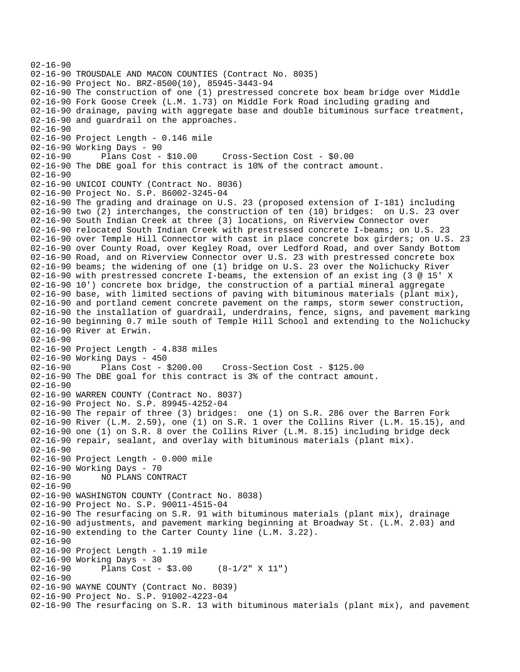02-16-90 02-16-90 TROUSDALE AND MACON COUNTIES (Contract No. 8035) 02-16-90 Project No. BRZ-8500(10), 85945-3443-94 02-16-90 The construction of one (1) prestressed concrete box beam bridge over Middle 02-16-90 Fork Goose Creek (L.M. 1.73) on Middle Fork Road including grading and 02-16-90 drainage, paving with aggregate base and double bituminous surface treatment, 02-16-90 and guardrail on the approaches. 02-16-90 02-16-90 Project Length - 0.146 mile 02-16-90 Working Days - 90 02-16-90 Plans Cost - \$10.00 Cross-Section Cost - \$0.00 02-16-90 The DBE goal for this contract is 10% of the contract amount.  $02 - 16 - 90$ 02-16-90 UNICOI COUNTY (Contract No. 8036) 02-16-90 Project No. S.P. 86002-3245-04 02-16-90 The grading and drainage on U.S. 23 (proposed extension of I-181) including 02-16-90 two (2) interchanges, the construction of ten (10) bridges: on U.S. 23 over 02-16-90 South Indian Creek at three (3) locations, on Riverview Connector over 02-16-90 relocated South Indian Creek with prestressed concrete I-beams; on U.S. 23 02-16-90 over Temple Hill Connector with cast in place concrete box girders; on U.S. 23 02-16-90 over County Road, over Kegley Road, over Ledford Road, and over Sandy Bottom 02-16-90 Road, and on Riverview Connector over U.S. 23 with prestressed concrete box 02-16-90 beams; the widening of one (1) bridge on U.S. 23 over the Nolichucky River 02-16-90 with prestressed concrete I-beams, the extension of an exist ing (3 @ 15' X 02-16-90 10') concrete box bridge, the construction of a partial mineral aggregate 02-16-90 base, with limited sections of paving with bituminous materials (plant mix), 02-16-90 and portland cement concrete pavement on the ramps, storm sewer construction, 02-16-90 the installation of guardrail, underdrains, fence, signs, and pavement marking 02-16-90 beginning 0.7 mile south of Temple Hill School and extending to the Nolichucky 02-16-90 River at Erwin. 02-16-90 02-16-90 Project Length - 4.838 miles 02-16-90 Working Days - 450 02-16-90 Plans Cost - \$200.00 Cross-Section Cost - \$125.00 02-16-90 The DBE goal for this contract is 3% of the contract amount.  $02 - 16 - 90$ 02-16-90 WARREN COUNTY (Contract No. 8037) 02-16-90 Project No. S.P. 89945-4252-04 02-16-90 The repair of three (3) bridges: one (1) on S.R. 286 over the Barren Fork 02-16-90 River (L.M. 2.59), one (1) on S.R. 1 over the Collins River (L.M. 15.15), and 02-16-90 one (1) on S.R. 8 over the Collins River (L.M. 8.15) including bridge deck 02-16-90 repair, sealant, and overlay with bituminous materials (plant mix).  $02 - 16 - 90$ 02-16-90 Project Length - 0.000 mile 02-16-90 Working Days - 70 02-16-90 NO PLANS CONTRACT 02-16-90 02-16-90 WASHINGTON COUNTY (Contract No. 8038) 02-16-90 Project No. S.P. 90011-4515-04 02-16-90 The resurfacing on S.R. 91 with bituminous materials (plant mix), drainage 02-16-90 adjustments, and pavement marking beginning at Broadway St. (L.M. 2.03) and 02-16-90 extending to the Carter County line (L.M. 3.22). 02-16-90 02-16-90 Project Length - 1.19 mile 02-16-90 Working Days - 30 02-16-90 Plans Cost - \$3.00 (8-1/2" X 11") 02-16-90 02-16-90 WAYNE COUNTY (Contract No. 8039) 02-16-90 Project No. S.P. 91002-4223-04 02-16-90 The resurfacing on S.R. 13 with bituminous materials (plant mix), and pavement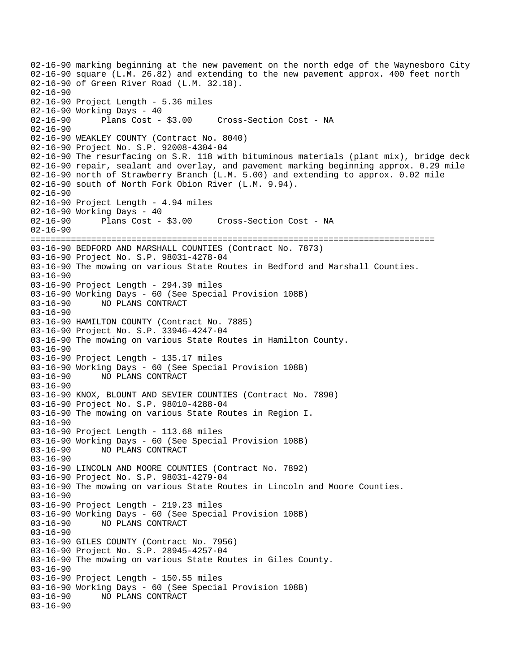02-16-90 marking beginning at the new pavement on the north edge of the Waynesboro City 02-16-90 square (L.M. 26.82) and extending to the new pavement approx. 400 feet north 02-16-90 of Green River Road (L.M. 32.18). 02-16-90 02-16-90 Project Length - 5.36 miles 02-16-90 Working Days - 40 02-16-90 Plans Cost - \$3.00 Cross-Section Cost - NA 02-16-90 02-16-90 WEAKLEY COUNTY (Contract No. 8040) 02-16-90 Project No. S.P. 92008-4304-04 02-16-90 The resurfacing on S.R. 118 with bituminous materials (plant mix), bridge deck 02-16-90 repair, sealant and overlay, and pavement marking beginning approx. 0.29 mile 02-16-90 north of Strawberry Branch (L.M. 5.00) and extending to approx. 0.02 mile 02-16-90 south of North Fork Obion River (L.M. 9.94).  $02 - 16 - 90$ 02-16-90 Project Length - 4.94 miles 02-16-90 Working Days - 40 02-16-90 Plans Cost - \$3.00 Cross-Section Cost - NA  $02 - 16 - 90$ ================================================================================ 03-16-90 BEDFORD AND MARSHALL COUNTIES (Contract No. 7873) 03-16-90 Project No. S.P. 98031-4278-04 03-16-90 The mowing on various State Routes in Bedford and Marshall Counties. 03-16-90 03-16-90 Project Length - 294.39 miles 03-16-90 Working Days - 60 (See Special Provision 108B) 03-16-90 NO PLANS CONTRACT 03-16-90 03-16-90 HAMILTON COUNTY (Contract No. 7885) 03-16-90 Project No. S.P. 33946-4247-04 03-16-90 The mowing on various State Routes in Hamilton County. 03-16-90 03-16-90 Project Length - 135.17 miles 03-16-90 Working Days - 60 (See Special Provision 108B) 03-16-90 NO PLANS CONTRACT 03-16-90 03-16-90 KNOX, BLOUNT AND SEVIER COUNTIES (Contract No. 7890) 03-16-90 Project No. S.P. 98010-4288-04 03-16-90 The mowing on various State Routes in Region I. 03-16-90 03-16-90 Project Length - 113.68 miles 03-16-90 Working Days - 60 (See Special Provision 108B) 03-16-90 NO PLANS CONTRACT 03-16-90 03-16-90 LINCOLN AND MOORE COUNTIES (Contract No. 7892) 03-16-90 Project No. S.P. 98031-4279-04 03-16-90 The mowing on various State Routes in Lincoln and Moore Counties. 03-16-90 03-16-90 Project Length - 219.23 miles 03-16-90 Working Days - 60 (See Special Provision 108B) 03-16-90 NO PLANS CONTRACT 03-16-90 03-16-90 GILES COUNTY (Contract No. 7956) 03-16-90 Project No. S.P. 28945-4257-04 03-16-90 The mowing on various State Routes in Giles County. 03-16-90 03-16-90 Project Length - 150.55 miles 03-16-90 Working Days - 60 (See Special Provision 108B) 03-16-90 NO PLANS CONTRACT 03-16-90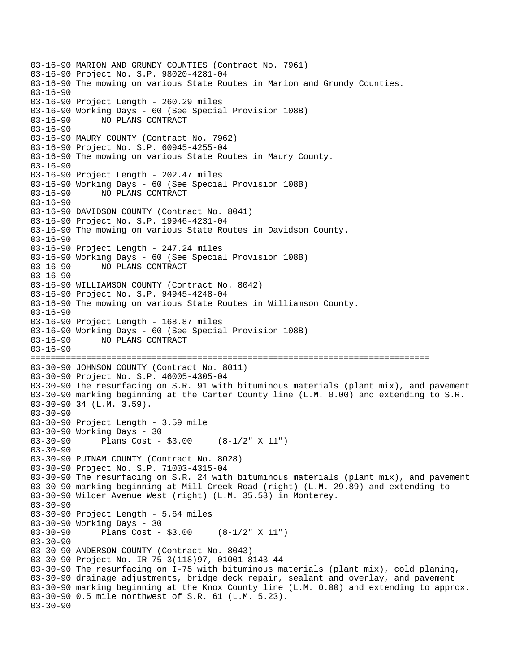03-16-90 MARION AND GRUNDY COUNTIES (Contract No. 7961) 03-16-90 Project No. S.P. 98020-4281-04 03-16-90 The mowing on various State Routes in Marion and Grundy Counties. 03-16-90 03-16-90 Project Length - 260.29 miles 03-16-90 Working Days - 60 (See Special Provision 108B) 03-16-90 NO PLANS CONTRACT 03-16-90 03-16-90 MAURY COUNTY (Contract No. 7962) 03-16-90 Project No. S.P. 60945-4255-04 03-16-90 The mowing on various State Routes in Maury County. 03-16-90 03-16-90 Project Length - 202.47 miles 03-16-90 Working Days - 60 (See Special Provision 108B) 03-16-90 NO PLANS CONTRACT 03-16-90 03-16-90 DAVIDSON COUNTY (Contract No. 8041) 03-16-90 Project No. S.P. 19946-4231-04 03-16-90 The mowing on various State Routes in Davidson County. 03-16-90 03-16-90 Project Length - 247.24 miles 03-16-90 Working Days - 60 (See Special Provision 108B) 03-16-90 NO PLANS CONTRACT 03-16-90 03-16-90 WILLIAMSON COUNTY (Contract No. 8042) 03-16-90 Project No. S.P. 94945-4248-04 03-16-90 The mowing on various State Routes in Williamson County. 03-16-90 03-16-90 Project Length - 168.87 miles 03-16-90 Working Days - 60 (See Special Provision 108B) 03-16-90 NO PLANS CONTRACT 03-16-90 =============================================================================== 03-30-90 JOHNSON COUNTY (Contract No. 8011) 03-30-90 Project No. S.P. 46005-4305-04 03-30-90 The resurfacing on S.R. 91 with bituminous materials (plant mix), and pavement 03-30-90 marking beginning at the Carter County line (L.M. 0.00) and extending to S.R. 03-30-90 34 (L.M. 3.59). 03-30-90 03-30-90 Project Length - 3.59 mile 03-30-90 Working Days - 30 03-30-90 Plans Cost - \$3.00 (8-1/2" X 11")  $03 - 30 - 90$ 03-30-90 PUTNAM COUNTY (Contract No. 8028) 03-30-90 Project No. S.P. 71003-4315-04 03-30-90 The resurfacing on S.R. 24 with bituminous materials (plant mix), and pavement 03-30-90 marking beginning at Mill Creek Road (right) (L.M. 29.89) and extending to 03-30-90 Wilder Avenue West (right) (L.M. 35.53) in Monterey. 03-30-90 03-30-90 Project Length - 5.64 miles 03-30-90 Working Days - 30 03-30-90 Plans Cost - \$3.00 (8-1/2" X 11") 03-30-90 03-30-90 ANDERSON COUNTY (Contract No. 8043) 03-30-90 Project No. IR-75-3(118)97, 01001-8143-44 03-30-90 The resurfacing on I-75 with bituminous materials (plant mix), cold planing, 03-30-90 drainage adjustments, bridge deck repair, sealant and overlay, and pavement 03-30-90 marking beginning at the Knox County line (L.M. 0.00) and extending to approx. 03-30-90 0.5 mile northwest of S.R. 61 (L.M. 5.23). 03-30-90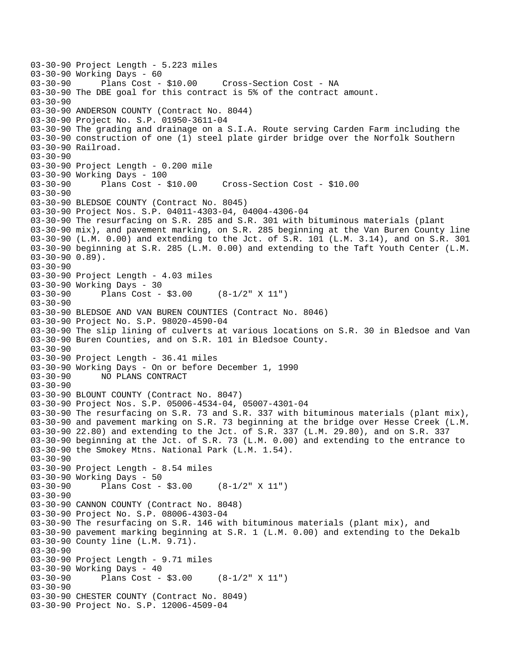03-30-90 Project Length - 5.223 miles 03-30-90 Working Days - 60<br>03-30-90 Plans Cost - \$10.00 Cross-Section Cost - NA 03-30-90 The DBE goal for this contract is 5% of the contract amount. 03-30-90 03-30-90 ANDERSON COUNTY (Contract No. 8044) 03-30-90 Project No. S.P. 01950-3611-04 03-30-90 The grading and drainage on a S.I.A. Route serving Carden Farm including the 03-30-90 construction of one (1) steel plate girder bridge over the Norfolk Southern 03-30-90 Railroad. 03-30-90 03-30-90 Project Length - 0.200 mile 03-30-90 Working Days - 100 03-30-90 Plans Cost - \$10.00 Cross-Section Cost - \$10.00 03-30-90 03-30-90 BLEDSOE COUNTY (Contract No. 8045) 03-30-90 Project Nos. S.P. 04011-4303-04, 04004-4306-04 03-30-90 The resurfacing on S.R. 285 and S.R. 301 with bituminous materials (plant 03-30-90 mix), and pavement marking, on S.R. 285 beginning at the Van Buren County line 03-30-90 (L.M. 0.00) and extending to the Jct. of S.R. 101 (L.M. 3.14), and on S.R. 301 03-30-90 beginning at S.R. 285 (L.M. 0.00) and extending to the Taft Youth Center (L.M. 03-30-90 0.89). 03-30-90 03-30-90 Project Length - 4.03 miles 03-30-90 Working Days - 30 03-30-90 Plans Cost - \$3.00 (8-1/2" X 11") 03-30-90 03-30-90 BLEDSOE AND VAN BUREN COUNTIES (Contract No. 8046) 03-30-90 Project No. S.P. 98020-4590-04 03-30-90 The slip lining of culverts at various locations on S.R. 30 in Bledsoe and Van 03-30-90 Buren Counties, and on S.R. 101 in Bledsoe County. 03-30-90 03-30-90 Project Length - 36.41 miles 03-30-90 Working Days - On or before December 1, 1990 03-30-90 NO PLANS CONTRACT  $03 - 30 - 90$ 03-30-90 BLOUNT COUNTY (Contract No. 8047) 03-30-90 Project Nos. S.P. 05006-4534-04, 05007-4301-04 03-30-90 The resurfacing on S.R. 73 and S.R. 337 with bituminous materials (plant mix), 03-30-90 and pavement marking on S.R. 73 beginning at the bridge over Hesse Creek (L.M. 03-30-90 22.80) and extending to the Jct. of S.R. 337 (L.M. 29.80), and on S.R. 337 03-30-90 beginning at the Jct. of S.R. 73 (L.M. 0.00) and extending to the entrance to 03-30-90 the Smokey Mtns. National Park (L.M. 1.54). 03-30-90 03-30-90 Project Length - 8.54 miles 03-30-90 Working Days - 50 03-30-90 Plans Cost - \$3.00 (8-1/2" X 11") 03-30-90 03-30-90 CANNON COUNTY (Contract No. 8048) 03-30-90 Project No. S.P. 08006-4303-04 03-30-90 The resurfacing on S.R. 146 with bituminous materials (plant mix), and 03-30-90 pavement marking beginning at S.R. 1 (L.M. 0.00) and extending to the Dekalb 03-30-90 County line (L.M. 9.71). 03-30-90 03-30-90 Project Length - 9.71 miles 03-30-90 Working Days - 40 03-30-90 Plans Cost - \$3.00 (8-1/2" X 11") 03-30-90 03-30-90 CHESTER COUNTY (Contract No. 8049) 03-30-90 Project No. S.P. 12006-4509-04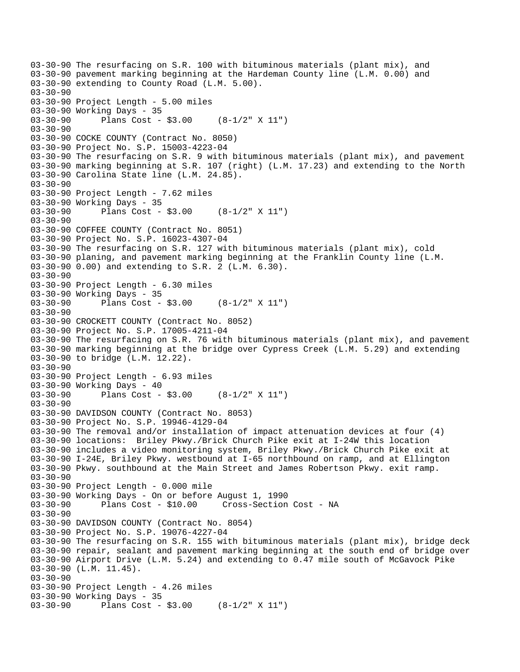03-30-90 The resurfacing on S.R. 100 with bituminous materials (plant mix), and 03-30-90 pavement marking beginning at the Hardeman County line (L.M. 0.00) and 03-30-90 extending to County Road (L.M. 5.00). 03-30-90 03-30-90 Project Length - 5.00 miles 03-30-90 Working Days - 35 03-30-90 Plans Cost - \$3.00 (8-1/2" X 11") 03-30-90 03-30-90 COCKE COUNTY (Contract No. 8050) 03-30-90 Project No. S.P. 15003-4223-04 03-30-90 The resurfacing on S.R. 9 with bituminous materials (plant mix), and pavement 03-30-90 marking beginning at S.R. 107 (right) (L.M. 17.23) and extending to the North 03-30-90 Carolina State line (L.M. 24.85). 03-30-90 03-30-90 Project Length - 7.62 miles 03-30-90 Working Days - 35 03-30-90 Plans Cost - \$3.00 (8-1/2" X 11") 03-30-90 03-30-90 COFFEE COUNTY (Contract No. 8051) 03-30-90 Project No. S.P. 16023-4307-04 03-30-90 The resurfacing on S.R. 127 with bituminous materials (plant mix), cold 03-30-90 planing, and pavement marking beginning at the Franklin County line (L.M. 03-30-90 0.00) and extending to S.R. 2 (L.M. 6.30). 03-30-90 03-30-90 Project Length - 6.30 miles 03-30-90 Working Days - 35 03-30-90 Plans Cost - \$3.00 (8-1/2" X 11") 03-30-90 03-30-90 CROCKETT COUNTY (Contract No. 8052) 03-30-90 Project No. S.P. 17005-4211-04 03-30-90 The resurfacing on S.R. 76 with bituminous materials (plant mix), and pavement 03-30-90 marking beginning at the bridge over Cypress Creek (L.M. 5.29) and extending 03-30-90 to bridge (L.M. 12.22). 03-30-90 03-30-90 Project Length - 6.93 miles 03-30-90 Working Days - 40<br>03-30-90 Plans Cost -Plans  $Cost - $3.00$   $(8-1/2" X 11")$ 03-30-90 03-30-90 DAVIDSON COUNTY (Contract No. 8053) 03-30-90 Project No. S.P. 19946-4129-04 03-30-90 The removal and/or installation of impact attenuation devices at four (4) 03-30-90 locations: Briley Pkwy./Brick Church Pike exit at I-24W this location 03-30-90 includes a video monitoring system, Briley Pkwy./Brick Church Pike exit at 03-30-90 I-24E, Briley Pkwy. westbound at I-65 northbound on ramp, and at Ellington 03-30-90 Pkwy. southbound at the Main Street and James Robertson Pkwy. exit ramp. 03-30-90 03-30-90 Project Length - 0.000 mile 03-30-90 Working Days - On or before August 1, 1990 Cross-Section Cost - NA 03-30-90 03-30-90 DAVIDSON COUNTY (Contract No. 8054) 03-30-90 Project No. S.P. 19076-4227-04 03-30-90 The resurfacing on S.R. 155 with bituminous materials (plant mix), bridge deck 03-30-90 repair, sealant and pavement marking beginning at the south end of bridge over 03-30-90 Airport Drive (L.M. 5.24) and extending to 0.47 mile south of McGavock Pike 03-30-90 (L.M. 11.45). 03-30-90 03-30-90 Project Length - 4.26 miles 03-30-90 Working Days - 35 03-30-90 Plans Cost - \$3.00 (8-1/2" X 11")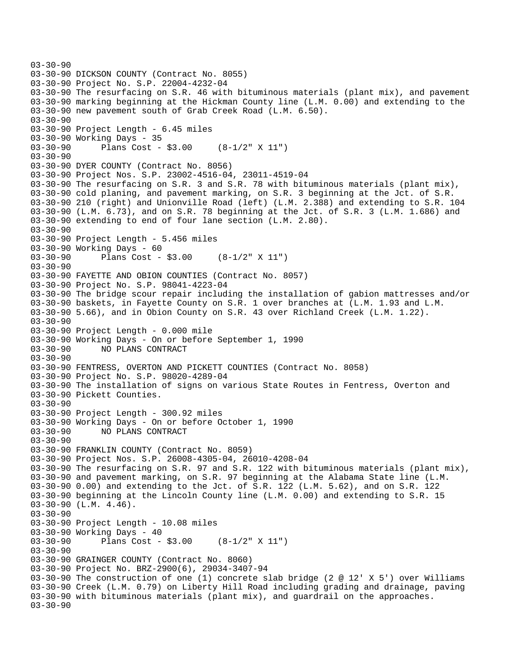```
03-30-90 
03-30-90 DICKSON COUNTY (Contract No. 8055) 
03-30-90 Project No. S.P. 22004-4232-04 
03-30-90 The resurfacing on S.R. 46 with bituminous materials (plant mix), and pavement 
03-30-90 marking beginning at the Hickman County line (L.M. 0.00) and extending to the 
03-30-90 new pavement south of Grab Creek Road (L.M. 6.50). 
03-30-90 
03-30-90 Project Length - 6.45 miles 
03-30-90 Working Days - 35 
03-30-90 Plans Cost - $3.00 (8-1/2" X 11") 
03-30-90 
03-30-90 DYER COUNTY (Contract No. 8056) 
03-30-90 Project Nos. S.P. 23002-4516-04, 23011-4519-04 
03-30-90 The resurfacing on S.R. 3 and S.R. 78 with bituminous materials (plant mix), 
03-30-90 cold planing, and pavement marking, on S.R. 3 beginning at the Jct. of S.R. 
03-30-90 210 (right) and Unionville Road (left) (L.M. 2.388) and extending to S.R. 104 
03-30-90 (L.M. 6.73), and on S.R. 78 beginning at the Jct. of S.R. 3 (L.M. 1.686) and 
03-30-90 extending to end of four lane section (L.M. 2.80). 
03-30-90 
03-30-90 Project Length - 5.456 miles 
03-30-90 Working Days - 60 
03-30-90 Plans Cost - $3.00 (8-1/2" X 11") 
03-30-90 
03-30-90 FAYETTE AND OBION COUNTIES (Contract No. 8057) 
03-30-90 Project No. S.P. 98041-4223-04 
03-30-90 The bridge scour repair including the installation of gabion mattresses and/or 
03-30-90 baskets, in Fayette County on S.R. 1 over branches at (L.M. 1.93 and L.M. 
03-30-90 5.66), and in Obion County on S.R. 43 over Richland Creek (L.M. 1.22). 
03-30-90 
03-30-90 Project Length - 0.000 mile 
03-30-90 Working Days - On or before September 1, 1990 
03-30-90 NO PLANS CONTRACT 
03-30-90 
03-30-90 FENTRESS, OVERTON AND PICKETT COUNTIES (Contract No. 8058) 
03-30-90 Project No. S.P. 98020-4289-04 
03-30-90 The installation of signs on various State Routes in Fentress, Overton and 
03-30-90 Pickett Counties. 
03-30-90 
03-30-90 Project Length - 300.92 miles 
03-30-90 Working Days - On or before October 1, 1990 
03-30-90 NO PLANS CONTRACT 
03-30-90 
03-30-90 FRANKLIN COUNTY (Contract No. 8059) 
03-30-90 Project Nos. S.P. 26008-4305-04, 26010-4208-04 
03-30-90 The resurfacing on S.R. 97 and S.R. 122 with bituminous materials (plant mix), 
03-30-90 and pavement marking, on S.R. 97 beginning at the Alabama State line (L.M. 
03-30-90 0.00) and extending to the Jct. of S.R. 122 (L.M. 5.62), and on S.R. 122 
03-30-90 beginning at the Lincoln County line (L.M. 0.00) and extending to S.R. 15 
03-30-90 (L.M. 4.46). 
03-30-90 
03-30-90 Project Length - 10.08 miles 
03-30-90 Working Days - 40 
03-30-90 Plans Cost - $3.00 (8-1/2" X 11") 
03-30-90 
03-30-90 GRAINGER COUNTY (Contract No. 8060) 
03-30-90 Project No. BRZ-2900(6), 29034-3407-94 
03-30-90 The construction of one (1) concrete slab bridge (2 @ 12' X 5') over Williams 
03-30-90 Creek (L.M. 0.79) on Liberty Hill Road including grading and drainage, paving 
03-30-90 with bituminous materials (plant mix), and guardrail on the approaches. 
03-30-90
```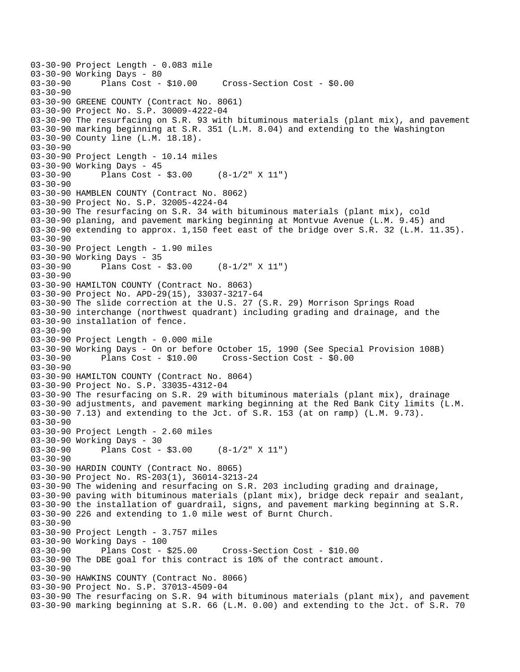03-30-90 Project Length - 0.083 mile 03-30-90 Working Days - 80<br>03-30-90 Plans Cost - \$10.00 03-30-90 Plans Cost - \$10.00 Cross-Section Cost - \$0.00 03-30-90 03-30-90 GREENE COUNTY (Contract No. 8061) 03-30-90 Project No. S.P. 30009-4222-04 03-30-90 The resurfacing on S.R. 93 with bituminous materials (plant mix), and pavement 03-30-90 marking beginning at S.R. 351 (L.M. 8.04) and extending to the Washington 03-30-90 County line (L.M. 18.18). 03-30-90 03-30-90 Project Length - 10.14 miles 03-30-90 Working Days - 45 03-30-90 Plans Cost - \$3.00 (8-1/2" X 11") 03-30-90 03-30-90 HAMBLEN COUNTY (Contract No. 8062) 03-30-90 Project No. S.P. 32005-4224-04 03-30-90 The resurfacing on S.R. 34 with bituminous materials (plant mix), cold 03-30-90 planing, and pavement marking beginning at Montvue Avenue (L.M. 9.45) and 03-30-90 extending to approx. 1,150 feet east of the bridge over S.R. 32 (L.M. 11.35). 03-30-90 03-30-90 Project Length - 1.90 miles 03-30-90 Working Days - 35 03-30-90 Plans Cost - \$3.00 (8-1/2" X 11") 03-30-90 03-30-90 HAMILTON COUNTY (Contract No. 8063) 03-30-90 Project No. APD-29(15), 33037-3217-64 03-30-90 The slide correction at the U.S. 27 (S.R. 29) Morrison Springs Road 03-30-90 interchange (northwest quadrant) including grading and drainage, and the 03-30-90 installation of fence. 03-30-90 03-30-90 Project Length - 0.000 mile 03-30-90 Working Days - On or before October 15, 1990 (See Special Provision 108B) 03-30-90 Plans Cost - \$10.00 Cross-Section Cost - \$0.00 03-30-90 03-30-90 HAMILTON COUNTY (Contract No. 8064) 03-30-90 Project No. S.P. 33035-4312-04 03-30-90 The resurfacing on S.R. 29 with bituminous materials (plant mix), drainage 03-30-90 adjustments, and pavement marking beginning at the Red Bank City limits (L.M. 03-30-90 7.13) and extending to the Jct. of S.R. 153 (at on ramp) (L.M. 9.73). 03-30-90 03-30-90 Project Length - 2.60 miles 03-30-90 Working Days - 30 03-30-90 Plans Cost - \$3.00 (8-1/2" X 11") 03-30-90 03-30-90 HARDIN COUNTY (Contract No. 8065) 03-30-90 Project No. RS-203(1), 36014-3213-24 03-30-90 The widening and resurfacing on S.R. 203 including grading and drainage, 03-30-90 paving with bituminous materials (plant mix), bridge deck repair and sealant, 03-30-90 the installation of guardrail, signs, and pavement marking beginning at S.R. 03-30-90 226 and extending to 1.0 mile west of Burnt Church. 03-30-90 03-30-90 Project Length - 3.757 miles 03-30-90 Working Days - 100 03-30-90 Plans Cost - \$25.00 Cross-Section Cost - \$10.00 03-30-90 The DBE goal for this contract is 10% of the contract amount. 03-30-90 03-30-90 HAWKINS COUNTY (Contract No. 8066) 03-30-90 Project No. S.P. 37013-4509-04 03-30-90 The resurfacing on S.R. 94 with bituminous materials (plant mix), and pavement 03-30-90 marking beginning at S.R. 66 (L.M. 0.00) and extending to the Jct. of S.R. 70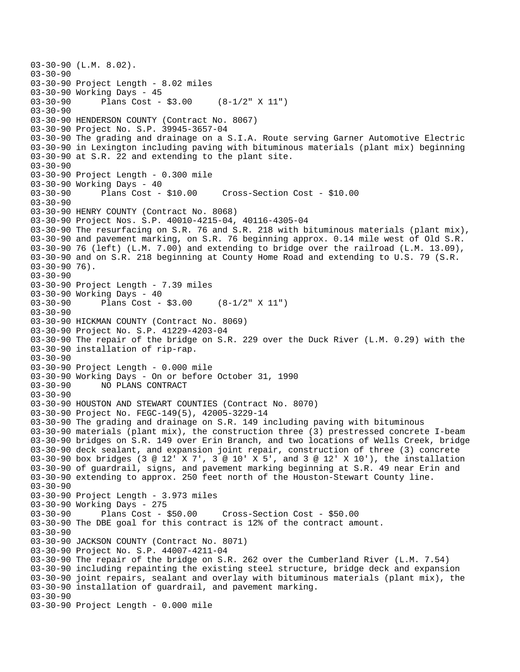```
03-30-90 (L.M. 8.02). 
03-30-90 
03-30-90 Project Length - 8.02 miles 
03-30-90 Working Days - 45<br>03-30-90 Plans Cost -
              Plans Cost - $3.00 (8-1/2" X 11")
03-30-90 
03-30-90 HENDERSON COUNTY (Contract No. 8067) 
03-30-90 Project No. S.P. 39945-3657-04 
03-30-90 The grading and drainage on a S.I.A. Route serving Garner Automotive Electric 
03-30-90 in Lexington including paving with bituminous materials (plant mix) beginning 
03-30-90 at S.R. 22 and extending to the plant site. 
03-30-90 
03-30-90 Project Length - 0.300 mile 
03-30-90 Working Days - 40<br>03-30-90 Plans Cost - $10.00
03-30-90 Plans Cost - $10.00 Cross-Section Cost - $10.00 
03 - 30 - 9003-30-90 HENRY COUNTY (Contract No. 8068) 
03-30-90 Project Nos. S.P. 40010-4215-04, 40116-4305-04 
03-30-90 The resurfacing on S.R. 76 and S.R. 218 with bituminous materials (plant mix), 
03-30-90 and pavement marking, on S.R. 76 beginning approx. 0.14 mile west of Old S.R. 
03-30-90 76 (left) (L.M. 7.00) and extending to bridge over the railroad (L.M. 13.09), 
03-30-90 and on S.R. 218 beginning at County Home Road and extending to U.S. 79 (S.R. 
03-30-90 76). 
03-30-90 
03-30-90 Project Length - 7.39 miles
03-30-90 Working Days - 40 
03-30-90 Plans Cost - $3.00 (8-1/2" X 11") 
03-30-90 
03-30-90 HICKMAN COUNTY (Contract No. 8069) 
03-30-90 Project No. S.P. 41229-4203-04 
03-30-90 The repair of the bridge on S.R. 229 over the Duck River (L.M. 0.29) with the 
03-30-90 installation of rip-rap. 
03-30-90 
03-30-90 Project Length - 0.000 mile 
03-30-90 Working Days - On or before October 31, 1990 
03-30-90 NO PLANS CONTRACT 
03-30-90 
03-30-90 HOUSTON AND STEWART COUNTIES (Contract No. 8070) 
03-30-90 Project No. FEGC-149(5), 42005-3229-14 
03-30-90 The grading and drainage on S.R. 149 including paving with bituminous 
03-30-90 materials (plant mix), the construction three (3) prestressed concrete I-beam 
03-30-90 bridges on S.R. 149 over Erin Branch, and two locations of Wells Creek, bridge 
03-30-90 deck sealant, and expansion joint repair, construction of three (3) concrete 
03-30-90 box bridges (3 @ 12' X 7', 3 @ 10' X 5', and 3 @ 12' X 10'), the installation 
03-30-90 of guardrail, signs, and pavement marking beginning at S.R. 49 near Erin and 
03-30-90 extending to approx. 250 feet north of the Houston-Stewart County line. 
03-30-90 
03-30-90 Project Length - 3.973 miles 
03-30-90 Working Days - 275 
03-30-90 Plans Cost - $50.00 Cross-Section Cost - $50.00 
03-30-90 The DBE goal for this contract is 12% of the contract amount. 
03-30-90 
03-30-90 JACKSON COUNTY (Contract No. 8071) 
03-30-90 Project No. S.P. 44007-4211-04 
03-30-90 The repair of the bridge on S.R. 262 over the Cumberland River (L.M. 7.54) 
03-30-90 including repainting the existing steel structure, bridge deck and expansion 
03-30-90 joint repairs, sealant and overlay with bituminous materials (plant mix), the 
03-30-90 installation of guardrail, and pavement marking. 
03-30-90 
03-30-90 Project Length - 0.000 mile
```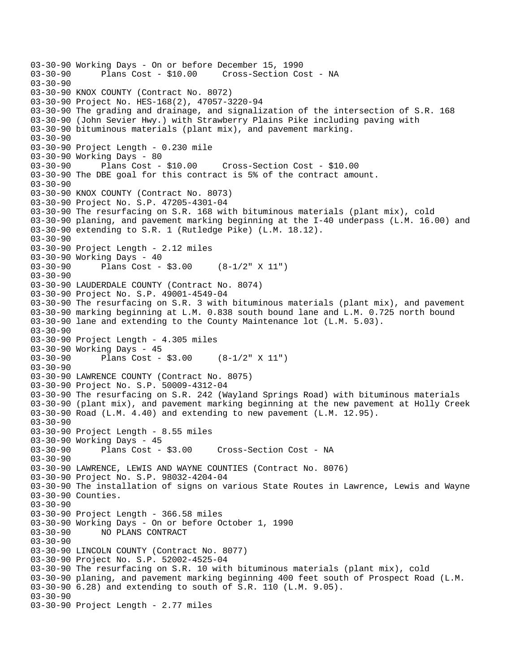```
03-30-90 Working Days - On or before December 15, 1990 
                                    Cross-Section Cost - NA
03-30-90 
03-30-90 KNOX COUNTY (Contract No. 8072) 
03-30-90 Project No. HES-168(2), 47057-3220-94 
03-30-90 The grading and drainage, and signalization of the intersection of S.R. 168 
03-30-90 (John Sevier Hwy.) with Strawberry Plains Pike including paving with 
03-30-90 bituminous materials (plant mix), and pavement marking. 
03-30-90 
03-30-90 Project Length - 0.230 mile 
03-30-90 Working Days - 80 
03-30-90 Plans Cost - $10.00 Cross-Section Cost - $10.00 
03-30-90 The DBE goal for this contract is 5% of the contract amount. 
03-30-90 
03-30-90 KNOX COUNTY (Contract No. 8073) 
03-30-90 Project No. S.P. 47205-4301-04 
03-30-90 The resurfacing on S.R. 168 with bituminous materials (plant mix), cold 
03-30-90 planing, and pavement marking beginning at the I-40 underpass (L.M. 16.00) and 
03-30-90 extending to S.R. 1 (Rutledge Pike) (L.M. 18.12). 
03-30-90 
03-30-90 Project Length - 2.12 miles 
03-30-90 Working Days - 40 
03-30-90 Plans Cost - $3.00 (8-1/2" X 11") 
03-30-90 
03-30-90 LAUDERDALE COUNTY (Contract No. 8074) 
03-30-90 Project No. S.P. 49001-4549-04 
03-30-90 The resurfacing on S.R. 3 with bituminous materials (plant mix), and pavement 
03-30-90 marking beginning at L.M. 0.838 south bound lane and L.M. 0.725 north bound 
03-30-90 lane and extending to the County Maintenance lot (L.M. 5.03). 
03-30-90 
03-30-90 Project Length - 4.305 miles 
03-30-90 Working Days - 45<br>03-30-90 Plans Cost -
              Plans Cost - $3.00 (8-1/2" X 11")
03-30-90 
03-30-90 LAWRENCE COUNTY (Contract No. 8075) 
03-30-90 Project No. S.P. 50009-4312-04 
03-30-90 The resurfacing on S.R. 242 (Wayland Springs Road) with bituminous materials 
03-30-90 (plant mix), and pavement marking beginning at the new pavement at Holly Creek 
03-30-90 Road (L.M. 4.40) and extending to new pavement (L.M. 12.95). 
03-30-90 
03-30-90 Project Length - 8.55 miles 
03-30-90 Working Days - 45 
03-30-90 Plans Cost - $3.00 Cross-Section Cost - NA 
03-30-90 
03-30-90 LAWRENCE, LEWIS AND WAYNE COUNTIES (Contract No. 8076) 
03-30-90 Project No. S.P. 98032-4204-04 
03-30-90 The installation of signs on various State Routes in Lawrence, Lewis and Wayne 
03-30-90 Counties. 
03-30-90 
03-30-90 Project Length - 366.58 miles 
03-30-90 Working Days - On or before October 1, 1990 
03-30-90 NO PLANS CONTRACT 
03-30-90 
03-30-90 LINCOLN COUNTY (Contract No. 8077) 
03-30-90 Project No. S.P. 52002-4525-04 
03-30-90 The resurfacing on S.R. 10 with bituminous materials (plant mix), cold 
03-30-90 planing, and pavement marking beginning 400 feet south of Prospect Road (L.M. 
03-30-90 6.28) and extending to south of S.R. 110 (L.M. 9.05). 
03-30-90 
03-30-90 Project Length - 2.77 miles
```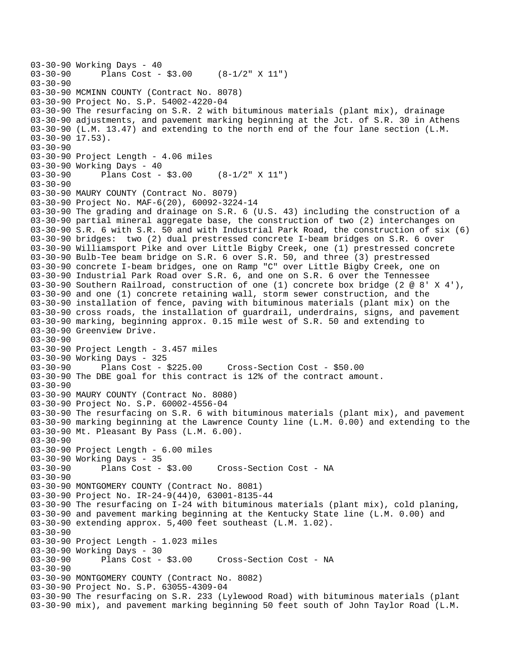03-30-90 Working Days - 40<br>03-30-90 Plans Cost -Plans Cost -  $$3.00$  (8-1/2" X 11") 03-30-90 03-30-90 MCMINN COUNTY (Contract No. 8078) 03-30-90 Project No. S.P. 54002-4220-04 03-30-90 The resurfacing on S.R. 2 with bituminous materials (plant mix), drainage 03-30-90 adjustments, and pavement marking beginning at the Jct. of S.R. 30 in Athens 03-30-90 (L.M. 13.47) and extending to the north end of the four lane section (L.M. 03-30-90 17.53). 03-30-90 03-30-90 Project Length - 4.06 miles 03-30-90 Working Days - 40 03-30-90 Plans Cost - \$3.00 (8-1/2" X 11") 03-30-90 03-30-90 MAURY COUNTY (Contract No. 8079) 03-30-90 Project No. MAF-6(20), 60092-3224-14 03-30-90 The grading and drainage on S.R. 6 (U.S. 43) including the construction of a 03-30-90 partial mineral aggregate base, the construction of two (2) interchanges on 03-30-90 S.R. 6 with S.R. 50 and with Industrial Park Road, the construction of six (6) 03-30-90 bridges: two (2) dual prestressed concrete I-beam bridges on S.R. 6 over 03-30-90 Williamsport Pike and over Little Bigby Creek, one (1) prestressed concrete 03-30-90 Bulb-Tee beam bridge on S.R. 6 over S.R. 50, and three (3) prestressed 03-30-90 concrete I-beam bridges, one on Ramp "C" over Little Bigby Creek, one on 03-30-90 Industrial Park Road over S.R. 6, and one on S.R. 6 over the Tennessee 03-30-90 Southern Railroad, construction of one (1) concrete box bridge (2 @ 8' X 4'), 03-30-90 and one (1) concrete retaining wall, storm sewer construction, and the 03-30-90 installation of fence, paving with bituminous materials (plant mix) on the 03-30-90 cross roads, the installation of guardrail, underdrains, signs, and pavement 03-30-90 marking, beginning approx. 0.15 mile west of S.R. 50 and extending to 03-30-90 Greenview Drive. 03-30-90 03-30-90 Project Length - 3.457 miles 03-30-90 Working Days - 325 03-30-90 Plans Cost - \$225.00 Cross-Section Cost - \$50.00 03-30-90 The DBE goal for this contract is 12% of the contract amount.  $03 - 30 - 90$ 03-30-90 MAURY COUNTY (Contract No. 8080) 03-30-90 Project No. S.P. 60002-4556-04 03-30-90 The resurfacing on S.R. 6 with bituminous materials (plant mix), and pavement 03-30-90 marking beginning at the Lawrence County line (L.M. 0.00) and extending to the 03-30-90 Mt. Pleasant By Pass (L.M. 6.00). 03-30-90 03-30-90 Project Length - 6.00 miles 03-30-90 Working Days - 35 03-30-90 Plans Cost - \$3.00 Cross-Section Cost - NA 03-30-90 03-30-90 MONTGOMERY COUNTY (Contract No. 8081) 03-30-90 Project No. IR-24-9(44)0, 63001-8135-44 03-30-90 The resurfacing on I-24 with bituminous materials (plant mix), cold planing, 03-30-90 and pavement marking beginning at the Kentucky State line (L.M. 0.00) and 03-30-90 extending approx. 5,400 feet southeast (L.M. 1.02). 03-30-90 03-30-90 Project Length - 1.023 miles 03-30-90 Working Days - 30<br>03-30-90 Plans Cost - \$3.00 Cross-Section Cost - NA 03-30-90 03-30-90 MONTGOMERY COUNTY (Contract No. 8082) 03-30-90 Project No. S.P. 63055-4309-04 03-30-90 The resurfacing on S.R. 233 (Lylewood Road) with bituminous materials (plant 03-30-90 mix), and pavement marking beginning 50 feet south of John Taylor Road (L.M.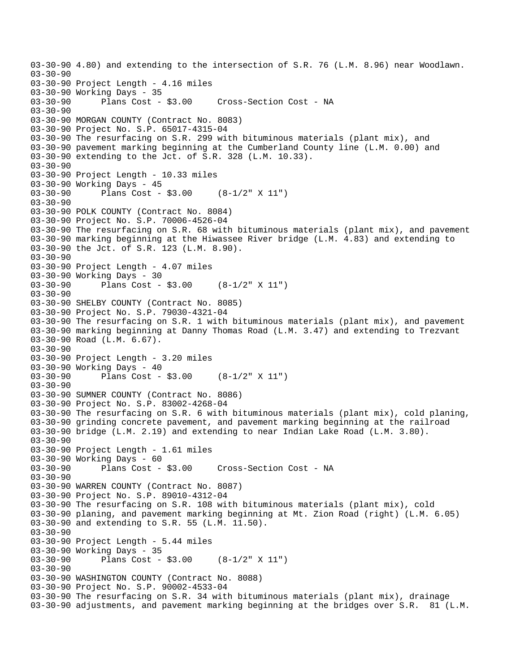03-30-90 4.80) and extending to the intersection of S.R. 76 (L.M. 8.96) near Woodlawn. 03-30-90 03-30-90 Project Length - 4.16 miles 03-30-90 Working Days - 35 Cross-Section Cost - NA 03-30-90 03-30-90 MORGAN COUNTY (Contract No. 8083) 03-30-90 Project No. S.P. 65017-4315-04 03-30-90 The resurfacing on S.R. 299 with bituminous materials (plant mix), and 03-30-90 pavement marking beginning at the Cumberland County line (L.M. 0.00) and 03-30-90 extending to the Jct. of S.R. 328 (L.M. 10.33). 03-30-90 03-30-90 Project Length - 10.33 miles 03-30-90 Working Days - 45<br>03-30-90 Plans Cost -Plans Cost - \$3.00 (8-1/2" X 11")  $03 - 30 - 90$ 03-30-90 POLK COUNTY (Contract No. 8084) 03-30-90 Project No. S.P. 70006-4526-04 03-30-90 The resurfacing on S.R. 68 with bituminous materials (plant mix), and pavement 03-30-90 marking beginning at the Hiwassee River bridge (L.M. 4.83) and extending to 03-30-90 the Jct. of S.R. 123 (L.M. 8.90). 03-30-90 03-30-90 Project Length - 4.07 miles 03-30-90 Working Days - 30<br>03-30-90 Plans Cost -Plans Cost - \$3.00 (8-1/2" X 11")  $03 - 30 - 90$ 03-30-90 SHELBY COUNTY (Contract No. 8085) 03-30-90 Project No. S.P. 79030-4321-04 03-30-90 The resurfacing on S.R. 1 with bituminous materials (plant mix), and pavement 03-30-90 marking beginning at Danny Thomas Road (L.M. 3.47) and extending to Trezvant 03-30-90 Road (L.M. 6.67). 03-30-90 03-30-90 Project Length - 3.20 miles 03-30-90 Working Days - 40<br>03-30-90 Plans Cost -Plans Cost -  $$3.00$  (8-1/2" X 11")  $03 - 30 - 90$ 03-30-90 SUMNER COUNTY (Contract No. 8086) 03-30-90 Project No. S.P. 83002-4268-04 03-30-90 The resurfacing on S.R. 6 with bituminous materials (plant mix), cold planing, 03-30-90 grinding concrete pavement, and pavement marking beginning at the railroad 03-30-90 bridge (L.M. 2.19) and extending to near Indian Lake Road (L.M. 3.80). 03-30-90 03-30-90 Project Length - 1.61 miles 03-30-90 Working Days - 60 03-30-90 Plans Cost - \$3.00 Cross-Section Cost - NA 03-30-90 03-30-90 WARREN COUNTY (Contract No. 8087) 03-30-90 Project No. S.P. 89010-4312-04 03-30-90 The resurfacing on S.R. 108 with bituminous materials (plant mix), cold 03-30-90 planing, and pavement marking beginning at Mt. Zion Road (right) (L.M. 6.05) 03-30-90 and extending to S.R. 55 (L.M. 11.50). 03-30-90 03-30-90 Project Length - 5.44 miles 03-30-90 Working Days - 35<br>03-30-90 Plans Cost -Plans Cost - \$3.00 (8-1/2" X 11") 03-30-90 03-30-90 WASHINGTON COUNTY (Contract No. 8088) 03-30-90 Project No. S.P. 90002-4533-04 03-30-90 The resurfacing on S.R. 34 with bituminous materials (plant mix), drainage 03-30-90 adjustments, and pavement marking beginning at the bridges over S.R. 81 (L.M.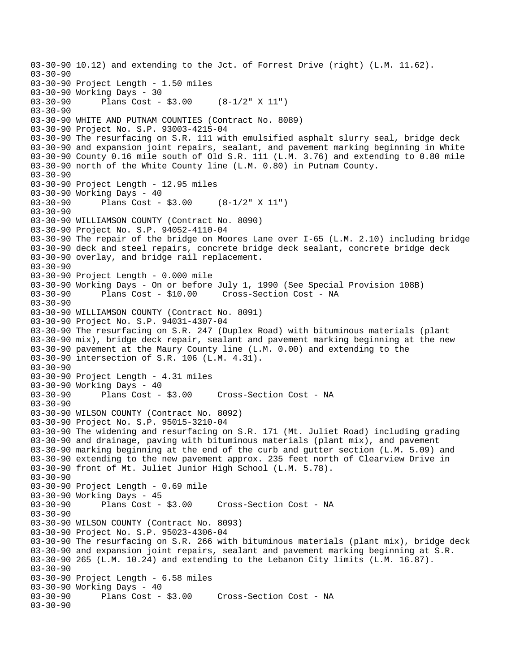03-30-90 10.12) and extending to the Jct. of Forrest Drive (right) (L.M. 11.62). 03-30-90 03-30-90 Project Length - 1.50 miles 03-30-90 Working Days - 30<br>03-30-90 Plans Cost -Plans Cost -  $$3.00$  (8-1/2" X 11") 03-30-90 03-30-90 WHITE AND PUTNAM COUNTIES (Contract No. 8089) 03-30-90 Project No. S.P. 93003-4215-04 03-30-90 The resurfacing on S.R. 111 with emulsified asphalt slurry seal, bridge deck 03-30-90 and expansion joint repairs, sealant, and pavement marking beginning in White 03-30-90 County 0.16 mile south of Old S.R. 111 (L.M. 3.76) and extending to 0.80 mile 03-30-90 north of the White County line (L.M. 0.80) in Putnam County.  $03 - 30 - 90$ 03-30-90 Project Length - 12.95 miles 03-30-90 Working Days - 40<br>03-30-90 Plans Cost -Plans  $Cost - $3.00$  (8-1/2" X 11") 03-30-90 03-30-90 WILLIAMSON COUNTY (Contract No. 8090) 03-30-90 Project No. S.P. 94052-4110-04 03-30-90 The repair of the bridge on Moores Lane over I-65 (L.M. 2.10) including bridge 03-30-90 deck and steel repairs, concrete bridge deck sealant, concrete bridge deck 03-30-90 overlay, and bridge rail replacement. 03-30-90 03-30-90 Project Length - 0.000 mile 03-30-90 Working Days - On or before July 1, 1990 (See Special Provision 108B)<br>03-30-90 Plans Cost - \$10.00 Cross-Section Cost - NA 03-30-90 Plans Cost - \$10.00 Cross-Section Cost - NA 03-30-90 03-30-90 WILLIAMSON COUNTY (Contract No. 8091) 03-30-90 Project No. S.P. 94031-4307-04 03-30-90 The resurfacing on S.R. 247 (Duplex Road) with bituminous materials (plant 03-30-90 mix), bridge deck repair, sealant and pavement marking beginning at the new 03-30-90 pavement at the Maury County line (L.M. 0.00) and extending to the 03-30-90 intersection of S.R. 106 (L.M. 4.31). 03-30-90 03-30-90 Project Length - 4.31 miles 03-30-90 Working Days - 40 03-30-90 Plans Cost - \$3.00 Cross-Section Cost - NA 03-30-90 03-30-90 WILSON COUNTY (Contract No. 8092) 03-30-90 Project No. S.P. 95015-3210-04 03-30-90 The widening and resurfacing on S.R. 171 (Mt. Juliet Road) including grading 03-30-90 and drainage, paving with bituminous materials (plant mix), and pavement 03-30-90 marking beginning at the end of the curb and gutter section (L.M. 5.09) and 03-30-90 extending to the new pavement approx. 235 feet north of Clearview Drive in 03-30-90 front of Mt. Juliet Junior High School (L.M. 5.78). 03-30-90 03-30-90 Project Length - 0.69 mile 03-30-90 Working Days - 45<br>03-30-90 Plans Cost - \$3.00 Cross-Section Cost - NA 03-30-90 03-30-90 WILSON COUNTY (Contract No. 8093) 03-30-90 Project No. S.P. 95023-4306-04 03-30-90 The resurfacing on S.R. 266 with bituminous materials (plant mix), bridge deck 03-30-90 and expansion joint repairs, sealant and pavement marking beginning at S.R. 03-30-90 265 (L.M. 10.24) and extending to the Lebanon City limits (L.M. 16.87). 03-30-90 03-30-90 Project Length - 6.58 miles 03-30-90 Working Days - 40 Cross-Section Cost - NA 03-30-90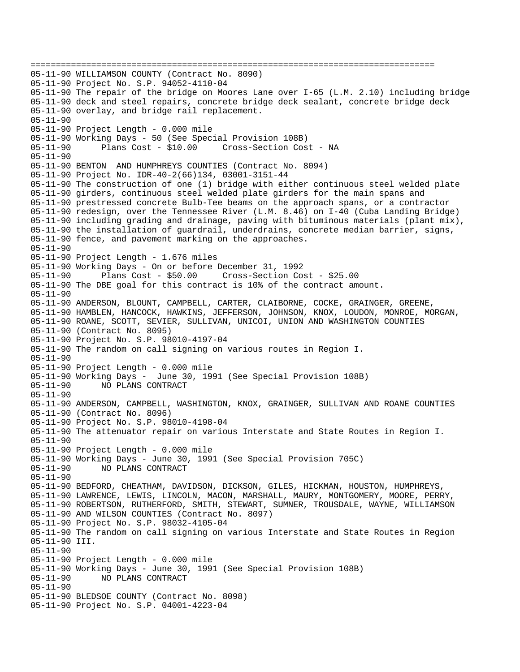================================================================================ 05-11-90 WILLIAMSON COUNTY (Contract No. 8090) 05-11-90 Project No. S.P. 94052-4110-04 05-11-90 The repair of the bridge on Moores Lane over I-65 (L.M. 2.10) including bridge 05-11-90 deck and steel repairs, concrete bridge deck sealant, concrete bridge deck 05-11-90 overlay, and bridge rail replacement. 05-11-90 05-11-90 Project Length - 0.000 mile 05-11-90 Working Days - 50 (See Special Provision 108B) 05-11-90 Plans Cost - \$10.00 Cross-Section Cost - NA 05-11-90 05-11-90 BENTON AND HUMPHREYS COUNTIES (Contract No. 8094) 05-11-90 Project No. IDR-40-2(66)134, 03001-3151-44 05-11-90 The construction of one (1) bridge with either continuous steel welded plate 05-11-90 girders, continuous steel welded plate girders for the main spans and 05-11-90 prestressed concrete Bulb-Tee beams on the approach spans, or a contractor 05-11-90 redesign, over the Tennessee River (L.M. 8.46) on I-40 (Cuba Landing Bridge) 05-11-90 including grading and drainage, paving with bituminous materials (plant mix), 05-11-90 the installation of guardrail, underdrains, concrete median barrier, signs, 05-11-90 fence, and pavement marking on the approaches. 05-11-90 05-11-90 Project Length - 1.676 miles 05-11-90 Working Days - On or before December 31, 1992 05-11-90 Plans Cost - \$50.00 Cross-Section Cost - \$25.00 05-11-90 The DBE goal for this contract is 10% of the contract amount. 05-11-90 05-11-90 ANDERSON, BLOUNT, CAMPBELL, CARTER, CLAIBORNE, COCKE, GRAINGER, GREENE, 05-11-90 HAMBLEN, HANCOCK, HAWKINS, JEFFERSON, JOHNSON, KNOX, LOUDON, MONROE, MORGAN, 05-11-90 ROANE, SCOTT, SEVIER, SULLIVAN, UNICOI, UNION AND WASHINGTON COUNTIES 05-11-90 (Contract No. 8095) 05-11-90 Project No. S.P. 98010-4197-04 05-11-90 The random on call signing on various routes in Region I. 05-11-90 05-11-90 Project Length - 0.000 mile 05-11-90 Working Days - June 30, 1991 (See Special Provision 108B) 05-11-90 NO PLANS CONTRACT 05-11-90 05-11-90 ANDERSON, CAMPBELL, WASHINGTON, KNOX, GRAINGER, SULLIVAN AND ROANE COUNTIES 05-11-90 (Contract No. 8096) 05-11-90 Project No. S.P. 98010-4198-04 05-11-90 The attenuator repair on various Interstate and State Routes in Region I. 05-11-90 05-11-90 Project Length - 0.000 mile 05-11-90 Working Days - June 30, 1991 (See Special Provision 705C) 05-11-90 NO PLANS CONTRACT 05-11-90 05-11-90 BEDFORD, CHEATHAM, DAVIDSON, DICKSON, GILES, HICKMAN, HOUSTON, HUMPHREYS, 05-11-90 LAWRENCE, LEWIS, LINCOLN, MACON, MARSHALL, MAURY, MONTGOMERY, MOORE, PERRY, 05-11-90 ROBERTSON, RUTHERFORD, SMITH, STEWART, SUMNER, TROUSDALE, WAYNE, WILLIAMSON 05-11-90 AND WILSON COUNTIES (Contract No. 8097) 05-11-90 Project No. S.P. 98032-4105-04 05-11-90 The random on call signing on various Interstate and State Routes in Region 05-11-90 III. 05-11-90 05-11-90 Project Length - 0.000 mile 05-11-90 Working Days - June 30, 1991 (See Special Provision 108B) 05-11-90 NO PLANS CONTRACT 05-11-90 05-11-90 BLEDSOE COUNTY (Contract No. 8098) 05-11-90 Project No. S.P. 04001-4223-04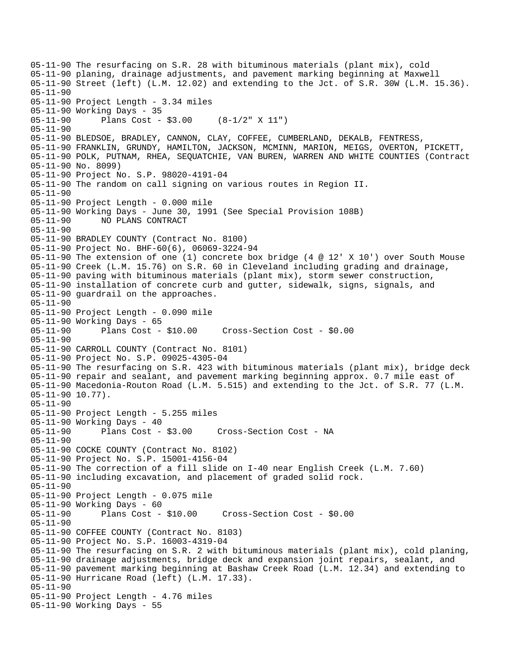05-11-90 The resurfacing on S.R. 28 with bituminous materials (plant mix), cold 05-11-90 planing, drainage adjustments, and pavement marking beginning at Maxwell 05-11-90 Street (left) (L.M. 12.02) and extending to the Jct. of S.R. 30W (L.M. 15.36). 05-11-90 05-11-90 Project Length - 3.34 miles 05-11-90 Working Days - 35 05-11-90 Plans Cost - \$3.00 (8-1/2" X 11") 05-11-90 05-11-90 BLEDSOE, BRADLEY, CANNON, CLAY, COFFEE, CUMBERLAND, DEKALB, FENTRESS, 05-11-90 FRANKLIN, GRUNDY, HAMILTON, JACKSON, MCMINN, MARION, MEIGS, OVERTON, PICKETT, 05-11-90 POLK, PUTNAM, RHEA, SEQUATCHIE, VAN BUREN, WARREN AND WHITE COUNTIES (Contract 05-11-90 No. 8099) 05-11-90 Project No. S.P. 98020-4191-04 05-11-90 The random on call signing on various routes in Region II. 05-11-90 05-11-90 Project Length - 0.000 mile 05-11-90 Working Days - June 30, 1991 (See Special Provision 108B) 05-11-90 NO PLANS CONTRACT 05-11-90 05-11-90 BRADLEY COUNTY (Contract No. 8100) 05-11-90 Project No. BHF-60(6), 06069-3224-94 05-11-90 The extension of one (1) concrete box bridge (4 @ 12' X 10') over South Mouse 05-11-90 Creek (L.M. 15.76) on S.R. 60 in Cleveland including grading and drainage, 05-11-90 paving with bituminous materials (plant mix), storm sewer construction, 05-11-90 installation of concrete curb and gutter, sidewalk, signs, signals, and 05-11-90 guardrail on the approaches. 05-11-90 05-11-90 Project Length - 0.090 mile 05-11-90 Working Days - 65 05-11-90 Plans Cost - \$10.00 Cross-Section Cost - \$0.00 05-11-90 05-11-90 CARROLL COUNTY (Contract No. 8101) 05-11-90 Project No. S.P. 09025-4305-04 05-11-90 The resurfacing on S.R. 423 with bituminous materials (plant mix), bridge deck 05-11-90 repair and sealant, and pavement marking beginning approx. 0.7 mile east of 05-11-90 Macedonia-Routon Road (L.M. 5.515) and extending to the Jct. of S.R. 77 (L.M. 05-11-90 10.77). 05-11-90 05-11-90 Project Length - 5.255 miles 05-11-90 Working Days - 40 05-11-90 Plans Cost - \$3.00 Cross-Section Cost - NA 05-11-90 05-11-90 COCKE COUNTY (Contract No. 8102) 05-11-90 Project No. S.P. 15001-4156-04 05-11-90 The correction of a fill slide on I-40 near English Creek (L.M. 7.60) 05-11-90 including excavation, and placement of graded solid rock. 05-11-90 05-11-90 Project Length - 0.075 mile 05-11-90 Working Days - 60 05-11-90 Plans Cost - \$10.00 Cross-Section Cost - \$0.00 05-11-90 05-11-90 COFFEE COUNTY (Contract No. 8103) 05-11-90 Project No. S.P. 16003-4319-04 05-11-90 The resurfacing on S.R. 2 with bituminous materials (plant mix), cold planing, 05-11-90 drainage adjustments, bridge deck and expansion joint repairs, sealant, and 05-11-90 pavement marking beginning at Bashaw Creek Road (L.M. 12.34) and extending to 05-11-90 Hurricane Road (left) (L.M. 17.33). 05-11-90 05-11-90 Project Length - 4.76 miles 05-11-90 Working Days - 55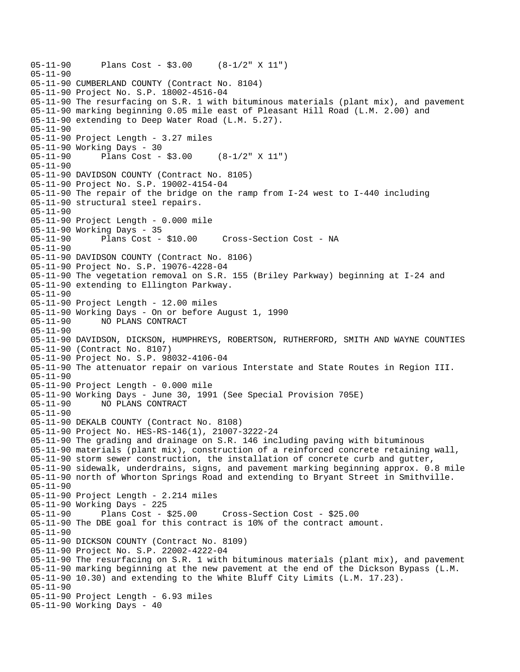```
05-11-90 Plans Cost - $3.00 (8-1/2" X 11") 
05-11-90 
05-11-90 CUMBERLAND COUNTY (Contract No. 8104) 
05-11-90 Project No. S.P. 18002-4516-04 
05-11-90 The resurfacing on S.R. 1 with bituminous materials (plant mix), and pavement 
05-11-90 marking beginning 0.05 mile east of Pleasant Hill Road (L.M. 2.00) and 
05-11-90 extending to Deep Water Road (L.M. 5.27). 
05-11-90 
05-11-90 Project Length - 3.27 miles 
05-11-90 Working Days - 30 
05-11-90 Plans Cost - $3.00 (8-1/2" X 11") 
05-11-90 
05-11-90 DAVIDSON COUNTY (Contract No. 8105) 
05-11-90 Project No. S.P. 19002-4154-04 
05-11-90 The repair of the bridge on the ramp from I-24 west to I-440 including 
05-11-90 structural steel repairs. 
05-11-90 
05-11-90 Project Length - 0.000 mile 
05-11-90 Working Days - 35 
05-11-90 Plans Cost - $10.00 Cross-Section Cost - NA 
05-11-90 
05-11-90 DAVIDSON COUNTY (Contract No. 8106) 
05-11-90 Project No. S.P. 19076-4228-04 
05-11-90 The vegetation removal on S.R. 155 (Briley Parkway) beginning at I-24 and 
05-11-90 extending to Ellington Parkway. 
05-11-90 
05-11-90 Project Length - 12.00 miles 
05-11-90 Working Days - On or before August 1, 1990 
05-11-90 NO PLANS CONTRACT 
05-11-90 
05-11-90 DAVIDSON, DICKSON, HUMPHREYS, ROBERTSON, RUTHERFORD, SMITH AND WAYNE COUNTIES 
05-11-90 (Contract No. 8107) 
05-11-90 Project No. S.P. 98032-4106-04 
05-11-90 The attenuator repair on various Interstate and State Routes in Region III. 
05-11-90 
05-11-90 Project Length - 0.000 mile 
05-11-90 Working Days - June 30, 1991 (See Special Provision 705E) 
05-11-90 NO PLANS CONTRACT 
05-11-90 
05-11-90 DEKALB COUNTY (Contract No. 8108) 
05-11-90 Project No. HES-RS-146(1), 21007-3222-24 
05-11-90 The grading and drainage on S.R. 146 including paving with bituminous 
05-11-90 materials (plant mix), construction of a reinforced concrete retaining wall, 
05-11-90 storm sewer construction, the installation of concrete curb and gutter, 
05-11-90 sidewalk, underdrains, signs, and pavement marking beginning approx. 0.8 mile 
05-11-90 north of Whorton Springs Road and extending to Bryant Street in Smithville. 
05-11-90 
05-11-90 Project Length - 2.214 miles 
05-11-90 Working Days - 225 
05-11-90 Plans Cost - $25.00 Cross-Section Cost - $25.00 
05-11-90 The DBE goal for this contract is 10% of the contract amount. 
05-11-90 
05-11-90 DICKSON COUNTY (Contract No. 8109) 
05-11-90 Project No. S.P. 22002-4222-04 
05-11-90 The resurfacing on S.R. 1 with bituminous materials (plant mix), and pavement 
05-11-90 marking beginning at the new pavement at the end of the Dickson Bypass (L.M. 
05-11-90 10.30) and extending to the White Bluff City Limits (L.M. 17.23). 
05-11-90 
05-11-90 Project Length - 6.93 miles 
05-11-90 Working Days - 40
```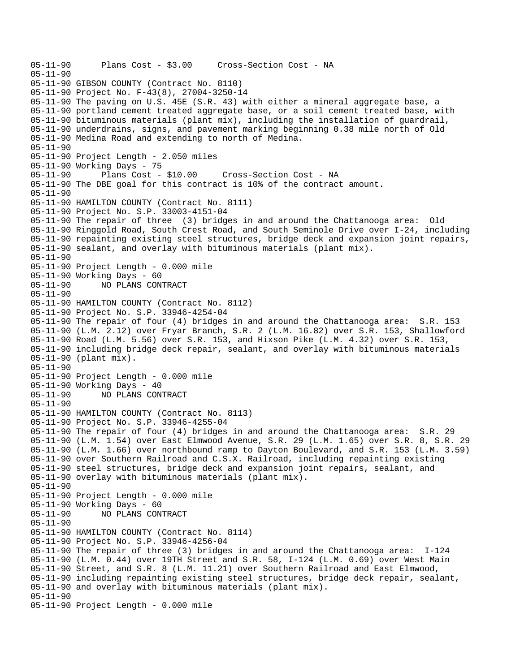05-11-90 Plans Cost - \$3.00 Cross-Section Cost - NA 05-11-90 05-11-90 GIBSON COUNTY (Contract No. 8110) 05-11-90 Project No. F-43(8), 27004-3250-14 05-11-90 The paving on U.S. 45E (S.R. 43) with either a mineral aggregate base, a 05-11-90 portland cement treated aggregate base, or a soil cement treated base, with 05-11-90 bituminous materials (plant mix), including the installation of guardrail, 05-11-90 underdrains, signs, and pavement marking beginning 0.38 mile north of Old 05-11-90 Medina Road and extending to north of Medina. 05-11-90 05-11-90 Project Length - 2.050 miles 05-11-90 Working Days - 75 05-11-90 Plans Cost - \$10.00 Cross-Section Cost - NA 05-11-90 The DBE goal for this contract is 10% of the contract amount. 05-11-90 05-11-90 HAMILTON COUNTY (Contract No. 8111) 05-11-90 Project No. S.P. 33003-4151-04 05-11-90 The repair of three (3) bridges in and around the Chattanooga area: Old 05-11-90 Ringgold Road, South Crest Road, and South Seminole Drive over I-24, including 05-11-90 repainting existing steel structures, bridge deck and expansion joint repairs, 05-11-90 sealant, and overlay with bituminous materials (plant mix). 05-11-90 05-11-90 Project Length - 0.000 mile 05-11-90 Working Days - 60 NO PLANS CONTRACT  $05 - 11 - 90$ 05-11-90 HAMILTON COUNTY (Contract No. 8112) 05-11-90 Project No. S.P. 33946-4254-04 05-11-90 The repair of four (4) bridges in and around the Chattanooga area: S.R. 153 05-11-90 (L.M. 2.12) over Fryar Branch, S.R. 2 (L.M. 16.82) over S.R. 153, Shallowford 05-11-90 Road (L.M. 5.56) over S.R. 153, and Hixson Pike (L.M. 4.32) over S.R. 153, 05-11-90 including bridge deck repair, sealant, and overlay with bituminous materials 05-11-90 (plant mix). 05-11-90 05-11-90 Project Length - 0.000 mile 05-11-90 Working Days - 40 05-11-90 NO PLANS CONTRACT 05-11-90 05-11-90 HAMILTON COUNTY (Contract No. 8113) 05-11-90 Project No. S.P. 33946-4255-04 05-11-90 The repair of four (4) bridges in and around the Chattanooga area: S.R. 29 05-11-90 (L.M. 1.54) over East Elmwood Avenue, S.R. 29 (L.M. 1.65) over S.R. 8, S.R. 29 05-11-90 (L.M. 1.66) over northbound ramp to Dayton Boulevard, and S.R. 153 (L.M. 3.59) 05-11-90 over Southern Railroad and C.S.X. Railroad, including repainting existing 05-11-90 steel structures, bridge deck and expansion joint repairs, sealant, and 05-11-90 overlay with bituminous materials (plant mix). 05-11-90 05-11-90 Project Length - 0.000 mile 05-11-90 Working Days - 60 05-11-90 NO PLANS CONTRACT 05-11-90 05-11-90 HAMILTON COUNTY (Contract No. 8114) 05-11-90 Project No. S.P. 33946-4256-04 05-11-90 The repair of three (3) bridges in and around the Chattanooga area: I-124 05-11-90 (L.M. 0.44) over 19TH Street and S.R. 58, I-124 (L.M. 0.69) over West Main 05-11-90 Street, and S.R. 8 (L.M. 11.21) over Southern Railroad and East Elmwood, 05-11-90 including repainting existing steel structures, bridge deck repair, sealant, 05-11-90 and overlay with bituminous materials (plant mix). 05-11-90 05-11-90 Project Length - 0.000 mile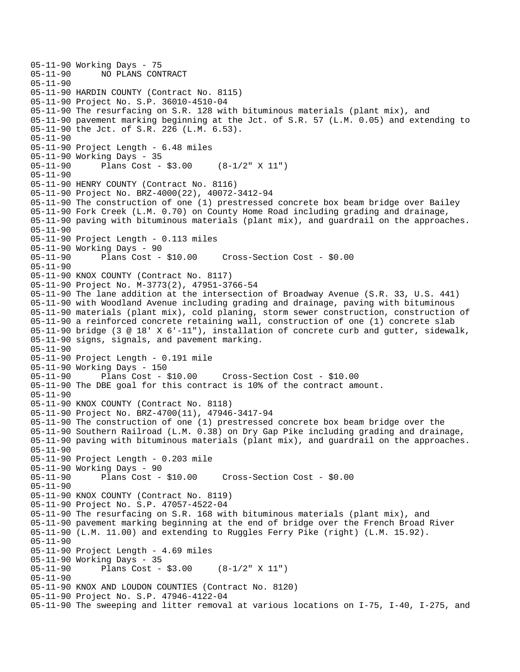```
05-11-90 Working Days - 75<br>05-11-90 NO PLANS CON
              NO PLANS CONTRACT
05-11-90 
05-11-90 HARDIN COUNTY (Contract No. 8115) 
05-11-90 Project No. S.P. 36010-4510-04 
05-11-90 The resurfacing on S.R. 128 with bituminous materials (plant mix), and 
05-11-90 pavement marking beginning at the Jct. of S.R. 57 (L.M. 0.05) and extending to 
05-11-90 the Jct. of S.R. 226 (L.M. 6.53). 
05-11-90 
05-11-90 Project Length - 6.48 miles 
05-11-90 Working Days - 35 
05-11-90 Plans Cost - $3.00 (8-1/2" X 11") 
05-11-90 
05-11-90 HENRY COUNTY (Contract No. 8116) 
05-11-90 Project No. BRZ-4000(22), 40072-3412-94 
05-11-90 The construction of one (1) prestressed concrete box beam bridge over Bailey 
05-11-90 Fork Creek (L.M. 0.70) on County Home Road including grading and drainage, 
05-11-90 paving with bituminous materials (plant mix), and guardrail on the approaches. 
05-11-90 
05-11-90 Project Length - 0.113 miles 
05-11-90 Working Days - 90<br>05-11-90 Plans Cost - $10.00
05-11-90 Plans Cost - $10.00 Cross-Section Cost - $0.00 
05-11-90 
05-11-90 KNOX COUNTY (Contract No. 8117) 
05-11-90 Project No. M-3773(2), 47951-3766-54 
05-11-90 The lane addition at the intersection of Broadway Avenue (S.R. 33, U.S. 441) 
05-11-90 with Woodland Avenue including grading and drainage, paving with bituminous 
05-11-90 materials (plant mix), cold planing, storm sewer construction, construction of 
05-11-90 a reinforced concrete retaining wall, construction of one (1) concrete slab 
05-11-90 bridge (3 @ 18' X 6'-11"), installation of concrete curb and gutter, sidewalk, 
05-11-90 signs, signals, and pavement marking. 
05-11-90 
05-11-90 Project Length - 0.191 mile 
05-11-90 Working Days - 150 
                                      05-11-90 Plans Cost - $10.00 Cross-Section Cost - $10.00 
05-11-90 The DBE goal for this contract is 10% of the contract amount. 
05-11-90 
05-11-90 KNOX COUNTY (Contract No. 8118) 
05-11-90 Project No. BRZ-4700(11), 47946-3417-94 
05-11-90 The construction of one (1) prestressed concrete box beam bridge over the 
05-11-90 Southern Railroad (L.M. 0.38) on Dry Gap Pike including grading and drainage, 
05-11-90 paving with bituminous materials (plant mix), and guardrail on the approaches. 
05-11-90 
05-11-90 Project Length - 0.203 mile 
05-11-90 Working Days - 90 
05-11-90 Plans Cost - $10.00 Cross-Section Cost - $0.00 
05-11-90 
05-11-90 KNOX COUNTY (Contract No. 8119) 
05-11-90 Project No. S.P. 47057-4522-04 
05-11-90 The resurfacing on S.R. 168 with bituminous materials (plant mix), and 
05-11-90 pavement marking beginning at the end of bridge over the French Broad River 
05-11-90 (L.M. 11.00) and extending to Ruggles Ferry Pike (right) (L.M. 15.92). 
05-11-90 
05-11-90 Project Length - 4.69 miles 
05-11-90 Working Days - 35 
05-11-90 Plans Cost - $3.00 (8-1/2" X 11") 
05-11-90 
05-11-90 KNOX AND LOUDON COUNTIES (Contract No. 8120) 
05-11-90 Project No. S.P. 47946-4122-04 
05-11-90 The sweeping and litter removal at various locations on I-75, I-40, I-275, and
```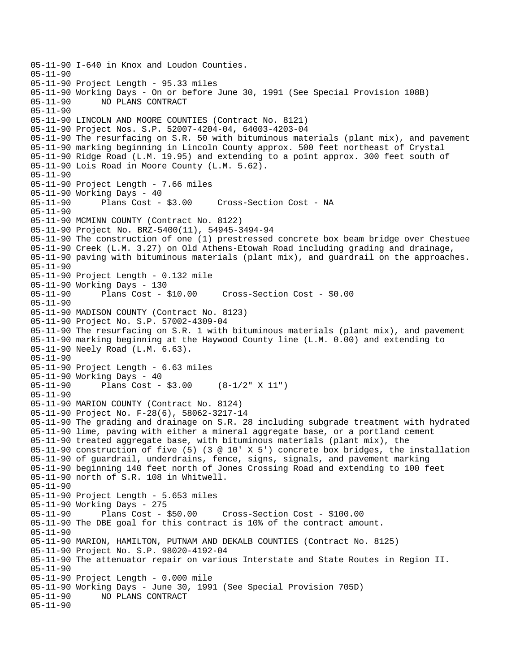05-11-90 I-640 in Knox and Loudon Counties. 05-11-90 05-11-90 Project Length - 95.33 miles 05-11-90 Working Days - On or before June 30, 1991 (See Special Provision 108B) NO PLANS CONTRACT 05-11-90 05-11-90 LINCOLN AND MOORE COUNTIES (Contract No. 8121) 05-11-90 Project Nos. S.P. 52007-4204-04, 64003-4203-04 05-11-90 The resurfacing on S.R. 50 with bituminous materials (plant mix), and pavement 05-11-90 marking beginning in Lincoln County approx. 500 feet northeast of Crystal 05-11-90 Ridge Road (L.M. 19.95) and extending to a point approx. 300 feet south of 05-11-90 Lois Road in Moore County (L.M. 5.62). 05-11-90 05-11-90 Project Length - 7.66 miles 05-11-90 Working Days - 40<br>05-11-90 Plans Cost - \$3.00 Cross-Section Cost - NA 05-11-90 05-11-90 MCMINN COUNTY (Contract No. 8122) 05-11-90 Project No. BRZ-5400(11), 54945-3494-94 05-11-90 The construction of one (1) prestressed concrete box beam bridge over Chestuee 05-11-90 Creek (L.M. 3.27) on Old Athens-Etowah Road including grading and drainage, 05-11-90 paving with bituminous materials (plant mix), and guardrail on the approaches. 05-11-90 05-11-90 Project Length - 0.132 mile 05-11-90 Working Days - 130 05-11-90 Plans Cost - \$10.00 Cross-Section Cost - \$0.00 05-11-90 05-11-90 MADISON COUNTY (Contract No. 8123) 05-11-90 Project No. S.P. 57002-4309-04 05-11-90 The resurfacing on S.R. 1 with bituminous materials (plant mix), and pavement 05-11-90 marking beginning at the Haywood County line (L.M. 0.00) and extending to 05-11-90 Neely Road (L.M. 6.63). 05-11-90 05-11-90 Project Length - 6.63 miles 05-11-90 Working Days - 40 05-11-90 Plans Cost - \$3.00 (8-1/2" X 11") 05-11-90 05-11-90 MARION COUNTY (Contract No. 8124) 05-11-90 Project No. F-28(6), 58062-3217-14 05-11-90 The grading and drainage on S.R. 28 including subgrade treatment with hydrated 05-11-90 lime, paving with either a mineral aggregate base, or a portland cement 05-11-90 treated aggregate base, with bituminous materials (plant mix), the 05-11-90 construction of five (5) (3 @ 10' X 5') concrete box bridges, the installation 05-11-90 of guardrail, underdrains, fence, signs, signals, and pavement marking 05-11-90 beginning 140 feet north of Jones Crossing Road and extending to 100 feet 05-11-90 north of S.R. 108 in Whitwell. 05-11-90 05-11-90 Project Length - 5.653 miles 05-11-90 Working Days - 275 05-11-90 Plans Cost - \$50.00 Cross-Section Cost - \$100.00 05-11-90 The DBE goal for this contract is 10% of the contract amount. 05-11-90 05-11-90 MARION, HAMILTON, PUTNAM AND DEKALB COUNTIES (Contract No. 8125) 05-11-90 Project No. S.P. 98020-4192-04 05-11-90 The attenuator repair on various Interstate and State Routes in Region II. 05-11-90 05-11-90 Project Length - 0.000 mile 05-11-90 Working Days - June 30, 1991 (See Special Provision 705D) NO PLANS CONTRACT 05-11-90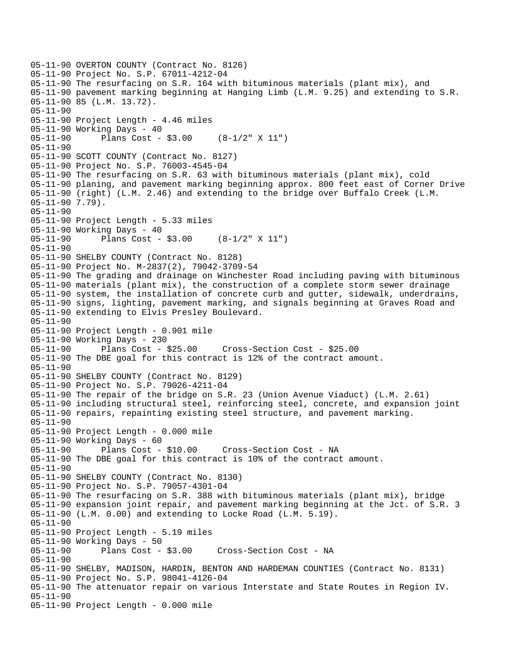```
05-11-90 OVERTON COUNTY (Contract No. 8126) 
05-11-90 Project No. S.P. 67011-4212-04 
05-11-90 The resurfacing on S.R. 164 with bituminous materials (plant mix), and 
05-11-90 pavement marking beginning at Hanging Limb (L.M. 9.25) and extending to S.R. 
05-11-90 85 (L.M. 13.72). 
05-11-90 
05-11-90 Project Length - 4.46 miles 
05-11-90 Working Days - 40 
05-11-90 Plans Cost - $3.00 (8-1/2" X 11") 
05-11-90 
05-11-90 SCOTT COUNTY (Contract No. 8127) 
05-11-90 Project No. S.P. 76003-4545-04 
05-11-90 The resurfacing on S.R. 63 with bituminous materials (plant mix), cold 
05-11-90 planing, and pavement marking beginning approx. 800 feet east of Corner Drive 
05-11-90 (right) (L.M. 2.46) and extending to the bridge over Buffalo Creek (L.M. 
05-11-90 7.79). 
05-11-90 
05-11-90 Project Length - 5.33 miles 
05-11-90 Working Days - 40 
05-11-90 Plans Cost - $3.00 (8-1/2" X 11") 
05-11-90 
05-11-90 SHELBY COUNTY (Contract No. 8128) 
05-11-90 Project No. M-2837(2), 79042-3709-54 
05-11-90 The grading and drainage on Winchester Road including paving with bituminous 
05-11-90 materials (plant mix), the construction of a complete storm sewer drainage 
05-11-90 system, the installation of concrete curb and gutter, sidewalk, underdrains, 
05-11-90 signs, lighting, pavement marking, and signals beginning at Graves Road and 
05-11-90 extending to Elvis Presley Boulevard. 
05-11-90 
05-11-90 Project Length - 0.901 mile 
05-11-90 Working Days - 230 
05-11-90 Plans Cost - $25.00 Cross-Section Cost - $25.00 
05-11-90 The DBE goal for this contract is 12% of the contract amount. 
05-11-90 
05-11-90 SHELBY COUNTY (Contract No. 8129) 
05-11-90 Project No. S.P. 79026-4211-04 
05-11-90 The repair of the bridge on S.R. 23 (Union Avenue Viaduct) (L.M. 2.61) 
05-11-90 including structural steel, reinforcing steel, concrete, and expansion joint 
05-11-90 repairs, repainting existing steel structure, and pavement marking. 
05-11-90 
05-11-90 Project Length - 0.000 mile 
05-11-90 Working Days - 60 
05-11-90 Plans Cost - $10.00 Cross-Section Cost - NA 
05-11-90 The DBE goal for this contract is 10% of the contract amount. 
05-11-90 
05-11-90 SHELBY COUNTY (Contract No. 8130) 
05-11-90 Project No. S.P. 79057-4301-04 
05-11-90 The resurfacing on S.R. 388 with bituminous materials (plant mix), bridge 
05-11-90 expansion joint repair, and pavement marking beginning at the Jct. of S.R. 3 
05-11-90 (L.M. 0.00) and extending to Locke Road (L.M. 5.19). 
05-11-90 
05-11-90 Project Length - 5.19 miles 
05-11-90 Working Days - 50 
05-11-90 Plans Cost - $3.00 Cross-Section Cost - NA 
05-11-90 
05-11-90 SHELBY, MADISON, HARDIN, BENTON AND HARDEMAN COUNTIES (Contract No. 8131) 
05-11-90 Project No. S.P. 98041-4126-04 
05-11-90 The attenuator repair on various Interstate and State Routes in Region IV. 
05-11-90 
05-11-90 Project Length - 0.000 mile
```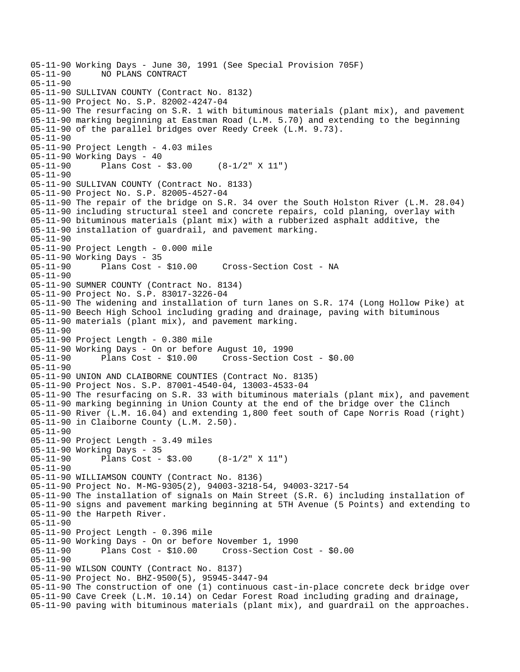05-11-90 Working Days - June 30, 1991 (See Special Provision 705F) NO PLANS CONTRACT 05-11-90 05-11-90 SULLIVAN COUNTY (Contract No. 8132) 05-11-90 Project No. S.P. 82002-4247-04 05-11-90 The resurfacing on S.R. 1 with bituminous materials (plant mix), and pavement 05-11-90 marking beginning at Eastman Road (L.M. 5.70) and extending to the beginning 05-11-90 of the parallel bridges over Reedy Creek (L.M. 9.73). 05-11-90 05-11-90 Project Length - 4.03 miles 05-11-90 Working Days - 40 05-11-90 Plans Cost - \$3.00 (8-1/2" X 11") 05-11-90 05-11-90 SULLIVAN COUNTY (Contract No. 8133) 05-11-90 Project No. S.P. 82005-4527-04 05-11-90 The repair of the bridge on S.R. 34 over the South Holston River (L.M. 28.04) 05-11-90 including structural steel and concrete repairs, cold planing, overlay with 05-11-90 bituminous materials (plant mix) with a rubberized asphalt additive, the 05-11-90 installation of guardrail, and pavement marking. 05-11-90 05-11-90 Project Length - 0.000 mile 05-11-90 Working Days - 35<br>05-11-90 Plans Cost - \$10.00 05-11-90 Plans Cost - \$10.00 Cross-Section Cost - NA 05-11-90 05-11-90 SUMNER COUNTY (Contract No. 8134) 05-11-90 Project No. S.P. 83017-3226-04 05-11-90 The widening and installation of turn lanes on S.R. 174 (Long Hollow Pike) at 05-11-90 Beech High School including grading and drainage, paving with bituminous 05-11-90 materials (plant mix), and pavement marking. 05-11-90 05-11-90 Project Length - 0.380 mile 05-11-90 Working Days - On or before August 10, 1990 Cross-Section Cost - \$0.00 05-11-90 05-11-90 UNION AND CLAIBORNE COUNTIES (Contract No. 8135) 05-11-90 Project Nos. S.P. 87001-4540-04, 13003-4533-04 05-11-90 The resurfacing on S.R. 33 with bituminous materials (plant mix), and pavement 05-11-90 marking beginning in Union County at the end of the bridge over the Clinch 05-11-90 River (L.M. 16.04) and extending 1,800 feet south of Cape Norris Road (right) 05-11-90 in Claiborne County (L.M. 2.50). 05-11-90 05-11-90 Project Length - 3.49 miles 05-11-90 Working Days - 35 05-11-90 Plans Cost - \$3.00 (8-1/2" X 11") 05-11-90 05-11-90 WILLIAMSON COUNTY (Contract No. 8136) 05-11-90 Project No. M-MG-9305(2), 94003-3218-54, 94003-3217-54 05-11-90 The installation of signals on Main Street (S.R. 6) including installation of 05-11-90 signs and pavement marking beginning at 5TH Avenue (5 Points) and extending to 05-11-90 the Harpeth River. 05-11-90 05-11-90 Project Length - 0.396 mile 05-11-90 Working Days - On or before November 1, 1990 05-11-90 Plans Cost - \$10.00 Cross-Section Cost - \$0.00 05-11-90 05-11-90 WILSON COUNTY (Contract No. 8137) 05-11-90 Project No. BHZ-9500(5), 95945-3447-94 05-11-90 The construction of one (1) continuous cast-in-place concrete deck bridge over 05-11-90 Cave Creek (L.M. 10.14) on Cedar Forest Road including grading and drainage, 05-11-90 paving with bituminous materials (plant mix), and guardrail on the approaches.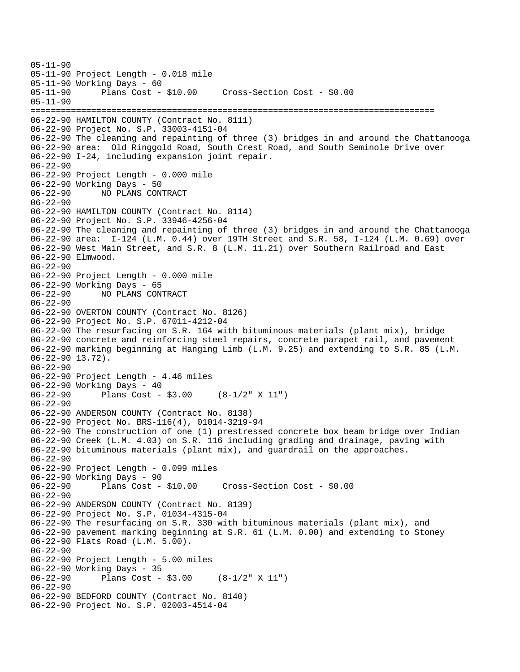05-11-90 05-11-90 Project Length - 0.018 mile 05-11-90 Working Days - 60 05-11-90 Plans Cost - \$10.00 Cross-Section Cost - \$0.00 05-11-90 ================================================================================ 06-22-90 HAMILTON COUNTY (Contract No. 8111) 06-22-90 Project No. S.P. 33003-4151-04 06-22-90 The cleaning and repainting of three (3) bridges in and around the Chattanooga 06-22-90 area: Old Ringgold Road, South Crest Road, and South Seminole Drive over 06-22-90 I-24, including expansion joint repair. 06-22-90 06-22-90 Project Length - 0.000 mile 06-22-90 Working Days - 50<br>06-22-90 NO PLANS CON 06-22-90 NO PLANS CONTRACT 06-22-90 06-22-90 HAMILTON COUNTY (Contract No. 8114) 06-22-90 Project No. S.P. 33946-4256-04 06-22-90 The cleaning and repainting of three (3) bridges in and around the Chattanooga 06-22-90 area: I-124 (L.M. 0.44) over 19TH Street and S.R. 58, I-124 (L.M. 0.69) over 06-22-90 West Main Street, and S.R. 8 (L.M. 11.21) over Southern Railroad and East 06-22-90 Elmwood. 06-22-90 06-22-90 Project Length - 0.000 mile 06-22-90 Working Days - 65 06-22-90 NO PLANS CONTRACT 06-22-90 06-22-90 OVERTON COUNTY (Contract No. 8126) 06-22-90 Project No. S.P. 67011-4212-04 06-22-90 The resurfacing on S.R. 164 with bituminous materials (plant mix), bridge 06-22-90 concrete and reinforcing steel repairs, concrete parapet rail, and pavement 06-22-90 marking beginning at Hanging Limb (L.M. 9.25) and extending to S.R. 85 (L.M. 06-22-90 13.72). 06-22-90 06-22-90 Project Length - 4.46 miles 06-22-90 Working Days - 40 06-22-90 Plans Cost - \$3.00 (8-1/2" X 11") 06-22-90 06-22-90 ANDERSON COUNTY (Contract No. 8138) 06-22-90 Project No. BRS-116(4), 01014-3219-94 06-22-90 The construction of one (1) prestressed concrete box beam bridge over Indian 06-22-90 Creek (L.M. 4.03) on S.R. 116 including grading and drainage, paving with 06-22-90 bituminous materials (plant mix), and guardrail on the approaches. 06-22-90 06-22-90 Project Length - 0.099 miles 06-22-90 Working Days - 90 06-22-90 Plans Cost - \$10.00 Cross-Section Cost - \$0.00 06-22-90 06-22-90 ANDERSON COUNTY (Contract No. 8139) 06-22-90 Project No. S.P. 01034-4315-04 06-22-90 The resurfacing on S.R. 330 with bituminous materials (plant mix), and 06-22-90 pavement marking beginning at S.R. 61 (L.M. 0.00) and extending to Stoney 06-22-90 Flats Road (L.M. 5.00). 06-22-90 06-22-90 Project Length - 5.00 miles 06-22-90 Working Days - 35 06-22-90 Plans Cost - \$3.00 (8-1/2" X 11") 06-22-90 06-22-90 BEDFORD COUNTY (Contract No. 8140) 06-22-90 Project No. S.P. 02003-4514-04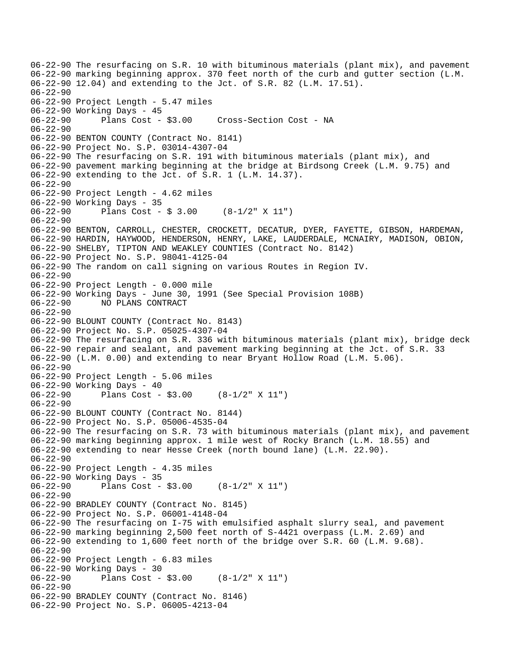06-22-90 The resurfacing on S.R. 10 with bituminous materials (plant mix), and pavement 06-22-90 marking beginning approx. 370 feet north of the curb and gutter section (L.M. 06-22-90 12.04) and extending to the Jct. of S.R. 82 (L.M. 17.51). 06-22-90 06-22-90 Project Length - 5.47 miles 06-22-90 Working Days - 45 06-22-90 Plans Cost - \$3.00 Cross-Section Cost - NA 06-22-90 06-22-90 BENTON COUNTY (Contract No. 8141) 06-22-90 Project No. S.P. 03014-4307-04 06-22-90 The resurfacing on S.R. 191 with bituminous materials (plant mix), and 06-22-90 pavement marking beginning at the bridge at Birdsong Creek (L.M. 9.75) and 06-22-90 extending to the Jct. of S.R. 1 (L.M. 14.37). 06-22-90 06-22-90 Project Length - 4.62 miles 06-22-90 Working Days - 35 06-22-90 Plans Cost - \$ 3.00 (8-1/2" X 11") 06-22-90 06-22-90 BENTON, CARROLL, CHESTER, CROCKETT, DECATUR, DYER, FAYETTE, GIBSON, HARDEMAN, 06-22-90 HARDIN, HAYWOOD, HENDERSON, HENRY, LAKE, LAUDERDALE, MCNAIRY, MADISON, OBION, 06-22-90 SHELBY, TIPTON AND WEAKLEY COUNTIES (Contract No. 8142) 06-22-90 Project No. S.P. 98041-4125-04 06-22-90 The random on call signing on various Routes in Region IV. 06-22-90 06-22-90 Project Length - 0.000 mile 06-22-90 Working Days - June 30, 1991 (See Special Provision 108B) 06-22-90 NO PLANS CONTRACT 06-22-90 06-22-90 BLOUNT COUNTY (Contract No. 8143) 06-22-90 Project No. S.P. 05025-4307-04 06-22-90 The resurfacing on S.R. 336 with bituminous materials (plant mix), bridge deck 06-22-90 repair and sealant, and pavement marking beginning at the Jct. of S.R. 33 06-22-90 (L.M. 0.00) and extending to near Bryant Hollow Road (L.M. 5.06). 06-22-90 06-22-90 Project Length - 5.06 miles 06-22-90 Working Days - 40 06-22-90 Plans Cost - \$3.00 (8-1/2" X 11") 06-22-90 06-22-90 BLOUNT COUNTY (Contract No. 8144) 06-22-90 Project No. S.P. 05006-4535-04 06-22-90 The resurfacing on S.R. 73 with bituminous materials (plant mix), and pavement 06-22-90 marking beginning approx. 1 mile west of Rocky Branch (L.M. 18.55) and 06-22-90 extending to near Hesse Creek (north bound lane) (L.M. 22.90). 06-22-90 06-22-90 Project Length - 4.35 miles 06-22-90 Working Days - 35 06-22-90 Plans Cost - \$3.00 (8-1/2" X 11") 06-22-90 06-22-90 BRADLEY COUNTY (Contract No. 8145) 06-22-90 Project No. S.P. 06001-4148-04 06-22-90 The resurfacing on I-75 with emulsified asphalt slurry seal, and pavement 06-22-90 marking beginning 2,500 feet north of S-4421 overpass (L.M. 2.69) and 06-22-90 extending to 1,600 feet north of the bridge over S.R. 60 (L.M. 9.68). 06-22-90 06-22-90 Project Length - 6.83 miles 06-22-90 Working Days - 30 06-22-90 Plans Cost - \$3.00 (8-1/2" X 11") 06-22-90 06-22-90 BRADLEY COUNTY (Contract No. 8146) 06-22-90 Project No. S.P. 06005-4213-04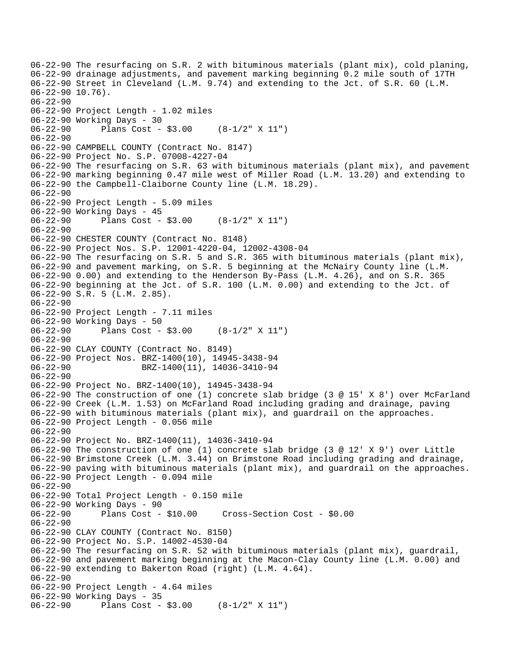```
06-22-90 The resurfacing on S.R. 2 with bituminous materials (plant mix), cold planing, 
06-22-90 drainage adjustments, and pavement marking beginning 0.2 mile south of 17TH 
06-22-90 Street in Cleveland (L.M. 9.74) and extending to the Jct. of S.R. 60 (L.M. 
06-22-90 10.76). 
06-22-90 
06-22-90 Project Length - 1.02 miles 
06-22-90 Working Days - 30 
06-22-90 Plans Cost - $3.00 (8-1/2" X 11") 
06-22-90 
06-22-90 CAMPBELL COUNTY (Contract No. 8147) 
06-22-90 Project No. S.P. 07008-4227-04 
06-22-90 The resurfacing on S.R. 63 with bituminous materials (plant mix), and pavement 
06-22-90 marking beginning 0.47 mile west of Miller Road (L.M. 13.20) and extending to 
06-22-90 the Campbell-Claiborne County line (L.M. 18.29). 
06-22-90 
06-22-90 Project Length - 5.09 miles 
06-22-90 Working Days - 45 
06-22-90 Plans Cost - $3.00 (8-1/2" X 11") 
06-22-90 
06-22-90 CHESTER COUNTY (Contract No. 8148) 
06-22-90 Project Nos. S.P. 12001-4220-04, 12002-4308-04 
06-22-90 The resurfacing on S.R. 5 and S.R. 365 with bituminous materials (plant mix), 
06-22-90 and pavement marking, on S.R. 5 beginning at the McNairy County line (L.M. 
06-22-90 0.00) and extending to the Henderson By-Pass (L.M. 4.26), and on S.R. 365 
06-22-90 beginning at the Jct. of S.R. 100 (L.M. 0.00) and extending to the Jct. of 
06-22-90 S.R. 5 (L.M. 2.85). 
06-22-90 
06-22-90 Project Length - 7.11 miles 
06-22-90 Working Days - 50 
06-22-90 Plans Cost - $3.00 (8-1/2" X 11") 
06-22-90 
06-22-90 CLAY COUNTY (Contract No. 8149) 
06-22-90 Project Nos. BRZ-1400(10), 14945-3438-94 
06-22-90 BRZ-1400(11), 14036-3410-94 
06-22-90 
06-22-90 Project No. BRZ-1400(10), 14945-3438-94 
06-22-90 The construction of one (1) concrete slab bridge (3 @ 15' X 8') over McFarland 
06-22-90 Creek (L.M. 1.53) on McFarland Road including grading and drainage, paving 
06-22-90 with bituminous materials (plant mix), and guardrail on the approaches. 
06-22-90 Project Length - 0.056 mile 
06-22-90 
06-22-90 Project No. BRZ-1400(11), 14036-3410-94 
06-22-90 The construction of one (1) concrete slab bridge (3 @ 12' X 9') over Little 
06-22-90 Brimstone Creek (L.M. 3.44) on Brimstone Road including grading and drainage, 
06-22-90 paving with bituminous materials (plant mix), and guardrail on the approaches. 
06-22-90 Project Length - 0.094 mile 
06-22-90 
06-22-90 Total Project Length - 0.150 mile 
06-22-90 Working Days - 90 
                                      06-22-90 Plans Cost - $10.00 Cross-Section Cost - $0.00 
06-22-90 
06-22-90 CLAY COUNTY (Contract No. 8150) 
06-22-90 Project No. S.P. 14002-4530-04 
06-22-90 The resurfacing on S.R. 52 with bituminous materials (plant mix), guardrail, 
06-22-90 and pavement marking beginning at the Macon-Clay County line (L.M. 0.00) and 
06-22-90 extending to Bakerton Road (right) (L.M. 4.64). 
06-22-90 
06-22-90 Project Length - 4.64 miles 
06-22-90 Working Days - 35 
06-22-90 Plans Cost - $3.00 (8-1/2" X 11")
```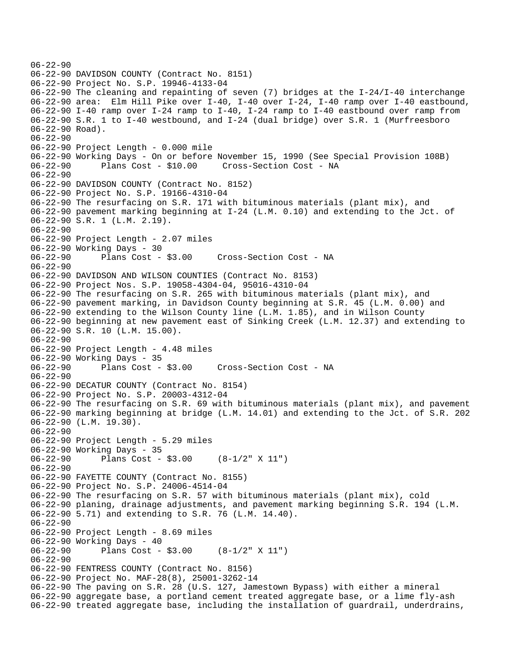```
06-22-90 
06-22-90 DAVIDSON COUNTY (Contract No. 8151) 
06-22-90 Project No. S.P. 19946-4133-04 
06-22-90 The cleaning and repainting of seven (7) bridges at the I-24/I-40 interchange 
06-22-90 area: Elm Hill Pike over I-40, I-40 over I-24, I-40 ramp over I-40 eastbound, 
06-22-90 I-40 ramp over I-24 ramp to I-40, I-24 ramp to I-40 eastbound over ramp from 
06-22-90 S.R. 1 to I-40 westbound, and I-24 (dual bridge) over S.R. 1 (Murfreesboro 
06-22-90 Road). 
06-22-90 
06-22-90 Project Length - 0.000 mile 
06-22-90 Working Days - On or before November 15, 1990 (See Special Provision 108B) 
06-22-90 Plans Cost - $10.00 Cross-Section Cost - NA 
06 - 22 - 9006-22-90 DAVIDSON COUNTY (Contract No. 8152) 
06-22-90 Project No. S.P. 19166-4310-04 
06-22-90 The resurfacing on S.R. 171 with bituminous materials (plant mix), and 
06-22-90 pavement marking beginning at I-24 (L.M. 0.10) and extending to the Jct. of 
06-22-90 S.R. 1 (L.M. 2.19). 
06-22-90 
06-22-90 Project Length - 2.07 miles 
06-22-90 Working Days - 30<br>06-22-90 Plans Cost - $3.00
06-22-90 Plans Cost - $3.00 Cross-Section Cost - NA 
06-22-90 
06-22-90 DAVIDSON AND WILSON COUNTIES (Contract No. 8153) 
06-22-90 Project Nos. S.P. 19058-4304-04, 95016-4310-04 
06-22-90 The resurfacing on S.R. 265 with bituminous materials (plant mix), and 
06-22-90 pavement marking, in Davidson County beginning at S.R. 45 (L.M. 0.00) and 
06-22-90 extending to the Wilson County line (L.M. 1.85), and in Wilson County 
06-22-90 beginning at new pavement east of Sinking Creek (L.M. 12.37) and extending to 
06-22-90 S.R. 10 (L.M. 15.00). 
06-22-90 
06-22-90 Project Length - 4.48 miles 
06-22-90 Working Days - 35 
06-22-90 Plans Cost - $3.00 Cross-Section Cost - NA 
06-22-90 
06-22-90 DECATUR COUNTY (Contract No. 8154) 
06-22-90 Project No. S.P. 20003-4312-04 
06-22-90 The resurfacing on S.R. 69 with bituminous materials (plant mix), and pavement 
06-22-90 marking beginning at bridge (L.M. 14.01) and extending to the Jct. of S.R. 202 
06-22-90 (L.M. 19.30). 
06-22-90 
06-22-90 Project Length - 5.29 miles 
06-22-90 Working Days - 35 
06-22-90 Plans Cost - $3.00 (8-1/2" X 11") 
06-22-90 
06-22-90 FAYETTE COUNTY (Contract No. 8155) 
06-22-90 Project No. S.P. 24006-4514-04 
06-22-90 The resurfacing on S.R. 57 with bituminous materials (plant mix), cold 
06-22-90 planing, drainage adjustments, and pavement marking beginning S.R. 194 (L.M. 
06-22-90 5.71) and extending to S.R. 76 (L.M. 14.40). 
06-22-90 
06-22-90 Project Length - 8.69 miles 
06-22-90 Working Days - 40 
06-22-90 Plans Cost - $3.00 (8-1/2" X 11") 
06-22-90 
06-22-90 FENTRESS COUNTY (Contract No. 8156) 
06-22-90 Project No. MAF-28(8), 25001-3262-14 
06-22-90 The paving on S.R. 28 (U.S. 127, Jamestown Bypass) with either a mineral 
06-22-90 aggregate base, a portland cement treated aggregate base, or a lime fly-ash 
06-22-90 treated aggregate base, including the installation of guardrail, underdrains,
```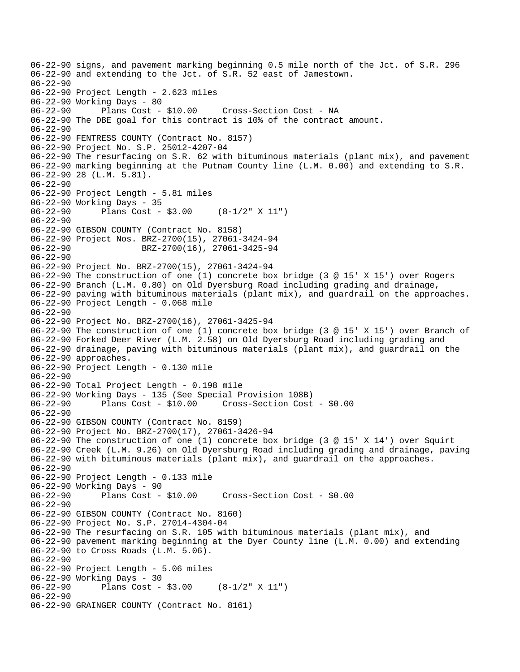06-22-90 signs, and pavement marking beginning 0.5 mile north of the Jct. of S.R. 296 06-22-90 and extending to the Jct. of S.R. 52 east of Jamestown. 06-22-90 06-22-90 Project Length - 2.623 miles 06-22-90 Working Days - 80 06-22-90 Plans Cost - \$10.00 Cross-Section Cost - NA 06-22-90 The DBE goal for this contract is 10% of the contract amount. 06-22-90 06-22-90 FENTRESS COUNTY (Contract No. 8157) 06-22-90 Project No. S.P. 25012-4207-04 06-22-90 The resurfacing on S.R. 62 with bituminous materials (plant mix), and pavement 06-22-90 marking beginning at the Putnam County line (L.M. 0.00) and extending to S.R. 06-22-90 28 (L.M. 5.81). 06-22-90 06-22-90 Project Length - 5.81 miles 06-22-90 Working Days - 35 06-22-90 Plans Cost - \$3.00 (8-1/2" X 11") 06-22-90 06-22-90 GIBSON COUNTY (Contract No. 8158) 06-22-90 Project Nos. BRZ-2700(15), 27061-3424-94 06-22-90 BRZ-2700(16), 27061-3425-94 06-22-90 06-22-90 Project No. BRZ-2700(15), 27061-3424-94 06-22-90 The construction of one (1) concrete box bridge (3 @ 15' X 15') over Rogers 06-22-90 Branch (L.M. 0.80) on Old Dyersburg Road including grading and drainage, 06-22-90 paving with bituminous materials (plant mix), and guardrail on the approaches. 06-22-90 Project Length - 0.068 mile 06-22-90 06-22-90 Project No. BRZ-2700(16), 27061-3425-94 06-22-90 The construction of one (1) concrete box bridge (3 @ 15' X 15') over Branch of 06-22-90 Forked Deer River (L.M. 2.58) on Old Dyersburg Road including grading and 06-22-90 drainage, paving with bituminous materials (plant mix), and guardrail on the 06-22-90 approaches. 06-22-90 Project Length - 0.130 mile 06-22-90 06-22-90 Total Project Length - 0.198 mile 06-22-90 Working Days - 135 (See Special Provision 108B) 06-22-90 Plans Cost - \$10.00 Cross-Section Cost - \$0.00 06-22-90 06-22-90 GIBSON COUNTY (Contract No. 8159) 06-22-90 Project No. BRZ-2700(17), 27061-3426-94 06-22-90 The construction of one (1) concrete box bridge (3 @ 15' X 14') over Squirt 06-22-90 Creek (L.M. 9.26) on Old Dyersburg Road including grading and drainage, paving 06-22-90 with bituminous materials (plant mix), and guardrail on the approaches. 06-22-90 06-22-90 Project Length - 0.133 mile 06-22-90 Working Days - 90<br>06-22-90 Plans Cost - \$10.00 06-22-90 Plans Cost - \$10.00 Cross-Section Cost - \$0.00 06-22-90 06-22-90 GIBSON COUNTY (Contract No. 8160) 06-22-90 Project No. S.P. 27014-4304-04 06-22-90 The resurfacing on S.R. 105 with bituminous materials (plant mix), and 06-22-90 pavement marking beginning at the Dyer County line (L.M. 0.00) and extending 06-22-90 to Cross Roads (L.M. 5.06). 06-22-90 06-22-90 Project Length - 5.06 miles 06-22-90 Working Days - 30<br>06-22-90 Plans Cost -Plans Cost -  $$3.00$  (8-1/2" X 11") 06-22-90 06-22-90 GRAINGER COUNTY (Contract No. 8161)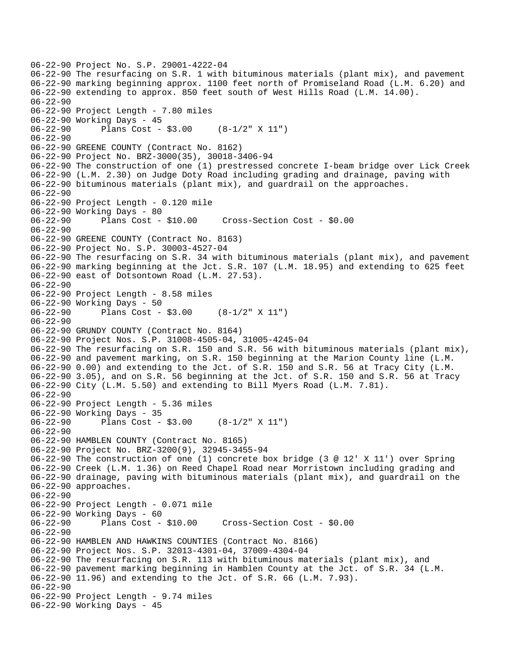```
06-22-90 Project No. S.P. 29001-4222-04 
06-22-90 The resurfacing on S.R. 1 with bituminous materials (plant mix), and pavement 
06-22-90 marking beginning approx. 1100 feet north of Promiseland Road (L.M. 6.20) and 
06-22-90 extending to approx. 850 feet south of West Hills Road (L.M. 14.00). 
06-22-90 
06-22-90 Project Length - 7.80 miles 
06-22-90 Working Days - 45 
06-22-90 Plans Cost - $3.00 (8-1/2" X 11") 
06-22-90 
06-22-90 GREENE COUNTY (Contract No. 8162) 
06-22-90 Project No. BRZ-3000(35), 30018-3406-94 
06-22-90 The construction of one (1) prestressed concrete I-beam bridge over Lick Creek 
06-22-90 (L.M. 2.30) on Judge Doty Road including grading and drainage, paving with 
06-22-90 bituminous materials (plant mix), and guardrail on the approaches. 
06-22-90 
06-22-90 Project Length - 0.120 mile 
06-22-90 Working Days - 80 
06-22-90 Plans Cost - $10.00 Cross-Section Cost - $0.00 
06-22-90 
06-22-90 GREENE COUNTY (Contract No. 8163) 
06-22-90 Project No. S.P. 30003-4527-04 
06-22-90 The resurfacing on S.R. 34 with bituminous materials (plant mix), and pavement 
06-22-90 marking beginning at the Jct. S.R. 107 (L.M. 18.95) and extending to 625 feet 
06-22-90 east of Dotsontown Road (L.M. 27.53). 
06-22-90 
06-22-90 Project Length - 8.58 miles 
06-22-90 Working Days - 50<br>06-22-90 Plans Cost -
              Plans Cost - $3.00 (8-1/2" X 11")
06-22-90 
06-22-90 GRUNDY COUNTY (Contract No. 8164) 
06-22-90 Project Nos. S.P. 31008-4505-04, 31005-4245-04 
06-22-90 The resurfacing on S.R. 150 and S.R. 56 with bituminous materials (plant mix), 
06-22-90 and pavement marking, on S.R. 150 beginning at the Marion County line (L.M. 
06-22-90 0.00) and extending to the Jct. of S.R. 150 and S.R. 56 at Tracy City (L.M. 
06-22-90 3.05), and on S.R. 56 beginning at the Jct. of S.R. 150 and S.R. 56 at Tracy 
06-22-90 City (L.M. 5.50) and extending to Bill Myers Road (L.M. 7.81). 
06-22-90 
06-22-90 Project Length - 5.36 miles 
06-22-90 Working Days - 35 
06-22-90 Plans Cost - $3.00 (8-1/2" X 11") 
06-22-90 
06-22-90 HAMBLEN COUNTY (Contract No. 8165) 
06-22-90 Project No. BRZ-3200(9), 32945-3455-94 
06-22-90 The construction of one (1) concrete box bridge (3 @ 12' X 11') over Spring 
06-22-90 Creek (L.M. 1.36) on Reed Chapel Road near Morristown including grading and 
06-22-90 drainage, paving with bituminous materials (plant mix), and guardrail on the 
06-22-90 approaches. 
06-22-90 
06-22-90 Project Length - 0.071 mile 
06-22-90 Working Days - 60 
                                       06-22-90 Plans Cost - $10.00 Cross-Section Cost - $0.00 
06-22-90 
06-22-90 HAMBLEN AND HAWKINS COUNTIES (Contract No. 8166) 
06-22-90 Project Nos. S.P. 32013-4301-04, 37009-4304-04 
06-22-90 The resurfacing on S.R. 113 with bituminous materials (plant mix), and 
06-22-90 pavement marking beginning in Hamblen County at the Jct. of S.R. 34 (L.M. 
06-22-90 11.96) and extending to the Jct. of S.R. 66 (L.M. 7.93). 
06-22-90 
06-22-90 Project Length - 9.74 miles 
06-22-90 Working Days - 45
```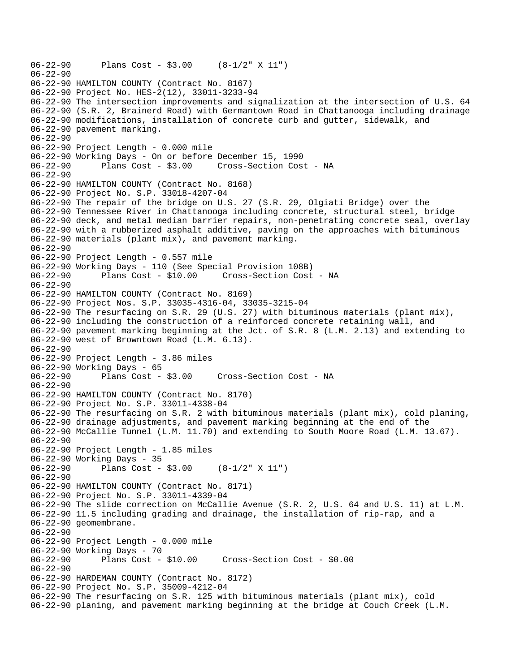```
06-22-90 Plans Cost - $3.00 (8-1/2" X 11") 
06-22-90 
06-22-90 HAMILTON COUNTY (Contract No. 8167) 
06-22-90 Project No. HES-2(12), 33011-3233-94 
06-22-90 The intersection improvements and signalization at the intersection of U.S. 64 
06-22-90 (S.R. 2, Brainerd Road) with Germantown Road in Chattanooga including drainage 
06-22-90 modifications, installation of concrete curb and gutter, sidewalk, and 
06-22-90 pavement marking. 
06-22-90 
06-22-90 Project Length - 0.000 mile 
06-22-90 Working Days - On or before December 15, 1990 
06-22-90 Plans Cost - $3.00 Cross-Section Cost - NA 
06-22-90 
06-22-90 HAMILTON COUNTY (Contract No. 8168) 
06-22-90 Project No. S.P. 33018-4207-04 
06-22-90 The repair of the bridge on U.S. 27 (S.R. 29, Olgiati Bridge) over the 
06-22-90 Tennessee River in Chattanooga including concrete, structural steel, bridge 
06-22-90 deck, and metal median barrier repairs, non-penetrating concrete seal, overlay 
06-22-90 with a rubberized asphalt additive, paving on the approaches with bituminous 
06-22-90 materials (plant mix), and pavement marking. 
06-22-90 
06-22-90 Project Length - 0.557 mile 
06-22-90 Working Days - 110 (See Special Provision 108B) 
06-22-90 Plans Cost - $10.00 Cross-Section Cost - NA 
06-22-90 
06-22-90 HAMILTON COUNTY (Contract No. 8169) 
06-22-90 Project Nos. S.P. 33035-4316-04, 33035-3215-04 
06-22-90 The resurfacing on S.R. 29 (U.S. 27) with bituminous materials (plant mix), 
06-22-90 including the construction of a reinforced concrete retaining wall, and 
06-22-90 pavement marking beginning at the Jct. of S.R. 8 (L.M. 2.13) and extending to 
06-22-90 west of Browntown Road (L.M. 6.13). 
06-22-90 
06-22-90 Project Length - 3.86 miles 
06-22-90 Working Days - 65<br>06-22-90 Plans Cost -
              Plans Cost - $3.00 Cross-Section Cost - NA
06-22-90 
06-22-90 HAMILTON COUNTY (Contract No. 8170) 
06-22-90 Project No. S.P. 33011-4338-04 
06-22-90 The resurfacing on S.R. 2 with bituminous materials (plant mix), cold planing, 
06-22-90 drainage adjustments, and pavement marking beginning at the end of the 
06-22-90 McCallie Tunnel (L.M. 11.70) and extending to South Moore Road (L.M. 13.67). 
06-22-90 
06-22-90 Project Length - 1.85 miles 
06-22-90 Working Days - 35 
06-22-90 Plans Cost - $3.00 (8-1/2" X 11") 
06-22-90 
06-22-90 HAMILTON COUNTY (Contract No. 8171) 
06-22-90 Project No. S.P. 33011-4339-04 
06-22-90 The slide correction on McCallie Avenue (S.R. 2, U.S. 64 and U.S. 11) at L.M. 
06-22-90 11.5 including grading and drainage, the installation of rip-rap, and a 
06-22-90 geomembrane. 
06-22-90 
06-22-90 Project Length - 0.000 mile 
06-22-90 Working Days - 70 
                                     06-22-90 Plans Cost - $10.00 Cross-Section Cost - $0.00 
06-22-90 
06-22-90 HARDEMAN COUNTY (Contract No. 8172) 
06-22-90 Project No. S.P. 35009-4212-04 
06-22-90 The resurfacing on S.R. 125 with bituminous materials (plant mix), cold 
06-22-90 planing, and pavement marking beginning at the bridge at Couch Creek (L.M.
```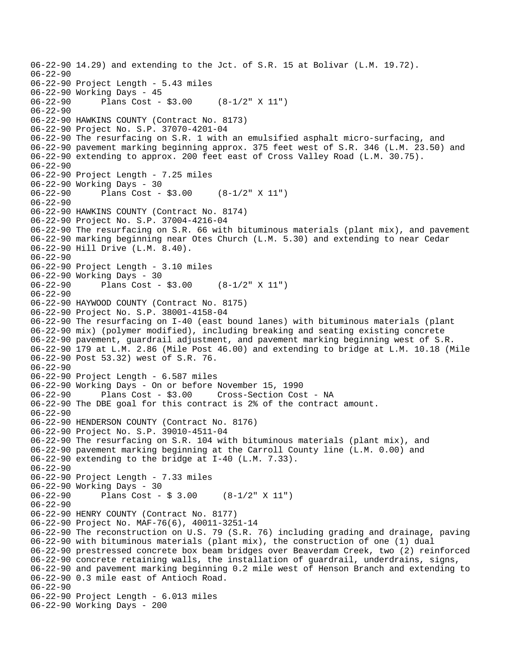```
06-22-90 14.29) and extending to the Jct. of S.R. 15 at Bolivar (L.M. 19.72). 
06-22-90 
06-22-90 Project Length - 5.43 miles 
06-22-90 Working Days - 45<br>06-22-90 Plans Cost -
              Plans Cost - $3.00 (8-1/2" X 11")
06-22-90 
06-22-90 HAWKINS COUNTY (Contract No. 8173) 
06-22-90 Project No. S.P. 37070-4201-04 
06-22-90 The resurfacing on S.R. 1 with an emulsified asphalt micro-surfacing, and 
06-22-90 pavement marking beginning approx. 375 feet west of S.R. 346 (L.M. 23.50) and 
06-22-90 extending to approx. 200 feet east of Cross Valley Road (L.M. 30.75). 
06-22-90 
06-22-90 Project Length - 7.25 miles 
06-22-90 Working Days - 30 
              Plans Cost - $3.00 (8-1/2" X 11")
06-22-90 
06-22-90 HAWKINS COUNTY (Contract No. 8174) 
06-22-90 Project No. S.P. 37004-4216-04 
06-22-90 The resurfacing on S.R. 66 with bituminous materials (plant mix), and pavement 
06-22-90 marking beginning near Otes Church (L.M. 5.30) and extending to near Cedar 
06-22-90 Hill Drive (L.M. 8.40). 
06-22-90 
06-22-90 Project Length - 3.10 miles 
06-22-90 Working Days - 30<br>06-22-90 Plans Cost -
              Plans Cost - $3.00 (8-1/2" X 11")
06-22-90 
06-22-90 HAYWOOD COUNTY (Contract No. 8175) 
06-22-90 Project No. S.P. 38001-4158-04 
06-22-90 The resurfacing on I-40 (east bound lanes) with bituminous materials (plant 
06-22-90 mix) (polymer modified), including breaking and seating existing concrete 
06-22-90 pavement, guardrail adjustment, and pavement marking beginning west of S.R. 
06-22-90 179 at L.M. 2.86 (Mile Post 46.00) and extending to bridge at L.M. 10.18 (Mile 
06-22-90 Post 53.32) west of S.R. 76. 
06-22-90 
06-22-90 Project Length - 6.587 miles 
06-22-90 Working Days - On or before November 15, 1990 
06-22-90 Plans Cost - $3.00 Cross-Section Cost - NA 
06-22-90 The DBE goal for this contract is 2% of the contract amount. 
06-22-90 
06-22-90 HENDERSON COUNTY (Contract No. 8176) 
06-22-90 Project No. S.P. 39010-4511-04 
06-22-90 The resurfacing on S.R. 104 with bituminous materials (plant mix), and 
06-22-90 pavement marking beginning at the Carroll County line (L.M. 0.00) and 
06-22-90 extending to the bridge at I-40 (L.M. 7.33). 
06-22-90 
06-22-90 Project Length - 7.33 miles 
06-22-90 Working Days - 30<br>06-22-90 Plans Cost -
              Plans Cost - $3.00 (8-1/2" X 11")
06-22-90 
06-22-90 HENRY COUNTY (Contract No. 8177) 
06-22-90 Project No. MAF-76(6), 40011-3251-14 
06-22-90 The reconstruction on U.S. 79 (S.R. 76) including grading and drainage, paving 
06-22-90 with bituminous materials (plant mix), the construction of one (1) dual 
06-22-90 prestressed concrete box beam bridges over Beaverdam Creek, two (2) reinforced 
06-22-90 concrete retaining walls, the installation of guardrail, underdrains, signs, 
06-22-90 and pavement marking beginning 0.2 mile west of Henson Branch and extending to 
06-22-90 0.3 mile east of Antioch Road. 
06-22-90 
06-22-90 Project Length - 6.013 miles 
06-22-90 Working Days - 200
```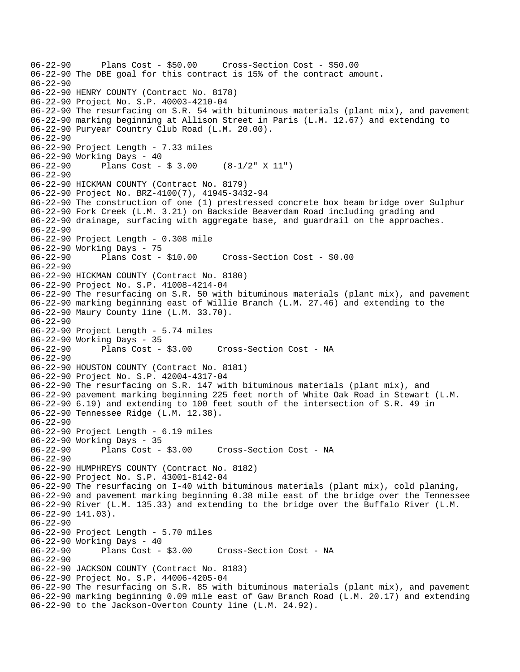06-22-90 Plans Cost - \$50.00 Cross-Section Cost - \$50.00 06-22-90 The DBE goal for this contract is 15% of the contract amount. 06-22-90 06-22-90 HENRY COUNTY (Contract No. 8178) 06-22-90 Project No. S.P. 40003-4210-04 06-22-90 The resurfacing on S.R. 54 with bituminous materials (plant mix), and pavement 06-22-90 marking beginning at Allison Street in Paris (L.M. 12.67) and extending to 06-22-90 Puryear Country Club Road (L.M. 20.00). 06-22-90 06-22-90 Project Length - 7.33 miles 06-22-90 Working Days - 40 06-22-90 Plans Cost - \$ 3.00 (8-1/2" X 11") 06-22-90 06-22-90 HICKMAN COUNTY (Contract No. 8179) 06-22-90 Project No. BRZ-4100(7), 41945-3432-94 06-22-90 The construction of one (1) prestressed concrete box beam bridge over Sulphur 06-22-90 Fork Creek (L.M. 3.21) on Backside Beaverdam Road including grading and 06-22-90 drainage, surfacing with aggregate base, and guardrail on the approaches. 06-22-90 06-22-90 Project Length - 0.308 mile 06-22-90 Working Days - 75 06-22-90 Plans Cost - \$10.00 Cross-Section Cost - \$0.00 06-22-90 06-22-90 HICKMAN COUNTY (Contract No. 8180) 06-22-90 Project No. S.P. 41008-4214-04 06-22-90 The resurfacing on S.R. 50 with bituminous materials (plant mix), and pavement 06-22-90 marking beginning east of Willie Branch (L.M. 27.46) and extending to the 06-22-90 Maury County line (L.M. 33.70). 06-22-90 06-22-90 Project Length - 5.74 miles 06-22-90 Working Days - 35 06-22-90 Plans Cost - \$3.00 Cross-Section Cost - NA 06-22-90 06-22-90 HOUSTON COUNTY (Contract No. 8181) 06-22-90 Project No. S.P. 42004-4317-04 06-22-90 The resurfacing on S.R. 147 with bituminous materials (plant mix), and 06-22-90 pavement marking beginning 225 feet north of White Oak Road in Stewart (L.M. 06-22-90 6.19) and extending to 100 feet south of the intersection of S.R. 49 in 06-22-90 Tennessee Ridge (L.M. 12.38). 06-22-90 06-22-90 Project Length - 6.19 miles 06-22-90 Working Days - 35 06-22-90 Plans Cost - \$3.00 Cross-Section Cost - NA 06-22-90 06-22-90 HUMPHREYS COUNTY (Contract No. 8182) 06-22-90 Project No. S.P. 43001-8142-04 06-22-90 The resurfacing on I-40 with bituminous materials (plant mix), cold planing, 06-22-90 and pavement marking beginning 0.38 mile east of the bridge over the Tennessee 06-22-90 River (L.M. 135.33) and extending to the bridge over the Buffalo River (L.M. 06-22-90 141.03). 06-22-90 06-22-90 Project Length - 5.70 miles 06-22-90 Working Days - 40 06-22-90 Plans Cost - \$3.00 Cross-Section Cost - NA 06-22-90 06-22-90 JACKSON COUNTY (Contract No. 8183) 06-22-90 Project No. S.P. 44006-4205-04 06-22-90 The resurfacing on S.R. 85 with bituminous materials (plant mix), and pavement 06-22-90 marking beginning 0.09 mile east of Gaw Branch Road (L.M. 20.17) and extending 06-22-90 to the Jackson-Overton County line (L.M. 24.92).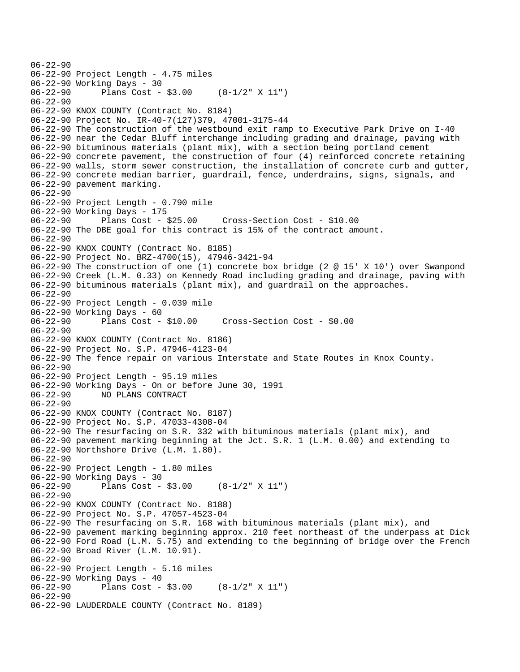```
06-22-90 
06-22-90 Project Length - 4.75 miles 
06-22-90 Working Days - 30 
06-22-90 Plans Cost - $3.00 (8-1/2" X 11") 
06-22-90 
06-22-90 KNOX COUNTY (Contract No. 8184) 
06-22-90 Project No. IR-40-7(127)379, 47001-3175-44 
06-22-90 The construction of the westbound exit ramp to Executive Park Drive on I-40 
06-22-90 near the Cedar Bluff interchange including grading and drainage, paving with 
06-22-90 bituminous materials (plant mix), with a section being portland cement 
06-22-90 concrete pavement, the construction of four (4) reinforced concrete retaining 
06-22-90 walls, storm sewer construction, the installation of concrete curb and gutter, 
06-22-90 concrete median barrier, guardrail, fence, underdrains, signs, signals, and 
06-22-90 pavement marking. 
06-22-90 
06-22-90 Project Length - 0.790 mile 
06-22-90 Working Days - 175 
06-22-90 Plans Cost - $25.00 Cross-Section Cost - $10.00 
06-22-90 The DBE goal for this contract is 15% of the contract amount. 
06-22-90 
06-22-90 KNOX COUNTY (Contract No. 8185) 
06-22-90 Project No. BRZ-4700(15), 47946-3421-94 
06-22-90 The construction of one (1) concrete box bridge (2 @ 15' X 10') over Swanpond 
06-22-90 Creek (L.M. 0.33) on Kennedy Road including grading and drainage, paving with 
06-22-90 bituminous materials (plant mix), and guardrail on the approaches. 
06-22-90 
06-22-90 Project Length - 0.039 mile 
06-22-90 Working Days - 60 
06-22-90 Plans Cost - $10.00 Cross-Section Cost - $0.00 
06-22-90 
06-22-90 KNOX COUNTY (Contract No. 8186) 
06-22-90 Project No. S.P. 47946-4123-04 
06-22-90 The fence repair on various Interstate and State Routes in Knox County. 
06-22-90 
06-22-90 Project Length - 95.19 miles 
06-22-90 Working Days - On or before June 30, 1991 
06-22-90 NO PLANS CONTRACT 
06-22-90 
06-22-90 KNOX COUNTY (Contract No. 8187) 
06-22-90 Project No. S.P. 47033-4308-04 
06-22-90 The resurfacing on S.R. 332 with bituminous materials (plant mix), and 
06-22-90 pavement marking beginning at the Jct. S.R. 1 (L.M. 0.00) and extending to 
06-22-90 Northshore Drive (L.M. 1.80). 
06-22-90 
06-22-90 Project Length - 1.80 miles 
06-22-90 Working Days - 30 
06-22-90 Plans Cost - $3.00 (8-1/2" X 11") 
06-22-90 
06-22-90 KNOX COUNTY (Contract No. 8188) 
06-22-90 Project No. S.P. 47057-4523-04 
06-22-90 The resurfacing on S.R. 168 with bituminous materials (plant mix), and 
06-22-90 pavement marking beginning approx. 210 feet northeast of the underpass at Dick 
06-22-90 Ford Road (L.M. 5.75) and extending to the beginning of bridge over the French 
06-22-90 Broad River (L.M. 10.91). 
06-22-90 
06-22-90 Project Length - 5.16 miles 
06-22-90 Working Days - 40<br>06-22-90 Plans Cost -
              Plans Cost - $3.00 (8-1/2" X 11")
06-22-90 
06-22-90 LAUDERDALE COUNTY (Contract No. 8189)
```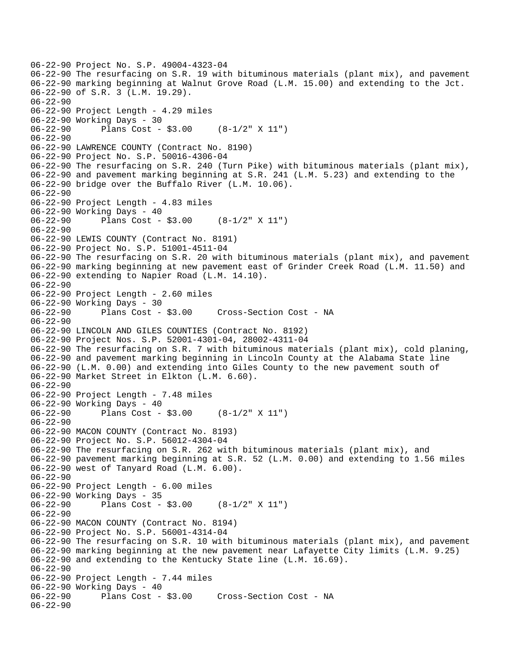06-22-90 Project No. S.P. 49004-4323-04 06-22-90 The resurfacing on S.R. 19 with bituminous materials (plant mix), and pavement 06-22-90 marking beginning at Walnut Grove Road (L.M. 15.00) and extending to the Jct. 06-22-90 of S.R. 3 (L.M. 19.29). 06-22-90 06-22-90 Project Length - 4.29 miles 06-22-90 Working Days - 30 06-22-90 Plans Cost - \$3.00 (8-1/2" X 11") 06-22-90 06-22-90 LAWRENCE COUNTY (Contract No. 8190) 06-22-90 Project No. S.P. 50016-4306-04 06-22-90 The resurfacing on S.R. 240 (Turn Pike) with bituminous materials (plant mix), 06-22-90 and pavement marking beginning at S.R. 241 (L.M. 5.23) and extending to the 06-22-90 bridge over the Buffalo River (L.M. 10.06). 06-22-90 06-22-90 Project Length - 4.83 miles 06-22-90 Working Days - 40 06-22-90 Plans Cost - \$3.00 (8-1/2" X 11") 06-22-90 06-22-90 LEWIS COUNTY (Contract No. 8191) 06-22-90 Project No. S.P. 51001-4511-04 06-22-90 The resurfacing on S.R. 20 with bituminous materials (plant mix), and pavement 06-22-90 marking beginning at new pavement east of Grinder Creek Road (L.M. 11.50) and 06-22-90 extending to Napier Road (L.M. 14.10). 06-22-90 06-22-90 Project Length - 2.60 miles 06-22-90 Working Days - 30 Cross-Section Cost - NA 06-22-90 06-22-90 LINCOLN AND GILES COUNTIES (Contract No. 8192) 06-22-90 Project Nos. S.P. 52001-4301-04, 28002-4311-04 06-22-90 The resurfacing on S.R. 7 with bituminous materials (plant mix), cold planing, 06-22-90 and pavement marking beginning in Lincoln County at the Alabama State line 06-22-90 (L.M. 0.00) and extending into Giles County to the new pavement south of 06-22-90 Market Street in Elkton (L.M. 6.60).  $06 - 22 - 90$ 06-22-90 Project Length - 7.48 miles 06-22-90 Working Days - 40 06-22-90 Plans Cost - \$3.00 (8-1/2" X 11") 06-22-90 06-22-90 MACON COUNTY (Contract No. 8193) 06-22-90 Project No. S.P. 56012-4304-04 06-22-90 The resurfacing on S.R. 262 with bituminous materials (plant mix), and 06-22-90 pavement marking beginning at S.R. 52 (L.M. 0.00) and extending to 1.56 miles 06-22-90 west of Tanyard Road (L.M. 6.00). 06-22-90 06-22-90 Project Length - 6.00 miles 06-22-90 Working Days - 35<br>06-22-90 Plans Cost -Plans Cost -  $$3.00$  (8-1/2" X 11") 06-22-90 06-22-90 MACON COUNTY (Contract No. 8194) 06-22-90 Project No. S.P. 56001-4314-04 06-22-90 The resurfacing on S.R. 10 with bituminous materials (plant mix), and pavement 06-22-90 marking beginning at the new pavement near Lafayette City limits (L.M. 9.25) 06-22-90 and extending to the Kentucky State line (L.M. 16.69). 06-22-90 06-22-90 Project Length - 7.44 miles 06-22-90 Working Days - 40<br>06-22-90 Plans Cost - \$3.00 Cross-Section Cost - NA 06-22-90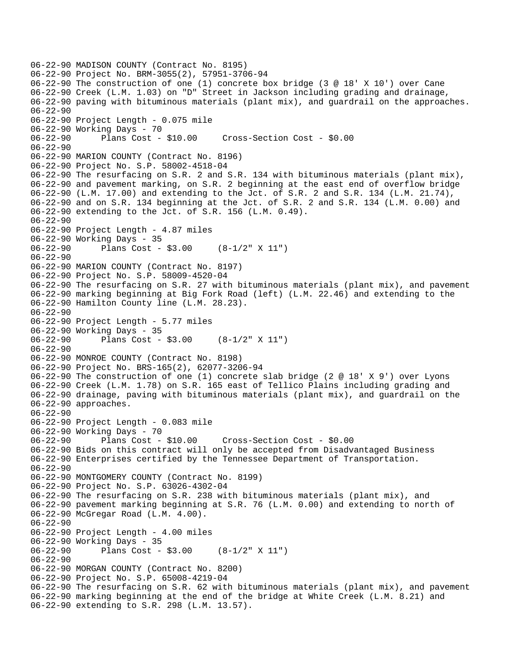```
06-22-90 MADISON COUNTY (Contract No. 8195) 
06-22-90 Project No. BRM-3055(2), 57951-3706-94 
06-22-90 The construction of one (1) concrete box bridge (3 @ 18' X 10') over Cane 
06-22-90 Creek (L.M. 1.03) on "D" Street in Jackson including grading and drainage, 
06-22-90 paving with bituminous materials (plant mix), and guardrail on the approaches. 
06-22-90 
06-22-90 Project Length - 0.075 mile 
06-22-90 Working Days - 70 
06-22-90 Plans Cost - $10.00 Cross-Section Cost - $0.00 
06-22-90 
06-22-90 MARION COUNTY (Contract No. 8196) 
06-22-90 Project No. S.P. 58002-4518-04 
06-22-90 The resurfacing on S.R. 2 and S.R. 134 with bituminous materials (plant mix), 
06-22-90 and pavement marking, on S.R. 2 beginning at the east end of overflow bridge 
06-22-90 (L.M. 17.00) and extending to the Jct. of S.R. 2 and S.R. 134 (L.M. 21.74), 
06-22-90 and on S.R. 134 beginning at the Jct. of S.R. 2 and S.R. 134 (L.M. 0.00) and 
06-22-90 extending to the Jct. of S.R. 156 (L.M. 0.49). 
06-22-90 
06-22-90 Project Length - 4.87 miles 
06-22-90 Working Days - 35 
06-22-90 Plans Cost - $3.00 (8-1/2" X 11") 
06-22-90 
06-22-90 MARION COUNTY (Contract No. 8197) 
06-22-90 Project No. S.P. 58009-4520-04 
06-22-90 The resurfacing on S.R. 27 with bituminous materials (plant mix), and pavement 
06-22-90 marking beginning at Big Fork Road (left) (L.M. 22.46) and extending to the 
06-22-90 Hamilton County line (L.M. 28.23). 
06-22-90 
06-22-90 Project Length - 5.77 miles 
06-22-90 Working Days - 35 
06-22-90 Plans Cost - $3.00 (8-1/2" X 11") 
06-22-90 
06-22-90 MONROE COUNTY (Contract No. 8198) 
06-22-90 Project No. BRS-165(2), 62077-3206-94 
06-22-90 The construction of one (1) concrete slab bridge (2 @ 18' X 9') over Lyons 
06-22-90 Creek (L.M. 1.78) on S.R. 165 east of Tellico Plains including grading and 
06-22-90 drainage, paving with bituminous materials (plant mix), and guardrail on the 
06-22-90 approaches. 
06-22-90 
06-22-90 Project Length - 0.083 mile 
06-22-90 Working Days - 70 
06-22-90 Plans Cost - $10.00 Cross-Section Cost - $0.00 
06-22-90 Bids on this contract will only be accepted from Disadvantaged Business 
06-22-90 Enterprises certified by the Tennessee Department of Transportation. 
06-22-90 
06-22-90 MONTGOMERY COUNTY (Contract No. 8199) 
06-22-90 Project No. S.P. 63026-4302-04 
06-22-90 The resurfacing on S.R. 238 with bituminous materials (plant mix), and 
06-22-90 pavement marking beginning at S.R. 76 (L.M. 0.00) and extending to north of 
06-22-90 McGregar Road (L.M. 4.00). 
06-22-90 
06-22-90 Project Length - 4.00 miles 
06-22-90 Working Days - 35 
06-22-90 Plans Cost - $3.00 (8-1/2" X 11") 
06-22-90 
06-22-90 MORGAN COUNTY (Contract No. 8200) 
06-22-90 Project No. S.P. 65008-4219-04 
06-22-90 The resurfacing on S.R. 62 with bituminous materials (plant mix), and pavement 
06-22-90 marking beginning at the end of the bridge at White Creek (L.M. 8.21) and 
06-22-90 extending to S.R. 298 (L.M. 13.57).
```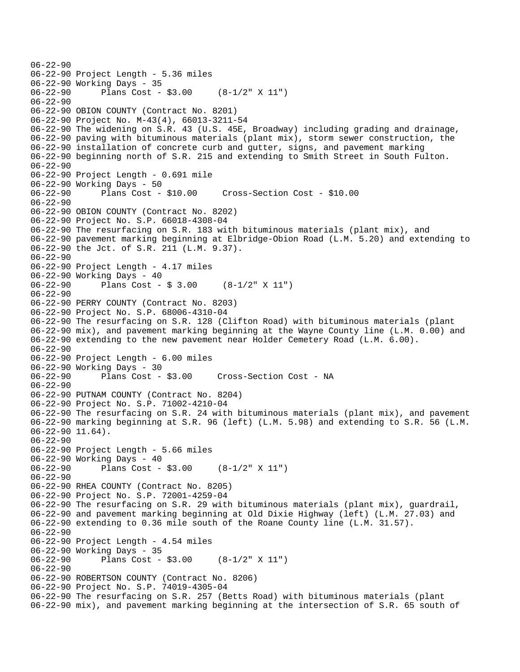```
06-22-90 
06-22-90 Project Length - 5.36 miles 
06-22-90 Working Days - 35 
06-22-90 Plans Cost - $3.00 (8-1/2" X 11") 
06-22-90 
06-22-90 OBION COUNTY (Contract No. 8201) 
06-22-90 Project No. M-43(4), 66013-3211-54 
06-22-90 The widening on S.R. 43 (U.S. 45E, Broadway) including grading and drainage, 
06-22-90 paving with bituminous materials (plant mix), storm sewer construction, the 
06-22-90 installation of concrete curb and gutter, signs, and pavement marking 
06-22-90 beginning north of S.R. 215 and extending to Smith Street in South Fulton. 
06-22-90 
06-22-90 Project Length - 0.691 mile 
06-22-90 Working Days - 50<br>06-22-90 Plans Cost - $10.00
                                       06-22-90 Plans Cost - $10.00 Cross-Section Cost - $10.00 
06-22-90 
06-22-90 OBION COUNTY (Contract No. 8202) 
06-22-90 Project No. S.P. 66018-4308-04 
06-22-90 The resurfacing on S.R. 183 with bituminous materials (plant mix), and 
06-22-90 pavement marking beginning at Elbridge-Obion Road (L.M. 5.20) and extending to 
06-22-90 the Jct. of S.R. 211 (L.M. 9.37). 
06-22-90 
06-22-90 Project Length - 4.17 miles 
06-22-90 Working Days - 40<br>06-22-90 Plans Cost -
              Plans Cost - $3.00 (8-1/2" X 11")
06-22-90 
06-22-90 PERRY COUNTY (Contract No. 8203) 
06-22-90 Project No. S.P. 68006-4310-04 
06-22-90 The resurfacing on S.R. 128 (Clifton Road) with bituminous materials (plant 
06-22-90 mix), and pavement marking beginning at the Wayne County line (L.M. 0.00) and 
06-22-90 extending to the new pavement near Holder Cemetery Road (L.M. 6.00). 
06-22-90 
06-22-90 Project Length - 6.00 miles 
06-22-90 Working Days - 30 
              Plans Cost - $3.00 Cross-Section Cost - NA
06-22-90 
06-22-90 PUTNAM COUNTY (Contract No. 8204) 
06-22-90 Project No. S.P. 71002-4210-04 
06-22-90 The resurfacing on S.R. 24 with bituminous materials (plant mix), and pavement 
06-22-90 marking beginning at S.R. 96 (left) (L.M. 5.98) and extending to S.R. 56 (L.M. 
06-22-90 11.64). 
06-22-90 
06-22-90 Project Length - 5.66 miles 
06-22-90 Working Days - 40 
06-22-90 Plans Cost - $3.00 (8-1/2" X 11") 
06-22-90 
06-22-90 RHEA COUNTY (Contract No. 8205) 
06-22-90 Project No. S.P. 72001-4259-04 
06-22-90 The resurfacing on S.R. 29 with bituminous materials (plant mix), guardrail, 
06-22-90 and pavement marking beginning at Old Dixie Highway (left) (L.M. 27.03) and 
06-22-90 extending to 0.36 mile south of the Roane County line (L.M. 31.57). 
06-22-90 
06-22-90 Project Length - 4.54 miles 
06-22-90 Working Days - 35 
              Plans Cost - $3.00 (8-1/2" X 11")
06-22-90 
06-22-90 ROBERTSON COUNTY (Contract No. 8206) 
06-22-90 Project No. S.P. 74019-4305-04 
06-22-90 The resurfacing on S.R. 257 (Betts Road) with bituminous materials (plant 
06-22-90 mix), and pavement marking beginning at the intersection of S.R. 65 south of
```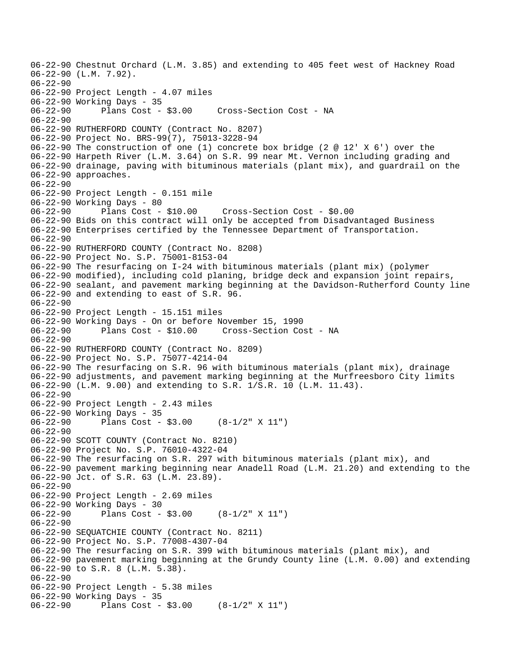06-22-90 Chestnut Orchard (L.M. 3.85) and extending to 405 feet west of Hackney Road 06-22-90 (L.M. 7.92). 06-22-90 06-22-90 Project Length - 4.07 miles 06-22-90 Working Days - 35 06-22-90 Plans Cost - \$3.00 Cross-Section Cost - NA 06-22-90 06-22-90 RUTHERFORD COUNTY (Contract No. 8207) 06-22-90 Project No. BRS-99(7), 75013-3228-94 06-22-90 The construction of one (1) concrete box bridge (2 @ 12' X 6') over the 06-22-90 Harpeth River (L.M. 3.64) on S.R. 99 near Mt. Vernon including grading and 06-22-90 drainage, paving with bituminous materials (plant mix), and guardrail on the 06-22-90 approaches. 06-22-90 06-22-90 Project Length - 0.151 mile 06-22-90 Working Days - 80 06-22-90 Plans Cost - \$10.00 Cross-Section Cost - \$0.00 06-22-90 Bids on this contract will only be accepted from Disadvantaged Business 06-22-90 Enterprises certified by the Tennessee Department of Transportation. 06-22-90 06-22-90 RUTHERFORD COUNTY (Contract No. 8208) 06-22-90 Project No. S.P. 75001-8153-04 06-22-90 The resurfacing on I-24 with bituminous materials (plant mix) (polymer 06-22-90 modified), including cold planing, bridge deck and expansion joint repairs, 06-22-90 sealant, and pavement marking beginning at the Davidson-Rutherford County line 06-22-90 and extending to east of S.R. 96. 06-22-90 06-22-90 Project Length - 15.151 miles 06-22-90 Working Days - On or before November 15, 1990 06-22-90 Plans Cost - \$10.00 Cross-Section Cost - NA 06-22-90 06-22-90 RUTHERFORD COUNTY (Contract No. 8209) 06-22-90 Project No. S.P. 75077-4214-04 06-22-90 The resurfacing on S.R. 96 with bituminous materials (plant mix), drainage 06-22-90 adjustments, and pavement marking beginning at the Murfreesboro City limits 06-22-90 (L.M. 9.00) and extending to S.R. 1/S.R. 10 (L.M. 11.43). 06-22-90 06-22-90 Project Length - 2.43 miles 06-22-90 Working Days - 35 Plans Cost -  $$3.00$  (8-1/2" X 11") 06-22-90 06-22-90 SCOTT COUNTY (Contract No. 8210) 06-22-90 Project No. S.P. 76010-4322-04 06-22-90 The resurfacing on S.R. 297 with bituminous materials (plant mix), and 06-22-90 pavement marking beginning near Anadell Road (L.M. 21.20) and extending to the 06-22-90 Jct. of S.R. 63 (L.M. 23.89). 06-22-90 06-22-90 Project Length - 2.69 miles 06-22-90 Working Days - 30 06-22-90 Plans Cost - \$3.00 (8-1/2" X 11") 06-22-90 06-22-90 SEQUATCHIE COUNTY (Contract No. 8211) 06-22-90 Project No. S.P. 77008-4307-04 06-22-90 The resurfacing on S.R. 399 with bituminous materials (plant mix), and 06-22-90 pavement marking beginning at the Grundy County line (L.M. 0.00) and extending 06-22-90 to S.R. 8 (L.M. 5.38). 06-22-90 06-22-90 Project Length - 5.38 miles 06-22-90 Working Days - 35 06-22-90 Plans Cost - \$3.00 (8-1/2" X 11")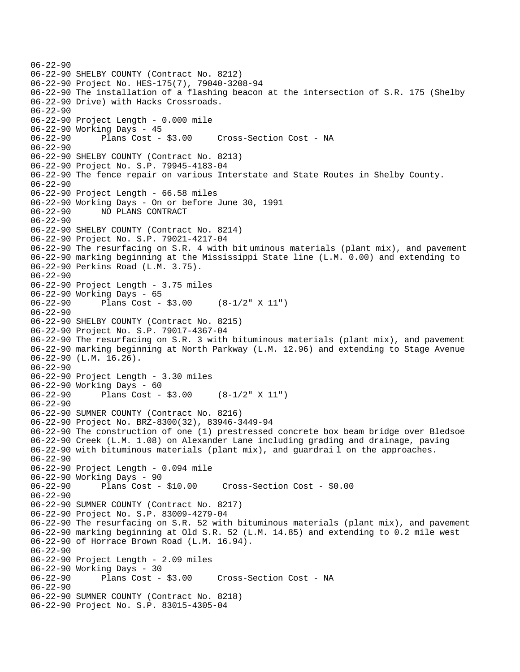06-22-90 06-22-90 SHELBY COUNTY (Contract No. 8212) 06-22-90 Project No. HES-175(7), 79040-3208-94 06-22-90 The installation of a flashing beacon at the intersection of S.R. 175 (Shelby 06-22-90 Drive) with Hacks Crossroads. 06-22-90 06-22-90 Project Length - 0.000 mile 06-22-90 Working Days - 45 06-22-90 Plans Cost - \$3.00 Cross-Section Cost - NA 06-22-90 06-22-90 SHELBY COUNTY (Contract No. 8213) 06-22-90 Project No. S.P. 79945-4183-04 06-22-90 The fence repair on various Interstate and State Routes in Shelby County. 06-22-90 06-22-90 Project Length - 66.58 miles 06-22-90 Working Days - On or before June 30, 1991 06-22-90 NO PLANS CONTRACT 06-22-90 06-22-90 SHELBY COUNTY (Contract No. 8214) 06-22-90 Project No. S.P. 79021-4217-04 06-22-90 The resurfacing on S.R. 4 with bit uminous materials (plant mix), and pavement 06-22-90 marking beginning at the Mississippi State line (L.M. 0.00) and extending to 06-22-90 Perkins Road (L.M. 3.75). 06-22-90 06-22-90 Project Length - 3.75 miles 06-22-90 Working Days - 65 06-22-90 Plans Cost - \$3.00 (8-1/2" X 11") 06-22-90 06-22-90 SHELBY COUNTY (Contract No. 8215) 06-22-90 Project No. S.P. 79017-4367-04 06-22-90 The resurfacing on S.R. 3 with bituminous materials (plant mix), and pavement 06-22-90 marking beginning at North Parkway (L.M. 12.96) and extending to Stage Avenue 06-22-90 (L.M. 16.26). 06-22-90 06-22-90 Project Length - 3.30 miles 06-22-90 Working Days - 60 06-22-90 Plans Cost - \$3.00 (8-1/2" X 11") 06-22-90 06-22-90 SUMNER COUNTY (Contract No. 8216) 06-22-90 Project No. BRZ-8300(32), 83946-3449-94 06-22-90 The construction of one (1) prestressed concrete box beam bridge over Bledsoe 06-22-90 Creek (L.M. 1.08) on Alexander Lane including grading and drainage, paving 06-22-90 with bituminous materials (plant mix), and guardrai l on the approaches. 06-22-90 06-22-90 Project Length - 0.094 mile 06-22-90 Working Days - 90 06-22-90 Plans Cost - \$10.00 Cross-Section Cost - \$0.00 06-22-90 06-22-90 SUMNER COUNTY (Contract No. 8217) 06-22-90 Project No. S.P. 83009-4279-04 06-22-90 The resurfacing on S.R. 52 with bituminous materials (plant mix), and pavement 06-22-90 marking beginning at Old S.R. 52 (L.M. 14.85) and extending to 0.2 mile west 06-22-90 of Horrace Brown Road (L.M. 16.94). 06-22-90 06-22-90 Project Length - 2.09 miles 06-22-90 Working Days - 30 06-22-90 Plans Cost - \$3.00 Cross-Section Cost - NA 06-22-90 06-22-90 SUMNER COUNTY (Contract No. 8218) 06-22-90 Project No. S.P. 83015-4305-04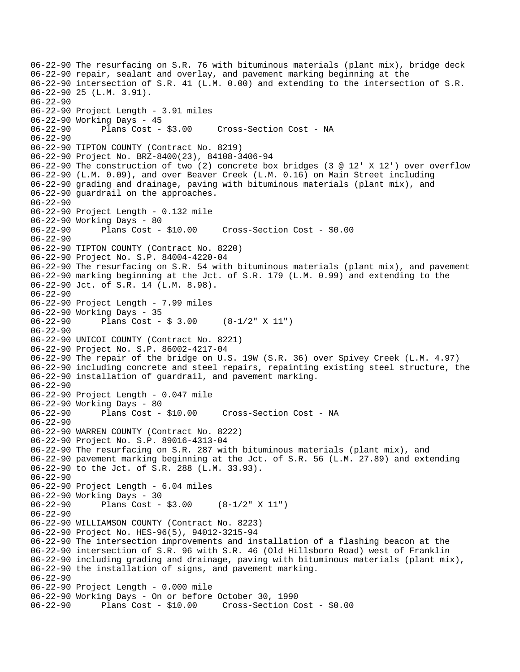```
06-22-90 The resurfacing on S.R. 76 with bituminous materials (plant mix), bridge deck 
06-22-90 repair, sealant and overlay, and pavement marking beginning at the 
06-22-90 intersection of S.R. 41 (L.M. 0.00) and extending to the intersection of S.R. 
06-22-90 25 (L.M. 3.91). 
06-22-90 
06-22-90 Project Length - 3.91 miles 
06-22-90 Working Days - 45 
06-22-90 Plans Cost - $3.00 Cross-Section Cost - NA 
06-22-90 
06-22-90 TIPTON COUNTY (Contract No. 8219) 
06-22-90 Project No. BRZ-8400(23), 84108-3406-94 
06-22-90 The construction of two (2) concrete box bridges (3 @ 12' X 12') over overflow 
06-22-90 (L.M. 0.09), and over Beaver Creek (L.M. 0.16) on Main Street including 
06-22-90 grading and drainage, paving with bituminous materials (plant mix), and 
06-22-90 guardrail on the approaches. 
06-22-90 
06-22-90 Project Length - 0.132 mile 
06-22-90 Working Days - 80 
06-22-90 Plans Cost - $10.00 Cross-Section Cost - $0.00 
06-22-90 
06-22-90 TIPTON COUNTY (Contract No. 8220) 
06-22-90 Project No. S.P. 84004-4220-04 
06-22-90 The resurfacing on S.R. 54 with bituminous materials (plant mix), and pavement 
06-22-90 marking beginning at the Jct. of S.R. 179 (L.M. 0.99) and extending to the 
06-22-90 Jct. of S.R. 14 (L.M. 8.98). 
06-22-90 
06-22-90 Project Length - 7.99 miles
06-22-90 Working Days - 35 
06-22-90 Plans Cost - $ 3.00 (8-1/2" X 11") 
06-22-90 
06-22-90 UNICOI COUNTY (Contract No. 8221) 
06-22-90 Project No. S.P. 86002-4217-04 
06-22-90 The repair of the bridge on U.S. 19W (S.R. 36) over Spivey Creek (L.M. 4.97) 
06-22-90 including concrete and steel repairs, repainting existing steel structure, the 
06-22-90 installation of guardrail, and pavement marking. 
06-22-90 
06-22-90 Project Length - 0.047 mile 
06-22-90 Working Days - 80 
06-22-90 Plans Cost - $10.00 Cross-Section Cost - NA 
06-22-90 
06-22-90 WARREN COUNTY (Contract No. 8222) 
06-22-90 Project No. S.P. 89016-4313-04 
06-22-90 The resurfacing on S.R. 287 with bituminous materials (plant mix), and 
06-22-90 pavement marking beginning at the Jct. of S.R. 56 (L.M. 27.89) and extending 
06-22-90 to the Jct. of S.R. 288 (L.M. 33.93). 
06-22-90 
06-22-90 Project Length - 6.04 miles 
06-22-90 Working Days - 30<br>06-22-90 Plans Cost -
              Plans Cost - $3.00 (8-1/2" X 11")
06-22-90 
06-22-90 WILLIAMSON COUNTY (Contract No. 8223) 
06-22-90 Project No. HES-96(5), 94012-3215-94 
06-22-90 The intersection improvements and installation of a flashing beacon at the 
06-22-90 intersection of S.R. 96 with S.R. 46 (Old Hillsboro Road) west of Franklin 
06-22-90 including grading and drainage, paving with bituminous materials (plant mix), 
06-22-90 the installation of signs, and pavement marking. 
06-22-90 
06-22-90 Project Length - 0.000 mile 
06-22-90 Working Days - On or before October 30, 1990 
06-22-90 Plans Cost - $10.00 Cross-Section Cost - $0.00
```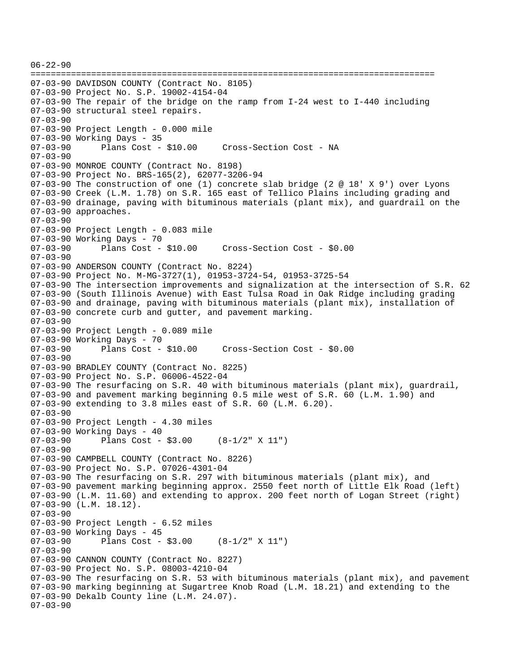```
06-22-90 
================================================================================ 
07-03-90 DAVIDSON COUNTY (Contract No. 8105) 
07-03-90 Project No. S.P. 19002-4154-04 
07-03-90 The repair of the bridge on the ramp from I-24 west to I-440 including 
07-03-90 structural steel repairs. 
07-03-90 
07-03-90 Project Length - 0.000 mile 
07-03-90 Working Days - 35 
07-03-90 Plans Cost - $10.00 Cross-Section Cost - NA 
07-03-90 
07-03-90 MONROE COUNTY (Contract No. 8198) 
07-03-90 Project No. BRS-165(2), 62077-3206-94 
07-03-90 The construction of one (1) concrete slab bridge (2 @ 18' X 9') over Lyons 
07-03-90 Creek (L.M. 1.78) on S.R. 165 east of Tellico Plains including grading and 
07-03-90 drainage, paving with bituminous materials (plant mix), and guardrail on the 
07-03-90 approaches. 
07-03-90 
07-03-90 Project Length - 0.083 mile 
07-03-90 Working Days - 70 
07-03-90 Plans Cost - $10.00 Cross-Section Cost - $0.00 
07-03-90 
07-03-90 ANDERSON COUNTY (Contract No. 8224) 
07-03-90 Project No. M-MG-3727(1), 01953-3724-54, 01953-3725-54 
07-03-90 The intersection improvements and signalization at the intersection of S.R. 62 
07-03-90 (South Illinois Avenue) with East Tulsa Road in Oak Ridge including grading 
07-03-90 and drainage, paving with bituminous materials (plant mix), installation of 
07-03-90 concrete curb and gutter, and pavement marking. 
07-03-90 
07-03-90 Project Length - 0.089 mile 
07-03-90 Working Days - 70 
07-03-90 Plans Cost - $10.00 Cross-Section Cost - $0.00 
07-03-90 
07-03-90 BRADLEY COUNTY (Contract No. 8225) 
07-03-90 Project No. S.P. 06006-4522-04 
07-03-90 The resurfacing on S.R. 40 with bituminous materials (plant mix), guardrail, 
07-03-90 and pavement marking beginning 0.5 mile west of S.R. 60 (L.M. 1.90) and 
07-03-90 extending to 3.8 miles east of S.R. 60 (L.M. 6.20). 
07-03-90 
07-03-90 Project Length - 4.30 miles 
07-03-90 Working Days - 40 
07-03-90 Plans Cost - $3.00 (8-1/2" X 11") 
07-03-90 
07-03-90 CAMPBELL COUNTY (Contract No. 8226) 
07-03-90 Project No. S.P. 07026-4301-04 
07-03-90 The resurfacing on S.R. 297 with bituminous materials (plant mix), and 
07-03-90 pavement marking beginning approx. 2550 feet north of Little Elk Road (left) 
07-03-90 (L.M. 11.60) and extending to approx. 200 feet north of Logan Street (right) 
07-03-90 (L.M. 18.12). 
07-03-90 
07-03-90 Project Length - 6.52 miles 
07-03-90 Working Days - 45 
07-03-90 Plans Cost - $3.00 (8-1/2" X 11") 
07-03-90 
07-03-90 CANNON COUNTY (Contract No. 8227) 
07-03-90 Project No. S.P. 08003-4210-04 
07-03-90 The resurfacing on S.R. 53 with bituminous materials (plant mix), and pavement 
07-03-90 marking beginning at Sugartree Knob Road (L.M. 18.21) and extending to the 
07-03-90 Dekalb County line (L.M. 24.07). 
07-03-90
```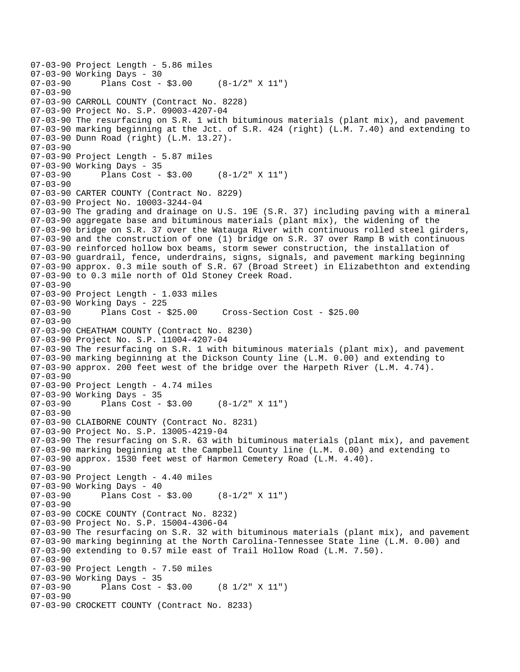```
07-03-90 Project Length - 5.86 miles 
07-03-90 Working Days - 30<br>07-03-90 Plans Cost -
              Plans Cost - $3.00 (8-1/2" X 11")
07-03-90 
07-03-90 CARROLL COUNTY (Contract No. 8228) 
07-03-90 Project No. S.P. 09003-4207-04 
07-03-90 The resurfacing on S.R. 1 with bituminous materials (plant mix), and pavement 
07-03-90 marking beginning at the Jct. of S.R. 424 (right) (L.M. 7.40) and extending to 
07-03-90 Dunn Road (right) (L.M. 13.27). 
07-03-90 
07-03-90 Project Length - 5.87 miles 
07-03-90 Working Days - 35 
07-03-90 Plans Cost - $3.00 (8-1/2" X 11") 
07-03-90 
07-03-90 CARTER COUNTY (Contract No. 8229) 
07-03-90 Project No. 10003-3244-04 
07-03-90 The grading and drainage on U.S. 19E (S.R. 37) including paving with a mineral 
07-03-90 aggregate base and bituminous materials (plant mix), the widening of the 
07-03-90 bridge on S.R. 37 over the Watauga River with continuous rolled steel girders, 
07-03-90 and the construction of one (1) bridge on S.R. 37 over Ramp B with continuous 
07-03-90 reinforced hollow box beams, storm sewer construction, the installation of 
07-03-90 guardrail, fence, underdrains, signs, signals, and pavement marking beginning 
07-03-90 approx. 0.3 mile south of S.R. 67 (Broad Street) in Elizabethton and extending 
07-03-90 to 0.3 mile north of Old Stoney Creek Road. 
07-03-90 
07-03-90 Project Length - 1.033 miles 
07-03-90 Working Days - 225 
07-03-90 Plans Cost - $25.00 Cross-Section Cost - $25.00 
07-03-90 
07-03-90 CHEATHAM COUNTY (Contract No. 8230) 
07-03-90 Project No. S.P. 11004-4207-04 
07-03-90 The resurfacing on S.R. 1 with bituminous materials (plant mix), and pavement 
07-03-90 marking beginning at the Dickson County line (L.M. 0.00) and extending to 
07-03-90 approx. 200 feet west of the bridge over the Harpeth River (L.M. 4.74). 
07-03-90 
07-03-90 Project Length - 4.74 miles
07-03-90 Working Days - 35 
07-03-90 Plans Cost - $3.00 (8-1/2" X 11") 
07-03-90 
07-03-90 CLAIBORNE COUNTY (Contract No. 8231) 
07-03-90 Project No. S.P. 13005-4219-04 
07-03-90 The resurfacing on S.R. 63 with bituminous materials (plant mix), and pavement 
07-03-90 marking beginning at the Campbell County line (L.M. 0.00) and extending to 
07-03-90 approx. 1530 feet west of Harmon Cemetery Road (L.M. 4.40). 
07-03-90 
07-03-90 Project Length - 4.40 miles 
07-03-90 Working Days - 40<br>07-03-90 Plans Cost -
              Plans Cost - $3.00 (8-1/2" X 11")
07-03-90 
07-03-90 COCKE COUNTY (Contract No. 8232) 
07-03-90 Project No. S.P. 15004-4306-04 
07-03-90 The resurfacing on S.R. 32 with bituminous materials (plant mix), and pavement 
07-03-90 marking beginning at the North Carolina-Tennessee State line (L.M. 0.00) and 
07-03-90 extending to 0.57 mile east of Trail Hollow Road (L.M. 7.50). 
07-03-90 
07-03-90 Project Length - 7.50 miles
07-03-90 Working Days - 35<br>07-03-90 Plans Cost -
              Plans Cost - $3.00 (8 1/2" X 11")
07-03-90 
07-03-90 CROCKETT COUNTY (Contract No. 8233)
```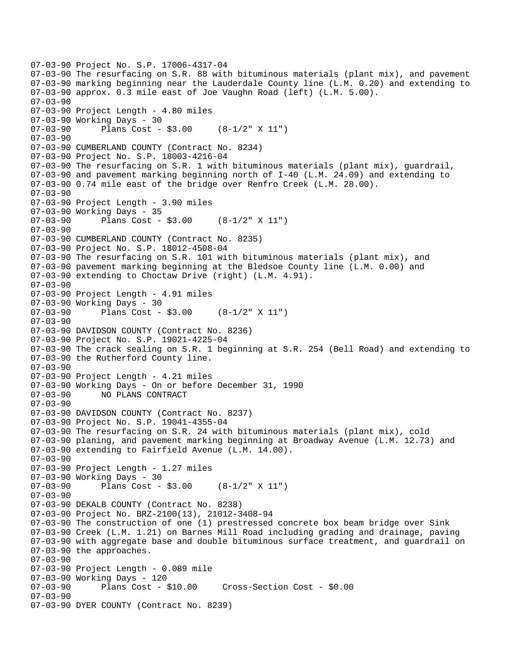```
07-03-90 Project No. S.P. 17006-4317-04 
07-03-90 The resurfacing on S.R. 88 with bituminous materials (plant mix), and pavement 
07-03-90 marking beginning near the Lauderdale County line (L.M. 0.20) and extending to 
07-03-90 approx. 0.3 mile east of Joe Vaughn Road (left) (L.M. 5.00). 
07-03-90 
07-03-90 Project Length - 4.80 miles 
07-03-90 Working Days - 30 
07-03-90 Plans Cost - $3.00 (8-1/2" X 11") 
07-03-90 
07-03-90 CUMBERLAND COUNTY (Contract No. 8234) 
07-03-90 Project No. S.P. 18003-4216-04 
07-03-90 The resurfacing on S.R. 1 with bituminous materials (plant mix), guardrail, 
07-03-90 and pavement marking beginning north of I-40 (L.M. 24.09) and extending to 
07-03-90 0.74 mile east of the bridge over Renfro Creek (L.M. 28.00). 
07-03-90 
07-03-90 Project Length - 3.90 miles
07-03-90 Working Days - 35 
07-03-90 Plans Cost - $3.00 (8-1/2" X 11") 
07-03-90 
07-03-90 CUMBERLAND COUNTY (Contract No. 8235) 
07-03-90 Project No. S.P. 18012-4508-04 
07-03-90 The resurfacing on S.R. 101 with bituminous materials (plant mix), and 
07-03-90 pavement marking beginning at the Bledsoe County line (L.M. 0.00) and 
07-03-90 extending to Choctaw Drive (right) (L.M. 4.91). 
07-03-90 
07-03-90 Project Length - 4.91 miles
07-03-90 Working Days - 30 
07-03-90 Plans Cost - $3.00 (8-1/2" X 11") 
07-03-90 
07-03-90 DAVIDSON COUNTY (Contract No. 8236) 
07-03-90 Project No. S.P. 19021-4225-04 
07-03-90 The crack sealing on S.R. 1 beginning at S.R. 254 (Bell Road) and extending to 
07-03-90 the Rutherford County line. 
07-03-90 
07-03-90 Project Length - 4.21 miles 
07-03-90 Working Days - On or before December 31, 1990 
             NO PLANS CONTRACT
07-03-90 
07-03-90 DAVIDSON COUNTY (Contract No. 8237) 
07-03-90 Project No. S.P. 19041-4355-04 
07-03-90 The resurfacing on S.R. 24 with bituminous materials (plant mix), cold 
07-03-90 planing, and pavement marking beginning at Broadway Avenue (L.M. 12.73) and 
07-03-90 extending to Fairfield Avenue (L.M. 14.00). 
07-03-90 
07-03-90 Project Length - 1.27 miles
07-03-90 Working Days - 30 
07-03-90 Plans Cost - $3.00 (8-1/2" X 11") 
07-03-90 
07-03-90 DEKALB COUNTY (Contract No. 8238) 
07-03-90 Project No. BRZ-2100(13), 21012-3408-94 
07-03-90 The construction of one (1) prestressed concrete box beam bridge over Sink 
07-03-90 Creek (L.M. 1.21) on Barnes Mill Road including grading and drainage, paving 
07-03-90 with aggregate base and double bituminous surface treatment, and guardrail on 
07-03-90 the approaches. 
07-03-90 
07-03-90 Project Length - 0.089 mile 
07-03-90 Working Days - 120 
                                      07-03-90 Plans Cost - $10.00 Cross-Section Cost - $0.00 
07-03-90 
07-03-90 DYER COUNTY (Contract No. 8239)
```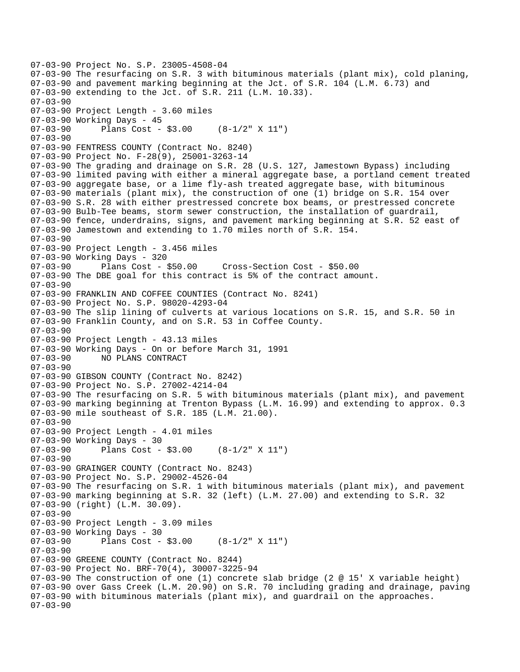```
07-03-90 Project No. S.P. 23005-4508-04 
07-03-90 The resurfacing on S.R. 3 with bituminous materials (plant mix), cold planing, 
07-03-90 and pavement marking beginning at the Jct. of S.R. 104 (L.M. 6.73) and 
07-03-90 extending to the Jct. of S.R. 211 (L.M. 10.33). 
07-03-90 
07-03-90 Project Length - 3.60 miles 
07-03-90 Working Days - 45 
07-03-90 Plans Cost - $3.00 (8-1/2" X 11") 
07-03-90 
07-03-90 FENTRESS COUNTY (Contract No. 8240) 
07-03-90 Project No. F-28(9), 25001-3263-14 
07-03-90 The grading and drainage on S.R. 28 (U.S. 127, Jamestown Bypass) including 
07-03-90 limited paving with either a mineral aggregate base, a portland cement treated 
07-03-90 aggregate base, or a lime fly-ash treated aggregate base, with bituminous 
07-03-90 materials (plant mix), the construction of one (1) bridge on S.R. 154 over 
07-03-90 S.R. 28 with either prestressed concrete box beams, or prestressed concrete 
07-03-90 Bulb-Tee beams, storm sewer construction, the installation of guardrail, 
07-03-90 fence, underdrains, signs, and pavement marking beginning at S.R. 52 east of 
07-03-90 Jamestown and extending to 1.70 miles north of S.R. 154. 
07-03-90 
07-03-90 Project Length - 3.456 miles
07-03-90 Working Days - 320 
07-03-90 Plans Cost - $50.00 Cross-Section Cost - $50.00 
07-03-90 The DBE goal for this contract is 5% of the contract amount. 
07-03-90 
07-03-90 FRANKLIN AND COFFEE COUNTIES (Contract No. 8241) 
07-03-90 Project No. S.P. 98020-4293-04 
07-03-90 The slip lining of culverts at various locations on S.R. 15, and S.R. 50 in 
07-03-90 Franklin County, and on S.R. 53 in Coffee County. 
07-03-90 
07-03-90 Project Length - 43.13 miles 
07-03-90 Working Days - On or before March 31, 1991 
              07-03-90 NO PLANS CONTRACT 
07-03-90 
07-03-90 GIBSON COUNTY (Contract No. 8242) 
07-03-90 Project No. S.P. 27002-4214-04 
07-03-90 The resurfacing on S.R. 5 with bituminous materials (plant mix), and pavement 
07-03-90 marking beginning at Trenton Bypass (L.M. 16.99) and extending to approx. 0.3 
07-03-90 mile southeast of S.R. 185 (L.M. 21.00). 
07-03-90 
07-03-90 Project Length - 4.01 miles 
07-03-90 Working Days - 30 
07-03-90 Plans Cost - $3.00 (8-1/2" X 11") 
07-03-90 
07-03-90 GRAINGER COUNTY (Contract No. 8243) 
07-03-90 Project No. S.P. 29002-4526-04 
07-03-90 The resurfacing on S.R. 1 with bituminous materials (plant mix), and pavement 
07-03-90 marking beginning at S.R. 32 (left) (L.M. 27.00) and extending to S.R. 32 
07-03-90 (right) (L.M. 30.09). 
07-03-90 
07-03-90 Project Length - 3.09 miles 
07-03-90 Working Days - 30 
07-03-90 Plans Cost - $3.00 (8-1/2" X 11") 
07-03-90 
07-03-90 GREENE COUNTY (Contract No. 8244) 
07-03-90 Project No. BRF-70(4), 30007-3225-94 
07-03-90 The construction of one (1) concrete slab bridge (2 @ 15' X variable height) 
07-03-90 over Gass Creek (L.M. 20.90) on S.R. 70 including grading and drainage, paving 
07-03-90 with bituminous materials (plant mix), and guardrail on the approaches. 
07-03-90
```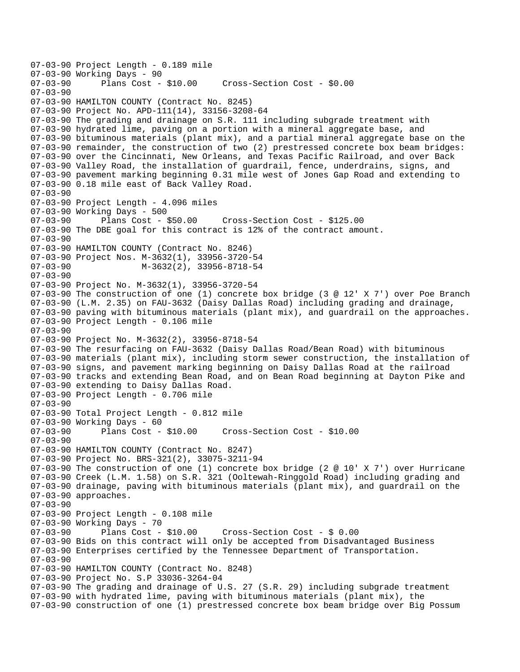07-03-90 Project Length - 0.189 mile 07-03-90 Working Days - 90<br>07-03-90 Plans Cost - \$10.00 07-03-90 Plans Cost - \$10.00 Cross-Section Cost - \$0.00 07-03-90 07-03-90 HAMILTON COUNTY (Contract No. 8245) 07-03-90 Project No. APD-111(14), 33156-3208-64 07-03-90 The grading and drainage on S.R. 111 including subgrade treatment with 07-03-90 hydrated lime, paving on a portion with a mineral aggregate base, and 07-03-90 bituminous materials (plant mix), and a partial mineral aggregate base on the 07-03-90 remainder, the construction of two (2) prestressed concrete box beam bridges: 07-03-90 over the Cincinnati, New Orleans, and Texas Pacific Railroad, and over Back 07-03-90 Valley Road, the installation of guardrail, fence, underdrains, signs, and 07-03-90 pavement marking beginning 0.31 mile west of Jones Gap Road and extending to 07-03-90 0.18 mile east of Back Valley Road. 07-03-90 07-03-90 Project Length - 4.096 miles 07-03-90 Working Days - 500 07-03-90 Plans Cost - \$50.00 Cross-Section Cost - \$125.00 07-03-90 The DBE goal for this contract is 12% of the contract amount. 07-03-90 07-03-90 HAMILTON COUNTY (Contract No. 8246) 07-03-90 Project Nos. M-3632(1), 33956-3720-54 M-3632(2), 33956-8718-54 07-03-90 07-03-90 Project No. M-3632(1), 33956-3720-54 07-03-90 The construction of one (1) concrete box bridge (3 @ 12' X 7') over Poe Branch 07-03-90 (L.M. 2.35) on FAU-3632 (Daisy Dallas Road) including grading and drainage, 07-03-90 paving with bituminous materials (plant mix), and guardrail on the approaches. 07-03-90 Project Length - 0.106 mile 07-03-90 07-03-90 Project No. M-3632(2), 33956-8718-54 07-03-90 The resurfacing on FAU-3632 (Daisy Dallas Road/Bean Road) with bituminous 07-03-90 materials (plant mix), including storm sewer construction, the installation of 07-03-90 signs, and pavement marking beginning on Daisy Dallas Road at the railroad 07-03-90 tracks and extending Bean Road, and on Bean Road beginning at Dayton Pike and 07-03-90 extending to Daisy Dallas Road. 07-03-90 Project Length - 0.706 mile 07-03-90 07-03-90 Total Project Length - 0.812 mile 07-03-90 Working Days - 60 07-03-90 Plans Cost - \$10.00 Cross-Section Cost - \$10.00 07-03-90 07-03-90 HAMILTON COUNTY (Contract No. 8247) 07-03-90 Project No. BRS-321(2), 33075-3211-94 07-03-90 The construction of one (1) concrete box bridge (2 @ 10' X 7') over Hurricane 07-03-90 Creek (L.M. 1.58) on S.R. 321 (Ooltewah-Ringgold Road) including grading and 07-03-90 drainage, paving with bituminous materials (plant mix), and guardrail on the 07-03-90 approaches. 07-03-90 07-03-90 Project Length - 0.108 mile 07-03-90 Working Days - 70 07-03-90 Plans Cost - \$10.00 Cross-Section Cost - \$ 0.00 07-03-90 Bids on this contract will only be accepted from Disadvantaged Business 07-03-90 Enterprises certified by the Tennessee Department of Transportation. 07-03-90 07-03-90 HAMILTON COUNTY (Contract No. 8248) 07-03-90 Project No. S.P 33036-3264-04 07-03-90 The grading and drainage of U.S. 27 (S.R. 29) including subgrade treatment 07-03-90 with hydrated lime, paving with bituminous materials (plant mix), the 07-03-90 construction of one (1) prestressed concrete box beam bridge over Big Possum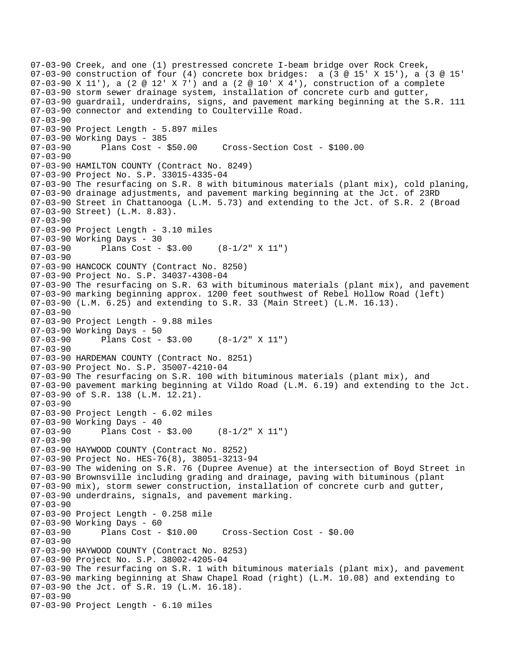07-03-90 Creek, and one (1) prestressed concrete I-beam bridge over Rock Creek, 07-03-90 construction of four (4) concrete box bridges: a (3 @ 15' X 15'), a (3 @ 15' 07-03-90 X 11'), a (2 @ 12' X 7') and a (2 @ 10' X 4'), construction of a complete 07-03-90 storm sewer drainage system, installation of concrete curb and gutter, 07-03-90 guardrail, underdrains, signs, and pavement marking beginning at the S.R. 111 07-03-90 connector and extending to Coulterville Road. 07-03-90 07-03-90 Project Length - 5.897 miles 07-03-90 Working Days - 385 07-03-90 Plans Cost - \$50.00 Cross-Section Cost - \$100.00 07-03-90 07-03-90 HAMILTON COUNTY (Contract No. 8249) 07-03-90 Project No. S.P. 33015-4335-04 07-03-90 The resurfacing on S.R. 8 with bituminous materials (plant mix), cold planing, 07-03-90 drainage adjustments, and pavement marking beginning at the Jct. of 23RD 07-03-90 Street in Chattanooga (L.M. 5.73) and extending to the Jct. of S.R. 2 (Broad 07-03-90 Street) (L.M. 8.83). 07-03-90 07-03-90 Project Length - 3.10 miles 07-03-90 Working Days - 30 07-03-90 Plans Cost - \$3.00 (8-1/2" X 11") 07-03-90 07-03-90 HANCOCK COUNTY (Contract No. 8250) 07-03-90 Project No. S.P. 34037-4308-04 07-03-90 The resurfacing on S.R. 63 with bituminous materials (plant mix), and pavement 07-03-90 marking beginning approx. 1200 feet southwest of Rebel Hollow Road (left) 07-03-90 (L.M. 6.25) and extending to S.R. 33 (Main Street) (L.M. 16.13). 07-03-90 07-03-90 Project Length - 9.88 miles 07-03-90 Working Days - 50 07-03-90 Plans Cost - \$3.00 (8-1/2" X 11") 07-03-90 07-03-90 HARDEMAN COUNTY (Contract No. 8251) 07-03-90 Project No. S.P. 35007-4210-04 07-03-90 The resurfacing on S.R. 100 with bituminous materials (plant mix), and 07-03-90 pavement marking beginning at Vildo Road (L.M. 6.19) and extending to the Jct. 07-03-90 of S.R. 138 (L.M. 12.21). 07-03-90 07-03-90 Project Length - 6.02 miles 07-03-90 Working Days - 40 07-03-90 Plans Cost - \$3.00 (8-1/2" X 11") 07-03-90 07-03-90 HAYWOOD COUNTY (Contract No. 8252) 07-03-90 Project No. HES-76(8), 38051-3213-94 07-03-90 The widening on S.R. 76 (Dupree Avenue) at the intersection of Boyd Street in 07-03-90 Brownsville including grading and drainage, paving with bituminous (plant 07-03-90 mix), storm sewer construction, installation of concrete curb and gutter, 07-03-90 underdrains, signals, and pavement marking. 07-03-90 07-03-90 Project Length - 0.258 mile 07-03-90 Working Days - 60 07-03-90 Plans Cost - \$10.00 Cross-Section Cost - \$0.00 07-03-90 07-03-90 HAYWOOD COUNTY (Contract No. 8253) 07-03-90 Project No. S.P. 38002-4205-04 07-03-90 The resurfacing on S.R. 1 with bituminous materials (plant mix), and pavement 07-03-90 marking beginning at Shaw Chapel Road (right) (L.M. 10.08) and extending to 07-03-90 the Jct. of S.R. 19 (L.M. 16.18). 07-03-90 07-03-90 Project Length - 6.10 miles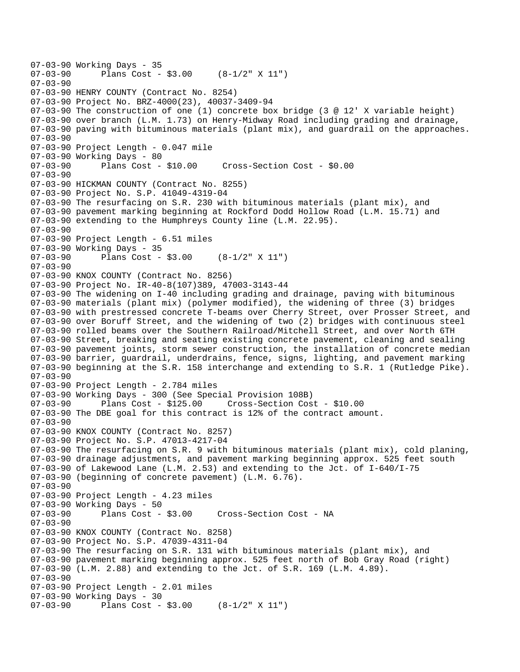```
07-03-90 Working Days - 35<br>07-03-90 Plans Cost -
              Plans Cost - $3.00 (8-1/2" X 11")
07-03-90 
07-03-90 HENRY COUNTY (Contract No. 8254) 
07-03-90 Project No. BRZ-4000(23), 40037-3409-94 
07-03-90 The construction of one (1) concrete box bridge (3 @ 12' X variable height) 
07-03-90 over branch (L.M. 1.73) on Henry-Midway Road including grading and drainage, 
07-03-90 paving with bituminous materials (plant mix), and guardrail on the approaches. 
07-03-90 
07-03-90 Project Length - 0.047 mile
07-03-90 Working Days - 80 
07-03-90 Plans Cost - $10.00 Cross-Section Cost - $0.00 
07-03-90 
07-03-90 HICKMAN COUNTY (Contract No. 8255) 
07-03-90 Project No. S.P. 41049-4319-04 
07-03-90 The resurfacing on S.R. 230 with bituminous materials (plant mix), and 
07-03-90 pavement marking beginning at Rockford Dodd Hollow Road (L.M. 15.71) and 
07-03-90 extending to the Humphreys County line (L.M. 22.95). 
07-03-90 
07-03-90 Project Length - 6.51 miles 
07-03-90 Working Days - 35<br>07-03-90 Plans Cost -
              Plans Cost - $3.00 (8-1/2" X 11")
07-03-90 
07-03-90 KNOX COUNTY (Contract No. 8256) 
07-03-90 Project No. IR-40-8(107)389, 47003-3143-44 
07-03-90 The widening on I-40 including grading and drainage, paving with bituminous 
07-03-90 materials (plant mix) (polymer modified), the widening of three (3) bridges 
07-03-90 with prestressed concrete T-beams over Cherry Street, over Prosser Street, and 
07-03-90 over Boruff Street, and the widening of two (2) bridges with continuous steel 
07-03-90 rolled beams over the Southern Railroad/Mitchell Street, and over North 6TH 
07-03-90 Street, breaking and seating existing concrete pavement, cleaning and sealing 
07-03-90 pavement joints, storm sewer construction, the installation of concrete median 
07-03-90 barrier, guardrail, underdrains, fence, signs, lighting, and pavement marking 
07-03-90 beginning at the S.R. 158 interchange and extending to S.R. 1 (Rutledge Pike). 
07-03-90 
07-03-90 Project Length - 2.784 miles
07-03-90 Working Days - 300 (See Special Provision 108B) 
07-03-90 Plans Cost - $125.00 Cross-Section Cost - $10.00 
07-03-90 The DBE goal for this contract is 12% of the contract amount. 
07-03-90 
07-03-90 KNOX COUNTY (Contract No. 8257) 
07-03-90 Project No. S.P. 47013-4217-04 
07-03-90 The resurfacing on S.R. 9 with bituminous materials (plant mix), cold planing, 
07-03-90 drainage adjustments, and pavement marking beginning approx. 525 feet south 
07-03-90 of Lakewood Lane (L.M. 2.53) and extending to the Jct. of I-640/I-75 
07-03-90 (beginning of concrete pavement) (L.M. 6.76). 
07-03-90 
07-03-90 Project Length - 4.23 miles 
07-03-90 Working Days - 50 
                                    Cross-Section Cost - NA
07-03-90 
07-03-90 KNOX COUNTY (Contract No. 8258) 
07-03-90 Project No. S.P. 47039-4311-04 
07-03-90 The resurfacing on S.R. 131 with bituminous materials (plant mix), and 
07-03-90 pavement marking beginning approx. 525 feet north of Bob Gray Road (right) 
07-03-90 (L.M. 2.88) and extending to the Jct. of S.R. 169 (L.M. 4.89). 
07-03-90 
07-03-90 Project Length - 2.01 miles 
07-03-90 Working Days - 30 
07-03-90 Plans Cost - $3.00 (8-1/2" X 11")
```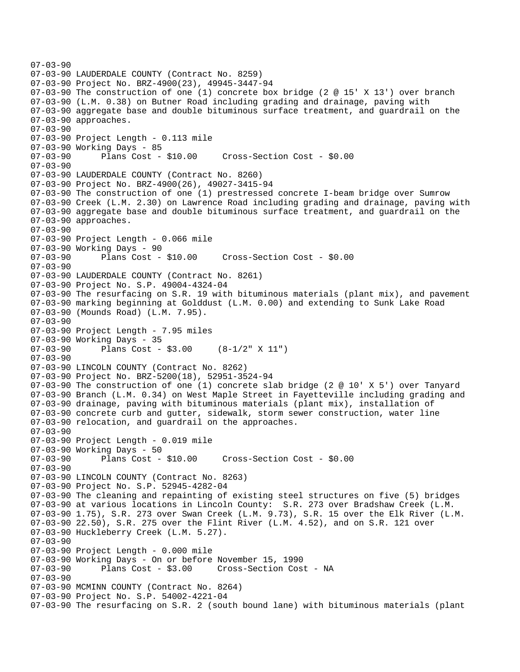```
07-03-90 
07-03-90 LAUDERDALE COUNTY (Contract No. 8259) 
07-03-90 Project No. BRZ-4900(23), 49945-3447-94 
07-03-90 The construction of one (1) concrete box bridge (2 @ 15' X 13') over branch 
07-03-90 (L.M. 0.38) on Butner Road including grading and drainage, paving with 
07-03-90 aggregate base and double bituminous surface treatment, and guardrail on the 
07-03-90 approaches. 
07-03-90 
07-03-90 Project Length - 0.113 mile 
07-03-90 Working Days - 85 
07-03-90 Plans Cost - $10.00 Cross-Section Cost - $0.00 
07-03-90 
07-03-90 LAUDERDALE COUNTY (Contract No. 8260) 
07-03-90 Project No. BRZ-4900(26), 49027-3415-94 
07-03-90 The construction of one (1) prestressed concrete I-beam bridge over Sumrow 
07-03-90 Creek (L.M. 2.30) on Lawrence Road including grading and drainage, paving with 
07-03-90 aggregate base and double bituminous surface treatment, and guardrail on the 
07-03-90 approaches. 
07-03-90 
07-03-90 Project Length - 0.066 mile 
07-03-90 Working Days - 90 
                                      07-03-90 Plans Cost - $10.00 Cross-Section Cost - $0.00 
07-03-90 
07-03-90 LAUDERDALE COUNTY (Contract No. 8261) 
07-03-90 Project No. S.P. 49004-4324-04 
07-03-90 The resurfacing on S.R. 19 with bituminous materials (plant mix), and pavement 
07-03-90 marking beginning at Golddust (L.M. 0.00) and extending to Sunk Lake Road 
07-03-90 (Mounds Road) (L.M. 7.95). 
07-03-90 
07-03-90 Project Length - 7.95 miles
07-03-90 Working Days - 35 
07-03-90 Plans Cost - $3.00 (8-1/2" X 11") 
07-03-90 
07-03-90 LINCOLN COUNTY (Contract No. 8262) 
07-03-90 Project No. BRZ-5200(18), 52951-3524-94 
07-03-90 The construction of one (1) concrete slab bridge (2 @ 10' X 5') over Tanyard 
07-03-90 Branch (L.M. 0.34) on West Maple Street in Fayetteville including grading and 
07-03-90 drainage, paving with bituminous materials (plant mix), installation of 
07-03-90 concrete curb and gutter, sidewalk, storm sewer construction, water line 
07-03-90 relocation, and guardrail on the approaches. 
07-03-90 
07-03-90 Project Length - 0.019 mile 
07-03-90 Working Days - 50 
07-03-90 Plans Cost - $10.00 Cross-Section Cost - $0.00 
07-03-90 
07-03-90 LINCOLN COUNTY (Contract No. 8263) 
07-03-90 Project No. S.P. 52945-4282-04 
07-03-90 The cleaning and repainting of existing steel structures on five (5) bridges 
07-03-90 at various locations in Lincoln County: S.R. 273 over Bradshaw Creek (L.M. 
07-03-90 1.75), S.R. 273 over Swan Creek (L.M. 9.73), S.R. 15 over the Elk River (L.M. 
07-03-90 22.50), S.R. 275 over the Flint River (L.M. 4.52), and on S.R. 121 over 
07-03-90 Huckleberry Creek (L.M. 5.27). 
07-03-90 
07-03-90 Project Length - 0.000 mile 
07-03-90 Working Days - On or before November 15, 1990 
                                     Cross-Section Cost - NA
07-03-90 
07-03-90 MCMINN COUNTY (Contract No. 8264) 
07-03-90 Project No. S.P. 54002-4221-04 
07-03-90 The resurfacing on S.R. 2 (south bound lane) with bituminous materials (plant
```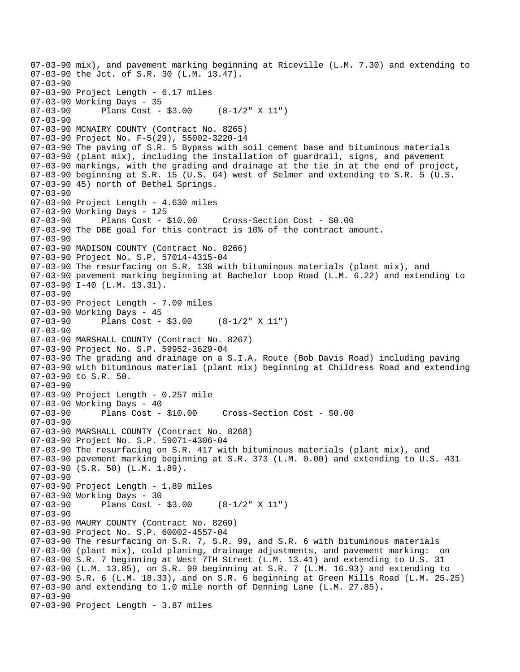07-03-90 mix), and pavement marking beginning at Riceville (L.M. 7.30) and extending to 07-03-90 the Jct. of S.R. 30 (L.M. 13.47). 07-03-90 07-03-90 Project Length - 6.17 miles 07-03-90 Working Days - 35 07-03-90 Plans Cost - \$3.00 (8-1/2" X 11") 07-03-90 07-03-90 MCNAIRY COUNTY (Contract No. 8265) 07-03-90 Project No. F-5(29), 55002-3220-14 07-03-90 The paving of S.R. 5 Bypass with soil cement base and bituminous materials 07-03-90 (plant mix), including the installation of guardrail, signs, and pavement 07-03-90 markings, with the grading and drainage at the tie in at the end of project, 07-03-90 beginning at S.R. 15 (U.S. 64) west of Selmer and extending to S.R. 5 (U.S. 07-03-90 45) north of Bethel Springs. 07-03-90 07-03-90 Project Length - 4.630 miles 07-03-90 Working Days - 125 07-03-90 Plans Cost - \$10.00 Cross-Section Cost - \$0.00 07-03-90 The DBE goal for this contract is 10% of the contract amount. 07-03-90 07-03-90 MADISON COUNTY (Contract No. 8266) 07-03-90 Project No. S.P. 57014-4315-04 07-03-90 The resurfacing on S.R. 138 with bituminous materials (plant mix), and 07-03-90 pavement marking beginning at Bachelor Loop Road (L.M. 6.22) and extending to 07-03-90 I-40 (L.M. 13.31). 07-03-90 07-03-90 Project Length - 7.09 miles 07-03-90 Working Days - 45 07-03-90 Plans Cost - \$3.00 (8-1/2" X 11") 07-03-90 07-03-90 MARSHALL COUNTY (Contract No. 8267) 07-03-90 Project No. S.P. 59952-3629-04 07-03-90 The grading and drainage on a S.I.A. Route (Bob Davis Road) including paving 07-03-90 with bituminous material (plant mix) beginning at Childress Road and extending 07-03-90 to S.R. 50. 07-03-90 07-03-90 Project Length - 0.257 mile 07-03-90 Working Days - 40 07-03-90 Plans Cost - \$10.00 Cross-Section Cost - \$0.00 07-03-90 07-03-90 MARSHALL COUNTY (Contract No. 8268) 07-03-90 Project No. S.P. 59071-4306-04 07-03-90 The resurfacing on S.R. 417 with bituminous materials (plant mix), and 07-03-90 pavement marking beginning at S.R. 373 (L.M. 0.00) and extending to U.S. 431 07-03-90 (S.R. 50) (L.M. 1.89). 07-03-90 07-03-90 Project Length - 1.89 miles 07-03-90 Working Days - 30<br>07-03-90 Plans Cost -Plans Cost -  $$3.00$  (8-1/2" X 11") 07-03-90 07-03-90 MAURY COUNTY (Contract No. 8269) 07-03-90 Project No. S.P. 60002-4557-04 07-03-90 The resurfacing on S.R. 7, S.R. 99, and S.R. 6 with bituminous materials 07-03-90 (plant mix), cold planing, drainage adjustments, and pavement marking: on 07-03-90 S.R. 7 beginning at West 7TH Street (L.M. 13.41) and extending to U.S. 31 07-03-90 (L.M. 13.85), on S.R. 99 beginning at S.R. 7 (L.M. 16.93) and extending to 07-03-90 S.R. 6 (L.M. 18.33), and on S.R. 6 beginning at Green Mills Road (L.M. 25.25) 07-03-90 and extending to 1.0 mile north of Denning Lane (L.M. 27.85). 07-03-90 07-03-90 Project Length - 3.87 miles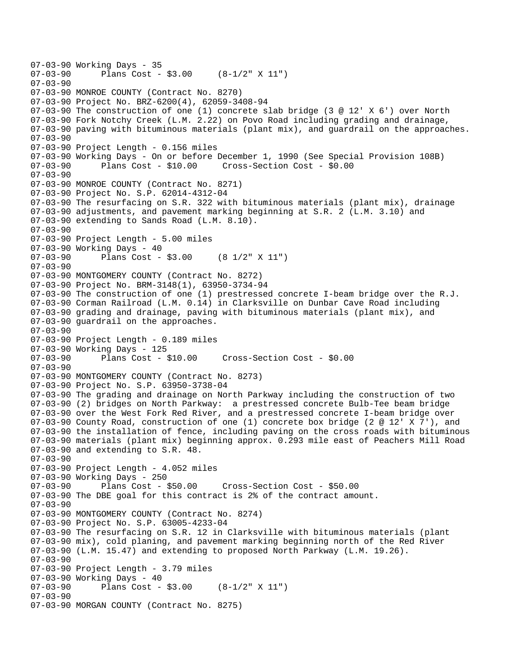```
07-03-90 Working Days - 35<br>07-03-90 Plans Cost -
               Plans Cost - $3.00 (8-1/2" X 11")
07-03-90 
07-03-90 MONROE COUNTY (Contract No. 8270) 
07-03-90 Project No. BRZ-6200(4), 62059-3408-94 
07-03-90 The construction of one (1) concrete slab bridge (3 @ 12' X 6') over North 
07-03-90 Fork Notchy Creek (L.M. 2.22) on Povo Road including grading and drainage, 
07-03-90 paving with bituminous materials (plant mix), and guardrail on the approaches. 
07-03-90 
07-03-90 Project Length - 0.156 miles 
07-03-90 Working Days - On or before December 1, 1990 (See Special Provision 108B)<br>07-03-90      Plans Cost - $10.00    Cross-Section Cost - $0.00
07-03-90 Plans Cost - $10.00 Cross-Section Cost - $0.00 
07-03-90 
07-03-90 MONROE COUNTY (Contract No. 8271) 
07-03-90 Project No. S.P. 62014-4312-04 
07-03-90 The resurfacing on S.R. 322 with bituminous materials (plant mix), drainage 
07-03-90 adjustments, and pavement marking beginning at S.R. 2 (L.M. 3.10) and 
07-03-90 extending to Sands Road (L.M. 8.10). 
07-03-90 
07-03-90 Project Length - 5.00 miles 
07-03-90 Working Days - 40<br>07-03-90 Plans Cost -
               Plans Cost - $3.00 (8 1/2" X 11")
07-03-90 
07-03-90 MONTGOMERY COUNTY (Contract No. 8272) 
07-03-90 Project No. BRM-3148(1), 63950-3734-94 
07-03-90 The construction of one (1) prestressed concrete I-beam bridge over the R.J. 
07-03-90 Corman Railroad (L.M. 0.14) in Clarksville on Dunbar Cave Road including 
07-03-90 grading and drainage, paving with bituminous materials (plant mix), and 
07-03-90 guardrail on the approaches. 
07-03-90 
07-03-90 Project Length - 0.189 miles 
07-03-90 Working Days - 125 
                                       07-03-90 Plans Cost - $10.00 Cross-Section Cost - $0.00 
07-03-90 
07-03-90 MONTGOMERY COUNTY (Contract No. 8273) 
07-03-90 Project No. S.P. 63950-3738-04 
07-03-90 The grading and drainage on North Parkway including the construction of two 
07-03-90 (2) bridges on North Parkway: a prestressed concrete Bulb-Tee beam bridge 
07-03-90 over the West Fork Red River, and a prestressed concrete I-beam bridge over 
07-03-90 County Road, construction of one (1) concrete box bridge (2 @ 12' X 7'), and 
07-03-90 the installation of fence, including paving on the cross roads with bituminous 
07-03-90 materials (plant mix) beginning approx. 0.293 mile east of Peachers Mill Road 
07-03-90 and extending to S.R. 48. 
07-03-90 
07-03-90 Project Length - 4.052 miles 
07-03-90 Working Days - 250 
07-03-90 Plans Cost - $50.00 Cross-Section Cost - $50.00 
07-03-90 The DBE goal for this contract is 2% of the contract amount. 
07-03-90 
07-03-90 MONTGOMERY COUNTY (Contract No. 8274) 
07-03-90 Project No. S.P. 63005-4233-04 
07-03-90 The resurfacing on S.R. 12 in Clarksville with bituminous materials (plant 
07-03-90 mix), cold planing, and pavement marking beginning north of the Red River 
07-03-90 (L.M. 15.47) and extending to proposed North Parkway (L.M. 19.26). 
07-03-90 
07-03-90 Project Length - 3.79 miles
07-03-90 Working Days - 40<br>07-03-90 Plans Cost -
               Plans Cost - $3.00 (8-1/2" X 11")
07-03-90 
07-03-90 MORGAN COUNTY (Contract No. 8275)
```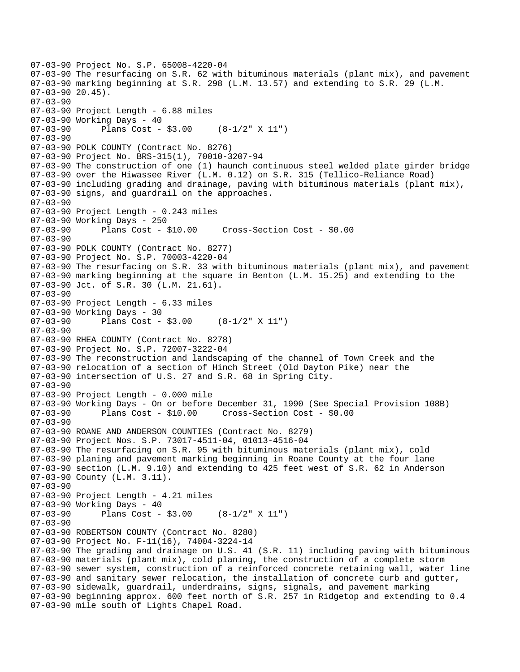```
07-03-90 Project No. S.P. 65008-4220-04 
07-03-90 The resurfacing on S.R. 62 with bituminous materials (plant mix), and pavement 
07-03-90 marking beginning at S.R. 298 (L.M. 13.57) and extending to S.R. 29 (L.M. 
07-03-90 20.45). 
07-03-90 
07-03-90 Project Length - 6.88 miles 
07-03-90 Working Days - 40 
07-03-90 Plans Cost - $3.00 (8-1/2" X 11") 
07-03-90 
07-03-90 POLK COUNTY (Contract No. 8276) 
07-03-90 Project No. BRS-315(1), 70010-3207-94 
07-03-90 The construction of one (1) haunch continuous steel welded plate girder bridge 
07-03-90 over the Hiwassee River (L.M. 0.12) on S.R. 315 (Tellico-Reliance Road) 
07-03-90 including grading and drainage, paving with bituminous materials (plant mix), 
07-03-90 signs, and guardrail on the approaches. 
07-03-90 
07-03-90 Project Length - 0.243 miles 
07-03-90 Working Days - 250 
07-03-90 Plans Cost - $10.00 Cross-Section Cost - $0.00 
07-03-90 
07-03-90 POLK COUNTY (Contract No. 8277) 
07-03-90 Project No. S.P. 70003-4220-04 
07-03-90 The resurfacing on S.R. 33 with bituminous materials (plant mix), and pavement 
07-03-90 marking beginning at the square in Benton (L.M. 15.25) and extending to the 
07-03-90 Jct. of S.R. 30 (L.M. 21.61). 
07-03-90 
07-03-90 Project Length - 6.33 miles 
07-03-90 Working Days - 30 
07-03-90 Plans Cost - $3.00 (8-1/2" X 11") 
07-03-90 
07-03-90 RHEA COUNTY (Contract No. 8278) 
07-03-90 Project No. S.P. 72007-3222-04 
07-03-90 The reconstruction and landscaping of the channel of Town Creek and the 
07-03-90 relocation of a section of Hinch Street (Old Dayton Pike) near the 
07-03-90 intersection of U.S. 27 and S.R. 68 in Spring City. 
07-03-90 
07-03-90 Project Length - 0.000 mile 
07-03-90 Working Days - On or before December 31, 1990 (See Special Provision 108B) 
07-03-90 Plans Cost - $10.00 Cross-Section Cost - $0.00 
07-03-90 
07-03-90 ROANE AND ANDERSON COUNTIES (Contract No. 8279) 
07-03-90 Project Nos. S.P. 73017-4511-04, 01013-4516-04 
07-03-90 The resurfacing on S.R. 95 with bituminous materials (plant mix), cold 
07-03-90 planing and pavement marking beginning in Roane County at the four lane 
07-03-90 section (L.M. 9.10) and extending to 425 feet west of S.R. 62 in Anderson 
07-03-90 County (L.M. 3.11). 
07-03-90 
07-03-90 Project Length - 4.21 miles 
07-03-90 Working Days - 40<br>07-03-90 Plans Cost -
              Plans Cost - $3.00 (8-1/2" X 11")
07-03-90 
07-03-90 ROBERTSON COUNTY (Contract No. 8280) 
07-03-90 Project No. F-11(16), 74004-3224-14 
07-03-90 The grading and drainage on U.S. 41 (S.R. 11) including paving with bituminous 
07-03-90 materials (plant mix), cold planing, the construction of a complete storm 
07-03-90 sewer system, construction of a reinforced concrete retaining wall, water line 
07-03-90 and sanitary sewer relocation, the installation of concrete curb and gutter, 
07-03-90 sidewalk, guardrail, underdrains, signs, signals, and pavement marking 
07-03-90 beginning approx. 600 feet north of S.R. 257 in Ridgetop and extending to 0.4 
07-03-90 mile south of Lights Chapel Road.
```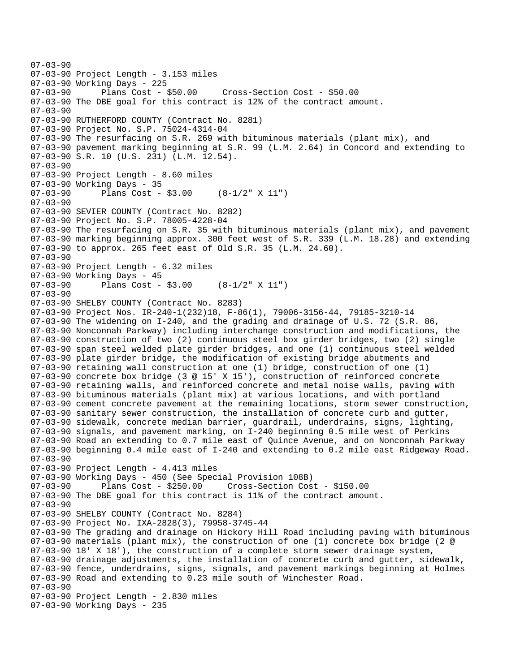07-03-90 07-03-90 Project Length - 3.153 miles 07-03-90 Working Days - 225 07-03-90 Plans Cost - \$50.00 Cross-Section Cost - \$50.00 07-03-90 The DBE goal for this contract is 12% of the contract amount. 07-03-90 07-03-90 RUTHERFORD COUNTY (Contract No. 8281) 07-03-90 Project No. S.P. 75024-4314-04 07-03-90 The resurfacing on S.R. 269 with bituminous materials (plant mix), and 07-03-90 pavement marking beginning at S.R. 99 (L.M. 2.64) in Concord and extending to 07-03-90 S.R. 10 (U.S. 231) (L.M. 12.54). 07-03-90 07-03-90 Project Length - 8.60 miles 07-03-90 Working Days - 35<br>07-03-90 Plans Cost -Plans Cost -  $$3.00$  (8-1/2" X 11") 07-03-90 07-03-90 SEVIER COUNTY (Contract No. 8282) 07-03-90 Project No. S.P. 78005-4228-04 07-03-90 The resurfacing on S.R. 35 with bituminous materials (plant mix), and pavement 07-03-90 marking beginning approx. 300 feet west of S.R. 339 (L.M. 18.28) and extending 07-03-90 to approx. 265 feet east of Old S.R. 35 (L.M. 24.60). 07-03-90 07-03-90 Project Length - 6.32 miles 07-03-90 Working Days - 45<br>07-03-90 Plans Cost -Plans Cost - \$3.00 (8-1/2" X 11") 07-03-90 07-03-90 SHELBY COUNTY (Contract No. 8283) 07-03-90 Project Nos. IR-240-1(232)18, F-86(1), 79006-3156-44, 79185-3210-14 07-03-90 The widening on I-240, and the grading and drainage of U.S. 72 (S.R. 86, 07-03-90 Nonconnah Parkway) including interchange construction and modifications, the 07-03-90 construction of two (2) continuous steel box girder bridges, two (2) single 07-03-90 span steel welded plate girder bridges, and one (1) continuous steel welded 07-03-90 plate girder bridge, the modification of existing bridge abutments and 07-03-90 retaining wall construction at one (1) bridge, construction of one (1) 07-03-90 concrete box bridge (3 @ 15' X 15'), construction of reinforced concrete 07-03-90 retaining walls, and reinforced concrete and metal noise walls, paving with 07-03-90 bituminous materials (plant mix) at various locations, and with portland 07-03-90 cement concrete pavement at the remaining locations, storm sewer construction, 07-03-90 sanitary sewer construction, the installation of concrete curb and gutter, 07-03-90 sidewalk, concrete median barrier, guardrail, underdrains, signs, lighting, 07-03-90 signals, and pavement marking, on I-240 beginning 0.5 mile west of Perkins 07-03-90 Road an extending to 0.7 mile east of Quince Avenue, and on Nonconnah Parkway 07-03-90 beginning 0.4 mile east of I-240 and extending to 0.2 mile east Ridgeway Road. 07-03-90 07-03-90 Project Length - 4.413 miles 07-03-90 Working Days - 450 (See Special Provision 108B) 07-03-90 Plans Cost - \$250.00 Cross-Section Cost - \$150.00 07-03-90 The DBE goal for this contract is 11% of the contract amount. 07-03-90 07-03-90 SHELBY COUNTY (Contract No. 8284) 07-03-90 Project No. IXA-2828(3), 79958-3745-44 07-03-90 The grading and drainage on Hickory Hill Road including paving with bituminous 07-03-90 materials (plant mix), the construction of one (1) concrete box bridge (2 @ 07-03-90 18' X 18'), the construction of a complete storm sewer drainage system, 07-03-90 drainage adjustments, the installation of concrete curb and gutter, sidewalk, 07-03-90 fence, underdrains, signs, signals, and pavement markings beginning at Holmes 07-03-90 Road and extending to 0.23 mile south of Winchester Road. 07-03-90 07-03-90 Project Length - 2.830 miles 07-03-90 Working Days - 235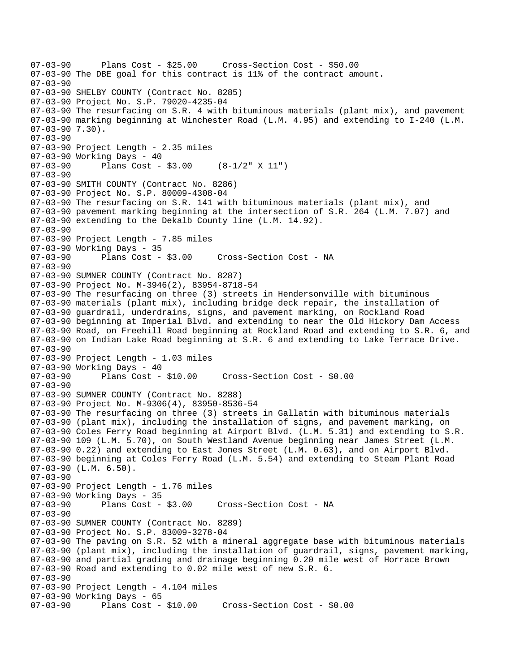```
07-03-90 Plans Cost - $25.00 Cross-Section Cost - $50.00 
07-03-90 The DBE goal for this contract is 11% of the contract amount. 
07-03-90 
07-03-90 SHELBY COUNTY (Contract No. 8285) 
07-03-90 Project No. S.P. 79020-4235-04 
07-03-90 The resurfacing on S.R. 4 with bituminous materials (plant mix), and pavement 
07-03-90 marking beginning at Winchester Road (L.M. 4.95) and extending to I-240 (L.M. 
07-03-90 7.30). 
07-03-90 
07-03-90 Project Length - 2.35 miles
07-03-90 Working Days - 40 
07-03-90 Plans Cost - $3.00 (8-1/2" X 11") 
07 - 03 - 9007-03-90 SMITH COUNTY (Contract No. 8286) 
07-03-90 Project No. S.P. 80009-4308-04 
07-03-90 The resurfacing on S.R. 141 with bituminous materials (plant mix), and 
07-03-90 pavement marking beginning at the intersection of S.R. 264 (L.M. 7.07) and 
07-03-90 extending to the Dekalb County line (L.M. 14.92). 
07-03-90 
07-03-90 Project Length - 7.85 miles
07-03-90 Working Days - 35<br>07-03-90 Plans Cost - $3.00
                                     Cross-Section Cost - NA
07-03-90 
07-03-90 SUMNER COUNTY (Contract No. 8287) 
07-03-90 Project No. M-3946(2), 83954-8718-54 
07-03-90 The resurfacing on three (3) streets in Hendersonville with bituminous 
07-03-90 materials (plant mix), including bridge deck repair, the installation of 
07-03-90 guardrail, underdrains, signs, and pavement marking, on Rockland Road 
07-03-90 beginning at Imperial Blvd. and extending to near the Old Hickory Dam Access 
07-03-90 Road, on Freehill Road beginning at Rockland Road and extending to S.R. 6, and 
07-03-90 on Indian Lake Road beginning at S.R. 6 and extending to Lake Terrace Drive. 
07-03-90 
07-03-90 Project Length - 1.03 miles 
07-03-90 Working Days - 40 
                                      07-03-90 Plans Cost - $10.00 Cross-Section Cost - $0.00 
07-03-90 
07-03-90 SUMNER COUNTY (Contract No. 8288) 
07-03-90 Project No. M-9306(4), 83950-8536-54 
07-03-90 The resurfacing on three (3) streets in Gallatin with bituminous materials 
07-03-90 (plant mix), including the installation of signs, and pavement marking, on 
07-03-90 Coles Ferry Road beginning at Airport Blvd. (L.M. 5.31) and extending to S.R. 
07-03-90 109 (L.M. 5.70), on South Westland Avenue beginning near James Street (L.M. 
07-03-90 0.22) and extending to East Jones Street (L.M. 0.63), and on Airport Blvd. 
07-03-90 beginning at Coles Ferry Road (L.M. 5.54) and extending to Steam Plant Road 
07-03-90 (L.M. 6.50). 
07-03-90 
07-03-90 Project Length - 1.76 miles 
07-03-90 Working Days - 35<br>07-03-90       Plans Cost - $3.00
                                    Cross-Section Cost - NA
07-03-90 
07-03-90 SUMNER COUNTY (Contract No. 8289) 
07-03-90 Project No. S.P. 83009-3278-04 
07-03-90 The paving on S.R. 52 with a mineral aggregate base with bituminous materials 
07-03-90 (plant mix), including the installation of guardrail, signs, pavement marking, 
07-03-90 and partial grading and drainage beginning 0.20 mile west of Horrace Brown 
07-03-90 Road and extending to 0.02 mile west of new S.R. 6. 
07-03-90 
07-03-90 Project Length - 4.104 miles 
07-03-90 Working Days - 65 
07-03-90 Plans Cost - $10.00 Cross-Section Cost - $0.00
```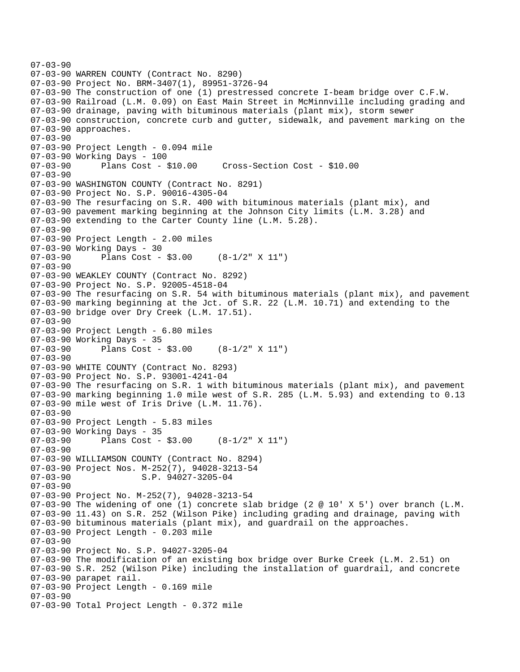```
07-03-90 
07-03-90 WARREN COUNTY (Contract No. 8290) 
07-03-90 Project No. BRM-3407(1), 89951-3726-94 
07-03-90 The construction of one (1) prestressed concrete I-beam bridge over C.F.W. 
07-03-90 Railroad (L.M. 0.09) on East Main Street in McMinnville including grading and 
07-03-90 drainage, paving with bituminous materials (plant mix), storm sewer 
07-03-90 construction, concrete curb and gutter, sidewalk, and pavement marking on the 
07-03-90 approaches. 
07-03-90 
07-03-90 Project Length - 0.094 mile 
07-03-90 Working Days - 100 
07-03-90 Plans Cost - $10.00 Cross-Section Cost - $10.00 
07-03-90 
07-03-90 WASHINGTON COUNTY (Contract No. 8291) 
07-03-90 Project No. S.P. 90016-4305-04 
07-03-90 The resurfacing on S.R. 400 with bituminous materials (plant mix), and 
07-03-90 pavement marking beginning at the Johnson City limits (L.M. 3.28) and 
07-03-90 extending to the Carter County line (L.M. 5.28). 
07-03-90 
07-03-90 Project Length - 2.00 miles 
07-03-90 Working Days - 30<br>07-03-90 Plans Cost -
              Plans Cost - $3.00 (8-1/2" X 11")
07-03-90 
07-03-90 WEAKLEY COUNTY (Contract No. 8292) 
07-03-90 Project No. S.P. 92005-4518-04 
07-03-90 The resurfacing on S.R. 54 with bituminous materials (plant mix), and pavement 
07-03-90 marking beginning at the Jct. of S.R. 22 (L.M. 10.71) and extending to the 
07-03-90 bridge over Dry Creek (L.M. 17.51). 
07-03-90 
07-03-90 Project Length - 6.80 miles 
07-03-90 Working Days - 35 
07-03-90 Plans Cost - $3.00 (8-1/2" X 11") 
07-03-90 
07-03-90 WHITE COUNTY (Contract No. 8293) 
07-03-90 Project No. S.P. 93001-4241-04 
07-03-90 The resurfacing on S.R. 1 with bituminous materials (plant mix), and pavement 
07-03-90 marking beginning 1.0 mile west of S.R. 285 (L.M. 5.93) and extending to 0.13 
07-03-90 mile west of Iris Drive (L.M. 11.76). 
07-03-90 
07-03-90 Project Length - 5.83 miles 
07-03-90 Working Days - 35 
07-03-90 Plans Cost - $3.00 (8-1/2" X 11") 
07-03-90 
07-03-90 WILLIAMSON COUNTY (Contract No. 8294) 
07-03-90 Project Nos. M-252(7), 94028-3213-54 
07-03-90 S.P. 94027-3205-04
07-03-90 
07-03-90 Project No. M-252(7), 94028-3213-54 
07-03-90 The widening of one (1) concrete slab bridge (2 @ 10' X 5') over branch (L.M. 
07-03-90 11.43) on S.R. 252 (Wilson Pike) including grading and drainage, paving with 
07-03-90 bituminous materials (plant mix), and guardrail on the approaches. 
07-03-90 Project Length - 0.203 mile 
07-03-90 
07-03-90 Project No. S.P. 94027-3205-04 
07-03-90 The modification of an existing box bridge over Burke Creek (L.M. 2.51) on 
07-03-90 S.R. 252 (Wilson Pike) including the installation of guardrail, and concrete 
07-03-90 parapet rail. 
07-03-90 Project Length - 0.169 mile 
07-03-90 
07-03-90 Total Project Length - 0.372 mile
```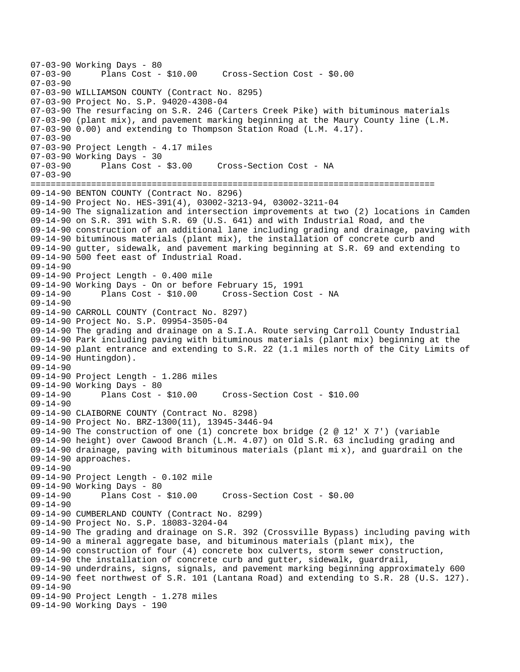07-03-90 Working Days - 80<br>07-03-90 Plans Cost -Plans Cost - \$10.00 Cross-Section Cost - \$0.00 07-03-90 07-03-90 WILLIAMSON COUNTY (Contract No. 8295) 07-03-90 Project No. S.P. 94020-4308-04 07-03-90 The resurfacing on S.R. 246 (Carters Creek Pike) with bituminous materials 07-03-90 (plant mix), and pavement marking beginning at the Maury County line (L.M. 07-03-90 0.00) and extending to Thompson Station Road (L.M. 4.17). 07-03-90 07-03-90 Project Length - 4.17 miles 07-03-90 Working Days - 30 07-03-90 Plans Cost - \$3.00 Cross-Section Cost - NA  $07 - 03 - 90$ ================================================================================ 09-14-90 BENTON COUNTY (Contract No. 8296) 09-14-90 Project No. HES-391(4), 03002-3213-94, 03002-3211-04 09-14-90 The signalization and intersection improvements at two (2) locations in Camden 09-14-90 on S.R. 391 with S.R. 69 (U.S. 641) and with Industrial Road, and the 09-14-90 construction of an additional lane including grading and drainage, paving with 09-14-90 bituminous materials (plant mix), the installation of concrete curb and 09-14-90 gutter, sidewalk, and pavement marking beginning at S.R. 69 and extending to 09-14-90 500 feet east of Industrial Road. 09-14-90 09-14-90 Project Length - 0.400 mile 09-14-90 Working Days - On or before February 15, 1991 09-14-90 Plans Cost - \$10.00 Cross-Section Cost - NA 09-14-90 09-14-90 CARROLL COUNTY (Contract No. 8297) 09-14-90 Project No. S.P. 09954-3505-04 09-14-90 The grading and drainage on a S.I.A. Route serving Carroll County Industrial 09-14-90 Park including paving with bituminous materials (plant mix) beginning at the 09-14-90 plant entrance and extending to S.R. 22 (1.1 miles north of the City Limits of 09-14-90 Huntingdon). 09-14-90 09-14-90 Project Length - 1.286 miles 09-14-90 Working Days - 80 09-14-90 Plans Cost - \$10.00 Cross-Section Cost - \$10.00 09-14-90 09-14-90 CLAIBORNE COUNTY (Contract No. 8298) 09-14-90 Project No. BRZ-1300(11), 13945-3446-94 09-14-90 The construction of one (1) concrete box bridge (2 @ 12' X 7') (variable 09-14-90 height) over Cawood Branch (L.M. 4.07) on Old S.R. 63 including grading and 09-14-90 drainage, paving with bituminous materials (plant mi x), and guardrail on the 09-14-90 approaches. 09-14-90 09-14-90 Project Length - 0.102 mile 09-14-90 Working Days - 80 09-14-90 Plans Cost - \$10.00 Cross-Section Cost - \$0.00 09-14-90 09-14-90 CUMBERLAND COUNTY (Contract No. 8299) 09-14-90 Project No. S.P. 18083-3204-04 09-14-90 The grading and drainage on S.R. 392 (Crossville Bypass) including paving with 09-14-90 a mineral aggregate base, and bituminous materials (plant mix), the 09-14-90 construction of four (4) concrete box culverts, storm sewer construction, 09-14-90 the installation of concrete curb and gutter, sidewalk, guardrail, 09-14-90 underdrains, signs, signals, and pavement marking beginning approximately 600 09-14-90 feet northwest of S.R. 101 (Lantana Road) and extending to S.R. 28 (U.S. 127). 09-14-90 09-14-90 Project Length - 1.278 miles 09-14-90 Working Days - 190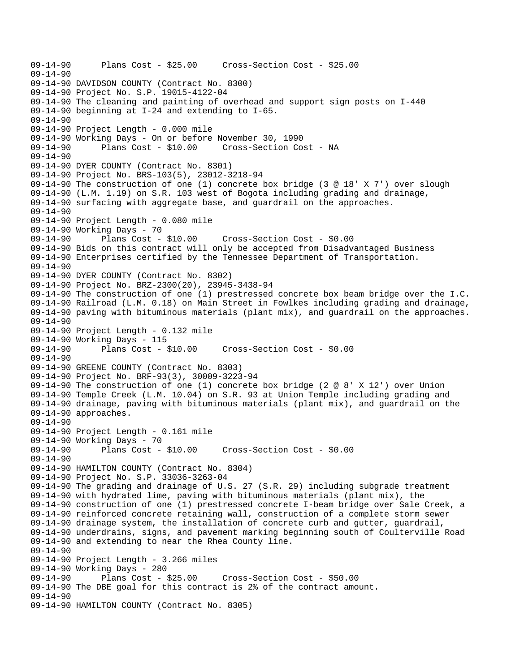09-14-90 Plans Cost - \$25.00 Cross-Section Cost - \$25.00 09-14-90 09-14-90 DAVIDSON COUNTY (Contract No. 8300) 09-14-90 Project No. S.P. 19015-4122-04 09-14-90 The cleaning and painting of overhead and support sign posts on I-440 09-14-90 beginning at I-24 and extending to I-65. 09-14-90 09-14-90 Project Length - 0.000 mile 09-14-90 Working Days - On or before November 30, 1990 09-14-90 Plans Cost - \$10.00 Cross-Section Cost - NA 09-14-90 09-14-90 DYER COUNTY (Contract No. 8301) 09-14-90 Project No. BRS-103(5), 23012-3218-94 09-14-90 The construction of one (1) concrete box bridge (3 @ 18' X 7') over slough 09-14-90 (L.M. 1.19) on S.R. 103 west of Bogota including grading and drainage, 09-14-90 surfacing with aggregate base, and guardrail on the approaches. 09-14-90 09-14-90 Project Length - 0.080 mile 09-14-90 Working Days - 70 09-14-90 Plans Cost - \$10.00 Cross-Section Cost - \$0.00 09-14-90 Bids on this contract will only be accepted from Disadvantaged Business 09-14-90 Enterprises certified by the Tennessee Department of Transportation. 09-14-90 09-14-90 DYER COUNTY (Contract No. 8302) 09-14-90 Project No. BRZ-2300(20), 23945-3438-94 09-14-90 The construction of one (1) prestressed concrete box beam bridge over the I.C. 09-14-90 Railroad (L.M. 0.18) on Main Street in Fowlkes including grading and drainage, 09-14-90 paving with bituminous materials (plant mix), and guardrail on the approaches. 09-14-90 09-14-90 Project Length - 0.132 mile 09-14-90 Working Days - 115 09-14-90 Plans Cost - \$10.00 Cross-Section Cost - \$0.00 09-14-90 09-14-90 GREENE COUNTY (Contract No. 8303) 09-14-90 Project No. BRF-93(3), 30009-3223-94 09-14-90 The construction of one (1) concrete box bridge (2 @ 8' X 12') over Union 09-14-90 Temple Creek (L.M. 10.04) on S.R. 93 at Union Temple including grading and 09-14-90 drainage, paving with bituminous materials (plant mix), and guardrail on the 09-14-90 approaches. 09-14-90 09-14-90 Project Length - 0.161 mile 09-14-90 Working Days - 70 09-14-90 Plans Cost - \$10.00 Cross-Section Cost - \$0.00 09-14-90 09-14-90 HAMILTON COUNTY (Contract No. 8304) 09-14-90 Project No. S.P. 33036-3263-04 09-14-90 The grading and drainage of U.S. 27 (S.R. 29) including subgrade treatment 09-14-90 with hydrated lime, paving with bituminous materials (plant mix), the 09-14-90 construction of one (1) prestressed concrete I-beam bridge over Sale Creek, a 09-14-90 reinforced concrete retaining wall, construction of a complete storm sewer 09-14-90 drainage system, the installation of concrete curb and gutter, guardrail, 09-14-90 underdrains, signs, and pavement marking beginning south of Coulterville Road 09-14-90 and extending to near the Rhea County line. 09-14-90 09-14-90 Project Length - 3.266 miles 09-14-90 Working Days - 280 09-14-90 Plans Cost - \$25.00 Cross-Section Cost - \$50.00 09-14-90 The DBE goal for this contract is 2% of the contract amount. 09-14-90 09-14-90 HAMILTON COUNTY (Contract No. 8305)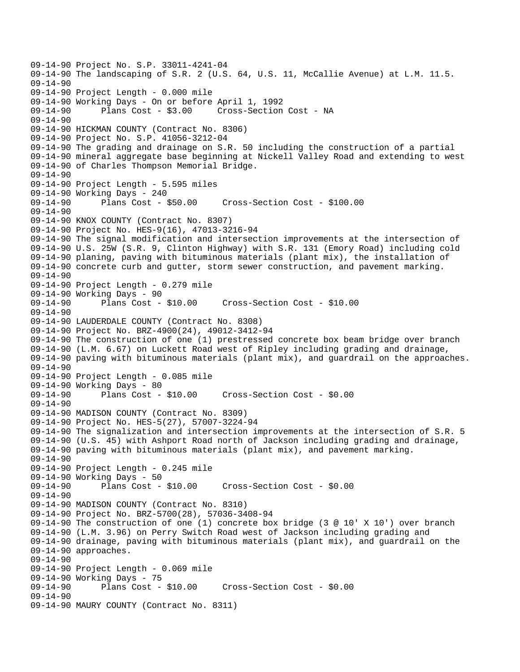09-14-90 Project No. S.P. 33011-4241-04 09-14-90 The landscaping of S.R. 2 (U.S. 64, U.S. 11, McCallie Avenue) at L.M. 11.5. 09-14-90 09-14-90 Project Length - 0.000 mile 09-14-90 Working Days - On or before April 1, 1992 09-14-90 Plans Cost - \$3.00 Cross-Section Cost - NA 09-14-90 09-14-90 HICKMAN COUNTY (Contract No. 8306) 09-14-90 Project No. S.P. 41056-3212-04 09-14-90 The grading and drainage on S.R. 50 including the construction of a partial 09-14-90 mineral aggregate base beginning at Nickell Valley Road and extending to west 09-14-90 of Charles Thompson Memorial Bridge. 09-14-90 09-14-90 Project Length - 5.595 miles 09-14-90 Working Days - 240 09-14-90 Plans Cost - \$50.00 Cross-Section Cost - \$100.00 09-14-90 09-14-90 KNOX COUNTY (Contract No. 8307) 09-14-90 Project No. HES-9(16), 47013-3216-94 09-14-90 The signal modification and intersection improvements at the intersection of 09-14-90 U.S. 25W (S.R. 9, Clinton Highway) with S.R. 131 (Emory Road) including cold 09-14-90 planing, paving with bituminous materials (plant mix), the installation of 09-14-90 concrete curb and gutter, storm sewer construction, and pavement marking. 09-14-90 09-14-90 Project Length - 0.279 mile 09-14-90 Working Days - 90 09-14-90 Plans Cost - \$10.00 Cross-Section Cost - \$10.00 09-14-90 09-14-90 LAUDERDALE COUNTY (Contract No. 8308) 09-14-90 Project No. BRZ-4900(24), 49012-3412-94 09-14-90 The construction of one (1) prestressed concrete box beam bridge over branch 09-14-90 (L.M. 6.67) on Luckett Road west of Ripley including grading and drainage, 09-14-90 paving with bituminous materials (plant mix), and guardrail on the approaches. 09-14-90 09-14-90 Project Length - 0.085 mile 09-14-90 Working Days - 80 09-14-90 Plans Cost - \$10.00 Cross-Section Cost - \$0.00 09-14-90 09-14-90 MADISON COUNTY (Contract No. 8309) 09-14-90 Project No. HES-5(27), 57007-3224-94 09-14-90 The signalization and intersection improvements at the intersection of S.R. 5 09-14-90 (U.S. 45) with Ashport Road north of Jackson including grading and drainage, 09-14-90 paving with bituminous materials (plant mix), and pavement marking. 09-14-90 09-14-90 Project Length - 0.245 mile 09-14-90 Working Days - 50 09-14-90 Plans Cost - \$10.00 Cross-Section Cost - \$0.00 09-14-90 09-14-90 MADISON COUNTY (Contract No. 8310) 09-14-90 Project No. BRZ-5700(28), 57036-3408-94 09-14-90 The construction of one (1) concrete box bridge (3 @ 10' X 10') over branch 09-14-90 (L.M. 3.96) on Perry Switch Road west of Jackson including grading and 09-14-90 drainage, paving with bituminous materials (plant mix), and guardrail on the 09-14-90 approaches. 09-14-90 09-14-90 Project Length - 0.069 mile 09-14-90 Working Days - 75<br>09-14-90 Plans Cost - \$10.00 Cross-Section Cost - \$0.00 09-14-90 09-14-90 MAURY COUNTY (Contract No. 8311)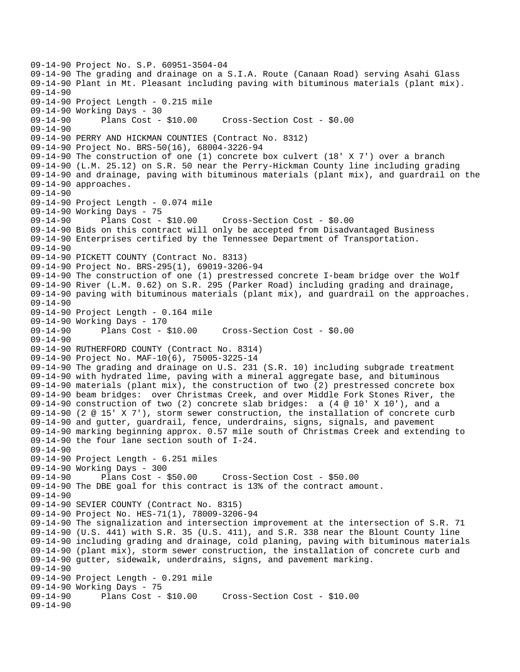09-14-90 Project No. S.P. 60951-3504-04 09-14-90 The grading and drainage on a S.I.A. Route (Canaan Road) serving Asahi Glass 09-14-90 Plant in Mt. Pleasant including paving with bituminous materials (plant mix). 09-14-90 09-14-90 Project Length - 0.215 mile 09-14-90 Working Days - 30<br>09-14-90 Plans Cost - \$10.00 09-14-90 Plans Cost - \$10.00 Cross-Section Cost - \$0.00 09-14-90 09-14-90 PERRY AND HICKMAN COUNTIES (Contract No. 8312) 09-14-90 Project No. BRS-50(16), 68004-3226-94 09-14-90 The construction of one (1) concrete box culvert (18' X 7') over a branch 09-14-90 (L.M. 25.12) on S.R. 50 near the Perry-Hickman County line including grading 09-14-90 and drainage, paving with bituminous materials (plant mix), and guardrail on the 09-14-90 approaches. 09-14-90 09-14-90 Project Length - 0.074 mile 09-14-90 Working Days - 75<br>09-14-90 Plans Cost -09-14-90 Plans Cost - \$10.00 Cross-Section Cost - \$0.00 09-14-90 Bids on this contract will only be accepted from Disadvantaged Business 09-14-90 Enterprises certified by the Tennessee Department of Transportation. 09-14-90 09-14-90 PICKETT COUNTY (Contract No. 8313) 09-14-90 Project No. BRS-295(1), 69019-3206-94 09-14-90 The construction of one (1) prestressed concrete I-beam bridge over the Wolf 09-14-90 River (L.M. 0.62) on S.R. 295 (Parker Road) including grading and drainage, 09-14-90 paving with bituminous materials (plant mix), and guardrail on the approaches. 09-14-90 09-14-90 Project Length - 0.164 mile 09-14-90 Working Days - 170<br>09-14-90 Plans Cost - \$10.00 09-14-90 Plans Cost - \$10.00 Cross-Section Cost - \$0.00 09-14-90 09-14-90 RUTHERFORD COUNTY (Contract No. 8314) 09-14-90 Project No. MAF-10(6), 75005-3225-14 09-14-90 The grading and drainage on U.S. 231 (S.R. 10) including subgrade treatment 09-14-90 with hydrated lime, paving with a mineral aggregate base, and bituminous 09-14-90 materials (plant mix), the construction of two (2) prestressed concrete box 09-14-90 beam bridges: over Christmas Creek, and over Middle Fork Stones River, the 09-14-90 construction of two (2) concrete slab bridges: a (4 @ 10' X 10'), and a 09-14-90 (2 @ 15' X 7'), storm sewer construction, the installation of concrete curb 09-14-90 and gutter, guardrail, fence, underdrains, signs, signals, and pavement 09-14-90 marking beginning approx. 0.57 mile south of Christmas Creek and extending to 09-14-90 the four lane section south of I-24. 09-14-90 09-14-90 Project Length - 6.251 miles 09-14-90 Working Days - 300 09-14-90 Plans Cost - \$50.00 Cross-Section Cost - \$50.00 09-14-90 The DBE goal for this contract is 13% of the contract amount. 09-14-90 09-14-90 SEVIER COUNTY (Contract No. 8315) 09-14-90 Project No. HES-71(1), 78009-3206-94 09-14-90 The signalization and intersection improvement at the intersection of S.R. 71 09-14-90 (U.S. 441) with S.R. 35 (U.S. 411), and S.R. 338 near the Blount County line 09-14-90 including grading and drainage, cold planing, paving with bituminous materials 09-14-90 (plant mix), storm sewer construction, the installation of concrete curb and 09-14-90 gutter, sidewalk, underdrains, signs, and pavement marking. 09-14-90 09-14-90 Project Length - 0.291 mile 09-14-90 Working Days - 75<br>09-14-90 Plans Cost -Plans Cost - \$10.00 Cross-Section Cost - \$10.00 09-14-90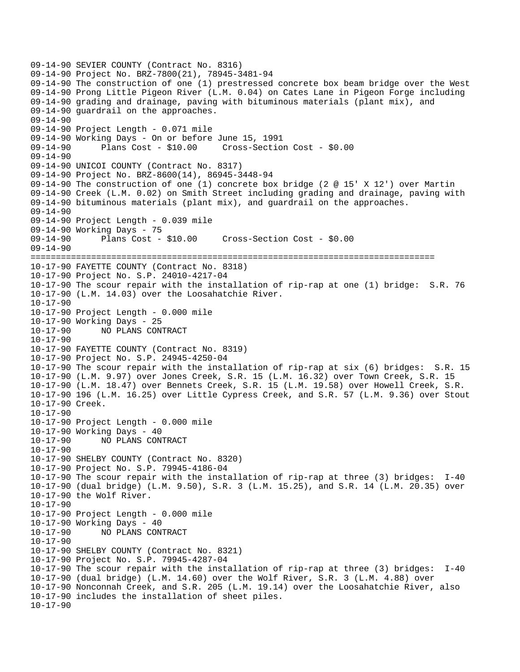```
09-14-90 SEVIER COUNTY (Contract No. 8316) 
09-14-90 Project No. BRZ-7800(21), 78945-3481-94 
09-14-90 The construction of one (1) prestressed concrete box beam bridge over the West 
09-14-90 Prong Little Pigeon River (L.M. 0.04) on Cates Lane in Pigeon Forge including 
09-14-90 grading and drainage, paving with bituminous materials (plant mix), and 
09-14-90 guardrail on the approaches. 
09-14-90 
09-14-90 Project Length - 0.071 mile 
09-14-90 Working Days - On or before June 15, 1991 
09-14-90 Plans Cost - $10.00 Cross-Section Cost - $0.00 
09-14-90 
09-14-90 UNICOI COUNTY (Contract No. 8317) 
09-14-90 Project No. BRZ-8600(14), 86945-3448-94 
09-14-90 The construction of one (1) concrete box bridge (2 @ 15' X 12') over Martin 
09-14-90 Creek (L.M. 0.02) on Smith Street including grading and drainage, paving with 
09-14-90 bituminous materials (plant mix), and guardrail on the approaches. 
09-14-90 
09-14-90 Project Length - 0.039 mile 
09-14-90 Working Days - 75 
09-14-90 Plans Cost - $10.00 Cross-Section Cost - $0.00 
09-14-90 
================================================================================ 
10-17-90 FAYETTE COUNTY (Contract No. 8318) 
10-17-90 Project No. S.P. 24010-4217-04 
10-17-90 The scour repair with the installation of rip-rap at one (1) bridge: S.R. 76 
10-17-90 (L.M. 14.03) over the Loosahatchie River. 
10-17-90 
10-17-90 Project Length - 0.000 mile 
10-17-90 Working Days - 25 
10-17-90 NO PLANS CONTRACT 
10-17-90 
10-17-90 FAYETTE COUNTY (Contract No. 8319) 
10-17-90 Project No. S.P. 24945-4250-04 
10-17-90 The scour repair with the installation of rip-rap at six (6) bridges: S.R. 15 
10-17-90 (L.M. 9.97) over Jones Creek, S.R. 15 (L.M. 16.32) over Town Creek, S.R. 15 
10-17-90 (L.M. 18.47) over Bennets Creek, S.R. 15 (L.M. 19.58) over Howell Creek, S.R. 
10-17-90 196 (L.M. 16.25) over Little Cypress Creek, and S.R. 57 (L.M. 9.36) over Stout 
10-17-90 Creek. 
10-17-90 
10-17-90 Project Length - 0.000 mile 
10-17-90 Working Days - 40 
10-17-90 NO PLANS CONTRACT 
10-17-90 
10-17-90 SHELBY COUNTY (Contract No. 8320) 
10-17-90 Project No. S.P. 79945-4186-04 
10-17-90 The scour repair with the installation of rip-rap at three (3) bridges: I-40 
10-17-90 (dual bridge) (L.M. 9.50), S.R. 3 (L.M. 15.25), and S.R. 14 (L.M. 20.35) over 
10-17-90 the Wolf River. 
10-17-90 
10-17-90 Project Length - 0.000 mile 
10-17-90 Working Days - 40 
10-17-90 NO PLANS CONTRACT 
10-17-90 
10-17-90 SHELBY COUNTY (Contract No. 8321) 
10-17-90 Project No. S.P. 79945-4287-04 
10-17-90 The scour repair with the installation of rip-rap at three (3) bridges: I-40 
10-17-90 (dual bridge) (L.M. 14.60) over the Wolf River, S.R. 3 (L.M. 4.88) over 
10-17-90 Nonconnah Creek, and S.R. 205 (L.M. 19.14) over the Loosahatchie River, also 
10-17-90 includes the installation of sheet piles. 
10-17-90
```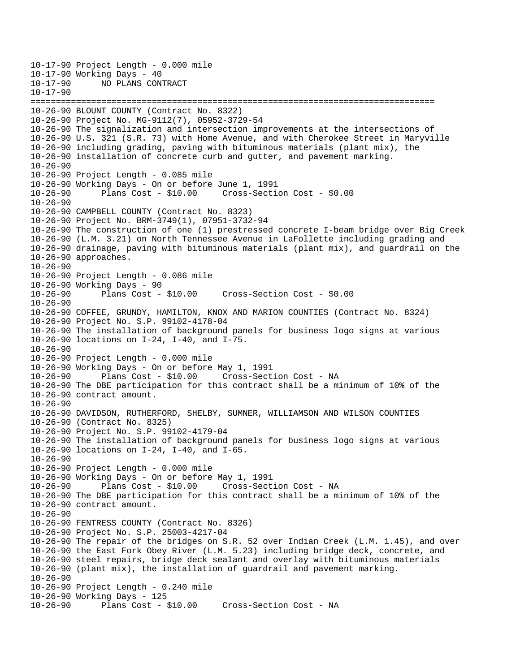10-17-90 Project Length - 0.000 mile 10-17-90 Working Days - 40<br>10-17-90 NO PLANS CON 10-17-90 NO PLANS CONTRACT 10-17-90 ================================================================================ 10-26-90 BLOUNT COUNTY (Contract No. 8322) 10-26-90 Project No. MG-9112(7), 05952-3729-54 10-26-90 The signalization and intersection improvements at the intersections of 10-26-90 U.S. 321 (S.R. 73) with Home Avenue, and with Cherokee Street in Maryville 10-26-90 including grading, paving with bituminous materials (plant mix), the 10-26-90 installation of concrete curb and gutter, and pavement marking.  $10-26-90$ 10-26-90 Project Length - 0.085 mile 10-26-90 Working Days - On or before June 1, 1991 10-26-90 Plans Cost - \$10.00 Cross-Section Cost - \$0.00  $10 - 26 - 90$ 10-26-90 CAMPBELL COUNTY (Contract No. 8323) 10-26-90 Project No. BRM-3749(1), 07951-3732-94 10-26-90 The construction of one (1) prestressed concrete I-beam bridge over Big Creek 10-26-90 (L.M. 3.21) on North Tennessee Avenue in LaFollette including grading and 10-26-90 drainage, paving with bituminous materials (plant mix), and guardrail on the 10-26-90 approaches. 10-26-90 10-26-90 Project Length - 0.086 mile 10-26-90 Working Days - 90 10-26-90 Plans Cost - \$10.00 Cross-Section Cost - \$0.00 10-26-90 10-26-90 COFFEE, GRUNDY, HAMILTON, KNOX AND MARION COUNTIES (Contract No. 8324) 10-26-90 Project No. S.P. 99102-4178-04 10-26-90 The installation of background panels for business logo signs at various 10-26-90 locations on I-24, I-40, and I-75. 10-26-90 10-26-90 Project Length - 0.000 mile 10-26-90 Working Days - On or before May 1, 1991 Plans Cost - \$10.00 Cross-Section Cost - NA 10-26-90 The DBE participation for this contract shall be a minimum of 10% of the 10-26-90 contract amount. 10-26-90 10-26-90 DAVIDSON, RUTHERFORD, SHELBY, SUMNER, WILLIAMSON AND WILSON COUNTIES 10-26-90 (Contract No. 8325) 10-26-90 Project No. S.P. 99102-4179-04 10-26-90 The installation of background panels for business logo signs at various 10-26-90 locations on I-24, I-40, and I-65. 10-26-90 10-26-90 Project Length - 0.000 mile 10-26-90 Working Days - On or before May 1, 1991 10-26-90 Plans Cost - \$10.00 Cross-Section Cost - NA 10-26-90 The DBE participation for this contract shall be a minimum of 10% of the 10-26-90 contract amount. 10-26-90 10-26-90 FENTRESS COUNTY (Contract No. 8326) 10-26-90 Project No. S.P. 25003-4217-04 10-26-90 The repair of the bridges on S.R. 52 over Indian Creek (L.M. 1.45), and over 10-26-90 the East Fork Obey River (L.M. 5.23) including bridge deck, concrete, and 10-26-90 steel repairs, bridge deck sealant and overlay with bituminous materials 10-26-90 (plant mix), the installation of guardrail and pavement marking. 10-26-90 10-26-90 Project Length - 0.240 mile 10-26-90 Working Days - 125 10-26-90 Plans Cost - \$10.00 Cross-Section Cost - NA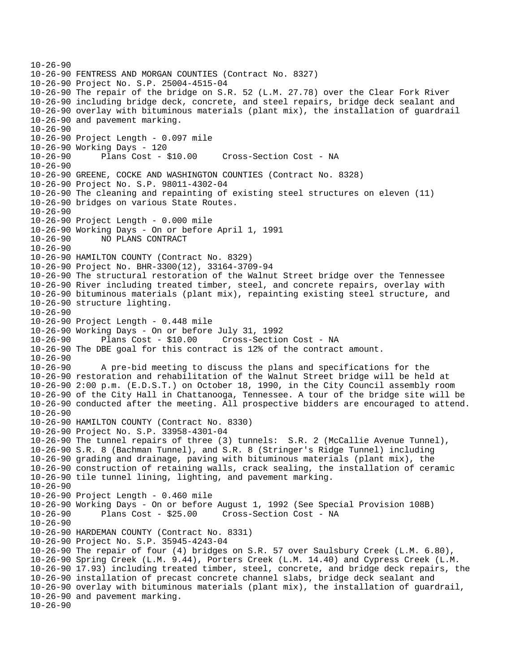```
10-26-90 
10-26-90 FENTRESS AND MORGAN COUNTIES (Contract No. 8327) 
10-26-90 Project No. S.P. 25004-4515-04 
10-26-90 The repair of the bridge on S.R. 52 (L.M. 27.78) over the Clear Fork River 
10-26-90 including bridge deck, concrete, and steel repairs, bridge deck sealant and 
10-26-90 overlay with bituminous materials (plant mix), the installation of guardrail 
10-26-90 and pavement marking. 
10-26-90 
10-26-90 Project Length - 0.097 mile 
10-26-90 Working Days - 120 
10-26-90 Plans Cost - $10.00 Cross-Section Cost - NA 
10-26-9010-26-90 GREENE, COCKE AND WASHINGTON COUNTIES (Contract No. 8328) 
10-26-90 Project No. S.P. 98011-4302-04 
10-26-90 The cleaning and repainting of existing steel structures on eleven (11) 
10-26-90 bridges on various State Routes. 
10 - 26 - 9010-26-90 Project Length - 0.000 mile 
10-26-90 Working Days - On or before April 1, 1991 
10-26-90 NO PLANS CONTRACT 
10-26-90 
10-26-90 HAMILTON COUNTY (Contract No. 8329) 
10-26-90 Project No. BHR-3300(12), 33164-3709-94 
10-26-90 The structural restoration of the Walnut Street bridge over the Tennessee 
10-26-90 River including treated timber, steel, and concrete repairs, overlay with 
10-26-90 bituminous materials (plant mix), repainting existing steel structure, and 
10-26-90 structure lighting. 
10-26-90 
10-26-90 Project Length - 0.448 mile 
10-26-90 Working Days - On or before July 31, 1992 
10-26-90 Plans Cost - $10.00 Cross-Section Cost - NA 
10-26-90 The DBE goal for this contract is 12% of the contract amount. 
10-26-90 
10-26-90 A pre-bid meeting to discuss the plans and specifications for the 
10-26-90 restoration and rehabilitation of the Walnut Street bridge will be held at 
10-26-90 2:00 p.m. (E.D.S.T.) on October 18, 1990, in the City Council assembly room 
10-26-90 of the City Hall in Chattanooga, Tennessee. A tour of the bridge site will be 
10-26-90 conducted after the meeting. All prospective bidders are encouraged to attend. 
10-26-90 
10-26-90 HAMILTON COUNTY (Contract No. 8330) 
10-26-90 Project No. S.P. 33958-4301-04 
10-26-90 The tunnel repairs of three (3) tunnels: S.R. 2 (McCallie Avenue Tunnel), 
10-26-90 S.R. 8 (Bachman Tunnel), and S.R. 8 (Stringer's Ridge Tunnel) including 
10-26-90 grading and drainage, paving with bituminous materials (plant mix), the 
10-26-90 construction of retaining walls, crack sealing, the installation of ceramic 
10-26-90 tile tunnel lining, lighting, and pavement marking. 
10-26-90 
10-26-90 Project Length - 0.460 mile 
10-26-90 Working Days - On or before August 1, 1992 (See Special Provision 108B) 
10-26-90 Plans Cost - $25.00 Cross-Section Cost - NA 
10-26-90 
10-26-90 HARDEMAN COUNTY (Contract No. 8331) 
10-26-90 Project No. S.P. 35945-4243-04 
10-26-90 The repair of four (4) bridges on S.R. 57 over Saulsbury Creek (L.M. 6.80), 
10-26-90 Spring Creek (L.M. 9.44), Porters Creek (L.M. 14.40) and Cypress Creek (L.M. 
10-26-90 17.93) including treated timber, steel, concrete, and bridge deck repairs, the 
10-26-90 installation of precast concrete channel slabs, bridge deck sealant and 
10-26-90 overlay with bituminous materials (plant mix), the installation of guardrail, 
10-26-90 and pavement marking. 
10-26-90
```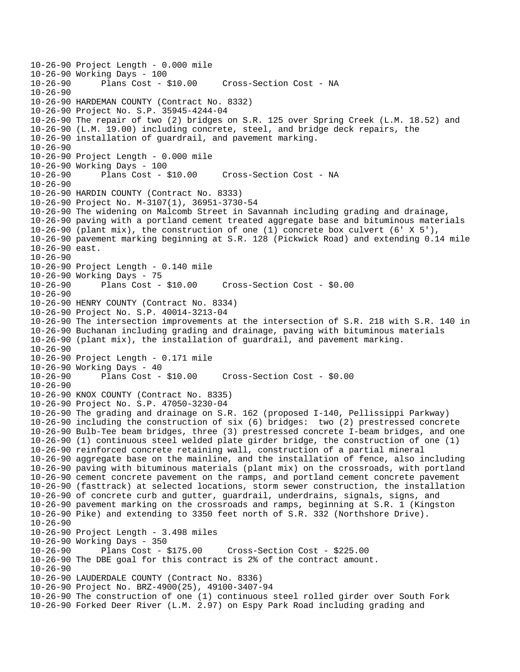10-26-90 Project Length - 0.000 mile 10-26-90 Working Days - 100 Cross-Section Cost - NA 10-26-90 10-26-90 HARDEMAN COUNTY (Contract No. 8332) 10-26-90 Project No. S.P. 35945-4244-04 10-26-90 The repair of two (2) bridges on S.R. 125 over Spring Creek (L.M. 18.52) and 10-26-90 (L.M. 19.00) including concrete, steel, and bridge deck repairs, the 10-26-90 installation of guardrail, and pavement marking. 10-26-90 10-26-90 Project Length - 0.000 mile 10-26-90 Working Days - 100 10-26-90 Plans Cost - \$10.00 Cross-Section Cost - NA 10-26-90 10-26-90 HARDIN COUNTY (Contract No. 8333) 10-26-90 Project No. M-3107(1), 36951-3730-54 10-26-90 The widening on Malcomb Street in Savannah including grading and drainage, 10-26-90 paving with a portland cement treated aggregate base and bituminous materials 10-26-90 (plant mix), the construction of one (1) concrete box culvert (6' X 5'), 10-26-90 pavement marking beginning at S.R. 128 (Pickwick Road) and extending 0.14 mile 10-26-90 east. 10-26-90 10-26-90 Project Length - 0.140 mile 10-26-90 Working Days - 75 10-26-90 Plans Cost - \$10.00 Cross-Section Cost - \$0.00  $10 - 26 - 90$ 10-26-90 HENRY COUNTY (Contract No. 8334) 10-26-90 Project No. S.P. 40014-3213-04 10-26-90 The intersection improvements at the intersection of S.R. 218 with S.R. 140 in 10-26-90 Buchanan including grading and drainage, paving with bituminous materials 10-26-90 (plant mix), the installation of guardrail, and pavement marking. 10-26-90 10-26-90 Project Length - 0.171 mile 10-26-90 Working Days - 40 10-26-90 Plans Cost - \$10.00 Cross-Section Cost - \$0.00  $10 - 26 - 90$ 10-26-90 KNOX COUNTY (Contract No. 8335) 10-26-90 Project No. S.P. 47050-3230-04 10-26-90 The grading and drainage on S.R. 162 (proposed I-140, Pellissippi Parkway) 10-26-90 including the construction of six (6) bridges: two (2) prestressed concrete 10-26-90 Bulb-Tee beam bridges, three (3) prestressed concrete I-beam bridges, and one 10-26-90 (1) continuous steel welded plate girder bridge, the construction of one (1) 10-26-90 reinforced concrete retaining wall, construction of a partial mineral 10-26-90 aggregate base on the mainline, and the installation of fence, also including 10-26-90 paving with bituminous materials (plant mix) on the crossroads, with portland 10-26-90 cement concrete pavement on the ramps, and portland cement concrete pavement 10-26-90 (fasttrack) at selected locations, storm sewer construction, the installation 10-26-90 of concrete curb and gutter, guardrail, underdrains, signals, signs, and 10-26-90 pavement marking on the crossroads and ramps, beginning at S.R. 1 (Kingston 10-26-90 Pike) and extending to 3350 feet north of S.R. 332 (Northshore Drive). 10-26-90 10-26-90 Project Length - 3.498 miles 10-26-90 Working Days - 350 10-26-90 Plans Cost - \$175.00 Cross-Section Cost - \$225.00 10-26-90 The DBE goal for this contract is 2% of the contract amount. 10-26-90 10-26-90 LAUDERDALE COUNTY (Contract No. 8336) 10-26-90 Project No. BRZ-4900(25), 49100-3407-94 10-26-90 The construction of one (1) continuous steel rolled girder over South Fork 10-26-90 Forked Deer River (L.M. 2.97) on Espy Park Road including grading and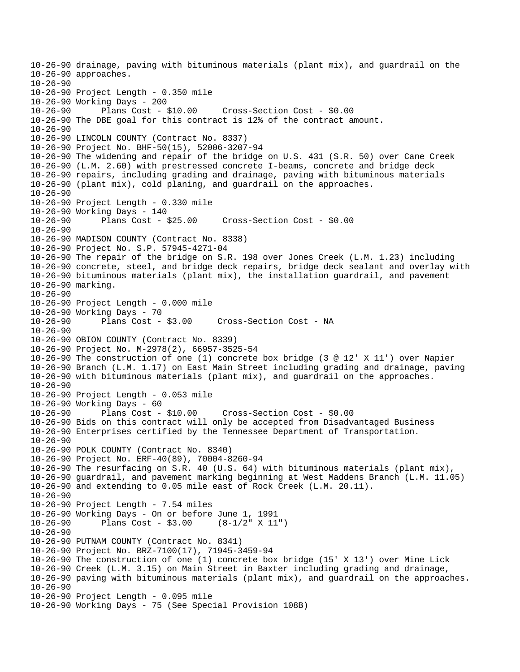10-26-90 drainage, paving with bituminous materials (plant mix), and guardrail on the 10-26-90 approaches. 10-26-90 10-26-90 Project Length - 0.350 mile 10-26-90 Working Days - 200 10-26-90 Plans Cost - \$10.00 Cross-Section Cost - \$0.00 10-26-90 The DBE goal for this contract is 12% of the contract amount. 10-26-90 10-26-90 LINCOLN COUNTY (Contract No. 8337) 10-26-90 Project No. BHF-50(15), 52006-3207-94 10-26-90 The widening and repair of the bridge on U.S. 431 (S.R. 50) over Cane Creek 10-26-90 (L.M. 2.60) with prestressed concrete I-beams, concrete and bridge deck 10-26-90 repairs, including grading and drainage, paving with bituminous materials 10-26-90 (plant mix), cold planing, and guardrail on the approaches. 10-26-90 10-26-90 Project Length - 0.330 mile 10-26-90 Working Days - 140 10-26-90 Plans Cost - \$25.00 Cross-Section Cost - \$0.00 10-26-90 10-26-90 MADISON COUNTY (Contract No. 8338) 10-26-90 Project No. S.P. 57945-4271-04 10-26-90 The repair of the bridge on S.R. 198 over Jones Creek (L.M. 1.23) including 10-26-90 concrete, steel, and bridge deck repairs, bridge deck sealant and overlay with 10-26-90 bituminous materials (plant mix), the installation guardrail, and pavement 10-26-90 marking. 10-26-90 10-26-90 Project Length - 0.000 mile 10-26-90 Working Days - 70 10-26-90 Plans Cost - \$3.00 Cross-Section Cost - NA 10-26-90 10-26-90 OBION COUNTY (Contract No. 8339) 10-26-90 Project No. M-2978(2), 66957-3525-54 10-26-90 The construction of one (1) concrete box bridge (3 @ 12' X 11') over Napier 10-26-90 Branch (L.M. 1.17) on East Main Street including grading and drainage, paving 10-26-90 with bituminous materials (plant mix), and guardrail on the approaches.  $10 - 26 - 90$ 10-26-90 Project Length - 0.053 mile 10-26-90 Working Days - 60 10-26-90 Plans Cost - \$10.00 Cross-Section Cost - \$0.00 10-26-90 Bids on this contract will only be accepted from Disadvantaged Business 10-26-90 Enterprises certified by the Tennessee Department of Transportation. 10-26-90 10-26-90 POLK COUNTY (Contract No. 8340) 10-26-90 Project No. ERF-40(89), 70004-8260-94 10-26-90 The resurfacing on S.R. 40 (U.S. 64) with bituminous materials (plant mix), 10-26-90 guardrail, and pavement marking beginning at West Maddens Branch (L.M. 11.05) 10-26-90 and extending to 0.05 mile east of Rock Creek (L.M. 20.11). 10-26-90 10-26-90 Project Length - 7.54 miles 10-26-90 Working Days - On or before June 1, 1991 Plans Cost - \$3.00 (8-1/2" X 11") 10-26-90 10-26-90 PUTNAM COUNTY (Contract No. 8341) 10-26-90 Project No. BRZ-7100(17), 71945-3459-94 10-26-90 The construction of one (1) concrete box bridge (15' X 13') over Mine Lick 10-26-90 Creek (L.M. 3.15) on Main Street in Baxter including grading and drainage, 10-26-90 paving with bituminous materials (plant mix), and guardrail on the approaches. 10-26-90 10-26-90 Project Length - 0.095 mile 10-26-90 Working Days - 75 (See Special Provision 108B)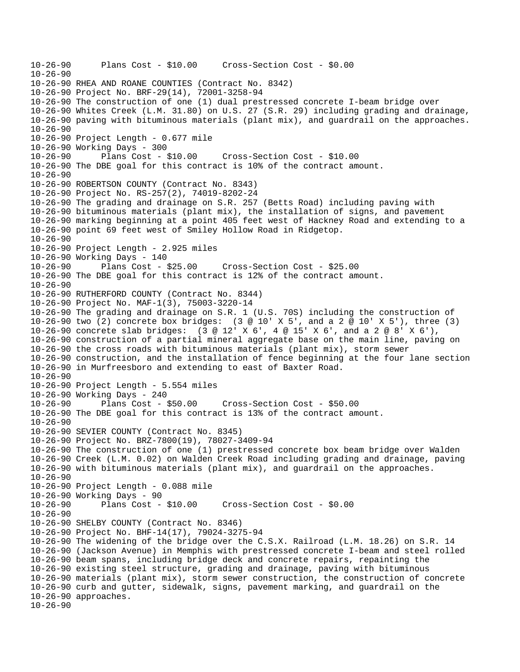10-26-90 Plans Cost - \$10.00 Cross-Section Cost - \$0.00  $10-26-90$ 10-26-90 RHEA AND ROANE COUNTIES (Contract No. 8342) 10-26-90 Project No. BRF-29(14), 72001-3258-94 10-26-90 The construction of one (1) dual prestressed concrete I-beam bridge over 10-26-90 Whites Creek (L.M. 31.80) on U.S. 27 (S.R. 29) including grading and drainage, 10-26-90 paving with bituminous materials (plant mix), and guardrail on the approaches. 10-26-90 10-26-90 Project Length - 0.677 mile 10-26-90 Working Days - 300 10-26-90 Plans Cost - \$10.00 Cross-Section Cost - \$10.00 10-26-90 The DBE goal for this contract is 10% of the contract amount.  $10 - 26 - 90$ 10-26-90 ROBERTSON COUNTY (Contract No. 8343) 10-26-90 Project No. RS-257(2), 74019-8202-24 10-26-90 The grading and drainage on S.R. 257 (Betts Road) including paving with 10-26-90 bituminous materials (plant mix), the installation of signs, and pavement 10-26-90 marking beginning at a point 405 feet west of Hackney Road and extending to a 10-26-90 point 69 feet west of Smiley Hollow Road in Ridgetop. 10-26-90 10-26-90 Project Length - 2.925 miles 10-26-90 Working Days - 140 10-26-90 Plans Cost - \$25.00 Cross-Section Cost - \$25.00 10-26-90 The DBE goal for this contract is 12% of the contract amount.  $10 - 26 - 90$ 10-26-90 RUTHERFORD COUNTY (Contract No. 8344) 10-26-90 Project No. MAF-1(3), 75003-3220-14 10-26-90 The grading and drainage on S.R. 1 (U.S. 70S) including the construction of 10-26-90 two (2) concrete box bridges: (3 @ 10' X 5', and a 2 @ 10' X 5'), three (3) 10-26-90 concrete slab bridges: (3 @ 12' X 6', 4 @ 15' X 6', and a 2 @ 8' X 6'), 10-26-90 construction of a partial mineral aggregate base on the main line, paving on 10-26-90 the cross roads with bituminous materials (plant mix), storm sewer 10-26-90 construction, and the installation of fence beginning at the four lane section 10-26-90 in Murfreesboro and extending to east of Baxter Road.  $10-26-90$ 10-26-90 Project Length - 5.554 miles 10-26-90 Working Days - 240 10-26-90 Plans Cost - \$50.00 Cross-Section Cost - \$50.00 10-26-90 The DBE goal for this contract is 13% of the contract amount. 10-26-90 10-26-90 SEVIER COUNTY (Contract No. 8345) 10-26-90 Project No. BRZ-7800(19), 78027-3409-94 10-26-90 The construction of one (1) prestressed concrete box beam bridge over Walden 10-26-90 Creek (L.M. 0.02) on Walden Creek Road including grading and drainage, paving 10-26-90 with bituminous materials (plant mix), and guardrail on the approaches. 10-26-90 10-26-90 Project Length - 0.088 mile 10-26-90 Working Days - 90 10-26-90 Plans Cost - \$10.00 Cross-Section Cost - \$0.00 10-26-90 10-26-90 SHELBY COUNTY (Contract No. 8346) 10-26-90 Project No. BHF-14(17), 79024-3275-94 10-26-90 The widening of the bridge over the C.S.X. Railroad (L.M. 18.26) on S.R. 14 10-26-90 (Jackson Avenue) in Memphis with prestressed concrete I-beam and steel rolled 10-26-90 beam spans, including bridge deck and concrete repairs, repainting the 10-26-90 existing steel structure, grading and drainage, paving with bituminous 10-26-90 materials (plant mix), storm sewer construction, the construction of concrete 10-26-90 curb and gutter, sidewalk, signs, pavement marking, and guardrail on the 10-26-90 approaches. 10-26-90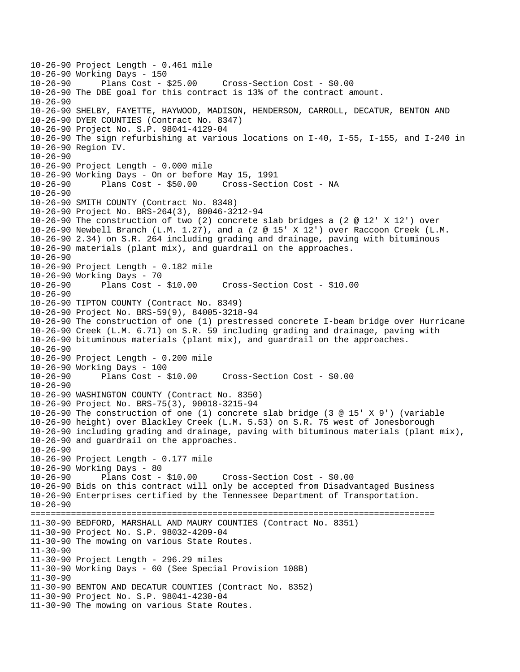10-26-90 Project Length - 0.461 mile 10-26-90 Working Days - 150 10-26-90 Plans Cost - \$25.00 Cross-Section Cost - \$0.00 10-26-90 The DBE goal for this contract is 13% of the contract amount. 10-26-90 10-26-90 SHELBY, FAYETTE, HAYWOOD, MADISON, HENDERSON, CARROLL, DECATUR, BENTON AND 10-26-90 DYER COUNTIES (Contract No. 8347) 10-26-90 Project No. S.P. 98041-4129-04 10-26-90 The sign refurbishing at various locations on I-40, I-55, I-155, and I-240 in 10-26-90 Region IV. 10-26-90 10-26-90 Project Length - 0.000 mile 10-26-90 Working Days - On or before May 15, 1991 10-26-90 Plans Cost - \$50.00 Cross-Section Cost - NA  $10-26-90$ 10-26-90 SMITH COUNTY (Contract No. 8348) 10-26-90 Project No. BRS-264(3), 80046-3212-94 10-26-90 The construction of two (2) concrete slab bridges a (2 @ 12' X 12') over 10-26-90 Newbell Branch (L.M. 1.27), and a (2 @ 15' X 12') over Raccoon Creek (L.M. 10-26-90 2.34) on S.R. 264 including grading and drainage, paving with bituminous 10-26-90 materials (plant mix), and guardrail on the approaches. 10-26-90 10-26-90 Project Length - 0.182 mile 10-26-90 Working Days - 70 10-26-90 Plans Cost - \$10.00 Cross-Section Cost - \$10.00  $10 - 26 - 90$ 10-26-90 TIPTON COUNTY (Contract No. 8349) 10-26-90 Project No. BRS-59(9), 84005-3218-94 10-26-90 The construction of one (1) prestressed concrete I-beam bridge over Hurricane 10-26-90 Creek (L.M. 6.71) on S.R. 59 including grading and drainage, paving with 10-26-90 bituminous materials (plant mix), and guardrail on the approaches. 10-26-90 10-26-90 Project Length - 0.200 mile 10-26-90 Working Days - 100 10-26-90 Plans Cost - \$10.00 Cross-Section Cost - \$0.00  $10 - 26 - 90$ 10-26-90 WASHINGTON COUNTY (Contract No. 8350) 10-26-90 Project No. BRS-75(3), 90018-3215-94 10-26-90 The construction of one (1) concrete slab bridge (3 @ 15' X 9') (variable 10-26-90 height) over Blackley Creek (L.M. 5.53) on S.R. 75 west of Jonesborough 10-26-90 including grading and drainage, paving with bituminous materials (plant mix), 10-26-90 and guardrail on the approaches. 10-26-90 10-26-90 Project Length - 0.177 mile 10-26-90 Working Days - 80 10-26-90 Plans Cost - \$10.00 Cross-Section Cost - \$0.00 10-26-90 Bids on this contract will only be accepted from Disadvantaged Business 10-26-90 Enterprises certified by the Tennessee Department of Transportation. 10-26-90 ================================================================================ 11-30-90 BEDFORD, MARSHALL AND MAURY COUNTIES (Contract No. 8351) 11-30-90 Project No. S.P. 98032-4209-04 11-30-90 The mowing on various State Routes. 11-30-90 11-30-90 Project Length - 296.29 miles 11-30-90 Working Days - 60 (See Special Provision 108B) 11-30-90 11-30-90 BENTON AND DECATUR COUNTIES (Contract No. 8352) 11-30-90 Project No. S.P. 98041-4230-04 11-30-90 The mowing on various State Routes.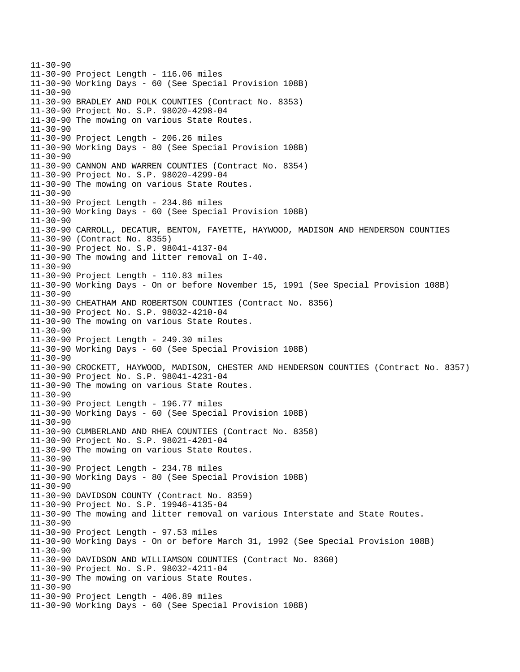11-30-90 11-30-90 Project Length - 116.06 miles 11-30-90 Working Days - 60 (See Special Provision 108B) 11-30-90 11-30-90 BRADLEY AND POLK COUNTIES (Contract No. 8353) 11-30-90 Project No. S.P. 98020-4298-04 11-30-90 The mowing on various State Routes. 11-30-90 11-30-90 Project Length - 206.26 miles 11-30-90 Working Days - 80 (See Special Provision 108B) 11-30-90 11-30-90 CANNON AND WARREN COUNTIES (Contract No. 8354) 11-30-90 Project No. S.P. 98020-4299-04 11-30-90 The mowing on various State Routes. 11-30-90 11-30-90 Project Length - 234.86 miles 11-30-90 Working Days - 60 (See Special Provision 108B) 11-30-90 11-30-90 CARROLL, DECATUR, BENTON, FAYETTE, HAYWOOD, MADISON AND HENDERSON COUNTIES 11-30-90 (Contract No. 8355) 11-30-90 Project No. S.P. 98041-4137-04 11-30-90 The mowing and litter removal on I-40. 11-30-90 11-30-90 Project Length - 110.83 miles 11-30-90 Working Days - On or before November 15, 1991 (See Special Provision 108B) 11-30-90 11-30-90 CHEATHAM AND ROBERTSON COUNTIES (Contract No. 8356) 11-30-90 Project No. S.P. 98032-4210-04 11-30-90 The mowing on various State Routes. 11-30-90 11-30-90 Project Length - 249.30 miles 11-30-90 Working Days - 60 (See Special Provision 108B) 11-30-90 11-30-90 CROCKETT, HAYWOOD, MADISON, CHESTER AND HENDERSON COUNTIES (Contract No. 8357) 11-30-90 Project No. S.P. 98041-4231-04 11-30-90 The mowing on various State Routes. 11-30-90 11-30-90 Project Length - 196.77 miles 11-30-90 Working Days - 60 (See Special Provision 108B) 11-30-90 11-30-90 CUMBERLAND AND RHEA COUNTIES (Contract No. 8358) 11-30-90 Project No. S.P. 98021-4201-04 11-30-90 The mowing on various State Routes. 11-30-90 11-30-90 Project Length - 234.78 miles 11-30-90 Working Days - 80 (See Special Provision 108B) 11-30-90 11-30-90 DAVIDSON COUNTY (Contract No. 8359) 11-30-90 Project No. S.P. 19946-4135-04 11-30-90 The mowing and litter removal on various Interstate and State Routes. 11-30-90 11-30-90 Project Length - 97.53 miles 11-30-90 Working Days - On or before March 31, 1992 (See Special Provision 108B) 11-30-90 11-30-90 DAVIDSON AND WILLIAMSON COUNTIES (Contract No. 8360) 11-30-90 Project No. S.P. 98032-4211-04 11-30-90 The mowing on various State Routes. 11-30-90 11-30-90 Project Length - 406.89 miles 11-30-90 Working Days - 60 (See Special Provision 108B)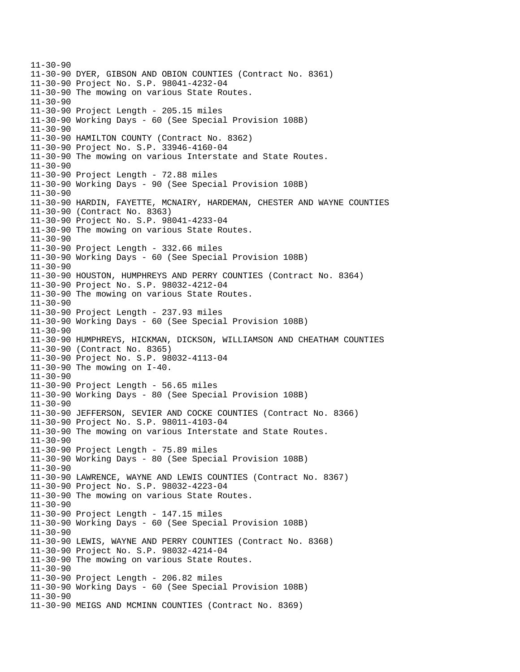11-30-90 11-30-90 DYER, GIBSON AND OBION COUNTIES (Contract No. 8361) 11-30-90 Project No. S.P. 98041-4232-04 11-30-90 The mowing on various State Routes. 11-30-90 11-30-90 Project Length - 205.15 miles 11-30-90 Working Days - 60 (See Special Provision 108B) 11-30-90 11-30-90 HAMILTON COUNTY (Contract No. 8362) 11-30-90 Project No. S.P. 33946-4160-04 11-30-90 The mowing on various Interstate and State Routes. 11-30-90 11-30-90 Project Length - 72.88 miles 11-30-90 Working Days - 90 (See Special Provision 108B) 11-30-90 11-30-90 HARDIN, FAYETTE, MCNAIRY, HARDEMAN, CHESTER AND WAYNE COUNTIES 11-30-90 (Contract No. 8363) 11-30-90 Project No. S.P. 98041-4233-04 11-30-90 The mowing on various State Routes. 11-30-90 11-30-90 Project Length - 332.66 miles 11-30-90 Working Days - 60 (See Special Provision 108B) 11-30-90 11-30-90 HOUSTON, HUMPHREYS AND PERRY COUNTIES (Contract No. 8364) 11-30-90 Project No. S.P. 98032-4212-04 11-30-90 The mowing on various State Routes. 11-30-90 11-30-90 Project Length - 237.93 miles 11-30-90 Working Days - 60 (See Special Provision 108B) 11-30-90 11-30-90 HUMPHREYS, HICKMAN, DICKSON, WILLIAMSON AND CHEATHAM COUNTIES 11-30-90 (Contract No. 8365) 11-30-90 Project No. S.P. 98032-4113-04 11-30-90 The mowing on I-40. 11-30-90 11-30-90 Project Length - 56.65 miles 11-30-90 Working Days - 80 (See Special Provision 108B) 11-30-90 11-30-90 JEFFERSON, SEVIER AND COCKE COUNTIES (Contract No. 8366) 11-30-90 Project No. S.P. 98011-4103-04 11-30-90 The mowing on various Interstate and State Routes. 11-30-90 11-30-90 Project Length - 75.89 miles 11-30-90 Working Days - 80 (See Special Provision 108B) 11-30-90 11-30-90 LAWRENCE, WAYNE AND LEWIS COUNTIES (Contract No. 8367) 11-30-90 Project No. S.P. 98032-4223-04 11-30-90 The mowing on various State Routes. 11-30-90 11-30-90 Project Length - 147.15 miles 11-30-90 Working Days - 60 (See Special Provision 108B) 11-30-90 11-30-90 LEWIS, WAYNE AND PERRY COUNTIES (Contract No. 8368) 11-30-90 Project No. S.P. 98032-4214-04 11-30-90 The mowing on various State Routes. 11-30-90 11-30-90 Project Length - 206.82 miles 11-30-90 Working Days - 60 (See Special Provision 108B) 11-30-90 11-30-90 MEIGS AND MCMINN COUNTIES (Contract No. 8369)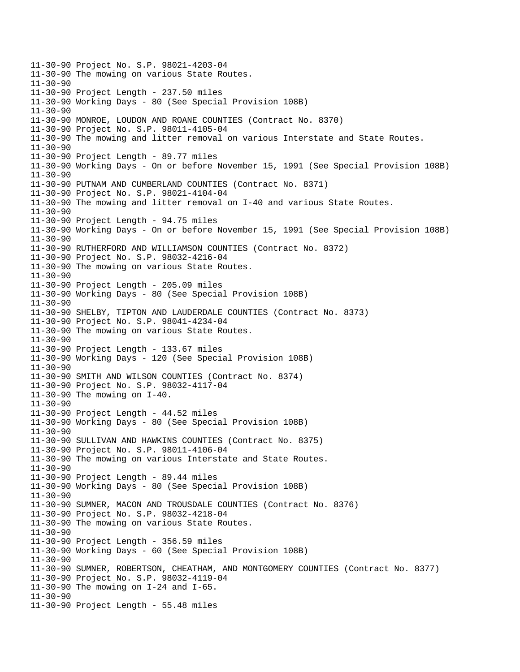11-30-90 Project No. S.P. 98021-4203-04 11-30-90 The mowing on various State Routes. 11-30-90 11-30-90 Project Length - 237.50 miles 11-30-90 Working Days - 80 (See Special Provision 108B) 11-30-90 11-30-90 MONROE, LOUDON AND ROANE COUNTIES (Contract No. 8370) 11-30-90 Project No. S.P. 98011-4105-04 11-30-90 The mowing and litter removal on various Interstate and State Routes. 11-30-90 11-30-90 Project Length - 89.77 miles 11-30-90 Working Days - On or before November 15, 1991 (See Special Provision 108B) 11-30-90 11-30-90 PUTNAM AND CUMBERLAND COUNTIES (Contract No. 8371) 11-30-90 Project No. S.P. 98021-4104-04 11-30-90 The mowing and litter removal on I-40 and various State Routes. 11-30-90 11-30-90 Project Length - 94.75 miles 11-30-90 Working Days - On or before November 15, 1991 (See Special Provision 108B) 11-30-90 11-30-90 RUTHERFORD AND WILLIAMSON COUNTIES (Contract No. 8372) 11-30-90 Project No. S.P. 98032-4216-04 11-30-90 The mowing on various State Routes. 11-30-90 11-30-90 Project Length - 205.09 miles 11-30-90 Working Days - 80 (See Special Provision 108B) 11-30-90 11-30-90 SHELBY, TIPTON AND LAUDERDALE COUNTIES (Contract No. 8373) 11-30-90 Project No. S.P. 98041-4234-04 11-30-90 The mowing on various State Routes. 11-30-90 11-30-90 Project Length - 133.67 miles 11-30-90 Working Days - 120 (See Special Provision 108B) 11-30-90 11-30-90 SMITH AND WILSON COUNTIES (Contract No. 8374) 11-30-90 Project No. S.P. 98032-4117-04 11-30-90 The mowing on I-40. 11-30-90 11-30-90 Project Length - 44.52 miles 11-30-90 Working Days - 80 (See Special Provision 108B) 11-30-90 11-30-90 SULLIVAN AND HAWKINS COUNTIES (Contract No. 8375) 11-30-90 Project No. S.P. 98011-4106-04 11-30-90 The mowing on various Interstate and State Routes. 11-30-90 11-30-90 Project Length - 89.44 miles 11-30-90 Working Days - 80 (See Special Provision 108B) 11-30-90 11-30-90 SUMNER, MACON AND TROUSDALE COUNTIES (Contract No. 8376) 11-30-90 Project No. S.P. 98032-4218-04 11-30-90 The mowing on various State Routes. 11-30-90 11-30-90 Project Length - 356.59 miles 11-30-90 Working Days - 60 (See Special Provision 108B) 11-30-90 11-30-90 SUMNER, ROBERTSON, CHEATHAM, AND MONTGOMERY COUNTIES (Contract No. 8377) 11-30-90 Project No. S.P. 98032-4119-04 11-30-90 The mowing on I-24 and I-65. 11-30-90 11-30-90 Project Length - 55.48 miles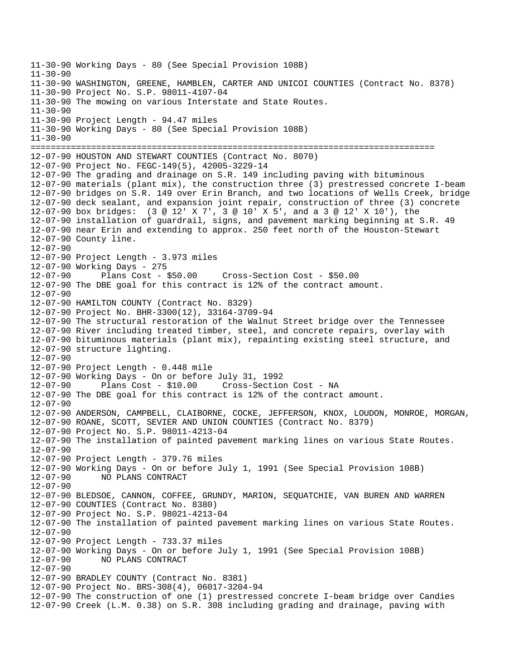11-30-90 Working Days - 80 (See Special Provision 108B) 11-30-90 11-30-90 WASHINGTON, GREENE, HAMBLEN, CARTER AND UNICOI COUNTIES (Contract No. 8378) 11-30-90 Project No. S.P. 98011-4107-04 11-30-90 The mowing on various Interstate and State Routes. 11-30-90 11-30-90 Project Length - 94.47 miles 11-30-90 Working Days - 80 (See Special Provision 108B) 11-30-90 ================================================================================ 12-07-90 HOUSTON AND STEWART COUNTIES (Contract No. 8070) 12-07-90 Project No. FEGC-149(5), 42005-3229-14 12-07-90 The grading and drainage on S.R. 149 including paving with bituminous 12-07-90 materials (plant mix), the construction three (3) prestressed concrete I-beam 12-07-90 bridges on S.R. 149 over Erin Branch, and two locations of Wells Creek, bridge 12-07-90 deck sealant, and expansion joint repair, construction of three (3) concrete 12-07-90 box bridges: (3 @ 12' X 7', 3 @ 10' X 5', and a 3 @ 12' X 10'), the 12-07-90 installation of guardrail, signs, and pavement marking beginning at S.R. 49 12-07-90 near Erin and extending to approx. 250 feet north of the Houston-Stewart 12-07-90 County line. 12-07-90 12-07-90 Project Length - 3.973 miles 12-07-90 Working Days - 275 12-07-90 Plans Cost - \$50.00 Cross-Section Cost - \$50.00 12-07-90 The DBE goal for this contract is 12% of the contract amount. 12-07-90 12-07-90 HAMILTON COUNTY (Contract No. 8329) 12-07-90 Project No. BHR-3300(12), 33164-3709-94 12-07-90 The structural restoration of the Walnut Street bridge over the Tennessee 12-07-90 River including treated timber, steel, and concrete repairs, overlay with 12-07-90 bituminous materials (plant mix), repainting existing steel structure, and 12-07-90 structure lighting. 12-07-90 12-07-90 Project Length - 0.448 mile 12-07-90 Working Days - On or before July 31, 1992 12-07-90 Plans Cost - \$10.00 Cross-Section Cost - NA 12-07-90 The DBE goal for this contract is 12% of the contract amount. 12-07-90 12-07-90 ANDERSON, CAMPBELL, CLAIBORNE, COCKE, JEFFERSON, KNOX, LOUDON, MONROE, MORGAN, 12-07-90 ROANE, SCOTT, SEVIER AND UNION COUNTIES (Contract No. 8379) 12-07-90 Project No. S.P. 98011-4213-04 12-07-90 The installation of painted pavement marking lines on various State Routes. 12-07-90 12-07-90 Project Length - 379.76 miles 12-07-90 Working Days - On or before July 1, 1991 (See Special Provision 108B) 12-07-90 NO PLANS CONTRACT 12-07-90 12-07-90 BLEDSOE, CANNON, COFFEE, GRUNDY, MARION, SEQUATCHIE, VAN BUREN AND WARREN 12-07-90 COUNTIES (Contract No. 8380) 12-07-90 Project No. S.P. 98021-4213-04 12-07-90 The installation of painted pavement marking lines on various State Routes. 12-07-90 12-07-90 Project Length - 733.37 miles 12-07-90 Working Days - On or before July 1, 1991 (See Special Provision 108B) 12-07-90 NO PLANS CONTRACT 12-07-90 12-07-90 BRADLEY COUNTY (Contract No. 8381) 12-07-90 Project No. BRS-308(4), 06017-3204-94 12-07-90 The construction of one (1) prestressed concrete I-beam bridge over Candies 12-07-90 Creek (L.M. 0.38) on S.R. 308 including grading and drainage, paving with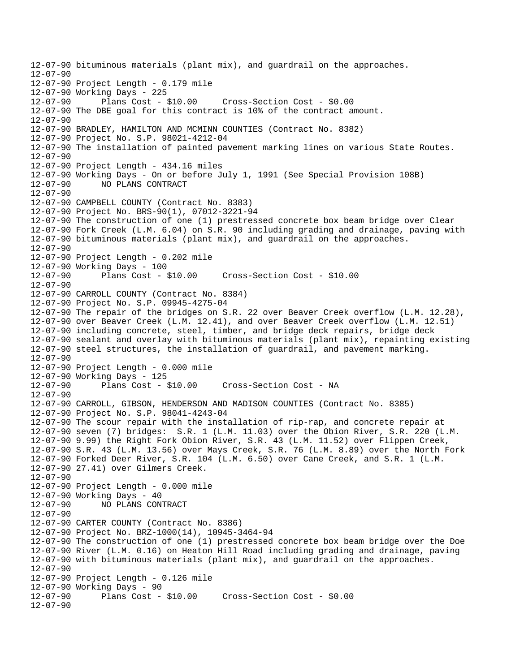12-07-90 bituminous materials (plant mix), and guardrail on the approaches.  $12 - 07 - 90$ 12-07-90 Project Length - 0.179 mile 12-07-90 Working Days - 225 12-07-90 Plans Cost - \$10.00 Cross-Section Cost - \$0.00 12-07-90 The DBE goal for this contract is 10% of the contract amount. 12-07-90 12-07-90 BRADLEY, HAMILTON AND MCMINN COUNTIES (Contract No. 8382) 12-07-90 Project No. S.P. 98021-4212-04 12-07-90 The installation of painted pavement marking lines on various State Routes. 12-07-90 12-07-90 Project Length - 434.16 miles 12-07-90 Working Days - On or before July 1, 1991 (See Special Provision 108B) 12-07-90 NO PLANS CONTRACT 12-07-90 12-07-90 CAMPBELL COUNTY (Contract No. 8383) 12-07-90 Project No. BRS-90(1), 07012-3221-94 12-07-90 The construction of one (1) prestressed concrete box beam bridge over Clear 12-07-90 Fork Creek (L.M. 6.04) on S.R. 90 including grading and drainage, paving with 12-07-90 bituminous materials (plant mix), and guardrail on the approaches. 12-07-90 12-07-90 Project Length - 0.202 mile 12-07-90 Working Days - 100 12-07-90 Plans Cost - \$10.00 Cross-Section Cost - \$10.00 12-07-90 12-07-90 CARROLL COUNTY (Contract No. 8384) 12-07-90 Project No. S.P. 09945-4275-04 12-07-90 The repair of the bridges on S.R. 22 over Beaver Creek overflow (L.M. 12.28), 12-07-90 over Beaver Creek (L.M. 12.41), and over Beaver Creek overflow (L.M. 12.51) 12-07-90 including concrete, steel, timber, and bridge deck repairs, bridge deck 12-07-90 sealant and overlay with bituminous materials (plant mix), repainting existing 12-07-90 steel structures, the installation of guardrail, and pavement marking. 12-07-90 12-07-90 Project Length - 0.000 mile 12-07-90 Working Days - 125 12-07-90 Plans Cost - \$10.00 Cross-Section Cost - NA 12-07-90 12-07-90 CARROLL, GIBSON, HENDERSON AND MADISON COUNTIES (Contract No. 8385) 12-07-90 Project No. S.P. 98041-4243-04 12-07-90 The scour repair with the installation of rip-rap, and concrete repair at 12-07-90 seven (7) bridges: S.R. 1 (L.M. 11.03) over the Obion River, S.R. 220 (L.M. 12-07-90 9.99) the Right Fork Obion River, S.R. 43 (L.M. 11.52) over Flippen Creek, 12-07-90 S.R. 43 (L.M. 13.56) over Mays Creek, S.R. 76 (L.M. 8.89) over the North Fork 12-07-90 Forked Deer River, S.R. 104 (L.M. 6.50) over Cane Creek, and S.R. 1 (L.M. 12-07-90 27.41) over Gilmers Creek. 12-07-90 12-07-90 Project Length - 0.000 mile 12-07-90 Working Days - 40 12-07-90 NO PLANS CONTRACT 12-07-90 12-07-90 CARTER COUNTY (Contract No. 8386) 12-07-90 Project No. BRZ-1000(14), 10945-3464-94 12-07-90 The construction of one (1) prestressed concrete box beam bridge over the Doe 12-07-90 River (L.M. 0.16) on Heaton Hill Road including grading and drainage, paving 12-07-90 with bituminous materials (plant mix), and guardrail on the approaches. 12-07-90 12-07-90 Project Length - 0.126 mile 12-07-90 Working Days - 90 12-07-90 Plans Cost - \$10.00 Cross-Section Cost - \$0.00 12-07-90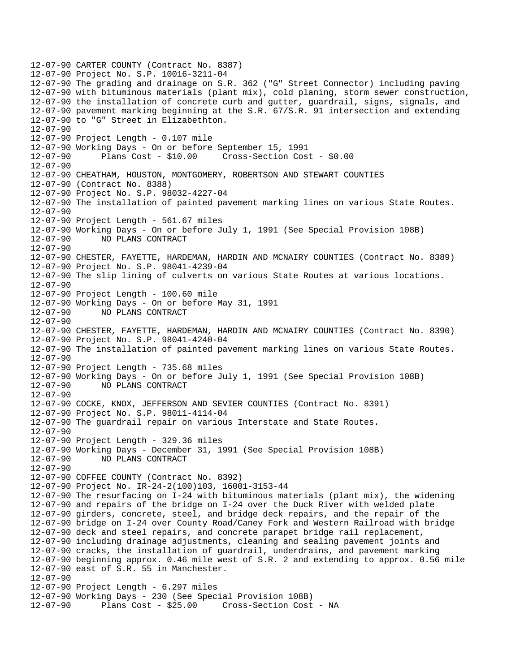12-07-90 CARTER COUNTY (Contract No. 8387) 12-07-90 Project No. S.P. 10016-3211-04 12-07-90 The grading and drainage on S.R. 362 ("G" Street Connector) including paving 12-07-90 with bituminous materials (plant mix), cold planing, storm sewer construction, 12-07-90 the installation of concrete curb and gutter, guardrail, signs, signals, and 12-07-90 pavement marking beginning at the S.R. 67/S.R. 91 intersection and extending 12-07-90 to "G" Street in Elizabethton. 12-07-90 12-07-90 Project Length - 0.107 mile 12-07-90 Working Days - On or before September 15, 1991 12-07-90 Plans Cost - \$10.00 Cross-Section Cost - \$0.00 12-07-90 12-07-90 CHEATHAM, HOUSTON, MONTGOMERY, ROBERTSON AND STEWART COUNTIES 12-07-90 (Contract No. 8388) 12-07-90 Project No. S.P. 98032-4227-04 12-07-90 The installation of painted pavement marking lines on various State Routes. 12-07-90 12-07-90 Project Length - 561.67 miles 12-07-90 Working Days - On or before July 1, 1991 (See Special Provision 108B) 12-07-90 NO PLANS CONTRACT 12-07-90 12-07-90 CHESTER, FAYETTE, HARDEMAN, HARDIN AND MCNAIRY COUNTIES (Contract No. 8389) 12-07-90 Project No. S.P. 98041-4239-04 12-07-90 The slip lining of culverts on various State Routes at various locations. 12-07-90 12-07-90 Project Length - 100.60 mile 12-07-90 Working Days - On or before May 31, 1991 12-07-90 NO PLANS CONTRACT 12-07-90 12-07-90 CHESTER, FAYETTE, HARDEMAN, HARDIN AND MCNAIRY COUNTIES (Contract No. 8390) 12-07-90 Project No. S.P. 98041-4240-04 12-07-90 The installation of painted pavement marking lines on various State Routes. 12-07-90 12-07-90 Project Length - 735.68 miles 12-07-90 Working Days - On or before July 1, 1991 (See Special Provision 108B) 12-07-90 NO PLANS CONTRACT 12-07-90 12-07-90 COCKE, KNOX, JEFFERSON AND SEVIER COUNTIES (Contract No. 8391) 12-07-90 Project No. S.P. 98011-4114-04 12-07-90 The guardrail repair on various Interstate and State Routes. 12-07-90 12-07-90 Project Length - 329.36 miles 12-07-90 Working Days - December 31, 1991 (See Special Provision 108B) 12-07-90 NO PLANS CONTRACT 12-07-90 12-07-90 COFFEE COUNTY (Contract No. 8392) 12-07-90 Project No. IR-24-2(100)103, 16001-3153-44 12-07-90 The resurfacing on I-24 with bituminous materials (plant mix), the widening 12-07-90 and repairs of the bridge on I-24 over the Duck River with welded plate 12-07-90 girders, concrete, steel, and bridge deck repairs, and the repair of the 12-07-90 bridge on I-24 over County Road/Caney Fork and Western Railroad with bridge 12-07-90 deck and steel repairs, and concrete parapet bridge rail replacement, 12-07-90 including drainage adjustments, cleaning and sealing pavement joints and 12-07-90 cracks, the installation of guardrail, underdrains, and pavement marking 12-07-90 beginning approx. 0.46 mile west of S.R. 2 and extending to approx. 0.56 mile 12-07-90 east of S.R. 55 in Manchester. 12-07-90 12-07-90 Project Length - 6.297 miles 12-07-90 Working Days - 230 (See Special Provision 108B) 12-07-90 Plans Cost - \$25.00 Cross-Section Cost - NA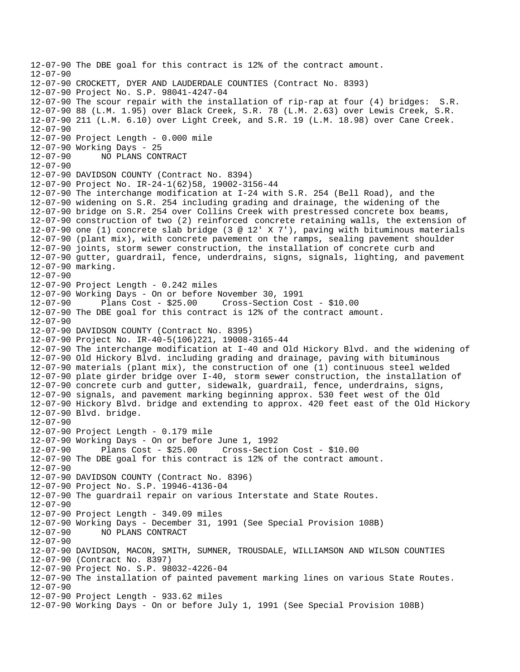```
12-07-90 The DBE goal for this contract is 12% of the contract amount. 
12 - 07 - 9012-07-90 CROCKETT, DYER AND LAUDERDALE COUNTIES (Contract No. 8393) 
12-07-90 Project No. S.P. 98041-4247-04 
12-07-90 The scour repair with the installation of rip-rap at four (4) bridges: S.R. 
12-07-90 88 (L.M. 1.95) over Black Creek, S.R. 78 (L.M. 2.63) over Lewis Creek, S.R. 
12-07-90 211 (L.M. 6.10) over Light Creek, and S.R. 19 (L.M. 18.98) over Cane Creek. 
12-07-90 
12-07-90 Project Length - 0.000 mile 
12-07-90 Working Days - 25 
12-07-90 NO PLANS CONTRACT 
12-07-90 
12-07-90 DAVIDSON COUNTY (Contract No. 8394) 
12-07-90 Project No. IR-24-1(62)58, 19002-3156-44 
12-07-90 The interchange modification at I-24 with S.R. 254 (Bell Road), and the 
12-07-90 widening on S.R. 254 including grading and drainage, the widening of the 
12-07-90 bridge on S.R. 254 over Collins Creek with prestressed concrete box beams, 
12-07-90 construction of two (2) reinforced concrete retaining walls, the extension of 
12-07-90 one (1) concrete slab bridge (3 @ 12' X 7'), paving with bituminous materials 
12-07-90 (plant mix), with concrete pavement on the ramps, sealing pavement shoulder 
12-07-90 joints, storm sewer construction, the installation of concrete curb and 
12-07-90 gutter, guardrail, fence, underdrains, signs, signals, lighting, and pavement 
12-07-90 marking. 
12-07-90 
12-07-90 Project Length - 0.242 miles 
12-07-90 Working Days - On or before November 30, 1991 
12-07-90 Plans Cost - $25.00 Cross-Section Cost - $10.00 
12-07-90 The DBE goal for this contract is 12% of the contract amount. 
12-07-90 
12-07-90 DAVIDSON COUNTY (Contract No. 8395) 
12-07-90 Project No. IR-40-5(106)221, 19008-3165-44 
12-07-90 The interchange modification at I-40 and Old Hickory Blvd. and the widening of 
12-07-90 Old Hickory Blvd. including grading and drainage, paving with bituminous 
12-07-90 materials (plant mix), the construction of one (1) continuous steel welded 
12-07-90 plate girder bridge over I-40, storm sewer construction, the installation of 
12-07-90 concrete curb and gutter, sidewalk, guardrail, fence, underdrains, signs, 
12-07-90 signals, and pavement marking beginning approx. 530 feet west of the Old 
12-07-90 Hickory Blvd. bridge and extending to approx. 420 feet east of the Old Hickory 
12-07-90 Blvd. bridge. 
12-07-90 
12-07-90 Project Length - 0.179 mile 
12-07-90 Working Days - On or before June 1, 1992 
12-07-90 Plans Cost - $25.00 Cross-Section Cost - $10.00 
12-07-90 The DBE goal for this contract is 12% of the contract amount. 
12-07-90 
12-07-90 DAVIDSON COUNTY (Contract No. 8396) 
12-07-90 Project No. S.P. 19946-4136-04 
12-07-90 The guardrail repair on various Interstate and State Routes. 
12-07-90 
12-07-90 Project Length - 349.09 miles 
12-07-90 Working Days - December 31, 1991 (See Special Provision 108B) 
12-07-90 NO PLANS CONTRACT 
12-07-90 
12-07-90 DAVIDSON, MACON, SMITH, SUMNER, TROUSDALE, WILLIAMSON AND WILSON COUNTIES 
12-07-90 (Contract No. 8397) 
12-07-90 Project No. S.P. 98032-4226-04 
12-07-90 The installation of painted pavement marking lines on various State Routes. 
12-07-90 
12-07-90 Project Length - 933.62 miles 
12-07-90 Working Days - On or before July 1, 1991 (See Special Provision 108B)
```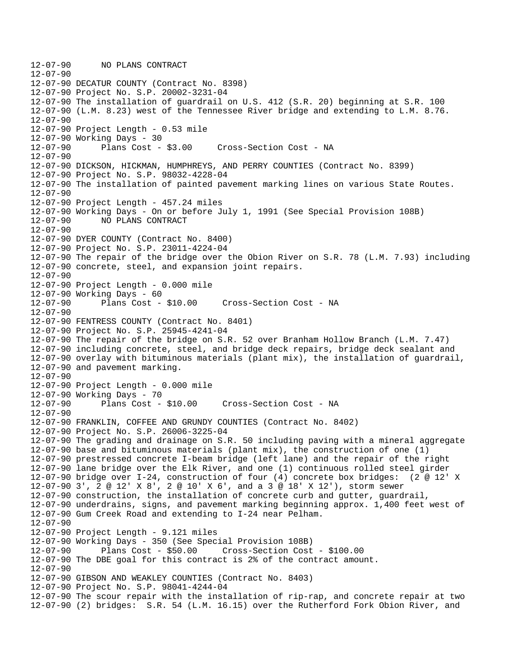12-07-90 NO PLANS CONTRACT 12-07-90 12-07-90 DECATUR COUNTY (Contract No. 8398) 12-07-90 Project No. S.P. 20002-3231-04 12-07-90 The installation of guardrail on U.S. 412 (S.R. 20) beginning at S.R. 100 12-07-90 (L.M. 8.23) west of the Tennessee River bridge and extending to L.M. 8.76. 12-07-90 12-07-90 Project Length - 0.53 mile 12-07-90 Working Days - 30 12-07-90 Plans Cost - \$3.00 Cross-Section Cost - NA 12-07-90 12-07-90 DICKSON, HICKMAN, HUMPHREYS, AND PERRY COUNTIES (Contract No. 8399) 12-07-90 Project No. S.P. 98032-4228-04 12-07-90 The installation of painted pavement marking lines on various State Routes. 12-07-90 12-07-90 Project Length - 457.24 miles 12-07-90 Working Days - On or before July 1, 1991 (See Special Provision 108B) 12-07-90 NO PLANS CONTRACT 12-07-90 12-07-90 DYER COUNTY (Contract No. 8400) 12-07-90 Project No. S.P. 23011-4224-04 12-07-90 The repair of the bridge over the Obion River on S.R. 78 (L.M. 7.93) including 12-07-90 concrete, steel, and expansion joint repairs. 12-07-90 12-07-90 Project Length - 0.000 mile 12-07-90 Working Days - 60 12-07-90 Plans Cost - \$10.00 Cross-Section Cost - NA 12-07-90 12-07-90 FENTRESS COUNTY (Contract No. 8401) 12-07-90 Project No. S.P. 25945-4241-04 12-07-90 The repair of the bridge on S.R. 52 over Branham Hollow Branch (L.M. 7.47) 12-07-90 including concrete, steel, and bridge deck repairs, bridge deck sealant and 12-07-90 overlay with bituminous materials (plant mix), the installation of guardrail, 12-07-90 and pavement marking. 12-07-90 12-07-90 Project Length - 0.000 mile 12-07-90 Working Days - 70 12-07-90 Plans Cost - \$10.00 Cross-Section Cost - NA 12-07-90 12-07-90 FRANKLIN, COFFEE AND GRUNDY COUNTIES (Contract No. 8402) 12-07-90 Project No. S.P. 26006-3225-04 12-07-90 The grading and drainage on S.R. 50 including paving with a mineral aggregate 12-07-90 base and bituminous materials (plant mix), the construction of one (1) 12-07-90 prestressed concrete I-beam bridge (left lane) and the repair of the right 12-07-90 lane bridge over the Elk River, and one (1) continuous rolled steel girder 12-07-90 bridge over I-24, construction of four (4) concrete box bridges: (2 @ 12' X 12-07-90 3', 2 @ 12' X 8', 2 @ 10' X 6', and a 3 @ 18' X 12'), storm sewer 12-07-90 construction, the installation of concrete curb and gutter, guardrail, 12-07-90 underdrains, signs, and pavement marking beginning approx. 1,400 feet west of 12-07-90 Gum Creek Road and extending to I-24 near Pelham. 12-07-90 12-07-90 Project Length - 9.121 miles 12-07-90 Working Days - 350 (See Special Provision 108B) 12-07-90 Plans Cost - \$50.00 Cross-Section Cost - \$100.00 12-07-90 The DBE goal for this contract is 2% of the contract amount. 12-07-90 12-07-90 GIBSON AND WEAKLEY COUNTIES (Contract No. 8403) 12-07-90 Project No. S.P. 98041-4244-04 12-07-90 The scour repair with the installation of rip-rap, and concrete repair at two 12-07-90 (2) bridges: S.R. 54 (L.M. 16.15) over the Rutherford Fork Obion River, and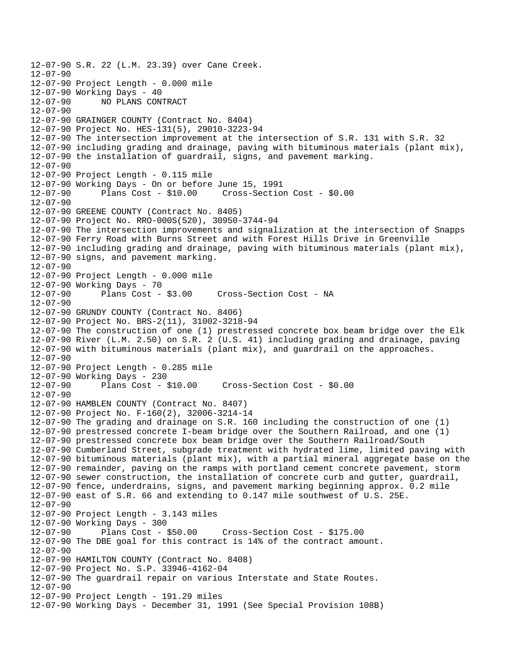```
12-07-90 S.R. 22 (L.M. 23.39) over Cane Creek. 
12 - 07 - 9012-07-90 Project Length - 0.000 mile 
12-07-90 Working Days - 40<br>12-07-90 NO PLANS CON
              12-07-90 NO PLANS CONTRACT 
12-07-90 
12-07-90 GRAINGER COUNTY (Contract No. 8404) 
12-07-90 Project No. HES-131(5), 29010-3223-94 
12-07-90 The intersection improvement at the intersection of S.R. 131 with S.R. 32 
12-07-90 including grading and drainage, paving with bituminous materials (plant mix), 
12-07-90 the installation of guardrail, signs, and pavement marking. 
12-07-90 
12-07-90 Project Length - 0.115 mile 
12-07-90 Working Days - On or before June 15, 1991 
12-07-90 Plans Cost - $10.00 Cross-Section Cost - $0.00 
12 - 07 - 9012-07-90 GREENE COUNTY (Contract No. 8405) 
12-07-90 Project No. RRO-000S(520), 30950-3744-94 
12-07-90 The intersection improvements and signalization at the intersection of Snapps 
12-07-90 Ferry Road with Burns Street and with Forest Hills Drive in Greenville 
12-07-90 including grading and drainage, paving with bituminous materials (plant mix), 
12-07-90 signs, and pavement marking. 
12-07-90 
12-07-90 Project Length - 0.000 mile 
12-07-90 Working Days - 70 
12-07-90 Plans Cost - $3.00 Cross-Section Cost - NA 
12-07-90 
12-07-90 GRUNDY COUNTY (Contract No. 8406) 
12-07-90 Project No. BRS-2(11), 31002-3218-94 
12-07-90 The construction of one (1) prestressed concrete box beam bridge over the Elk 
12-07-90 River (L.M. 2.50) on S.R. 2 (U.S. 41) including grading and drainage, paving 
12-07-90 with bituminous materials (plant mix), and guardrail on the approaches. 
12-07-90 
12-07-90 Project Length - 0.285 mile 
12-07-90 Working Days - 230 
12-07-90 Plans Cost - $10.00 Cross-Section Cost - $0.00 
12-07-90 
12-07-90 HAMBLEN COUNTY (Contract No. 8407) 
12-07-90 Project No. F-160(2), 32006-3214-14 
12-07-90 The grading and drainage on S.R. 160 including the construction of one (1) 
12-07-90 prestressed concrete I-beam bridge over the Southern Railroad, and one (1) 
12-07-90 prestressed concrete box beam bridge over the Southern Railroad/South 
12-07-90 Cumberland Street, subgrade treatment with hydrated lime, limited paving with 
12-07-90 bituminous materials (plant mix), with a partial mineral aggregate base on the 
12-07-90 remainder, paving on the ramps with portland cement concrete pavement, storm 
12-07-90 sewer construction, the installation of concrete curb and gutter, guardrail, 
12-07-90 fence, underdrains, signs, and pavement marking beginning approx. 0.2 mile 
12-07-90 east of S.R. 66 and extending to 0.147 mile southwest of U.S. 25E. 
12-07-90 
12-07-90 Project Length - 3.143 miles 
12-07-90 Working Days - 300 
12-07-90 Plans Cost - $50.00 Cross-Section Cost - $175.00 
12-07-90 The DBE goal for this contract is 14% of the contract amount. 
12-07-90 
12-07-90 HAMILTON COUNTY (Contract No. 8408) 
12-07-90 Project No. S.P. 33946-4162-04 
12-07-90 The guardrail repair on various Interstate and State Routes. 
12-07-90 
12-07-90 Project Length - 191.29 miles 
12-07-90 Working Days - December 31, 1991 (See Special Provision 108B)
```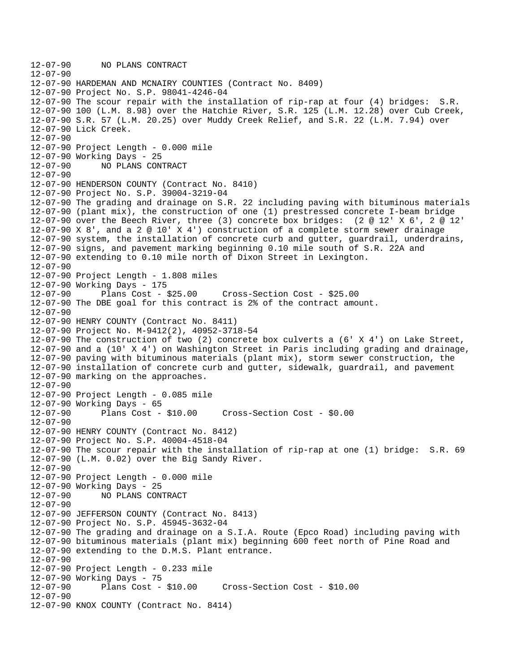12-07-90 NO PLANS CONTRACT 12-07-90 12-07-90 HARDEMAN AND MCNAIRY COUNTIES (Contract No. 8409) 12-07-90 Project No. S.P. 98041-4246-04 12-07-90 The scour repair with the installation of rip-rap at four (4) bridges: S.R. 12-07-90 100 (L.M. 8.98) over the Hatchie River, S.R. 125 (L.M. 12.28) over Cub Creek, 12-07-90 S.R. 57 (L.M. 20.25) over Muddy Creek Relief, and S.R. 22 (L.M. 7.94) over 12-07-90 Lick Creek. 12-07-90 12-07-90 Project Length - 0.000 mile 12-07-90 Working Days - 25 12-07-90 NO PLANS CONTRACT  $12 - 07 - 90$ 12-07-90 HENDERSON COUNTY (Contract No. 8410) 12-07-90 Project No. S.P. 39004-3219-04 12-07-90 The grading and drainage on S.R. 22 including paving with bituminous materials 12-07-90 (plant mix), the construction of one (1) prestressed concrete I-beam bridge 12-07-90 over the Beech River, three (3) concrete box bridges: (2 @ 12' X 6', 2 @ 12' 12-07-90 X 8', and a 2 @ 10' X 4') construction of a complete storm sewer drainage 12-07-90 system, the installation of concrete curb and gutter, guardrail, underdrains, 12-07-90 signs, and pavement marking beginning 0.10 mile south of S.R. 22A and 12-07-90 extending to 0.10 mile north of Dixon Street in Lexington. 12-07-90 12-07-90 Project Length - 1.808 miles 12-07-90 Working Days - 175 12-07-90 Plans Cost - \$25.00 Cross-Section Cost - \$25.00 12-07-90 The DBE goal for this contract is 2% of the contract amount. 12-07-90 12-07-90 HENRY COUNTY (Contract No. 8411) 12-07-90 Project No. M-9412(2), 40952-3718-54 12-07-90 The construction of two (2) concrete box culverts a (6' X 4') on Lake Street, 12-07-90 and a (10' X 4') on Washington Street in Paris including grading and drainage, 12-07-90 paving with bituminous materials (plant mix), storm sewer construction, the 12-07-90 installation of concrete curb and gutter, sidewalk, guardrail, and pavement 12-07-90 marking on the approaches.  $12 - 07 - 90$ 12-07-90 Project Length - 0.085 mile 12-07-90 Working Days - 65 12-07-90 Plans Cost - \$10.00 Cross-Section Cost - \$0.00 12-07-90 12-07-90 HENRY COUNTY (Contract No. 8412) 12-07-90 Project No. S.P. 40004-4518-04 12-07-90 The scour repair with the installation of rip-rap at one (1) bridge: S.R. 69 12-07-90 (L.M. 0.02) over the Big Sandy River. 12-07-90 12-07-90 Project Length - 0.000 mile 12-07-90 Working Days - 25 12-07-90 NO PLANS CONTRACT 12-07-90 12-07-90 JEFFERSON COUNTY (Contract No. 8413) 12-07-90 Project No. S.P. 45945-3632-04 12-07-90 The grading and drainage on a S.I.A. Route (Epco Road) including paving with 12-07-90 bituminous materials (plant mix) beginning 600 feet north of Pine Road and 12-07-90 extending to the D.M.S. Plant entrance. 12-07-90 12-07-90 Project Length - 0.233 mile 12-07-90 Working Days - 75 12-07-90 Plans Cost - \$10.00 Cross-Section Cost - \$10.00  $12 - 07 - 90$ 12-07-90 KNOX COUNTY (Contract No. 8414)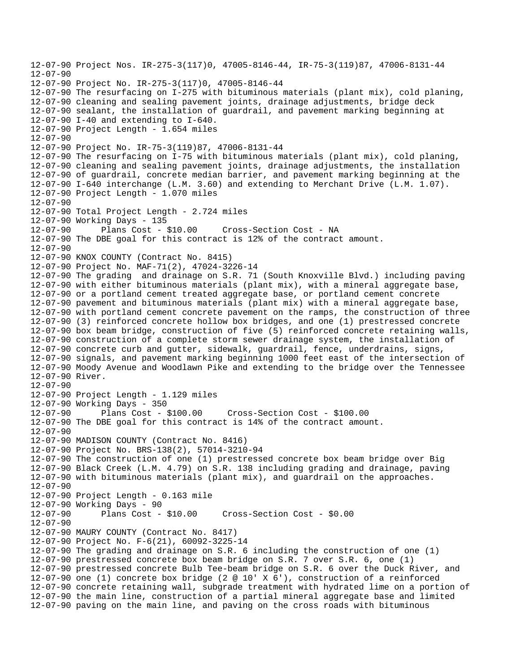12-07-90 Project Nos. IR-275-3(117)0, 47005-8146-44, IR-75-3(119)87, 47006-8131-44  $12 - 07 - 90$ 12-07-90 Project No. IR-275-3(117)0, 47005-8146-44 12-07-90 The resurfacing on I-275 with bituminous materials (plant mix), cold planing, 12-07-90 cleaning and sealing pavement joints, drainage adjustments, bridge deck 12-07-90 sealant, the installation of guardrail, and pavement marking beginning at 12-07-90 I-40 and extending to I-640. 12-07-90 Project Length - 1.654 miles 12-07-90 12-07-90 Project No. IR-75-3(119)87, 47006-8131-44 12-07-90 The resurfacing on I-75 with bituminous materials (plant mix), cold planing, 12-07-90 cleaning and sealing pavement joints, drainage adjustments, the installation 12-07-90 of guardrail, concrete median barrier, and pavement marking beginning at the 12-07-90 I-640 interchange (L.M. 3.60) and extending to Merchant Drive (L.M. 1.07). 12-07-90 Project Length - 1.070 miles  $12 - 07 - 90$ 12-07-90 Total Project Length - 2.724 miles 12-07-90 Working Days - 135 12-07-90 Plans Cost - \$10.00 Cross-Section Cost - NA 12-07-90 The DBE goal for this contract is 12% of the contract amount. 12-07-90 12-07-90 KNOX COUNTY (Contract No. 8415) 12-07-90 Project No. MAF-71(2), 47024-3226-14 12-07-90 The grading and drainage on S.R. 71 (South Knoxville Blvd.) including paving 12-07-90 with either bituminous materials (plant mix), with a mineral aggregate base, 12-07-90 or a portland cement treated aggregate base, or portland cement concrete 12-07-90 pavement and bituminous materials (plant mix) with a mineral aggregate base, 12-07-90 with portland cement concrete pavement on the ramps, the construction of three 12-07-90 (3) reinforced concrete hollow box bridges, and one (1) prestressed concrete 12-07-90 box beam bridge, construction of five (5) reinforced concrete retaining walls, 12-07-90 construction of a complete storm sewer drainage system, the installation of 12-07-90 concrete curb and gutter, sidewalk, guardrail, fence, underdrains, signs, 12-07-90 signals, and pavement marking beginning 1000 feet east of the intersection of 12-07-90 Moody Avenue and Woodlawn Pike and extending to the bridge over the Tennessee 12-07-90 River.  $12 - 07 - 90$ 12-07-90 Project Length - 1.129 miles 12-07-90 Working Days - 350 12-07-90 Plans Cost - \$100.00 Cross-Section Cost - \$100.00 12-07-90 The DBE goal for this contract is 14% of the contract amount. 12-07-90 12-07-90 MADISON COUNTY (Contract No. 8416) 12-07-90 Project No. BRS-138(2), 57014-3210-94 12-07-90 The construction of one (1) prestressed concrete box beam bridge over Big 12-07-90 Black Creek (L.M. 4.79) on S.R. 138 including grading and drainage, paving 12-07-90 with bituminous materials (plant mix), and guardrail on the approaches. 12-07-90 12-07-90 Project Length - 0.163 mile 12-07-90 Working Days - 90 12-07-90 Plans Cost - \$10.00 Cross-Section Cost - \$0.00 12-07-90 12-07-90 MAURY COUNTY (Contract No. 8417) 12-07-90 Project No. F-6(21), 60092-3225-14 12-07-90 The grading and drainage on S.R. 6 including the construction of one (1) 12-07-90 prestressed concrete box beam bridge on S.R. 7 over S.R. 6, one (1) 12-07-90 prestressed concrete Bulb Tee-beam bridge on S.R. 6 over the Duck River, and 12-07-90 one (1) concrete box bridge (2 @ 10' X 6'), construction of a reinforced 12-07-90 concrete retaining wall, subgrade treatment with hydrated lime on a portion of 12-07-90 the main line, construction of a partial mineral aggregate base and limited 12-07-90 paving on the main line, and paving on the cross roads with bituminous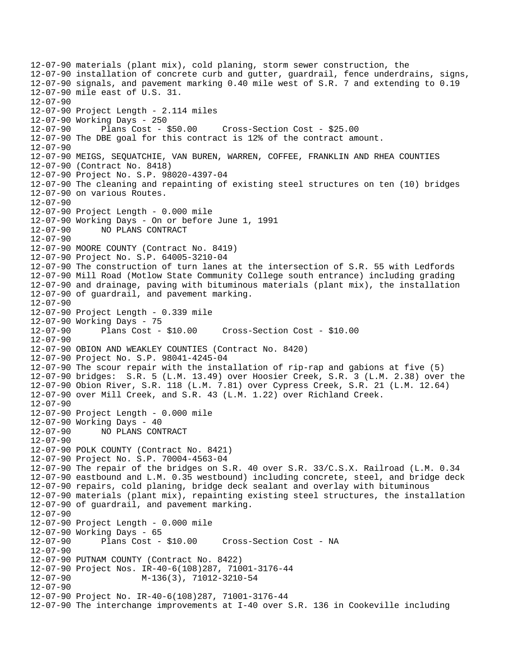12-07-90 materials (plant mix), cold planing, storm sewer construction, the 12-07-90 installation of concrete curb and gutter, guardrail, fence underdrains, signs, 12-07-90 signals, and pavement marking 0.40 mile west of S.R. 7 and extending to 0.19 12-07-90 mile east of U.S. 31. 12-07-90 12-07-90 Project Length - 2.114 miles 12-07-90 Working Days - 250 12-07-90 Plans Cost - \$50.00 Cross-Section Cost - \$25.00 12-07-90 The DBE goal for this contract is 12% of the contract amount. 12-07-90 12-07-90 MEIGS, SEQUATCHIE, VAN BUREN, WARREN, COFFEE, FRANKLIN AND RHEA COUNTIES 12-07-90 (Contract No. 8418) 12-07-90 Project No. S.P. 98020-4397-04 12-07-90 The cleaning and repainting of existing steel structures on ten (10) bridges 12-07-90 on various Routes.  $12 - 07 - 90$ 12-07-90 Project Length - 0.000 mile 12-07-90 Working Days - On or before June 1, 1991 12-07-90 NO PLANS CONTRACT 12-07-90 12-07-90 MOORE COUNTY (Contract No. 8419) 12-07-90 Project No. S.P. 64005-3210-04 12-07-90 The construction of turn lanes at the intersection of S.R. 55 with Ledfords 12-07-90 Mill Road (Motlow State Community College south entrance) including grading 12-07-90 and drainage, paving with bituminous materials (plant mix), the installation 12-07-90 of guardrail, and pavement marking. 12-07-90 12-07-90 Project Length - 0.339 mile 12-07-90 Working Days - 75 12-07-90 Plans Cost - \$10.00 Cross-Section Cost - \$10.00 12-07-90 12-07-90 OBION AND WEAKLEY COUNTIES (Contract No. 8420) 12-07-90 Project No. S.P. 98041-4245-04 12-07-90 The scour repair with the installation of rip-rap and gabions at five (5) 12-07-90 bridges: S.R. 5 (L.M. 13.49) over Hoosier Creek, S.R. 3 (L.M. 2.38) over the 12-07-90 Obion River, S.R. 118 (L.M. 7.81) over Cypress Creek, S.R. 21 (L.M. 12.64) 12-07-90 over Mill Creek, and S.R. 43 (L.M. 1.22) over Richland Creek. 12-07-90 12-07-90 Project Length - 0.000 mile 12-07-90 Working Days - 40<br>12-07-90 NO PLANS CON NO PLANS CONTRACT 12-07-90 12-07-90 POLK COUNTY (Contract No. 8421) 12-07-90 Project No. S.P. 70004-4563-04 12-07-90 The repair of the bridges on S.R. 40 over S.R. 33/C.S.X. Railroad (L.M. 0.34 12-07-90 eastbound and L.M. 0.35 westbound) including concrete, steel, and bridge deck 12-07-90 repairs, cold planing, bridge deck sealant and overlay with bituminous 12-07-90 materials (plant mix), repainting existing steel structures, the installation 12-07-90 of guardrail, and pavement marking. 12-07-90 12-07-90 Project Length - 0.000 mile 12-07-90 Working Days - 65 12-07-90 Plans Cost - \$10.00 Cross-Section Cost - NA 12-07-90 12-07-90 PUTNAM COUNTY (Contract No. 8422) 12-07-90 Project Nos. IR-40-6(108)287, 71001-3176-44 12-07-90 M-136(3), 71012-3210-54 12-07-90 12-07-90 Project No. IR-40-6(108)287, 71001-3176-44 12-07-90 The interchange improvements at I-40 over S.R. 136 in Cookeville including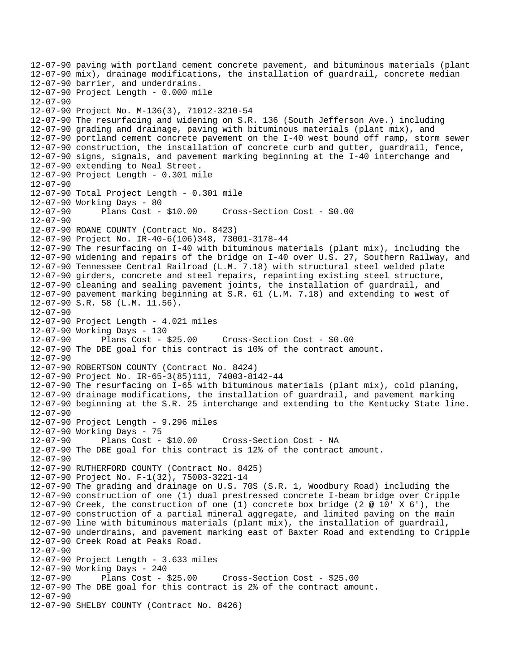12-07-90 paving with portland cement concrete pavement, and bituminous materials (plant 12-07-90 mix), drainage modifications, the installation of guardrail, concrete median 12-07-90 barrier, and underdrains. 12-07-90 Project Length - 0.000 mile 12-07-90 12-07-90 Project No. M-136(3), 71012-3210-54 12-07-90 The resurfacing and widening on S.R. 136 (South Jefferson Ave.) including 12-07-90 grading and drainage, paving with bituminous materials (plant mix), and 12-07-90 portland cement concrete pavement on the I-40 west bound off ramp, storm sewer 12-07-90 construction, the installation of concrete curb and gutter, guardrail, fence, 12-07-90 signs, signals, and pavement marking beginning at the I-40 interchange and 12-07-90 extending to Neal Street. 12-07-90 Project Length - 0.301 mile 12-07-90 12-07-90 Total Project Length - 0.301 mile 12-07-90 Working Days - 80 12-07-90 Plans Cost - \$10.00 Cross-Section Cost - \$0.00 12-07-90 12-07-90 ROANE COUNTY (Contract No. 8423) 12-07-90 Project No. IR-40-6(106)348, 73001-3178-44 12-07-90 The resurfacing on I-40 with bituminous materials (plant mix), including the 12-07-90 widening and repairs of the bridge on I-40 over U.S. 27, Southern Railway, and 12-07-90 Tennessee Central Railroad (L.M. 7.18) with structural steel welded plate 12-07-90 girders, concrete and steel repairs, repainting existing steel structure, 12-07-90 cleaning and sealing pavement joints, the installation of guardrail, and 12-07-90 pavement marking beginning at S.R. 61 (L.M. 7.18) and extending to west of 12-07-90 S.R. 58 (L.M. 11.56). 12-07-90 12-07-90 Project Length - 4.021 miles 12-07-90 Working Days - 130 12-07-90 Plans Cost - \$25.00 Cross-Section Cost - \$0.00 12-07-90 The DBE goal for this contract is 10% of the contract amount. 12-07-90 12-07-90 ROBERTSON COUNTY (Contract No. 8424) 12-07-90 Project No. IR-65-3(85)111, 74003-8142-44 12-07-90 The resurfacing on I-65 with bituminous materials (plant mix), cold planing, 12-07-90 drainage modifications, the installation of guardrail, and pavement marking 12-07-90 beginning at the S.R. 25 interchange and extending to the Kentucky State line. 12-07-90 12-07-90 Project Length - 9.296 miles 12-07-90 Working Days - 75 12-07-90 Plans Cost - \$10.00 Cross-Section Cost - NA 12-07-90 The DBE goal for this contract is 12% of the contract amount. 12-07-90 12-07-90 RUTHERFORD COUNTY (Contract No. 8425) 12-07-90 Project No. F-1(32), 75003-3221-14 12-07-90 The grading and drainage on U.S. 70S (S.R. 1, Woodbury Road) including the 12-07-90 construction of one (1) dual prestressed concrete I-beam bridge over Cripple 12-07-90 Creek, the construction of one (1) concrete box bridge (2 @ 10' X 6'), the 12-07-90 construction of a partial mineral aggregate, and limited paving on the main 12-07-90 line with bituminous materials (plant mix), the installation of guardrail, 12-07-90 underdrains, and pavement marking east of Baxter Road and extending to Cripple 12-07-90 Creek Road at Peaks Road. 12-07-90 12-07-90 Project Length - 3.633 miles 12-07-90 Working Days - 240 12-07-90 Plans Cost - \$25.00 Cross-Section Cost - \$25.00 12-07-90 The DBE goal for this contract is 2% of the contract amount.  $12 - 07 - 90$ 12-07-90 SHELBY COUNTY (Contract No. 8426)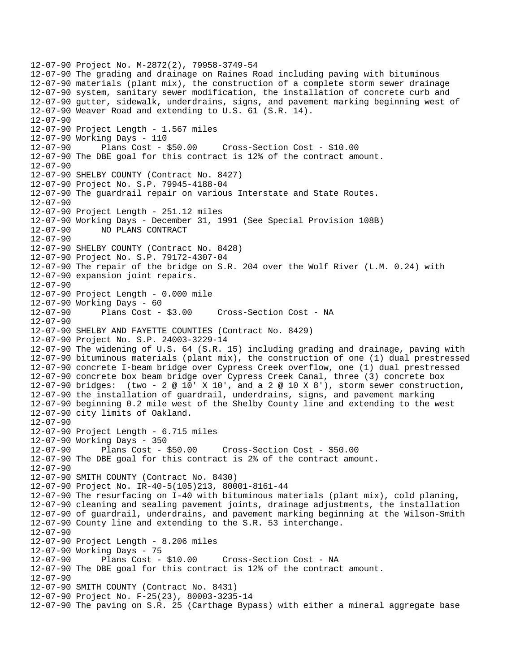12-07-90 Project No. M-2872(2), 79958-3749-54 12-07-90 The grading and drainage on Raines Road including paving with bituminous 12-07-90 materials (plant mix), the construction of a complete storm sewer drainage 12-07-90 system, sanitary sewer modification, the installation of concrete curb and 12-07-90 gutter, sidewalk, underdrains, signs, and pavement marking beginning west of 12-07-90 Weaver Road and extending to U.S. 61 (S.R. 14). 12-07-90 12-07-90 Project Length - 1.567 miles 12-07-90 Working Days - 110 12-07-90 Plans Cost - \$50.00 Cross-Section Cost - \$10.00 12-07-90 The DBE goal for this contract is 12% of the contract amount. 12-07-90 12-07-90 SHELBY COUNTY (Contract No. 8427) 12-07-90 Project No. S.P. 79945-4188-04 12-07-90 The guardrail repair on various Interstate and State Routes.  $12 - 07 - 90$ 12-07-90 Project Length - 251.12 miles 12-07-90 Working Days - December 31, 1991 (See Special Provision 108B) 12-07-90 NO PLANS CONTRACT 12-07-90 12-07-90 SHELBY COUNTY (Contract No. 8428) 12-07-90 Project No. S.P. 79172-4307-04 12-07-90 The repair of the bridge on S.R. 204 over the Wolf River (L.M. 0.24) with 12-07-90 expansion joint repairs. 12-07-90 12-07-90 Project Length - 0.000 mile 12-07-90 Working Days - 60 12-07-90 Plans Cost - \$3.00 Cross-Section Cost - NA 12-07-90 12-07-90 SHELBY AND FAYETTE COUNTIES (Contract No. 8429) 12-07-90 Project No. S.P. 24003-3229-14 12-07-90 The widening of U.S. 64 (S.R. 15) including grading and drainage, paving with 12-07-90 bituminous materials (plant mix), the construction of one (1) dual prestressed 12-07-90 concrete I-beam bridge over Cypress Creek overflow, one (1) dual prestressed 12-07-90 concrete box beam bridge over Cypress Creek Canal, three (3) concrete box 12-07-90 bridges: (two - 2 @ 10' X 10', and a 2 @ 10 X 8'), storm sewer construction, 12-07-90 the installation of guardrail, underdrains, signs, and pavement marking 12-07-90 beginning 0.2 mile west of the Shelby County line and extending to the west 12-07-90 city limits of Oakland. 12-07-90 12-07-90 Project Length - 6.715 miles 12-07-90 Working Days - 350 12-07-90 Plans Cost - \$50.00 Cross-Section Cost - \$50.00 12-07-90 The DBE goal for this contract is 2% of the contract amount. 12-07-90 12-07-90 SMITH COUNTY (Contract No. 8430) 12-07-90 Project No. IR-40-5(105)213, 80001-8161-44 12-07-90 The resurfacing on I-40 with bituminous materials (plant mix), cold planing, 12-07-90 cleaning and sealing pavement joints, drainage adjustments, the installation 12-07-90 of guardrail, underdrains, and pavement marking beginning at the Wilson-Smith 12-07-90 County line and extending to the S.R. 53 interchange. 12-07-90 12-07-90 Project Length - 8.206 miles 12-07-90 Working Days - 75<br>12-07-90 Plans Cost - \$10.00 12-07-90 Plans Cost - \$10.00 Cross-Section Cost - NA 12-07-90 The DBE goal for this contract is 12% of the contract amount. 12-07-90 12-07-90 SMITH COUNTY (Contract No. 8431) 12-07-90 Project No. F-25(23), 80003-3235-14 12-07-90 The paving on S.R. 25 (Carthage Bypass) with either a mineral aggregate base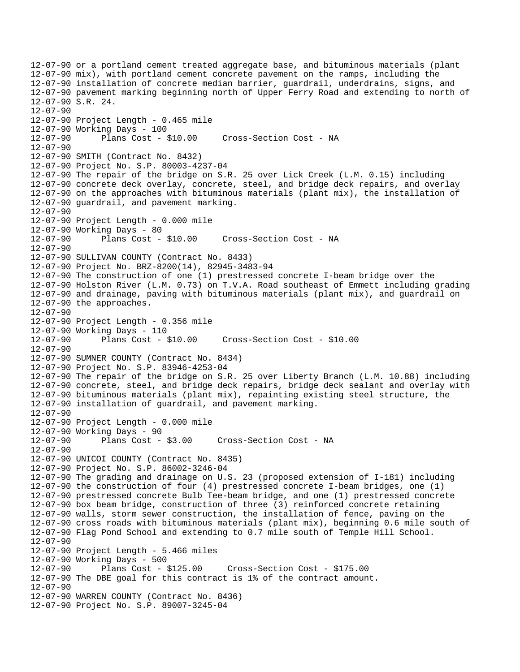12-07-90 or a portland cement treated aggregate base, and bituminous materials (plant 12-07-90 mix), with portland cement concrete pavement on the ramps, including the 12-07-90 installation of concrete median barrier, guardrail, underdrains, signs, and 12-07-90 pavement marking beginning north of Upper Ferry Road and extending to north of 12-07-90 S.R. 24. 12-07-90 12-07-90 Project Length - 0.465 mile 12-07-90 Working Days - 100 12-07-90 Plans Cost - \$10.00 Cross-Section Cost - NA 12-07-90 12-07-90 SMITH (Contract No. 8432) 12-07-90 Project No. S.P. 80003-4237-04 12-07-90 The repair of the bridge on S.R. 25 over Lick Creek (L.M. 0.15) including 12-07-90 concrete deck overlay, concrete, steel, and bridge deck repairs, and overlay 12-07-90 on the approaches with bituminous materials (plant mix), the installation of 12-07-90 guardrail, and pavement marking. 12-07-90 12-07-90 Project Length - 0.000 mile 12-07-90 Working Days - 80 12-07-90 Plans Cost - \$10.00 Cross-Section Cost - NA 12-07-90 12-07-90 SULLIVAN COUNTY (Contract No. 8433) 12-07-90 Project No. BRZ-8200(14), 82945-3483-94 12-07-90 The construction of one (1) prestressed concrete I-beam bridge over the 12-07-90 Holston River (L.M. 0.73) on T.V.A. Road southeast of Emmett including grading 12-07-90 and drainage, paving with bituminous materials (plant mix), and guardrail on 12-07-90 the approaches. 12-07-90 12-07-90 Project Length - 0.356 mile 12-07-90 Working Days - 110 12-07-90 Plans Cost - \$10.00 Cross-Section Cost - \$10.00 12-07-90 12-07-90 SUMNER COUNTY (Contract No. 8434) 12-07-90 Project No. S.P. 83946-4253-04 12-07-90 The repair of the bridge on S.R. 25 over Liberty Branch (L.M. 10.88) including 12-07-90 concrete, steel, and bridge deck repairs, bridge deck sealant and overlay with 12-07-90 bituminous materials (plant mix), repainting existing steel structure, the 12-07-90 installation of guardrail, and pavement marking. 12-07-90 12-07-90 Project Length - 0.000 mile 12-07-90 Working Days - 90 12-07-90 Plans Cost - \$3.00 Cross-Section Cost - NA 12-07-90 12-07-90 UNICOI COUNTY (Contract No. 8435) 12-07-90 Project No. S.P. 86002-3246-04 12-07-90 The grading and drainage on U.S. 23 (proposed extension of I-181) including 12-07-90 the construction of four (4) prestressed concrete I-beam bridges, one (1) 12-07-90 prestressed concrete Bulb Tee-beam bridge, and one (1) prestressed concrete 12-07-90 box beam bridge, construction of three (3) reinforced concrete retaining 12-07-90 walls, storm sewer construction, the installation of fence, paving on the 12-07-90 cross roads with bituminous materials (plant mix), beginning 0.6 mile south of 12-07-90 Flag Pond School and extending to 0.7 mile south of Temple Hill School. 12-07-90 12-07-90 Project Length - 5.466 miles 12-07-90 Working Days - 500 12-07-90 Plans Cost - \$125.00 Cross-Section Cost - \$175.00 12-07-90 The DBE goal for this contract is 1% of the contract amount. 12-07-90 12-07-90 WARREN COUNTY (Contract No. 8436) 12-07-90 Project No. S.P. 89007-3245-04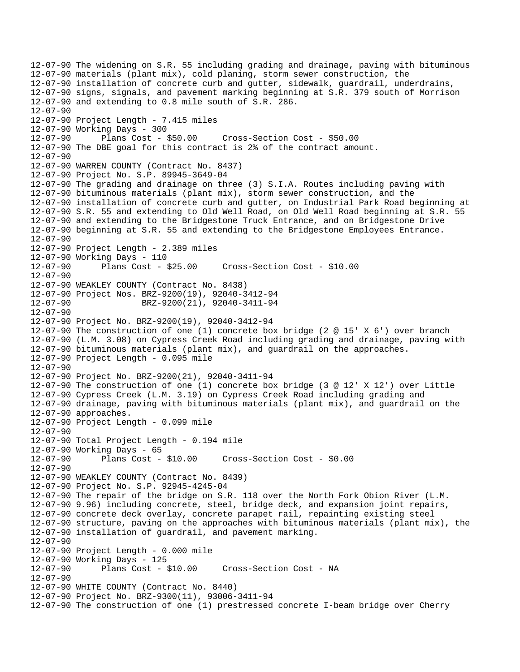12-07-90 The widening on S.R. 55 including grading and drainage, paving with bituminous 12-07-90 materials (plant mix), cold planing, storm sewer construction, the 12-07-90 installation of concrete curb and gutter, sidewalk, guardrail, underdrains, 12-07-90 signs, signals, and pavement marking beginning at S.R. 379 south of Morrison 12-07-90 and extending to 0.8 mile south of S.R. 286. 12-07-90 12-07-90 Project Length - 7.415 miles 12-07-90 Working Days - 300 12-07-90 Plans Cost - \$50.00 Cross-Section Cost - \$50.00 12-07-90 The DBE goal for this contract is 2% of the contract amount. 12-07-90 12-07-90 WARREN COUNTY (Contract No. 8437) 12-07-90 Project No. S.P. 89945-3649-04 12-07-90 The grading and drainage on three (3) S.I.A. Routes including paving with 12-07-90 bituminous materials (plant mix), storm sewer construction, and the 12-07-90 installation of concrete curb and gutter, on Industrial Park Road beginning at 12-07-90 S.R. 55 and extending to Old Well Road, on Old Well Road beginning at S.R. 55 12-07-90 and extending to the Bridgestone Truck Entrance, and on Bridgestone Drive 12-07-90 beginning at S.R. 55 and extending to the Bridgestone Employees Entrance. 12-07-90 12-07-90 Project Length - 2.389 miles 12-07-90 Working Days - 110 12-07-90 Plans Cost - \$25.00 Cross-Section Cost - \$10.00 12-07-90 12-07-90 WEAKLEY COUNTY (Contract No. 8438) 12-07-90 Project Nos. BRZ-9200(19), 92040-3412-94 12-07-90 BRZ-9200(21), 92040-3411-94 12-07-90 12-07-90 Project No. BRZ-9200(19), 92040-3412-94 12-07-90 The construction of one (1) concrete box bridge (2 @ 15' X 6') over branch 12-07-90 (L.M. 3.08) on Cypress Creek Road including grading and drainage, paving with 12-07-90 bituminous materials (plant mix), and guardrail on the approaches. 12-07-90 Project Length - 0.095 mile 12-07-90 12-07-90 Project No. BRZ-9200(21), 92040-3411-94 12-07-90 The construction of one (1) concrete box bridge (3 @ 12' X 12') over Little 12-07-90 Cypress Creek (L.M. 3.19) on Cypress Creek Road including grading and 12-07-90 drainage, paving with bituminous materials (plant mix), and guardrail on the 12-07-90 approaches. 12-07-90 Project Length - 0.099 mile 12-07-90 12-07-90 Total Project Length - 0.194 mile 12-07-90 Working Days - 65 12-07-90 Plans Cost - \$10.00 Cross-Section Cost - \$0.00 12-07-90 12-07-90 WEAKLEY COUNTY (Contract No. 8439) 12-07-90 Project No. S.P. 92945-4245-04 12-07-90 The repair of the bridge on S.R. 118 over the North Fork Obion River (L.M. 12-07-90 9.96) including concrete, steel, bridge deck, and expansion joint repairs, 12-07-90 concrete deck overlay, concrete parapet rail, repainting existing steel 12-07-90 structure, paving on the approaches with bituminous materials (plant mix), the 12-07-90 installation of guardrail, and pavement marking. 12-07-90 12-07-90 Project Length - 0.000 mile 12-07-90 Working Days - 125 12-07-90 Plans Cost - \$10.00 Cross-Section Cost - NA 12-07-90 12-07-90 WHITE COUNTY (Contract No. 8440) 12-07-90 Project No. BRZ-9300(11), 93006-3411-94 12-07-90 The construction of one (1) prestressed concrete I-beam bridge over Cherry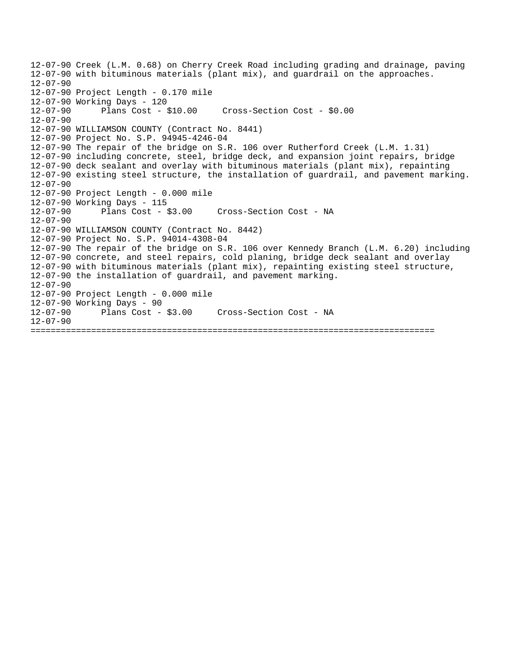12-07-90 Creek (L.M. 0.68) on Cherry Creek Road including grading and drainage, paving 12-07-90 with bituminous materials (plant mix), and guardrail on the approaches.  $12 - 07 - 90$ 12-07-90 Project Length - 0.170 mile 12-07-90 Working Days - 120 12-07-90 Plans Cost - \$10.00 Cross-Section Cost - \$0.00 12-07-90 12-07-90 WILLIAMSON COUNTY (Contract No. 8441) 12-07-90 Project No. S.P. 94945-4246-04 12-07-90 The repair of the bridge on S.R. 106 over Rutherford Creek (L.M. 1.31) 12-07-90 including concrete, steel, bridge deck, and expansion joint repairs, bridge 12-07-90 deck sealant and overlay with bituminous materials (plant mix), repainting 12-07-90 existing steel structure, the installation of guardrail, and pavement marking. 12-07-90 12-07-90 Project Length - 0.000 mile 12-07-90 Working Days - 115 12-07-90 Plans Cost - \$3.00 Cross-Section Cost - NA 12-07-90 12-07-90 WILLIAMSON COUNTY (Contract No. 8442) 12-07-90 Project No. S.P. 94014-4308-04 12-07-90 The repair of the bridge on S.R. 106 over Kennedy Branch (L.M. 6.20) including 12-07-90 concrete, and steel repairs, cold planing, bridge deck sealant and overlay 12-07-90 with bituminous materials (plant mix), repainting existing steel structure, 12-07-90 the installation of guardrail, and pavement marking. 12-07-90 12-07-90 Project Length - 0.000 mile 12-07-90 Working Days - 90 12-07-90 Plans Cost - \$3.00 Cross-Section Cost - NA 12-07-90 ================================================================================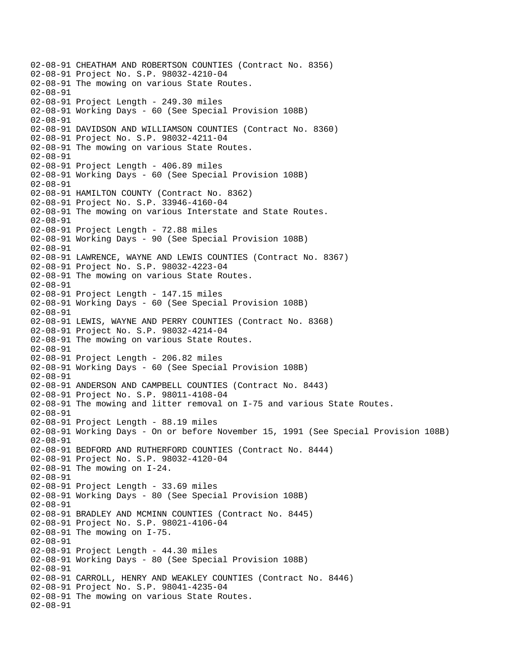02-08-91 CHEATHAM AND ROBERTSON COUNTIES (Contract No. 8356) 02-08-91 Project No. S.P. 98032-4210-04 02-08-91 The mowing on various State Routes. 02-08-91 02-08-91 Project Length - 249.30 miles 02-08-91 Working Days - 60 (See Special Provision 108B) 02-08-91 02-08-91 DAVIDSON AND WILLIAMSON COUNTIES (Contract No. 8360) 02-08-91 Project No. S.P. 98032-4211-04 02-08-91 The mowing on various State Routes. 02-08-91 02-08-91 Project Length - 406.89 miles 02-08-91 Working Days - 60 (See Special Provision 108B) 02-08-91 02-08-91 HAMILTON COUNTY (Contract No. 8362) 02-08-91 Project No. S.P. 33946-4160-04 02-08-91 The mowing on various Interstate and State Routes. 02-08-91 02-08-91 Project Length - 72.88 miles 02-08-91 Working Days - 90 (See Special Provision 108B) 02-08-91 02-08-91 LAWRENCE, WAYNE AND LEWIS COUNTIES (Contract No. 8367) 02-08-91 Project No. S.P. 98032-4223-04 02-08-91 The mowing on various State Routes. 02-08-91 02-08-91 Project Length - 147.15 miles 02-08-91 Working Days - 60 (See Special Provision 108B) 02-08-91 02-08-91 LEWIS, WAYNE AND PERRY COUNTIES (Contract No. 8368) 02-08-91 Project No. S.P. 98032-4214-04 02-08-91 The mowing on various State Routes. 02-08-91 02-08-91 Project Length - 206.82 miles 02-08-91 Working Days - 60 (See Special Provision 108B) 02-08-91 02-08-91 ANDERSON AND CAMPBELL COUNTIES (Contract No. 8443) 02-08-91 Project No. S.P. 98011-4108-04 02-08-91 The mowing and litter removal on I-75 and various State Routes. 02-08-91 02-08-91 Project Length - 88.19 miles 02-08-91 Working Days - On or before November 15, 1991 (See Special Provision 108B) 02-08-91 02-08-91 BEDFORD AND RUTHERFORD COUNTIES (Contract No. 8444) 02-08-91 Project No. S.P. 98032-4120-04 02-08-91 The mowing on I-24. 02-08-91 02-08-91 Project Length - 33.69 miles 02-08-91 Working Days - 80 (See Special Provision 108B) 02-08-91 02-08-91 BRADLEY AND MCMINN COUNTIES (Contract No. 8445) 02-08-91 Project No. S.P. 98021-4106-04 02-08-91 The mowing on I-75. 02-08-91 02-08-91 Project Length - 44.30 miles 02-08-91 Working Days - 80 (See Special Provision 108B) 02-08-91 02-08-91 CARROLL, HENRY AND WEAKLEY COUNTIES (Contract No. 8446) 02-08-91 Project No. S.P. 98041-4235-04 02-08-91 The mowing on various State Routes. 02-08-91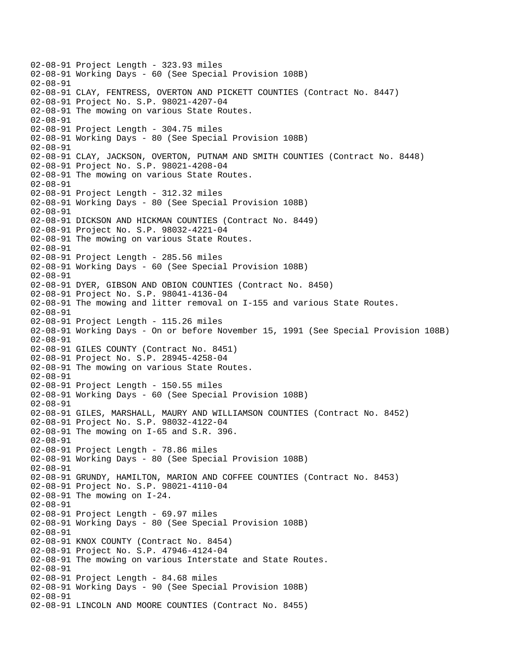02-08-91 Project Length - 323.93 miles 02-08-91 Working Days - 60 (See Special Provision 108B) 02-08-91 02-08-91 CLAY, FENTRESS, OVERTON AND PICKETT COUNTIES (Contract No. 8447) 02-08-91 Project No. S.P. 98021-4207-04 02-08-91 The mowing on various State Routes. 02-08-91 02-08-91 Project Length - 304.75 miles 02-08-91 Working Days - 80 (See Special Provision 108B) 02-08-91 02-08-91 CLAY, JACKSON, OVERTON, PUTNAM AND SMITH COUNTIES (Contract No. 8448) 02-08-91 Project No. S.P. 98021-4208-04 02-08-91 The mowing on various State Routes. 02-08-91 02-08-91 Project Length - 312.32 miles 02-08-91 Working Days - 80 (See Special Provision 108B) 02-08-91 02-08-91 DICKSON AND HICKMAN COUNTIES (Contract No. 8449) 02-08-91 Project No. S.P. 98032-4221-04 02-08-91 The mowing on various State Routes. 02-08-91 02-08-91 Project Length - 285.56 miles 02-08-91 Working Days - 60 (See Special Provision 108B) 02-08-91 02-08-91 DYER, GIBSON AND OBION COUNTIES (Contract No. 8450) 02-08-91 Project No. S.P. 98041-4136-04 02-08-91 The mowing and litter removal on I-155 and various State Routes. 02-08-91 02-08-91 Project Length - 115.26 miles 02-08-91 Working Days - On or before November 15, 1991 (See Special Provision 108B) 02-08-91 02-08-91 GILES COUNTY (Contract No. 8451) 02-08-91 Project No. S.P. 28945-4258-04 02-08-91 The mowing on various State Routes. 02-08-91 02-08-91 Project Length - 150.55 miles 02-08-91 Working Days - 60 (See Special Provision 108B) 02-08-91 02-08-91 GILES, MARSHALL, MAURY AND WILLIAMSON COUNTIES (Contract No. 8452) 02-08-91 Project No. S.P. 98032-4122-04 02-08-91 The mowing on I-65 and S.R. 396. 02-08-91 02-08-91 Project Length - 78.86 miles 02-08-91 Working Days - 80 (See Special Provision 108B) 02-08-91 02-08-91 GRUNDY, HAMILTON, MARION AND COFFEE COUNTIES (Contract No. 8453) 02-08-91 Project No. S.P. 98021-4110-04 02-08-91 The mowing on I-24. 02-08-91 02-08-91 Project Length - 69.97 miles 02-08-91 Working Days - 80 (See Special Provision 108B) 02-08-91 02-08-91 KNOX COUNTY (Contract No. 8454) 02-08-91 Project No. S.P. 47946-4124-04 02-08-91 The mowing on various Interstate and State Routes. 02-08-91 02-08-91 Project Length - 84.68 miles 02-08-91 Working Days - 90 (See Special Provision 108B) 02-08-91 02-08-91 LINCOLN AND MOORE COUNTIES (Contract No. 8455)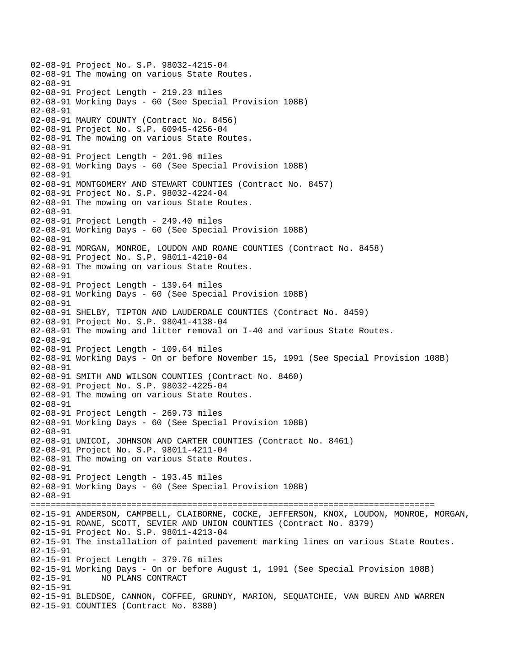02-08-91 Project No. S.P. 98032-4215-04 02-08-91 The mowing on various State Routes. 02-08-91 02-08-91 Project Length - 219.23 miles 02-08-91 Working Days - 60 (See Special Provision 108B) 02-08-91 02-08-91 MAURY COUNTY (Contract No. 8456) 02-08-91 Project No. S.P. 60945-4256-04 02-08-91 The mowing on various State Routes. 02-08-91 02-08-91 Project Length - 201.96 miles 02-08-91 Working Days - 60 (See Special Provision 108B) 02-08-91 02-08-91 MONTGOMERY AND STEWART COUNTIES (Contract No. 8457) 02-08-91 Project No. S.P. 98032-4224-04 02-08-91 The mowing on various State Routes. 02-08-91 02-08-91 Project Length - 249.40 miles 02-08-91 Working Days - 60 (See Special Provision 108B) 02-08-91 02-08-91 MORGAN, MONROE, LOUDON AND ROANE COUNTIES (Contract No. 8458) 02-08-91 Project No. S.P. 98011-4210-04 02-08-91 The mowing on various State Routes. 02-08-91 02-08-91 Project Length - 139.64 miles 02-08-91 Working Days - 60 (See Special Provision 108B) 02-08-91 02-08-91 SHELBY, TIPTON AND LAUDERDALE COUNTIES (Contract No. 8459) 02-08-91 Project No. S.P. 98041-4138-04 02-08-91 The mowing and litter removal on I-40 and various State Routes. 02-08-91 02-08-91 Project Length - 109.64 miles 02-08-91 Working Days - On or before November 15, 1991 (See Special Provision 108B) 02-08-91 02-08-91 SMITH AND WILSON COUNTIES (Contract No. 8460) 02-08-91 Project No. S.P. 98032-4225-04 02-08-91 The mowing on various State Routes. 02-08-91 02-08-91 Project Length - 269.73 miles 02-08-91 Working Days - 60 (See Special Provision 108B) 02-08-91 02-08-91 UNICOI, JOHNSON AND CARTER COUNTIES (Contract No. 8461) 02-08-91 Project No. S.P. 98011-4211-04 02-08-91 The mowing on various State Routes. 02-08-91 02-08-91 Project Length - 193.45 miles 02-08-91 Working Days - 60 (See Special Provision 108B) 02-08-91 ================================================================================ 02-15-91 ANDERSON, CAMPBELL, CLAIBORNE, COCKE, JEFFERSON, KNOX, LOUDON, MONROE, MORGAN, 02-15-91 ROANE, SCOTT, SEVIER AND UNION COUNTIES (Contract No. 8379) 02-15-91 Project No. S.P. 98011-4213-04 02-15-91 The installation of painted pavement marking lines on various State Routes. 02-15-91 02-15-91 Project Length - 379.76 miles 02-15-91 Working Days - On or before August 1, 1991 (See Special Provision 108B)<br>02-15-91 NO PLANS CONTRACT NO PLANS CONTRACT 02-15-91 02-15-91 BLEDSOE, CANNON, COFFEE, GRUNDY, MARION, SEQUATCHIE, VAN BUREN AND WARREN 02-15-91 COUNTIES (Contract No. 8380)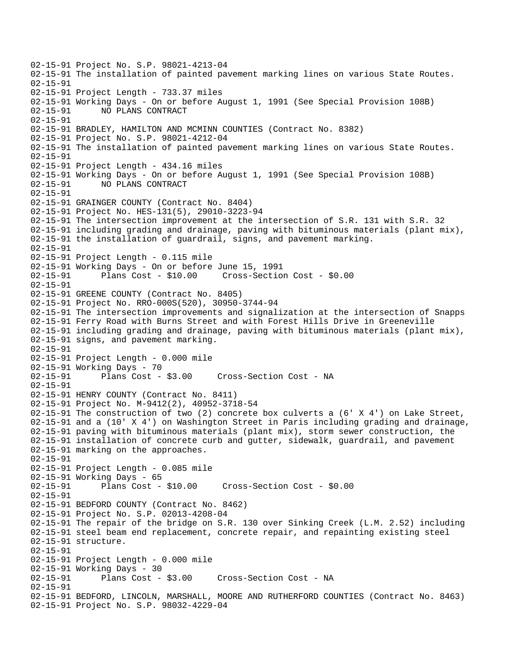02-15-91 Project No. S.P. 98021-4213-04 02-15-91 The installation of painted pavement marking lines on various State Routes. 02-15-91 02-15-91 Project Length - 733.37 miles 02-15-91 Working Days - On or before August 1, 1991 (See Special Provision 108B) 02-15-91 NO PLANS CONTRACT 02-15-91 02-15-91 BRADLEY, HAMILTON AND MCMINN COUNTIES (Contract No. 8382) 02-15-91 Project No. S.P. 98021-4212-04 02-15-91 The installation of painted pavement marking lines on various State Routes. 02-15-91 02-15-91 Project Length - 434.16 miles 02-15-91 Working Days - On or before August 1, 1991 (See Special Provision 108B) 02-15-91 NO PLANS CONTRACT 02-15-91 02-15-91 GRAINGER COUNTY (Contract No. 8404) 02-15-91 Project No. HES-131(5), 29010-3223-94 02-15-91 The intersection improvement at the intersection of S.R. 131 with S.R. 32 02-15-91 including grading and drainage, paving with bituminous materials (plant mix), 02-15-91 the installation of guardrail, signs, and pavement marking. 02-15-91 02-15-91 Project Length - 0.115 mile 02-15-91 Working Days - On or before June 15, 1991 02-15-91 Plans Cost - \$10.00 Cross-Section Cost - \$0.00 02-15-91 02-15-91 GREENE COUNTY (Contract No. 8405) 02-15-91 Project No. RRO-000S(520), 30950-3744-94 02-15-91 The intersection improvements and signalization at the intersection of Snapps 02-15-91 Ferry Road with Burns Street and with Forest Hills Drive in Greeneville 02-15-91 including grading and drainage, paving with bituminous materials (plant mix), 02-15-91 signs, and pavement marking. 02-15-91 02-15-91 Project Length - 0.000 mile 02-15-91 Working Days - 70<br>02-15-91 Plans Cost - \$3.00 Cross-Section Cost - NA 02-15-91 02-15-91 HENRY COUNTY (Contract No. 8411) 02-15-91 Project No. M-9412(2), 40952-3718-54 02-15-91 The construction of two (2) concrete box culverts a (6' X 4') on Lake Street, 02-15-91 and a (10' X 4') on Washington Street in Paris including grading and drainage, 02-15-91 paving with bituminous materials (plant mix), storm sewer construction, the 02-15-91 installation of concrete curb and gutter, sidewalk, guardrail, and pavement 02-15-91 marking on the approaches. 02-15-91 02-15-91 Project Length - 0.085 mile 02-15-91 Working Days - 65 02-15-91 Plans Cost - \$10.00 Cross-Section Cost - \$0.00  $02 - 15 - 91$ 02-15-91 BEDFORD COUNTY (Contract No. 8462) 02-15-91 Project No. S.P. 02013-4208-04 02-15-91 The repair of the bridge on S.R. 130 over Sinking Creek (L.M. 2.52) including 02-15-91 steel beam end replacement, concrete repair, and repainting existing steel 02-15-91 structure. 02-15-91 02-15-91 Project Length - 0.000 mile 02-15-91 Working Days - 30 02-15-91 Plans Cost - \$3.00 Cross-Section Cost - NA 02-15-91 02-15-91 BEDFORD, LINCOLN, MARSHALL, MOORE AND RUTHERFORD COUNTIES (Contract No. 8463) 02-15-91 Project No. S.P. 98032-4229-04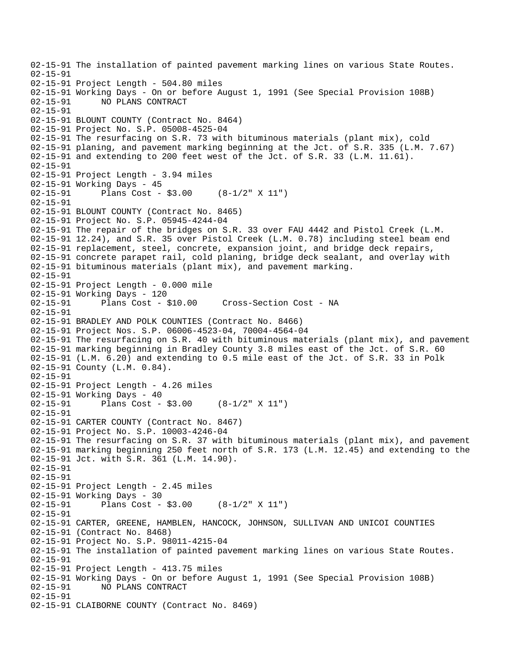```
02-15-91 The installation of painted pavement marking lines on various State Routes. 
02-15-91 
02-15-91 Project Length - 504.80 miles 
02-15-91 Working Days - On or before August 1, 1991 (See Special Provision 108B) 
02-15-91 NO PLANS CONTRACT 
02-15-91 
02-15-91 BLOUNT COUNTY (Contract No. 8464) 
02-15-91 Project No. S.P. 05008-4525-04 
02-15-91 The resurfacing on S.R. 73 with bituminous materials (plant mix), cold 
02-15-91 planing, and pavement marking beginning at the Jct. of S.R. 335 (L.M. 7.67) 
02-15-91 and extending to 200 feet west of the Jct. of S.R. 33 (L.M. 11.61). 
02-15-91 
02-15-91 Project Length - 3.94 miles
02-15-91 Working Days - 45 
02-15-91 Plans Cost - $3.00 (8-1/2" X 11") 
02-15-91 
02-15-91 BLOUNT COUNTY (Contract No. 8465) 
02-15-91 Project No. S.P. 05945-4244-04 
02-15-91 The repair of the bridges on S.R. 33 over FAU 4442 and Pistol Creek (L.M. 
02-15-91 12.24), and S.R. 35 over Pistol Creek (L.M. 0.78) including steel beam end 
02-15-91 replacement, steel, concrete, expansion joint, and bridge deck repairs, 
02-15-91 concrete parapet rail, cold planing, bridge deck sealant, and overlay with 
02-15-91 bituminous materials (plant mix), and pavement marking. 
02-15-91 
02-15-91 Project Length - 0.000 mile 
02-15-91 Working Days - 120 
02-15-91 Plans Cost - $10.00 Cross-Section Cost - NA 
02-15-91 
02-15-91 BRADLEY AND POLK COUNTIES (Contract No. 8466) 
02-15-91 Project Nos. S.P. 06006-4523-04, 70004-4564-04 
02-15-91 The resurfacing on S.R. 40 with bituminous materials (plant mix), and pavement 
02-15-91 marking beginning in Bradley County 3.8 miles east of the Jct. of S.R. 60 
02-15-91 (L.M. 6.20) and extending to 0.5 mile east of the Jct. of S.R. 33 in Polk 
02-15-91 County (L.M. 0.84). 
02-15-91 
02-15-91 Project Length - 4.26 miles 
02-15-91 Working Days - 40 
02-15-91 Plans Cost - $3.00 (8-1/2" X 11") 
02-15-91 
02-15-91 CARTER COUNTY (Contract No. 8467) 
02-15-91 Project No. S.P. 10003-4246-04 
02-15-91 The resurfacing on S.R. 37 with bituminous materials (plant mix), and pavement 
02-15-91 marking beginning 250 feet north of S.R. 173 (L.M. 12.45) and extending to the 
02-15-91 Jct. with S.R. 361 (L.M. 14.90). 
02-15-91 
02-15-91 
02-15-91 Project Length - 2.45 miles
02-15-91 Working Days - 30 
02-15-91 Plans Cost - $3.00 (8-1/2" X 11") 
02-15-91 
02-15-91 CARTER, GREENE, HAMBLEN, HANCOCK, JOHNSON, SULLIVAN AND UNICOI COUNTIES 
02-15-91 (Contract No. 8468) 
02-15-91 Project No. S.P. 98011-4215-04 
02-15-91 The installation of painted pavement marking lines on various State Routes. 
02-15-91 
02-15-91 Project Length - 413.75 miles 
02-15-91 Working Days - On or before August 1, 1991 (See Special Provision 108B)<br>02-15-91     NO PLANS CONTRACT
              02-15-91 NO PLANS CONTRACT 
02-15-91 
02-15-91 CLAIBORNE COUNTY (Contract No. 8469)
```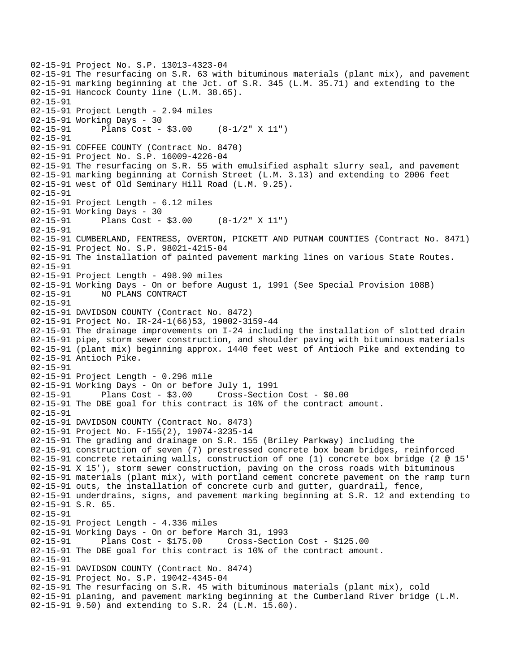```
02-15-91 Project No. S.P. 13013-4323-04 
02-15-91 The resurfacing on S.R. 63 with bituminous materials (plant mix), and pavement 
02-15-91 marking beginning at the Jct. of S.R. 345 (L.M. 35.71) and extending to the 
02-15-91 Hancock County line (L.M. 38.65). 
02-15-91 
02-15-91 Project Length - 2.94 miles 
02-15-91 Working Days - 30 
02-15-91 Plans Cost - $3.00 (8-1/2" X 11") 
02-15-91 
02-15-91 COFFEE COUNTY (Contract No. 8470) 
02-15-91 Project No. S.P. 16009-4226-04 
02-15-91 The resurfacing on S.R. 55 with emulsified asphalt slurry seal, and pavement 
02-15-91 marking beginning at Cornish Street (L.M. 3.13) and extending to 2006 feet 
02-15-91 west of Old Seminary Hill Road (L.M. 9.25). 
02-15-91 
02-15-91 Project Length - 6.12 miles 
02-15-91 Working Days - 30 
02-15-91 Plans Cost - $3.00 (8-1/2" X 11") 
02-15-91 
02-15-91 CUMBERLAND, FENTRESS, OVERTON, PICKETT AND PUTNAM COUNTIES (Contract No. 8471) 
02-15-91 Project No. S.P. 98021-4215-04 
02-15-91 The installation of painted pavement marking lines on various State Routes. 
02-15-91 
02-15-91 Project Length - 498.90 miles 
02-15-91 Working Days - On or before August 1, 1991 (See Special Provision 108B) 
02-15-91 NO PLANS CONTRACT 
02-15-91 
02-15-91 DAVIDSON COUNTY (Contract No. 8472) 
02-15-91 Project No. IR-24-1(66)53, 19002-3159-44 
02-15-91 The drainage improvements on I-24 including the installation of slotted drain 
02-15-91 pipe, storm sewer construction, and shoulder paving with bituminous materials 
02-15-91 (plant mix) beginning approx. 1440 feet west of Antioch Pike and extending to 
02-15-91 Antioch Pike. 
02-15-91 
02-15-91 Project Length - 0.296 mile 
02-15-91 Working Days - On or before July 1, 1991 
02-15-91 Plans Cost - $3.00 Cross-Section Cost - $0.00 
02-15-91 The DBE goal for this contract is 10% of the contract amount. 
02-15-91 
02-15-91 DAVIDSON COUNTY (Contract No. 8473) 
02-15-91 Project No. F-155(2), 19074-3235-14 
02-15-91 The grading and drainage on S.R. 155 (Briley Parkway) including the 
02-15-91 construction of seven (7) prestressed concrete box beam bridges, reinforced 
02-15-91 concrete retaining walls, construction of one (1) concrete box bridge (2 @ 15' 
02-15-91 X 15'), storm sewer construction, paving on the cross roads with bituminous 
02-15-91 materials (plant mix), with portland cement concrete pavement on the ramp turn 
02-15-91 outs, the installation of concrete curb and gutter, guardrail, fence, 
02-15-91 underdrains, signs, and pavement marking beginning at S.R. 12 and extending to 
02-15-91 S.R. 65. 
02-15-91 
02-15-91 Project Length - 4.336 miles 
02-15-91 Working Days - On or before March 31, 1993 
02-15-91 Plans Cost - $175.00 Cross-Section Cost - $125.00 
02-15-91 The DBE goal for this contract is 10% of the contract amount. 
02-15-91 
02-15-91 DAVIDSON COUNTY (Contract No. 8474) 
02-15-91 Project No. S.P. 19042-4345-04 
02-15-91 The resurfacing on S.R. 45 with bituminous materials (plant mix), cold 
02-15-91 planing, and pavement marking beginning at the Cumberland River bridge (L.M. 
02-15-91 9.50) and extending to S.R. 24 (L.M. 15.60).
```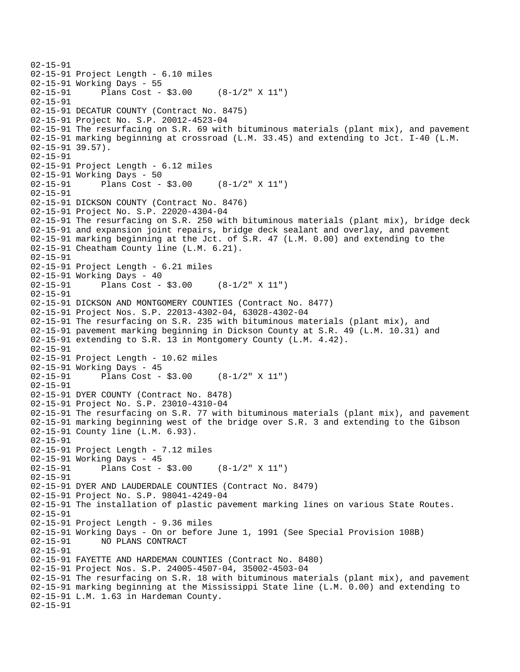```
02-15-91 
02-15-91 Project Length - 6.10 miles 
02-15-91 Working Days - 55 
02-15-91 Plans Cost - $3.00 (8-1/2" X 11") 
02-15-91 
02-15-91 DECATUR COUNTY (Contract No. 8475) 
02-15-91 Project No. S.P. 20012-4523-04 
02-15-91 The resurfacing on S.R. 69 with bituminous materials (plant mix), and pavement 
02-15-91 marking beginning at crossroad (L.M. 33.45) and extending to Jct. I-40 (L.M. 
02-15-91 39.57). 
02-15-91 
02-15-91 Project Length - 6.12 miles 
02-15-91 Working Days - 50 
02-15-91 Plans Cost - $3.00 (8-1/2" X 11") 
02-15-91 
02-15-91 DICKSON COUNTY (Contract No. 8476) 
02-15-91 Project No. S.P. 22020-4304-04 
02-15-91 The resurfacing on S.R. 250 with bituminous materials (plant mix), bridge deck 
02-15-91 and expansion joint repairs, bridge deck sealant and overlay, and pavement 
02-15-91 marking beginning at the Jct. of S.R. 47 (L.M. 0.00) and extending to the 
02-15-91 Cheatham County line (L.M. 6.21). 
02-15-91 
02-15-91 Project Length - 6.21 miles 
02-15-91 Working Days - 40<br>02-15-91 Plans Cost -
              Plans Cost - $3.00 (8-1/2" X 11")
02-15-91 
02-15-91 DICKSON AND MONTGOMERY COUNTIES (Contract No. 8477) 
02-15-91 Project Nos. S.P. 22013-4302-04, 63028-4302-04 
02-15-91 The resurfacing on S.R. 235 with bituminous materials (plant mix), and 
02-15-91 pavement marking beginning in Dickson County at S.R. 49 (L.M. 10.31) and 
02-15-91 extending to S.R. 13 in Montgomery County (L.M. 4.42). 
02-15-91 
02-15-91 Project Length - 10.62 miles 
02-15-91 Working Days - 45<br>02-15-91 Plans Cost -
              Plans Cost - $3.00 (8-1/2" X 11")
02-15-91 
02-15-91 DYER COUNTY (Contract No. 8478) 
02-15-91 Project No. S.P. 23010-4310-04 
02-15-91 The resurfacing on S.R. 77 with bituminous materials (plant mix), and pavement 
02-15-91 marking beginning west of the bridge over S.R. 3 and extending to the Gibson 
02-15-91 County line (L.M. 6.93). 
02-15-91 
02-15-91 Project Length - 7.12 miles
02-15-91 Working Days - 45 
02-15-91 Plans Cost - $3.00 (8-1/2" X 11") 
02-15-91 
02-15-91 DYER AND LAUDERDALE COUNTIES (Contract No. 8479) 
02-15-91 Project No. S.P. 98041-4249-04 
02-15-91 The installation of plastic pavement marking lines on various State Routes. 
02-15-91 
02-15-91 Project Length - 9.36 miles 
02-15-91 Working Days - On or before June 1, 1991 (See Special Provision 108B) 
02-15-91 NO PLANS CONTRACT 
02-15-91 
02-15-91 FAYETTE AND HARDEMAN COUNTIES (Contract No. 8480) 
02-15-91 Project Nos. S.P. 24005-4507-04, 35002-4503-04 
02-15-91 The resurfacing on S.R. 18 with bituminous materials (plant mix), and pavement 
02-15-91 marking beginning at the Mississippi State line (L.M. 0.00) and extending to 
02-15-91 L.M. 1.63 in Hardeman County. 
02-15-91
```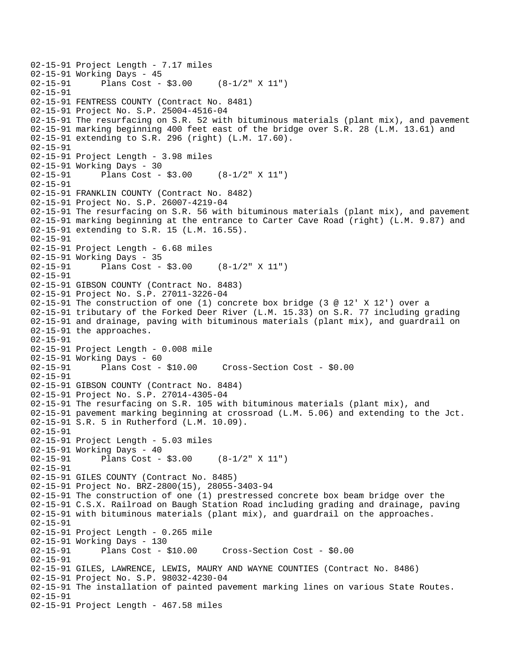```
02-15-91 Project Length - 7.17 miles
02-15-91 Working Days - 45<br>02-15-91 Plans Cost -
              Plans Cost - $3.00 (8-1/2" X 11")
02-15-91 
02-15-91 FENTRESS COUNTY (Contract No. 8481) 
02-15-91 Project No. S.P. 25004-4516-04 
02-15-91 The resurfacing on S.R. 52 with bituminous materials (plant mix), and pavement 
02-15-91 marking beginning 400 feet east of the bridge over S.R. 28 (L.M. 13.61) and 
02-15-91 extending to S.R. 296 (right) (L.M. 17.60). 
02-15-91 
02-15-91 Project Length - 3.98 miles 
02-15-91 Working Days - 30 
02-15-91 Plans Cost - $3.00 (8-1/2" X 11") 
02-15-91 
02-15-91 FRANKLIN COUNTY (Contract No. 8482) 
02-15-91 Project No. S.P. 26007-4219-04 
02-15-91 The resurfacing on S.R. 56 with bituminous materials (plant mix), and pavement 
02-15-91 marking beginning at the entrance to Carter Cave Road (right) (L.M. 9.87) and
02-15-91 extending to S.R. 15 (L.M. 16.55). 
02-15-91 
02-15-91 Project Length - 6.68 miles 
02-15-91 Working Days - 35 
02-15-91 Plans Cost - $3.00 (8-1/2" X 11") 
02-15-91 
02-15-91 GIBSON COUNTY (Contract No. 8483) 
02-15-91 Project No. S.P. 27011-3226-04 
02-15-91 The construction of one (1) concrete box bridge (3 @ 12' X 12') over a 
02-15-91 tributary of the Forked Deer River (L.M. 15.33) on S.R. 77 including grading 
02-15-91 and drainage, paving with bituminous materials (plant mix), and guardrail on 
02-15-91 the approaches. 
02-15-91 
02-15-91 Project Length - 0.008 mile 
02-15-91 Working Days - 60 
02-15-91 Plans Cost - $10.00 Cross-Section Cost - $0.00 
02-15-91 
02-15-91 GIBSON COUNTY (Contract No. 8484) 
02-15-91 Project No. S.P. 27014-4305-04 
02-15-91 The resurfacing on S.R. 105 with bituminous materials (plant mix), and 
02-15-91 pavement marking beginning at crossroad (L.M. 5.06) and extending to the Jct. 
02-15-91 S.R. 5 in Rutherford (L.M. 10.09). 
02-15-91 
02-15-91 Project Length - 5.03 miles 
02-15-91 Working Days - 40 
02-15-91 Plans Cost - $3.00 (8-1/2" X 11") 
02-15-91 
02-15-91 GILES COUNTY (Contract No. 8485) 
02-15-91 Project No. BRZ-2800(15), 28055-3403-94 
02-15-91 The construction of one (1) prestressed concrete box beam bridge over the 
02-15-91 C.S.X. Railroad on Baugh Station Road including grading and drainage, paving 
02-15-91 with bituminous materials (plant mix), and guardrail on the approaches. 
02-15-91 
02-15-91 Project Length - 0.265 mile 
02-15-91 Working Days - 130 
02-15-91 Plans Cost - $10.00 Cross-Section Cost - $0.00 
02-15-91 
02-15-91 GILES, LAWRENCE, LEWIS, MAURY AND WAYNE COUNTIES (Contract No. 8486) 
02-15-91 Project No. S.P. 98032-4230-04 
02-15-91 The installation of painted pavement marking lines on various State Routes. 
02-15-91 
02-15-91 Project Length - 467.58 miles
```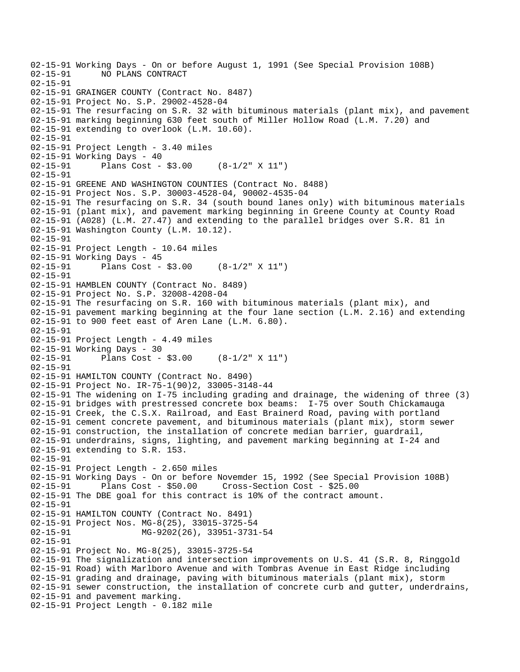```
02-15-91 Working Days - On or before August 1, 1991 (See Special Provision 108B)<br>02-15-91     NO PLANS CONTRACT
              02-15-91 NO PLANS CONTRACT 
02-15-91 
02-15-91 GRAINGER COUNTY (Contract No. 8487) 
02-15-91 Project No. S.P. 29002-4528-04 
02-15-91 The resurfacing on S.R. 32 with bituminous materials (plant mix), and pavement 
02-15-91 marking beginning 630 feet south of Miller Hollow Road (L.M. 7.20) and 
02-15-91 extending to overlook (L.M. 10.60). 
02-15-91 
02-15-91 Project Length - 3.40 miles
02-15-91 Working Days - 40 
02-15-91 Plans Cost - $3.00 (8-1/2" X 11") 
02-15-91 
02-15-91 GREENE AND WASHINGTON COUNTIES (Contract No. 8488) 
02-15-91 Project Nos. S.P. 30003-4528-04, 90002-4535-04 
02-15-91 The resurfacing on S.R. 34 (south bound lanes only) with bituminous materials 
02-15-91 (plant mix), and pavement marking beginning in Greene County at County Road 
02-15-91 (A028) (L.M. 27.47) and extending to the parallel bridges over S.R. 81 in 
02-15-91 Washington County (L.M. 10.12). 
02-15-91 
02-15-91 Project Length - 10.64 miles 
02-15-91 Working Days - 45 
02-15-91 Plans Cost - $3.00 (8-1/2" X 11") 
02-15-91 
02-15-91 HAMBLEN COUNTY (Contract No. 8489) 
02-15-91 Project No. S.P. 32008-4208-04 
02-15-91 The resurfacing on S.R. 160 with bituminous materials (plant mix), and 
02-15-91 pavement marking beginning at the four lane section (L.M. 2.16) and extending 
02-15-91 to 900 feet east of Aren Lane (L.M. 6.80). 
02-15-91 
02-15-91 Project Length - 4.49 miles 
02-15-91 Working Days - 30<br>02-15-91 Plans Cost -
              Plans Cost - $3.00 (8-1/2" X 11")
02-15-91 
02-15-91 HAMILTON COUNTY (Contract No. 8490) 
02-15-91 Project No. IR-75-1(90)2, 33005-3148-44 
02-15-91 The widening on I-75 including grading and drainage, the widening of three (3) 
02-15-91 bridges with prestressed concrete box beams: I-75 over South Chickamauga 
02-15-91 Creek, the C.S.X. Railroad, and East Brainerd Road, paving with portland 
02-15-91 cement concrete pavement, and bituminous materials (plant mix), storm sewer 
02-15-91 construction, the installation of concrete median barrier, guardrail, 
02-15-91 underdrains, signs, lighting, and pavement marking beginning at I-24 and 
02-15-91 extending to S.R. 153. 
02-15-91 
02-15-91 Project Length - 2.650 miles 
02-15-91 Working Days - On or before Novemder 15, 1992 (See Special Provision 108B) 
02-15-91 Plans Cost - $50.00 Cross-Section Cost - $25.00 
02-15-91 The DBE goal for this contract is 10% of the contract amount. 
02-15-91 
02-15-91 HAMILTON COUNTY (Contract No. 8491) 
02-15-91 Project Nos. MG-8(25), 33015-3725-54 
02-15-91 MG-9202(26), 33951-3731-54
02-15-91 
02-15-91 Project No. MG-8(25), 33015-3725-54 
02-15-91 The signalization and intersection improvements on U.S. 41 (S.R. 8, Ringgold 
02-15-91 Road) with Marlboro Avenue and with Tombras Avenue in East Ridge including 
02-15-91 grading and drainage, paving with bituminous materials (plant mix), storm 
02-15-91 sewer construction, the installation of concrete curb and gutter, underdrains, 
02-15-91 and pavement marking. 
02-15-91 Project Length - 0.182 mile
```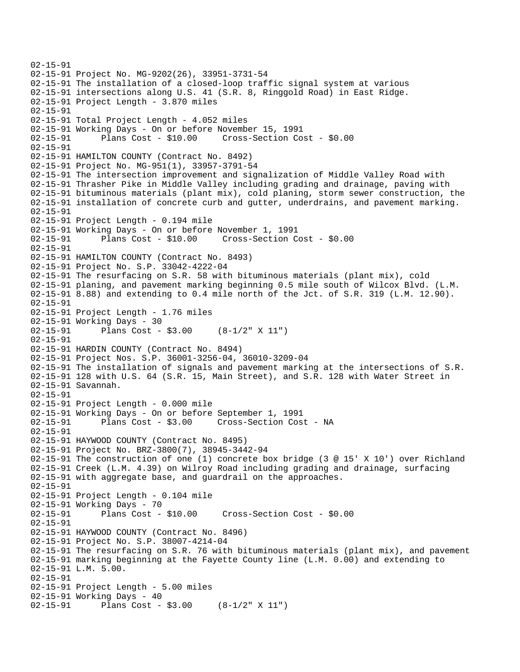```
02-15-91 
02-15-91 Project No. MG-9202(26), 33951-3731-54 
02-15-91 The installation of a closed-loop traffic signal system at various 
02-15-91 intersections along U.S. 41 (S.R. 8, Ringgold Road) in East Ridge. 
02-15-91 Project Length - 3.870 miles 
02-15-91 
02-15-91 Total Project Length - 4.052 miles 
02-15-91 Working Days - On or before November 15, 1991 
02-15-91 Plans Cost - $10.00 Cross-Section Cost - $0.00 
02-15-91 
02-15-91 HAMILTON COUNTY (Contract No. 8492) 
02-15-91 Project No. MG-951(1), 33957-3791-54 
02-15-91 The intersection improvement and signalization of Middle Valley Road with 
02-15-91 Thrasher Pike in Middle Valley including grading and drainage, paving with 
02-15-91 bituminous materials (plant mix), cold planing, storm sewer construction, the 
02-15-91 installation of concrete curb and gutter, underdrains, and pavement marking. 
02-15-91 
02-15-91 Project Length - 0.194 mile 
02-15-91 Working Days - On or before November 1, 1991 
02-15-91 Plans Cost - $10.00 Cross-Section Cost - $0.00 
02-15-91 
02-15-91 HAMILTON COUNTY (Contract No. 8493) 
02-15-91 Project No. S.P. 33042-4222-04 
02-15-91 The resurfacing on S.R. 58 with bituminous materials (plant mix), cold 
02-15-91 planing, and pavement marking beginning 0.5 mile south of Wilcox Blvd. (L.M. 
02-15-91 8.88) and extending to 0.4 mile north of the Jct. of S.R. 319 (L.M. 12.90). 
02-15-91 
02-15-91 Project Length - 1.76 miles
02-15-91 Working Days - 30 
02-15-91 Plans Cost - $3.00 (8-1/2" X 11") 
02-15-91 
02-15-91 HARDIN COUNTY (Contract No. 8494) 
02-15-91 Project Nos. S.P. 36001-3256-04, 36010-3209-04 
02-15-91 The installation of signals and pavement marking at the intersections of S.R. 
02-15-91 128 with U.S. 64 (S.R. 15, Main Street), and S.R. 128 with Water Street in 
02-15-91 Savannah. 
02-15-91 
02-15-91 Project Length - 0.000 mile 
02-15-91 Working Days - On or before September 1, 1991 
02-15-91 Plans Cost - $3.00 Cross-Section Cost - NA 
02-15-91 
02-15-91 HAYWOOD COUNTY (Contract No. 8495) 
02-15-91 Project No. BRZ-3800(7), 38945-3442-94 
02-15-91 The construction of one (1) concrete box bridge (3 @ 15' X 10') over Richland 
02-15-91 Creek (L.M. 4.39) on Wilroy Road including grading and drainage, surfacing 
02-15-91 with aggregate base, and guardrail on the approaches. 
02-15-91 
02-15-91 Project Length - 0.104 mile 
02-15-91 Working Days - 70 
02-15-91 Plans Cost - $10.00 Cross-Section Cost - $0.00 
02-15-91 
02-15-91 HAYWOOD COUNTY (Contract No. 8496) 
02-15-91 Project No. S.P. 38007-4214-04 
02-15-91 The resurfacing on S.R. 76 with bituminous materials (plant mix), and pavement 
02-15-91 marking beginning at the Fayette County line (L.M. 0.00) and extending to 
02-15-91 L.M. 5.00. 
02-15-91 
02-15-91 Project Length - 5.00 miles 
02-15-91 Working Days - 40 
02-15-91 Plans Cost - $3.00 (8-1/2" X 11")
```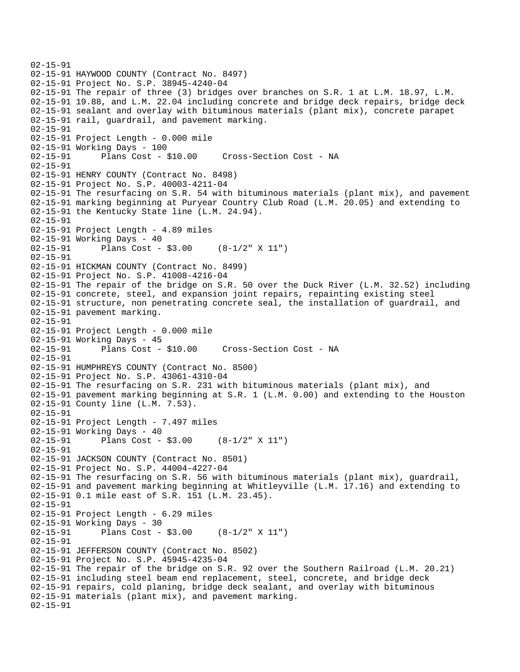```
02-15-91 
02-15-91 HAYWOOD COUNTY (Contract No. 8497) 
02-15-91 Project No. S.P. 38945-4240-04 
02-15-91 The repair of three (3) bridges over branches on S.R. 1 at L.M. 18.97, L.M. 
02-15-91 19.88, and L.M. 22.04 including concrete and bridge deck repairs, bridge deck 
02-15-91 sealant and overlay with bituminous materials (plant mix), concrete parapet 
02-15-91 rail, guardrail, and pavement marking. 
02-15-91 
02-15-91 Project Length - 0.000 mile 
02-15-91 Working Days - 100 
02-15-91 Plans Cost - $10.00 Cross-Section Cost - NA 
02-15-91 
02-15-91 HENRY COUNTY (Contract No. 8498) 
02-15-91 Project No. S.P. 40003-4211-04 
02-15-91 The resurfacing on S.R. 54 with bituminous materials (plant mix), and pavement 
02-15-91 marking beginning at Puryear Country Club Road (L.M. 20.05) and extending to 
02-15-91 the Kentucky State line (L.M. 24.94). 
02-15-91 
02-15-91 Project Length - 4.89 miles 
02-15-91 Working Days - 40 
02-15-91 Plans Cost - $3.00 (8-1/2" X 11") 
02-15-91 
02-15-91 HICKMAN COUNTY (Contract No. 8499) 
02-15-91 Project No. S.P. 41008-4216-04 
02-15-91 The repair of the bridge on S.R. 50 over the Duck River (L.M. 32.52) including 
02-15-91 concrete, steel, and expansion joint repairs, repainting existing steel 
02-15-91 structure, non penetrating concrete seal, the installation of guardrail, and 
02-15-91 pavement marking. 
02-15-91 
02-15-91 Project Length - 0.000 mile 
02-15-91 Working Days - 45 
02-15-91 Plans Cost - $10.00 Cross-Section Cost - NA 
02-15-91 
02-15-91 HUMPHREYS COUNTY (Contract No. 8500) 
02-15-91 Project No. S.P. 43061-4310-04 
02-15-91 The resurfacing on S.R. 231 with bituminous materials (plant mix), and 
02-15-91 pavement marking beginning at S.R. 1 (L.M. 0.00) and extending to the Houston 
02-15-91 County line (L.M. 7.53). 
02-15-91 
02-15-91 Project Length - 7.497 miles 
02-15-91 Working Days - 40 
02-15-91 Plans Cost - $3.00 (8-1/2" X 11") 
02-15-91 
02-15-91 JACKSON COUNTY (Contract No. 8501) 
02-15-91 Project No. S.P. 44004-4227-04 
02-15-91 The resurfacing on S.R. 56 with bituminous materials (plant mix), guardrail, 
02-15-91 and pavement marking beginning at Whitleyville (L.M. 17.16) and extending to 
02-15-91 0.1 mile east of S.R. 151 (L.M. 23.45). 
02-15-91 
02-15-91 Project Length - 6.29 miles 
02-15-91 Working Days - 30 
02-15-91 Plans Cost - $3.00 (8-1/2" X 11") 
02-15-91 
02-15-91 JEFFERSON COUNTY (Contract No. 8502) 
02-15-91 Project No. S.P. 45945-4235-04 
02-15-91 The repair of the bridge on S.R. 92 over the Southern Railroad (L.M. 20.21) 
02-15-91 including steel beam end replacement, steel, concrete, and bridge deck 
02-15-91 repairs, cold planing, bridge deck sealant, and overlay with bituminous 
02-15-91 materials (plant mix), and pavement marking. 
02-15-91
```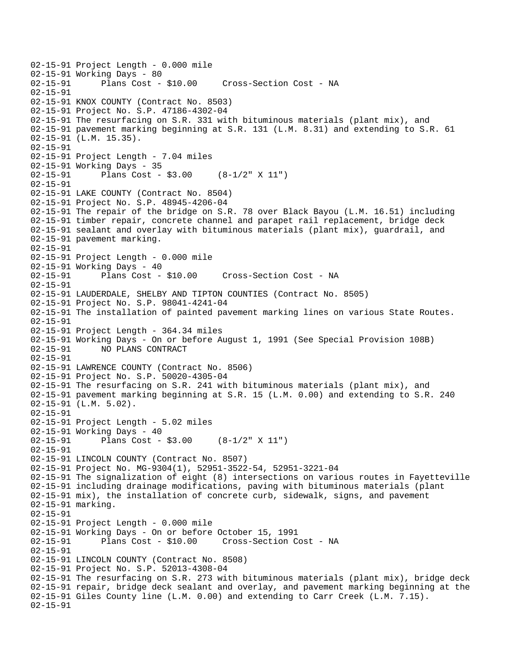```
02-15-91 Project Length - 0.000 mile 
02-15-91 Working Days - 80<br>02-15-91 Plans Cost -
              Plans Cost - $10.00 Cross-Section Cost - NA
02-15-91 
02-15-91 KNOX COUNTY (Contract No. 8503) 
02-15-91 Project No. S.P. 47186-4302-04 
02-15-91 The resurfacing on S.R. 331 with bituminous materials (plant mix), and 
02-15-91 pavement marking beginning at S.R. 131 (L.M. 8.31) and extending to S.R. 61 
02-15-91 (L.M. 15.35). 
02-15-91 
02-15-91 Project Length - 7.04 miles 
02-15-91 Working Days - 35 
02-15-91 Plans Cost - $3.00 (8-1/2" X 11") 
02-15-91 
02-15-91 LAKE COUNTY (Contract No. 8504) 
02-15-91 Project No. S.P. 48945-4206-04 
02-15-91 The repair of the bridge on S.R. 78 over Black Bayou (L.M. 16.51) including 
02-15-91 timber repair, concrete channel and parapet rail replacement, bridge deck 
02-15-91 sealant and overlay with bituminous materials (plant mix), guardrail, and 
02-15-91 pavement marking. 
02-15-91 
02-15-91 Project Length - 0.000 mile 
02-15-91 Working Days - 40 
02-15-91 Plans Cost - $10.00 Cross-Section Cost - NA 
02-15-91 
02-15-91 LAUDERDALE, SHELBY AND TIPTON COUNTIES (Contract No. 8505) 
02-15-91 Project No. S.P. 98041-4241-04 
02-15-91 The installation of painted pavement marking lines on various State Routes. 
02-15-91 
02-15-91 Project Length - 364.34 miles 
02-15-91 Working Days - On or before August 1, 1991 (See Special Provision 108B) 
02-15-91 NO PLANS CONTRACT 
02-15-91 
02-15-91 LAWRENCE COUNTY (Contract No. 8506) 
02-15-91 Project No. S.P. 50020-4305-04 
02-15-91 The resurfacing on S.R. 241 with bituminous materials (plant mix), and 
02-15-91 pavement marking beginning at S.R. 15 (L.M. 0.00) and extending to S.R. 240 
02-15-91 (L.M. 5.02). 
02-15-91 
02-15-91 Project Length - 5.02 miles 
02-15-91 Working Days - 40 
02-15-91 Plans Cost - $3.00 (8-1/2" X 11") 
02-15-91 
02-15-91 LINCOLN COUNTY (Contract No. 8507) 
02-15-91 Project No. MG-9304(1), 52951-3522-54, 52951-3221-04 
02-15-91 The signalization of eight (8) intersections on various routes in Fayetteville 
02-15-91 including drainage modifications, paving with bituminous materials (plant 
02-15-91 mix), the installation of concrete curb, sidewalk, signs, and pavement 
02-15-91 marking. 
02-15-91 
02-15-91 Project Length - 0.000 mile 
02-15-91 Working Days - On or before October 15, 1991 
02-15-91 Plans Cost - $10.00 Cross-Section Cost - NA 
02-15-91 
02-15-91 LINCOLN COUNTY (Contract No. 8508) 
02-15-91 Project No. S.P. 52013-4308-04 
02-15-91 The resurfacing on S.R. 273 with bituminous materials (plant mix), bridge deck 
02-15-91 repair, bridge deck sealant and overlay, and pavement marking beginning at the 
02-15-91 Giles County line (L.M. 0.00) and extending to Carr Creek (L.M. 7.15). 
02-15-91
```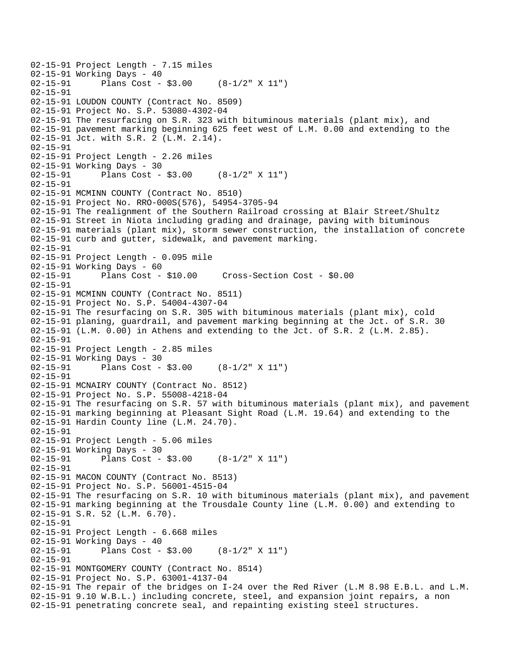```
02-15-91 Project Length - 7.15 miles
02-15-91 Working Days - 40<br>02-15-91 Plans Cost -
              Plans Cost - $3.00 (8-1/2" X 11")
02-15-91 
02-15-91 LOUDON COUNTY (Contract No. 8509) 
02-15-91 Project No. S.P. 53080-4302-04 
02-15-91 The resurfacing on S.R. 323 with bituminous materials (plant mix), and 
02-15-91 pavement marking beginning 625 feet west of L.M. 0.00 and extending to the 
02-15-91 Jct. with S.R. 2 (L.M. 2.14). 
02-15-91 
02-15-91 Project Length - 2.26 miles 
02-15-91 Working Days - 30 
02-15-91 Plans Cost - $3.00 (8-1/2" X 11") 
02-15-91 
02-15-91 MCMINN COUNTY (Contract No. 8510) 
02-15-91 Project No. RRO-000S(576), 54954-3705-94 
02-15-91 The realignment of the Southern Railroad crossing at Blair Street/Shultz 
02-15-91 Street in Niota including grading and drainage, paving with bituminous 
02-15-91 materials (plant mix), storm sewer construction, the installation of concrete 
02-15-91 curb and gutter, sidewalk, and pavement marking. 
02-15-91 
02-15-91 Project Length - 0.095 mile 
02-15-91 Working Days - 60 
02-15-91 Plans Cost - $10.00 Cross-Section Cost - $0.00 
02-15-91 
02-15-91 MCMINN COUNTY (Contract No. 8511) 
02-15-91 Project No. S.P. 54004-4307-04 
02-15-91 The resurfacing on S.R. 305 with bituminous materials (plant mix), cold 
02-15-91 planing, guardrail, and pavement marking beginning at the Jct. of S.R. 30 
02-15-91 (L.M. 0.00) in Athens and extending to the Jct. of S.R. 2 (L.M. 2.85). 
02-15-91 
02-15-91 Project Length - 2.85 miles
02-15-91 Working Days - 30 
02-15-91 Plans Cost - $3.00 (8-1/2" X 11") 
02-15-91 
02-15-91 MCNAIRY COUNTY (Contract No. 8512) 
02-15-91 Project No. S.P. 55008-4218-04 
02-15-91 The resurfacing on S.R. 57 with bituminous materials (plant mix), and pavement 
02-15-91 marking beginning at Pleasant Sight Road (L.M. 19.64) and extending to the 
02-15-91 Hardin County line (L.M. 24.70). 
02-15-91 
02-15-91 Project Length - 5.06 miles 
02-15-91 Working Days - 30 
02-15-91 Plans Cost - $3.00 (8-1/2" X 11") 
02-15-91 
02-15-91 MACON COUNTY (Contract No. 8513) 
02-15-91 Project No. S.P. 56001-4515-04 
02-15-91 The resurfacing on S.R. 10 with bituminous materials (plant mix), and pavement 
02-15-91 marking beginning at the Trousdale County line (L.M. 0.00) and extending to 
02-15-91 S.R. 52 (L.M. 6.70). 
02-15-91 
02-15-91 Project Length - 6.668 miles 
02-15-91 Working Days - 40 
02-15-91 Plans Cost - $3.00 (8-1/2" X 11") 
02-15-91 
02-15-91 MONTGOMERY COUNTY (Contract No. 8514) 
02-15-91 Project No. S.P. 63001-4137-04 
02-15-91 The repair of the bridges on I-24 over the Red River (L.M 8.98 E.B.L. and L.M. 
02-15-91 9.10 W.B.L.) including concrete, steel, and expansion joint repairs, a non 
02-15-91 penetrating concrete seal, and repainting existing steel structures.
```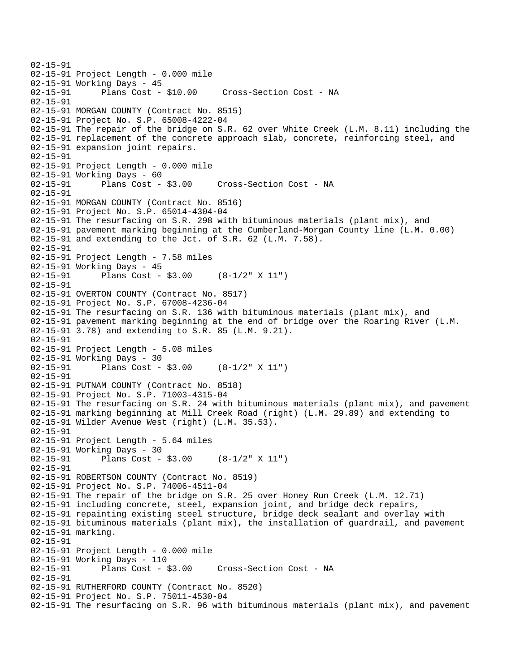```
02-15-91 
02-15-91 Project Length - 0.000 mile 
02-15-91 Working Days - 45 
02-15-91 Plans Cost - $10.00 Cross-Section Cost - NA 
02-15-91 
02-15-91 MORGAN COUNTY (Contract No. 8515) 
02-15-91 Project No. S.P. 65008-4222-04 
02-15-91 The repair of the bridge on S.R. 62 over White Creek (L.M. 8.11) including the 
02-15-91 replacement of the concrete approach slab, concrete, reinforcing steel, and 
02-15-91 expansion joint repairs. 
02-15-91 
02-15-91 Project Length - 0.000 mile 
02-15-91 Working Days - 60<br>02-15-91 Plans Cost - $3.00
02-15-91 Plans Cost - $3.00 Cross-Section Cost - NA 
02-15-91 
02-15-91 MORGAN COUNTY (Contract No. 8516) 
02-15-91 Project No. S.P. 65014-4304-04 
02-15-91 The resurfacing on S.R. 298 with bituminous materials (plant mix), and 
02-15-91 pavement marking beginning at the Cumberland-Morgan County line (L.M. 0.00) 
02-15-91 and extending to the Jct. of S.R. 62 (L.M. 7.58).
02-15-91 
02-15-91 Project Length - 7.58 miles 
02-15-91 Working Days - 45 
02-15-91 Plans Cost - $3.00 (8-1/2" X 11") 
02-15-91 
02-15-91 OVERTON COUNTY (Contract No. 8517) 
02-15-91 Project No. S.P. 67008-4236-04 
02-15-91 The resurfacing on S.R. 136 with bituminous materials (plant mix), and 
02-15-91 pavement marking beginning at the end of bridge over the Roaring River (L.M. 
02-15-91 3.78) and extending to S.R. 85 (L.M. 9.21). 
02-15-91 
02-15-91 Project Length - 5.08 miles 
02-15-91 Working Days - 30 
02-15-91 Plans Cost - $3.00 (8-1/2" X 11") 
02-15-91 
02-15-91 PUTNAM COUNTY (Contract No. 8518) 
02-15-91 Project No. S.P. 71003-4315-04 
02-15-91 The resurfacing on S.R. 24 with bituminous materials (plant mix), and pavement 
02-15-91 marking beginning at Mill Creek Road (right) (L.M. 29.89) and extending to 
02-15-91 Wilder Avenue West (right) (L.M. 35.53). 
02-15-91 
02-15-91 Project Length - 5.64 miles 
02-15-91 Working Days - 30 
02-15-91 Plans Cost - $3.00 (8-1/2" X 11") 
02-15-91 
02-15-91 ROBERTSON COUNTY (Contract No. 8519) 
02-15-91 Project No. S.P. 74006-4511-04 
02-15-91 The repair of the bridge on S.R. 25 over Honey Run Creek (L.M. 12.71) 
02-15-91 including concrete, steel, expansion joint, and bridge deck repairs, 
02-15-91 repainting existing steel structure, bridge deck sealant and overlay with 
02-15-91 bituminous materials (plant mix), the installation of guardrail, and pavement 
02-15-91 marking. 
02-15-91 
02-15-91 Project Length - 0.000 mile 
02-15-91 Working Days - 110<br>02-15-91        Plans Cost - $3.00
02-15-91 Plans Cost - $3.00 Cross-Section Cost - NA 
02-15-91 
02-15-91 RUTHERFORD COUNTY (Contract No. 8520) 
02-15-91 Project No. S.P. 75011-4530-04 
02-15-91 The resurfacing on S.R. 96 with bituminous materials (plant mix), and pavement
```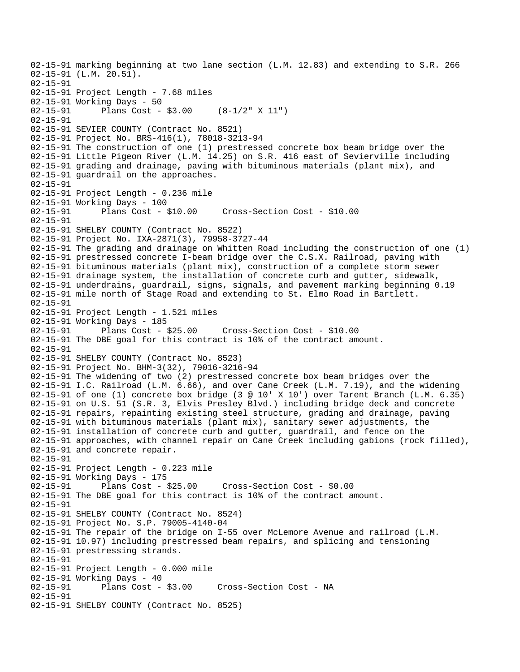02-15-91 marking beginning at two lane section (L.M. 12.83) and extending to S.R. 266 02-15-91 (L.M. 20.51). 02-15-91 02-15-91 Project Length - 7.68 miles 02-15-91 Working Days - 50 02-15-91 Plans Cost - \$3.00 (8-1/2" X 11") 02-15-91 02-15-91 SEVIER COUNTY (Contract No. 8521) 02-15-91 Project No. BRS-416(1), 78018-3213-94 02-15-91 The construction of one (1) prestressed concrete box beam bridge over the 02-15-91 Little Pigeon River (L.M. 14.25) on S.R. 416 east of Sevierville including 02-15-91 grading and drainage, paving with bituminous materials (plant mix), and 02-15-91 guardrail on the approaches. 02-15-91 02-15-91 Project Length - 0.236 mile 02-15-91 Working Days - 100 02-15-91 Plans Cost - \$10.00 Cross-Section Cost - \$10.00 02-15-91 02-15-91 SHELBY COUNTY (Contract No. 8522) 02-15-91 Project No. IXA-2871(3), 79958-3727-44 02-15-91 The grading and drainage on Whitten Road including the construction of one (1) 02-15-91 prestressed concrete I-beam bridge over the C.S.X. Railroad, paving with 02-15-91 bituminous materials (plant mix), construction of a complete storm sewer 02-15-91 drainage system, the installation of concrete curb and gutter, sidewalk, 02-15-91 underdrains, guardrail, signs, signals, and pavement marking beginning 0.19 02-15-91 mile north of Stage Road and extending to St. Elmo Road in Bartlett. 02-15-91 02-15-91 Project Length - 1.521 miles 02-15-91 Working Days - 185 02-15-91 Plans Cost - \$25.00 Cross-Section Cost - \$10.00 02-15-91 The DBE goal for this contract is 10% of the contract amount. 02-15-91 02-15-91 SHELBY COUNTY (Contract No. 8523) 02-15-91 Project No. BHM-3(32), 79016-3216-94 02-15-91 The widening of two (2) prestressed concrete box beam bridges over the 02-15-91 I.C. Railroad (L.M. 6.66), and over Cane Creek (L.M. 7.19), and the widening 02-15-91 of one (1) concrete box bridge (3 @ 10' X 10') over Tarent Branch (L.M. 6.35) 02-15-91 on U.S. 51 (S.R. 3, Elvis Presley Blvd.) including bridge deck and concrete 02-15-91 repairs, repainting existing steel structure, grading and drainage, paving 02-15-91 with bituminous materials (plant mix), sanitary sewer adjustments, the 02-15-91 installation of concrete curb and gutter, guardrail, and fence on the 02-15-91 approaches, with channel repair on Cane Creek including gabions (rock filled), 02-15-91 and concrete repair. 02-15-91 02-15-91 Project Length - 0.223 mile 02-15-91 Working Days - 175 02-15-91 Plans Cost - \$25.00 Cross-Section Cost - \$0.00 02-15-91 The DBE goal for this contract is 10% of the contract amount. 02-15-91 02-15-91 SHELBY COUNTY (Contract No. 8524) 02-15-91 Project No. S.P. 79005-4140-04 02-15-91 The repair of the bridge on I-55 over McLemore Avenue and railroad (L.M. 02-15-91 10.97) including prestressed beam repairs, and splicing and tensioning 02-15-91 prestressing strands. 02-15-91 02-15-91 Project Length - 0.000 mile 02-15-91 Working Days - 40<br>02-15-91 Plans Cost - \$3.00 Cross-Section Cost - NA 02-15-91 02-15-91 SHELBY COUNTY (Contract No. 8525)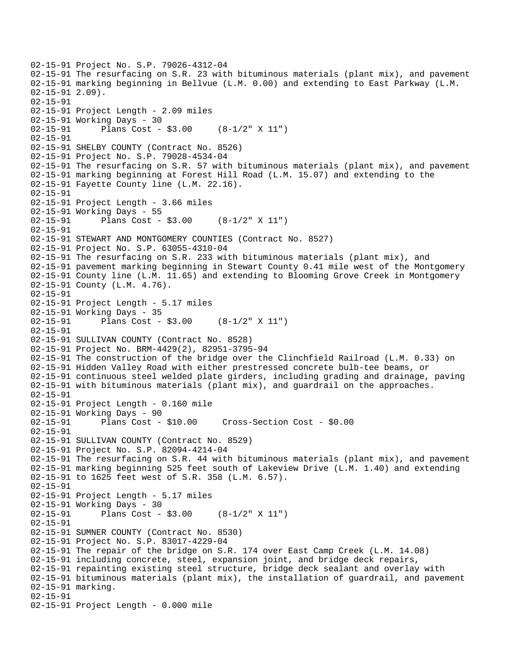```
02-15-91 Project No. S.P. 79026-4312-04 
02-15-91 The resurfacing on S.R. 23 with bituminous materials (plant mix), and pavement 
02-15-91 marking beginning in Bellvue (L.M. 0.00) and extending to East Parkway (L.M. 
02-15-91 2.09). 
02-15-91 
02-15-91 Project Length - 2.09 miles 
02-15-91 Working Days - 30 
02-15-91 Plans Cost - $3.00 (8-1/2" X 11") 
02-15-91 
02-15-91 SHELBY COUNTY (Contract No. 8526) 
02-15-91 Project No. S.P. 79028-4534-04 
02-15-91 The resurfacing on S.R. 57 with bituminous materials (plant mix), and pavement 
02-15-91 marking beginning at Forest Hill Road (L.M. 15.07) and extending to the 
02-15-91 Fayette County line (L.M. 22.16). 
02-15-91 
02-15-91 Project Length - 3.66 miles 
02-15-91 Working Days - 55 
02-15-91 Plans Cost - $3.00 (8-1/2" X 11") 
02-15-91 
02-15-91 STEWART AND MONTGOMERY COUNTIES (Contract No. 8527) 
02-15-91 Project No. S.P. 63055-4310-04 
02-15-91 The resurfacing on S.R. 233 with bituminous materials (plant mix), and 
02-15-91 pavement marking beginning in Stewart County 0.41 mile west of the Montgomery 
02-15-91 County line (L.M. 11.65) and extending to Blooming Grove Creek in Montgomery 
02-15-91 County (L.M. 4.76). 
02-15-91 
02-15-91 Project Length - 5.17 miles 
02-15-91 Working Days - 35 
02-15-91 Plans Cost - $3.00 (8-1/2" X 11") 
02-15-91 
02-15-91 SULLIVAN COUNTY (Contract No. 8528) 
02-15-91 Project No. BRM-4429(2), 82951-3795-94 
02-15-91 The construction of the bridge over the Clinchfield Railroad (L.M. 0.33) on 
02-15-91 Hidden Valley Road with either prestressed concrete bulb-tee beams, or 
02-15-91 continuous steel welded plate girders, including grading and drainage, paving 
02-15-91 with bituminous materials (plant mix), and guardrail on the approaches. 
02-15-91 
02-15-91 Project Length - 0.160 mile 
02-15-91 Working Days - 90 
02-15-91 Plans Cost - $10.00 Cross-Section Cost - $0.00 
02-15-91 
02-15-91 SULLIVAN COUNTY (Contract No. 8529) 
02-15-91 Project No. S.P. 82094-4214-04 
02-15-91 The resurfacing on S.R. 44 with bituminous materials (plant mix), and pavement 
02-15-91 marking beginning 525 feet south of Lakeview Drive (L.M. 1.40) and extending 
02-15-91 to 1625 feet west of S.R. 358 (L.M. 6.57). 
02-15-91 
02-15-91 Project Length - 5.17 miles 
02-15-91 Working Days - 30 
02-15-91 Plans Cost - $3.00 (8-1/2" X 11") 
02-15-91 
02-15-91 SUMNER COUNTY (Contract No. 8530) 
02-15-91 Project No. S.P. 83017-4229-04 
02-15-91 The repair of the bridge on S.R. 174 over East Camp Creek (L.M. 14.08) 
02-15-91 including concrete, steel, expansion joint, and bridge deck repairs, 
02-15-91 repainting existing steel structure, bridge deck sealant and overlay with 
02-15-91 bituminous materials (plant mix), the installation of guardrail, and pavement 
02-15-91 marking. 
02-15-91 
02-15-91 Project Length - 0.000 mile
```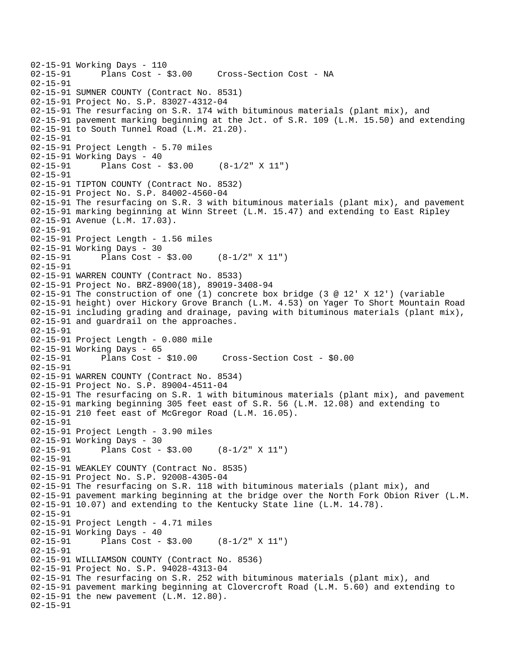```
02-15-91 Working Days - 110 
              Plans Cost - $3.00 Cross-Section Cost - NA
02-15-91 
02-15-91 SUMNER COUNTY (Contract No. 8531) 
02-15-91 Project No. S.P. 83027-4312-04 
02-15-91 The resurfacing on S.R. 174 with bituminous materials (plant mix), and 
02-15-91 pavement marking beginning at the Jct. of S.R. 109 (L.M. 15.50) and extending 
02-15-91 to South Tunnel Road (L.M. 21.20). 
02-15-91 
02-15-91 Project Length - 5.70 miles 
02-15-91 Working Days - 40 
02-15-91 Plans Cost - $3.00 (8-1/2" X 11") 
02-15-91 
02-15-91 TIPTON COUNTY (Contract No. 8532) 
02-15-91 Project No. S.P. 84002-4560-04 
02-15-91 The resurfacing on S.R. 3 with bituminous materials (plant mix), and pavement 
02-15-91 marking beginning at Winn Street (L.M. 15.47) and extending to East Ripley 
02-15-91 Avenue (L.M. 17.03). 
02-15-91 
02-15-91 Project Length - 1.56 miles 
02-15-91 Working Days - 30 
02-15-91 Plans Cost - $3.00 (8-1/2" X 11") 
02-15-91 
02-15-91 WARREN COUNTY (Contract No. 8533) 
02-15-91 Project No. BRZ-8900(18), 89019-3408-94 
02-15-91 The construction of one (1) concrete box bridge (3 @ 12' X 12') (variable 
02-15-91 height) over Hickory Grove Branch (L.M. 4.53) on Yager To Short Mountain Road 
02-15-91 including grading and drainage, paving with bituminous materials (plant mix), 
02-15-91 and guardrail on the approaches. 
02-15-91 
02-15-91 Project Length - 0.080 mile 
02-15-91 Working Days - 65 
                                      02-15-91 Plans Cost - $10.00 Cross-Section Cost - $0.00 
02-15-91 
02-15-91 WARREN COUNTY (Contract No. 8534) 
02-15-91 Project No. S.P. 89004-4511-04 
02-15-91 The resurfacing on S.R. 1 with bituminous materials (plant mix), and pavement 
02-15-91 marking beginning 305 feet east of S.R. 56 (L.M. 12.08) and extending to 
02-15-91 210 feet east of McGregor Road (L.M. 16.05). 
02-15-91 
02-15-91 Project Length - 3.90 miles 
02-15-91 Working Days - 30 
02-15-91 Plans Cost - $3.00 (8-1/2" X 11") 
02-15-91 
02-15-91 WEAKLEY COUNTY (Contract No. 8535) 
02-15-91 Project No. S.P. 92008-4305-04 
02-15-91 The resurfacing on S.R. 118 with bituminous materials (plant mix), and 
02-15-91 pavement marking beginning at the bridge over the North Fork Obion River (L.M. 
02-15-91 10.07) and extending to the Kentucky State line (L.M. 14.78). 
02-15-91 
02-15-91 Project Length - 4.71 miles 
02-15-91 Working Days - 40 
02-15-91 Plans Cost - $3.00 (8-1/2" X 11") 
02-15-91 
02-15-91 WILLIAMSON COUNTY (Contract No. 8536) 
02-15-91 Project No. S.P. 94028-4313-04 
02-15-91 The resurfacing on S.R. 252 with bituminous materials (plant mix), and 
02-15-91 pavement marking beginning at Clovercroft Road (L.M. 5.60) and extending to 
02-15-91 the new pavement (L.M. 12.80). 
02-15-91
```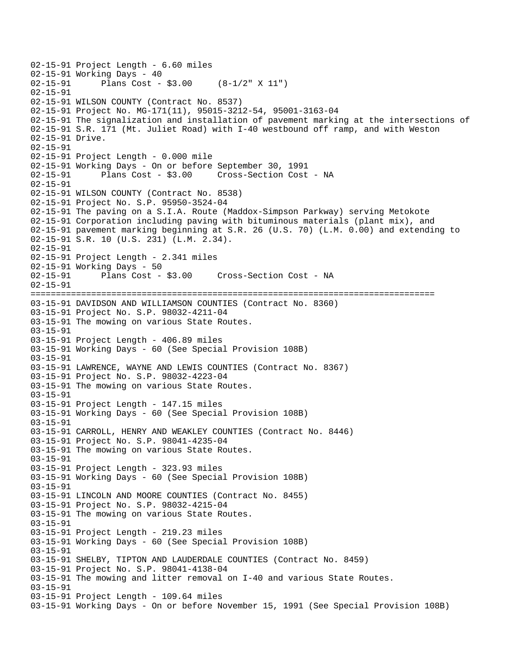02-15-91 Project Length - 6.60 miles 02-15-91 Working Days - 40<br>02-15-91 Plans Cost -Plans Cost -  $$3.00$  (8-1/2" X 11") 02-15-91 02-15-91 WILSON COUNTY (Contract No. 8537) 02-15-91 Project No. MG-171(11), 95015-3212-54, 95001-3163-04 02-15-91 The signalization and installation of pavement marking at the intersections of 02-15-91 S.R. 171 (Mt. Juliet Road) with I-40 westbound off ramp, and with Weston 02-15-91 Drive. 02-15-91 02-15-91 Project Length - 0.000 mile 02-15-91 Working Days - On or before September 30, 1991 02-15-91 Plans Cost - \$3.00 Cross-Section Cost - NA 02-15-91 02-15-91 WILSON COUNTY (Contract No. 8538) 02-15-91 Project No. S.P. 95950-3524-04 02-15-91 The paving on a S.I.A. Route (Maddox-Simpson Parkway) serving Metokote 02-15-91 Corporation including paving with bituminous materials (plant mix), and 02-15-91 pavement marking beginning at S.R. 26 (U.S. 70) (L.M. 0.00) and extending to 02-15-91 S.R. 10 (U.S. 231) (L.M. 2.34). 02-15-91 02-15-91 Project Length - 2.341 miles 02-15-91 Working Days - 50 02-15-91 Plans Cost - \$3.00 Cross-Section Cost - NA 02-15-91 ================================================================================ 03-15-91 DAVIDSON AND WILLIAMSON COUNTIES (Contract No. 8360) 03-15-91 Project No. S.P. 98032-4211-04 03-15-91 The mowing on various State Routes. 03-15-91 03-15-91 Project Length - 406.89 miles 03-15-91 Working Days - 60 (See Special Provision 108B) 03-15-91 03-15-91 LAWRENCE, WAYNE AND LEWIS COUNTIES (Contract No. 8367) 03-15-91 Project No. S.P. 98032-4223-04 03-15-91 The mowing on various State Routes. 03-15-91 03-15-91 Project Length - 147.15 miles 03-15-91 Working Days - 60 (See Special Provision 108B) 03-15-91 03-15-91 CARROLL, HENRY AND WEAKLEY COUNTIES (Contract No. 8446) 03-15-91 Project No. S.P. 98041-4235-04 03-15-91 The mowing on various State Routes. 03-15-91 03-15-91 Project Length - 323.93 miles 03-15-91 Working Days - 60 (See Special Provision 108B) 03-15-91 03-15-91 LINCOLN AND MOORE COUNTIES (Contract No. 8455) 03-15-91 Project No. S.P. 98032-4215-04 03-15-91 The mowing on various State Routes. 03-15-91 03-15-91 Project Length - 219.23 miles 03-15-91 Working Days - 60 (See Special Provision 108B) 03-15-91 03-15-91 SHELBY, TIPTON AND LAUDERDALE COUNTIES (Contract No. 8459) 03-15-91 Project No. S.P. 98041-4138-04 03-15-91 The mowing and litter removal on I-40 and various State Routes. 03-15-91 03-15-91 Project Length - 109.64 miles 03-15-91 Working Days - On or before November 15, 1991 (See Special Provision 108B)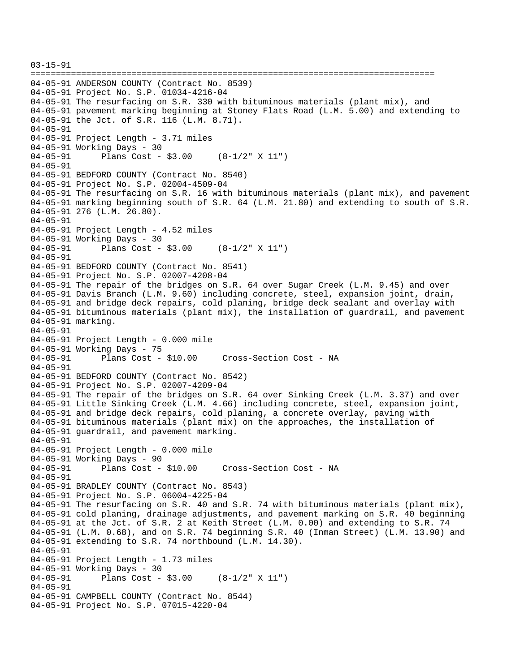```
03-15-91 
================================================================================ 
04-05-91 ANDERSON COUNTY (Contract No. 8539) 
04-05-91 Project No. S.P. 01034-4216-04 
04-05-91 The resurfacing on S.R. 330 with bituminous materials (plant mix), and 
04-05-91 pavement marking beginning at Stoney Flats Road (L.M. 5.00) and extending to 
04-05-91 the Jct. of S.R. 116 (L.M. 8.71). 
04-05-91 
04-05-91 Project Length - 3.71 miles 
04-05-91 Working Days - 30 
04-05-91 Plans Cost - $3.00 (8-1/2" X 11") 
04-05-91 
04-05-91 BEDFORD COUNTY (Contract No. 8540) 
04-05-91 Project No. S.P. 02004-4509-04 
04-05-91 The resurfacing on S.R. 16 with bituminous materials (plant mix), and pavement 
04-05-91 marking beginning south of S.R. 64 (L.M. 21.80) and extending to south of S.R. 
04-05-91 276 (L.M. 26.80). 
04-05-91 
04-05-91 Project Length - 4.52 miles
04-05-91 Working Days - 30 
04-05-91 Plans Cost - $3.00 (8-1/2" X 11") 
04-05-91 
04-05-91 BEDFORD COUNTY (Contract No. 8541) 
04-05-91 Project No. S.P. 02007-4208-04 
04-05-91 The repair of the bridges on S.R. 64 over Sugar Creek (L.M. 9.45) and over 
04-05-91 Davis Branch (L.M. 9.60) including concrete, steel, expansion joint, drain, 
04-05-91 and bridge deck repairs, cold planing, bridge deck sealant and overlay with 
04-05-91 bituminous materials (plant mix), the installation of guardrail, and pavement 
04-05-91 marking. 
04-05-91 
04-05-91 Project Length - 0.000 mile 
04-05-91 Working Days - 75<br>04-05-91 Plans Cost - $10.00
                                      Cross-Section Cost - NA
04-05-91 
04-05-91 BEDFORD COUNTY (Contract No. 8542) 
04-05-91 Project No. S.P. 02007-4209-04 
04-05-91 The repair of the bridges on S.R. 64 over Sinking Creek (L.M. 3.37) and over 
04-05-91 Little Sinking Creek (L.M. 4.66) including concrete, steel, expansion joint, 
04-05-91 and bridge deck repairs, cold planing, a concrete overlay, paving with 
04-05-91 bituminous materials (plant mix) on the approaches, the installation of 
04-05-91 guardrail, and pavement marking. 
04-05-91 
04-05-91 Project Length - 0.000 mile 
04-05-91 Working Days - 90 
04-05-91 Plans Cost - $10.00 Cross-Section Cost - NA 
04-05-91 
04-05-91 BRADLEY COUNTY (Contract No. 8543) 
04-05-91 Project No. S.P. 06004-4225-04 
04-05-91 The resurfacing on S.R. 40 and S.R. 74 with bituminous materials (plant mix), 
04-05-91 cold planing, drainage adjustments, and pavement marking on S.R. 40 beginning 
04-05-91 at the Jct. of S.R. 2 at Keith Street (L.M. 0.00) and extending to S.R. 74 
04-05-91 (L.M. 0.68), and on S.R. 74 beginning S.R. 40 (Inman Street) (L.M. 13.90) and 
04-05-91 extending to S.R. 74 northbound (L.M. 14.30). 
04-05-91 
04-05-91 Project Length - 1.73 miles
04-05-91 Working Days - 30 
04-05-91 Plans Cost - $3.00 (8-1/2" X 11") 
04-05-91 
04-05-91 CAMPBELL COUNTY (Contract No. 8544) 
04-05-91 Project No. S.P. 07015-4220-04
```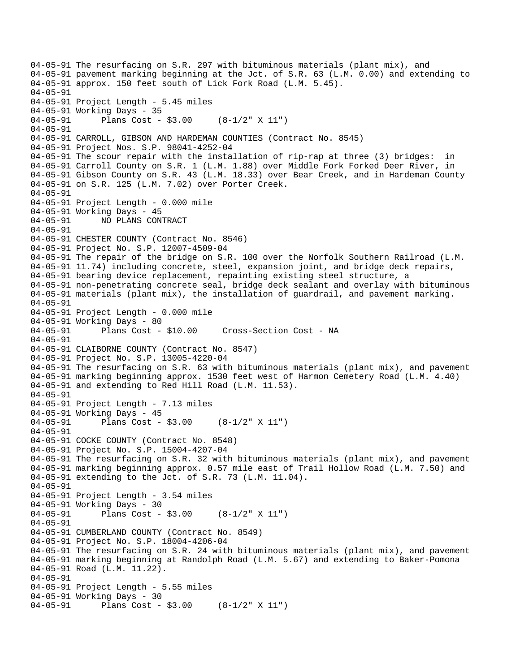04-05-91 The resurfacing on S.R. 297 with bituminous materials (plant mix), and 04-05-91 pavement marking beginning at the Jct. of S.R. 63 (L.M. 0.00) and extending to 04-05-91 approx. 150 feet south of Lick Fork Road (L.M. 5.45). 04-05-91 04-05-91 Project Length - 5.45 miles 04-05-91 Working Days - 35 04-05-91 Plans Cost - \$3.00 (8-1/2" X 11") 04-05-91 04-05-91 CARROLL, GIBSON AND HARDEMAN COUNTIES (Contract No. 8545) 04-05-91 Project Nos. S.P. 98041-4252-04 04-05-91 The scour repair with the installation of rip-rap at three (3) bridges: in 04-05-91 Carroll County on S.R. 1 (L.M. 1.88) over Middle Fork Forked Deer River, in 04-05-91 Gibson County on S.R. 43 (L.M. 18.33) over Bear Creek, and in Hardeman County 04-05-91 on S.R. 125 (L.M. 7.02) over Porter Creek. 04-05-91 04-05-91 Project Length - 0.000 mile 04-05-91 Working Days - 45 04-05-91 NO PLANS CONTRACT 04-05-91 04-05-91 CHESTER COUNTY (Contract No. 8546) 04-05-91 Project No. S.P. 12007-4509-04 04-05-91 The repair of the bridge on S.R. 100 over the Norfolk Southern Railroad (L.M. 04-05-91 11.74) including concrete, steel, expansion joint, and bridge deck repairs, 04-05-91 bearing device replacement, repainting existing steel structure, a 04-05-91 non-penetrating concrete seal, bridge deck sealant and overlay with bituminous 04-05-91 materials (plant mix), the installation of guardrail, and pavement marking. 04-05-91 04-05-91 Project Length - 0.000 mile 04-05-91 Working Days - 80<br>04-05-91 Plans Cost - \$10.00 04-05-91 Plans Cost - \$10.00 Cross-Section Cost - NA 04-05-91 04-05-91 CLAIBORNE COUNTY (Contract No. 8547) 04-05-91 Project No. S.P. 13005-4220-04 04-05-91 The resurfacing on S.R. 63 with bituminous materials (plant mix), and pavement 04-05-91 marking beginning approx. 1530 feet west of Harmon Cemetery Road (L.M. 4.40) 04-05-91 and extending to Red Hill Road (L.M. 11.53). 04-05-91 04-05-91 Project Length - 7.13 miles 04-05-91 Working Days - 45 04-05-91 Plans Cost - \$3.00 (8-1/2" X 11") 04-05-91 04-05-91 COCKE COUNTY (Contract No. 8548) 04-05-91 Project No. S.P. 15004-4207-04 04-05-91 The resurfacing on S.R. 32 with bituminous materials (plant mix), and pavement 04-05-91 marking beginning approx. 0.57 mile east of Trail Hollow Road (L.M. 7.50) and 04-05-91 extending to the Jct. of S.R. 73 (L.M. 11.04). 04-05-91 04-05-91 Project Length - 3.54 miles 04-05-91 Working Days - 30 04-05-91 Plans Cost - \$3.00 (8-1/2" X 11") 04-05-91 04-05-91 CUMBERLAND COUNTY (Contract No. 8549) 04-05-91 Project No. S.P. 18004-4206-04 04-05-91 The resurfacing on S.R. 24 with bituminous materials (plant mix), and pavement 04-05-91 marking beginning at Randolph Road (L.M. 5.67) and extending to Baker-Pomona 04-05-91 Road (L.M. 11.22). 04-05-91 04-05-91 Project Length - 5.55 miles 04-05-91 Working Days - 30 04-05-91 Plans Cost - \$3.00 (8-1/2" X 11")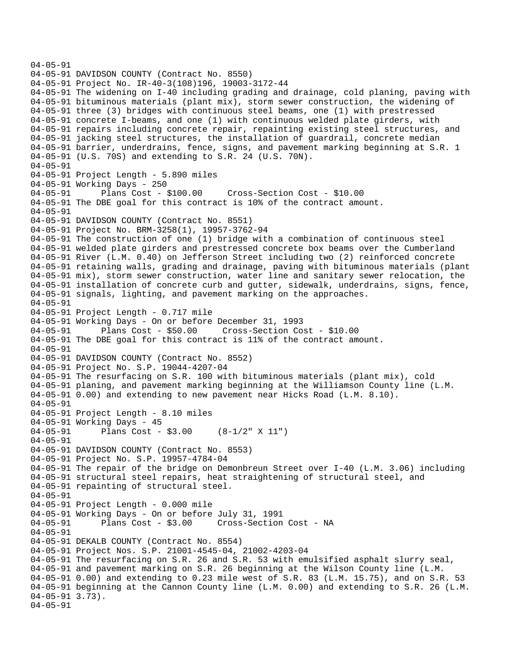```
04-05-91 
04-05-91 DAVIDSON COUNTY (Contract No. 8550) 
04-05-91 Project No. IR-40-3(108)196, 19003-3172-44 
04-05-91 The widening on I-40 including grading and drainage, cold planing, paving with 
04-05-91 bituminous materials (plant mix), storm sewer construction, the widening of 
04-05-91 three (3) bridges with continuous steel beams, one (1) with prestressed 
04-05-91 concrete I-beams, and one (1) with continuous welded plate girders, with 
04-05-91 repairs including concrete repair, repainting existing steel structures, and 
04-05-91 jacking steel structures, the installation of guardrail, concrete median 
04-05-91 barrier, underdrains, fence, signs, and pavement marking beginning at S.R. 1 
04-05-91 (U.S. 70S) and extending to S.R. 24 (U.S. 70N). 
04-05-91 
04-05-91 Project Length - 5.890 miles 
04-05-91 Working Days - 250<br>04-05-91 Plans Cost - $100.00
                                       Cross-Section Cost - $10.00
04-05-91 The DBE goal for this contract is 10% of the contract amount. 
04-05-91 
04-05-91 DAVIDSON COUNTY (Contract No. 8551) 
04-05-91 Project No. BRM-3258(1), 19957-3762-94 
04-05-91 The construction of one (1) bridge with a combination of continuous steel 
04-05-91 welded plate girders and prestressed concrete box beams over the Cumberland 
04-05-91 River (L.M. 0.40) on Jefferson Street including two (2) reinforced concrete 
04-05-91 retaining walls, grading and drainage, paving with bituminous materials (plant 
04-05-91 mix), storm sewer construction, water line and sanitary sewer relocation, the 
04-05-91 installation of concrete curb and gutter, sidewalk, underdrains, signs, fence, 
04-05-91 signals, lighting, and pavement marking on the approaches. 
04-05-91 
04-05-91 Project Length - 0.717 mile
04-05-91 Working Days - On or before December 31, 1993 
04-05-91 Plans Cost - $50.00 Cross-Section Cost - $10.00 
04-05-91 The DBE goal for this contract is 11% of the contract amount. 
04-05-91 
04-05-91 DAVIDSON COUNTY (Contract No. 8552) 
04-05-91 Project No. S.P. 19044-4207-04 
04-05-91 The resurfacing on S.R. 100 with bituminous materials (plant mix), cold 
04-05-91 planing, and pavement marking beginning at the Williamson County line (L.M. 
04-05-91 0.00) and extending to new pavement near Hicks Road (L.M. 8.10). 
04-05-91 
04-05-91 Project Length - 8.10 miles 
04-05-91 Working Days - 45 
04-05-91 Plans Cost - $3.00 (8-1/2" X 11") 
04-05-91 
04-05-91 DAVIDSON COUNTY (Contract No. 8553) 
04-05-91 Project No. S.P. 19957-4784-04 
04-05-91 The repair of the bridge on Demonbreun Street over I-40 (L.M. 3.06) including 
04-05-91 structural steel repairs, heat straightening of structural steel, and 
04-05-91 repainting of structural steel. 
04-05-91 
04-05-91 Project Length - 0.000 mile 
04-05-91 Working Days - On or before July 31, 1991 
              Plans Cost - $3.00 Cross-Section Cost - NA
04-05-91 
04-05-91 DEKALB COUNTY (Contract No. 8554) 
04-05-91 Project Nos. S.P. 21001-4545-04, 21002-4203-04 
04-05-91 The resurfacing on S.R. 26 and S.R. 53 with emulsified asphalt slurry seal, 
04-05-91 and pavement marking on S.R. 26 beginning at the Wilson County line (L.M. 
04-05-91 0.00) and extending to 0.23 mile west of S.R. 83 (L.M. 15.75), and on S.R. 53 
04-05-91 beginning at the Cannon County line (L.M. 0.00) and extending to S.R. 26 (L.M. 
04-05-91 3.73). 
04-05-91
```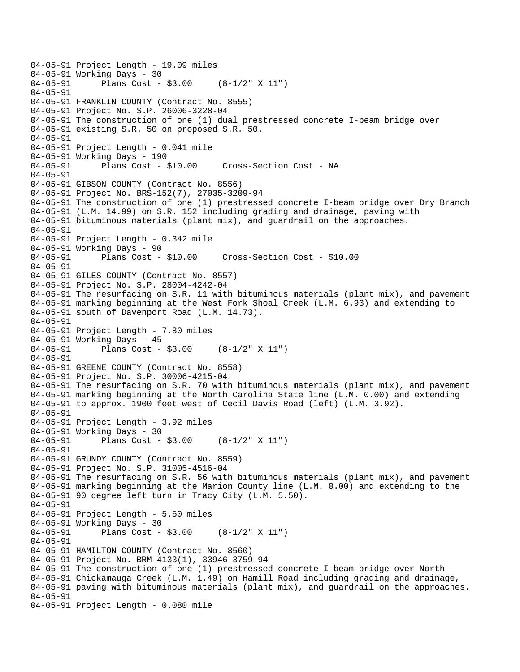```
04-05-91 Project Length - 19.09 miles 
04-05-91 Working Days - 30<br>04-05-91 Plans Cost -
              Plans Cost - $3.00 (8-1/2" X 11")
04-05-91 
04-05-91 FRANKLIN COUNTY (Contract No. 8555) 
04-05-91 Project No. S.P. 26006-3228-04 
04-05-91 The construction of one (1) dual prestressed concrete I-beam bridge over 
04-05-91 existing S.R. 50 on proposed S.R. 50. 
04-05-91 
04-05-91 Project Length - 0.041 mile
04-05-91 Working Days - 190 
04-05-91 Plans Cost - $10.00 Cross-Section Cost - NA 
04-05-91 
04-05-91 GIBSON COUNTY (Contract No. 8556) 
04-05-91 Project No. BRS-152(7), 27035-3209-94 
04-05-91 The construction of one (1) prestressed concrete I-beam bridge over Dry Branch 
04-05-91 (L.M. 14.99) on S.R. 152 including grading and drainage, paving with 
04-05-91 bituminous materials (plant mix), and guardrail on the approaches. 
04-05-91 
04-05-91 Project Length - 0.342 mile
04-05-91 Working Days - 90<br>04-05-91 Plans Cost - $10.00
04-05-91 Plans Cost - $10.00 Cross-Section Cost - $10.00 
04-05-91 
04-05-91 GILES COUNTY (Contract No. 8557) 
04-05-91 Project No. S.P. 28004-4242-04 
04-05-91 The resurfacing on S.R. 11 with bituminous materials (plant mix), and pavement 
04-05-91 marking beginning at the West Fork Shoal Creek (L.M. 6.93) and extending to 
04-05-91 south of Davenport Road (L.M. 14.73). 
04-05-91 
04-05-91 Project Length - 7.80 miles
04-05-91 Working Days - 45 
04-05-91 Plans Cost - $3.00 (8-1/2" X 11") 
04-05-91 
04-05-91 GREENE COUNTY (Contract No. 8558) 
04-05-91 Project No. S.P. 30006-4215-04 
04-05-91 The resurfacing on S.R. 70 with bituminous materials (plant mix), and pavement 
04-05-91 marking beginning at the North Carolina State line (L.M. 0.00) and extending 
04-05-91 to approx. 1900 feet west of Cecil Davis Road (left) (L.M. 3.92). 
04-05-91 
04-05-91 Project Length - 3.92 miles
04-05-91 Working Days - 30 
04-05-91 Plans Cost - $3.00 (8-1/2" X 11") 
04-05-91 
04-05-91 GRUNDY COUNTY (Contract No. 8559) 
04-05-91 Project No. S.P. 31005-4516-04 
04-05-91 The resurfacing on S.R. 56 with bituminous materials (plant mix), and pavement 
04-05-91 marking beginning at the Marion County line (L.M. 0.00) and extending to the 
04-05-91 90 degree left turn in Tracy City (L.M. 5.50). 
04-05-91 
04-05-91 Project Length - 5.50 miles 
04-05-91 Working Days - 30 
04-05-91 Plans Cost - $3.00 (8-1/2" X 11") 
04-05-91 
04-05-91 HAMILTON COUNTY (Contract No. 8560) 
04-05-91 Project No. BRM-4133(1), 33946-3759-94 
04-05-91 The construction of one (1) prestressed concrete I-beam bridge over North 
04-05-91 Chickamauga Creek (L.M. 1.49) on Hamill Road including grading and drainage, 
04-05-91 paving with bituminous materials (plant mix), and guardrail on the approaches. 
04-05-91 
04-05-91 Project Length - 0.080 mile
```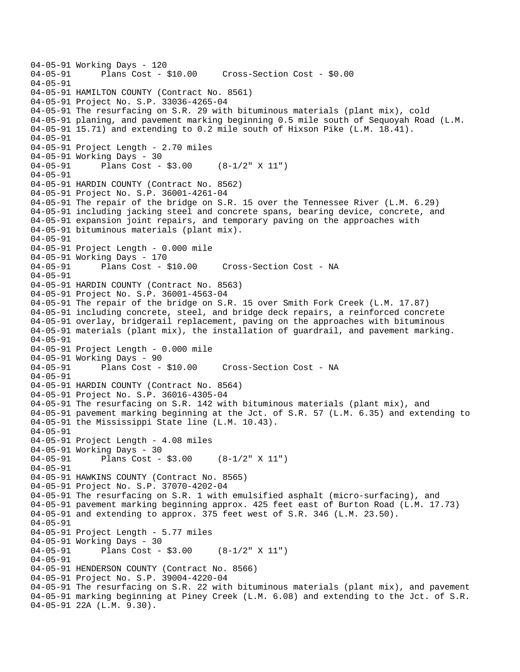04-05-91 Working Days - 120<br>04-05-91 Plans Cost -Plans Cost - \$10.00 Cross-Section Cost - \$0.00 04-05-91 04-05-91 HAMILTON COUNTY (Contract No. 8561) 04-05-91 Project No. S.P. 33036-4265-04 04-05-91 The resurfacing on S.R. 29 with bituminous materials (plant mix), cold 04-05-91 planing, and pavement marking beginning 0.5 mile south of Sequoyah Road (L.M. 04-05-91 15.71) and extending to 0.2 mile south of Hixson Pike (L.M. 18.41). 04-05-91 04-05-91 Project Length - 2.70 miles 04-05-91 Working Days - 30 04-05-91 Plans Cost - \$3.00 (8-1/2" X 11") 04-05-91 04-05-91 HARDIN COUNTY (Contract No. 8562) 04-05-91 Project No. S.P. 36001-4261-04 04-05-91 The repair of the bridge on S.R. 15 over the Tennessee River (L.M. 6.29) 04-05-91 including jacking steel and concrete spans, bearing device, concrete, and 04-05-91 expansion joint repairs, and temporary paving on the approaches with 04-05-91 bituminous materials (plant mix). 04-05-91 04-05-91 Project Length - 0.000 mile 04-05-91 Working Days - 170<br>04-05-91 Plans Cost - \$10.00 04-05-91 Plans Cost - \$10.00 Cross-Section Cost - NA 04-05-91 04-05-91 HARDIN COUNTY (Contract No. 8563) 04-05-91 Project No. S.P. 36001-4563-04 04-05-91 The repair of the bridge on S.R. 15 over Smith Fork Creek (L.M. 17.87) 04-05-91 including concrete, steel, and bridge deck repairs, a reinforced concrete 04-05-91 overlay, bridgerail replacement, paving on the approaches with bituminous 04-05-91 materials (plant mix), the installation of guardrail, and pavement marking. 04-05-91 04-05-91 Project Length - 0.000 mile 04-05-91 Working Days - 90 04-05-91 Plans Cost - \$10.00 Cross-Section Cost - NA 04-05-91 04-05-91 HARDIN COUNTY (Contract No. 8564) 04-05-91 Project No. S.P. 36016-4305-04 04-05-91 The resurfacing on S.R. 142 with bituminous materials (plant mix), and 04-05-91 pavement marking beginning at the Jct. of S.R. 57 (L.M. 6.35) and extending to 04-05-91 the Mississippi State line (L.M. 10.43). 04-05-91 04-05-91 Project Length - 4.08 miles 04-05-91 Working Days - 30 04-05-91 Plans Cost - \$3.00 (8-1/2" X 11") 04-05-91 04-05-91 HAWKINS COUNTY (Contract No. 8565) 04-05-91 Project No. S.P. 37070-4202-04 04-05-91 The resurfacing on S.R. 1 with emulsified asphalt (micro-surfacing), and 04-05-91 pavement marking beginning approx. 425 feet east of Burton Road (L.M. 17.73) 04-05-91 and extending to approx. 375 feet west of S.R. 346 (L.M. 23.50). 04-05-91 04-05-91 Project Length - 5.77 miles 04-05-91 Working Days - 30 04-05-91 Plans Cost - \$3.00 (8-1/2" X 11") 04-05-91 04-05-91 HENDERSON COUNTY (Contract No. 8566) 04-05-91 Project No. S.P. 39004-4220-04 04-05-91 The resurfacing on S.R. 22 with bituminous materials (plant mix), and pavement 04-05-91 marking beginning at Piney Creek (L.M. 6.08) and extending to the Jct. of S.R. 04-05-91 22A (L.M. 9.30).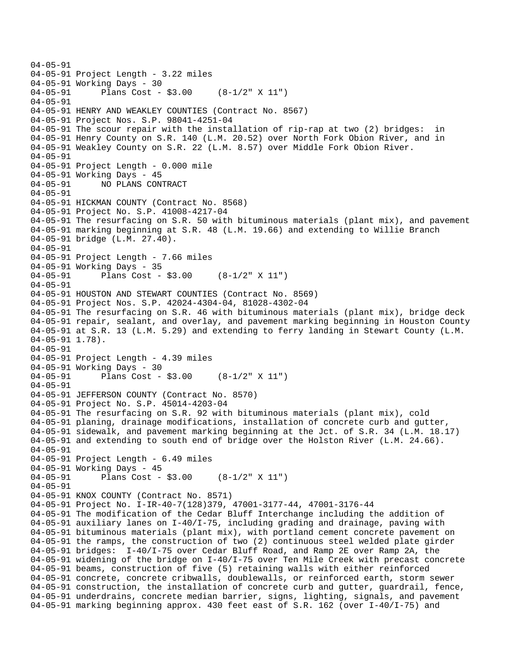```
04-05-91 
04-05-91 Project Length - 3.22 miles
04-05-91 Working Days - 30 
04-05-91 Plans Cost - $3.00 (8-1/2" X 11") 
04-05-91 
04-05-91 HENRY AND WEAKLEY COUNTIES (Contract No. 8567) 
04-05-91 Project Nos. S.P. 98041-4251-04 
04-05-91 The scour repair with the installation of rip-rap at two (2) bridges: in 
04-05-91 Henry County on S.R. 140 (L.M. 20.52) over North Fork Obion River, and in 
04-05-91 Weakley County on S.R. 22 (L.M. 8.57) over Middle Fork Obion River. 
04-05-91 
04-05-91 Project Length - 0.000 mile 
04-05-91 Working Days - 45 
04-05-91 NO PLANS CONTRACT 
04-05-91 
04-05-91 HICKMAN COUNTY (Contract No. 8568) 
04-05-91 Project No. S.P. 41008-4217-04 
04-05-91 The resurfacing on S.R. 50 with bituminous materials (plant mix), and pavement 
04-05-91 marking beginning at S.R. 48 (L.M. 19.66) and extending to Willie Branch 
04-05-91 bridge (L.M. 27.40). 
04-05-91 
04-05-91 Project Length - 7.66 miles
04-05-91 Working Days - 35 
04-05-91 Plans Cost - $3.00 (8-1/2" X 11") 
04-05-91 
04-05-91 HOUSTON AND STEWART COUNTIES (Contract No. 8569) 
04-05-91 Project Nos. S.P. 42024-4304-04, 81028-4302-04 
04-05-91 The resurfacing on S.R. 46 with bituminous materials (plant mix), bridge deck 
04-05-91 repair, sealant, and overlay, and pavement marking beginning in Houston County 
04-05-91 at S.R. 13 (L.M. 5.29) and extending to ferry landing in Stewart County (L.M. 
04-05-91 1.78). 
04-05-91 
04-05-91 Project Length - 4.39 miles
04-05-91 Working Days - 30<br>04-05-91 Plans Cost -
              Plans Cost - $3.00 (8-1/2" X 11")
04 - 05 - 9104-05-91 JEFFERSON COUNTY (Contract No. 8570) 
04-05-91 Project No. S.P. 45014-4203-04 
04-05-91 The resurfacing on S.R. 92 with bituminous materials (plant mix), cold 
04-05-91 planing, drainage modifications, installation of concrete curb and gutter, 
04-05-91 sidewalk, and pavement marking beginning at the Jct. of S.R. 34 (L.M. 18.17) 
04-05-91 and extending to south end of bridge over the Holston River (L.M. 24.66). 
04-05-91 
04-05-91 Project Length - 6.49 miles 
04-05-91 Working Days - 45 
04-05-91 Plans Cost - $3.00 (8-1/2" X 11") 
04-05-91 
04-05-91 KNOX COUNTY (Contract No. 8571) 
04-05-91 Project No. I-IR-40-7(128)379, 47001-3177-44, 47001-3176-44 
04-05-91 The modification of the Cedar Bluff Interchange including the addition of 
04-05-91 auxiliary lanes on I-40/I-75, including grading and drainage, paving with 
04-05-91 bituminous materials (plant mix), with portland cement concrete pavement on 
04-05-91 the ramps, the construction of two (2) continuous steel welded plate girder 
04-05-91 bridges: I-40/I-75 over Cedar Bluff Road, and Ramp 2E over Ramp 2A, the 
04-05-91 widening of the bridge on I-40/I-75 over Ten Mile Creek with precast concrete 
04-05-91 beams, construction of five (5) retaining walls with either reinforced 
04-05-91 concrete, concrete cribwalls, doublewalls, or reinforced earth, storm sewer 
04-05-91 construction, the installation of concrete curb and gutter, guardrail, fence,
04-05-91 underdrains, concrete median barrier, signs, lighting, signals, and pavement 
04-05-91 marking beginning approx. 430 feet east of S.R. 162 (over I-40/I-75) and
```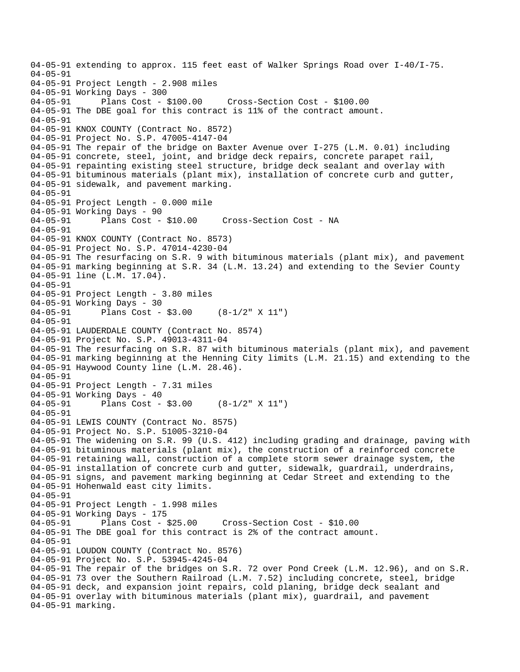04-05-91 extending to approx. 115 feet east of Walker Springs Road over I-40/I-75. 04-05-91 04-05-91 Project Length - 2.908 miles 04-05-91 Working Days - 300<br>04-05-91 Plans Cost - \$100.00 04-05-91 Plans Cost - \$100.00 Cross-Section Cost - \$100.00 04-05-91 The DBE goal for this contract is 11% of the contract amount. 04-05-91 04-05-91 KNOX COUNTY (Contract No. 8572) 04-05-91 Project No. S.P. 47005-4147-04 04-05-91 The repair of the bridge on Baxter Avenue over I-275 (L.M. 0.01) including 04-05-91 concrete, steel, joint, and bridge deck repairs, concrete parapet rail, 04-05-91 repainting existing steel structure, bridge deck sealant and overlay with 04-05-91 bituminous materials (plant mix), installation of concrete curb and gutter, 04-05-91 sidewalk, and pavement marking. 04-05-91 04-05-91 Project Length - 0.000 mile 04-05-91 Working Days - 90<br>04-05-91 Plans Cost - \$10.00 04-05-91 Plans Cost - \$10.00 Cross-Section Cost - NA 04-05-91 04-05-91 KNOX COUNTY (Contract No. 8573) 04-05-91 Project No. S.P. 47014-4230-04 04-05-91 The resurfacing on S.R. 9 with bituminous materials (plant mix), and pavement 04-05-91 marking beginning at S.R. 34 (L.M. 13.24) and extending to the Sevier County 04-05-91 line (L.M. 17.04). 04-05-91 04-05-91 Project Length - 3.80 miles 04-05-91 Working Days - 30 04-05-91 Plans Cost - \$3.00 (8-1/2" X 11") 04-05-91 04-05-91 LAUDERDALE COUNTY (Contract No. 8574) 04-05-91 Project No. S.P. 49013-4311-04 04-05-91 The resurfacing on S.R. 87 with bituminous materials (plant mix), and pavement 04-05-91 marking beginning at the Henning City limits (L.M. 21.15) and extending to the 04-05-91 Haywood County line (L.M. 28.46). 04-05-91 04-05-91 Project Length - 7.31 miles 04-05-91 Working Days - 40 04-05-91 Plans Cost - \$3.00 (8-1/2" X 11") 04-05-91 04-05-91 LEWIS COUNTY (Contract No. 8575) 04-05-91 Project No. S.P. 51005-3210-04 04-05-91 The widening on S.R. 99 (U.S. 412) including grading and drainage, paving with 04-05-91 bituminous materials (plant mix), the construction of a reinforced concrete 04-05-91 retaining wall, construction of a complete storm sewer drainage system, the 04-05-91 installation of concrete curb and gutter, sidewalk, guardrail, underdrains, 04-05-91 signs, and pavement marking beginning at Cedar Street and extending to the 04-05-91 Hohenwald east city limits. 04-05-91 04-05-91 Project Length - 1.998 miles 04-05-91 Working Days - 175 04-05-91 Plans Cost - \$25.00 Cross-Section Cost - \$10.00 04-05-91 The DBE goal for this contract is 2% of the contract amount. 04-05-91 04-05-91 LOUDON COUNTY (Contract No. 8576) 04-05-91 Project No. S.P. 53945-4245-04 04-05-91 The repair of the bridges on S.R. 72 over Pond Creek (L.M. 12.96), and on S.R. 04-05-91 73 over the Southern Railroad (L.M. 7.52) including concrete, steel, bridge 04-05-91 deck, and expansion joint repairs, cold planing, bridge deck sealant and 04-05-91 overlay with bituminous materials (plant mix), guardrail, and pavement 04-05-91 marking.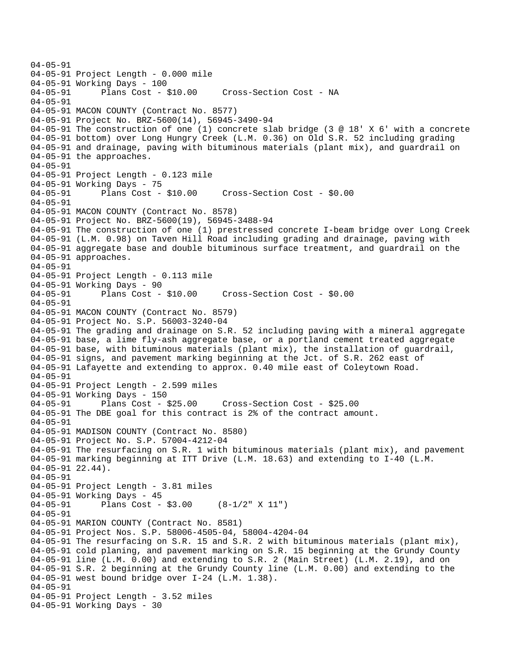04-05-91 04-05-91 Project Length - 0.000 mile 04-05-91 Working Days - 100 04-05-91 Plans Cost - \$10.00 Cross-Section Cost - NA 04-05-91 04-05-91 MACON COUNTY (Contract No. 8577) 04-05-91 Project No. BRZ-5600(14), 56945-3490-94 04-05-91 The construction of one (1) concrete slab bridge (3 @ 18' X 6' with a concrete 04-05-91 bottom) over Long Hungry Creek (L.M. 0.36) on Old S.R. 52 including grading 04-05-91 and drainage, paving with bituminous materials (plant mix), and guardrail on 04-05-91 the approaches. 04-05-91 04-05-91 Project Length - 0.123 mile 04-05-91 Working Days - 75<br>04-05-91 Plans Cost - \$10.00 04-05-91 Plans Cost - \$10.00 Cross-Section Cost - \$0.00 04-05-91 04-05-91 MACON COUNTY (Contract No. 8578) 04-05-91 Project No. BRZ-5600(19), 56945-3488-94 04-05-91 The construction of one (1) prestressed concrete I-beam bridge over Long Creek 04-05-91 (L.M. 0.98) on Taven Hill Road including grading and drainage, paving with 04-05-91 aggregate base and double bituminous surface treatment, and guardrail on the 04-05-91 approaches. 04-05-91 04-05-91 Project Length - 0.113 mile 04-05-91 Working Days - 90<br>04-05-91 Plans Cost - \$10.00 04-05-91 Plans Cost - \$10.00 Cross-Section Cost - \$0.00 04-05-91 04-05-91 MACON COUNTY (Contract No. 8579) 04-05-91 Project No. S.P. 56003-3240-04 04-05-91 The grading and drainage on S.R. 52 including paving with a mineral aggregate 04-05-91 base, a lime fly-ash aggregate base, or a portland cement treated aggregate 04-05-91 base, with bituminous materials (plant mix), the installation of guardrail, 04-05-91 signs, and pavement marking beginning at the Jct. of S.R. 262 east of 04-05-91 Lafayette and extending to approx. 0.40 mile east of Coleytown Road. 04-05-91 04-05-91 Project Length - 2.599 miles 04-05-91 Working Days - 150 04-05-91 Plans Cost - \$25.00 Cross-Section Cost - \$25.00 04-05-91 The DBE goal for this contract is 2% of the contract amount. 04-05-91 04-05-91 MADISON COUNTY (Contract No. 8580) 04-05-91 Project No. S.P. 57004-4212-04 04-05-91 The resurfacing on S.R. 1 with bituminous materials (plant mix), and pavement 04-05-91 marking beginning at ITT Drive (L.M. 18.63) and extending to I-40 (L.M. 04-05-91 22.44). 04-05-91 04-05-91 Project Length - 3.81 miles 04-05-91 Working Days - 45<br>04-05-91 Plans Cost -Plans Cost -  $$3.00$  (8-1/2" X 11") 04-05-91 04-05-91 MARION COUNTY (Contract No. 8581) 04-05-91 Project Nos. S.P. 58006-4505-04, 58004-4204-04 04-05-91 The resurfacing on S.R. 15 and S.R. 2 with bituminous materials (plant mix), 04-05-91 cold planing, and pavement marking on S.R. 15 beginning at the Grundy County 04-05-91 line (L.M. 0.00) and extending to S.R. 2 (Main Street) (L.M. 2.19), and on 04-05-91 S.R. 2 beginning at the Grundy County line (L.M. 0.00) and extending to the 04-05-91 west bound bridge over I-24 (L.M. 1.38). 04-05-91 04-05-91 Project Length - 3.52 miles 04-05-91 Working Days - 30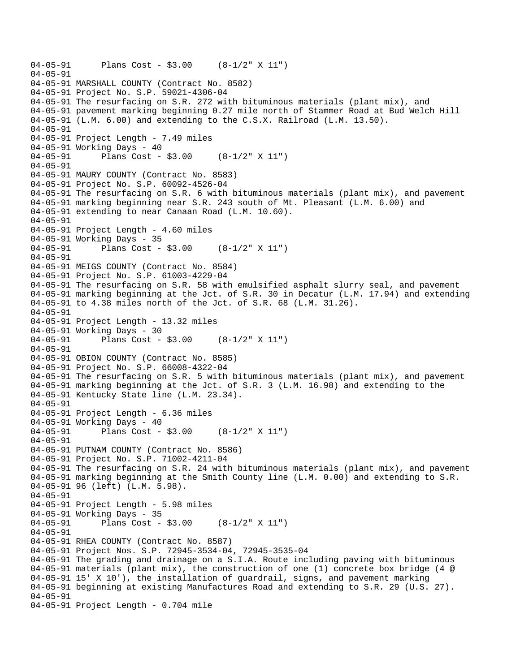```
04-05-91 Plans Cost - $3.00 (8-1/2" X 11") 
04-05-91 
04-05-91 MARSHALL COUNTY (Contract No. 8582) 
04-05-91 Project No. S.P. 59021-4306-04 
04-05-91 The resurfacing on S.R. 272 with bituminous materials (plant mix), and 
04-05-91 pavement marking beginning 0.27 mile north of Stammer Road at Bud Welch Hill 
04-05-91 (L.M. 6.00) and extending to the C.S.X. Railroad (L.M. 13.50). 
04-05-91 
04-05-91 Project Length - 7.49 miles
04-05-91 Working Days - 40 
04-05-91 Plans Cost - $3.00 (8-1/2" X 11") 
04-05-91 
04-05-91 MAURY COUNTY (Contract No. 8583) 
04-05-91 Project No. S.P. 60092-4526-04 
04-05-91 The resurfacing on S.R. 6 with bituminous materials (plant mix), and pavement 
04-05-91 marking beginning near S.R. 243 south of Mt. Pleasant (L.M. 6.00) and 
04-05-91 extending to near Canaan Road (L.M. 10.60). 
04-05-91 
04-05-91 Project Length - 4.60 miles 
04-05-91 Working Days - 35 
04-05-91 Plans Cost - $3.00 (8-1/2" X 11") 
04-05-91 
04-05-91 MEIGS COUNTY (Contract No. 8584) 
04-05-91 Project No. S.P. 61003-4229-04 
04-05-91 The resurfacing on S.R. 58 with emulsified asphalt slurry seal, and pavement 
04-05-91 marking beginning at the Jct. of S.R. 30 in Decatur (L.M. 17.94) and extending 
04-05-91 to 4.38 miles north of the Jct. of S.R. 68 (L.M. 31.26). 
04-05-91 
04-05-91 Project Length - 13.32 miles
04-05-91 Working Days - 30 
04-05-91 Plans Cost - $3.00 (8-1/2" X 11") 
04-05-91 
04-05-91 OBION COUNTY (Contract No. 8585) 
04-05-91 Project No. S.P. 66008-4322-04 
04-05-91 The resurfacing on S.R. 5 with bituminous materials (plant mix), and pavement 
04-05-91 marking beginning at the Jct. of S.R. 3 (L.M. 16.98) and extending to the 
04-05-91 Kentucky State line (L.M. 23.34). 
04-05-91 
04-05-91 Project Length - 6.36 miles 
04-05-91 Working Days - 40 
04-05-91 Plans Cost - $3.00 (8-1/2" X 11") 
04-05-91 
04-05-91 PUTNAM COUNTY (Contract No. 8586) 
04-05-91 Project No. S.P. 71002-4211-04 
04-05-91 The resurfacing on S.R. 24 with bituminous materials (plant mix), and pavement 
04-05-91 marking beginning at the Smith County line (L.M. 0.00) and extending to S.R. 
04-05-91 96 (left) (L.M. 5.98). 
04-05-91 
04-05-91 Project Length - 5.98 miles 
04-05-91 Working Days - 35 
04-05-91 Plans Cost - $3.00 (8-1/2" X 11") 
04-05-91 
04-05-91 RHEA COUNTY (Contract No. 8587) 
04-05-91 Project Nos. S.P. 72945-3534-04, 72945-3535-04 
04-05-91 The grading and drainage on a S.I.A. Route including paving with bituminous 
04-05-91 materials (plant mix), the construction of one (1) concrete box bridge (4 @ 
04-05-91 15' X 10'), the installation of guardrail, signs, and pavement marking 
04-05-91 beginning at existing Manufactures Road and extending to S.R. 29 (U.S. 27). 
04-05-91 
04-05-91 Project Length - 0.704 mile
```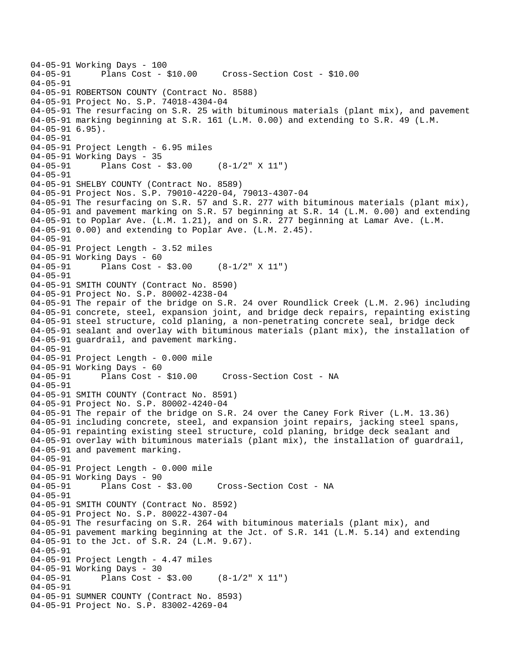```
04-05-91 Working Days - 100 
                                   04-05-91 Plans Cost - $10.00 Cross-Section Cost - $10.00 
04-05-91 
04-05-91 ROBERTSON COUNTY (Contract No. 8588) 
04-05-91 Project No. S.P. 74018-4304-04 
04-05-91 The resurfacing on S.R. 25 with bituminous materials (plant mix), and pavement 
04-05-91 marking beginning at S.R. 161 (L.M. 0.00) and extending to S.R. 49 (L.M. 
04-05-91 6.95). 
04-05-91 
04-05-91 Project Length - 6.95 miles 
04-05-91 Working Days - 35 
04-05-91 Plans Cost - $3.00 (8-1/2" X 11") 
04-05-91 
04-05-91 SHELBY COUNTY (Contract No. 8589) 
04-05-91 Project Nos. S.P. 79010-4220-04, 79013-4307-04 
04-05-91 The resurfacing on S.R. 57 and S.R. 277 with bituminous materials (plant mix), 
04-05-91 and pavement marking on S.R. 57 beginning at S.R. 14 (L.M. 0.00) and extending 
04-05-91 to Poplar Ave. (L.M. 1.21), and on S.R. 277 beginning at Lamar Ave. (L.M. 
04-05-91 0.00) and extending to Poplar Ave. (L.M. 2.45). 
04-05-91 
04-05-91 Project Length - 3.52 miles
04-05-91 Working Days - 60 
04-05-91 Plans Cost - $3.00 (8-1/2" X 11") 
04-05-91 
04-05-91 SMITH COUNTY (Contract No. 8590) 
04-05-91 Project No. S.P. 80002-4238-04 
04-05-91 The repair of the bridge on S.R. 24 over Roundlick Creek (L.M. 2.96) including 
04-05-91 concrete, steel, expansion joint, and bridge deck repairs, repainting existing 
04-05-91 steel structure, cold planing, a non-penetrating concrete seal, bridge deck 
04-05-91 sealant and overlay with bituminous materials (plant mix), the installation of 
04-05-91 guardrail, and pavement marking. 
04-05-91 
04-05-91 Project Length - 0.000 mile 
04-05-91 Working Days - 60<br>04-05-91 Plans Cost - $10.00
                                       Cross-Section Cost - NA
04-05-91 
04-05-91 SMITH COUNTY (Contract No. 8591) 
04-05-91 Project No. S.P. 80002-4240-04 
04-05-91 The repair of the bridge on S.R. 24 over the Caney Fork River (L.M. 13.36) 
04-05-91 including concrete, steel, and expansion joint repairs, jacking steel spans, 
04-05-91 repainting existing steel structure, cold planing, bridge deck sealant and 
04-05-91 overlay with bituminous materials (plant mix), the installation of guardrail, 
04-05-91 and pavement marking. 
04-05-91 
04-05-91 Project Length - 0.000 mile 
04-05-91 Working Days - 90 
04-05-91 Plans Cost - $3.00 Cross-Section Cost - NA 
04-05-91 
04-05-91 SMITH COUNTY (Contract No. 8592) 
04-05-91 Project No. S.P. 80022-4307-04 
04-05-91 The resurfacing on S.R. 264 with bituminous materials (plant mix), and 
04-05-91 pavement marking beginning at the Jct. of S.R. 141 (L.M. 5.14) and extending 
04-05-91 to the Jct. of S.R. 24 (L.M. 9.67). 
04-05-91 
04-05-91 Project Length - 4.47 miles
04-05-91 Working Days - 30 
04-05-91 Plans Cost - $3.00 (8-1/2" X 11") 
04-05-91 
04-05-91 SUMNER COUNTY (Contract No. 8593) 
04-05-91 Project No. S.P. 83002-4269-04
```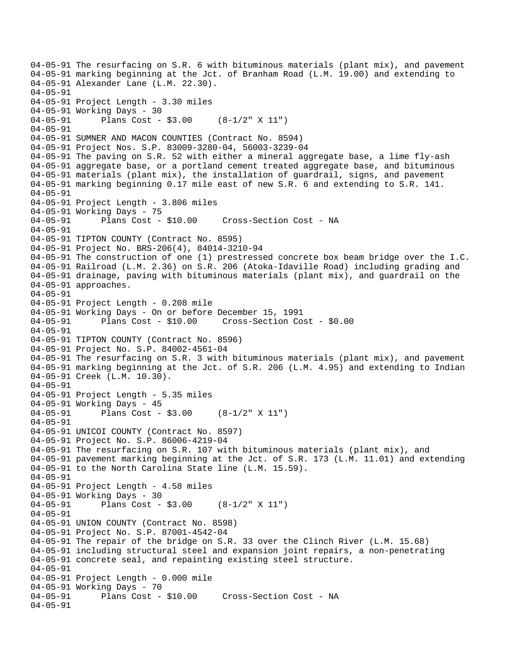04-05-91 The resurfacing on S.R. 6 with bituminous materials (plant mix), and pavement 04-05-91 marking beginning at the Jct. of Branham Road (L.M. 19.00) and extending to 04-05-91 Alexander Lane (L.M. 22.30). 04-05-91 04-05-91 Project Length - 3.30 miles 04-05-91 Working Days - 30 04-05-91 Plans Cost - \$3.00 (8-1/2" X 11") 04-05-91 04-05-91 SUMNER AND MACON COUNTIES (Contract No. 8594) 04-05-91 Project Nos. S.P. 83009-3280-04, 56003-3239-04 04-05-91 The paving on S.R. 52 with either a mineral aggregate base, a lime fly-ash 04-05-91 aggregate base, or a portland cement treated aggregate base, and bituminous 04-05-91 materials (plant mix), the installation of guardrail, signs, and pavement 04-05-91 marking beginning 0.17 mile east of new S.R. 6 and extending to S.R. 141. 04-05-91 04-05-91 Project Length - 3.806 miles 04-05-91 Working Days - 75<br>04-05-91 Plans Cost - \$10.00 04-05-91 Plans Cost - \$10.00 Cross-Section Cost - NA 04-05-91 04-05-91 TIPTON COUNTY (Contract No. 8595) 04-05-91 Project No. BRS-206(4), 84014-3210-94 04-05-91 The construction of one (1) prestressed concrete box beam bridge over the I.C. 04-05-91 Railroad (L.M. 2.36) on S.R. 206 (Atoka-Idaville Road) including grading and 04-05-91 drainage, paving with bituminous materials (plant mix), and guardrail on the 04-05-91 approaches. 04-05-91 04-05-91 Project Length - 0.208 mile 04-05-91 Working Days - On or before December 15, 1991 04-05-91 Plans Cost - \$10.00 Cross-Section Cost - \$0.00 04-05-91 04-05-91 TIPTON COUNTY (Contract No. 8596) 04-05-91 Project No. S.P. 84002-4561-04 04-05-91 The resurfacing on S.R. 3 with bituminous materials (plant mix), and pavement 04-05-91 marking beginning at the Jct. of S.R. 206 (L.M. 4.95) and extending to Indian 04-05-91 Creek (L.M. 10.30). 04-05-91 04-05-91 Project Length - 5.35 miles 04-05-91 Working Days - 45 04-05-91 Plans Cost - \$3.00 (8-1/2" X 11") 04-05-91 04-05-91 UNICOI COUNTY (Contract No. 8597) 04-05-91 Project No. S.P. 86006-4219-04 04-05-91 The resurfacing on S.R. 107 with bituminous materials (plant mix), and 04-05-91 pavement marking beginning at the Jct. of S.R. 173 (L.M. 11.01) and extending 04-05-91 to the North Carolina State line (L.M. 15.59). 04-05-91 04-05-91 Project Length - 4.58 miles 04-05-91 Working Days - 30 04-05-91 Plans Cost - \$3.00 (8-1/2" X 11") 04-05-91 04-05-91 UNION COUNTY (Contract No. 8598) 04-05-91 Project No. S.P. 87001-4542-04 04-05-91 The repair of the bridge on S.R. 33 over the Clinch River (L.M. 15.68) 04-05-91 including structural steel and expansion joint repairs, a non-penetrating 04-05-91 concrete seal, and repainting existing steel structure. 04-05-91 04-05-91 Project Length - 0.000 mile 04-05-91 Working Days - 70<br>04-05-91 Plans Cost - \$10.00 Cross-Section Cost - NA 04-05-91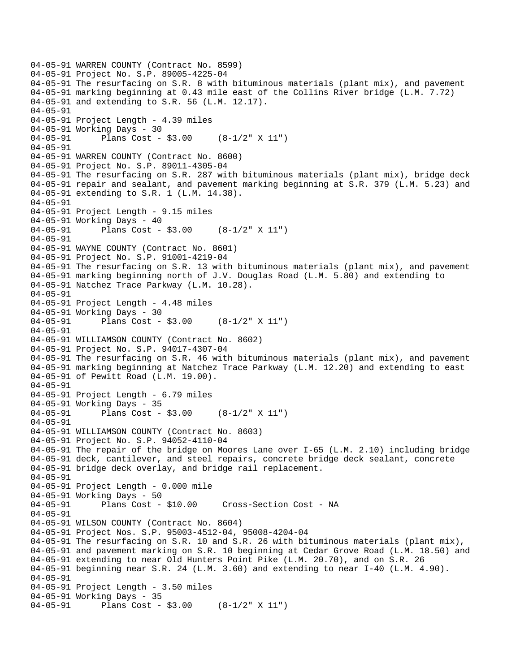```
04-05-91 WARREN COUNTY (Contract No. 8599) 
04-05-91 Project No. S.P. 89005-4225-04 
04-05-91 The resurfacing on S.R. 8 with bituminous materials (plant mix), and pavement 
04-05-91 marking beginning at 0.43 mile east of the Collins River bridge (L.M. 7.72) 
04-05-91 and extending to S.R. 56 (L.M. 12.17). 
04-05-91 
04-05-91 Project Length - 4.39 miles
04-05-91 Working Days - 30 
04-05-91 Plans Cost - $3.00 (8-1/2" X 11") 
04-05-91 
04-05-91 WARREN COUNTY (Contract No. 8600) 
04-05-91 Project No. S.P. 89011-4305-04 
04-05-91 The resurfacing on S.R. 287 with bituminous materials (plant mix), bridge deck 
04-05-91 repair and sealant, and pavement marking beginning at S.R. 379 (L.M. 5.23) and 
04-05-91 extending to S.R. 1 (L.M. 14.38). 
04-05-91 
04-05-91 Project Length - 9.15 miles
04-05-91 Working Days - 40 
04-05-91 Plans Cost - $3.00 (8-1/2" X 11") 
04-05-91 
04-05-91 WAYNE COUNTY (Contract No. 8601) 
04-05-91 Project No. S.P. 91001-4219-04 
04-05-91 The resurfacing on S.R. 13 with bituminous materials (plant mix), and pavement 
04-05-91 marking beginning north of J.V. Douglas Road (L.M. 5.80) and extending to 
04-05-91 Natchez Trace Parkway (L.M. 10.28). 
04-05-91 
04-05-91 Project Length - 4.48 miles
04-05-91 Working Days - 30 
04-05-91 Plans Cost - $3.00 (8-1/2" X 11") 
04-05-91 
04-05-91 WILLIAMSON COUNTY (Contract No. 8602) 
04-05-91 Project No. S.P. 94017-4307-04 
04-05-91 The resurfacing on S.R. 46 with bituminous materials (plant mix), and pavement 
04-05-91 marking beginning at Natchez Trace Parkway (L.M. 12.20) and extending to east 
04-05-91 of Pewitt Road (L.M. 19.00). 
04 - 05 - 9104-05-91 Project Length - 6.79 miles 
04-05-91 Working Days - 35 
04-05-91 Plans Cost - $3.00 (8-1/2" X 11") 
04-05-91 
04-05-91 WILLIAMSON COUNTY (Contract No. 8603) 
04-05-91 Project No. S.P. 94052-4110-04 
04-05-91 The repair of the bridge on Moores Lane over I-65 (L.M. 2.10) including bridge 
04-05-91 deck, cantilever, and steel repairs, concrete bridge deck sealant, concrete 
04-05-91 bridge deck overlay, and bridge rail replacement. 
04-05-91 
04-05-91 Project Length - 0.000 mile 
04-05-91 Working Days - 50 
04-05-91 Plans Cost - $10.00 Cross-Section Cost - NA 
04-05-91 
04-05-91 WILSON COUNTY (Contract No. 8604) 
04-05-91 Project Nos. S.P. 95003-4512-04, 95008-4204-04 
04-05-91 The resurfacing on S.R. 10 and S.R. 26 with bituminous materials (plant mix), 
04-05-91 and pavement marking on S.R. 10 beginning at Cedar Grove Road (L.M. 18.50) and 
04-05-91 extending to near Old Hunters Point Pike (L.M. 20.70), and on S.R. 26 
04-05-91 beginning near S.R. 24 (L.M. 3.60) and extending to near I-40 (L.M. 4.90). 
04-05-91 
04-05-91 Project Length - 3.50 miles
04-05-91 Working Days - 35 
04-05-91 Plans Cost - $3.00 (8-1/2" X 11")
```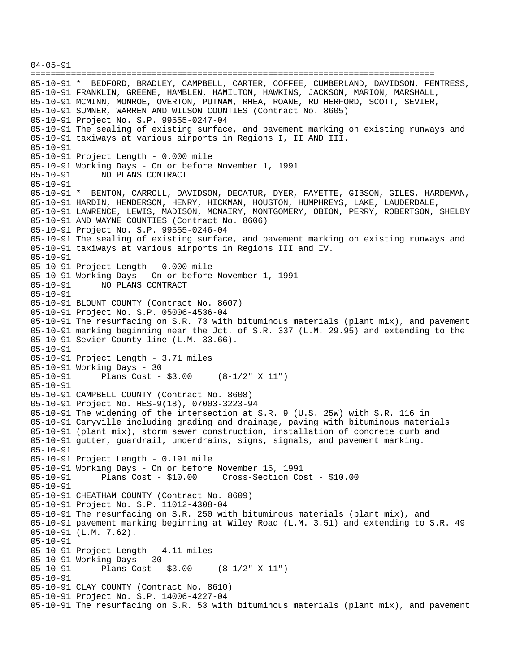04-05-91 ================================================================================ 05-10-91 \* BEDFORD, BRADLEY, CAMPBELL, CARTER, COFFEE, CUMBERLAND, DAVIDSON, FENTRESS, 05-10-91 FRANKLIN, GREENE, HAMBLEN, HAMILTON, HAWKINS, JACKSON, MARION, MARSHALL, 05-10-91 MCMINN, MONROE, OVERTON, PUTNAM, RHEA, ROANE, RUTHERFORD, SCOTT, SEVIER, 05-10-91 SUMNER, WARREN AND WILSON COUNTIES (Contract No. 8605) 05-10-91 Project No. S.P. 99555-0247-04 05-10-91 The sealing of existing surface, and pavement marking on existing runways and 05-10-91 taxiways at various airports in Regions I, II AND III. 05-10-91 05-10-91 Project Length - 0.000 mile 05-10-91 Working Days - On or before November 1, 1991 05-10-91 NO PLANS CONTRACT 05-10-91 05-10-91 \* BENTON, CARROLL, DAVIDSON, DECATUR, DYER, FAYETTE, GIBSON, GILES, HARDEMAN, 05-10-91 HARDIN, HENDERSON, HENRY, HICKMAN, HOUSTON, HUMPHREYS, LAKE, LAUDERDALE, 05-10-91 LAWRENCE, LEWIS, MADISON, MCNAIRY, MONTGOMERY, OBION, PERRY, ROBERTSON, SHELBY 05-10-91 AND WAYNE COUNTIES (Contract No. 8606) 05-10-91 Project No. S.P. 99555-0246-04 05-10-91 The sealing of existing surface, and pavement marking on existing runways and 05-10-91 taxiways at various airports in Regions III and IV. 05-10-91 05-10-91 Project Length - 0.000 mile 05-10-91 Working Days - On or before November 1, 1991 NO PLANS CONTRACT 05-10-91 05-10-91 BLOUNT COUNTY (Contract No. 8607) 05-10-91 Project No. S.P. 05006-4536-04 05-10-91 The resurfacing on S.R. 73 with bituminous materials (plant mix), and pavement 05-10-91 marking beginning near the Jct. of S.R. 337 (L.M. 29.95) and extending to the 05-10-91 Sevier County line (L.M. 33.66). 05-10-91 05-10-91 Project Length - 3.71 miles 05-10-91 Working Days - 30<br>05-10-91 Plans Cost -Plans Cost -  $$3.00$  (8-1/2" X 11") 05-10-91 05-10-91 CAMPBELL COUNTY (Contract No. 8608) 05-10-91 Project No. HES-9(18), 07003-3223-94 05-10-91 The widening of the intersection at S.R. 9 (U.S. 25W) with S.R. 116 in 05-10-91 Caryville including grading and drainage, paving with bituminous materials 05-10-91 (plant mix), storm sewer construction, installation of concrete curb and 05-10-91 gutter, guardrail, underdrains, signs, signals, and pavement marking. 05-10-91 05-10-91 Project Length - 0.191 mile 05-10-91 Working Days - On or before November 15, 1991 05-10-91 Plans Cost - \$10.00 Cross-Section Cost - \$10.00 05-10-91 05-10-91 CHEATHAM COUNTY (Contract No. 8609) 05-10-91 Project No. S.P. 11012-4308-04 05-10-91 The resurfacing on S.R. 250 with bituminous materials (plant mix), and 05-10-91 pavement marking beginning at Wiley Road (L.M. 3.51) and extending to S.R. 49 05-10-91 (L.M. 7.62). 05-10-91 05-10-91 Project Length - 4.11 miles 05-10-91 Working Days - 30 05-10-91 Plans Cost - \$3.00 (8-1/2" X 11") 05-10-91 05-10-91 CLAY COUNTY (Contract No. 8610) 05-10-91 Project No. S.P. 14006-4227-04 05-10-91 The resurfacing on S.R. 53 with bituminous materials (plant mix), and pavement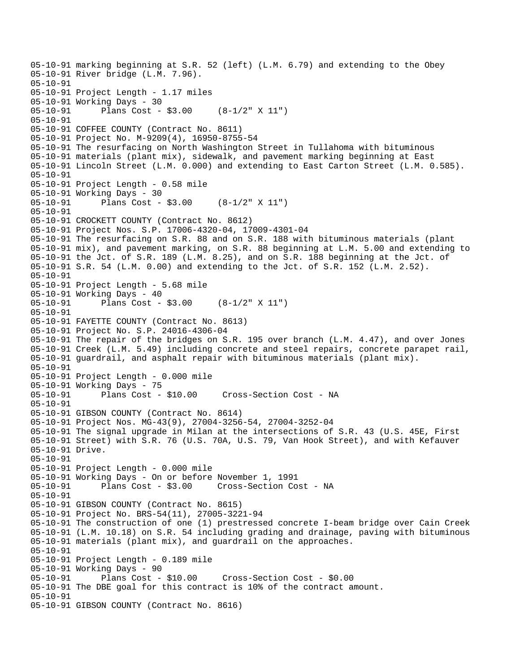05-10-91 marking beginning at S.R. 52 (left) (L.M. 6.79) and extending to the Obey 05-10-91 River bridge (L.M. 7.96). 05-10-91 05-10-91 Project Length - 1.17 miles 05-10-91 Working Days - 30 05-10-91 Plans Cost - \$3.00 (8-1/2" X 11") 05-10-91 05-10-91 COFFEE COUNTY (Contract No. 8611) 05-10-91 Project No. M-9209(4), 16950-8755-54 05-10-91 The resurfacing on North Washington Street in Tullahoma with bituminous 05-10-91 materials (plant mix), sidewalk, and pavement marking beginning at East 05-10-91 Lincoln Street (L.M. 0.000) and extending to East Carton Street (L.M. 0.585). 05-10-91 05-10-91 Project Length - 0.58 mile 05-10-91 Working Days - 30 05-10-91 Plans Cost - \$3.00 (8-1/2" X 11") 05-10-91 05-10-91 CROCKETT COUNTY (Contract No. 8612) 05-10-91 Project Nos. S.P. 17006-4320-04, 17009-4301-04 05-10-91 The resurfacing on S.R. 88 and on S.R. 188 with bituminous materials (plant 05-10-91 mix), and pavement marking, on S.R. 88 beginning at L.M. 5.00 and extending to 05-10-91 the Jct. of S.R. 189 (L.M. 8.25), and on S.R. 188 beginning at the Jct. of 05-10-91 S.R. 54 (L.M. 0.00) and extending to the Jct. of S.R. 152 (L.M. 2.52). 05-10-91 05-10-91 Project Length - 5.68 mile 05-10-91 Working Days - 40 05-10-91 Plans Cost - \$3.00 (8-1/2" X 11") 05-10-91 05-10-91 FAYETTE COUNTY (Contract No. 8613) 05-10-91 Project No. S.P. 24016-4306-04 05-10-91 The repair of the bridges on S.R. 195 over branch (L.M. 4.47), and over Jones 05-10-91 Creek (L.M. 5.49) including concrete and steel repairs, concrete parapet rail, 05-10-91 guardrail, and asphalt repair with bituminous materials (plant mix). 05-10-91 05-10-91 Project Length - 0.000 mile 05-10-91 Working Days - 75 05-10-91 Plans Cost - \$10.00 Cross-Section Cost - NA 05-10-91 05-10-91 GIBSON COUNTY (Contract No. 8614) 05-10-91 Project Nos. MG-43(9), 27004-3256-54, 27004-3252-04 05-10-91 The signal upgrade in Milan at the intersections of S.R. 43 (U.S. 45E, First 05-10-91 Street) with S.R. 76 (U.S. 70A, U.S. 79, Van Hook Street), and with Kefauver 05-10-91 Drive. 05-10-91 05-10-91 Project Length - 0.000 mile 05-10-91 Working Days - On or before November 1, 1991 05-10-91 Plans Cost - \$3.00 Cross-Section Cost - NA 05-10-91 05-10-91 GIBSON COUNTY (Contract No. 8615) 05-10-91 Project No. BRS-54(11), 27005-3221-94 05-10-91 The construction of one (1) prestressed concrete I-beam bridge over Cain Creek 05-10-91 (L.M. 10.18) on S.R. 54 including grading and drainage, paving with bituminous 05-10-91 materials (plant mix), and guardrail on the approaches. 05-10-91 05-10-91 Project Length - 0.189 mile 05-10-91 Working Days - 90 05-10-91 Plans Cost - \$10.00 Cross-Section Cost - \$0.00 05-10-91 The DBE goal for this contract is 10% of the contract amount. 05-10-91 05-10-91 GIBSON COUNTY (Contract No. 8616)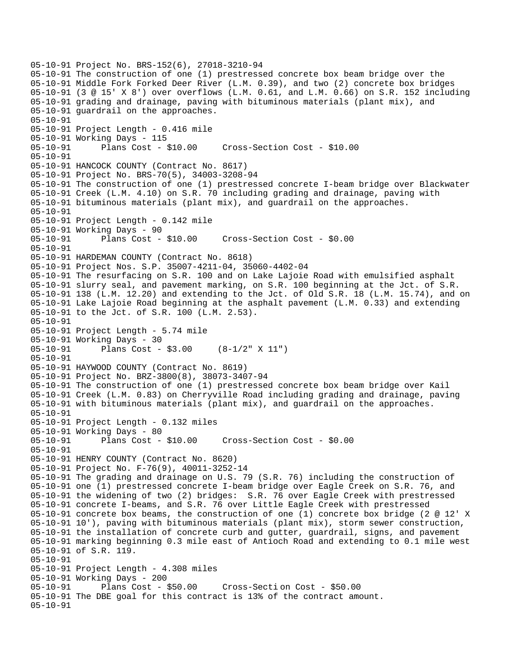05-10-91 Project No. BRS-152(6), 27018-3210-94 05-10-91 The construction of one (1) prestressed concrete box beam bridge over the 05-10-91 Middle Fork Forked Deer River (L.M. 0.39), and two (2) concrete box bridges 05-10-91 (3 @ 15' X 8') over overflows (L.M. 0.61, and L.M. 0.66) on S.R. 152 including 05-10-91 grading and drainage, paving with bituminous materials (plant mix), and 05-10-91 guardrail on the approaches. 05-10-91 05-10-91 Project Length - 0.416 mile 05-10-91 Working Days - 115 05-10-91 Plans Cost - \$10.00 Cross-Section Cost - \$10.00 05-10-91 05-10-91 HANCOCK COUNTY (Contract No. 8617) 05-10-91 Project No. BRS-70(5), 34003-3208-94 05-10-91 The construction of one (1) prestressed concrete I-beam bridge over Blackwater 05-10-91 Creek (L.M. 4.10) on S.R. 70 including grading and drainage, paving with 05-10-91 bituminous materials (plant mix), and guardrail on the approaches. 05-10-91 05-10-91 Project Length - 0.142 mile 05-10-91 Working Days - 90 05-10-91 Plans Cost - \$10.00 Cross-Section Cost - \$0.00 05-10-91 05-10-91 HARDEMAN COUNTY (Contract No. 8618) 05-10-91 Project Nos. S.P. 35007-4211-04, 35060-4402-04 05-10-91 The resurfacing on S.R. 100 and on Lake Lajoie Road with emulsified asphalt 05-10-91 slurry seal, and pavement marking, on S.R. 100 beginning at the Jct. of S.R. 05-10-91 138 (L.M. 12.20) and extending to the Jct. of Old S.R. 18 (L.M. 15.74), and on 05-10-91 Lake Lajoie Road beginning at the asphalt pavement (L.M. 0.33) and extending 05-10-91 to the Jct. of S.R. 100 (L.M. 2.53). 05-10-91 05-10-91 Project Length - 5.74 mile 05-10-91 Working Days - 30 05-10-91 Plans Cost - \$3.00 (8-1/2" X 11") 05-10-91 05-10-91 HAYWOOD COUNTY (Contract No. 8619) 05-10-91 Project No. BRZ-3800(8), 38073-3407-94 05-10-91 The construction of one (1) prestressed concrete box beam bridge over Kail 05-10-91 Creek (L.M. 0.83) on Cherryville Road including grading and drainage, paving 05-10-91 with bituminous materials (plant mix), and guardrail on the approaches. 05-10-91 05-10-91 Project Length - 0.132 miles 05-10-91 Working Days - 80 05-10-91 Plans Cost - \$10.00 Cross-Section Cost - \$0.00 05-10-91 05-10-91 HENRY COUNTY (Contract No. 8620) 05-10-91 Project No. F-76(9), 40011-3252-14 05-10-91 The grading and drainage on U.S. 79 (S.R. 76) including the construction of 05-10-91 one (1) prestressed concrete I-beam bridge over Eagle Creek on S.R. 76, and 05-10-91 the widening of two (2) bridges: S.R. 76 over Eagle Creek with prestressed 05-10-91 concrete I-beams, and S.R. 76 over Little Eagle Creek with prestressed 05-10-91 concrete box beams, the construction of one (1) concrete box bridge (2 @ 12' X 05-10-91 10'), paving with bituminous materials (plant mix), storm sewer construction, 05-10-91 the installation of concrete curb and gutter, guardrail, signs, and pavement 05-10-91 marking beginning 0.3 mile east of Antioch Road and extending to 0.1 mile west 05-10-91 of S.R. 119. 05-10-91 05-10-91 Project Length - 4.308 miles 05-10-91 Working Days - 200 05-10-91 Plans Cost - \$50.00 Cross-Secti on Cost - \$50.00 05-10-91 The DBE goal for this contract is 13% of the contract amount. 05-10-91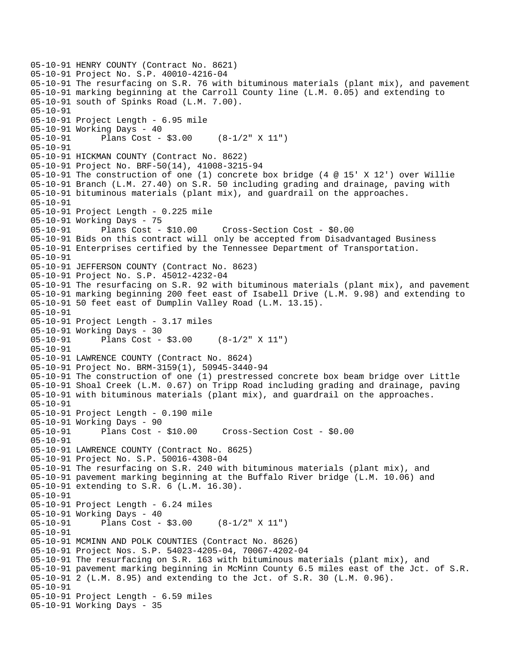```
05-10-91 HENRY COUNTY (Contract No. 8621) 
05-10-91 Project No. S.P. 40010-4216-04 
05-10-91 The resurfacing on S.R. 76 with bituminous materials (plant mix), and pavement 
05-10-91 marking beginning at the Carroll County line (L.M. 0.05) and extending to 
05-10-91 south of Spinks Road (L.M. 7.00). 
05-10-91 
05-10-91 Project Length - 6.95 mile 
05-10-91 Working Days - 40 
05-10-91 Plans Cost - $3.00 (8-1/2" X 11") 
05-10-91 
05-10-91 HICKMAN COUNTY (Contract No. 8622) 
05-10-91 Project No. BRF-50(14), 41008-3215-94 
05-10-91 The construction of one (1) concrete box bridge (4 @ 15' X 12') over Willie 
05-10-91 Branch (L.M. 27.40) on S.R. 50 including grading and drainage, paving with 
05-10-91 bituminous materials (plant mix), and guardrail on the approaches. 
05-10-91 
05-10-91 Project Length - 0.225 mile 
05-10-91 Working Days - 75 
05-10-91 Plans Cost - $10.00 Cross-Section Cost - $0.00 
05-10-91 Bids on this contract will only be accepted from Disadvantaged Business 
05-10-91 Enterprises certified by the Tennessee Department of Transportation. 
05-10-91 
05-10-91 JEFFERSON COUNTY (Contract No. 8623) 
05-10-91 Project No. S.P. 45012-4232-04 
05-10-91 The resurfacing on S.R. 92 with bituminous materials (plant mix), and pavement 
05-10-91 marking beginning 200 feet east of Isabell Drive (L.M. 9.98) and extending to 
05-10-91 50 feet east of Dumplin Valley Road (L.M. 13.15). 
05-10-91 
05-10-91 Project Length - 3.17 miles 
05-10-91 Working Days - 30 
05-10-91 Plans Cost - $3.00 (8-1/2" X 11") 
05-10-91 
05-10-91 LAWRENCE COUNTY (Contract No. 8624) 
05-10-91 Project No. BRM-3159(1), 50945-3440-94 
05-10-91 The construction of one (1) prestressed concrete box beam bridge over Little 
05-10-91 Shoal Creek (L.M. 0.67) on Tripp Road including grading and drainage, paving 
05-10-91 with bituminous materials (plant mix), and guardrail on the approaches. 
05-10-91 
05-10-91 Project Length - 0.190 mile 
05-10-91 Working Days - 90 
05-10-91 Plans Cost - $10.00 Cross-Section Cost - $0.00 
05-10-91 
05-10-91 LAWRENCE COUNTY (Contract No. 8625) 
05-10-91 Project No. S.P. 50016-4308-04 
05-10-91 The resurfacing on S.R. 240 with bituminous materials (plant mix), and 
05-10-91 pavement marking beginning at the Buffalo River bridge (L.M. 10.06) and 
05-10-91 extending to S.R. 6 (L.M. 16.30). 
05-10-91 
05-10-91 Project Length - 6.24 miles 
05-10-91 Working Days - 40<br>05-10-91 Plans Cost -
              Plans Cost - $3.00 (8-1/2" X 11")
05-10-91 
05-10-91 MCMINN AND POLK COUNTIES (Contract No. 8626) 
05-10-91 Project Nos. S.P. 54023-4205-04, 70067-4202-04 
05-10-91 The resurfacing on S.R. 163 with bituminous materials (plant mix), and 
05-10-91 pavement marking beginning in McMinn County 6.5 miles east of the Jct. of S.R. 
05-10-91 2 (L.M. 8.95) and extending to the Jct. of S.R. 30 (L.M. 0.96). 
05-10-91 
05-10-91 Project Length - 6.59 miles 
05-10-91 Working Days - 35
```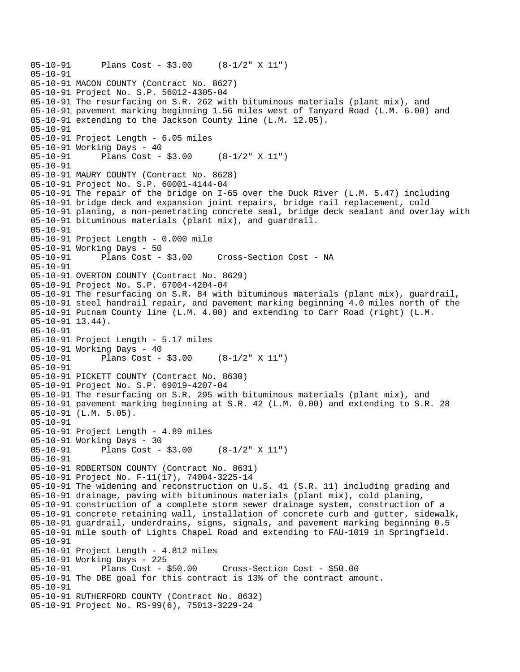```
05-10-91 Plans Cost - $3.00 (8-1/2" X 11") 
05-10-91 
05-10-91 MACON COUNTY (Contract No. 8627) 
05-10-91 Project No. S.P. 56012-4305-04 
05-10-91 The resurfacing on S.R. 262 with bituminous materials (plant mix), and 
05-10-91 pavement marking beginning 1.56 miles west of Tanyard Road (L.M. 6.00) and 
05-10-91 extending to the Jackson County line (L.M. 12.05). 
05-10-91 
05-10-91 Project Length - 6.05 miles 
05-10-91 Working Days - 40 
05-10-91 Plans Cost - $3.00 (8-1/2" X 11") 
05-10-91 
05-10-91 MAURY COUNTY (Contract No. 8628) 
05-10-91 Project No. S.P. 60001-4144-04 
05-10-91 The repair of the bridge on I-65 over the Duck River (L.M. 5.47) including 
05-10-91 bridge deck and expansion joint repairs, bridge rail replacement, cold 
05-10-91 planing, a non-penetrating concrete seal, bridge deck sealant and overlay with 
05-10-91 bituminous materials (plant mix), and guardrail. 
05-10-91 
05-10-91 Project Length - 0.000 mile 
05-10-91 Working Days - 50<br>05-10-91 Plans Cost - $3.00
05-10-91 Plans Cost - $3.00 Cross-Section Cost - NA 
05-10-91 
05-10-91 OVERTON COUNTY (Contract No. 8629) 
05-10-91 Project No. S.P. 67004-4204-04 
05-10-91 The resurfacing on S.R. 84 with bituminous materials (plant mix), guardrail, 
05-10-91 steel handrail repair, and pavement marking beginning 4.0 miles north of the 
05-10-91 Putnam County line (L.M. 4.00) and extending to Carr Road (right) (L.M. 
05-10-91 13.44). 
05-10-91 
05-10-91 Project Length - 5.17 miles 
05-10-91 Working Days - 40<br>05-10-91 Plans Cost -
              Plans Cost - $3.00 (8-1/2" X 11")
05-10-91 
05-10-91 PICKETT COUNTY (Contract No. 8630) 
05-10-91 Project No. S.P. 69019-4207-04 
05-10-91 The resurfacing on S.R. 295 with bituminous materials (plant mix), and 
05-10-91 pavement marking beginning at S.R. 42 (L.M. 0.00) and extending to S.R. 28 
05-10-91 (L.M. 5.05). 
05-10-91 
05-10-91 Project Length - 4.89 miles 
05-10-91 Working Days - 30 
05-10-91 Plans Cost - $3.00 (8-1/2" X 11") 
05-10-91 
05-10-91 ROBERTSON COUNTY (Contract No. 8631) 
05-10-91 Project No. F-11(17), 74004-3225-14 
05-10-91 The widening and reconstruction on U.S. 41 (S.R. 11) including grading and 
05-10-91 drainage, paving with bituminous materials (plant mix), cold planing, 
05-10-91 construction of a complete storm sewer drainage system, construction of a 
05-10-91 concrete retaining wall, installation of concrete curb and gutter, sidewalk, 
05-10-91 guardrail, underdrains, signs, signals, and pavement marking beginning 0.5 
05-10-91 mile south of Lights Chapel Road and extending to FAU-1019 in Springfield. 
05-10-91 
05-10-91 Project Length - 4.812 miles 
05-10-91 Working Days - 225 
05-10-91 Plans Cost - $50.00 Cross-Section Cost - $50.00 
05-10-91 The DBE goal for this contract is 13% of the contract amount. 
05-10-91 
05-10-91 RUTHERFORD COUNTY (Contract No. 8632) 
05-10-91 Project No. RS-99(6), 75013-3229-24
```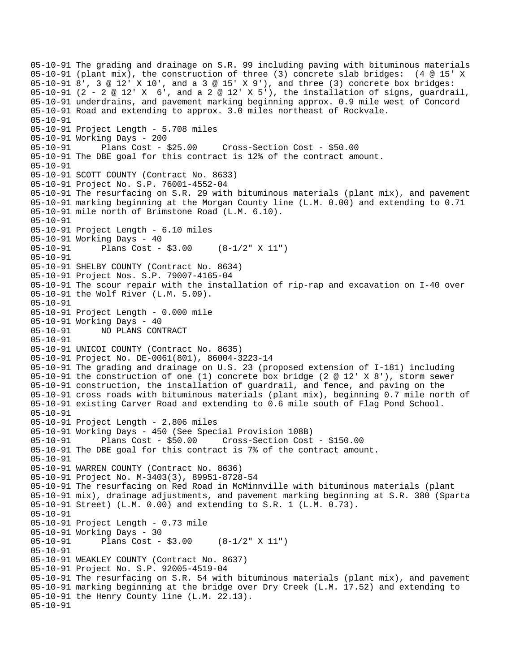05-10-91 The grading and drainage on S.R. 99 including paving with bituminous materials 05-10-91 (plant mix), the construction of three (3) concrete slab bridges: (4 @ 15' X 05-10-91 8', 3 @ 12' X 10', and a 3 @ 15' X 9'), and three (3) concrete box bridges: 05-10-91 (2 - 2 @ 12' X 6', and a 2 @ 12' X 5'), the installation of signs, guardrail, 05-10-91 underdrains, and pavement marking beginning approx. 0.9 mile west of Concord 05-10-91 Road and extending to approx. 3.0 miles northeast of Rockvale. 05-10-91 05-10-91 Project Length - 5.708 miles 05-10-91 Working Days - 200 05-10-91 Plans Cost - \$25.00 Cross-Section Cost - \$50.00 05-10-91 The DBE goal for this contract is 12% of the contract amount. 05-10-91 05-10-91 SCOTT COUNTY (Contract No. 8633) 05-10-91 Project No. S.P. 76001-4552-04 05-10-91 The resurfacing on S.R. 29 with bituminous materials (plant mix), and pavement 05-10-91 marking beginning at the Morgan County line (L.M. 0.00) and extending to 0.71 05-10-91 mile north of Brimstone Road (L.M. 6.10). 05-10-91 05-10-91 Project Length - 6.10 miles 05-10-91 Working Days - 40 05-10-91 Plans Cost - \$3.00 (8-1/2" X 11") 05-10-91 05-10-91 SHELBY COUNTY (Contract No. 8634) 05-10-91 Project Nos. S.P. 79007-4165-04 05-10-91 The scour repair with the installation of rip-rap and excavation on I-40 over 05-10-91 the Wolf River (L.M. 5.09). 05-10-91 05-10-91 Project Length - 0.000 mile 05-10-91 Working Days - 40 05-10-91 NO PLANS CONTRACT 05-10-91 05-10-91 UNICOI COUNTY (Contract No. 8635) 05-10-91 Project No. DE-0061(801), 86004-3223-14 05-10-91 The grading and drainage on U.S. 23 (proposed extension of I-181) including 05-10-91 the construction of one (1) concrete box bridge (2 @ 12' X 8'), storm sewer 05-10-91 construction, the installation of guardrail, and fence, and paving on the 05-10-91 cross roads with bituminous materials (plant mix), beginning 0.7 mile north of 05-10-91 existing Carver Road and extending to 0.6 mile south of Flag Pond School. 05-10-91 05-10-91 Project Length - 2.806 miles 05-10-91 Working Days - 450 (See Special Provision 108B) 05-10-91 Plans Cost - \$50.00 Cross-Section Cost - \$150.00 05-10-91 The DBE goal for this contract is 7% of the contract amount. 05-10-91 05-10-91 WARREN COUNTY (Contract No. 8636) 05-10-91 Project No. M-3403(3), 89951-8728-54 05-10-91 The resurfacing on Red Road in McMinnville with bituminous materials (plant 05-10-91 mix), drainage adjustments, and pavement marking beginning at S.R. 380 (Sparta 05-10-91 Street) (L.M. 0.00) and extending to S.R. 1 (L.M. 0.73). 05-10-91 05-10-91 Project Length - 0.73 mile 05-10-91 Working Days - 30 05-10-91 Plans Cost - \$3.00 (8-1/2" X 11") 05-10-91 05-10-91 WEAKLEY COUNTY (Contract No. 8637) 05-10-91 Project No. S.P. 92005-4519-04 05-10-91 The resurfacing on S.R. 54 with bituminous materials (plant mix), and pavement 05-10-91 marking beginning at the bridge over Dry Creek (L.M. 17.52) and extending to 05-10-91 the Henry County line (L.M. 22.13). 05-10-91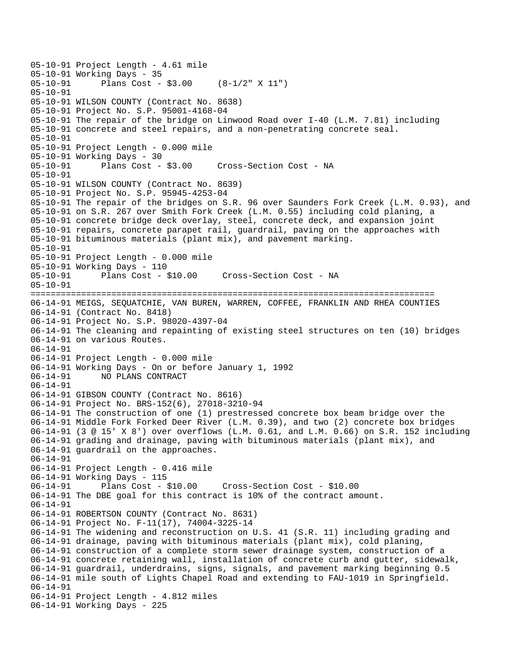```
05-10-91 Project Length - 4.61 mile 
05-10-91 Working Days - 35<br>05-10-91 Plans Cost -
              Plans Cost - $3.00 (8-1/2" X 11")
05-10-91 
05-10-91 WILSON COUNTY (Contract No. 8638) 
05-10-91 Project No. S.P. 95001-4168-04 
05-10-91 The repair of the bridge on Linwood Road over I-40 (L.M. 7.81) including 
05-10-91 concrete and steel repairs, and a non-penetrating concrete seal. 
05-10-91 
05-10-91 Project Length - 0.000 mile 
05-10-91 Working Days - 30 
05-10-91 Plans Cost - $3.00 Cross-Section Cost - NA 
05-10-91 
05-10-91 WILSON COUNTY (Contract No. 8639) 
05-10-91 Project No. S.P. 95945-4253-04 
05-10-91 The repair of the bridges on S.R. 96 over Saunders Fork Creek (L.M. 0.93), and 
05-10-91 on S.R. 267 over Smith Fork Creek (L.M. 0.55) including cold planing, a 
05-10-91 concrete bridge deck overlay, steel, concrete deck, and expansion joint 
05-10-91 repairs, concrete parapet rail, guardrail, paving on the approaches with 
05-10-91 bituminous materials (plant mix), and pavement marking. 
05-10-91 
05-10-91 Project Length - 0.000 mile 
05-10-91 Working Days - 110 
05-10-91 Plans Cost - $10.00 Cross-Section Cost - NA 
05-10-91 
================================================================================ 
06-14-91 MEIGS, SEQUATCHIE, VAN BUREN, WARREN, COFFEE, FRANKLIN AND RHEA COUNTIES 
06-14-91 (Contract No. 8418) 
06-14-91 Project No. S.P. 98020-4397-04 
06-14-91 The cleaning and repainting of existing steel structures on ten (10) bridges 
06-14-91 on various Routes. 
06-14-91 
06-14-91 Project Length - 0.000 mile 
06-14-91 Working Days - On or before January 1, 1992 
             06-14-91 NO PLANS CONTRACT 
06-14-91 
06-14-91 GIBSON COUNTY (Contract No. 8616) 
06-14-91 Project No. BRS-152(6), 27018-3210-94 
06-14-91 The construction of one (1) prestressed concrete box beam bridge over the 
06-14-91 Middle Fork Forked Deer River (L.M. 0.39), and two (2) concrete box bridges 
06-14-91 (3 @ 15' X 8') over overflows (L.M. 0.61, and L.M. 0.66) on S.R. 152 including 
06-14-91 grading and drainage, paving with bituminous materials (plant mix), and 
06-14-91 guardrail on the approaches. 
06-14-91 
06-14-91 Project Length - 0.416 mile 
06-14-91 Working Days - 115 
06-14-91 Plans Cost - $10.00 Cross-Section Cost - $10.00 
06-14-91 The DBE goal for this contract is 10% of the contract amount. 
06-14-91 
06-14-91 ROBERTSON COUNTY (Contract No. 8631) 
06-14-91 Project No. F-11(17), 74004-3225-14 
06-14-91 The widening and reconstruction on U.S. 41 (S.R. 11) including grading and 
06-14-91 drainage, paving with bituminous materials (plant mix), cold planing, 
06-14-91 construction of a complete storm sewer drainage system, construction of a 
06-14-91 concrete retaining wall, installation of concrete curb and gutter, sidewalk, 
06-14-91 guardrail, underdrains, signs, signals, and pavement marking beginning 0.5 
06-14-91 mile south of Lights Chapel Road and extending to FAU-1019 in Springfield. 
06-14-91 
06-14-91 Project Length - 4.812 miles 
06-14-91 Working Days - 225
```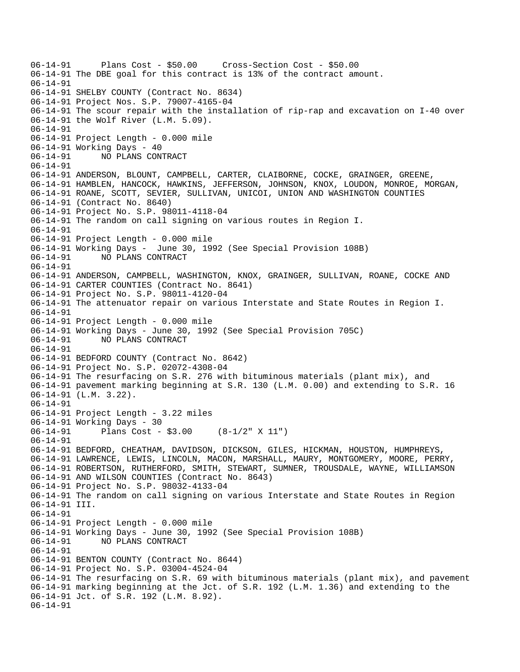```
06-14-91 Plans Cost - $50.00 Cross-Section Cost - $50.00 
06-14-91 The DBE goal for this contract is 13% of the contract amount. 
06-14-91 
06-14-91 SHELBY COUNTY (Contract No. 8634) 
06-14-91 Project Nos. S.P. 79007-4165-04 
06-14-91 The scour repair with the installation of rip-rap and excavation on I-40 over 
06-14-91 the Wolf River (L.M. 5.09). 
06-14-91 
06-14-91 Project Length - 0.000 mile 
06-14-91 Working Days - 40 
06-14-91 NO PLANS CONTRACT 
06-14-91 
06-14-91 ANDERSON, BLOUNT, CAMPBELL, CARTER, CLAIBORNE, COCKE, GRAINGER, GREENE, 
06-14-91 HAMBLEN, HANCOCK, HAWKINS, JEFFERSON, JOHNSON, KNOX, LOUDON, MONROE, MORGAN, 
06-14-91 ROANE, SCOTT, SEVIER, SULLIVAN, UNICOI, UNION AND WASHINGTON COUNTIES 
06-14-91 (Contract No. 8640) 
06-14-91 Project No. S.P. 98011-4118-04 
06-14-91 The random on call signing on various routes in Region I. 
06-14-91 
06-14-91 Project Length - 0.000 mile 
06-14-91 Working Days - June 30, 1992 (See Special Provision 108B) 
06-14-91 NO PLANS CONTRACT 
06-14-91 
06-14-91 ANDERSON, CAMPBELL, WASHINGTON, KNOX, GRAINGER, SULLIVAN, ROANE, COCKE AND 
06-14-91 CARTER COUNTIES (Contract No. 8641) 
06-14-91 Project No. S.P. 98011-4120-04 
06-14-91 The attenuator repair on various Interstate and State Routes in Region I. 
06-14-91 
06-14-91 Project Length - 0.000 mile 
06-14-91 Working Days - June 30, 1992 (See Special Provision 705C) 
06-14-91 NO PLANS CONTRACT 
06-14-91 
06-14-91 BEDFORD COUNTY (Contract No. 8642) 
06-14-91 Project No. S.P. 02072-4308-04 
06-14-91 The resurfacing on S.R. 276 with bituminous materials (plant mix), and 
06-14-91 pavement marking beginning at S.R. 130 (L.M. 0.00) and extending to S.R. 16 
06-14-91 (L.M. 3.22). 
06-14-91 
06-14-91 Project Length - 3.22 miles 
06-14-91 Working Days - 30 
06-14-91 Plans Cost - $3.00 (8-1/2" X 11") 
06-14-91 
06-14-91 BEDFORD, CHEATHAM, DAVIDSON, DICKSON, GILES, HICKMAN, HOUSTON, HUMPHREYS, 
06-14-91 LAWRENCE, LEWIS, LINCOLN, MACON, MARSHALL, MAURY, MONTGOMERY, MOORE, PERRY, 
06-14-91 ROBERTSON, RUTHERFORD, SMITH, STEWART, SUMNER, TROUSDALE, WAYNE, WILLIAMSON 
06-14-91 AND WILSON COUNTIES (Contract No. 8643) 
06-14-91 Project No. S.P. 98032-4133-04 
06-14-91 The random on call signing on various Interstate and State Routes in Region 
06-14-91 III. 
06-14-91 
06-14-91 Project Length - 0.000 mile 
06-14-91 Working Days - June 30, 1992 (See Special Provision 108B) 
06-14-91 NO PLANS CONTRACT 
06-14-91 
06-14-91 BENTON COUNTY (Contract No. 8644) 
06-14-91 Project No. S.P. 03004-4524-04 
06-14-91 The resurfacing on S.R. 69 with bituminous materials (plant mix), and pavement 
06-14-91 marking beginning at the Jct. of S.R. 192 (L.M. 1.36) and extending to the 
06-14-91 Jct. of S.R. 192 (L.M. 8.92). 
06-14-91
```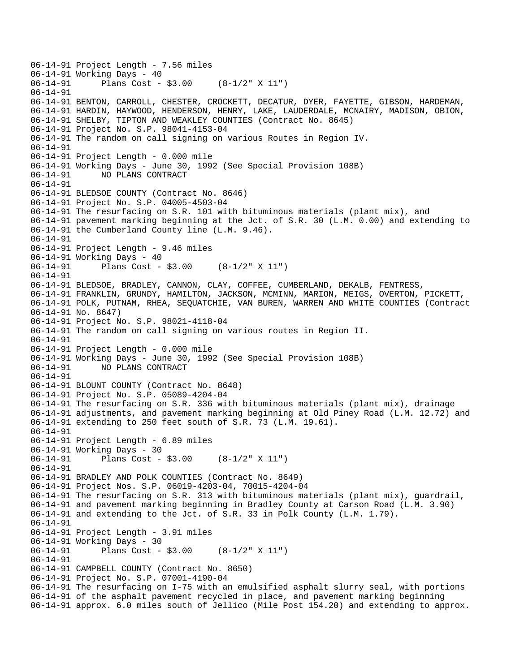06-14-91 Project Length - 7.56 miles 06-14-91 Working Days - 40<br>06-14-91 Plans Cost -Plans Cost -  $$3.00$  (8-1/2" X 11") 06-14-91 06-14-91 BENTON, CARROLL, CHESTER, CROCKETT, DECATUR, DYER, FAYETTE, GIBSON, HARDEMAN, 06-14-91 HARDIN, HAYWOOD, HENDERSON, HENRY, LAKE, LAUDERDALE, MCNAIRY, MADISON, OBION, 06-14-91 SHELBY, TIPTON AND WEAKLEY COUNTIES (Contract No. 8645) 06-14-91 Project No. S.P. 98041-4153-04 06-14-91 The random on call signing on various Routes in Region IV. 06-14-91 06-14-91 Project Length - 0.000 mile 06-14-91 Working Days - June 30, 1992 (See Special Provision 108B) 06-14-91 NO PLANS CONTRACT 06-14-91 06-14-91 BLEDSOE COUNTY (Contract No. 8646) 06-14-91 Project No. S.P. 04005-4503-04 06-14-91 The resurfacing on S.R. 101 with bituminous materials (plant mix), and 06-14-91 pavement marking beginning at the Jct. of S.R. 30 (L.M. 0.00) and extending to 06-14-91 the Cumberland County line (L.M. 9.46). 06-14-91 06-14-91 Project Length - 9.46 miles 06-14-91 Working Days - 40 06-14-91 Plans Cost - \$3.00 (8-1/2" X 11") 06-14-91 06-14-91 BLEDSOE, BRADLEY, CANNON, CLAY, COFFEE, CUMBERLAND, DEKALB, FENTRESS, 06-14-91 FRANKLIN, GRUNDY, HAMILTON, JACKSON, MCMINN, MARION, MEIGS, OVERTON, PICKETT, 06-14-91 POLK, PUTNAM, RHEA, SEQUATCHIE, VAN BUREN, WARREN AND WHITE COUNTIES (Contract 06-14-91 No. 8647) 06-14-91 Project No. S.P. 98021-4118-04 06-14-91 The random on call signing on various routes in Region II. 06-14-91 06-14-91 Project Length - 0.000 mile 06-14-91 Working Days - June 30, 1992 (See Special Provision 108B) 06-14-91 NO PLANS CONTRACT 06-14-91 06-14-91 BLOUNT COUNTY (Contract No. 8648) 06-14-91 Project No. S.P. 05089-4204-04 06-14-91 The resurfacing on S.R. 336 with bituminous materials (plant mix), drainage 06-14-91 adjustments, and pavement marking beginning at Old Piney Road (L.M. 12.72) and 06-14-91 extending to 250 feet south of S.R. 73 (L.M. 19.61). 06-14-91 06-14-91 Project Length - 6.89 miles 06-14-91 Working Days - 30 06-14-91 Plans Cost - \$3.00 (8-1/2" X 11") 06-14-91 06-14-91 BRADLEY AND POLK COUNTIES (Contract No. 8649) 06-14-91 Project Nos. S.P. 06019-4203-04, 70015-4204-04 06-14-91 The resurfacing on S.R. 313 with bituminous materials (plant mix), guardrail, 06-14-91 and pavement marking beginning in Bradley County at Carson Road (L.M. 3.90) 06-14-91 and extending to the Jct. of S.R. 33 in Polk County (L.M. 1.79). 06-14-91 06-14-91 Project Length - 3.91 miles 06-14-91 Working Days - 30 06-14-91 Plans Cost - \$3.00 (8-1/2" X 11") 06-14-91 06-14-91 CAMPBELL COUNTY (Contract No. 8650) 06-14-91 Project No. S.P. 07001-4190-04 06-14-91 The resurfacing on I-75 with an emulsified asphalt slurry seal, with portions 06-14-91 of the asphalt pavement recycled in place, and pavement marking beginning 06-14-91 approx. 6.0 miles south of Jellico (Mile Post 154.20) and extending to approx.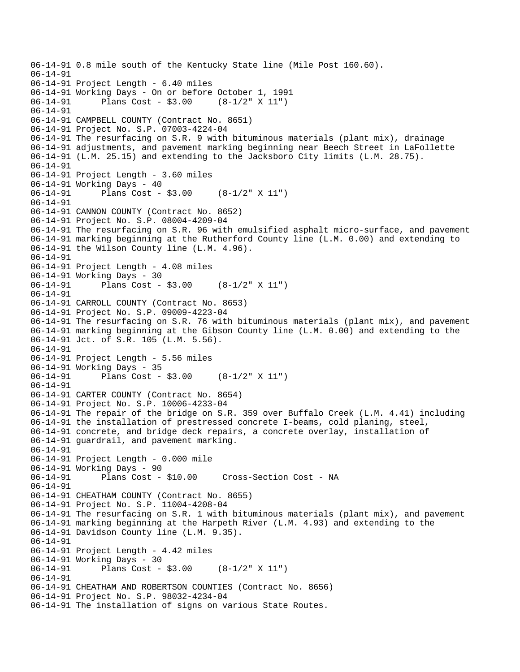```
06-14-91 0.8 mile south of the Kentucky State line (Mile Post 160.60). 
06-14-91 
06-14-91 Project Length - 6.40 miles 
06-14-91 Working Days - On or before October 1, 1991 
              Plans Cost - $3.0006-14-91 
06-14-91 CAMPBELL COUNTY (Contract No. 8651) 
06-14-91 Project No. S.P. 07003-4224-04 
06-14-91 The resurfacing on S.R. 9 with bituminous materials (plant mix), drainage 
06-14-91 adjustments, and pavement marking beginning near Beech Street in LaFollette 
06-14-91 (L.M. 25.15) and extending to the Jacksboro City limits (L.M. 28.75). 
06-14-91 
06-14-91 Project Length - 3.60 miles 
06-14-91 Working Days - 40 
06-14-91 Plans Cost - $3.00 (8-1/2" X 11") 
06-14-91 
06-14-91 CANNON COUNTY (Contract No. 8652) 
06-14-91 Project No. S.P. 08004-4209-04 
06-14-91 The resurfacing on S.R. 96 with emulsified asphalt micro-surface, and pavement 
06-14-91 marking beginning at the Rutherford County line (L.M. 0.00) and extending to 
06-14-91 the Wilson County line (L.M. 4.96). 
06-14-91 
06-14-91 Project Length - 4.08 miles 
06-14-91 Working Days - 30<br>06-14-91 Plans Cost -
              Plans Cost - $3.00 (8-1/2" X 11")
06-14-91 
06-14-91 CARROLL COUNTY (Contract No. 8653) 
06-14-91 Project No. S.P. 09009-4223-04 
06-14-91 The resurfacing on S.R. 76 with bituminous materials (plant mix), and pavement 
06-14-91 marking beginning at the Gibson County line (L.M. 0.00) and extending to the 
06-14-91 Jct. of S.R. 105 (L.M. 5.56). 
06-14-91 
06-14-91 Project Length - 5.56 miles 
06-14-91 Working Days - 35 
              Plans Cost - $3.00 (8-1/2" X 11")
06-14-91 
06-14-91 CARTER COUNTY (Contract No. 8654) 
06-14-91 Project No. S.P. 10006-4233-04 
06-14-91 The repair of the bridge on S.R. 359 over Buffalo Creek (L.M. 4.41) including 
06-14-91 the installation of prestressed concrete I-beams, cold planing, steel, 
06-14-91 concrete, and bridge deck repairs, a concrete overlay, installation of 
06-14-91 guardrail, and pavement marking. 
06-14-91 
06-14-91 Project Length - 0.000 mile 
06-14-91 Working Days - 90<br>06-14-91 Plans Cost - $10.00
06-14-91 Plans Cost - $10.00 Cross-Section Cost - NA 
06-14-91 
06-14-91 CHEATHAM COUNTY (Contract No. 8655) 
06-14-91 Project No. S.P. 11004-4208-04 
06-14-91 The resurfacing on S.R. 1 with bituminous materials (plant mix), and pavement 
06-14-91 marking beginning at the Harpeth River (L.M. 4.93) and extending to the 
06-14-91 Davidson County line (L.M. 9.35). 
06-14-91 
06-14-91 Project Length - 4.42 miles 
06-14-91 Working Days - 30<br>06-14-91 Plans Cost -
              Plans Cost - $3.00 (8-1/2" X 11")
06-14-91 
06-14-91 CHEATHAM AND ROBERTSON COUNTIES (Contract No. 8656) 
06-14-91 Project No. S.P. 98032-4234-04 
06-14-91 The installation of signs on various State Routes.
```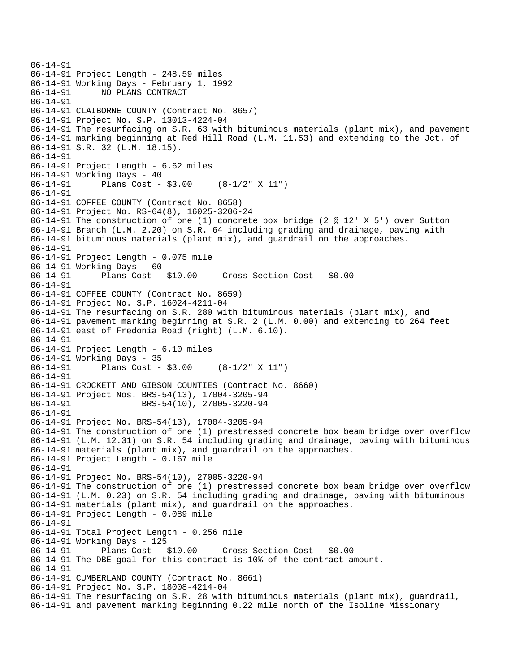```
06-14-91 
06-14-91 Project Length - 248.59 miles 
06-14-91 Working Days - February 1, 1992 
06-14-91 NO PLANS CONTRACT 
06-14-91 
06-14-91 CLAIBORNE COUNTY (Contract No. 8657) 
06-14-91 Project No. S.P. 13013-4224-04 
06-14-91 The resurfacing on S.R. 63 with bituminous materials (plant mix), and pavement 
06-14-91 marking beginning at Red Hill Road (L.M. 11.53) and extending to the Jct. of 
06-14-91 S.R. 32 (L.M. 18.15). 
06-14-91 
06-14-91 Project Length - 6.62 miles 
06-14-91 Working Days - 40 
06-14-91 Plans Cost - $3.00 (8-1/2" X 11") 
06-14-91 
06-14-91 COFFEE COUNTY (Contract No. 8658) 
06-14-91 Project No. RS-64(8), 16025-3206-24 
06-14-91 The construction of one (1) concrete box bridge (2 @ 12' X 5') over Sutton 
06-14-91 Branch (L.M. 2.20) on S.R. 64 including grading and drainage, paving with 
06-14-91 bituminous materials (plant mix), and guardrail on the approaches. 
06-14-91 
06-14-91 Project Length - 0.075 mile 
06-14-91 Working Days - 60 
06-14-91 Plans Cost - $10.00 Cross-Section Cost - $0.00 
06-14-91 
06-14-91 COFFEE COUNTY (Contract No. 8659) 
06-14-91 Project No. S.P. 16024-4211-04 
06-14-91 The resurfacing on S.R. 280 with bituminous materials (plant mix), and 
06-14-91 pavement marking beginning at S.R. 2 (L.M. 0.00) and extending to 264 feet 
06-14-91 east of Fredonia Road (right) (L.M. 6.10). 
06-14-91 
06-14-91 Project Length - 6.10 miles 
06-14-91 Working Days - 35 
06-14-91 Plans Cost - $3.00 (8-1/2" X 11") 
06-14-91 
06-14-91 CROCKETT AND GIBSON COUNTIES (Contract No. 8660) 
06-14-91 Project Nos. BRS-54(13), 17004-3205-94 
06-14-91 BRS-54(10), 27005-3220-94
06-14-91 
06-14-91 Project No. BRS-54(13), 17004-3205-94 
06-14-91 The construction of one (1) prestressed concrete box beam bridge over overflow 
06-14-91 (L.M. 12.31) on S.R. 54 including grading and drainage, paving with bituminous 
06-14-91 materials (plant mix), and guardrail on the approaches. 
06-14-91 Project Length - 0.167 mile 
06-14-91 
06-14-91 Project No. BRS-54(10), 27005-3220-94 
06-14-91 The construction of one (1) prestressed concrete box beam bridge over overflow 
06-14-91 (L.M. 0.23) on S.R. 54 including grading and drainage, paving with bituminous 
06-14-91 materials (plant mix), and guardrail on the approaches. 
06-14-91 Project Length - 0.089 mile 
06-14-91 
06-14-91 Total Project Length - 0.256 mile 
06-14-91 Working Days - 125 
06-14-91 Plans Cost - $10.00 Cross-Section Cost - $0.00 
06-14-91 The DBE goal for this contract is 10% of the contract amount. 
06-14-91 
06-14-91 CUMBERLAND COUNTY (Contract No. 8661) 
06-14-91 Project No. S.P. 18008-4214-04 
06-14-91 The resurfacing on S.R. 28 with bituminous materials (plant mix), guardrail, 
06-14-91 and pavement marking beginning 0.22 mile north of the Isoline Missionary
```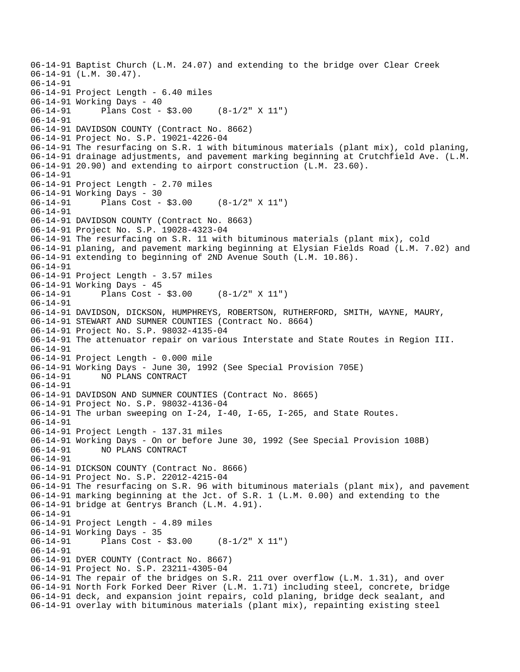06-14-91 Baptist Church (L.M. 24.07) and extending to the bridge over Clear Creek 06-14-91 (L.M. 30.47). 06-14-91 06-14-91 Project Length - 6.40 miles 06-14-91 Working Days - 40 06-14-91 Plans Cost - \$3.00 (8-1/2" X 11") 06-14-91 06-14-91 DAVIDSON COUNTY (Contract No. 8662) 06-14-91 Project No. S.P. 19021-4226-04 06-14-91 The resurfacing on S.R. 1 with bituminous materials (plant mix), cold planing, 06-14-91 drainage adjustments, and pavement marking beginning at Crutchfield Ave. (L.M. 06-14-91 20.90) and extending to airport construction (L.M. 23.60). 06-14-91 06-14-91 Project Length - 2.70 miles 06-14-91 Working Days - 30 06-14-91 Plans Cost - \$3.00 (8-1/2" X 11") 06-14-91 06-14-91 DAVIDSON COUNTY (Contract No. 8663) 06-14-91 Project No. S.P. 19028-4323-04 06-14-91 The resurfacing on S.R. 11 with bituminous materials (plant mix), cold 06-14-91 planing, and pavement marking beginning at Elysian Fields Road (L.M. 7.02) and 06-14-91 extending to beginning of 2ND Avenue South (L.M. 10.86). 06-14-91 06-14-91 Project Length - 3.57 miles 06-14-91 Working Days - 45 06-14-91 Plans Cost - \$3.00 (8-1/2" X 11") 06-14-91 06-14-91 DAVIDSON, DICKSON, HUMPHREYS, ROBERTSON, RUTHERFORD, SMITH, WAYNE, MAURY, 06-14-91 STEWART AND SUMNER COUNTIES (Contract No. 8664) 06-14-91 Project No. S.P. 98032-4135-04 06-14-91 The attenuator repair on various Interstate and State Routes in Region III. 06-14-91 06-14-91 Project Length - 0.000 mile 06-14-91 Working Days - June 30, 1992 (See Special Provision 705E) 06-14-91 NO PLANS CONTRACT 06-14-91 06-14-91 DAVIDSON AND SUMNER COUNTIES (Contract No. 8665) 06-14-91 Project No. S.P. 98032-4136-04 06-14-91 The urban sweeping on I-24, I-40, I-65, I-265, and State Routes. 06-14-91 06-14-91 Project Length - 137.31 miles 06-14-91 Working Days - On or before June 30, 1992 (See Special Provision 108B) 06-14-91 NO PLANS CONTRACT 06-14-91 06-14-91 DICKSON COUNTY (Contract No. 8666) 06-14-91 Project No. S.P. 22012-4215-04 06-14-91 The resurfacing on S.R. 96 with bituminous materials (plant mix), and pavement 06-14-91 marking beginning at the Jct. of S.R. 1 (L.M. 0.00) and extending to the 06-14-91 bridge at Gentrys Branch (L.M. 4.91). 06-14-91 06-14-91 Project Length - 4.89 miles 06-14-91 Working Days - 35 06-14-91 Plans Cost - \$3.00 (8-1/2" X 11") 06-14-91 06-14-91 DYER COUNTY (Contract No. 8667) 06-14-91 Project No. S.P. 23211-4305-04 06-14-91 The repair of the bridges on S.R. 211 over overflow (L.M. 1.31), and over 06-14-91 North Fork Forked Deer River (L.M. 1.71) including steel, concrete, bridge 06-14-91 deck, and expansion joint repairs, cold planing, bridge deck sealant, and 06-14-91 overlay with bituminous materials (plant mix), repainting existing steel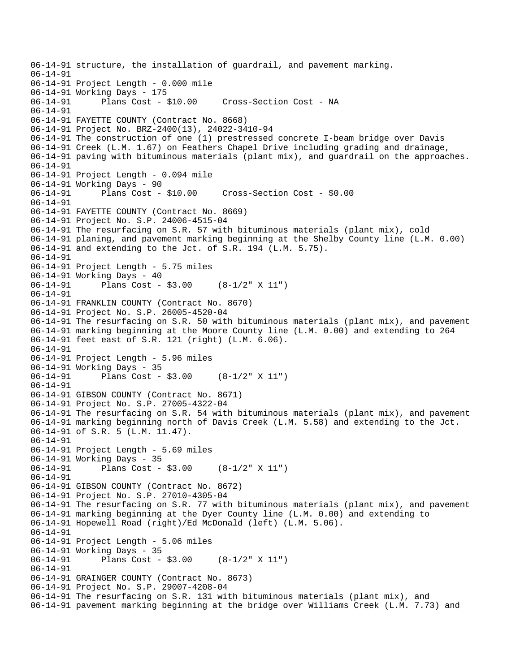```
06-14-91 structure, the installation of guardrail, and pavement marking. 
06-14-91 
06-14-91 Project Length - 0.000 mile 
06-14-91 Working Days - 175<br>06-14-91 Plans Cost - $10.00
                                       Cross-Section Cost - NA
06-14-91 
06-14-91 FAYETTE COUNTY (Contract No. 8668) 
06-14-91 Project No. BRZ-2400(13), 24022-3410-94 
06-14-91 The construction of one (1) prestressed concrete I-beam bridge over Davis 
06-14-91 Creek (L.M. 1.67) on Feathers Chapel Drive including grading and drainage, 
06-14-91 paving with bituminous materials (plant mix), and guardrail on the approaches. 
06-14-91 
06-14-91 Project Length - 0.094 mile 
06-14-91 Working Days - 90 
06-14-91 Plans Cost - $10.00 Cross-Section Cost - $0.00 
06-14-91 
06-14-91 FAYETTE COUNTY (Contract No. 8669) 
06-14-91 Project No. S.P. 24006-4515-04 
06-14-91 The resurfacing on S.R. 57 with bituminous materials (plant mix), cold 
06-14-91 planing, and pavement marking beginning at the Shelby County line (L.M. 0.00) 
06-14-91 and extending to the Jct. of S.R. 194 (L.M. 5.75). 
06-14-91 
06-14-91 Project Length - 5.75 miles 
06-14-91 Working Days - 40<br>06-14-91 Plans Cost -
              Plans Cost - $3.00 (8-1/2" X 11")
06-14-91 
06-14-91 FRANKLIN COUNTY (Contract No. 8670) 
06-14-91 Project No. S.P. 26005-4520-04 
06-14-91 The resurfacing on S.R. 50 with bituminous materials (plant mix), and pavement 
06-14-91 marking beginning at the Moore County line (L.M. 0.00) and extending to 264 
06-14-91 feet east of S.R. 121 (right) (L.M. 6.06). 
06-14-91 
06-14-91 Project Length - 5.96 miles 
06-14-91 Working Days - 35<br>06-14-91 Plans Cost -
              Plans Cost - $3.00 (8-1/2" X 11")
06-14-91 
06-14-91 GIBSON COUNTY (Contract No. 8671) 
06-14-91 Project No. S.P. 27005-4322-04 
06-14-91 The resurfacing on S.R. 54 with bituminous materials (plant mix), and pavement 
06-14-91 marking beginning north of Davis Creek (L.M. 5.58) and extending to the Jct. 
06-14-91 of S.R. 5 (L.M. 11.47). 
06-14-91 
06-14-91 Project Length - 5.69 miles 
06-14-91 Working Days - 35 
06-14-91 Plans Cost - $3.00 (8-1/2" X 11") 
06-14-91 
06-14-91 GIBSON COUNTY (Contract No. 8672) 
06-14-91 Project No. S.P. 27010-4305-04 
06-14-91 The resurfacing on S.R. 77 with bituminous materials (plant mix), and pavement 
06-14-91 marking beginning at the Dyer County line (L.M. 0.00) and extending to 
06-14-91 Hopewell Road (right)/Ed McDonald (left) (L.M. 5.06). 
06-14-91 
06-14-91 Project Length - 5.06 miles 
06-14-91 Working Days - 35 
              Plans Cost - $3.00 (8-1/2" X 11")
06-14-91 
06-14-91 GRAINGER COUNTY (Contract No. 8673) 
06-14-91 Project No. S.P. 29007-4208-04 
06-14-91 The resurfacing on S.R. 131 with bituminous materials (plant mix), and 
06-14-91 pavement marking beginning at the bridge over Williams Creek (L.M. 7.73) and
```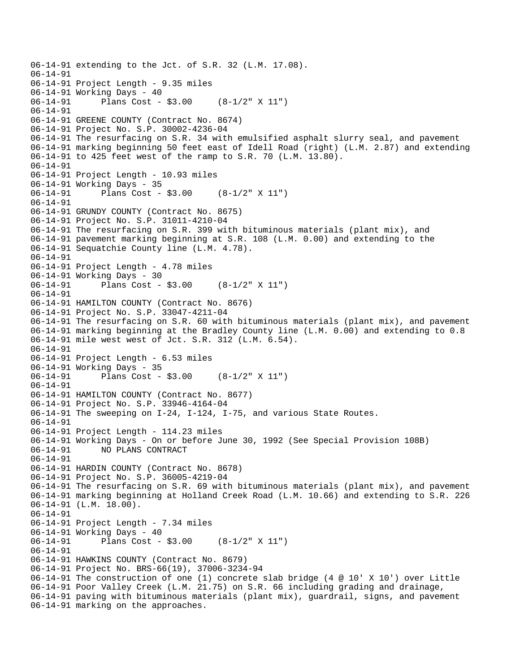```
06-14-91 extending to the Jct. of S.R. 32 (L.M. 17.08). 
06-14-91 
06-14-91 Project Length - 9.35 miles 
06-14-91 Working Days - 40<br>06-14-91 Plans Cost -
              Plans Cost - $3.00 (8-1/2" X 11")
06-14-91 
06-14-91 GREENE COUNTY (Contract No. 8674) 
06-14-91 Project No. S.P. 30002-4236-04 
06-14-91 The resurfacing on S.R. 34 with emulsified asphalt slurry seal, and pavement 
06-14-91 marking beginning 50 feet east of Idell Road (right) (L.M. 2.87) and extending 
06-14-91 to 425 feet west of the ramp to S.R. 70 (L.M. 13.80). 
06-14-91 
06-14-91 Project Length - 10.93 miles 
06-14-91 Working Days - 35 
06-14-91 Plans Cost - $3.00 (8-1/2" X 11") 
06-14-91 
06-14-91 GRUNDY COUNTY (Contract No. 8675) 
06-14-91 Project No. S.P. 31011-4210-04 
06-14-91 The resurfacing on S.R. 399 with bituminous materials (plant mix), and 
06-14-91 pavement marking beginning at S.R. 108 (L.M. 0.00) and extending to the 
06-14-91 Sequatchie County line (L.M. 4.78). 
06-14-91 
06-14-91 Project Length - 4.78 miles 
06-14-91 Working Days - 30<br>06-14-91 Plans Cost -
              Plans Cost - $3.00 (8-1/2" X 11")
06-14-91 
06-14-91 HAMILTON COUNTY (Contract No. 8676) 
06-14-91 Project No. S.P. 33047-4211-04 
06-14-91 The resurfacing on S.R. 60 with bituminous materials (plant mix), and pavement 
06-14-91 marking beginning at the Bradley County line (L.M. 0.00) and extending to 0.8 
06-14-91 mile west west of Jct. S.R. 312 (L.M. 6.54). 
06-14-91 
06-14-91 Project Length - 6.53 miles 
06-14-91 Working Days - 35<br>06-14-91 Plans Cost -
              Plans Cost - $3.00 (8-1/2" X 11")
06-14-91 
06-14-91 HAMILTON COUNTY (Contract No. 8677) 
06-14-91 Project No. S.P. 33946-4164-04 
06-14-91 The sweeping on I-24, I-124, I-75, and various State Routes. 
06-14-91 
06-14-91 Project Length - 114.23 miles 
06-14-91 Working Days - On or before June 30, 1992 (See Special Provision 108B) 
06-14-91 NO PLANS CONTRACT 
06-14-91 
06-14-91 HARDIN COUNTY (Contract No. 8678) 
06-14-91 Project No. S.P. 36005-4219-04 
06-14-91 The resurfacing on S.R. 69 with bituminous materials (plant mix), and pavement 
06-14-91 marking beginning at Holland Creek Road (L.M. 10.66) and extending to S.R. 226 
06-14-91 (L.M. 18.00). 
06-14-91 
06-14-91 Project Length - 7.34 miles 
06-14-91 Working Days - 40 
06-14-91 Plans Cost - $3.00 (8-1/2" X 11") 
06-14-91 
06-14-91 HAWKINS COUNTY (Contract No. 8679) 
06-14-91 Project No. BRS-66(19), 37006-3234-94 
06-14-91 The construction of one (1) concrete slab bridge (4 @ 10' X 10') over Little 
06-14-91 Poor Valley Creek (L.M. 21.75) on S.R. 66 including grading and drainage, 
06-14-91 paving with bituminous materials (plant mix), guardrail, signs, and pavement 
06-14-91 marking on the approaches.
```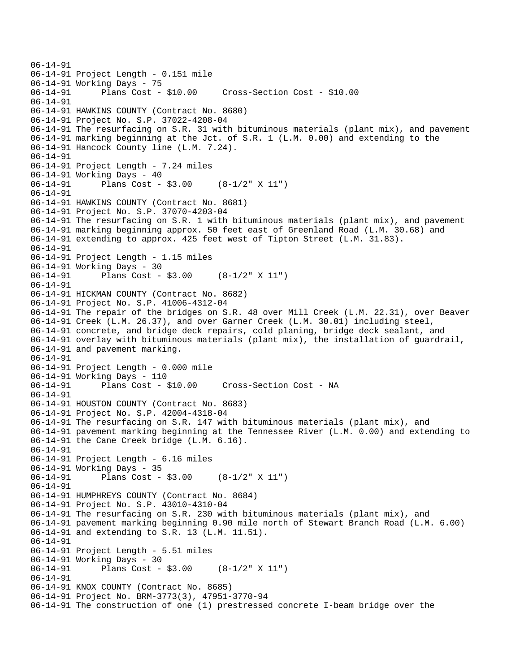```
06-14-91 
06-14-91 Project Length - 0.151 mile 
06-14-91 Working Days - 75 
06-14-91 Plans Cost - $10.00 Cross-Section Cost - $10.00 
06-14-91 
06-14-91 HAWKINS COUNTY (Contract No. 8680) 
06-14-91 Project No. S.P. 37022-4208-04 
06-14-91 The resurfacing on S.R. 31 with bituminous materials (plant mix), and pavement 
06-14-91 marking beginning at the Jct. of S.R. 1 (L.M. 0.00) and extending to the 
06-14-91 Hancock County line (L.M. 7.24). 
06-14-91 
06-14-91 Project Length - 7.24 miles 
06-14-91 Working Days - 40 
06-14-91 Plans Cost - $3.00 (8-1/2" X 11") 
06-14-91 
06-14-91 HAWKINS COUNTY (Contract No. 8681) 
06-14-91 Project No. S.P. 37070-4203-04 
06-14-91 The resurfacing on S.R. 1 with bituminous materials (plant mix), and pavement 
06-14-91 marking beginning approx. 50 feet east of Greenland Road (L.M. 30.68) and 
06-14-91 extending to approx. 425 feet west of Tipton Street (L.M. 31.83). 
06-14-91 
06-14-91 Project Length - 1.15 miles 
06-14-91 Working Days - 30 
06-14-91 Plans Cost - $3.00 (8-1/2" X 11") 
06-14-91 
06-14-91 HICKMAN COUNTY (Contract No. 8682) 
06-14-91 Project No. S.P. 41006-4312-04 
06-14-91 The repair of the bridges on S.R. 48 over Mill Creek (L.M. 22.31), over Beaver 
06-14-91 Creek (L.M. 26.37), and over Garner Creek (L.M. 30.01) including steel, 
06-14-91 concrete, and bridge deck repairs, cold planing, bridge deck sealant, and 
06-14-91 overlay with bituminous materials (plant mix), the installation of guardrail, 
06-14-91 and pavement marking. 
06-14-91 
06-14-91 Project Length - 0.000 mile 
06-14-91 Working Days - 110 
06-14-91 Plans Cost - $10.00 Cross-Section Cost - NA 
06-14-91 
06-14-91 HOUSTON COUNTY (Contract No. 8683) 
06-14-91 Project No. S.P. 42004-4318-04 
06-14-91 The resurfacing on S.R. 147 with bituminous materials (plant mix), and 
06-14-91 pavement marking beginning at the Tennessee River (L.M. 0.00) and extending to 
06-14-91 the Cane Creek bridge (L.M. 6.16). 
06-14-91 
06-14-91 Project Length - 6.16 miles 
06-14-91 Working Days - 35 
06-14-91 Plans Cost - $3.00 (8-1/2" X 11") 
06-14-91 
06-14-91 HUMPHREYS COUNTY (Contract No. 8684) 
06-14-91 Project No. S.P. 43010-4310-04 
06-14-91 The resurfacing on S.R. 230 with bituminous materials (plant mix), and 
06-14-91 pavement marking beginning 0.90 mile north of Stewart Branch Road (L.M. 6.00) 
06-14-91 and extending to S.R. 13 (L.M. 11.51). 
06-14-91 
06-14-91 Project Length - 5.51 miles 
06-14-91 Working Days - 30<br>06-14-91 Plans Cost -
              Plans Cost - $3.00 (8-1/2" X 11")
06-14-91 
06-14-91 KNOX COUNTY (Contract No. 8685) 
06-14-91 Project No. BRM-3773(3), 47951-3770-94 
06-14-91 The construction of one (1) prestressed concrete I-beam bridge over the
```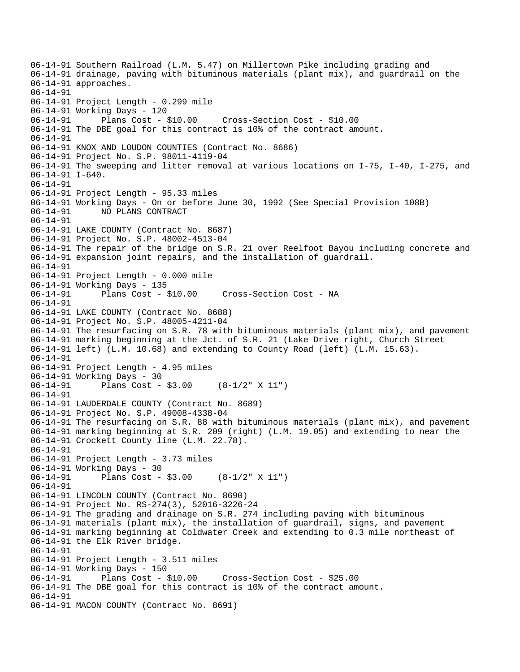06-14-91 Southern Railroad (L.M. 5.47) on Millertown Pike including grading and 06-14-91 drainage, paving with bituminous materials (plant mix), and guardrail on the 06-14-91 approaches. 06-14-91 06-14-91 Project Length - 0.299 mile 06-14-91 Working Days - 120 06-14-91 Plans Cost - \$10.00 Cross-Section Cost - \$10.00 06-14-91 The DBE goal for this contract is 10% of the contract amount. 06-14-91 06-14-91 KNOX AND LOUDON COUNTIES (Contract No. 8686) 06-14-91 Project No. S.P. 98011-4119-04 06-14-91 The sweeping and litter removal at various locations on I-75, I-40, I-275, and 06-14-91 I-640. 06-14-91 06-14-91 Project Length - 95.33 miles 06-14-91 Working Days - On or before June 30, 1992 (See Special Provision 108B) 06-14-91 NO PLANS CONTRACT 06-14-91 06-14-91 LAKE COUNTY (Contract No. 8687) 06-14-91 Project No. S.P. 48002-4513-04 06-14-91 The repair of the bridge on S.R. 21 over Reelfoot Bayou including concrete and 06-14-91 expansion joint repairs, and the installation of guardrail. 06-14-91 06-14-91 Project Length - 0.000 mile 06-14-91 Working Days - 135 06-14-91 Plans Cost - \$10.00 Cross-Section Cost - NA 06-14-91 06-14-91 LAKE COUNTY (Contract No. 8688) 06-14-91 Project No. S.P. 48005-4211-04 06-14-91 The resurfacing on S.R. 78 with bituminous materials (plant mix), and pavement 06-14-91 marking beginning at the Jct. of S.R. 21 (Lake Drive right, Church Street 06-14-91 left) (L.M. 10.68) and extending to County Road (left) (L.M. 15.63). 06-14-91 06-14-91 Project Length - 4.95 miles 06-14-91 Working Days - 30 06-14-91 Plans Cost - \$3.00 (8-1/2" X 11") 06-14-91 06-14-91 LAUDERDALE COUNTY (Contract No. 8689) 06-14-91 Project No. S.P. 49008-4338-04 06-14-91 The resurfacing on S.R. 88 with bituminous materials (plant mix), and pavement 06-14-91 marking beginning at S.R. 209 (right) (L.M. 19.05) and extending to near the 06-14-91 Crockett County line (L.M. 22.78). 06-14-91 06-14-91 Project Length - 3.73 miles 06-14-91 Working Days - 30 06-14-91 Plans Cost - \$3.00 (8-1/2" X 11") 06-14-91 06-14-91 LINCOLN COUNTY (Contract No. 8690) 06-14-91 Project No. RS-274(3), 52016-3226-24 06-14-91 The grading and drainage on S.R. 274 including paving with bituminous 06-14-91 materials (plant mix), the installation of guardrail, signs, and pavement 06-14-91 marking beginning at Coldwater Creek and extending to 0.3 mile northeast of 06-14-91 the Elk River bridge. 06-14-91 06-14-91 Project Length - 3.511 miles 06-14-91 Working Days - 150 06-14-91 Plans Cost - \$10.00 Cross-Section Cost - \$25.00 06-14-91 The DBE goal for this contract is 10% of the contract amount. 06-14-91 06-14-91 MACON COUNTY (Contract No. 8691)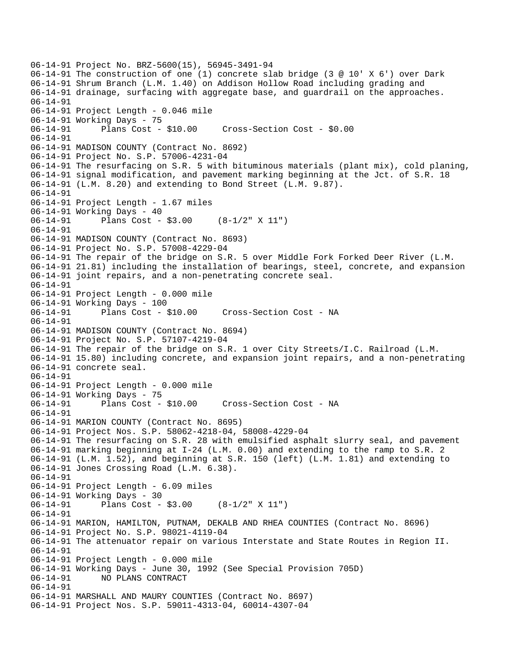```
06-14-91 Project No. BRZ-5600(15), 56945-3491-94 
06-14-91 The construction of one (1) concrete slab bridge (3 @ 10' X 6') over Dark 
06-14-91 Shrum Branch (L.M. 1.40) on Addison Hollow Road including grading and 
06-14-91 drainage, surfacing with aggregate base, and guardrail on the approaches. 
06-14-91 
06-14-91 Project Length - 0.046 mile 
06-14-91 Working Days - 75 
06-14-91 Plans Cost - $10.00 Cross-Section Cost - $0.00 
06-14-91 
06-14-91 MADISON COUNTY (Contract No. 8692) 
06-14-91 Project No. S.P. 57006-4231-04 
06-14-91 The resurfacing on S.R. 5 with bituminous materials (plant mix), cold planing, 
06-14-91 signal modification, and pavement marking beginning at the Jct. of S.R. 18 
06-14-91 (L.M. 8.20) and extending to Bond Street (L.M. 9.87). 
06-14-91 
06-14-91 Project Length - 1.67 miles 
06-14-91 Working Days - 40 
06-14-91 Plans Cost - $3.00 (8-1/2" X 11") 
06-14-91 
06-14-91 MADISON COUNTY (Contract No. 8693) 
06-14-91 Project No. S.P. 57008-4229-04 
06-14-91 The repair of the bridge on S.R. 5 over Middle Fork Forked Deer River (L.M. 
06-14-91 21.81) including the installation of bearings, steel, concrete, and expansion 
06-14-91 joint repairs, and a non-penetrating concrete seal. 
06-14-91 
06-14-91 Project Length - 0.000 mile 
06-14-91 Working Days - 100 
06-14-91 Plans Cost - $10.00 Cross-Section Cost - NA 
06-14-91 
06-14-91 MADISON COUNTY (Contract No. 8694) 
06-14-91 Project No. S.P. 57107-4219-04 
06-14-91 The repair of the bridge on S.R. 1 over City Streets/I.C. Railroad (L.M. 
06-14-91 15.80) including concrete, and expansion joint repairs, and a non-penetrating 
06-14-91 concrete seal. 
06-14-91 
06-14-91 Project Length - 0.000 mile 
06-14-91 Working Days - 75 
06-14-91 Plans Cost - $10.00 Cross-Section Cost - NA 
06-14-91 
06-14-91 MARION COUNTY (Contract No. 8695) 
06-14-91 Project Nos. S.P. 58062-4218-04, 58008-4229-04 
06-14-91 The resurfacing on S.R. 28 with emulsified asphalt slurry seal, and pavement 
06-14-91 marking beginning at I-24 (L.M. 0.00) and extending to the ramp to S.R. 2 
06-14-91 (L.M. 1.52), and beginning at S.R. 150 (left) (L.M. 1.81) and extending to 
06-14-91 Jones Crossing Road (L.M. 6.38). 
06-14-91 
06-14-91 Project Length - 6.09 miles 
06-14-91 Working Days - 30<br>06-14-91 Plans Cost -
              Plans Cost - $3.00 (8-1/2" X 11")
06-14-91 
06-14-91 MARION, HAMILTON, PUTNAM, DEKALB AND RHEA COUNTIES (Contract No. 8696) 
06-14-91 Project No. S.P. 98021-4119-04 
06-14-91 The attenuator repair on various Interstate and State Routes in Region II. 
06-14-91 
06-14-91 Project Length - 0.000 mile 
06-14-91 Working Days - June 30, 1992 (See Special Provision 705D) 
06-14-91 NO PLANS CONTRACT 
06-14-91 
06-14-91 MARSHALL AND MAURY COUNTIES (Contract No. 8697) 
06-14-91 Project Nos. S.P. 59011-4313-04, 60014-4307-04
```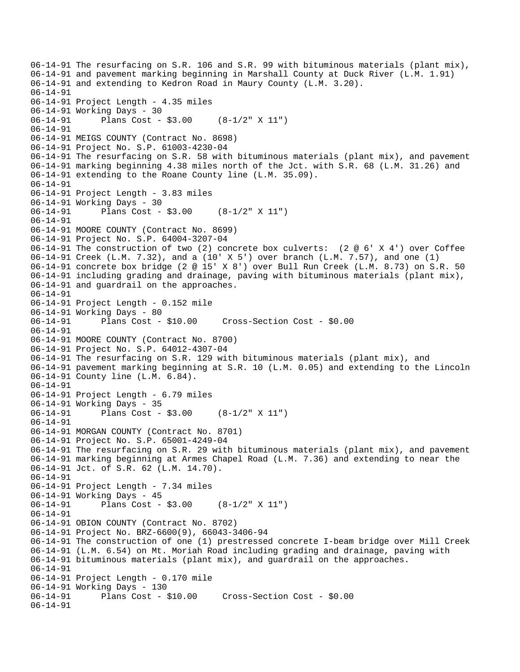06-14-91 The resurfacing on S.R. 106 and S.R. 99 with bituminous materials (plant mix), 06-14-91 and pavement marking beginning in Marshall County at Duck River (L.M. 1.91) 06-14-91 and extending to Kedron Road in Maury County (L.M. 3.20). 06-14-91 06-14-91 Project Length - 4.35 miles 06-14-91 Working Days - 30 06-14-91 Plans Cost - \$3.00 (8-1/2" X 11") 06-14-91 06-14-91 MEIGS COUNTY (Contract No. 8698) 06-14-91 Project No. S.P. 61003-4230-04 06-14-91 The resurfacing on S.R. 58 with bituminous materials (plant mix), and pavement 06-14-91 marking beginning 4.38 miles north of the Jct. with S.R. 68 (L.M. 31.26) and 06-14-91 extending to the Roane County line (L.M. 35.09). 06-14-91 06-14-91 Project Length - 3.83 miles 06-14-91 Working Days - 30 06-14-91 Plans Cost - \$3.00 (8-1/2" X 11") 06-14-91 06-14-91 MOORE COUNTY (Contract No. 8699) 06-14-91 Project No. S.P. 64004-3207-04 06-14-91 The construction of two (2) concrete box culverts: (2 @ 6' X 4') over Coffee 06-14-91 Creek (L.M. 7.32), and a (10' X 5') over branch (L.M. 7.57), and one (1) 06-14-91 concrete box bridge (2 @ 15' X 8') over Bull Run Creek (L.M. 8.73) on S.R. 50 06-14-91 including grading and drainage, paving with bituminous materials (plant mix), 06-14-91 and guardrail on the approaches. 06-14-91 06-14-91 Project Length - 0.152 mile 06-14-91 Working Days - 80 06-14-91 Plans Cost - \$10.00 Cross-Section Cost - \$0.00 06-14-91 06-14-91 MOORE COUNTY (Contract No. 8700) 06-14-91 Project No. S.P. 64012-4307-04 06-14-91 The resurfacing on S.R. 129 with bituminous materials (plant mix), and 06-14-91 pavement marking beginning at S.R. 10 (L.M. 0.05) and extending to the Lincoln 06-14-91 County line (L.M. 6.84). 06-14-91 06-14-91 Project Length - 6.79 miles 06-14-91 Working Days - 35 06-14-91 Plans Cost - \$3.00 (8-1/2" X 11") 06-14-91 06-14-91 MORGAN COUNTY (Contract No. 8701) 06-14-91 Project No. S.P. 65001-4249-04 06-14-91 The resurfacing on S.R. 29 with bituminous materials (plant mix), and pavement 06-14-91 marking beginning at Armes Chapel Road (L.M. 7.36) and extending to near the 06-14-91 Jct. of S.R. 62 (L.M. 14.70). 06-14-91 06-14-91 Project Length - 7.34 miles 06-14-91 Working Days - 45<br>06-14-91 Plans Cost -Plans Cost -  $$3.00$  (8-1/2" X 11") 06-14-91 06-14-91 OBION COUNTY (Contract No. 8702) 06-14-91 Project No. BRZ-6600(9), 66043-3406-94 06-14-91 The construction of one (1) prestressed concrete I-beam bridge over Mill Creek 06-14-91 (L.M. 6.54) on Mt. Moriah Road including grading and drainage, paving with 06-14-91 bituminous materials (plant mix), and guardrail on the approaches. 06-14-91 06-14-91 Project Length - 0.170 mile 06-14-91 Working Days - 130 06-14-91 Plans Cost - \$10.00 Cross-Section Cost - \$0.00 06-14-91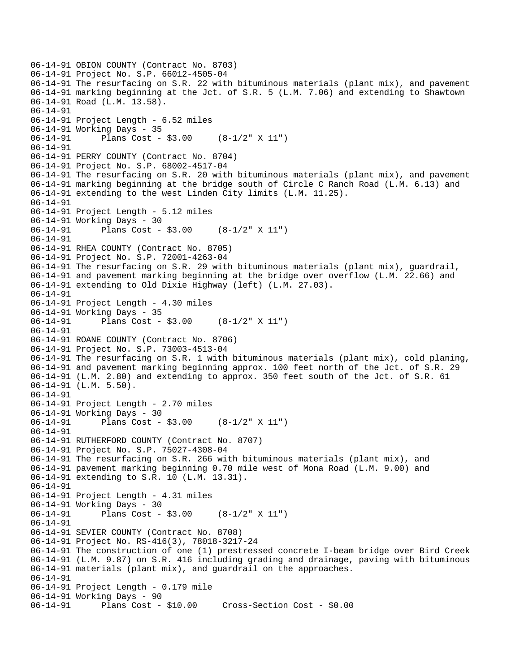```
06-14-91 OBION COUNTY (Contract No. 8703) 
06-14-91 Project No. S.P. 66012-4505-04 
06-14-91 The resurfacing on S.R. 22 with bituminous materials (plant mix), and pavement 
06-14-91 marking beginning at the Jct. of S.R. 5 (L.M. 7.06) and extending to Shawtown 
06-14-91 Road (L.M. 13.58). 
06-14-91 
06-14-91 Project Length - 6.52 miles 
06-14-91 Working Days - 35 
06-14-91 Plans Cost - $3.00 (8-1/2" X 11") 
06-14-91 
06-14-91 PERRY COUNTY (Contract No. 8704) 
06-14-91 Project No. S.P. 68002-4517-04 
06-14-91 The resurfacing on S.R. 20 with bituminous materials (plant mix), and pavement 
06-14-91 marking beginning at the bridge south of Circle C Ranch Road (L.M. 6.13) and 
06-14-91 extending to the west Linden City limits (L.M. 11.25). 
06-14-91 
06-14-91 Project Length - 5.12 miles 
06-14-91 Working Days - 30 
06-14-91 Plans Cost - $3.00 (8-1/2" X 11") 
06-14-91 
06-14-91 RHEA COUNTY (Contract No. 8705) 
06-14-91 Project No. S.P. 72001-4263-04 
06-14-91 The resurfacing on S.R. 29 with bituminous materials (plant mix), guardrail, 
06-14-91 and pavement marking beginning at the bridge over overflow (L.M. 22.66) and 
06-14-91 extending to Old Dixie Highway (left) (L.M. 27.03). 
06-14-91 
06-14-91 Project Length - 4.30 miles 
06-14-91 Working Days - 35 
06-14-91 Plans Cost - $3.00 (8-1/2" X 11") 
06-14-91 
06-14-91 ROANE COUNTY (Contract No. 8706) 
06-14-91 Project No. S.P. 73003-4513-04 
06-14-91 The resurfacing on S.R. 1 with bituminous materials (plant mix), cold planing, 
06-14-91 and pavement marking beginning approx. 100 feet north of the Jct. of S.R. 29 
06-14-91 (L.M. 2.80) and extending to approx. 350 feet south of the Jct. of S.R. 61 
06-14-91 (L.M. 5.50). 
06-14-91 
06-14-91 Project Length - 2.70 miles 
06-14-91 Working Days - 30 
06-14-91 Plans Cost - $3.00 (8-1/2" X 11") 
06-14-91 
06-14-91 RUTHERFORD COUNTY (Contract No. 8707) 
06-14-91 Project No. S.P. 75027-4308-04 
06-14-91 The resurfacing on S.R. 266 with bituminous materials (plant mix), and 
06-14-91 pavement marking beginning 0.70 mile west of Mona Road (L.M. 9.00) and 
06-14-91 extending to S.R. 10 (L.M. 13.31). 
06-14-91 
06-14-91 Project Length - 4.31 miles 
06-14-91 Working Days - 30 
06-14-91 Plans Cost - $3.00 (8-1/2" X 11") 
06-14-91 
06-14-91 SEVIER COUNTY (Contract No. 8708) 
06-14-91 Project No. RS-416(3), 78018-3217-24 
06-14-91 The construction of one (1) prestressed concrete I-beam bridge over Bird Creek 
06-14-91 (L.M. 9.87) on S.R. 416 including grading and drainage, paving with bituminous 
06-14-91 materials (plant mix), and guardrail on the approaches. 
06-14-91 
06-14-91 Project Length - 0.179 mile 
06-14-91 Working Days - 90 
06-14-91 Plans Cost - $10.00 Cross-Section Cost - $0.00
```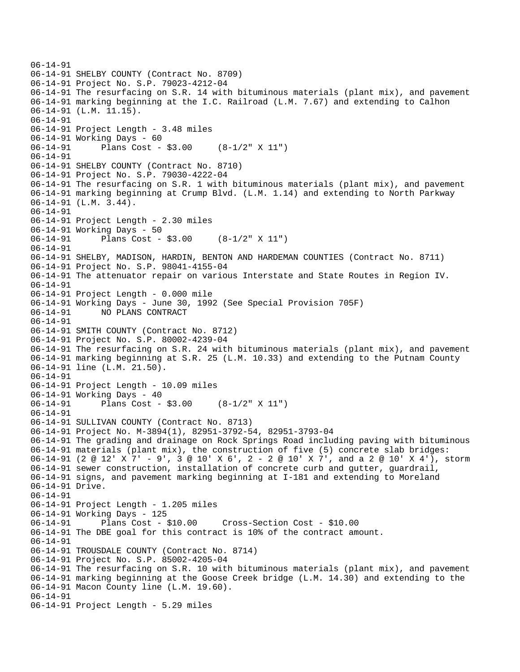```
06-14-91 
06-14-91 SHELBY COUNTY (Contract No. 8709) 
06-14-91 Project No. S.P. 79023-4212-04 
06-14-91 The resurfacing on S.R. 14 with bituminous materials (plant mix), and pavement 
06-14-91 marking beginning at the I.C. Railroad (L.M. 7.67) and extending to Calhon 
06-14-91 (L.M. 11.15). 
06-14-91 
06-14-91 Project Length - 3.48 miles 
06-14-91 Working Days - 60 
06-14-91 Plans Cost - $3.00 (8-1/2" X 11") 
06-14-91 
06-14-91 SHELBY COUNTY (Contract No. 8710) 
06-14-91 Project No. S.P. 79030-4222-04 
06-14-91 The resurfacing on S.R. 1 with bituminous materials (plant mix), and pavement 
06-14-91 marking beginning at Crump Blvd. (L.M. 1.14) and extending to North Parkway 
06-14-91 (L.M. 3.44). 
06-14-91 
06-14-91 Project Length - 2.30 miles 
06-14-91 Working Days - 50 
06-14-91 Plans Cost - $3.00 (8-1/2" X 11") 
06-14-91 
06-14-91 SHELBY, MADISON, HARDIN, BENTON AND HARDEMAN COUNTIES (Contract No. 8711) 
06-14-91 Project No. S.P. 98041-4155-04 
06-14-91 The attenuator repair on various Interstate and State Routes in Region IV. 
06-14-91 
06-14-91 Project Length - 0.000 mile 
06-14-91 Working Days - June 30, 1992 (See Special Provision 705F) 
06-14-91 NO PLANS CONTRACT 
06-14-91 
06-14-91 SMITH COUNTY (Contract No. 8712) 
06-14-91 Project No. S.P. 80002-4239-04 
06-14-91 The resurfacing on S.R. 24 with bituminous materials (plant mix), and pavement 
06-14-91 marking beginning at S.R. 25 (L.M. 10.33) and extending to the Putnam County 
06-14-91 line (L.M. 21.50). 
06-14-91 
06-14-91 Project Length - 10.09 miles 
06-14-91 Working Days - 40 
06-14-91 Plans Cost - $3.00 (8-1/2" X 11") 
06-14-91 
06-14-91 SULLIVAN COUNTY (Contract No. 8713) 
06-14-91 Project No. M-3894(1), 82951-3792-54, 82951-3793-04 
06-14-91 The grading and drainage on Rock Springs Road including paving with bituminous 
06-14-91 materials (plant mix), the construction of five (5) concrete slab bridges: 
06-14-91 (2 @ 12' X 7' - 9', 3 @ 10' X 6', 2 - 2 @ 10' X 7', and a 2 @ 10' X 4'), storm 
06-14-91 sewer construction, installation of concrete curb and gutter, guardrail, 
06-14-91 signs, and pavement marking beginning at I-181 and extending to Moreland 
06-14-91 Drive. 
06-14-91 
06-14-91 Project Length - 1.205 miles 
06-14-91 Working Days - 125 
                                     06-14-91 Plans Cost - $10.00 Cross-Section Cost - $10.00 
06-14-91 The DBE goal for this contract is 10% of the contract amount. 
06-14-91 
06-14-91 TROUSDALE COUNTY (Contract No. 8714) 
06-14-91 Project No. S.P. 85002-4205-04 
06-14-91 The resurfacing on S.R. 10 with bituminous materials (plant mix), and pavement 
06-14-91 marking beginning at the Goose Creek bridge (L.M. 14.30) and extending to the 
06-14-91 Macon County line (L.M. 19.60). 
06-14-91 
06-14-91 Project Length - 5.29 miles
```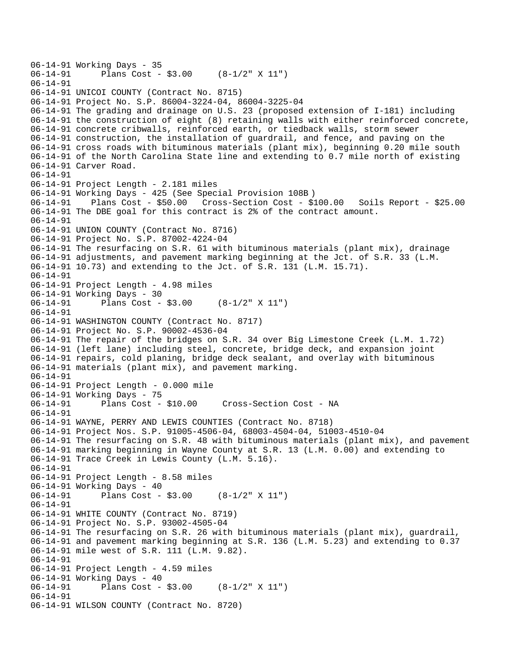```
06-14-91 Working Days - 35 
              Plans Cost - $3.00 (8-1/2" X 11")
06-14-91 
06-14-91 UNICOI COUNTY (Contract No. 8715) 
06-14-91 Project No. S.P. 86004-3224-04, 86004-3225-04 
06-14-91 The grading and drainage on U.S. 23 (proposed extension of I-181) including 
06-14-91 the construction of eight (8) retaining walls with either reinforced concrete, 
06-14-91 concrete cribwalls, reinforced earth, or tiedback walls, storm sewer 
06-14-91 construction, the installation of guardrail, and fence, and paving on the 
06-14-91 cross roads with bituminous materials (plant mix), beginning 0.20 mile south 
06-14-91 of the North Carolina State line and extending to 0.7 mile north of existing 
06-14-91 Carver Road. 
06-14-91 
06-14-91 Project Length - 2.181 miles 
06-14-91 Working Days - 425 (See Special Provision 108B ) 
06-14-91 Plans Cost - $50.00 Cross-Section Cost - $100.00 Soils Report - $25.00 
06-14-91 The DBE goal for this contract is 2% of the contract amount. 
06-14-91 
06-14-91 UNION COUNTY (Contract No. 8716) 
06-14-91 Project No. S.P. 87002-4224-04 
06-14-91 The resurfacing on S.R. 61 with bituminous materials (plant mix), drainage 
06-14-91 adjustments, and pavement marking beginning at the Jct. of S.R. 33 (L.M. 
06-14-91 10.73) and extending to the Jct. of S.R. 131 (L.M. 15.71). 
06-14-91 
06-14-91 Project Length - 4.98 miles 
06-14-91 Working Days - 30 
06-14-91 Plans Cost - $3.00 (8-1/2" X 11") 
06-14-91 
06-14-91 WASHINGTON COUNTY (Contract No. 8717) 
06-14-91 Project No. S.P. 90002-4536-04 
06-14-91 The repair of the bridges on S.R. 34 over Big Limestone Creek (L.M. 1.72) 
06-14-91 (left lane) including steel, concrete, bridge deck, and expansion joint 
06-14-91 repairs, cold planing, bridge deck sealant, and overlay with bituminous 
06-14-91 materials (plant mix), and pavement marking. 
06-14-91 
06-14-91 Project Length - 0.000 mile 
06-14-91 Working Days - 75 
06-14-91 Plans Cost - $10.00 Cross-Section Cost - NA 
06-14-91 
06-14-91 WAYNE, PERRY AND LEWIS COUNTIES (Contract No. 8718) 
06-14-91 Project Nos. S.P. 91005-4506-04, 68003-4504-04, 51003-4510-04 
06-14-91 The resurfacing on S.R. 48 with bituminous materials (plant mix), and pavement 
06-14-91 marking beginning in Wayne County at S.R. 13 (L.M. 0.00) and extending to 
06-14-91 Trace Creek in Lewis County (L.M. 5.16). 
06-14-91 
06-14-91 Project Length - 8.58 miles 
06-14-91 Working Days - 40<br>06-14-91 Plans Cost -
              Plans Cost - $3.00 (8-1/2" X 11")
06-14-91 
06-14-91 WHITE COUNTY (Contract No. 8719) 
06-14-91 Project No. S.P. 93002-4505-04 
06-14-91 The resurfacing on S.R. 26 with bituminous materials (plant mix), guardrail, 
06-14-91 and pavement marking beginning at S.R. 136 (L.M. 5.23) and extending to 0.37 
06-14-91 mile west of S.R. 111 (L.M. 9.82). 
06-14-91 
06-14-91 Project Length - 4.59 miles 
06-14-91 Working Days - 40<br>06-14-91 Plans Cost -
              Plans Cost - $3.00 (8-1/2" X 11")
06-14-91 
06-14-91 WILSON COUNTY (Contract No. 8720)
```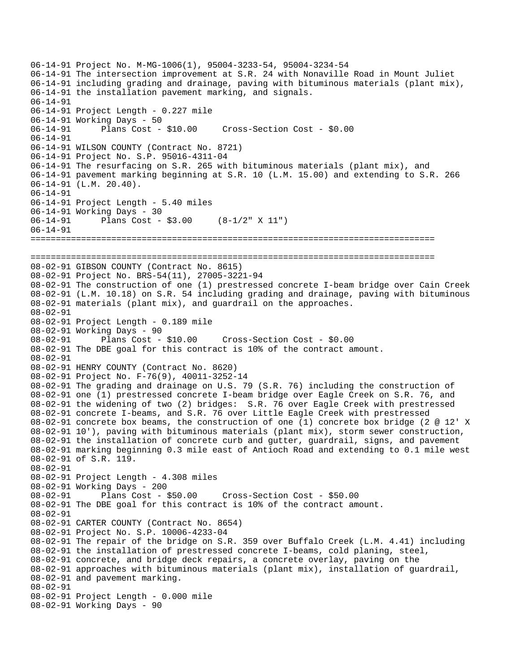```
06-14-91 Project No. M-MG-1006(1), 95004-3233-54, 95004-3234-54 
06-14-91 The intersection improvement at S.R. 24 with Nonaville Road in Mount Juliet 
06-14-91 including grading and drainage, paving with bituminous materials (plant mix), 
06-14-91 the installation pavement marking, and signals. 
06-14-91 
06-14-91 Project Length - 0.227 mile 
06-14-91 Working Days - 50 
06-14-91 Plans Cost - $10.00 Cross-Section Cost - $0.00 
06-14-91 
06-14-91 WILSON COUNTY (Contract No. 8721) 
06-14-91 Project No. S.P. 95016-4311-04 
06-14-91 The resurfacing on S.R. 265 with bituminous materials (plant mix), and 
06-14-91 pavement marking beginning at S.R. 10 (L.M. 15.00) and extending to S.R. 266 
06-14-91 (L.M. 20.40). 
06-14-91 
06-14-91 Project Length - 5.40 miles 
06-14-91 Working Days - 30 
06-14-91 Plans Cost - $3.00 (8-1/2" X 11") 
06-14-91 
================================================================================ 
================================================================================ 
08-02-91 GIBSON COUNTY (Contract No. 8615) 
08-02-91 Project No. BRS-54(11), 27005-3221-94 
08-02-91 The construction of one (1) prestressed concrete I-beam bridge over Cain Creek 
08-02-91 (L.M. 10.18) on S.R. 54 including grading and drainage, paving with bituminous 
08-02-91 materials (plant mix), and guardrail on the approaches. 
08-02-91 
08-02-91 Project Length - 0.189 mile 
08-02-91 Working Days - 90 
08-02-91 Plans Cost - $10.00 Cross-Section Cost - $0.00 
08-02-91 The DBE goal for this contract is 10% of the contract amount. 
08-02-91 
08-02-91 HENRY COUNTY (Contract No. 8620) 
08-02-91 Project No. F-76(9), 40011-3252-14 
08-02-91 The grading and drainage on U.S. 79 (S.R. 76) including the construction of 
08-02-91 one (1) prestressed concrete I-beam bridge over Eagle Creek on S.R. 76, and 
08-02-91 the widening of two (2) bridges: S.R. 76 over Eagle Creek with prestressed 
08-02-91 concrete I-beams, and S.R. 76 over Little Eagle Creek with prestressed 
08-02-91 concrete box beams, the construction of one (1) concrete box bridge (2 @ 12' X 
08-02-91 10'), paving with bituminous materials (plant mix), storm sewer construction, 
08-02-91 the installation of concrete curb and gutter, guardrail, signs, and pavement 
08-02-91 marking beginning 0.3 mile east of Antioch Road and extending to 0.1 mile west 
08-02-91 of S.R. 119. 
08-02-91 
08-02-91 Project Length - 4.308 miles 
08-02-91 Working Days - 200 
08-02-91 Plans Cost - $50.00 Cross-Section Cost - $50.00 
08-02-91 The DBE goal for this contract is 10% of the contract amount. 
08-02-91 
08-02-91 CARTER COUNTY (Contract No. 8654) 
08-02-91 Project No. S.P. 10006-4233-04 
08-02-91 The repair of the bridge on S.R. 359 over Buffalo Creek (L.M. 4.41) including 
08-02-91 the installation of prestressed concrete I-beams, cold planing, steel, 
08-02-91 concrete, and bridge deck repairs, a concrete overlay, paving on the 
08-02-91 approaches with bituminous materials (plant mix), installation of guardrail, 
08-02-91 and pavement marking. 
08-02-91 
08-02-91 Project Length - 0.000 mile 
08-02-91 Working Days - 90
```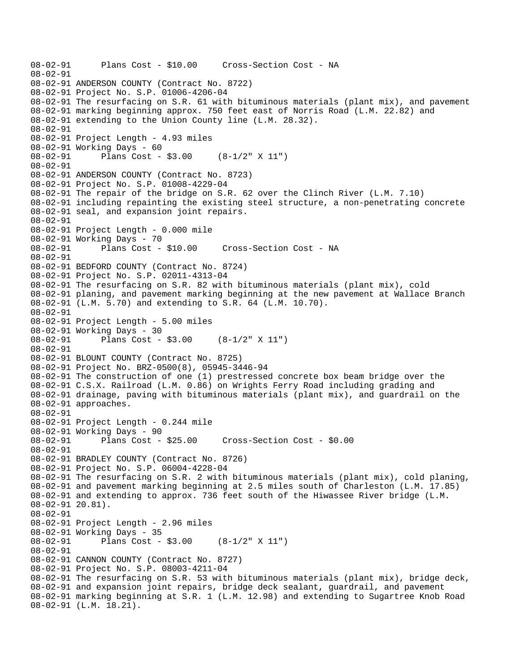```
08-02-91 Plans Cost - $10.00 Cross-Section Cost - NA 
08-02-91 
08-02-91 ANDERSON COUNTY (Contract No. 8722) 
08-02-91 Project No. S.P. 01006-4206-04 
08-02-91 The resurfacing on S.R. 61 with bituminous materials (plant mix), and pavement 
08-02-91 marking beginning approx. 750 feet east of Norris Road (L.M. 22.82) and 
08-02-91 extending to the Union County line (L.M. 28.32). 
08-02-91 
08-02-91 Project Length - 4.93 miles 
08-02-91 Working Days - 60 
08-02-91 Plans Cost - $3.00 (8-1/2" X 11") 
08-02-91 
08-02-91 ANDERSON COUNTY (Contract No. 8723) 
08-02-91 Project No. S.P. 01008-4229-04 
08-02-91 The repair of the bridge on S.R. 62 over the Clinch River (L.M. 7.10) 
08-02-91 including repainting the existing steel structure, a non-penetrating concrete 
08-02-91 seal, and expansion joint repairs. 
08-02-91 
08-02-91 Project Length - 0.000 mile 
08-02-91 Working Days - 70 
08-02-91 Plans Cost - $10.00 Cross-Section Cost - NA 
08-02-91 
08-02-91 BEDFORD COUNTY (Contract No. 8724) 
08-02-91 Project No. S.P. 02011-4313-04 
08-02-91 The resurfacing on S.R. 82 with bituminous materials (plant mix), cold 
08-02-91 planing, and pavement marking beginning at the new pavement at Wallace Branch 
08-02-91 (L.M. 5.70) and extending to S.R. 64 (L.M. 10.70). 
08-02-91 
08-02-91 Project Length - 5.00 miles 
08-02-91 Working Days - 30 
08-02-91 Plans Cost - $3.00 (8-1/2" X 11") 
08-02-91 
08-02-91 BLOUNT COUNTY (Contract No. 8725) 
08-02-91 Project No. BRZ-0500(8), 05945-3446-94 
08-02-91 The construction of one (1) prestressed concrete box beam bridge over the 
08-02-91 C.S.X. Railroad (L.M. 0.86) on Wrights Ferry Road including grading and 
08-02-91 drainage, paving with bituminous materials (plant mix), and guardrail on the 
08-02-91 approaches. 
08-02-91 
08-02-91 Project Length - 0.244 mile 
08-02-91 Working Days - 90 
08-02-91 Plans Cost - $25.00 Cross-Section Cost - $0.00 
08-02-91 
08-02-91 BRADLEY COUNTY (Contract No. 8726) 
08-02-91 Project No. S.P. 06004-4228-04 
08-02-91 The resurfacing on S.R. 2 with bituminous materials (plant mix), cold planing, 
08-02-91 and pavement marking beginning at 2.5 miles south of Charleston (L.M. 17.85) 
08-02-91 and extending to approx. 736 feet south of the Hiwassee River bridge (L.M. 
08-02-91 20.81). 
08-02-91 
08-02-91 Project Length - 2.96 miles 
08-02-91 Working Days - 35 
08-02-91 Plans Cost - $3.00 (8-1/2" X 11") 
08-02-91 
08-02-91 CANNON COUNTY (Contract No. 8727) 
08-02-91 Project No. S.P. 08003-4211-04 
08-02-91 The resurfacing on S.R. 53 with bituminous materials (plant mix), bridge deck, 
08-02-91 and expansion joint repairs, bridge deck sealant, guardrail, and pavement 
08-02-91 marking beginning at S.R. 1 (L.M. 12.98) and extending to Sugartree Knob Road 
08-02-91 (L.M. 18.21).
```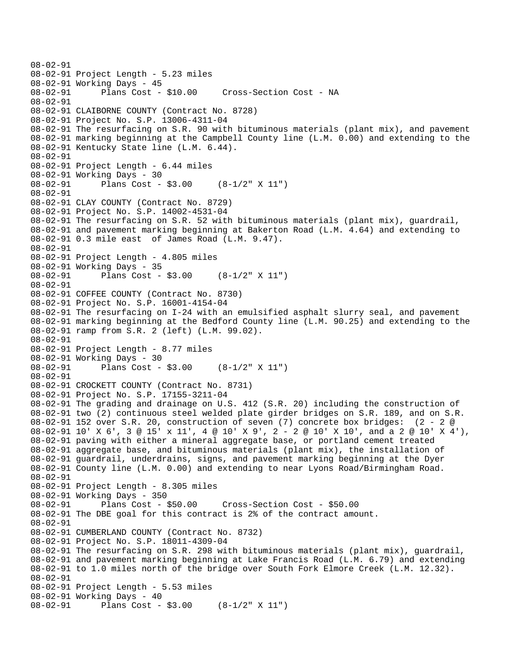```
08-02-91 
08-02-91 Project Length - 5.23 miles 
08-02-91 Working Days - 45 
08-02-91 Plans Cost - $10.00 Cross-Section Cost - NA 
08-02-91 
08-02-91 CLAIBORNE COUNTY (Contract No. 8728) 
08-02-91 Project No. S.P. 13006-4311-04 
08-02-91 The resurfacing on S.R. 90 with bituminous materials (plant mix), and pavement 
08-02-91 marking beginning at the Campbell County line (L.M. 0.00) and extending to the 
08-02-91 Kentucky State line (L.M. 6.44). 
08-02-91 
08-02-91 Project Length - 6.44 miles 
08-02-91 Working Days - 30 
08-02-91 Plans Cost - $3.00 (8-1/2" X 11") 
08-02-91 
08-02-91 CLAY COUNTY (Contract No. 8729) 
08-02-91 Project No. S.P. 14002-4531-04 
08-02-91 The resurfacing on S.R. 52 with bituminous materials (plant mix), guardrail, 
08-02-91 and pavement marking beginning at Bakerton Road (L.M. 4.64) and extending to 
08-02-91 0.3 mile east of James Road (L.M. 9.47). 
08-02-91 
08-02-91 Project Length - 4.805 miles 
08-02-91 Working Days - 35 
08-02-91 Plans Cost - $3.00 (8-1/2" X 11") 
08-02-91 
08-02-91 COFFEE COUNTY (Contract No. 8730) 
08-02-91 Project No. S.P. 16001-4154-04 
08-02-91 The resurfacing on I-24 with an emulsified asphalt slurry seal, and pavement 
08-02-91 marking beginning at the Bedford County line (L.M. 90.25) and extending to the 
08-02-91 ramp from S.R. 2 (left) (L.M. 99.02). 
08-02-91 
08-02-91 Project Length - 8.77 miles 
08-02-91 Working Days - 30 
08-02-91 Plans Cost - $3.00 (8-1/2" X 11") 
08-02-91 
08-02-91 CROCKETT COUNTY (Contract No. 8731) 
08-02-91 Project No. S.P. 17155-3211-04 
08-02-91 The grading and drainage on U.S. 412 (S.R. 20) including the construction of 
08-02-91 two (2) continuous steel welded plate girder bridges on S.R. 189, and on S.R. 
08-02-91 152 over S.R. 20, construction of seven (7) concrete box bridges: (2 - 2 @ 
08-02-91 10' X 6', 3 @ 15' x 11', 4 @ 10' X 9', 2 - 2 @ 10' X 10', and a 2 @ 10' X 4'), 
08-02-91 paving with either a mineral aggregate base, or portland cement treated 
08-02-91 aggregate base, and bituminous materials (plant mix), the installation of 
08-02-91 guardrail, underdrains, signs, and pavement marking beginning at the Dyer 
08-02-91 County line (L.M. 0.00) and extending to near Lyons Road/Birmingham Road. 
08-02-91 
08-02-91 Project Length - 8.305 miles 
08-02-91 Working Days - 350 
08-02-91 Plans Cost - $50.00 Cross-Section Cost - $50.00 
08-02-91 The DBE goal for this contract is 2% of the contract amount. 
08-02-91 
08-02-91 CUMBERLAND COUNTY (Contract No. 8732) 
08-02-91 Project No. S.P. 18011-4309-04 
08-02-91 The resurfacing on S.R. 298 with bituminous materials (plant mix), guardrail, 
08-02-91 and pavement marking beginning at Lake Francis Road (L.M. 6.79) and extending 
08-02-91 to 1.0 miles north of the bridge over South Fork Elmore Creek (L.M. 12.32). 
08-02-91 
08-02-91 Project Length - 5.53 miles 
08-02-91 Working Days - 40 
08-02-91 Plans Cost - $3.00 (8-1/2" X 11")
```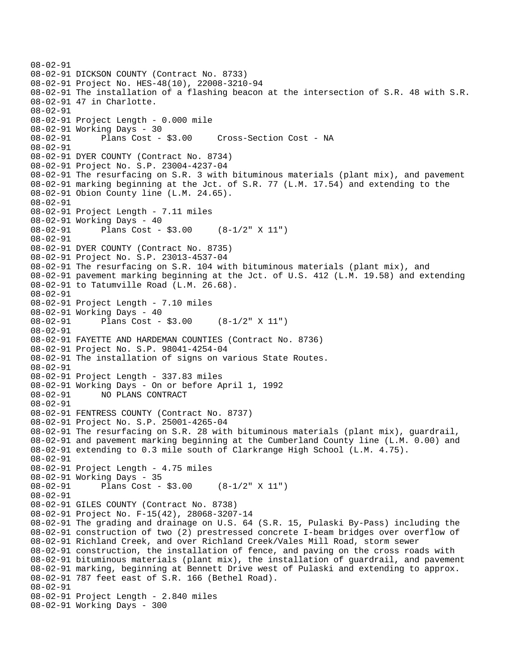```
08-02-91 
08-02-91 DICKSON COUNTY (Contract No. 8733) 
08-02-91 Project No. HES-48(10), 22008-3210-94 
08-02-91 The installation of a flashing beacon at the intersection of S.R. 48 with S.R. 
08-02-91 47 in Charlotte. 
08-02-91 
08-02-91 Project Length - 0.000 mile 
08-02-91 Working Days - 30 
08-02-91 Plans Cost - $3.00 Cross-Section Cost - NA 
08-02-91 
08-02-91 DYER COUNTY (Contract No. 8734) 
08-02-91 Project No. S.P. 23004-4237-04 
08-02-91 The resurfacing on S.R. 3 with bituminous materials (plant mix), and pavement 
08-02-91 marking beginning at the Jct. of S.R. 77 (L.M. 17.54) and extending to the 
08-02-91 Obion County line (L.M. 24.65). 
08-02-91 
08-02-91 Project Length - 7.11 miles 
08-02-91 Working Days - 40 
08-02-91 Plans Cost - $3.00 (8-1/2" X 11") 
08-02-91 
08-02-91 DYER COUNTY (Contract No. 8735) 
08-02-91 Project No. S.P. 23013-4537-04 
08-02-91 The resurfacing on S.R. 104 with bituminous materials (plant mix), and 
08-02-91 pavement marking beginning at the Jct. of U.S. 412 (L.M. 19.58) and extending 
08-02-91 to Tatumville Road (L.M. 26.68). 
08-02-91 
08-02-91 Project Length - 7.10 miles 
08-02-91 Working Days - 40 
08-02-91 Plans Cost - $3.00 (8-1/2" X 11") 
08-02-91 
08-02-91 FAYETTE AND HARDEMAN COUNTIES (Contract No. 8736) 
08-02-91 Project No. S.P. 98041-4254-04 
08-02-91 The installation of signs on various State Routes. 
08-02-91 
08-02-91 Project Length - 337.83 miles 
08-02-91 Working Days - On or before April 1, 1992 
             08-02-91 NO PLANS CONTRACT 
08-02-91 
08-02-91 FENTRESS COUNTY (Contract No. 8737) 
08-02-91 Project No. S.P. 25001-4265-04 
08-02-91 The resurfacing on S.R. 28 with bituminous materials (plant mix), guardrail, 
08-02-91 and pavement marking beginning at the Cumberland County line (L.M. 0.00) and 
08-02-91 extending to 0.3 mile south of Clarkrange High School (L.M. 4.75). 
08-02-91 
08-02-91 Project Length - 4.75 miles 
08-02-91 Working Days - 35 
08-02-91 Plans Cost - $3.00 (8-1/2" X 11") 
08-02-91 
08-02-91 GILES COUNTY (Contract No. 8738) 
08-02-91 Project No. F-15(42), 28068-3207-14 
08-02-91 The grading and drainage on U.S. 64 (S.R. 15, Pulaski By-Pass) including the 
08-02-91 construction of two (2) prestressed concrete I-beam bridges over overflow of 
08-02-91 Richland Creek, and over Richland Creek/Vales Mill Road, storm sewer 
08-02-91 construction, the installation of fence, and paving on the cross roads with 
08-02-91 bituminous materials (plant mix), the installation of guardrail, and pavement 
08-02-91 marking, beginning at Bennett Drive west of Pulaski and extending to approx. 
08-02-91 787 feet east of S.R. 166 (Bethel Road). 
08-02-91 
08-02-91 Project Length - 2.840 miles 
08-02-91 Working Days - 300
```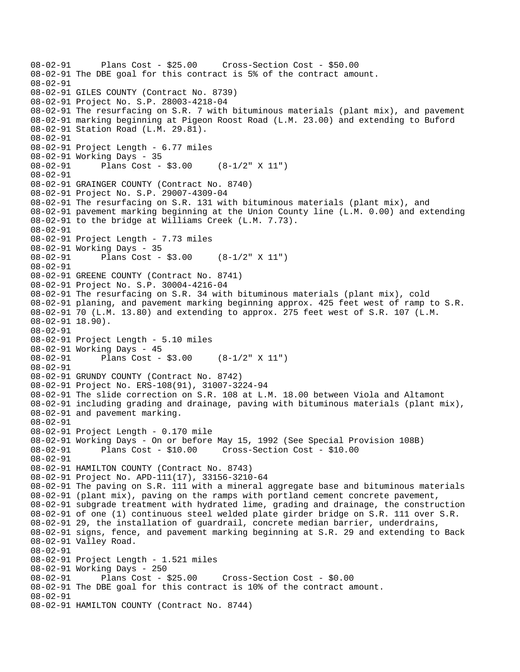```
08-02-91 Plans Cost - $25.00 Cross-Section Cost - $50.00 
08-02-91 The DBE goal for this contract is 5% of the contract amount. 
08-02-91 
08-02-91 GILES COUNTY (Contract No. 8739) 
08-02-91 Project No. S.P. 28003-4218-04 
08-02-91 The resurfacing on S.R. 7 with bituminous materials (plant mix), and pavement 
08-02-91 marking beginning at Pigeon Roost Road (L.M. 23.00) and extending to Buford 
08-02-91 Station Road (L.M. 29.81). 
08-02-91 
08-02-91 Project Length - 6.77 miles 
08-02-91 Working Days - 35 
08-02-91 Plans Cost - $3.00 (8-1/2" X 11") 
08-02-91 
08-02-91 GRAINGER COUNTY (Contract No. 8740) 
08-02-91 Project No. S.P. 29007-4309-04 
08-02-91 The resurfacing on S.R. 131 with bituminous materials (plant mix), and 
08-02-91 pavement marking beginning at the Union County line (L.M. 0.00) and extending 
08-02-91 to the bridge at Williams Creek (L.M. 7.73). 
08-02-91 
08-02-91 Project Length - 7.73 miles
08-02-91 Working Days - 35 
08-02-91 Plans Cost - $3.00 (8-1/2" X 11") 
08-02-91 
08-02-91 GREENE COUNTY (Contract No. 8741) 
08-02-91 Project No. S.P. 30004-4216-04 
08-02-91 The resurfacing on S.R. 34 with bituminous materials (plant mix), cold 
08-02-91 planing, and pavement marking beginning approx. 425 feet west of ramp to S.R. 
08-02-91 70 (L.M. 13.80) and extending to approx. 275 feet west of S.R. 107 (L.M. 
08-02-91 18.90). 
08-02-91 
08-02-91 Project Length - 5.10 miles 
08-02-91 Working Days - 45<br>08-02-91 Plans Cost -
              Plans Cost - $3.00 (8-1/2" X 11")
08-02-91 
08-02-91 GRUNDY COUNTY (Contract No. 8742) 
08-02-91 Project No. ERS-108(91), 31007-3224-94 
08-02-91 The slide correction on S.R. 108 at L.M. 18.00 between Viola and Altamont 
08-02-91 including grading and drainage, paving with bituminous materials (plant mix), 
08-02-91 and pavement marking. 
08-02-91 
08-02-91 Project Length - 0.170 mile 
08-02-91 Working Days - On or before May 15, 1992 (See Special Provision 108B) 
08-02-91 Plans Cost - $10.00 Cross-Section Cost - $10.00 
08-02-91 
08-02-91 HAMILTON COUNTY (Contract No. 8743) 
08-02-91 Project No. APD-111(17), 33156-3210-64 
08-02-91 The paving on S.R. 111 with a mineral aggregate base and bituminous materials 
08-02-91 (plant mix), paving on the ramps with portland cement concrete pavement, 
08-02-91 subgrade treatment with hydrated lime, grading and drainage, the construction 
08-02-91 of one (1) continuous steel welded plate girder bridge on S.R. 111 over S.R. 
08-02-91 29, the installation of guardrail, concrete median barrier, underdrains, 
08-02-91 signs, fence, and pavement marking beginning at S.R. 29 and extending to Back 
08-02-91 Valley Road. 
08-02-91 
08-02-91 Project Length - 1.521 miles 
08-02-91 Working Days - 250 
08-02-91 Plans Cost - $25.00 Cross-Section Cost - $0.00 
08-02-91 The DBE goal for this contract is 10% of the contract amount. 
08-02-91 
08-02-91 HAMILTON COUNTY (Contract No. 8744)
```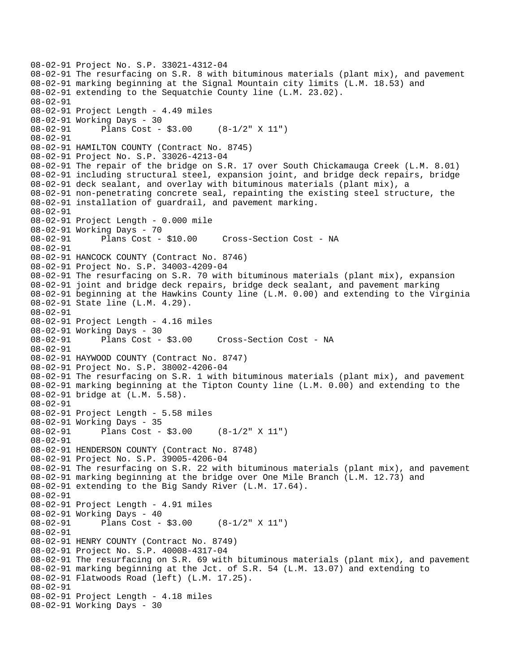```
08-02-91 Project No. S.P. 33021-4312-04 
08-02-91 The resurfacing on S.R. 8 with bituminous materials (plant mix), and pavement 
08-02-91 marking beginning at the Signal Mountain city limits (L.M. 18.53) and 
08-02-91 extending to the Sequatchie County line (L.M. 23.02). 
08-02-91 
08-02-91 Project Length - 4.49 miles 
08-02-91 Working Days - 30 
08-02-91 Plans Cost - $3.00 (8-1/2" X 11") 
08-02-91 
08-02-91 HAMILTON COUNTY (Contract No. 8745) 
08-02-91 Project No. S.P. 33026-4213-04 
08-02-91 The repair of the bridge on S.R. 17 over South Chickamauga Creek (L.M. 8.01) 
08-02-91 including structural steel, expansion joint, and bridge deck repairs, bridge 
08-02-91 deck sealant, and overlay with bituminous materials (plant mix), a 
08-02-91 non-penetrating concrete seal, repainting the existing steel structure, the 
08-02-91 installation of guardrail, and pavement marking. 
08-02-91 
08-02-91 Project Length - 0.000 mile 
08-02-91 Working Days - 70 
08-02-91 Plans Cost - $10.00 Cross-Section Cost - NA 
08-02-91 
08-02-91 HANCOCK COUNTY (Contract No. 8746) 
08-02-91 Project No. S.P. 34003-4209-04 
08-02-91 The resurfacing on S.R. 70 with bituminous materials (plant mix), expansion 
08-02-91 joint and bridge deck repairs, bridge deck sealant, and pavement marking 
08-02-91 beginning at the Hawkins County line (L.M. 0.00) and extending to the Virginia 
08-02-91 State line (L.M. 4.29). 
08-02-91 
08-02-91 Project Length - 4.16 miles 
08-02-91 Working Days - 30<br>08-02-91 Plans Cost - $3.00
08-02-91 Plans Cost - $3.00 Cross-Section Cost - NA 
08-02-91 
08-02-91 HAYWOOD COUNTY (Contract No. 8747) 
08-02-91 Project No. S.P. 38002-4206-04 
08-02-91 The resurfacing on S.R. 1 with bituminous materials (plant mix), and pavement 
08-02-91 marking beginning at the Tipton County line (L.M. 0.00) and extending to the 
08-02-91 bridge at (L.M. 5.58). 
08-02-91 
08-02-91 Project Length - 5.58 miles 
08-02-91 Working Days - 35 
08-02-91 Plans Cost - $3.00 (8-1/2" X 11") 
08-02-91 
08-02-91 HENDERSON COUNTY (Contract No. 8748) 
08-02-91 Project No. S.P. 39005-4206-04 
08-02-91 The resurfacing on S.R. 22 with bituminous materials (plant mix), and pavement 
08-02-91 marking beginning at the bridge over One Mile Branch (L.M. 12.73) and 
08-02-91 extending to the Big Sandy River (L.M. 17.64). 
08-02-91 
08-02-91 Project Length - 4.91 miles 
08-02-91 Working Days - 40 
08-02-91 Plans Cost - $3.00 (8-1/2" X 11") 
08-02-91 
08-02-91 HENRY COUNTY (Contract No. 8749) 
08-02-91 Project No. S.P. 40008-4317-04 
08-02-91 The resurfacing on S.R. 69 with bituminous materials (plant mix), and pavement 
08-02-91 marking beginning at the Jct. of S.R. 54 (L.M. 13.07) and extending to 
08-02-91 Flatwoods Road (left) (L.M. 17.25). 
08-02-91 
08-02-91 Project Length - 4.18 miles 
08-02-91 Working Days - 30
```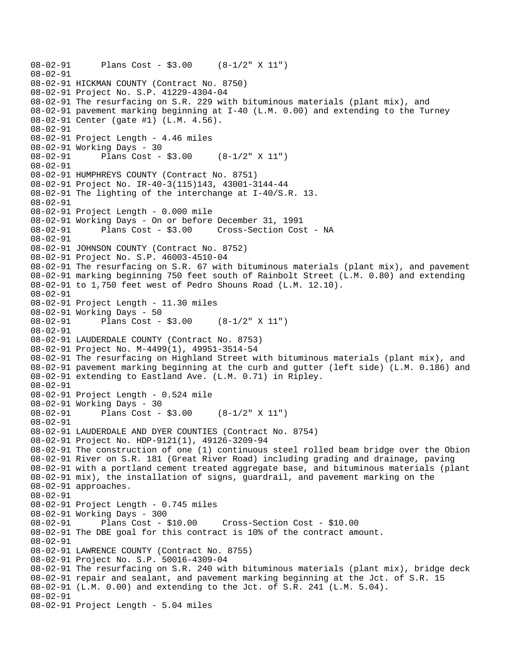```
08-02-91 Plans Cost - $3.00 (8-1/2" X 11") 
08-02-91 
08-02-91 HICKMAN COUNTY (Contract No. 8750) 
08-02-91 Project No. S.P. 41229-4304-04 
08-02-91 The resurfacing on S.R. 229 with bituminous materials (plant mix), and 
08-02-91 pavement marking beginning at I-40 (L.M. 0.00) and extending to the Turney 
08-02-91 Center (gate #1) (L.M. 4.56). 
08-02-91 
08-02-91 Project Length - 4.46 miles 
08-02-91 Working Days - 30 
08-02-91 Plans Cost - $3.00 (8-1/2" X 11") 
08-02-91 
08-02-91 HUMPHREYS COUNTY (Contract No. 8751) 
08-02-91 Project No. IR-40-3(115)143, 43001-3144-44 
08-02-91 The lighting of the interchange at I-40/S.R. 13. 
08-02-91 
08-02-91 Project Length - 0.000 mile 
08-02-91 Working Days - On or before December 31, 1991 
08-02-91 Plans Cost - $3.00 Cross-Section Cost - NA 
08-02-91 
08-02-91 JOHNSON COUNTY (Contract No. 8752) 
08-02-91 Project No. S.P. 46003-4510-04 
08-02-91 The resurfacing on S.R. 67 with bituminous materials (plant mix), and pavement 
08-02-91 marking beginning 750 feet south of Rainbolt Street (L.M. 0.80) and extending 
08-02-91 to 1,750 feet west of Pedro Shouns Road (L.M. 12.10). 
08-02-91 
08-02-91 Project Length - 11.30 miles 
08-02-91 Working Days - 50 
08-02-91 Plans Cost - $3.00 (8-1/2" X 11") 
08-02-91 
08-02-91 LAUDERDALE COUNTY (Contract No. 8753) 
08-02-91 Project No. M-4499(1), 49951-3514-54 
08-02-91 The resurfacing on Highland Street with bituminous materials (plant mix), and 
08-02-91 pavement marking beginning at the curb and gutter (left side) (L.M. 0.186) and 
08-02-91 extending to Eastland Ave. (L.M. 0.71) in Ripley. 
08-02-91 
08-02-91 Project Length - 0.524 mile 
08-02-91 Working Days - 30 
08-02-91 Plans Cost - $3.00 (8-1/2" X 11") 
08-02-91 
08-02-91 LAUDERDALE AND DYER COUNTIES (Contract No. 8754) 
08-02-91 Project No. HDP-9121(1), 49126-3209-94 
08-02-91 The construction of one (1) continuous steel rolled beam bridge over the Obion 
08-02-91 River on S.R. 181 (Great River Road) including grading and drainage, paving 
08-02-91 with a portland cement treated aggregate base, and bituminous materials (plant 
08-02-91 mix), the installation of signs, guardrail, and pavement marking on the 
08-02-91 approaches. 
08-02-91 
08-02-91 Project Length - 0.745 miles 
08-02-91 Working Days - 300 
08-02-91 Plans Cost - $10.00 Cross-Section Cost - $10.00 
08-02-91 The DBE goal for this contract is 10% of the contract amount. 
08-02-91 
08-02-91 LAWRENCE COUNTY (Contract No. 8755) 
08-02-91 Project No. S.P. 50016-4309-04 
08-02-91 The resurfacing on S.R. 240 with bituminous materials (plant mix), bridge deck 
08-02-91 repair and sealant, and pavement marking beginning at the Jct. of S.R. 15 
08-02-91 (L.M. 0.00) and extending to the Jct. of S.R. 241 (L.M. 5.04). 
08-02-91 
08-02-91 Project Length - 5.04 miles
```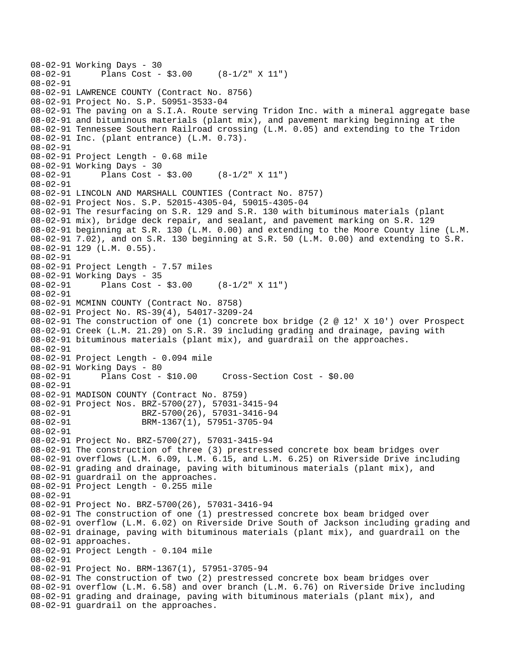```
08-02-91 Working Days - 30 
              Plans Cost - $3.00 (8-1/2" X 11")
08-02-91 
08-02-91 LAWRENCE COUNTY (Contract No. 8756) 
08-02-91 Project No. S.P. 50951-3533-04 
08-02-91 The paving on a S.I.A. Route serving Tridon Inc. with a mineral aggregate base 
08-02-91 and bituminous materials (plant mix), and pavement marking beginning at the 
08-02-91 Tennessee Southern Railroad crossing (L.M. 0.05) and extending to the Tridon 
08-02-91 Inc. (plant entrance) (L.M. 0.73). 
08-02-91 
08-02-91 Project Length - 0.68 mile 
08-02-91 Working Days - 30 
08-02-91 Plans Cost - $3.00 (8-1/2" X 11") 
08-02-91 
08-02-91 LINCOLN AND MARSHALL COUNTIES (Contract No. 8757) 
08-02-91 Project Nos. S.P. 52015-4305-04, 59015-4305-04 
08-02-91 The resurfacing on S.R. 129 and S.R. 130 with bituminous materials (plant 
08-02-91 mix), bridge deck repair, and sealant, and pavement marking on S.R. 129 
08-02-91 beginning at S.R. 130 (L.M. 0.00) and extending to the Moore County line (L.M. 
08-02-91 7.02), and on S.R. 130 beginning at S.R. 50 (L.M. 0.00) and extending to S.R. 
08-02-91 129 (L.M. 0.55). 
08-02-91 
08-02-91 Project Length - 7.57 miles
08-02-91 Working Days - 35<br>08-02-91 Plans Cost -
              Plans Cost - $3.00 (8-1/2" X 11")
08-02-91 
08-02-91 MCMINN COUNTY (Contract No. 8758) 
08-02-91 Project No. RS-39(4), 54017-3209-24 
08-02-91 The construction of one (1) concrete box bridge (2 @ 12' X 10') over Prospect 
08-02-91 Creek (L.M. 21.29) on S.R. 39 including grading and drainage, paving with 
08-02-91 bituminous materials (plant mix), and guardrail on the approaches. 
08-02-91 
08-02-91 Project Length - 0.094 mile 
08-02-91 Working Days - 80 
                                      Cross-Section Cost - $0.00
08-02-91 
08-02-91 MADISON COUNTY (Contract No. 8759) 
08-02-91 Project Nos. BRZ-5700(27), 57031-3415-94 
08-02-91 BRZ-5700(26), 57031-3416-94 
08-02-91 BRM-1367(1), 57951-3705-94
08-02-91 
08-02-91 Project No. BRZ-5700(27), 57031-3415-94 
08-02-91 The construction of three (3) prestressed concrete box beam bridges over 
08-02-91 overflows (L.M. 6.09, L.M. 6.15, and L.M. 6.25) on Riverside Drive including 
08-02-91 grading and drainage, paving with bituminous materials (plant mix), and 
08-02-91 guardrail on the approaches. 
08-02-91 Project Length - 0.255 mile 
08-02-91 
08-02-91 Project No. BRZ-5700(26), 57031-3416-94 
08-02-91 The construction of one (1) prestressed concrete box beam bridged over 
08-02-91 overflow (L.M. 6.02) on Riverside Drive South of Jackson including grading and 
08-02-91 drainage, paving with bituminous materials (plant mix), and guardrail on the 
08-02-91 approaches. 
08-02-91 Project Length - 0.104 mile 
08-02-91 
08-02-91 Project No. BRM-1367(1), 57951-3705-94 
08-02-91 The construction of two (2) prestressed concrete box beam bridges over 
08-02-91 overflow (L.M. 6.58) and over branch (L.M. 6.76) on Riverside Drive including 
08-02-91 grading and drainage, paving with bituminous materials (plant mix), and 
08-02-91 guardrail on the approaches.
```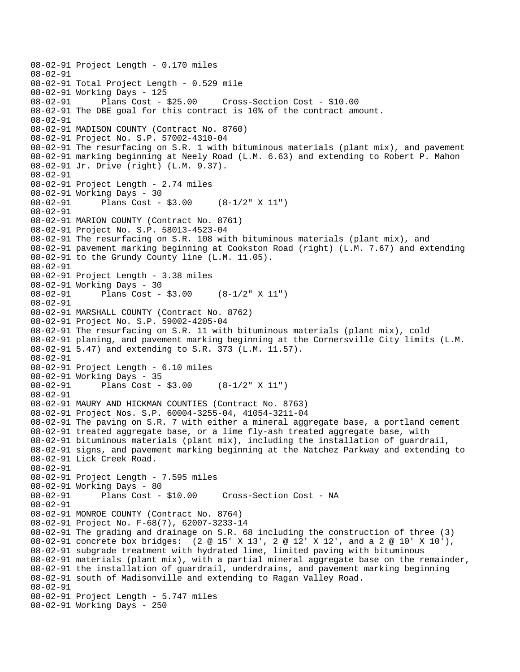08-02-91 Project Length - 0.170 miles 08-02-91 08-02-91 Total Project Length - 0.529 mile 08-02-91 Working Days - 125 08-02-91 Plans Cost - \$25.00 Cross-Section Cost - \$10.00 08-02-91 The DBE goal for this contract is 10% of the contract amount. 08-02-91 08-02-91 MADISON COUNTY (Contract No. 8760) 08-02-91 Project No. S.P. 57002-4310-04 08-02-91 The resurfacing on S.R. 1 with bituminous materials (plant mix), and pavement 08-02-91 marking beginning at Neely Road (L.M. 6.63) and extending to Robert P. Mahon 08-02-91 Jr. Drive (right) (L.M. 9.37). 08-02-91 08-02-91 Project Length - 2.74 miles 08-02-91 Working Days - 30 08-02-91 Plans Cost - \$3.00 (8-1/2" X 11") 08-02-91 08-02-91 MARION COUNTY (Contract No. 8761) 08-02-91 Project No. S.P. 58013-4523-04 08-02-91 The resurfacing on S.R. 108 with bituminous materials (plant mix), and 08-02-91 pavement marking beginning at Cookston Road (right) (L.M. 7.67) and extending 08-02-91 to the Grundy County line (L.M. 11.05). 08-02-91 08-02-91 Project Length - 3.38 miles 08-02-91 Working Days - 30 08-02-91 Plans Cost - \$3.00 (8-1/2" X 11") 08-02-91 08-02-91 MARSHALL COUNTY (Contract No. 8762) 08-02-91 Project No. S.P. 59002-4205-04 08-02-91 The resurfacing on S.R. 11 with bituminous materials (plant mix), cold 08-02-91 planing, and pavement marking beginning at the Cornersville City limits (L.M. 08-02-91 5.47) and extending to S.R. 373 (L.M. 11.57). 08-02-91 08-02-91 Project Length - 6.10 miles 08-02-91 Working Days - 35 08-02-91 Plans Cost - \$3.00 (8-1/2" X 11") 08-02-91 08-02-91 MAURY AND HICKMAN COUNTIES (Contract No. 8763) 08-02-91 Project Nos. S.P. 60004-3255-04, 41054-3211-04 08-02-91 The paving on S.R. 7 with either a mineral aggregate base, a portland cement 08-02-91 treated aggregate base, or a lime fly-ash treated aggregate base, with 08-02-91 bituminous materials (plant mix), including the installation of guardrail, 08-02-91 signs, and pavement marking beginning at the Natchez Parkway and extending to 08-02-91 Lick Creek Road. 08-02-91 08-02-91 Project Length - 7.595 miles 08-02-91 Working Days - 80 08-02-91 Plans Cost - \$10.00 Cross-Section Cost - NA 08-02-91 08-02-91 MONROE COUNTY (Contract No. 8764) 08-02-91 Project No. F-68(7), 62007-3233-14 08-02-91 The grading and drainage on S.R. 68 including the construction of three (3) 08-02-91 concrete box bridges: (2 @ 15' X 13', 2 @ 12' X 12', and a 2 @ 10' X 10'), 08-02-91 subgrade treatment with hydrated lime, limited paving with bituminous 08-02-91 materials (plant mix), with a partial mineral aggregate base on the remainder, 08-02-91 the installation of guardrail, underdrains, and pavement marking beginning 08-02-91 south of Madisonville and extending to Ragan Valley Road. 08-02-91 08-02-91 Project Length - 5.747 miles 08-02-91 Working Days - 250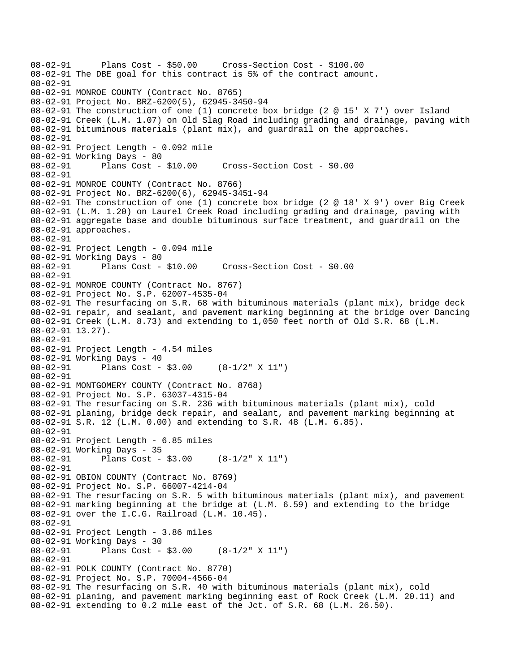08-02-91 Plans Cost - \$50.00 Cross-Section Cost - \$100.00 08-02-91 The DBE goal for this contract is 5% of the contract amount. 08-02-91 08-02-91 MONROE COUNTY (Contract No. 8765) 08-02-91 Project No. BRZ-6200(5), 62945-3450-94 08-02-91 The construction of one (1) concrete box bridge (2 @ 15' X 7') over Island 08-02-91 Creek (L.M. 1.07) on Old Slag Road including grading and drainage, paving with 08-02-91 bituminous materials (plant mix), and guardrail on the approaches. 08-02-91 08-02-91 Project Length - 0.092 mile 08-02-91 Working Days - 80 08-02-91 Plans Cost - \$10.00 Cross-Section Cost - \$0.00 08-02-91 08-02-91 MONROE COUNTY (Contract No. 8766) 08-02-91 Project No. BRZ-6200(6), 62945-3451-94 08-02-91 The construction of one (1) concrete box bridge (2 @ 18' X 9') over Big Creek 08-02-91 (L.M. 1.20) on Laurel Creek Road including grading and drainage, paving with 08-02-91 aggregate base and double bituminous surface treatment, and guardrail on the 08-02-91 approaches. 08-02-91 08-02-91 Project Length - 0.094 mile 08-02-91 Working Days - 80<br>08-02-91 Plans Cost - \$10.00 08-02-91 Plans Cost - \$10.00 Cross-Section Cost - \$0.00 08-02-91 08-02-91 MONROE COUNTY (Contract No. 8767) 08-02-91 Project No. S.P. 62007-4535-04 08-02-91 The resurfacing on S.R. 68 with bituminous materials (plant mix), bridge deck 08-02-91 repair, and sealant, and pavement marking beginning at the bridge over Dancing 08-02-91 Creek (L.M. 8.73) and extending to 1,050 feet north of Old S.R. 68 (L.M. 08-02-91 13.27). 08-02-91 08-02-91 Project Length - 4.54 miles 08-02-91 Working Days - 40 08-02-91 Plans Cost - \$3.00 (8-1/2" X 11") 08-02-91 08-02-91 MONTGOMERY COUNTY (Contract No. 8768) 08-02-91 Project No. S.P. 63037-4315-04 08-02-91 The resurfacing on S.R. 236 with bituminous materials (plant mix), cold 08-02-91 planing, bridge deck repair, and sealant, and pavement marking beginning at 08-02-91 S.R. 12 (L.M. 0.00) and extending to S.R. 48 (L.M. 6.85). 08-02-91 08-02-91 Project Length - 6.85 miles 08-02-91 Working Days - 35 08-02-91 Plans Cost - \$3.00 (8-1/2" X 11") 08-02-91 08-02-91 OBION COUNTY (Contract No. 8769) 08-02-91 Project No. S.P. 66007-4214-04 08-02-91 The resurfacing on S.R. 5 with bituminous materials (plant mix), and pavement 08-02-91 marking beginning at the bridge at (L.M. 6.59) and extending to the bridge 08-02-91 over the I.C.G. Railroad (L.M. 10.45). 08-02-91 08-02-91 Project Length - 3.86 miles 08-02-91 Working Days - 30 08-02-91 Plans Cost - \$3.00 (8-1/2" X 11") 08-02-91 08-02-91 POLK COUNTY (Contract No. 8770) 08-02-91 Project No. S.P. 70004-4566-04 08-02-91 The resurfacing on S.R. 40 with bituminous materials (plant mix), cold 08-02-91 planing, and pavement marking beginning east of Rock Creek (L.M. 20.11) and 08-02-91 extending to 0.2 mile east of the Jct. of S.R. 68 (L.M. 26.50).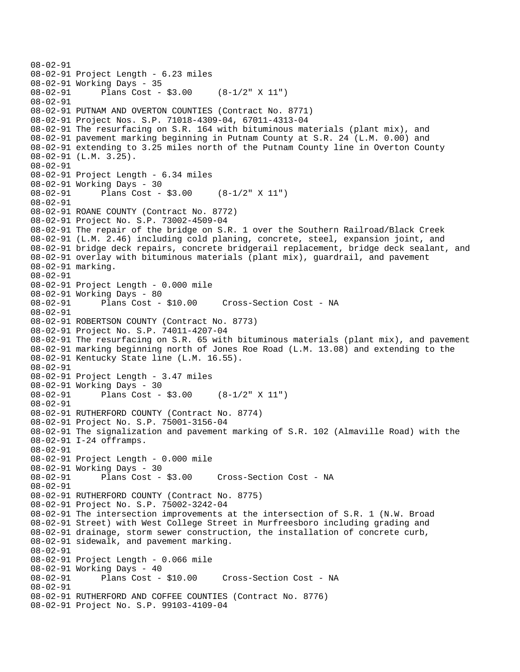```
08-02-91 
08-02-91 Project Length - 6.23 miles 
08-02-91 Working Days - 35 
08-02-91 Plans Cost - $3.00 (8-1/2" X 11") 
08-02-91 
08-02-91 PUTNAM AND OVERTON COUNTIES (Contract No. 8771) 
08-02-91 Project Nos. S.P. 71018-4309-04, 67011-4313-04 
08-02-91 The resurfacing on S.R. 164 with bituminous materials (plant mix), and 
08-02-91 pavement marking beginning in Putnam County at S.R. 24 (L.M. 0.00) and 
08-02-91 extending to 3.25 miles north of the Putnam County line in Overton County 
08-02-91 (L.M. 3.25). 
08-02-91 
08-02-91 Project Length - 6.34 miles 
08-02-91 Working Days - 30 
              Plans Cost - $3.00 (8-1/2" X 11")
08-02-91 
08-02-91 ROANE COUNTY (Contract No. 8772) 
08-02-91 Project No. S.P. 73002-4509-04 
08-02-91 The repair of the bridge on S.R. 1 over the Southern Railroad/Black Creek 
08-02-91 (L.M. 2.46) including cold planing, concrete, steel, expansion joint, and 
08-02-91 bridge deck repairs, concrete bridgerail replacement, bridge deck sealant, and 
08-02-91 overlay with bituminous materials (plant mix), guardrail, and pavement 
08-02-91 marking. 
08-02-91 
08-02-91 Project Length - 0.000 mile 
08-02-91 Working Days - 80 
08-02-91 Plans Cost - $10.00 Cross-Section Cost - NA 
08-02-91 
08-02-91 ROBERTSON COUNTY (Contract No. 8773) 
08-02-91 Project No. S.P. 74011-4207-04 
08-02-91 The resurfacing on S.R. 65 with bituminous materials (plant mix), and pavement 
08-02-91 marking beginning north of Jones Roe Road (L.M. 13.08) and extending to the 
08-02-91 Kentucky State line (L.M. 16.55). 
08-02-91 
08-02-91 Project Length - 3.47 miles 
08-02-91 Working Days - 30 
08-02-91 Plans Cost - $3.00 (8-1/2" X 11") 
08-02-91 
08-02-91 RUTHERFORD COUNTY (Contract No. 8774) 
08-02-91 Project No. S.P. 75001-3156-04 
08-02-91 The signalization and pavement marking of S.R. 102 (Almaville Road) with the 
08-02-91 I-24 offramps. 
08-02-91 
08-02-91 Project Length - 0.000 mile 
08-02-91 Working Days - 30<br>08-02-91 Plans Cost - $3.00
08-02-91 Plans Cost - $3.00 Cross-Section Cost - NA 
08-02-91 
08-02-91 RUTHERFORD COUNTY (Contract No. 8775) 
08-02-91 Project No. S.P. 75002-3242-04 
08-02-91 The intersection improvements at the intersection of S.R. 1 (N.W. Broad 
08-02-91 Street) with West College Street in Murfreesboro including grading and 
08-02-91 drainage, storm sewer construction, the installation of concrete curb, 
08-02-91 sidewalk, and pavement marking. 
08-02-91 
08-02-91 Project Length - 0.066 mile 
08-02-91 Working Days - 40 
08-02-91 Plans Cost - $10.00 Cross-Section Cost - NA 
08-02-91 
08-02-91 RUTHERFORD AND COFFEE COUNTIES (Contract No. 8776) 
08-02-91 Project No. S.P. 99103-4109-04
```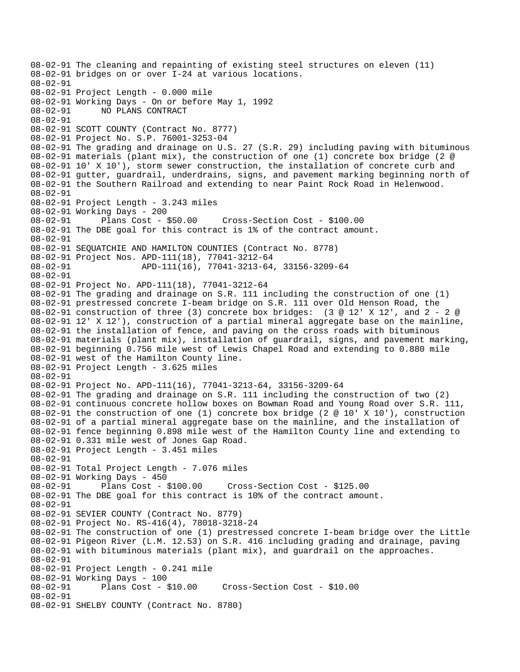08-02-91 The cleaning and repainting of existing steel structures on eleven (11) 08-02-91 bridges on or over I-24 at various locations. 08-02-91 08-02-91 Project Length - 0.000 mile 08-02-91 Working Days - On or before May 1, 1992 08-02-91 NO PLANS CONTRACT 08-02-91 08-02-91 SCOTT COUNTY (Contract No. 8777) 08-02-91 Project No. S.P. 76001-3253-04 08-02-91 The grading and drainage on U.S. 27 (S.R. 29) including paving with bituminous 08-02-91 materials (plant mix), the construction of one (1) concrete box bridge (2 @ 08-02-91 10' X 10'), storm sewer construction, the installation of concrete curb and 08-02-91 gutter, guardrail, underdrains, signs, and pavement marking beginning north of 08-02-91 the Southern Railroad and extending to near Paint Rock Road in Helenwood. 08-02-91 08-02-91 Project Length - 3.243 miles 08-02-91 Working Days - 200 08-02-91 Plans Cost - \$50.00 Cross-Section Cost - \$100.00 08-02-91 The DBE goal for this contract is 1% of the contract amount. 08-02-91 08-02-91 SEQUATCHIE AND HAMILTON COUNTIES (Contract No. 8778) 08-02-91 Project Nos. APD-111(18), 77041-3212-64 08-02-91 APD-111(16), 77041-3213-64, 33156-3209-64 08-02-91 08-02-91 Project No. APD-111(18), 77041-3212-64 08-02-91 The grading and drainage on S.R. 111 including the construction of one (1) 08-02-91 prestressed concrete I-beam bridge on S.R. 111 over Old Henson Road, the 08-02-91 construction of three (3) concrete box bridges: (3 @ 12' X 12', and 2 - 2 @ 08-02-91 12' X 12'), construction of a partial mineral aggregate base on the mainline, 08-02-91 the installation of fence, and paving on the cross roads with bituminous 08-02-91 materials (plant mix), installation of guardrail, signs, and pavement marking, 08-02-91 beginning 0.756 mile west of Lewis Chapel Road and extending to 0.880 mile 08-02-91 west of the Hamilton County line. 08-02-91 Project Length - 3.625 miles 08-02-91 08-02-91 Project No. APD-111(16), 77041-3213-64, 33156-3209-64 08-02-91 The grading and drainage on S.R. 111 including the construction of two (2) 08-02-91 continuous concrete hollow boxes on Bowman Road and Young Road over S.R. 111, 08-02-91 the construction of one (1) concrete box bridge (2 @ 10' X 10'), construction 08-02-91 of a partial mineral aggregate base on the mainline, and the installation of 08-02-91 fence beginning 0.898 mile west of the Hamilton County line and extending to 08-02-91 0.331 mile west of Jones Gap Road. 08-02-91 Project Length - 3.451 miles 08-02-91 08-02-91 Total Project Length - 7.076 miles 08-02-91 Working Days - 450 08-02-91 Plans Cost - \$100.00 Cross-Section Cost - \$125.00 08-02-91 The DBE goal for this contract is 10% of the contract amount. 08-02-91 08-02-91 SEVIER COUNTY (Contract No. 8779) 08-02-91 Project No. RS-416(4), 78018-3218-24 08-02-91 The construction of one (1) prestressed concrete I-beam bridge over the Little 08-02-91 Pigeon River (L.M. 12.53) on S.R. 416 including grading and drainage, paving 08-02-91 with bituminous materials (plant mix), and guardrail on the approaches. 08-02-91 08-02-91 Project Length - 0.241 mile 08-02-91 Working Days - 100 Cross-Section Cost - \$10.00 08-02-91 08-02-91 SHELBY COUNTY (Contract No. 8780)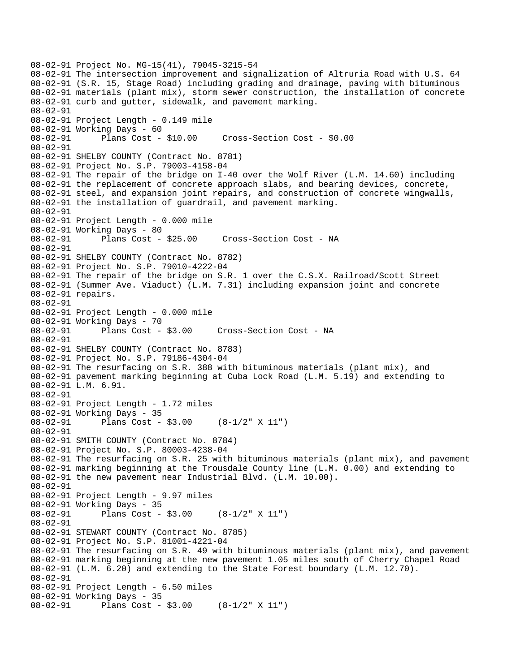```
08-02-91 Project No. MG-15(41), 79045-3215-54 
08-02-91 The intersection improvement and signalization of Altruria Road with U.S. 64 
08-02-91 (S.R. 15, Stage Road) including grading and drainage, paving with bituminous 
08-02-91 materials (plant mix), storm sewer construction, the installation of concrete 
08-02-91 curb and gutter, sidewalk, and pavement marking. 
08-02-91 
08-02-91 Project Length - 0.149 mile 
08-02-91 Working Days - 60 
08-02-91 Plans Cost - $10.00 Cross-Section Cost - $0.00 
08-02-91 
08-02-91 SHELBY COUNTY (Contract No. 8781) 
08-02-91 Project No. S.P. 79003-4158-04 
08-02-91 The repair of the bridge on I-40 over the Wolf River (L.M. 14.60) including 
08-02-91 the replacement of concrete approach slabs, and bearing devices, concrete, 
08-02-91 steel, and expansion joint repairs, and construction of concrete wingwalls, 
08-02-91 the installation of guardrail, and pavement marking. 
08-02-91 
08-02-91 Project Length - 0.000 mile 
08-02-91 Working Days - 80 
08-02-91 Plans Cost - $25.00 Cross-Section Cost - NA 
08-02-91 
08-02-91 SHELBY COUNTY (Contract No. 8782) 
08-02-91 Project No. S.P. 79010-4222-04 
08-02-91 The repair of the bridge on S.R. 1 over the C.S.X. Railroad/Scott Street 
08-02-91 (Summer Ave. Viaduct) (L.M. 7.31) including expansion joint and concrete 
08-02-91 repairs. 
08-02-91 
08-02-91 Project Length - 0.000 mile 
08-02-91 Working Days - 70 
08-02-91 Plans Cost - $3.00 Cross-Section Cost - NA 
08-02-91 
08-02-91 SHELBY COUNTY (Contract No. 8783) 
08-02-91 Project No. S.P. 79186-4304-04 
08-02-91 The resurfacing on S.R. 388 with bituminous materials (plant mix), and 
08-02-91 pavement marking beginning at Cuba Lock Road (L.M. 5.19) and extending to 
08-02-91 L.M. 6.91. 
08-02-91 
08-02-91 Project Length - 1.72 miles 
08-02-91 Working Days - 35 
08-02-91 Plans Cost - $3.00 (8-1/2" X 11") 
08-02-91 
08-02-91 SMITH COUNTY (Contract No. 8784) 
08-02-91 Project No. S.P. 80003-4238-04 
08-02-91 The resurfacing on S.R. 25 with bituminous materials (plant mix), and pavement 
08-02-91 marking beginning at the Trousdale County line (L.M. 0.00) and extending to 
08-02-91 the new pavement near Industrial Blvd. (L.M. 10.00). 
08-02-91 
08-02-91 Project Length - 9.97 miles 
08-02-91 Working Days - 35 
08-02-91 Plans Cost - $3.00 (8-1/2" X 11") 
08-02-91 
08-02-91 STEWART COUNTY (Contract No. 8785) 
08-02-91 Project No. S.P. 81001-4221-04 
08-02-91 The resurfacing on S.R. 49 with bituminous materials (plant mix), and pavement 
08-02-91 marking beginning at the new pavement 1.05 miles south of Cherry Chapel Road 
08-02-91 (L.M. 6.20) and extending to the State Forest boundary (L.M. 12.70). 
08-02-91 
08-02-91 Project Length - 6.50 miles 
08-02-91 Working Days - 35 
08-02-91 Plans Cost - $3.00 (8-1/2" X 11")
```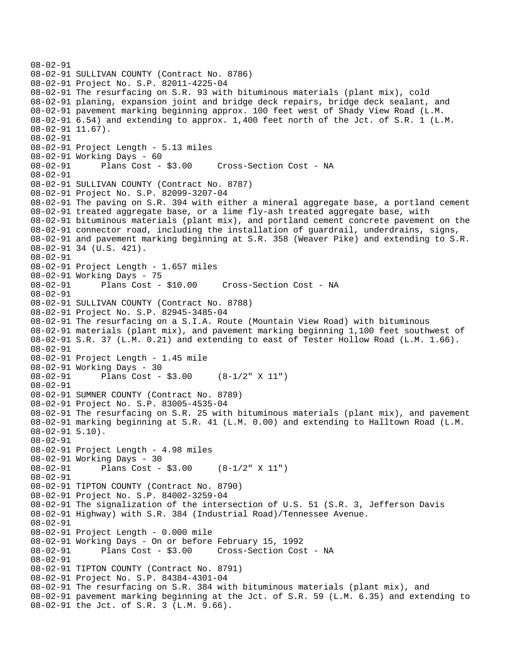```
08-02-91 
08-02-91 SULLIVAN COUNTY (Contract No. 8786) 
08-02-91 Project No. S.P. 82011-4225-04 
08-02-91 The resurfacing on S.R. 93 with bituminous materials (plant mix), cold 
08-02-91 planing, expansion joint and bridge deck repairs, bridge deck sealant, and 
08-02-91 pavement marking beginning approx. 100 feet west of Shady View Road (L.M. 
08-02-91 6.54) and extending to approx. 1,400 feet north of the Jct. of S.R. 1 (L.M. 
08-02-91 11.67). 
08-02-91 
08-02-91 Project Length - 5.13 miles 
08-02-91 Working Days - 60 
08-02-91 Plans Cost - $3.00 Cross-Section Cost - NA 
08-02-91 
08-02-91 SULLIVAN COUNTY (Contract No. 8787) 
08-02-91 Project No. S.P. 82099-3207-04 
08-02-91 The paving on S.R. 394 with either a mineral aggregate base, a portland cement 
08-02-91 treated aggregate base, or a lime fly-ash treated aggregate base, with 
08-02-91 bituminous materials (plant mix), and portland cement concrete pavement on the 
08-02-91 connector road, including the installation of guardrail, underdrains, signs, 
08-02-91 and pavement marking beginning at S.R. 358 (Weaver Pike) and extending to S.R. 
08-02-91 34 (U.S. 421). 
08-02-91 
08-02-91 Project Length - 1.657 miles 
08-02-91 Working Days - 75 
                                       Cross-Section Cost - NA
08-02-91 
08-02-91 SULLIVAN COUNTY (Contract No. 8788) 
08-02-91 Project No. S.P. 82945-3485-04 
08-02-91 The resurfacing on a S.I.A. Route (Mountain View Road) with bituminous 
08-02-91 materials (plant mix), and pavement marking beginning 1,100 feet southwest of 
08-02-91 S.R. 37 (L.M. 0.21) and extending to east of Tester Hollow Road (L.M. 1.66). 
08-02-91 
08-02-91 Project Length - 1.45 mile 
08-02-91 Working Days - 30<br>08-02-91 Plans Cost -
              Plans Cost - $3.00 (8-1/2" X 11")
08-02-91 
08-02-91 SUMNER COUNTY (Contract No. 8789) 
08-02-91 Project No. S.P. 83005-4535-04 
08-02-91 The resurfacing on S.R. 25 with bituminous materials (plant mix), and pavement 
08-02-91 marking beginning at S.R. 41 (L.M. 0.00) and extending to Halltown Road (L.M. 
08-02-91 5.10). 
08-02-91 
08-02-91 Project Length - 4.98 miles
08-02-91 Working Days - 30 
08-02-91 Plans Cost - $3.00 (8-1/2" X 11") 
08-02-91 
08-02-91 TIPTON COUNTY (Contract No. 8790) 
08-02-91 Project No. S.P. 84002-3259-04 
08-02-91 The signalization of the intersection of U.S. 51 (S.R. 3, Jefferson Davis 
08-02-91 Highway) with S.R. 384 (Industrial Road)/Tennessee Avenue. 
08-02-91 
08-02-91 Project Length - 0.000 mile 
08-02-91 Working Days - On or before February 15, 1992 
08-02-91 Plans Cost - $3.00 Cross-Section Cost - NA 
08-02-91 
08-02-91 TIPTON COUNTY (Contract No. 8791) 
08-02-91 Project No. S.P. 84384-4301-04 
08-02-91 The resurfacing on S.R. 384 with bituminous materials (plant mix), and 
08-02-91 pavement marking beginning at the Jct. of S.R. 59 (L.M. 6.35) and extending to 
08-02-91 the Jct. of S.R. 3 (L.M. 9.66).
```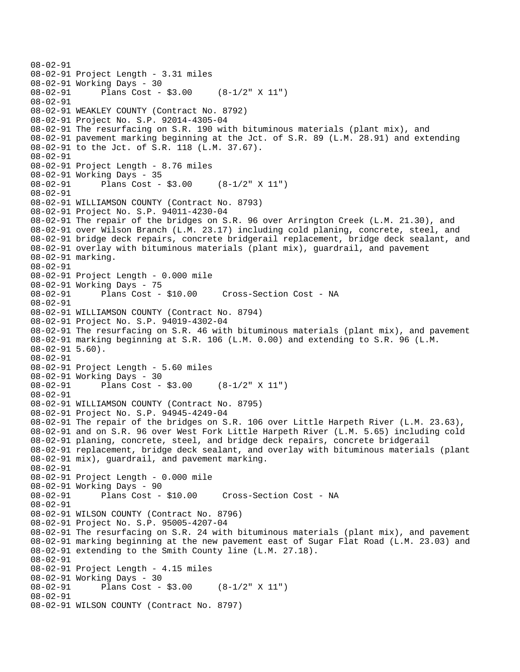```
08-02-91 
08-02-91 Project Length - 3.31 miles 
08-02-91 Working Days - 30 
08-02-91 Plans Cost - $3.00 (8-1/2" X 11") 
08-02-91 
08-02-91 WEAKLEY COUNTY (Contract No. 8792) 
08-02-91 Project No. S.P. 92014-4305-04 
08-02-91 The resurfacing on S.R. 190 with bituminous materials (plant mix), and 
08-02-91 pavement marking beginning at the Jct. of S.R. 89 (L.M. 28.91) and extending 
08-02-91 to the Jct. of S.R. 118 (L.M. 37.67). 
08-02-91 
08-02-91 Project Length - 8.76 miles 
08-02-91 Working Days - 35 
08-02-91 Plans Cost - $3.00 (8-1/2" X 11") 
08-02-91 
08-02-91 WILLIAMSON COUNTY (Contract No. 8793) 
08-02-91 Project No. S.P. 94011-4230-04 
08-02-91 The repair of the bridges on S.R. 96 over Arrington Creek (L.M. 21.30), and 
08-02-91 over Wilson Branch (L.M. 23.17) including cold planing, concrete, steel, and 
08-02-91 bridge deck repairs, concrete bridgerail replacement, bridge deck sealant, and 
08-02-91 overlay with bituminous materials (plant mix), guardrail, and pavement 
08-02-91 marking. 
08-02-91 
08-02-91 Project Length - 0.000 mile 
08-02-91 Working Days - 75 
08-02-91 Plans Cost - $10.00 Cross-Section Cost - NA 
08-02-91 
08-02-91 WILLIAMSON COUNTY (Contract No. 8794) 
08-02-91 Project No. S.P. 94019-4302-04 
08-02-91 The resurfacing on S.R. 46 with bituminous materials (plant mix), and pavement 
08-02-91 marking beginning at S.R. 106 (L.M. 0.00) and extending to S.R. 96 (L.M. 
08-02-91 5.60). 
08-02-91 
08-02-91 Project Length - 5.60 miles 
08-02-91 Working Days - 30 
08-02-91 Plans Cost - $3.00 (8-1/2" X 11") 
08-02-91 
08-02-91 WILLIAMSON COUNTY (Contract No. 8795) 
08-02-91 Project No. S.P. 94945-4249-04 
08-02-91 The repair of the bridges on S.R. 106 over Little Harpeth River (L.M. 23.63), 
08-02-91 and on S.R. 96 over West Fork Little Harpeth River (L.M. 5.65) including cold 
08-02-91 planing, concrete, steel, and bridge deck repairs, concrete bridgerail 
08-02-91 replacement, bridge deck sealant, and overlay with bituminous materials (plant 
08-02-91 mix), guardrail, and pavement marking. 
08-02-91 
08-02-91 Project Length - 0.000 mile 
08-02-91 Working Days - 90<br>08-02-91 Plans Cost - $10.00
08-02-91 Plans Cost - $10.00 Cross-Section Cost - NA 
08-02-91 
08-02-91 WILSON COUNTY (Contract No. 8796) 
08-02-91 Project No. S.P. 95005-4207-04 
08-02-91 The resurfacing on S.R. 24 with bituminous materials (plant mix), and pavement 
08-02-91 marking beginning at the new pavement east of Sugar Flat Road (L.M. 23.03) and 
08-02-91 extending to the Smith County line (L.M. 27.18). 
08-02-91 
08-02-91 Project Length - 4.15 miles 
08-02-91 Working Days - 30<br>08-02-91 Plans Cost -
              Plans Cost - $3.00 (8-1/2" X 11")
08-02-91 
08-02-91 WILSON COUNTY (Contract No. 8797)
```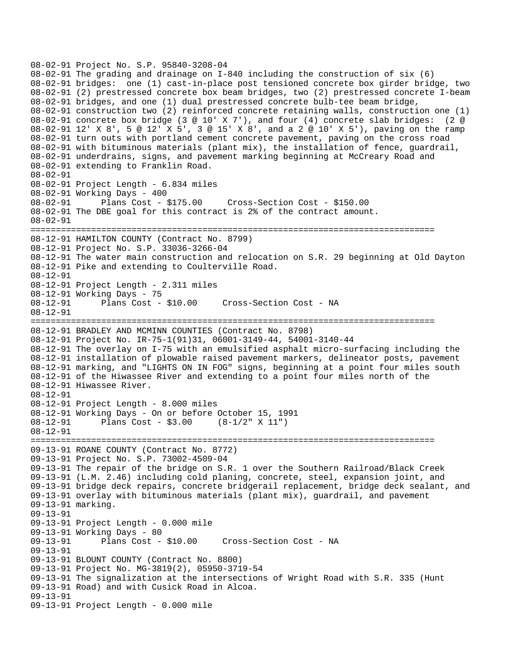08-02-91 Project No. S.P. 95840-3208-04 08-02-91 The grading and drainage on I-840 including the construction of six (6) 08-02-91 bridges: one (1) cast-in-place post tensioned concrete box girder bridge, two 08-02-91 (2) prestressed concrete box beam bridges, two (2) prestressed concrete I-beam 08-02-91 bridges, and one (1) dual prestressed concrete bulb-tee beam bridge, 08-02-91 construction two (2) reinforced concrete retaining walls, construction one (1) 08-02-91 concrete box bridge (3 @ 10' X 7'), and four (4) concrete slab bridges: (2 @ 08-02-91 12' X 8', 5 @ 12' X 5', 3 @ 15' X 8', and a 2 @ 10' X 5'), paving on the ramp 08-02-91 turn outs with portland cement concrete pavement, paving on the cross road 08-02-91 with bituminous materials (plant mix), the installation of fence, guardrail, 08-02-91 underdrains, signs, and pavement marking beginning at McCreary Road and 08-02-91 extending to Franklin Road. 08-02-91 08-02-91 Project Length - 6.834 miles 08-02-91 Working Days - 400 08-02-91 Plans Cost - \$175.00 Cross-Section Cost - \$150.00 08-02-91 The DBE goal for this contract is 2% of the contract amount. 08-02-91 ================================================================================ 08-12-91 HAMILTON COUNTY (Contract No. 8799) 08-12-91 Project No. S.P. 33036-3266-04 08-12-91 The water main construction and relocation on S.R. 29 beginning at Old Dayton 08-12-91 Pike and extending to Coulterville Road. 08-12-91 08-12-91 Project Length - 2.311 miles 08-12-91 Working Days - 75 08-12-91 Plans Cost - \$10.00 Cross-Section Cost - NA 08-12-91 ================================================================================ 08-12-91 BRADLEY AND MCMINN COUNTIES (Contract No. 8798) 08-12-91 Project No. IR-75-1(91)31, 06001-3149-44, 54001-3140-44 08-12-91 The overlay on I-75 with an emulsified asphalt micro-surfacing including the 08-12-91 installation of plowable raised pavement markers, delineator posts, pavement 08-12-91 marking, and "LIGHTS ON IN FOG" signs, beginning at a point four miles south 08-12-91 of the Hiwassee River and extending to a point four miles north of the 08-12-91 Hiwassee River. 08-12-91 08-12-91 Project Length - 8.000 miles 08-12-91 Working Days - On or before October 15, 1991 08-12-91 Plans Cost - \$3.00 (8-1/2" X 11") 08-12-91 ================================================================================ 09-13-91 ROANE COUNTY (Contract No. 8772) 09-13-91 Project No. S.P. 73002-4509-04 09-13-91 The repair of the bridge on S.R. 1 over the Southern Railroad/Black Creek 09-13-91 (L.M. 2.46) including cold planing, concrete, steel, expansion joint, and 09-13-91 bridge deck repairs, concrete bridgerail replacement, bridge deck sealant, and 09-13-91 overlay with bituminous materials (plant mix), guardrail, and pavement 09-13-91 marking. 09-13-91 09-13-91 Project Length - 0.000 mile 09-13-91 Working Days - 80 09-13-91 Plans Cost - \$10.00 Cross-Section Cost - NA 09-13-91 09-13-91 BLOUNT COUNTY (Contract No. 8800) 09-13-91 Project No. MG-3819(2), 05950-3719-54 09-13-91 The signalization at the intersections of Wright Road with S.R. 335 (Hunt 09-13-91 Road) and with Cusick Road in Alcoa. 09-13-91 09-13-91 Project Length - 0.000 mile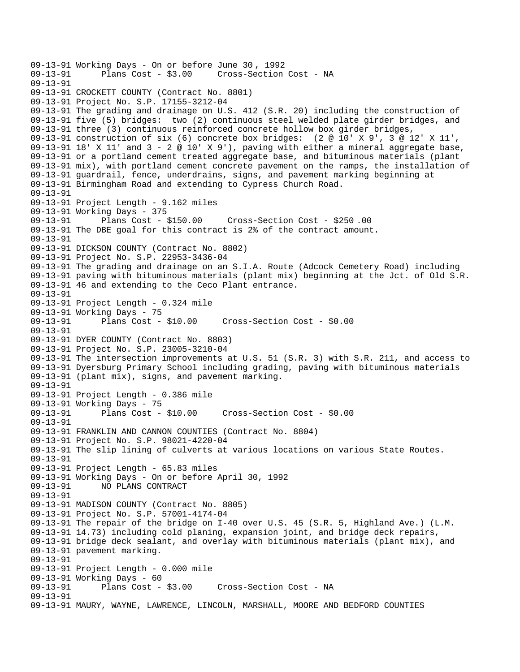09-13-91 Working Days - On or before June 30 , 1992 Cross-Section Cost - NA 09-13-91 09-13-91 CROCKETT COUNTY (Contract No. 8801) 09-13-91 Project No. S.P. 17155-3212-04 09-13-91 The grading and drainage on U.S. 412 (S.R. 20) including the construction of 09-13-91 five (5) bridges: two (2) continuous steel welded plate girder bridges, and 09-13-91 three (3) continuous reinforced concrete hollow box girder bridges, 09-13-91 construction of six (6) concrete box bridges: (2 @ 10' X 9', 3 @ 12' X 11', 09-13-91 18' X 11' and  $3 - 2 \otimes 10'$  X 9'), paving with either a mineral aggregate base, 09-13-91 or a portland cement treated aggregate base, and bituminous materials (plant 09-13-91 mix), with portland cement concrete pavement on the ramps, the installation of 09-13-91 guardrail, fence, underdrains, signs, and pavement marking beginning at 09-13-91 Birmingham Road and extending to Cypress Church Road. 09-13-91 09-13-91 Project Length - 9.162 miles 09-13-91 Working Days - 375 09-13-91 Plans Cost - \$150.00 Cross-Section Cost - \$250 .00 09-13-91 The DBE goal for this contract is 2% of the contract amount. 09-13-91 09-13-91 DICKSON COUNTY (Contract No. 8802) 09-13-91 Project No. S.P. 22953-3436-04 09-13-91 The grading and drainage on an S.I.A. Route (Adcock Cemetery Road) including 09-13-91 paving with bituminous materials (plant mix) beginning at the Jct. of Old S.R. 09-13-91 46 and extending to the Ceco Plant entrance. 09-13-91 09-13-91 Project Length - 0.324 mile 09-13-91 Working Days - 75 09-13-91 Plans Cost - \$10.00 Cross-Section Cost - \$0.00 09-13-91 09-13-91 DYER COUNTY (Contract No. 8803) 09-13-91 Project No. S.P. 23005-3210-04 09-13-91 The intersection improvements at U.S. 51 (S.R. 3) with S.R. 211, and access to 09-13-91 Dyersburg Primary School including grading, paving with bituminous materials 09-13-91 (plant mix), signs, and pavement marking. 09-13-91 09-13-91 Project Length - 0.386 mile 09-13-91 Working Days - 75 09-13-91 Plans Cost - \$10.00 Cross-Section Cost - \$0.00 09-13-91 09-13-91 FRANKLIN AND CANNON COUNTIES (Contract No. 8804) 09-13-91 Project No. S.P. 98021-4220-04 09-13-91 The slip lining of culverts at various locations on various State Routes. 09-13-91 09-13-91 Project Length - 65.83 miles 09-13-91 Working Days - On or before April 30, 1992 09-13-91 NO PLANS CONTRACT 09-13-91 09-13-91 MADISON COUNTY (Contract No. 8805) 09-13-91 Project No. S.P. 57001-4174-04 09-13-91 The repair of the bridge on I-40 over U.S. 45 (S.R. 5, Highland Ave.) (L.M. 09-13-91 14.73) including cold planing, expansion joint, and bridge deck repairs, 09-13-91 bridge deck sealant, and overlay with bituminous materials (plant mix), and 09-13-91 pavement marking. 09-13-91 09-13-91 Project Length - 0.000 mile 09-13-91 Working Days - 60<br>09-13-91 Plans Cost - \$3.00 Cross-Section Cost - NA 09-13-91 09-13-91 MAURY, WAYNE, LAWRENCE, LINCOLN, MARSHALL, MOORE AND BEDFORD COUNTIES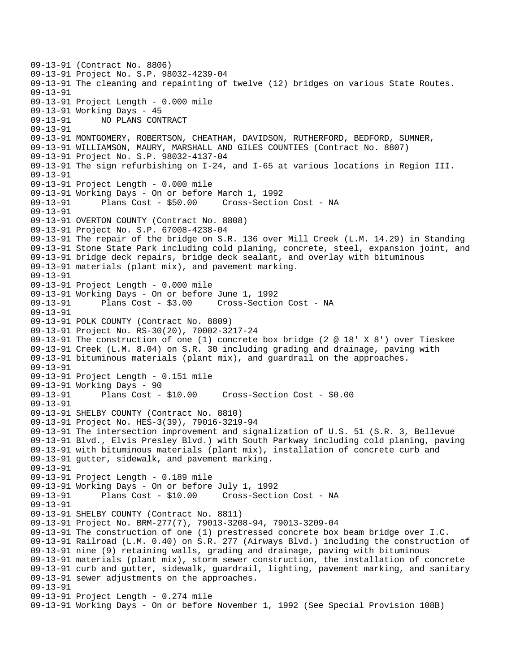09-13-91 (Contract No. 8806) 09-13-91 Project No. S.P. 98032-4239-04 09-13-91 The cleaning and repainting of twelve (12) bridges on various State Routes. 09-13-91 09-13-91 Project Length - 0.000 mile 09-13-91 Working Days - 45 09-13-91 NO PLANS CONTRACT 09-13-91 09-13-91 MONTGOMERY, ROBERTSON, CHEATHAM, DAVIDSON, RUTHERFORD, BEDFORD, SUMNER, 09-13-91 WILLIAMSON, MAURY, MARSHALL AND GILES COUNTIES (Contract No. 8807) 09-13-91 Project No. S.P. 98032-4137-04 09-13-91 The sign refurbishing on I-24, and I-65 at various locations in Region III. 09-13-91 09-13-91 Project Length - 0.000 mile 09-13-91 Working Days - On or before March 1, 1992 09-13-91 Plans Cost - \$50.00 Cross-Section Cost - NA 09-13-91 09-13-91 OVERTON COUNTY (Contract No. 8808) 09-13-91 Project No. S.P. 67008-4238-04 09-13-91 The repair of the bridge on S.R. 136 over Mill Creek (L.M. 14.29) in Standing 09-13-91 Stone State Park including cold planing, concrete, steel, expansion joint, and 09-13-91 bridge deck repairs, bridge deck sealant, and overlay with bituminous 09-13-91 materials (plant mix), and pavement marking. 09-13-91 09-13-91 Project Length - 0.000 mile 09-13-91 Working Days - On or before June 1, 1992 09-13-91 Plans Cost - \$3.00 Cross-Section Cost - NA 09-13-91 09-13-91 POLK COUNTY (Contract No. 8809) 09-13-91 Project No. RS-30(20), 70002-3217-24 09-13-91 The construction of one (1) concrete box bridge (2 @ 18' X 8') over Tieskee 09-13-91 Creek (L.M. 8.04) on S.R. 30 including grading and drainage, paving with 09-13-91 bituminous materials (plant mix), and guardrail on the approaches. 09-13-91 09-13-91 Project Length - 0.151 mile 09-13-91 Working Days - 90 09-13-91 Plans Cost - \$10.00 Cross-Section Cost - \$0.00 09-13-91 09-13-91 SHELBY COUNTY (Contract No. 8810) 09-13-91 Project No. HES-3(39), 79016-3219-94 09-13-91 The intersection improvement and signalization of U.S. 51 (S.R. 3, Bellevue 09-13-91 Blvd., Elvis Presley Blvd.) with South Parkway including cold planing, paving 09-13-91 with bituminous materials (plant mix), installation of concrete curb and 09-13-91 gutter, sidewalk, and pavement marking. 09-13-91 09-13-91 Project Length - 0.189 mile 09-13-91 Working Days - On or before July 1, 1992 09-13-91 Plans Cost - \$10.00 Cross-Section Cost - NA 09-13-91 09-13-91 SHELBY COUNTY (Contract No. 8811) 09-13-91 Project No. BRM-277(7), 79013-3208-94, 79013-3209-04 09-13-91 The construction of one (1) prestressed concrete box beam bridge over I.C. 09-13-91 Railroad (L.M. 0.40) on S.R. 277 (Airways Blvd.) including the construction of 09-13-91 nine (9) retaining walls, grading and drainage, paving with bituminous 09-13-91 materials (plant mix), storm sewer construction, the installation of concrete 09-13-91 curb and gutter, sidewalk, guardrail, lighting, pavement marking, and sanitary 09-13-91 sewer adjustments on the approaches. 09-13-91 09-13-91 Project Length - 0.274 mile 09-13-91 Working Days - On or before November 1, 1992 (See Special Provision 108B)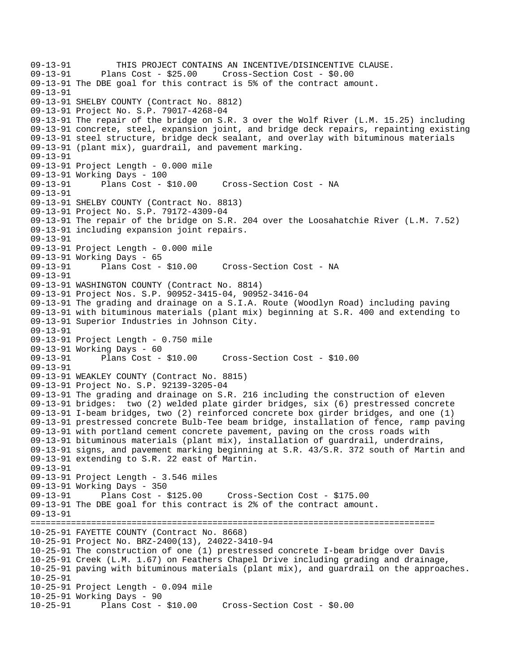09-13-91 THIS PROJECT CONTAINS AN INCENTIVE/DISINCENTIVE CLAUSE.<br>09-13-91 Plans Cost - \$25.00 Cross-Section Cost - \$0.00 Plans Cost - \$25.00 Cross-Section Cost - \$0.00 09-13-91 The DBE goal for this contract is 5% of the contract amount. 09-13-91 09-13-91 SHELBY COUNTY (Contract No. 8812) 09-13-91 Project No. S.P. 79017-4268-04 09-13-91 The repair of the bridge on S.R. 3 over the Wolf River (L.M. 15.25) including 09-13-91 concrete, steel, expansion joint, and bridge deck repairs, repainting existing 09-13-91 steel structure, bridge deck sealant, and overlay with bituminous materials 09-13-91 (plant mix), guardrail, and pavement marking. 09-13-91 09-13-91 Project Length - 0.000 mile 09-13-91 Working Days - 100 09-13-91 Plans Cost - \$10.00 Cross-Section Cost - NA 09-13-91 09-13-91 SHELBY COUNTY (Contract No. 8813) 09-13-91 Project No. S.P. 79172-4309-04 09-13-91 The repair of the bridge on S.R. 204 over the Loosahatchie River (L.M. 7.52) 09-13-91 including expansion joint repairs. 09-13-91 09-13-91 Project Length - 0.000 mile 09-13-91 Working Days - 65<br>09-13-91 Plans Cost - \$10.00 Cross-Section Cost - NA 09-13-91 09-13-91 WASHINGTON COUNTY (Contract No. 8814) 09-13-91 Project Nos. S.P. 90952-3415-04, 90952-3416-04 09-13-91 The grading and drainage on a S.I.A. Route (Woodlyn Road) including paving 09-13-91 with bituminous materials (plant mix) beginning at S.R. 400 and extending to 09-13-91 Superior Industries in Johnson City. 09-13-91 09-13-91 Project Length - 0.750 mile 09-13-91 Working Days - 60<br>09-13-91 Plans Cost -Plans Cost - \$10.00 Cross-Section Cost - \$10.00 09-13-91 09-13-91 WEAKLEY COUNTY (Contract No. 8815) 09-13-91 Project No. S.P. 92139-3205-04 09-13-91 The grading and drainage on S.R. 216 including the construction of eleven 09-13-91 bridges: two (2) welded plate girder bridges, six (6) prestressed concrete 09-13-91 I-beam bridges, two (2) reinforced concrete box girder bridges, and one (1) 09-13-91 prestressed concrete Bulb-Tee beam bridge, installation of fence, ramp paving 09-13-91 with portland cement concrete pavement, paving on the cross roads with 09-13-91 bituminous materials (plant mix), installation of guardrail, underdrains, 09-13-91 signs, and pavement marking beginning at S.R. 43/S.R. 372 south of Martin and 09-13-91 extending to S.R. 22 east of Martin. 09-13-91 09-13-91 Project Length - 3.546 miles 09-13-91 Working Days - 350<br>09-13-91 Plans Cost - \$125.00 09-13-91 Plans Cost - \$125.00 Cross-Section Cost - \$175.00 09-13-91 The DBE goal for this contract is 2% of the contract amount. 09-13-91 ================================================================================ 10-25-91 FAYETTE COUNTY (Contract No. 8668) 10-25-91 Project No. BRZ-2400(13), 24022-3410-94 10-25-91 The construction of one (1) prestressed concrete I-beam bridge over Davis 10-25-91 Creek (L.M. 1.67) on Feathers Chapel Drive including grading and drainage, 10-25-91 paving with bituminous materials (plant mix), and guardrail on the approaches. 10-25-91 10-25-91 Project Length - 0.094 mile 10-25-91 Working Days - 90 10-25-91 Plans Cost - \$10.00 Cross-Section Cost - \$0.00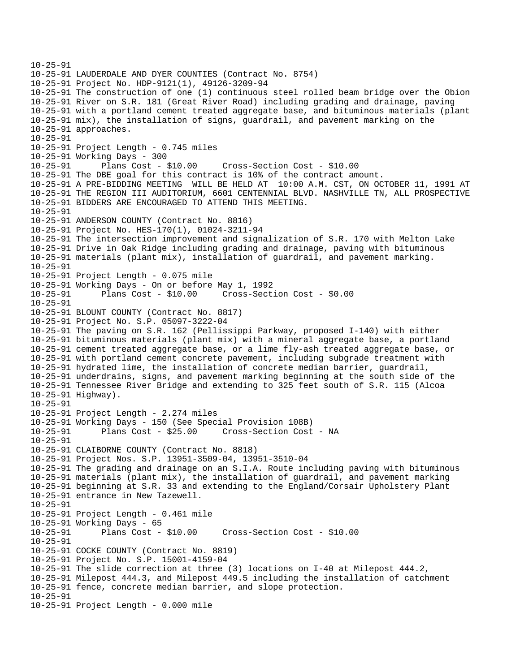10-25-91 10-25-91 LAUDERDALE AND DYER COUNTIES (Contract No. 8754) 10-25-91 Project No. HDP-9121(1), 49126-3209-94 10-25-91 The construction of one (1) continuous steel rolled beam bridge over the Obion 10-25-91 River on S.R. 181 (Great River Road) including grading and drainage, paving 10-25-91 with a portland cement treated aggregate base, and bituminous materials (plant 10-25-91 mix), the installation of signs, guardrail, and pavement marking on the 10-25-91 approaches. 10-25-91 10-25-91 Project Length - 0.745 miles 10-25-91 Working Days - 300 10-25-91 Plans Cost - \$10.00 Cross-Section Cost - \$10.00 10-25-91 The DBE goal for this contract is 10% of the contract amount. 10-25-91 A PRE-BIDDING MEETING WILL BE HELD AT 10:00 A.M. CST, ON OCTOBER 11, 1991 AT 10-25-91 THE REGION III AUDITORIUM, 6601 CENTENNIAL BLVD. NASHVILLE TN, ALL PROSPECTIVE 10-25-91 BIDDERS ARE ENCOURAGED TO ATTEND THIS MEETING. 10-25-91 10-25-91 ANDERSON COUNTY (Contract No. 8816) 10-25-91 Project No. HES-170(1), 01024-3211-94 10-25-91 The intersection improvement and signalization of S.R. 170 with Melton Lake 10-25-91 Drive in Oak Ridge including grading and drainage, paving with bituminous 10-25-91 materials (plant mix), installation of guardrail, and pavement marking. 10-25-91 10-25-91 Project Length - 0.075 mile 10-25-91 Working Days - On or before May 1, 1992 10-25-91 Plans Cost - \$10.00 Cross-Section Cost - \$0.00 10-25-91 10-25-91 BLOUNT COUNTY (Contract No. 8817) 10-25-91 Project No. S.P. 05097-3222-04 10-25-91 The paving on S.R. 162 (Pellissippi Parkway, proposed I-140) with either 10-25-91 bituminous materials (plant mix) with a mineral aggregate base, a portland 10-25-91 cement treated aggregate base, or a lime fly-ash treated aggregate base, or 10-25-91 with portland cement concrete pavement, including subgrade treatment with 10-25-91 hydrated lime, the installation of concrete median barrier, guardrail, 10-25-91 underdrains, signs, and pavement marking beginning at the south side of the 10-25-91 Tennessee River Bridge and extending to 325 feet south of S.R. 115 (Alcoa 10-25-91 Highway). 10-25-91 10-25-91 Project Length - 2.274 miles 10-25-91 Working Days - 150 (See Special Provision 108B) 10-25-91 Plans Cost - \$25.00 Cross-Section Cost - NA 10-25-91 10-25-91 CLAIBORNE COUNTY (Contract No. 8818) 10-25-91 Project Nos. S.P. 13951-3509-04, 13951-3510-04 10-25-91 The grading and drainage on an S.I.A. Route including paving with bituminous 10-25-91 materials (plant mix), the installation of guardrail, and pavement marking 10-25-91 beginning at S.R. 33 and extending to the England/Corsair Upholstery Plant 10-25-91 entrance in New Tazewell. 10-25-91 10-25-91 Project Length - 0.461 mile 10-25-91 Working Days - 65 10-25-91 Plans Cost - \$10.00 Cross-Section Cost - \$10.00 10-25-91 10-25-91 COCKE COUNTY (Contract No. 8819) 10-25-91 Project No. S.P. 15001-4159-04 10-25-91 The slide correction at three (3) locations on I-40 at Milepost 444.2, 10-25-91 Milepost 444.3, and Milepost 449.5 including the installation of catchment 10-25-91 fence, concrete median barrier, and slope protection. 10-25-91 10-25-91 Project Length - 0.000 mile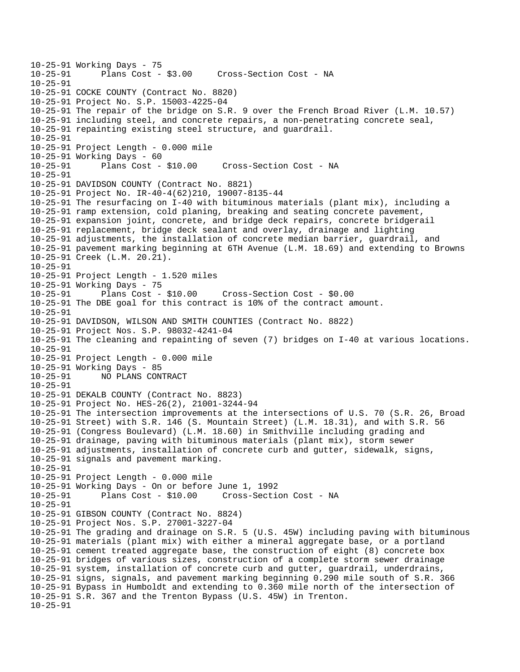```
10-25-91 Working Days - 75<br>10-25-91 Plans Cost -
              Plans Cost - $3.00 Cross-Section Cost - NA
10-25-91 
10-25-91 COCKE COUNTY (Contract No. 8820) 
10-25-91 Project No. S.P. 15003-4225-04 
10-25-91 The repair of the bridge on S.R. 9 over the French Broad River (L.M. 10.57) 
10-25-91 including steel, and concrete repairs, a non-penetrating concrete seal, 
10-25-91 repainting existing steel structure, and guardrail. 
10-25-91 
10-25-91 Project Length - 0.000 mile 
10-25-91 Working Days - 60 
10-25-91 Plans Cost - $10.00 Cross-Section Cost - NA 
10-25-91 
10-25-91 DAVIDSON COUNTY (Contract No. 8821) 
10-25-91 Project No. IR-40-4(62)210, 19007-8135-44 
10-25-91 The resurfacing on I-40 with bituminous materials (plant mix), including a 
10-25-91 ramp extension, cold planing, breaking and seating concrete pavement, 
10-25-91 expansion joint, concrete, and bridge deck repairs, concrete bridgerail 
10-25-91 replacement, bridge deck sealant and overlay, drainage and lighting 
10-25-91 adjustments, the installation of concrete median barrier, guardrail, and 
10-25-91 pavement marking beginning at 6TH Avenue (L.M. 18.69) and extending to Browns 
10-25-91 Creek (L.M. 20.21). 
10-25-91 
10-25-91 Project Length - 1.520 miles 
10-25-91 Working Days - 75 
10-25-91 Plans Cost - $10.00 Cross-Section Cost - $0.00 
10-25-91 The DBE goal for this contract is 10% of the contract amount. 
10-25-91 
10-25-91 DAVIDSON, WILSON AND SMITH COUNTIES (Contract No. 8822) 
10-25-91 Project Nos. S.P. 98032-4241-04 
10-25-91 The cleaning and repainting of seven (7) bridges on I-40 at various locations. 
10-25-91 
10-25-91 Project Length - 0.000 mile 
10-25-91 Working Days - 85<br>10-25-91 NO PLANS CON
             10-25-91 NO PLANS CONTRACT 
10-25-91 
10-25-91 DEKALB COUNTY (Contract No. 8823) 
10-25-91 Project No. HES-26(2), 21001-3244-94 
10-25-91 The intersection improvements at the intersections of U.S. 70 (S.R. 26, Broad 
10-25-91 Street) with S.R. 146 (S. Mountain Street) (L.M. 18.31), and with S.R. 56 
10-25-91 (Congress Boulevard) (L.M. 18.60) in Smithville including grading and 
10-25-91 drainage, paving with bituminous materials (plant mix), storm sewer 
10-25-91 adjustments, installation of concrete curb and gutter, sidewalk, signs, 
10-25-91 signals and pavement marking. 
10-25-91 
10-25-91 Project Length - 0.000 mile 
10-25-91 Working Days - On or before June 1, 1992 
                                      Cross-Section Cost - NA
10-25-91 
10-25-91 GIBSON COUNTY (Contract No. 8824) 
10-25-91 Project Nos. S.P. 27001-3227-04 
10-25-91 The grading and drainage on S.R. 5 (U.S. 45W) including paving with bituminous 
10-25-91 materials (plant mix) with either a mineral aggregate base, or a portland 
10-25-91 cement treated aggregate base, the construction of eight (8) concrete box 
10-25-91 bridges of various sizes, construction of a complete storm sewer drainage 
10-25-91 system, installation of concrete curb and gutter, guardrail, underdrains, 
10-25-91 signs, signals, and pavement marking beginning 0.290 mile south of S.R. 366 
10-25-91 Bypass in Humboldt and extending to 0.360 mile north of the intersection of 
10-25-91 S.R. 367 and the Trenton Bypass (U.S. 45W) in Trenton. 
10-25-91
```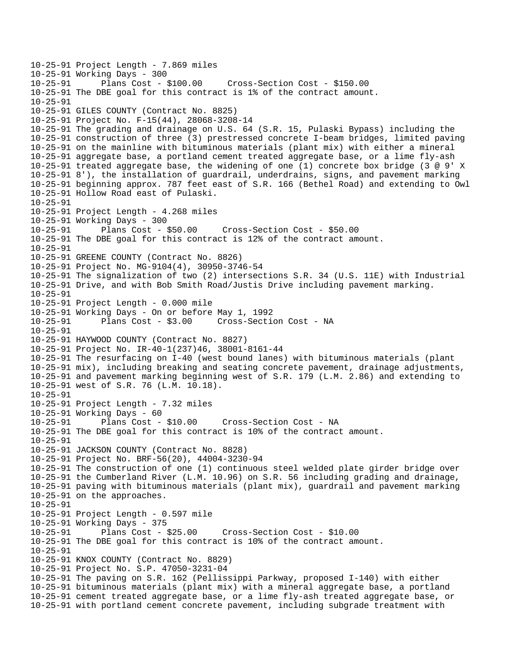10-25-91 Project Length - 7.869 miles 10-25-91 Working Days - 300 Cross-Section Cost - \$150.00 10-25-91 The DBE goal for this contract is 1% of the contract amount. 10-25-91 10-25-91 GILES COUNTY (Contract No. 8825) 10-25-91 Project No. F-15(44), 28068-3208-14 10-25-91 The grading and drainage on U.S. 64 (S.R. 15, Pulaski Bypass) including the 10-25-91 construction of three (3) prestressed concrete I-beam bridges, limited paving 10-25-91 on the mainline with bituminous materials (plant mix) with either a mineral 10-25-91 aggregate base, a portland cement treated aggregate base, or a lime fly-ash 10-25-91 treated aggregate base, the widening of one (1) concrete box bridge (3 @ 9' X 10-25-91 8'), the installation of guardrail, underdrains, signs, and pavement marking 10-25-91 beginning approx. 787 feet east of S.R. 166 (Bethel Road) and extending to Owl 10-25-91 Hollow Road east of Pulaski. 10-25-91 10-25-91 Project Length - 4.268 miles 10-25-91 Working Days - 300 10-25-91 Plans Cost - \$50.00 Cross-Section Cost - \$50.00 10-25-91 The DBE goal for this contract is 12% of the contract amount. 10-25-91 10-25-91 GREENE COUNTY (Contract No. 8826) 10-25-91 Project No. MG-9104(4), 30950-3746-54 10-25-91 The signalization of two (2) intersections S.R. 34 (U.S. 11E) with Industrial 10-25-91 Drive, and with Bob Smith Road/Justis Drive including pavement marking. 10-25-91 10-25-91 Project Length - 0.000 mile 10-25-91 Working Days - On or before May 1, 1992 10-25-91 Plans Cost - \$3.00 Cross-Section Cost - NA 10-25-91 10-25-91 HAYWOOD COUNTY (Contract No. 8827) 10-25-91 Project No. IR-40-1(237)46, 38001-8161-44 10-25-91 The resurfacing on I-40 (west bound lanes) with bituminous materials (plant 10-25-91 mix), including breaking and seating concrete pavement, drainage adjustments, 10-25-91 and pavement marking beginning west of S.R. 179 (L.M. 2.86) and extending to 10-25-91 west of S.R. 76 (L.M. 10.18). 10-25-91 10-25-91 Project Length - 7.32 miles 10-25-91 Working Days - 60 10-25-91 Plans Cost - \$10.00 Cross-Section Cost - NA 10-25-91 The DBE goal for this contract is 10% of the contract amount. 10-25-91 10-25-91 JACKSON COUNTY (Contract No. 8828) 10-25-91 Project No. BRF-56(20), 44004-3230-94 10-25-91 The construction of one (1) continuous steel welded plate girder bridge over 10-25-91 the Cumberland River (L.M. 10.96) on S.R. 56 including grading and drainage, 10-25-91 paving with bituminous materials (plant mix), guardrail and pavement marking 10-25-91 on the approaches. 10-25-91 10-25-91 Project Length - 0.597 mile 10-25-91 Working Days - 375 10-25-91 Plans Cost - \$25.00 Cross-Section Cost - \$10.00 10-25-91 The DBE goal for this contract is 10% of the contract amount. 10-25-91 10-25-91 KNOX COUNTY (Contract No. 8829) 10-25-91 Project No. S.P. 47050-3231-04 10-25-91 The paving on S.R. 162 (Pellissippi Parkway, proposed I-140) with either 10-25-91 bituminous materials (plant mix) with a mineral aggregate base, a portland 10-25-91 cement treated aggregate base, or a lime fly-ash treated aggregate base, or 10-25-91 with portland cement concrete pavement, including subgrade treatment with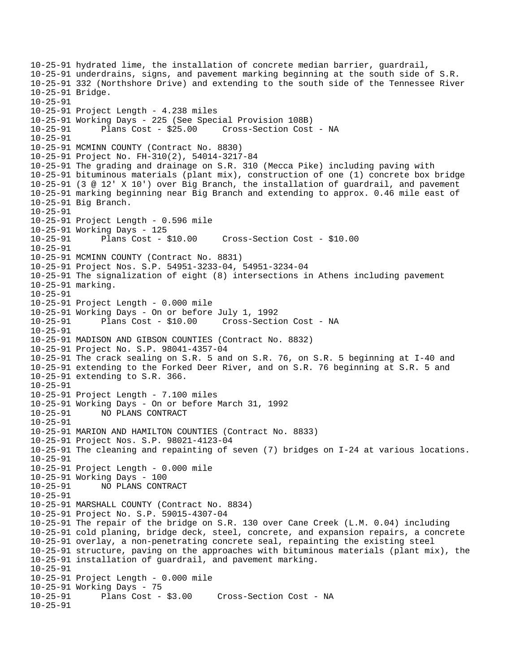```
10-25-91 hydrated lime, the installation of concrete median barrier, guardrail, 
10-25-91 underdrains, signs, and pavement marking beginning at the south side of S.R. 
10-25-91 332 (Northshore Drive) and extending to the south side of the Tennessee River 
10-25-91 Bridge. 
10-25-91 
10-25-91 Project Length - 4.238 miles 
10-25-91 Working Days - 225 (See Special Provision 108B) 
10-25-91 Plans Cost - $25.00 Cross-Section Cost - NA 
10-25-91 
10-25-91 MCMINN COUNTY (Contract No. 8830) 
10-25-91 Project No. FH-310(2), 54014-3217-84 
10-25-91 The grading and drainage on S.R. 310 (Mecca Pike) including paving with 
10-25-91 bituminous materials (plant mix), construction of one (1) concrete box bridge 
10-25-91 (3 @ 12' X 10') over Big Branch, the installation of guardrail, and pavement 
10-25-91 marking beginning near Big Branch and extending to approx. 0.46 mile east of 
10-25-91 Big Branch. 
10-25-91 
10-25-91 Project Length - 0.596 mile 
10-25-91 Working Days - 125 
10-25-91 Plans Cost - $10.00 Cross-Section Cost - $10.00 
10-25-91 
10-25-91 MCMINN COUNTY (Contract No. 8831) 
10-25-91 Project Nos. S.P. 54951-3233-04, 54951-3234-04 
10-25-91 The signalization of eight (8) intersections in Athens including pavement 
10-25-91 marking. 
10-25-91 
10-25-91 Project Length - 0.000 mile 
10-25-91 Working Days - On or before July 1, 1992 
10-25-91 Plans Cost - $10.00 Cross-Section Cost - NA 
10-25-91 
10-25-91 MADISON AND GIBSON COUNTIES (Contract No. 8832) 
10-25-91 Project No. S.P. 98041-4357-04 
10-25-91 The crack sealing on S.R. 5 and on S.R. 76, on S.R. 5 beginning at I-40 and 
10-25-91 extending to the Forked Deer River, and on S.R. 76 beginning at S.R. 5 and 
10-25-91 extending to S.R. 366. 
10-25-91 
10-25-91 Project Length - 7.100 miles 
10-25-91 Working Days - On or before March 31, 1992 
10-25-91 NO PLANS CONTRACT 
10-25-91 
10-25-91 MARION AND HAMILTON COUNTIES (Contract No. 8833) 
10-25-91 Project Nos. S.P. 98021-4123-04 
10-25-91 The cleaning and repainting of seven (7) bridges on I-24 at various locations. 
10-25-91 
10-25-91 Project Length - 0.000 mile 
10-25-91 Working Days - 100 
10-25-91 NO PLANS CONTRACT 
10-25-91 
10-25-91 MARSHALL COUNTY (Contract No. 8834) 
10-25-91 Project No. S.P. 59015-4307-04 
10-25-91 The repair of the bridge on S.R. 130 over Cane Creek (L.M. 0.04) including 
10-25-91 cold planing, bridge deck, steel, concrete, and expansion repairs, a concrete 
10-25-91 overlay, a non-penetrating concrete seal, repainting the existing steel 
10-25-91 structure, paving on the approaches with bituminous materials (plant mix), the 
10-25-91 installation of guardrail, and pavement marking. 
10-25-91 
10-25-91 Project Length - 0.000 mile 
10-25-91 Working Days - 75 
                                   Cross-Section Cost - NA
10-25-91
```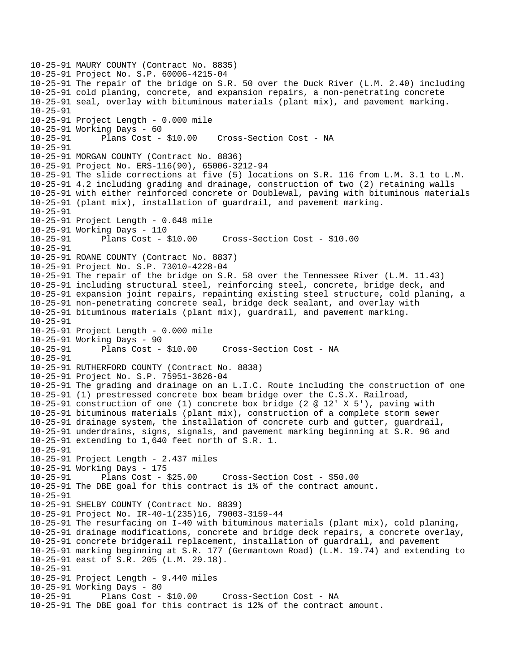```
10-25-91 MAURY COUNTY (Contract No. 8835) 
10-25-91 Project No. S.P. 60006-4215-04 
10-25-91 The repair of the bridge on S.R. 50 over the Duck River (L.M. 2.40) including 
10-25-91 cold planing, concrete, and expansion repairs, a non-penetrating concrete 
10-25-91 seal, overlay with bituminous materials (plant mix), and pavement marking. 
10-25-91 
10-25-91 Project Length - 0.000 mile 
10-25-91 Working Days - 60 
10-25-91 Plans Cost - $10.00 Cross-Section Cost - NA 
10-25-91 
10-25-91 MORGAN COUNTY (Contract No. 8836) 
10-25-91 Project No. ERS-116(90), 65006-3212-94 
10-25-91 The slide corrections at five (5) locations on S.R. 116 from L.M. 3.1 to L.M. 
10-25-91 4.2 including grading and drainage, construction of two (2) retaining walls 
10-25-91 with either reinforced concrete or Doublewal, paving with bituminous materials 
10-25-91 (plant mix), installation of guardrail, and pavement marking. 
10-25-91 
10-25-91 Project Length - 0.648 mile 
10-25-91 Working Days - 110 
10-25-91 Plans Cost - $10.00 Cross-Section Cost - $10.00 
10-25-91 
10-25-91 ROANE COUNTY (Contract No. 8837) 
10-25-91 Project No. S.P. 73010-4228-04 
10-25-91 The repair of the bridge on S.R. 58 over the Tennessee River (L.M. 11.43) 
10-25-91 including structural steel, reinforcing steel, concrete, bridge deck, and 
10-25-91 expansion joint repairs, repainting existing steel structure, cold planing, a 
10-25-91 non-penetrating concrete seal, bridge deck sealant, and overlay with 
10-25-91 bituminous materials (plant mix), guardrail, and pavement marking. 
10-25-91 
10-25-91 Project Length - 0.000 mile 
10-25-91 Working Days - 90 
10-25-91 Plans Cost - $10.00 Cross-Section Cost - NA 
10-25-91 
10-25-91 RUTHERFORD COUNTY (Contract No. 8838) 
10-25-91 Project No. S.P. 75951-3626-04 
10-25-91 The grading and drainage on an L.I.C. Route including the construction of one 
10-25-91 (1) prestressed concrete box beam bridge over the C.S.X. Railroad, 
10-25-91 construction of one (1) concrete box bridge (2 @ 12' X 5'), paving with 
10-25-91 bituminous materials (plant mix), construction of a complete storm sewer 
10-25-91 drainage system, the installation of concrete curb and gutter, guardrail, 
10-25-91 underdrains, signs, signals, and pavement marking beginning at S.R. 96 and 
10-25-91 extending to 1,640 feet north of S.R. 1. 
10-25-91 
10-25-91 Project Length - 2.437 miles 
10-25-91 Working Days - 175 
10-25-91 Plans Cost - $25.00 Cross-Section Cost - $50.00 
10-25-91 The DBE goal for this contract is 1% of the contract amount. 
10-25-91 
10-25-91 SHELBY COUNTY (Contract No. 8839) 
10-25-91 Project No. IR-40-1(235)16, 79003-3159-44 
10-25-91 The resurfacing on I-40 with bituminous materials (plant mix), cold planing, 
10-25-91 drainage modifications, concrete and bridge deck repairs, a concrete overlay, 
10-25-91 concrete bridgerail replacement, installation of guardrail, and pavement 
10-25-91 marking beginning at S.R. 177 (Germantown Road) (L.M. 19.74) and extending to 
10-25-91 east of S.R. 205 (L.M. 29.18). 
10-25-91 
10-25-91 Project Length - 9.440 miles 
10-25-91 Working Days - 80 
                                     Cross-Section Cost - NA
10-25-91 The DBE goal for this contract is 12% of the contract amount.
```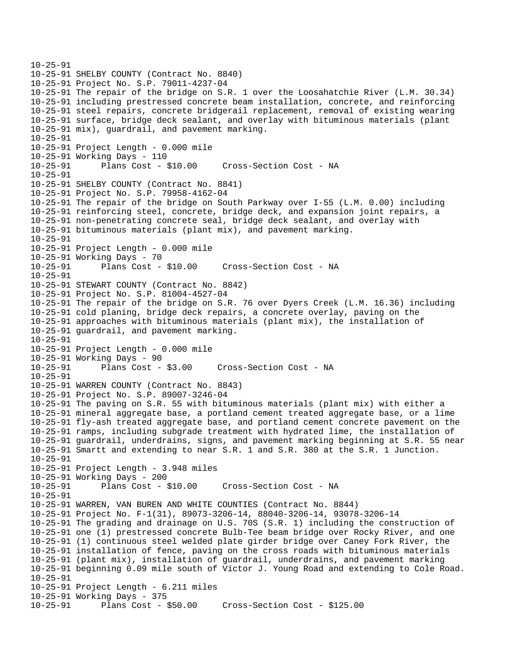```
10-25-91 
10-25-91 SHELBY COUNTY (Contract No. 8840) 
10-25-91 Project No. S.P. 79011-4237-04 
10-25-91 The repair of the bridge on S.R. 1 over the Loosahatchie River (L.M. 30.34) 
10-25-91 including prestressed concrete beam installation, concrete, and reinforcing 
10-25-91 steel repairs, concrete bridgerail replacement, removal of existing wearing 
10-25-91 surface, bridge deck sealant, and overlay with bituminous materials (plant 
10-25-91 mix), guardrail, and pavement marking. 
10-25-91 
10-25-91 Project Length - 0.000 mile 
10-25-91 Working Days - 110 
10-25-91 Plans Cost - $10.00 Cross-Section Cost - NA 
10-25-91 
10-25-91 SHELBY COUNTY (Contract No. 8841) 
10-25-91 Project No. S.P. 79958-4162-04 
10-25-91 The repair of the bridge on South Parkway over I-55 (L.M. 0.00) including 
10-25-91 reinforcing steel, concrete, bridge deck, and expansion joint repairs, a 
10-25-91 non-penetrating concrete seal, bridge deck sealant, and overlay with 
10-25-91 bituminous materials (plant mix), and pavement marking. 
10-25-91 
10-25-91 Project Length - 0.000 mile 
10-25-91 Working Days - 70 
10-25-91 Plans Cost - $10.00 Cross-Section Cost - NA 
10-25-91 
10-25-91 STEWART COUNTY (Contract No. 8842) 
10-25-91 Project No. S.P. 81004-4527-04 
10-25-91 The repair of the bridge on S.R. 76 over Dyers Creek (L.M. 16.36) including 
10-25-91 cold planing, bridge deck repairs, a concrete overlay, paving on the 
10-25-91 approaches with bituminous materials (plant mix), the installation of 
10-25-91 guardrail, and pavement marking. 
10-25-91 
10-25-91 Project Length - 0.000 mile 
10-25-91 Working Days - 90 
10-25-91 Plans Cost - $3.00 Cross-Section Cost - NA 
10-25-91 
10-25-91 WARREN COUNTY (Contract No. 8843) 
10-25-91 Project No. S.P. 89007-3246-04 
10-25-91 The paving on S.R. 55 with bituminous materials (plant mix) with either a 
10-25-91 mineral aggregate base, a portland cement treated aggregate base, or a lime 
10-25-91 fly-ash treated aggregate base, and portland cement concrete pavement on the 
10-25-91 ramps, including subgrade treatment with hydrated lime, the installation of 
10-25-91 guardrail, underdrains, signs, and pavement marking beginning at S.R. 55 near 
10-25-91 Smartt and extending to near S.R. 1 and S.R. 380 at the S.R. 1 Junction. 
10-25-91 
10-25-91 Project Length - 3.948 miles 
10-25-91 Working Days - 200 
10-25-91 Plans Cost - $10.00 Cross-Section Cost - NA 
10-25-91 
10-25-91 WARREN, VAN BUREN AND WHITE COUNTIES (Contract No. 8844) 
10-25-91 Project No. F-1(31), 89073-3206-14, 88040-3206-14, 93078-3206-14 
10-25-91 The grading and drainage on U.S. 70S (S.R. 1) including the construction of 
10-25-91 one (1) prestressed concrete Bulb-Tee beam bridge over Rocky River, and one 
10-25-91 (1) continuous steel welded plate girder bridge over Caney Fork River, the 
10-25-91 installation of fence, paving on the cross roads with bituminous materials 
10-25-91 (plant mix), installation of guardrail, underdrains, and pavement marking 
10-25-91 beginning 0.09 mile south of Victor J. Young Road and extending to Cole Road. 
10-25-91 
10-25-91 Project Length - 6.211 miles 
10-25-91 Working Days - 375 
10-25-91 Plans Cost - $50.00 Cross-Section Cost - $125.00
```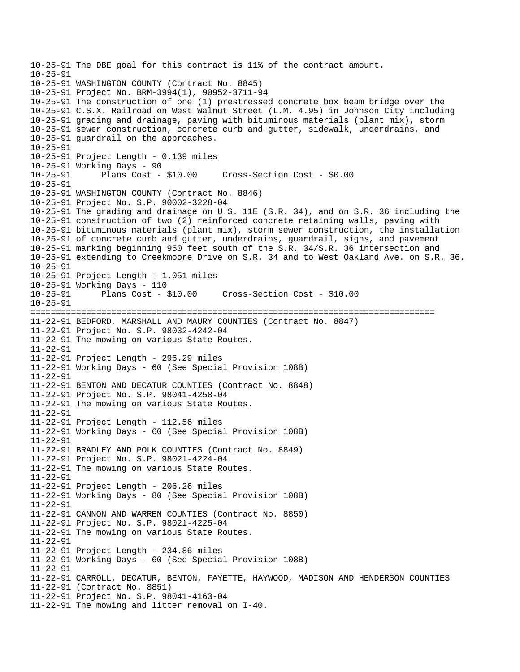```
10-25-91 The DBE goal for this contract is 11% of the contract amount. 
10-25-91 
10-25-91 WASHINGTON COUNTY (Contract No. 8845) 
10-25-91 Project No. BRM-3994(1), 90952-3711-94 
10-25-91 The construction of one (1) prestressed concrete box beam bridge over the 
10-25-91 C.S.X. Railroad on West Walnut Street (L.M. 4.95) in Johnson City including 
10-25-91 grading and drainage, paving with bituminous materials (plant mix), storm 
10-25-91 sewer construction, concrete curb and gutter, sidewalk, underdrains, and 
10-25-91 guardrail on the approaches. 
10-25-91 
10-25-91 Project Length - 0.139 miles 
10-25-91 Working Days - 90 
10-25-91 Plans Cost - $10.00 Cross-Section Cost - $0.00 
10-25-91 
10-25-91 WASHINGTON COUNTY (Contract No. 8846) 
10-25-91 Project No. S.P. 90002-3228-04 
10-25-91 The grading and drainage on U.S. 11E (S.R. 34), and on S.R. 36 including the 
10-25-91 construction of two (2) reinforced concrete retaining walls, paving with 
10-25-91 bituminous materials (plant mix), storm sewer construction, the installation 
10-25-91 of concrete curb and gutter, underdrains, guardrail, signs, and pavement 
10-25-91 marking beginning 950 feet south of the S.R. 34/S.R. 36 intersection and 
10-25-91 extending to Creekmoore Drive on S.R. 34 and to West Oakland Ave. on S.R. 36. 
10-25-91 
10-25-91 Project Length - 1.051 miles 
10-25-91 Working Days - 110 
10-25-91 Plans Cost - $10.00 Cross-Section Cost - $10.00 
10-25-91 
================================================================================ 
11-22-91 BEDFORD, MARSHALL AND MAURY COUNTIES (Contract No. 8847) 
11-22-91 Project No. S.P. 98032-4242-04 
11-22-91 The mowing on various State Routes. 
11-22-91 
11-22-91 Project Length - 296.29 miles 
11-22-91 Working Days - 60 (See Special Provision 108B) 
11-22-91 
11-22-91 BENTON AND DECATUR COUNTIES (Contract No. 8848) 
11-22-91 Project No. S.P. 98041-4258-04 
11-22-91 The mowing on various State Routes. 
11-22-91 
11-22-91 Project Length - 112.56 miles 
11-22-91 Working Days - 60 (See Special Provision 108B) 
11-22-91 
11-22-91 BRADLEY AND POLK COUNTIES (Contract No. 8849) 
11-22-91 Project No. S.P. 98021-4224-04 
11-22-91 The mowing on various State Routes. 
11-22-91 
11-22-91 Project Length - 206.26 miles 
11-22-91 Working Days - 80 (See Special Provision 108B) 
11-22-91 
11-22-91 CANNON AND WARREN COUNTIES (Contract No. 8850) 
11-22-91 Project No. S.P. 98021-4225-04 
11-22-91 The mowing on various State Routes. 
11-22-91 
11-22-91 Project Length - 234.86 miles 
11-22-91 Working Days - 60 (See Special Provision 108B) 
11-22-91 
11-22-91 CARROLL, DECATUR, BENTON, FAYETTE, HAYWOOD, MADISON AND HENDERSON COUNTIES 
11-22-91 (Contract No. 8851) 
11-22-91 Project No. S.P. 98041-4163-04 
11-22-91 The mowing and litter removal on I-40.
```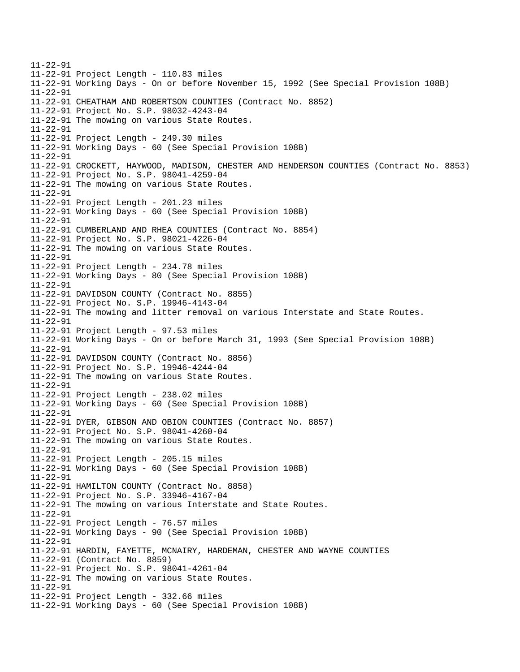11-22-91 11-22-91 Project Length - 110.83 miles 11-22-91 Working Days - On or before November 15, 1992 (See Special Provision 108B) 11-22-91 11-22-91 CHEATHAM AND ROBERTSON COUNTIES (Contract No. 8852) 11-22-91 Project No. S.P. 98032-4243-04 11-22-91 The mowing on various State Routes. 11-22-91 11-22-91 Project Length - 249.30 miles 11-22-91 Working Days - 60 (See Special Provision 108B) 11-22-91 11-22-91 CROCKETT, HAYWOOD, MADISON, CHESTER AND HENDERSON COUNTIES (Contract No. 8853) 11-22-91 Project No. S.P. 98041-4259-04 11-22-91 The mowing on various State Routes. 11-22-91 11-22-91 Project Length - 201.23 miles 11-22-91 Working Days - 60 (See Special Provision 108B) 11-22-91 11-22-91 CUMBERLAND AND RHEA COUNTIES (Contract No. 8854) 11-22-91 Project No. S.P. 98021-4226-04 11-22-91 The mowing on various State Routes. 11-22-91 11-22-91 Project Length - 234.78 miles 11-22-91 Working Days - 80 (See Special Provision 108B) 11-22-91 11-22-91 DAVIDSON COUNTY (Contract No. 8855) 11-22-91 Project No. S.P. 19946-4143-04 11-22-91 The mowing and litter removal on various Interstate and State Routes. 11-22-91 11-22-91 Project Length - 97.53 miles 11-22-91 Working Days - On or before March 31, 1993 (See Special Provision 108B) 11-22-91 11-22-91 DAVIDSON COUNTY (Contract No. 8856) 11-22-91 Project No. S.P. 19946-4244-04 11-22-91 The mowing on various State Routes. 11-22-91 11-22-91 Project Length - 238.02 miles 11-22-91 Working Days - 60 (See Special Provision 108B) 11-22-91 11-22-91 DYER, GIBSON AND OBION COUNTIES (Contract No. 8857) 11-22-91 Project No. S.P. 98041-4260-04 11-22-91 The mowing on various State Routes. 11-22-91 11-22-91 Project Length - 205.15 miles 11-22-91 Working Days - 60 (See Special Provision 108B) 11-22-91 11-22-91 HAMILTON COUNTY (Contract No. 8858) 11-22-91 Project No. S.P. 33946-4167-04 11-22-91 The mowing on various Interstate and State Routes. 11-22-91 11-22-91 Project Length - 76.57 miles 11-22-91 Working Days - 90 (See Special Provision 108B) 11-22-91 11-22-91 HARDIN, FAYETTE, MCNAIRY, HARDEMAN, CHESTER AND WAYNE COUNTIES 11-22-91 (Contract No. 8859) 11-22-91 Project No. S.P. 98041-4261-04 11-22-91 The mowing on various State Routes. 11-22-91 11-22-91 Project Length - 332.66 miles 11-22-91 Working Days - 60 (See Special Provision 108B)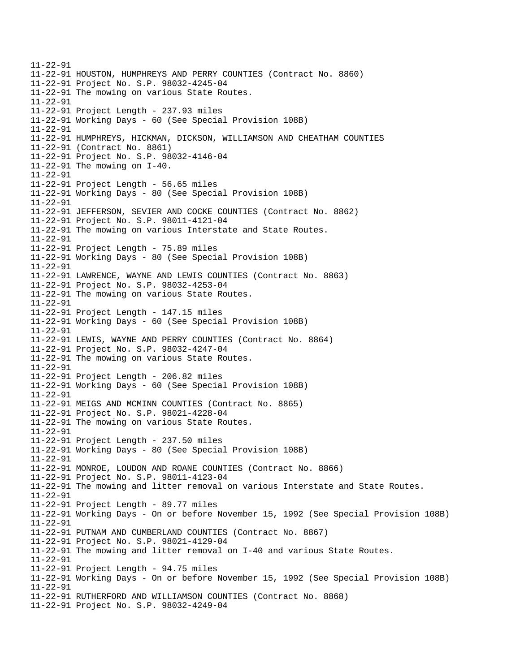11-22-91 11-22-91 HOUSTON, HUMPHREYS AND PERRY COUNTIES (Contract No. 8860) 11-22-91 Project No. S.P. 98032-4245-04 11-22-91 The mowing on various State Routes. 11-22-91 11-22-91 Project Length - 237.93 miles 11-22-91 Working Days - 60 (See Special Provision 108B) 11-22-91 11-22-91 HUMPHREYS, HICKMAN, DICKSON, WILLIAMSON AND CHEATHAM COUNTIES 11-22-91 (Contract No. 8861) 11-22-91 Project No. S.P. 98032-4146-04 11-22-91 The mowing on I-40. 11-22-91 11-22-91 Project Length - 56.65 miles 11-22-91 Working Days - 80 (See Special Provision 108B) 11-22-91 11-22-91 JEFFERSON, SEVIER AND COCKE COUNTIES (Contract No. 8862) 11-22-91 Project No. S.P. 98011-4121-04 11-22-91 The mowing on various Interstate and State Routes. 11-22-91 11-22-91 Project Length - 75.89 miles 11-22-91 Working Days - 80 (See Special Provision 108B) 11-22-91 11-22-91 LAWRENCE, WAYNE AND LEWIS COUNTIES (Contract No. 8863) 11-22-91 Project No. S.P. 98032-4253-04 11-22-91 The mowing on various State Routes. 11-22-91 11-22-91 Project Length - 147.15 miles 11-22-91 Working Days - 60 (See Special Provision 108B) 11-22-91 11-22-91 LEWIS, WAYNE AND PERRY COUNTIES (Contract No. 8864) 11-22-91 Project No. S.P. 98032-4247-04 11-22-91 The mowing on various State Routes. 11-22-91 11-22-91 Project Length - 206.82 miles 11-22-91 Working Days - 60 (See Special Provision 108B) 11-22-91 11-22-91 MEIGS AND MCMINN COUNTIES (Contract No. 8865) 11-22-91 Project No. S.P. 98021-4228-04 11-22-91 The mowing on various State Routes. 11-22-91 11-22-91 Project Length - 237.50 miles 11-22-91 Working Days - 80 (See Special Provision 108B) 11-22-91 11-22-91 MONROE, LOUDON AND ROANE COUNTIES (Contract No. 8866) 11-22-91 Project No. S.P. 98011-4123-04 11-22-91 The mowing and litter removal on various Interstate and State Routes. 11-22-91 11-22-91 Project Length - 89.77 miles 11-22-91 Working Days - On or before November 15, 1992 (See Special Provision 108B) 11-22-91 11-22-91 PUTNAM AND CUMBERLAND COUNTIES (Contract No. 8867) 11-22-91 Project No. S.P. 98021-4129-04 11-22-91 The mowing and litter removal on I-40 and various State Routes. 11-22-91 11-22-91 Project Length - 94.75 miles 11-22-91 Working Days - On or before November 15, 1992 (See Special Provision 108B) 11-22-91 11-22-91 RUTHERFORD AND WILLIAMSON COUNTIES (Contract No. 8868) 11-22-91 Project No. S.P. 98032-4249-04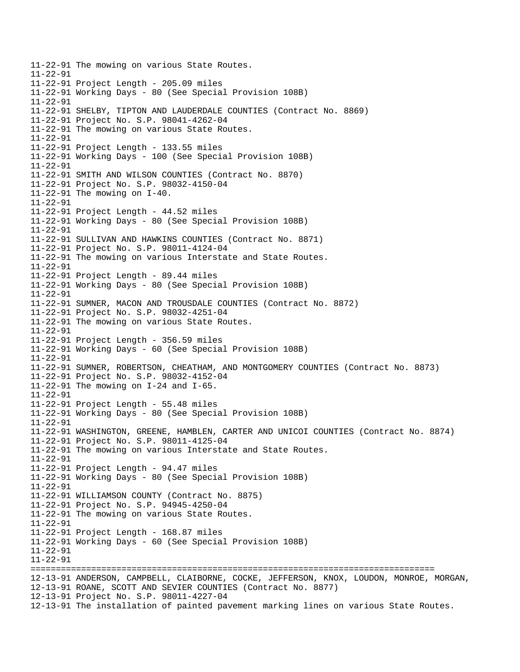11-22-91 The mowing on various State Routes. 11-22-91 11-22-91 Project Length - 205.09 miles 11-22-91 Working Days - 80 (See Special Provision 108B) 11-22-91 11-22-91 SHELBY, TIPTON AND LAUDERDALE COUNTIES (Contract No. 8869) 11-22-91 Project No. S.P. 98041-4262-04 11-22-91 The mowing on various State Routes. 11-22-91 11-22-91 Project Length - 133.55 miles 11-22-91 Working Days - 100 (See Special Provision 108B) 11-22-91 11-22-91 SMITH AND WILSON COUNTIES (Contract No. 8870) 11-22-91 Project No. S.P. 98032-4150-04 11-22-91 The mowing on I-40. 11-22-91 11-22-91 Project Length - 44.52 miles 11-22-91 Working Days - 80 (See Special Provision 108B) 11-22-91 11-22-91 SULLIVAN AND HAWKINS COUNTIES (Contract No. 8871) 11-22-91 Project No. S.P. 98011-4124-04 11-22-91 The mowing on various Interstate and State Routes. 11-22-91 11-22-91 Project Length - 89.44 miles 11-22-91 Working Days - 80 (See Special Provision 108B) 11-22-91 11-22-91 SUMNER, MACON AND TROUSDALE COUNTIES (Contract No. 8872) 11-22-91 Project No. S.P. 98032-4251-04 11-22-91 The mowing on various State Routes. 11-22-91 11-22-91 Project Length - 356.59 miles 11-22-91 Working Days - 60 (See Special Provision 108B) 11-22-91 11-22-91 SUMNER, ROBERTSON, CHEATHAM, AND MONTGOMERY COUNTIES (Contract No. 8873) 11-22-91 Project No. S.P. 98032-4152-04 11-22-91 The mowing on I-24 and I-65. 11-22-91 11-22-91 Project Length - 55.48 miles 11-22-91 Working Days - 80 (See Special Provision 108B) 11-22-91 11-22-91 WASHINGTON, GREENE, HAMBLEN, CARTER AND UNICOI COUNTIES (Contract No. 8874) 11-22-91 Project No. S.P. 98011-4125-04 11-22-91 The mowing on various Interstate and State Routes. 11-22-91 11-22-91 Project Length - 94.47 miles 11-22-91 Working Days - 80 (See Special Provision 108B) 11-22-91 11-22-91 WILLIAMSON COUNTY (Contract No. 8875) 11-22-91 Project No. S.P. 94945-4250-04 11-22-91 The mowing on various State Routes. 11-22-91 11-22-91 Project Length - 168.87 miles 11-22-91 Working Days - 60 (See Special Provision 108B) 11-22-91 11-22-91 ================================================================================ 12-13-91 ANDERSON, CAMPBELL, CLAIBORNE, COCKE, JEFFERSON, KNOX, LOUDON, MONROE, MORGAN, 12-13-91 ROANE, SCOTT AND SEVIER COUNTIES (Contract No. 8877) 12-13-91 Project No. S.P. 98011-4227-04 12-13-91 The installation of painted pavement marking lines on various State Routes.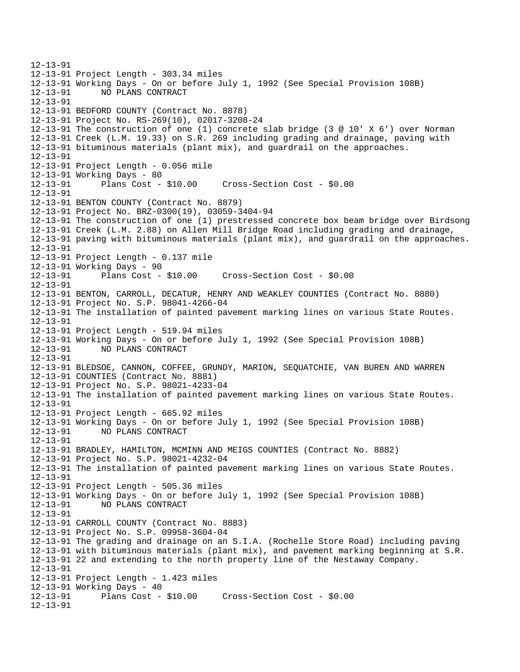12-13-91 12-13-91 Project Length - 303.34 miles 12-13-91 Working Days - On or before July 1, 1992 (See Special Provision 108B) 12-13-91 NO PLANS CONTRACT 12-13-91 12-13-91 BEDFORD COUNTY (Contract No. 8878) 12-13-91 Project No. RS-269(10), 02017-3208-24 12-13-91 The construction of one (1) concrete slab bridge (3 @ 10' X 6') over Norman 12-13-91 Creek (L.M. 19.33) on S.R. 269 including grading and drainage, paving with 12-13-91 bituminous materials (plant mix), and guardrail on the approaches. 12-13-91 12-13-91 Project Length - 0.056 mile 12-13-91 Working Days - 80 12-13-91 Plans Cost - \$10.00 Cross-Section Cost - \$0.00 12-13-91 12-13-91 BENTON COUNTY (Contract No. 8879) 12-13-91 Project No. BRZ-0300(19), 03059-3404-94 12-13-91 The construction of one (1) prestressed concrete box beam bridge over Birdsong 12-13-91 Creek (L.M. 2.88) on Allen Mill Bridge Road including grading and drainage, 12-13-91 paving with bituminous materials (plant mix), and guardrail on the approaches. 12-13-91 12-13-91 Project Length - 0.137 mile 12-13-91 Working Days - 90 12-13-91 Plans Cost - \$10.00 Cross-Section Cost - \$0.00 12-13-91 12-13-91 BENTON, CARROLL, DECATUR, HENRY AND WEAKLEY COUNTIES (Contract No. 8880) 12-13-91 Project No. S.P. 98041-4266-04 12-13-91 The installation of painted pavement marking lines on various State Routes. 12-13-91 12-13-91 Project Length - 519.94 miles 12-13-91 Working Days - On or before July 1, 1992 (See Special Provision 108B) 12-13-91 NO PLANS CONTRACT 12-13-91 12-13-91 BLEDSOE, CANNON, COFFEE, GRUNDY, MARION, SEQUATCHIE, VAN BUREN AND WARREN 12-13-91 COUNTIES (Contract No. 8881) 12-13-91 Project No. S.P. 98021-4233-04 12-13-91 The installation of painted pavement marking lines on various State Routes. 12-13-91 12-13-91 Project Length - 665.92 miles 12-13-91 Working Days - On or before July 1, 1992 (See Special Provision 108B) 12-13-91 NO PLANS CONTRACT 12-13-91 12-13-91 BRADLEY, HAMILTON, MCMINN AND MEIGS COUNTIES (Contract No. 8882) 12-13-91 Project No. S.P. 98021-4232-04 12-13-91 The installation of painted pavement marking lines on various State Routes. 12-13-91 12-13-91 Project Length - 505.36 miles 12-13-91 Working Days - On or before July 1, 1992 (See Special Provision 108B) 12-13-91 NO PLANS CONTRACT 12-13-91 12-13-91 CARROLL COUNTY (Contract No. 8883) 12-13-91 Project No. S.P. 09958-3604-04 12-13-91 The grading and drainage on an S.I.A. (Rochelle Store Road) including paving 12-13-91 with bituminous materials (plant mix), and pavement marking beginning at S.R. 12-13-91 22 and extending to the north property line of the Nestaway Company. 12-13-91 12-13-91 Project Length - 1.423 miles 12-13-91 Working Days - 40 12-13-91 Plans Cost - \$10.00 Cross-Section Cost - \$0.00 12-13-91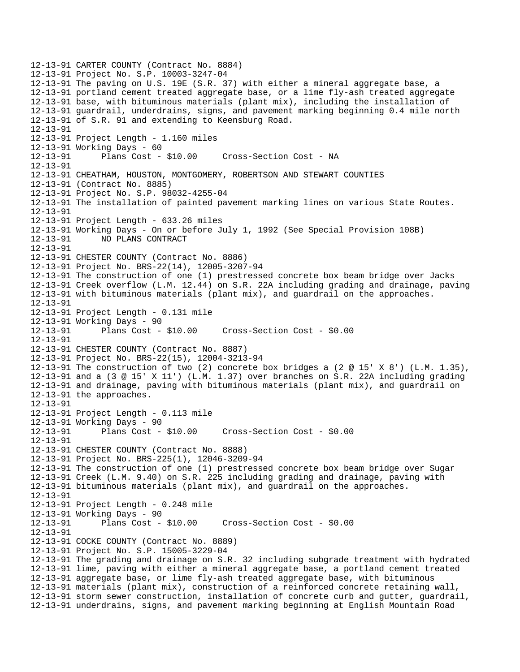```
12-13-91 CARTER COUNTY (Contract No. 8884) 
12-13-91 Project No. S.P. 10003-3247-04 
12-13-91 The paving on U.S. 19E (S.R. 37) with either a mineral aggregate base, a 
12-13-91 portland cement treated aggregate base, or a lime fly-ash treated aggregate 
12-13-91 base, with bituminous materials (plant mix), including the installation of 
12-13-91 guardrail, underdrains, signs, and pavement marking beginning 0.4 mile north 
12-13-91 of S.R. 91 and extending to Keensburg Road. 
12-13-91 
12-13-91 Project Length - 1.160 miles 
12-13-91 Working Days - 60 
12-13-91 Plans Cost - $10.00 Cross-Section Cost - NA 
12-13-91 
12-13-91 CHEATHAM, HOUSTON, MONTGOMERY, ROBERTSON AND STEWART COUNTIES 
12-13-91 (Contract No. 8885) 
12-13-91 Project No. S.P. 98032-4255-04 
12-13-91 The installation of painted pavement marking lines on various State Routes. 
12-13-91 
12-13-91 Project Length - 633.26 miles 
12-13-91 Working Days - On or before July 1, 1992 (See Special Provision 108B) 
12-13-91 NO PLANS CONTRACT 
12-13-91 
12-13-91 CHESTER COUNTY (Contract No. 8886) 
12-13-91 Project No. BRS-22(14), 12005-3207-94 
12-13-91 The construction of one (1) prestressed concrete box beam bridge over Jacks 
12-13-91 Creek overflow (L.M. 12.44) on S.R. 22A including grading and drainage, paving 
12-13-91 with bituminous materials (plant mix), and guardrail on the approaches. 
12-13-91 
12-13-91 Project Length - 0.131 mile 
12-13-91 Working Days - 90 
12-13-91 Plans Cost - $10.00 Cross-Section Cost - $0.00 
12-13-91 
12-13-91 CHESTER COUNTY (Contract No. 8887) 
12-13-91 Project No. BRS-22(15), 12004-3213-94 
12-13-91 The construction of two (2) concrete box bridges a (2 @ 15' X 8') (L.M. 1.35), 
12-13-91 and a (3 @ 15' X 11') (L.M. 1.37) over branches on S.R. 22A including grading 
12-13-91 and drainage, paving with bituminous materials (plant mix), and guardrail on 
12-13-91 the approaches. 
12-13-91 
12-13-91 Project Length - 0.113 mile 
12-13-91 Working Days - 90 
12-13-91 Plans Cost - $10.00 Cross-Section Cost - $0.00 
12-13-91 
12-13-91 CHESTER COUNTY (Contract No. 8888) 
12-13-91 Project No. BRS-225(1), 12046-3209-94 
12-13-91 The construction of one (1) prestressed concrete box beam bridge over Sugar 
12-13-91 Creek (L.M. 9.40) on S.R. 225 including grading and drainage, paving with 
12-13-91 bituminous materials (plant mix), and guardrail on the approaches. 
12-13-91 
12-13-91 Project Length - 0.248 mile 
12-13-91 Working Days - 90 
                                     12-13-91 Plans Cost - $10.00 Cross-Section Cost - $0.00 
12-13-91 
12-13-91 COCKE COUNTY (Contract No. 8889) 
12-13-91 Project No. S.P. 15005-3229-04 
12-13-91 The grading and drainage on S.R. 32 including subgrade treatment with hydrated 
12-13-91 lime, paving with either a mineral aggregate base, a portland cement treated 
12-13-91 aggregate base, or lime fly-ash treated aggregate base, with bituminous 
12-13-91 materials (plant mix), construction of a reinforced concrete retaining wall, 
12-13-91 storm sewer construction, installation of concrete curb and gutter, guardrail, 
12-13-91 underdrains, signs, and pavement marking beginning at English Mountain Road
```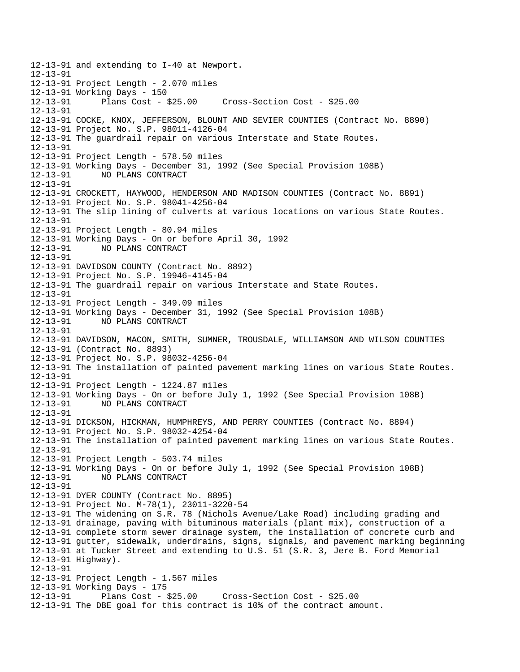12-13-91 and extending to I-40 at Newport. 12-13-91 12-13-91 Project Length - 2.070 miles 12-13-91 Working Days - 150 12-13-91 Plans Cost - \$25.00 Cross-Section Cost - \$25.00 12-13-91 12-13-91 COCKE, KNOX, JEFFERSON, BLOUNT AND SEVIER COUNTIES (Contract No. 8890) 12-13-91 Project No. S.P. 98011-4126-04 12-13-91 The guardrail repair on various Interstate and State Routes. 12-13-91 12-13-91 Project Length - 578.50 miles 12-13-91 Working Days - December 31, 1992 (See Special Provision 108B) 12-13-91 NO PLANS CONTRACT 12-13-91 12-13-91 CROCKETT, HAYWOOD, HENDERSON AND MADISON COUNTIES (Contract No. 8891) 12-13-91 Project No. S.P. 98041-4256-04 12-13-91 The slip lining of culverts at various locations on various State Routes. 12-13-91 12-13-91 Project Length - 80.94 miles 12-13-91 Working Days - On or before April 30, 1992 12-13-91 NO PLANS CONTRACT 12-13-91 12-13-91 DAVIDSON COUNTY (Contract No. 8892) 12-13-91 Project No. S.P. 19946-4145-04 12-13-91 The guardrail repair on various Interstate and State Routes. 12-13-91 12-13-91 Project Length - 349.09 miles 12-13-91 Working Days - December 31, 1992 (See Special Provision 108B) 12-13-91 NO PLANS CONTRACT 12-13-91 12-13-91 DAVIDSON, MACON, SMITH, SUMNER, TROUSDALE, WILLIAMSON AND WILSON COUNTIES 12-13-91 (Contract No. 8893) 12-13-91 Project No. S.P. 98032-4256-04 12-13-91 The installation of painted pavement marking lines on various State Routes. 12-13-91 12-13-91 Project Length - 1224.87 miles 12-13-91 Working Days - On or before July 1, 1992 (See Special Provision 108B) 12-13-91 NO PLANS CONTRACT 12-13-91 12-13-91 DICKSON, HICKMAN, HUMPHREYS, AND PERRY COUNTIES (Contract No. 8894) 12-13-91 Project No. S.P. 98032-4254-04 12-13-91 The installation of painted pavement marking lines on various State Routes. 12-13-91 12-13-91 Project Length - 503.74 miles 12-13-91 Working Days - On or before July 1, 1992 (See Special Provision 108B) 12-13-91 NO PLANS CONTRACT 12-13-91 12-13-91 DYER COUNTY (Contract No. 8895) 12-13-91 Project No. M-78(1), 23011-3220-54 12-13-91 The widening on S.R. 78 (Nichols Avenue/Lake Road) including grading and 12-13-91 drainage, paving with bituminous materials (plant mix), construction of a 12-13-91 complete storm sewer drainage system, the installation of concrete curb and 12-13-91 gutter, sidewalk, underdrains, signs, signals, and pavement marking beginning 12-13-91 at Tucker Street and extending to U.S. 51 (S.R. 3, Jere B. Ford Memorial 12-13-91 Highway). 12-13-91 12-13-91 Project Length - 1.567 miles 12-13-91 Working Days - 175 12-13-91 Plans Cost - \$25.00 Cross-Section Cost - \$25.00 12-13-91 The DBE goal for this contract is 10% of the contract amount.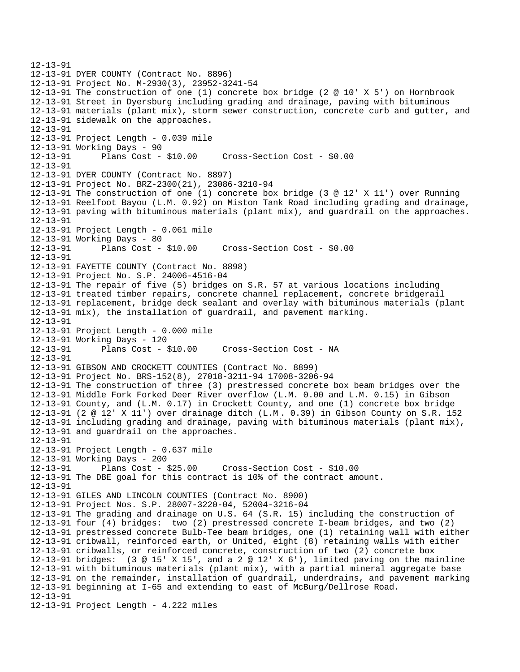```
12-13-91 
12-13-91 DYER COUNTY (Contract No. 8896) 
12-13-91 Project No. M-2930(3), 23952-3241-54 
12-13-91 The construction of one (1) concrete box bridge (2 @ 10' X 5') on Hornbrook 
12-13-91 Street in Dyersburg including grading and drainage, paving with bituminous 
12-13-91 materials (plant mix), storm sewer construction, concrete curb and gutter, and 
12-13-91 sidewalk on the approaches. 
12-13-91 
12-13-91 Project Length - 0.039 mile 
12-13-91 Working Days - 90 
12-13-91 Plans Cost - $10.00 Cross-Section Cost - $0.00 
12-13-91 
12-13-91 DYER COUNTY (Contract No. 8897) 
12-13-91 Project No. BRZ-2300(21), 23086-3210-94 
12-13-91 The construction of one (1) concrete box bridge (3 @ 12' X 11') over Running 
12-13-91 Reelfoot Bayou (L.M. 0.92) on Miston Tank Road including grading and drainage, 
12-13-91 paving with bituminous materials (plant mix), and guardrail on the approaches. 
12-13-91 
12-13-91 Project Length - 0.061 mile 
12-13-91 Working Days - 80 
12-13-91 Plans Cost - $10.00 Cross-Section Cost - $0.00 
12-13-91 
12-13-91 FAYETTE COUNTY (Contract No. 8898) 
12-13-91 Project No. S.P. 24006-4516-04 
12-13-91 The repair of five (5) bridges on S.R. 57 at various locations including 
12-13-91 treated timber repairs, concrete channel replacement, concrete bridgerail 
12-13-91 replacement, bridge deck sealant and overlay with bituminous materials (plant 
12-13-91 mix), the installation of guardrail, and pavement marking. 
12-13-91 
12-13-91 Project Length - 0.000 mile 
12-13-91 Working Days - 120 
12-13-91 Plans Cost - $10.00 Cross-Section Cost - NA 
12-13-91 
12-13-91 GIBSON AND CROCKETT COUNTIES (Contract No. 8899) 
12-13-91 Project No. BRS-152(8), 27018-3211-94 17008-3206-94 
12-13-91 The construction of three (3) prestressed concrete box beam bridges over the 
12-13-91 Middle Fork Forked Deer River overflow (L.M. 0.00 and L.M. 0.15) in Gibson 
12-13-91 County, and (L.M. 0.17) in Crockett County, and one (1) concrete box bridge 
12-13-91 (2 @ 12' X 11') over drainage ditch (L.M . 0.39) in Gibson County on S.R. 152 
12-13-91 including grading and drainage, paving with bituminous materials (plant mix), 
12-13-91 and guardrail on the approaches. 
12-13-91 
12-13-91 Project Length - 0.637 mile 
12-13-91 Working Days - 200 
12-13-91 Plans Cost - $25.00 Cross-Section Cost - $10.00 
12-13-91 The DBE goal for this contract is 10% of the contract amount. 
12-13-91 
12-13-91 GILES AND LINCOLN COUNTIES (Contract No. 8900) 
12-13-91 Project Nos. S.P. 28007-3220-04, 52004-3216-04 
12-13-91 The grading and drainage on U.S. 64 (S.R. 15) including the construction of 
12-13-91 four (4) bridges: two (2) prestressed concrete I-beam bridges, and two (2) 
12-13-91 prestressed concrete Bulb-Tee beam bridges, one (1) retaining wall with either 
12-13-91 cribwall, reinforced earth, or United, eight (8) retaining walls with either 
12-13-91 cribwalls, or reinforced concrete, construction of two (2) concrete box 
12-13-91 bridges: (3 @ 15' X 15', and a 2 @ 12' X 6'), limited paving on the mainline 
12-13-91 with bituminous materi als (plant mix), with a partial mineral aggregate base 
12-13-91 on the remainder, installation of guardrail, underdrains, and pavement marking 
12-13-91 beginning at I-65 and extending to east of McBurg/Dellrose Road. 
12-13-91 
12-13-91 Project Length - 4.222 miles
```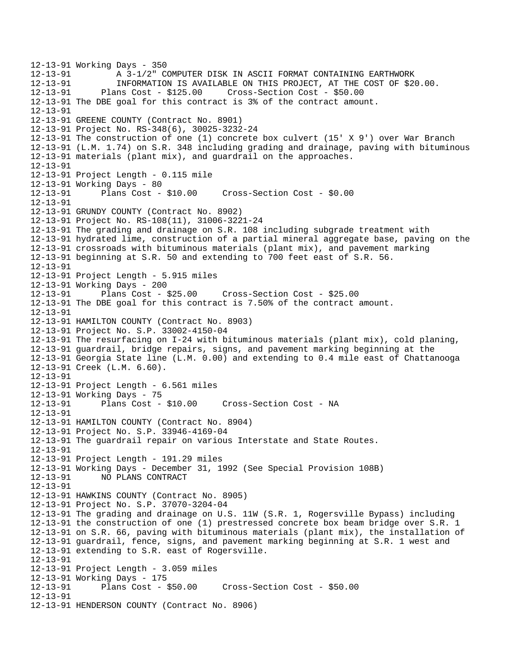12-13-91 Working Days - 350 12-13-91 A 3-1/2" COMPUTER DISK IN ASCII FORMAT CONTAINING EARTHWORK<br>12-13-91 INFORMATION IS AVAILABLE ON THIS PROJECT, AT THE COST OF \$2 12-13-91 INFORMATION IS AVAILABLE ON THIS PROJECT, AT THE COST OF \$20.00. 12-13-91 Plans Cost - \$125.00 Cross-Section Cost - \$50.00 12-13-91 The DBE goal for this contract is 3% of the contract amount. 12-13-91 12-13-91 GREENE COUNTY (Contract No. 8901) 12-13-91 Project No. RS-348(6), 30025-3232-24 12-13-91 The construction of one (1) concrete box culvert (15' X 9') over War Branch 12-13-91 (L.M. 1.74) on S.R. 348 including grading and drainage, paving with bituminous 12-13-91 materials (plant mix), and guardrail on the approaches. 12-13-91 12-13-91 Project Length - 0.115 mile 12-13-91 Working Days - 80 12-13-91 Plans Cost - \$10.00 Cross-Section Cost - \$0.00 12-13-91 12-13-91 GRUNDY COUNTY (Contract No. 8902) 12-13-91 Project No. RS-108(11), 31006-3221-24 12-13-91 The grading and drainage on S.R. 108 including subgrade treatment with 12-13-91 hydrated lime, construction of a partial mineral aggregate base, paving on the 12-13-91 crossroads with bituminous materials (plant mix), and pavement marking 12-13-91 beginning at S.R. 50 and extending to 700 feet east of S.R. 56. 12-13-91 12-13-91 Project Length - 5.915 miles 12-13-91 Working Days - 200 12-13-91 Plans Cost - \$25.00 Cross-Section Cost - \$25.00 12-13-91 The DBE goal for this contract is 7.50% of the contract amount. 12-13-91 12-13-91 HAMILTON COUNTY (Contract No. 8903) 12-13-91 Project No. S.P. 33002-4150-04 12-13-91 The resurfacing on I-24 with bituminous materials (plant mix), cold planing, 12-13-91 guardrail, bridge repairs, signs, and pavement marking beginning at the 12-13-91 Georgia State line (L.M. 0.00) and extending to 0.4 mile east of Chattanooga 12-13-91 Creek (L.M. 6.60). 12-13-91 12-13-91 Project Length - 6.561 miles 12-13-91 Working Days - 75 12-13-91 Plans Cost - \$10.00 Cross-Section Cost - NA 12-13-91 12-13-91 HAMILTON COUNTY (Contract No. 8904) 12-13-91 Project No. S.P. 33946-4169-04 12-13-91 The guardrail repair on various Interstate and State Routes. 12-13-91 12-13-91 Project Length - 191.29 miles 12-13-91 Working Days - December 31, 1992 (See Special Provision 108B) 12-13-91 NO PLANS CONTRACT 12-13-91 12-13-91 HAWKINS COUNTY (Contract No. 8905) 12-13-91 Project No. S.P. 37070-3204-04 12-13-91 The grading and drainage on U.S. 11W (S.R. 1, Rogersville Bypass) including 12-13-91 the construction of one (1) prestressed concrete box beam bridge over S.R. 1 12-13-91 on S.R. 66, paving with bituminous materials (plant mix), the installation of 12-13-91 guardrail, fence, signs, and pavement marking beginning at S.R. 1 west and 12-13-91 extending to S.R. east of Rogersville. 12-13-91 12-13-91 Project Length - 3.059 miles 12-13-91 Working Days - 175 12-13-91 Plans Cost - \$50.00 Cross-Section Cost - \$50.00 12-13-91 12-13-91 HENDERSON COUNTY (Contract No. 8906)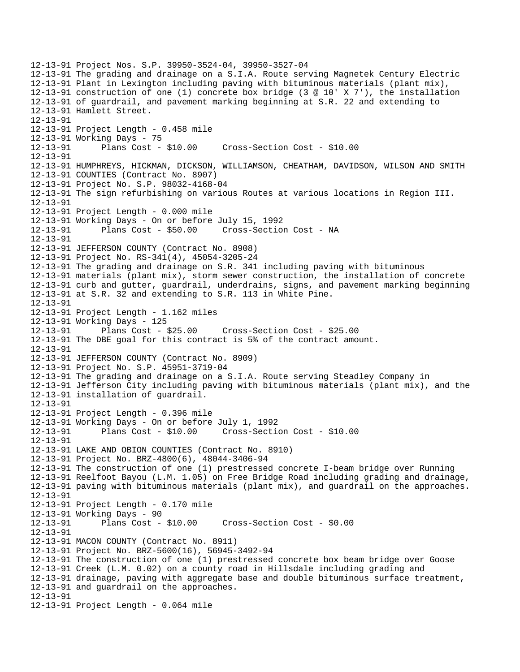12-13-91 Project Nos. S.P. 39950-3524-04, 39950-3527-04 12-13-91 The grading and drainage on a S.I.A. Route serving Magnetek Century Electric 12-13-91 Plant in Lexington including paving with bituminous materials (plant mix), 12-13-91 construction of one (1) concrete box bridge (3 @ 10' X 7'), the installation 12-13-91 of guardrail, and pavement marking beginning at S.R. 22 and extending to 12-13-91 Hamlett Street. 12-13-91 12-13-91 Project Length - 0.458 mile 12-13-91 Working Days - 75<br>12-13-91 Plans Cost -Plans Cost - \$10.00 Cross-Section Cost - \$10.00 12-13-91 12-13-91 HUMPHREYS, HICKMAN, DICKSON, WILLIAMSON, CHEATHAM, DAVIDSON, WILSON AND SMITH 12-13-91 COUNTIES (Contract No. 8907) 12-13-91 Project No. S.P. 98032-4168-04 12-13-91 The sign refurbishing on various Routes at various locations in Region III. 12-13-91 12-13-91 Project Length - 0.000 mile 12-13-91 Working Days - On or before July 15, 1992 12-13-91 Plans Cost - \$50.00 Cross-Section Cost - NA 12-13-91 12-13-91 JEFFERSON COUNTY (Contract No. 8908) 12-13-91 Project No. RS-341(4), 45054-3205-24 12-13-91 The grading and drainage on S.R. 341 including paving with bituminous 12-13-91 materials (plant mix), storm sewer construction, the installation of concrete 12-13-91 curb and gutter, guardrail, underdrains, signs, and pavement marking beginning 12-13-91 at S.R. 32 and extending to S.R. 113 in White Pine. 12-13-91 12-13-91 Project Length - 1.162 miles 12-13-91 Working Days - 125 12-13-91 Plans Cost - \$25.00 Cross-Section Cost - \$25.00 12-13-91 The DBE goal for this contract is 5% of the contract amount. 12-13-91 12-13-91 JEFFERSON COUNTY (Contract No. 8909) 12-13-91 Project No. S.P. 45951-3719-04 12-13-91 The grading and drainage on a S.I.A. Route serving Steadley Company in 12-13-91 Jefferson City including paving with bituminous materials (plant mix), and the 12-13-91 installation of guardrail. 12-13-91 12-13-91 Project Length - 0.396 mile 12-13-91 Working Days - On or before July 1, 1992 12-13-91 Plans Cost - \$10.00 Cross-Section Cost - \$10.00 12-13-91 12-13-91 LAKE AND OBION COUNTIES (Contract No. 8910) 12-13-91 Project No. BRZ-4800(6), 48044-3406-94 12-13-91 The construction of one (1) prestressed concrete I-beam bridge over Running 12-13-91 Reelfoot Bayou (L.M. 1.05) on Free Bridge Road including grading and drainage, 12-13-91 paving with bituminous materials (plant mix), and guardrail on the approaches. 12-13-91 12-13-91 Project Length - 0.170 mile 12-13-91 Working Days - 90<br>12-13-91 Plans Cost -Plans Cost - \$10.00 Cross-Section Cost - \$0.00 12-13-91 12-13-91 MACON COUNTY (Contract No. 8911) 12-13-91 Project No. BRZ-5600(16), 56945-3492-94 12-13-91 The construction of one (1) prestressed concrete box beam bridge over Goose 12-13-91 Creek (L.M. 0.02) on a county road in Hillsdale including grading and 12-13-91 drainage, paving with aggregate base and double bituminous surface treatment, 12-13-91 and guardrail on the approaches. 12-13-91 12-13-91 Project Length - 0.064 mile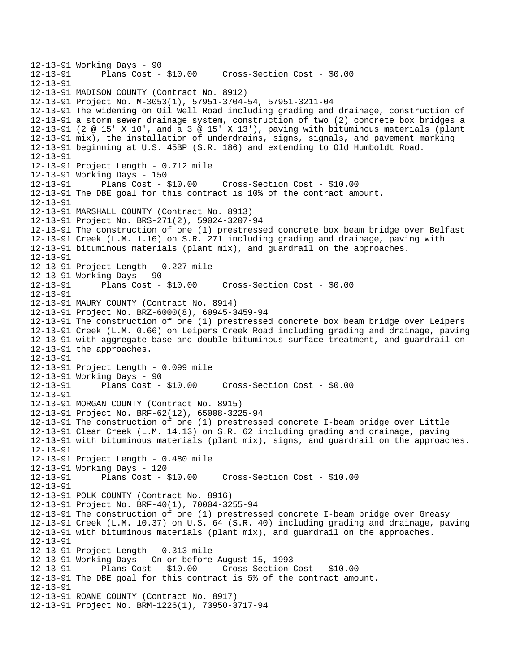12-13-91 Working Days - 90 Plans Cost - \$10.00 Cross-Section Cost - \$0.00 12-13-91 12-13-91 MADISON COUNTY (Contract No. 8912) 12-13-91 Project No. M-3053(1), 57951-3704-54, 57951-3211-04 12-13-91 The widening on Oil Well Road including grading and drainage, construction of 12-13-91 a storm sewer drainage system, construction of two (2) concrete box bridges a 12-13-91 (2 @ 15' X 10', and a 3 @ 15' X 13'), paving with bituminous materials (plant 12-13-91 mix), the installation of underdrains, signs, signals, and pavement marking 12-13-91 beginning at U.S. 45BP (S.R. 186) and extending to Old Humboldt Road. 12-13-91 12-13-91 Project Length - 0.712 mile 12-13-91 Working Days - 150 12-13-91 Plans Cost - \$10.00 Cross-Section Cost - \$10.00 12-13-91 The DBE goal for this contract is 10% of the contract amount. 12-13-91 12-13-91 MARSHALL COUNTY (Contract No. 8913) 12-13-91 Project No. BRS-271(2), 59024-3207-94 12-13-91 The construction of one (1) prestressed concrete box beam bridge over Belfast 12-13-91 Creek (L.M. 1.16) on S.R. 271 including grading and drainage, paving with 12-13-91 bituminous materials (plant mix), and guardrail on the approaches. 12-13-91 12-13-91 Project Length - 0.227 mile 12-13-91 Working Days - 90 12-13-91 Plans Cost - \$10.00 Cross-Section Cost - \$0.00 12-13-91 12-13-91 MAURY COUNTY (Contract No. 8914) 12-13-91 Project No. BRZ-6000(8), 60945-3459-94 12-13-91 The construction of one (1) prestressed concrete box beam bridge over Leipers 12-13-91 Creek (L.M. 0.66) on Leipers Creek Road including grading and drainage, paving 12-13-91 with aggregate base and double bituminous surface treatment, and guardrail on 12-13-91 the approaches. 12-13-91 12-13-91 Project Length - 0.099 mile 12-13-91 Working Days - 90 12-13-91 Plans Cost - \$10.00 Cross-Section Cost - \$0.00 12-13-91 12-13-91 MORGAN COUNTY (Contract No. 8915) 12-13-91 Project No. BRF-62(12), 65008-3225-94 12-13-91 The construction of one (1) prestressed concrete I-beam bridge over Little 12-13-91 Clear Creek (L.M. 14.13) on S.R. 62 including grading and drainage, paving 12-13-91 with bituminous materials (plant mix), signs, and guardrail on the approaches. 12-13-91 12-13-91 Project Length - 0.480 mile 12-13-91 Working Days - 120 12-13-91 Plans Cost - \$10.00 Cross-Section Cost - \$10.00 12-13-91 12-13-91 POLK COUNTY (Contract No. 8916) 12-13-91 Project No. BRF-40(1), 70004-3255-94 12-13-91 The construction of one (1) prestressed concrete I-beam bridge over Greasy 12-13-91 Creek (L.M. 10.37) on U.S. 64 (S.R. 40) including grading and drainage, paving 12-13-91 with bituminous materials (plant mix), and guardrail on the approaches. 12-13-91 12-13-91 Project Length - 0.313 mile 12-13-91 Working Days - On or before August 15, 1993 12-13-91 Plans Cost - \$10.00 Cross-Section Cost - \$10.00 12-13-91 The DBE goal for this contract is 5% of the contract amount. 12-13-91 12-13-91 ROANE COUNTY (Contract No. 8917) 12-13-91 Project No. BRM-1226(1), 73950-3717-94